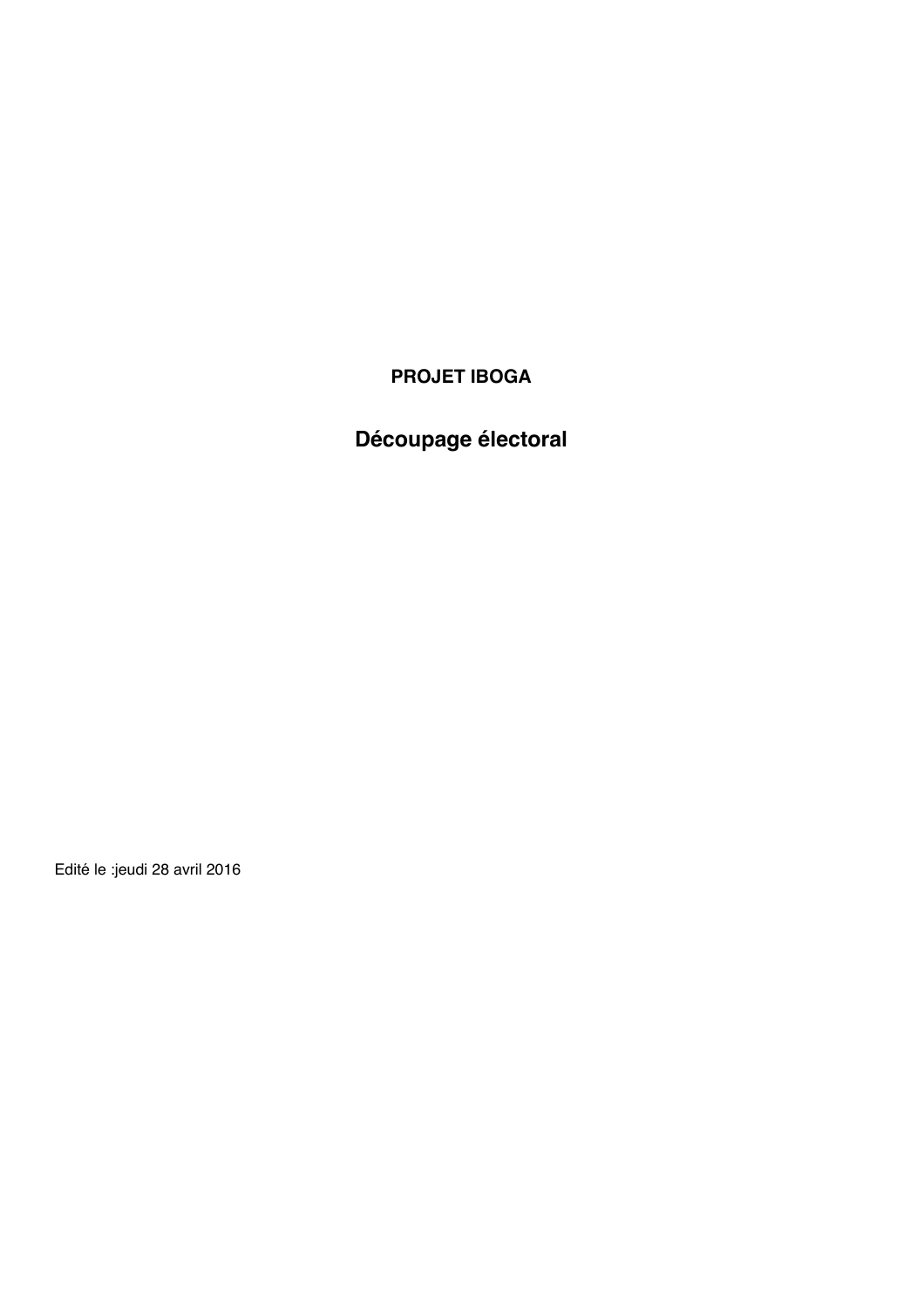# **PROJET IBOGA**

# **Découpage électoral**

Edité le :jeudi 28 avril 2016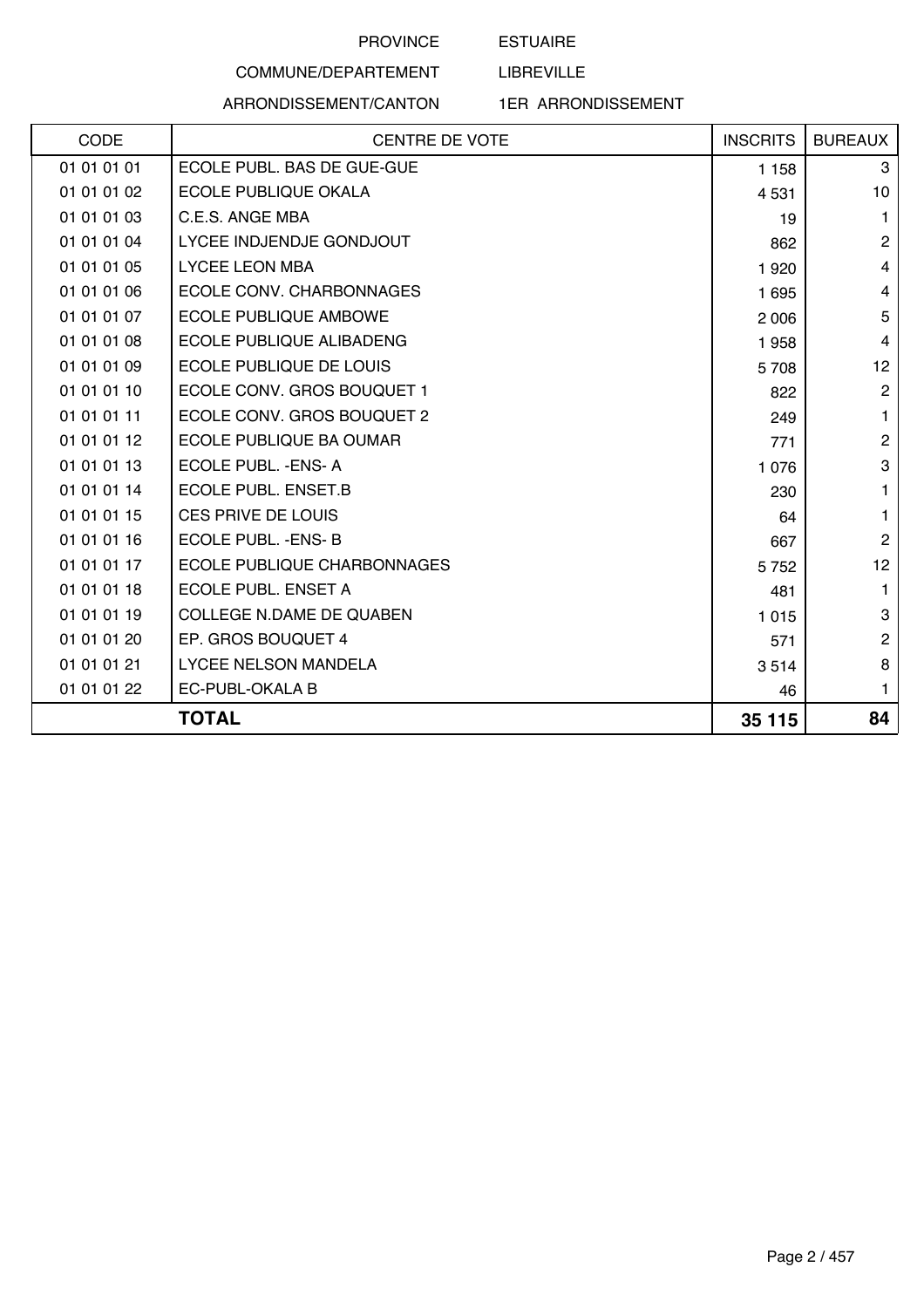## ESTUAIRE

LIBREVILLE

# COMMUNE/DEPARTEMENT ARRONDISSEMENT/CANTON

| <b>CENTRE DE VOTE</b>              | <b>INSCRITS</b> | <b>BUREAUX</b> |
|------------------------------------|-----------------|----------------|
| ECOLE PUBL. BAS DE GUE-GUE         | 1 1 5 8         | 3              |
| ECOLE PUBLIQUE OKALA               | 4 5 31          | 10             |
| C.E.S. ANGE MBA                    | 19              | $\mathbf{1}$   |
| LYCEE INDJENDJE GONDJOUT           | 862             | $\mathbf{2}$   |
| <b>LYCEE LEON MBA</b>              | 1920            | 4              |
| ECOLE CONV. CHARBONNAGES           | 1695            | 4              |
| <b>ECOLE PUBLIQUE AMBOWE</b>       | 2 0 0 6         | 5              |
| ECOLE PUBLIQUE ALIBADENG           | 1958            | 4              |
| <b>ECOLE PUBLIQUE DE LOUIS</b>     | 5708            | 12             |
| ECOLE CONV. GROS BOUQUET 1         | 822             | $\overline{2}$ |
| ECOLE CONV. GROS BOUQUET 2         | 249             | $\mathbf{1}$   |
| ECOLE PUBLIQUE BA OUMAR            | 771             | $\overline{c}$ |
| ECOLE PUBL. - ENS-A                | 1 0 7 6         | 3              |
| <b>ECOLE PUBL. ENSET.B</b>         | 230             | $\mathbf{1}$   |
| CES PRIVE DE LOUIS                 | 64              | $\mathbf{1}$   |
| ECOLE PUBL. - ENS-B                | 667             | $\mathbf{2}$   |
| <b>ECOLE PUBLIQUE CHARBONNAGES</b> | 5 7 5 2         | 12             |
| ECOLE PUBL. ENSET A                | 481             | $\mathbf{1}$   |
| COLLEGE N.DAME DE QUABEN           | 1015            | 3              |
| EP. GROS BOUQUET 4                 | 571             | $\overline{c}$ |
| LYCEE NELSON MANDELA               | 3514            | 8              |
| EC-PUBL-OKALA B                    | 46              | $\mathbf{1}$   |
| <b>TOTAL</b>                       | 35 115          | 84             |
|                                    |                 |                |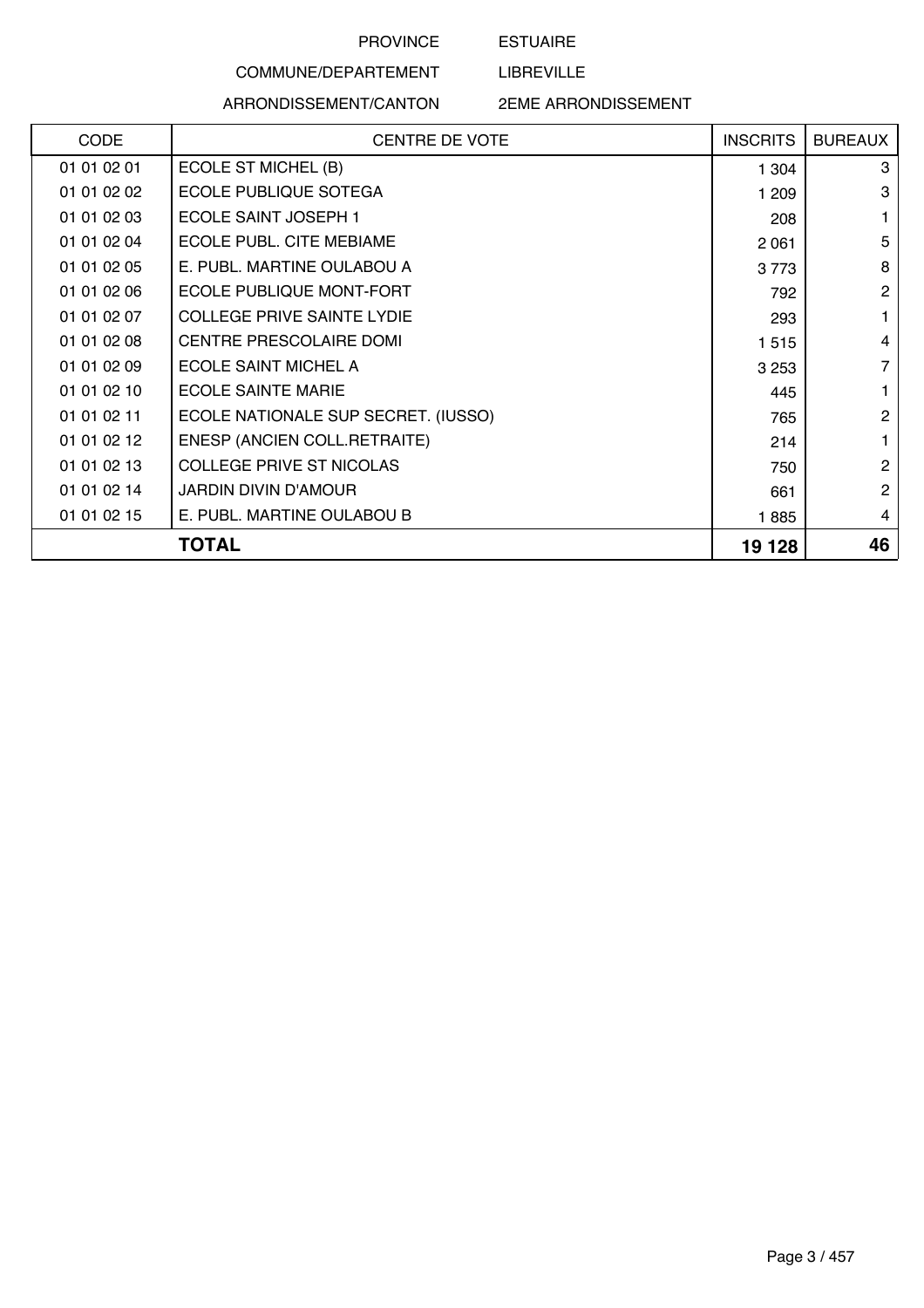ESTUAIRE

LIBREVILLE

# COMMUNE/DEPARTEMENT ARRONDISSEMENT/CANTON

| <b>CODE</b> | <b>CENTRE DE VOTE</b>               | <b>INSCRITS</b> | <b>BUREAUX</b> |
|-------------|-------------------------------------|-----------------|----------------|
| 01 01 02 01 | ECOLE ST MICHEL (B)                 | 1 304           | 3              |
| 01 01 02 02 | ECOLE PUBLIQUE SOTEGA               | 1 209           | 3              |
| 01 01 02 03 | ECOLE SAINT JOSEPH 1                | 208             |                |
| 01 01 02 04 | ECOLE PUBL. CITE MEBIAME            | 2 0 6 1         | 5              |
| 01 01 02 05 | E. PUBL. MARTINE OULABOU A          | 3773            | 8              |
| 01 01 02 06 | <b>ECOLE PUBLIQUE MONT-FORT</b>     | 792             | 2              |
| 01 01 02 07 | <b>COLLEGE PRIVE SAINTE LYDIE</b>   | 293             |                |
| 01 01 02 08 | <b>CENTRE PRESCOLAIRE DOMI</b>      | 1 5 1 5         | 4              |
| 01 01 02 09 | ECOLE SAINT MICHEL A                | 3 2 5 3         | 7              |
| 01 01 02 10 | <b>ECOLE SAINTE MARIE</b>           | 445             |                |
| 01 01 02 11 | ECOLE NATIONALE SUP SECRET. (IUSSO) | 765             | $\overline{2}$ |
| 01 01 02 12 | ENESP (ANCIEN COLL.RETRAITE)        | 214             |                |
| 01 01 02 13 | <b>COLLEGE PRIVE ST NICOLAS</b>     | 750             | $\mathbf{2}$   |
| 01 01 02 14 | <b>JARDIN DIVIN D'AMOUR</b>         | 661             | $\mathbf{2}$   |
| 01 01 02 15 | E. PUBL. MARTINE OULABOU B          | 1885            | 4              |
|             | TOTAL                               | 19 128          | 46             |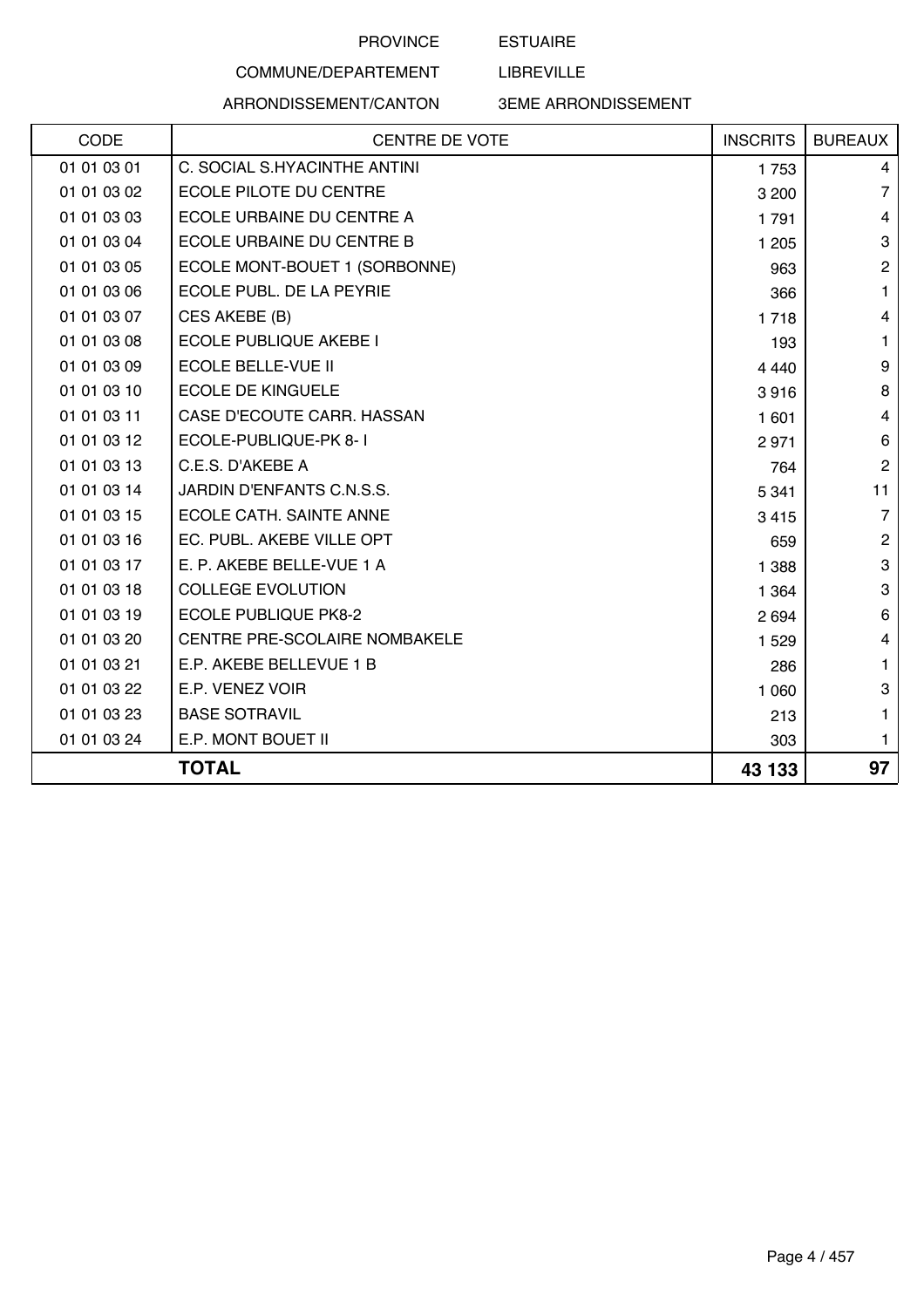ESTUAIRE

LIBREVILLE

# COMMUNE/DEPARTEMENT ARRONDISSEMENT/CANTON

| <b>CODE</b> | <b>CENTRE DE VOTE</b>            | <b>INSCRITS</b> | <b>BUREAUX</b> |
|-------------|----------------------------------|-----------------|----------------|
| 01 01 03 01 | C. SOCIAL S.HYACINTHE ANTINI     | 1753            | 4              |
| 01 01 03 02 | ECOLE PILOTE DU CENTRE           | 3 200           | 7              |
| 01 01 03 03 | ECOLE URBAINE DU CENTRE A        | 1791            | 4              |
| 01 01 03 04 | <b>ECOLE URBAINE DU CENTRE B</b> | 1 2 0 5         | 3              |
| 01 01 03 05 | ECOLE MONT-BOUET 1 (SORBONNE)    | 963             | $\overline{c}$ |
| 01 01 03 06 | ECOLE PUBL. DE LA PEYRIE         | 366             | 1.             |
| 01 01 03 07 | CES AKEBE (B)                    | 1718            | 4              |
| 01 01 03 08 | ECOLE PUBLIQUE AKEBE I           | 193             | 1              |
| 01 01 03 09 | <b>ECOLE BELLE-VUE II</b>        | 4 4 4 0         | 9              |
| 01 01 03 10 | <b>ECOLE DE KINGUELE</b>         | 3916            | 8              |
| 01 01 03 11 | CASE D'ECOUTE CARR. HASSAN       | 1 601           | 4              |
| 01 01 03 12 | ECOLE-PUBLIQUE-PK 8-1            | 2971            | 6              |
| 01 01 03 13 | C.E.S. D'AKEBE A                 | 764             | $\overline{2}$ |
| 01 01 03 14 | JARDIN D'ENFANTS C.N.S.S.        | 5 3 4 1         | 11             |
| 01 01 03 15 | ECOLE CATH. SAINTE ANNE          | 3 4 1 5         | $\overline{7}$ |
| 01 01 03 16 | EC. PUBL. AKEBE VILLE OPT        | 659             | $\overline{c}$ |
| 01 01 03 17 | E. P. AKEBE BELLE-VUE 1 A        | 1 3 8 8         | 3              |
| 01 01 03 18 | <b>COLLEGE EVOLUTION</b>         | 1 3 6 4         | 3              |
| 01 01 03 19 | <b>ECOLE PUBLIQUE PK8-2</b>      | 2 6 9 4         | 6              |
| 01 01 03 20 | CENTRE PRE-SCOLAIRE NOMBAKELE    | 1 5 2 9         | 4              |
| 01 01 03 21 | E.P. AKEBE BELLEVUE 1 B          | 286             | 1              |
| 01 01 03 22 | E.P. VENEZ VOIR                  | 1 0 6 0         | 3              |
| 01 01 03 23 | <b>BASE SOTRAVIL</b>             | 213             | 1              |
| 01 01 03 24 | E.P. MONT BOUET II               | 303             | 1.             |
|             | <b>TOTAL</b>                     | 43 133          | 97             |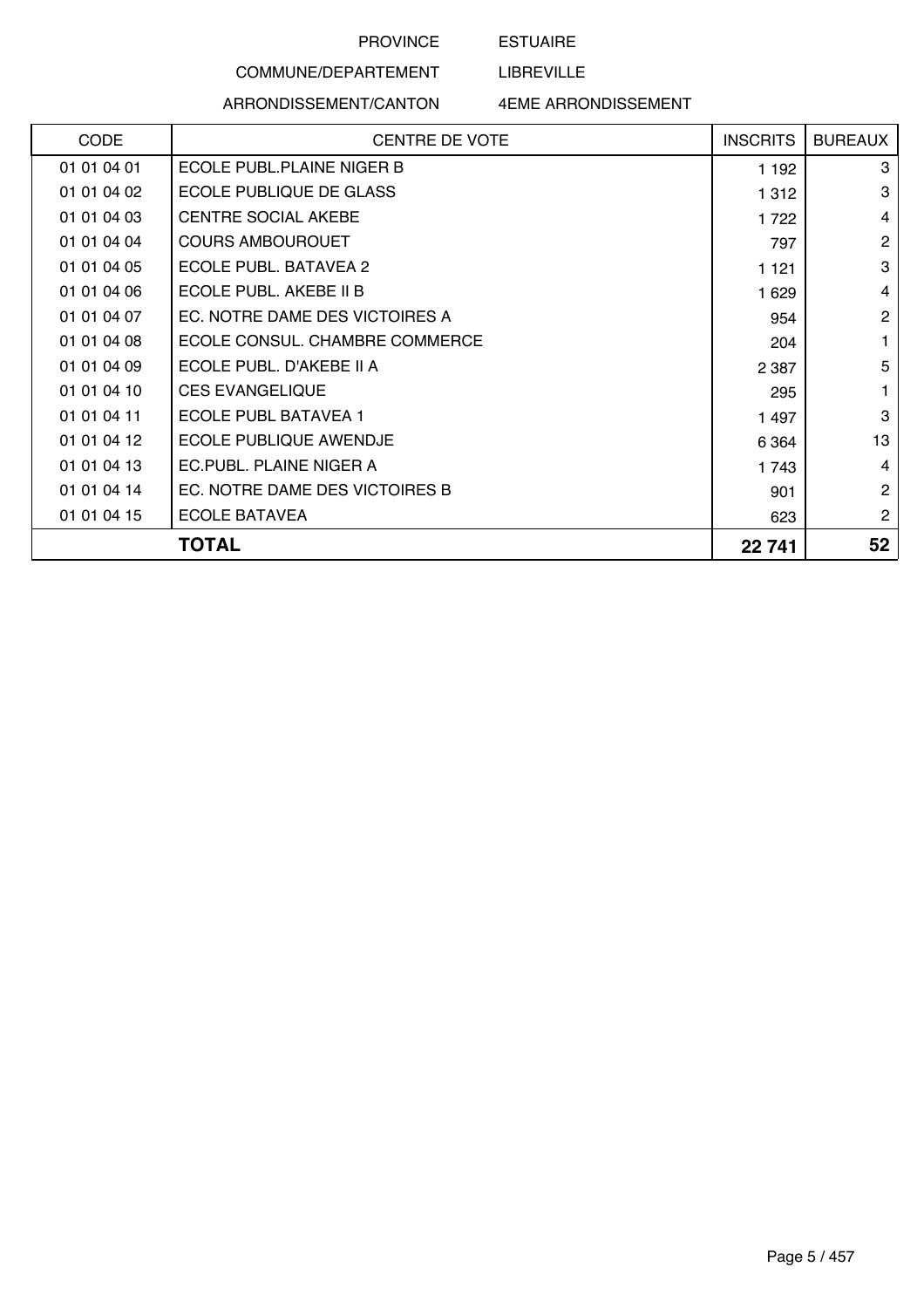ESTUAIRE

LIBREVILLE

# COMMUNE/DEPARTEMENT ARRONDISSEMENT/CANTON

| <b>CODE</b> | <b>CENTRE DE VOTE</b>          | <b>INSCRITS</b> | <b>BUREAUX</b> |
|-------------|--------------------------------|-----------------|----------------|
| 01 01 04 01 | ECOLE PUBL.PLAINE NIGER B      | 1 1 9 2         | 3              |
| 01 01 04 02 | ECOLE PUBLIQUE DE GLASS        | 1 3 1 2         | 3              |
| 01 01 04 03 | <b>CENTRE SOCIAL AKEBE</b>     | 1722            | 4              |
| 01 01 04 04 | <b>COURS AMBOUROUET</b>        | 797             | $\overline{2}$ |
| 01 01 04 05 | ECOLE PUBL. BATAVEA 2          | 1 1 2 1         | 3              |
| 01 01 04 06 | ECOLE PUBL. AKEBE II B         | 1 6 2 9         | 4              |
| 01 01 04 07 | EC. NOTRE DAME DES VICTOIRES A | 954             | $\overline{2}$ |
| 01 01 04 08 | ECOLE CONSUL, CHAMBRE COMMERCE | 204             | 1              |
| 01 01 04 09 | ECOLE PUBL. D'AKEBE II A       | 2 3 8 7         | 5              |
| 01 01 04 10 | <b>CES EVANGELIQUE</b>         | 295             | 1              |
| 01 01 04 11 | ECOLE PUBL BATAVEA 1           | 1 497           | 3              |
| 01 01 04 12 | ECOLE PUBLIQUE AWENDJE         | 6 3 6 4         | 13             |
| 01 01 04 13 | EC.PUBL. PLAINE NIGER A        | 1743            | 4              |
| 01 01 04 14 | EC. NOTRE DAME DES VICTOIRES B | 901             | $\overline{2}$ |
| 01 01 04 15 | <b>ECOLE BATAVEA</b>           | 623             | $\mathbf{2}$   |
|             | TOTAL                          | 22 741          | 52             |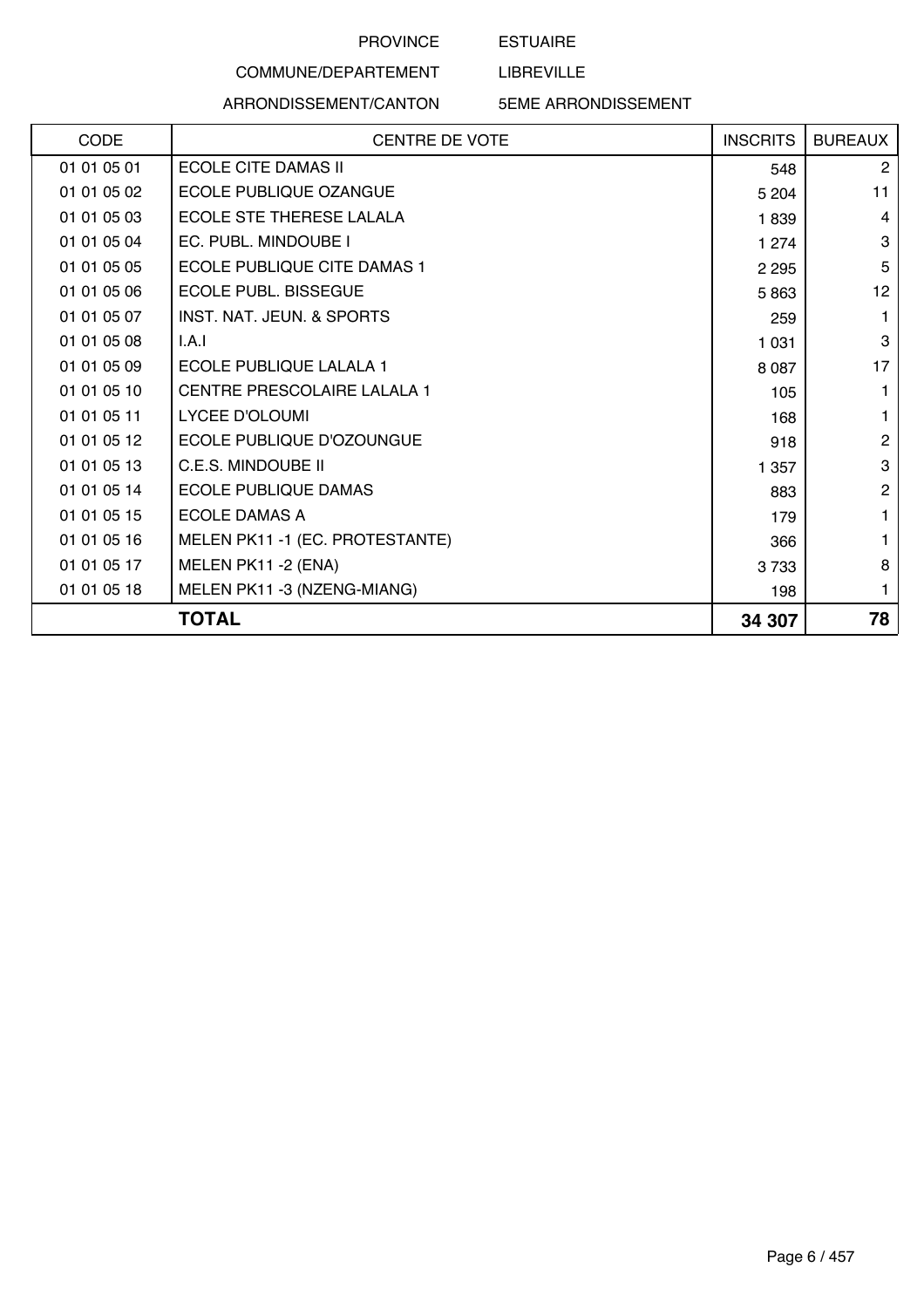ESTUAIRE

LIBREVILLE

# COMMUNE/DEPARTEMENT ARRONDISSEMENT/CANTON

| CODE        | <b>CENTRE DE VOTE</b>                | <b>INSCRITS</b> | <b>BUREAUX</b> |
|-------------|--------------------------------------|-----------------|----------------|
| 01 01 05 01 | <b>ECOLE CITE DAMAS II</b>           | 548             | 2              |
| 01 01 05 02 | ECOLE PUBLIQUE OZANGUE               | 5 2 0 4         | 11             |
| 01 01 05 03 | ECOLE STE THERESE LALALA             | 1839            | $\overline{4}$ |
| 01 01 05 04 | EC. PUBL. MINDOUBE I                 | 1 2 7 4         | 3              |
| 01 01 05 05 | ECOLE PUBLIQUE CITE DAMAS 1          | 2 2 9 5         | 5              |
| 01 01 05 06 | <b>ECOLE PUBL, BISSEGUE</b>          | 5863            | 12             |
| 01 01 05 07 | <b>INST. NAT. JEUN. &amp; SPORTS</b> | 259             |                |
| 01 01 05 08 | I.A.I                                | 1 0 3 1         | 3              |
| 01 01 05 09 | <b>ECOLE PUBLIQUE LALALA 1</b>       | 8 0 8 7         | 17             |
| 01 01 05 10 | CENTRE PRESCOLAIRE LALALA 1          | 105             |                |
| 01 01 05 11 | <b>LYCEE D'OLOUMI</b>                | 168             |                |
| 01 01 05 12 | ECOLE PUBLIQUE D'OZOUNGUE            | 918             | $\mathbf{2}$   |
| 01 01 05 13 | C.E.S. MINDOUBE II                   | 1 357           | 3              |
| 01 01 05 14 | <b>ECOLE PUBLIQUE DAMAS</b>          | 883             | 2              |
| 01 01 05 15 | <b>ECOLE DAMAS A</b>                 | 179             |                |
| 01 01 05 16 | MELEN PK11-1 (EC. PROTESTANTE)       | 366             |                |
| 01 01 05 17 | MELEN PK11 -2 (ENA)                  | 3733            | 8              |
| 01 01 05 18 | MELEN PK11 -3 (NZENG-MIANG)          | 198             | 1              |
|             | <b>TOTAL</b>                         | 34 307          | 78             |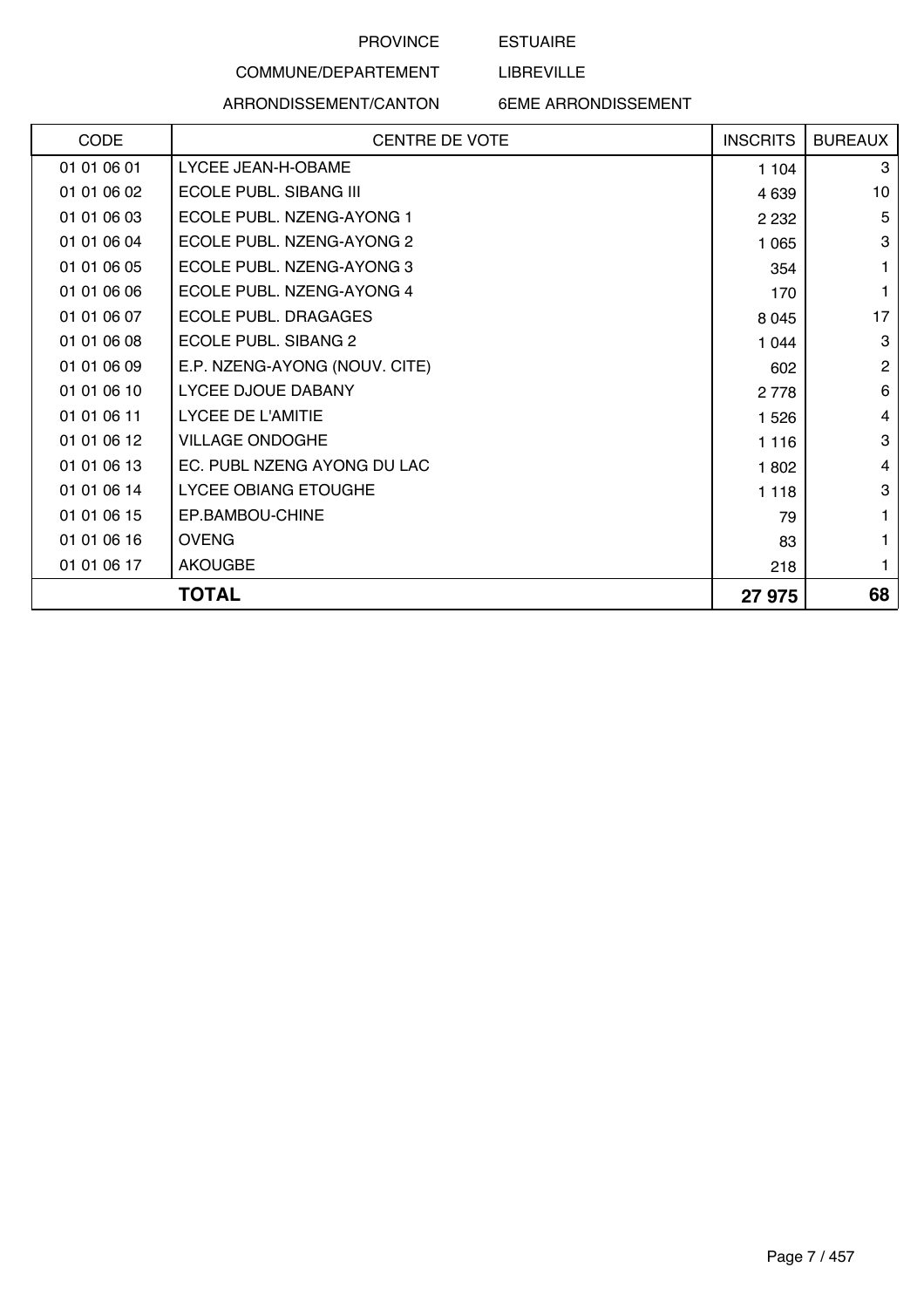## ESTUAIRE

LIBREVILLE

# COMMUNE/DEPARTEMENT

ARRONDISSEMENT/CANTON 6EME ARRONDISSEMENT

|             | TOTAL                         | 27 975          | 68             |
|-------------|-------------------------------|-----------------|----------------|
| 01 01 06 17 | <b>AKOUGBE</b>                | 218             | 1              |
| 01 01 06 16 | <b>OVENG</b>                  | 83              | 1              |
| 01 01 06 15 | EP.BAMBOU-CHINE               | 79              | 1              |
| 01 01 06 14 | <b>LYCEE OBIANG ETOUGHE</b>   | 1 1 1 8         | 3              |
| 01 01 06 13 | EC. PUBL NZENG AYONG DU LAC   | 1802            | $\overline{4}$ |
| 01 01 06 12 | <b>VILLAGE ONDOGHE</b>        | 1 1 1 6         | 3              |
| 01 01 06 11 | <b>LYCEE DE L'AMITIE</b>      | 1 5 2 6         | 4              |
| 01 01 06 10 | LYCEE DJOUE DABANY            | 2 7 7 8         | 6              |
| 01 01 06 09 | E.P. NZENG-AYONG (NOUV. CITE) | 602             | $\overline{2}$ |
| 01 01 06 08 | <b>ECOLE PUBL. SIBANG 2</b>   | 1 0 4 4         | 3              |
| 01 01 06 07 | <b>ECOLE PUBL, DRAGAGES</b>   | 8 0 4 5         | 17             |
| 01 01 06 06 | ECOLE PUBL. NZENG-AYONG 4     | 170             | $\mathbf{1}$   |
| 01 01 06 05 | ECOLE PUBL. NZENG-AYONG 3     | 354             | $\mathbf{1}$   |
| 01 01 06 04 | ECOLE PUBL. NZENG-AYONG 2     | 1 0 6 5         | 3              |
| 01 01 06 03 | ECOLE PUBL. NZENG-AYONG 1     | 2 2 3 2         | 5              |
| 01 01 06 02 | ECOLE PUBL. SIBANG III        | 4 6 3 9         | 10             |
| 01 01 06 01 | LYCEE JEAN-H-OBAME            | 1 104           | 3              |
| CODE        | CENTRE DE VOTE                | <b>INSCRITS</b> | <b>BUREAUX</b> |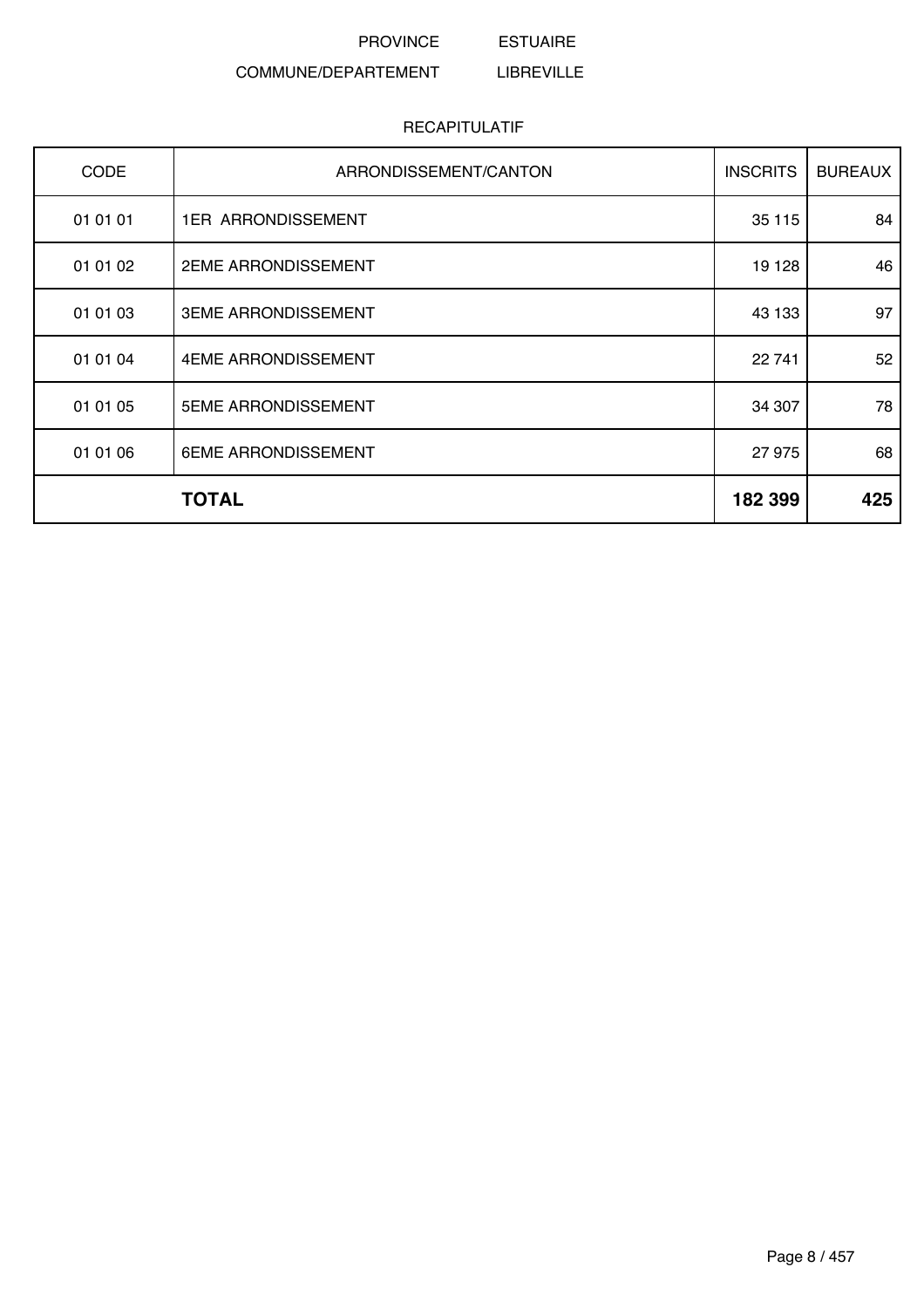#### PROVINCE ESTUAIRE

#### COMMUNE/DEPARTEMENT LIBREVILLE

| <b>CODE</b> | ARRONDISSEMENT/CANTON      | <b>INSCRITS</b> | <b>BUREAUX</b> |
|-------------|----------------------------|-----------------|----------------|
| 01 01 01    | <b>1ER ARRONDISSEMENT</b>  | 35 115          | 84             |
| 01 01 02    | <b>2EME ARRONDISSEMENT</b> | 19 128          | 46             |
| 01 01 03    | <b>3EME ARRONDISSEMENT</b> | 43 133          | 97             |
| 01 01 04    | 4EME ARRONDISSEMENT        | 22 741          | 52             |
| 01 01 05    | <b>5EME ARRONDISSEMENT</b> | 34 307          | 78             |
| 01 01 06    | 6EME ARRONDISSEMENT        | 27 975          | 68             |
|             | <b>TOTAL</b>               | 182 399         | 425            |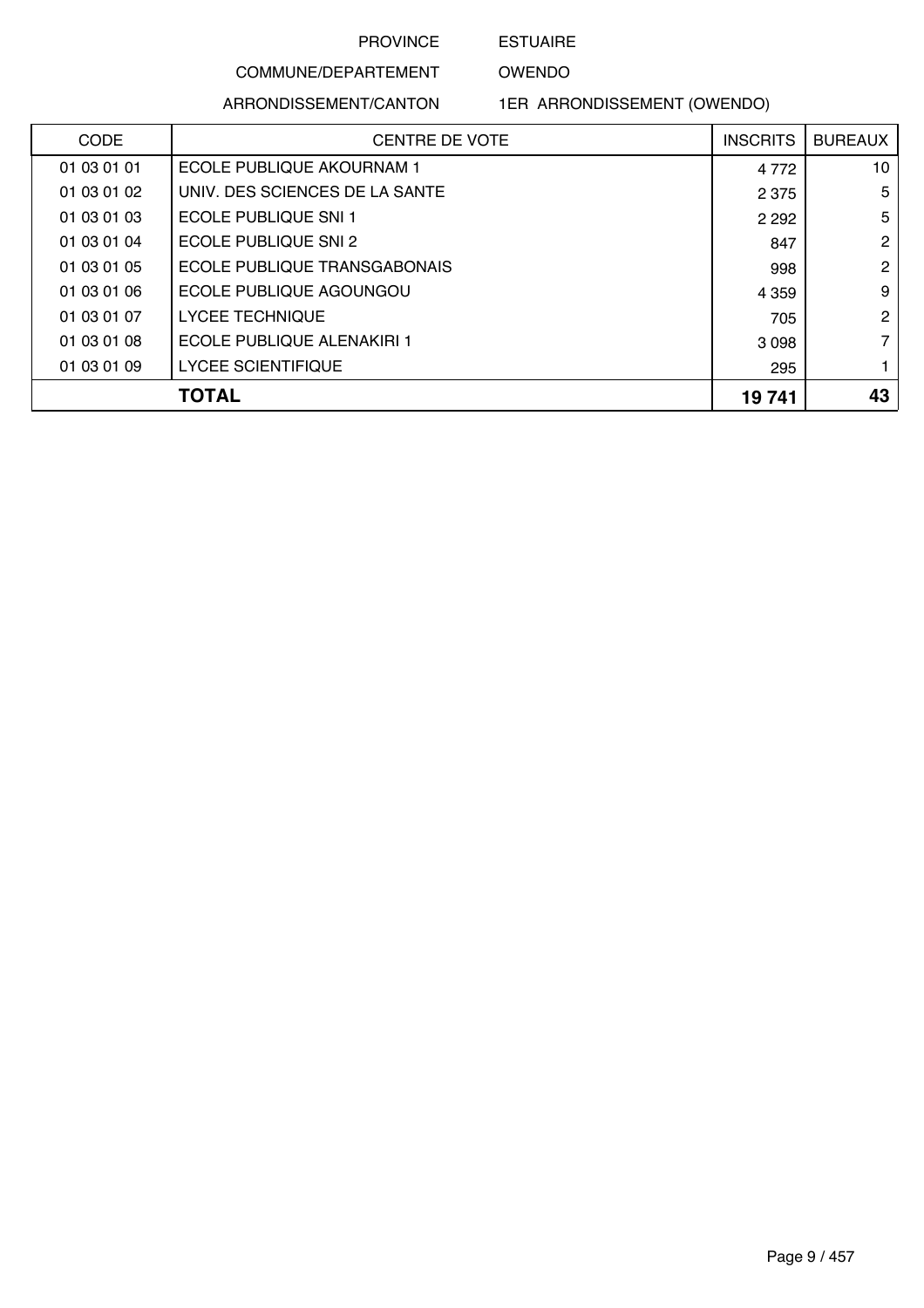ESTUAIRE

OWENDO

ARRONDISSEMENT/CANTON

COMMUNE/DEPARTEMENT

1ER ARRONDISSEMENT (OWENDO)

| <b>CODE</b> | <b>CENTRE DE VOTE</b>          | <b>INSCRITS</b> | <b>BUREAUX</b>  |
|-------------|--------------------------------|-----------------|-----------------|
| 01 03 01 01 | ECOLE PUBLIQUE AKOURNAM 1      | 4 7 7 2         | 10 <sup>°</sup> |
| 01 03 01 02 | UNIV. DES SCIENCES DE LA SANTE | 2 3 7 5         | 5               |
| 01 03 01 03 | ECOLE PUBLIQUE SNI 1           | 2 2 9 2         | 5               |
| 01 03 01 04 | ECOLE PUBLIQUE SNI 2           | 847             | $\overline{2}$  |
| 01 03 01 05 | ECOLE PUBLIQUE TRANSGABONAIS   | 998             | $\overline{2}$  |
| 01 03 01 06 | ECOLE PUBLIQUE AGOUNGOU        | 4 3 5 9         | 9               |
| 01 03 01 07 | <b>LYCEE TECHNIQUE</b>         | 705             | $\overline{2}$  |
| 01 03 01 08 | ECOLE PUBLIQUE ALENAKIRI 1     | 3 0 9 8         | $\overline{7}$  |
| 01 03 01 09 | LYCEE SCIENTIFIQUE             | 295             | 1               |
|             | TOTAL                          | 19741           | 43              |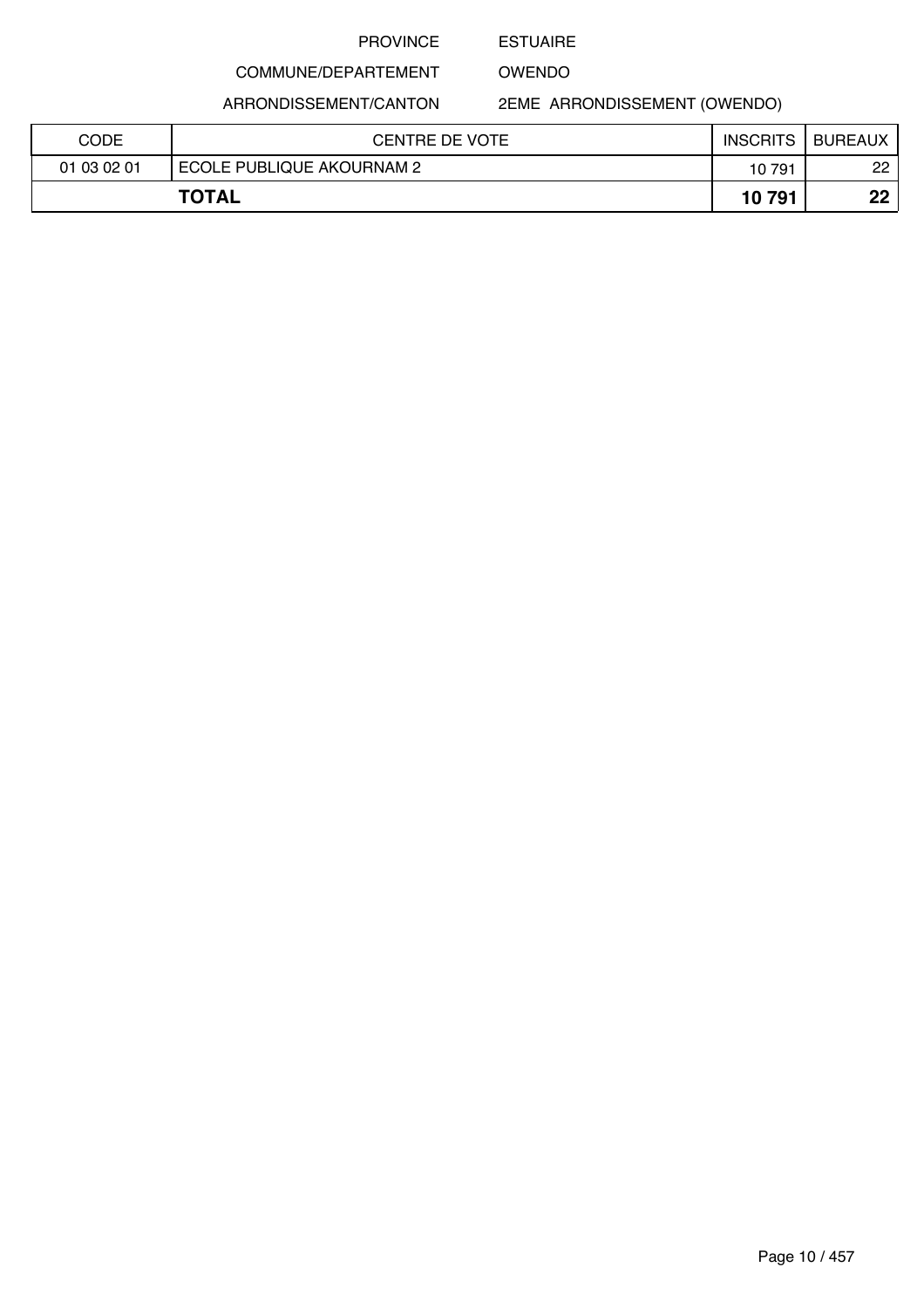### ESTUAIRE

OWENDO

ARRONDISSEMENT/CANTON

COMMUNE/DEPARTEMENT

2EME ARRONDISSEMENT (OWENDO)

| CODE        | CENTRE DE VOTE            | <b>INSCRITS</b> | <b>BUREAUX</b> |
|-------------|---------------------------|-----------------|----------------|
| 01 03 02 01 | ECOLE PUBLIQUE AKOURNAM 2 | 10791           | 22             |
|             | <b>TOTAL</b>              | 10791           | ממ             |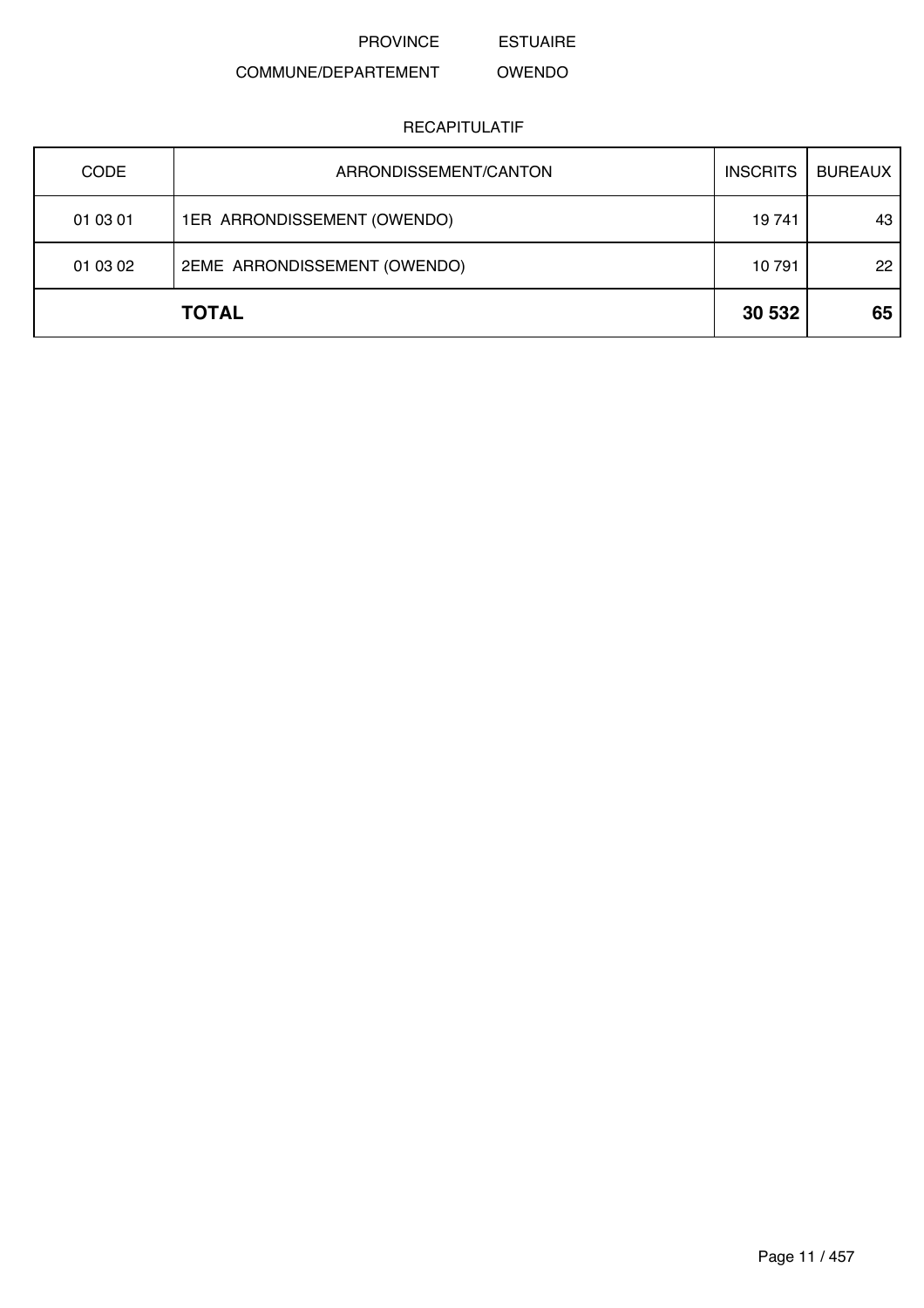ESTUAIRE

#### COMMUNE/DEPARTEMENT OWENDO

| <b>CODE</b> | ARRONDISSEMENT/CANTON        | <b>INSCRITS</b> | <b>BUREAUX</b> |
|-------------|------------------------------|-----------------|----------------|
| 01 03 01    | 1ER ARRONDISSEMENT (OWENDO)  | 19 741          | 43             |
| 01 03 02    | 2EME ARRONDISSEMENT (OWENDO) | 10791           | 22             |
|             | <b>TOTAL</b>                 | 30 532          | 65             |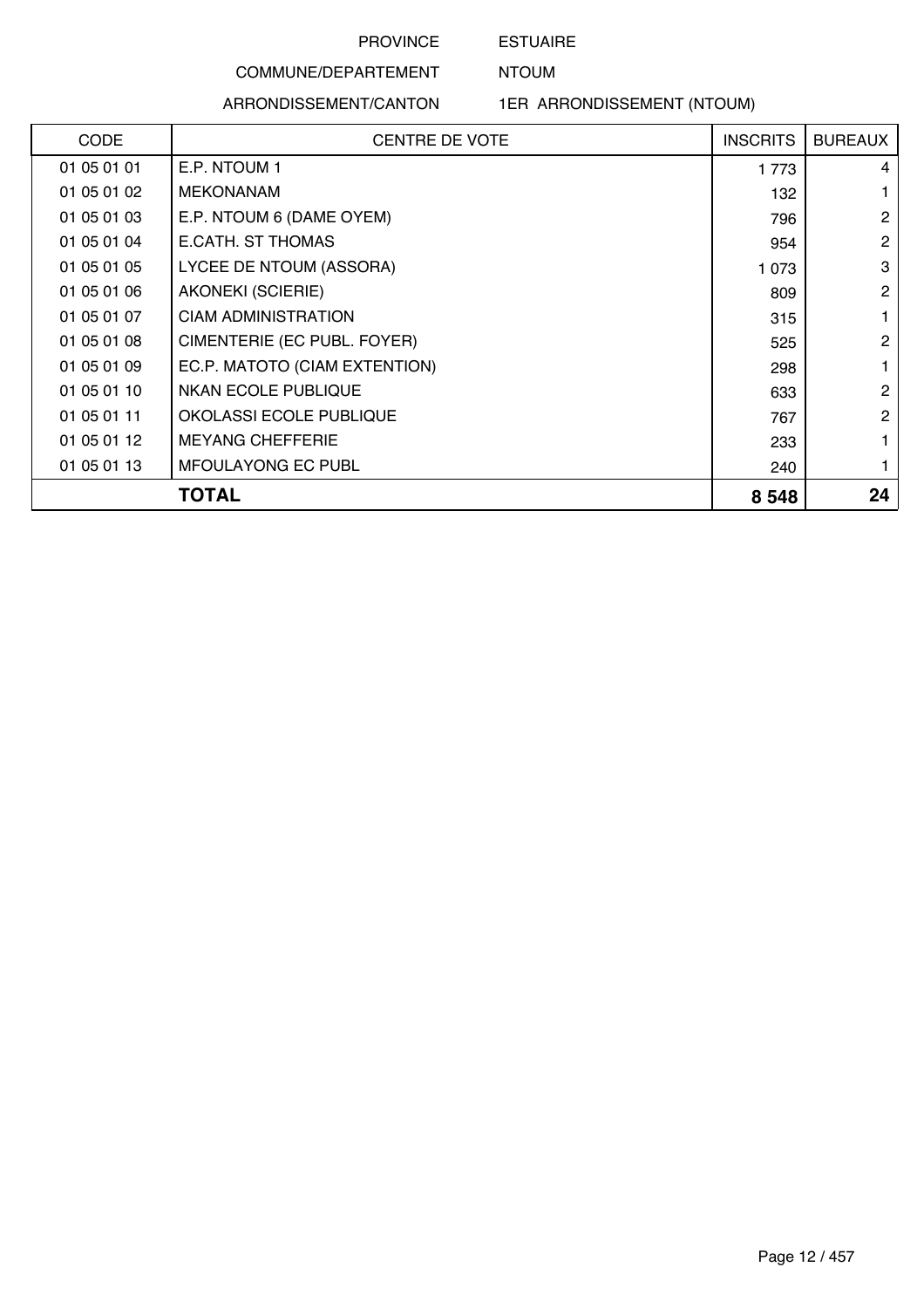## ESTUAIRE NTOUM

#### COMMUNE/DEPARTEMENT

### ARRONDISSEMENT/CANTON

1ER ARRONDISSEMENT (NTOUM)

| <b>CODE</b> | <b>CENTRE DE VOTE</b>         | <b>INSCRITS</b> | <b>BUREAUX</b> |
|-------------|-------------------------------|-----------------|----------------|
| 01 05 01 01 | E.P. NTOUM 1                  | 1 773           | 4              |
| 01 05 01 02 | <b>MEKONANAM</b>              | 132             | 1              |
| 01 05 01 03 | E.P. NTOUM 6 (DAME OYEM)      | 796             | $\overline{2}$ |
| 01 05 01 04 | E.CATH. ST THOMAS             | 954             | $\overline{2}$ |
| 01 05 01 05 | LYCEE DE NTOUM (ASSORA)       | 1 0 7 3         | 3              |
| 01 05 01 06 | <b>AKONEKI (SCIERIE)</b>      | 809             | $\mathbf{2}$   |
| 01 05 01 07 | <b>CIAM ADMINISTRATION</b>    | 315             |                |
| 01 05 01 08 | CIMENTERIE (EC PUBL. FOYER)   | 525             | $\overline{2}$ |
| 01 05 01 09 | EC.P. MATOTO (CIAM EXTENTION) | 298             | 1              |
| 01 05 01 10 | <b>NKAN ECOLE PUBLIQUE</b>    | 633             | $\mathbf{2}$   |
| 01 05 01 11 | OKOLASSI ECOLE PUBLIQUE       | 767             | $\mathbf{2}$   |
| 01 05 01 12 | <b>MEYANG CHEFFERIE</b>       | 233             | 1              |
| 01 05 01 13 | MFOULAYONG EC PUBL            | 240             |                |
|             | <b>TOTAL</b>                  | 8 5 4 8         | 24             |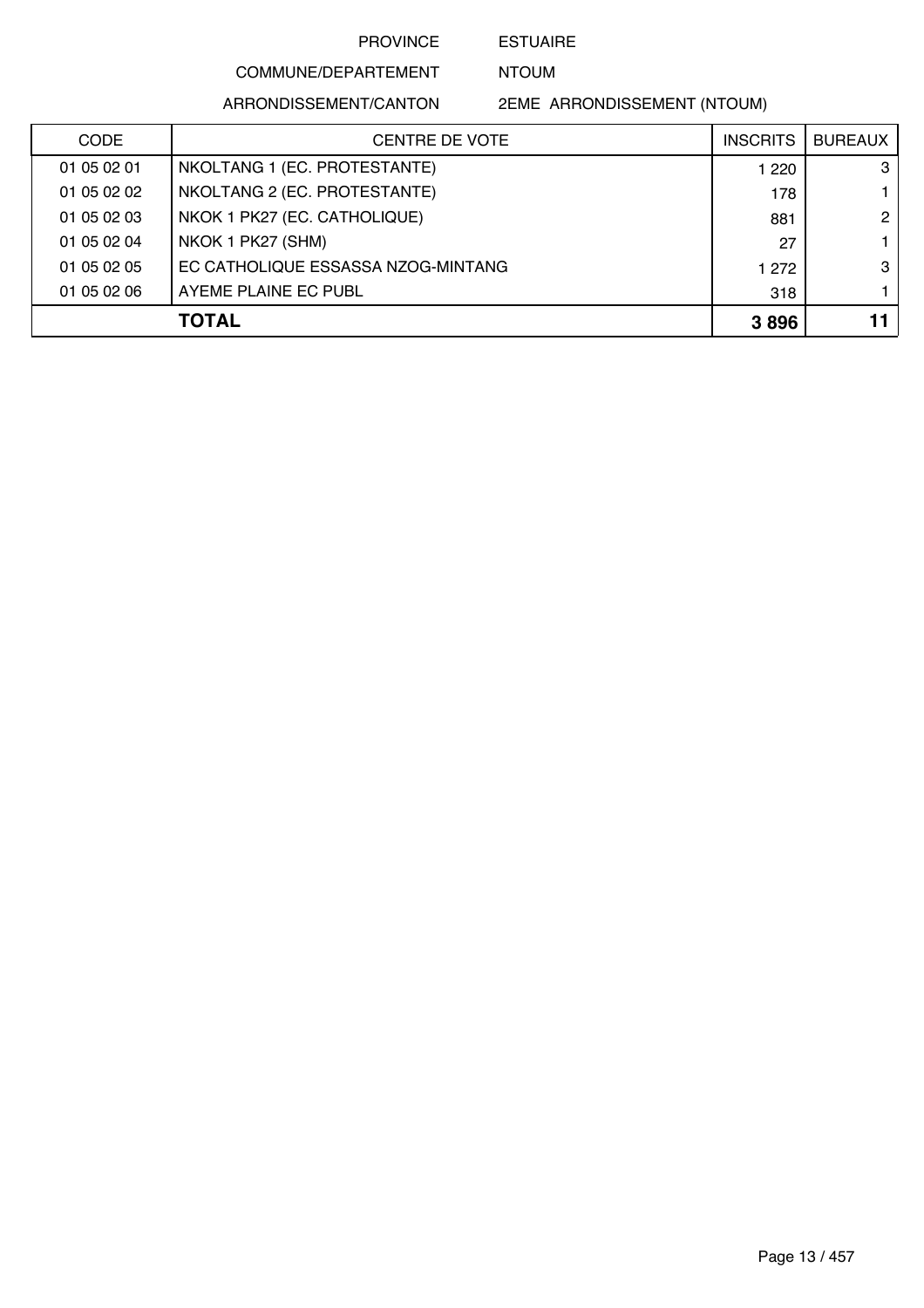ESTUAIRE NTOUM

# COMMUNE/DEPARTEMENT

ARRONDISSEMENT/CANTON

2EME ARRONDISSEMENT (NTOUM)

| <b>CODE</b> | <b>CENTRE DE VOTE</b>              | <b>INSCRITS</b> | <b>BUREAUX</b> |
|-------------|------------------------------------|-----------------|----------------|
| 01 05 02 01 | NKOLTANG 1 (EC. PROTESTANTE)       | 1 2 2 0         | 3              |
| 01 05 02 02 | NKOLTANG 2 (EC. PROTESTANTE)       | 178             |                |
| 01 05 02 03 | NKOK 1 PK27 (EC. CATHOLIQUE)       | 881             | $\mathbf{2}$   |
| 01 05 02 04 | NKOK 1 PK27 (SHM)                  | 27              |                |
| 01 05 02 05 | EC CATHOLIQUE ESSASSA NZOG-MINTANG | 1 272           | 3              |
| 01 05 02 06 | AYEME PLAINE EC PUBL               | 318             |                |
|             | <b>TOTAL</b>                       | 3896            | 11             |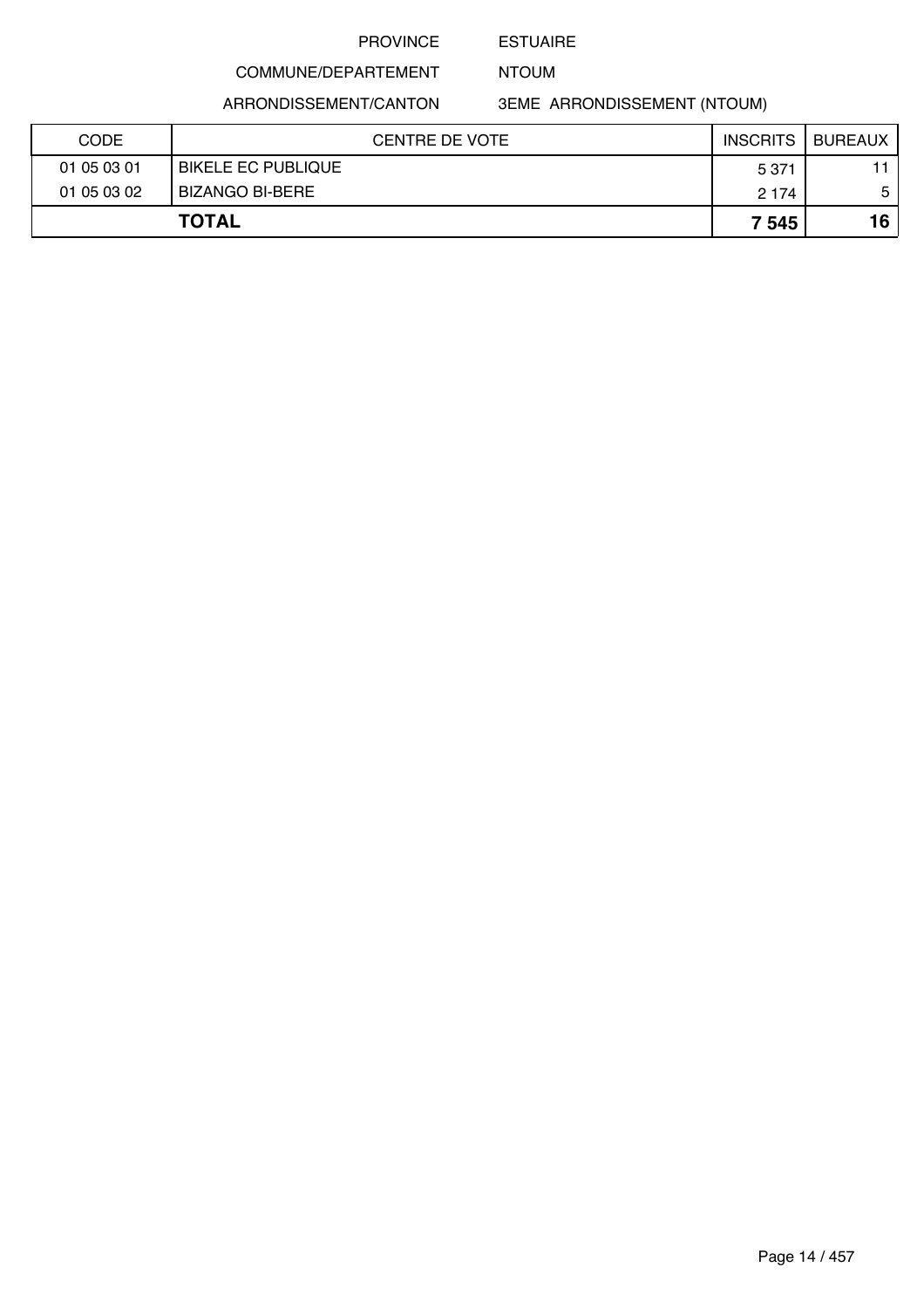### ESTUAIRE

NTOUM

ARRONDISSEMENT/CANTON

COMMUNE/DEPARTEMENT

3EME ARRONDISSEMENT (NTOUM)

| <b>CODE</b> | <b>CENTRE DE VOTE</b>     | <b>INSCRITS</b> | BUREAUX |
|-------------|---------------------------|-----------------|---------|
| 01 05 03 01 | <b>BIKELE EC PUBLIQUE</b> | 5 3 7 1         | 11      |
| 01 05 03 02 | BIZANGO BI-BERE           | 2 1 7 4         | 5       |
|             | <b>TOTAL</b>              | 7 5 4 5         | 16      |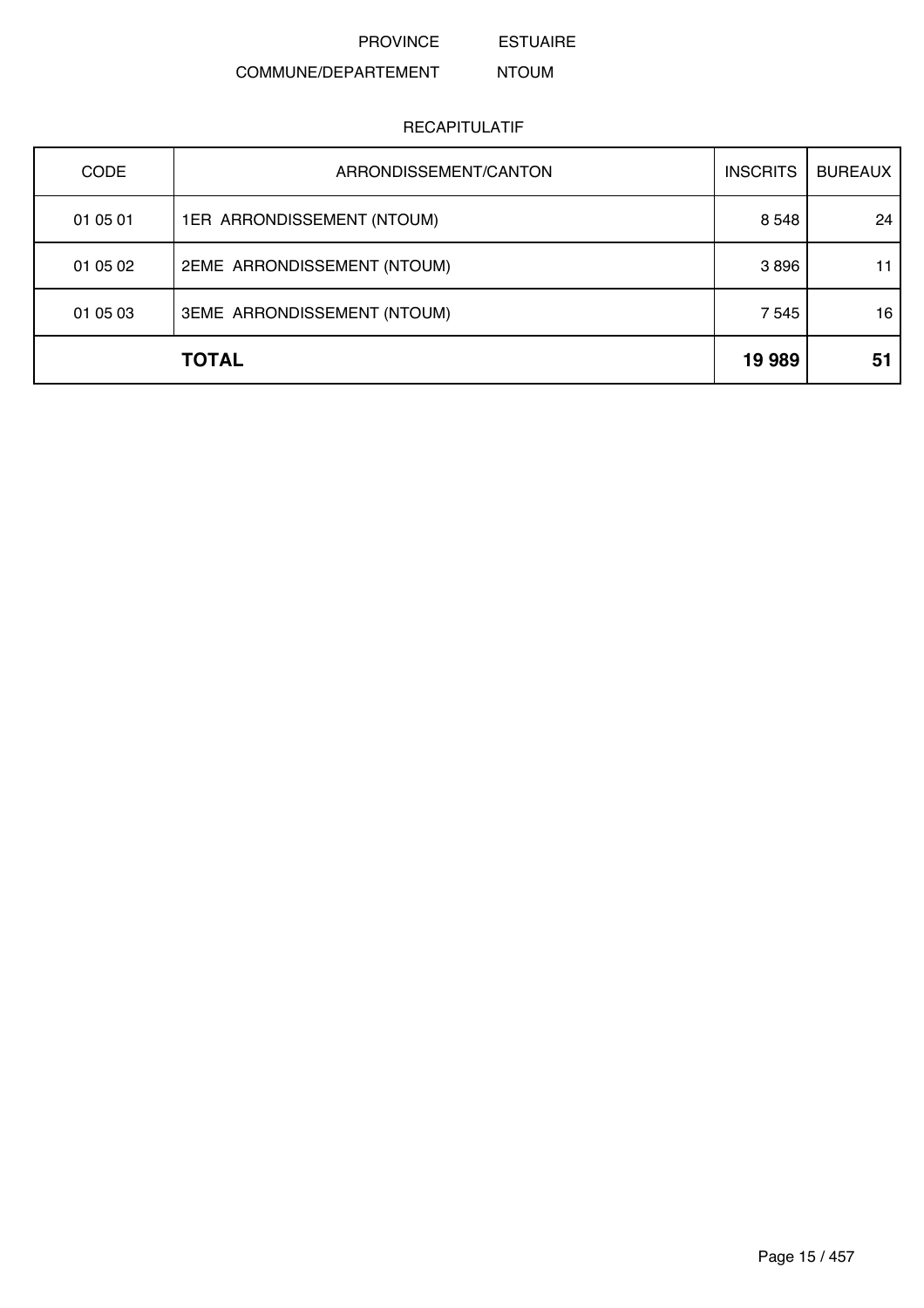ESTUAIRE

#### COMMUNE/DEPARTEMENT NTOUM

### RECAPITULATIF

| <b>CODE</b>  | ARRONDISSEMENT/CANTON       | <b>INSCRITS</b> | <b>BUREAUX</b> |
|--------------|-----------------------------|-----------------|----------------|
| 01 05 01     | 1ER ARRONDISSEMENT (NTOUM)  | 8 5 4 8         | 24             |
| 01 05 02     | 2EME ARRONDISSEMENT (NTOUM) | 3896            | 11             |
| 01 05 03     | 3EME ARRONDISSEMENT (NTOUM) | 7 5 4 5         | 16             |
| <b>TOTAL</b> |                             | 19 989          | 51             |

Page 15 / 457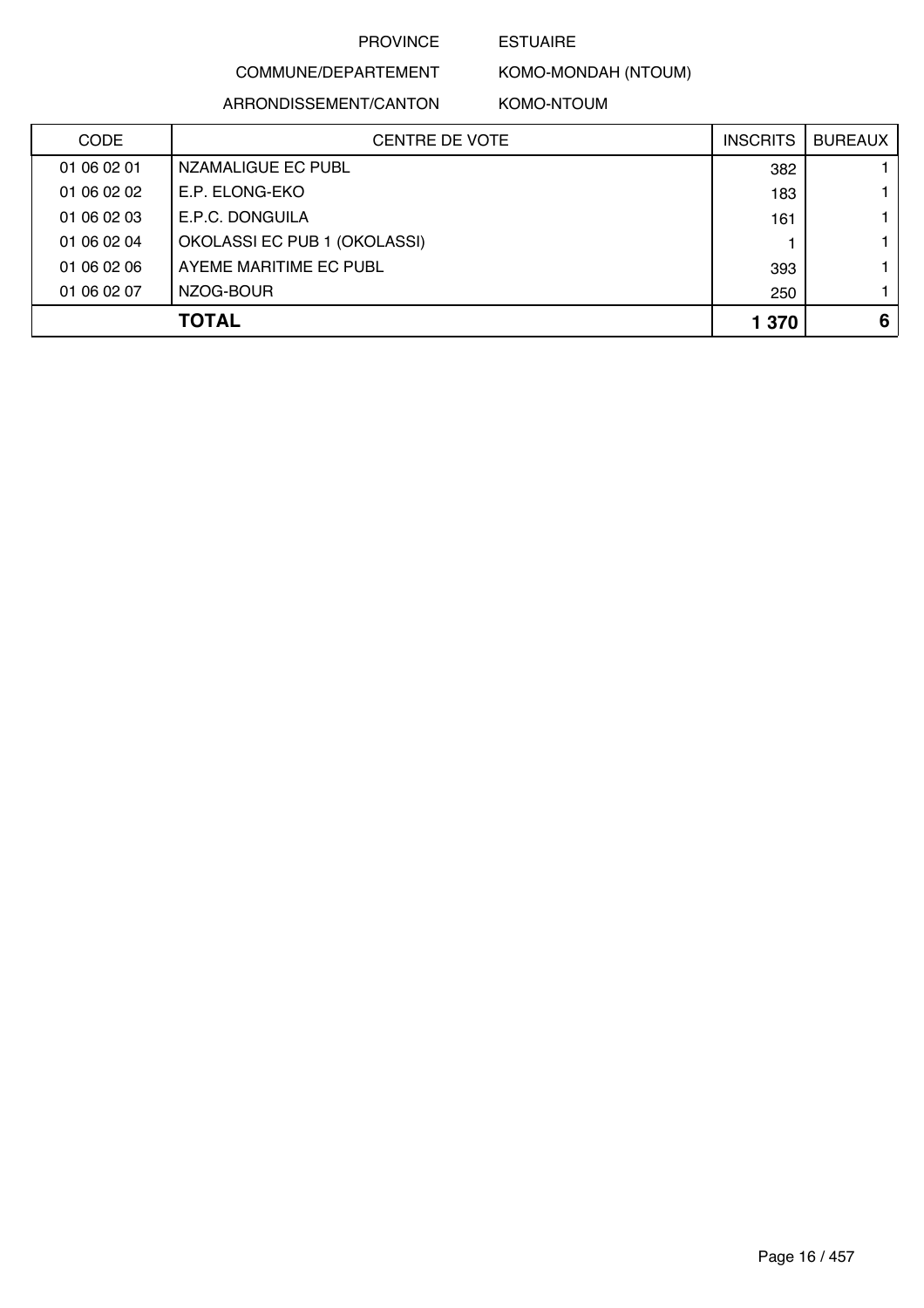### ESTUAIRE

COMMUNE/DEPARTEMENT ARRONDISSEMENT/CANTON

KOMO-MONDAH (NTOUM) KOMO-NTOUM

| <b>CODE</b> | <b>CENTRE DE VOTE</b>        | <b>INSCRITS</b> | <b>BUREAUX</b> |
|-------------|------------------------------|-----------------|----------------|
| 01 06 02 01 | NZAMALIGUE EC PUBL           | 382             |                |
| 01 06 02 02 | E.P. ELONG-EKO               | 183             |                |
| 01 06 02 03 | E.P.C. DONGUILA              | 161             |                |
| 01 06 02 04 | OKOLASSI EC PUB 1 (OKOLASSI) |                 |                |
| 01 06 02 06 | AYEME MARITIME EC PUBL       | 393             |                |
| 01 06 02 07 | NZOG-BOUR                    | 250             |                |
|             | <b>TOTAL</b>                 | 1 370           | 6              |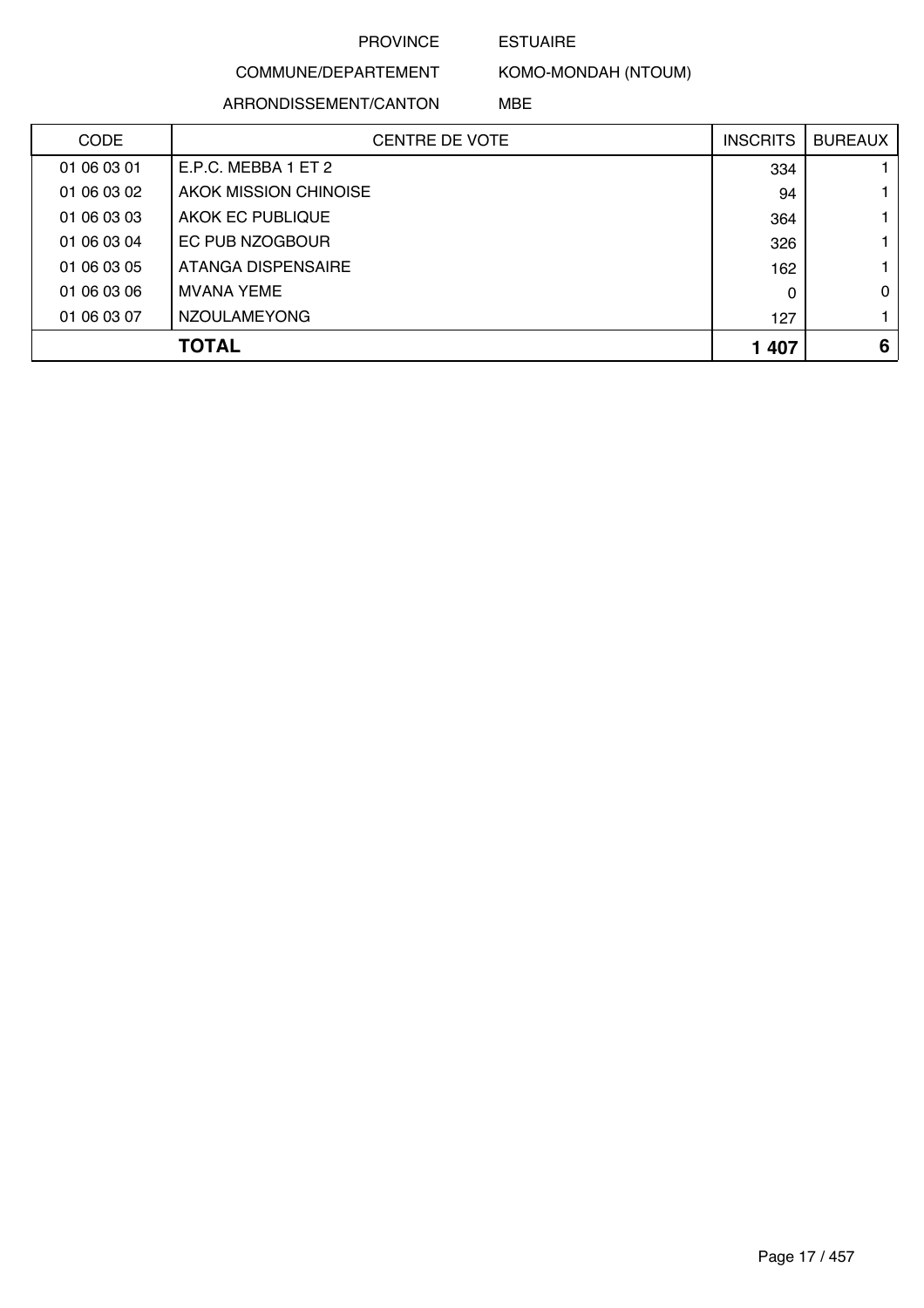### ESTUAIRE

COMMUNE/DEPARTEMENT

ARRONDISSEMENT/CANTON

KOMO-MONDAH (NTOUM)

MBE

| <b>CODE</b> | <b>CENTRE DE VOTE</b> | <b>INSCRITS</b> | <b>BUREAUX</b> |
|-------------|-----------------------|-----------------|----------------|
| 01 06 03 01 | E.P.C. MEBBA 1 ET 2   | 334             |                |
| 01 06 03 02 | AKOK MISSION CHINOISE | 94              |                |
| 01 06 03 03 | AKOK EC PUBLIQUE      | 364             |                |
| 01 06 03 04 | EC PUB NZOGBOUR       | 326             |                |
| 01 06 03 05 | ATANGA DISPENSAIRE    | 162             |                |
| 01 06 03 06 | <b>MVANA YEME</b>     | 0               | 0              |
| 01 06 03 07 | <b>NZOULAMEYONG</b>   | 127             |                |
|             | TOTAL                 | 1 407           | 6              |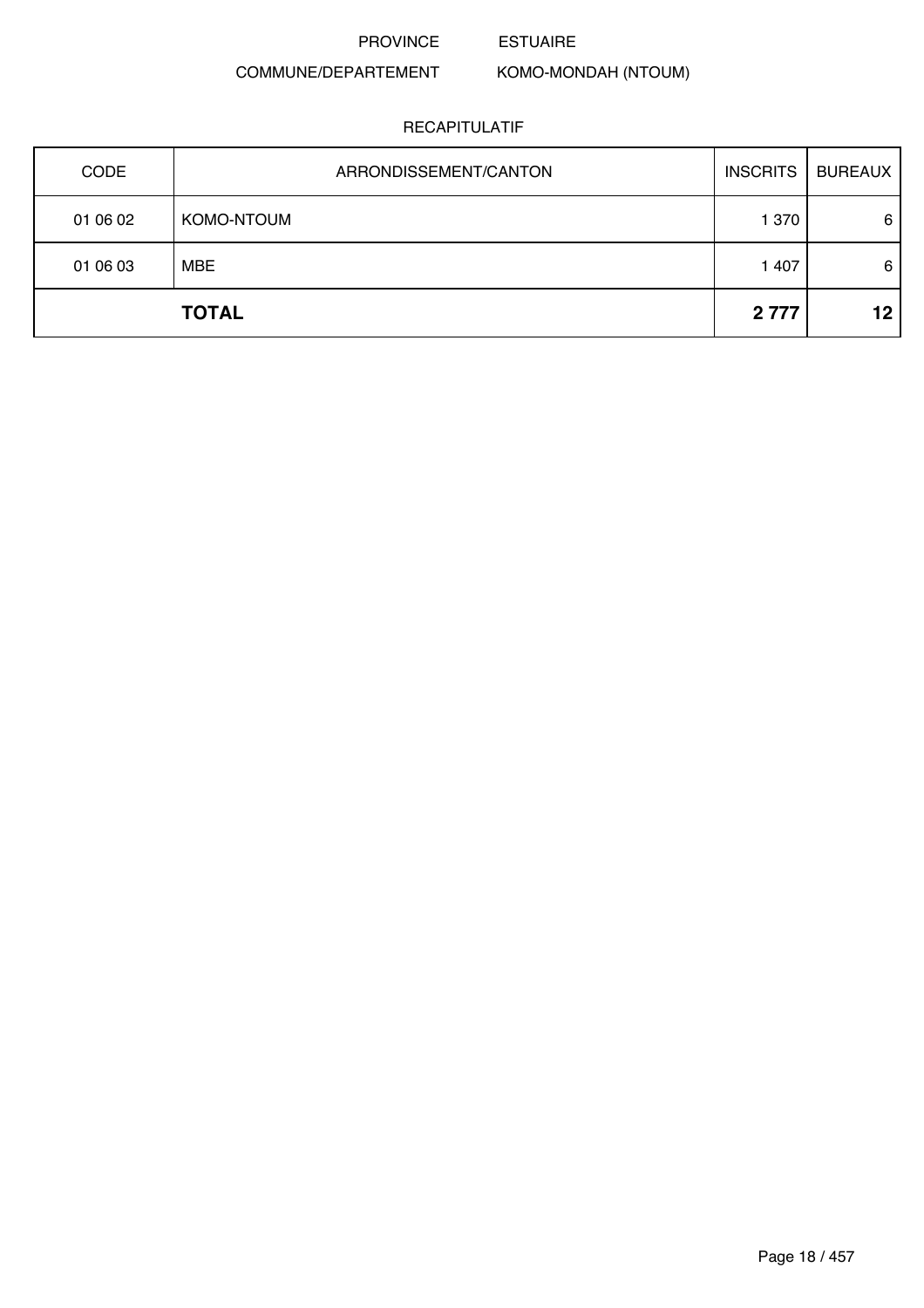ESTUAIRE

## COMMUNE/DEPARTEMENT

KOMO-MONDAH (NTOUM)

| <b>CODE</b> | ARRONDISSEMENT/CANTON | <b>INSCRITS</b> | <b>BUREAUX</b> |
|-------------|-----------------------|-----------------|----------------|
| 01 06 02    | KOMO-NTOUM            | 1 370           | 6              |
| 01 06 03    | <b>MBE</b>            | 1 407           | 6              |
|             | <b>TOTAL</b>          | 2 7 7 7         | 12             |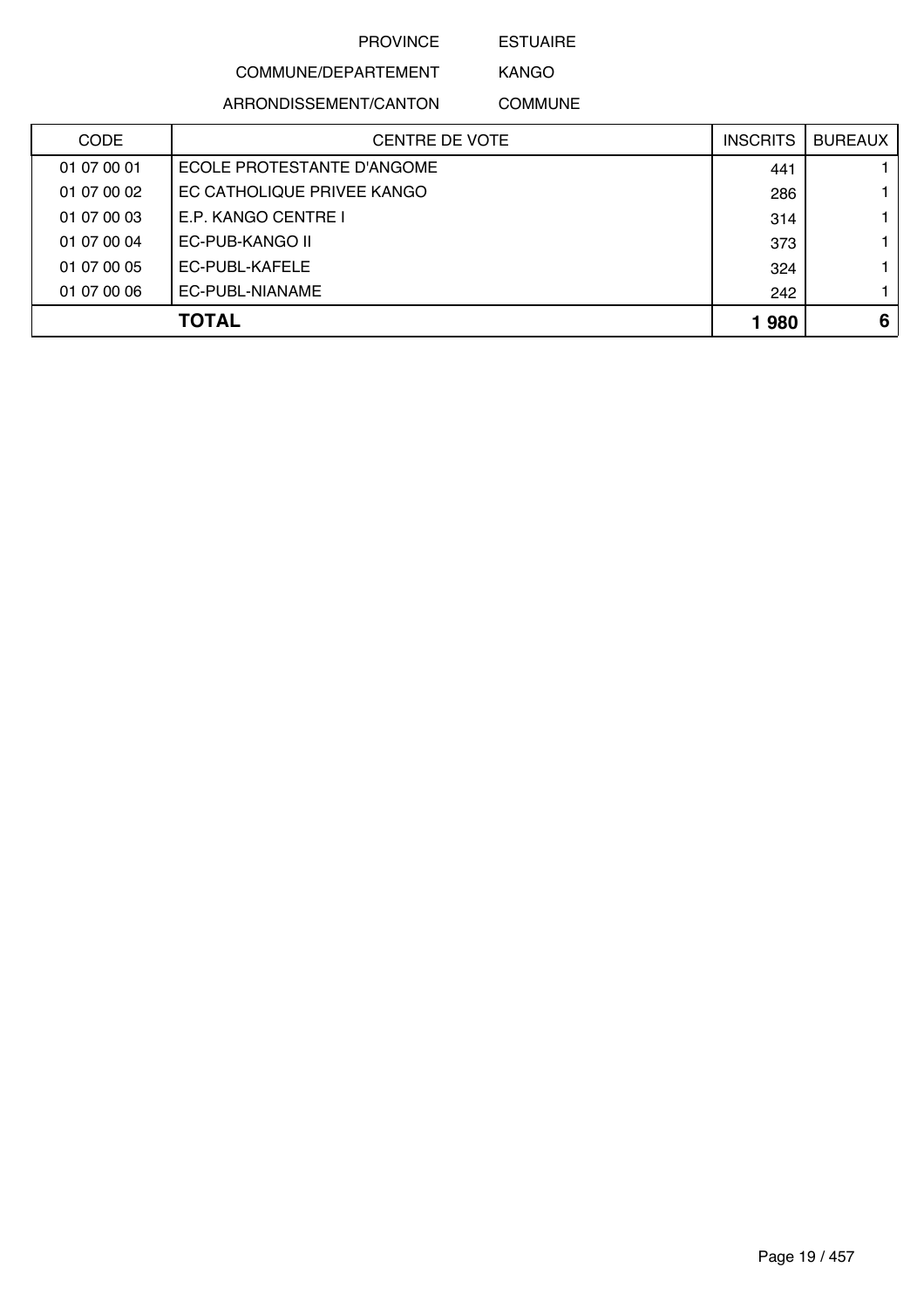ESTUAIRE

# COMMUNE/DEPARTEMENT

ARRONDISSEMENT/CANTON

KANGO COMMUNE

| <b>CODE</b> | CENTRE DE VOTE             | <b>INSCRITS</b> | <b>BUREAUX</b> |
|-------------|----------------------------|-----------------|----------------|
| 01 07 00 01 | ECOLE PROTESTANTE D'ANGOME | 441             |                |
| 01 07 00 02 | EC CATHOLIQUE PRIVEE KANGO | 286             |                |
| 01 07 00 03 | E.P. KANGO CENTRE I        | 314             |                |
| 01 07 00 04 | EC-PUB-KANGO II            | 373             |                |
| 01 07 00 05 | EC-PUBL-KAFELE             | 324             |                |
| 01 07 00 06 | EC-PUBL-NIANAME            | 242             |                |
|             | <b>TOTAL</b>               | 1980            | 6              |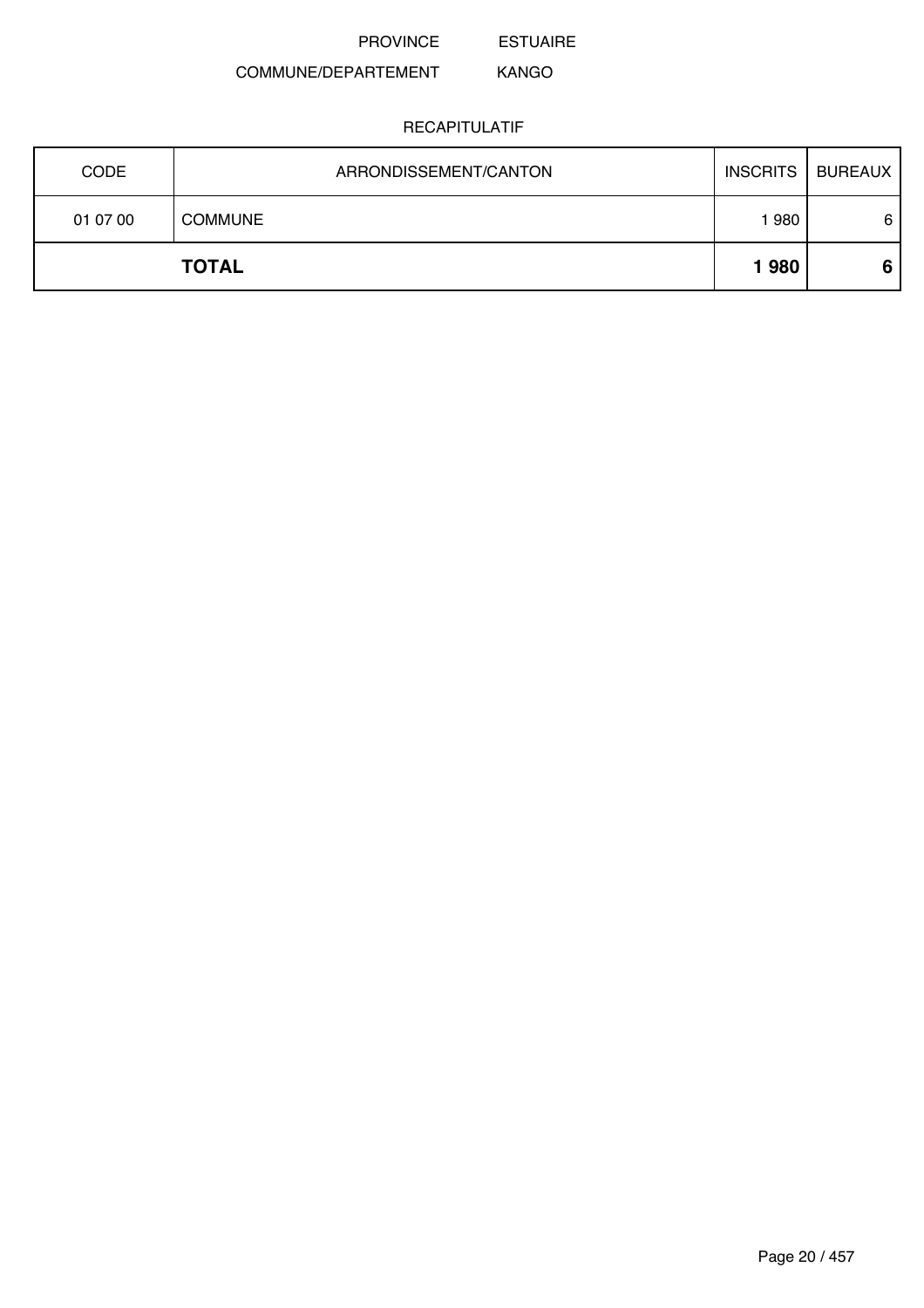ESTUAIRE

#### COMMUNE/DEPARTEMENT KANGO

| 01 07 00    | <b>COMMUNE</b>        | '980            | 6              |
|-------------|-----------------------|-----------------|----------------|
|             | <b>TOTAL</b>          | 1980            | 6              |
| <b>CODE</b> | ARRONDISSEMENT/CANTON | <b>INSCRITS</b> | <b>BUREAUX</b> |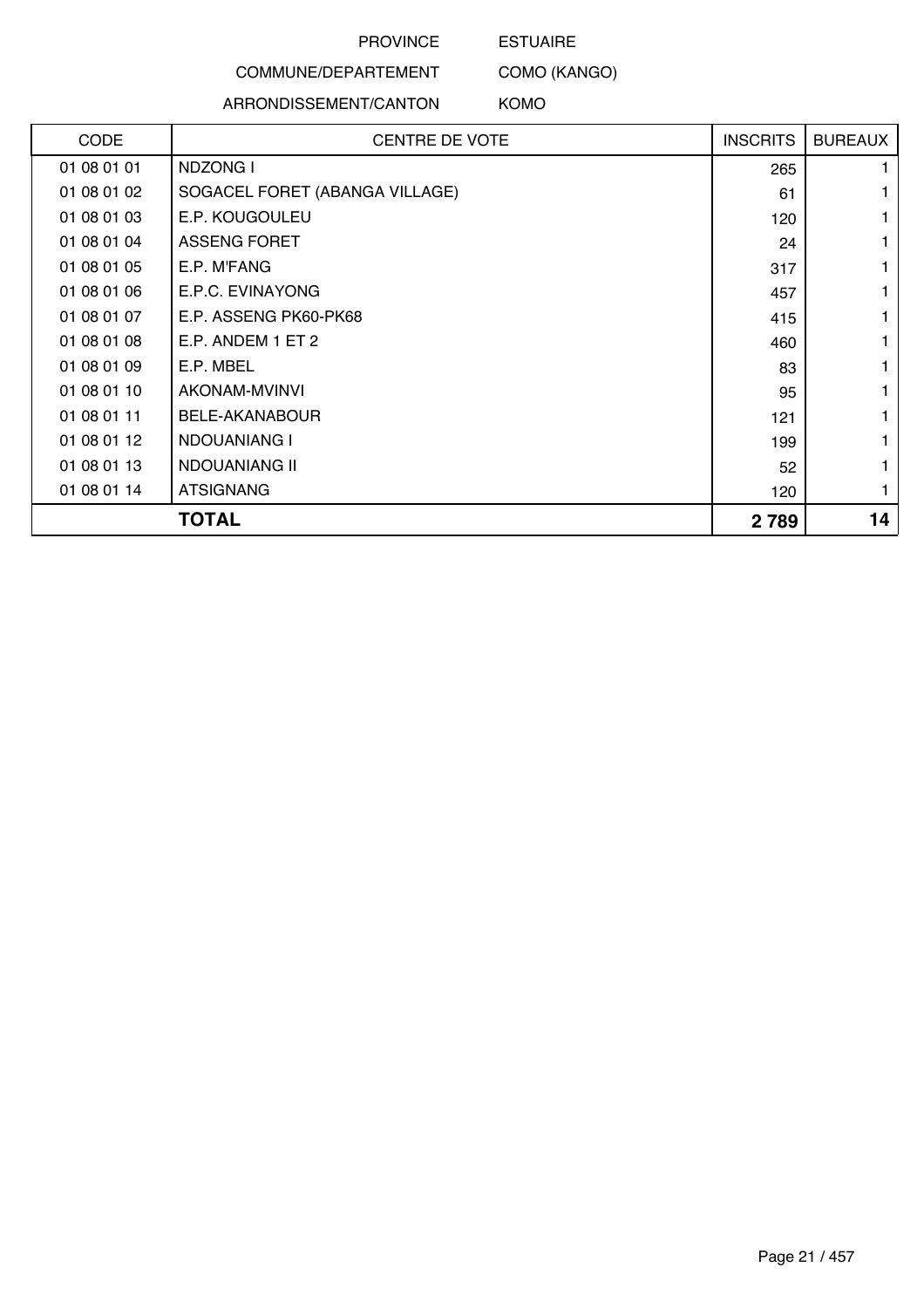ESTUAIRE

#### COMMUNE/DEPARTEMENT

### ARRONDISSEMENT/CANTON

COMO (KANGO) KOMO

| <b>CODE</b> | <b>CENTRE DE VOTE</b>          | <b>INSCRITS</b> | <b>BUREAUX</b> |
|-------------|--------------------------------|-----------------|----------------|
| 01 08 01 01 | <b>NDZONG I</b>                | 265             |                |
| 01 08 01 02 | SOGACEL FORET (ABANGA VILLAGE) | 61              |                |
| 01 08 01 03 | E.P. KOUGOULEU                 | 120             |                |
| 01 08 01 04 | <b>ASSENG FORET</b>            | 24              |                |
| 01 08 01 05 | E.P. M'FANG                    | 317             |                |
| 01 08 01 06 | E.P.C. EVINAYONG               | 457             |                |
| 01 08 01 07 | E.P. ASSENG PK60-PK68          | 415             |                |
| 01 08 01 08 | E.P. ANDEM 1 ET 2              | 460             |                |
| 01 08 01 09 | E.P. MBEL                      | 83              |                |
| 01 08 01 10 | AKONAM-MVINVI                  | 95              |                |
| 01 08 01 11 | <b>BELE-AKANABOUR</b>          | 121             |                |
| 01 08 01 12 | <b>NDOUANIANG I</b>            | 199             |                |
| 01 08 01 13 | NDOUANIANG II                  | 52              |                |
| 01 08 01 14 | <b>ATSIGNANG</b>               | 120             |                |
|             | <b>TOTAL</b>                   | 2789            | 14             |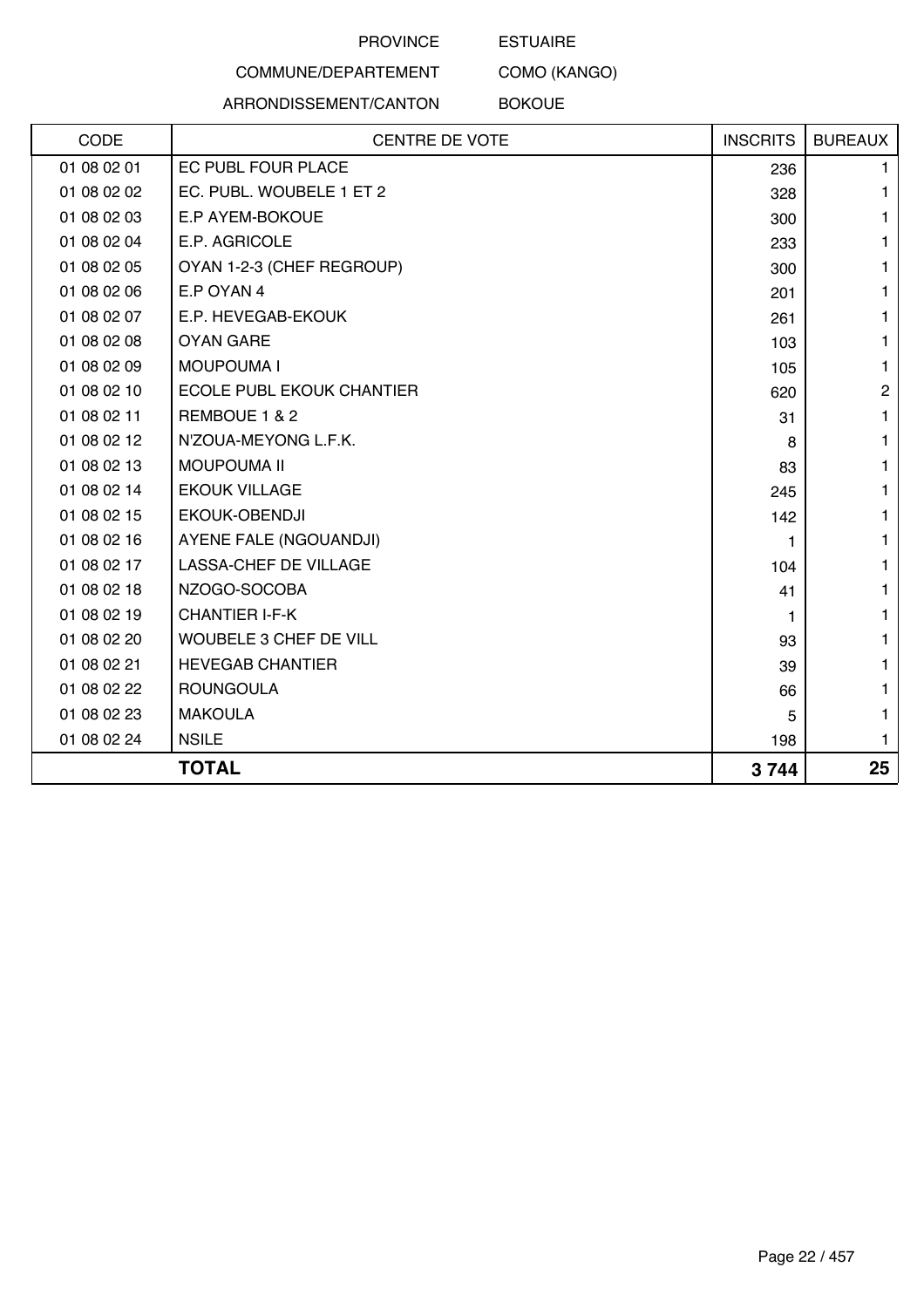#### ESTUAIRE

## COMMUNE/DEPARTEMENT

ARRONDISSEMENT/CANTON

BOKOUE

COMO (KANGO)

| CODE        | <b>CENTRE DE VOTE</b>            | <b>INSCRITS</b> | <b>BUREAUX</b> |
|-------------|----------------------------------|-----------------|----------------|
| 01 08 02 01 | EC PUBL FOUR PLACE               | 236             | 1.             |
| 01 08 02 02 | EC. PUBL. WOUBELE 1 ET 2         | 328             | 1.             |
| 01 08 02 03 | E.P AYEM-BOKOUE                  | 300             | 1              |
| 01 08 02 04 | E.P. AGRICOLE                    | 233             | 1              |
| 01 08 02 05 | OYAN 1-2-3 (CHEF REGROUP)        | 300             | 1              |
| 01 08 02 06 | E.P OYAN 4                       | 201             | 1.             |
| 01 08 02 07 | E.P. HEVEGAB-EKOUK               | 261             | 1              |
| 01 08 02 08 | <b>OYAN GARE</b>                 | 103             | 1              |
| 01 08 02 09 | <b>MOUPOUMA I</b>                | 105             | $\mathbf{1}$   |
| 01 08 02 10 | <b>ECOLE PUBL EKOUK CHANTIER</b> | 620             | $\overline{c}$ |
| 01 08 02 11 | REMBOUE 1 & 2                    | 31              | 1              |
| 01 08 02 12 | N'ZOUA-MEYONG L.F.K.             | 8               | 1              |
| 01 08 02 13 | <b>MOUPOUMA II</b>               | 83              | 1              |
| 01 08 02 14 | <b>EKOUK VILLAGE</b>             | 245             | 1              |
| 01 08 02 15 | EKOUK-OBENDJI                    | 142             | 1              |
| 01 08 02 16 | AYENE FALE (NGOUANDJI)           |                 | 1              |
| 01 08 02 17 | LASSA-CHEF DE VILLAGE            | 104             | 1              |
| 01 08 02 18 | NZOGO-SOCOBA                     | 41              | 1              |
| 01 08 02 19 | <b>CHANTIER I-F-K</b>            | 1               | 1.             |
| 01 08 02 20 | WOUBELE 3 CHEF DE VILL           | 93              | 1              |
| 01 08 02 21 | <b>HEVEGAB CHANTIER</b>          | 39              | 1.             |
| 01 08 02 22 | <b>ROUNGOULA</b>                 | 66              | 1              |
| 01 08 02 23 | <b>MAKOULA</b>                   | 5               | 1              |
| 01 08 02 24 | <b>NSILE</b>                     | 198             | 1.             |
|             | <b>TOTAL</b>                     | 3744            | 25             |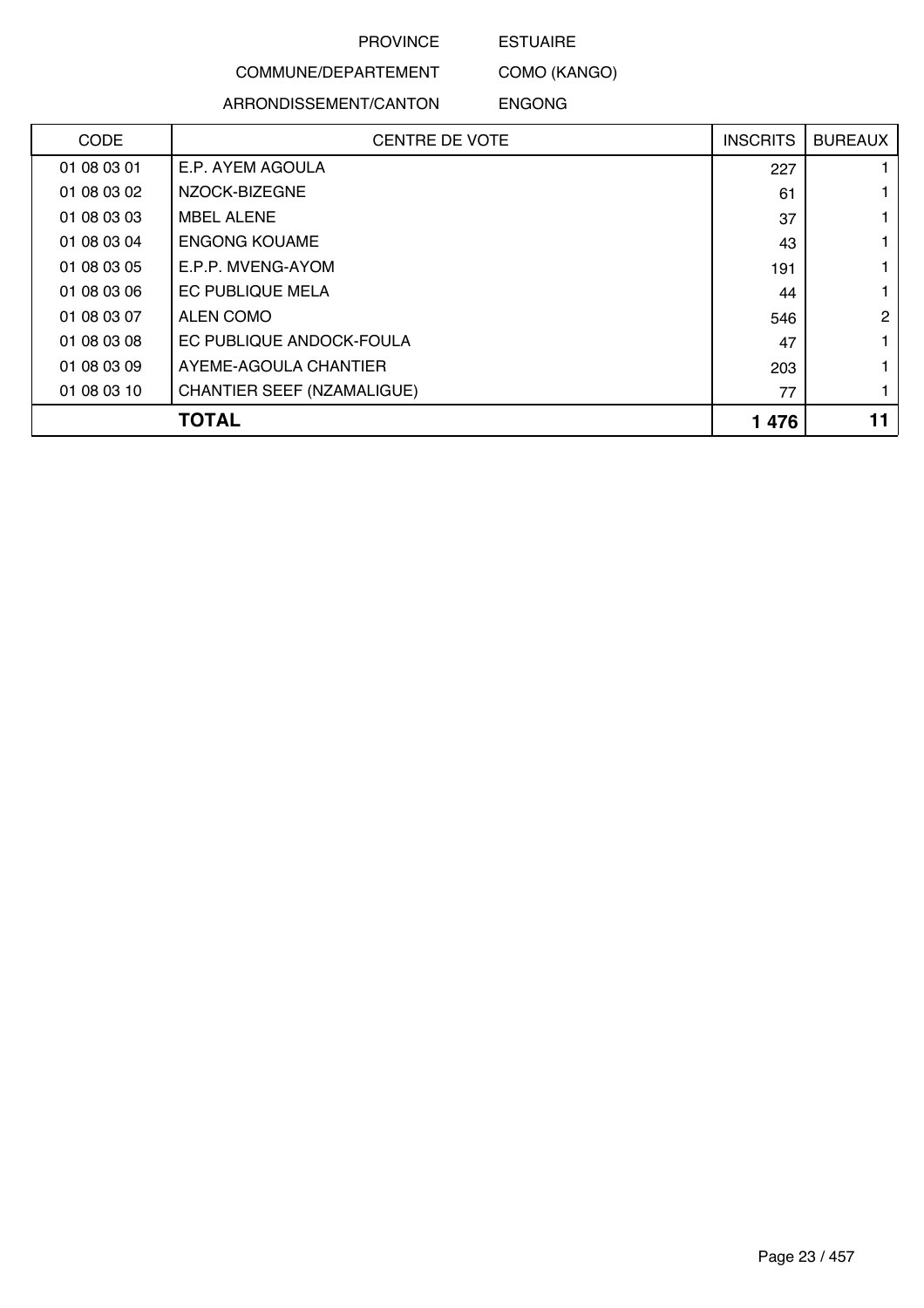#### ESTUAIRE

COMMUNE/DEPARTEMENT ARRONDISSEMENT/CANTON

COMO (KANGO) ENGONG

| <b>CODE</b> | <b>CENTRE DE VOTE</b>             | <b>INSCRITS</b> | <b>BUREAUX</b> |
|-------------|-----------------------------------|-----------------|----------------|
| 01 08 03 01 | E.P. AYEM AGOULA                  | 227             |                |
| 01 08 03 02 | NZOCK-BIZEGNE                     | 61              |                |
| 01 08 03 03 | <b>MBEL ALENE</b>                 | 37              |                |
| 01 08 03 04 | <b>ENGONG KOUAME</b>              | 43              |                |
| 01 08 03 05 | E.P.P. MVENG-AYOM                 | 191             |                |
| 01 08 03 06 | <b>EC PUBLIQUE MELA</b>           | 44              |                |
| 01 08 03 07 | ALEN COMO                         | 546             | 2              |
| 01 08 03 08 | EC PUBLIQUE ANDOCK-FOULA          | 47              |                |
| 01 08 03 09 | AYEME-AGOULA CHANTIER             | 203             |                |
| 01 08 03 10 | <b>CHANTIER SEEF (NZAMALIGUE)</b> | 77              |                |
|             | <b>TOTAL</b>                      | 1 4 7 6         |                |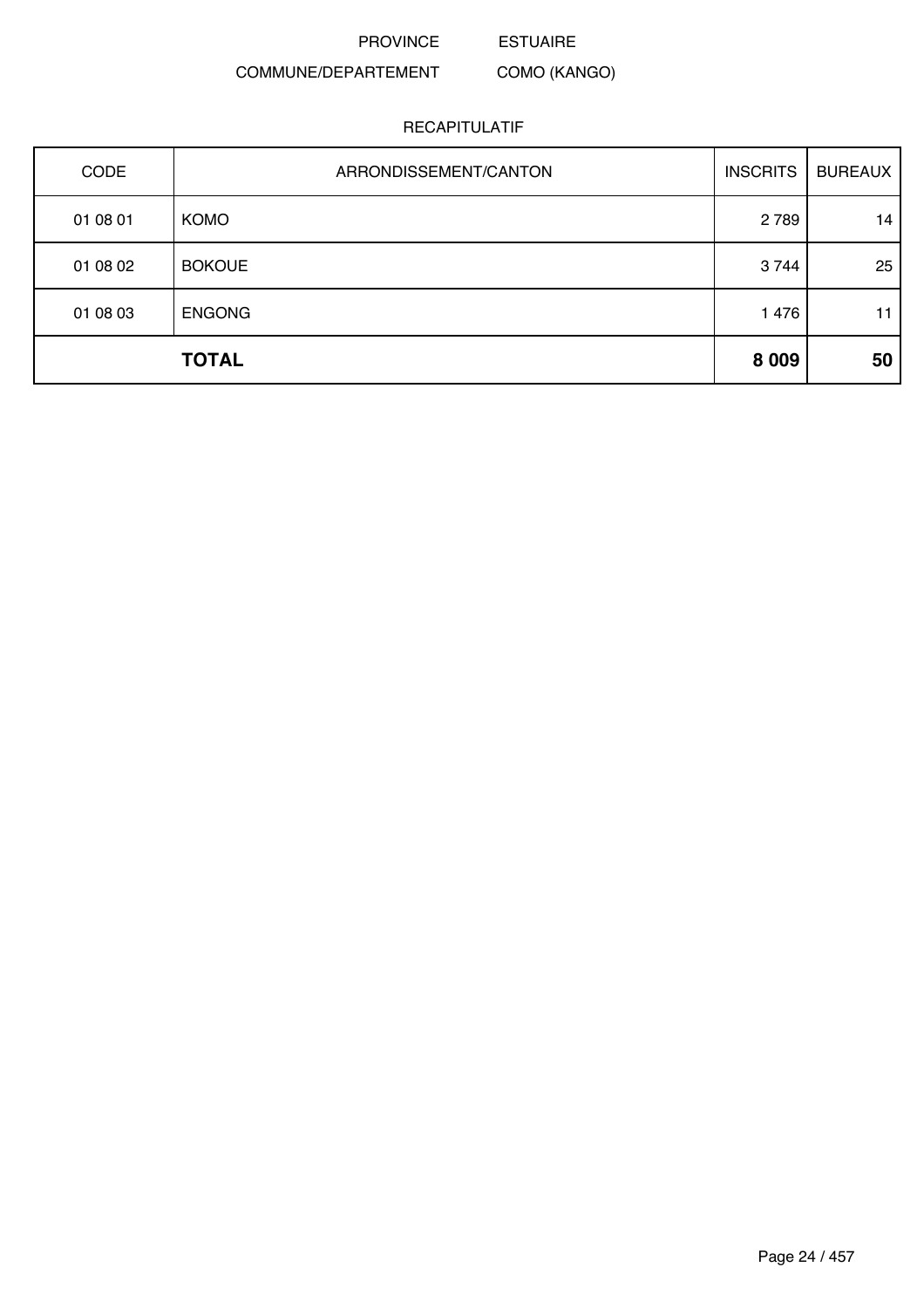ESTUAIRE

#### COMMUNE/DEPARTEMENT COMO (KANGO)

| CODE     | ARRONDISSEMENT/CANTON | <b>INSCRITS</b> | <b>BUREAUX</b> |
|----------|-----------------------|-----------------|----------------|
| 01 08 01 | <b>KOMO</b>           | 2789            | 14             |
| 01 08 02 | <b>BOKOUE</b>         | 3744            | 25             |
| 01 08 03 | <b>ENGONG</b>         | 1 4 7 6         | 11             |
|          | <b>TOTAL</b>          | 8 0 0 9         | 50             |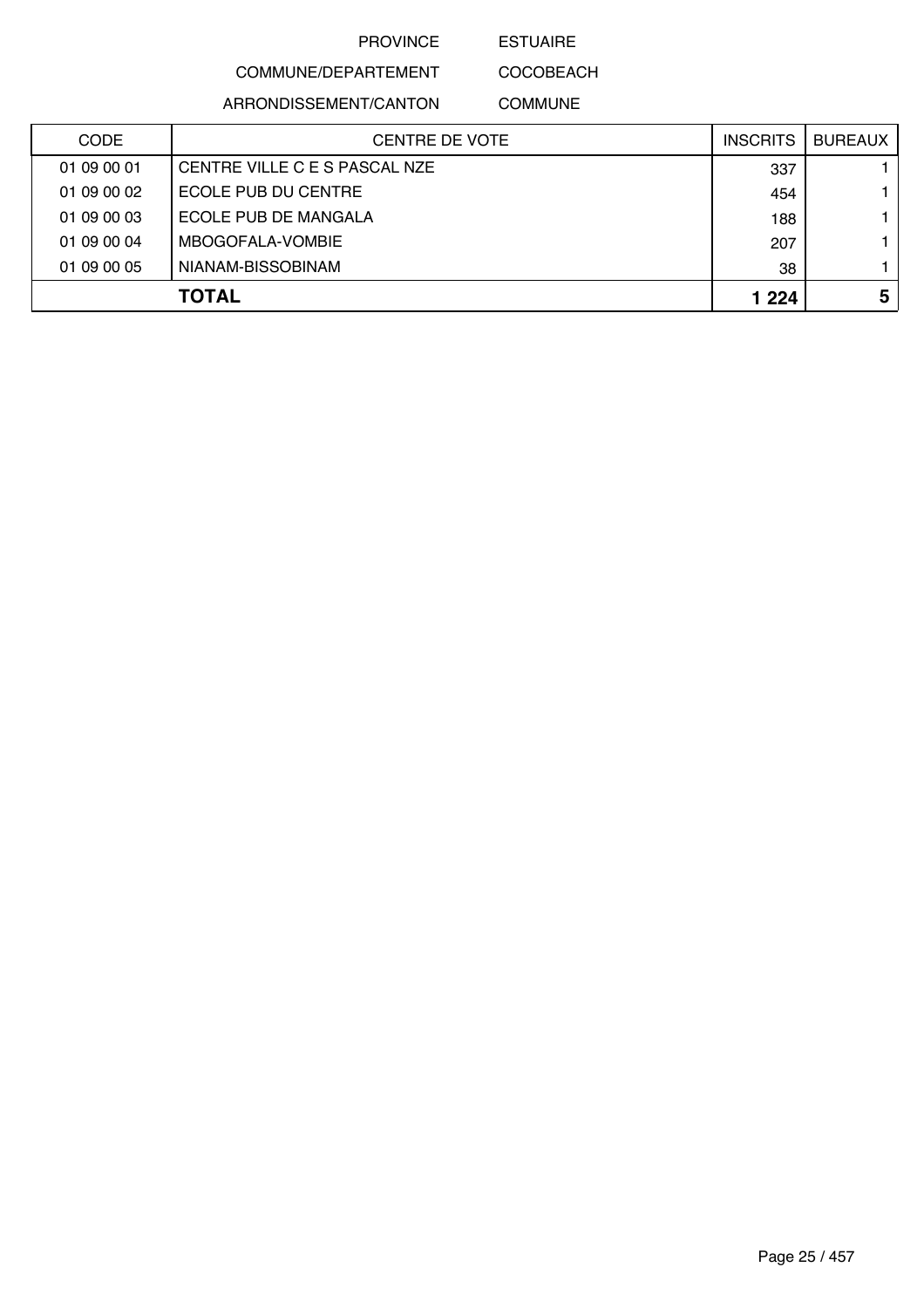ESTUAIRE

COMMUNE/DEPARTEMENT

ARRONDISSEMENT/CANTON

COCOBEACH COMMUNE

| <b>CODE</b> | CENTRE DE VOTE                | <b>INSCRITS</b> | BUREAUX I |
|-------------|-------------------------------|-----------------|-----------|
| 01 09 00 01 | CENTRE VILLE C E S PASCAL NZE | 337             |           |
| 01 09 00 02 | ECOLE PUB DU CENTRE           | 454             |           |
| 01 09 00 03 | ECOLE PUB DE MANGALA          | 188             |           |
| 01 09 00 04 | MBOGOFALA-VOMBIE              | 207             |           |
| 01 09 00 05 | NIANAM-BISSOBINAM             | 38              |           |
|             | <b>TOTAL</b>                  | 1 2 2 4         | 5         |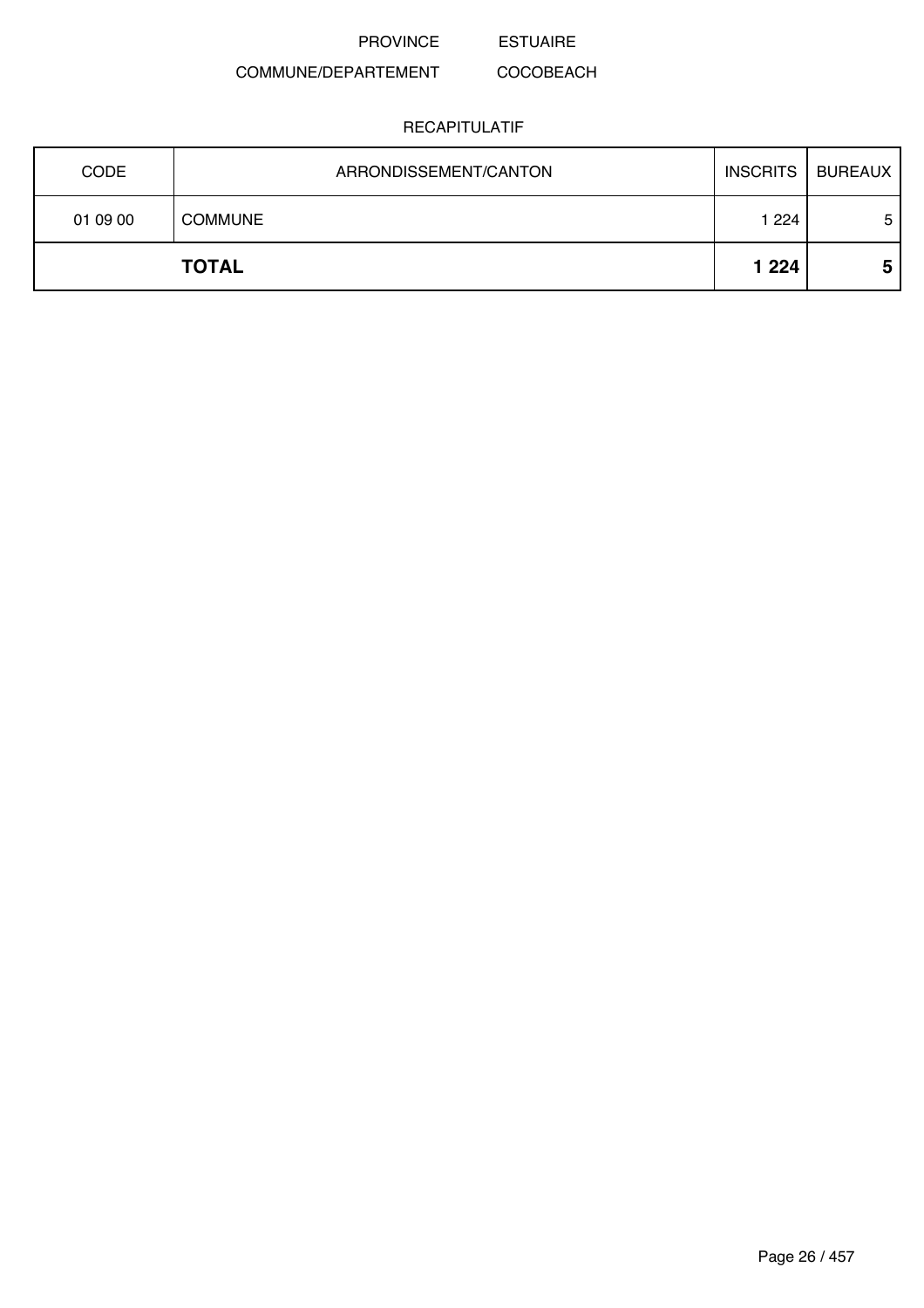PROVINCE ESTUAIRE

#### COMMUNE/DEPARTEMENT COCOBEACH

| <b>CODE</b> | ARRONDISSEMENT/CANTON | <b>INSCRITS</b> | <b>BUREAUX</b> |
|-------------|-----------------------|-----------------|----------------|
| 01 09 00    | <b>COMMUNE</b>        | 1 2 2 4         | 5              |
|             | <b>TOTAL</b>          | 1 2 2 4         | 5              |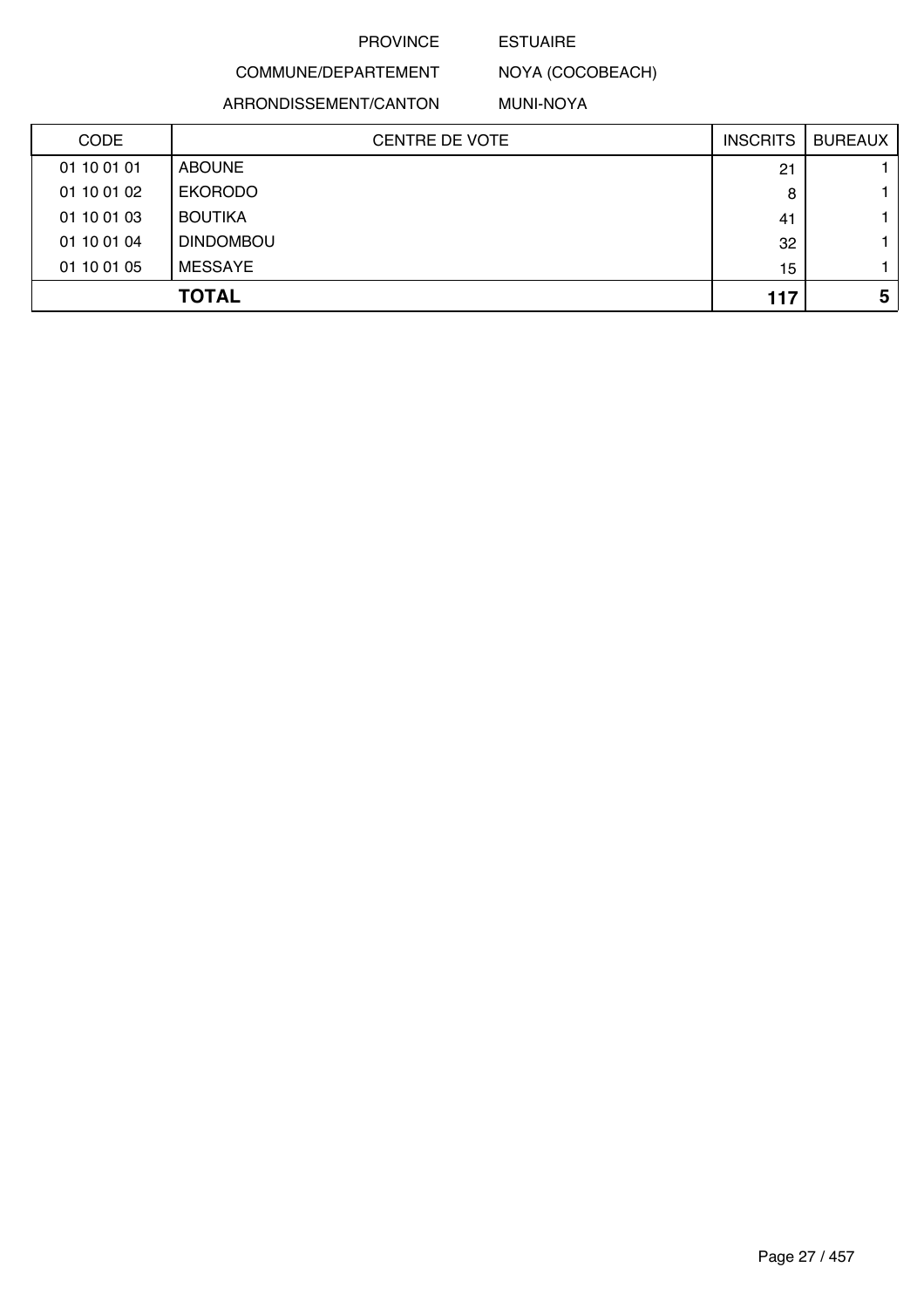#### ESTUAIRE

COMMUNE/DEPARTEMENT NOYA (COCOBEACH)

ARRONDISSEMENT/CANTON

MUNI-NOYA

| <b>CODE</b> | <b>CENTRE DE VOTE</b> | <b>INSCRITS</b> | <b>BUREAUX</b> |
|-------------|-----------------------|-----------------|----------------|
| 01 10 01 01 | <b>ABOUNE</b>         | 21              |                |
| 01 10 01 02 | <b>EKORODO</b>        | 8               |                |
| 01 10 01 03 | <b>BOUTIKA</b>        | 41              |                |
| 01 10 01 04 | <b>DINDOMBOU</b>      | 32              |                |
| 01 10 01 05 | <b>MESSAYE</b>        | 15              |                |
|             | <b>TOTAL</b>          | 117             | 5              |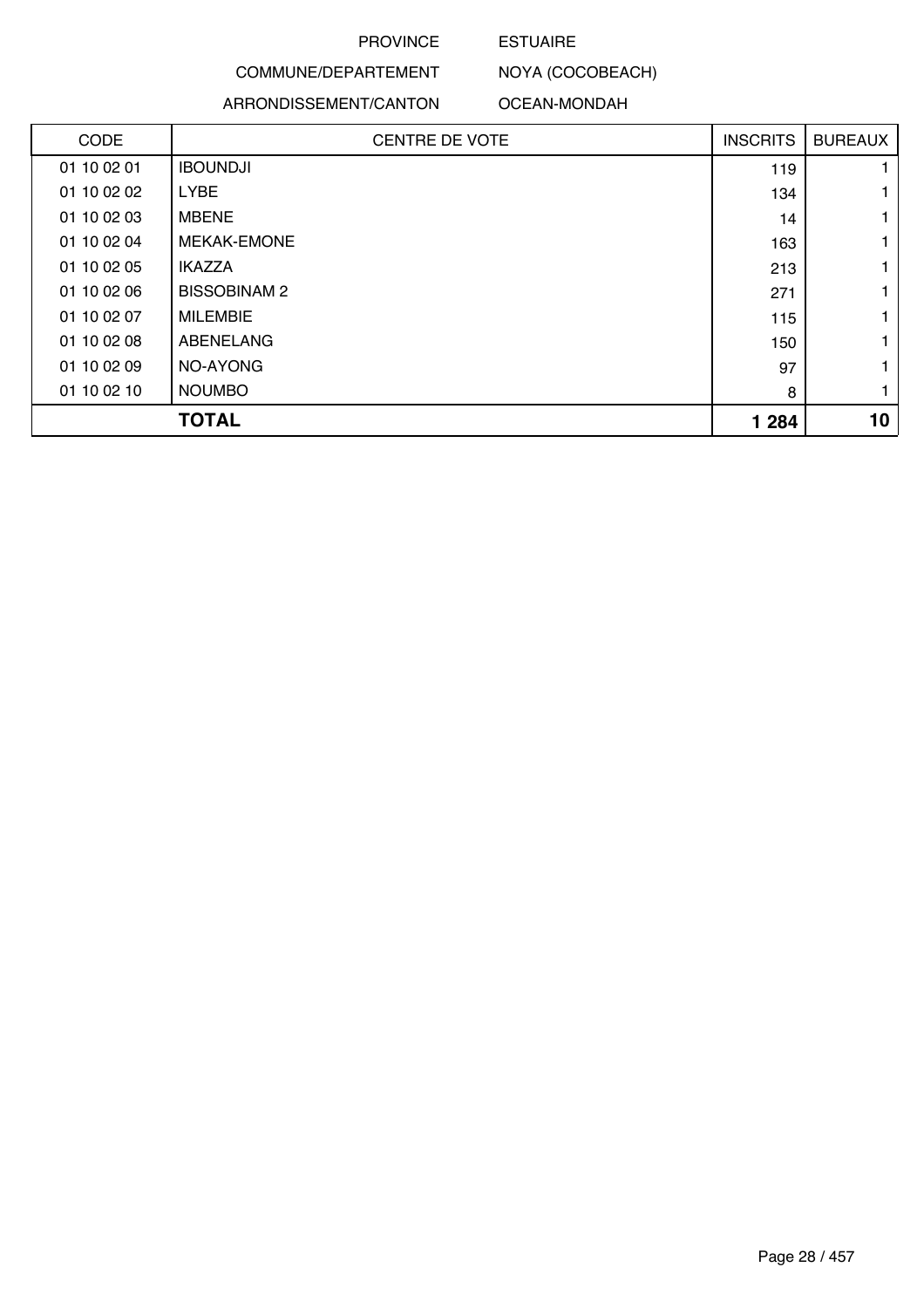### ESTUAIRE

NOYA (COCOBEACH)

## COMMUNE/DEPARTEMENT

#### ARRONDISSEMENT/CANTON OCEAN-MONDAH

| <b>CODE</b> | CENTRE DE VOTE     | <b>INSCRITS</b> | <b>BUREAUX</b> |
|-------------|--------------------|-----------------|----------------|
| 01 10 02 01 | <b>IBOUNDJI</b>    | 119             |                |
| 01 10 02 02 | <b>LYBE</b>        | 134             |                |
| 01 10 02 03 | <b>MBENE</b>       | 14              |                |
| 01 10 02 04 | <b>MEKAK-EMONE</b> | 163             |                |
| 01 10 02 05 | <b>IKAZZA</b>      | 213             |                |
| 01 10 02 06 | <b>BISSOBINAM2</b> | 271             |                |
| 01 10 02 07 | <b>MILEMBIE</b>    | 115             |                |
| 01 10 02 08 | ABENELANG          | 150             |                |
| 01 10 02 09 | NO-AYONG           | 97              |                |
| 01 10 02 10 | <b>NOUMBO</b>      | 8               |                |
|             | <b>TOTAL</b>       | 1 2 8 4         | 10             |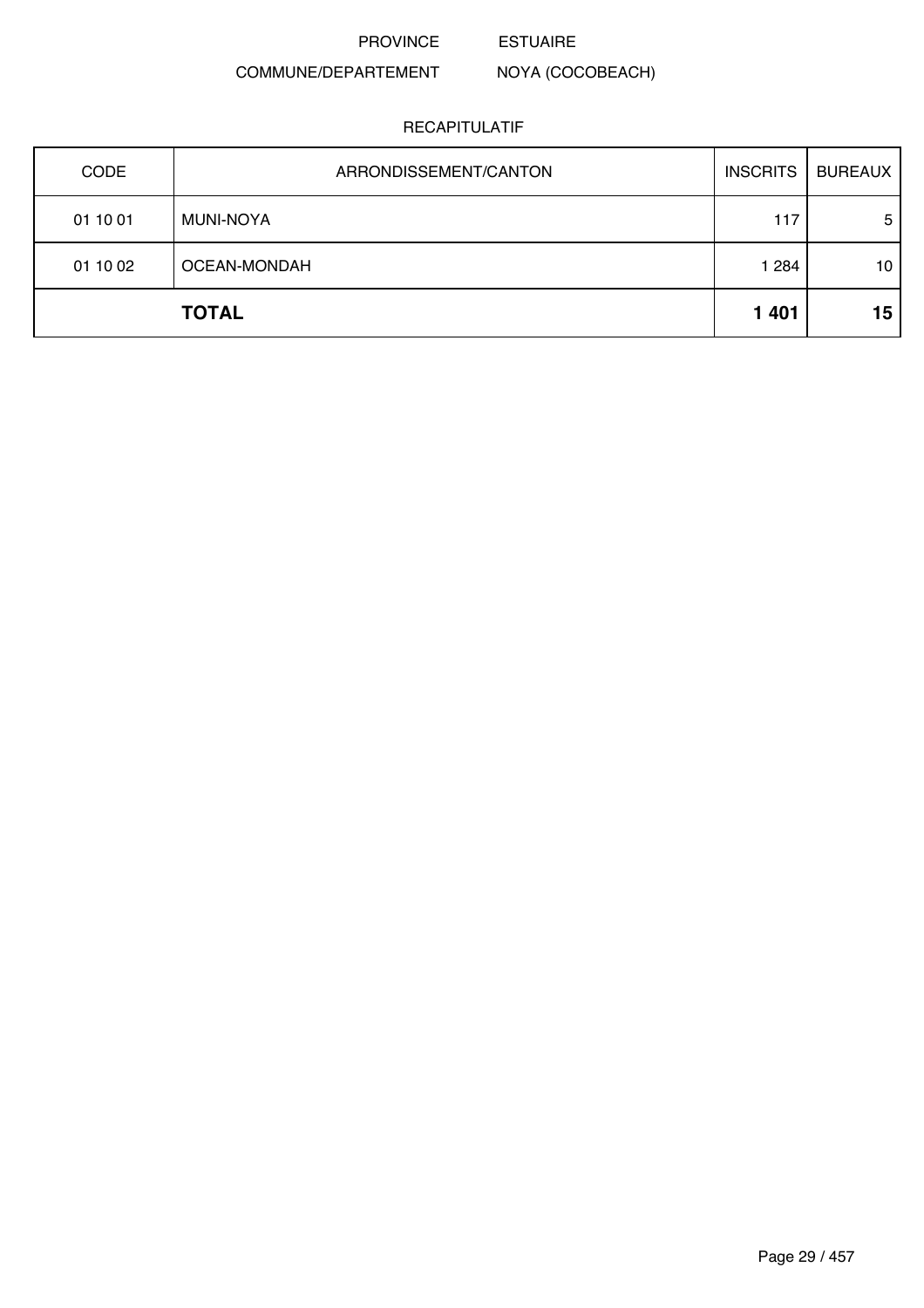PROVINCE ESTUAIRE

NOYA (COCOBEACH)

## COMMUNE/DEPARTEMENT

| CODE     | ARRONDISSEMENT/CANTON | <b>INSCRITS</b> | <b>BUREAUX</b> |
|----------|-----------------------|-----------------|----------------|
| 01 10 01 | <b>MUNI-NOYA</b>      | 117             | 5              |
| 01 10 02 | OCEAN-MONDAH          | 1 2 8 4         | 10             |
|          | <b>TOTAL</b>          | 1 4 0 1         | 15             |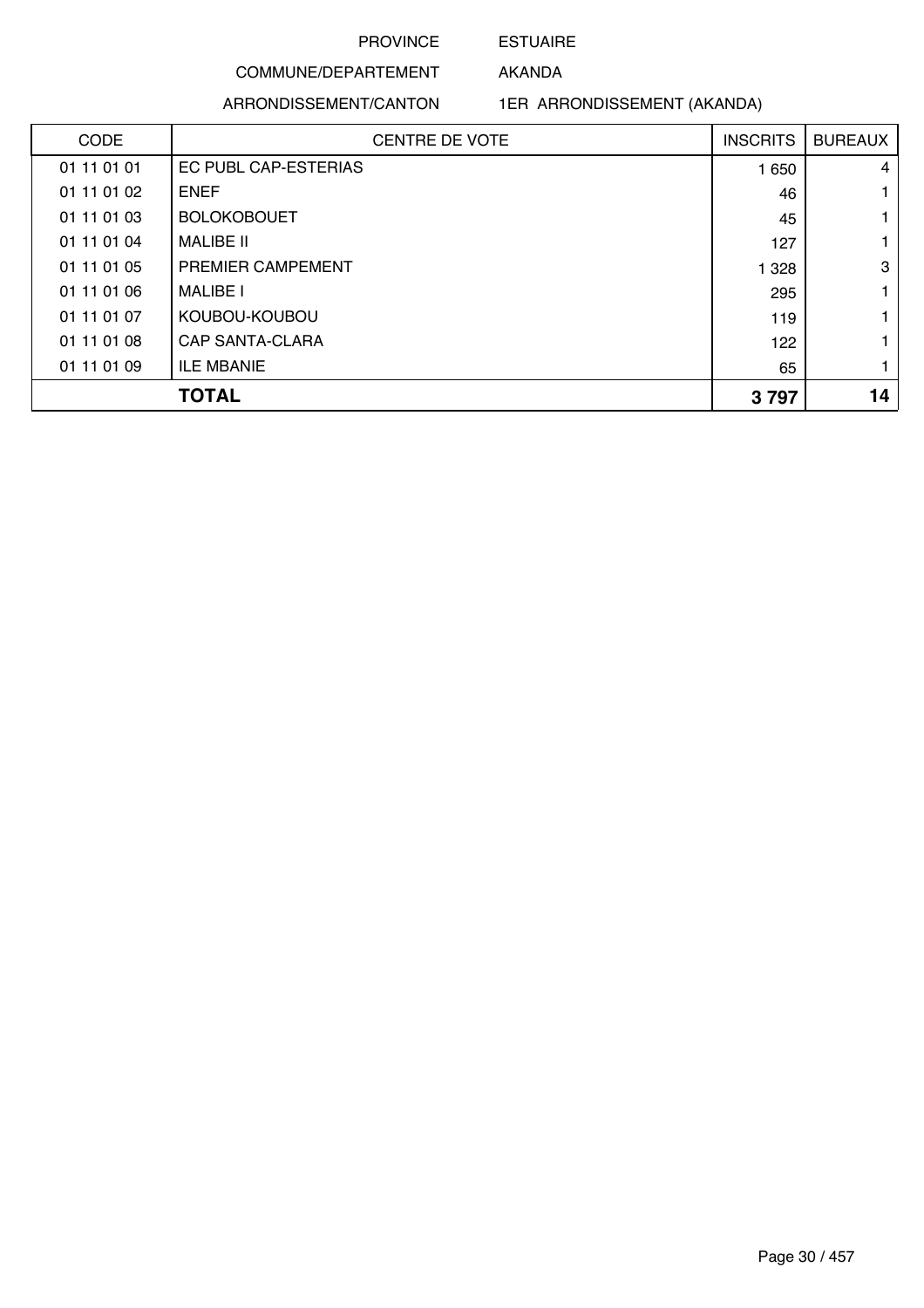## ESTUAIRE AKANDA

## COMMUNE/DEPARTEMENT

ARRONDISSEMENT/CANTON

1ER ARRONDISSEMENT (AKANDA)

| <b>CODE</b> | <b>CENTRE DE VOTE</b> | <b>INSCRITS</b> | <b>BUREAUX</b> |
|-------------|-----------------------|-----------------|----------------|
| 01 11 01 01 | EC PUBL CAP-ESTERIAS  | 1 650           | $\overline{4}$ |
| 01 11 01 02 | <b>ENEF</b>           | 46              |                |
| 01 11 01 03 | <b>BOLOKOBOUET</b>    | 45              | 1              |
| 01 11 01 04 | <b>MALIBE II</b>      | 127             | 1              |
| 01 11 01 05 | PREMIER CAMPEMENT     | 1 3 2 8         | 3              |
| 01 11 01 06 | <b>MALIBE I</b>       | 295             | 1.             |
| 01 11 01 07 | KOUBOU-KOUBOU         | 119             | 1              |
| 01 11 01 08 | CAP SANTA-CLARA       | 122             |                |
| 01 11 01 09 | <b>ILE MBANIE</b>     | 65              | 1              |
|             | <b>TOTAL</b>          | 3797            | 14             |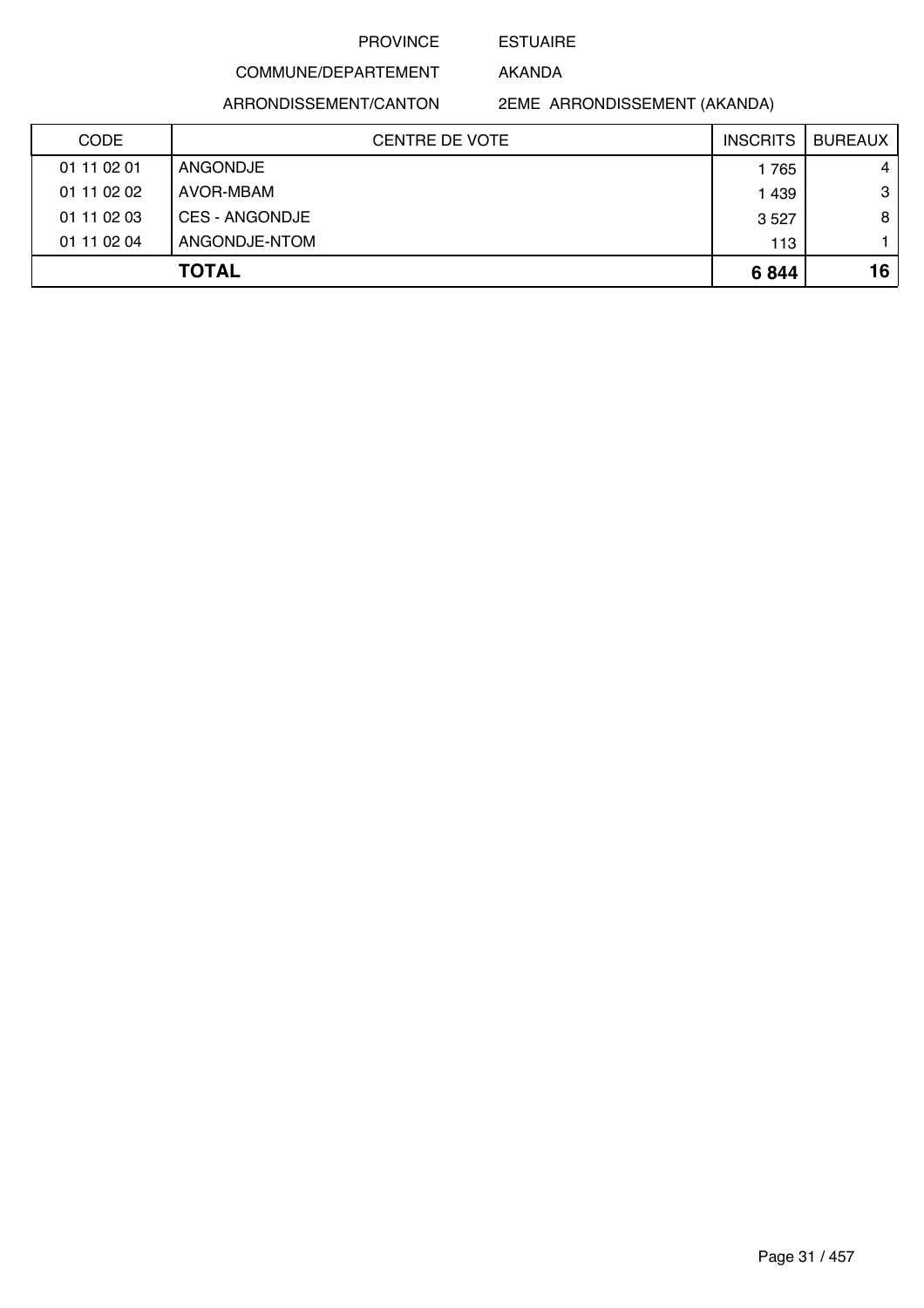#### ESTUAIRE

AKANDA

ARRONDISSEMENT/CANTON

COMMUNE/DEPARTEMENT

2EME ARRONDISSEMENT (AKANDA)

| <b>CODE</b>  | <b>CENTRE DE VOTE</b> | <b>INSCRITS</b> | <b>BUREAUX</b> |
|--------------|-----------------------|-----------------|----------------|
| 01 11 02 01  | ANGONDJE              | 1765            | $\overline{4}$ |
| 01 11 02 02  | AVOR-MBAM             | 1439            | 3              |
| 01 11 02 03  | CES - ANGONDJE        | 3 5 2 7         | 8              |
| 01 11 02 04  | ANGONDJE-NTOM         | 113             |                |
| <b>TOTAL</b> |                       | 6844            | 16             |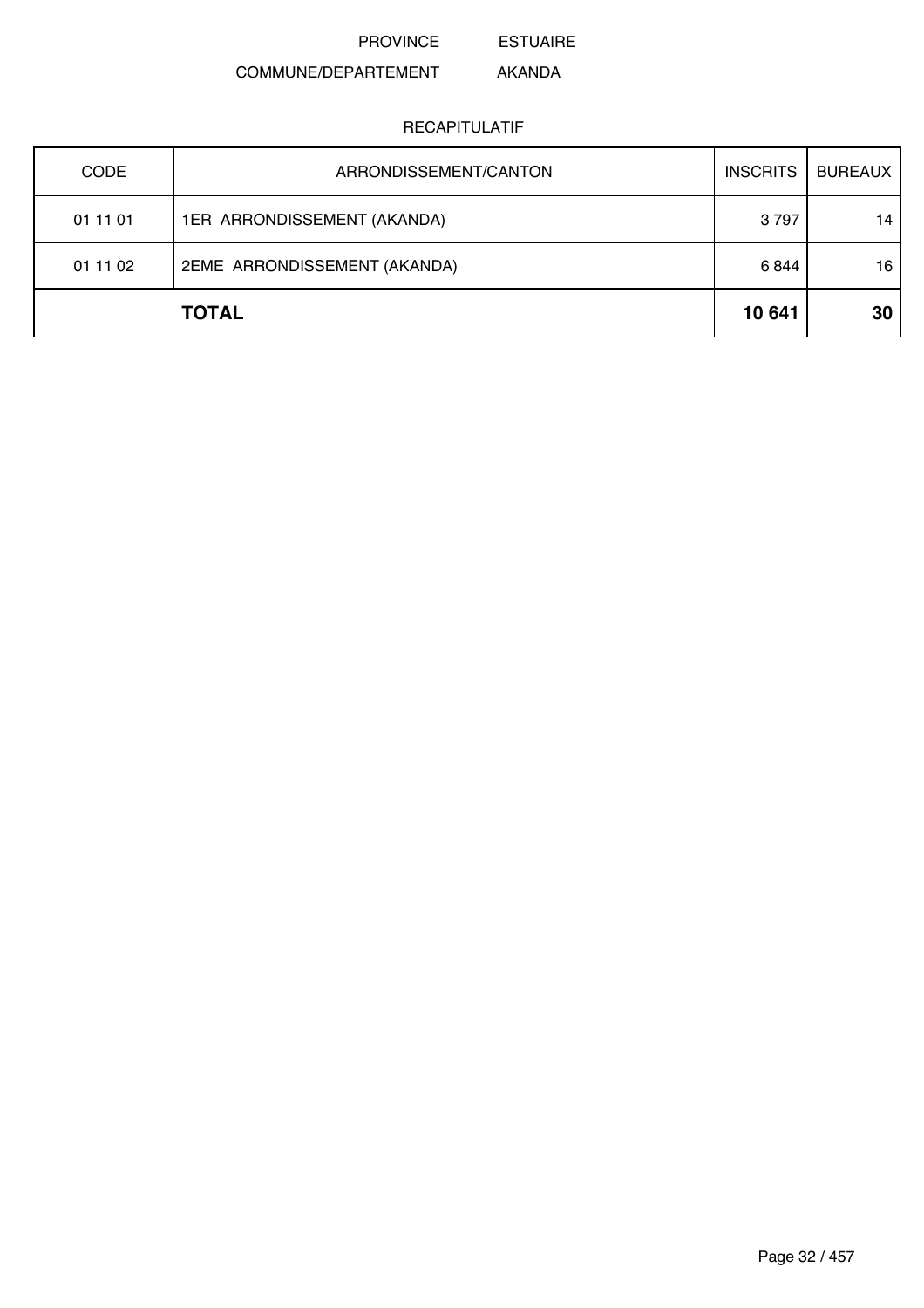ESTUAIRE

#### COMMUNE/DEPARTEMENT AKANDA

| <b>CODE</b> | ARRONDISSEMENT/CANTON        | <b>INSCRITS</b> | <b>BUREAUX</b> |
|-------------|------------------------------|-----------------|----------------|
| 01 11 01    | 1ER ARRONDISSEMENT (AKANDA)  | 3797            | 14             |
| 01 11 02    | 2EME ARRONDISSEMENT (AKANDA) | 6844            | 16             |
|             | <b>TOTAL</b>                 | 10 641          | 30             |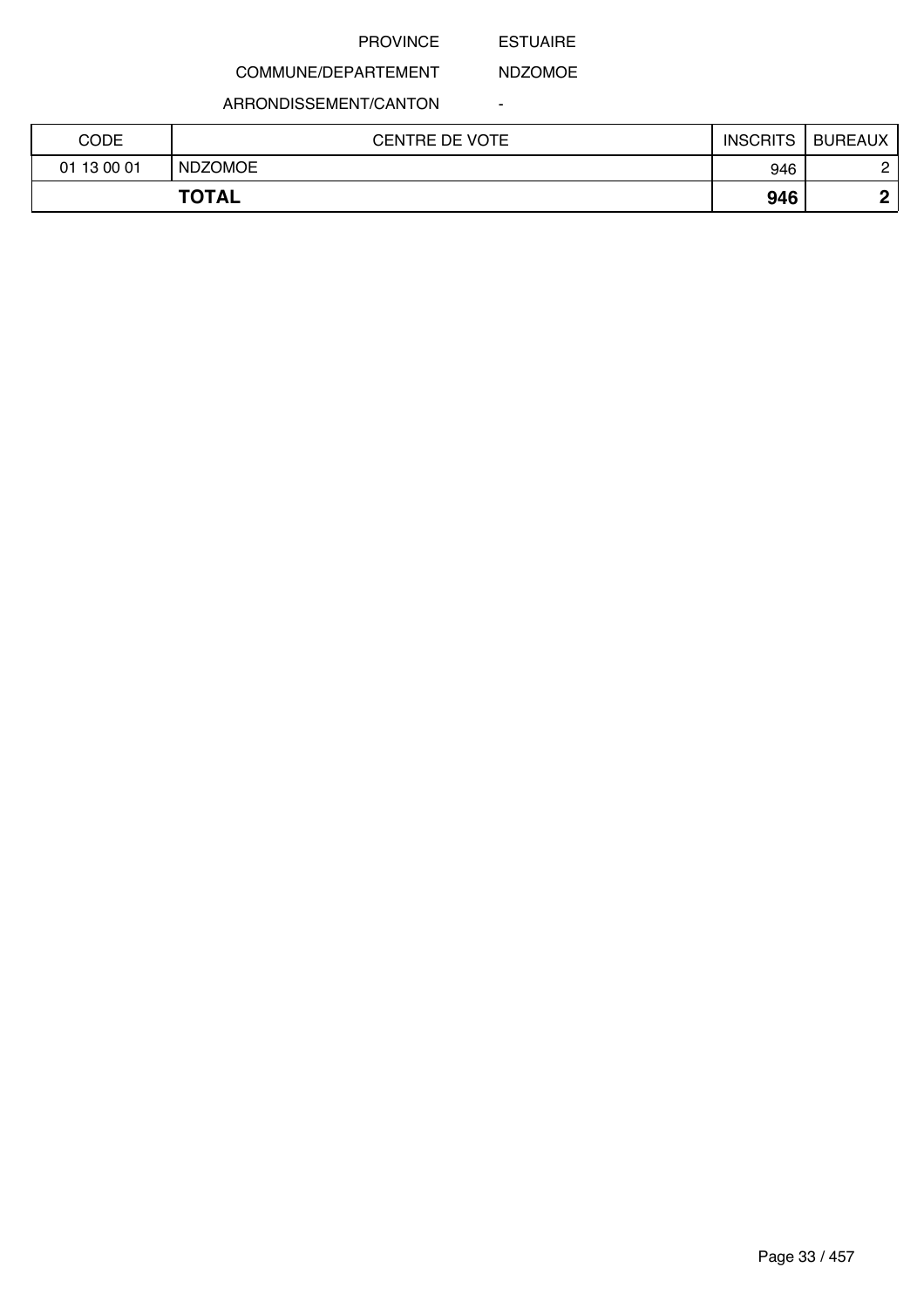#### ESTUAIRE

-

NDZOMOE

## COMMUNE/DEPARTEMENT

ARRONDISSEMENT/CANTON

| CODE        | <b>CENTRE DE VOTE</b> | <b>INSCRITS</b> | <b>BUREAUX</b> |
|-------------|-----------------------|-----------------|----------------|
| 01 13 00 01 | <b>NDZOMOE</b>        | 946             |                |
|             | <b>TOTAL</b>          | 946             | ◠              |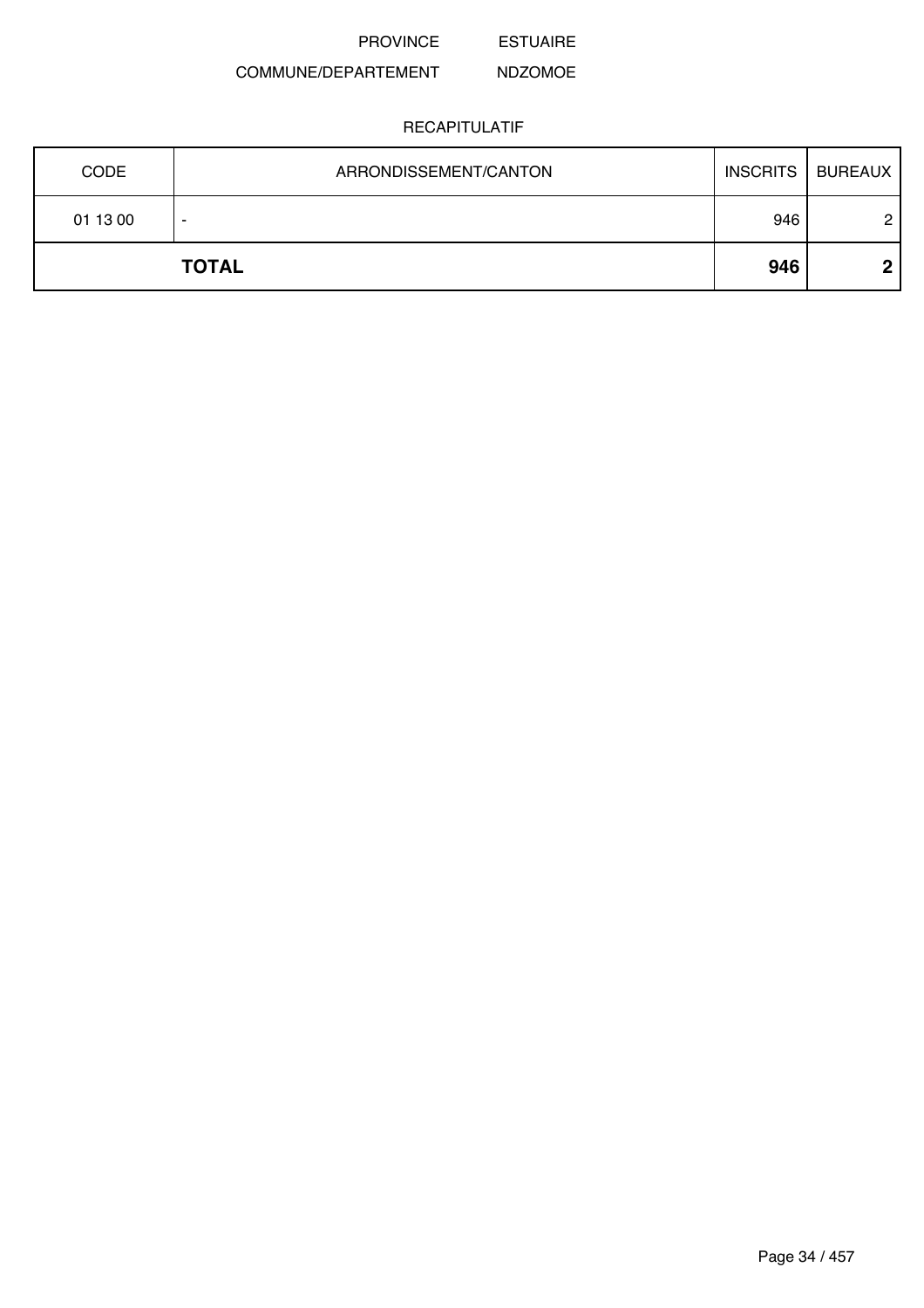ESTUAIRE

#### COMMUNE/DEPARTEMENT NDZOMOE

|          | <b>TOTAL</b>          | 946             | ∩              |
|----------|-----------------------|-----------------|----------------|
| 01 13 00 |                       | 946             | 2              |
| CODE     | ARRONDISSEMENT/CANTON | <b>INSCRITS</b> | <b>BUREAUX</b> |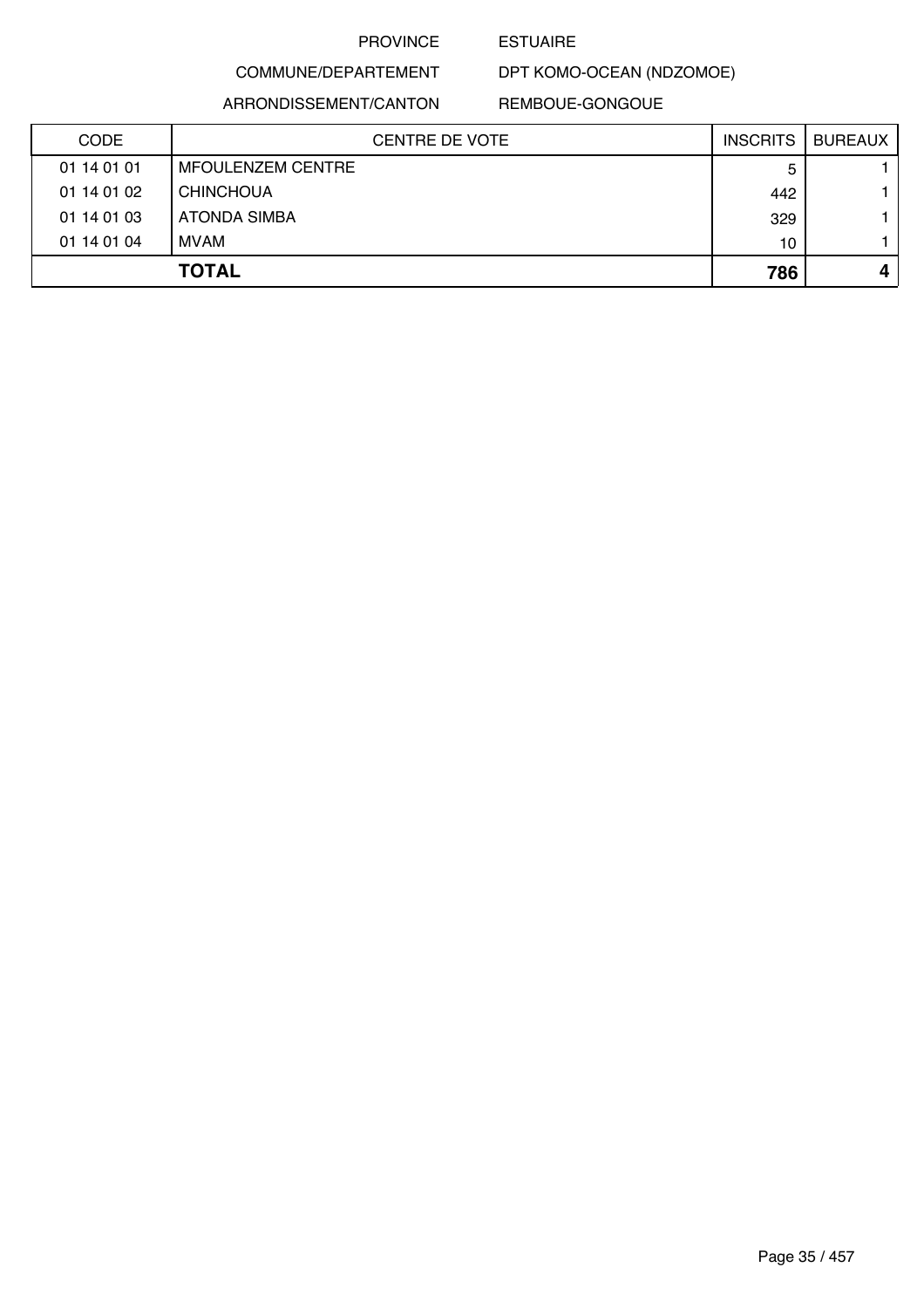#### ESTUAIRE

# COMMUNE/DEPARTEMENT ARRONDISSEMENT/CANTON

## REMBOUE-GONGOUE

DPT KOMO-OCEAN (NDZOMOE)

| <b>CODE</b> | <b>CENTRE DE VOTE</b>    | <b>INSCRITS</b> | <b>BUREAUX</b>   |
|-------------|--------------------------|-----------------|------------------|
| 01 14 01 01 | <b>MFOULENZEM CENTRE</b> | 5               |                  |
| 01 14 01 02 | <b>CHINCHOUA</b>         | 442             |                  |
| 01 14 01 03 | ATONDA SIMBA             | 329             |                  |
| 01 14 01 04 | MVAM                     | 10              |                  |
|             | <b>TOTAL</b>             | 786             | $\boldsymbol{4}$ |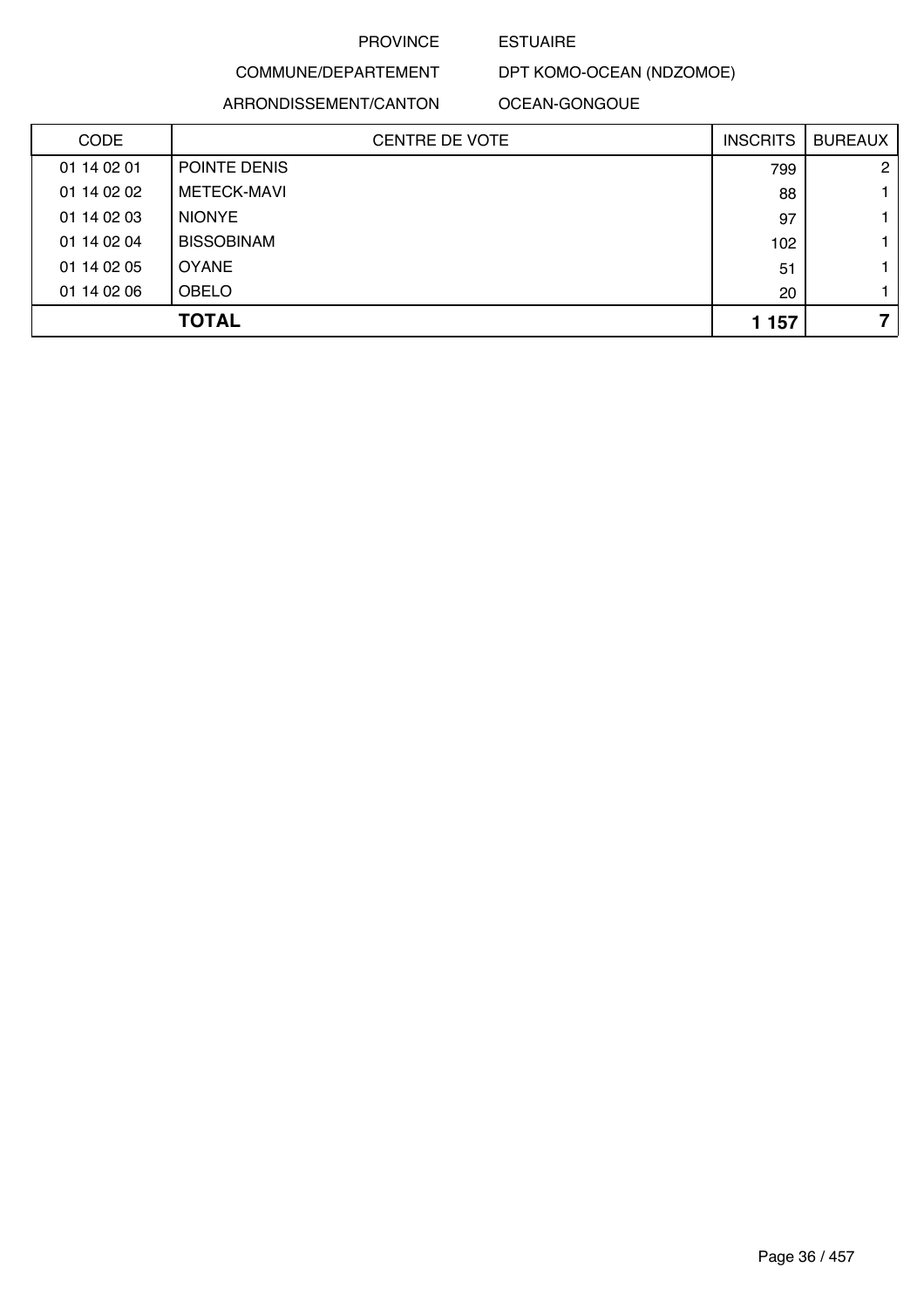### ESTUAIRE

# COMMUNE/DEPARTEMENT

#### ARRONDISSEMENT/CANTON

DPT KOMO-OCEAN (NDZOMOE)

OCEAN-GONGOUE

| <b>CODE</b> | <b>CENTRE DE VOTE</b> | <b>INSCRITS</b> | <b>BUREAUX</b> |
|-------------|-----------------------|-----------------|----------------|
| 01 14 02 01 | POINTE DENIS          | 799             | $\overline{2}$ |
| 01 14 02 02 | <b>METECK-MAVI</b>    | 88              |                |
| 01 14 02 03 | <b>NIONYE</b>         | 97              |                |
| 01 14 02 04 | <b>BISSOBINAM</b>     | 102             |                |
| 01 14 02 05 | <b>OYANE</b>          | 51              |                |
| 01 14 02 06 | <b>OBELO</b>          | 20              |                |
|             | <b>TOTAL</b>          | 1 1 5 7         | 7              |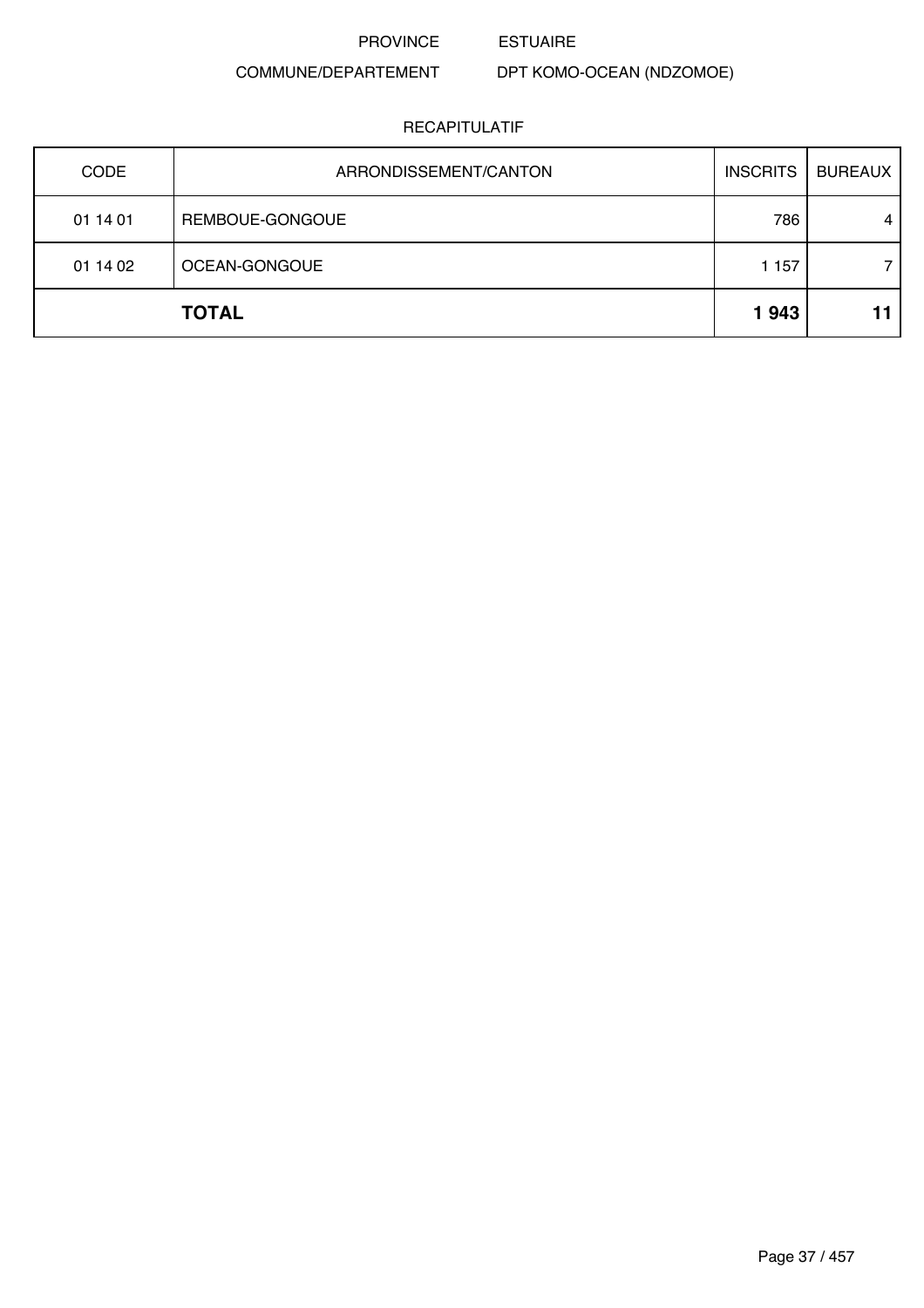PROVINCE ESTUAIRE

# COMMUNE/DEPARTEMENT

DPT KOMO-OCEAN (NDZOMOE)

| <b>CODE</b> | ARRONDISSEMENT/CANTON | <b>INSCRITS</b> | <b>BUREAUX</b> |
|-------------|-----------------------|-----------------|----------------|
| 01 14 01    | REMBOUE-GONGOUE       | 786             | 4              |
| 01 14 02    | OCEAN-GONGOUE         | 1 1 5 7         |                |
|             | <b>TOTAL</b>          | 1943            |                |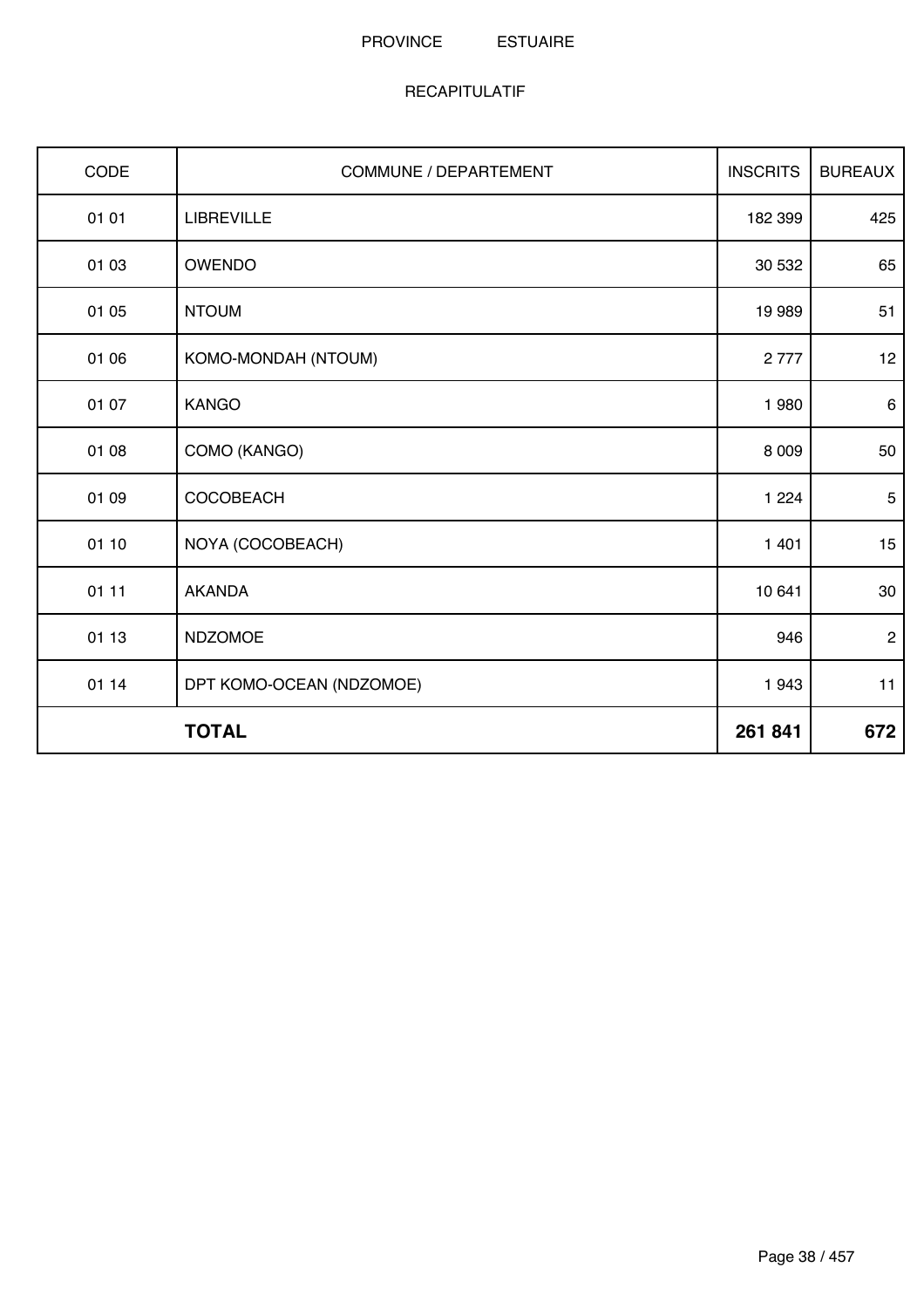| CODE  | <b>COMMUNE / DEPARTEMENT</b> | <b>INSCRITS</b> | <b>BUREAUX</b> |
|-------|------------------------------|-----------------|----------------|
| 01 01 | <b>LIBREVILLE</b>            | 182 399         | 425            |
| 01 03 | OWENDO                       | 30 532          | 65             |
| 01 05 | <b>NTOUM</b>                 | 19 989          | 51             |
| 01 06 | KOMO-MONDAH (NTOUM)          | 2777            | 12             |
| 01 07 | <b>KANGO</b>                 | 1980            | $\,6\,$        |
| 01 08 | COMO (KANGO)                 | 8 0 0 9         | 50             |
| 01 09 | COCOBEACH                    | 1 2 2 4         | $\sqrt{5}$     |
| 01 10 | NOYA (COCOBEACH)             | 1 4 0 1         | 15             |
| 01 11 | <b>AKANDA</b>                | 10 641          | 30             |
| 01 13 | <b>NDZOMOE</b>               | 946             | $\overline{2}$ |
| 01 14 | DPT KOMO-OCEAN (NDZOMOE)     | 1943            | 11             |
|       | <b>TOTAL</b>                 | 261 841         | 672            |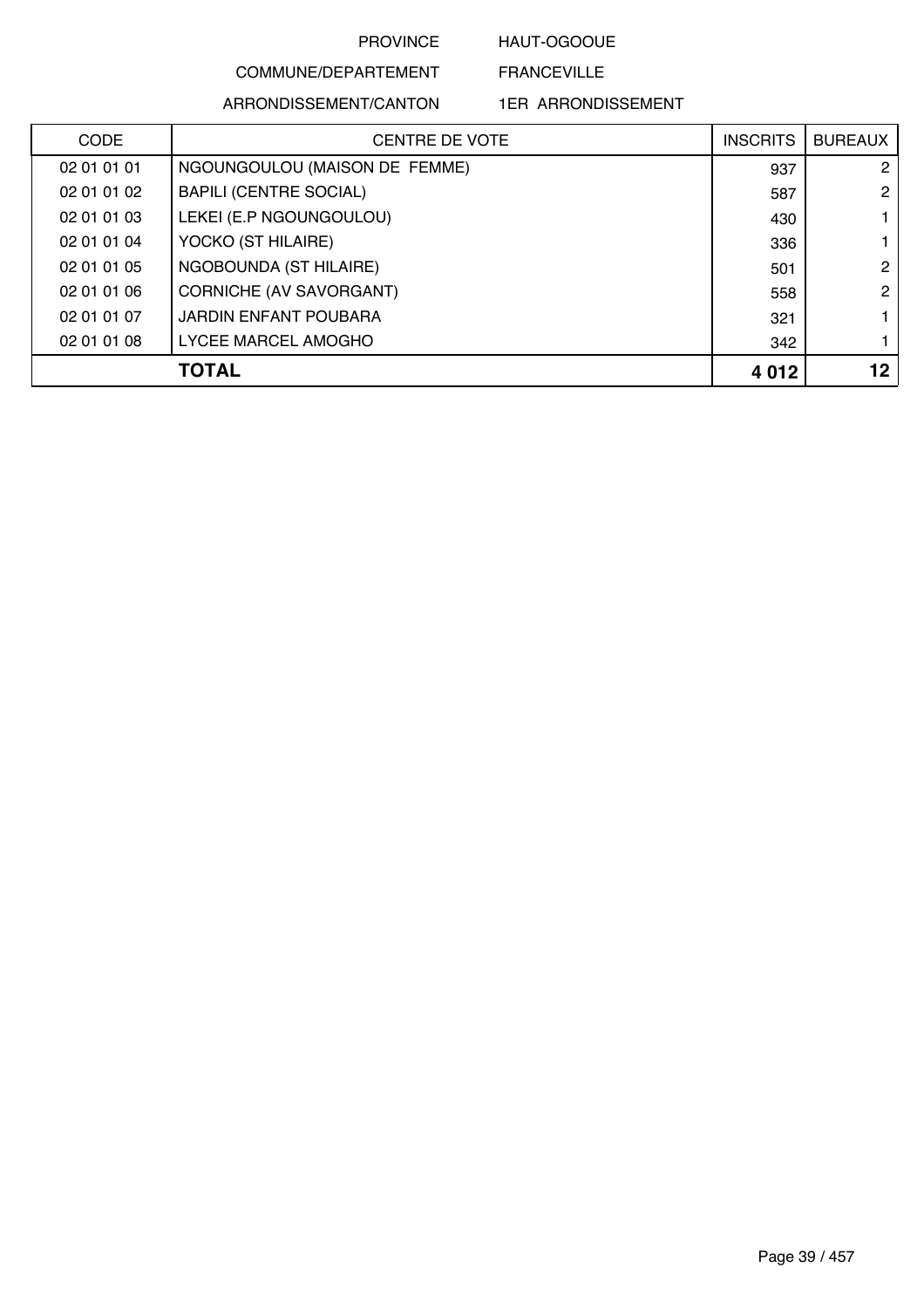HAUT-OGOOUE

FRANCEVILLE

# COMMUNE/DEPARTEMENT ARRONDISSEMENT/CANTON

| <b>CODE</b> | <b>CENTRE DE VOTE</b>         | <b>INSCRITS</b> | <b>BUREAUX</b> |
|-------------|-------------------------------|-----------------|----------------|
| 02 01 01 01 | NGOUNGOULOU (MAISON DE FEMME) | 937             | $\overline{2}$ |
| 02 01 01 02 | <b>BAPILI (CENTRE SOCIAL)</b> | 587             | $\mathbf{2}$   |
| 02 01 01 03 | LEKEI (E.P NGOUNGOULOU)       | 430             |                |
| 02 01 01 04 | YOCKO (ST HILAIRE)            | 336             |                |
| 02 01 01 05 | NGOBOUNDA (ST HILAIRE)        | 501             | 2              |
| 02 01 01 06 | CORNICHE (AV SAVORGANT)       | 558             | $\overline{2}$ |
| 02 01 01 07 | JARDIN ENFANT POUBARA         | 321             |                |
| 02 01 01 08 | LYCEE MARCEL AMOGHO           | 342             |                |
|             | TOTAL                         | 4 0 1 2         | 12             |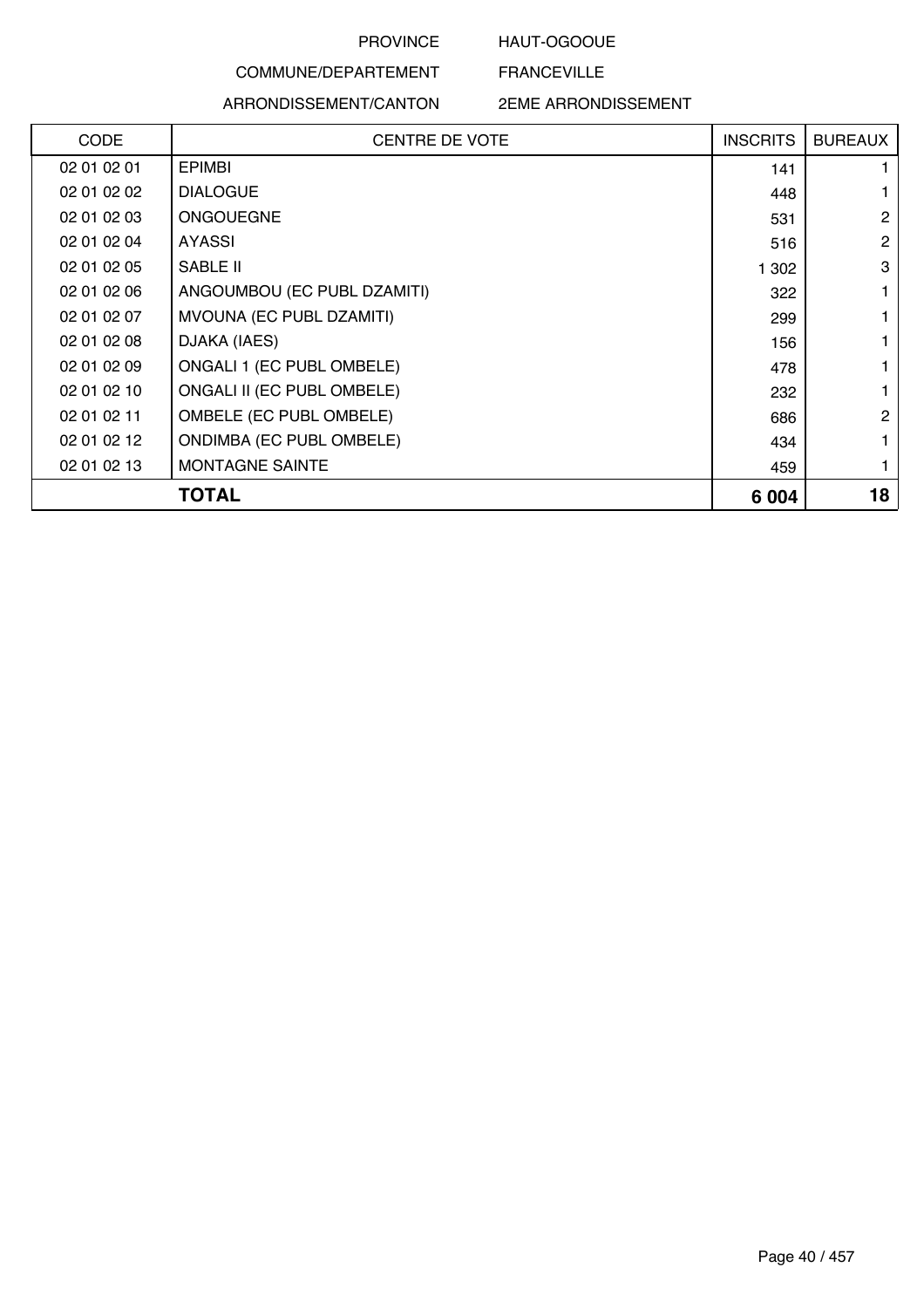### HAUT-OGOOUE

FRANCEVILLE

# COMMUNE/DEPARTEMENT ARRONDISSEMENT/CANTON

| <b>CODE</b> | <b>CENTRE DE VOTE</b>           | <b>INSCRITS</b> | <b>BUREAUX</b> |
|-------------|---------------------------------|-----------------|----------------|
| 02 01 02 01 | <b>EPIMBI</b>                   | 141             |                |
| 02 01 02 02 | <b>DIALOGUE</b>                 | 448             |                |
| 02 01 02 03 | <b>ONGOUEGNE</b>                | 531             | 2              |
| 02 01 02 04 | AYASSI                          | 516             | $\overline{2}$ |
| 02 01 02 05 | SABLE II                        | 1 302           | 3              |
| 02 01 02 06 | ANGOUMBOU (EC PUBL DZAMITI)     | 322             |                |
| 02 01 02 07 | MVOUNA (EC PUBL DZAMITI)        | 299             |                |
| 02 01 02 08 | DJAKA (IAES)                    | 156             |                |
| 02 01 02 09 | ONGALI 1 (EC PUBL OMBELE)       | 478             |                |
| 02 01 02 10 | ONGALI II (EC PUBL OMBELE)      | 232             |                |
| 02 01 02 11 | OMBELE (EC PUBL OMBELE)         | 686             | 2              |
| 02 01 02 12 | <b>ONDIMBA (EC PUBL OMBELE)</b> | 434             |                |
| 02 01 02 13 | MONTAGNE SAINTE                 | 459             |                |
|             | TOTAL                           | 6 0 0 4         | 18             |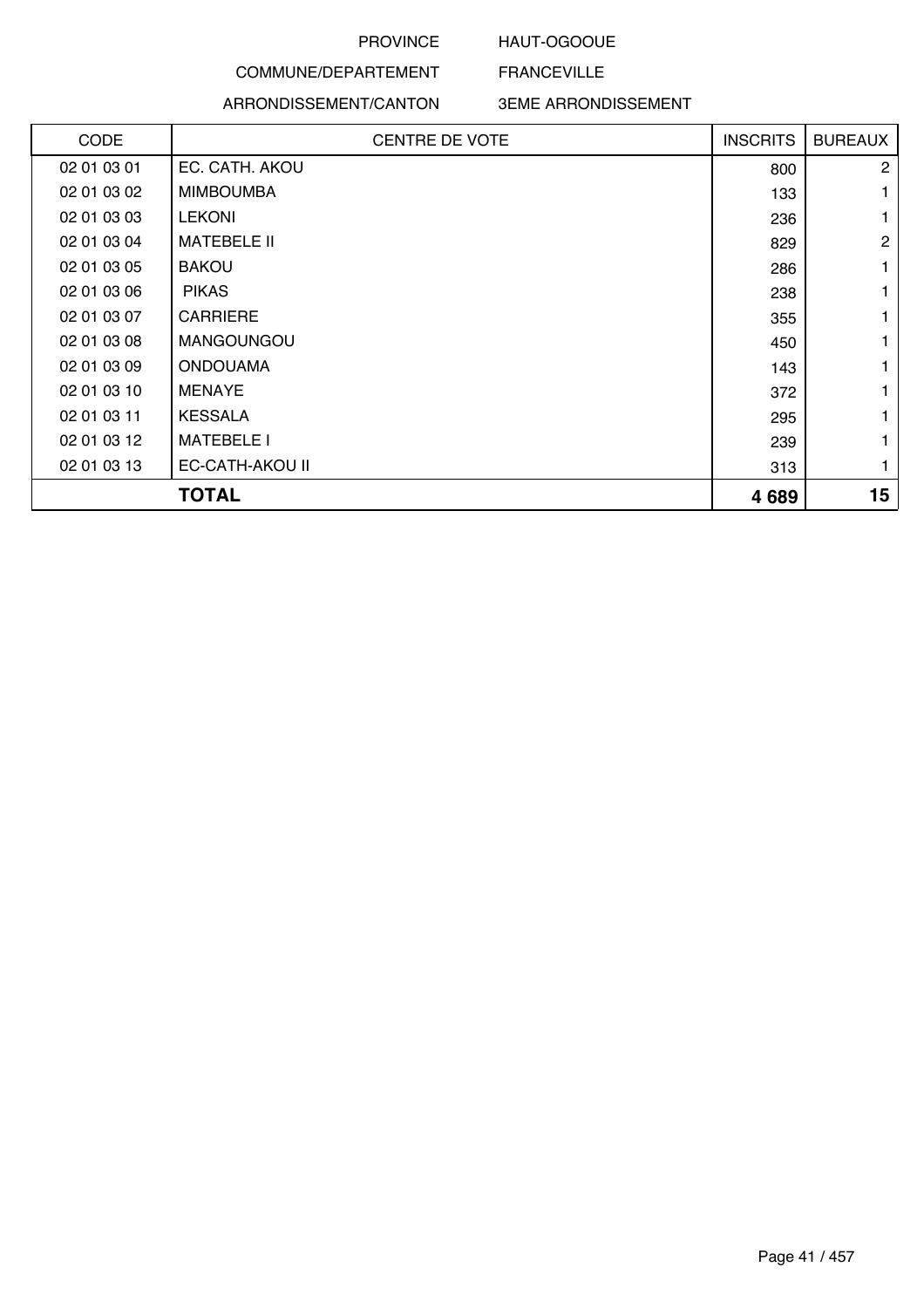### HAUT-OGOOUE

FRANCEVILLE

# COMMUNE/DEPARTEMENT ARRONDISSEMENT/CANTON

| <b>CODE</b> | <b>CENTRE DE VOTE</b> | <b>INSCRITS</b> | <b>BUREAUX</b> |
|-------------|-----------------------|-----------------|----------------|
| 02 01 03 01 | EC. CATH. AKOU        | 800             | $\overline{2}$ |
| 02 01 03 02 | <b>MIMBOUMBA</b>      | 133             |                |
| 02 01 03 03 | <b>LEKONI</b>         | 236             |                |
| 02 01 03 04 | <b>MATEBELE II</b>    | 829             | $\mathbf{2}$   |
| 02 01 03 05 | <b>BAKOU</b>          | 286             | 1              |
| 02 01 03 06 | <b>PIKAS</b>          | 238             |                |
| 02 01 03 07 | <b>CARRIERE</b>       | 355             |                |
| 02 01 03 08 | <b>MANGOUNGOU</b>     | 450             |                |
| 02 01 03 09 | <b>ONDOUAMA</b>       | 143             |                |
| 02 01 03 10 | <b>MENAYE</b>         | 372             |                |
| 02 01 03 11 | <b>KESSALA</b>        | 295             |                |
| 02 01 03 12 | <b>MATEBELE I</b>     | 239             |                |
| 02 01 03 13 | EC-CATH-AKOU II       | 313             |                |
|             | <b>TOTAL</b>          | 4689            | 15             |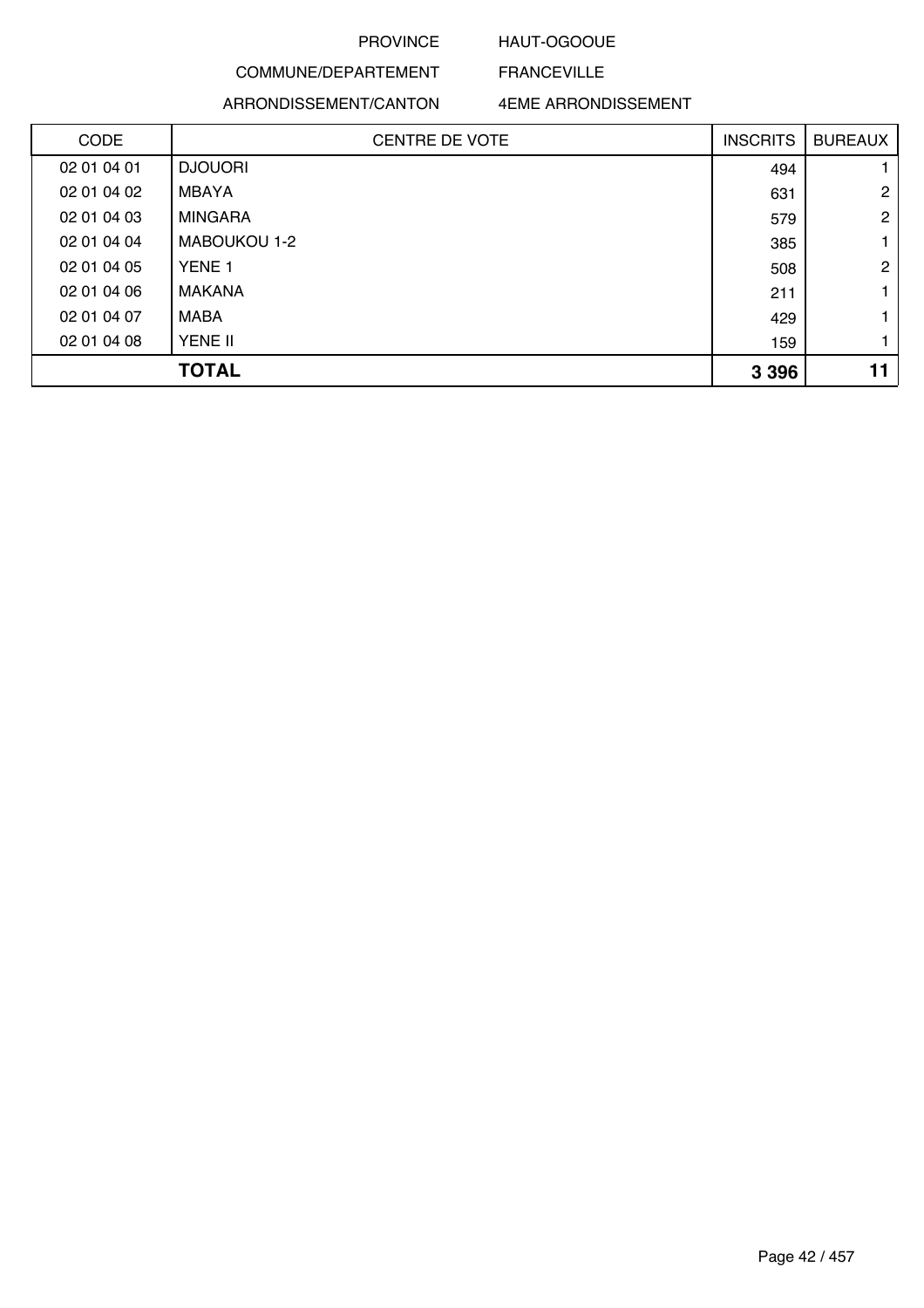### HAUT-OGOOUE

FRANCEVILLE

# COMMUNE/DEPARTEMENT ARRONDISSEMENT/CANTON

| <b>CODE</b> | <b>CENTRE DE VOTE</b> | <b>INSCRITS</b> | <b>BUREAUX</b> |
|-------------|-----------------------|-----------------|----------------|
| 02 01 04 01 | <b>DJOUORI</b>        | 494             |                |
| 02 01 04 02 | MBAYA                 | 631             | $\overline{2}$ |
| 02 01 04 03 | <b>MINGARA</b>        | 579             | $\overline{2}$ |
| 02 01 04 04 | MABOUKOU 1-2          | 385             |                |
| 02 01 04 05 | YENE <sub>1</sub>     | 508             | $\mathbf{2}$   |
| 02 01 04 06 | MAKANA                | 211             |                |
| 02 01 04 07 | MABA                  | 429             |                |
| 02 01 04 08 | YENE II               | 159             |                |
|             | <b>TOTAL</b>          | 3 3 9 6         |                |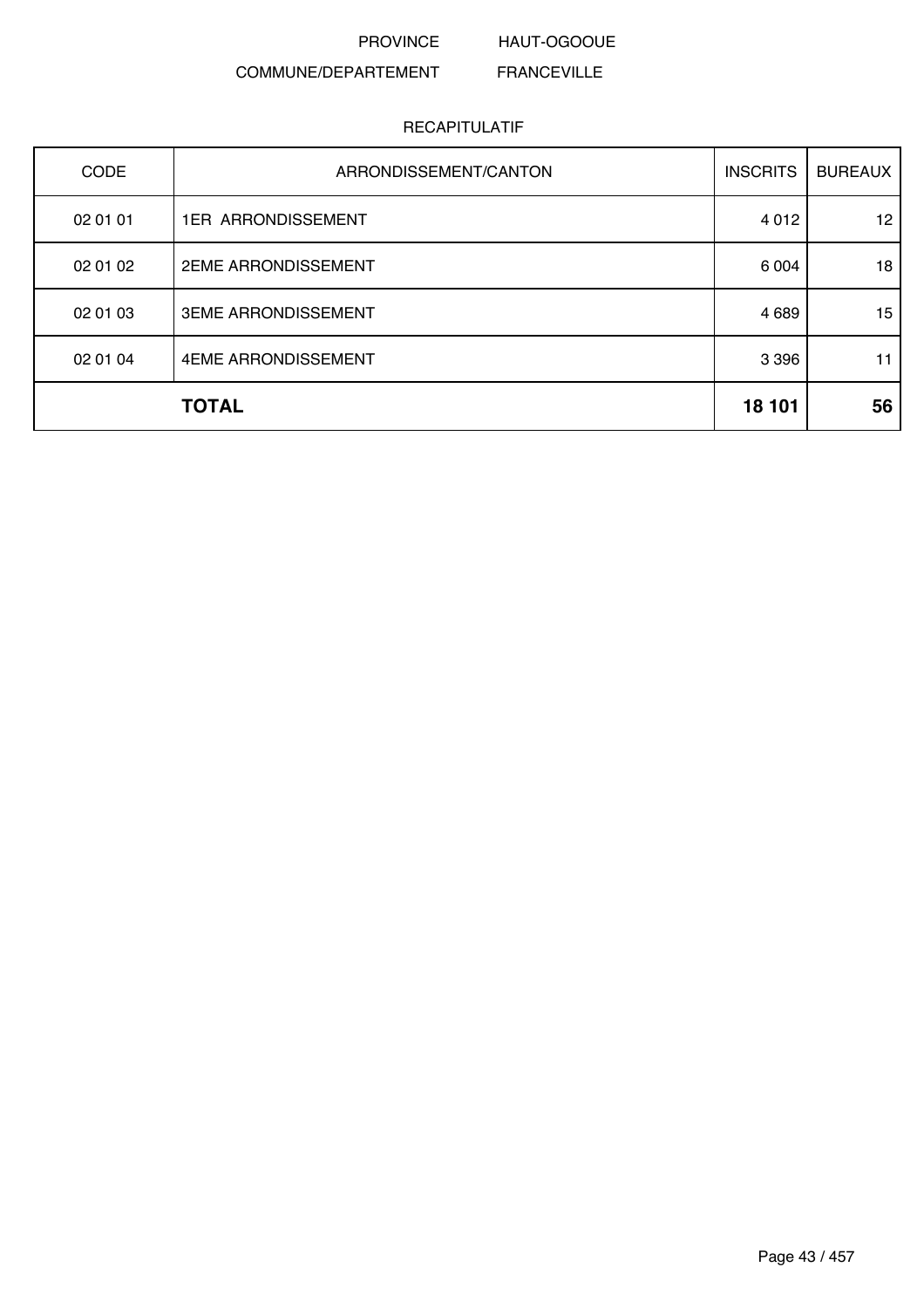PROVINCE HAUT-OGOOUE FRANCEVILLE

### COMMUNE/DEPARTEMENT

| <b>CODE</b> | ARRONDISSEMENT/CANTON      | <b>INSCRITS</b> | <b>BUREAUX</b> |
|-------------|----------------------------|-----------------|----------------|
| 02 01 01    | <b>1ER ARRONDISSEMENT</b>  | 4 0 1 2         | 12             |
| 02 01 02    | <b>2EME ARRONDISSEMENT</b> | 6 0 0 4         | 18             |
| 02 01 03    | <b>3EME ARRONDISSEMENT</b> | 4 6 8 9         | 15             |
| 02 01 04    | 4EME ARRONDISSEMENT        | 3 3 9 6         | 11             |
|             | <b>TOTAL</b>               | 18 101          | 56             |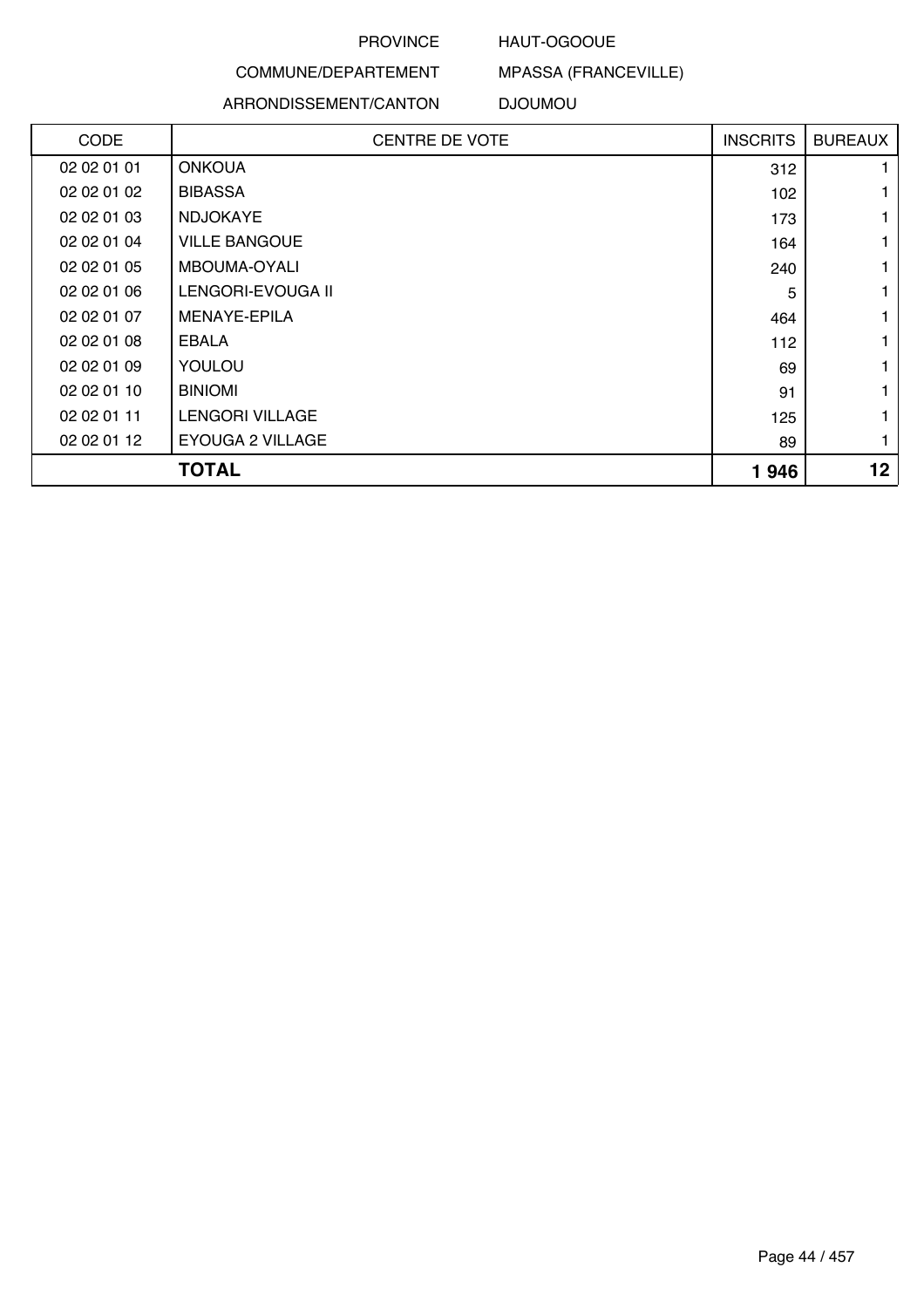### HAUT-OGOOUE

MPASSA (FRANCEVILLE)

# COMMUNE/DEPARTEMENT

#### ARRONDISSEMENT/CANTON DJOUMOU

| <b>CODE</b> | <b>CENTRE DE VOTE</b>  | <b>INSCRITS</b> | <b>BUREAUX</b>  |
|-------------|------------------------|-----------------|-----------------|
| 02 02 01 01 | <b>ONKOUA</b>          | 312             |                 |
| 02 02 01 02 | <b>BIBASSA</b>         | 102             |                 |
| 02 02 01 03 | <b>NDJOKAYE</b>        | 173             |                 |
| 02 02 01 04 | <b>VILLE BANGOUE</b>   | 164             |                 |
| 02 02 01 05 | MBOUMA-OYALI           | 240             |                 |
| 02 02 01 06 | LENGORI-EVOUGA II      | 5               |                 |
| 02 02 01 07 | MENAYE-EPILA           | 464             |                 |
| 02 02 01 08 | EBALA                  | 112             |                 |
| 02 02 01 09 | YOULOU                 | 69              |                 |
| 02 02 01 10 | <b>BINIOMI</b>         | 91              |                 |
| 02 02 01 11 | <b>LENGORI VILLAGE</b> | 125             |                 |
| 02 02 01 12 | EYOUGA 2 VILLAGE       | 89              | 1               |
|             | <b>TOTAL</b>           | 1946            | 12 <sub>2</sub> |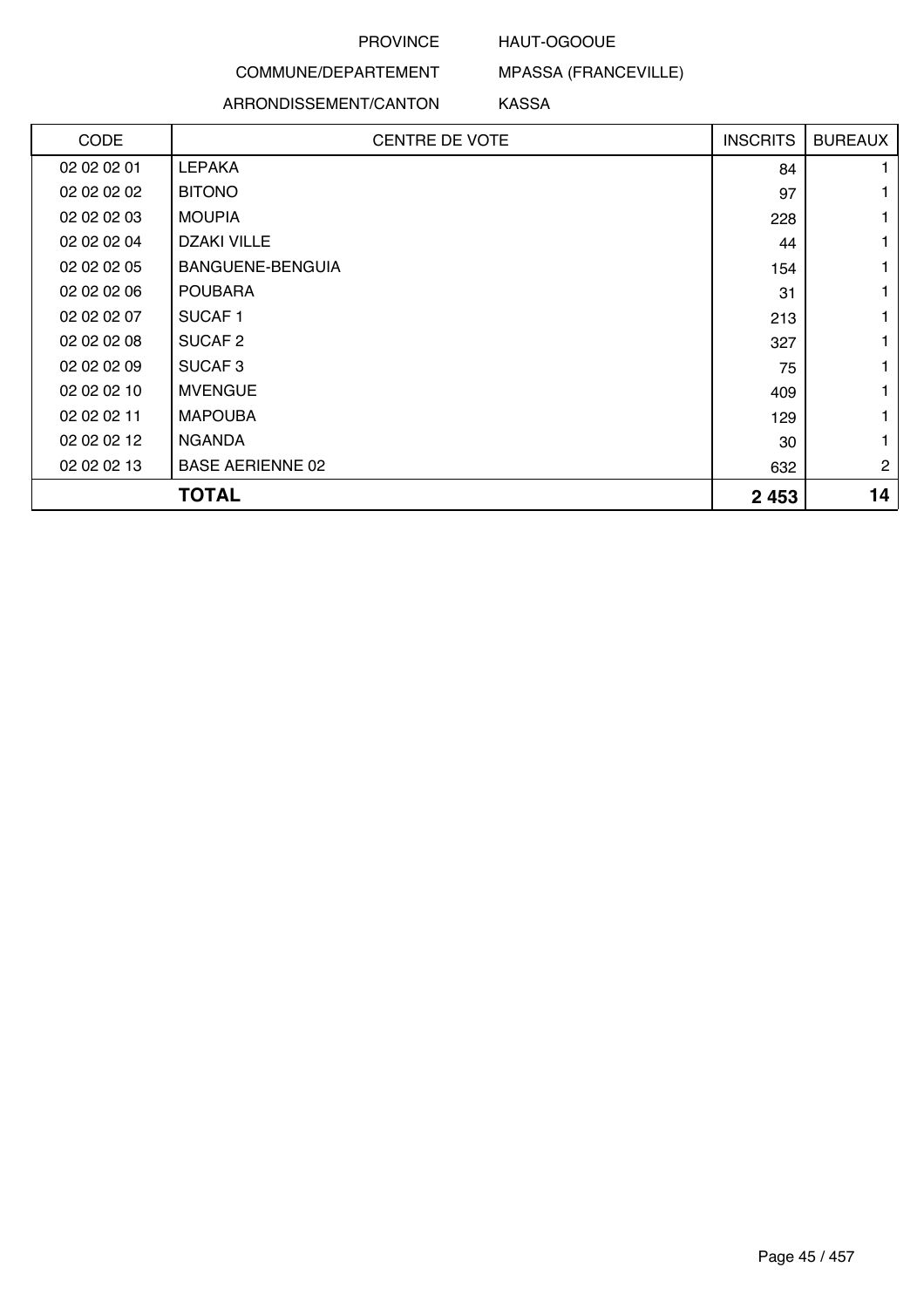### HAUT-OGOOUE

## COMMUNE/DEPARTEMENT

### ARRONDISSEMENT/CANTON

MPASSA (FRANCEVILLE) KASSA

| <b>CODE</b> | <b>CENTRE DE VOTE</b>   | <b>INSCRITS</b> | <b>BUREAUX</b> |
|-------------|-------------------------|-----------------|----------------|
| 02 02 02 01 | <b>LEPAKA</b>           | 84              |                |
| 02 02 02 02 | <b>BITONO</b>           | 97              |                |
| 02 02 02 03 | <b>MOUPIA</b>           | 228             |                |
| 02 02 02 04 | <b>DZAKI VILLE</b>      | 44              |                |
| 02 02 02 05 | BANGUENE-BENGUIA        | 154             |                |
| 02 02 02 06 | <b>POUBARA</b>          | 31              |                |
| 02 02 02 07 | SUCAF <sub>1</sub>      | 213             |                |
| 02 02 02 08 | SUCAF <sub>2</sub>      | 327             |                |
| 02 02 02 09 | SUCAF <sub>3</sub>      | 75              |                |
| 02 02 02 10 | <b>MVENGUE</b>          | 409             |                |
| 02 02 02 11 | <b>MAPOUBA</b>          | 129             |                |
| 02 02 02 12 | <b>NGANDA</b>           | 30              |                |
| 02 02 02 13 | <b>BASE AERIENNE 02</b> | 632             | $\overline{c}$ |
|             | <b>TOTAL</b>            | 2 4 5 3         | 14             |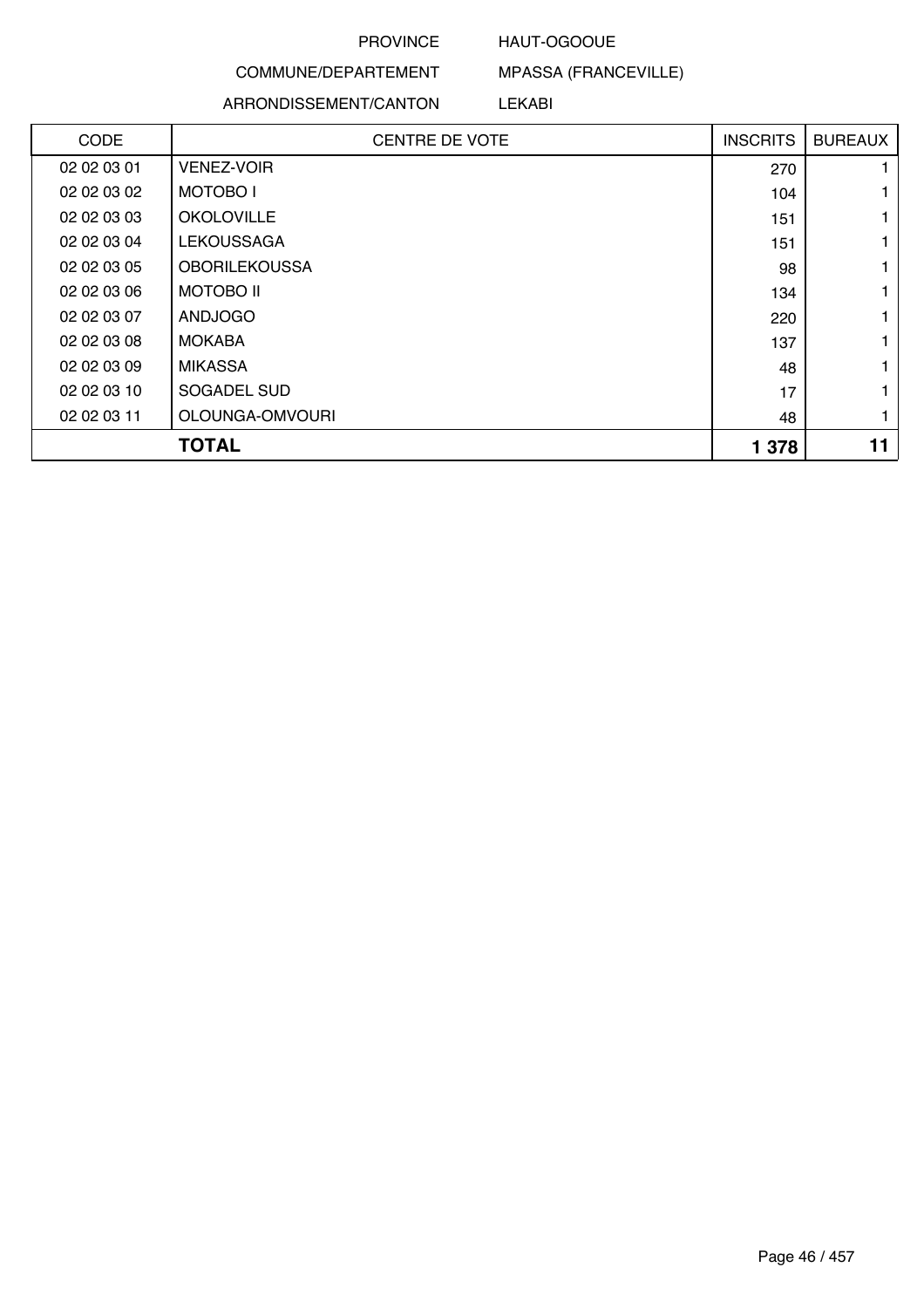### HAUT-OGOOUE

## COMMUNE/DEPARTEMENT

### ARRONDISSEMENT/CANTON

MPASSA (FRANCEVILLE)

### LEKABI

| <b>CODE</b> | <b>CENTRE DE VOTE</b> | <b>INSCRITS</b> | <b>BUREAUX</b> |
|-------------|-----------------------|-----------------|----------------|
| 02 02 03 01 | <b>VENEZ-VOIR</b>     | 270             |                |
| 02 02 03 02 | <b>MOTOBOI</b>        | 104             |                |
| 02 02 03 03 | <b>OKOLOVILLE</b>     | 151             |                |
| 02 02 03 04 | <b>LEKOUSSAGA</b>     | 151             |                |
| 02 02 03 05 | <b>OBORILEKOUSSA</b>  | 98              |                |
| 02 02 03 06 | <b>MOTOBO II</b>      | 134             |                |
| 02 02 03 07 | <b>ANDJOGO</b>        | 220             |                |
| 02 02 03 08 | <b>MOKABA</b>         | 137             |                |
| 02 02 03 09 | <b>MIKASSA</b>        | 48              |                |
| 02 02 03 10 | SOGADEL SUD           | 17              |                |
| 02 02 03 11 | OLOUNGA-OMVOURI       | 48              |                |
|             | <b>TOTAL</b>          | 1 3 7 8         | 11             |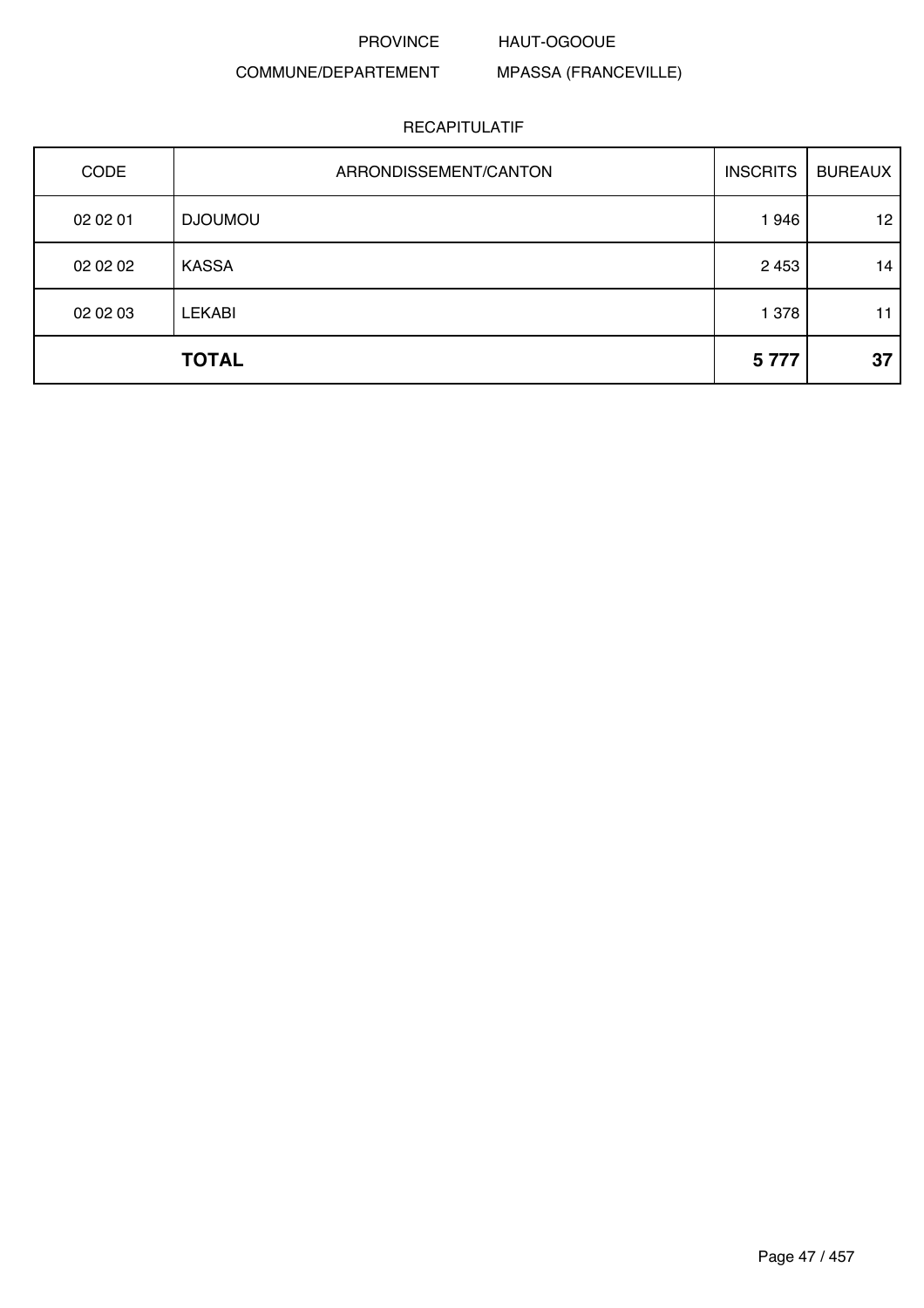#### HAUT-OGOOUE

### COMMUNE/DEPARTEMENT

MPASSA (FRANCEVILLE)

| <b>CODE</b> | ARRONDISSEMENT/CANTON | <b>INSCRITS</b> | <b>BUREAUX</b>  |
|-------------|-----------------------|-----------------|-----------------|
| 02 02 01    | <b>DJOUMOU</b>        | 1946            | 12 <sup>°</sup> |
| 02 02 02    | <b>KASSA</b>          | 2 4 5 3         | 14              |
| 02 02 03    | <b>LEKABI</b>         | 1 378           | 11              |
|             | <b>TOTAL</b>          | 5777            | 37              |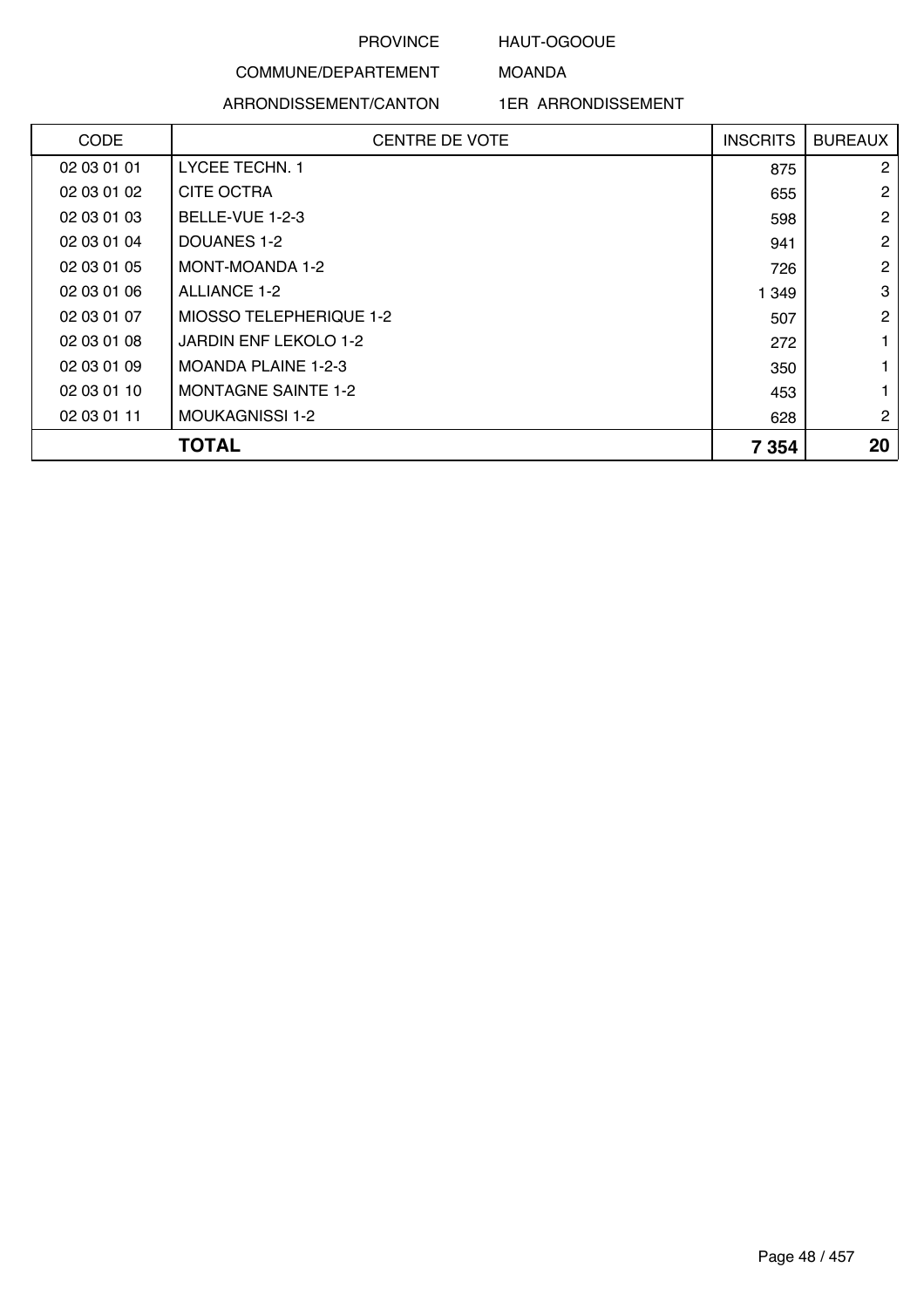### HAUT-OGOOUE

MOANDA

# COMMUNE/DEPARTEMENT

ARRONDISSEMENT/CANTON

| <b>CODE</b> | <b>CENTRE DE VOTE</b>      | <b>INSCRITS</b> | <b>BUREAUX</b> |
|-------------|----------------------------|-----------------|----------------|
| 02 03 01 01 | <b>LYCEE TECHN. 1</b>      | 875             | $\overline{2}$ |
| 02 03 01 02 | <b>CITE OCTRA</b>          | 655             | $\overline{2}$ |
| 02 03 01 03 | BELLE-VUE 1-2-3            | 598             | $\overline{2}$ |
| 02 03 01 04 | DOUANES 1-2                | 941             | $\mathbf{2}$   |
| 02 03 01 05 | MONT-MOANDA 1-2            | 726             | $\overline{2}$ |
| 02 03 01 06 | ALLIANCE 1-2               | 1 3 4 9         | 3              |
| 02 03 01 07 | MIOSSO TELEPHERIQUE 1-2    | 507             | $\overline{2}$ |
| 02 03 01 08 | JARDIN ENF LEKOLO 1-2      | 272             |                |
| 02 03 01 09 | <b>MOANDA PLAINE 1-2-3</b> | 350             |                |
| 02 03 01 10 | <b>MONTAGNE SAINTE 1-2</b> | 453             |                |
| 02 03 01 11 | <b>MOUKAGNISSI 1-2</b>     | 628             | $\overline{2}$ |
|             | <b>TOTAL</b>               | 7 3 5 4         | 20             |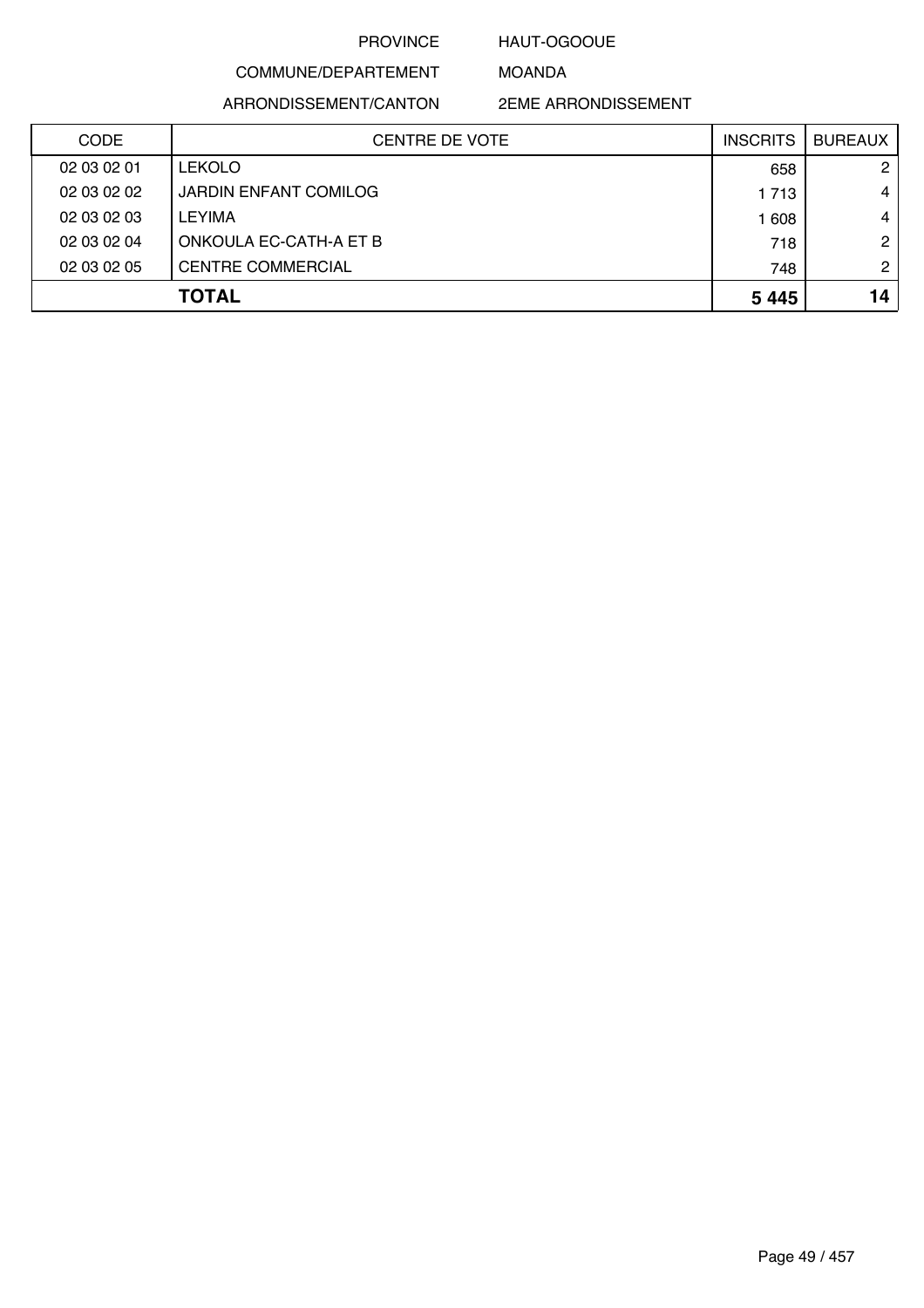### HAUT-OGOOUE

MOANDA

COMMUNE/DEPARTEMENT

ARRONDISSEMENT/CANTON

| <b>CODE</b> | <b>CENTRE DE VOTE</b>        | <b>INSCRITS</b> | <b>BUREAUX</b> |
|-------------|------------------------------|-----------------|----------------|
| 02 03 02 01 | <b>LEKOLO</b>                | 658             | $\overline{2}$ |
| 02 03 02 02 | <b>JARDIN ENFANT COMILOG</b> | 1 7 1 3         | 4              |
| 02 03 02 03 | LEYIMA                       | 1 608           | 4              |
| 02 03 02 04 | ONKOULA EC-CATH-A ET B       | 718             | $\overline{2}$ |
| 02 03 02 05 | <b>CENTRE COMMERCIAL</b>     | 748             | $\mathbf{2}$   |
|             | <b>TOTAL</b>                 | 5 4 4 5         | 14             |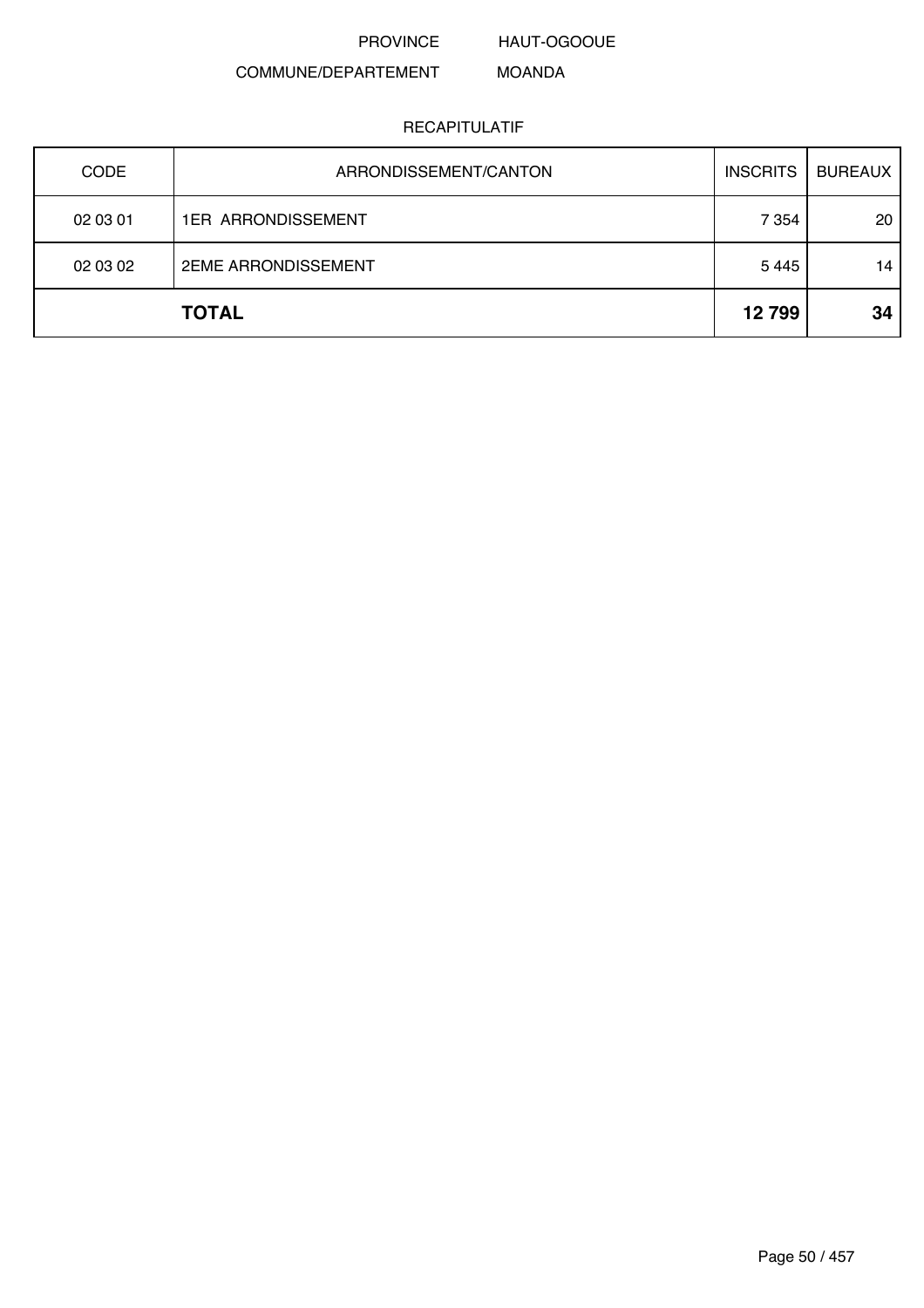HAUT-OGOOUE

#### COMMUNE/DEPARTEMENT MOANDA

| <b>CODE</b> | ARRONDISSEMENT/CANTON      | <b>INSCRITS</b> | <b>BUREAUX</b> |
|-------------|----------------------------|-----------------|----------------|
| 02 03 01    | <b>1ER ARRONDISSEMENT</b>  | 7 3 5 4         | 20             |
| 02 03 02    | <b>2EME ARRONDISSEMENT</b> | 5 4 4 5         | 14             |
|             | <b>TOTAL</b>               | 12799           | 34             |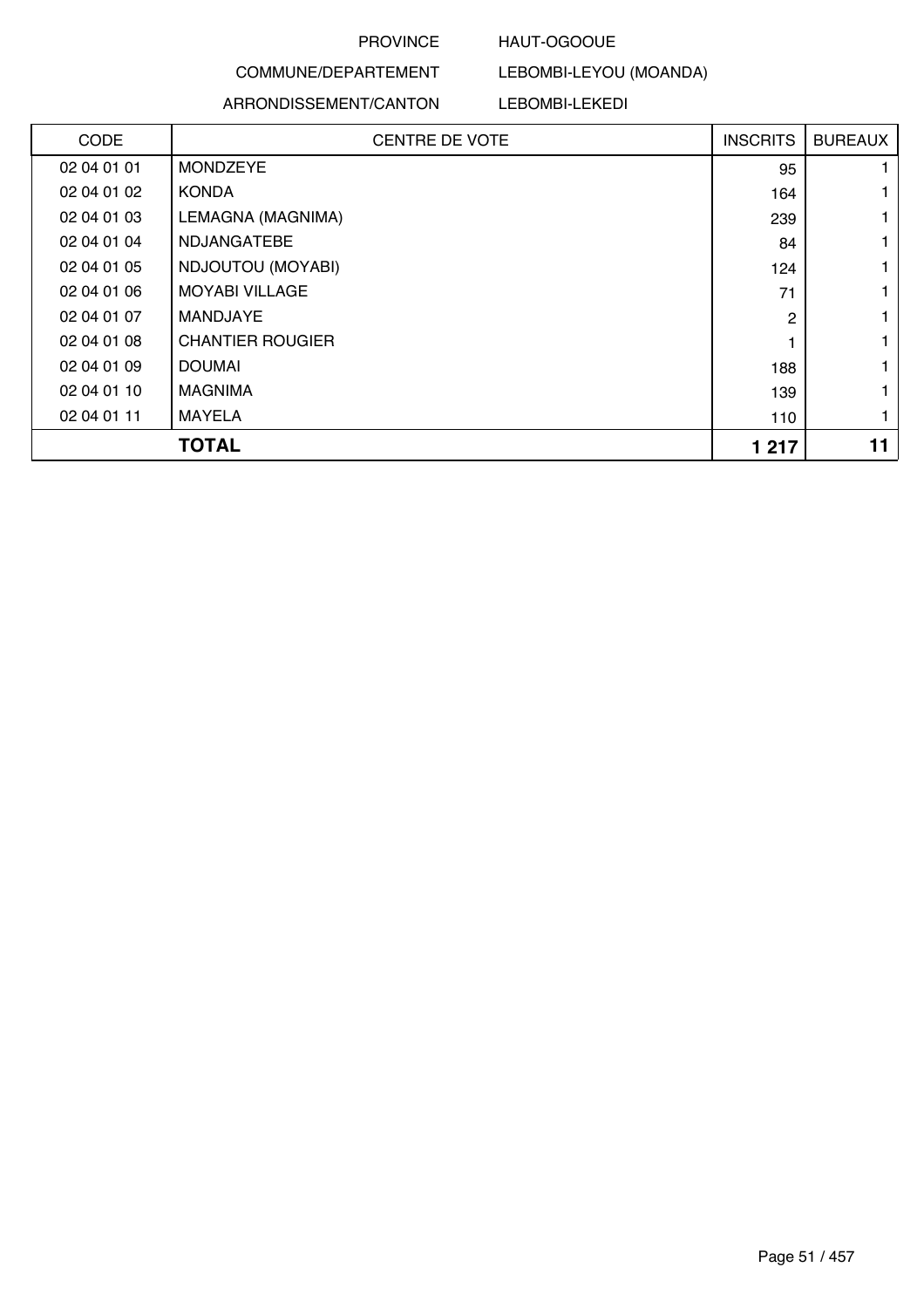### HAUT-OGOOUE

## COMMUNE/DEPARTEMENT

### ARRONDISSEMENT/CANTON

LEBOMBI-LEYOU (MOANDA)

LEBOMBI-LEKEDI

| CODE        | <b>CENTRE DE VOTE</b>   | <b>INSCRITS</b> | <b>BUREAUX</b> |
|-------------|-------------------------|-----------------|----------------|
| 02 04 01 01 | <b>MONDZEYE</b>         | 95              |                |
| 02 04 01 02 | <b>KONDA</b>            | 164             |                |
| 02 04 01 03 | LEMAGNA (MAGNIMA)       | 239             |                |
| 02 04 01 04 | <b>NDJANGATEBE</b>      | 84              |                |
| 02 04 01 05 | NDJOUTOU (MOYABI)       | 124             |                |
| 02 04 01 06 | <b>MOYABI VILLAGE</b>   | 71              |                |
| 02 04 01 07 | <b>MANDJAYE</b>         | $\mathbf{2}$    |                |
| 02 04 01 08 | <b>CHANTIER ROUGIER</b> |                 |                |
| 02 04 01 09 | <b>DOUMAI</b>           | 188             |                |
| 02 04 01 10 | <b>MAGNIMA</b>          | 139             |                |
| 02 04 01 11 | MAYELA                  | 110             |                |
|             | <b>TOTAL</b>            | 1 2 1 7         | 11             |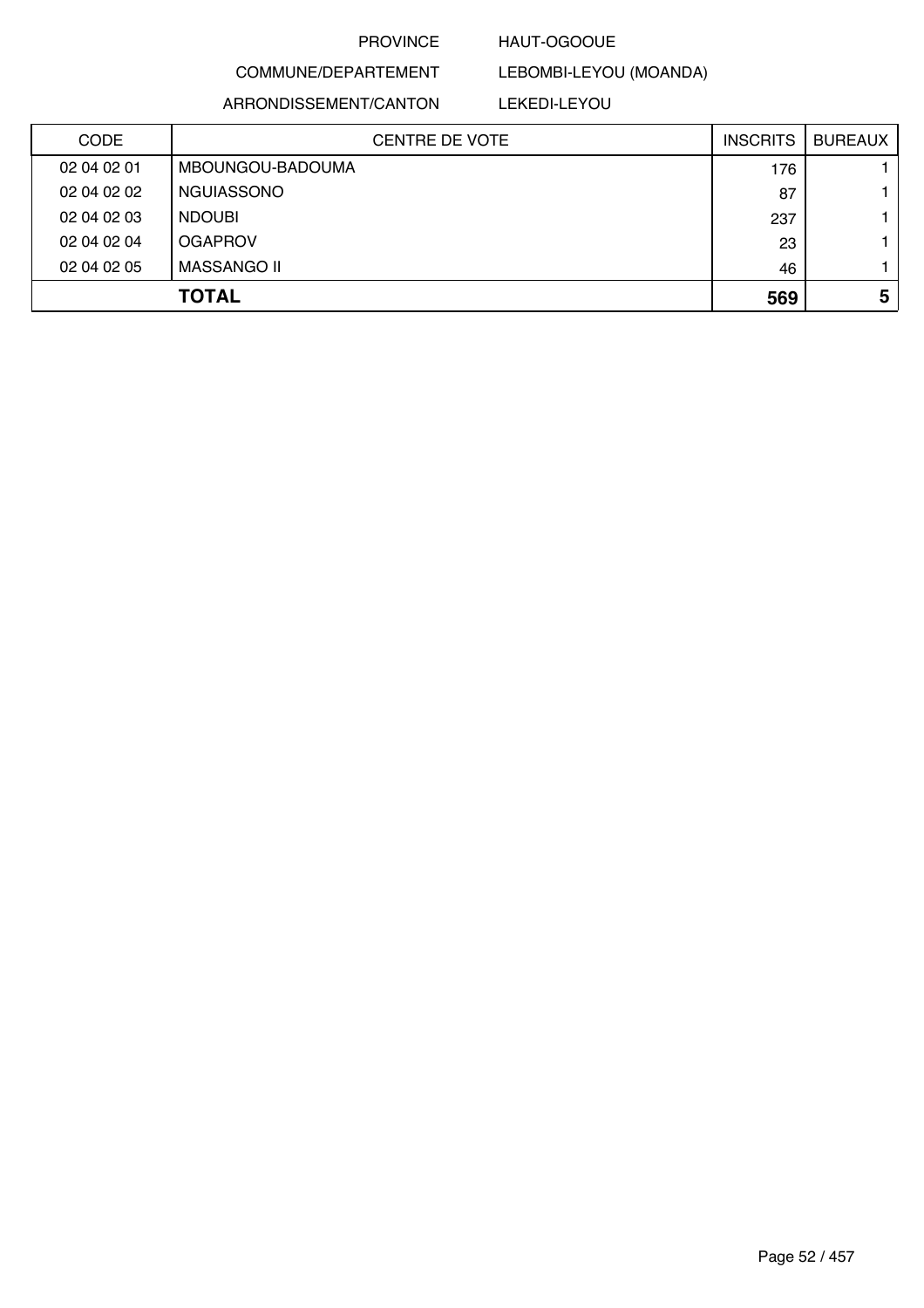### HAUT-OGOOUE

COMMUNE/DEPARTEMENT

ARRONDISSEMENT/CANTON

### LEKEDI-LEYOU

LEBOMBI-LEYOU (MOANDA)

|             | <b>TOTAL</b>          | 569             | 5              |
|-------------|-----------------------|-----------------|----------------|
| 02 04 02 05 | <b>MASSANGO II</b>    | 46              |                |
| 02 04 02 04 | <b>OGAPROV</b>        | 23              |                |
| 02 04 02 03 | <b>NDOUBI</b>         | 237             |                |
| 02 04 02 02 | <b>NGUIASSONO</b>     | 87              |                |
| 02 04 02 01 | MBOUNGOU-BADOUMA      | 176             |                |
| <b>CODE</b> | <b>CENTRE DE VOTE</b> | <b>INSCRITS</b> | <b>BUREAUX</b> |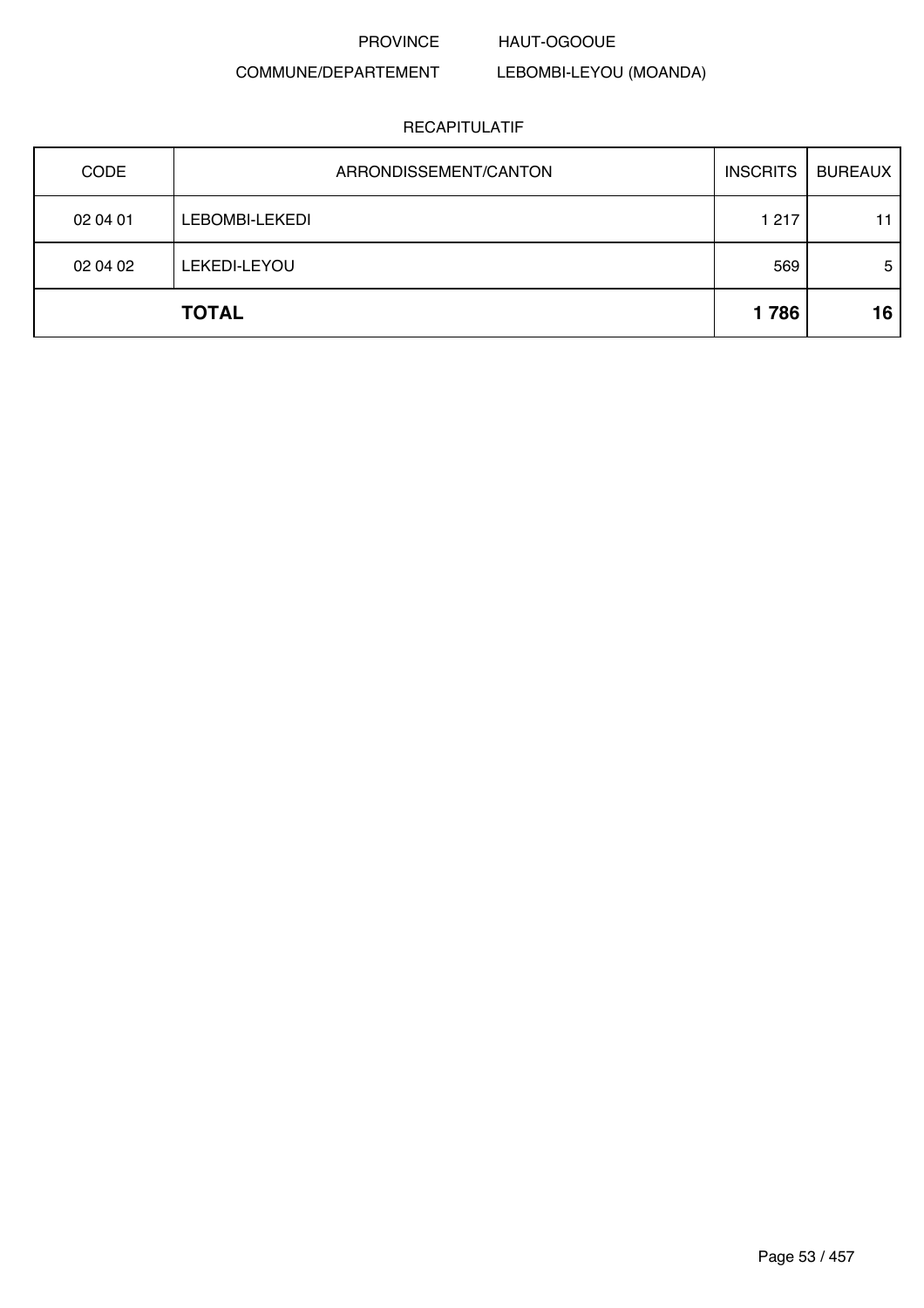#### PROVINCE HAUT-OGOOUE

# COMMUNE/DEPARTEMENT

## LEBOMBI-LEYOU (MOANDA)

| <b>CODE</b> | ARRONDISSEMENT/CANTON | <b>INSCRITS</b> | <b>BUREAUX</b> |
|-------------|-----------------------|-----------------|----------------|
| 02 04 01    | LEBOMBI-LEKEDI        | 1 2 1 7         | 11             |
| 02 04 02    | LEKEDI-LEYOU          | 569             | 5              |
|             | <b>TOTAL</b>          | 1786            | 16             |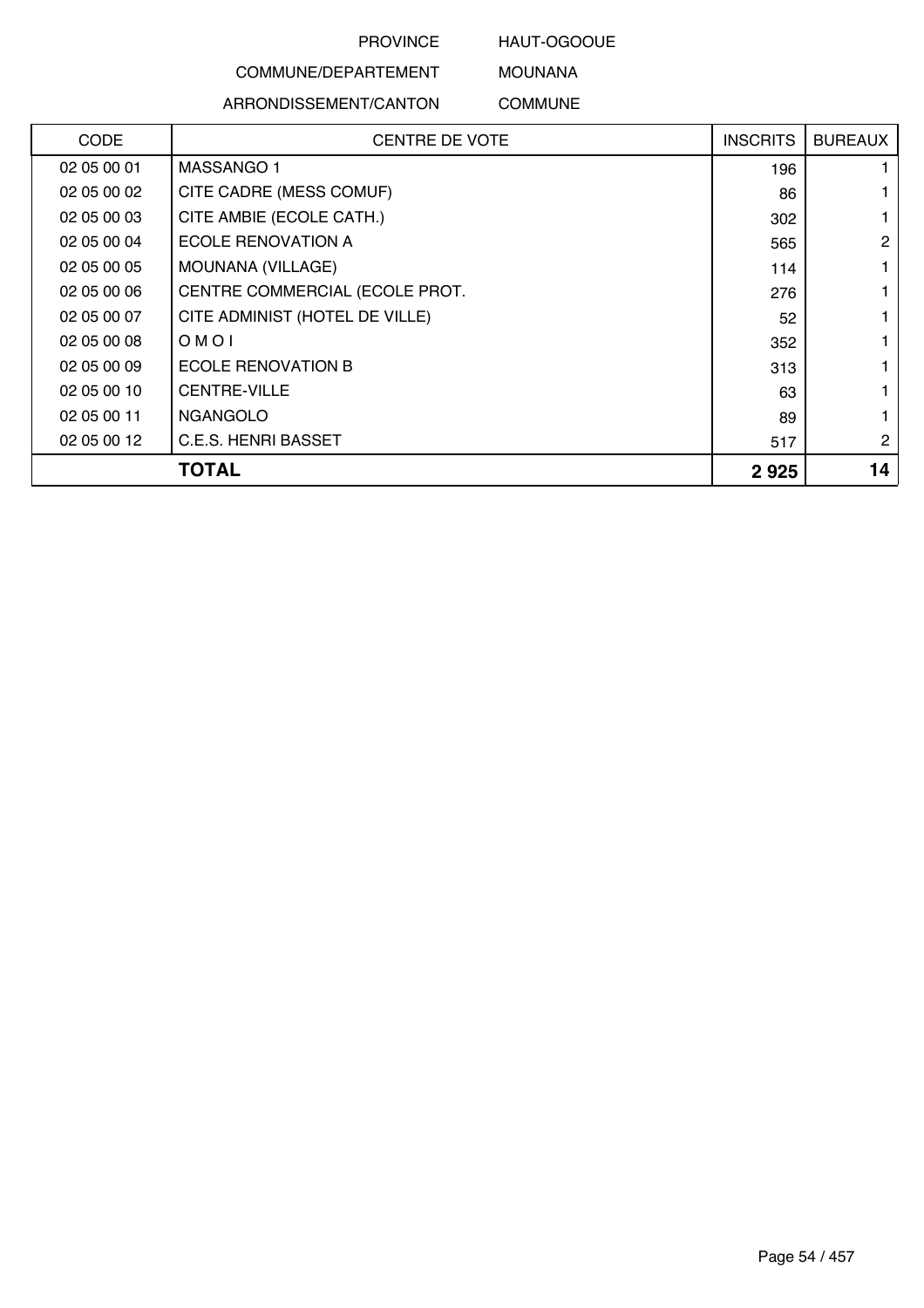HAUT-OGOOUE

# COMMUNE/DEPARTEMENT

ARRONDISSEMENT/CANTON

MOUNANA COMMUNE

| <b>CODE</b> | <b>CENTRE DE VOTE</b>          | <b>INSCRITS</b> | <b>BUREAUX</b> |
|-------------|--------------------------------|-----------------|----------------|
| 02 05 00 01 | MASSANGO 1                     | 196             |                |
| 02 05 00 02 | CITE CADRE (MESS COMUF)        | 86              |                |
| 02 05 00 03 | CITE AMBIE (ECOLE CATH.)       | 302             |                |
| 02 05 00 04 | ECOLE RENOVATION A             | 565             | 2              |
| 02 05 00 05 | MOUNANA (VILLAGE)              | 114             |                |
| 02 05 00 06 | CENTRE COMMERCIAL (ECOLE PROT. | 276             |                |
| 02 05 00 07 | CITE ADMINIST (HOTEL DE VILLE) | 52              |                |
| 02 05 00 08 | OMOI                           | 352             |                |
| 02 05 00 09 | <b>ECOLE RENOVATION B</b>      | 313             |                |
| 02 05 00 10 | <b>CENTRE-VILLE</b>            | 63              |                |
| 02 05 00 11 | <b>NGANGOLO</b>                | 89              |                |
| 02 05 00 12 | C.E.S. HENRI BASSET            | 517             | $\overline{2}$ |
|             | <b>TOTAL</b>                   | 2925            | 14             |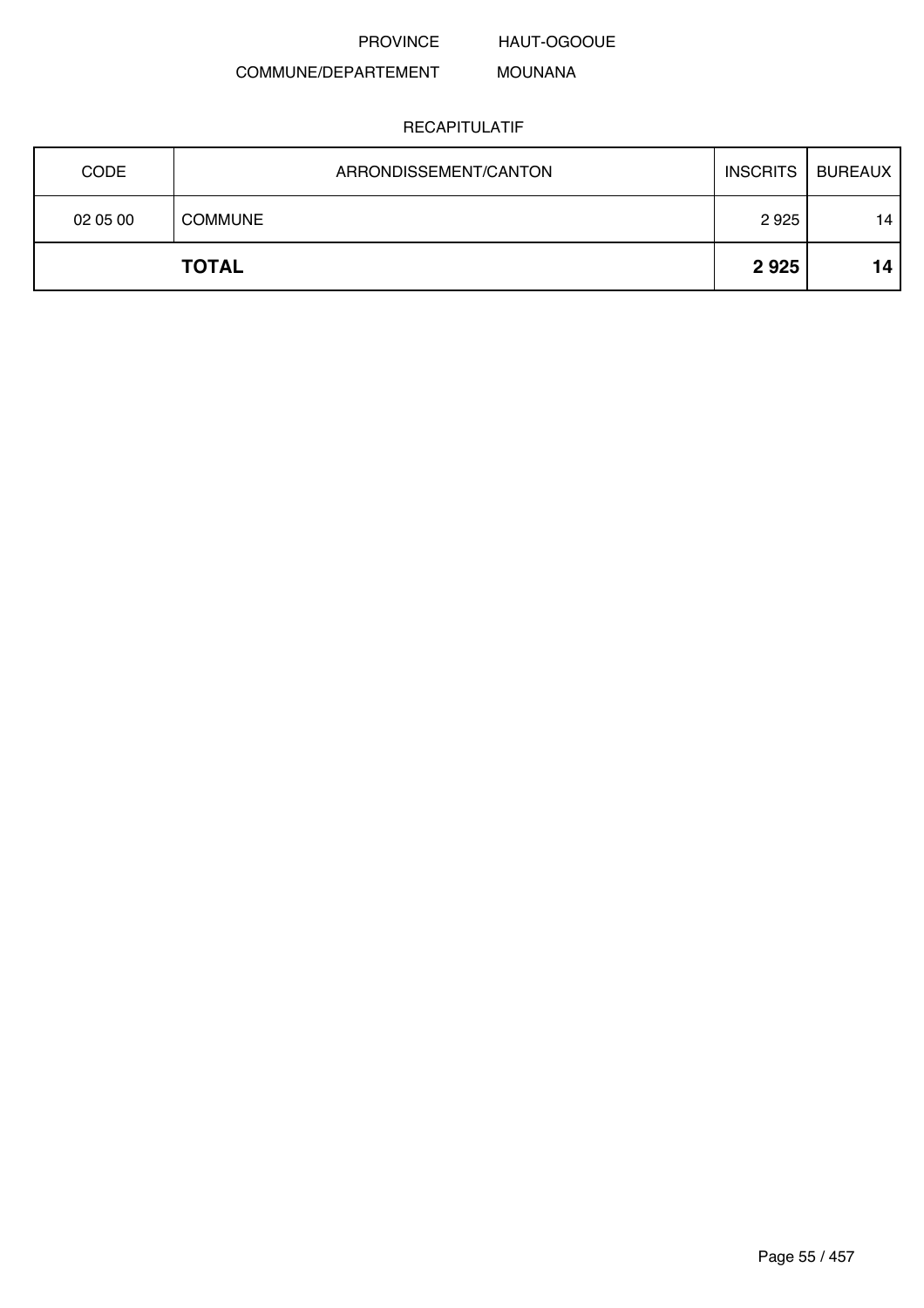HAUT-OGOOUE

#### COMMUNE/DEPARTEMENT MOUNANA

| <b>CODE</b> | ARRONDISSEMENT/CANTON | <b>INSCRITS</b> | <b>BUREAUX</b> |
|-------------|-----------------------|-----------------|----------------|
| 02 05 00    | <b>COMMUNE</b>        | 2925            | 14             |
|             | <b>TOTAL</b>          | 2925            | 14             |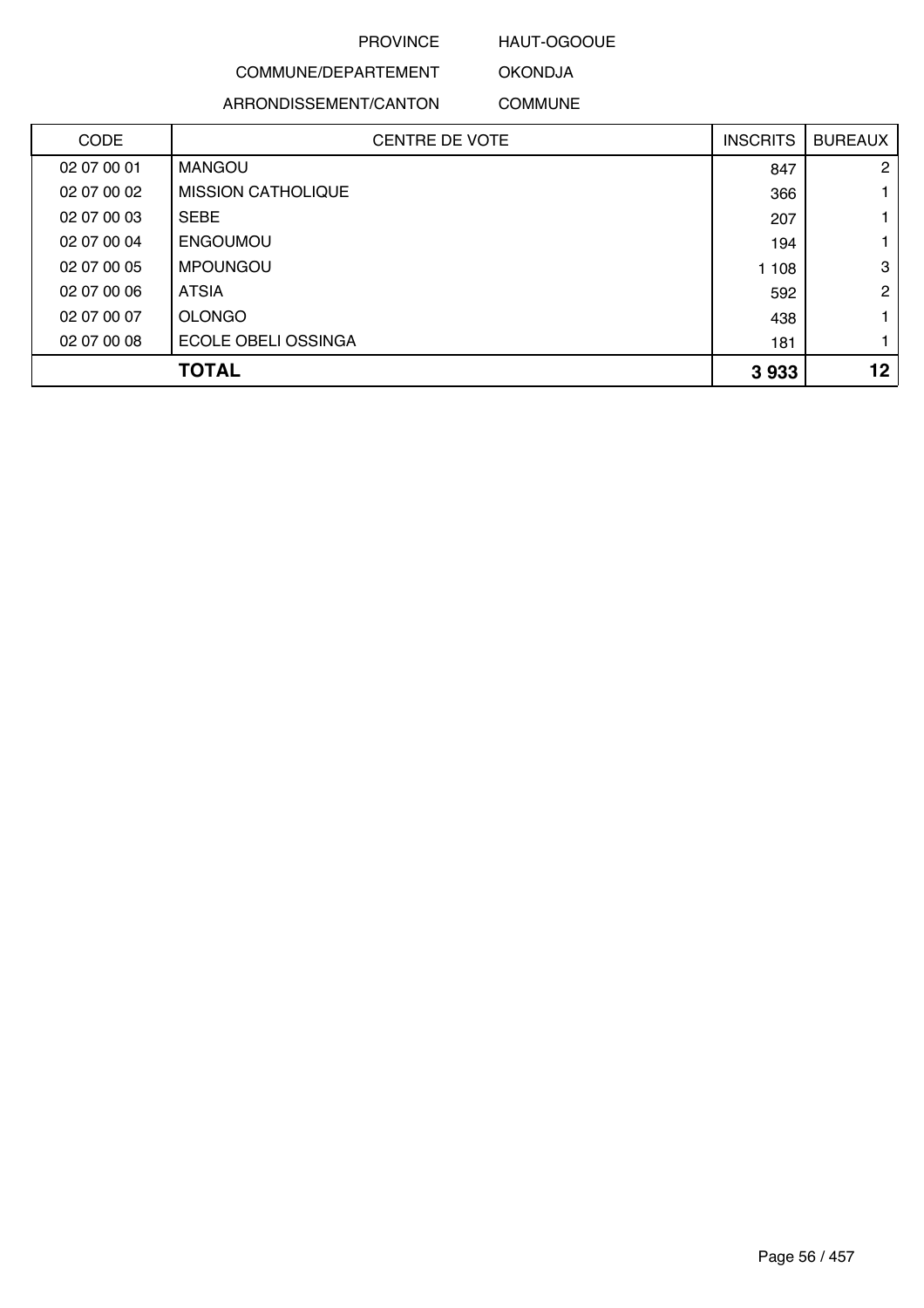### HAUT-OGOOUE

OKONDJA

# COMMUNE/DEPARTEMENT ARRONDISSEMENT/CANTON

COMMUNE

| <b>CODE</b> | <b>CENTRE DE VOTE</b>     | <b>INSCRITS</b> | <b>BUREAUX</b>  |
|-------------|---------------------------|-----------------|-----------------|
| 02 07 00 01 | <b>MANGOU</b>             | 847             | $\overline{2}$  |
| 02 07 00 02 | <b>MISSION CATHOLIQUE</b> | 366             |                 |
| 02 07 00 03 | <b>SEBE</b>               | 207             |                 |
| 02 07 00 04 | <b>ENGOUMOU</b>           | 194             |                 |
| 02 07 00 05 | <b>MPOUNGOU</b>           | 1 108           | 3               |
| 02 07 00 06 | <b>ATSIA</b>              | 592             | $\overline{2}$  |
| 02 07 00 07 | <b>OLONGO</b>             | 438             |                 |
| 02 07 00 08 | ECOLE OBELI OSSINGA       | 181             |                 |
|             | <b>TOTAL</b>              | 3933            | 12 <sub>2</sub> |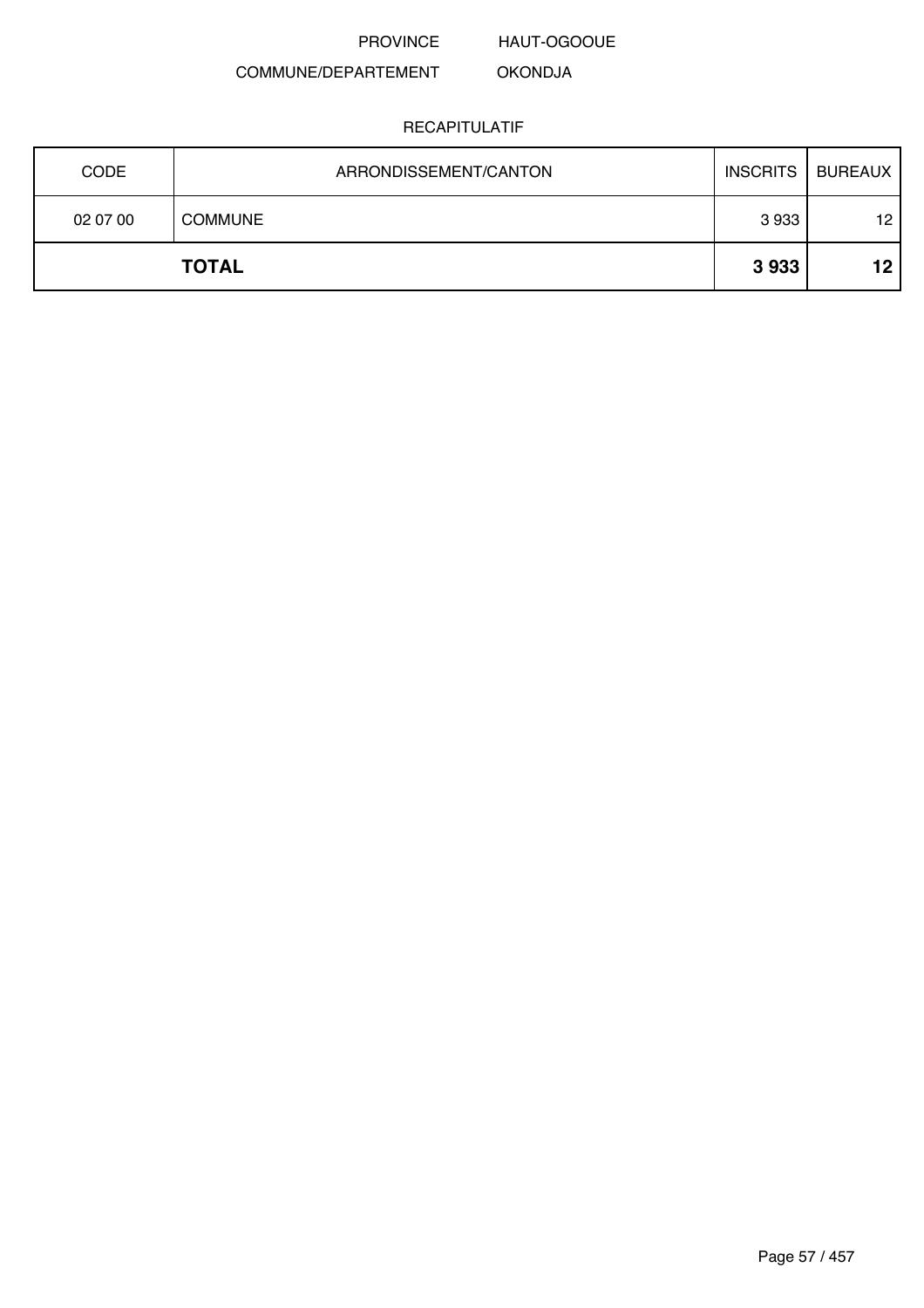HAUT-OGOOUE

#### COMMUNE/DEPARTEMENT OKONDJA

| <b>CODE</b> | ARRONDISSEMENT/CANTON | <b>INSCRITS</b> | <b>BUREAUX</b> |
|-------------|-----------------------|-----------------|----------------|
| 02 07 00    | <b>COMMUNE</b>        | 3933            | 12             |
|             | <b>TOTAL</b>          | 3933            | 12             |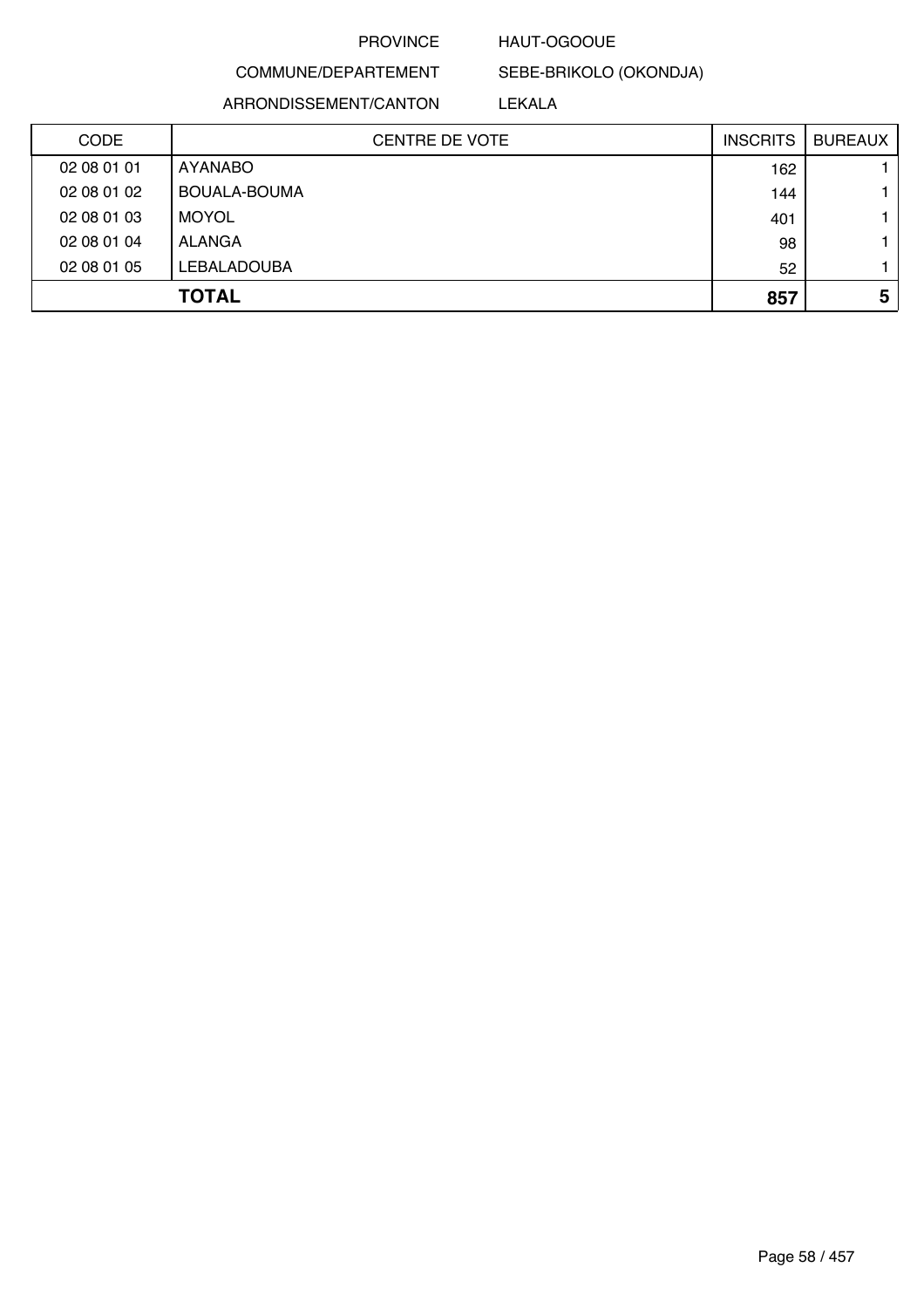### HAUT-OGOOUE

COMMUNE/DEPARTEMENT ARRONDISSEMENT/CANTON

SEBE-BRIKOLO (OKONDJA) LEKALA

| CODE        | <b>CENTRE DE VOTE</b> | <b>INSCRITS</b> | <b>BUREAUX</b> |
|-------------|-----------------------|-----------------|----------------|
| 02 08 01 01 | <b>AYANABO</b>        | 162             |                |
| 02 08 01 02 | BOUALA-BOUMA          | 144             |                |
| 02 08 01 03 | <b>MOYOL</b>          | 401             |                |
| 02 08 01 04 | ALANGA                | 98              |                |
| 02 08 01 05 | LEBALADOUBA           | 52              |                |
|             | <b>TOTAL</b>          | 857             | 5              |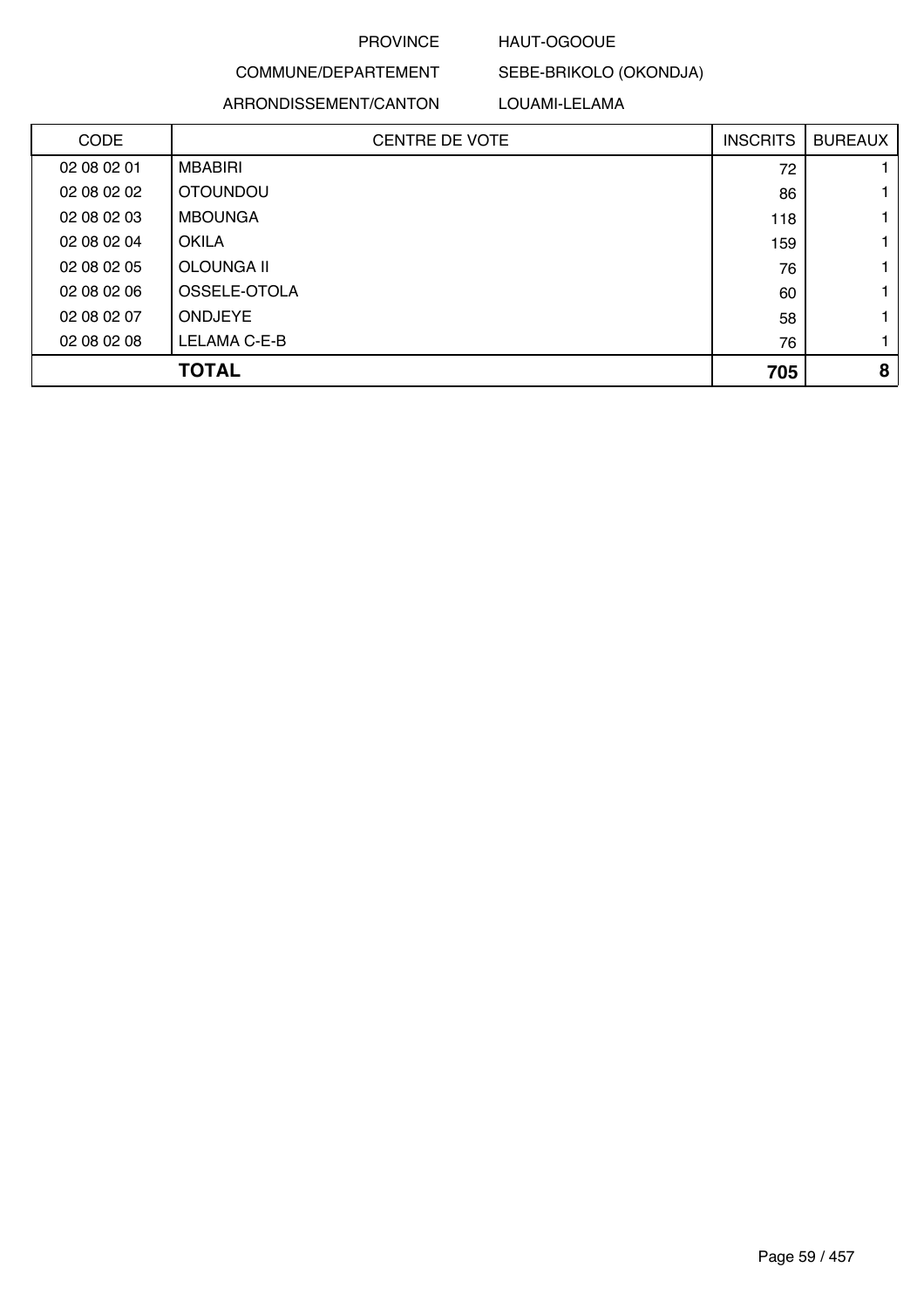### HAUT-OGOOUE

# COMMUNE/DEPARTEMENT ARRONDISSEMENT/CANTON

### LOUAMI-LELAMA

SEBE-BRIKOLO (OKONDJA)

| <b>CODE</b> | <b>CENTRE DE VOTE</b> | <b>INSCRITS</b> | <b>BUREAUX</b> |
|-------------|-----------------------|-----------------|----------------|
| 02 08 02 01 | <b>MBABIRI</b>        | 72              |                |
| 02 08 02 02 | <b>OTOUNDOU</b>       | 86              |                |
| 02 08 02 03 | <b>MBOUNGA</b>        | 118             |                |
| 02 08 02 04 | <b>OKILA</b>          | 159             |                |
| 02 08 02 05 | OLOUNGA II            | 76              |                |
| 02 08 02 06 | OSSELE-OTOLA          | 60              |                |
| 02 08 02 07 | <b>ONDJEYE</b>        | 58              |                |
| 02 08 02 08 | LELAMA C-E-B          | 76              |                |
|             | TOTAL                 | 705             | 8              |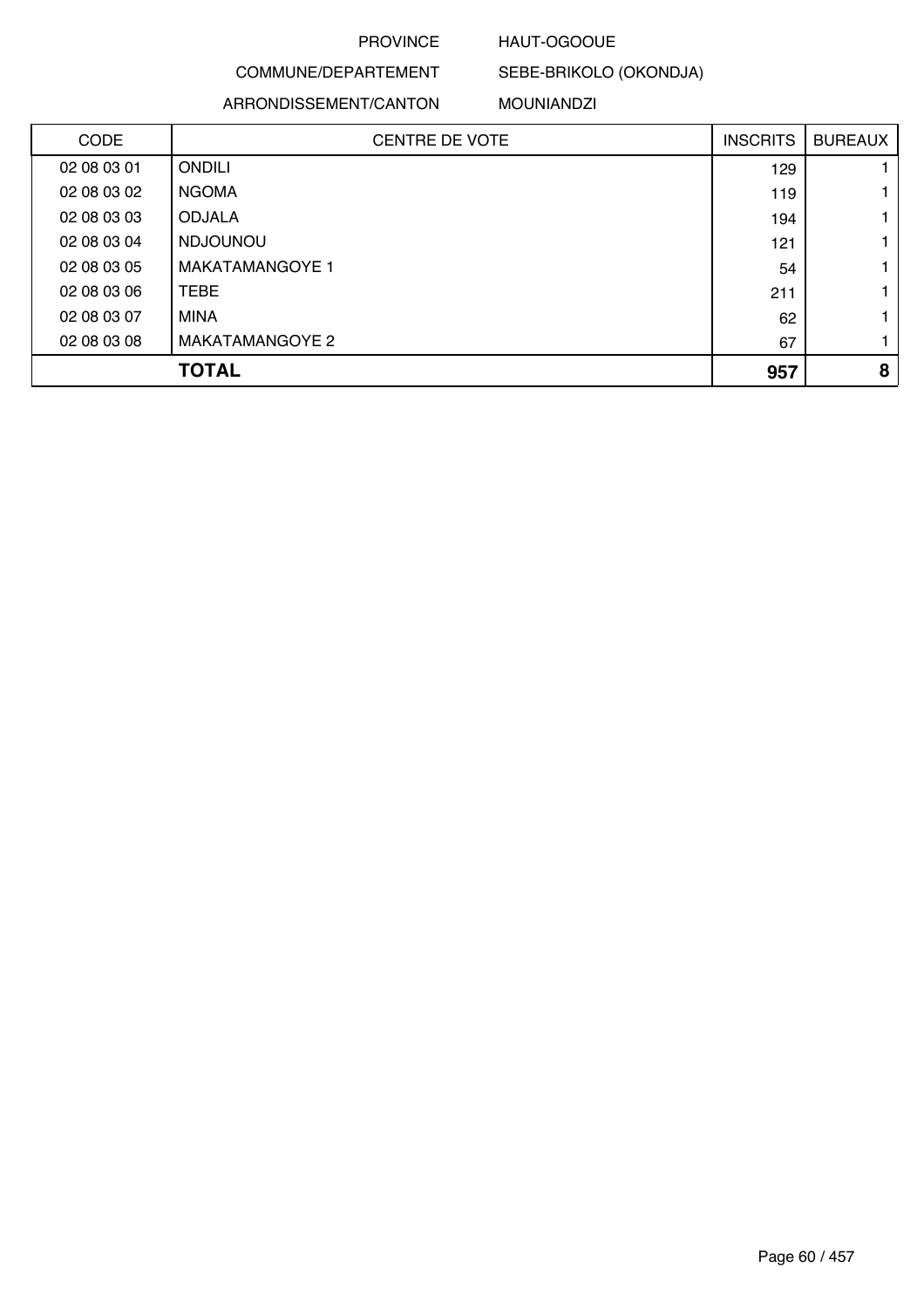### HAUT-OGOOUE

SEBE-BRIKOLO (OKONDJA)

# COMMUNE/DEPARTEMENT ARRONDISSEMENT/CANTON

### MOUNIANDZI

| <b>CODE</b> | <b>CENTRE DE VOTE</b>  | <b>INSCRITS</b> | <b>BUREAUX</b> |
|-------------|------------------------|-----------------|----------------|
| 02 08 03 01 | <b>ONDILI</b>          | 129             |                |
| 02 08 03 02 | <b>NGOMA</b>           | 119             |                |
| 02 08 03 03 | <b>ODJALA</b>          | 194             |                |
| 02 08 03 04 | <b>NDJOUNOU</b>        | 121             |                |
| 02 08 03 05 | <b>MAKATAMANGOYE 1</b> | 54              |                |
| 02 08 03 06 | <b>TEBE</b>            | 211             |                |
| 02 08 03 07 | <b>MINA</b>            | 62              |                |
| 02 08 03 08 | MAKATAMANGOYE 2        | 67              |                |
|             | <b>TOTAL</b>           | 957             | 8              |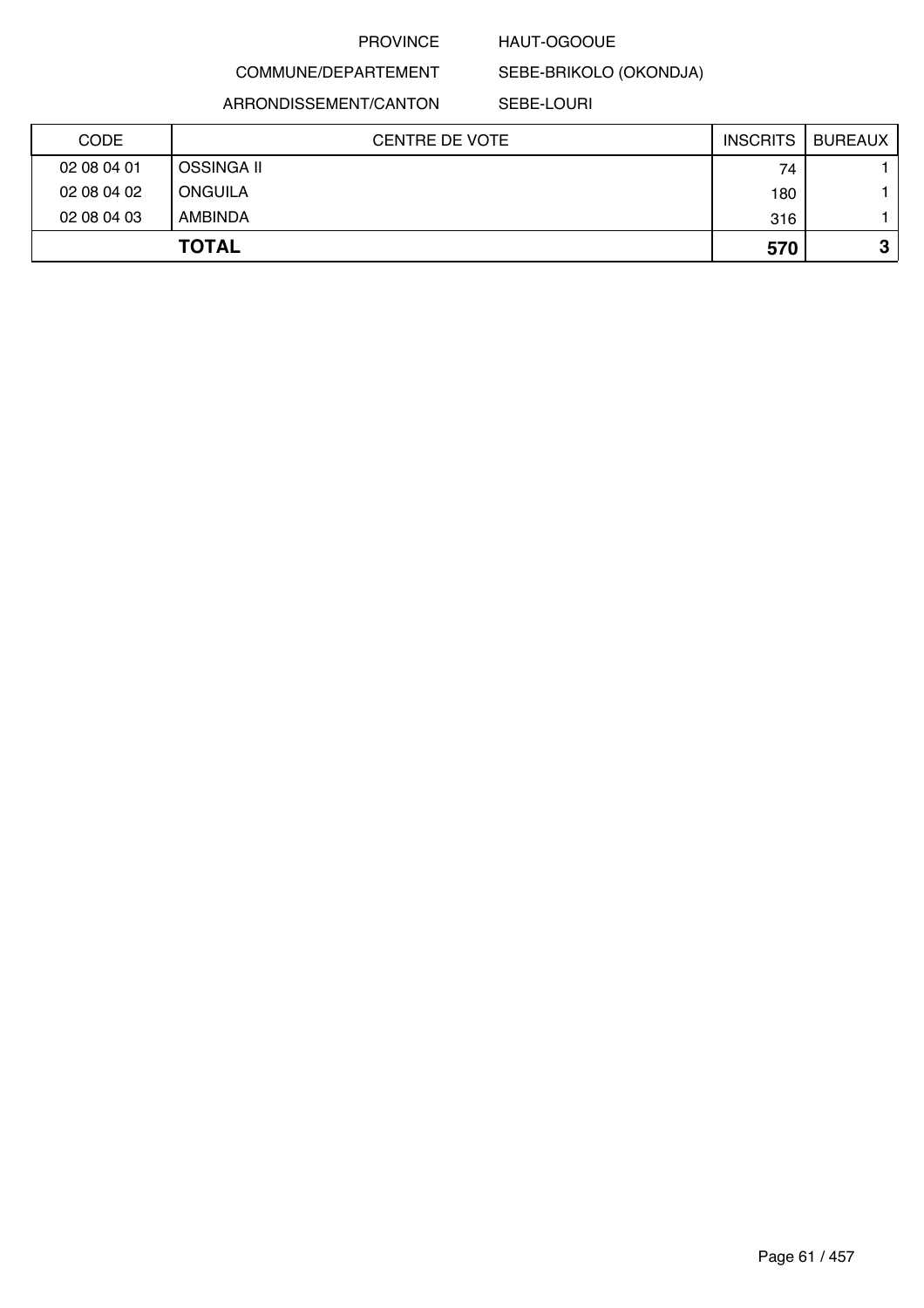#### HAUT-OGOOUE

COMMUNE/DEPARTEMENT ARRONDISSEMENT/CANTON

SEBE-LOURI

SEBE-BRIKOLO (OKONDJA)

| <b>CODE</b> | <b>CENTRE DE VOTE</b> | <b>INSCRITS</b> | <b>BUREAUX</b> |
|-------------|-----------------------|-----------------|----------------|
| 02 08 04 01 | <b>OSSINGA II</b>     | 74              |                |
| 02 08 04 02 | <b>ONGUILA</b>        | 180             |                |
| 02 08 04 03 | <b>AMBINDA</b>        | 316             |                |
|             | <b>TOTAL</b>          | 570             | ≏<br>J         |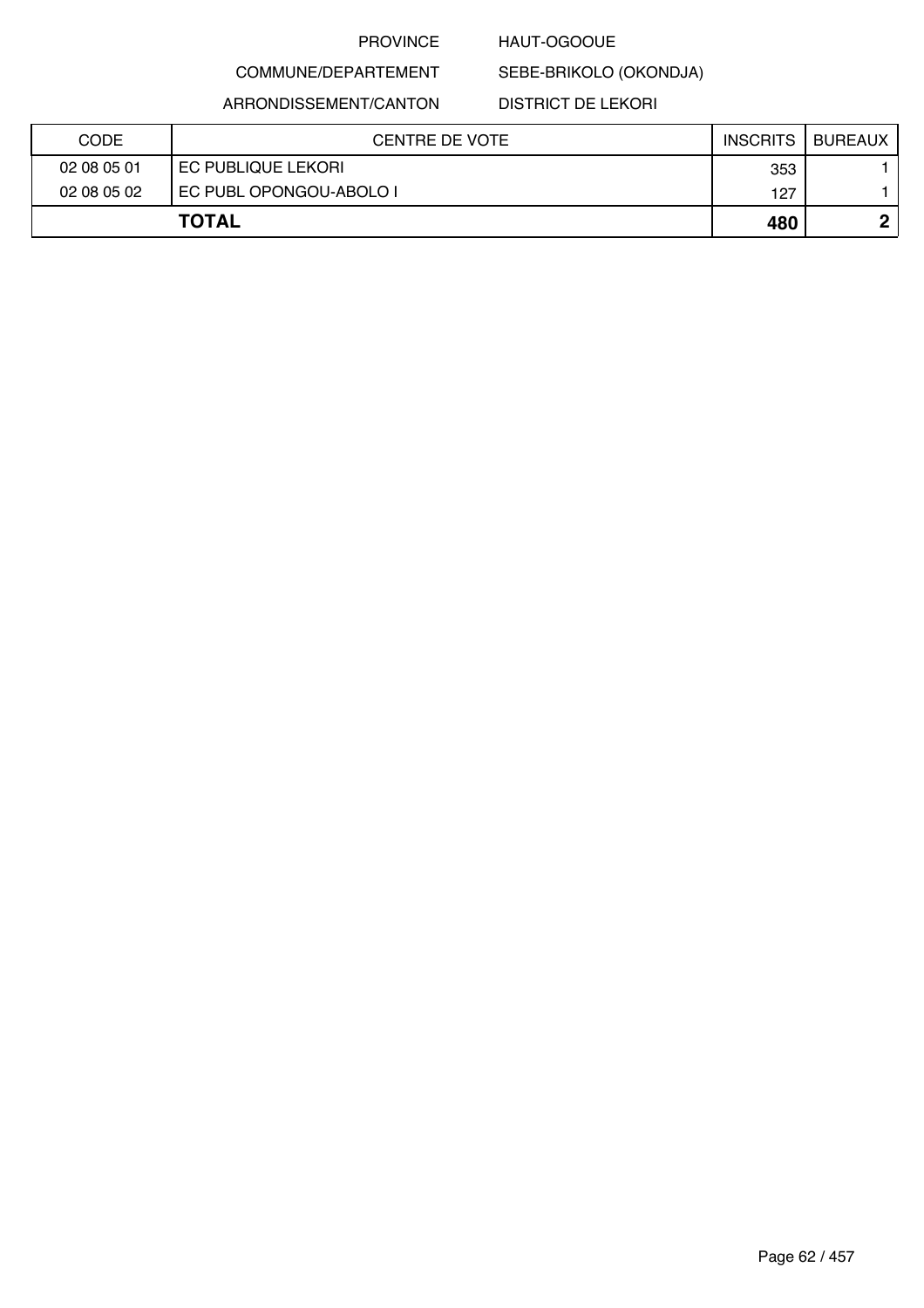### HAUT-OGOOUE

SEBE-BRIKOLO (OKONDJA)

ARRONDISSEMENT/CANTON

COMMUNE/DEPARTEMENT

DISTRICT DE LEKORI

| <b>CODE</b> | CENTRE DE VOTE          | <b>INSCRITS</b> | <b>BUREAUX</b> |
|-------------|-------------------------|-----------------|----------------|
| 02 08 05 01 | EC PUBLIQUE LEKORI      | 353             |                |
| 02 08 05 02 | EC PUBL OPONGOU-ABOLO I | 127             |                |
|             | <b>TOTAL</b>            | 480             |                |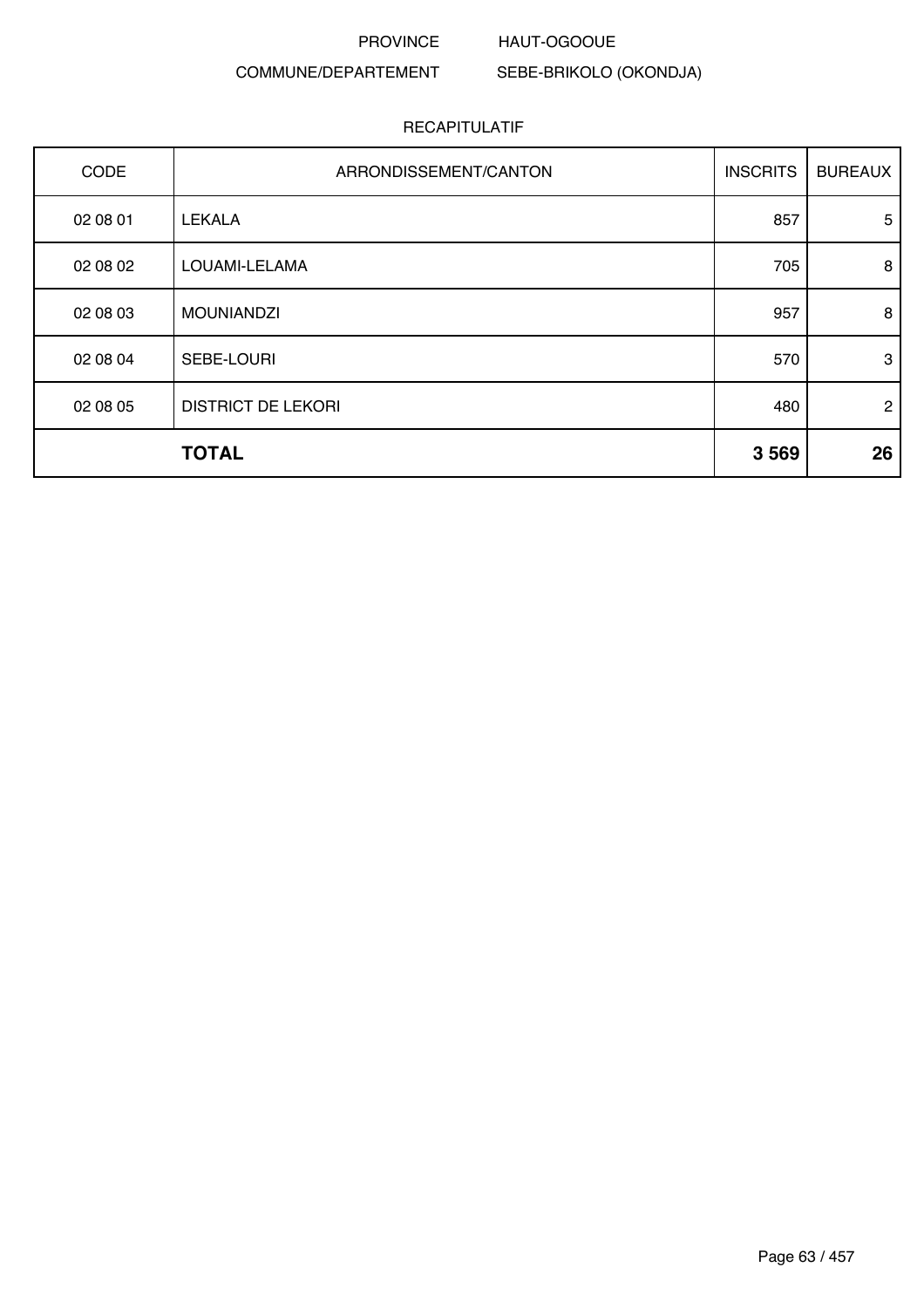#### PROVINCE HAUT-OGOOUE

### COMMUNE/DEPARTEMENT

SEBE-BRIKOLO (OKONDJA)

| CODE     | ARRONDISSEMENT/CANTON     | <b>INSCRITS</b> | <b>BUREAUX</b> |
|----------|---------------------------|-----------------|----------------|
| 02 08 01 | <b>LEKALA</b>             | 857             | 5              |
| 02 08 02 | LOUAMI-LELAMA             | 705             | 8              |
| 02 08 03 | <b>MOUNIANDZI</b>         | 957             | 8              |
| 02 08 04 | SEBE-LOURI                | 570             | 3              |
| 02 08 05 | <b>DISTRICT DE LEKORI</b> | 480             | $\overline{2}$ |
|          | <b>TOTAL</b>              | 3569            | 26             |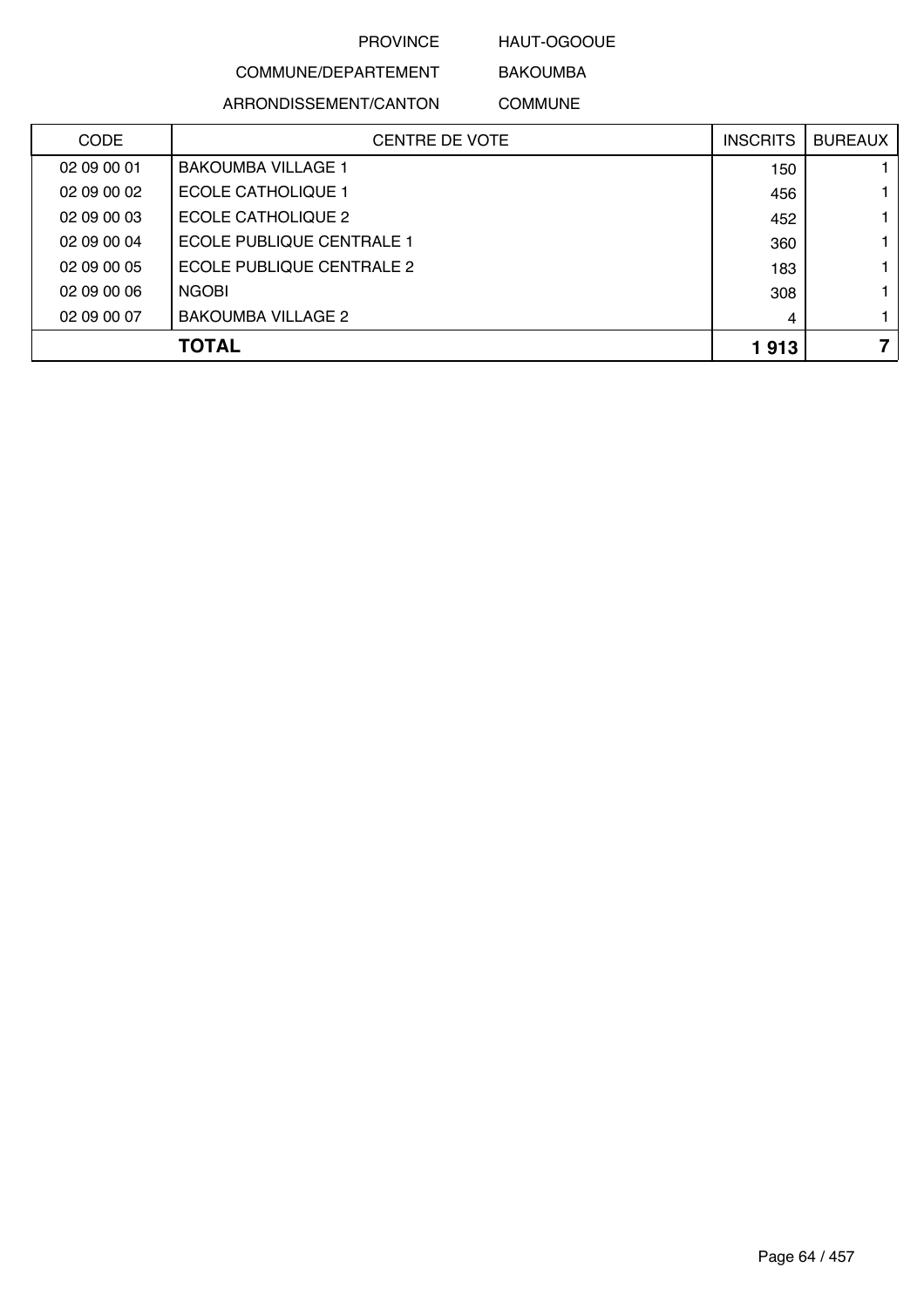HAUT-OGOOUE BAKOUMBA

# COMMUNE/DEPARTEMENT ARRONDISSEMENT/CANTON

COMMUNE

| <b>CODE</b> | <b>CENTRE DE VOTE</b>     | <b>INSCRITS</b> | <b>BUREAUX</b> |
|-------------|---------------------------|-----------------|----------------|
| 02 09 00 01 | <b>BAKOUMBA VILLAGE 1</b> | 150             |                |
| 02 09 00 02 | <b>ECOLE CATHOLIQUE 1</b> | 456             |                |
| 02 09 00 03 | ECOLE CATHOLIQUE 2        | 452             |                |
| 02 09 00 04 | ECOLE PUBLIQUE CENTRALE 1 | 360             |                |
| 02 09 00 05 | ECOLE PUBLIQUE CENTRALE 2 | 183             |                |
| 02 09 00 06 | <b>NGOBI</b>              | 308             |                |
| 02 09 00 07 | <b>BAKOUMBA VILLAGE 2</b> | 4               |                |
|             | <b>TOTAL</b>              | 1913            |                |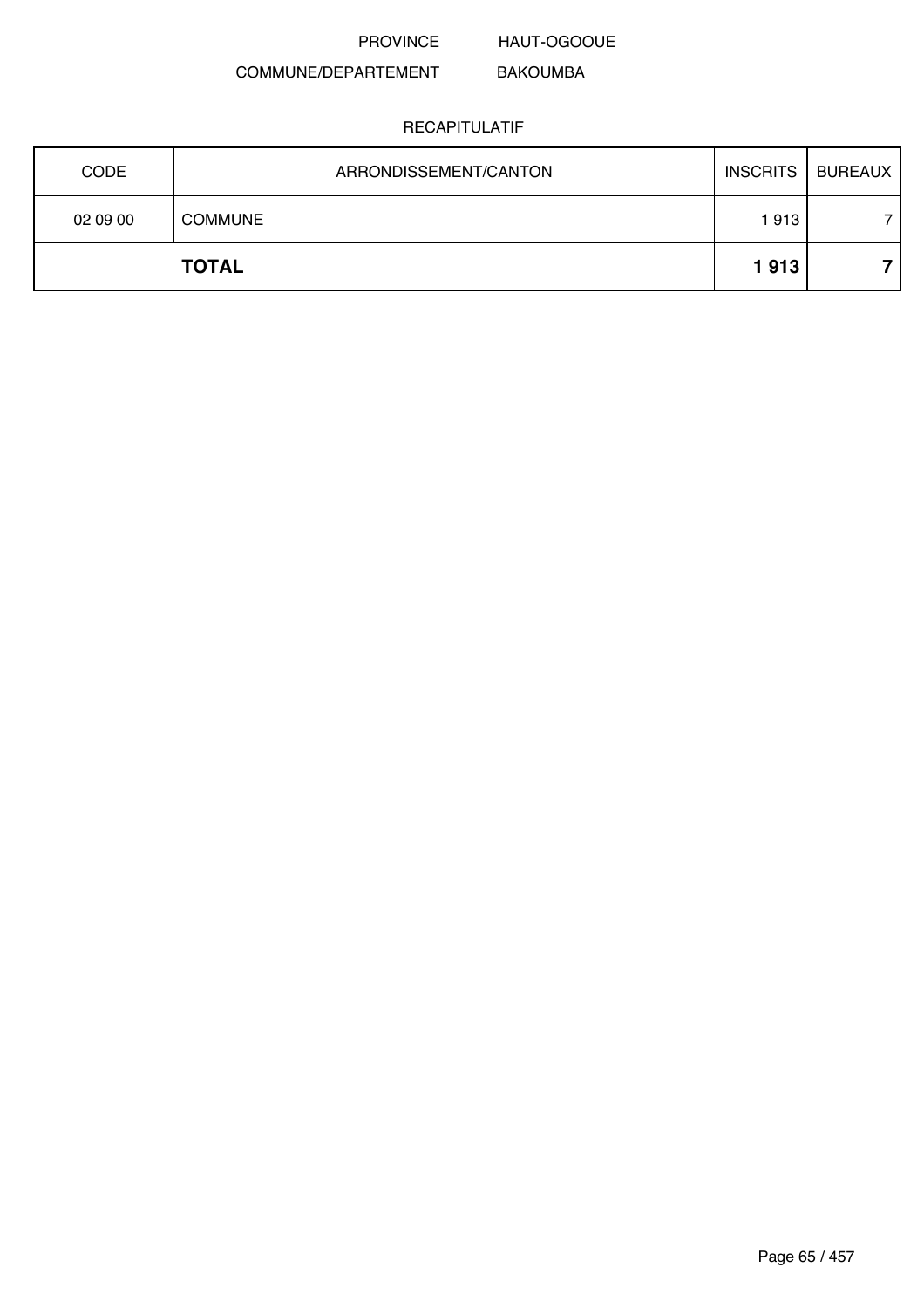HAUT-OGOOUE

#### COMMUNE/DEPARTEMENT BAKOUMBA

| <b>CODE</b> | ARRONDISSEMENT/CANTON | <b>INSCRITS</b> | BUREAUX |
|-------------|-----------------------|-----------------|---------|
| 02 09 00    | <b>COMMUNE</b>        | 1913            |         |
|             | <b>TOTAL</b>          | 1913            |         |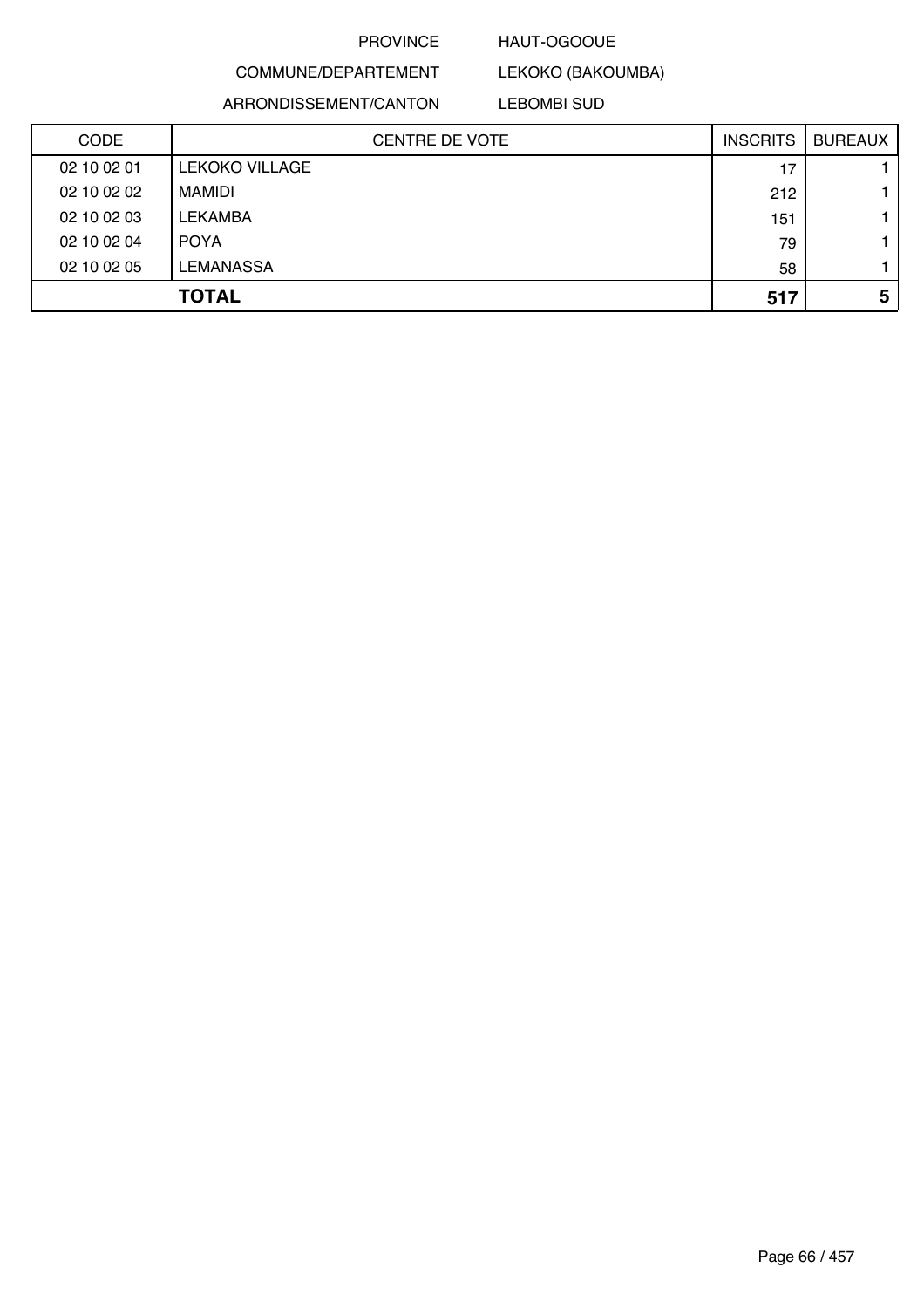### HAUT-OGOOUE

COMMUNE/DEPARTEMENT ARRONDISSEMENT/CANTON

LEBOMBI SUD

LEKOKO (BAKOUMBA)

| CODE        | <b>CENTRE DE VOTE</b> | <b>INSCRITS</b> | <b>BUREAUX</b> |
|-------------|-----------------------|-----------------|----------------|
| 02 10 02 01 | <b>LEKOKO VILLAGE</b> | 17              |                |
| 02 10 02 02 | MAMIDI                | 212             |                |
| 02 10 02 03 | <b>LEKAMBA</b>        | 151             |                |
| 02 10 02 04 | <b>POYA</b>           | 79              |                |
| 02 10 02 05 | <b>LEMANASSA</b>      | 58              |                |
|             | <b>TOTAL</b>          | 517             | 5              |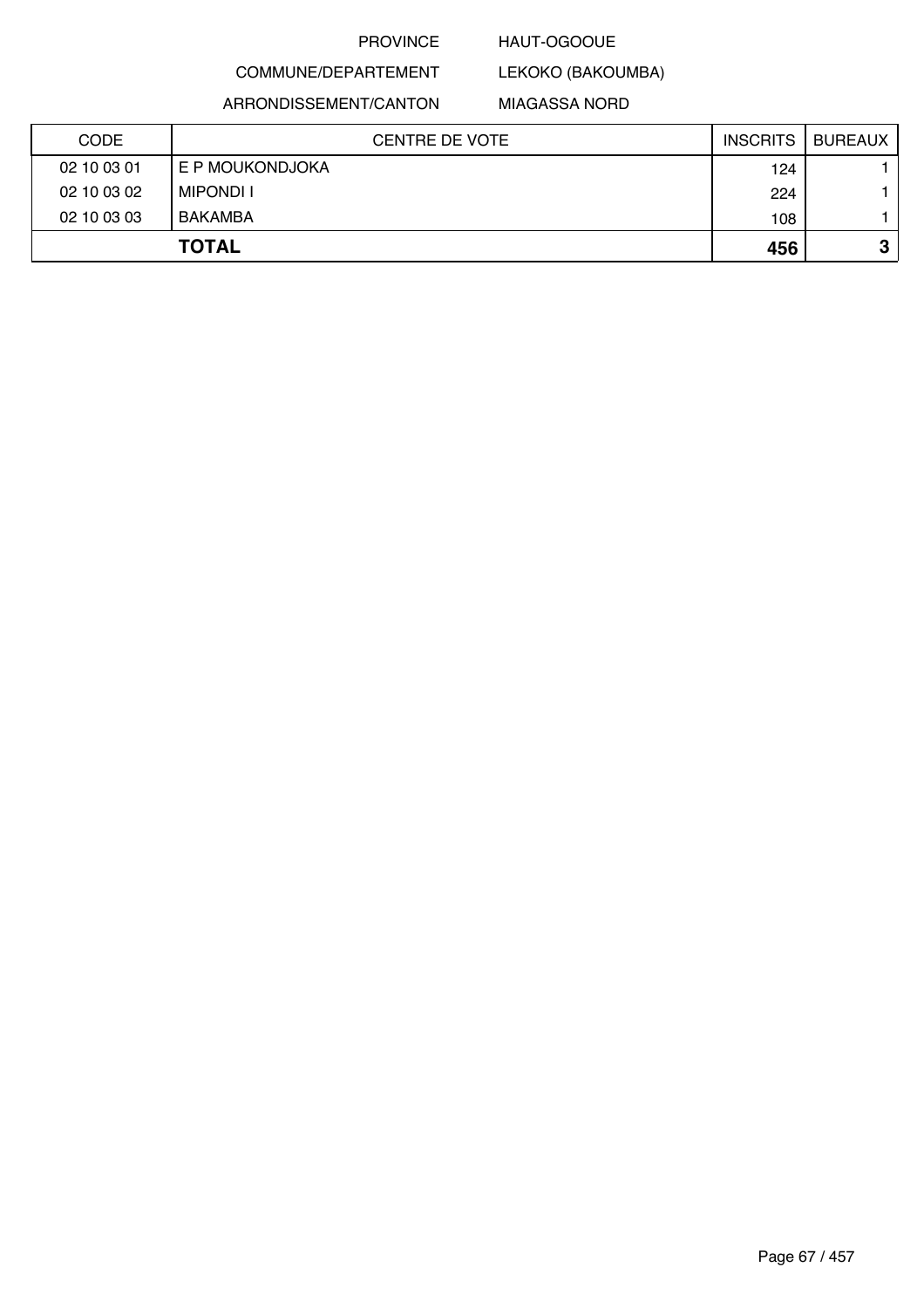### HAUT-OGOOUE

COMMUNE/DEPARTEMENT

ARRONDISSEMENT/CANTON

MIAGASSA NORD

LEKOKO (BAKOUMBA)

| <b>CODE</b> | CENTRE DE VOTE   | <b>INSCRITS</b> | <b>BUREAUX</b> |
|-------------|------------------|-----------------|----------------|
| 02 10 03 01 | E P MOUKONDJOKA  | 124             |                |
| 02 10 03 02 | <b>MIPONDI I</b> | 224             |                |
| 02 10 03 03 | <b>BAKAMBA</b>   | 108             |                |
|             | <b>TOTAL</b>     | 456             | ≏<br>J         |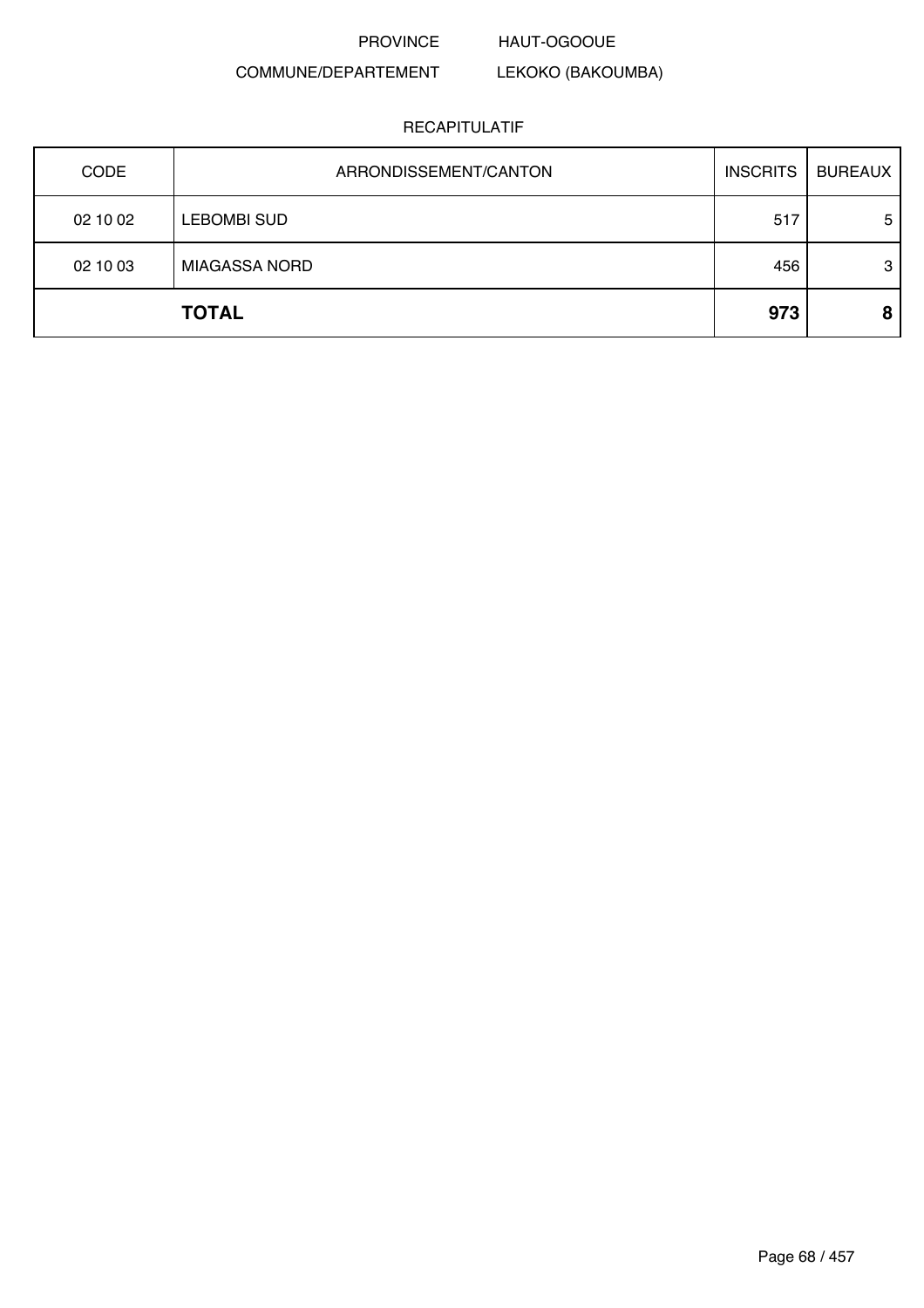#### HAUT-OGOOUE

LEKOKO (BAKOUMBA)

## COMMUNE/DEPARTEMENT

| <b>CODE</b> | ARRONDISSEMENT/CANTON | <b>INSCRITS</b> | <b>BUREAUX</b> |
|-------------|-----------------------|-----------------|----------------|
| 02 10 02    | <b>LEBOMBI SUD</b>    | 517             | 5              |
| 02 10 03    | <b>MIAGASSA NORD</b>  | 456             | 3              |
|             | <b>TOTAL</b>          | 973             | 8              |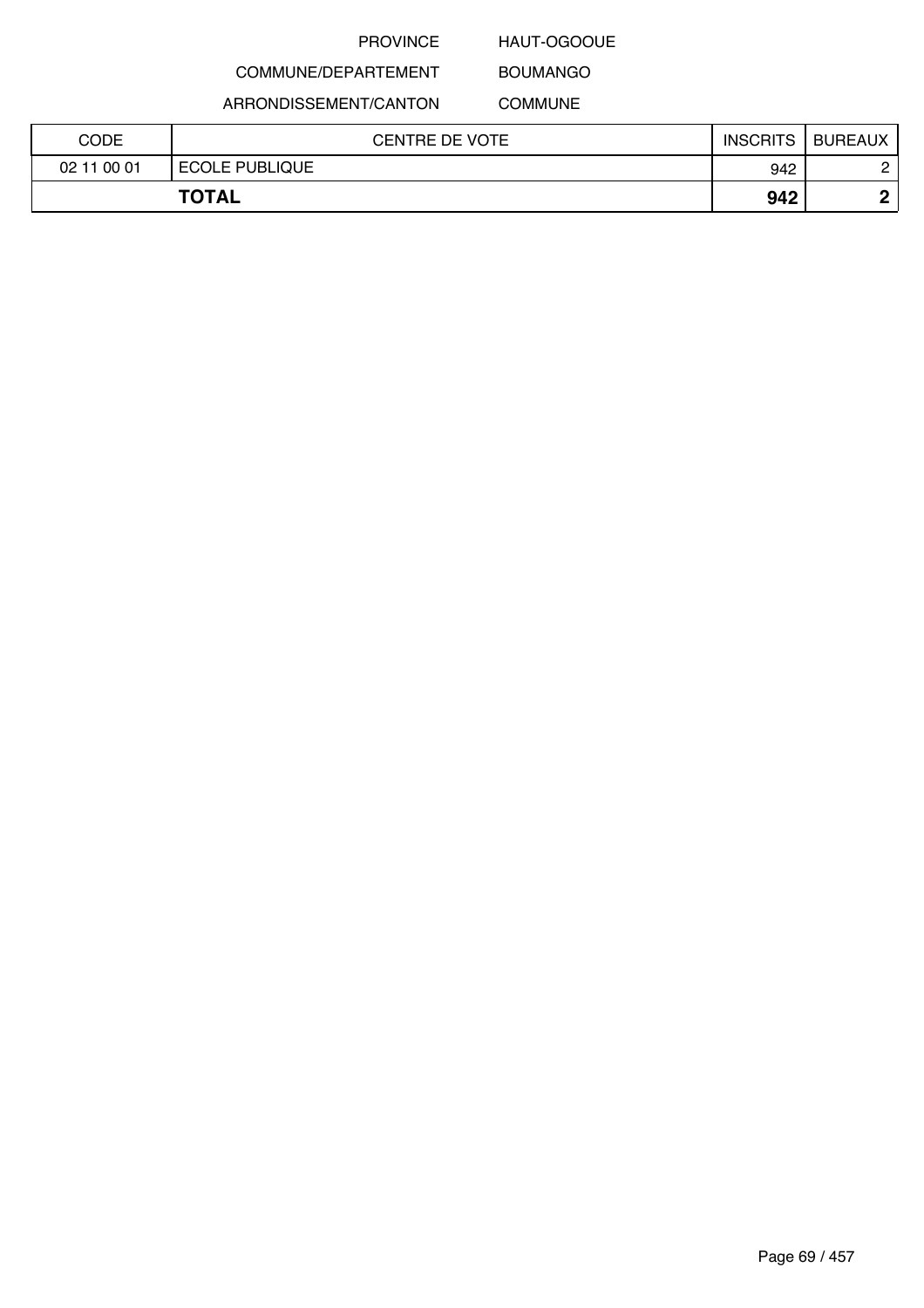# HAUT-OGOOUE BOUMANGO

# COMMUNE/DEPARTEMENT ARRONDISSEMENT/CANTON

COMMUNE

| <b>CODE</b> | <b>CENTRE DE VOTE</b> | <b>INSCRITS</b> | <b>BUREAUX</b> |
|-------------|-----------------------|-----------------|----------------|
| 02 11 00 01 | <b>ECOLE PUBLIQUE</b> | 942             | C              |
|             | <b>TOTAL</b>          | 942             | C              |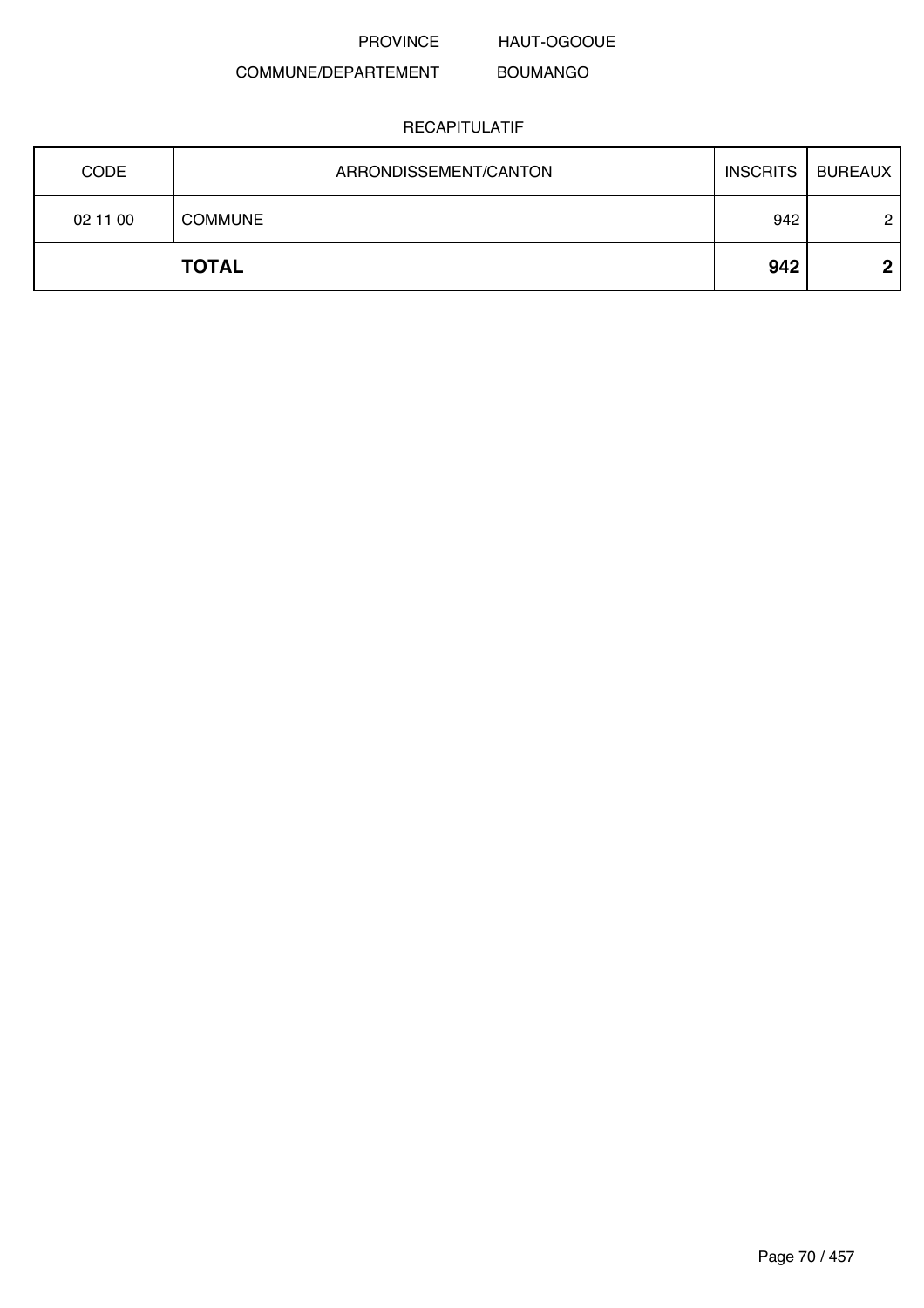HAUT-OGOOUE

#### COMMUNE/DEPARTEMENT BOUMANGO

| <b>CODE</b> | ARRONDISSEMENT/CANTON | <b>INSCRITS</b> | <b>BUREAUX</b> |
|-------------|-----------------------|-----------------|----------------|
| 02 11 00    | <b>COMMUNE</b>        | 942             | $\overline{c}$ |
|             | <b>TOTAL</b>          | 942             | ึ              |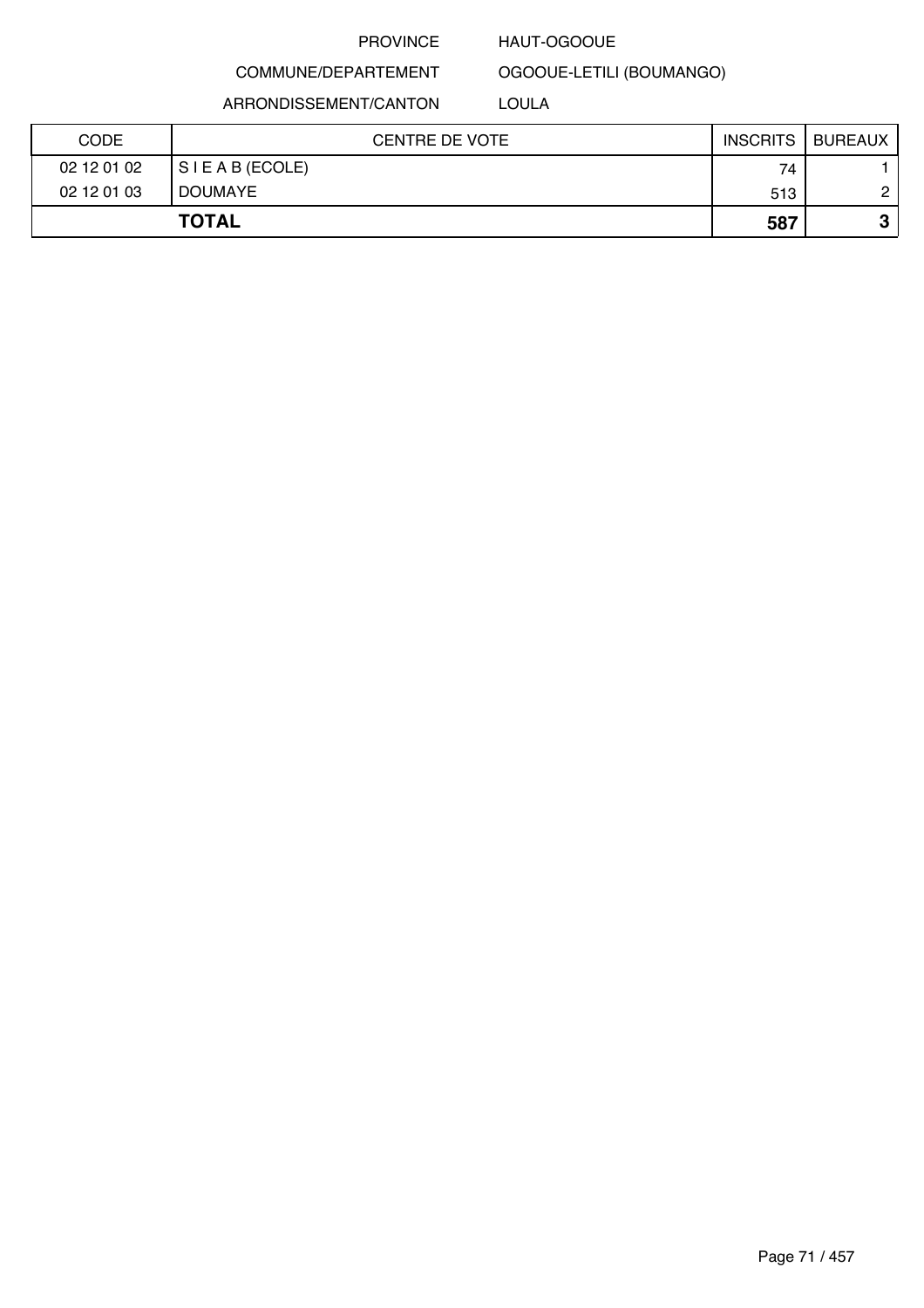#### HAUT-OGOOUE

COMMUNE/DEPARTEMENT

OGOOUE-LETILI (BOUMANGO)

ARRONDISSEMENT/CANTON

LOULA

| <b>CODE</b> | <b>CENTRE DE VOTE</b> | <b>INSCRITS</b> | BUREAUX       |
|-------------|-----------------------|-----------------|---------------|
| 02 12 01 02 | SIEAB (ECOLE)         | 74              |               |
| 02 12 01 03 | <b>DOUMAYE</b>        | 513             | $\mathcal{L}$ |
|             | <b>TOTAL</b>          | 587             | υ             |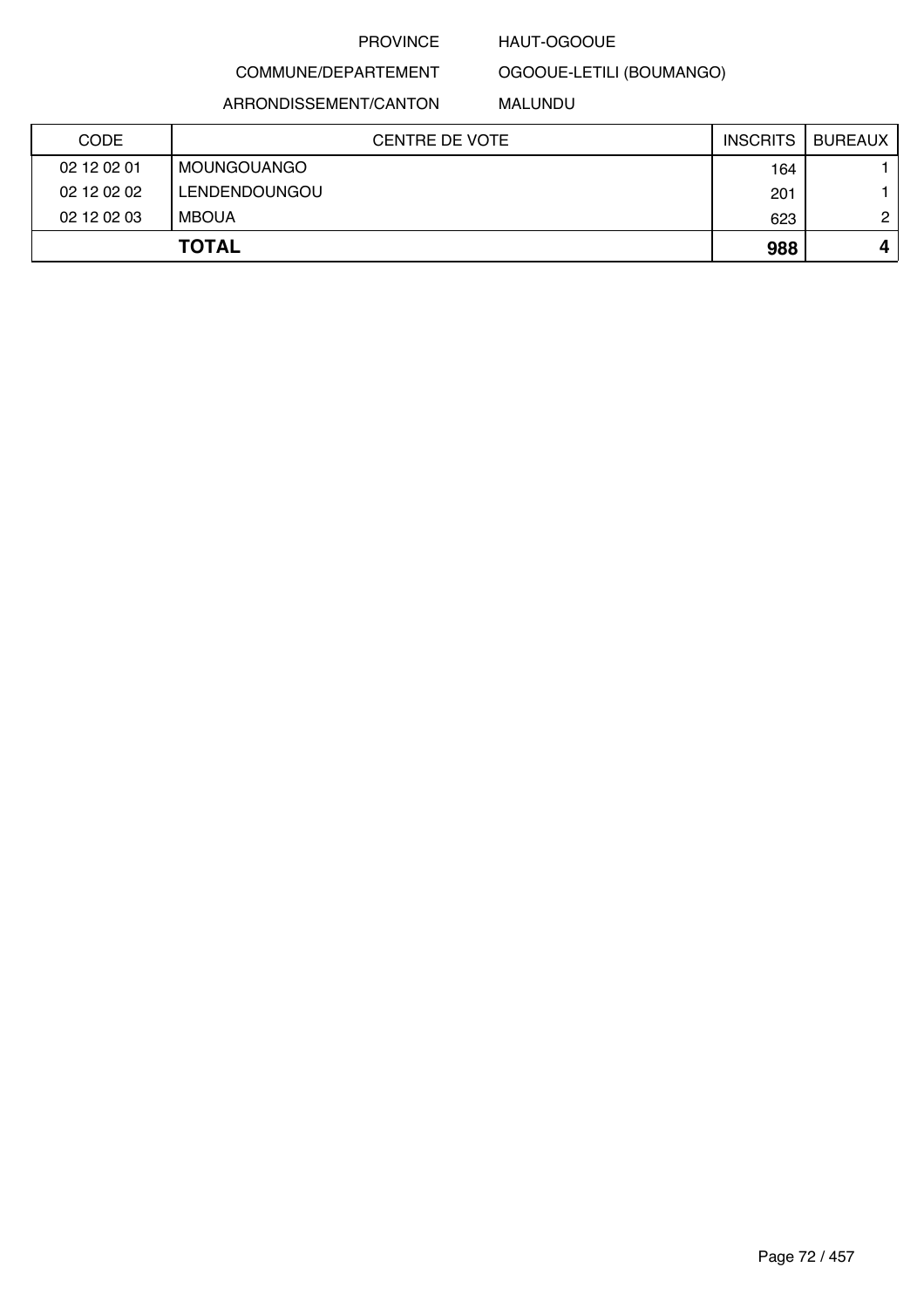### HAUT-OGOOUE

# COMMUNE/DEPARTEMENT

### ARRONDISSEMENT/CANTON

# OGOOUE-LETILI (BOUMANGO) MALUNDU

| <b>CODE</b> | CENTRE DE VOTE | <b>INSCRITS</b> | <b>BUREAUX</b> |
|-------------|----------------|-----------------|----------------|
| 02 12 02 01 | MOUNGOUANGO    | 164             |                |
| 02 12 02 02 | LENDENDOUNGOU  | 201             |                |
| 02 12 02 03 | <b>MBOUA</b>   | 623             | 2              |
|             | <b>TOTAL</b>   | 988             |                |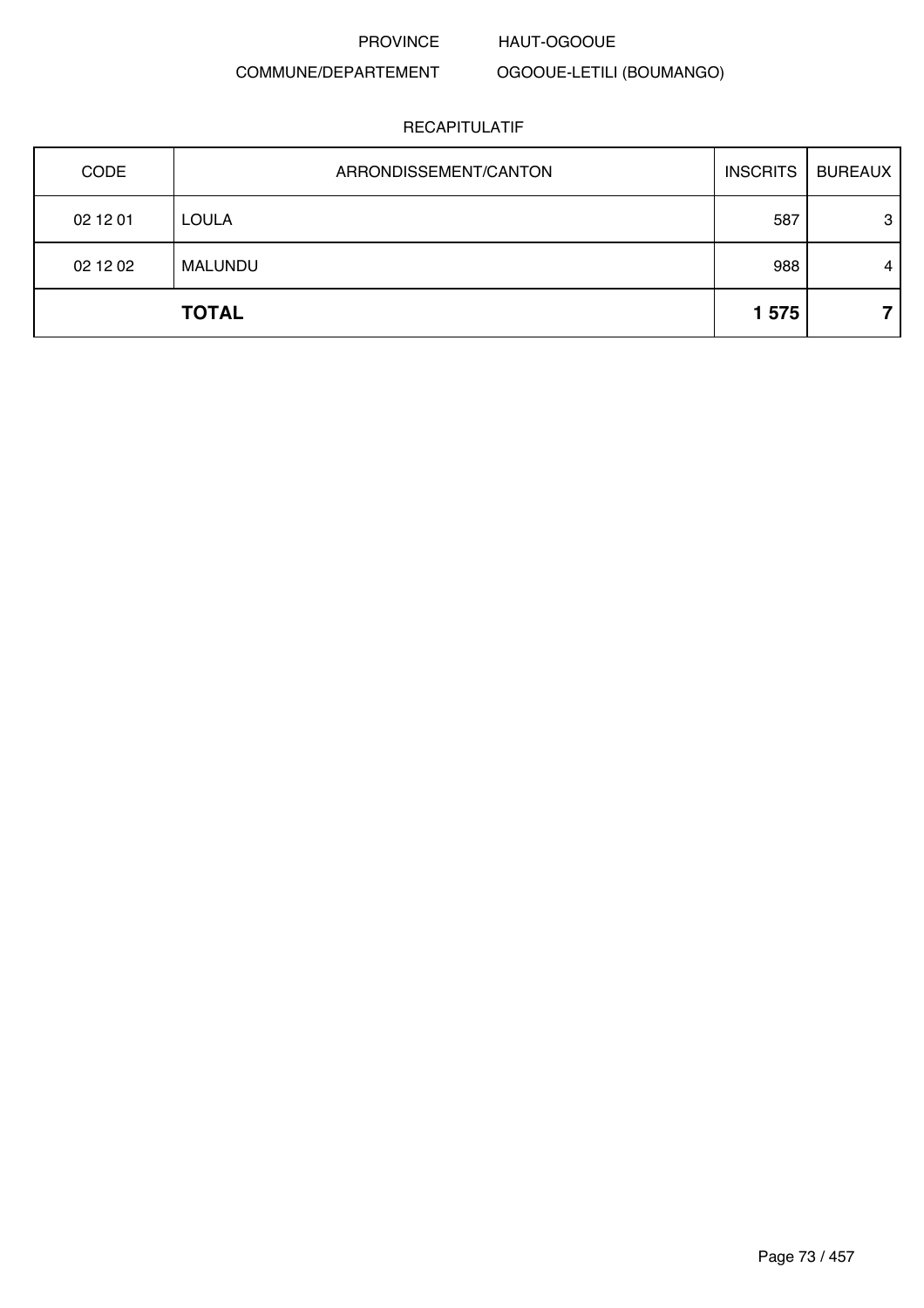HAUT-OGOOUE

### COMMUNE/DEPARTEMENT

OGOOUE-LETILI (BOUMANGO)

| CODE     | ARRONDISSEMENT/CANTON | <b>INSCRITS</b> | <b>BUREAUX</b> |
|----------|-----------------------|-----------------|----------------|
| 02 12 01 | <b>LOULA</b>          | 587             | 3              |
| 02 12 02 | MALUNDU               | 988             | 4              |
|          | <b>TOTAL</b>          | 1575            |                |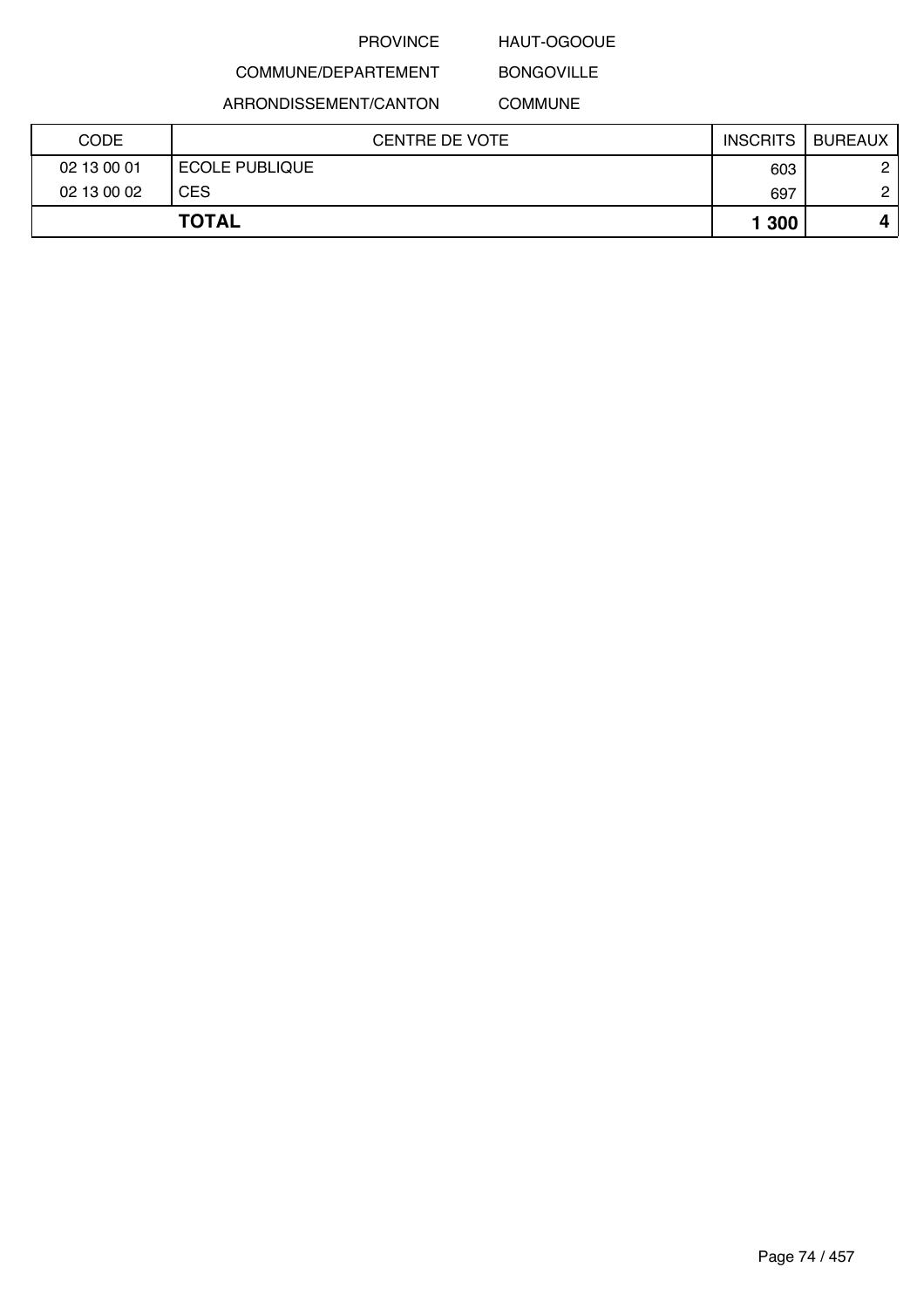## HAUT-OGOOUE BONGOVILLE

## COMMUNE/DEPARTEMENT ARRONDISSEMENT/CANTON

## COMMUNE

| 02 13 00 01 | <b>ECOLE PUBLIQUE</b> | 603   | 2 |
|-------------|-----------------------|-------|---|
| 02 13 00 02 | <b>CES</b>            | 697   | ◠ |
|             | <b>TOTAL</b>          | 1 300 | 4 |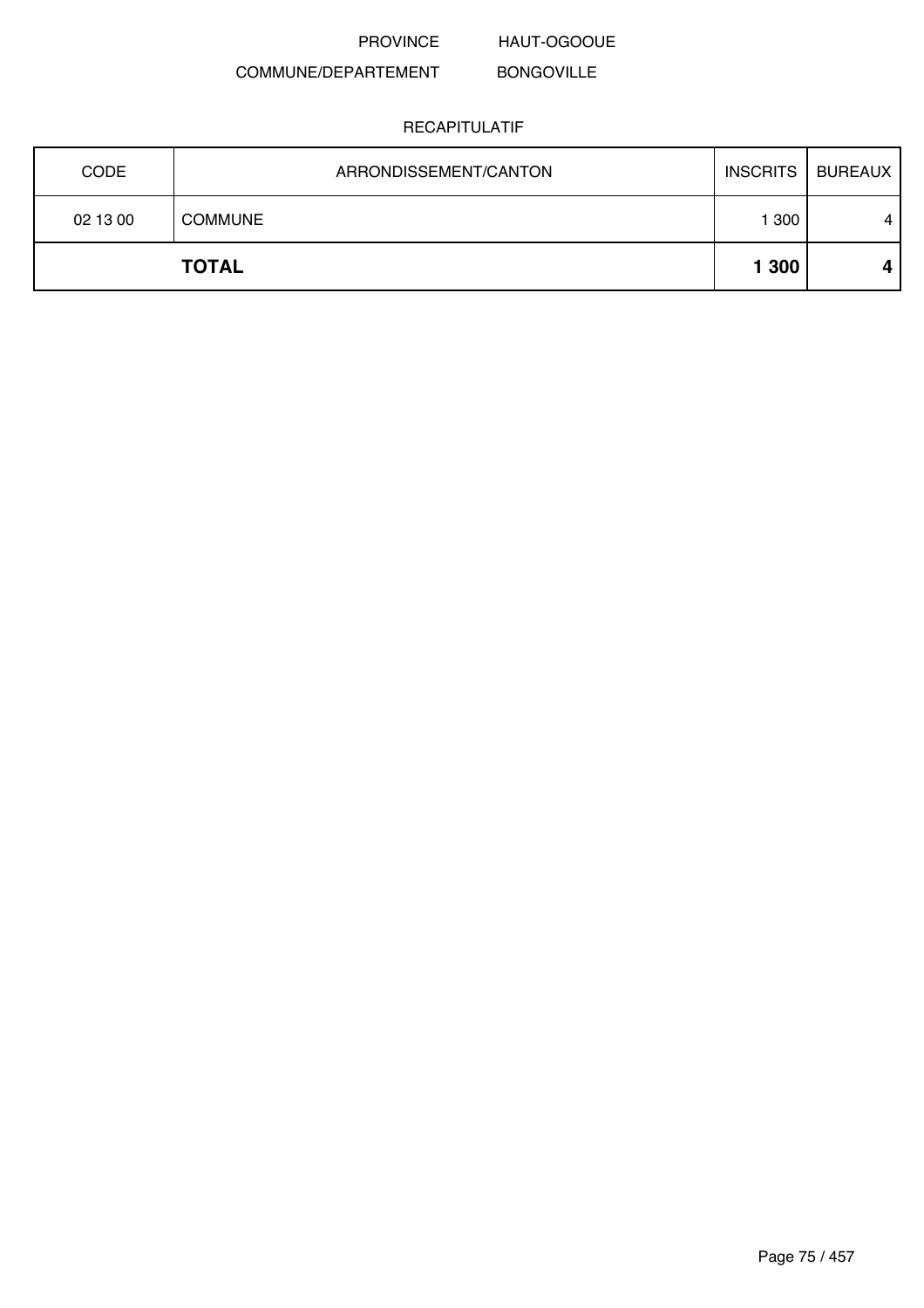PROVINCE HAUT-OGOOUE

#### COMMUNE/DEPARTEMENT BONGOVILLE

| <b>CODE</b> | ARRONDISSEMENT/CANTON | INSCRITS | BUREAUX        |
|-------------|-----------------------|----------|----------------|
| 02 13 00    | <b>COMMUNE</b>        | 1 300    | $\overline{4}$ |
|             | <b>TOTAL</b>          | 1 300    | 4              |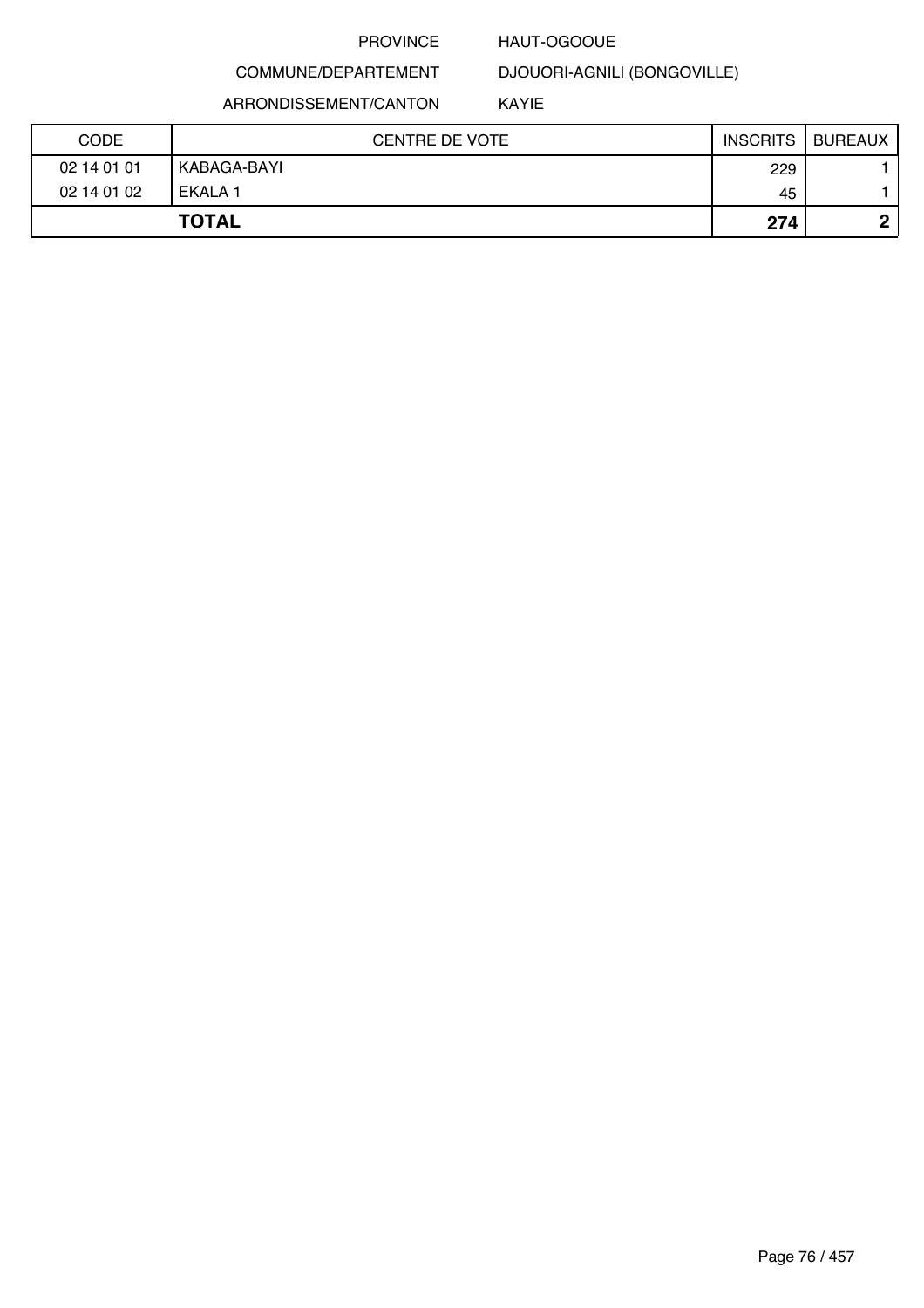### HAUT-OGOOUE

## COMMUNE/DEPARTEMENT

ARRONDISSEMENT/CANTON

DJOUORI-AGNILI (BONGOVILLE)

KAYIE

| CODE        | <b>CENTRE DE VOTE</b> | <b>INSCRITS</b> | <b>BUREAUX</b> |
|-------------|-----------------------|-----------------|----------------|
| 02 14 01 01 | KABAGA-BAYI           | 229             |                |
| 02 14 01 02 | EKALA 1               | 45              |                |
|             | <b>TOTAL</b>          | 274             | Λ              |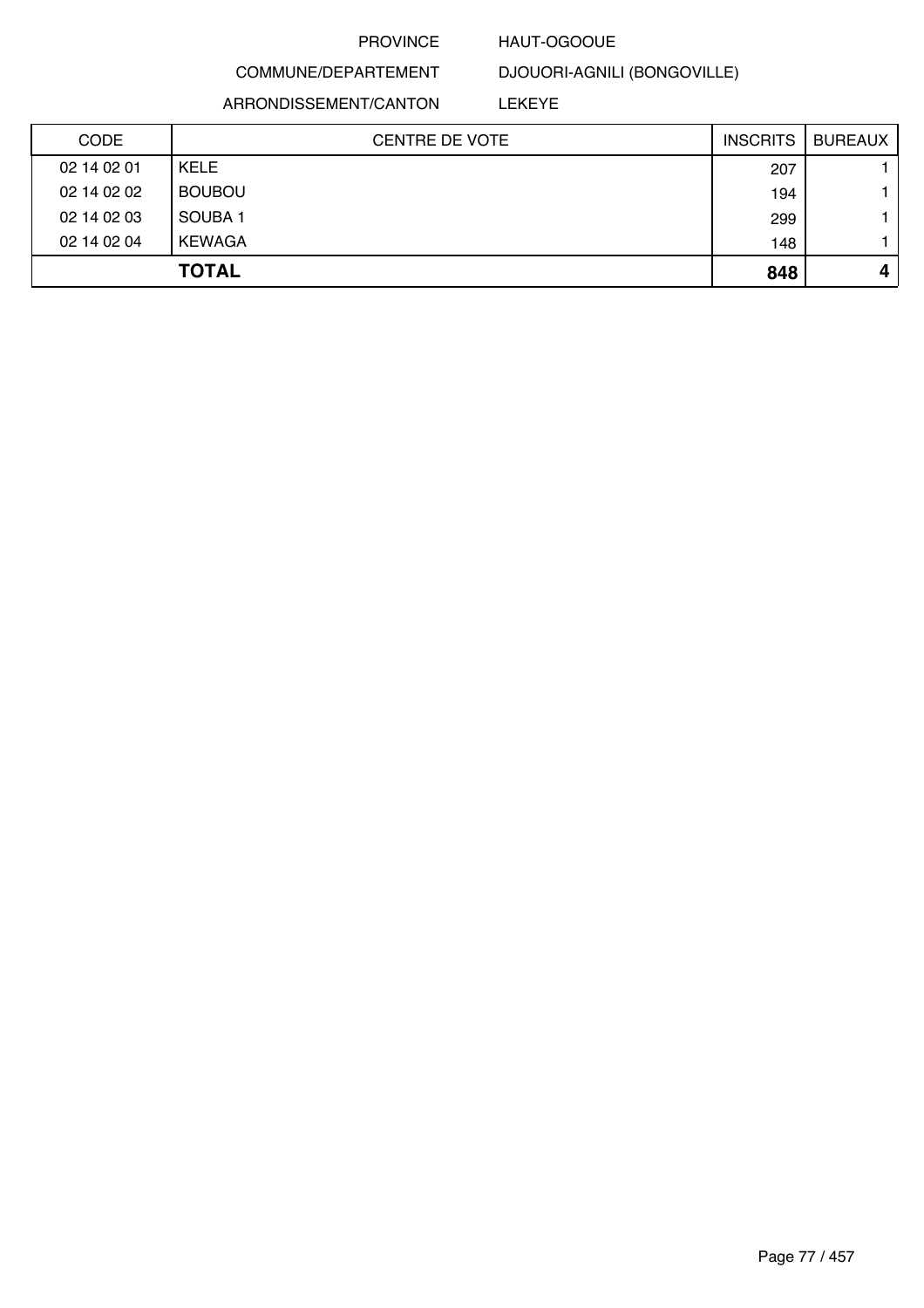### HAUT-OGOOUE

## COMMUNE/DEPARTEMENT

DJOUORI-AGNILI (BONGOVILLE)

ARRONDISSEMENT/CANTON

LEKEYE

| <b>CODE</b> | <b>CENTRE DE VOTE</b> | <b>INSCRITS</b> | <b>BUREAUX</b> |
|-------------|-----------------------|-----------------|----------------|
| 02 14 02 01 | <b>KELE</b>           | 207             |                |
| 02 14 02 02 | <b>BOUBOU</b>         | 194             |                |
| 02 14 02 03 | SOUBA <sub>1</sub>    | 299             |                |
| 02 14 02 04 | KEWAGA                | 148             |                |
|             | <b>TOTAL</b>          | 848             | 4              |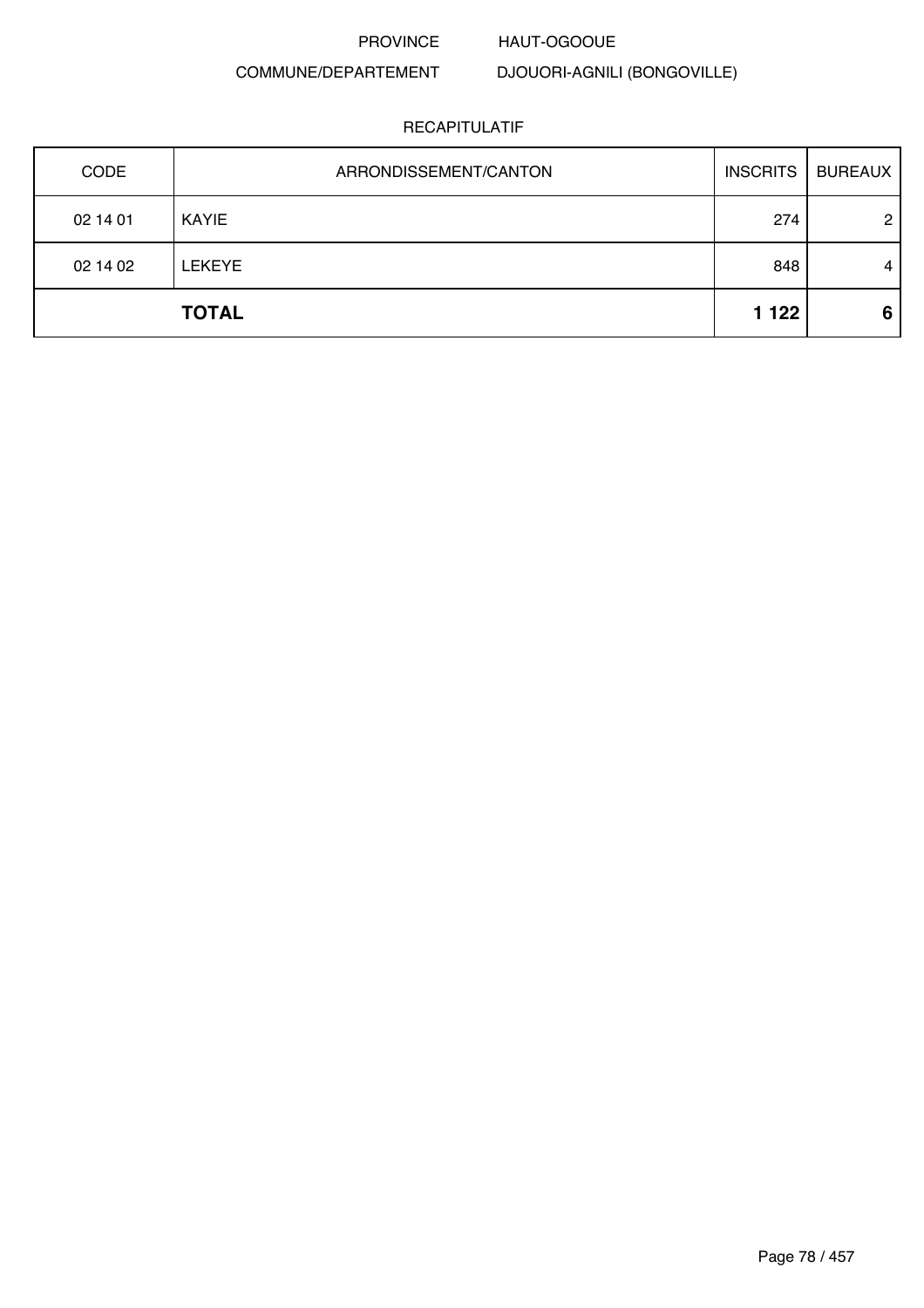### HAUT-OGOOUE

### COMMUNE/DEPARTEMENT

DJOUORI-AGNILI (BONGOVILLE)

| CODE     | ARRONDISSEMENT/CANTON | <b>INSCRITS</b> | <b>BUREAUX</b> |
|----------|-----------------------|-----------------|----------------|
| 02 14 01 | KAYIE                 | 274             | $\overline{2}$ |
| 02 14 02 | <b>LEKEYE</b>         | 848             | 4              |
|          | <b>TOTAL</b>          | 1 1 2 2         | 6              |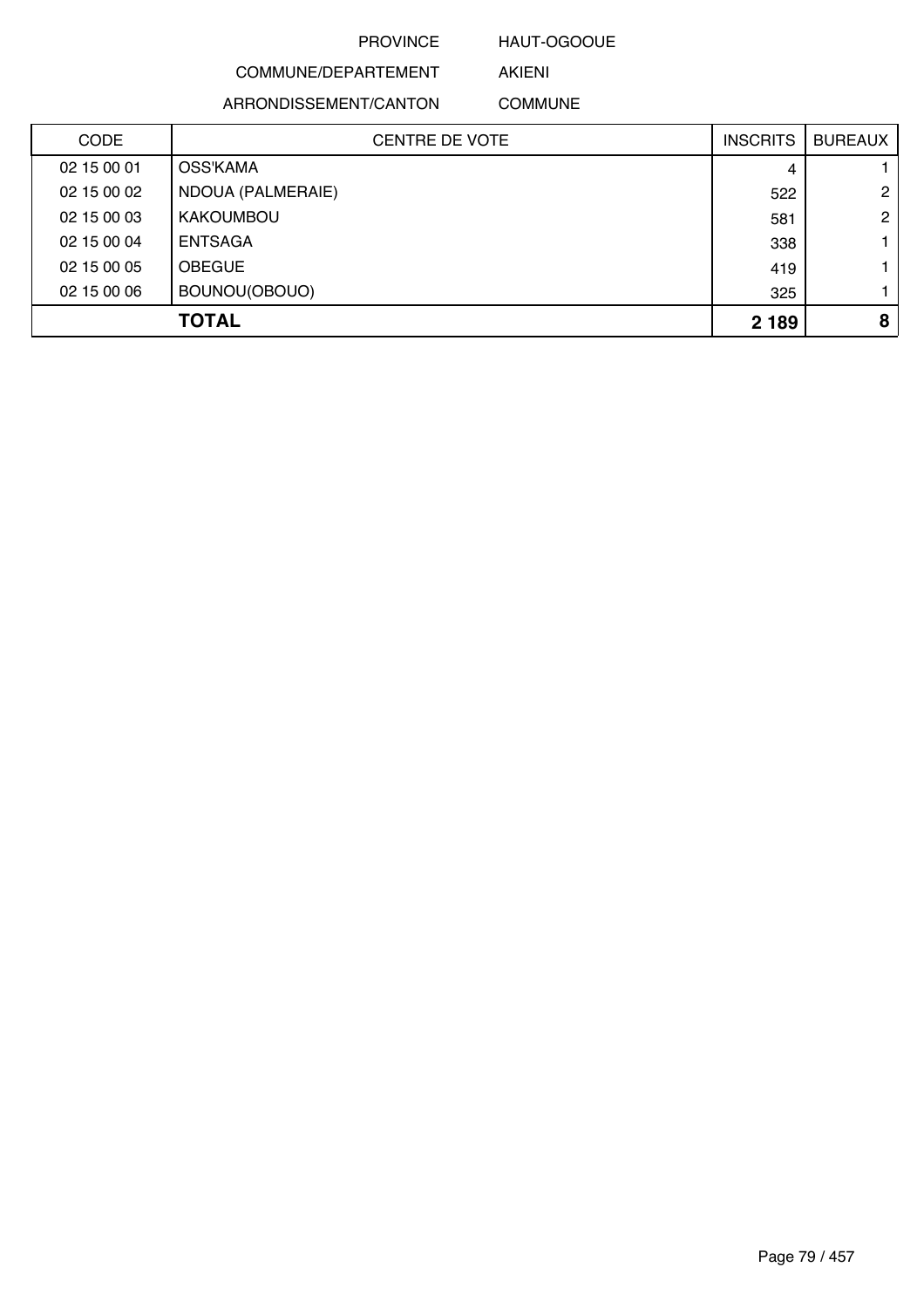### HAUT-OGOOUE

AKIENI

## COMMUNE/DEPARTEMENT

ARRONDISSEMENT/CANTON COMMUNE

| <b>CODE</b> | <b>CENTRE DE VOTE</b> | <b>INSCRITS</b> | <b>BUREAUX</b> |
|-------------|-----------------------|-----------------|----------------|
| 02 15 00 01 | OSS'KAMA              | 4               |                |
| 02 15 00 02 | NDOUA (PALMERAIE)     | 522             | $\overline{2}$ |
| 02 15 00 03 | <b>KAKOUMBOU</b>      | 581             | $\overline{2}$ |
| 02 15 00 04 | <b>ENTSAGA</b>        | 338             |                |
| 02 15 00 05 | <b>OBEGUE</b>         | 419             |                |
| 02 15 00 06 | BOUNOU(OBOUO)         | 325             |                |
|             | <b>TOTAL</b>          | 2 1 8 9         | 8              |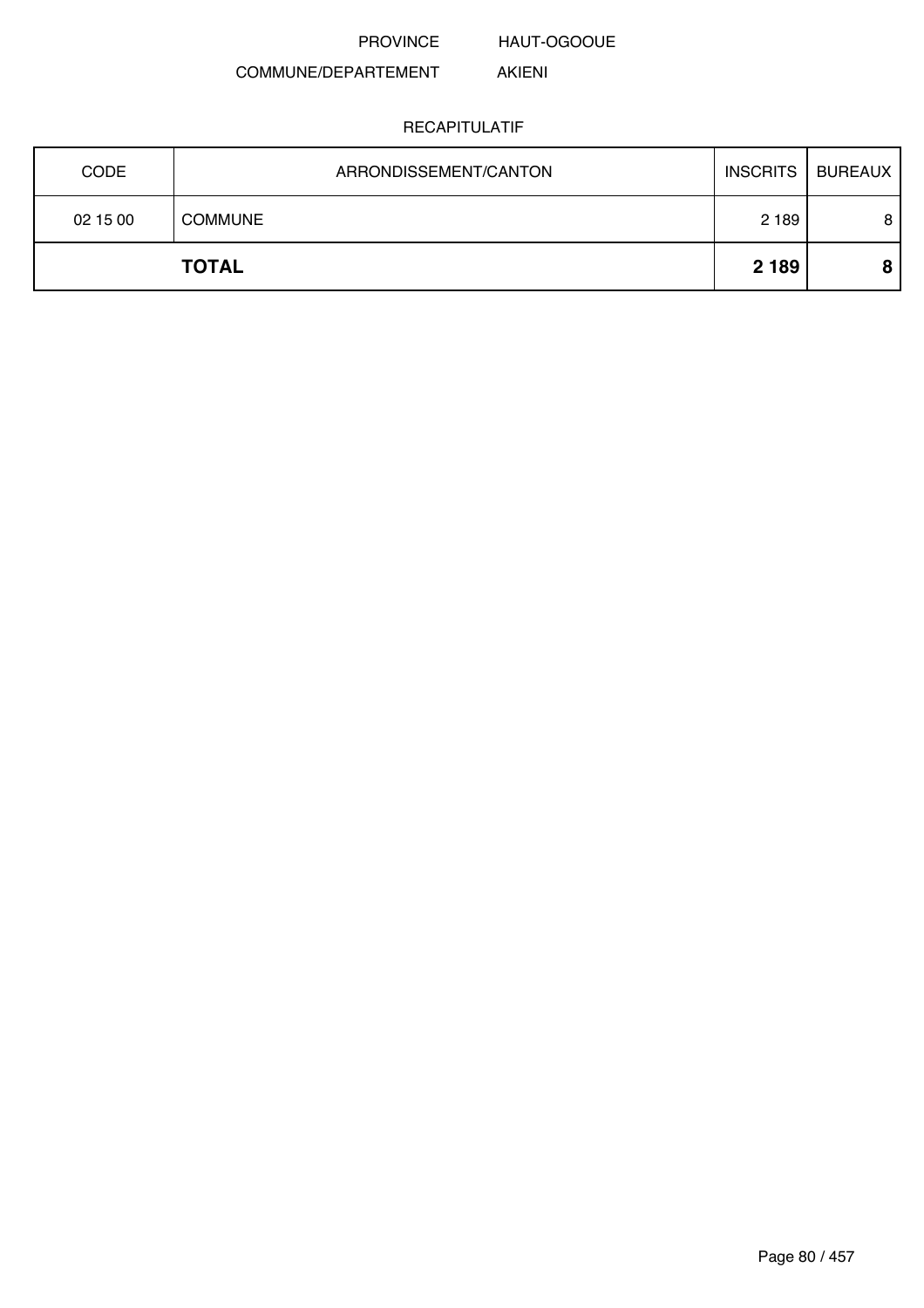HAUT-OGOOUE

AKIENI

### COMMUNE/DEPARTEMENT

| <b>CODE</b> | ARRONDISSEMENT/CANTON | <b>INSCRITS</b> | BUREAUX |
|-------------|-----------------------|-----------------|---------|
| 02 15 00    | <b>COMMUNE</b>        | 2 1 8 9         | 8       |
|             | <b>TOTAL</b>          | 2 1 8 9         |         |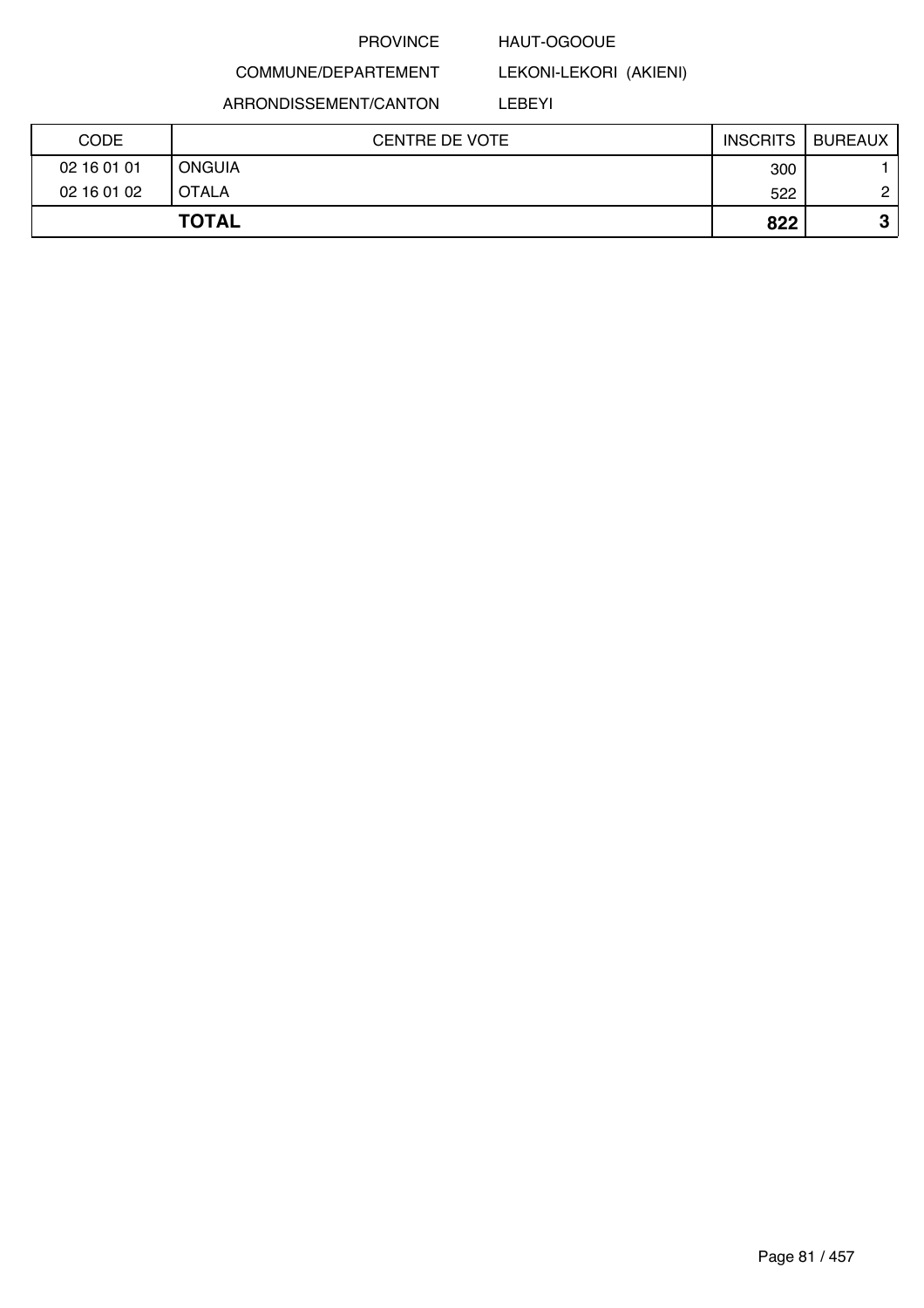### HAUT-OGOOUE

LEKONI-LEKORI (AKIENI)

COMMUNE/DEPARTEMENT

ARRONDISSEMENT/CANTON

LEBEYI

| <b>CODE</b> | <b>CENTRE DE VOTE</b> | <b>INSCRITS</b> | <b>BUREAUX</b> |
|-------------|-----------------------|-----------------|----------------|
| 02 16 01 01 | <b>ONGUIA</b>         | 300             |                |
| 02 16 01 02 | <b>OTALA</b>          | 522             | C              |
|             | <b>TOTAL</b>          | 822             | ≏<br>w         |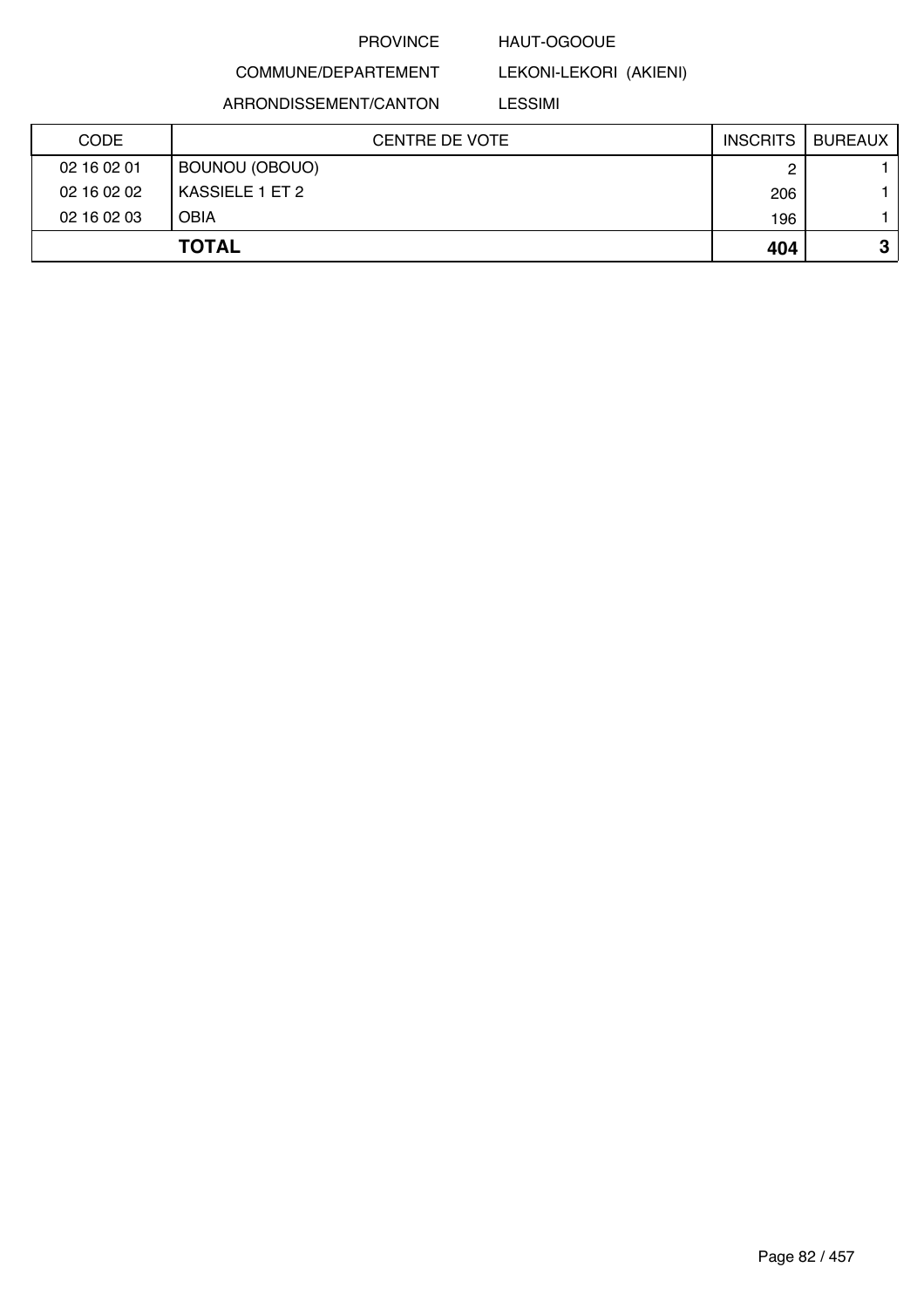### HAUT-OGOOUE

LEKONI-LEKORI (AKIENI)

COMMUNE/DEPARTEMENT ARRONDISSEMENT/CANTON

## LESSIMI

| <b>CODE</b> | <b>CENTRE DE VOTE</b> | <b>INSCRITS</b> | BUREAUX |
|-------------|-----------------------|-----------------|---------|
| 02 16 02 01 | BOUNOU (OBOUO)        |                 |         |
| 02 16 02 02 | KASSIELE 1 ET 2       | 206             |         |
| 02 16 02 03 | <b>OBIA</b>           | 196             |         |
|             | <b>TOTAL</b>          | 404             | J       |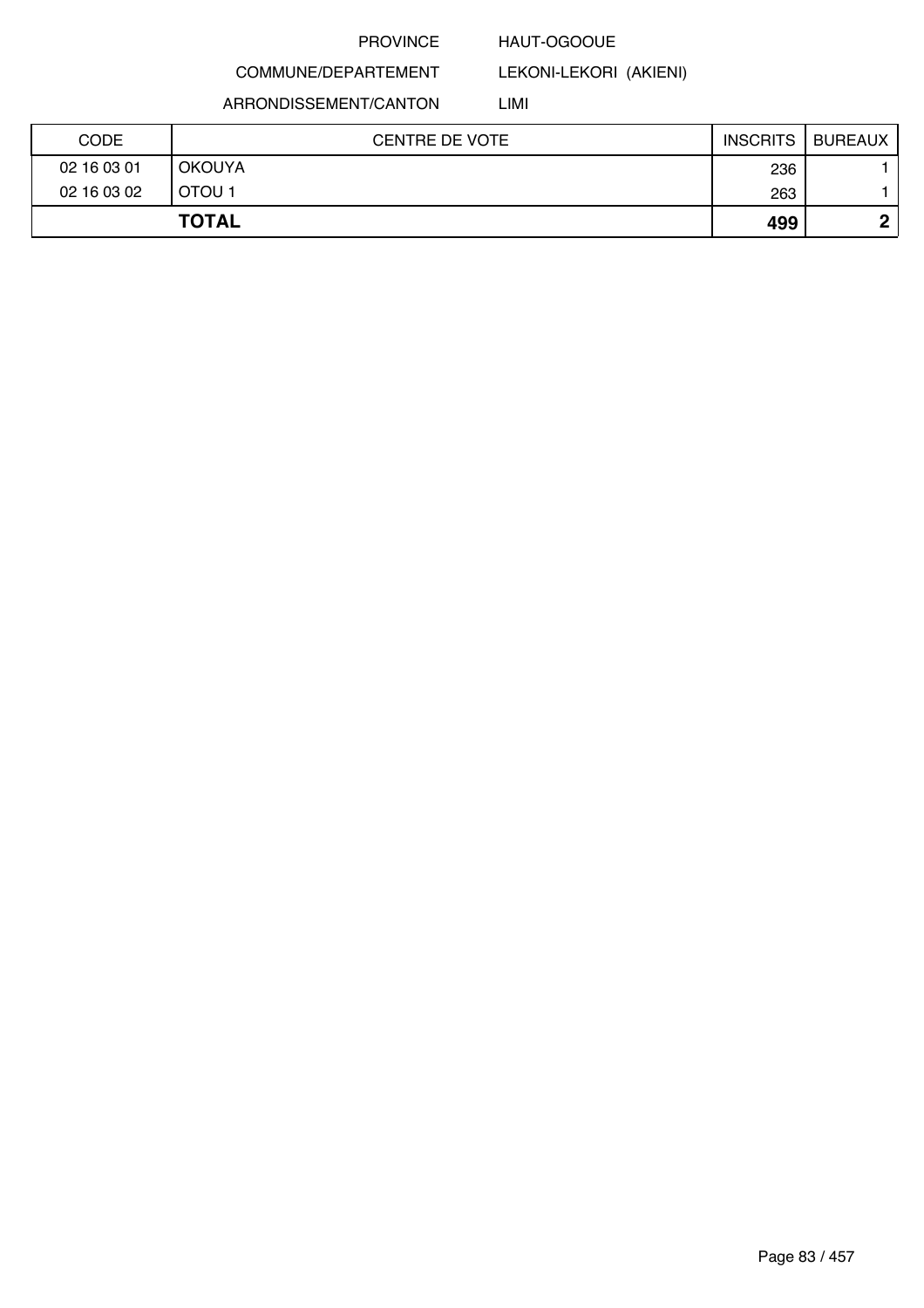### HAUT-OGOOUE

LEKONI-LEKORI (AKIENI)

COMMUNE/DEPARTEMENT ARRONDISSEMENT/CANTON

LIMI

| <b>CODE</b> | <b>CENTRE DE VOTE</b> | <b>INSCRITS</b> | <b>BUREAUX</b> |
|-------------|-----------------------|-----------------|----------------|
| 02 16 03 01 | <b>OKOUYA</b>         | 236             |                |
| 02 16 03 02 | OTOU <sub>1</sub>     | 263             |                |
|             | <b>TOTAL</b>          | 499             | ∩              |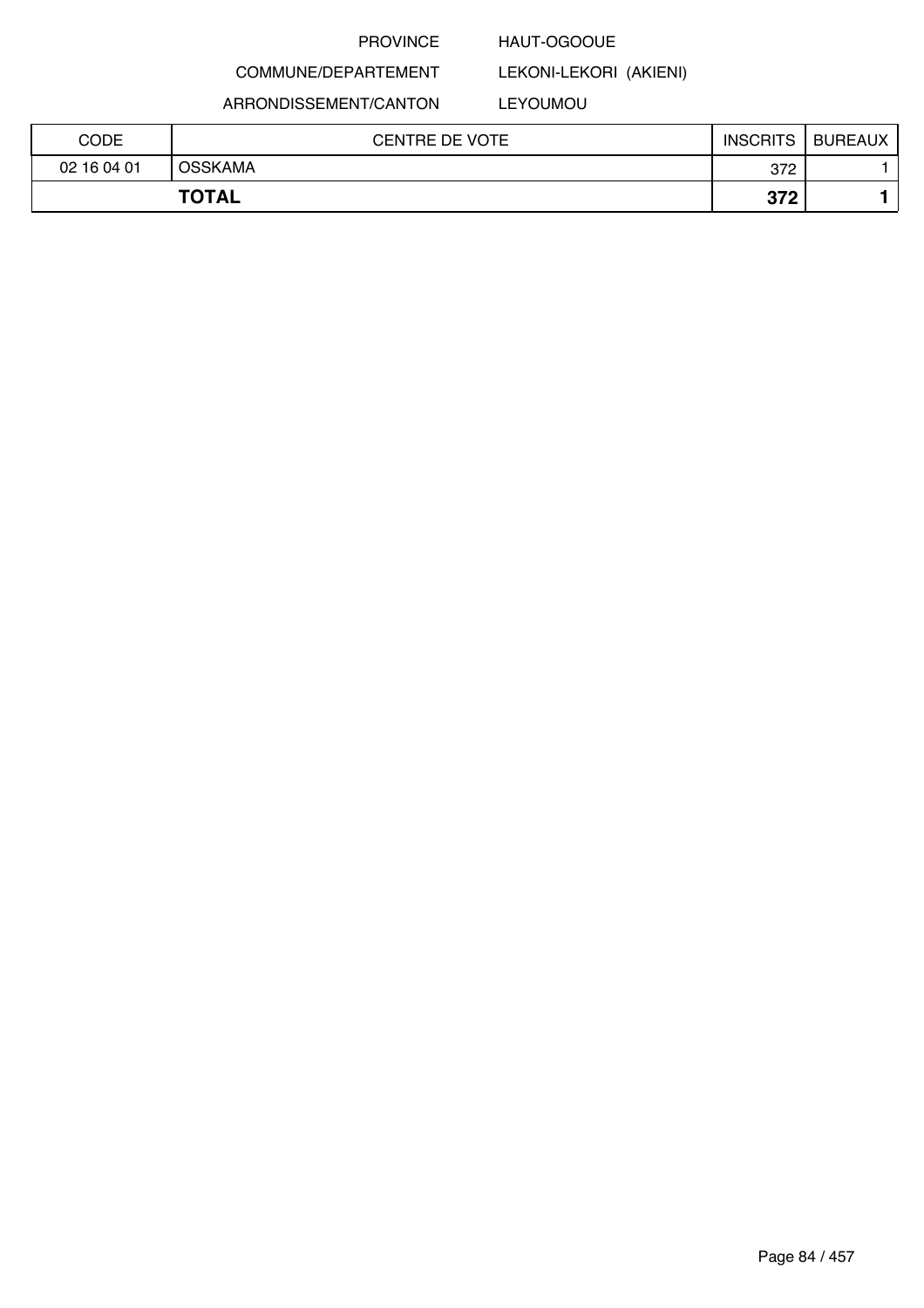### HAUT-OGOOUE

COMMUNE/DEPARTEMENT

ARRONDISSEMENT/CANTON

### LEYOUMOU

LEKONI-LEKORI (AKIENI)

| CODE        | <b>CENTRE DE VOTE</b> | <b>INSCRITS</b>   | <b>BUREAUX</b> |
|-------------|-----------------------|-------------------|----------------|
| 02 16 04 01 | <b>OSSKAMA</b>        | 372               |                |
|             | <b>TOTAL</b>          | <b>372</b><br>J14 |                |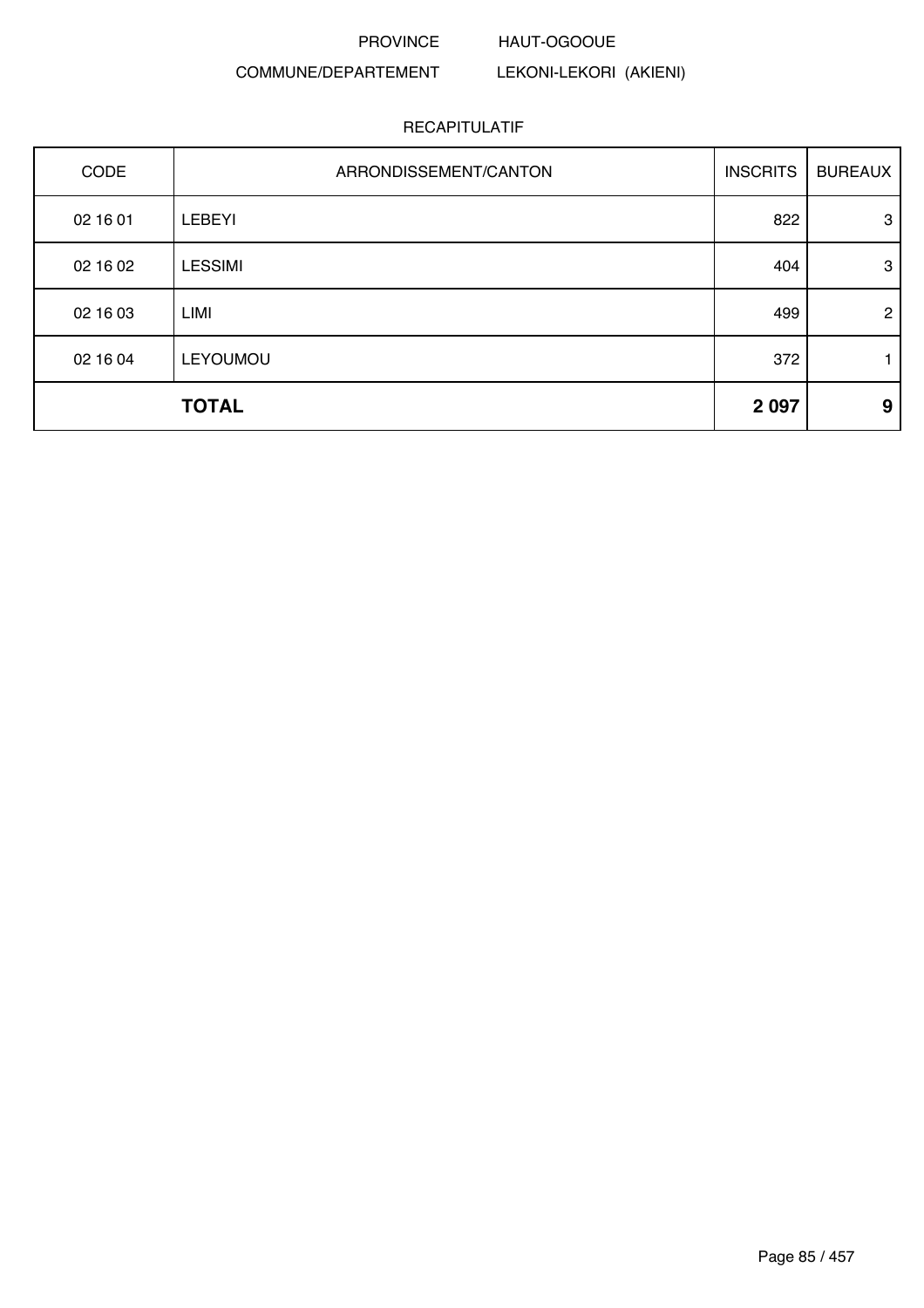### PROVINCE HAUT-OGOOUE

## COMMUNE/DEPARTEMENT

LEKONI-LEKORI (AKIENI)

|          | <b>TOTAL</b>          | 2 0 9 7         | 9              |
|----------|-----------------------|-----------------|----------------|
| 02 16 04 | LEYOUMOU              | 372             |                |
| 02 16 03 | LIMI                  | 499             | $\overline{2}$ |
| 02 16 02 | <b>LESSIMI</b>        | 404             | 3              |
| 02 16 01 | <b>LEBEYI</b>         | 822             | 3              |
| CODE     | ARRONDISSEMENT/CANTON | <b>INSCRITS</b> | <b>BUREAUX</b> |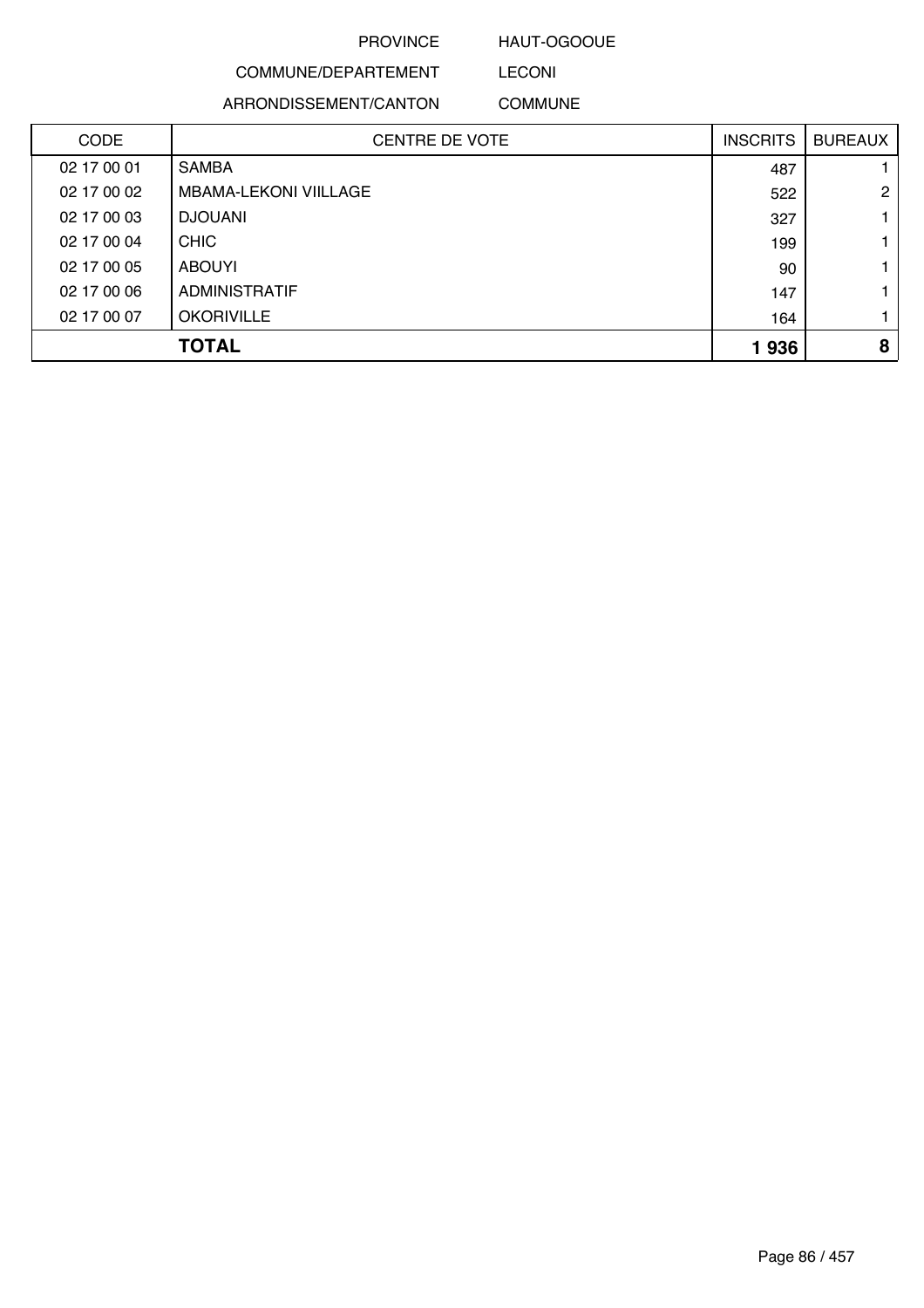### HAUT-OGOOUE

LECONI

## COMMUNE/DEPARTEMENT

ARRONDISSEMENT/CANTON COMMUNE

| <b>CODE</b> | <b>CENTRE DE VOTE</b>        | <b>INSCRITS</b> | <b>BUREAUX</b> |
|-------------|------------------------------|-----------------|----------------|
| 02 17 00 01 | <b>SAMBA</b>                 | 487             |                |
| 02 17 00 02 | <b>MBAMA-LEKONI VIILLAGE</b> | 522             | $\mathbf{2}$   |
| 02 17 00 03 | <b>DJOUANI</b>               | 327             |                |
| 02 17 00 04 | <b>CHIC</b>                  | 199             |                |
| 02 17 00 05 | <b>ABOUYI</b>                | 90              |                |
| 02 17 00 06 | <b>ADMINISTRATIF</b>         | 147             |                |
| 02 17 00 07 | <b>OKORIVILLE</b>            | 164             |                |
|             | <b>TOTAL</b>                 | 1936            | 8              |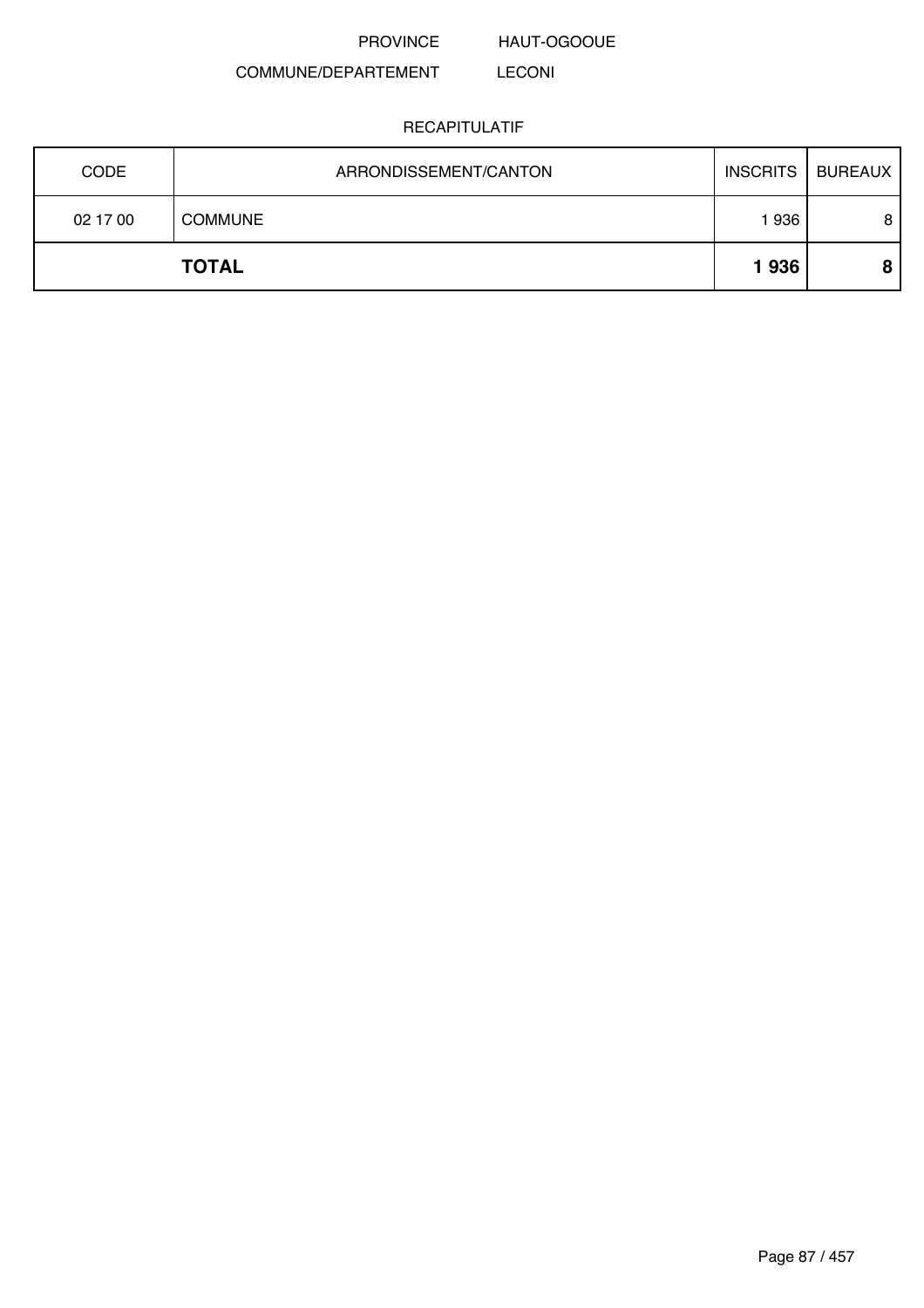HAUT-OGOOUE

#### COMMUNE/DEPARTEMENT LECONI

| <b>CODE</b> | ARRONDISSEMENT/CANTON | <b>INSCRITS</b> | BUREAUX |
|-------------|-----------------------|-----------------|---------|
| 02 17 00    | <b>COMMUNE</b>        | l 936           | 8       |
|             | <b>TOTAL</b>          | 1936            |         |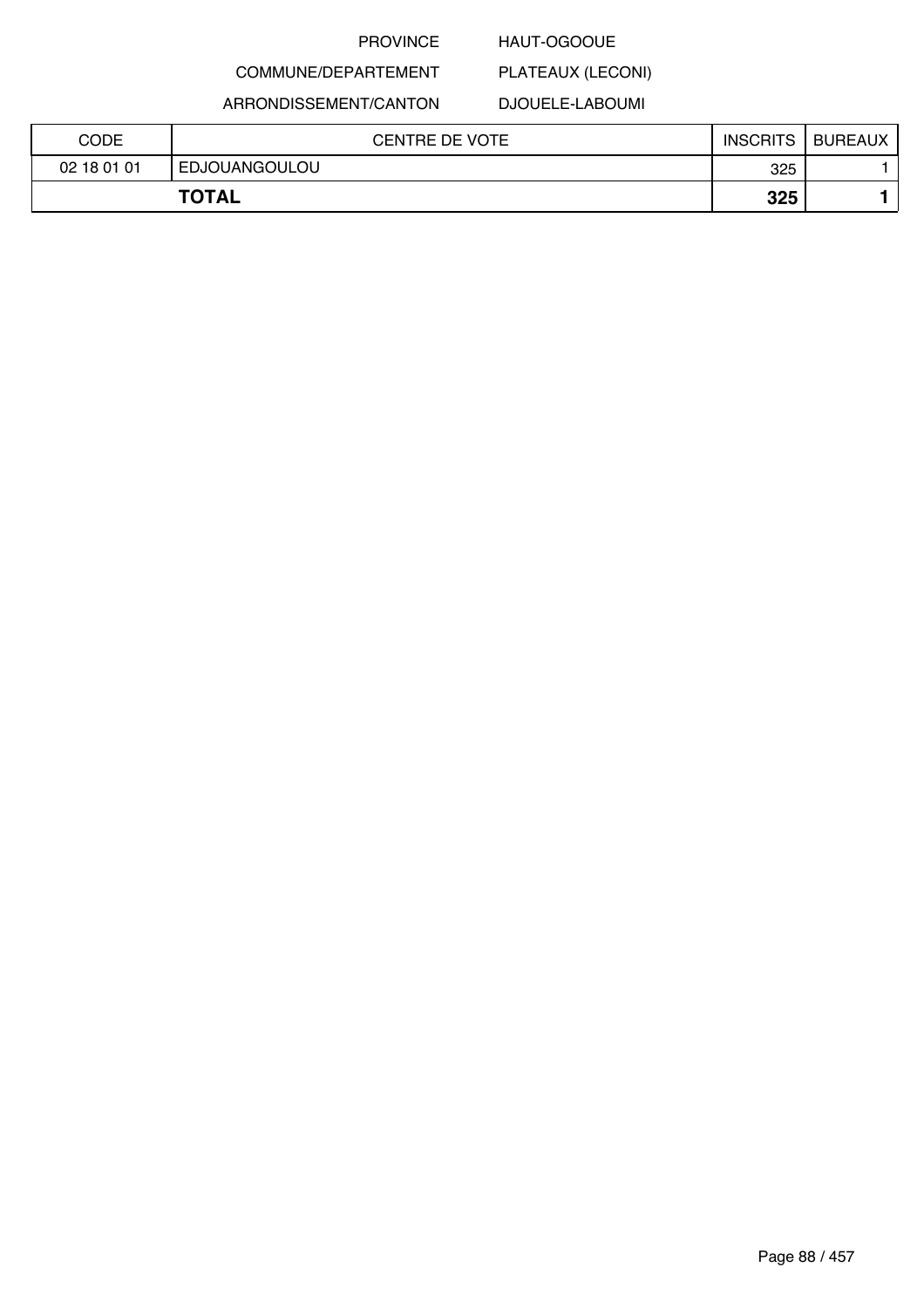### HAUT-OGOOUE

## COMMUNE/DEPARTEMENT ARRONDISSEMENT/CANTON

### DJOUELE-LABOUMI

PLATEAUX (LECONI)

| CODE        | <b>CENTRE DE VOTE</b> | <b>INSCRITS</b> | <b>BUREAUX</b> |
|-------------|-----------------------|-----------------|----------------|
| 02 18 01 01 | EDJOUANGOULOU         | 325             |                |
|             | <b>TOTAL</b>          | 325             |                |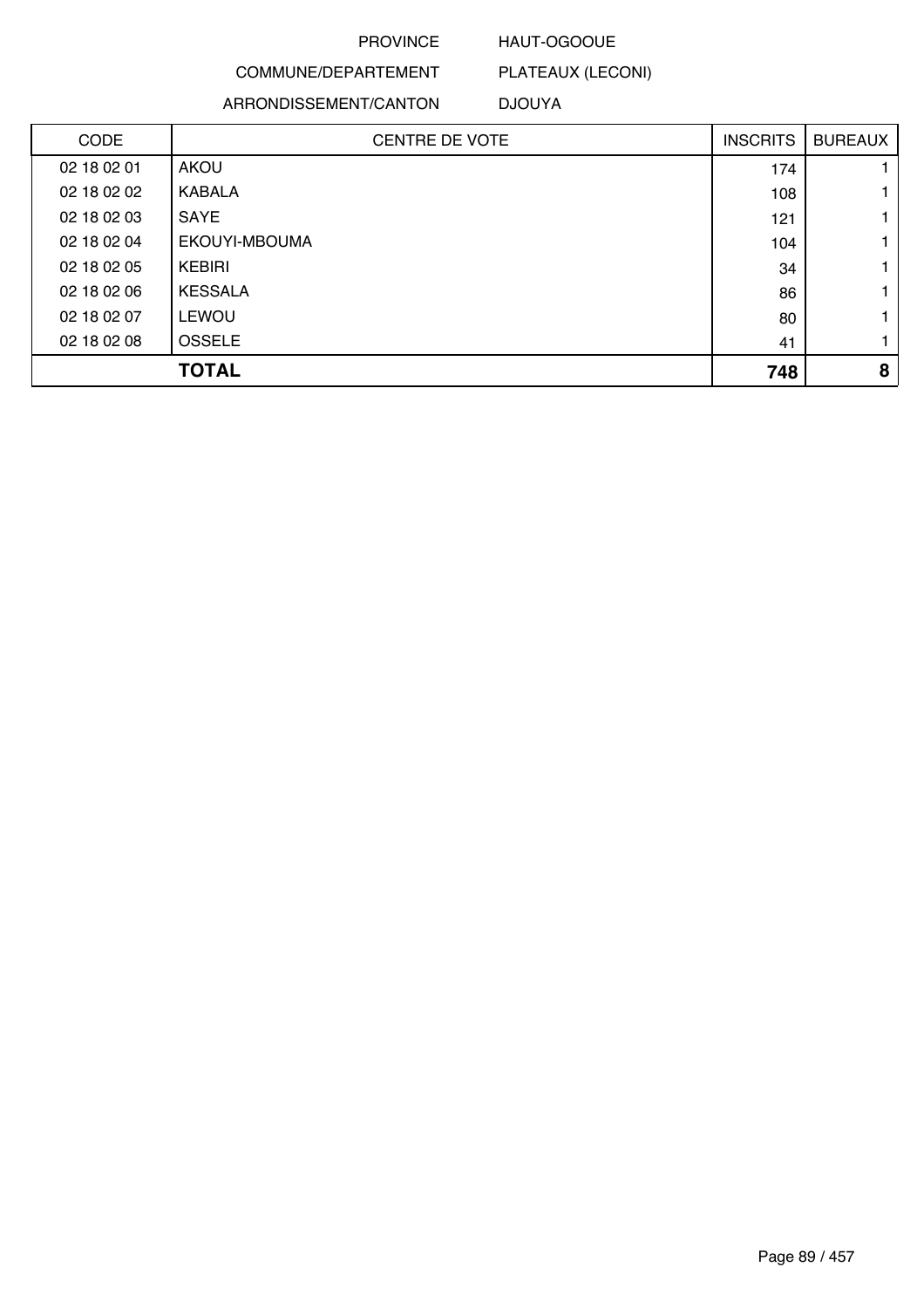### HAUT-OGOOUE

PLATEAUX (LECONI)

## COMMUNE/DEPARTEMENT ARRONDISSEMENT/CANTON

## DJOUYA

| <b>CODE</b> | <b>CENTRE DE VOTE</b> | <b>INSCRITS</b> | <b>BUREAUX</b> |
|-------------|-----------------------|-----------------|----------------|
| 02 18 02 01 | <b>AKOU</b>           | 174             |                |
| 02 18 02 02 | KABALA                | 108             |                |
| 02 18 02 03 | SAYE                  | 121             |                |
| 02 18 02 04 | EKOUYI-MBOUMA         | 104             |                |
| 02 18 02 05 | KEBIRI                | 34              |                |
| 02 18 02 06 | <b>KESSALA</b>        | 86              |                |
| 02 18 02 07 | <b>LEWOU</b>          | 80              |                |
| 02 18 02 08 | <b>OSSELE</b>         | 41              |                |
|             | <b>TOTAL</b>          | 748             | 8              |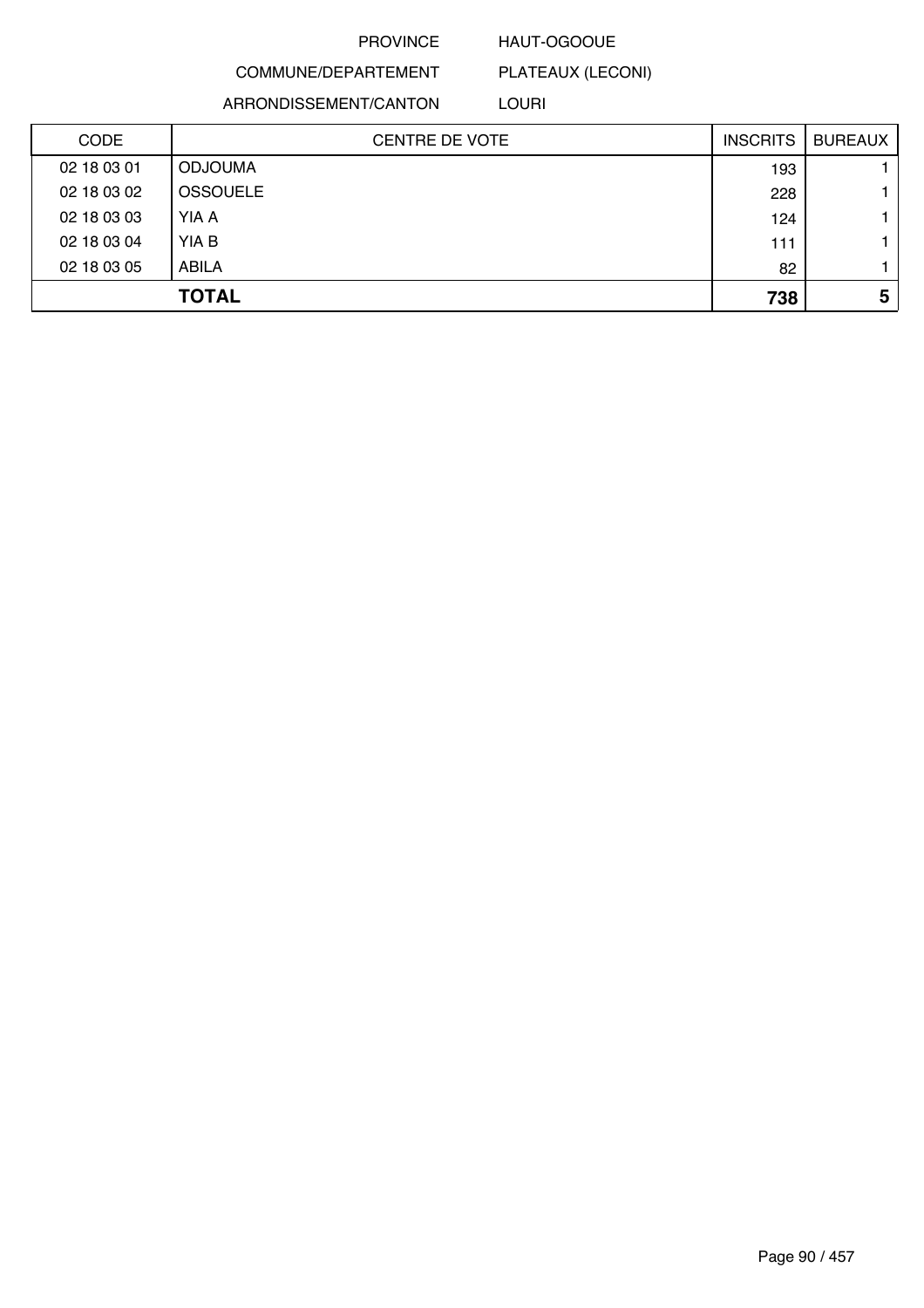### HAUT-OGOOUE

PLATEAUX (LECONI)

COMMUNE/DEPARTEMENT ARRONDISSEMENT/CANTON

LOURI

| <b>CODE</b> | <b>CENTRE DE VOTE</b> | <b>INSCRITS</b> | <b>BUREAUX</b> |
|-------------|-----------------------|-----------------|----------------|
| 02 18 03 01 | <b>ODJOUMA</b>        | 193             |                |
| 02 18 03 02 | <b>OSSOUELE</b>       | 228             |                |
| 02 18 03 03 | YIA A                 | 124             |                |
| 02 18 03 04 | YIA B                 | 111             |                |
| 02 18 03 05 | <b>ABILA</b>          | 82              |                |
|             | <b>TOTAL</b>          | 738             | 5              |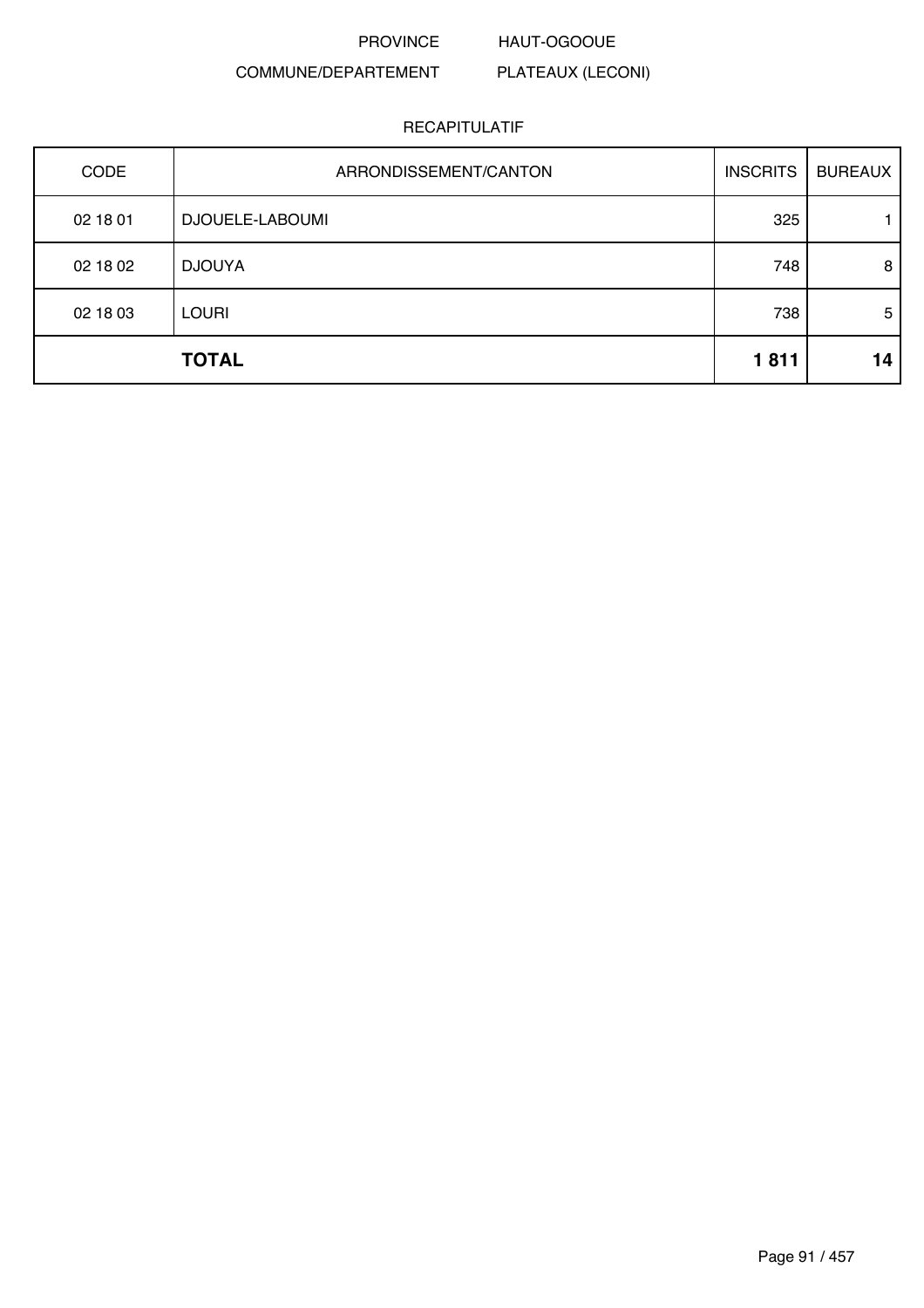PROVINCE HAUT-OGOOUE

PLATEAUX (LECONI)

### COMMUNE/DEPARTEMENT

|             | <b>TOTAL</b>          | 1811            | 14             |
|-------------|-----------------------|-----------------|----------------|
| 02 18 03    | <b>LOURI</b>          | 738             | 5              |
| 02 18 02    | <b>DJOUYA</b>         | 748             | 8              |
| 02 18 01    | DJOUELE-LABOUMI       | 325             |                |
| <b>CODE</b> | ARRONDISSEMENT/CANTON | <b>INSCRITS</b> | <b>BUREAUX</b> |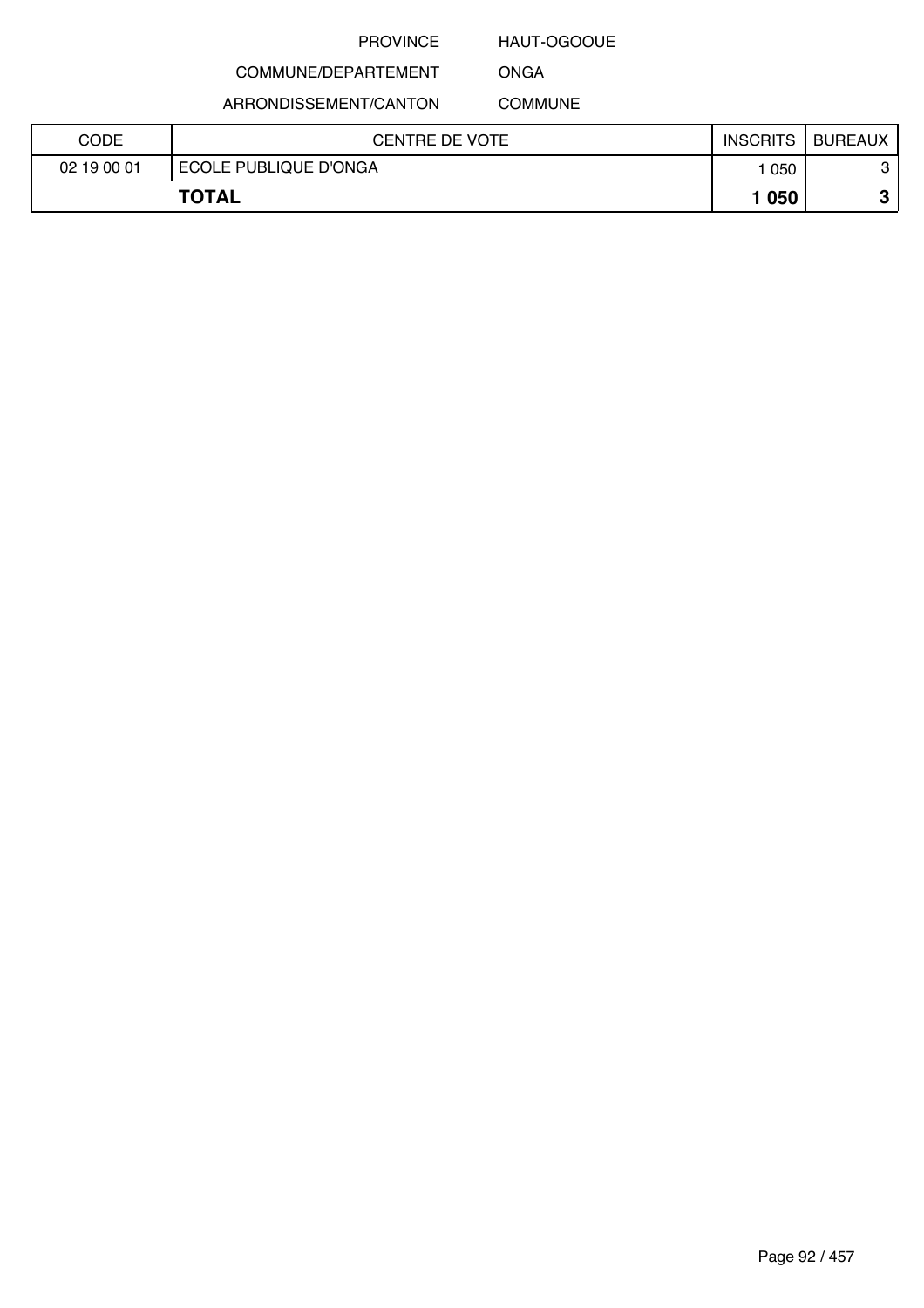### HAUT-OGOOUE

COMMUNE/DEPARTEMENT

ARRONDISSEMENT/CANTON

ONGA COMMUNE

| CODE        | CENTRE DE VOTE        | <b>INSCRITS</b> | <b>BUREAUX</b> |
|-------------|-----------------------|-----------------|----------------|
| 02 19 00 01 | ECOLE PUBLIQUE D'ONGA | 050             | C<br>ັ         |
|             | <b>TOTAL</b>          | 1050            |                |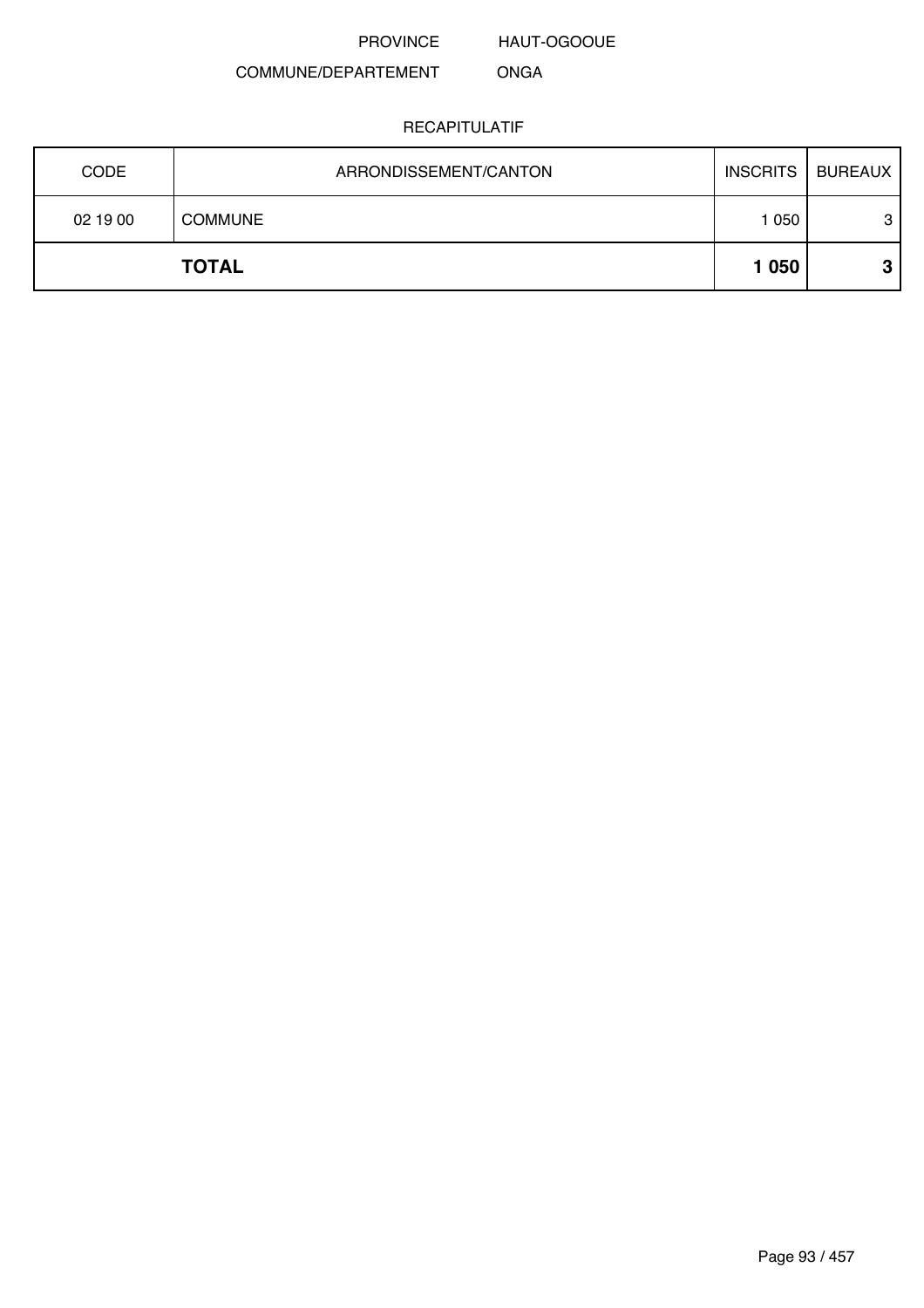HAUT-OGOOUE

#### COMMUNE/DEPARTEMENT ONGA

| <b>CODE</b> | ARRONDISSEMENT/CANTON | <b>INSCRITS</b> | BUREAUX |
|-------------|-----------------------|-----------------|---------|
| 02 19 00    | <b>COMMUNE</b>        | 1 050           | 3       |
|             | <b>TOTAL</b>          | 1 0 5 0         | ≏       |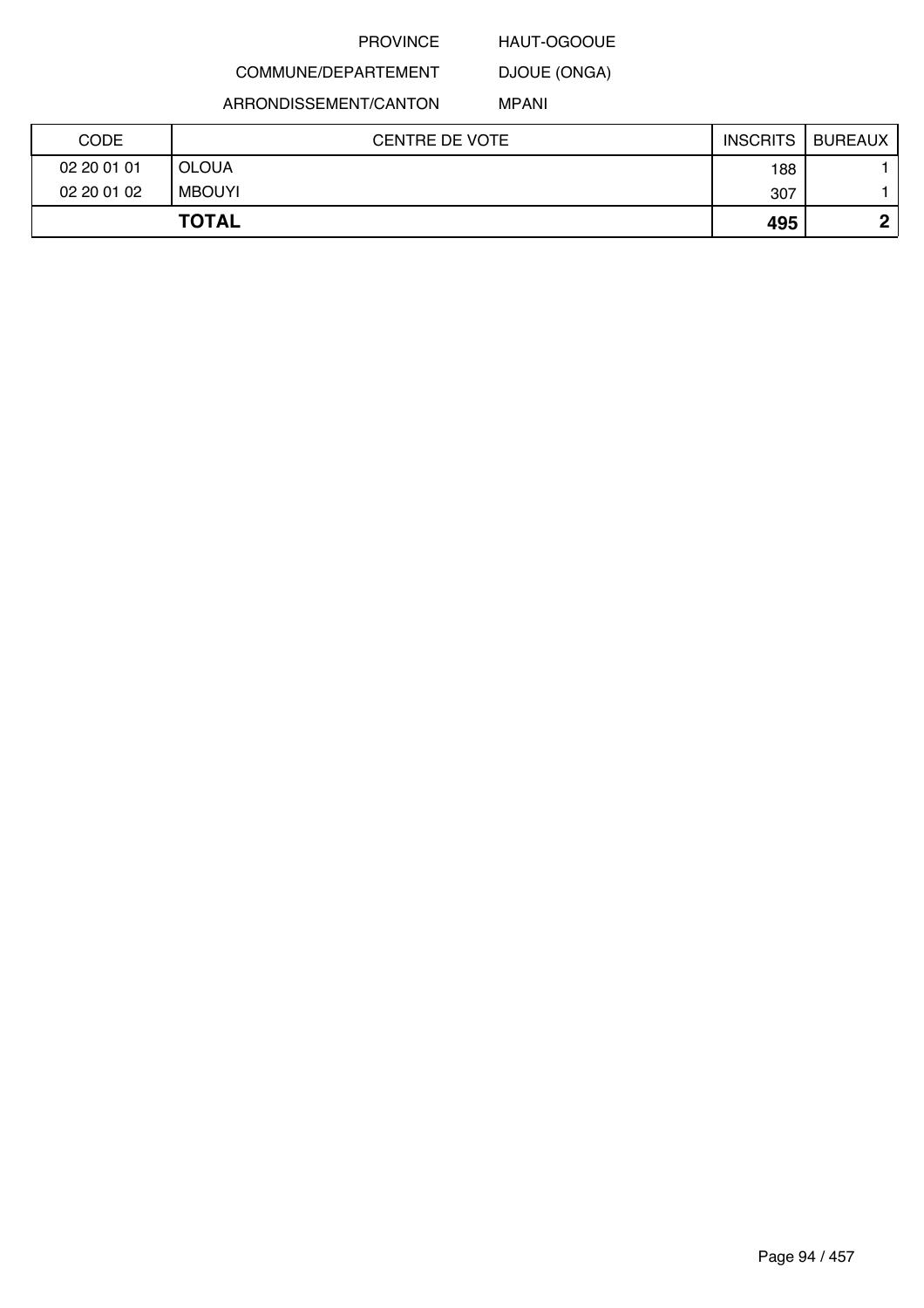### HAUT-OGOOUE

DJOUE (ONGA)

COMMUNE/DEPARTEMENT ARRONDISSEMENT/CANTON

MPANI

| <b>CODE</b> | <b>CENTRE DE VOTE</b> | <b>INSCRITS</b> | <b>BUREAUX</b> |
|-------------|-----------------------|-----------------|----------------|
| 02 20 01 01 | <b>OLOUA</b>          | 188             |                |
| 02 20 01 02 | <b>MBOUYI</b>         | 307             |                |
|             | <b>TOTAL</b>          | 495             | n              |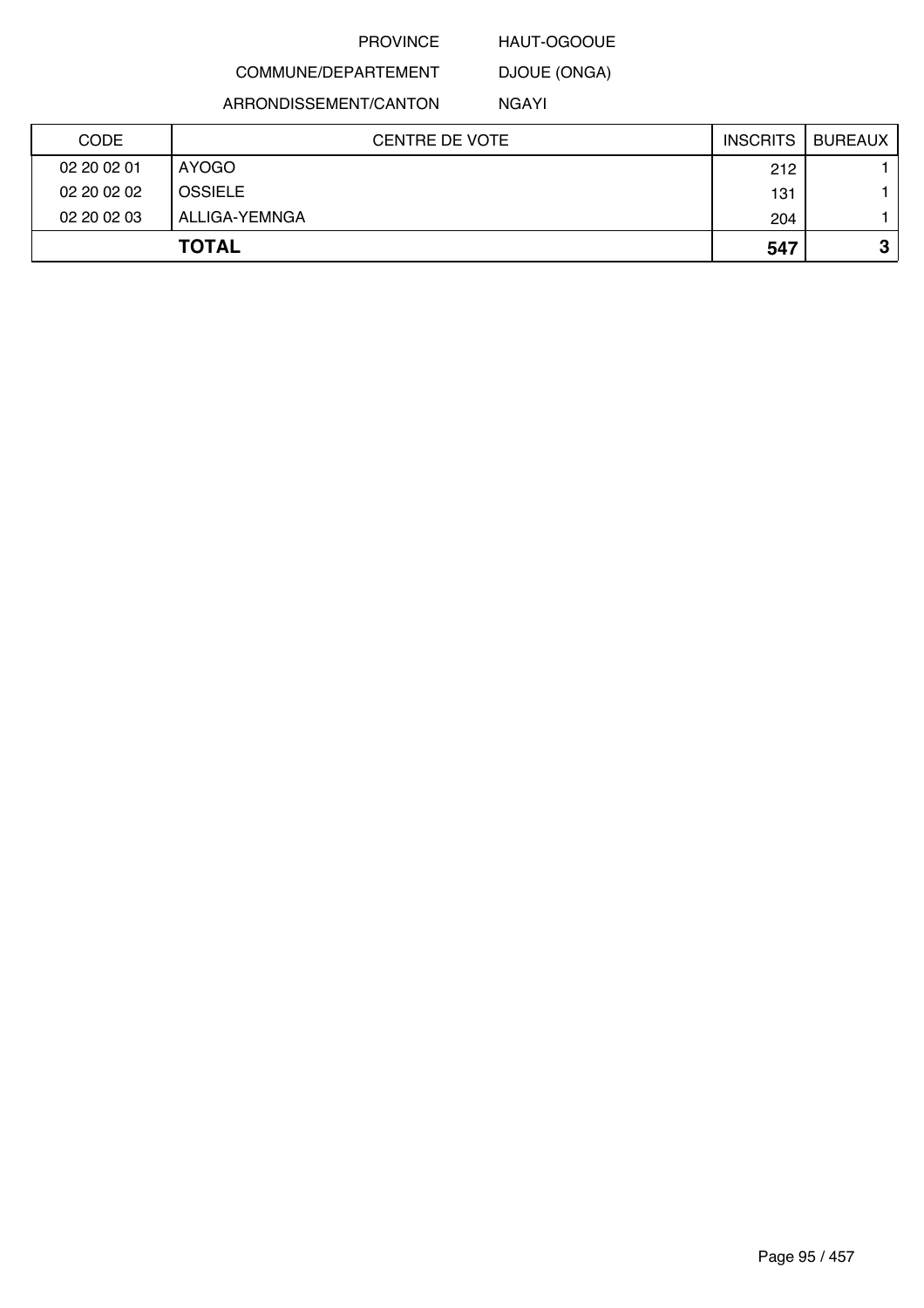### HAUT-OGOOUE

COMMUNE/DEPARTEMENT DJOUE (ONGA)

ARRONDISSEMENT/CANTON

NGAYI

| <b>CODE</b> | <b>CENTRE DE VOTE</b> | <b>INSCRITS</b> | <b>BUREAUX</b> |
|-------------|-----------------------|-----------------|----------------|
| 02 20 02 01 | AYOGO                 | 212             |                |
| 02 20 02 02 | <b>OSSIELE</b>        | 131             |                |
| 02 20 02 03 | ALLIGA-YEMNGA         | 204             |                |
|             | <b>TOTAL</b>          | 547             | C.<br>J        |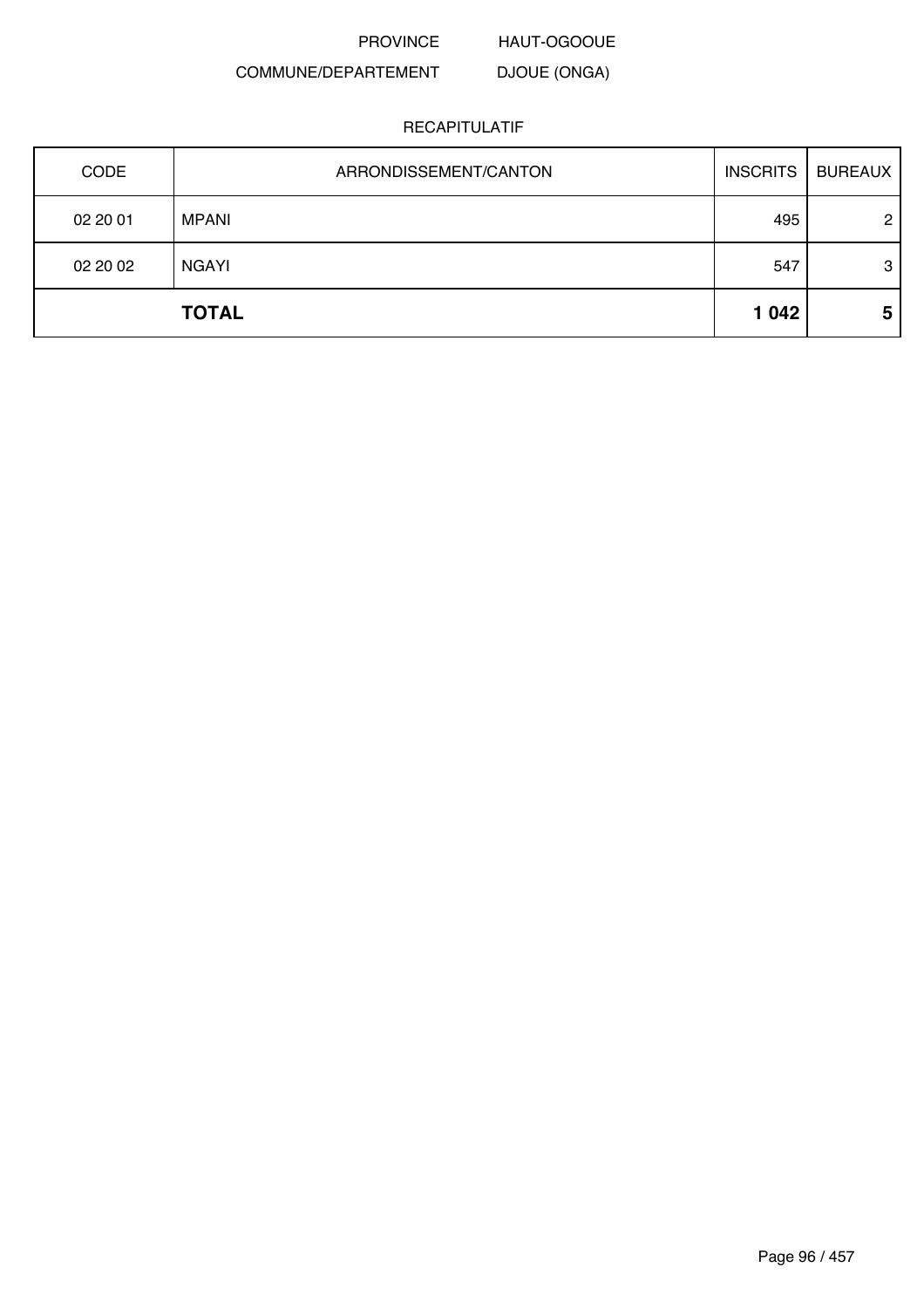HAUT-OGOOUE

#### COMMUNE/DEPARTEMENT DJOUE (ONGA)

| <b>CODE</b> | ARRONDISSEMENT/CANTON | <b>INSCRITS</b> | <b>BUREAUX</b> |
|-------------|-----------------------|-----------------|----------------|
| 02 20 01    | MPANI                 | 495             | $\overline{2}$ |
| 02 20 02    | <b>NGAYI</b>          | 547             | 3              |
|             | <b>TOTAL</b>          | 1 0 4 2         | 5              |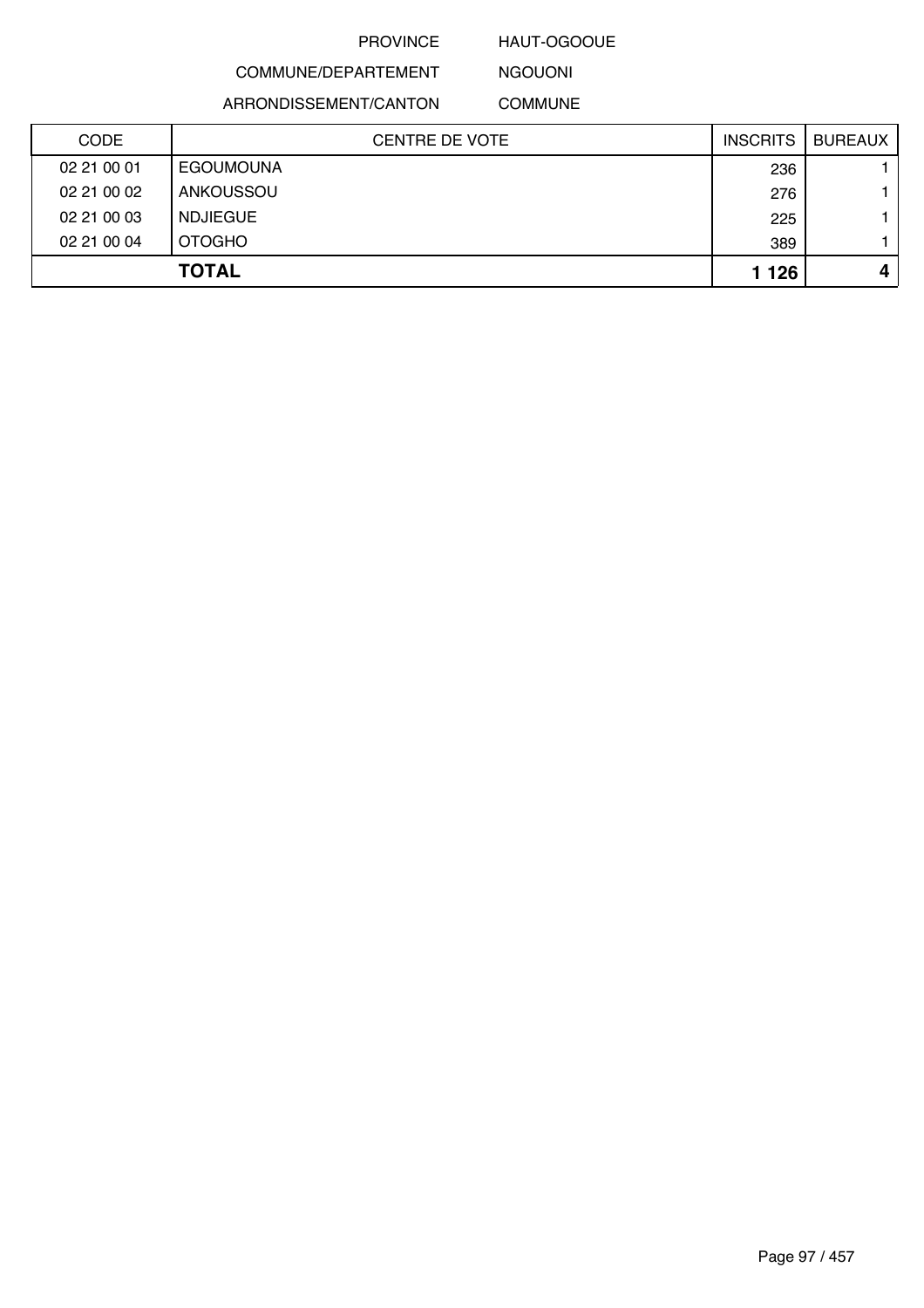### HAUT-OGOOUE

## COMMUNE/DEPARTEMENT

ARRONDISSEMENT/CANTON

NGOUONI COMMUNE

| <b>CODE</b> | CENTRE DE VOTE   | <b>INSCRITS</b> | <b>BUREAUX</b> |
|-------------|------------------|-----------------|----------------|
| 02 21 00 01 | <b>EGOUMOUNA</b> | 236             |                |
| 02 21 00 02 | ANKOUSSOU        | 276             |                |
| 02 21 00 03 | <b>NDJIEGUE</b>  | 225             |                |
| 02 21 00 04 | <b>OTOGHO</b>    | 389             |                |
|             | <b>TOTAL</b>     | 1 1 2 6         | 4              |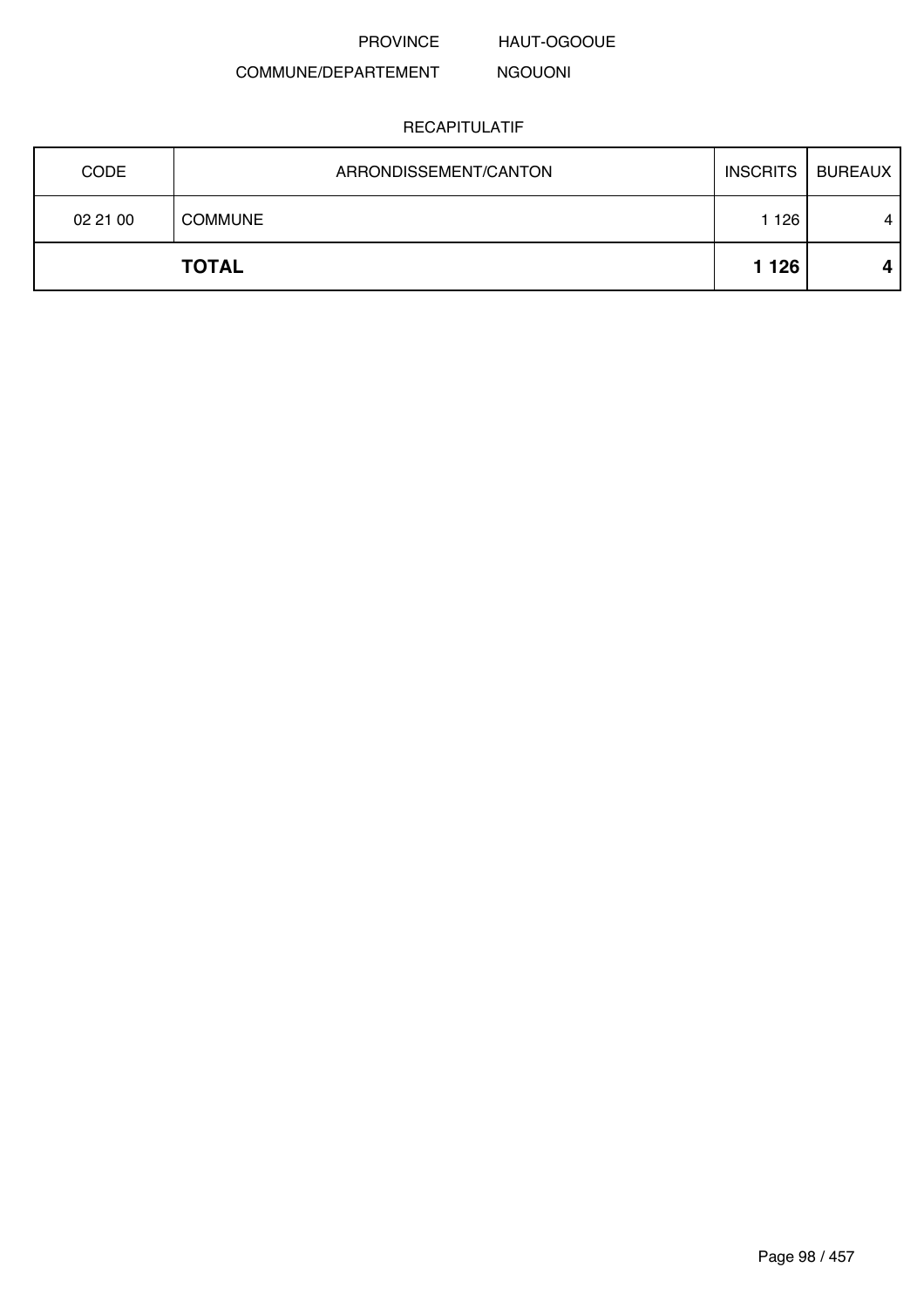HAUT-OGOOUE

#### COMMUNE/DEPARTEMENT NGOUONI

| <b>CODE</b> | ARRONDISSEMENT/CANTON | <b>INSCRITS</b> | <b>BUREAUX</b>   |
|-------------|-----------------------|-----------------|------------------|
| 02 21 00    | <b>COMMUNE</b>        | 126             | $\boldsymbol{4}$ |
|             | <b>TOTAL</b>          | 1 1 2 6         | 4                |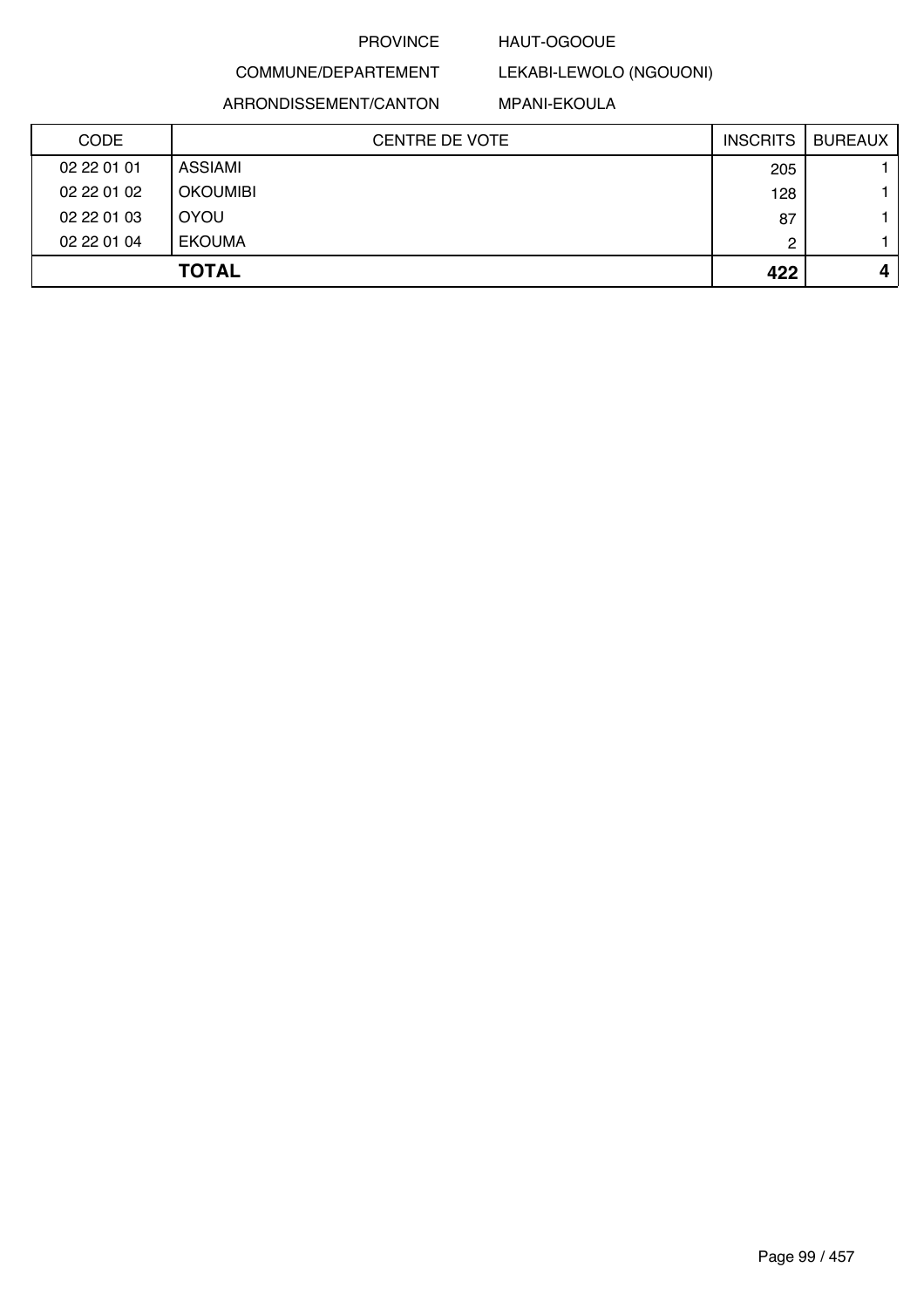### HAUT-OGOOUE

## COMMUNE/DEPARTEMENT ARRONDISSEMENT/CANTON

### MPANI-EKOULA

LEKABI-LEWOLO (NGOUONI)

| CODE        | <b>CENTRE DE VOTE</b> | <b>INSCRITS</b> | <b>BUREAUX</b> |
|-------------|-----------------------|-----------------|----------------|
| 02 22 01 01 | ASSIAMI               | 205             |                |
| 02 22 01 02 | <b>OKOUMIBI</b>       | 128             |                |
| 02 22 01 03 | <b>OYOU</b>           | 87              |                |
| 02 22 01 04 | <b>EKOUMA</b>         | 2               |                |
|             | <b>TOTAL</b>          | 422             | 4              |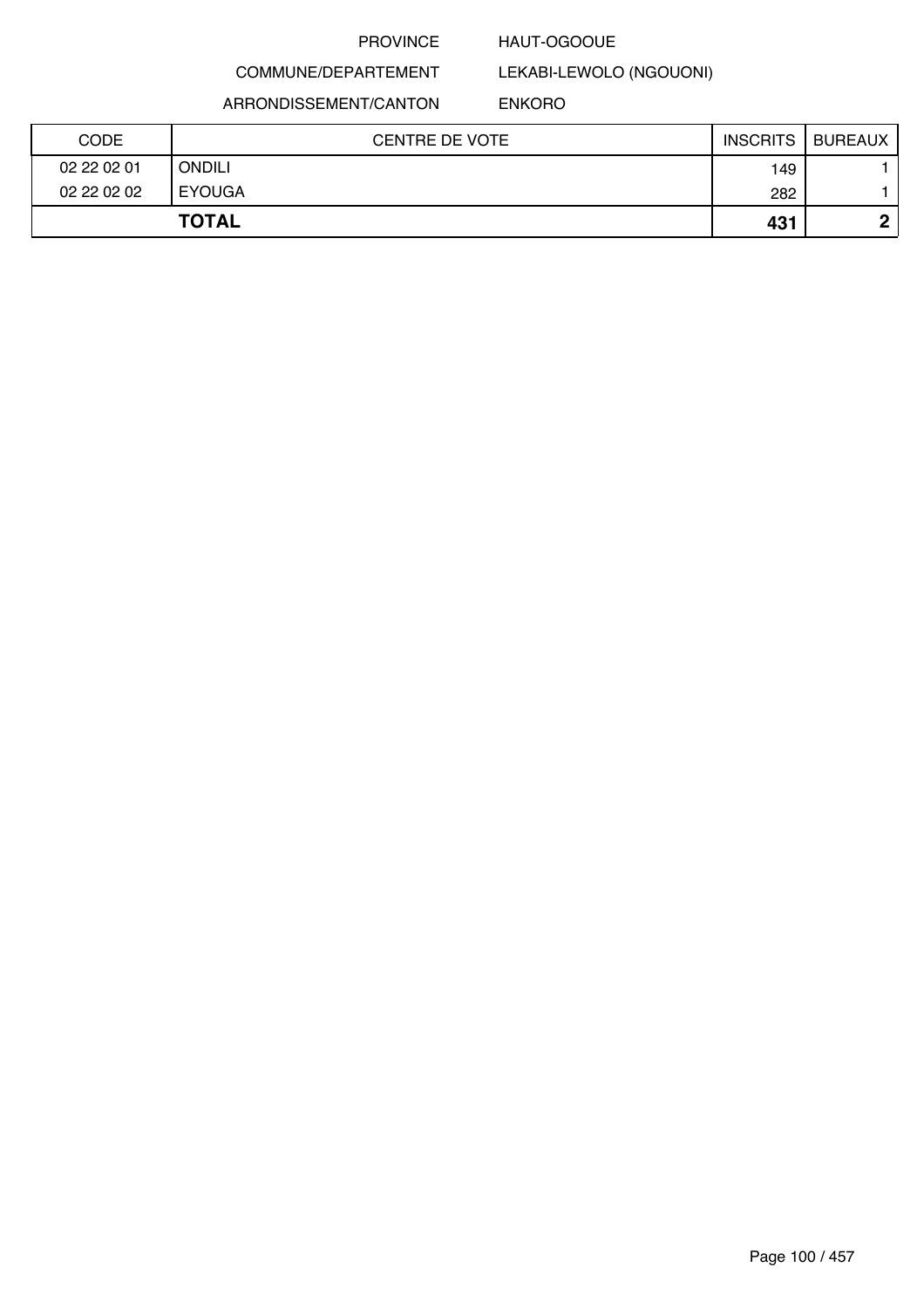### HAUT-OGOOUE

## COMMUNE/DEPARTEMENT ARRONDISSEMENT/CANTON

LEKABI-LEWOLO (NGOUONI) ENKORO

| <b>CODE</b> | <b>CENTRE DE VOTE</b> | <b>INSCRITS</b> | <b>BUREAUX</b> |
|-------------|-----------------------|-----------------|----------------|
| 02 22 02 01 | ONDILI                | 149             |                |
| 02 22 02 02 | <b>EYOUGA</b>         | 282             |                |
|             | <b>TOTAL</b>          | 431             | n              |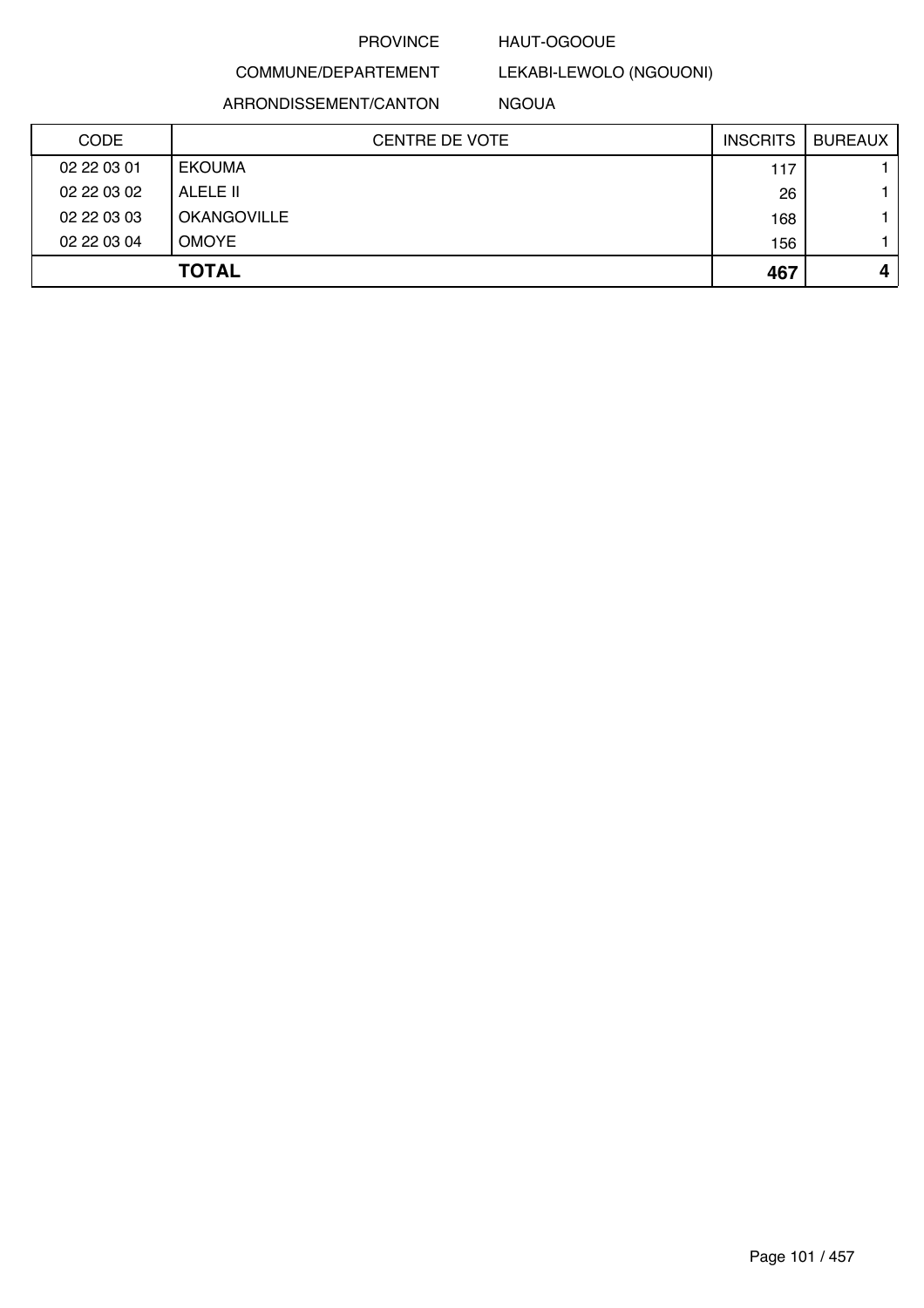### HAUT-OGOOUE

## COMMUNE/DEPARTEMENT

LEKABI-LEWOLO (NGOUONI)

ARRONDISSEMENT/CANTON

NGOUA

| <b>CODE</b> | CENTRE DE VOTE     | <b>INSCRITS</b> | <b>BUREAUX</b> |
|-------------|--------------------|-----------------|----------------|
| 02 22 03 01 | <b>EKOUMA</b>      | 117             |                |
| 02 22 03 02 | ALELE II           | 26              |                |
| 02 22 03 03 | <b>OKANGOVILLE</b> | 168             |                |
| 02 22 03 04 | <b>OMOYE</b>       | 156             |                |
|             | <b>TOTAL</b>       | 467             | 4              |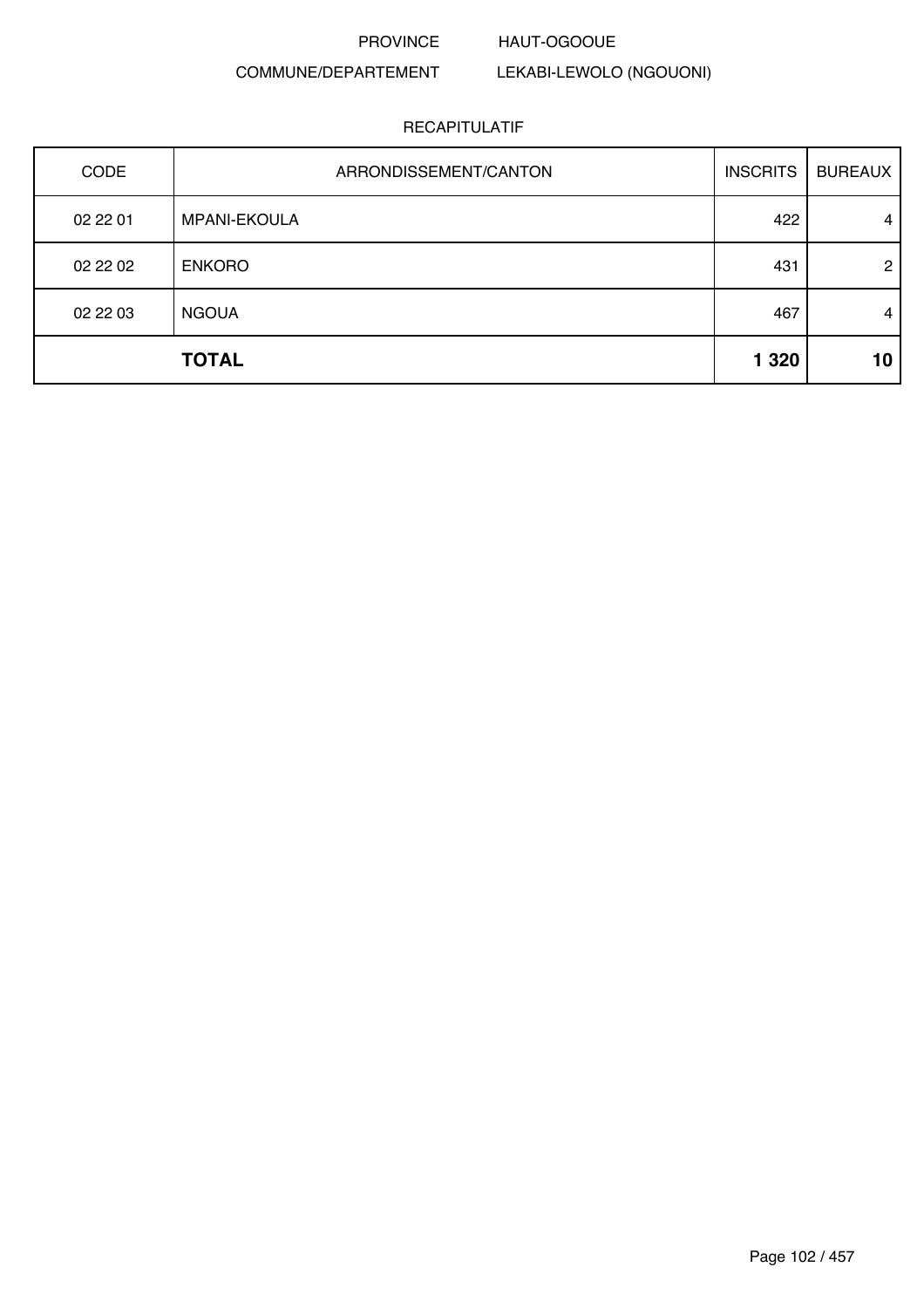### PROVINCE HAUT-OGOOUE

### COMMUNE/DEPARTEMENT LEKABI-LEWOLO (NGOUONI)

| <b>CODE</b> | ARRONDISSEMENT/CANTON | <b>INSCRITS</b> | <b>BUREAUX</b> |
|-------------|-----------------------|-----------------|----------------|
| 02 22 01    | <b>MPANI-EKOULA</b>   | 422             | $\overline{4}$ |
| 02 22 02    | <b>ENKORO</b>         | 431             | $\overline{2}$ |
| 02 22 03    | <b>NGOUA</b>          | 467             | 4              |
|             | <b>TOTAL</b>          | 1 3 2 0         | 10             |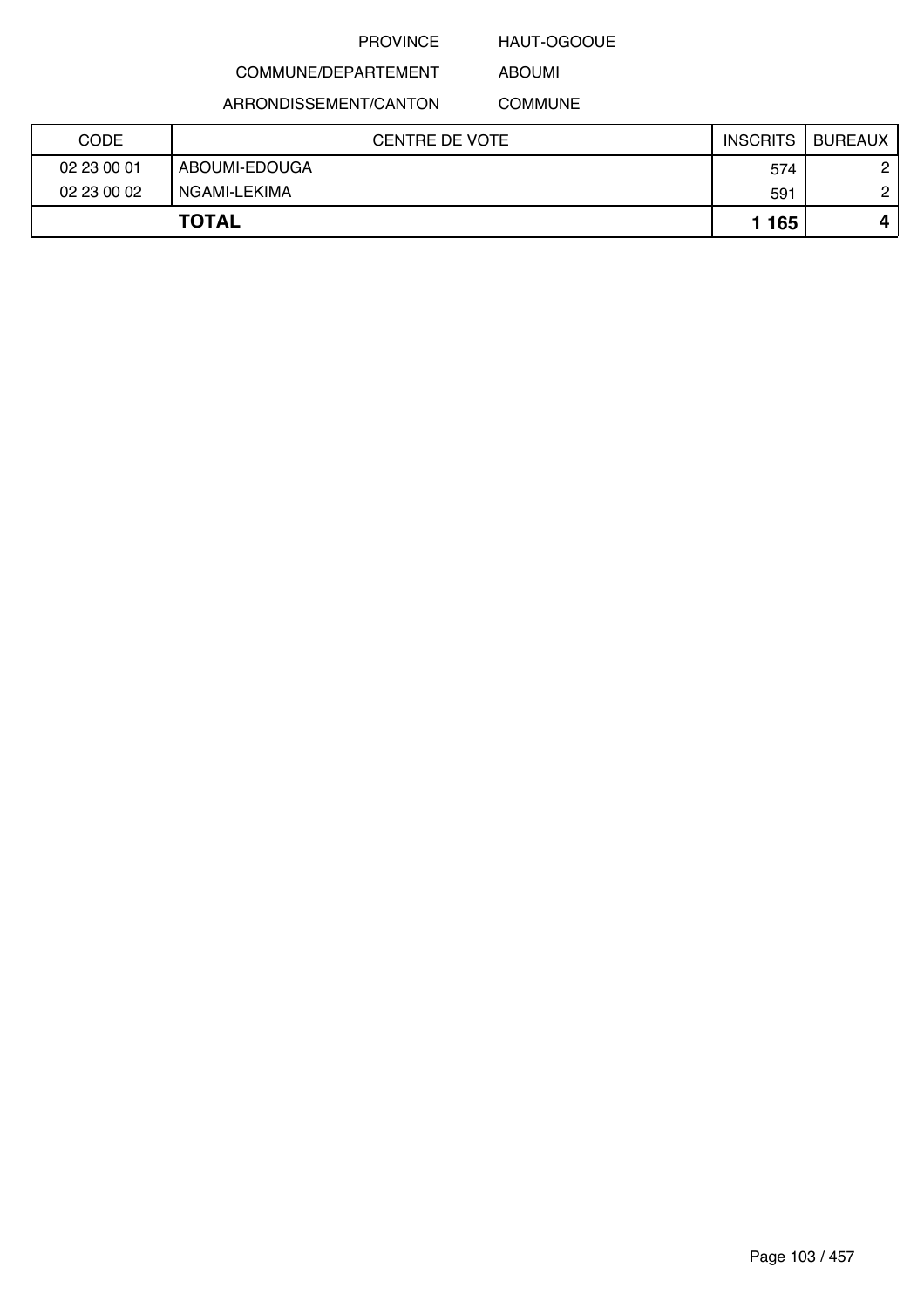### HAUT-OGOOUE

## COMMUNE/DEPARTEMENT

ARRONDISSEMENT/CANTON

ABOUMI COMMUNE

| <b>CODE</b> | CENTRE DE VOTE | <b>INSCRITS</b> | <b>BUREAUX</b> |
|-------------|----------------|-----------------|----------------|
| 02 23 00 01 | ABOUMI-EDOUGA  | 574             | 0              |
| 02 23 00 02 | NGAMI-LEKIMA   | 591             | C              |
|             | <b>TOTAL</b>   | 1 1 65          |                |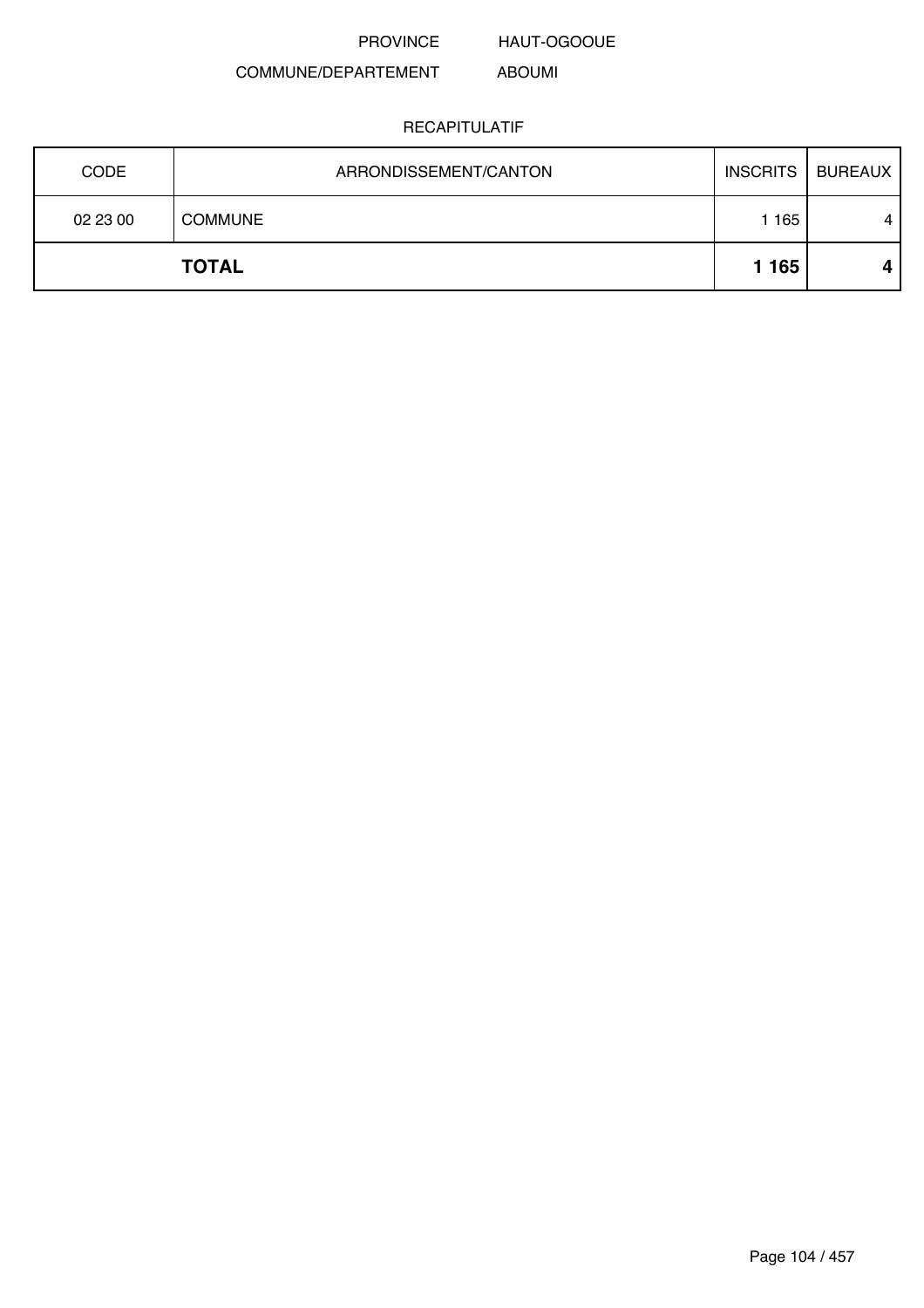PROVINCE HAUT-OGOOUE

ABOUMI

### COMMUNE/DEPARTEMENT

| <b>CODE</b> | ARRONDISSEMENT/CANTON | <b>INSCRITS</b> | BUREAUX |
|-------------|-----------------------|-----------------|---------|
| 02 23 00    | <b>COMMUNE</b>        | 165             | 4       |
|             | <b>TOTAL</b>          | 1 1 6 5         |         |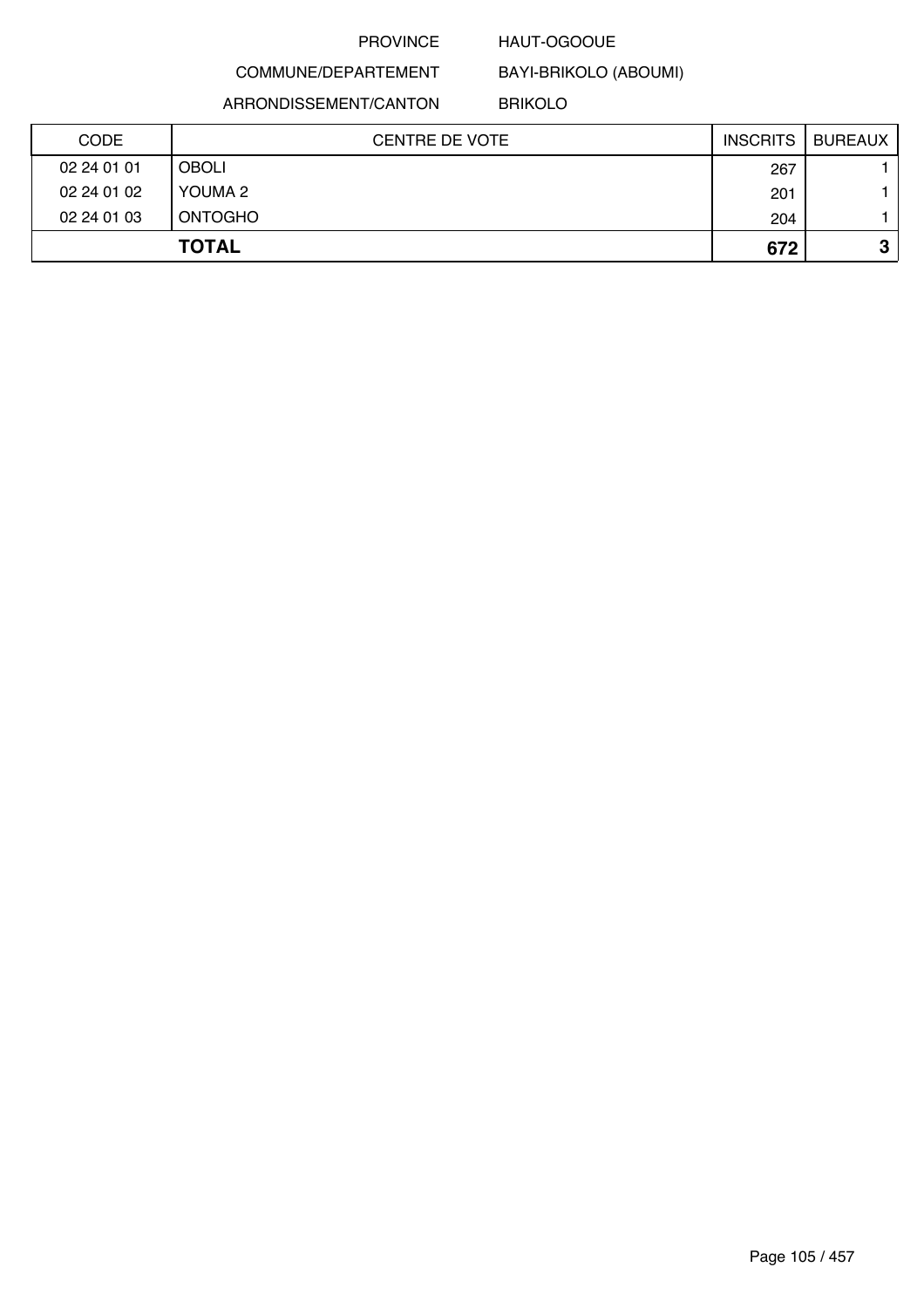### HAUT-OGOOUE

BAYI-BRIKOLO (ABOUMI)

COMMUNE/DEPARTEMENT ARRONDISSEMENT/CANTON

BRIKOLO

| <b>CODE</b> | <b>CENTRE DE VOTE</b> | <b>INSCRITS</b> | BUREAUX |
|-------------|-----------------------|-----------------|---------|
| 02 24 01 01 | <b>OBOLI</b>          | 267             |         |
| 02 24 01 02 | YOUMA 2               | 201             |         |
| 02 24 01 03 | <b>ONTOGHO</b>        | 204             |         |
|             | <b>TOTAL</b>          | 672             | っ<br>J  |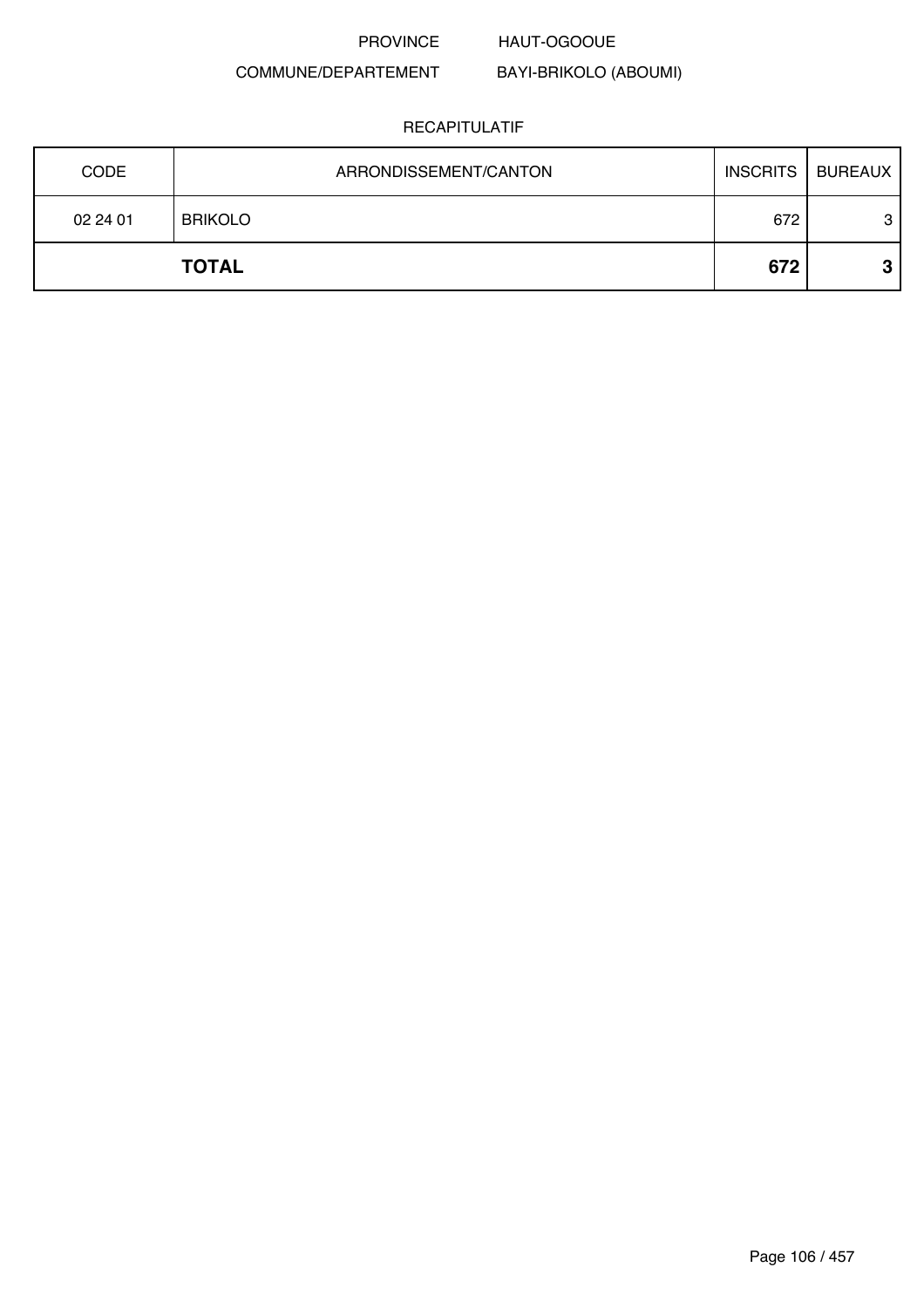### PROVINCE HAUT-OGOOUE

### COMMUNE/DEPARTEMENT

### BAYI-BRIKOLO (ABOUMI)

| <b>CODE</b> | ARRONDISSEMENT/CANTON | <b>INSCRITS</b> | BUREAUX |
|-------------|-----------------------|-----------------|---------|
| 02 24 01    | <b>BRIKOLO</b>        | 672             | 3       |
|             | <b>TOTAL</b>          | 672             | ≏       |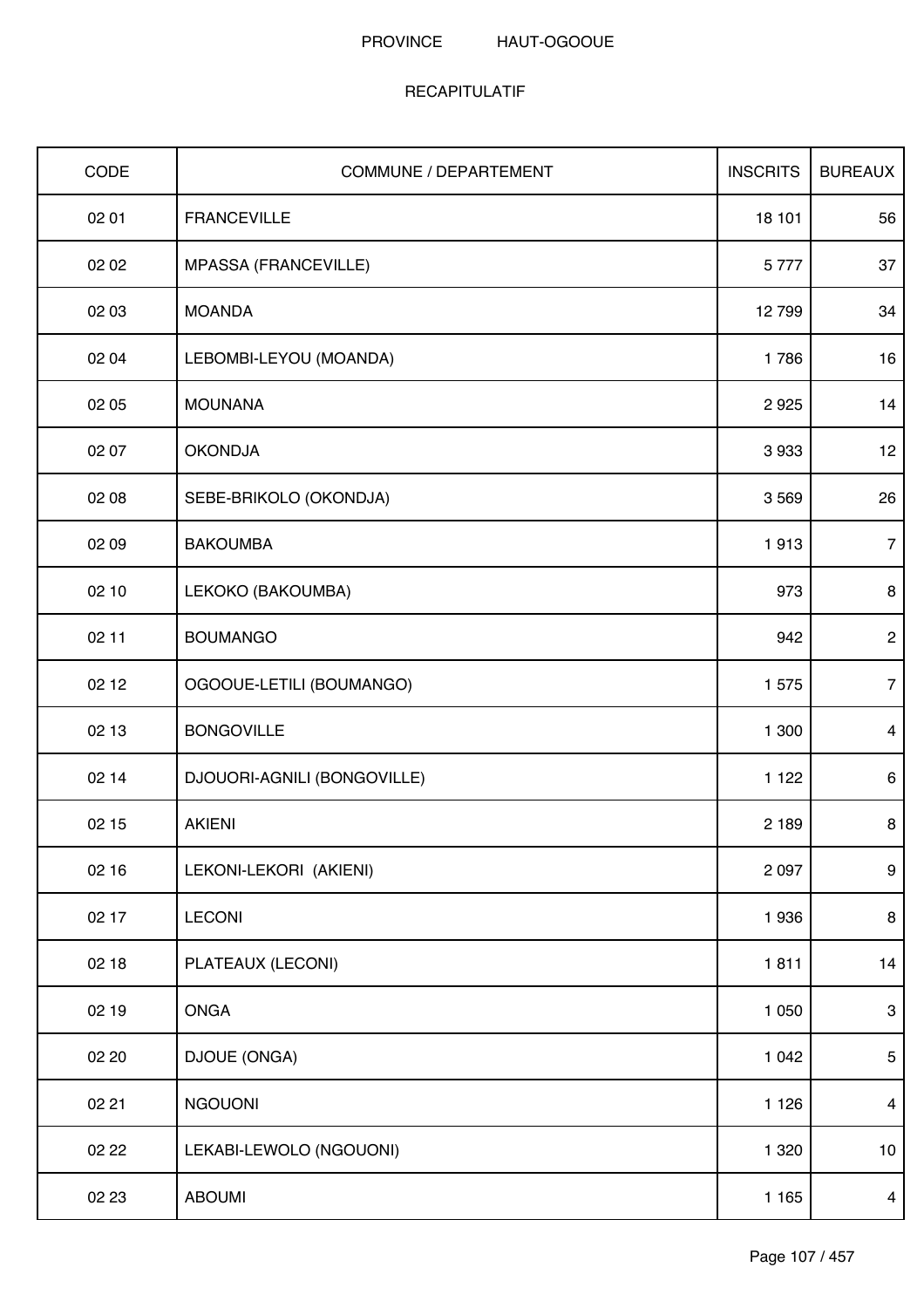| CODE  | <b>COMMUNE / DEPARTEMENT</b> | <b>INSCRITS</b> | <b>BUREAUX</b>   |
|-------|------------------------------|-----------------|------------------|
| 02 01 | <b>FRANCEVILLE</b>           | 18 101          | 56               |
| 02 02 | MPASSA (FRANCEVILLE)         | 5777            | 37               |
| 02 03 | <b>MOANDA</b>                | 12799           | 34               |
| 02 04 | LEBOMBI-LEYOU (MOANDA)       | 1786            | 16               |
| 02 05 | <b>MOUNANA</b>               | 2925            | 14               |
| 02 07 | <b>OKONDJA</b>               | 3933            | 12               |
| 02 08 | SEBE-BRIKOLO (OKONDJA)       | 3 5 6 9         | 26               |
| 02 09 | <b>BAKOUMBA</b>              | 1913            | $\overline{7}$   |
| 02 10 | LEKOKO (BAKOUMBA)            | 973             | 8                |
| 02 11 | <b>BOUMANGO</b>              | 942             | $\overline{2}$   |
| 02 12 | OGOOUE-LETILI (BOUMANGO)     | 1575            | $\overline{7}$   |
| 02 13 | <b>BONGOVILLE</b>            | 1 300           | $\overline{4}$   |
| 02 14 | DJOUORI-AGNILI (BONGOVILLE)  | 1 1 2 2         | 6                |
| 02 15 | <b>AKIENI</b>                | 2 1 8 9         | 8                |
| 02 16 | LEKONI-LEKORI (AKIENI)       | 2 0 9 7         | $\boldsymbol{9}$ |
| 02 17 | <b>LECONI</b>                | 1936            | 8                |
| 02 18 | PLATEAUX (LECONI)            | 1811            | 14               |
| 02 19 | <b>ONGA</b>                  | 1 0 5 0         | $\mathbf{3}$     |
| 02 20 | DJOUE (ONGA)                 | 1 0 4 2         | $5\phantom{.0}$  |
| 02 21 | <b>NGOUONI</b>               | 1 1 2 6         | $\overline{4}$   |
| 02 22 | LEKABI-LEWOLO (NGOUONI)      | 1 3 2 0         | 10               |
| 02 23 | <b>ABOUMI</b>                | 1 1 6 5         | $\overline{4}$   |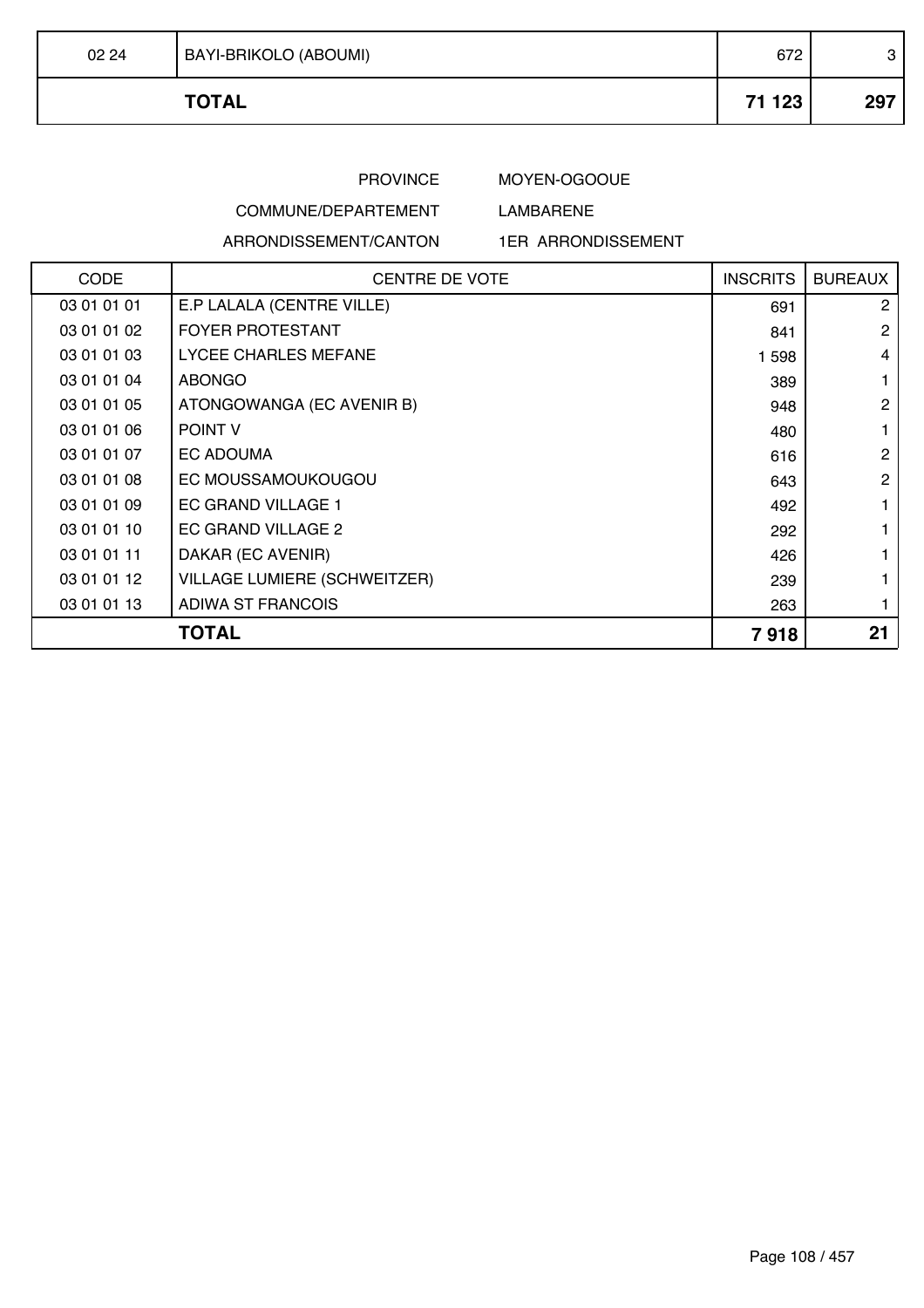| 02 24 | <b>BAYI-BRIKOLO (ABOUMI)</b> | 672    | ◠<br>P |
|-------|------------------------------|--------|--------|
|       | <b>TOTAL</b>                 | 71 123 | 297    |

# MOYEN-OGOOUE

## COMMUNE/DEPARTEMENT

ARRONDISSEMENT/CANTON

# LAMBARENE

### 1ER ARRONDISSEMENT

| <b>CODE</b>  | <b>CENTRE DE VOTE</b>               | <b>INSCRITS</b> | <b>BUREAUX</b>       |
|--------------|-------------------------------------|-----------------|----------------------|
| 03 01 01 01  | E.P LALALA (CENTRE VILLE)           | 691             | $\mathbf{2}^{\circ}$ |
| 03 01 01 02  | <b>FOYER PROTESTANT</b>             | 841             | $\overline{2}$       |
| 03 01 01 03  | LYCEE CHARLES MEFANE                | 1 598           | 4                    |
| 03 01 01 04  | ABONGO                              | 389             |                      |
| 03 01 01 05  | ATONGOWANGA (EC AVENIR B)           | 948             | $\overline{2}$       |
| 03 01 01 06  | <b>POINT V</b>                      | 480             |                      |
| 03 01 01 07  | EC ADOUMA                           | 616             | $\overline{2}$       |
| 03 01 01 08  | EC MOUSSAMOUKOUGOU                  | 643             | $\overline{2}$       |
| 03 01 01 09  | EC GRAND VILLAGE 1                  | 492             |                      |
| 03 01 01 10  | EC GRAND VILLAGE 2                  | 292             |                      |
| 03 01 01 11  | DAKAR (EC AVENIR)                   | 426             |                      |
| 03 01 01 12  | <b>VILLAGE LUMIERE (SCHWEITZER)</b> | 239             |                      |
| 03 01 01 13  | <b>ADIWA ST FRANCOIS</b>            | 263             |                      |
| <b>TOTAL</b> |                                     | 7918            | 21                   |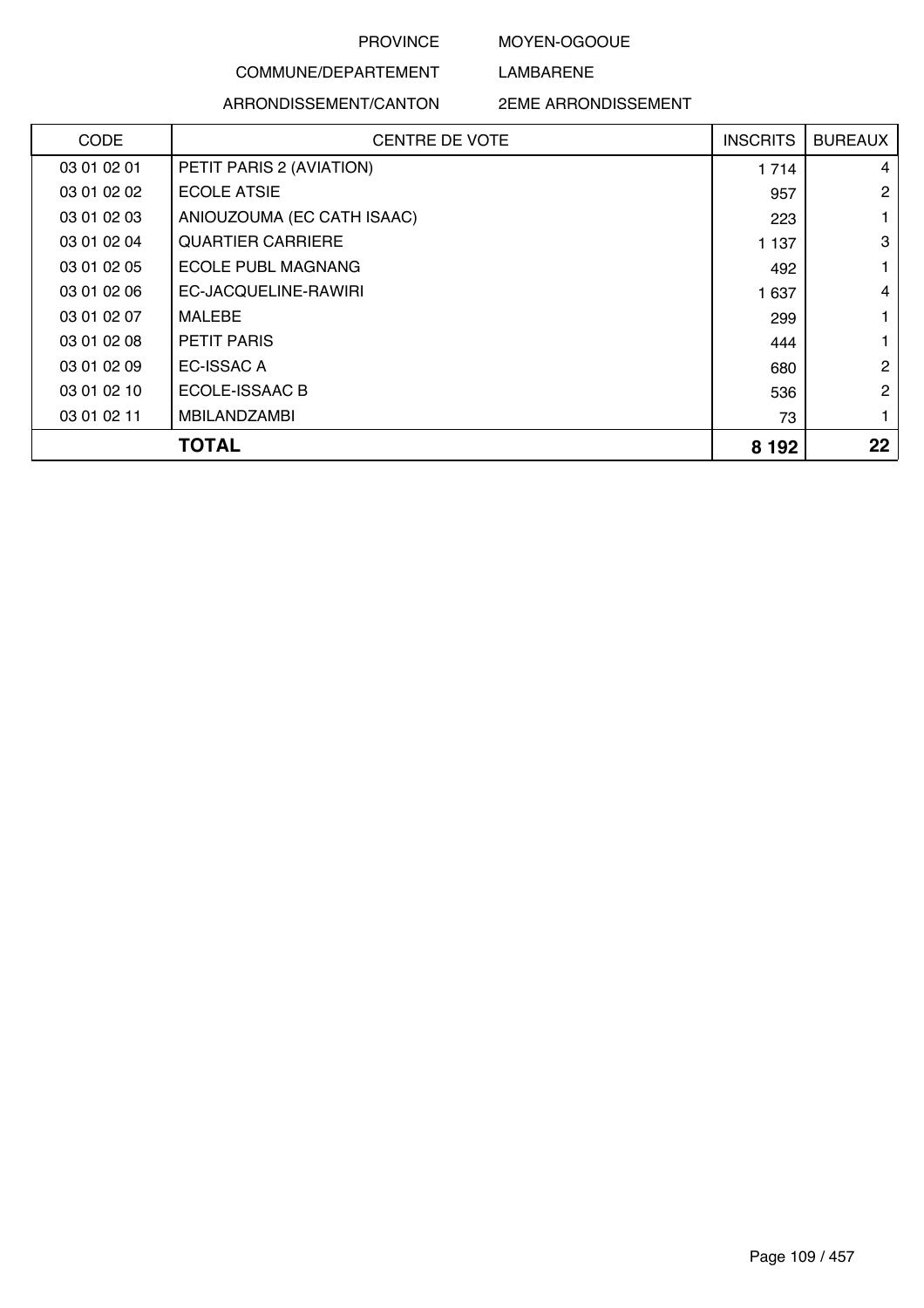#### MOYEN-OGOOUE

LAMBARENE

## COMMUNE/DEPARTEMENT ARRONDISSEMENT/CANTON

#### 2EME ARRONDISSEMENT

| CODE        | <b>CENTRE DE VOTE</b>      | <b>INSCRITS</b> | <b>BUREAUX</b> |
|-------------|----------------------------|-----------------|----------------|
| 03 01 02 01 | PETIT PARIS 2 (AVIATION)   | 1 7 1 4         | 4              |
| 03 01 02 02 | <b>ECOLE ATSIE</b>         | 957             | $\overline{2}$ |
| 03 01 02 03 | ANIOUZOUMA (EC CATH ISAAC) | 223             |                |
| 03 01 02 04 | <b>QUARTIER CARRIERE</b>   | 1 1 3 7         | 3              |
| 03 01 02 05 | <b>ECOLE PUBL MAGNANG</b>  | 492             | 1              |
| 03 01 02 06 | EC-JACQUELINE-RAWIRI       | 1 637           | $\overline{4}$ |
| 03 01 02 07 | <b>MALEBE</b>              | 299             |                |
| 03 01 02 08 | <b>PETIT PARIS</b>         | 444             |                |
| 03 01 02 09 | <b>EC-ISSAC A</b>          | 680             | 2              |
| 03 01 02 10 | ECOLE-ISSAAC B             | 536             | $\overline{2}$ |
| 03 01 02 11 | <b>MBILANDZAMBI</b>        | 73              | 1              |
|             | TOTAL                      | 8 1 9 2         | 22             |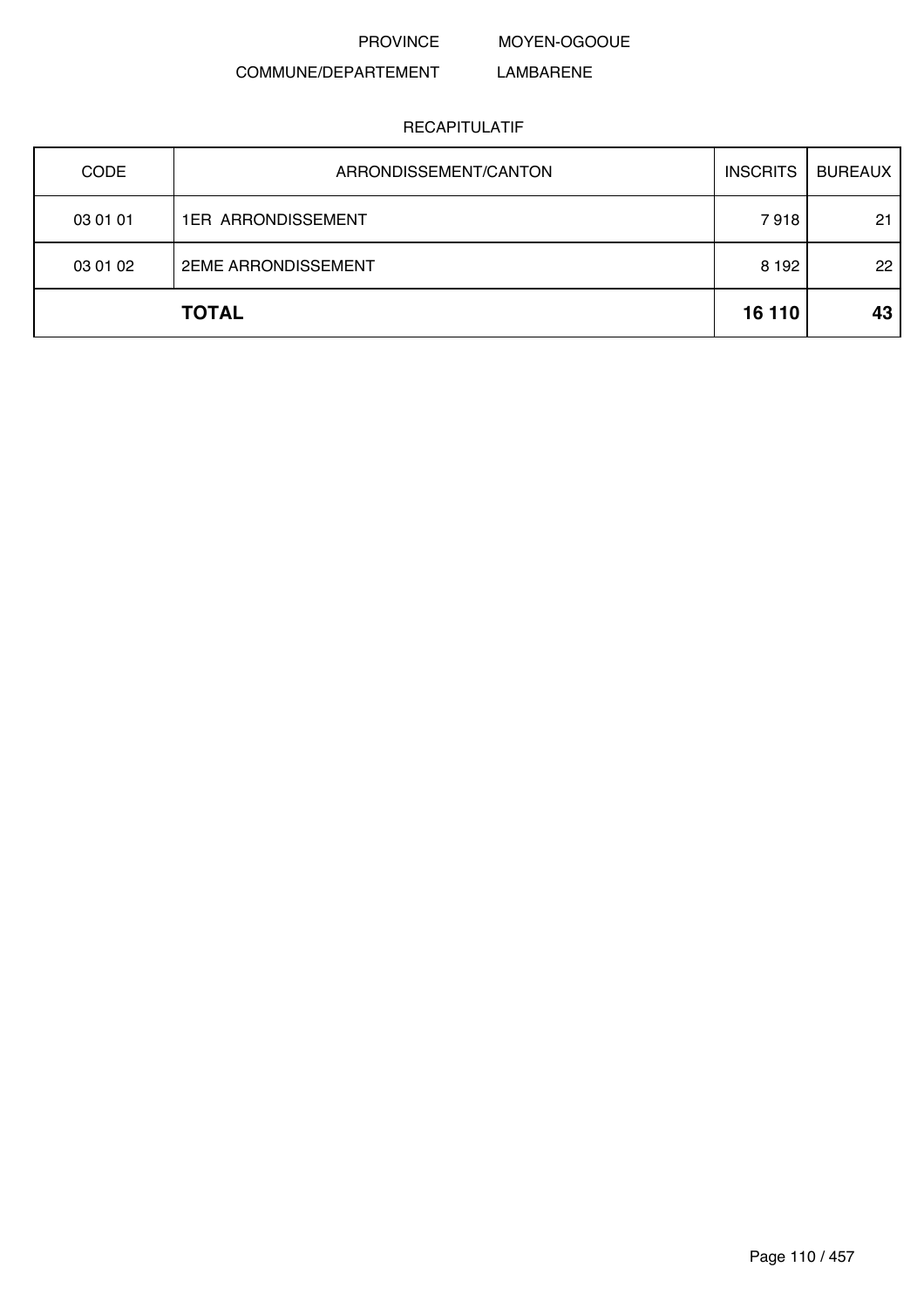PROVINCE MOYEN-OGOOUE

#### COMMUNE/DEPARTEMENT LAMBARENE

| <b>CODE</b> | ARRONDISSEMENT/CANTON      | <b>INSCRITS</b> | <b>BUREAUX</b> |
|-------------|----------------------------|-----------------|----------------|
| 03 01 01    | <b>1ER ARRONDISSEMENT</b>  | 7918            | 21             |
| 03 01 02    | <b>2EME ARRONDISSEMENT</b> | 8 1 9 2         | 22             |
|             | <b>TOTAL</b>               | 16 110          | 43             |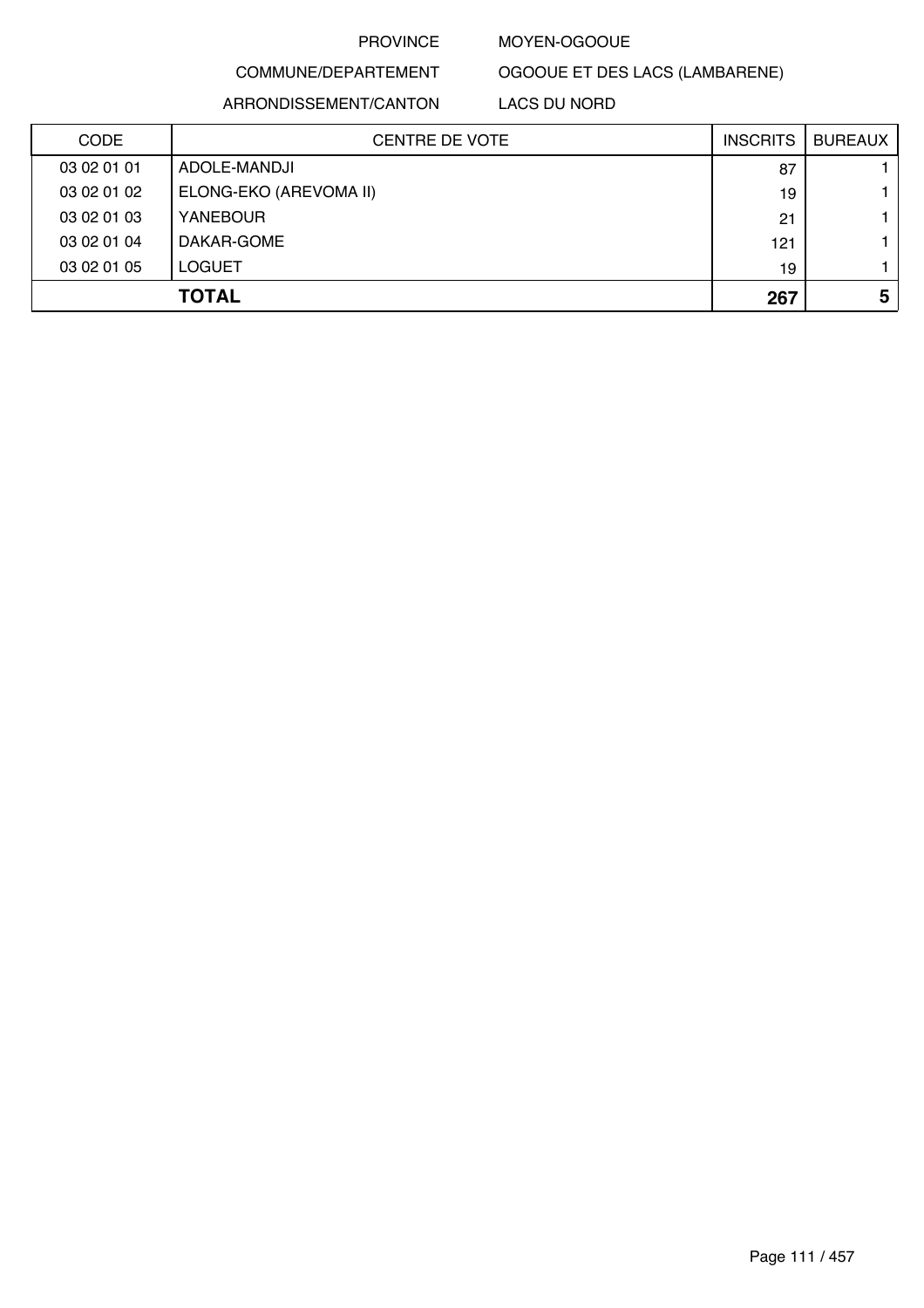#### MOYEN-OGOOUE

OGOOUE ET DES LACS (LAMBARENE)

## COMMUNE/DEPARTEMENT

ARRONDISSEMENT/CANTON LACS DU NORD

| CODE        | <b>CENTRE DE VOTE</b>  | <b>INSCRITS</b> | <b>BUREAUX</b> |
|-------------|------------------------|-----------------|----------------|
| 03 02 01 01 | ADOLE-MANDJI           | 87              |                |
| 03 02 01 02 | ELONG-EKO (AREVOMA II) | 19              |                |
| 03 02 01 03 | <b>YANEBOUR</b>        | 21              |                |
| 03 02 01 04 | DAKAR-GOME             | 121             |                |
| 03 02 01 05 | <b>LOGUET</b>          | 19              |                |
|             | <b>TOTAL</b>           | 267             | 5              |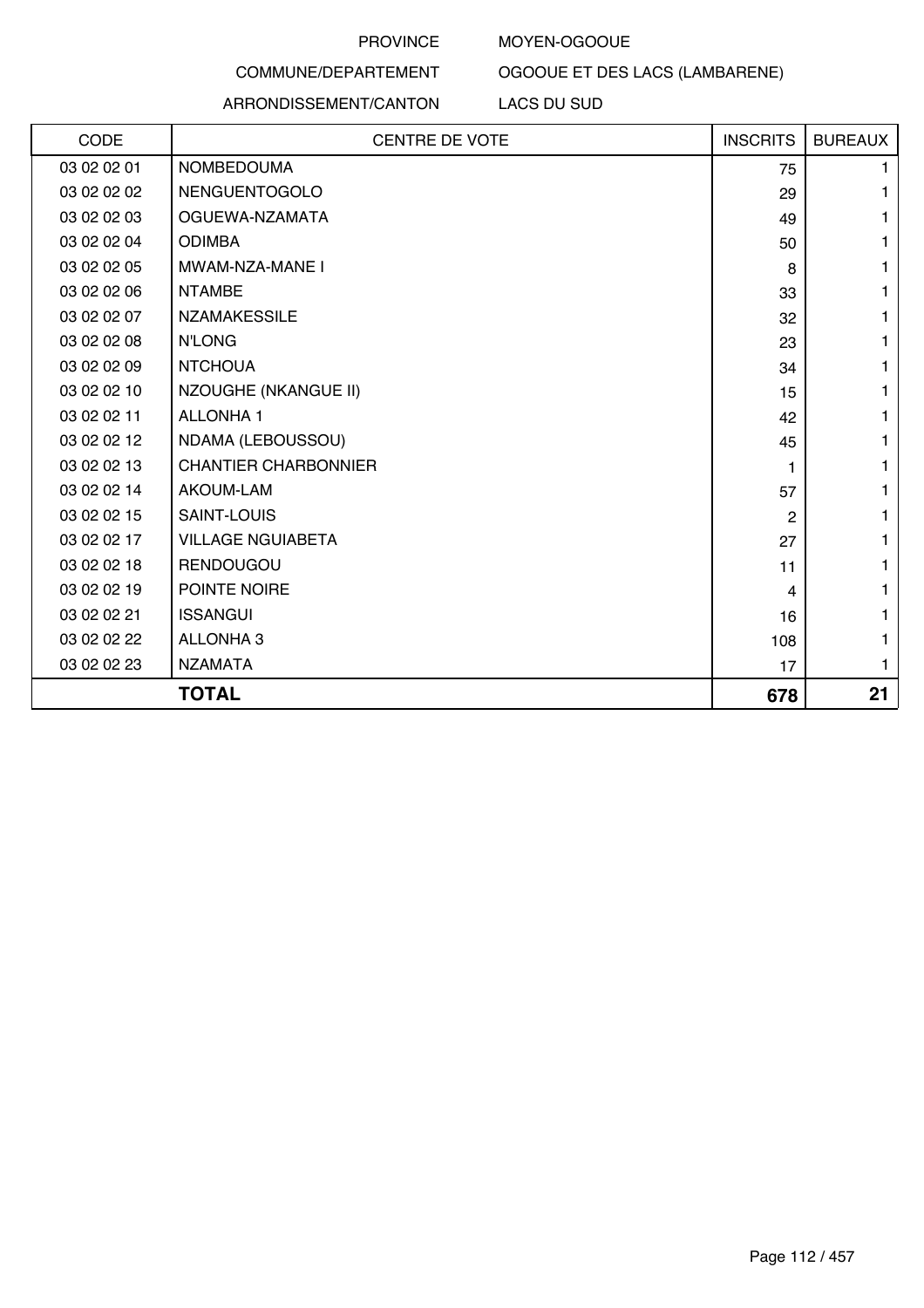#### MOYEN-OGOOUE

OGOOUE ET DES LACS (LAMBARENE)

## COMMUNE/DEPARTEMENT ARRONDISSEMENT/CANTON

## LACS DU SUD

| CODE        | <b>CENTRE DE VOTE</b>       | <b>INSCRITS</b> | <b>BUREAUX</b> |
|-------------|-----------------------------|-----------------|----------------|
| 03 02 02 01 | <b>NOMBEDOUMA</b>           | 75              | 1              |
| 03 02 02 02 | NENGUENTOGOLO               | 29              | 1              |
| 03 02 02 03 | OGUEWA-NZAMATA              | 49              | 1              |
| 03 02 02 04 | <b>ODIMBA</b>               | 50              | 1              |
| 03 02 02 05 | MWAM-NZA-MANE I             | 8               | 1              |
| 03 02 02 06 | <b>NTAMBE</b>               | 33              | 1              |
| 03 02 02 07 | <b>NZAMAKESSILE</b>         | 32              | 1              |
| 03 02 02 08 | <b>N'LONG</b>               | 23              | 1              |
| 03 02 02 09 | <b>NTCHOUA</b>              | 34              | 1              |
| 03 02 02 10 | NZOUGHE (NKANGUE II)        | 15              | 1              |
| 03 02 02 11 | <b>ALLONHA1</b>             | 42              | 1              |
| 03 02 02 12 | NDAMA (LEBOUSSOU)           | 45              | 1              |
| 03 02 02 13 | <b>CHANTIER CHARBONNIER</b> | 1               | 1              |
| 03 02 02 14 | AKOUM-LAM                   | 57              | 1              |
| 03 02 02 15 | <b>SAINT-LOUIS</b>          | 2               | 1              |
| 03 02 02 17 | <b>VILLAGE NGUIABETA</b>    | 27              | 1              |
| 03 02 02 18 | <b>RENDOUGOU</b>            | 11              | 1              |
| 03 02 02 19 | POINTE NOIRE                | 4               | 1              |
| 03 02 02 21 | <b>ISSANGUI</b>             | 16              | 1              |
| 03 02 02 22 | <b>ALLONHA 3</b>            | 108             | 1              |
| 03 02 02 23 | <b>NZAMATA</b>              | 17              | 1              |
|             | <b>TOTAL</b>                | 678             | 21             |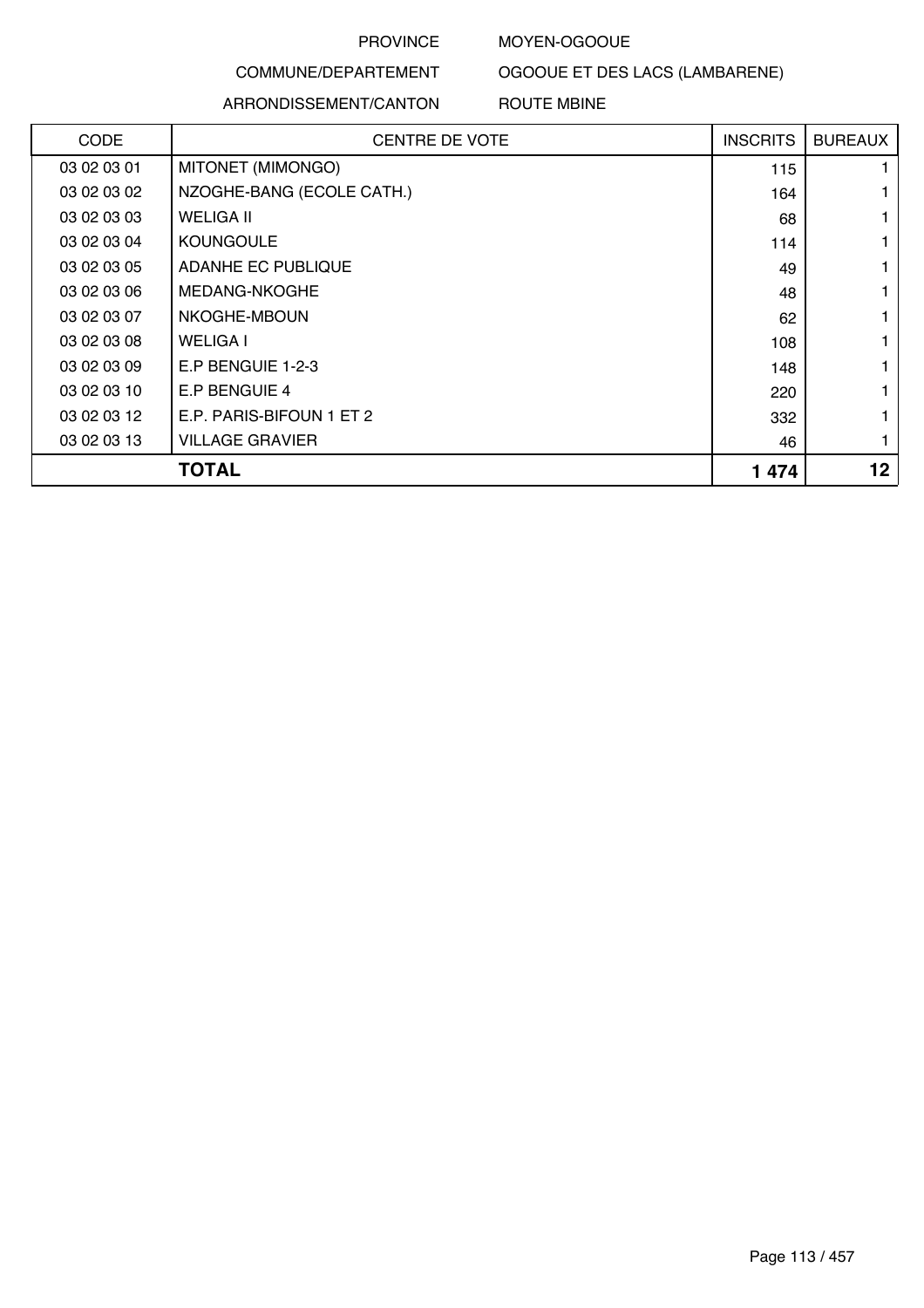#### MOYEN-OGOOUE

OGOOUE ET DES LACS (LAMBARENE)

## COMMUNE/DEPARTEMENT

#### ARRONDISSEMENT/CANTON ROUTE MBINE

| <b>CODE</b> | <b>CENTRE DE VOTE</b>     | <b>INSCRITS</b> | <b>BUREAUX</b> |
|-------------|---------------------------|-----------------|----------------|
| 03 02 03 01 | MITONET (MIMONGO)         | 115             |                |
| 03 02 03 02 | NZOGHE-BANG (ECOLE CATH.) | 164             |                |
| 03 02 03 03 | <b>WELIGA II</b>          | 68              |                |
| 03 02 03 04 | <b>KOUNGOULE</b>          | 114             |                |
| 03 02 03 05 | ADANHE EC PUBLIQUE        | 49              |                |
| 03 02 03 06 | MEDANG-NKOGHE             | 48              |                |
| 03 02 03 07 | NKOGHE-MBOUN              | 62              |                |
| 03 02 03 08 | <b>WELIGA I</b>           | 108             |                |
| 03 02 03 09 | E.P BENGUIE 1-2-3         | 148             |                |
| 03 02 03 10 | E.P BENGUIE 4             | 220             |                |
| 03 02 03 12 | E.P. PARIS-BIFOUN 1 ET 2  | 332             |                |
| 03 02 03 13 | <b>VILLAGE GRAVIER</b>    | 46              |                |
|             | <b>TOTAL</b>              | 1 4 7 4         | $12 \,$        |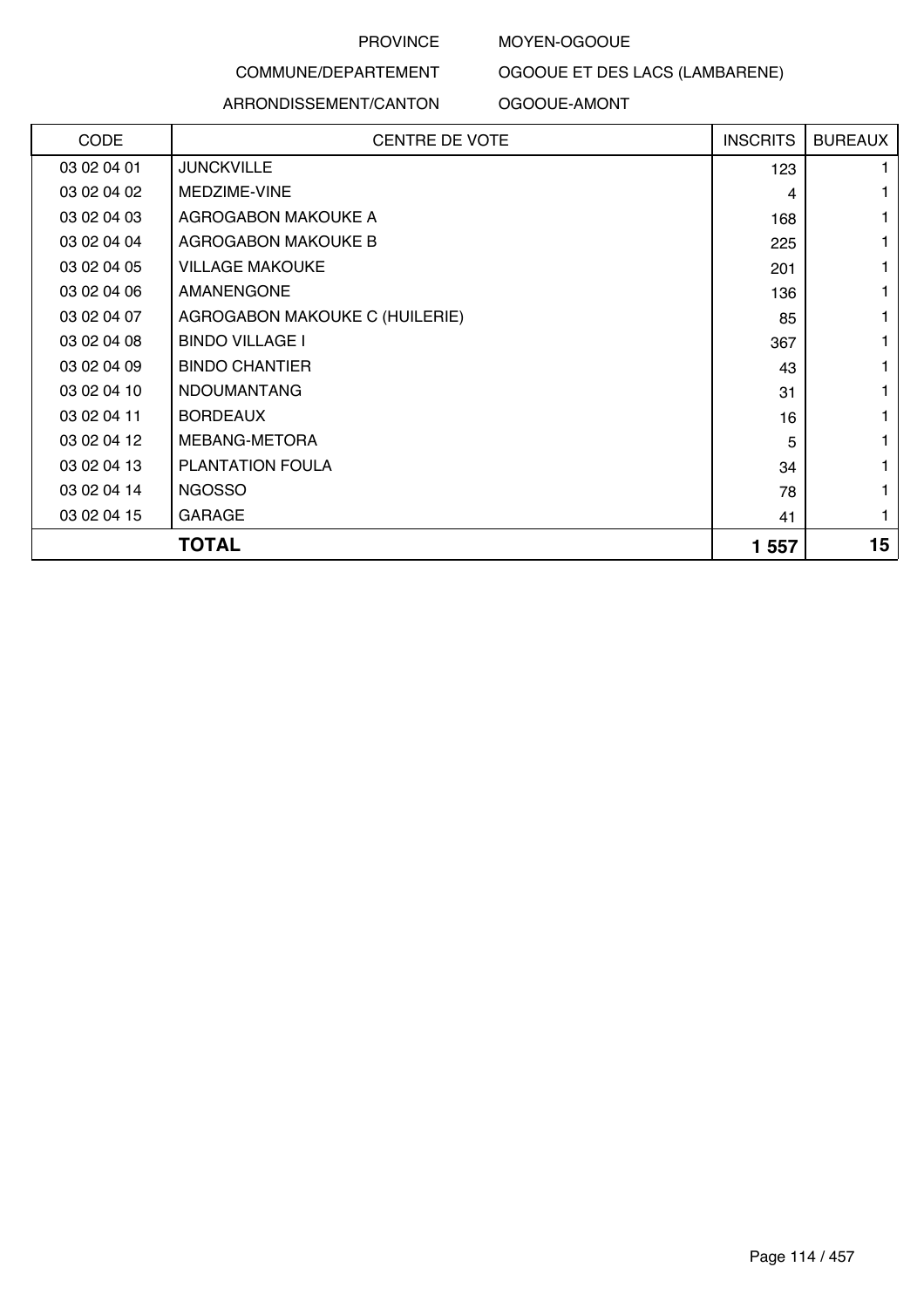#### MOYEN-OGOOUE

#### COMMUNE/DEPARTEMENT

#### ARRONDISSEMENT/CANTON

OGOOUE ET DES LACS (LAMBARENE)

#### OGOOUE-AMONT

| CODE        | <b>CENTRE DE VOTE</b>          | <b>INSCRITS</b> | <b>BUREAUX</b> |
|-------------|--------------------------------|-----------------|----------------|
| 03 02 04 01 | <b>JUNCKVILLE</b>              | 123             |                |
| 03 02 04 02 | MEDZIME-VINE                   | 4               |                |
| 03 02 04 03 | AGROGABON MAKOUKE A            | 168             |                |
| 03 02 04 04 | <b>AGROGABON MAKOUKE B</b>     | 225             |                |
| 03 02 04 05 | <b>VILLAGE MAKOUKE</b>         | 201             |                |
| 03 02 04 06 | <b>AMANENGONE</b>              | 136             |                |
| 03 02 04 07 | AGROGABON MAKOUKE C (HUILERIE) | 85              |                |
| 03 02 04 08 | <b>BINDO VILLAGE I</b>         | 367             |                |
| 03 02 04 09 | <b>BINDO CHANTIER</b>          | 43              |                |
| 03 02 04 10 | <b>NDOUMANTANG</b>             | 31              |                |
| 03 02 04 11 | <b>BORDEAUX</b>                | 16              |                |
| 03 02 04 12 | MEBANG-METORA                  | 5               |                |
| 03 02 04 13 | <b>PLANTATION FOULA</b>        | 34              |                |
| 03 02 04 14 | <b>NGOSSO</b>                  | 78              |                |
| 03 02 04 15 | <b>GARAGE</b>                  | 41              |                |
|             | <b>TOTAL</b>                   | 1 557           | 15             |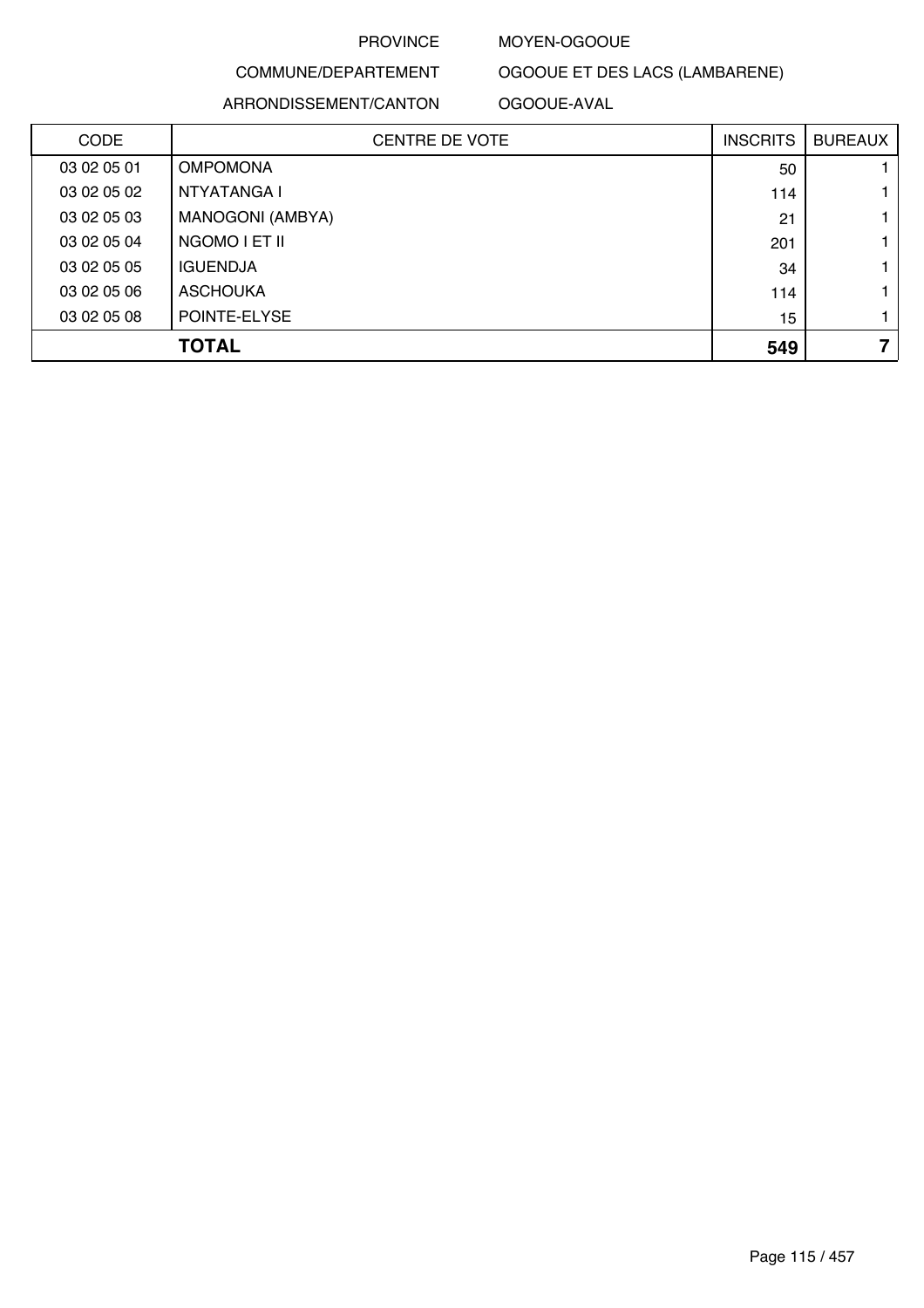#### MOYEN-OGOOUE

## COMMUNE/DEPARTEMENT ARRONDISSEMENT/CANTON

OGOOUE ET DES LACS (LAMBARENE) OGOOUE-AVAL

| <b>CODE</b> | <b>CENTRE DE VOTE</b> | <b>INSCRITS</b> | <b>BUREAUX</b> |
|-------------|-----------------------|-----------------|----------------|
| 03 02 05 01 | <b>OMPOMONA</b>       | 50              |                |
| 03 02 05 02 | NTYATANGA I           | 114             |                |
| 03 02 05 03 | MANOGONI (AMBYA)      | 21              |                |
| 03 02 05 04 | NGOMO LET IL          | 201             |                |
| 03 02 05 05 | <b>IGUENDJA</b>       | 34              |                |
| 03 02 05 06 | <b>ASCHOUKA</b>       | 114             |                |
| 03 02 05 08 | POINTE-ELYSE          | 15              |                |
|             | <b>TOTAL</b>          | 549             | 7              |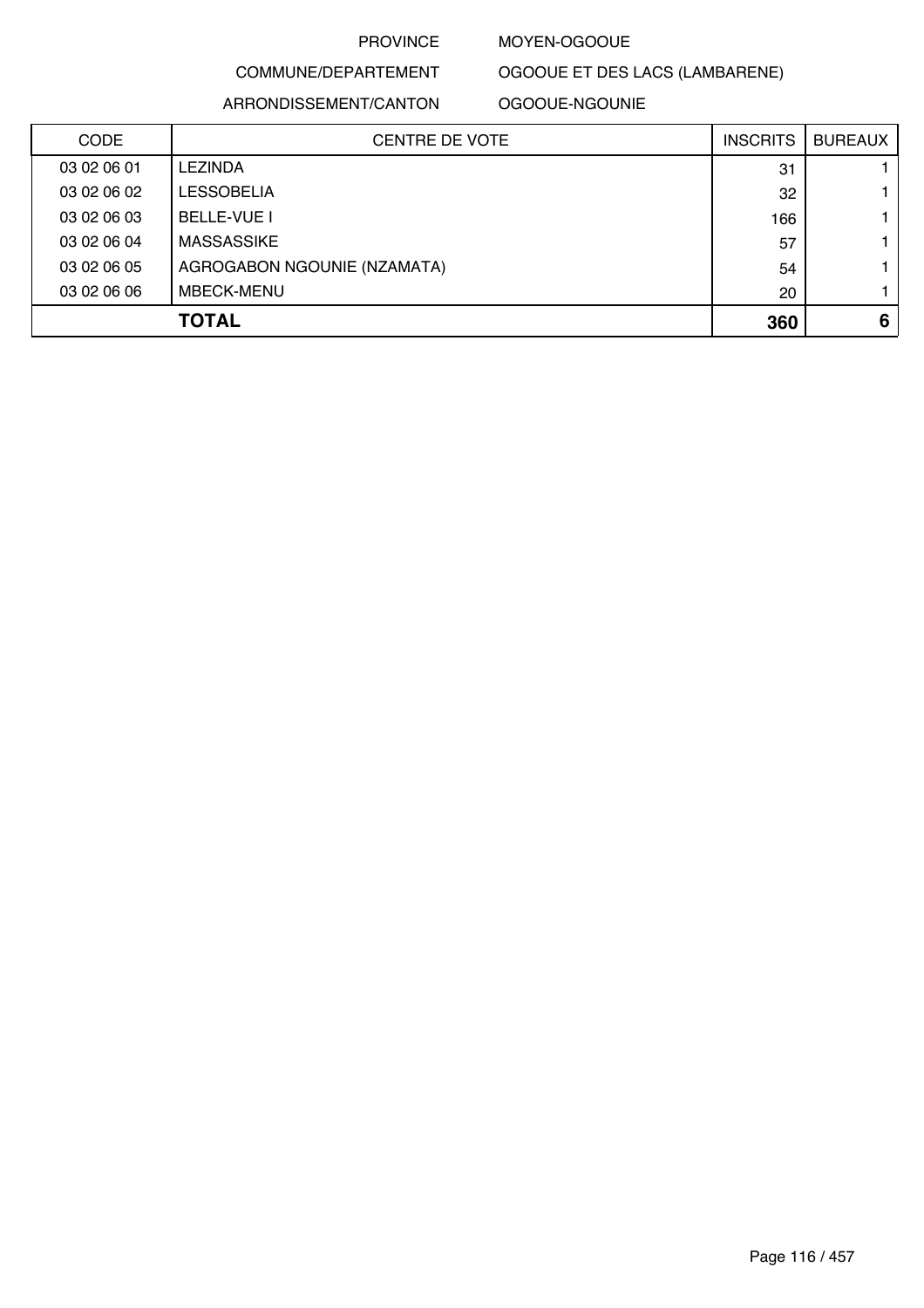#### MOYEN-OGOOUE

# COMMUNE/DEPARTEMENT

ARRONDISSEMENT/CANTON

OGOOUE-NGOUNIE

OGOOUE ET DES LACS (LAMBARENE)

| <b>CODE</b> | <b>CENTRE DE VOTE</b>       | <b>INSCRITS</b> | <b>BUREAUX</b> |
|-------------|-----------------------------|-----------------|----------------|
| 03 02 06 01 | <b>LEZINDA</b>              | 31              |                |
| 03 02 06 02 | <b>LESSOBELIA</b>           | 32              |                |
| 03 02 06 03 | <b>BELLE-VUE I</b>          | 166             |                |
| 03 02 06 04 | <b>MASSASSIKE</b>           | 57              |                |
| 03 02 06 05 | AGROGABON NGOUNIE (NZAMATA) | 54              |                |
| 03 02 06 06 | <b>MBECK-MENU</b>           | 20              |                |
|             | <b>TOTAL</b>                | 360             | 6              |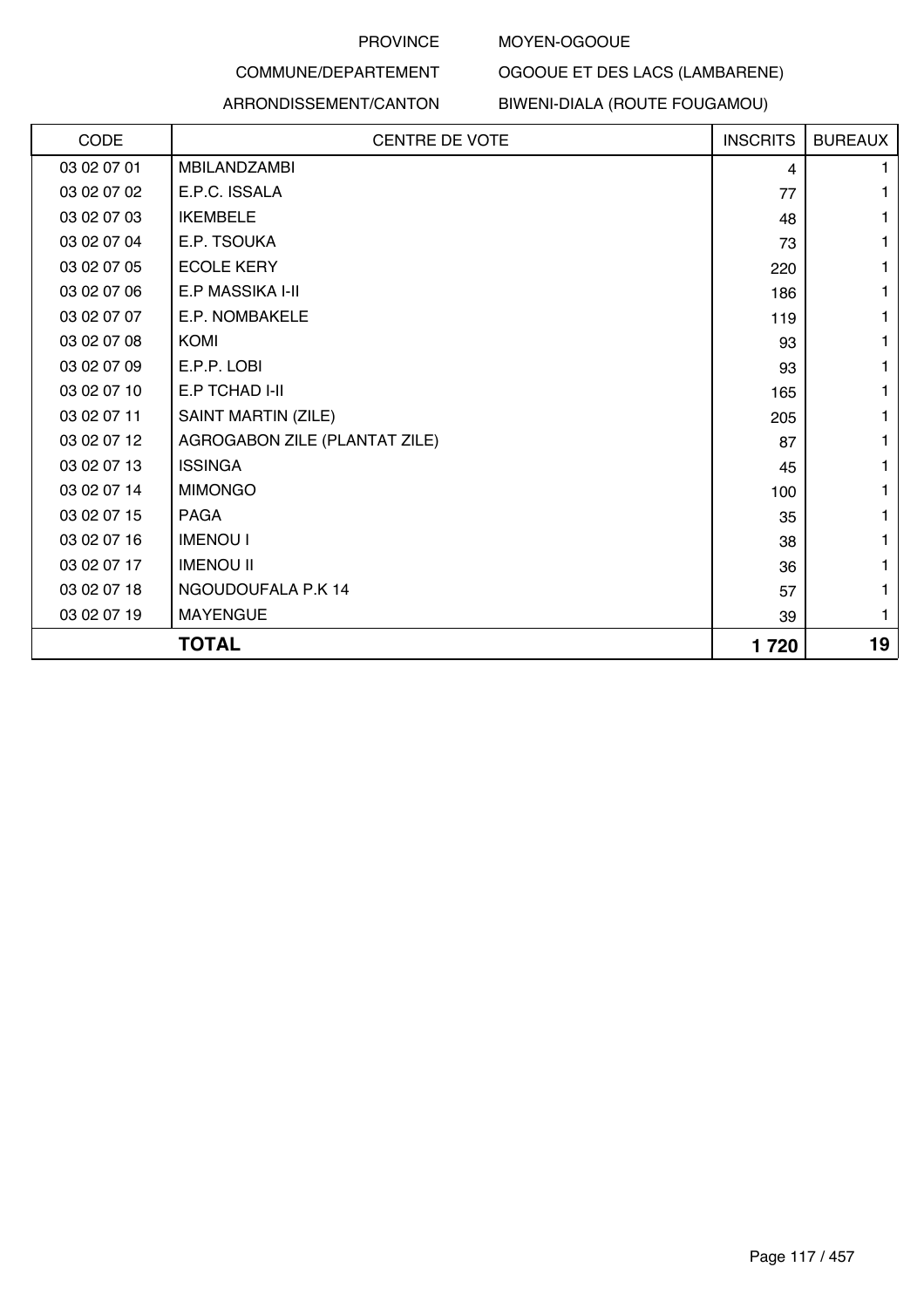#### MOYEN-OGOOUE

OGOOUE ET DES LACS (LAMBARENE)

# COMMUNE/DEPARTEMENT

#### ARRONDISSEMENT/CANTON BIWENI-DIALA (ROUTE FOUGAMOU)

| CODE        | <b>CENTRE DE VOTE</b>         | <b>INSCRITS</b> | <b>BUREAUX</b> |
|-------------|-------------------------------|-----------------|----------------|
| 03 02 07 01 | <b>MBILANDZAMBI</b>           | 4               |                |
| 03 02 07 02 | E.P.C. ISSALA                 | 77              |                |
| 03 02 07 03 | <b>IKEMBELE</b>               | 48              |                |
| 03 02 07 04 | E.P. TSOUKA                   | 73              |                |
| 03 02 07 05 | <b>ECOLE KERY</b>             | 220             |                |
| 03 02 07 06 | E.P MASSIKA I-II              | 186             |                |
| 03 02 07 07 | E.P. NOMBAKELE                | 119             |                |
| 03 02 07 08 | <b>KOMI</b>                   | 93              |                |
| 03 02 07 09 | E.P.P. LOBI                   | 93              |                |
| 03 02 07 10 | E.P TCHAD I-II                | 165             |                |
| 03 02 07 11 | SAINT MARTIN (ZILE)           | 205             |                |
| 03 02 07 12 | AGROGABON ZILE (PLANTAT ZILE) | 87              |                |
| 03 02 07 13 | <b>ISSINGA</b>                | 45              |                |
| 03 02 07 14 | <b>MIMONGO</b>                | 100             |                |
| 03 02 07 15 | <b>PAGA</b>                   | 35              |                |
| 03 02 07 16 | <b>IMENOU I</b>               | 38              |                |
| 03 02 07 17 | <b>IMENOU II</b>              | 36              |                |
| 03 02 07 18 | NGOUDOUFALA P.K 14            | 57              |                |
| 03 02 07 19 | <b>MAYENGUE</b>               | 39              |                |
|             | <b>TOTAL</b>                  | 1720            | 19             |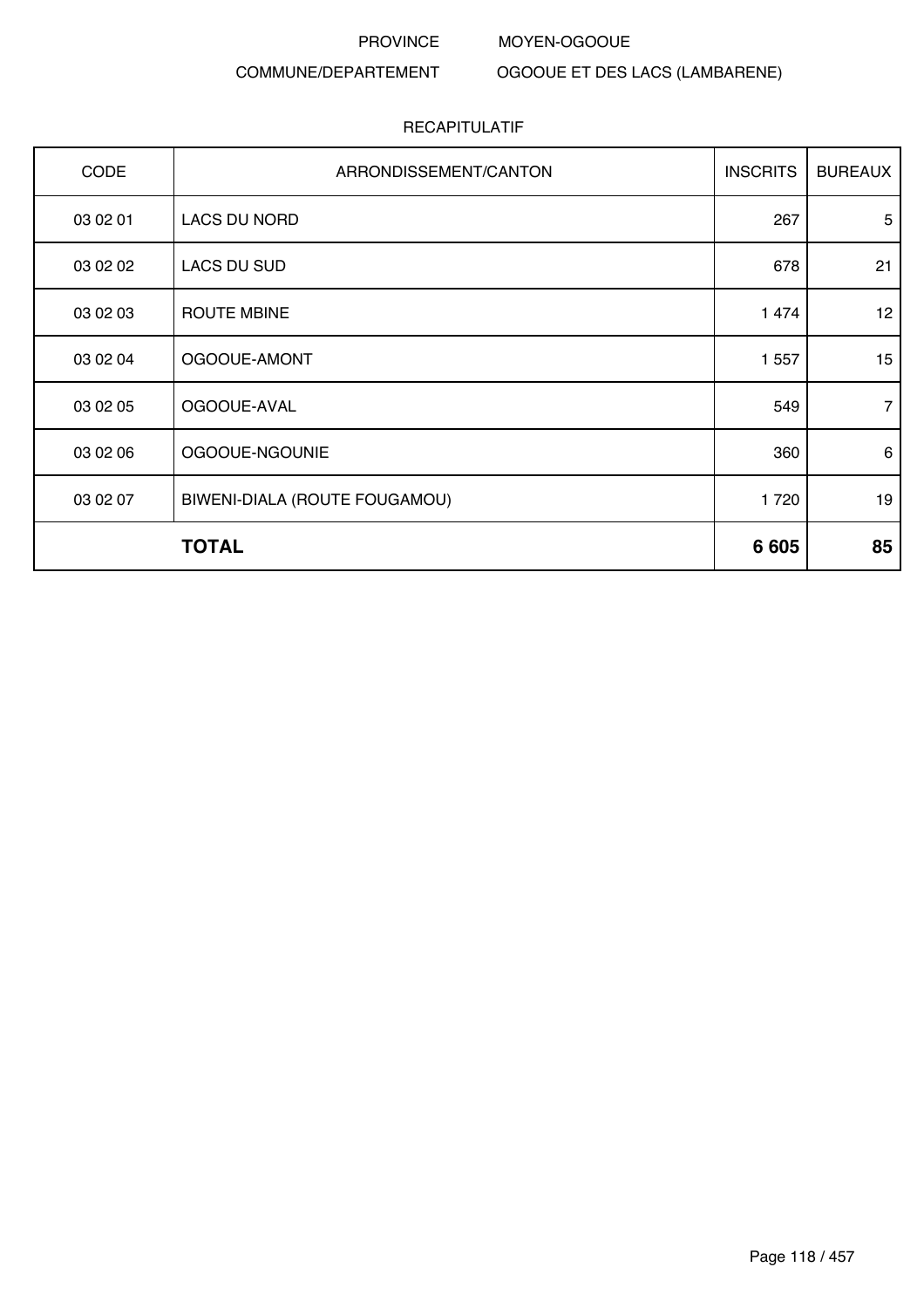## COMMUNE/DEPARTEMENT

OGOOUE ET DES LACS (LAMBARENE)

MOYEN-OGOOUE

| CODE     | ARRONDISSEMENT/CANTON         | <b>INSCRITS</b> | <b>BUREAUX</b> |
|----------|-------------------------------|-----------------|----------------|
| 03 02 01 | LACS DU NORD                  | 267             | 5              |
| 03 02 02 | <b>LACS DU SUD</b>            | 678             | 21             |
| 03 02 03 | <b>ROUTE MBINE</b>            | 1 474           | 12             |
| 03 02 04 | OGOOUE-AMONT                  | 1 5 5 7         | 15             |
| 03 02 05 | OGOOUE-AVAL                   | 549             | 7              |
| 03 02 06 | OGOOUE-NGOUNIE                | 360             | 6              |
| 03 02 07 | BIWENI-DIALA (ROUTE FOUGAMOU) | 1720            | 19             |
|          | <b>TOTAL</b>                  | 6 6 0 5         | 85             |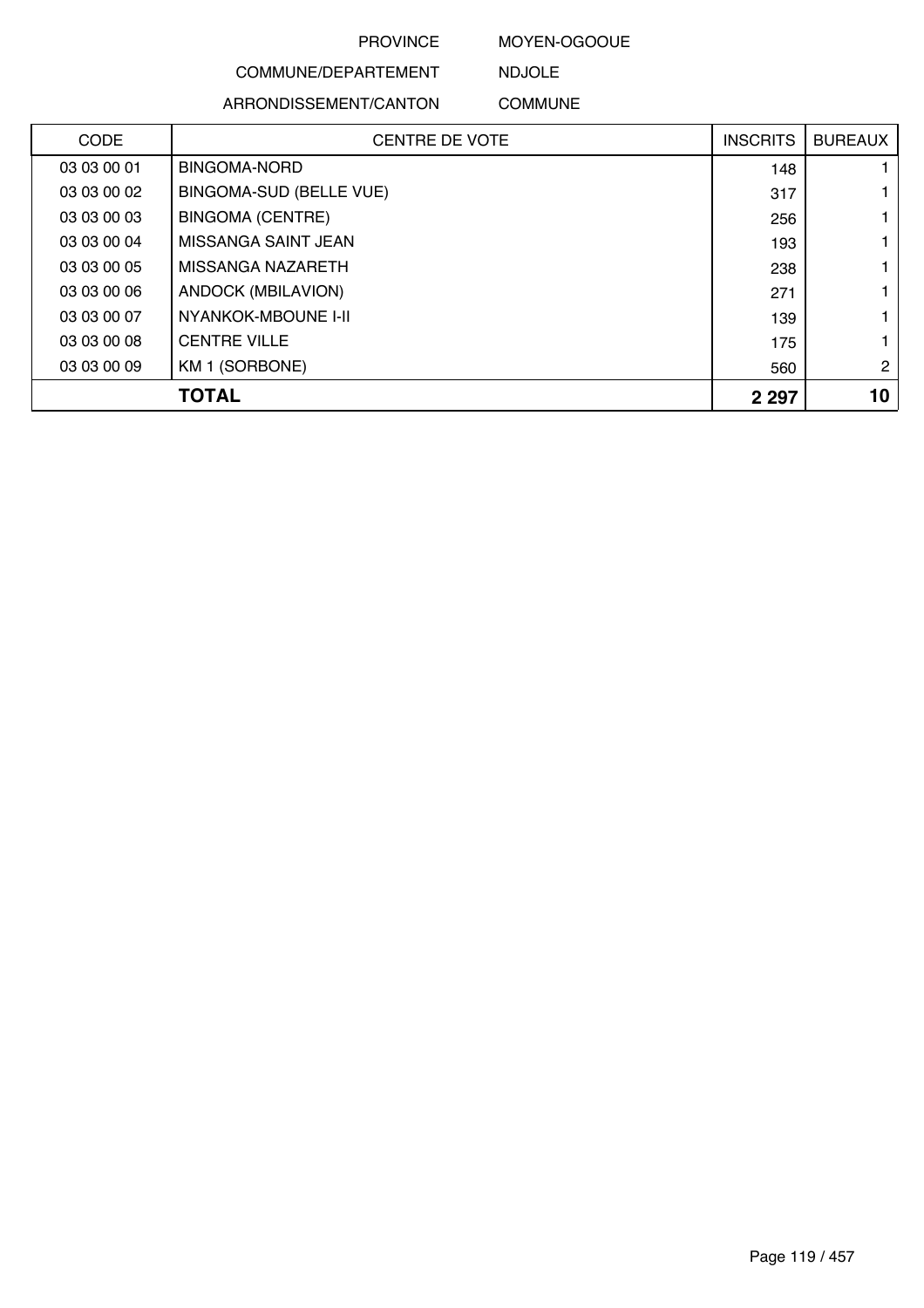#### MOYEN-OGOOUE

NDJOLE

### COMMUNE/DEPARTEMENT

#### ARRONDISSEMENT/CANTON COMMUNE

| <b>CODE</b> | <b>CENTRE DE VOTE</b>          | <b>INSCRITS</b> | <b>BUREAUX</b> |
|-------------|--------------------------------|-----------------|----------------|
| 03 03 00 01 | <b>BINGOMA-NORD</b>            | 148             |                |
| 03 03 00 02 | <b>BINGOMA-SUD (BELLE VUE)</b> | 317             |                |
| 03 03 00 03 | <b>BINGOMA (CENTRE)</b>        | 256             |                |
| 03 03 00 04 | MISSANGA SAINT JEAN            | 193             |                |
| 03 03 00 05 | MISSANGA NAZARETH              | 238             |                |
| 03 03 00 06 | ANDOCK (MBILAVION)             | 271             |                |
| 03 03 00 07 | NYANKOK-MBOUNE I-II            | 139             |                |
| 03 03 00 08 | <b>CENTRE VILLE</b>            | 175             |                |
| 03 03 00 09 | KM 1 (SORBONE)                 | 560             | $\overline{2}$ |
|             | <b>TOTAL</b>                   | 2 2 9 7         | 10             |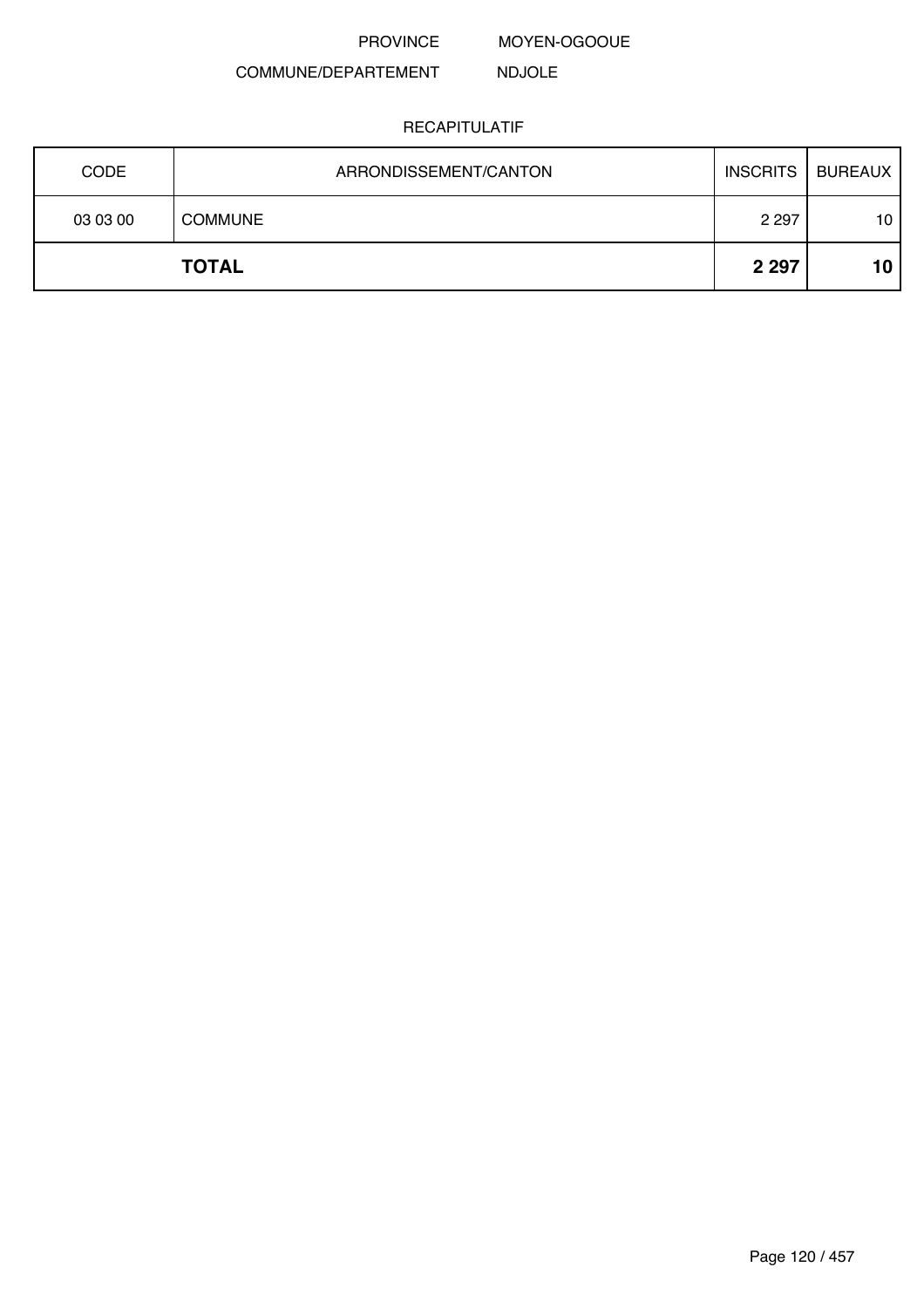MOYEN-OGOOUE

#### COMMUNE/DEPARTEMENT NDJOLE

| <b>CODE</b> | ARRONDISSEMENT/CANTON | <b>INSCRITS</b> | <b>BUREAUX</b>  |
|-------------|-----------------------|-----------------|-----------------|
| 03 03 00    | <b>COMMUNE</b>        | 2 2 9 7         | 10              |
|             | <b>TOTAL</b>          | 2 2 9 7         | 10 <sup>°</sup> |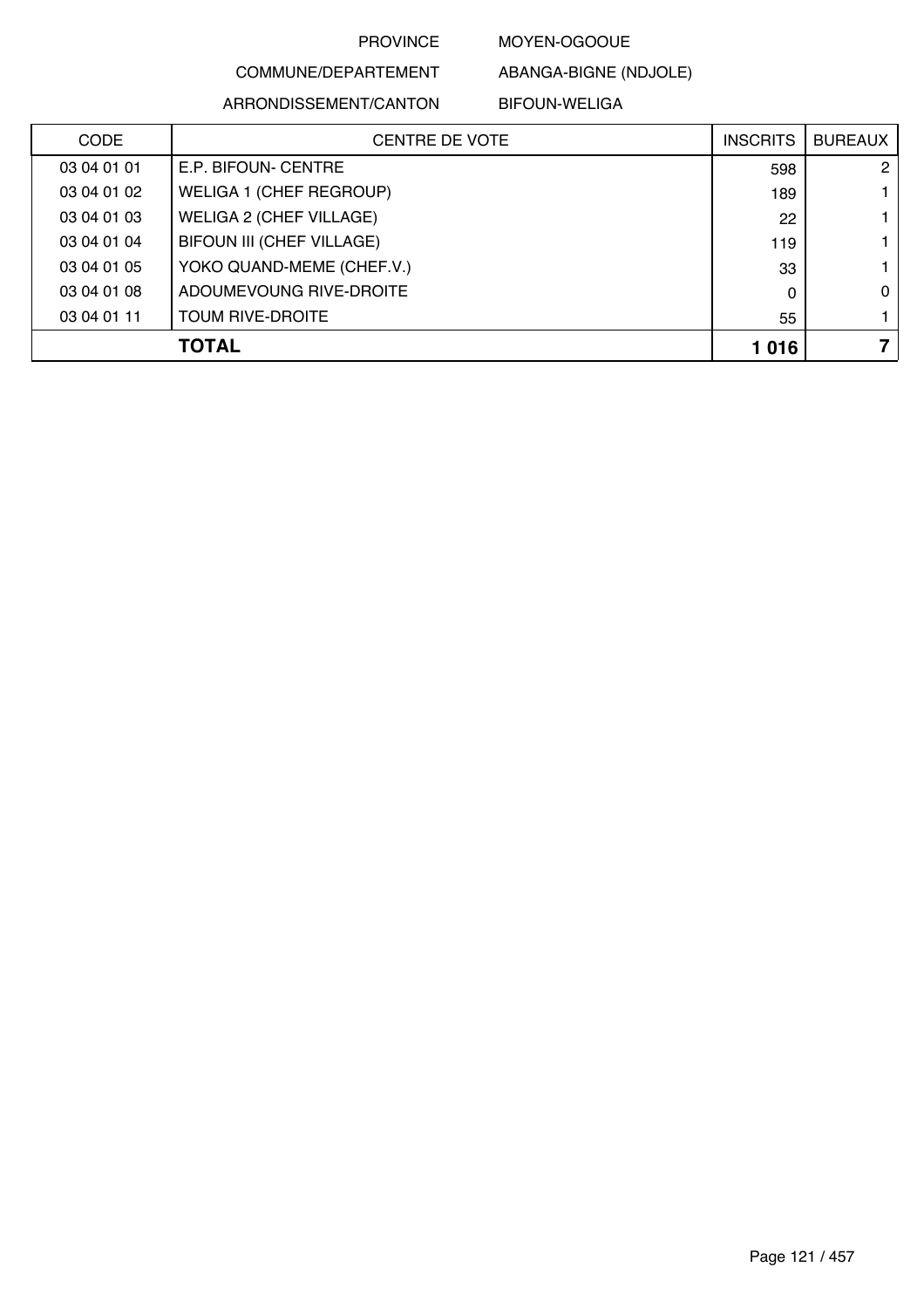MOYEN-OGOOUE

COMMUNE/DEPARTEMENT ARRONDISSEMENT/CANTON

BIFOUN-WELIGA

ABANGA-BIGNE (NDJOLE)

| <b>CODE</b> | <b>CENTRE DE VOTE</b>          | <b>INSCRITS</b> | <b>BUREAUX</b> |
|-------------|--------------------------------|-----------------|----------------|
| 03 04 01 01 | E.P. BIFOUN- CENTRE            | 598             | $\mathbf{2}$   |
| 03 04 01 02 | WELIGA 1 (CHEF REGROUP)        | 189             |                |
| 03 04 01 03 | <b>WELIGA 2 (CHEF VILLAGE)</b> | 22              |                |
| 03 04 01 04 | BIFOUN III (CHEF VILLAGE)      | 119             |                |
| 03 04 01 05 | YOKO QUAND-MEME (CHEF.V.)      | 33              |                |
| 03 04 01 08 | ADOUMEVOUNG RIVE-DROITE        | $\Omega$        | $\Omega$       |
| 03 04 01 11 | <b>TOUM RIVE-DROITE</b>        | 55              |                |
|             | <b>TOTAL</b>                   | 1016            |                |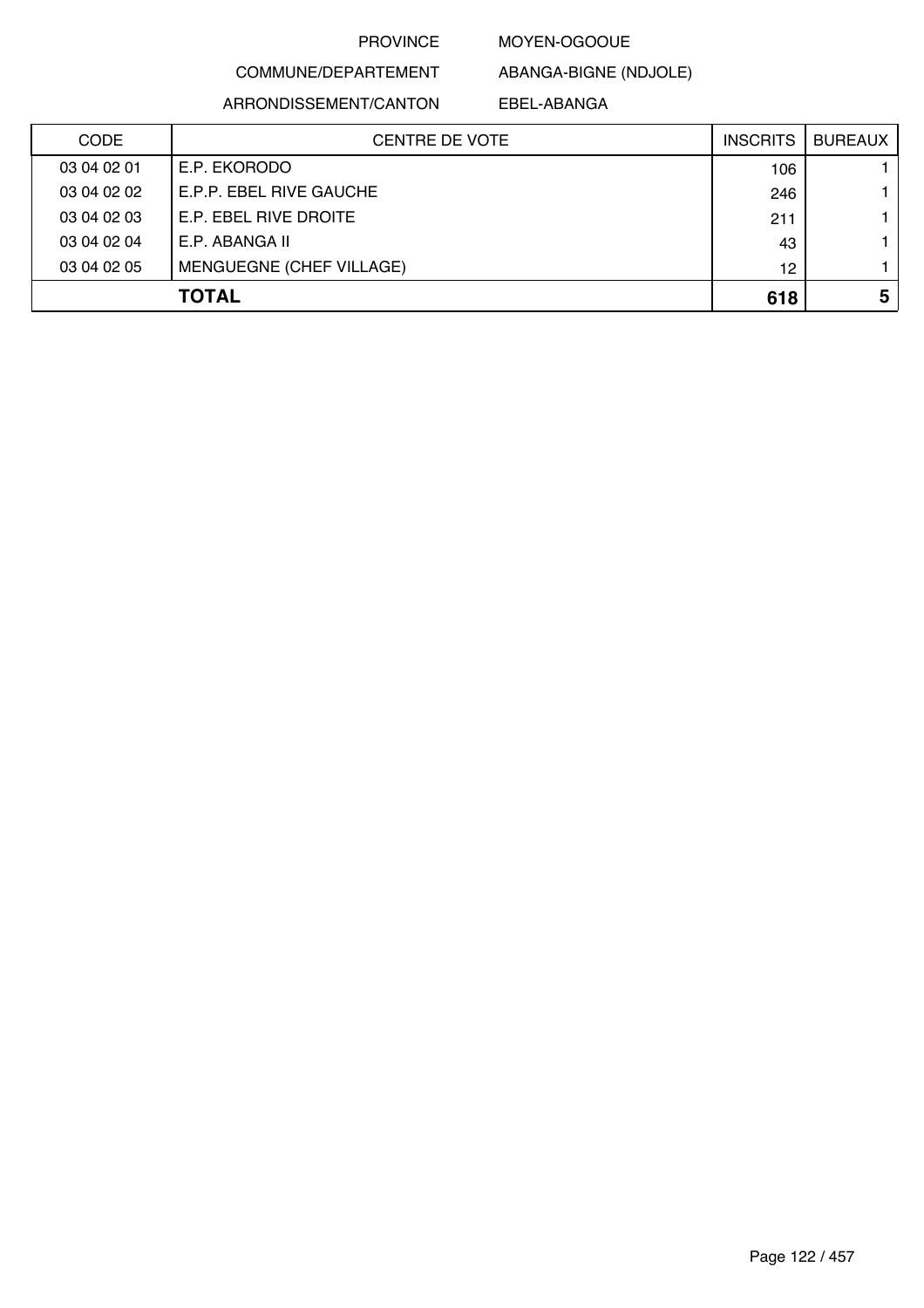#### MOYEN-OGOOUE

COMMUNE/DEPARTEMENT

ARRONDISSEMENT/CANTON

ABANGA-BIGNE (NDJOLE) EBEL-ABANGA

| <b>CODE</b> | <b>CENTRE DE VOTE</b>           | <b>INSCRITS</b> | <b>BUREAUX</b> |
|-------------|---------------------------------|-----------------|----------------|
| 03 04 02 01 | E.P. EKORODO                    | 106             |                |
| 03 04 02 02 | E.P.P. EBEL RIVE GAUCHE         | 246             |                |
| 03 04 02 03 | E.P. EBEL RIVE DROITE           | 211             |                |
| 03 04 02 04 | E.P. ABANGA II                  | 43              |                |
| 03 04 02 05 | <b>MENGUEGNE (CHEF VILLAGE)</b> | 12              |                |
|             | <b>TOTAL</b>                    | 618             | 5              |
|             |                                 |                 |                |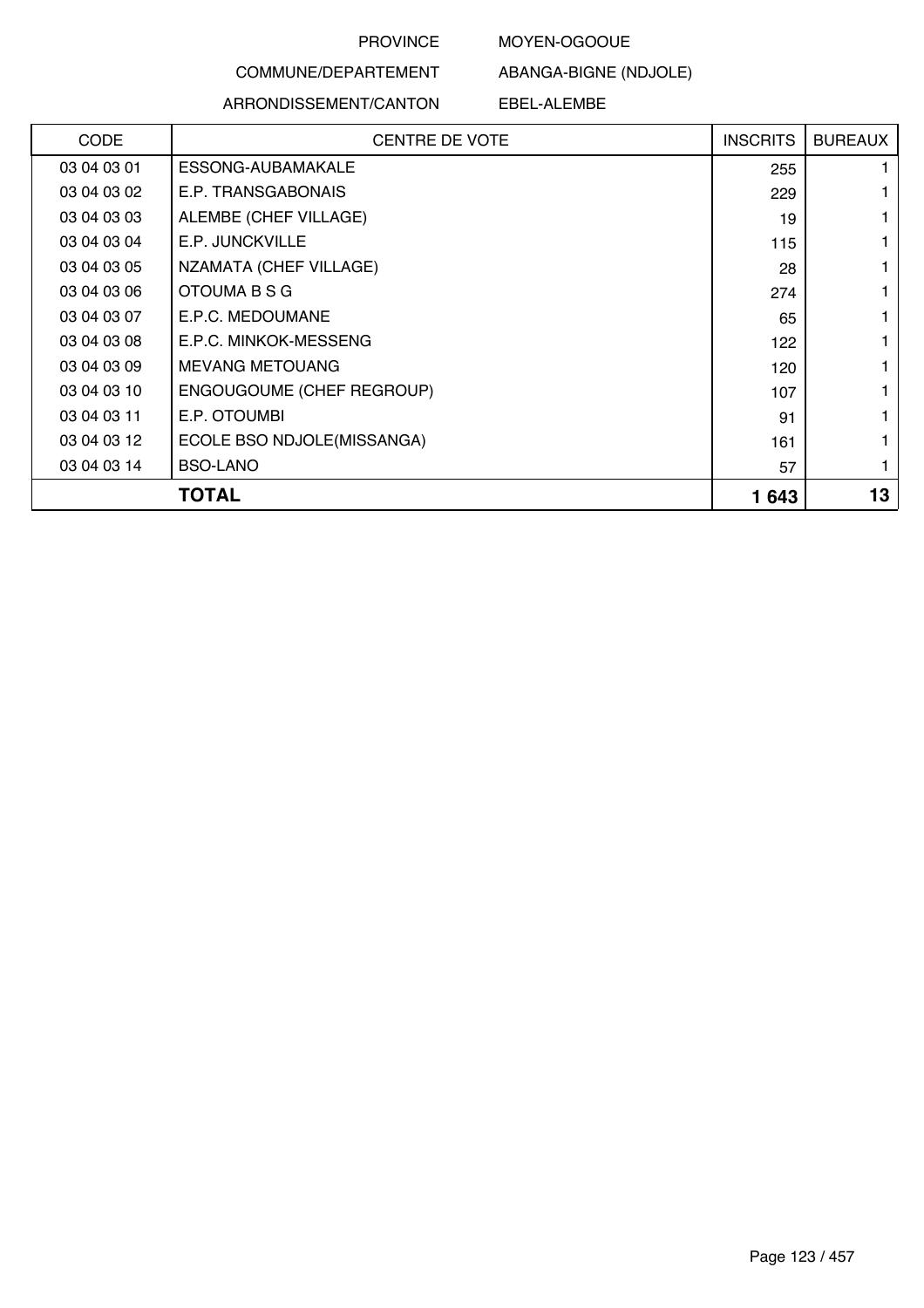#### MOYEN-OGOOUE

ABANGA-BIGNE (NDJOLE)

#### COMMUNE/DEPARTEMENT

#### ARRONDISSEMENT/CANTON

EBEL-ALEMBE

| <b>CODE</b> | <b>CENTRE DE VOTE</b>      | <b>INSCRITS</b> | <b>BUREAUX</b> |
|-------------|----------------------------|-----------------|----------------|
| 03 04 03 01 | ESSONG-AUBAMAKALE          | 255             |                |
| 03 04 03 02 | E.P. TRANSGABONAIS         | 229             |                |
| 03 04 03 03 | ALEMBE (CHEF VILLAGE)      | 19              |                |
| 03 04 03 04 | E.P. JUNCKVILLE            | 115             |                |
| 03 04 03 05 | NZAMATA (CHEF VILLAGE)     | 28              |                |
| 03 04 03 06 | OTOUMA B S G               | 274             |                |
| 03 04 03 07 | E.P.C. MEDOUMANE           | 65              |                |
| 03 04 03 08 | E.P.C. MINKOK-MESSENG      | 122             |                |
| 03 04 03 09 | <b>MEVANG METOUANG</b>     | 120             |                |
| 03 04 03 10 | ENGOUGOUME (CHEF REGROUP)  | 107             |                |
| 03 04 03 11 | E.P. OTOUMBI               | 91              |                |
| 03 04 03 12 | ECOLE BSO NDJOLE(MISSANGA) | 161             |                |
| 03 04 03 14 | <b>BSO-LANO</b>            | 57              |                |
|             | <b>TOTAL</b>               | 1643            | 13             |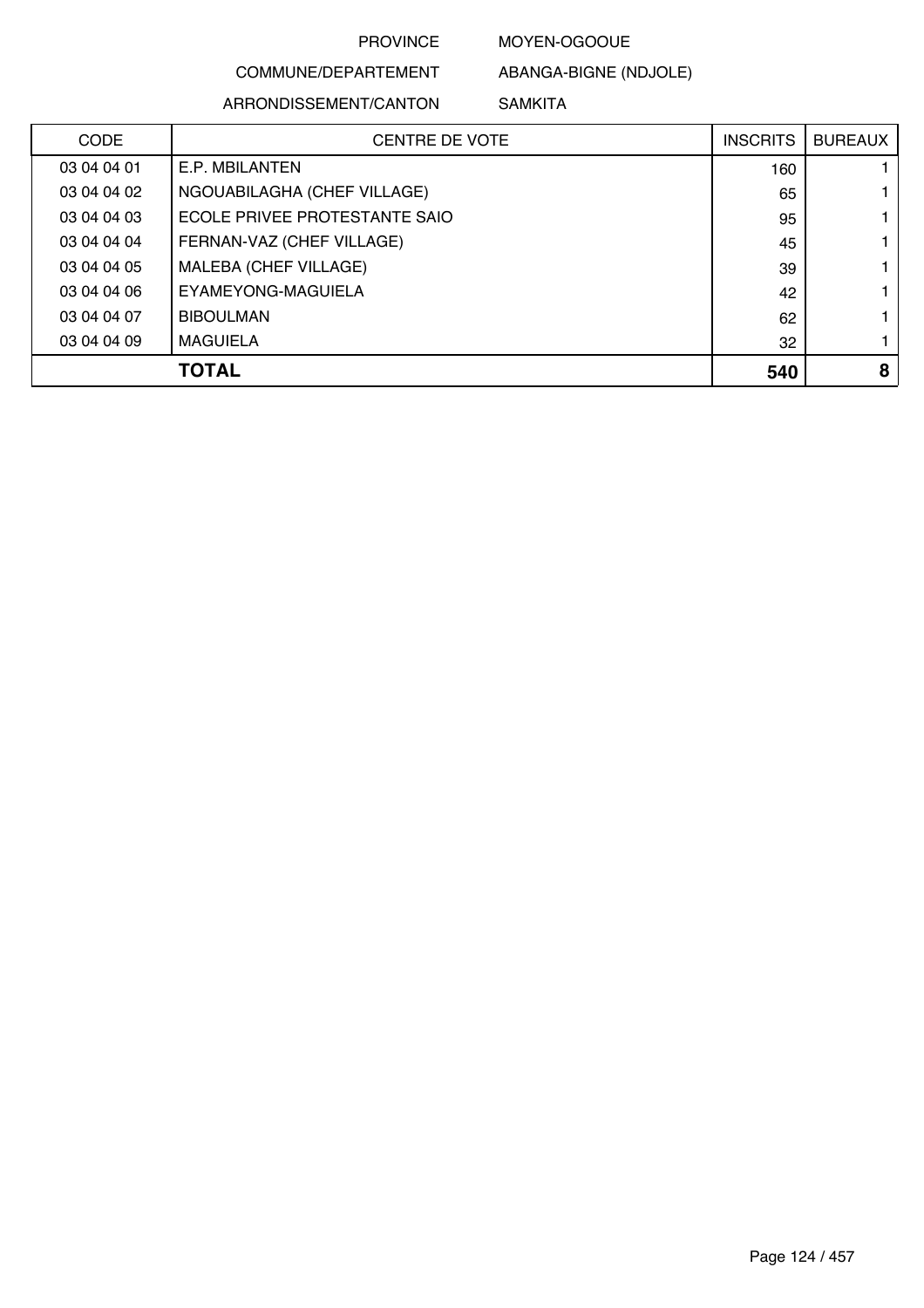MOYEN-OGOOUE

## COMMUNE/DEPARTEMENT ARRONDISSEMENT/CANTON

ABANGA-BIGNE (NDJOLE) SAMKITA

| <b>CODE</b> | <b>CENTRE DE VOTE</b>         | <b>INSCRITS</b> | <b>BUREAUX</b> |
|-------------|-------------------------------|-----------------|----------------|
| 03 04 04 01 | E.P. MBILANTEN                | 160             |                |
| 03 04 04 02 | NGOUABILAGHA (CHEF VILLAGE)   | 65              |                |
| 03 04 04 03 | ECOLE PRIVEE PROTESTANTE SAIO | 95              |                |
| 03 04 04 04 | FERNAN-VAZ (CHEF VILLAGE)     | 45              |                |
| 03 04 04 05 | MALEBA (CHEF VILLAGE)         | 39              |                |
| 03 04 04 06 | EYAMEYONG-MAGUIELA            | 42              |                |
| 03 04 04 07 | <b>BIBOULMAN</b>              | 62              |                |
| 03 04 04 09 | <b>MAGUIELA</b>               | 32              |                |
|             | <b>TOTAL</b>                  | 540             | 8              |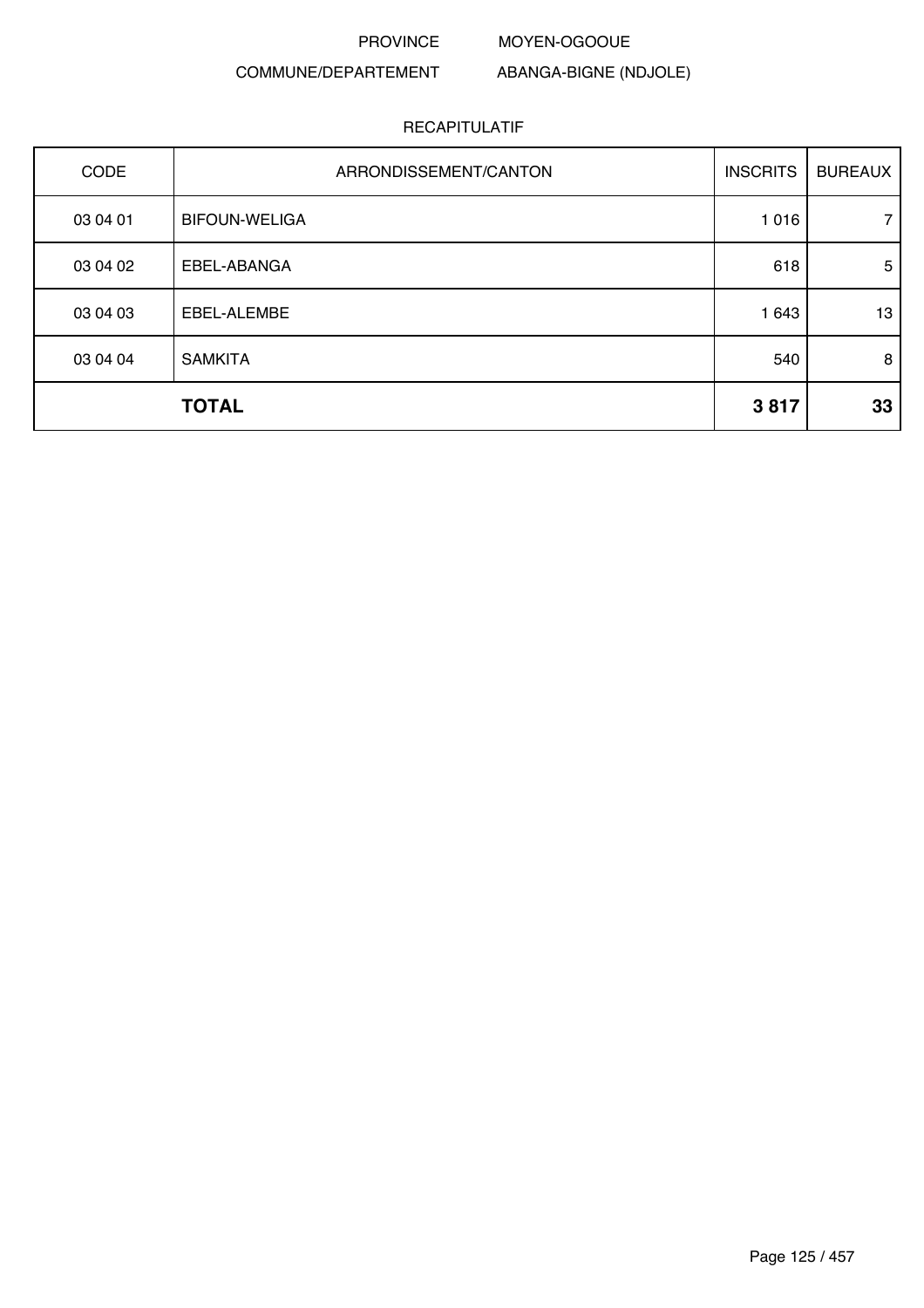MOYEN-OGOOUE

### COMMUNE/DEPARTEMENT

ABANGA-BIGNE (NDJOLE)

| <b>CODE</b> | ARRONDISSEMENT/CANTON | <b>INSCRITS</b> | <b>BUREAUX</b>  |
|-------------|-----------------------|-----------------|-----------------|
| 03 04 01    | <b>BIFOUN-WELIGA</b>  | 1016            | 7               |
| 03 04 02    | EBEL-ABANGA           | 618             | $5\phantom{.0}$ |
| 03 04 03    | EBEL-ALEMBE           | 1 643           | 13              |
| 03 04 04    | <b>SAMKITA</b>        | 540             | 8               |
|             | <b>TOTAL</b>          | 3817            | 33              |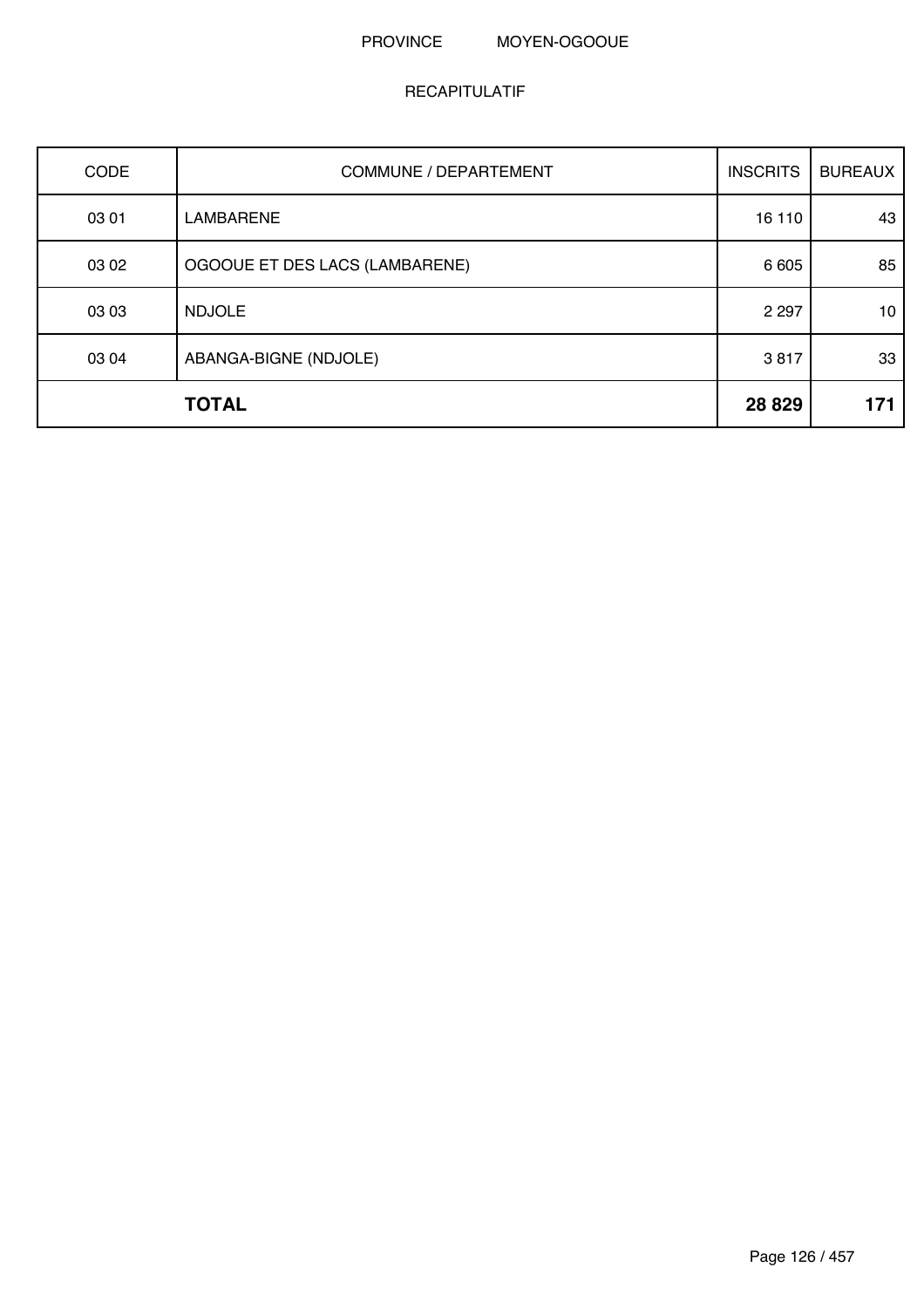#### PROVINCE MOYEN-OGOOUE

| CODE  | <b>COMMUNE / DEPARTEMENT</b>   | <b>INSCRITS</b> | <b>BUREAUX</b> |
|-------|--------------------------------|-----------------|----------------|
| 03 01 | <b>LAMBARENE</b>               | 16 110          | 43             |
| 03 02 | OGOOUE ET DES LACS (LAMBARENE) | 6 6 0 5         | 85             |
| 03 03 | <b>NDJOLE</b>                  | 2 2 9 7         | 10             |
| 03 04 | ABANGA-BIGNE (NDJOLE)          | 3817            | 33             |
|       | <b>TOTAL</b>                   | 28 8 29         | 171            |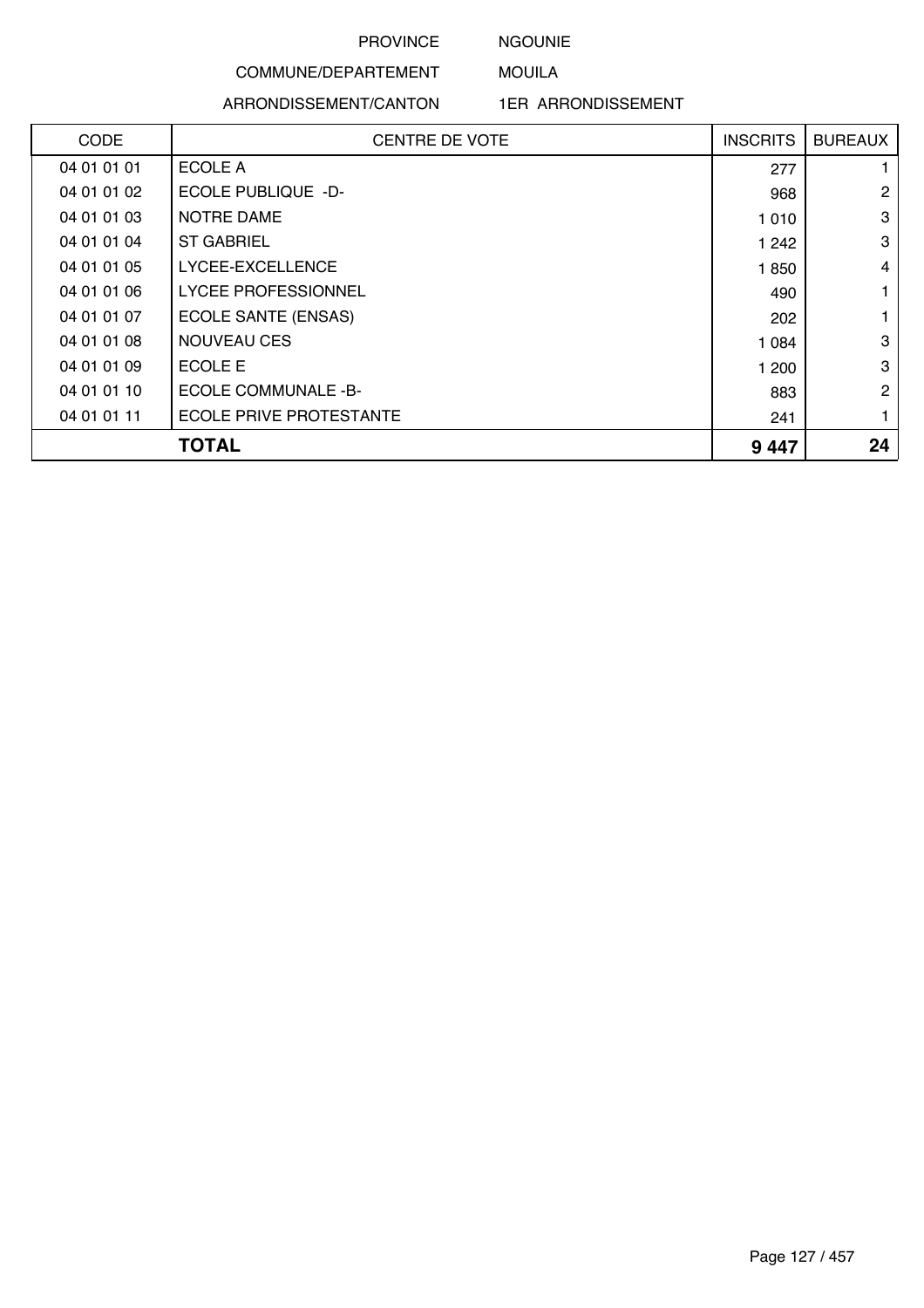## NGOUNIE MOUILA

#### COMMUNE/DEPARTEMENT

#### ARRONDISSEMENT/CANTON

1ER ARRONDISSEMENT

| CODE        | <b>CENTRE DE VOTE</b>          | <b>INSCRITS</b> | <b>BUREAUX</b> |
|-------------|--------------------------------|-----------------|----------------|
| 04 01 01 01 | ECOLE A                        | 277             | 1.             |
| 04 01 01 02 | <b>ECOLE PUBLIQUE -D-</b>      | 968             | $\overline{2}$ |
| 04 01 01 03 | <b>NOTRE DAME</b>              | 1 0 1 0         | 3              |
| 04 01 01 04 | <b>ST GABRIEL</b>              | 1 242           | 3              |
| 04 01 01 05 | LYCEE-EXCELLENCE               | 1850            | $\overline{4}$ |
| 04 01 01 06 | LYCEE PROFESSIONNEL            | 490             | 1.             |
| 04 01 01 07 | ECOLE SANTE (ENSAS)            | 202             | 1.             |
| 04 01 01 08 | <b>NOUVEAU CES</b>             | 1 0 8 4         | 3              |
| 04 01 01 09 | ECOLE E                        | 1 200           | 3              |
| 04 01 01 10 | <b>ECOLE COMMUNALE -B-</b>     | 883             | $\overline{2}$ |
| 04 01 01 11 | <b>ECOLE PRIVE PROTESTANTE</b> | 241             | $\mathbf{1}$   |
|             | <b>TOTAL</b>                   | 9447            | 24             |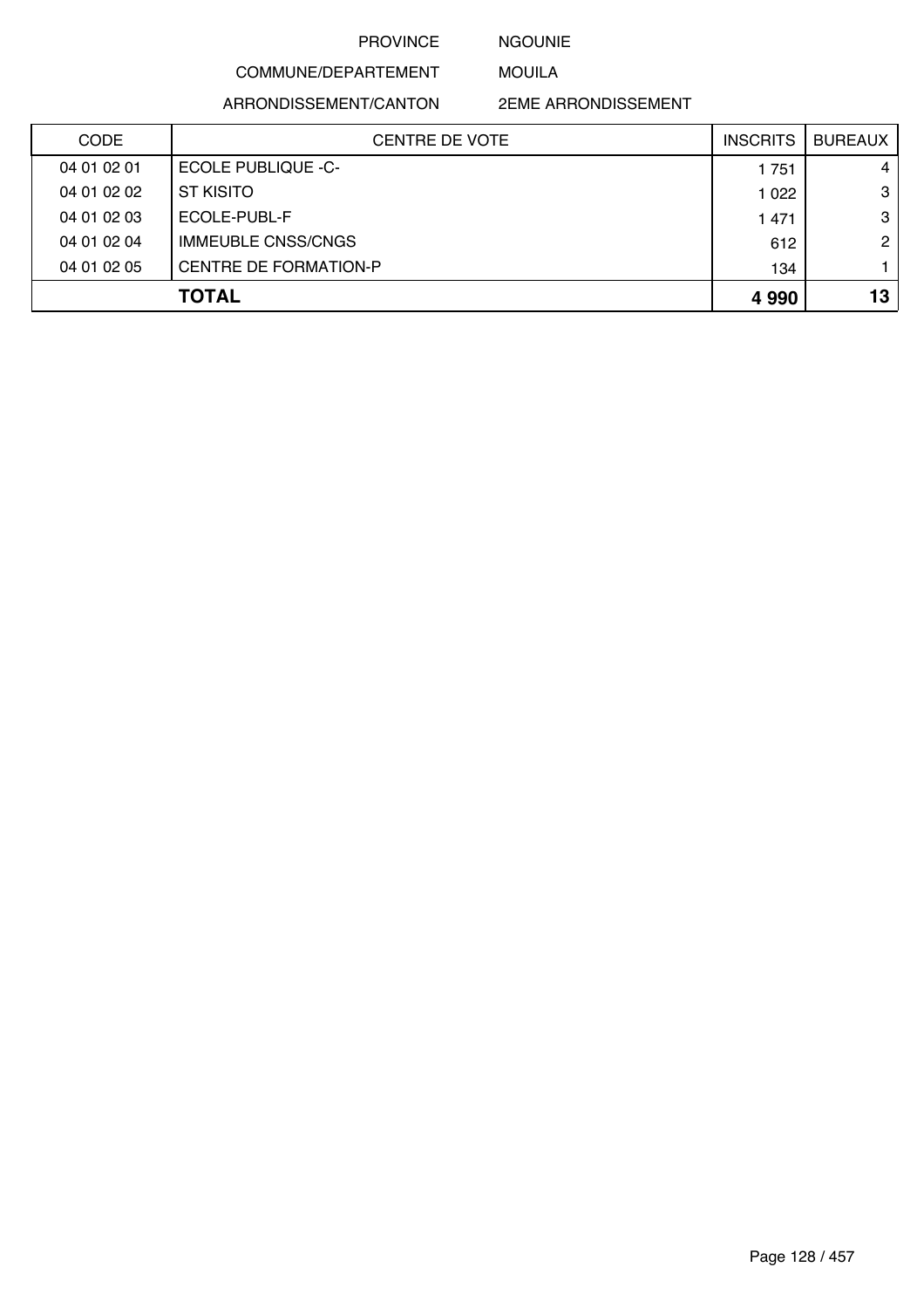#### NGOUNIE

MOUILA

COMMUNE/DEPARTEMENT

ARRONDISSEMENT/CANTON

2EME ARRONDISSEMENT

| <b>CODE</b> | <b>CENTRE DE VOTE</b>     | <b>INSCRITS</b> | <b>BUREAUX</b> |
|-------------|---------------------------|-----------------|----------------|
| 04 01 02 01 | <b>ECOLE PUBLIQUE -C-</b> | 1751            | 4              |
| 04 01 02 02 | <b>ST KISITO</b>          | 1 0 2 2         | 3              |
| 04 01 02 03 | ECOLE-PUBL-F              | 1 4 7 1         | 3              |
| 04 01 02 04 | <b>IMMEUBLE CNSS/CNGS</b> | 612             | 2 <sub>1</sub> |
| 04 01 02 05 | CENTRE DE FORMATION-P     | 134             |                |
|             | <b>TOTAL</b>              | 4 9 9 0         | 13             |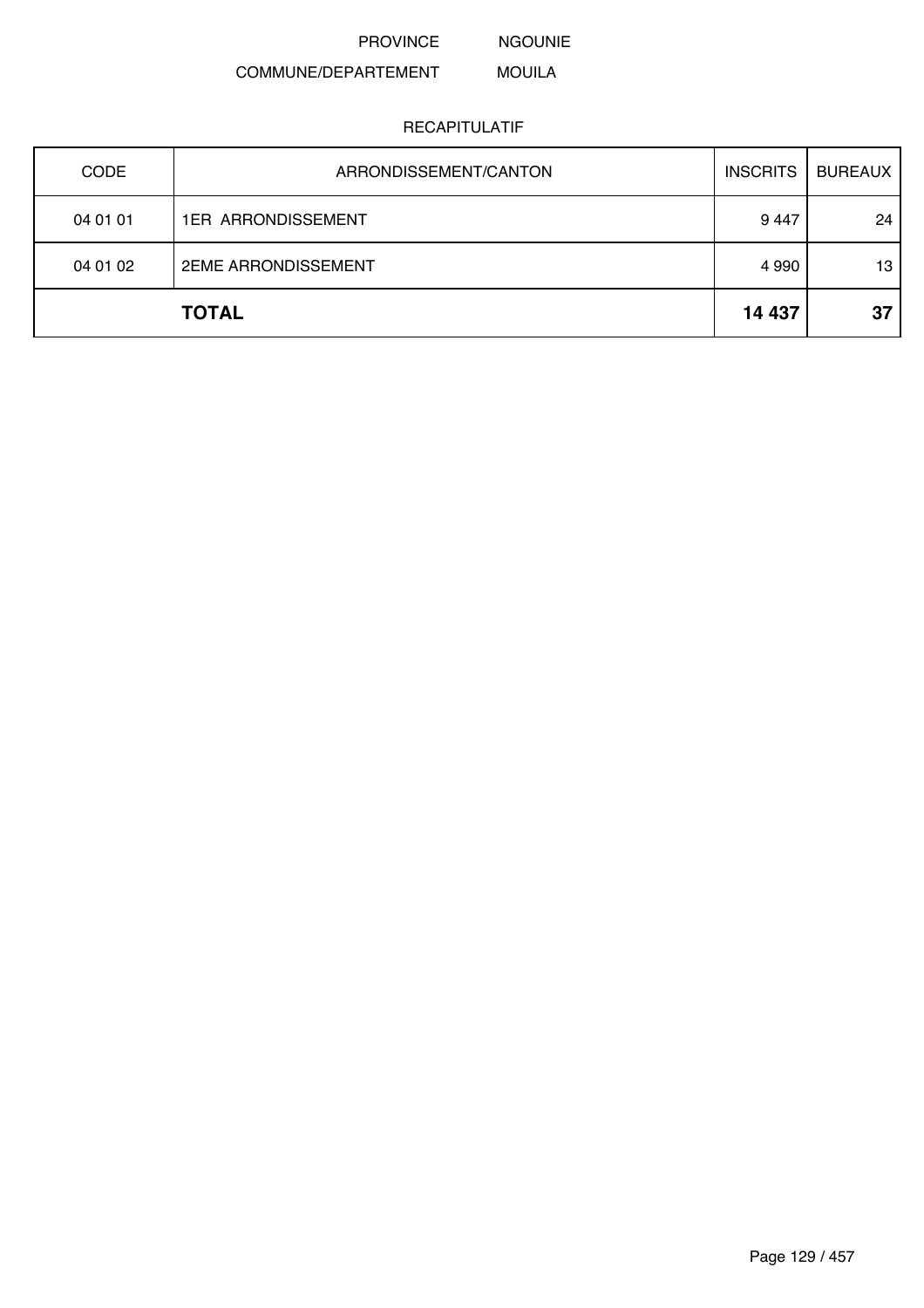NGOUNIE

#### COMMUNE/DEPARTEMENT MOUILA

| <b>CODE</b> | ARRONDISSEMENT/CANTON      | <b>INSCRITS</b> | <b>BUREAUX</b> |
|-------------|----------------------------|-----------------|----------------|
| 04 01 01    | <b>1ER ARRONDISSEMENT</b>  | 9447            | 24             |
| 04 01 02    | <b>2EME ARRONDISSEMENT</b> | 4 9 9 0         | 13             |
|             | <b>TOTAL</b>               | 14 437          | 37             |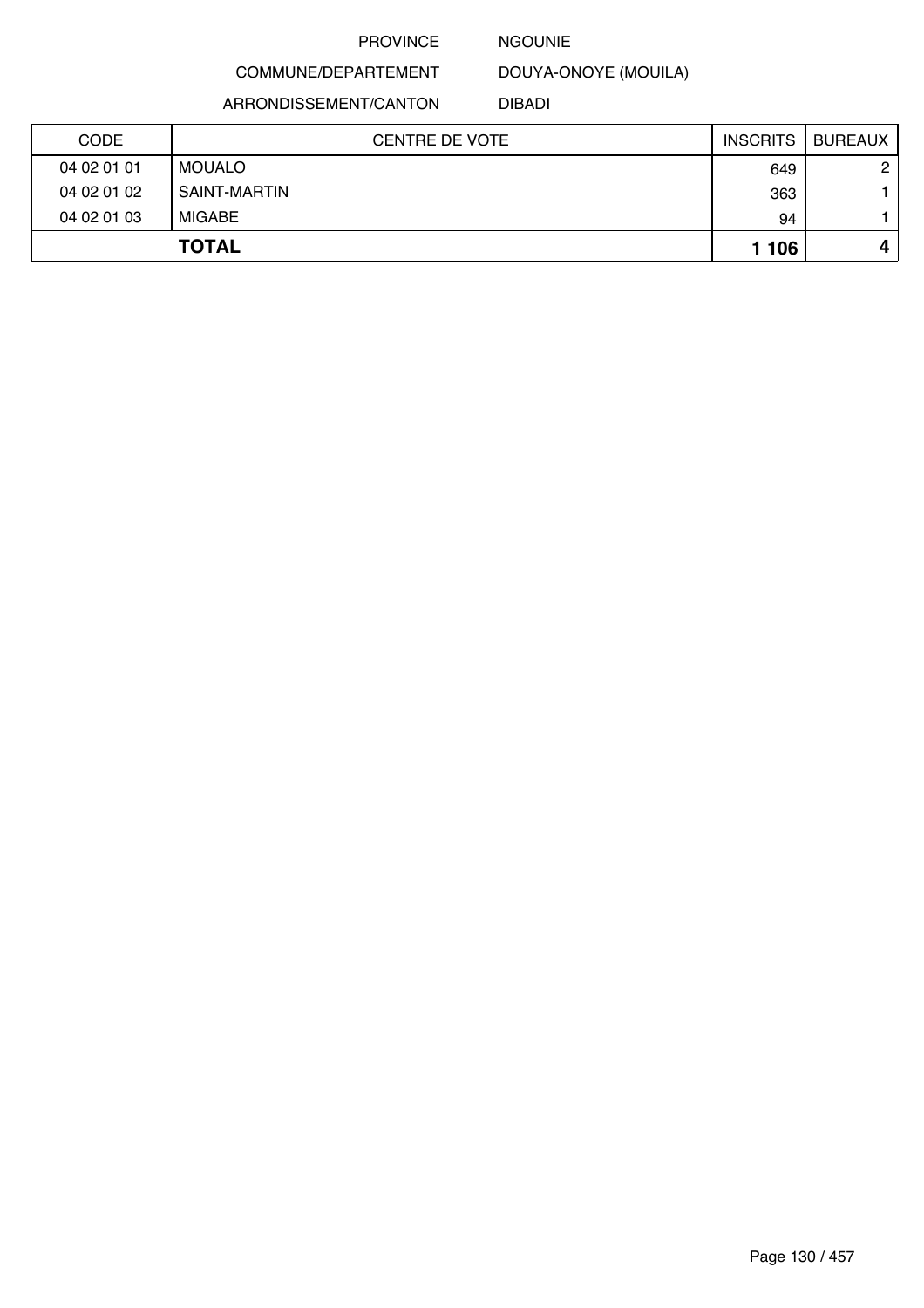#### NGOUNIE

DOUYA-ONOYE (MOUILA)

ARRONDISSEMENT/CANTON

COMMUNE/DEPARTEMENT

DIBADI

| <b>CODE</b> | <b>CENTRE DE VOTE</b> | <b>INSCRITS</b> | BUREAUX      |
|-------------|-----------------------|-----------------|--------------|
| 04 02 01 01 | MOUALO                | 649             | $\mathbf{2}$ |
| 04 02 01 02 | SAINT-MARTIN          | 363             |              |
| 04 02 01 03 | MIGABE                | 94              |              |
|             | <b>TOTAL</b>          | 1 106           |              |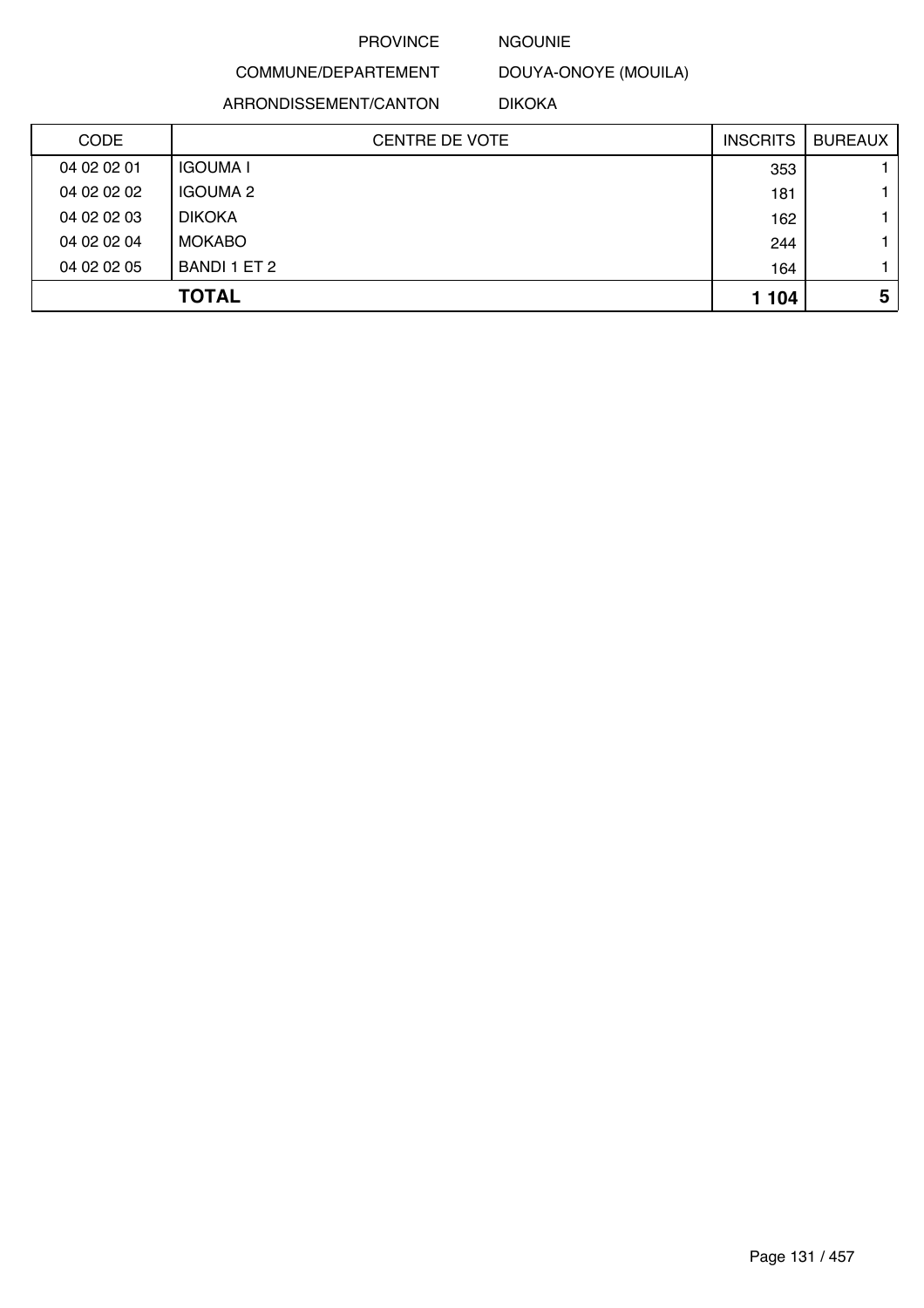#### NGOUNIE

COMMUNE/DEPARTEMENT

ARRONDISSEMENT/CANTON

DOUYA-ONOYE (MOUILA)

DIKOKA

| <b>CODE</b> | <b>CENTRE DE VOTE</b> | <b>INSCRITS</b> | <b>BUREAUX</b> |
|-------------|-----------------------|-----------------|----------------|
| 04 02 02 01 | <b>IGOUMA I</b>       | 353             |                |
| 04 02 02 02 | <b>IGOUMA 2</b>       | 181             |                |
| 04 02 02 03 | <b>DIKOKA</b>         | 162             |                |
| 04 02 02 04 | <b>MOKABO</b>         | 244             |                |
| 04 02 02 05 | BANDI 1 ET 2          | 164             |                |
|             | <b>TOTAL</b>          | 1 1 0 4         | 5              |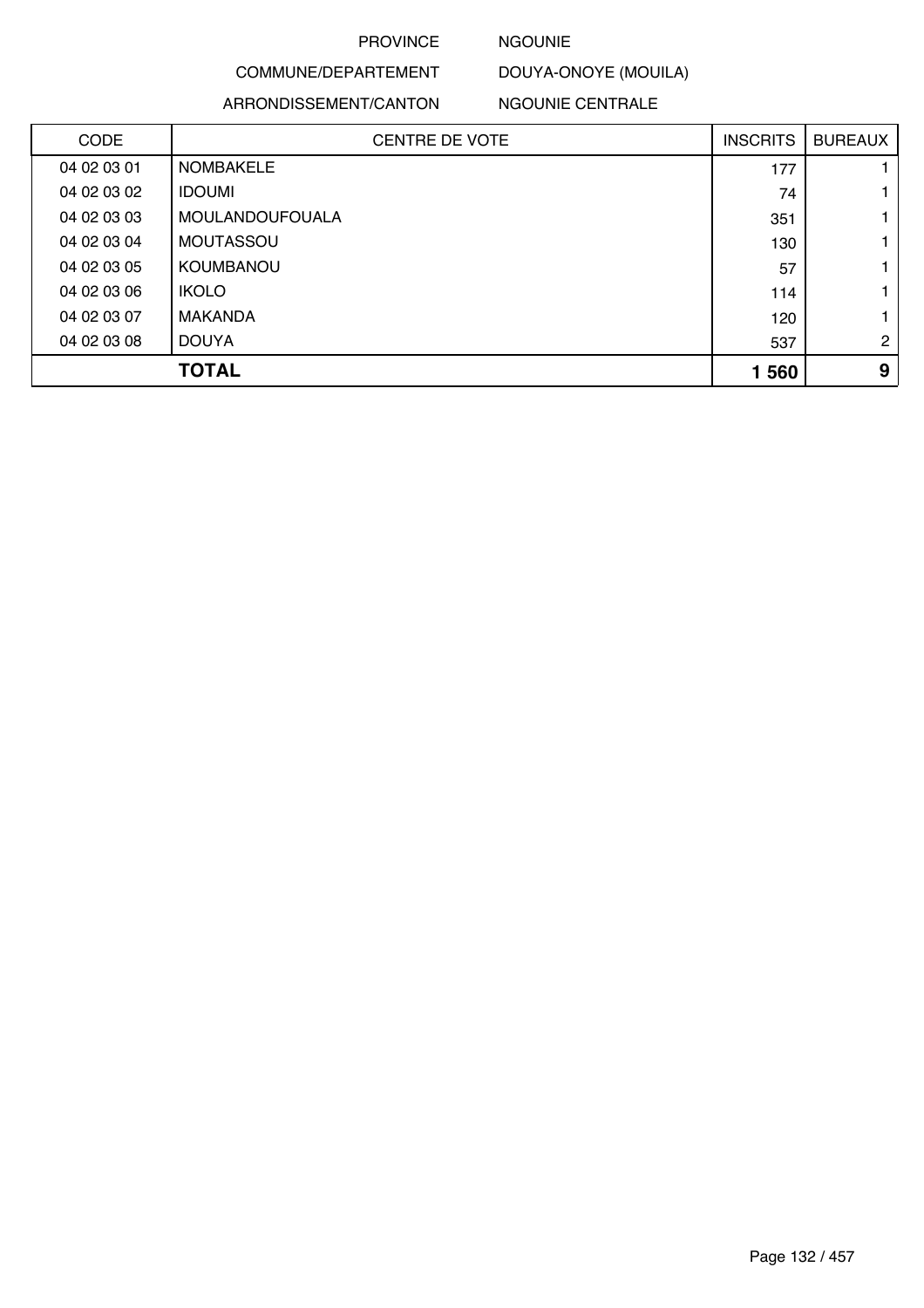#### NGOUNIE

#### COMMUNE/DEPARTEMENT DOUYA-ONOYE (MOUILA)

#### ARRONDISSEMENT/CANTON

NGOUNIE CENTRALE

| <b>CODE</b> | <b>CENTRE DE VOTE</b>  | <b>INSCRITS</b> | <b>BUREAUX</b> |
|-------------|------------------------|-----------------|----------------|
| 04 02 03 01 | <b>NOMBAKELE</b>       | 177             |                |
| 04 02 03 02 | <b>IDOUMI</b>          | 74              | 1              |
| 04 02 03 03 | <b>MOULANDOUFOUALA</b> | 351             |                |
| 04 02 03 04 | <b>MOUTASSOU</b>       | 130             | 1              |
| 04 02 03 05 | <b>KOUMBANOU</b>       | 57              | 1              |
| 04 02 03 06 | <b>IKOLO</b>           | 114             |                |
| 04 02 03 07 | <b>MAKANDA</b>         | 120             | 1              |
| 04 02 03 08 | <b>DOUYA</b>           | 537             | $\overline{2}$ |
|             | <b>TOTAL</b>           | 1 560           | 9              |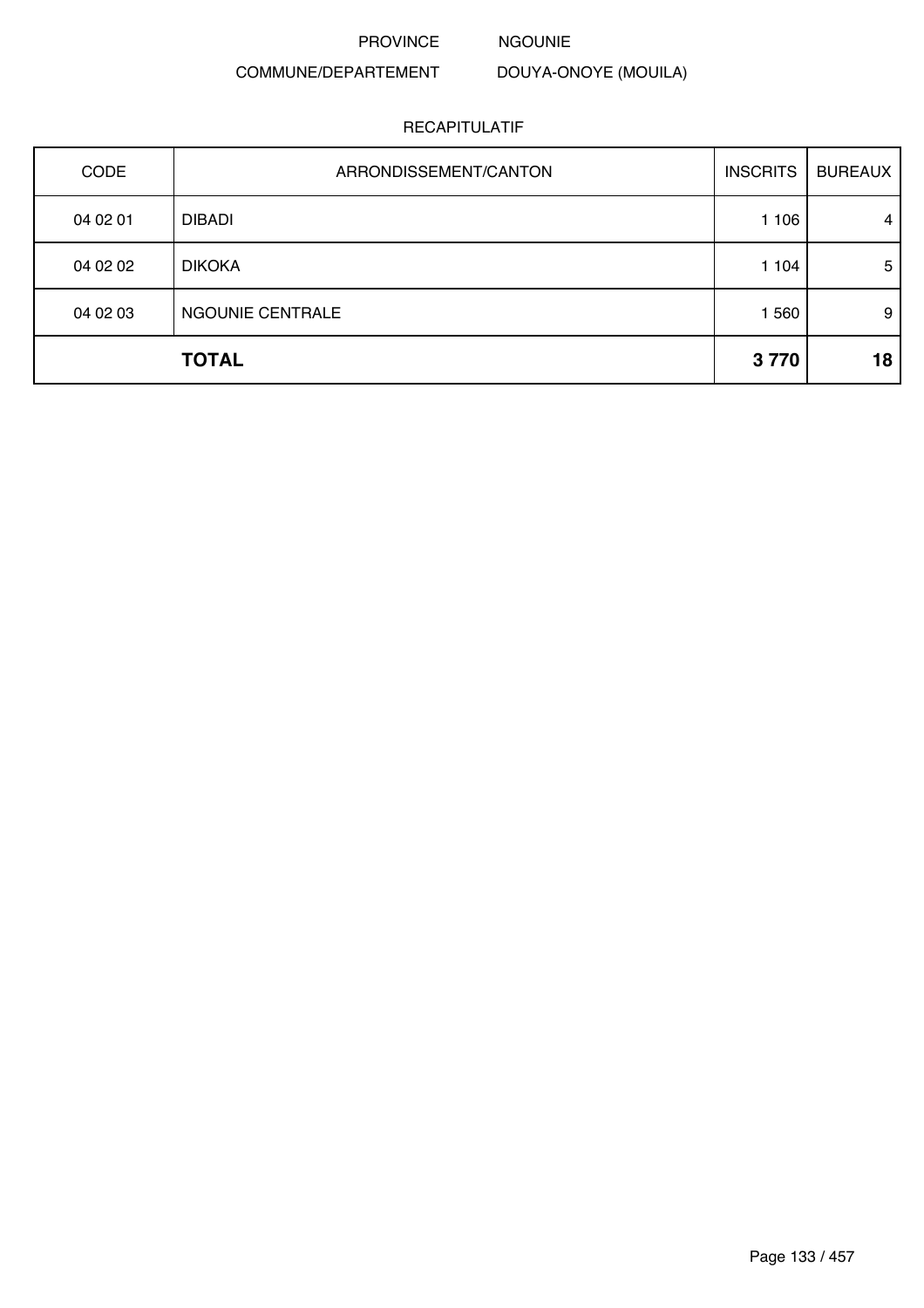NGOUNIE

### COMMUNE/DEPARTEMENT

DOUYA-ONOYE (MOUILA)

| <b>CODE</b> | ARRONDISSEMENT/CANTON | <b>INSCRITS</b> | <b>BUREAUX</b> |
|-------------|-----------------------|-----------------|----------------|
| 04 02 01    | <b>DIBADI</b>         | 1 1 0 6         | 4              |
| 04 02 02    | <b>DIKOKA</b>         | 1 104           | 5              |
| 04 02 03    | NGOUNIE CENTRALE      | 1 560           | 9              |
|             | <b>TOTAL</b>          | 3770            | 18             |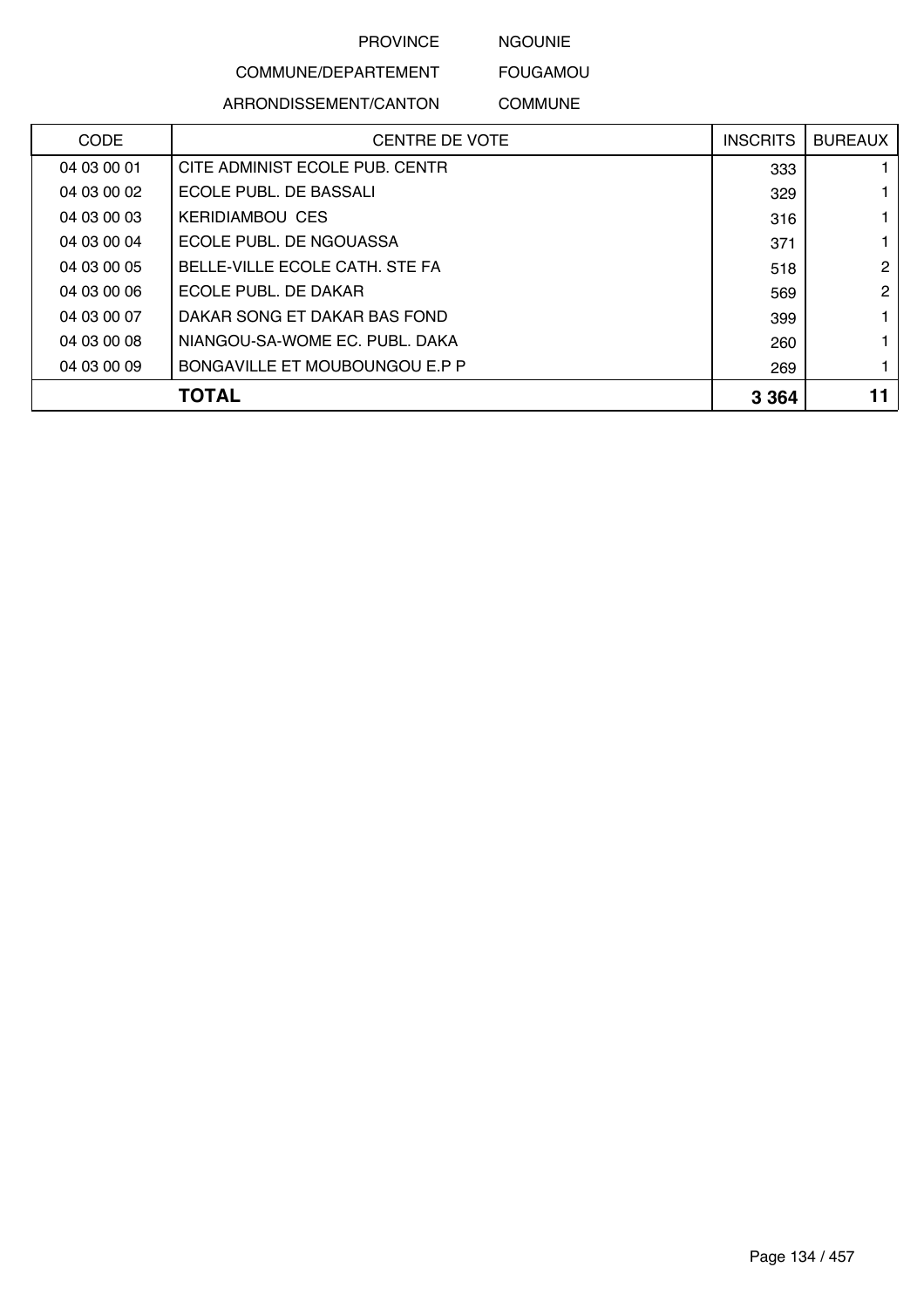NGOUNIE

## COMMUNE/DEPARTEMENT

ARRONDISSEMENT/CANTON

COMMUNE

FOUGAMOU

| <b>CODE</b> | <b>CENTRE DE VOTE</b>          | <b>INSCRITS</b> | <b>BUREAUX</b> |
|-------------|--------------------------------|-----------------|----------------|
| 04 03 00 01 | CITE ADMINIST ECOLE PUB. CENTR | 333             |                |
| 04 03 00 02 | ECOLE PUBL. DE BASSALI         | 329             |                |
| 04 03 00 03 | <b>KERIDIAMBOU CES</b>         | 316             |                |
| 04 03 00 04 | ECOLE PUBL. DE NGOUASSA        | 371             |                |
| 04 03 00 05 | BELLE-VILLE ECOLE CATH. STE FA | 518             | 2              |
| 04 03 00 06 | ECOLE PUBL. DE DAKAR           | 569             | 2              |
| 04 03 00 07 | DAKAR SONG ET DAKAR BAS FOND   | 399             |                |
| 04 03 00 08 | NIANGOU-SA-WOME EC. PUBL. DAKA | 260             |                |
| 04 03 00 09 | BONGAVILLE ET MOUBOUNGOU E.P P | 269             |                |
|             | TOTAL                          | 3 3 6 4         |                |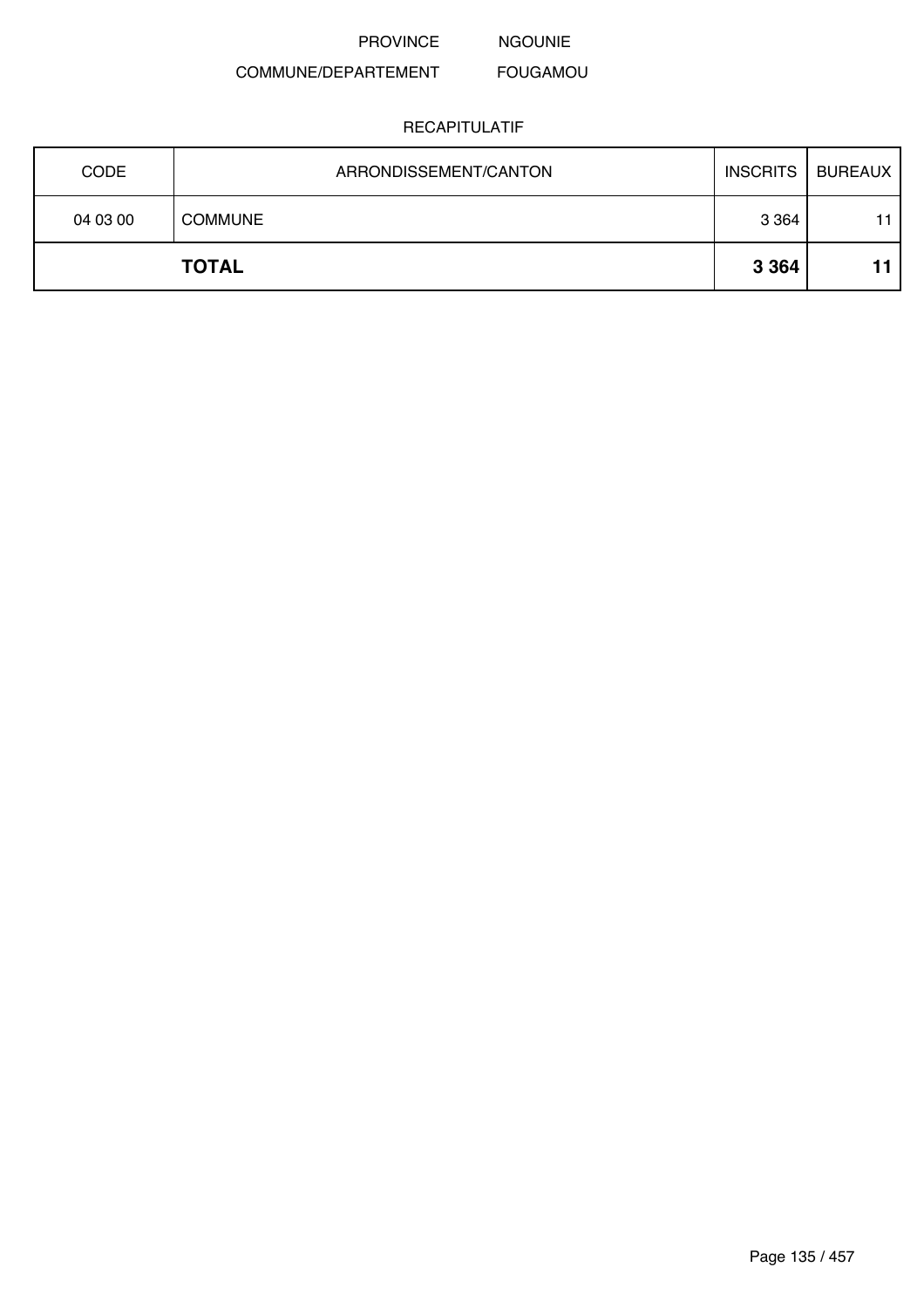PROVINCE NGOUNIE

#### COMMUNE/DEPARTEMENT FOUGAMOU

| <b>CODE</b> | ARRONDISSEMENT/CANTON | <b>INSCRITS</b> | <b>BUREAUX</b> |
|-------------|-----------------------|-----------------|----------------|
| 04 03 00    | <b>COMMUNE</b>        | 3 3 6 4         | 11             |
|             | <b>TOTAL</b>          | 3 3 6 4         |                |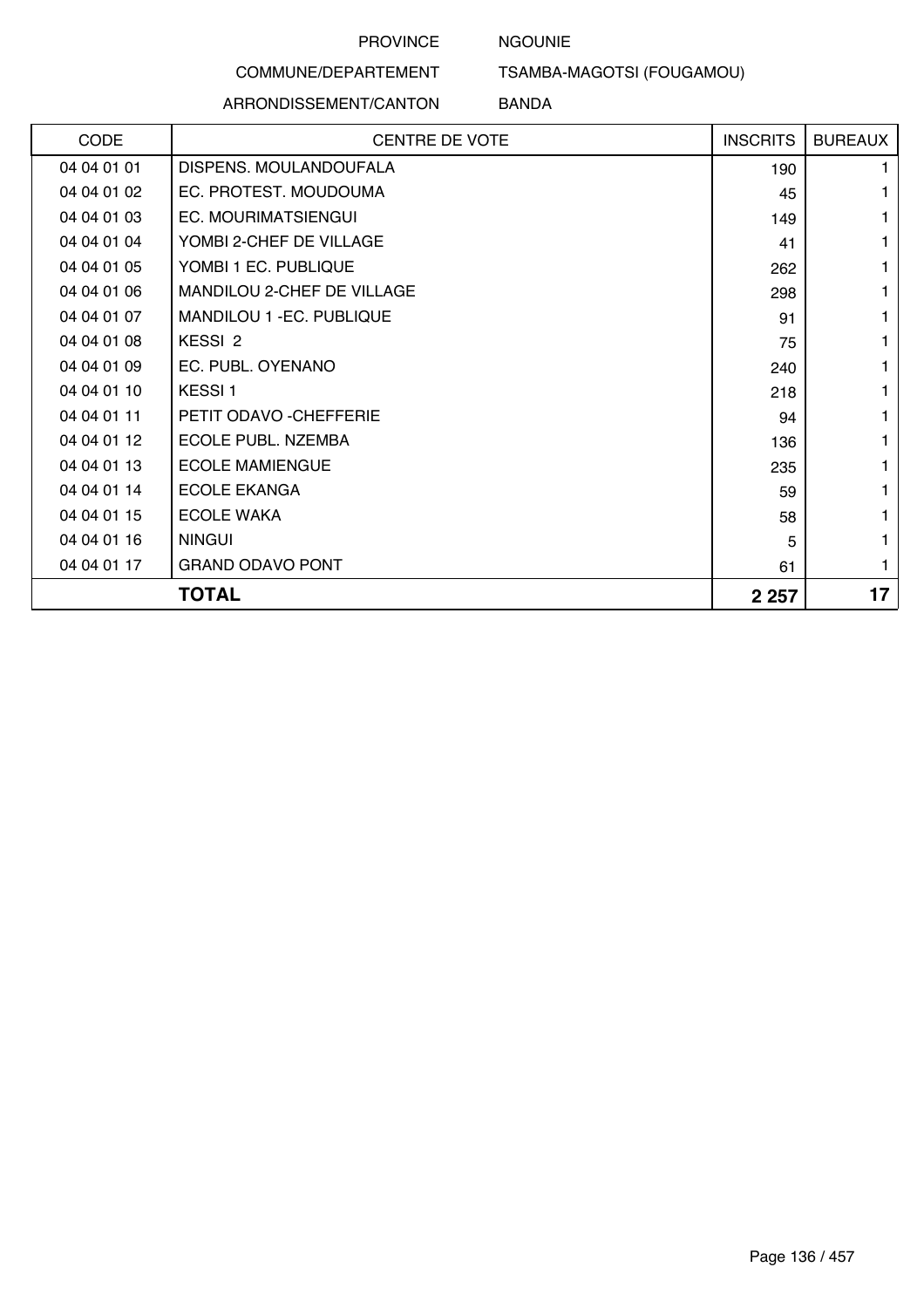#### NGOUNIE

### COMMUNE/DEPARTEMENT

#### ARRONDISSEMENT/CANTON

TSAMBA-MAGOTSI (FOUGAMOU)

#### BANDA

| CODE        | <b>CENTRE DE VOTE</b>      | <b>INSCRITS</b> | <b>BUREAUX</b> |
|-------------|----------------------------|-----------------|----------------|
| 04 04 01 01 | DISPENS. MOULANDOUFALA     | 190             | 1.             |
| 04 04 01 02 | EC. PROTEST. MOUDOUMA      | 45              | 1              |
| 04 04 01 03 | EC. MOURIMATSIENGUI        | 149             | 1              |
| 04 04 01 04 | YOMBI 2-CHEF DE VILLAGE    | 41              | 1              |
| 04 04 01 05 | YOMBI 1 EC. PUBLIQUE       | 262             |                |
| 04 04 01 06 | MANDILOU 2-CHEF DE VILLAGE | 298             |                |
| 04 04 01 07 | MANDILOU 1 - EC. PUBLIQUE  | 91              | 1              |
| 04 04 01 08 | KESSI <sub>2</sub>         | 75              | 1              |
| 04 04 01 09 | EC. PUBL. OYENANO          | 240             |                |
| 04 04 01 10 | KESSI <sub>1</sub>         | 218             |                |
| 04 04 01 11 | PETIT ODAVO - CHEFFERIE    | 94              | 1              |
| 04 04 01 12 | ECOLE PUBL. NZEMBA         | 136             | 1              |
| 04 04 01 13 | <b>ECOLE MAMIENGUE</b>     | 235             | 1              |
| 04 04 01 14 | <b>ECOLE EKANGA</b>        | 59              | 1              |
| 04 04 01 15 | <b>ECOLE WAKA</b>          | 58              |                |
| 04 04 01 16 | <b>NINGUI</b>              | 5               | 1.             |
| 04 04 01 17 | <b>GRAND ODAVO PONT</b>    | 61              | 1              |
|             | <b>TOTAL</b>               | 2 2 5 7         | 17             |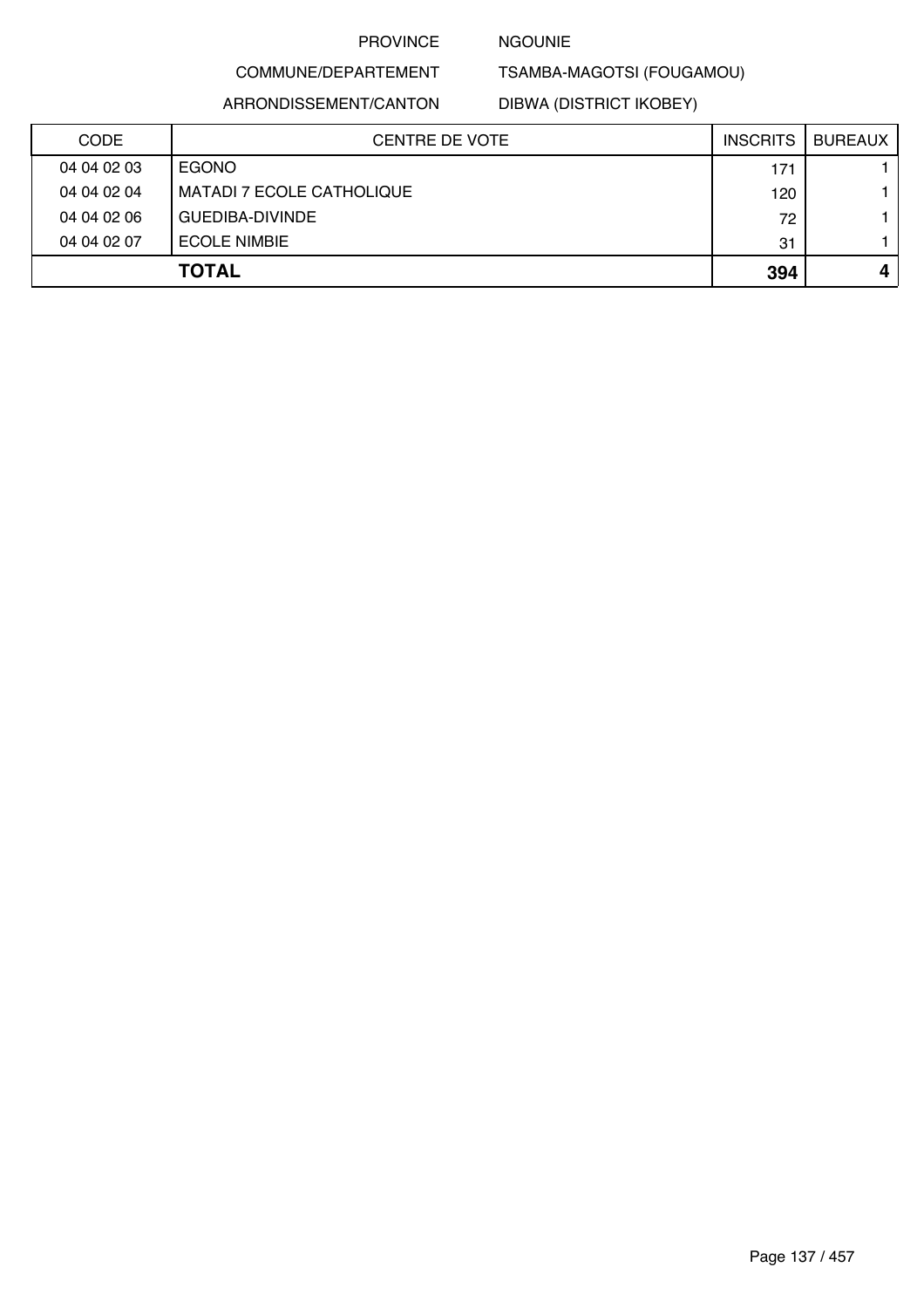#### NGOUNIE

TSAMBA-MAGOTSI (FOUGAMOU)

ARRONDISSEMENT/CANTON

COMMUNE/DEPARTEMENT

DIBWA (DISTRICT IKOBEY)

| <b>CODE</b> | <b>CENTRE DE VOTE</b>            | <b>INSCRITS</b> | <b>BUREAUX</b> |
|-------------|----------------------------------|-----------------|----------------|
| 04 04 02 03 | EGONO                            | 171             |                |
| 04 04 02 04 | <b>MATADI 7 ECOLE CATHOLIQUE</b> | 120             |                |
| 04 04 02 06 | GUEDIBA-DIVINDE                  | 72              |                |
| 04 04 02 07 | <b>ECOLE NIMBIE</b>              | 31              |                |
|             | <b>TOTAL</b>                     | 394             |                |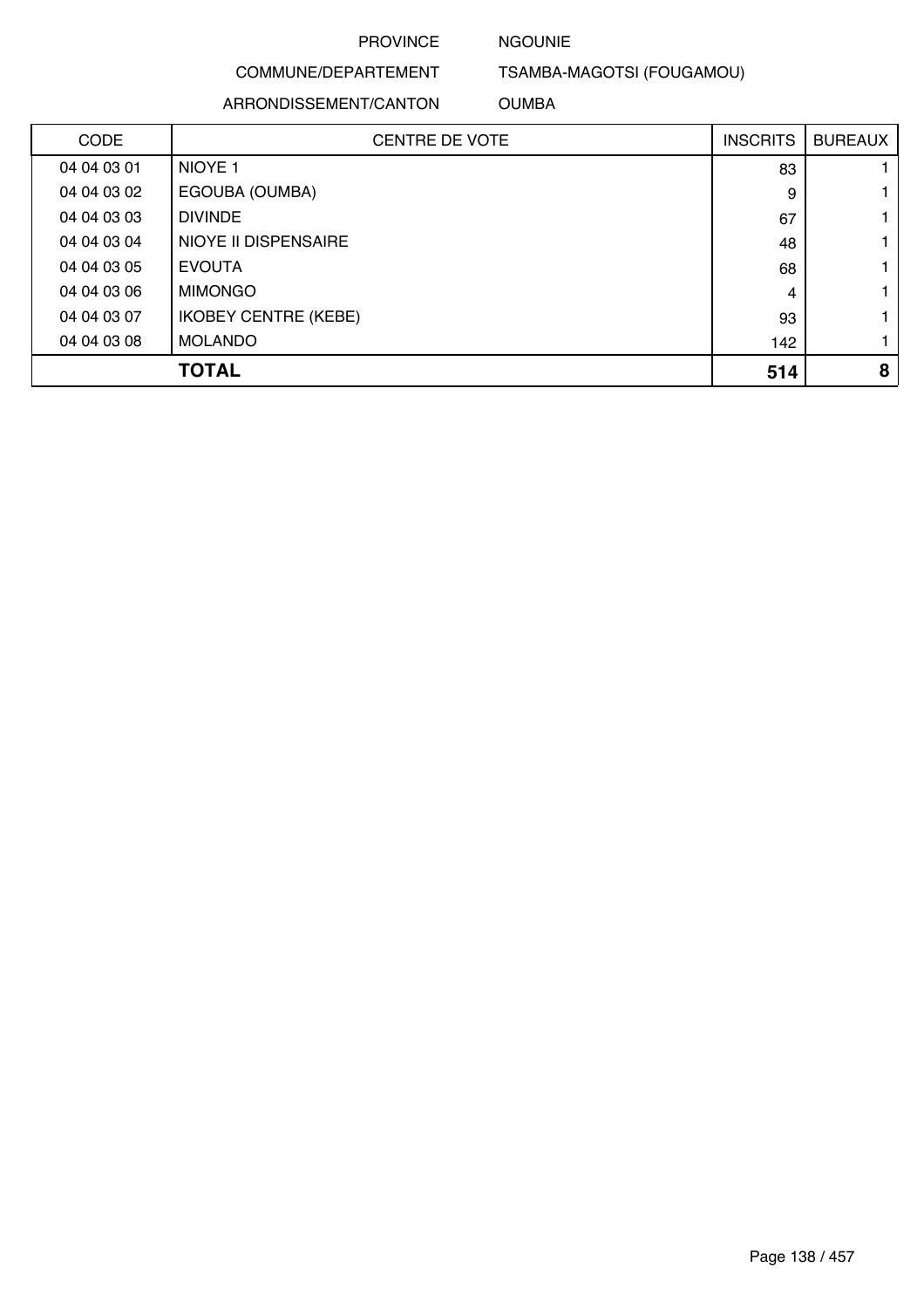#### NGOUNIE

## COMMUNE/DEPARTEMENT

#### ARRONDISSEMENT/CANTON

TSAMBA-MAGOTSI (FOUGAMOU)

OUMBA

| <b>CODE</b> | <b>CENTRE DE VOTE</b>       | <b>INSCRITS</b> | <b>BUREAUX</b> |
|-------------|-----------------------------|-----------------|----------------|
| 04 04 03 01 | NIOYE <sub>1</sub>          | 83              |                |
| 04 04 03 02 | EGOUBA (OUMBA)              | 9               |                |
| 04 04 03 03 | <b>DIVINDE</b>              | 67              |                |
| 04 04 03 04 | <b>NIOYE II DISPENSAIRE</b> | 48              |                |
| 04 04 03 05 | <b>EVOUTA</b>               | 68              |                |
| 04 04 03 06 | <b>MIMONGO</b>              | 4               |                |
| 04 04 03 07 | <b>IKOBEY CENTRE (KEBE)</b> | 93              |                |
| 04 04 03 08 | <b>MOLANDO</b>              | 142             |                |
|             | <b>TOTAL</b>                | 514             | 8              |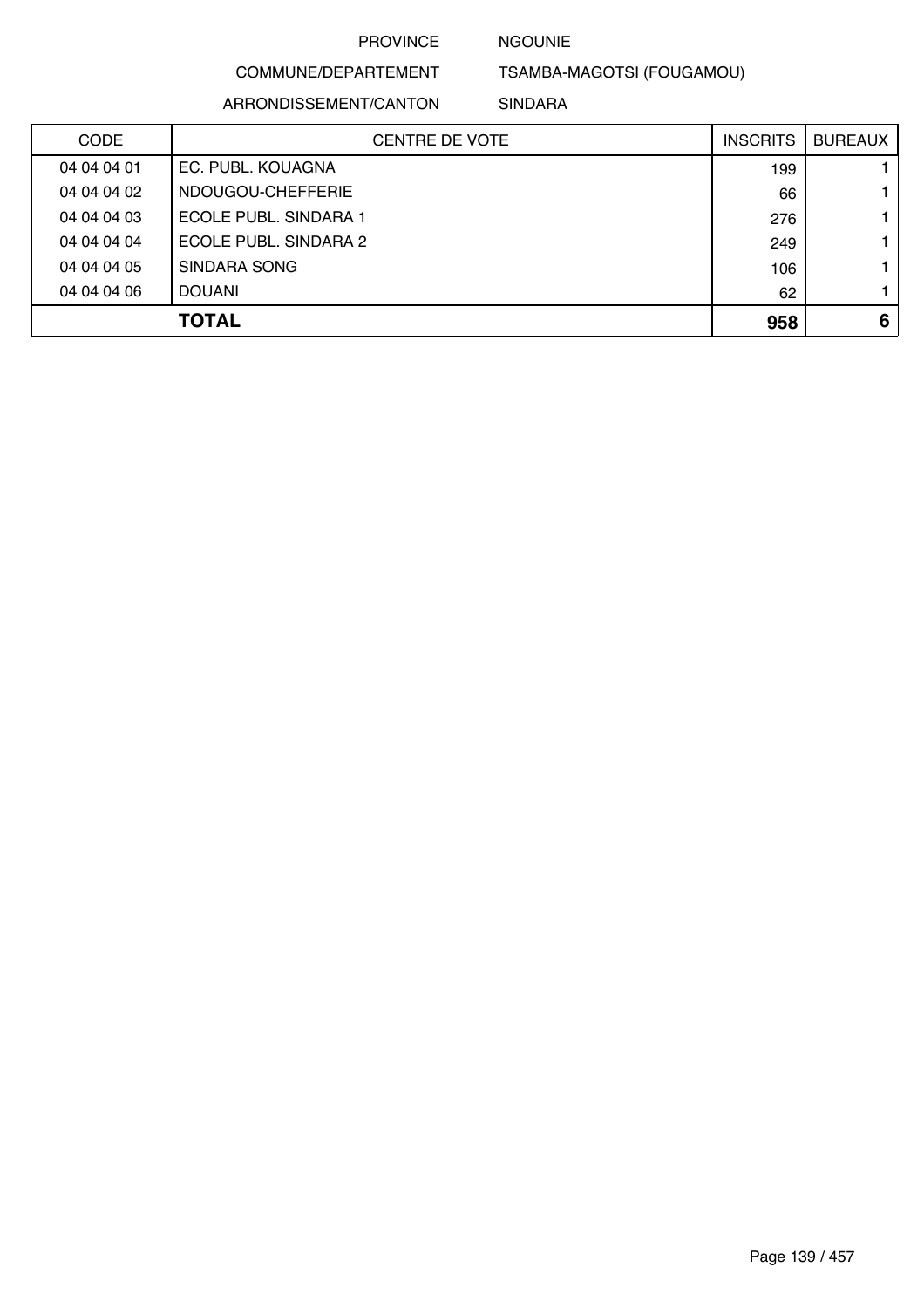#### NGOUNIE

## COMMUNE/DEPARTEMENT

TSAMBA-MAGOTSI (FOUGAMOU)

ARRONDISSEMENT/CANTON

SINDARA

| <b>CODE</b> | <b>CENTRE DE VOTE</b> | <b>INSCRITS</b> | <b>BUREAUX</b> |
|-------------|-----------------------|-----------------|----------------|
| 04 04 04 01 | EC. PUBL. KOUAGNA     | 199             |                |
| 04 04 04 02 | NDOUGOU-CHEFFERIE     | 66              |                |
| 04 04 04 03 | ECOLE PUBL. SINDARA 1 | 276             |                |
| 04 04 04 04 | ECOLE PUBL. SINDARA 2 | 249             |                |
| 04 04 04 05 | SINDARA SONG          | 106             |                |
| 04 04 04 06 | <b>DOUANI</b>         | 62              |                |
|             | <b>TOTAL</b>          | 958             | 6              |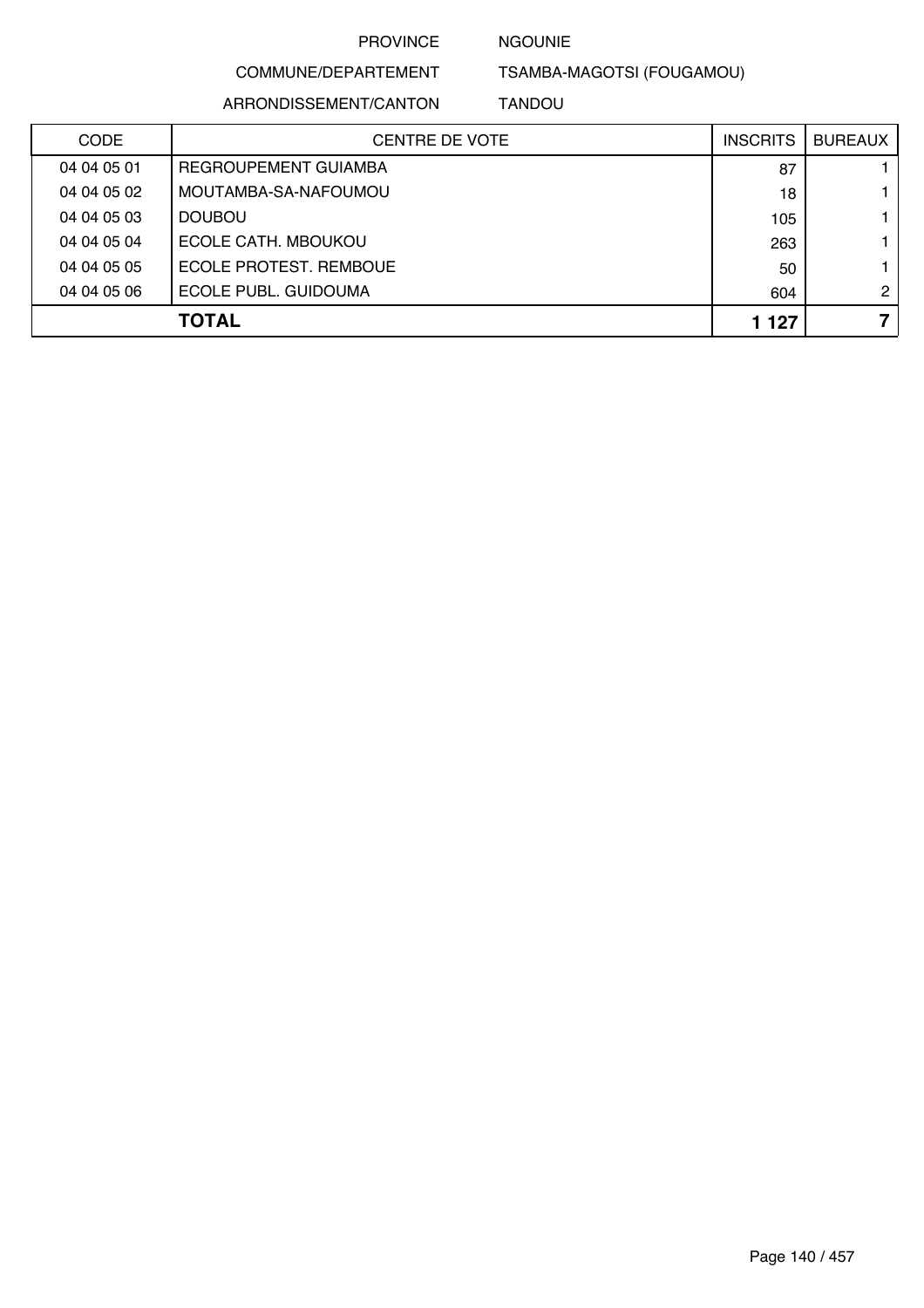#### NGOUNIE

COMMUNE/DEPARTEMENT TSAMBA-MAGOTSI (FOUGAMOU)

ARRONDISSEMENT/CANTON

TANDOU

| <b>CODE</b> | <b>CENTRE DE VOTE</b>  | <b>INSCRITS</b> | <b>BUREAUX</b> |
|-------------|------------------------|-----------------|----------------|
| 04 04 05 01 | REGROUPEMENT GUIAMBA   | 87              |                |
| 04 04 05 02 | MOUTAMBA-SA-NAFOUMOU   | 18              |                |
| 04 04 05 03 | <b>DOUBOU</b>          | 105             |                |
| 04 04 05 04 | ECOLE CATH, MBOUKOU    | 263             |                |
| 04 04 05 05 | ECOLE PROTEST. REMBOUE | 50              |                |
| 04 04 05 06 | ECOLE PUBL. GUIDOUMA   | 604             | $\mathbf{2}$   |
|             | <b>TOTAL</b>           | 1 1 2 7         | 7              |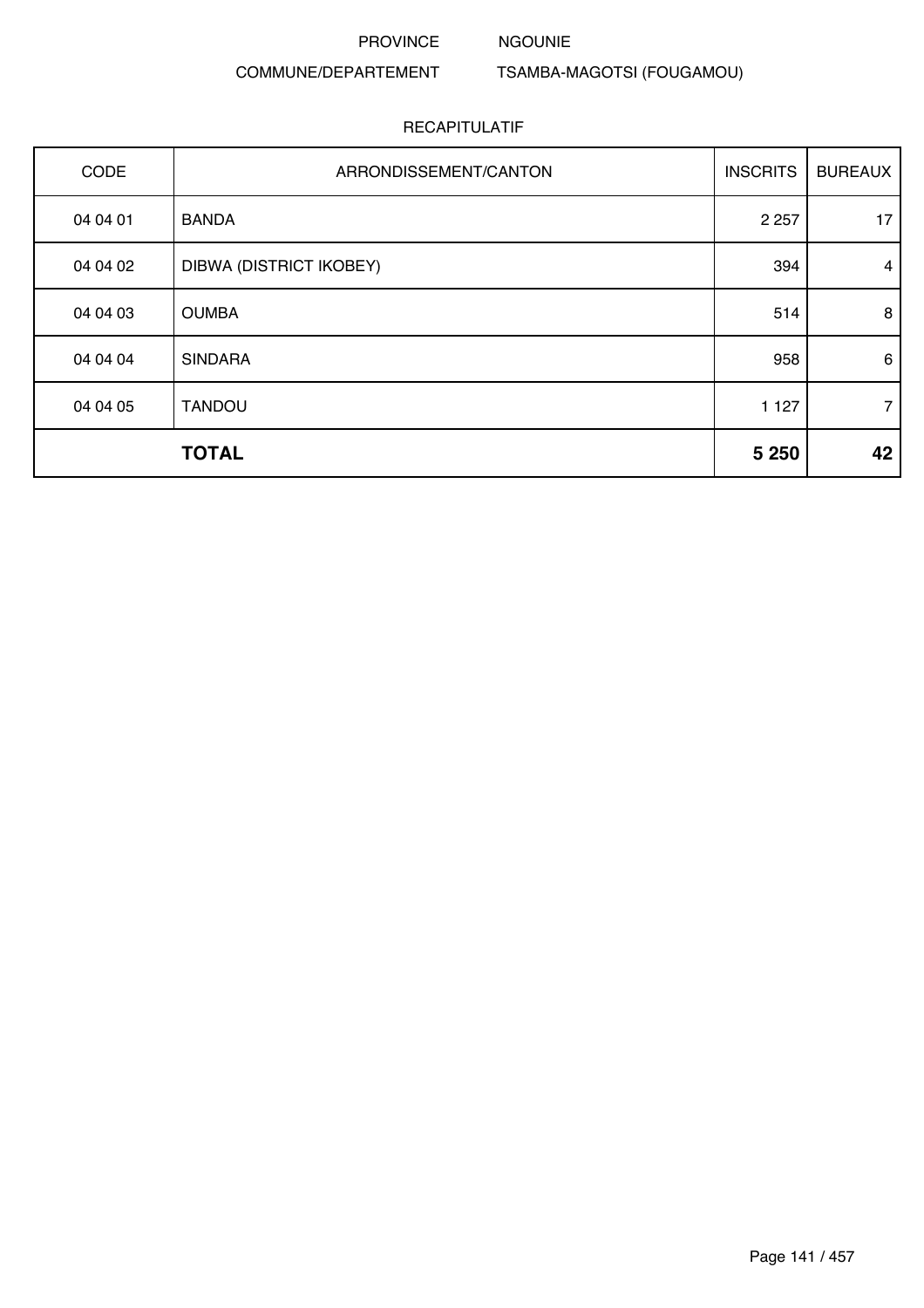#### NGOUNIE

COMMUNE/DEPARTEMENT TSAMBA-MAGOTSI (FOUGAMOU)

| CODE     | ARRONDISSEMENT/CANTON   | <b>INSCRITS</b> | <b>BUREAUX</b> |
|----------|-------------------------|-----------------|----------------|
| 04 04 01 | <b>BANDA</b>            | 2 2 5 7         | 17             |
| 04 04 02 | DIBWA (DISTRICT IKOBEY) | 394             | $\overline{4}$ |
| 04 04 03 | <b>OUMBA</b>            | 514             | 8              |
| 04 04 04 | <b>SINDARA</b>          | 958             | 6              |
| 04 04 05 | <b>TANDOU</b>           | 1 1 2 7         | $\overline{7}$ |
|          | <b>TOTAL</b>            | 5 2 5 0         | 42             |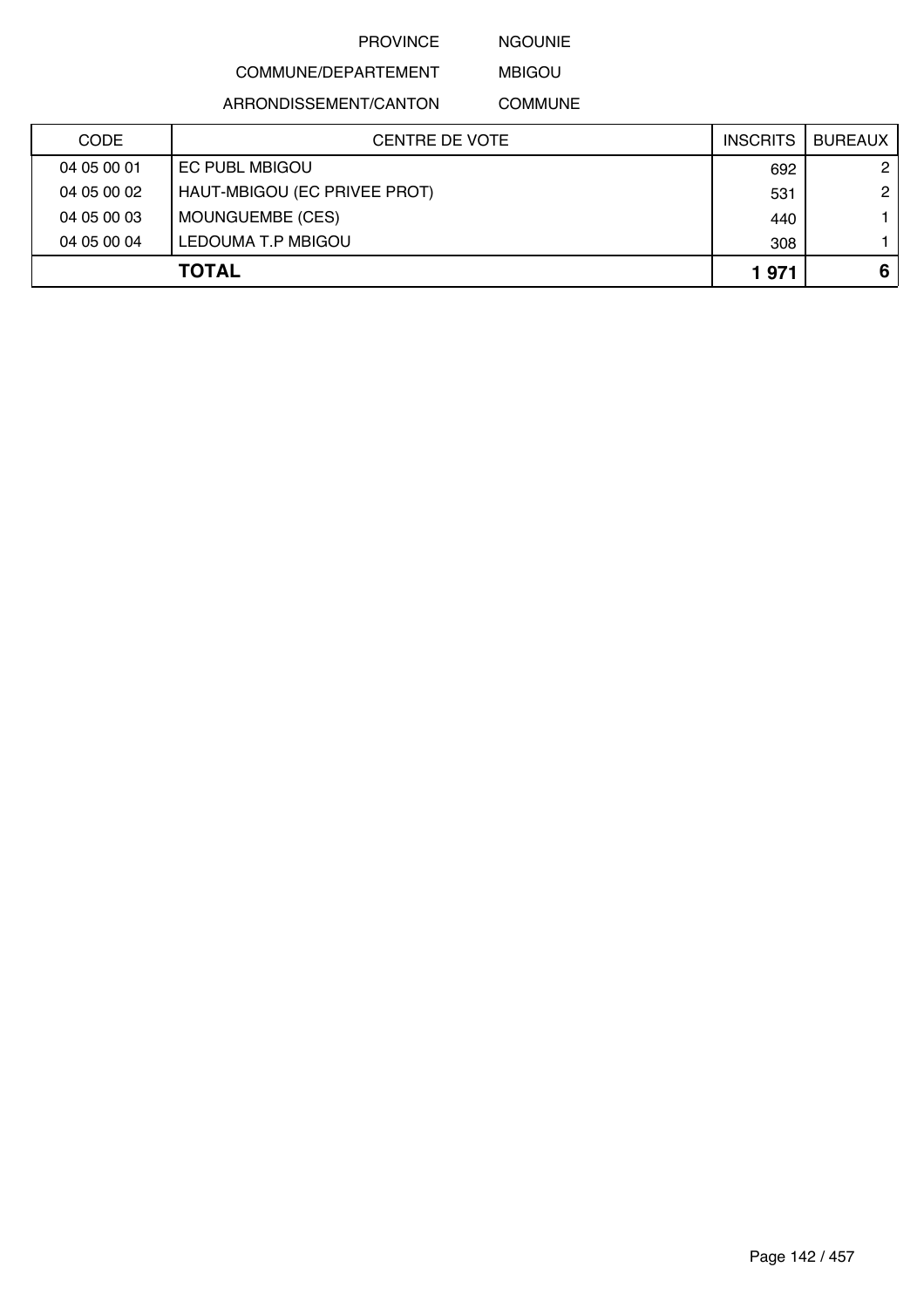NGOUNIE

## COMMUNE/DEPARTEMENT

ARRONDISSEMENT/CANTON

MBIGOU COMMUNE

| <b>CODE</b> | CENTRE DE VOTE               | <b>INSCRITS</b> | <b>BUREAUX</b> |
|-------------|------------------------------|-----------------|----------------|
| 04 05 00 01 | EC PUBL MBIGOU               | 692             | $\mathbf{2}$   |
| 04 05 00 02 | HAUT-MBIGOU (EC PRIVEE PROT) | 531             | $\overline{2}$ |
| 04 05 00 03 | MOUNGUEMBE (CES)             | 440             |                |
| 04 05 00 04 | LEDOUMA T.P MBIGOU           | 308             |                |
|             | <b>TOTAL</b>                 | 1971            | 6              |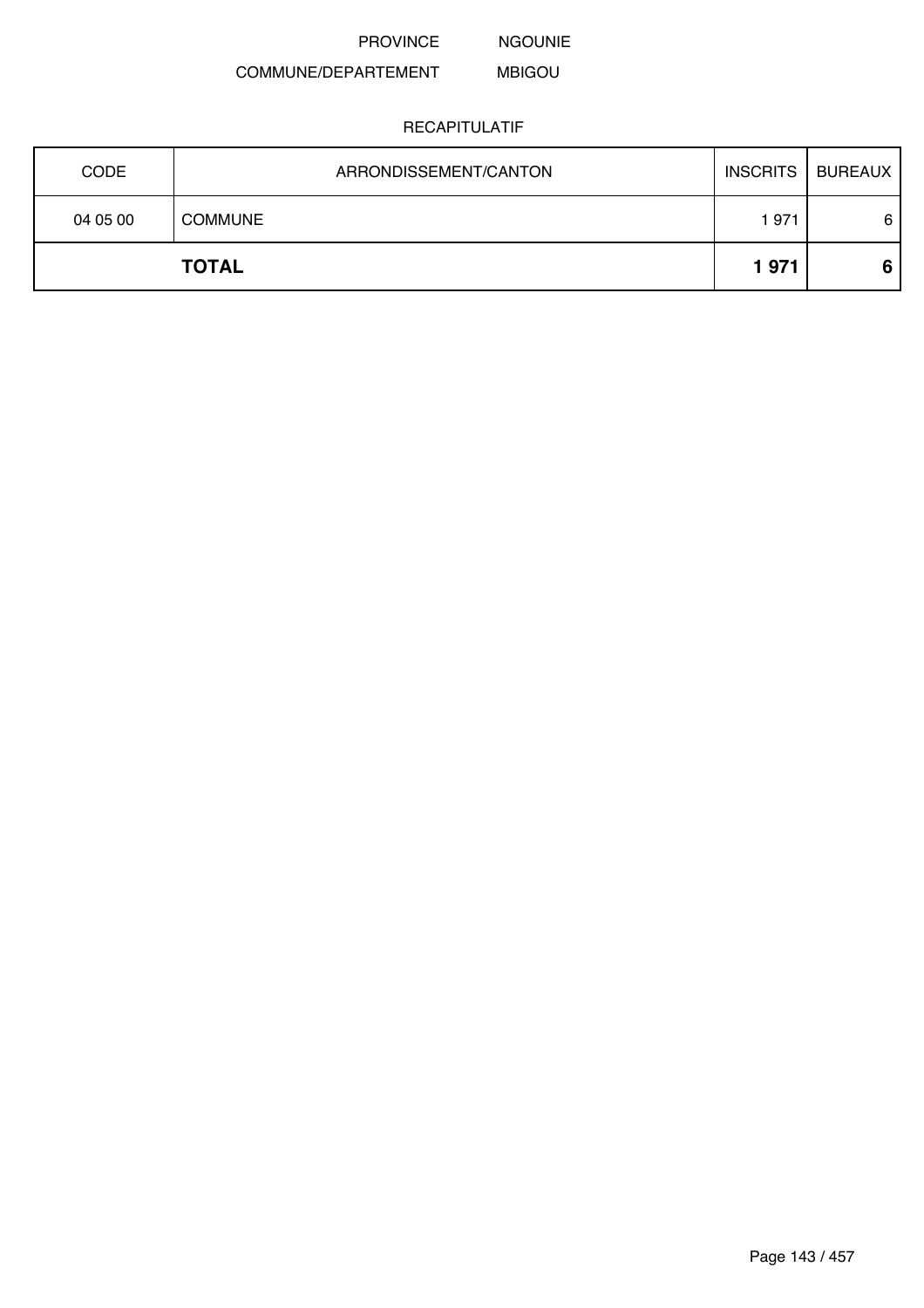NGOUNIE

#### COMMUNE/DEPARTEMENT MBIGOU

|             | <b>TOTAL</b>          | 1971            | 6              |
|-------------|-----------------------|-----------------|----------------|
| 04 05 00    | <b>COMMUNE</b>        | 1971            | 6              |
| <b>CODE</b> | ARRONDISSEMENT/CANTON | <b>INSCRITS</b> | <b>BUREAUX</b> |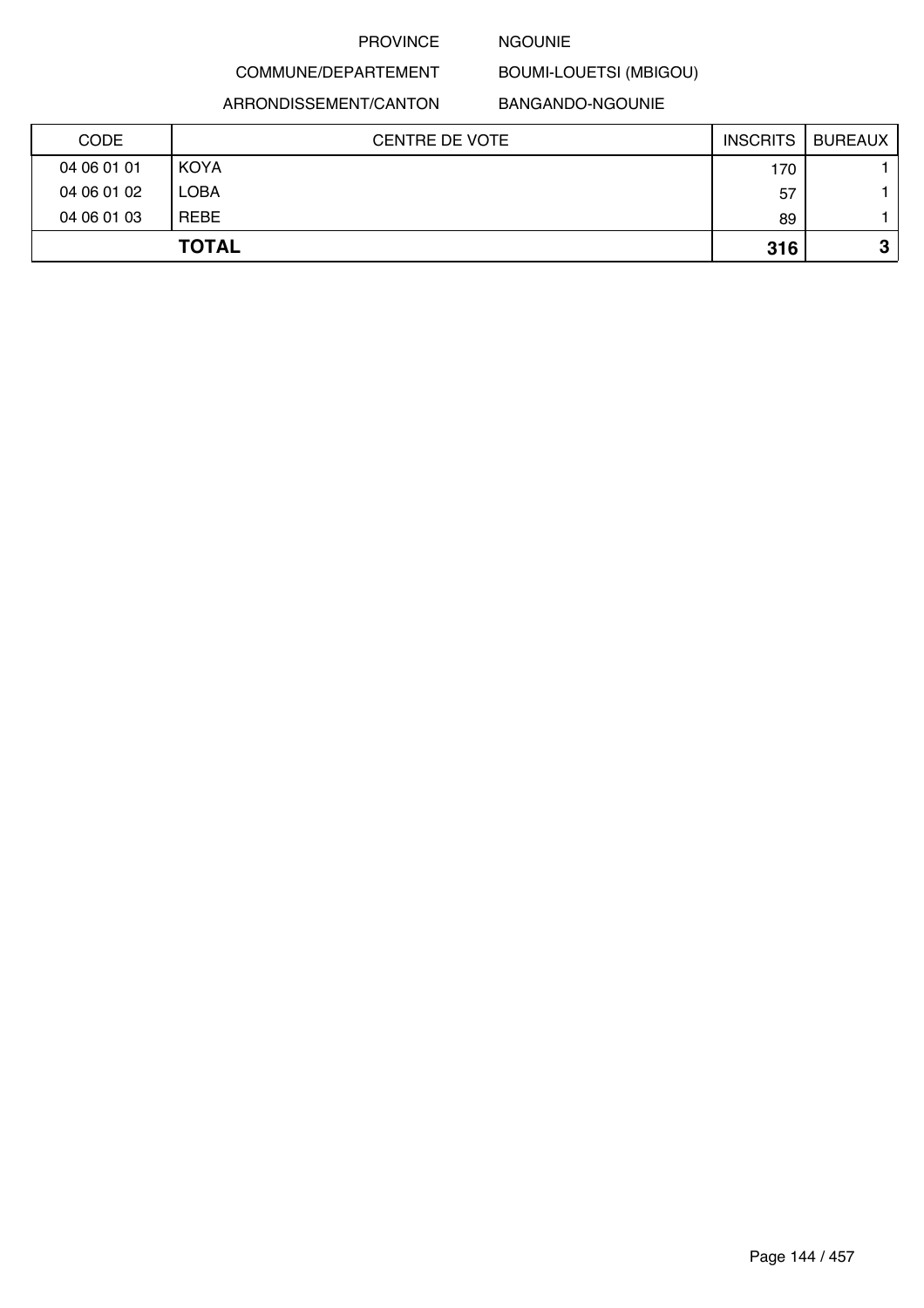#### NGOUNIE

COMMUNE/DEPARTEMENT

ARRONDISSEMENT/CANTON

#### BANGANDO-NGOUNIE

BOUMI-LOUETSI (MBIGOU)

| CODE        | <b>CENTRE DE VOTE</b> | <b>INSCRITS</b> | <b>BUREAUX</b> |
|-------------|-----------------------|-----------------|----------------|
| 04 06 01 01 | <b>KOYA</b>           | 170             |                |
| 04 06 01 02 | <b>LOBA</b>           | 57              |                |
| 04 06 01 03 | <b>REBE</b>           | 89              |                |
|             | <b>TOTAL</b>          | 316             | 2<br>v         |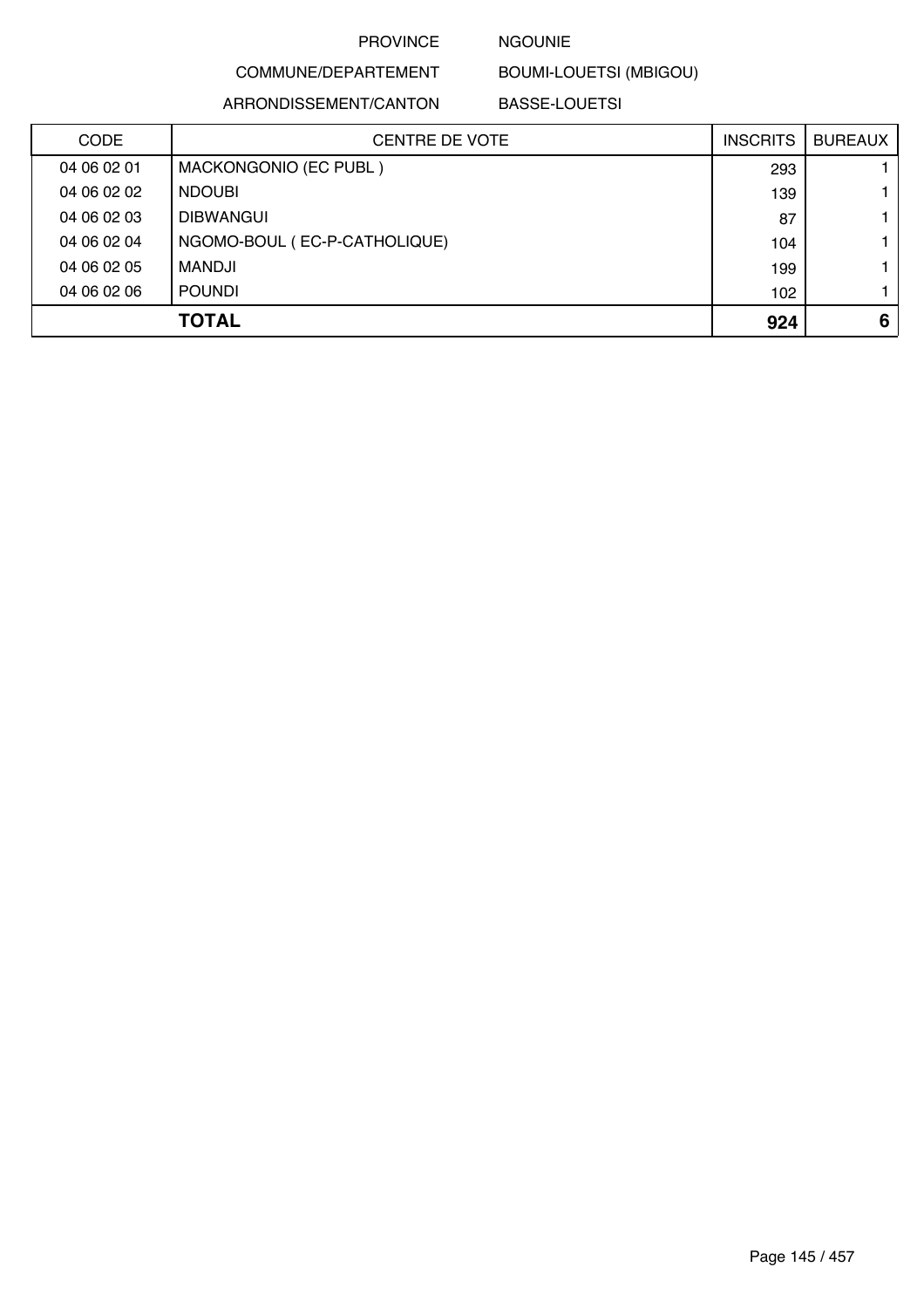### NGOUNIE

BOUMI-LOUETSI (MBIGOU)

ARRONDISSEMENT/CANTON

COMMUNE/DEPARTEMENT

BASSE-LOUETSI

| <b>CODE</b> | <b>CENTRE DE VOTE</b>        | <b>INSCRITS</b> | <b>BUREAUX</b> |
|-------------|------------------------------|-----------------|----------------|
| 04 06 02 01 | MACKONGONIO (EC PUBL)        | 293             |                |
| 04 06 02 02 | <b>NDOUBI</b>                | 139             |                |
| 04 06 02 03 | <b>DIBWANGUI</b>             | 87              |                |
| 04 06 02 04 | NGOMO-BOUL (EC-P-CATHOLIQUE) | 104             |                |
| 04 06 02 05 | MANDJI                       | 199             |                |
| 04 06 02 06 | <b>POUNDI</b>                | 102             |                |
|             | <b>TOTAL</b>                 | 924             | 6              |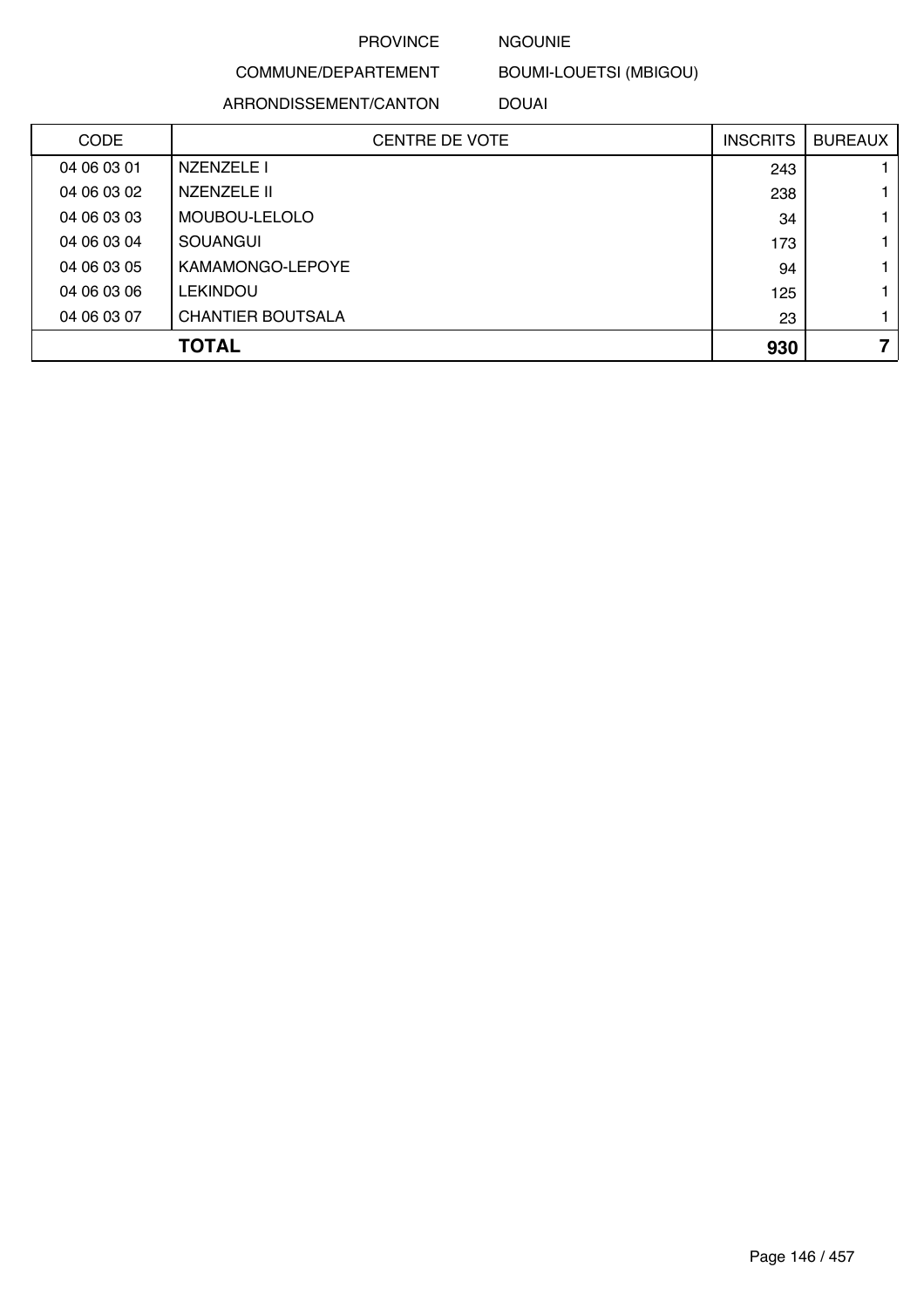### NGOUNIE

COMMUNE/DEPARTEMENT

ARRONDISSEMENT/CANTON

BOUMI-LOUETSI (MBIGOU)

DOUAI

| <b>CODE</b> | <b>CENTRE DE VOTE</b>    | <b>INSCRITS</b> | <b>BUREAUX</b> |
|-------------|--------------------------|-----------------|----------------|
| 04 06 03 01 | NZENZELE I               | 243             |                |
| 04 06 03 02 | NZENZELE II              | 238             |                |
| 04 06 03 03 | MOUBOU-LELOLO            | 34              |                |
| 04 06 03 04 | <b>SOUANGUI</b>          | 173             |                |
| 04 06 03 05 | KAMAMONGO-LEPOYE         | 94              |                |
| 04 06 03 06 | <b>LEKINDOU</b>          | 125             |                |
| 04 06 03 07 | <b>CHANTIER BOUTSALA</b> | 23              |                |
|             | <b>TOTAL</b>             | 930             | 7              |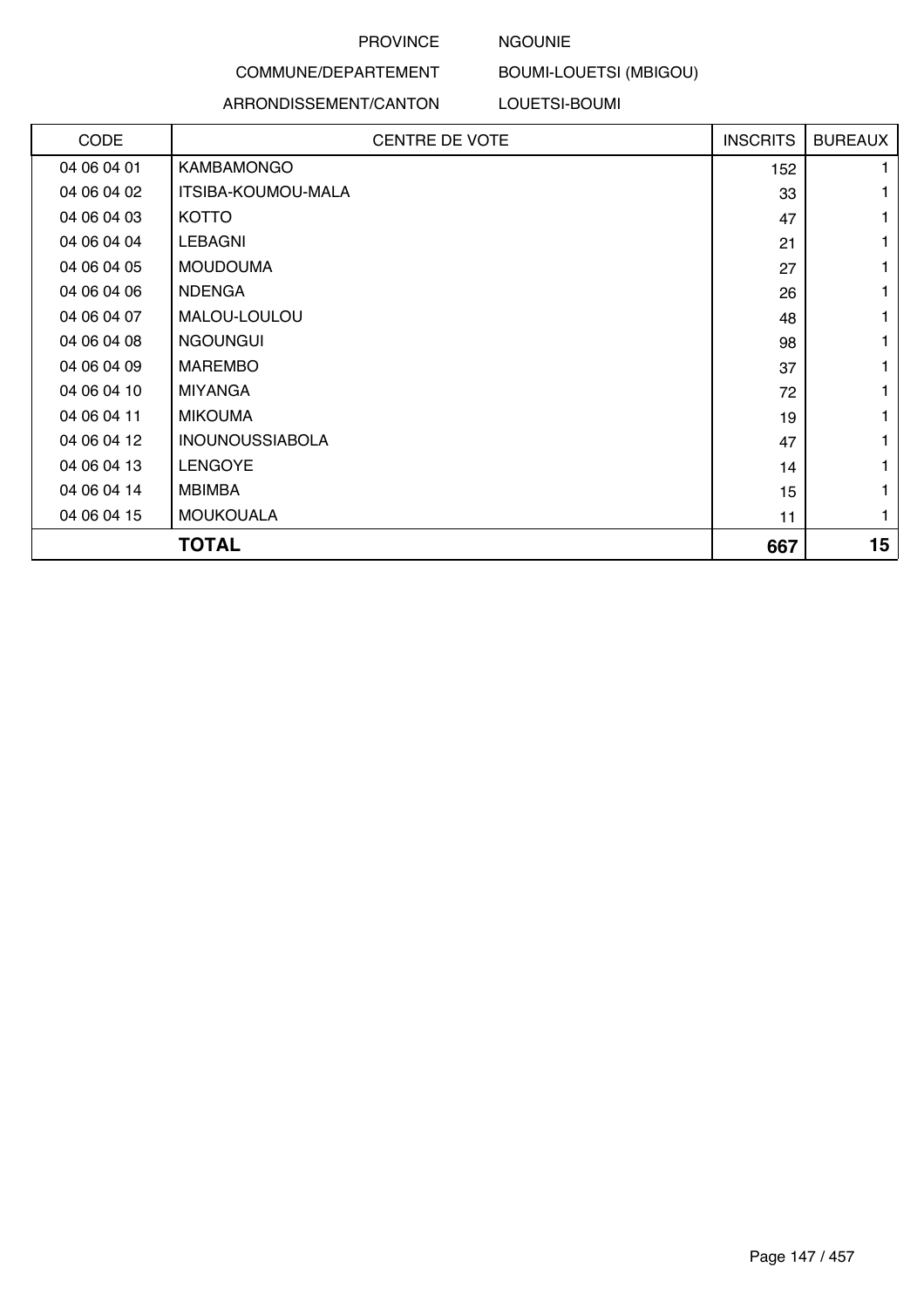## NGOUNIE

# BOUMI-LOUETSI (MBIGOU)

#### ARRONDISSEMENT/CANTON

COMMUNE/DEPARTEMENT

LOUETSI-BOUMI

| CODE        | <b>CENTRE DE VOTE</b>  | <b>INSCRITS</b> | <b>BUREAUX</b> |
|-------------|------------------------|-----------------|----------------|
|             |                        |                 |                |
| 04 06 04 01 | <b>KAMBAMONGO</b>      | 152             |                |
| 04 06 04 02 | ITSIBA-KOUMOU-MALA     | 33              |                |
| 04 06 04 03 | <b>KOTTO</b>           | 47              | 1              |
| 04 06 04 04 | <b>LEBAGNI</b>         | 21              |                |
| 04 06 04 05 | <b>MOUDOUMA</b>        | 27              |                |
| 04 06 04 06 | <b>NDENGA</b>          | 26              |                |
| 04 06 04 07 | MALOU-LOULOU           | 48              |                |
| 04 06 04 08 | <b>NGOUNGUI</b>        | 98              | 1              |
| 04 06 04 09 | <b>MAREMBO</b>         | 37              |                |
| 04 06 04 10 | <b>MIYANGA</b>         | 72              |                |
| 04 06 04 11 | <b>MIKOUMA</b>         | 19              |                |
| 04 06 04 12 | <b>INOUNOUSSIABOLA</b> | 47              |                |
| 04 06 04 13 | <b>LENGOYE</b>         | 14              | 1              |
| 04 06 04 14 | <b>MBIMBA</b>          | 15              |                |
| 04 06 04 15 | <b>MOUKOUALA</b>       | 11              |                |
|             | <b>TOTAL</b>           | 667             | 15             |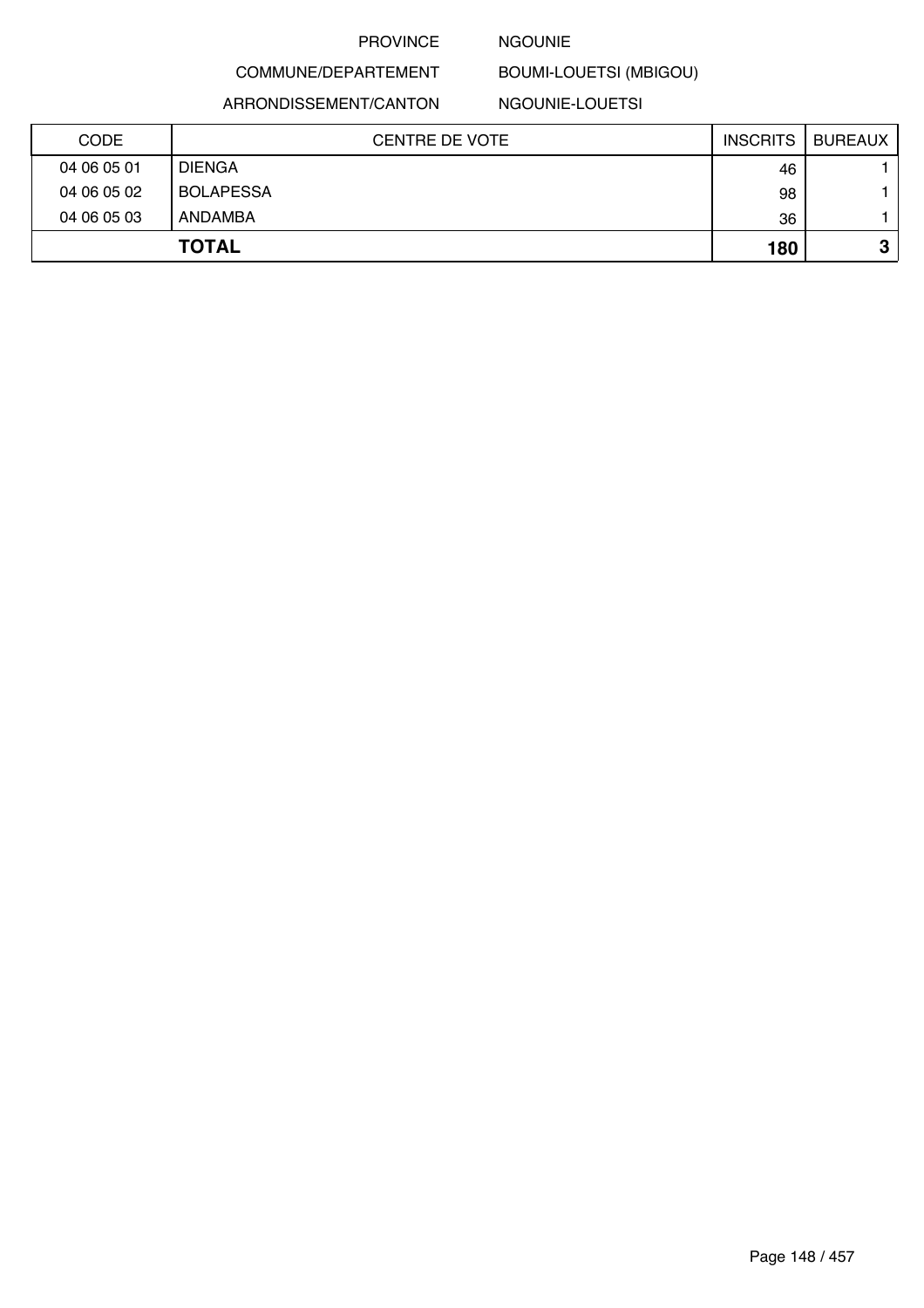### NGOUNIE

BOUMI-LOUETSI (MBIGOU)

ARRONDISSEMENT/CANTON

COMMUNE/DEPARTEMENT

NGOUNIE-LOUETSI

| <b>CODE</b> | <b>CENTRE DE VOTE</b> | <b>INSCRITS</b> | <b>BUREAUX</b> |
|-------------|-----------------------|-----------------|----------------|
| 04 06 05 01 | <b>DIENGA</b>         | 46              |                |
| 04 06 05 02 | <b>BOLAPESSA</b>      | 98              |                |
| 04 06 05 03 | ANDAMBA               | 36              |                |
|             | <b>TOTAL</b>          | 180             | o<br>J         |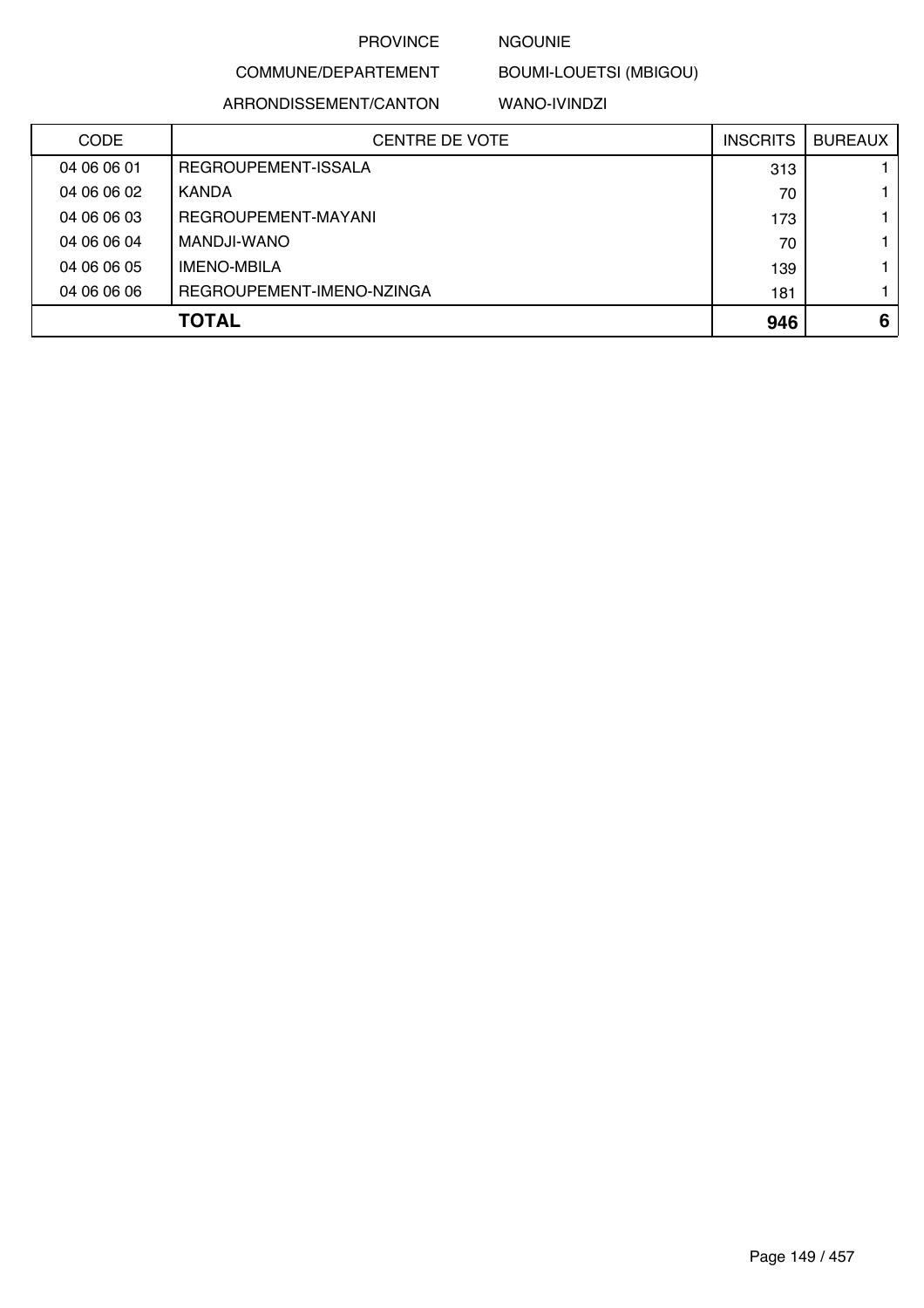## NGOUNIE

COMMUNE/DEPARTEMENT BOUMI-LOUETSI (MBIGOU)

ARRONDISSEMENT/CANTON

WANO-IVINDZI

| <b>CODE</b> | <b>CENTRE DE VOTE</b>     | <b>INSCRITS</b> | <b>BUREAUX</b> |
|-------------|---------------------------|-----------------|----------------|
| 04 06 06 01 | REGROUPEMENT-ISSALA       | 313             |                |
| 04 06 06 02 | KANDA                     | 70              |                |
| 04 06 06 03 | REGROUPEMENT-MAYANI       | 173             |                |
| 04 06 06 04 | MANDJI-WANO               | 70              |                |
| 04 06 06 05 | <b>IMENO-MBILA</b>        | 139             |                |
| 04 06 06 06 | REGROUPEMENT-IMENO-NZINGA | 181             |                |
|             | <b>TOTAL</b>              | 946             | 6              |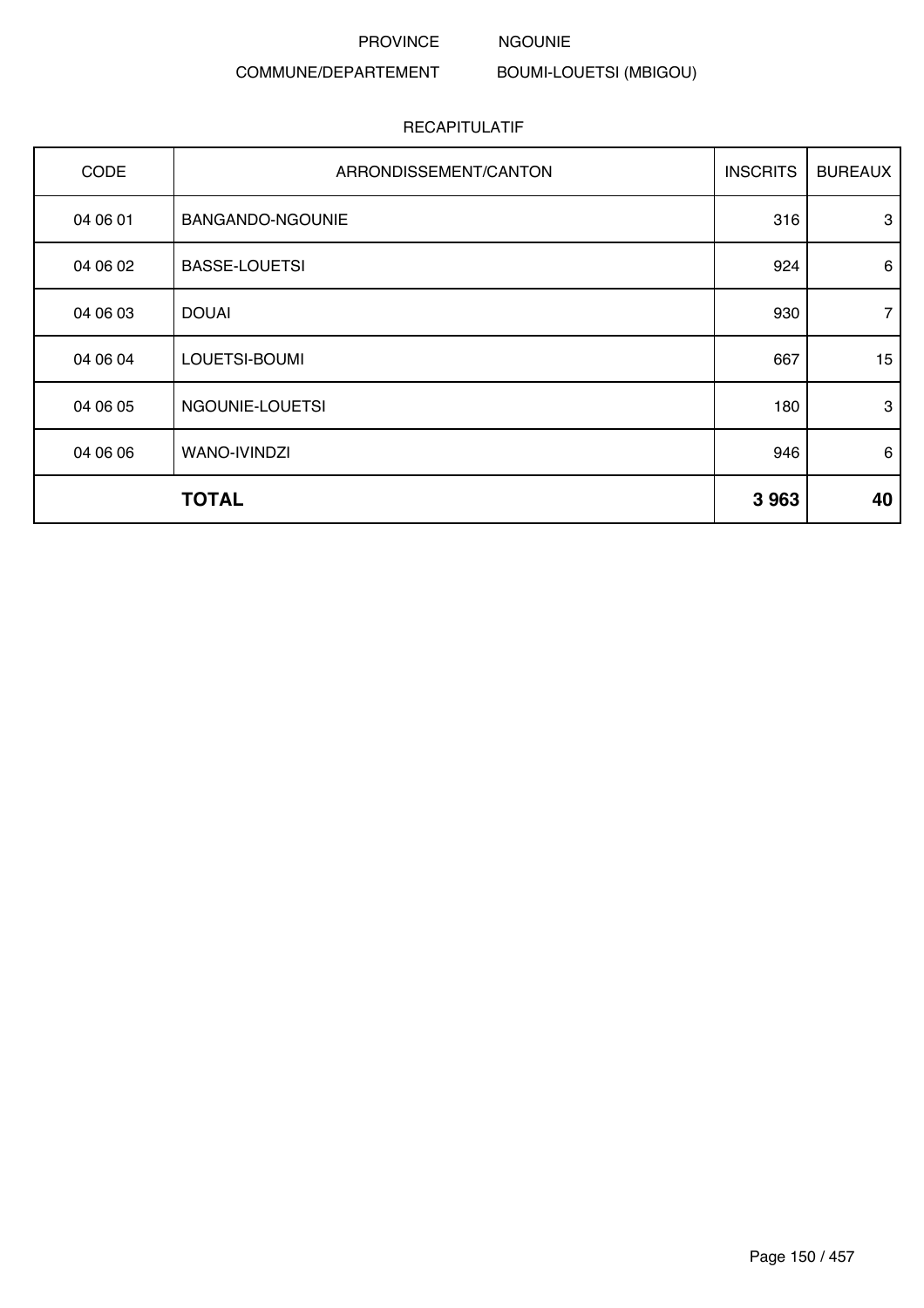#### PROVINCE NGOUNIE

# COMMUNE/DEPARTEMENT

BOUMI-LOUETSI (MBIGOU)

| CODE     | ARRONDISSEMENT/CANTON | <b>INSCRITS</b> | <b>BUREAUX</b> |
|----------|-----------------------|-----------------|----------------|
| 04 06 01 | BANGANDO-NGOUNIE      | 316             | 3              |
| 04 06 02 | <b>BASSE-LOUETSI</b>  | 924             | 6              |
| 04 06 03 | <b>DOUAI</b>          | 930             | $\overline{7}$ |
| 04 06 04 | LOUETSI-BOUMI         | 667             | 15             |
| 04 06 05 | NGOUNIE-LOUETSI       | 180             | 3              |
| 04 06 06 | WANO-IVINDZI          | 946             | 6              |
|          | <b>TOTAL</b>          | 3 9 6 3         | 40             |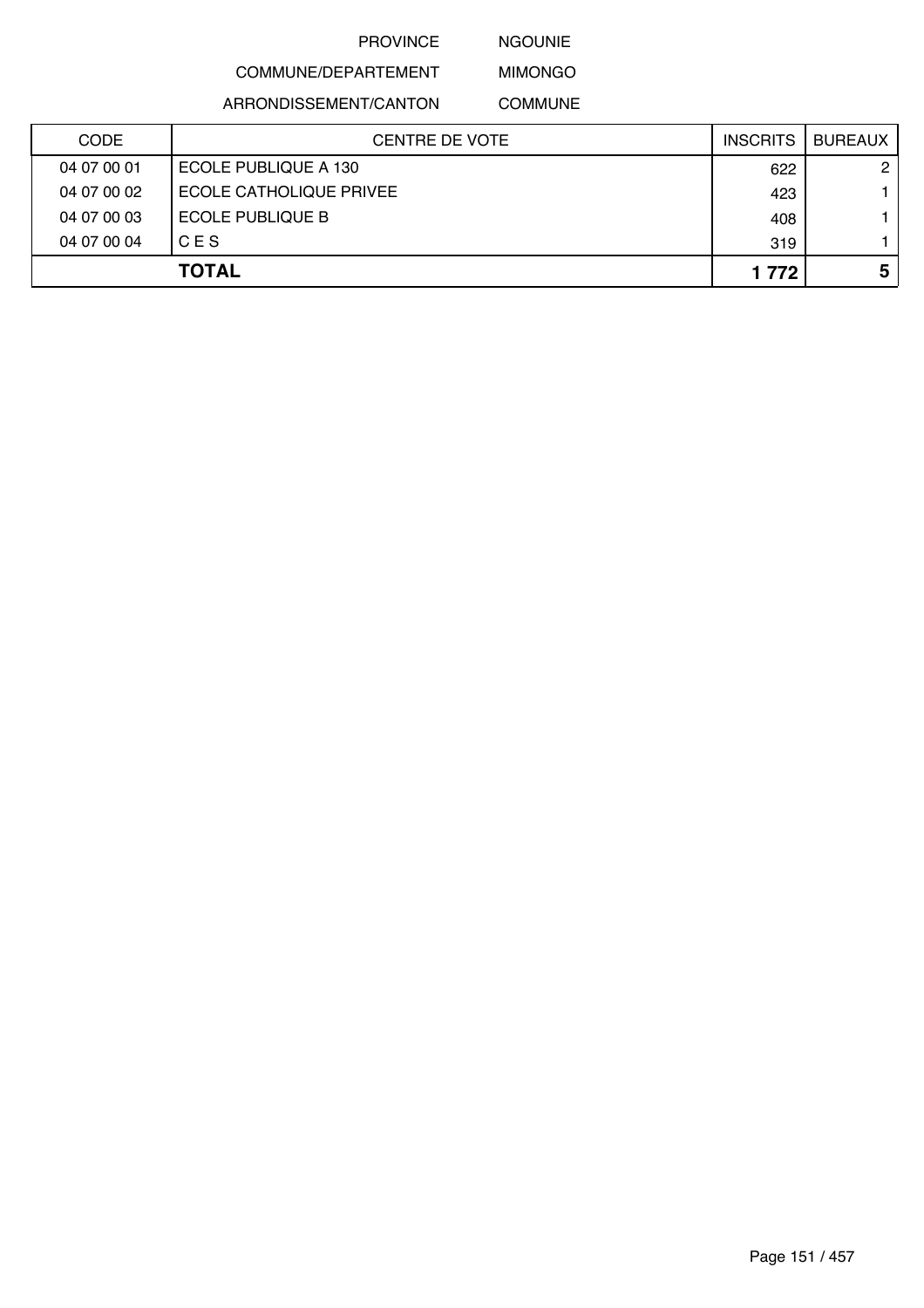NGOUNIE

# COMMUNE/DEPARTEMENT ARRONDISSEMENT/CANTON

MIMONGO COMMUNE

| <b>CODE</b> | <b>CENTRE DE VOTE</b>   | <b>INSCRITS</b> | BUREAUX              |
|-------------|-------------------------|-----------------|----------------------|
| 04 07 00 01 | ECOLE PUBLIQUE A 130    | 622             | $\mathbf{2}^{\circ}$ |
| 04 07 00 02 | ECOLE CATHOLIQUE PRIVEE | 423             |                      |
| 04 07 00 03 | ECOLE PUBLIQUE B        | 408             |                      |
| 04 07 00 04 | CES                     | 319             |                      |
|             | <b>TOTAL</b>            | 1 7 7 2         | 5                    |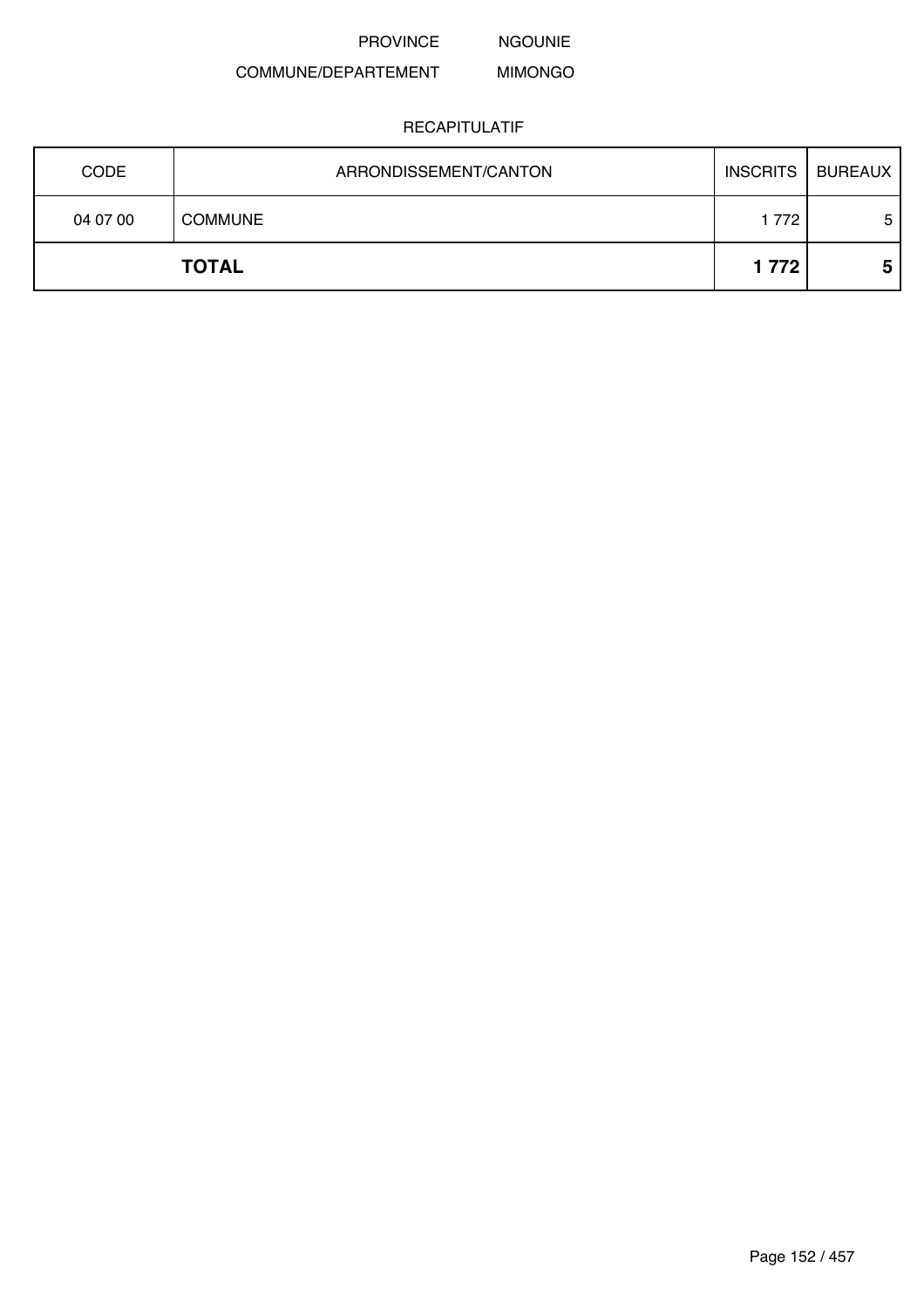NGOUNIE

#### COMMUNE/DEPARTEMENT MIMONGO

| <b>CODE</b> | ARRONDISSEMENT/CANTON | <b>INSCRITS</b> | BUREAUX |
|-------------|-----------------------|-----------------|---------|
| 04 07 00    | <b>COMMUNE</b>        | 1772            | 5       |
|             | <b>TOTAL</b>          | 1 7 7 2         | 5       |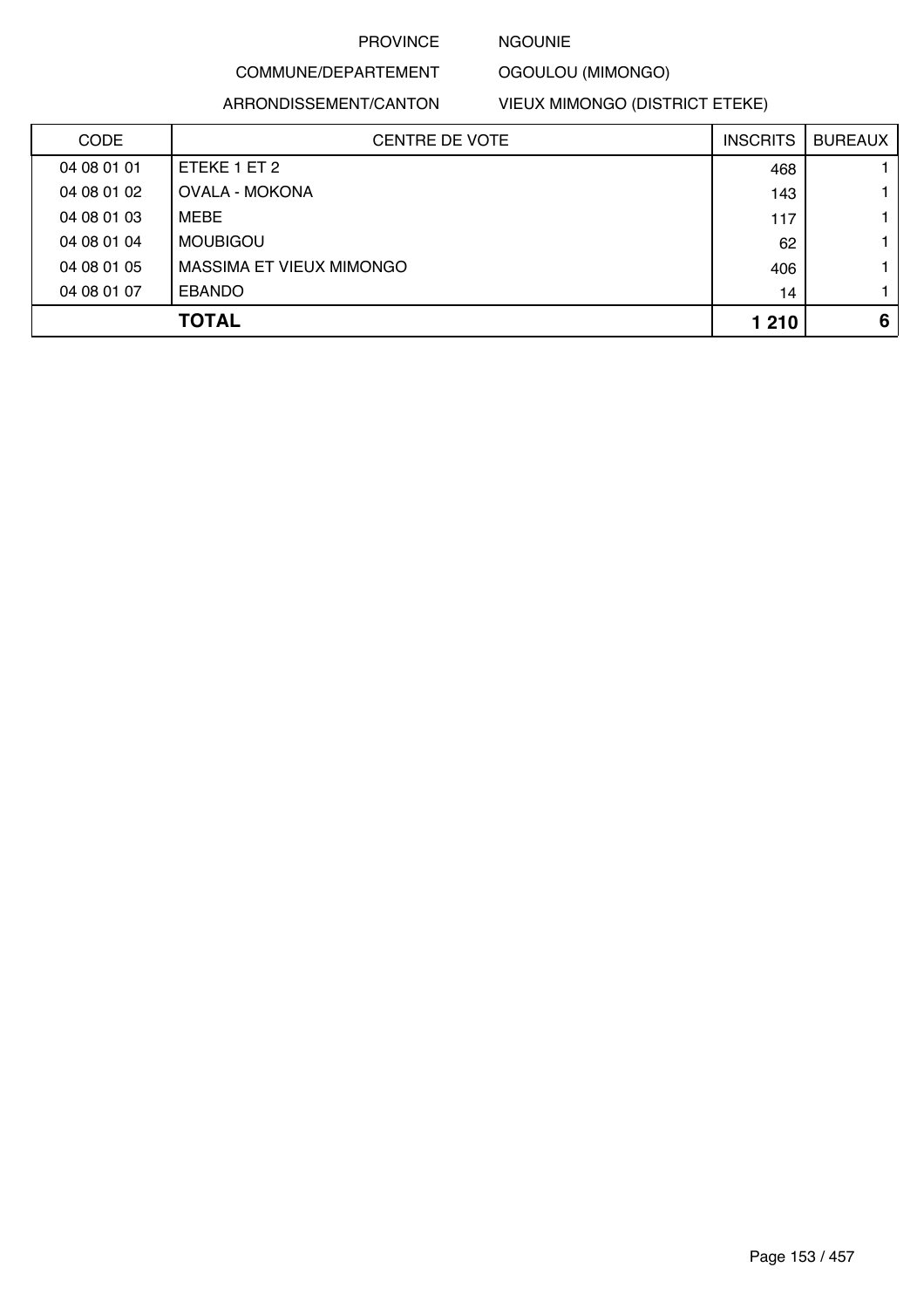### NGOUNIE

#### COMMUNE/DEPARTEMENT OGOULOU (MIMONGO)

ARRONDISSEMENT/CANTON

VIEUX MIMONGO (DISTRICT ETEKE)

| <b>CODE</b> | <b>CENTRE DE VOTE</b>    | <b>INSCRITS</b> | <b>BUREAUX</b> |
|-------------|--------------------------|-----------------|----------------|
| 04 08 01 01 | ETEKE 1 ET 2             | 468             |                |
| 04 08 01 02 | <b>OVALA - MOKONA</b>    | 143             |                |
| 04 08 01 03 | MEBE                     | 117             |                |
| 04 08 01 04 | <b>MOUBIGOU</b>          | 62              |                |
| 04 08 01 05 | MASSIMA ET VIEUX MIMONGO | 406             |                |
| 04 08 01 07 | <b>EBANDO</b>            | 14              |                |
|             | <b>TOTAL</b>             | 1 2 1 0         | 6              |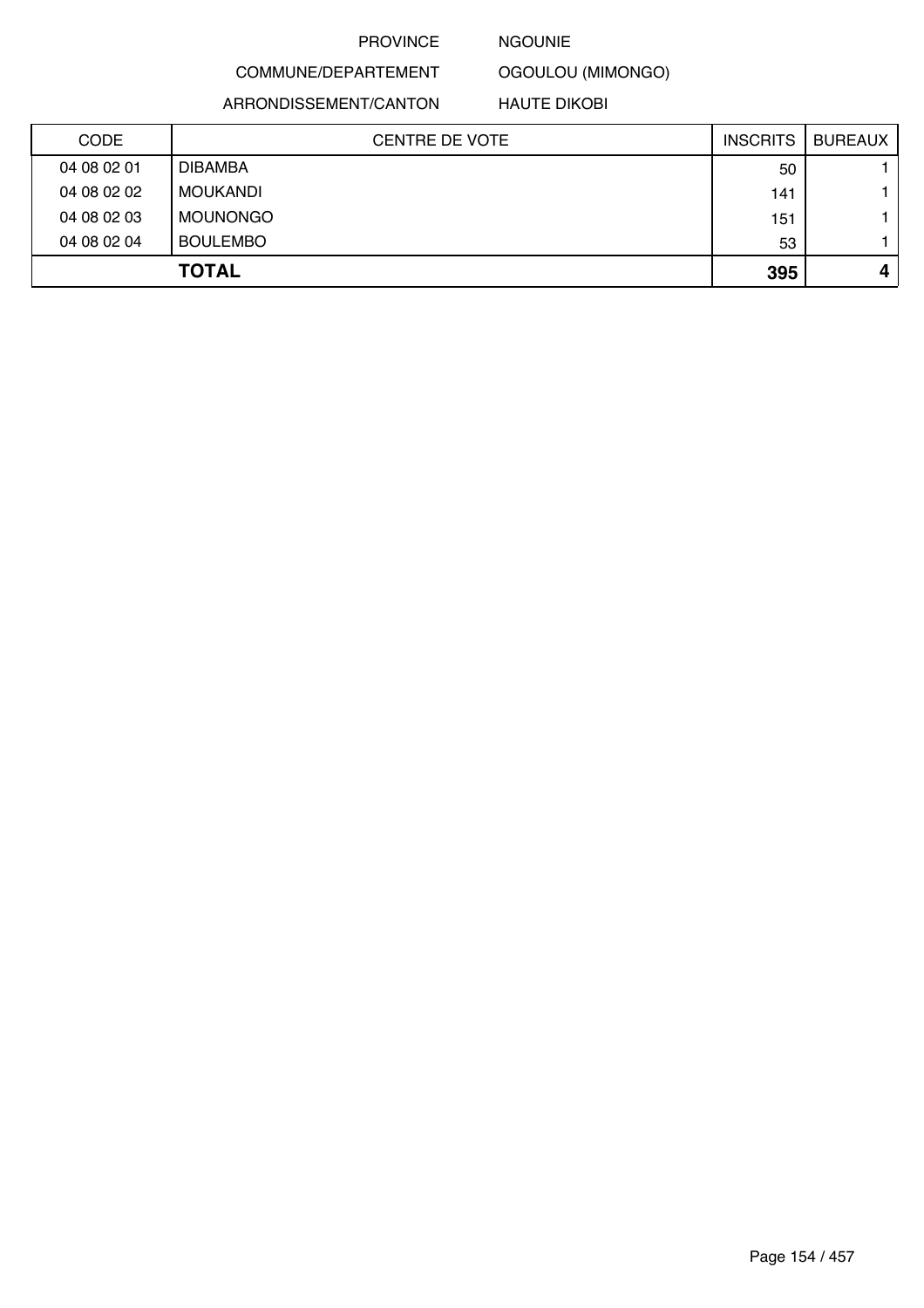#### NGOUNIE

OGOULOU (MIMONGO)

ARRONDISSEMENT/CANTON

COMMUNE/DEPARTEMENT

HAUTE DIKOBI

| <b>CODE</b> | <b>CENTRE DE VOTE</b> | <b>INSCRITS</b> | <b>BUREAUX</b> |
|-------------|-----------------------|-----------------|----------------|
| 04 08 02 01 | <b>DIBAMBA</b>        | 50              |                |
| 04 08 02 02 | MOUKANDI              | 141             |                |
| 04 08 02 03 | <b>MOUNONGO</b>       | 151             |                |
| 04 08 02 04 | <b>BOULEMBO</b>       | 53              |                |
|             | <b>TOTAL</b>          | 395             | 4              |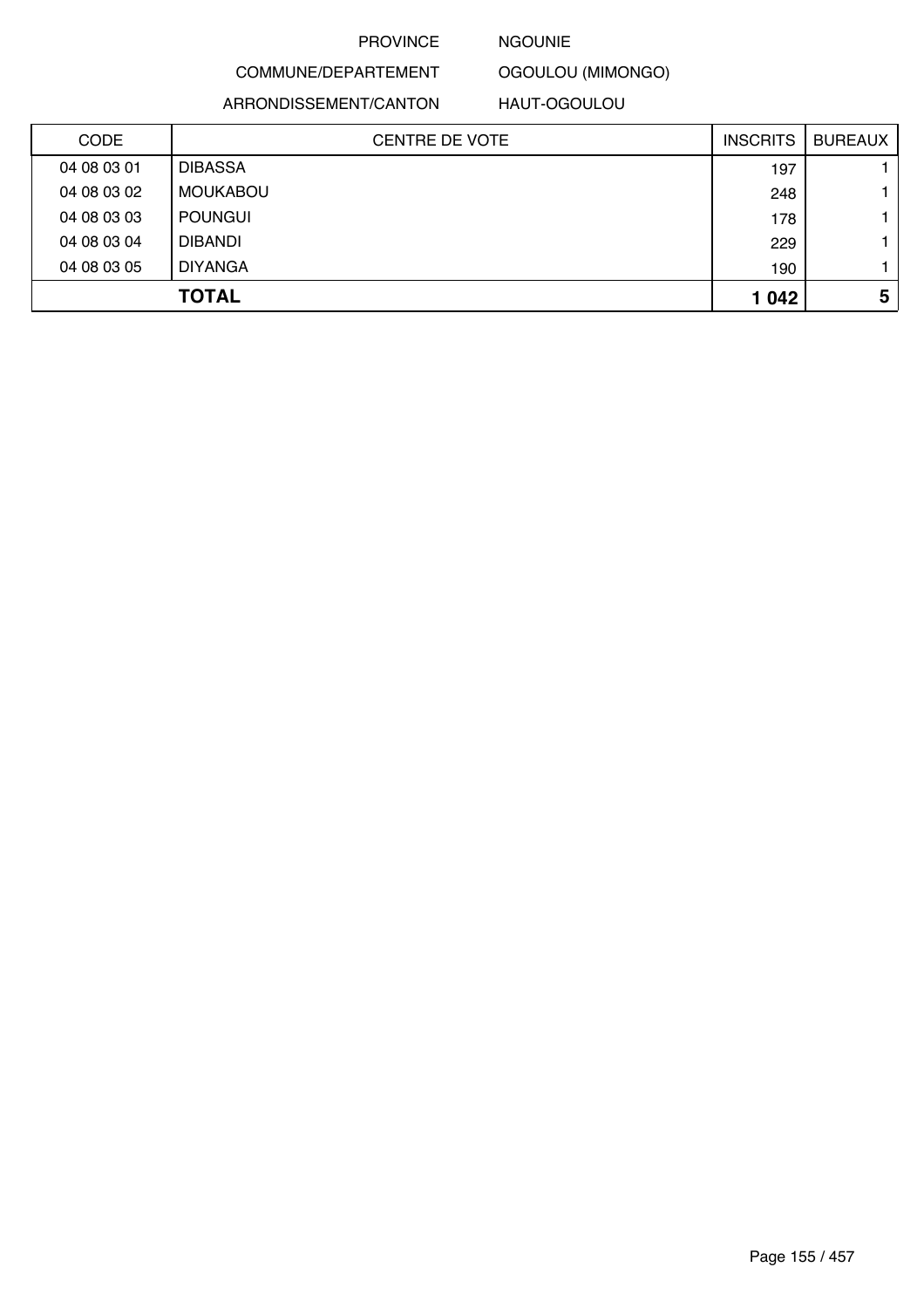#### NGOUNIE

OGOULOU (MIMONGO)

ARRONDISSEMENT/CANTON

COMMUNE/DEPARTEMENT

HAUT-OGOULOU

| <b>CODE</b> | <b>CENTRE DE VOTE</b> | <b>INSCRITS</b> | <b>BUREAUX</b> |
|-------------|-----------------------|-----------------|----------------|
| 04 08 03 01 | <b>DIBASSA</b>        | 197             |                |
| 04 08 03 02 | <b>MOUKABOU</b>       | 248             |                |
| 04 08 03 03 | <b>POUNGUI</b>        | 178             |                |
| 04 08 03 04 | <b>DIBANDI</b>        | 229             |                |
| 04 08 03 05 | <b>DIYANGA</b>        | 190             |                |
|             | <b>TOTAL</b>          | 1 0 4 2         | 5              |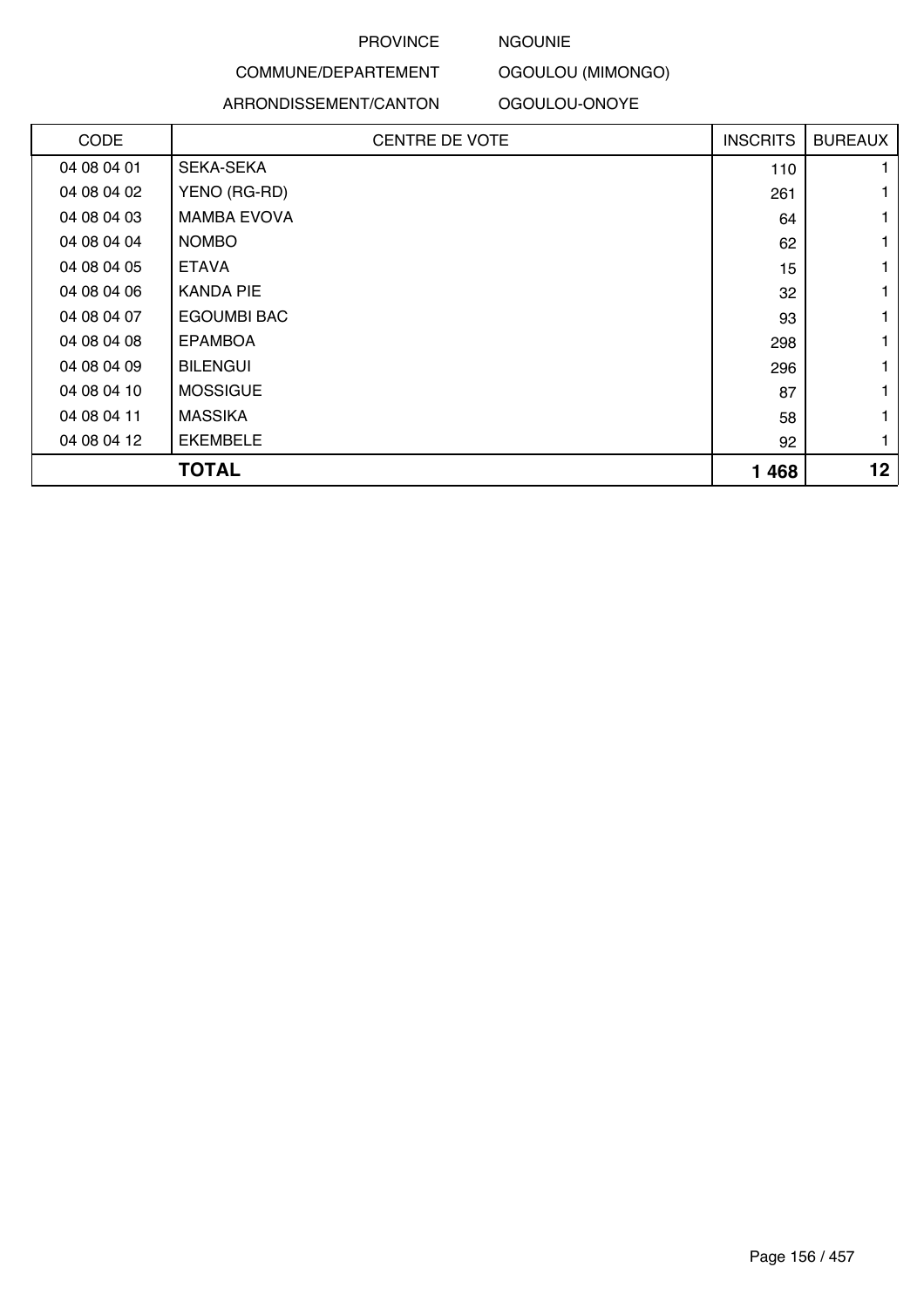### NGOUNIE

OGOULOU (MIMONGO)

#### ARRONDISSEMENT/CANTON

COMMUNE/DEPARTEMENT

OGOULOU-ONOYE

| <b>CODE</b> | <b>CENTRE DE VOTE</b> | <b>INSCRITS</b> | <b>BUREAUX</b> |
|-------------|-----------------------|-----------------|----------------|
| 04 08 04 01 | <b>SEKA-SEKA</b>      | 110             |                |
| 04 08 04 02 | YENO (RG-RD)          | 261             | 1              |
| 04 08 04 03 | <b>MAMBA EVOVA</b>    | 64              | 1              |
| 04 08 04 04 | <b>NOMBO</b>          | 62              | 1              |
| 04 08 04 05 | <b>ETAVA</b>          | 15              |                |
| 04 08 04 06 | <b>KANDA PIE</b>      | 32              |                |
| 04 08 04 07 | <b>EGOUMBI BAC</b>    | 93              | 1              |
| 04 08 04 08 | <b>EPAMBOA</b>        | 298             | 1              |
| 04 08 04 09 | <b>BILENGUI</b>       | 296             | 1              |
| 04 08 04 10 | <b>MOSSIGUE</b>       | 87              | 1              |
| 04 08 04 11 | <b>MASSIKA</b>        | 58              |                |
| 04 08 04 12 | <b>EKEMBELE</b>       | 92              | $\mathbf{1}$   |
|             | <b>TOTAL</b>          | 1468            | 12             |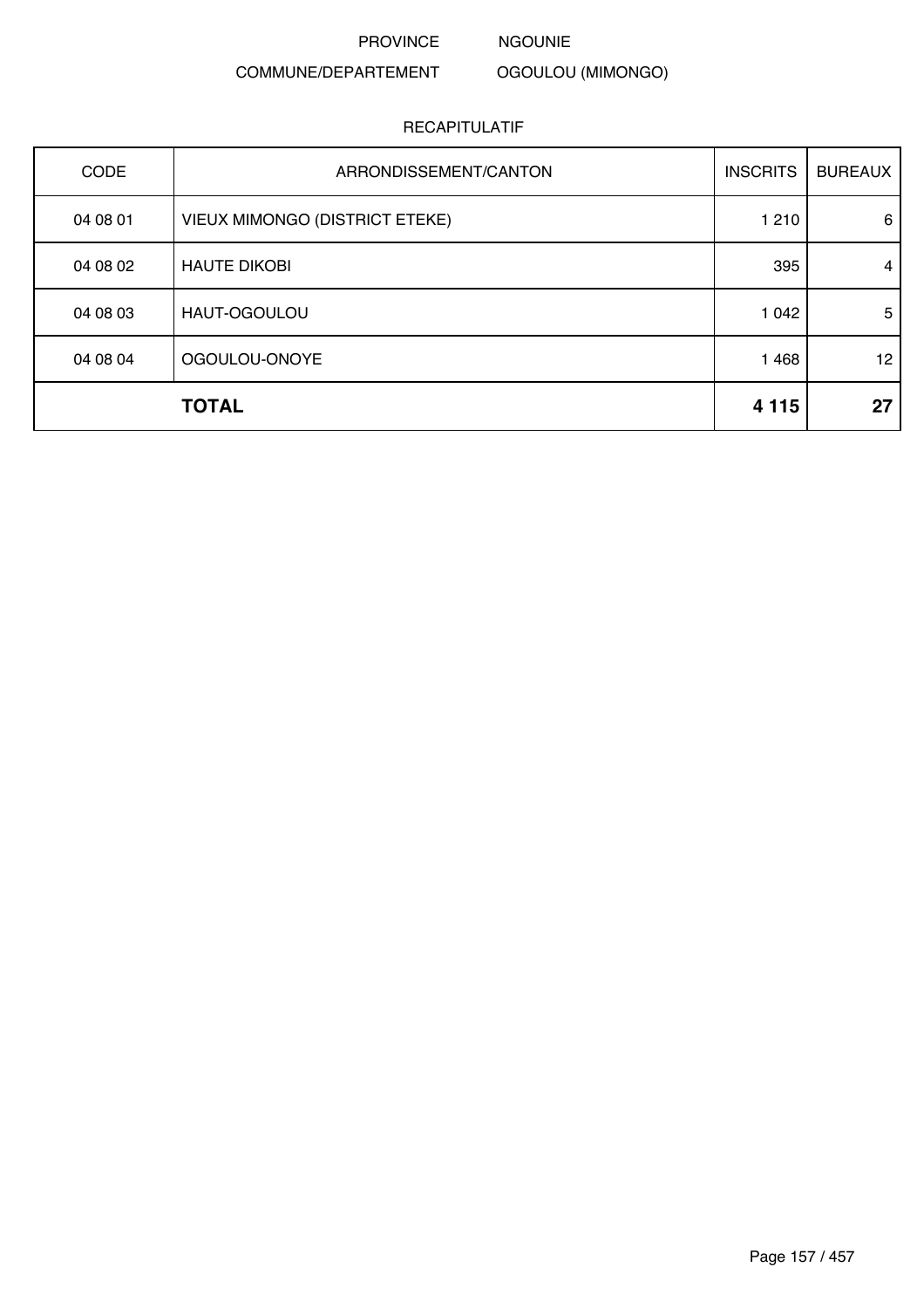PROVINCE NGOUNIE

### COMMUNE/DEPARTEMENT

# OGOULOU (MIMONGO)

| CODE     | ARRONDISSEMENT/CANTON          | <b>INSCRITS</b> | <b>BUREAUX</b> |
|----------|--------------------------------|-----------------|----------------|
| 04 08 01 | VIEUX MIMONGO (DISTRICT ETEKE) | 1 2 1 0         | 6              |
| 04 08 02 | <b>HAUTE DIKOBI</b>            | 395             | 4              |
| 04 08 03 | HAUT-OGOULOU                   | 1 0 4 2         | 5              |
| 04 08 04 | OGOULOU-ONOYE                  | 1 4 6 8         | 12             |
|          | <b>TOTAL</b>                   | 4 1 1 5         | 27             |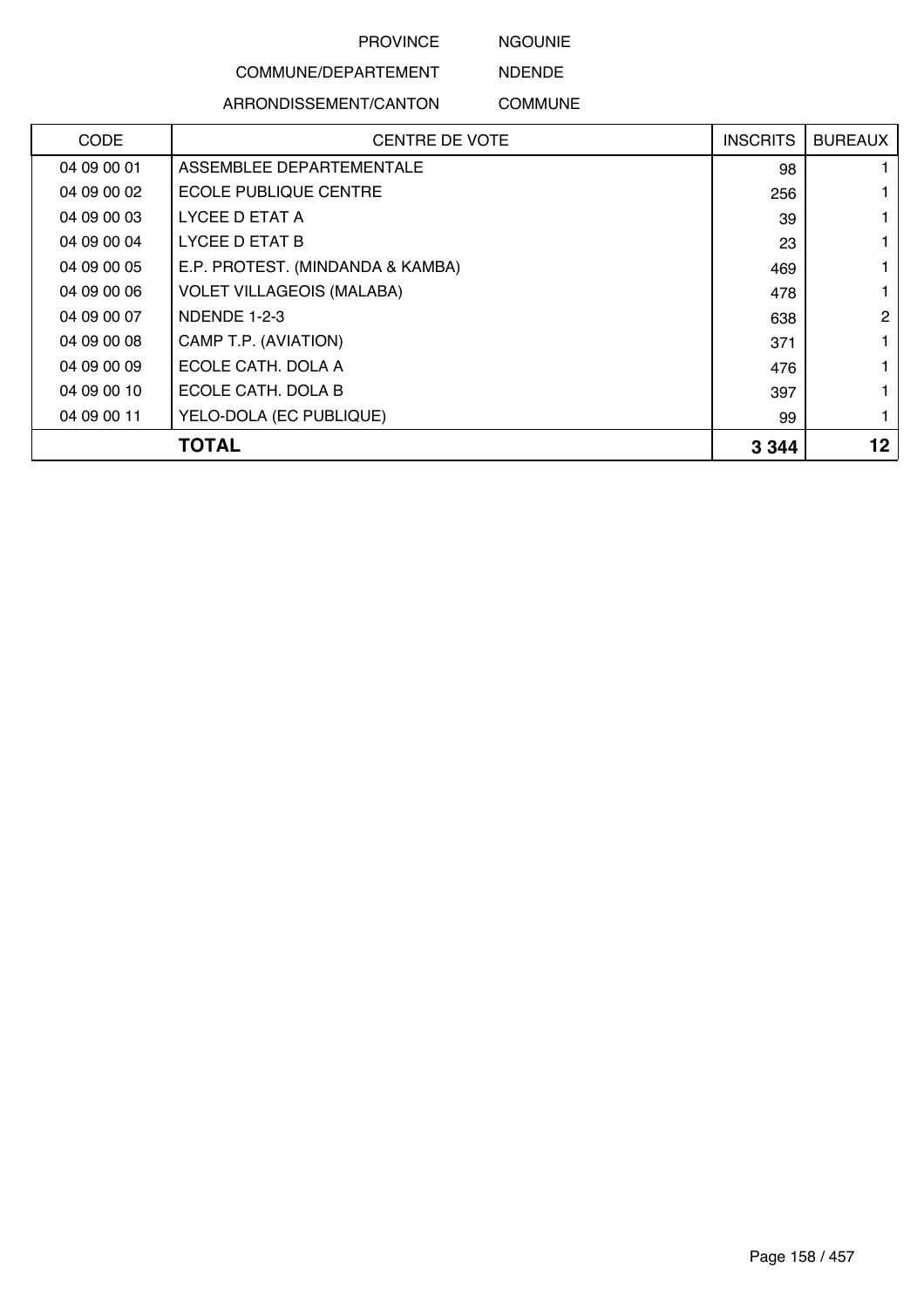NGOUNIE

# COMMUNE/DEPARTEMENT

ARRONDISSEMENT/CANTON

NDENDE COMMUNE

| <b>CODE</b> | <b>CENTRE DE VOTE</b>            | <b>INSCRITS</b> | <b>BUREAUX</b> |
|-------------|----------------------------------|-----------------|----------------|
| 04 09 00 01 | ASSEMBLEE DEPARTEMENTALE         | 98              |                |
| 04 09 00 02 | <b>ECOLE PUBLIQUE CENTRE</b>     | 256             |                |
| 04 09 00 03 | LYCEE D ETAT A                   | 39              |                |
| 04 09 00 04 | LYCEE D ETAT B                   | 23              |                |
| 04 09 00 05 | E.P. PROTEST. (MINDANDA & KAMBA) | 469             |                |
| 04 09 00 06 | <b>VOLET VILLAGEOIS (MALABA)</b> | 478             |                |
| 04 09 00 07 | NDENDE 1-2-3                     | 638             | 2              |
| 04 09 00 08 | CAMP T.P. (AVIATION)             | 371             |                |
| 04 09 00 09 | ECOLE CATH. DOLA A               | 476             |                |
| 04 09 00 10 | ECOLE CATH. DOLA B               | 397             |                |
| 04 09 00 11 | YELO-DOLA (EC PUBLIQUE)          | 99              |                |
|             | <b>TOTAL</b>                     | 3 3 4 4         | 12             |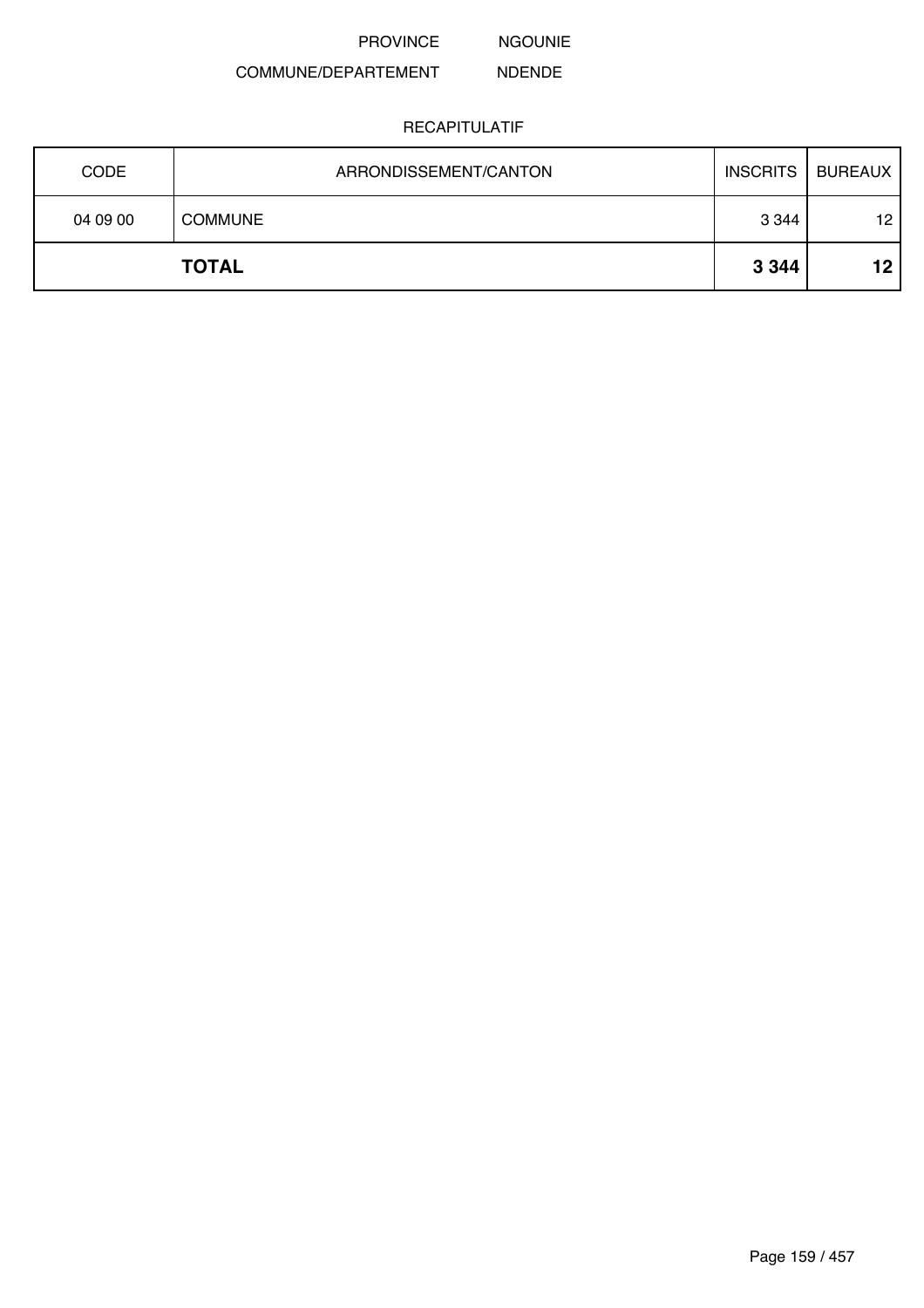NGOUNIE

#### COMMUNE/DEPARTEMENT NDENDE

| <b>CODE</b> | ARRONDISSEMENT/CANTON | <b>INSCRITS</b> | <b>BUREAUX</b> |
|-------------|-----------------------|-----------------|----------------|
| 04 09 00    | <b>COMMUNE</b>        | 3 3 4 4         | 12             |
|             | <b>TOTAL</b>          | 3 3 4 4         | 12             |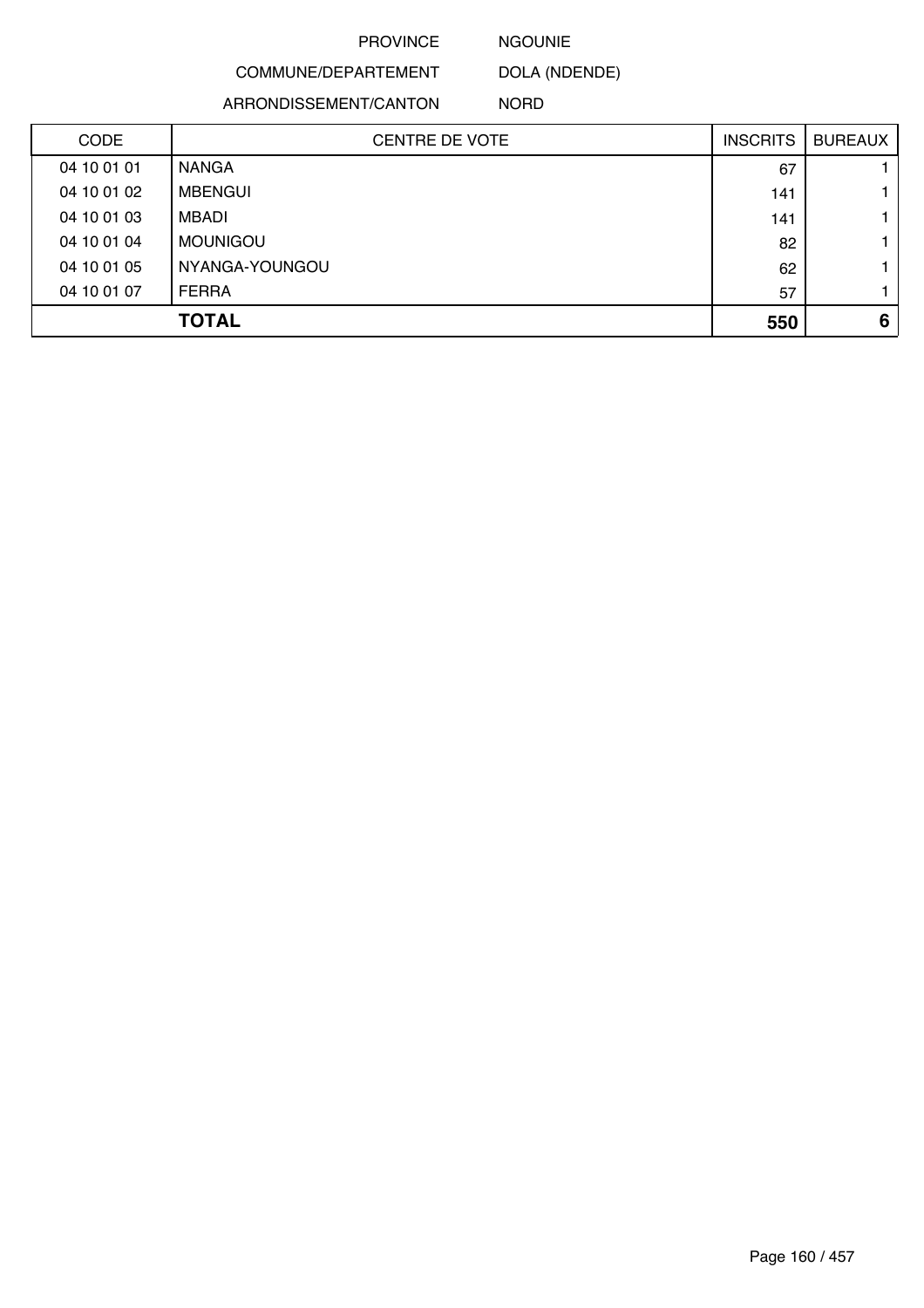NGOUNIE

COMMUNE/DEPARTEMENT DOLA (NDENDE)

ARRONDISSEMENT/CANTON

NORD

| <b>CODE</b> | <b>CENTRE DE VOTE</b> | <b>INSCRITS</b> | <b>BUREAUX</b> |
|-------------|-----------------------|-----------------|----------------|
| 04 10 01 01 | <b>NANGA</b>          | 67              |                |
| 04 10 01 02 | <b>MBENGUI</b>        | 141             |                |
| 04 10 01 03 | MBADI                 | 141             |                |
| 04 10 01 04 | <b>MOUNIGOU</b>       | 82              |                |
| 04 10 01 05 | NYANGA-YOUNGOU        | 62              |                |
| 04 10 01 07 | <b>FERRA</b>          | 57              |                |
|             | <b>TOTAL</b>          | 550             | 6              |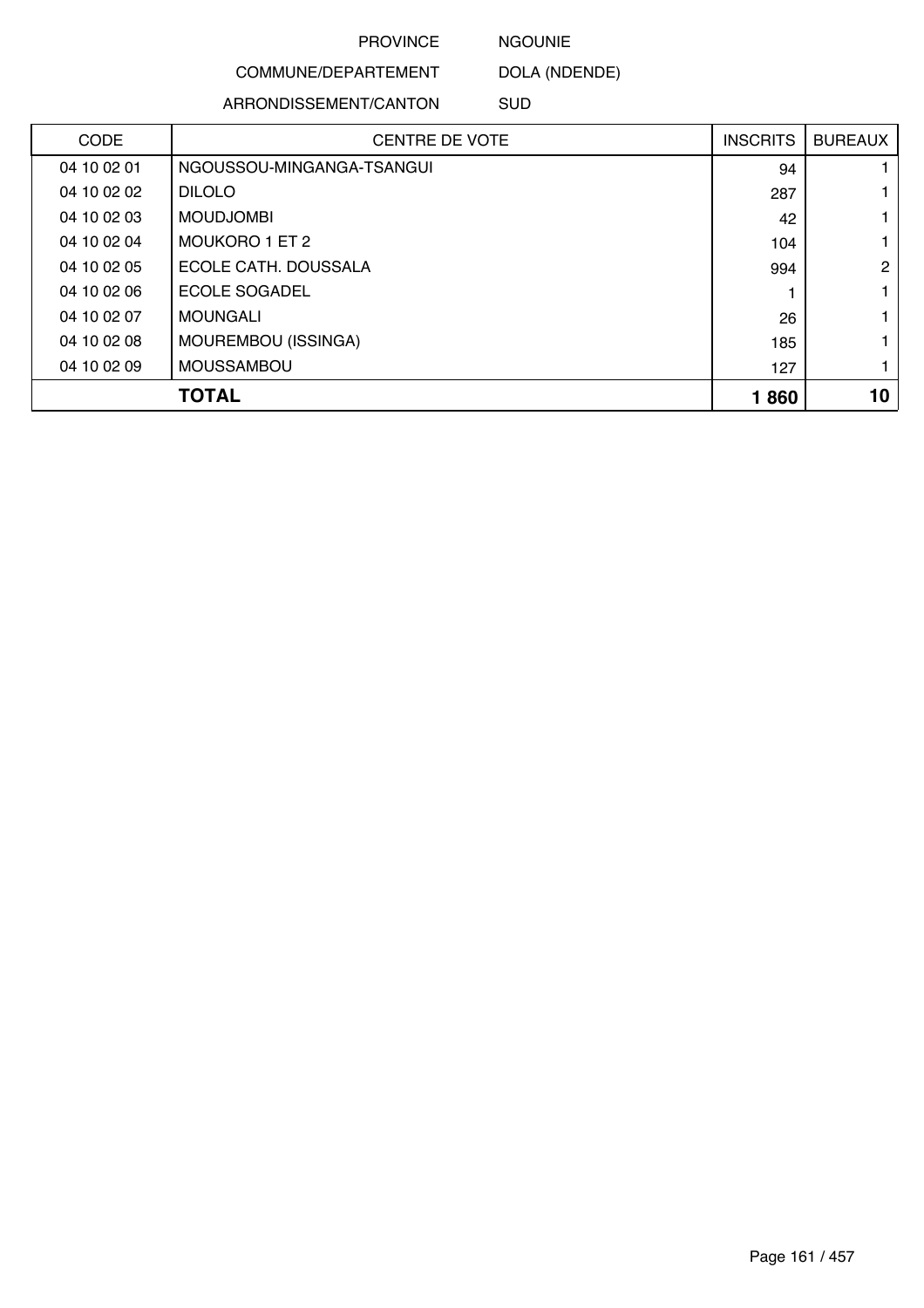NGOUNIE

COMMUNE/DEPARTEMENT DOLA (NDENDE)

ARRONDISSEMENT/CANTON

SUD

| <b>CODE</b> | <b>CENTRE DE VOTE</b>     | <b>INSCRITS</b> | <b>BUREAUX</b> |
|-------------|---------------------------|-----------------|----------------|
| 04 10 02 01 | NGOUSSOU-MINGANGA-TSANGUI | 94              |                |
| 04 10 02 02 | <b>DILOLO</b>             | 287             |                |
| 04 10 02 03 | <b>MOUDJOMBI</b>          | 42              |                |
| 04 10 02 04 | MOUKORO 1 ET 2            | 104             |                |
| 04 10 02 05 | ECOLE CATH, DOUSSALA      | 994             | $\overline{2}$ |
| 04 10 02 06 | ECOLE SOGADEL             |                 |                |
| 04 10 02 07 | <b>MOUNGALI</b>           | 26              |                |
| 04 10 02 08 | MOUREMBOU (ISSINGA)       | 185             |                |
| 04 10 02 09 | <b>MOUSSAMBOU</b>         | 127             |                |
|             | <b>TOTAL</b>              | 1860            | 10             |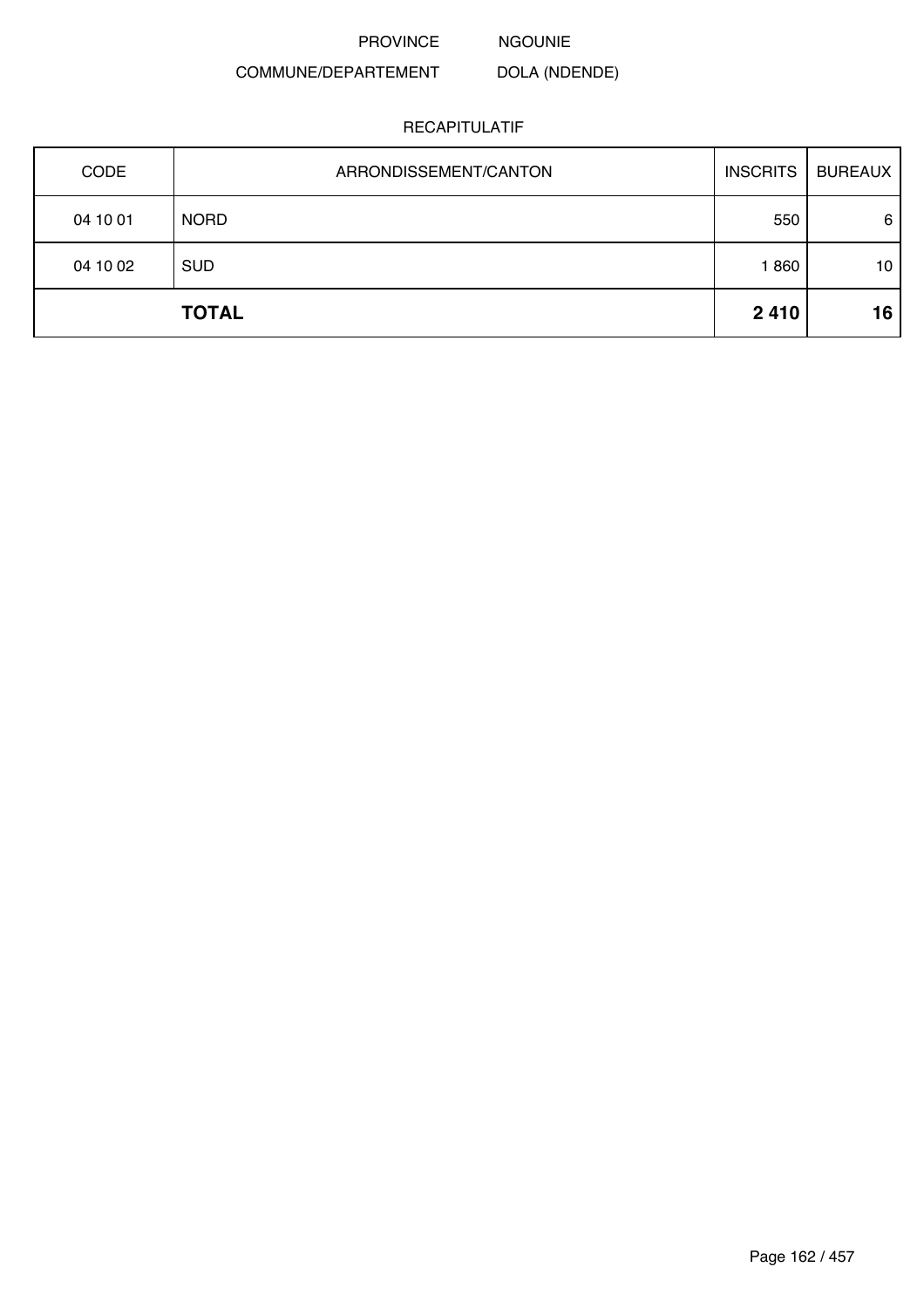NGOUNIE

DOLA (NDENDE)

# COMMUNE/DEPARTEMENT

| CODE     | ARRONDISSEMENT/CANTON | <b>INSCRITS</b> | <b>BUREAUX</b> |
|----------|-----------------------|-----------------|----------------|
| 04 10 01 | <b>NORD</b>           | 550             | 6              |
| 04 10 02 | <b>SUD</b>            | 1860            | 10             |
|          | <b>TOTAL</b>          | 2410            | 16             |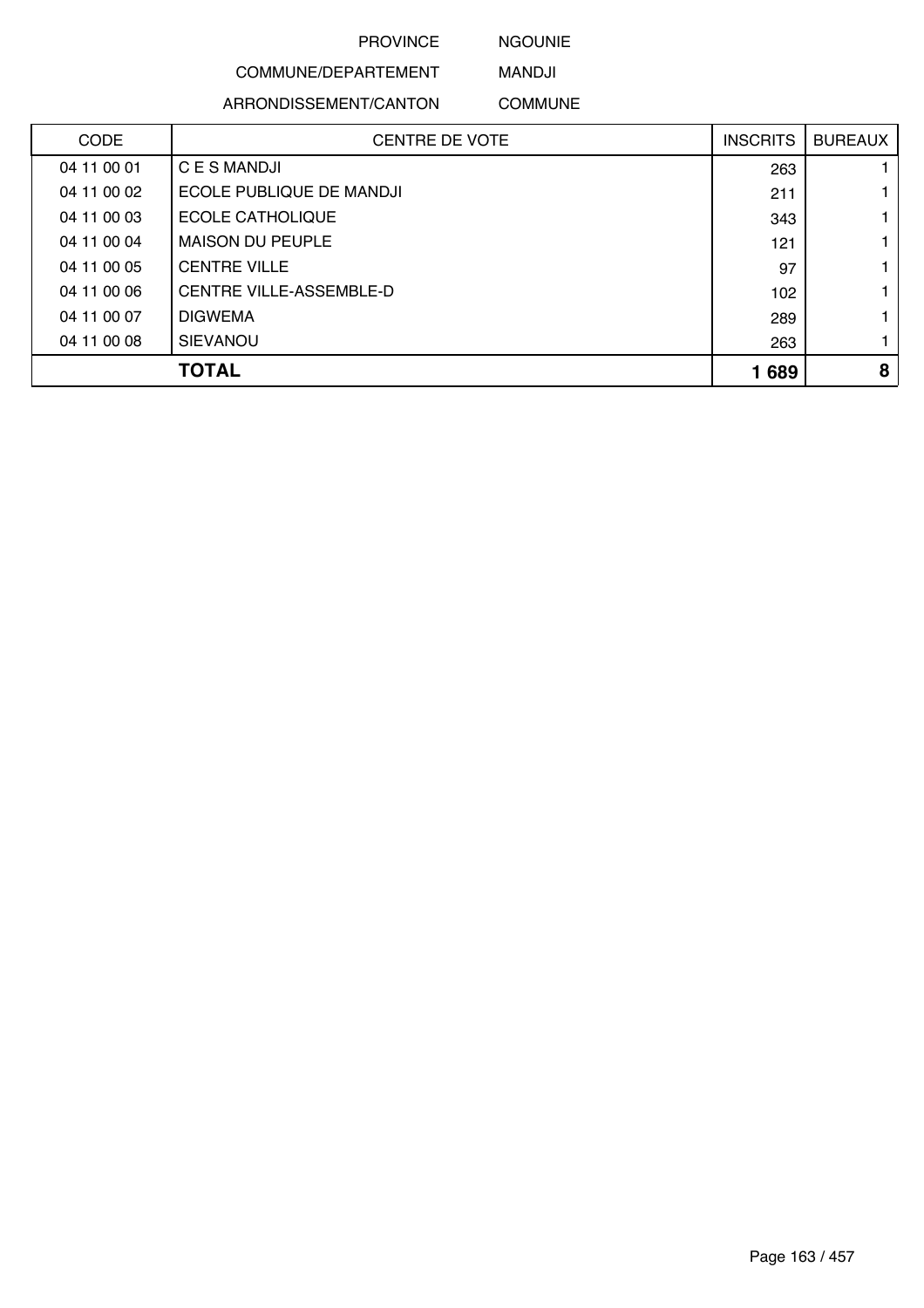NGOUNIE

# COMMUNE/DEPARTEMENT

ARRONDISSEMENT/CANTON

MANDJI COMMUNE

| <b>CODE</b> | <b>CENTRE DE VOTE</b>          | <b>INSCRITS</b> | <b>BUREAUX</b> |
|-------------|--------------------------------|-----------------|----------------|
| 04 11 00 01 | C E S MANDJI                   | 263             |                |
| 04 11 00 02 | ECOLE PUBLIQUE DE MANDJI       | 211             |                |
| 04 11 00 03 | <b>ECOLE CATHOLIQUE</b>        | 343             |                |
| 04 11 00 04 | <b>MAISON DU PEUPLE</b>        | 121             |                |
| 04 11 00 05 | <b>CENTRE VILLE</b>            | 97              |                |
| 04 11 00 06 | <b>CENTRE VILLE-ASSEMBLE-D</b> | 102             |                |
| 04 11 00 07 | <b>DIGWEMA</b>                 | 289             |                |
| 04 11 00 08 | <b>SIEVANOU</b>                | 263             |                |
|             | <b>TOTAL</b>                   | 1689            | 8              |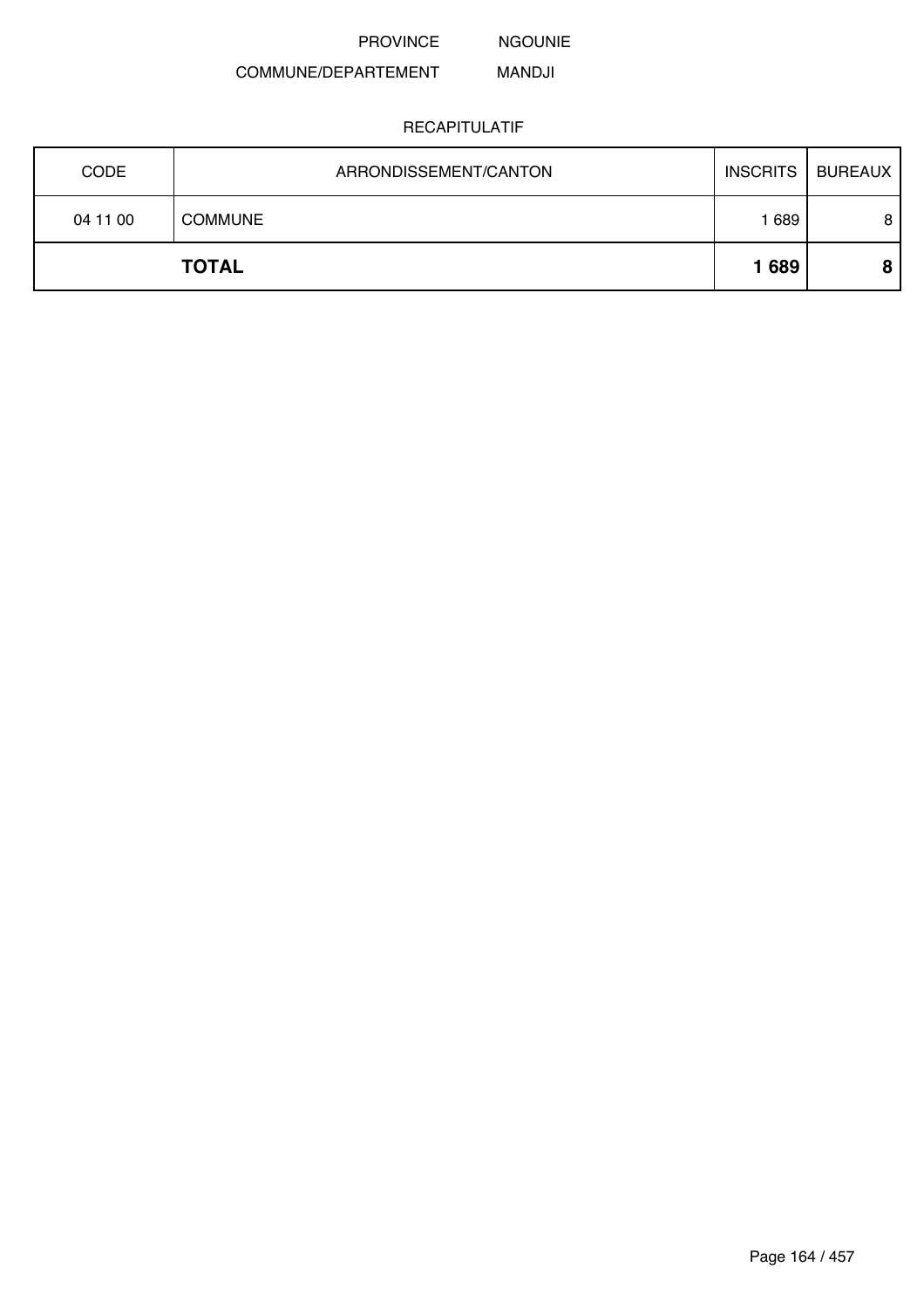NGOUNIE

#### COMMUNE/DEPARTEMENT MANDJI

| <b>CODE</b> | ARRONDISSEMENT/CANTON | <b>INSCRITS</b> | BUREAUX |
|-------------|-----------------------|-----------------|---------|
| 04 11 00    | <b>COMMUNE</b>        | 689             | 8       |
|             | <b>TOTAL</b>          | 1689            |         |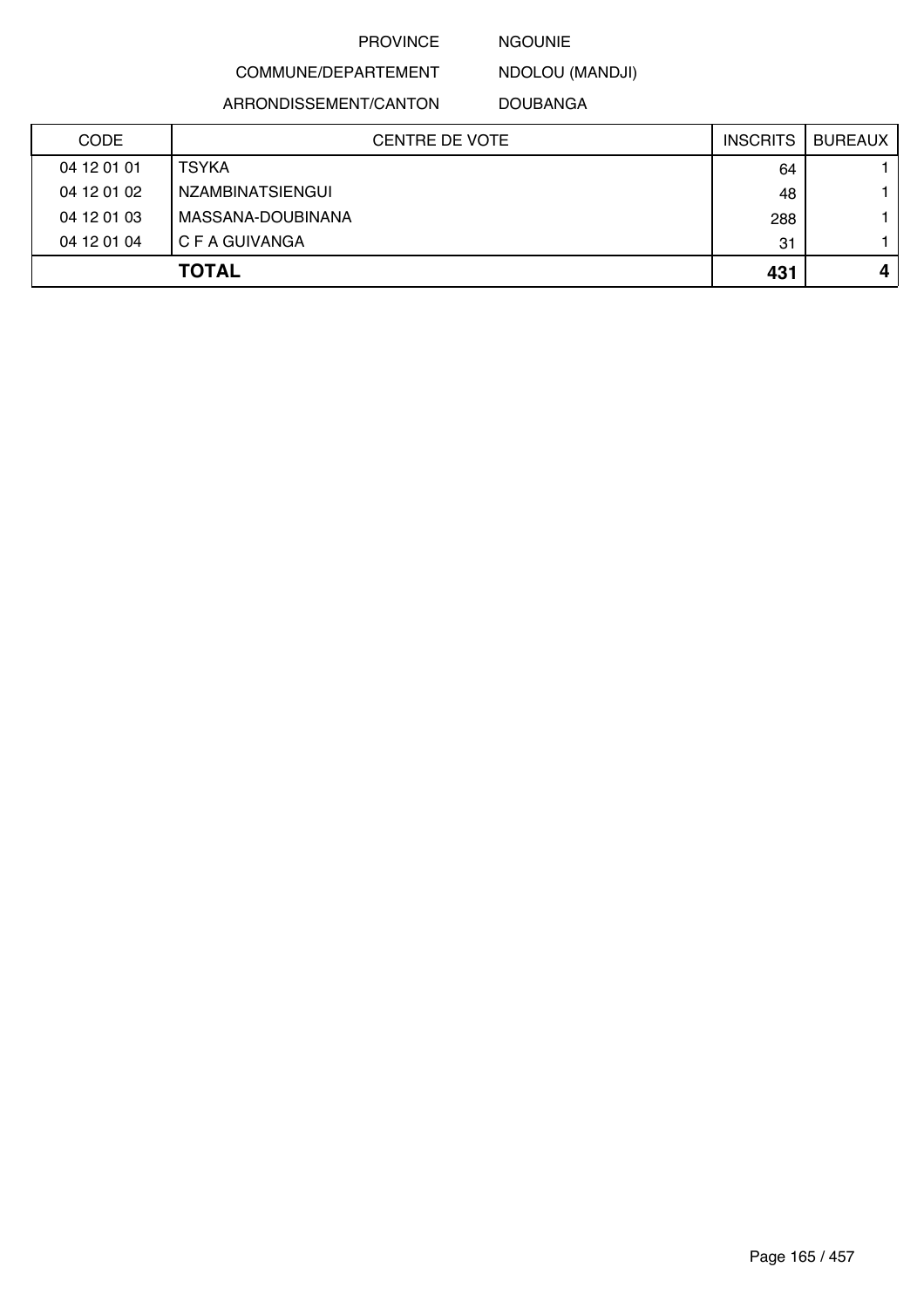### NGOUNIE

NDOLOU (MANDJI)

ARRONDISSEMENT/CANTON

COMMUNE/DEPARTEMENT

DOUBANGA

| <b>CODE</b> | <b>CENTRE DE VOTE</b> | <b>INSCRITS</b> | <b>BUREAUX</b> |
|-------------|-----------------------|-----------------|----------------|
| 04 12 01 01 | <b>TSYKA</b>          | 64              |                |
| 04 12 01 02 | NZAMBINATSIENGUI      | 48              |                |
| 04 12 01 03 | MASSANA-DOUBINANA     | 288             |                |
| 04 12 01 04 | C F A GUIVANGA        | 31              |                |
|             | <b>TOTAL</b>          | 431             |                |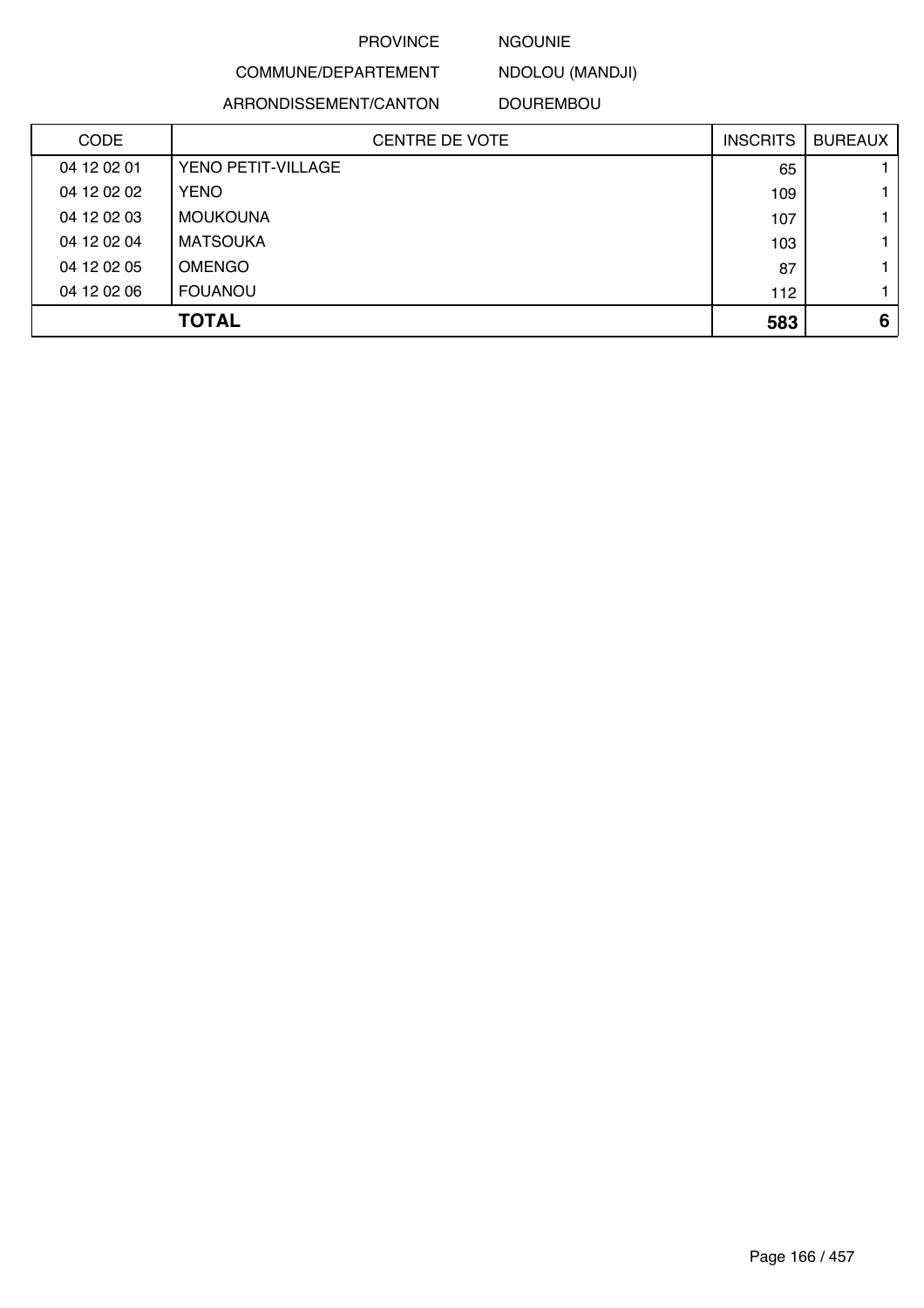#### NGOUNIE

COMMUNE/DEPARTEMENT NDOLOU (MANDJI)

ARRONDISSEMENT/CANTON

DOUREMBOU

| <b>CODE</b> | <b>CENTRE DE VOTE</b> | <b>INSCRITS</b> | <b>BUREAUX</b> |
|-------------|-----------------------|-----------------|----------------|
| 04 12 02 01 | YENO PETIT-VILLAGE    | 65              |                |
| 04 12 02 02 | <b>YENO</b>           | 109             |                |
| 04 12 02 03 | <b>MOUKOUNA</b>       | 107             |                |
| 04 12 02 04 | <b>MATSOUKA</b>       | 103             |                |
| 04 12 02 05 | <b>OMENGO</b>         | 87              |                |
| 04 12 02 06 | <b>FOUANOU</b>        | 112             |                |
|             | <b>TOTAL</b>          | 583             | 6              |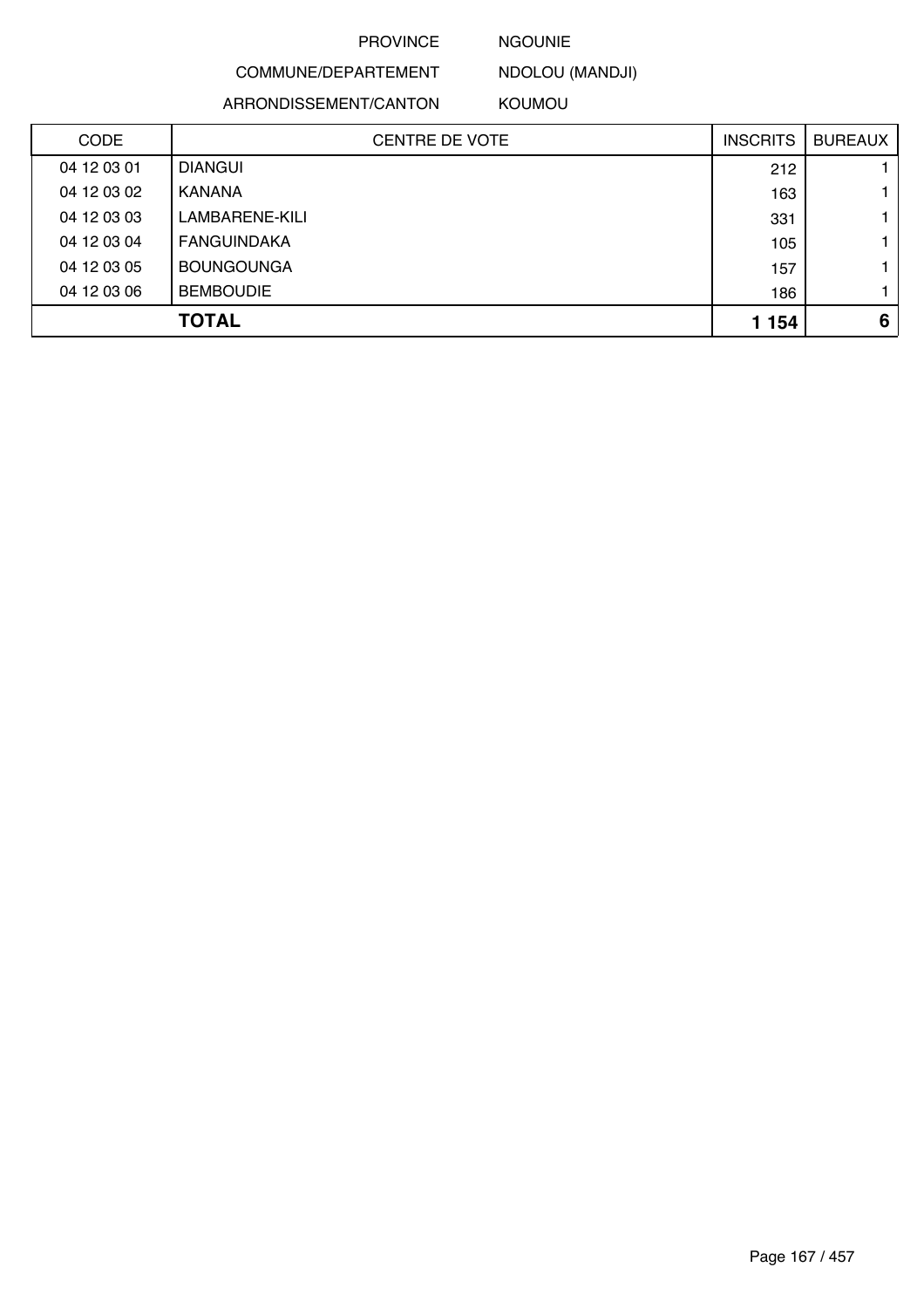#### NGOUNIE

NDOLOU (MANDJI)

ARRONDISSEMENT/CANTON

COMMUNE/DEPARTEMENT

KOUMOU

| <b>CODE</b> | <b>CENTRE DE VOTE</b> | <b>INSCRITS</b> | <b>BUREAUX</b> |
|-------------|-----------------------|-----------------|----------------|
| 04 12 03 01 | <b>DIANGUI</b>        | 212             |                |
| 04 12 03 02 | <b>KANANA</b>         | 163             |                |
| 04 12 03 03 | LAMBARENE-KILI        | 331             |                |
| 04 12 03 04 | FANGUINDAKA           | 105             |                |
| 04 12 03 05 | <b>BOUNGOUNGA</b>     | 157             |                |
| 04 12 03 06 | <b>BEMBOUDIE</b>      | 186             |                |
|             | <b>TOTAL</b>          | 1 1 5 4         | 6              |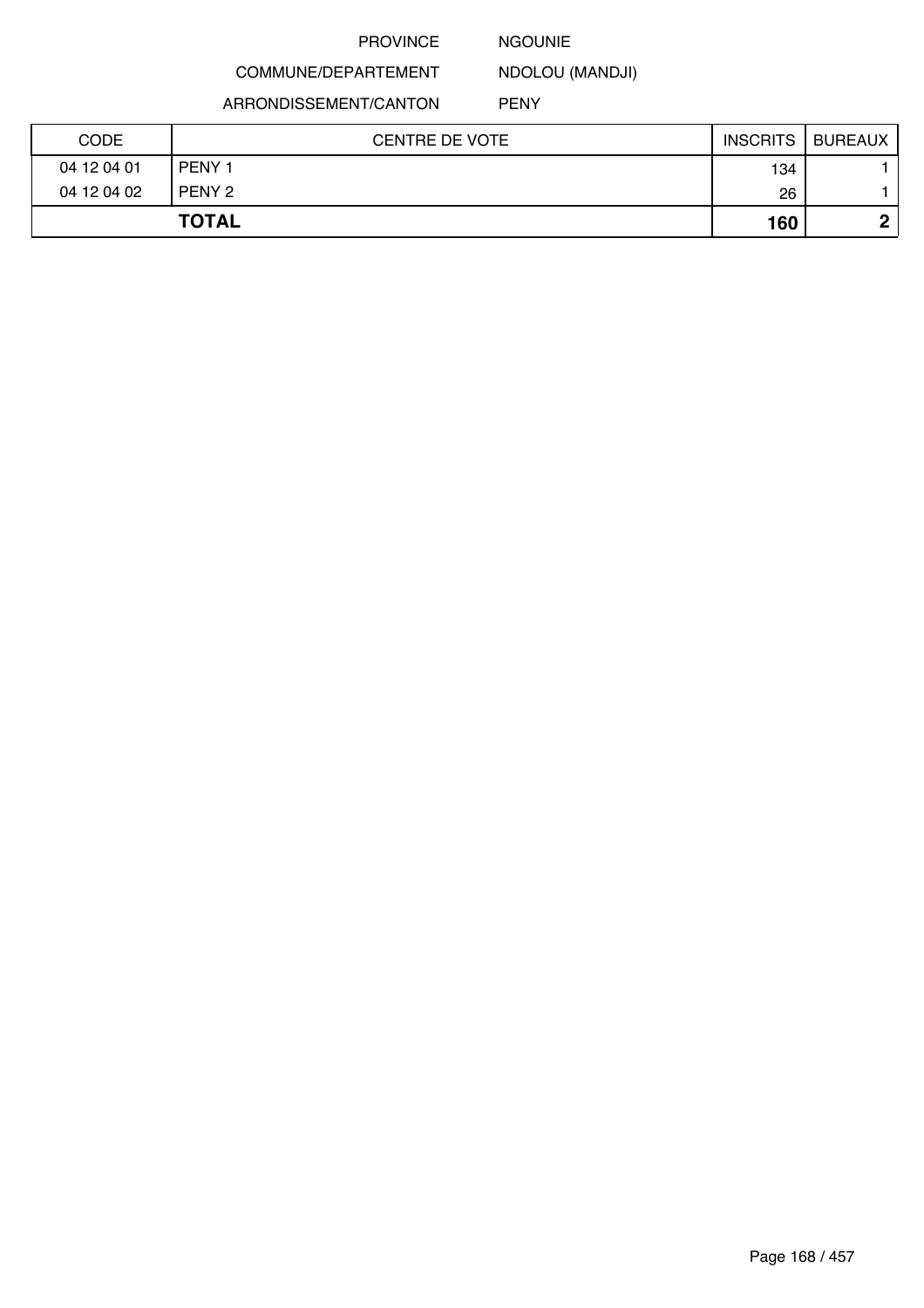#### NGOUNIE

NDOLOU (MANDJI)

ARRONDISSEMENT/CANTON

COMMUNE/DEPARTEMENT

PENY

| <b>CODE</b> | <b>CENTRE DE VOTE</b> | <b>INSCRITS</b> | <b>BUREAUX</b> |
|-------------|-----------------------|-----------------|----------------|
| 04 12 04 01 | PENY <sub>1</sub>     | 134             |                |
| 04 12 04 02 | PENY 2                | 26              |                |
|             | <b>TOTAL</b>          | 160             | n              |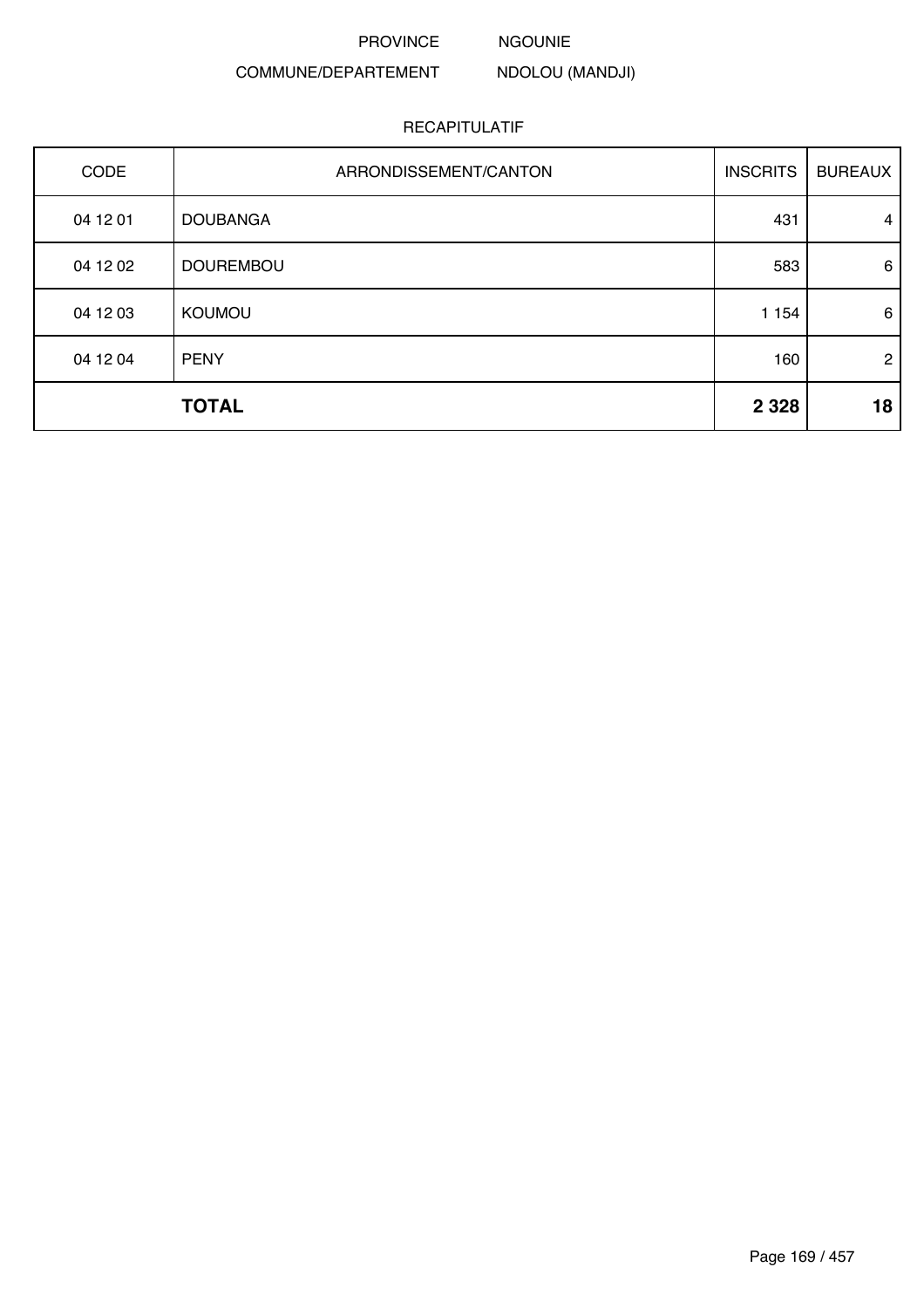NGOUNIE

NDOLOU (MANDJI)

# COMMUNE/DEPARTEMENT

| CODE     | ARRONDISSEMENT/CANTON | <b>INSCRITS</b> | <b>BUREAUX</b> |
|----------|-----------------------|-----------------|----------------|
| 04 12 01 | <b>DOUBANGA</b>       | 431             | $\overline{4}$ |
| 04 12 02 | <b>DOUREMBOU</b>      | 583             | 6              |
| 04 12 03 | <b>KOUMOU</b>         | 1 1 5 4         | 6              |
| 04 12 04 | <b>PENY</b>           | 160             | $\overline{2}$ |
|          | <b>TOTAL</b>          | 2 3 2 8         | 18             |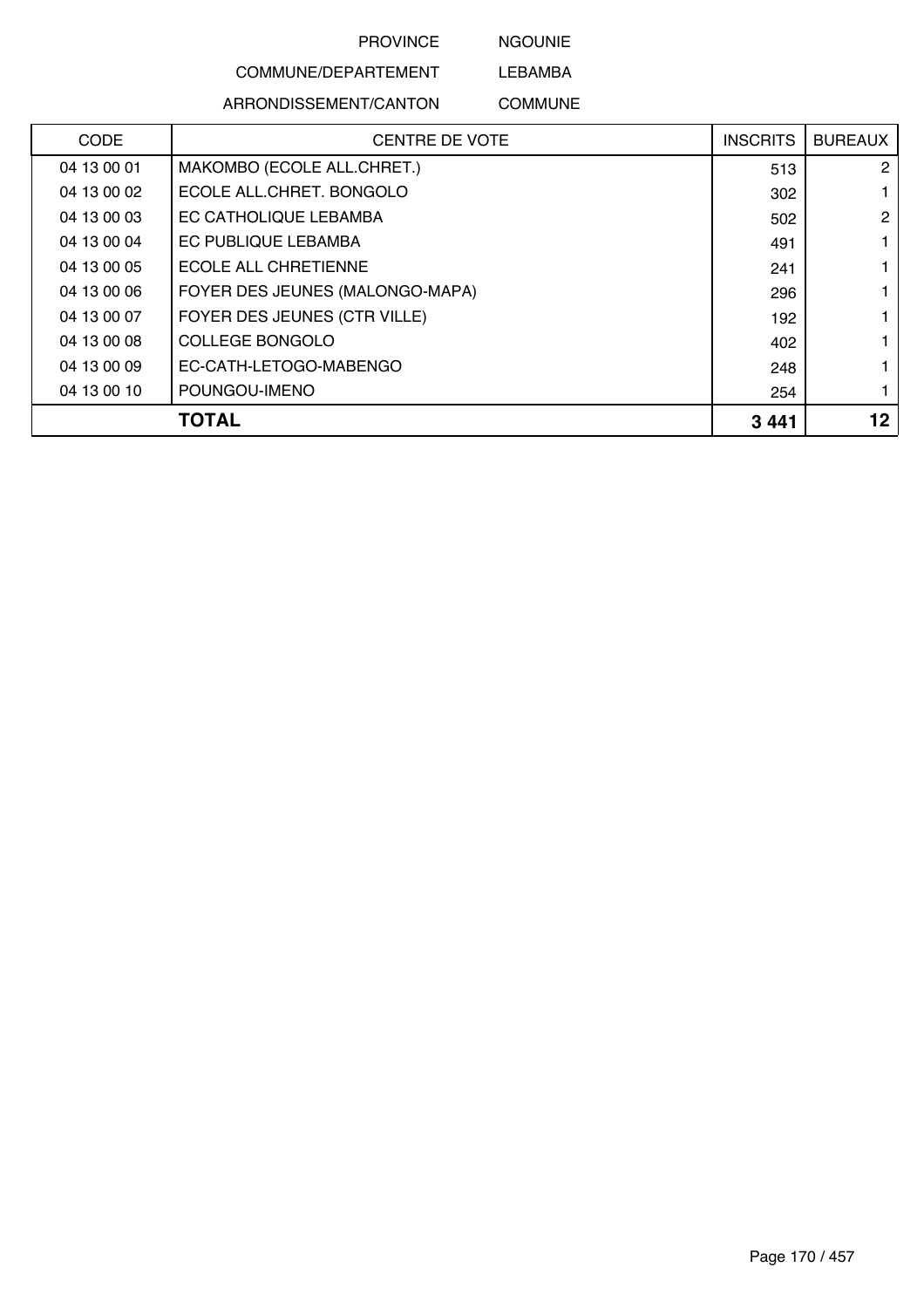NGOUNIE

# COMMUNE/DEPARTEMENT

ARRONDISSEMENT/CANTON

LEBAMBA COMMUNE

|             | TOTAL                           | 3441            | 12             |
|-------------|---------------------------------|-----------------|----------------|
| 04 13 00 10 | POUNGOU-IMENO                   | 254             |                |
| 04 13 00 09 | EC-CATH-LETOGO-MABENGO          | 248             |                |
| 04 13 00 08 | <b>COLLEGE BONGOLO</b>          | 402             |                |
| 04 13 00 07 | FOYER DES JEUNES (CTR VILLE)    | 192             |                |
| 04 13 00 06 | FOYER DES JEUNES (MALONGO-MAPA) | 296             |                |
| 04 13 00 05 | <b>ECOLE ALL CHRETIENNE</b>     | 241             |                |
| 04 13 00 04 | EC PUBLIQUE LEBAMBA             | 491             |                |
| 04 13 00 03 | EC CATHOLIQUE LEBAMBA           | 502             | $\overline{2}$ |
| 04 13 00 02 | ECOLE ALL.CHRET. BONGOLO        | 302             |                |
| 04 13 00 01 | MAKOMBO (ECOLE ALL.CHRET.)      | 513             | 2              |
| <b>CODE</b> | <b>CENTRE DE VOTE</b>           | <b>INSCRITS</b> | <b>BUREAUX</b> |
|             |                                 |                 |                |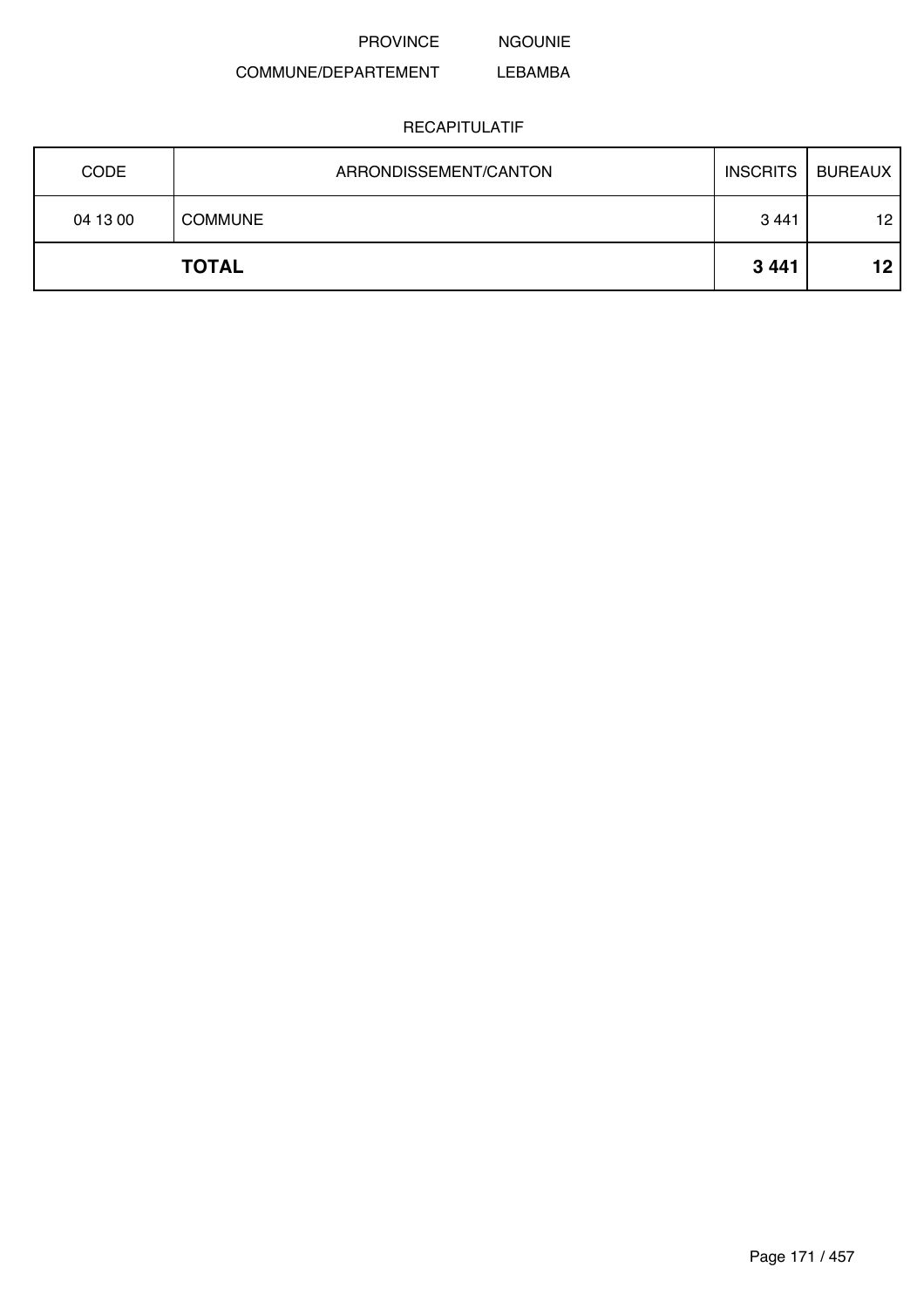NGOUNIE

#### COMMUNE/DEPARTEMENT LEBAMBA

| <b>CODE</b> | ARRONDISSEMENT/CANTON | <b>INSCRITS</b> | <b>BUREAUX</b>  |
|-------------|-----------------------|-----------------|-----------------|
| 04 13 00    | <b>COMMUNE</b>        | 3441            | 12              |
|             | <b>TOTAL</b>          | 3441            | 12 <sub>2</sub> |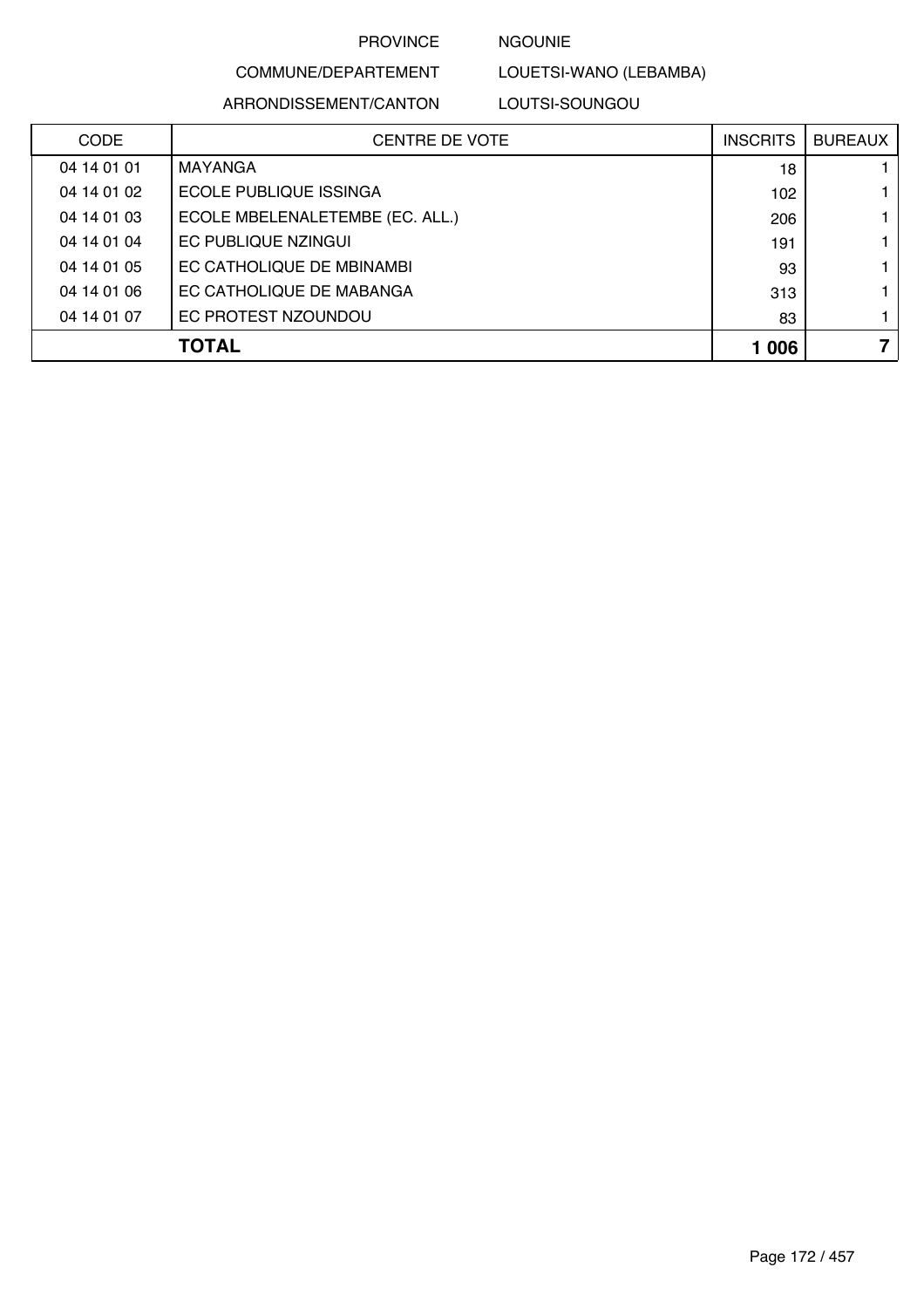NGOUNIE

LOUETSI-WANO (LEBAMBA)

# COMMUNE/DEPARTEMENT

ARRONDISSEMENT/CANTON LOUTSI-SOUNGOU

| <b>CODE</b> | CENTRE DE VOTE                  | <b>INSCRITS</b> | <b>BUREAUX</b> |
|-------------|---------------------------------|-----------------|----------------|
| 04 14 01 01 | MAYANGA                         | 18              |                |
| 04 14 01 02 | ECOLE PUBLIQUE ISSINGA          | 102             |                |
| 04 14 01 03 | ECOLE MBELENALETEMBE (EC. ALL.) | 206             |                |
| 04 14 01 04 | EC PUBLIQUE NZINGUI             | 191             |                |
| 04 14 01 05 | EC CATHOLIQUE DE MBINAMBI       | 93              |                |
| 04 14 01 06 | EC CATHOLIQUE DE MABANGA        | 313             |                |
| 04 14 01 07 | EC PROTEST NZOUNDOU             | 83              | 1.             |
|             | <b>TOTAL</b>                    | 1 0 0 6         | 7              |
|             |                                 |                 |                |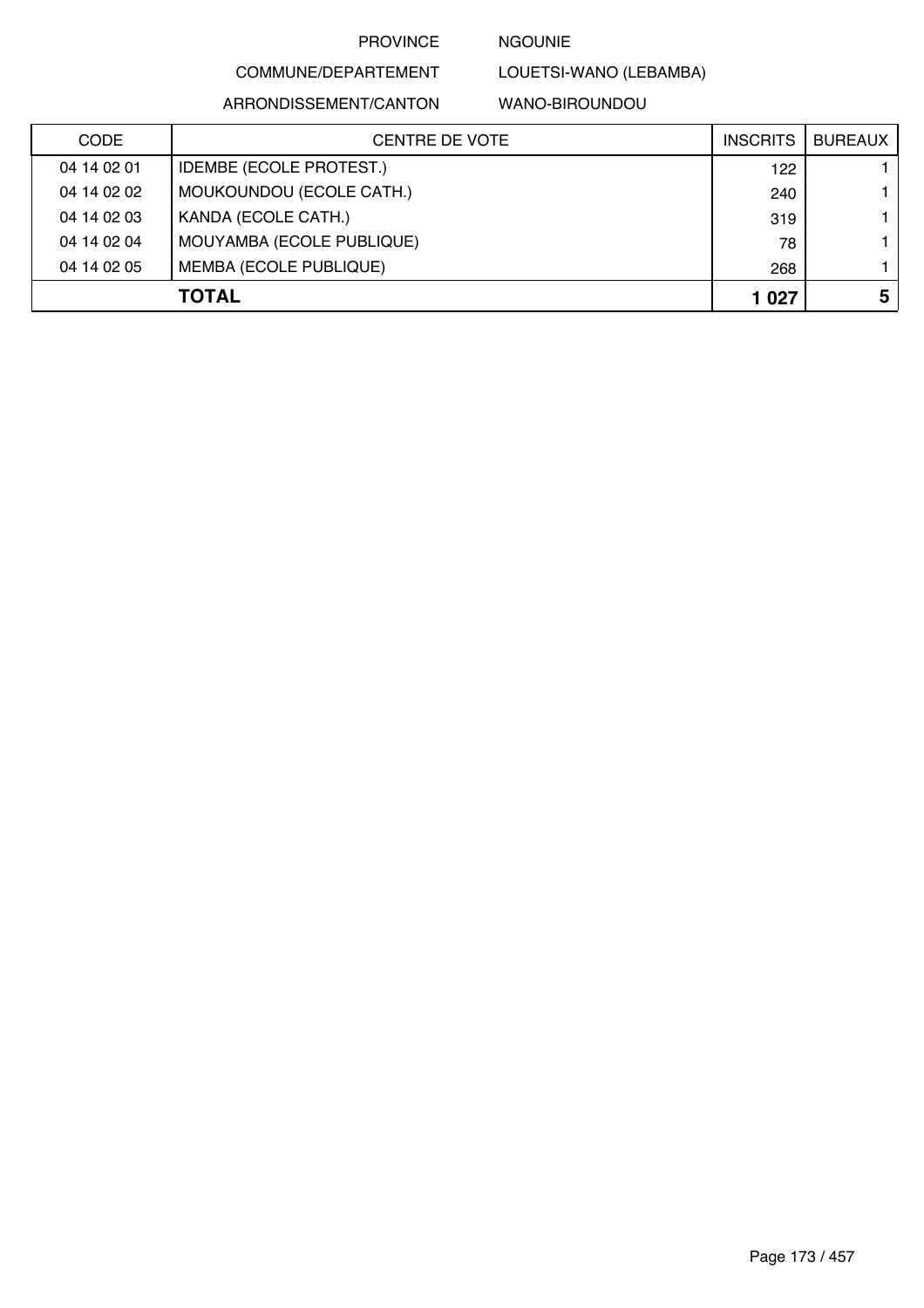### NGOUNIE

LOUETSI-WANO (LEBAMBA)

ARRONDISSEMENT/CANTON

COMMUNE/DEPARTEMENT

WANO-BIROUNDOU

| <b>CODE</b>  | CENTRE DE VOTE                 | <b>INSCRITS</b> | <b>BUREAUX</b> |
|--------------|--------------------------------|-----------------|----------------|
| 04 14 02 01  | <b>IDEMBE (ECOLE PROTEST.)</b> | 122             |                |
| 04 14 02 02  | MOUKOUNDOU (ECOLE CATH.)       | 240             |                |
| 04 14 02 03  | KANDA (ECOLE CATH.)            | 319             |                |
| 04 14 02 04  | MOUYAMBA (ECOLE PUBLIQUE)      | 78              |                |
| 04 14 02 05  | <b>MEMBA (ECOLE PUBLIQUE)</b>  | 268             |                |
| <b>TOTAL</b> |                                | 1 0 2 7         | 5              |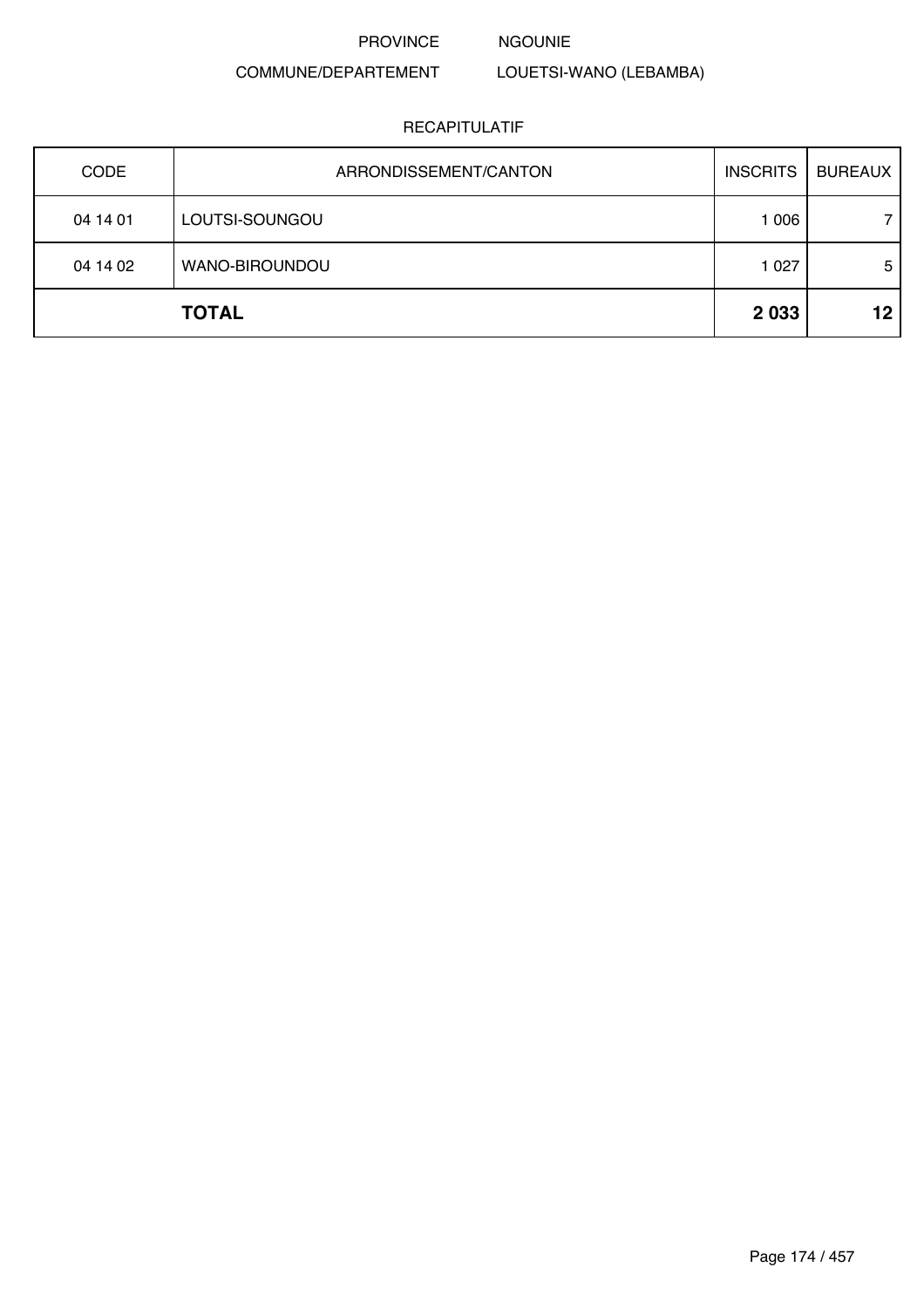NGOUNIE

## COMMUNE/DEPARTEMENT

# LOUETSI-WANO (LEBAMBA)

| <b>CODE</b> | ARRONDISSEMENT/CANTON | <b>INSCRITS</b> | <b>BUREAUX</b> |
|-------------|-----------------------|-----------------|----------------|
| 04 14 01    | LOUTSI-SOUNGOU        | 1 0 0 6         |                |
| 04 14 02    | WANO-BIROUNDOU        | 1 0 2 7         | 5              |
|             | <b>TOTAL</b>          | 2 0 3 3         | 12             |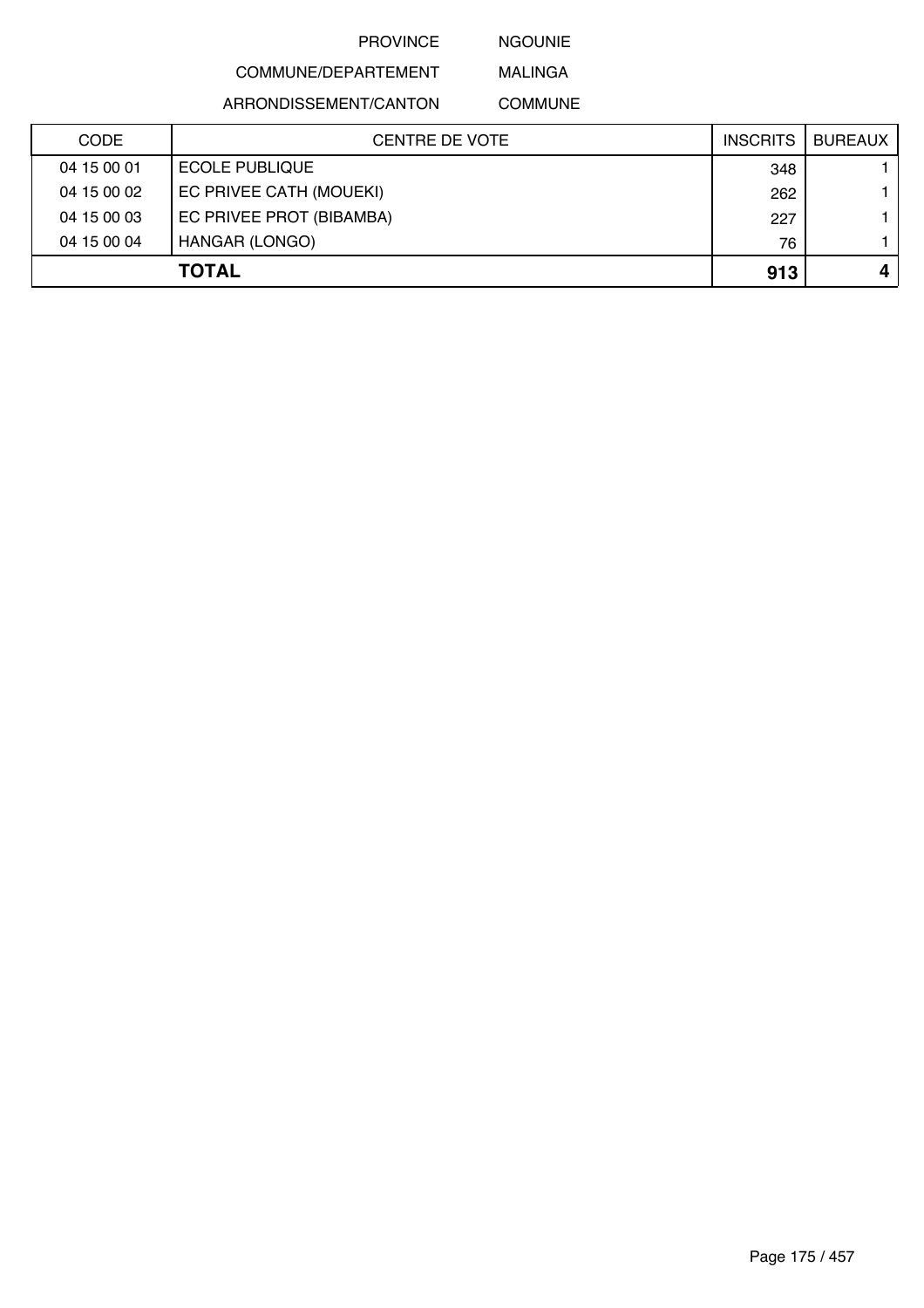NGOUNIE

# COMMUNE/DEPARTEMENT

ARRONDISSEMENT/CANTON

MALINGA COMMUNE

| <b>CODE</b> | <b>CENTRE DE VOTE</b>    | <b>INSCRITS</b> | <b>BUREAUX</b> |
|-------------|--------------------------|-----------------|----------------|
| 04 15 00 01 | <b>ECOLE PUBLIQUE</b>    | 348             |                |
| 04 15 00 02 | EC PRIVEE CATH (MOUEKI)  | 262             |                |
| 04 15 00 03 | EC PRIVEE PROT (BIBAMBA) | 227             |                |
| 04 15 00 04 | HANGAR (LONGO)           | 76              |                |
|             | <b>TOTAL</b>             | 913             |                |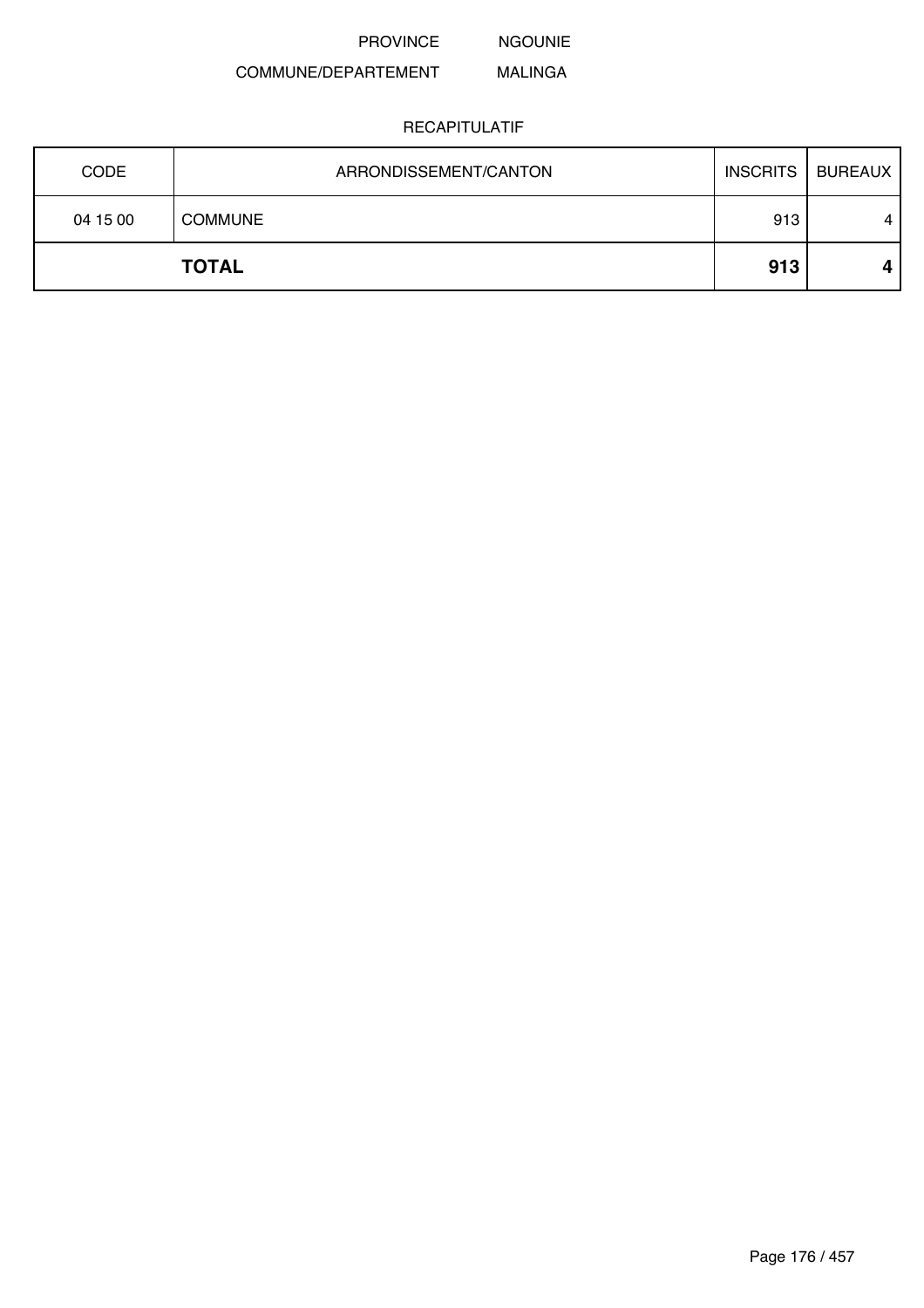NGOUNIE

#### COMMUNE/DEPARTEMENT MALINGA

| <b>CODE</b> | ARRONDISSEMENT/CANTON | <b>INSCRITS</b> | <b>BUREAUX</b> |
|-------------|-----------------------|-----------------|----------------|
| 04 15 00    | <b>COMMUNE</b>        | 913             | 4              |
|             | <b>TOTAL</b>          | 913             | 4              |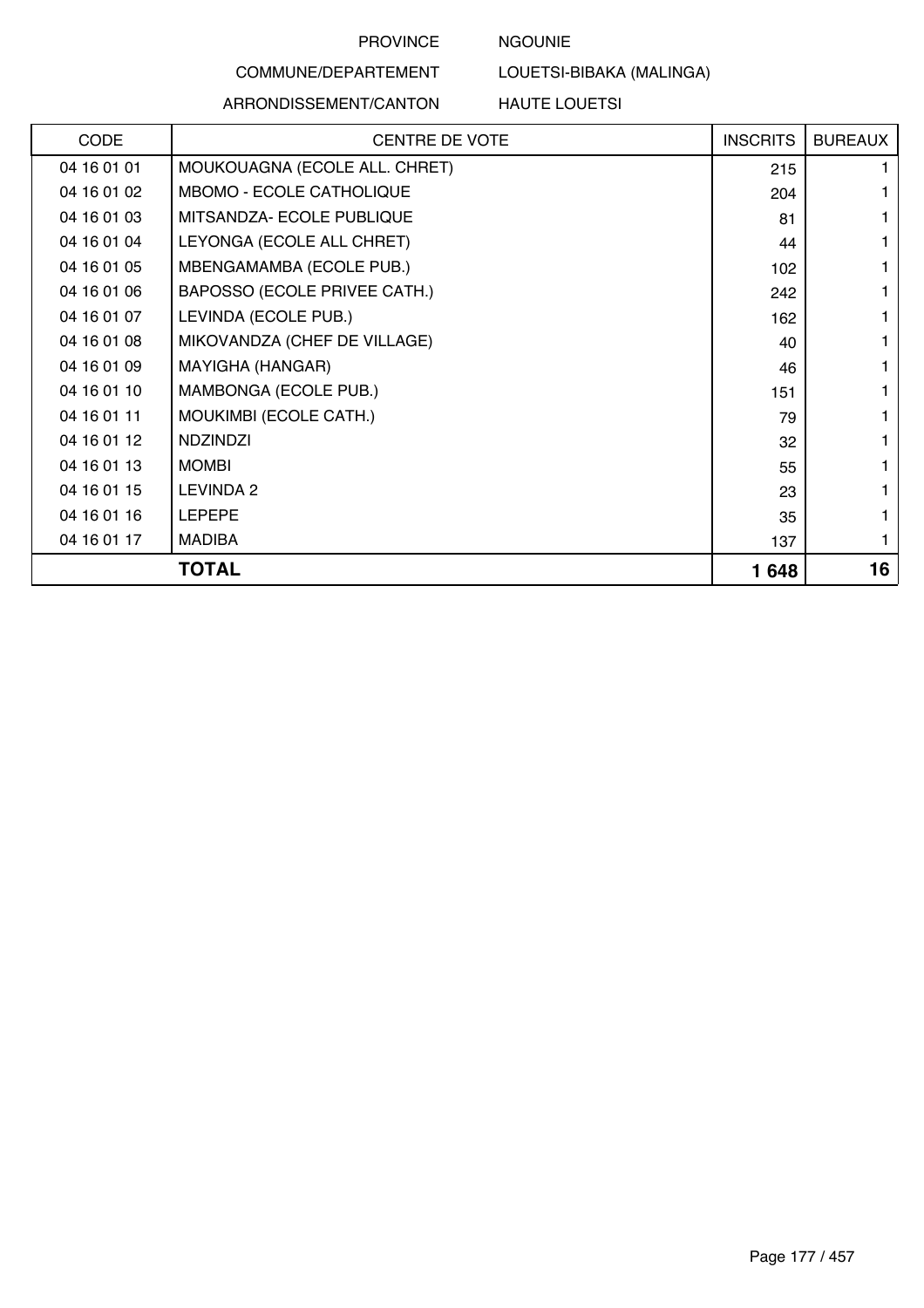## NGOUNIE

# COMMUNE/DEPARTEMENT

## ARRONDISSEMENT/CANTON

LOUETSI-BIBAKA (MALINGA)

HAUTE LOUETSI

| CODE        | <b>CENTRE DE VOTE</b>           | <b>INSCRITS</b> | <b>BUREAUX</b> |
|-------------|---------------------------------|-----------------|----------------|
| 04 16 01 01 | MOUKOUAGNA (ECOLE ALL. CHRET)   | 215             |                |
| 04 16 01 02 | <b>MBOMO - ECOLE CATHOLIQUE</b> | 204             |                |
| 04 16 01 03 | MITSANDZA- ECOLE PUBLIQUE       | 81              |                |
| 04 16 01 04 | LEYONGA (ECOLE ALL CHRET)       | 44              |                |
| 04 16 01 05 | MBENGAMAMBA (ECOLE PUB.)        | 102             |                |
| 04 16 01 06 | BAPOSSO (ECOLE PRIVEE CATH.)    | 242             |                |
| 04 16 01 07 | LEVINDA (ECOLE PUB.)            | 162             |                |
| 04 16 01 08 | MIKOVANDZA (CHEF DE VILLAGE)    | 40              |                |
| 04 16 01 09 | MAYIGHA (HANGAR)                | 46              |                |
| 04 16 01 10 | MAMBONGA (ECOLE PUB.)           | 151             |                |
| 04 16 01 11 | MOUKIMBI (ECOLE CATH.)          | 79              |                |
| 04 16 01 12 | <b>NDZINDZI</b>                 | 32              |                |
| 04 16 01 13 | <b>MOMBI</b>                    | 55              |                |
| 04 16 01 15 | LEVINDA 2                       | 23              |                |
| 04 16 01 16 | <b>LEPEPE</b>                   | 35              |                |
| 04 16 01 17 | <b>MADIBA</b>                   | 137             |                |
|             | <b>TOTAL</b>                    | 1648            | 16             |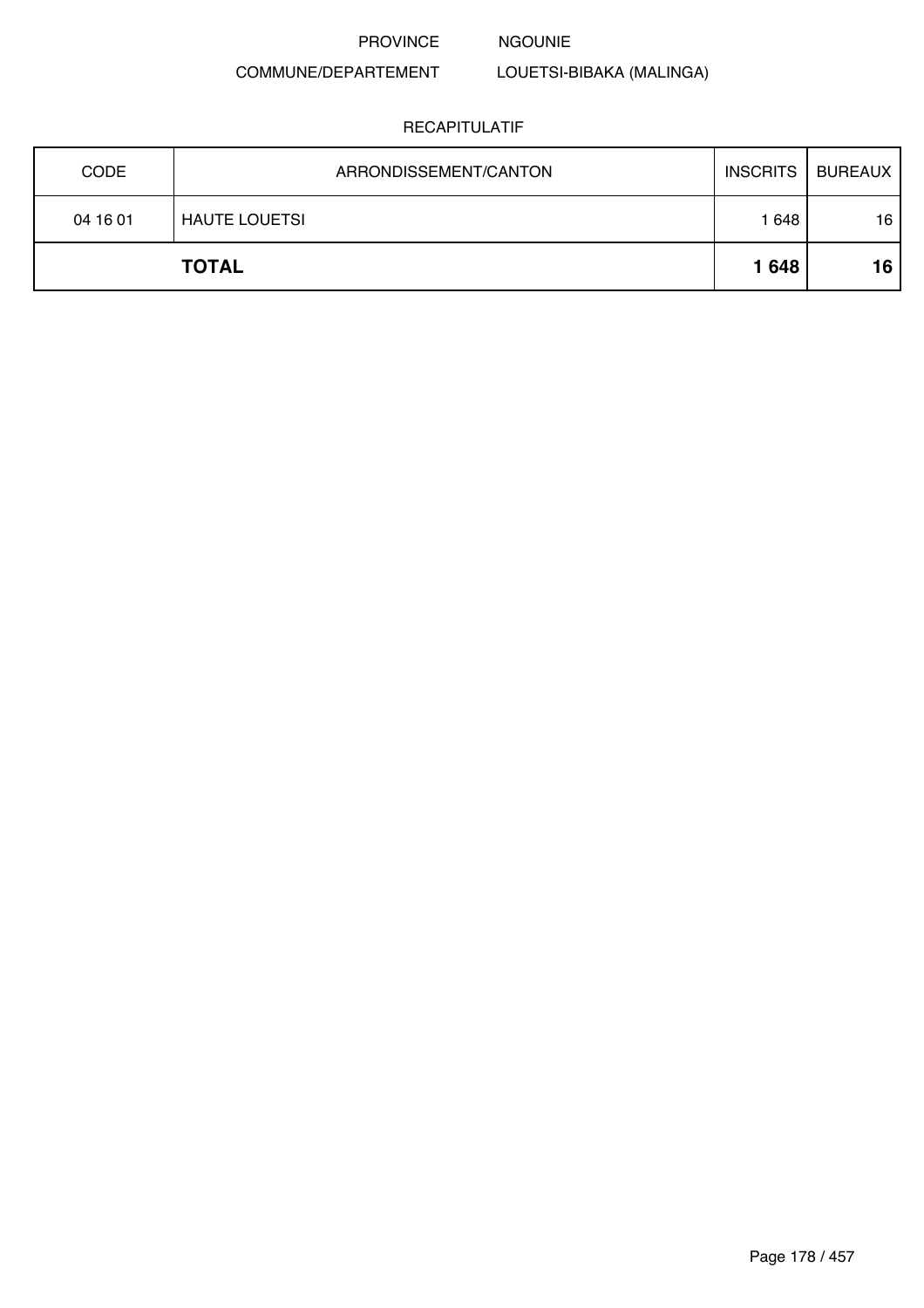NGOUNIE

# COMMUNE/DEPARTEMENT

# LOUETSI-BIBAKA (MALINGA)

| <b>CODE</b> | ARRONDISSEMENT/CANTON | INSCRITS | <b>BUREAUX</b> |
|-------------|-----------------------|----------|----------------|
| 04 16 01    | <b>HAUTE LOUETSI</b>  | 1 648    | 16             |
|             | <b>TOTAL</b>          | 1648     | 16             |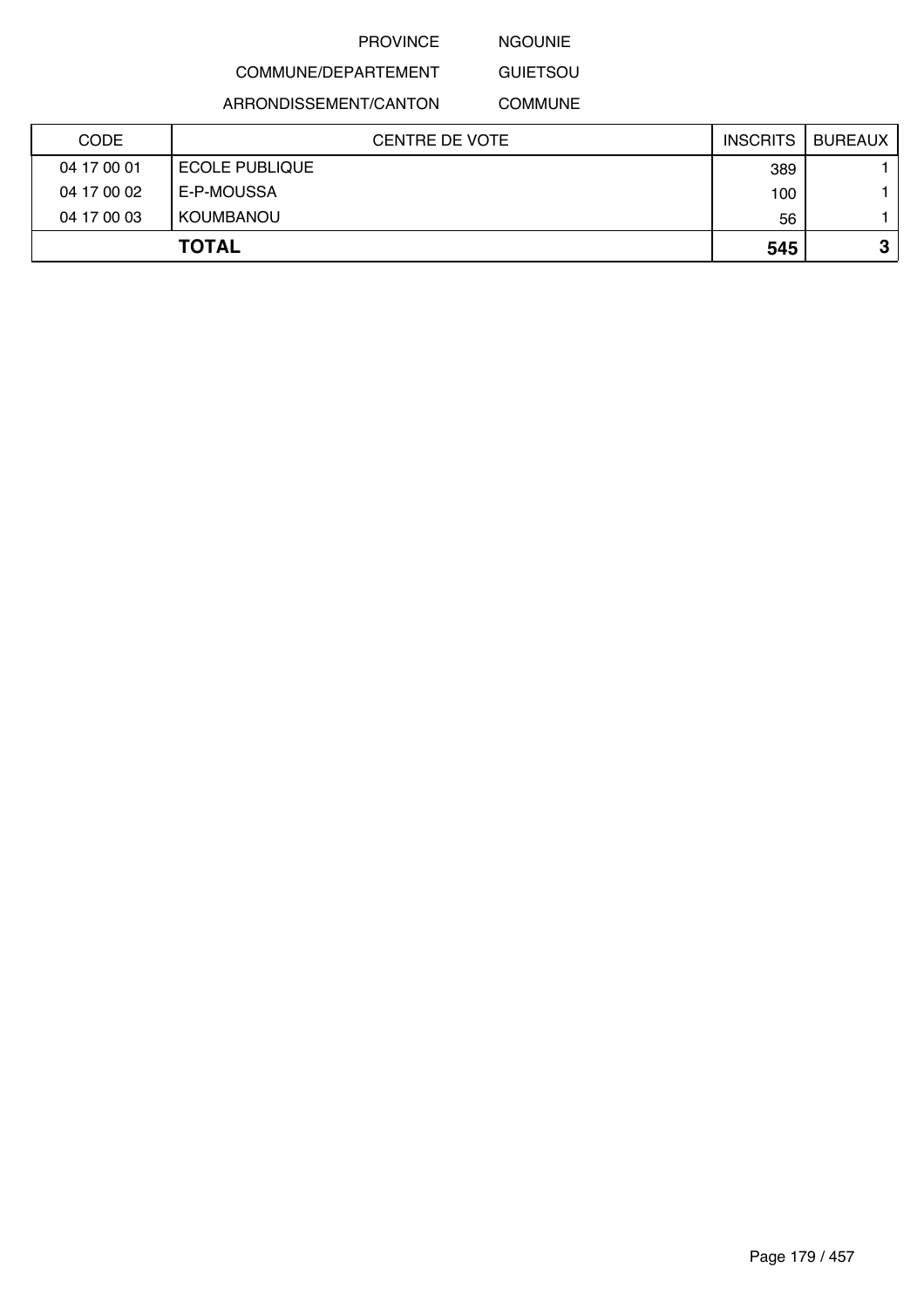NGOUNIE

COMMUNE/DEPARTEMENT

ARRONDISSEMENT/CANTON

**GUIETSOU** COMMUNE

| <b>CODE</b> | CENTRE DE VOTE        | <b>INSCRITS</b> | BUREAUX |
|-------------|-----------------------|-----------------|---------|
| 04 17 00 01 | <b>ECOLE PUBLIQUE</b> | 389             |         |
| 04 17 00 02 | E-P-MOUSSA            | 100             |         |
| 04 17 00 03 | KOUMBANOU             | 56              |         |
|             | <b>TOTAL</b>          | 545             | 3       |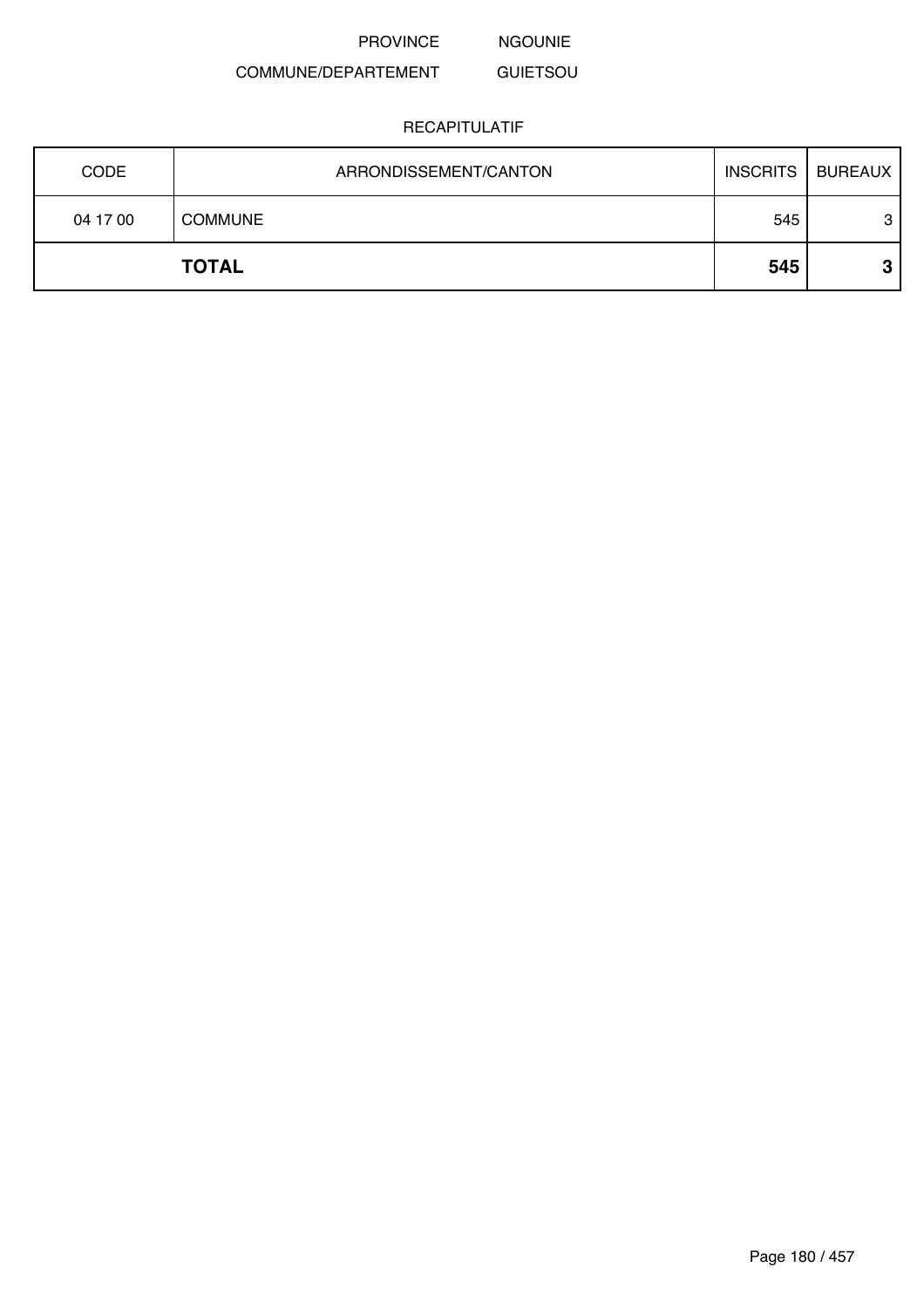PROVINCE NGOUNIE

#### COMMUNE/DEPARTEMENT GUIETSOU

| <b>CODE</b> | ARRONDISSEMENT/CANTON | <b>INSCRITS</b> | BUREAUX |
|-------------|-----------------------|-----------------|---------|
| 04 17 00    | <b>COMMUNE</b>        | 545             | 3       |
|             | <b>TOTAL</b>          | 545             | Ω       |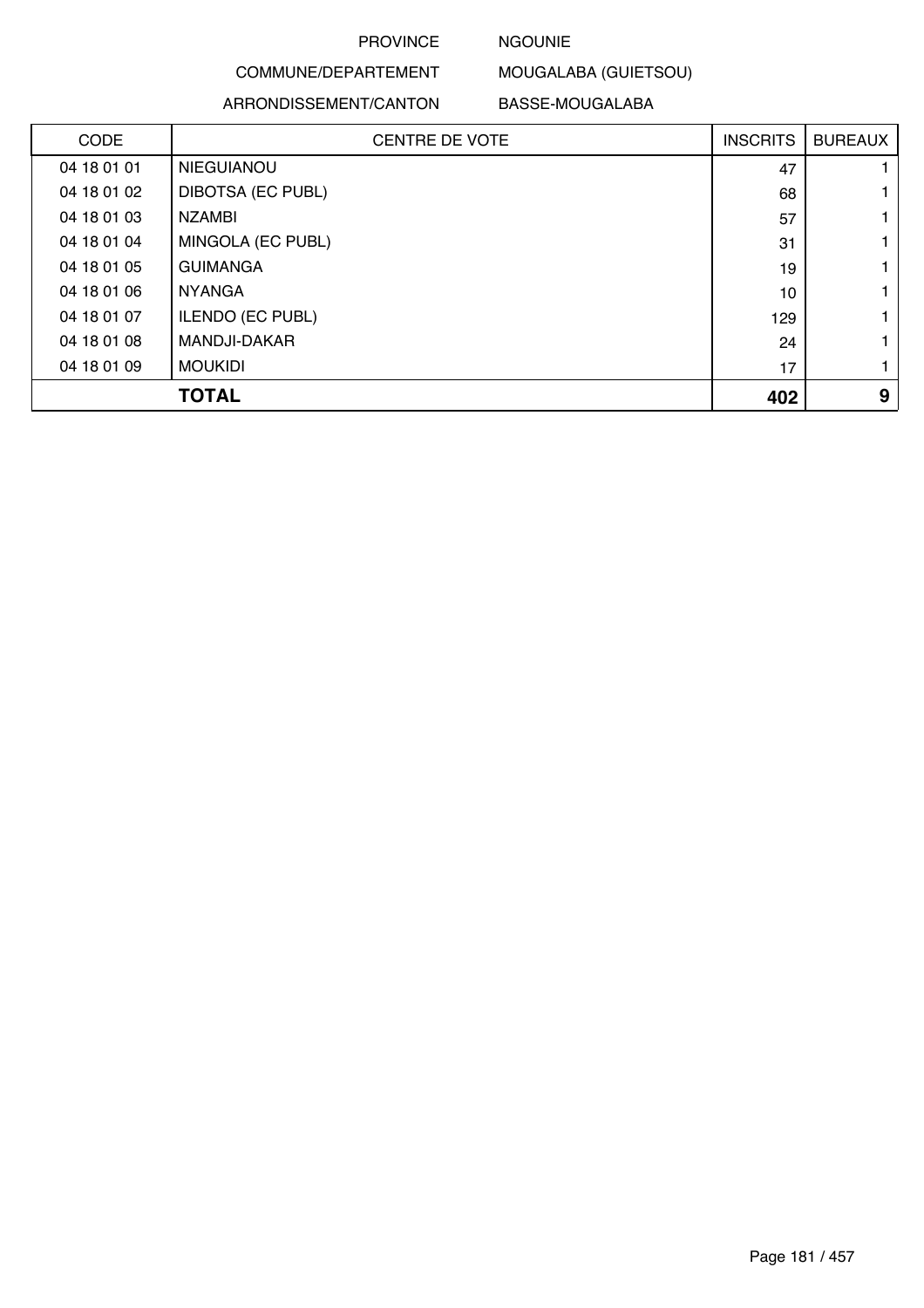### NGOUNIE

COMMUNE/DEPARTEMENT

ARRONDISSEMENT/CANTON

BASSE-MOUGALABA

MOUGALABA (GUIETSOU)

| <b>CODE</b> | <b>CENTRE DE VOTE</b>    | <b>INSCRITS</b> | <b>BUREAUX</b> |
|-------------|--------------------------|-----------------|----------------|
| 04 18 01 01 | <b>NIEGUIANOU</b>        | 47              |                |
| 04 18 01 02 | <b>DIBOTSA (EC PUBL)</b> | 68              |                |
| 04 18 01 03 | <b>NZAMBI</b>            | 57              |                |
| 04 18 01 04 | MINGOLA (EC PUBL)        | 31              |                |
| 04 18 01 05 | <b>GUIMANGA</b>          | 19              |                |
| 04 18 01 06 | <b>NYANGA</b>            | 10              |                |
| 04 18 01 07 | <b>ILENDO (EC PUBL)</b>  | 129             |                |
| 04 18 01 08 | <b>MANDJI-DAKAR</b>      | 24              |                |
| 04 18 01 09 | <b>MOUKIDI</b>           | 17              |                |
|             | <b>TOTAL</b>             | 402             | 9              |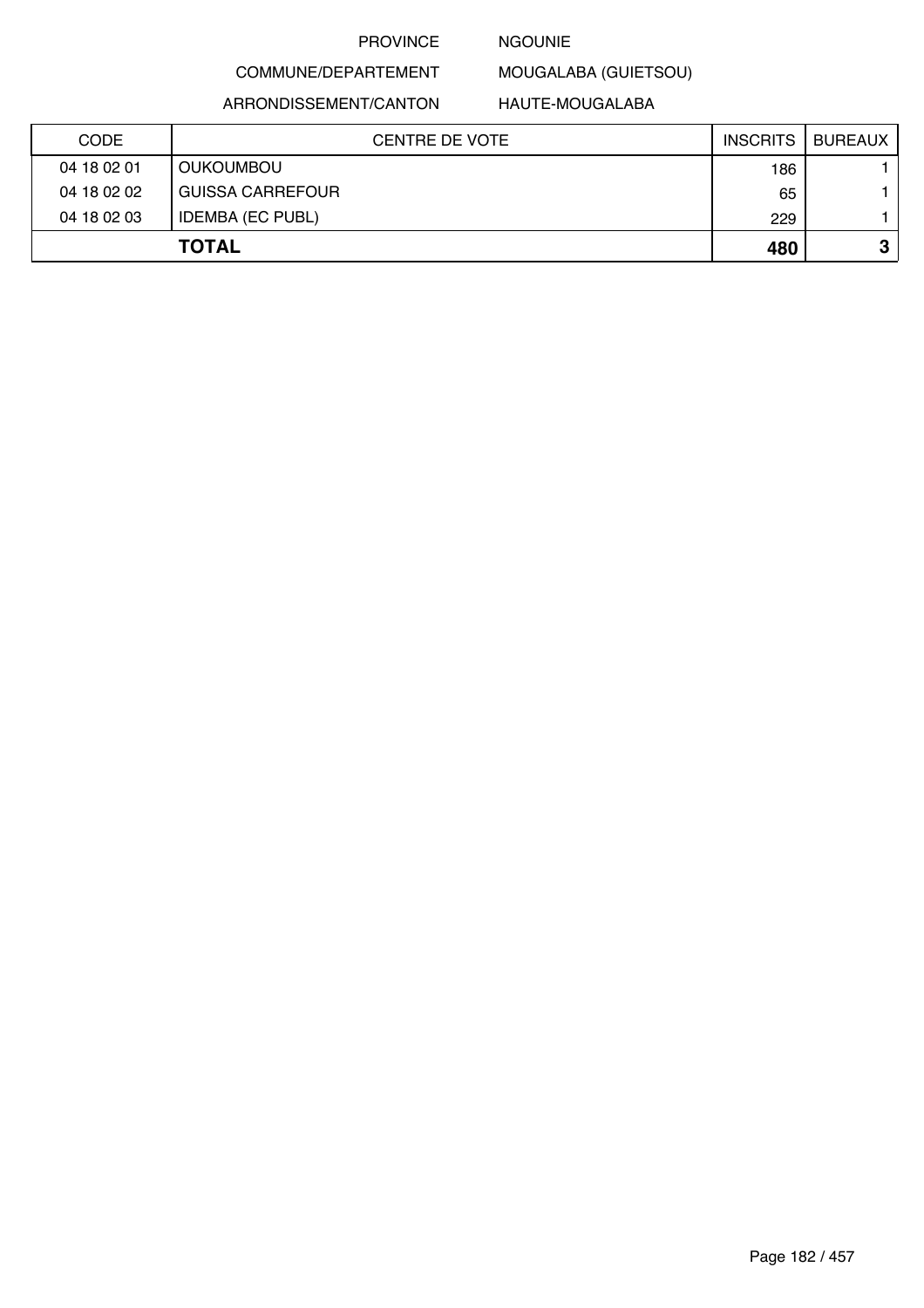### NGOUNIE

MOUGALABA (GUIETSOU)

ARRONDISSEMENT/CANTON

COMMUNE/DEPARTEMENT

HAUTE-MOUGALABA

| <b>CODE</b> | CENTRE DE VOTE          | <b>INSCRITS</b> | BUREAUX |
|-------------|-------------------------|-----------------|---------|
| 04 18 02 01 | <b>OUKOUMBOU</b>        | 186             |         |
| 04 18 02 02 | <b>GUISSA CARREFOUR</b> | 65              |         |
| 04 18 02 03 | <b>IDEMBA (EC PUBL)</b> | 229             |         |
|             | <b>TOTAL</b>            | 480             | ≏<br>υ  |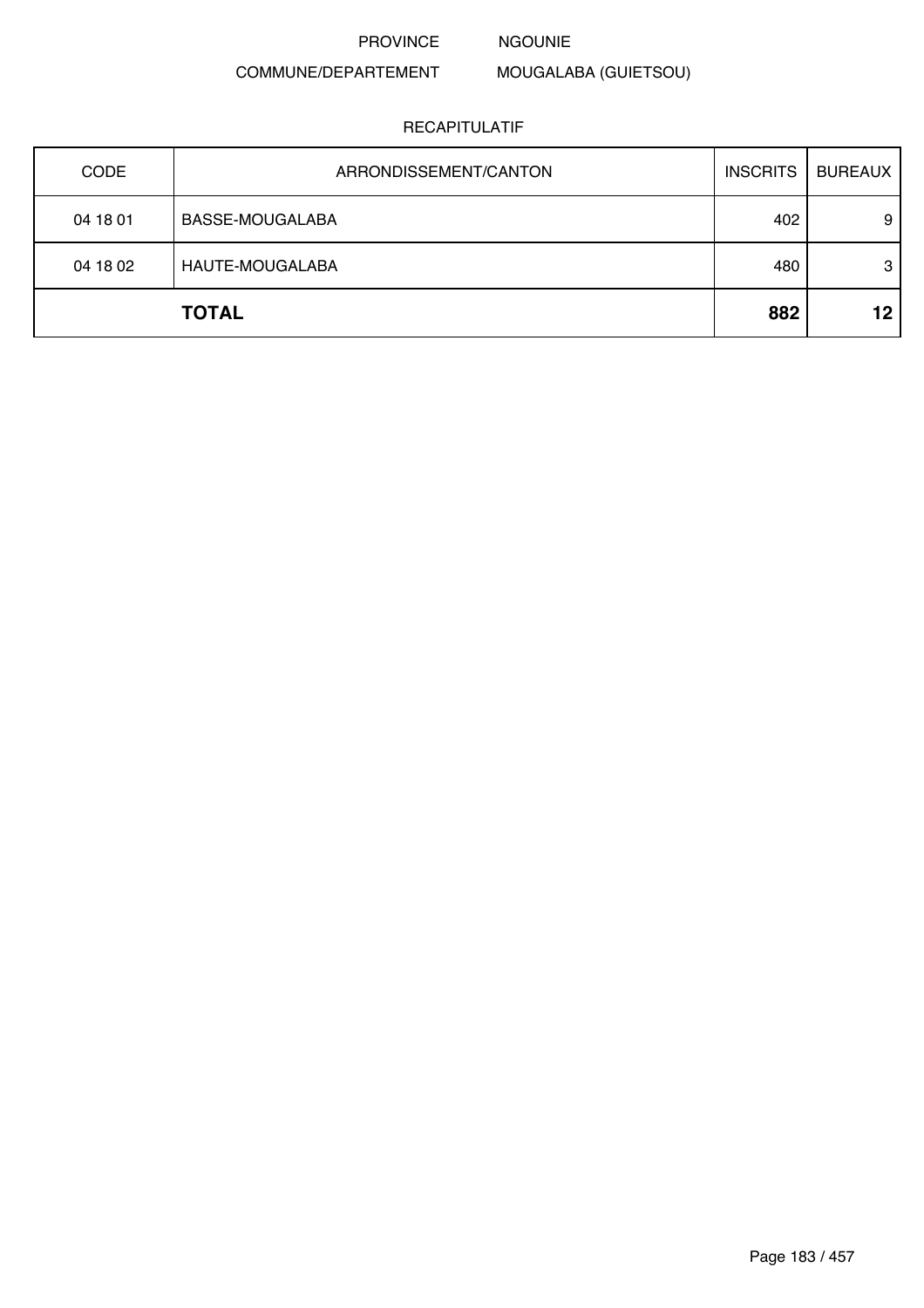NGOUNIE

# COMMUNE/DEPARTEMENT

# MOUGALABA (GUIETSOU)

| <b>CODE</b> | ARRONDISSEMENT/CANTON | <b>INSCRITS</b> | <b>BUREAUX</b> |
|-------------|-----------------------|-----------------|----------------|
| 04 18 01    | BASSE-MOUGALABA       | 402             | 9              |
| 04 18 02    | HAUTE-MOUGALABA       | 480             | 3              |
|             | <b>TOTAL</b>          | 882             | 12             |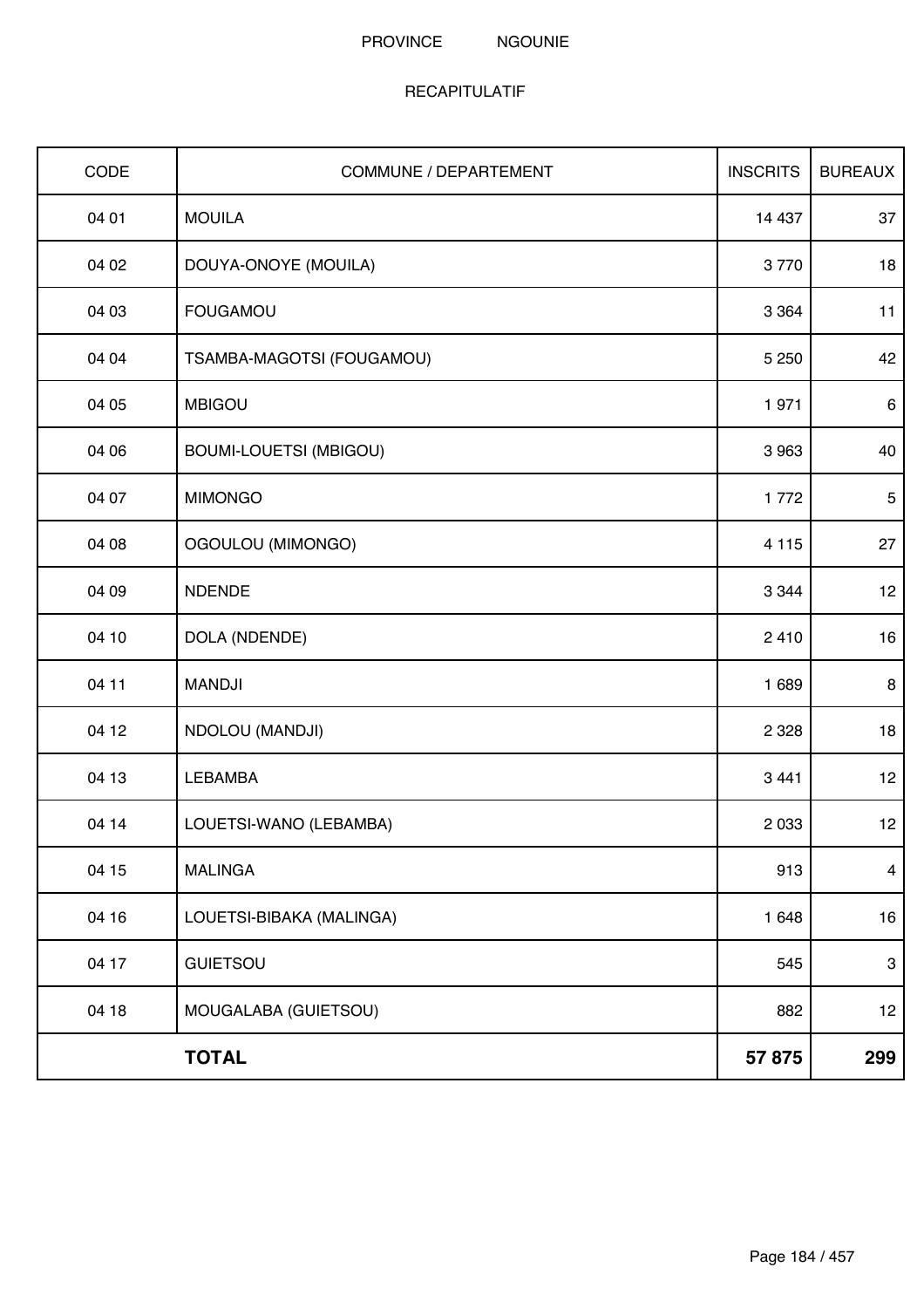| CODE  | <b>COMMUNE / DEPARTEMENT</b> | <b>INSCRITS</b> | <b>BUREAUX</b> |
|-------|------------------------------|-----------------|----------------|
| 04 01 | <b>MOUILA</b>                | 14 4 37         | 37             |
| 04 02 | DOUYA-ONOYE (MOUILA)         | 3770            | 18             |
| 04 03 | <b>FOUGAMOU</b>              | 3 3 6 4         | 11             |
| 04 04 | TSAMBA-MAGOTSI (FOUGAMOU)    | 5 2 5 0         | 42             |
| 04 05 | <b>MBIGOU</b>                | 1971            | $\,6\,$        |
| 04 06 | BOUMI-LOUETSI (MBIGOU)       | 3 9 6 3         | 40             |
| 04 07 | <b>MIMONGO</b>               | 1772            | $\sqrt{5}$     |
| 04 08 | OGOULOU (MIMONGO)            | 4 1 1 5         | 27             |
| 04 09 | <b>NDENDE</b>                | 3 3 4 4         | 12             |
| 04 10 | DOLA (NDENDE)                | 2410            | 16             |
| 04 11 | <b>MANDJI</b>                | 1689            | 8              |
| 04 12 | NDOLOU (MANDJI)              | 2 3 2 8         | 18             |
| 04 13 | <b>LEBAMBA</b>               | 3 4 4 1         | 12             |
| 04 14 | LOUETSI-WANO (LEBAMBA)       | 2 0 3 3         | 12             |
| 04 15 | <b>MALINGA</b>               | 913             | $\overline{4}$ |
| 04 16 | LOUETSI-BIBAKA (MALINGA)     | 1 648           | 16             |
| 04 17 | <b>GUIETSOU</b>              | 545             | $\mathbf{3}$   |
| 04 18 | MOUGALABA (GUIETSOU)         | 882             | 12             |
|       | <b>TOTAL</b>                 | 57 875          | 299            |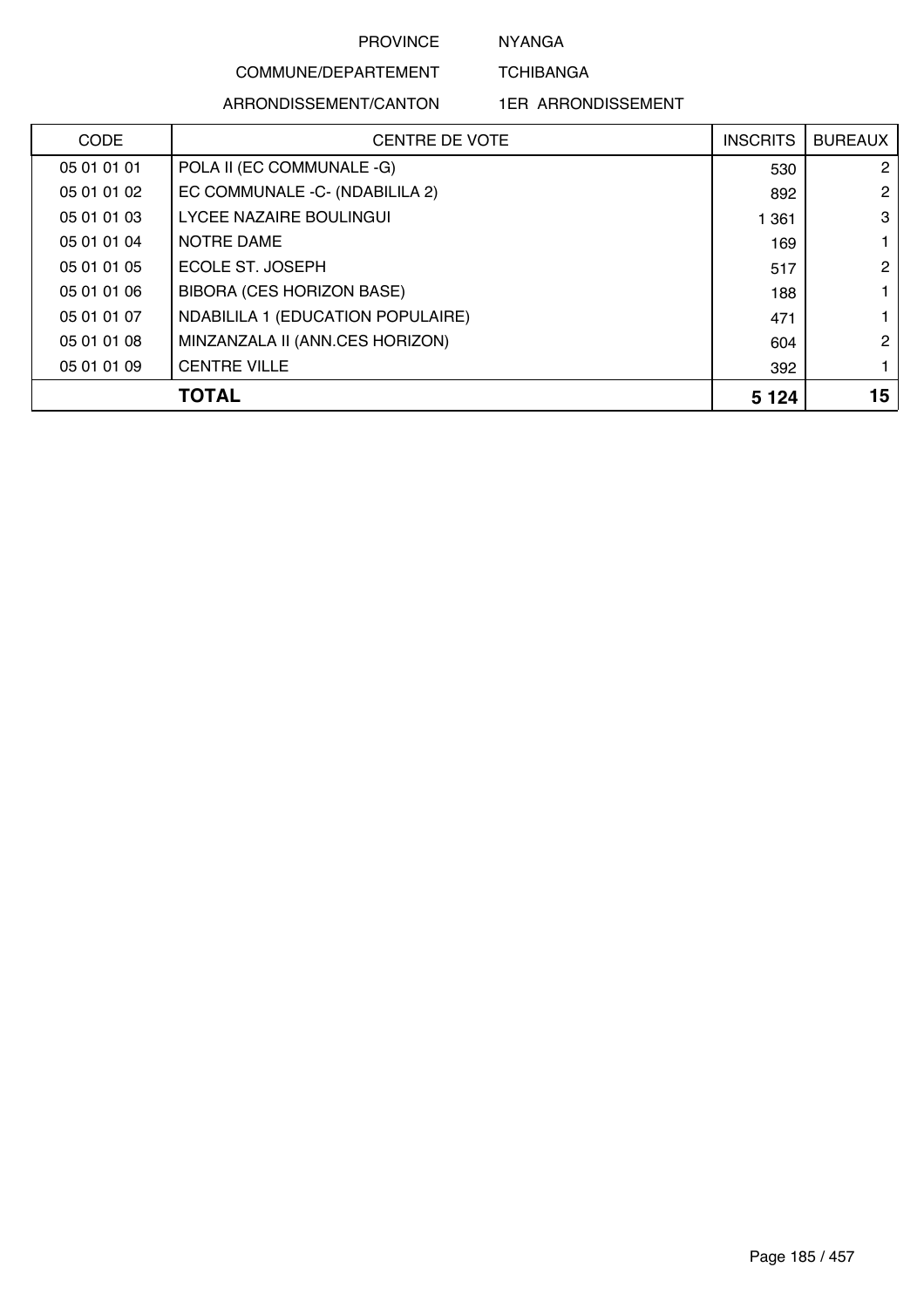NYANGA

**TCHIBANGA** 

# COMMUNE/DEPARTEMENT ARRONDISSEMENT/CANTON

1ER ARRONDISSEMENT

| <b>CODE</b> | <b>CENTRE DE VOTE</b>             | <b>INSCRITS</b> | <b>BUREAUX</b> |
|-------------|-----------------------------------|-----------------|----------------|
| 05 01 01 01 | POLA II (EC COMMUNALE -G)         | 530             | 2              |
| 05 01 01 02 | EC COMMUNALE -C- (NDABILILA 2)    | 892             | $\mathcal{P}$  |
| 05 01 01 03 | <b>LYCEE NAZAIRE BOULINGUI</b>    | 1 3 6 1         | 3              |
| 05 01 01 04 | NOTRE DAME                        | 169             |                |
| 05 01 01 05 | ECOLE ST. JOSEPH                  | 517             | 2              |
| 05 01 01 06 | <b>BIBORA (CES HORIZON BASE)</b>  | 188             |                |
| 05 01 01 07 | NDABILILA 1 (EDUCATION POPULAIRE) | 471             |                |
| 05 01 01 08 | MINZANZALA II (ANN.CES HORIZON)   | 604             | 2              |
| 05 01 01 09 | <b>CENTRE VILLE</b>               | 392             |                |
|             | <b>TOTAL</b>                      | 5 1 2 4         | 15             |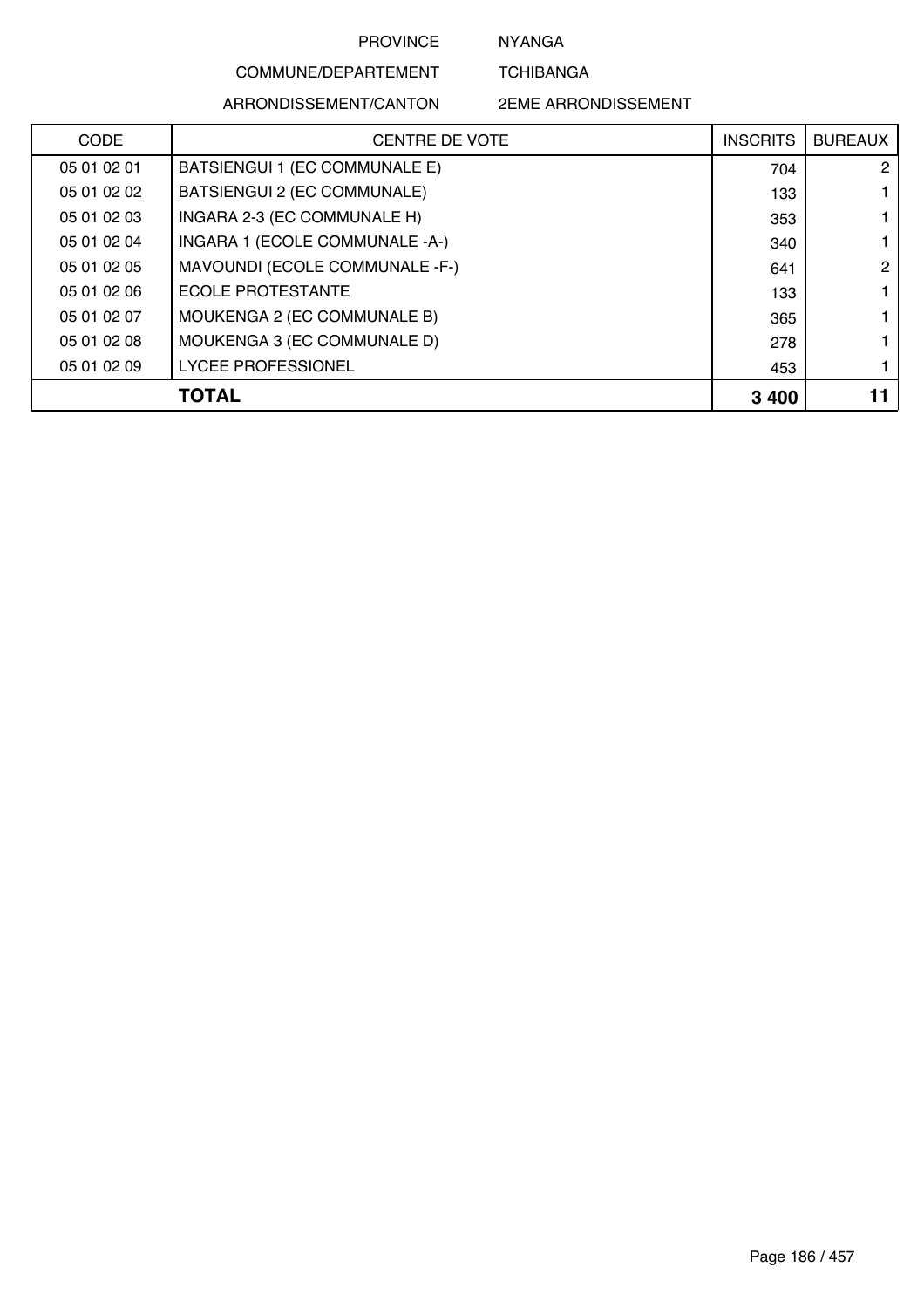NYANGA

**TCHIBANGA** 

# COMMUNE/DEPARTEMENT ARRONDISSEMENT/CANTON

2EME ARRONDISSEMENT

| <b>CODE</b> | <b>CENTRE DE VOTE</b>          | <b>INSCRITS</b> | <b>BUREAUX</b> |
|-------------|--------------------------------|-----------------|----------------|
| 05 01 02 01 | BATSIENGUI 1 (EC COMMUNALE E)  | 704             | 2              |
| 05 01 02 02 | BATSIENGUI 2 (EC COMMUNALE)    | 133             |                |
| 05 01 02 03 | INGARA 2-3 (EC COMMUNALE H)    | 353             |                |
| 05 01 02 04 | INGARA 1 (ECOLE COMMUNALE -A-) | 340             |                |
| 05 01 02 05 | MAVOUNDI (ECOLE COMMUNALE -F-) | 641             | 2              |
| 05 01 02 06 | <b>ECOLE PROTESTANTE</b>       | 133             |                |
| 05 01 02 07 | MOUKENGA 2 (EC COMMUNALE B)    | 365             |                |
| 05 01 02 08 | MOUKENGA 3 (EC COMMUNALE D)    | 278             |                |
| 05 01 02 09 | <b>LYCEE PROFESSIONEL</b>      | 453             |                |
|             | TOTAL                          | 3 4 0 0         | 11             |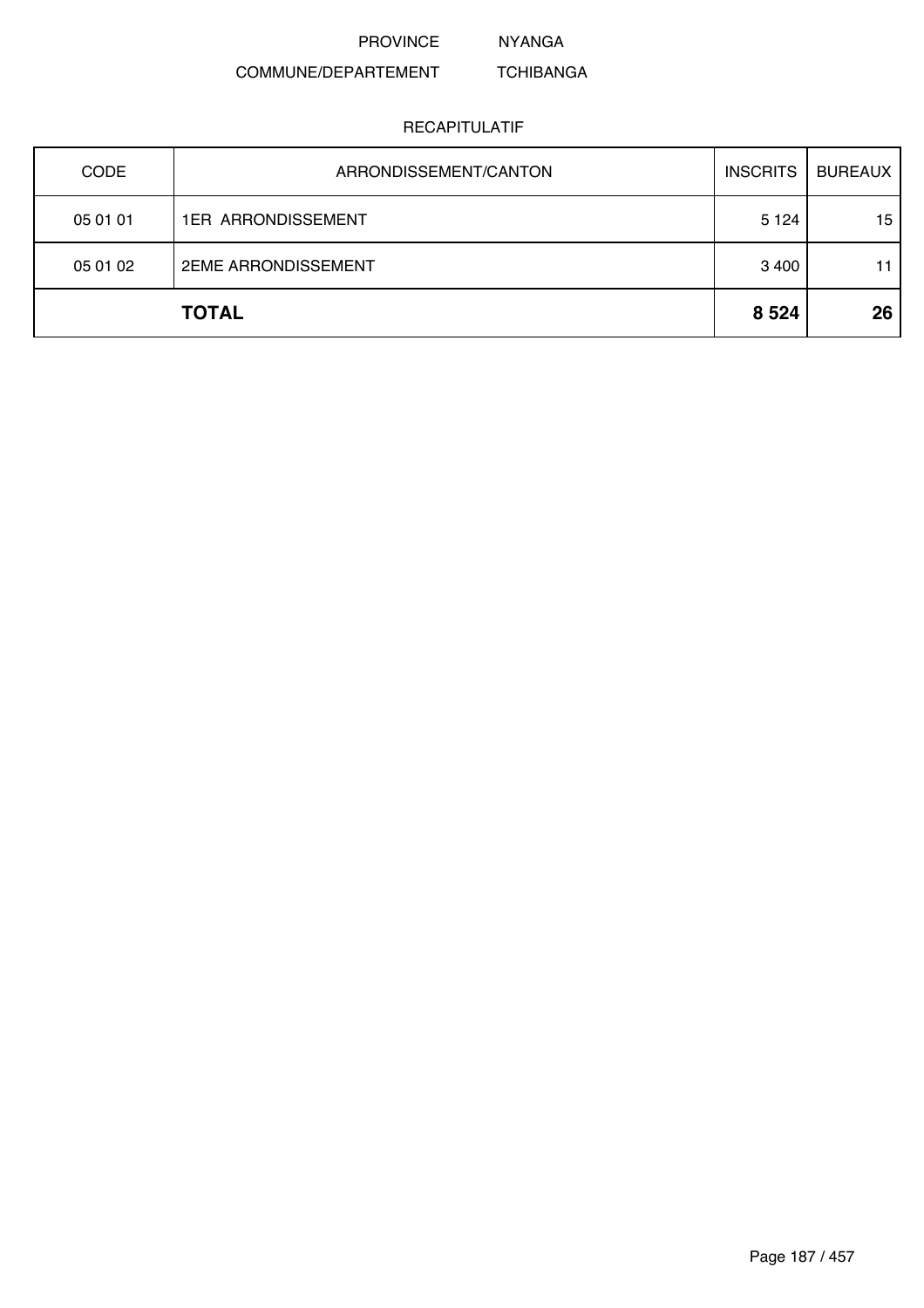NYANGA

#### COMMUNE/DEPARTEMENT TCHIBANGA

| <b>CODE</b> | ARRONDISSEMENT/CANTON      | <b>INSCRITS</b> | <b>BUREAUX</b> |
|-------------|----------------------------|-----------------|----------------|
| 05 01 01    | <b>1ER ARRONDISSEMENT</b>  | 5 1 2 4         | 15             |
| 05 01 02    | <b>2EME ARRONDISSEMENT</b> | 3 4 0 0         | 11             |
|             | <b>TOTAL</b>               | 8 5 24          | 26             |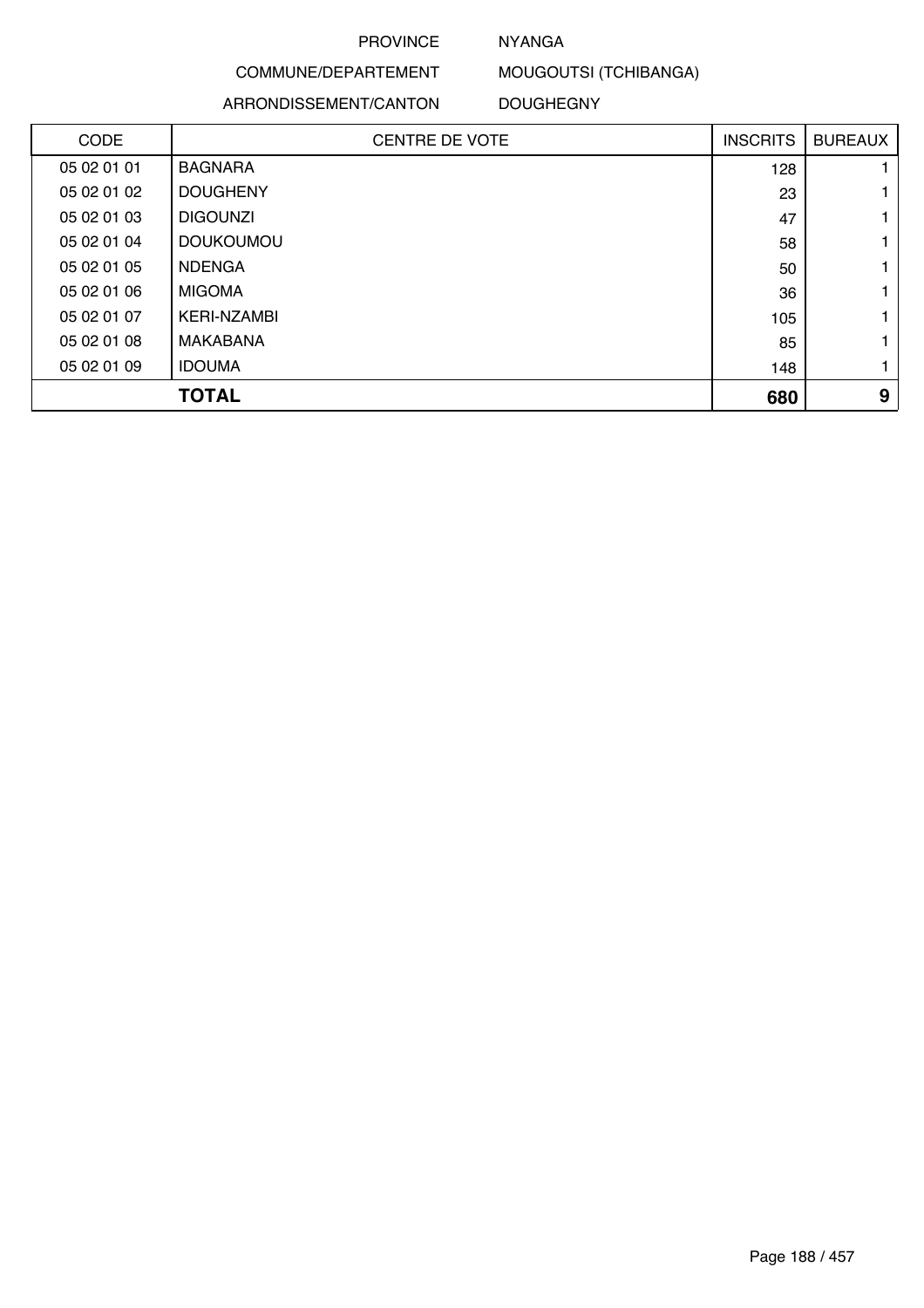## NYANGA

COMMUNE/DEPARTEMENT MOUGOUTSI (TCHIBANGA)

ARRONDISSEMENT/CANTON

DOUGHEGNY

| <b>CODE</b> | <b>CENTRE DE VOTE</b> | <b>INSCRITS</b> | <b>BUREAUX</b> |
|-------------|-----------------------|-----------------|----------------|
| 05 02 01 01 | <b>BAGNARA</b>        | 128             |                |
| 05 02 01 02 | <b>DOUGHENY</b>       | 23              |                |
| 05 02 01 03 | <b>DIGOUNZI</b>       | 47              |                |
| 05 02 01 04 | <b>DOUKOUMOU</b>      | 58              |                |
| 05 02 01 05 | <b>NDENGA</b>         | 50              |                |
| 05 02 01 06 | <b>MIGOMA</b>         | 36              |                |
| 05 02 01 07 | <b>KERI-NZAMBI</b>    | 105             |                |
| 05 02 01 08 | MAKABANA              | 85              |                |
| 05 02 01 09 | <b>IDOUMA</b>         | 148             |                |
|             | <b>TOTAL</b>          | 680             | 9              |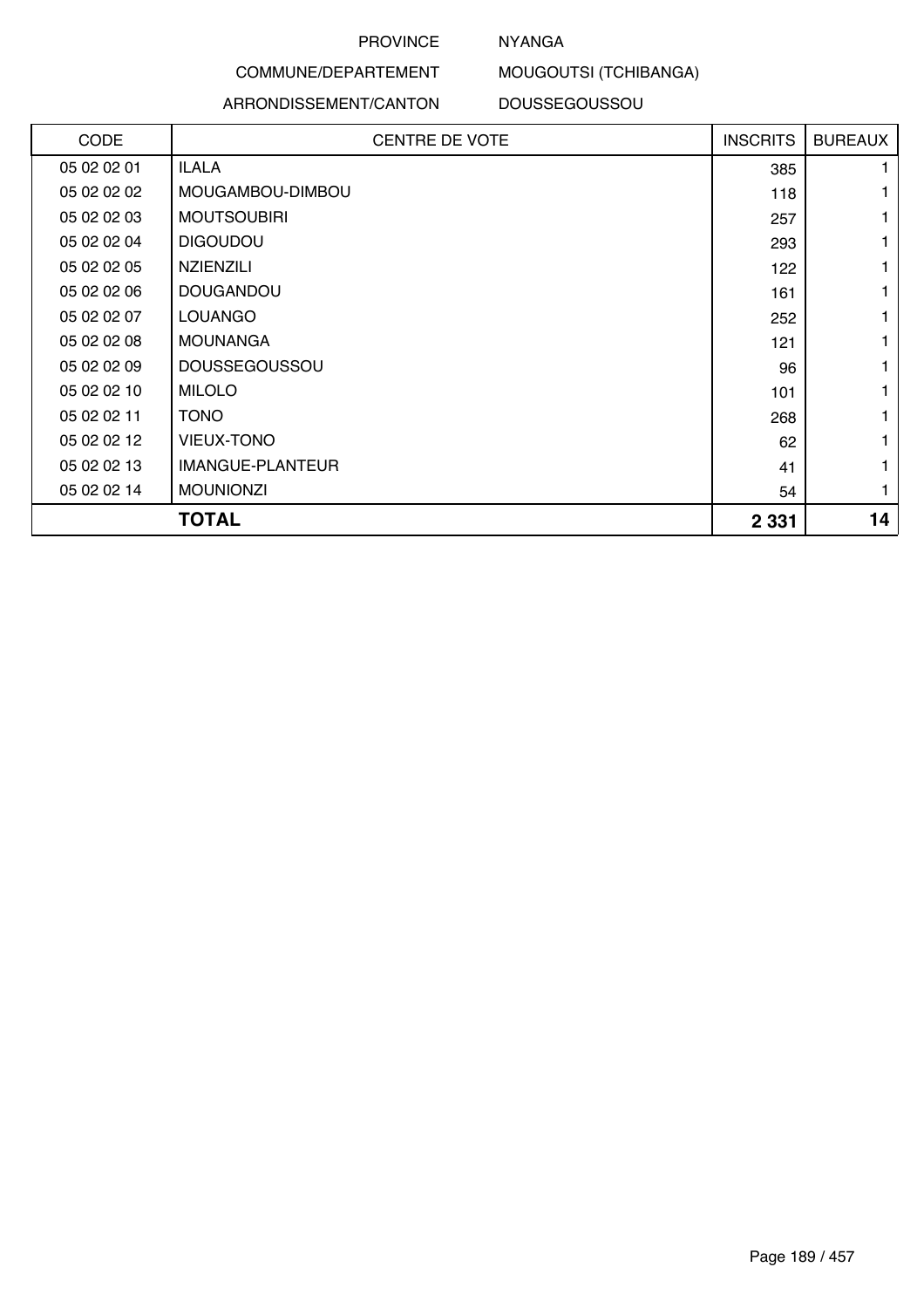# NYANGA

# MOUGOUTSI (TCHIBANGA)

#### ARRONDISSEMENT/CANTON

COMMUNE/DEPARTEMENT

DOUSSEGOUSSOU

| CODE        | <b>CENTRE DE VOTE</b> | <b>INSCRITS</b> | <b>BUREAUX</b> |
|-------------|-----------------------|-----------------|----------------|
| 05 02 02 01 | <b>ILALA</b>          | 385             |                |
| 05 02 02 02 | MOUGAMBOU-DIMBOU      | 118             |                |
| 05 02 02 03 | <b>MOUTSOUBIRI</b>    | 257             |                |
| 05 02 02 04 | <b>DIGOUDOU</b>       | 293             |                |
| 05 02 02 05 | <b>NZIENZILI</b>      | 122             |                |
| 05 02 02 06 | <b>DOUGANDOU</b>      | 161             |                |
| 05 02 02 07 | <b>LOUANGO</b>        | 252             |                |
| 05 02 02 08 | <b>MOUNANGA</b>       | 121             |                |
| 05 02 02 09 | <b>DOUSSEGOUSSOU</b>  | 96              |                |
| 05 02 02 10 | <b>MILOLO</b>         | 101             |                |
| 05 02 02 11 | <b>TONO</b>           | 268             |                |
| 05 02 02 12 | <b>VIEUX-TONO</b>     | 62              |                |
| 05 02 02 13 | IMANGUE-PLANTEUR      | 41              |                |
| 05 02 02 14 | <b>MOUNIONZI</b>      | 54              |                |
|             | TOTAL                 | 2 3 3 1         | 14             |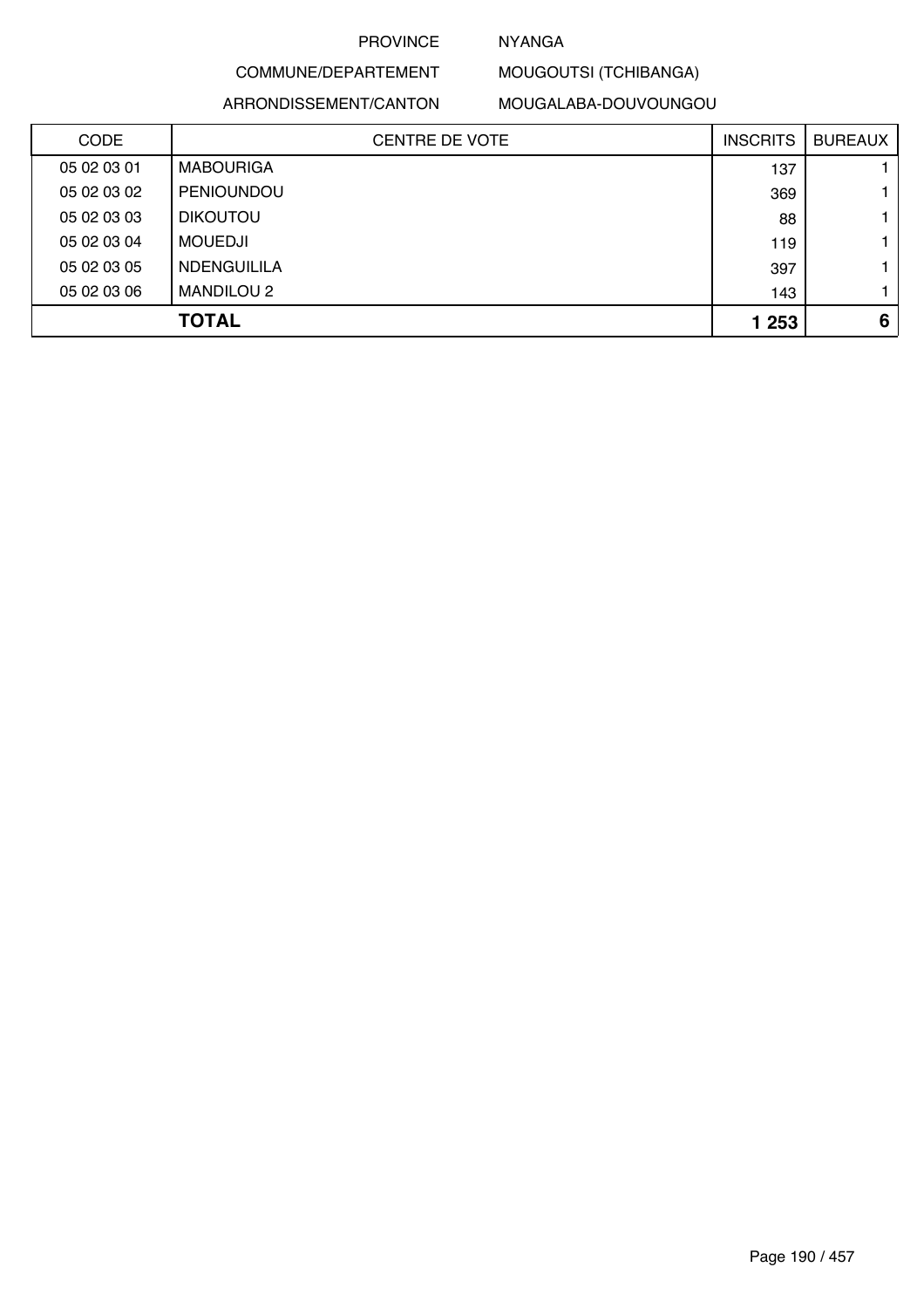# NYANGA

# COMMUNE/DEPARTEMENT

ARRONDISSEMENT/CANTON

MOUGALABA-DOUVOUNGOU

MOUGOUTSI (TCHIBANGA)

| <b>CODE</b> | <b>CENTRE DE VOTE</b> | <b>INSCRITS</b> | <b>BUREAUX</b> |
|-------------|-----------------------|-----------------|----------------|
| 05 02 03 01 | <b>MABOURIGA</b>      | 137             |                |
| 05 02 03 02 | PENIOUNDOU            | 369             | 1.             |
| 05 02 03 03 | <b>DIKOUTOU</b>       | 88              | 1.             |
| 05 02 03 04 | <b>MOUEDJI</b>        | 119             | 1.             |
| 05 02 03 05 | <b>NDENGUILILA</b>    | 397             | 1.             |
| 05 02 03 06 | <b>MANDILOU 2</b>     | 143             | 1.             |
|             | <b>TOTAL</b>          | 1 2 5 3         | 6              |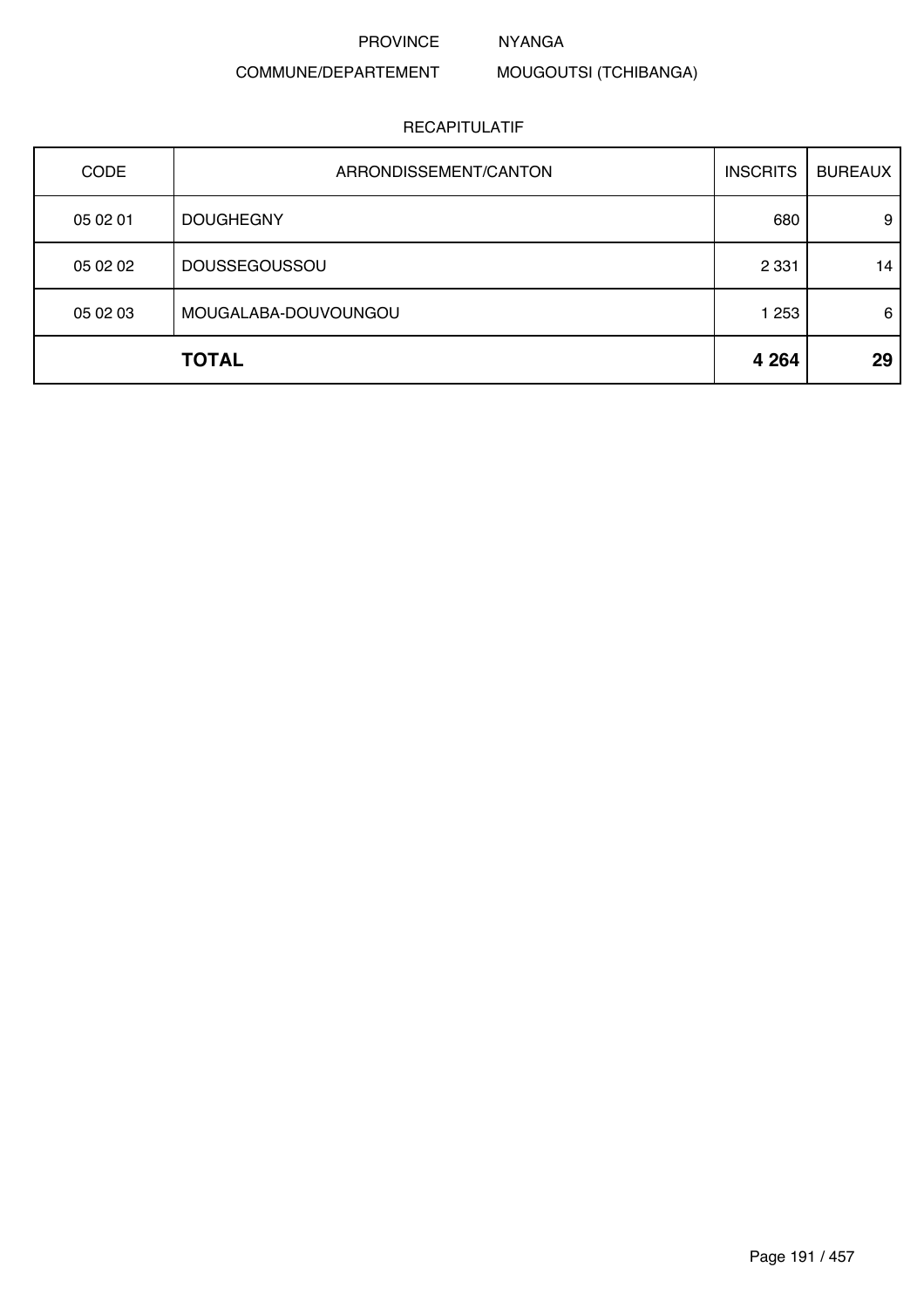#### NYANGA

# COMMUNE/DEPARTEMENT

MOUGOUTSI (TCHIBANGA)

| <b>CODE</b> | ARRONDISSEMENT/CANTON | <b>INSCRITS</b> | <b>BUREAUX</b> |
|-------------|-----------------------|-----------------|----------------|
| 05 02 01    | <b>DOUGHEGNY</b>      | 680             | 9              |
| 05 02 02    | <b>DOUSSEGOUSSOU</b>  | 2 3 3 1         | 14             |
| 05 02 03    | MOUGALABA-DOUVOUNGOU  | 1 2 5 3         | 6              |
|             | <b>TOTAL</b>          | 4 2 6 4         | 29             |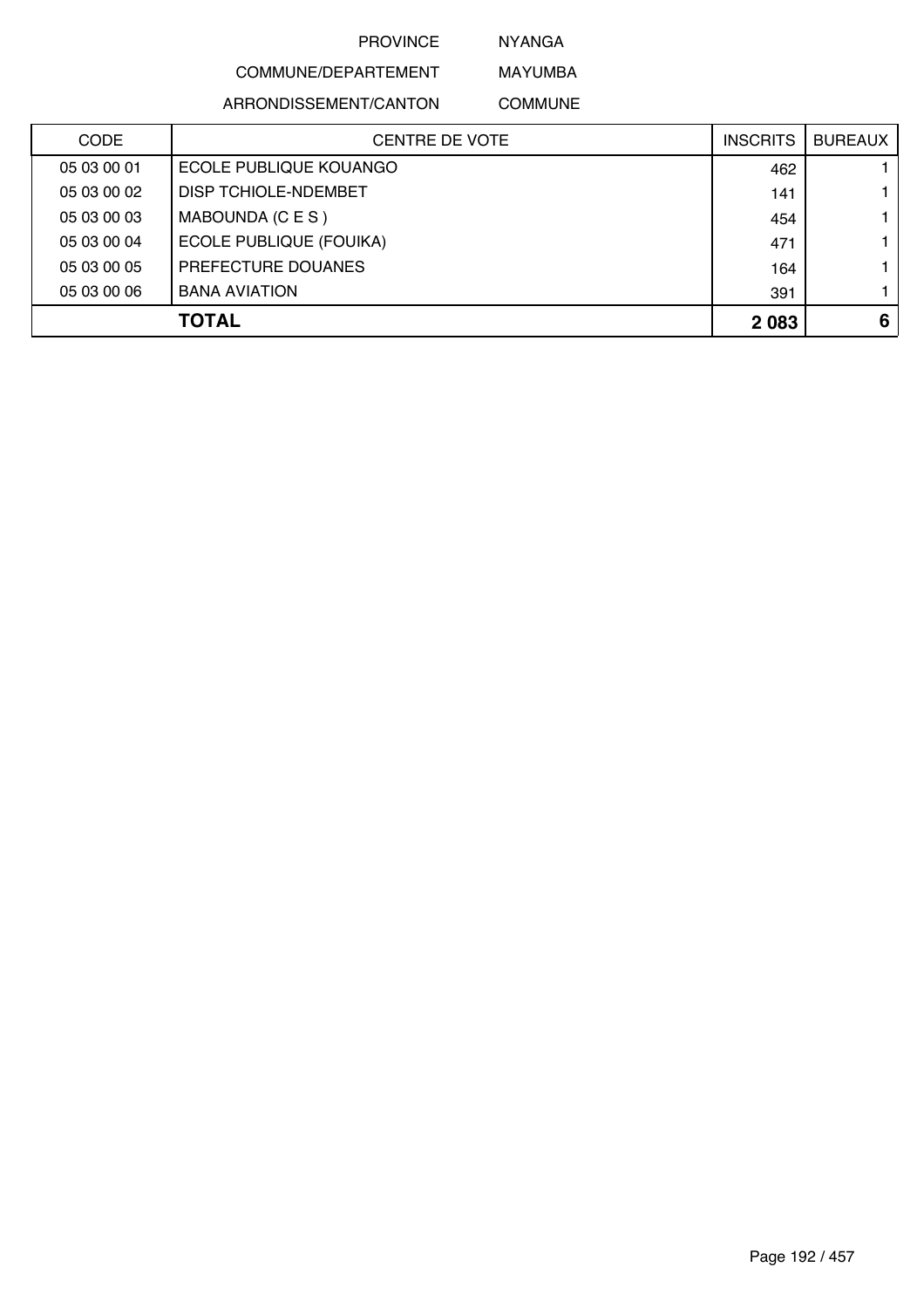NYANGA

# COMMUNE/DEPARTEMENT ARRONDISSEMENT/CANTON

MAYUMBA COMMUNE

| <b>CODE</b> | <b>CENTRE DE VOTE</b>          | <b>INSCRITS</b> | <b>BUREAUX</b> |
|-------------|--------------------------------|-----------------|----------------|
| 05 03 00 01 | ECOLE PUBLIQUE KOUANGO         | 462             |                |
| 05 03 00 02 | DISP TCHIOLE-NDEMBET           | 141             |                |
| 05 03 00 03 | MABOUNDA (C E S )              | 454             |                |
| 05 03 00 04 | <b>ECOLE PUBLIQUE (FOUIKA)</b> | 471             |                |
| 05 03 00 05 | PREFECTURE DOUANES             | 164             |                |
| 05 03 00 06 | <b>BANA AVIATION</b>           | 391             |                |
|             | <b>TOTAL</b>                   | 2 0 8 3         | 6              |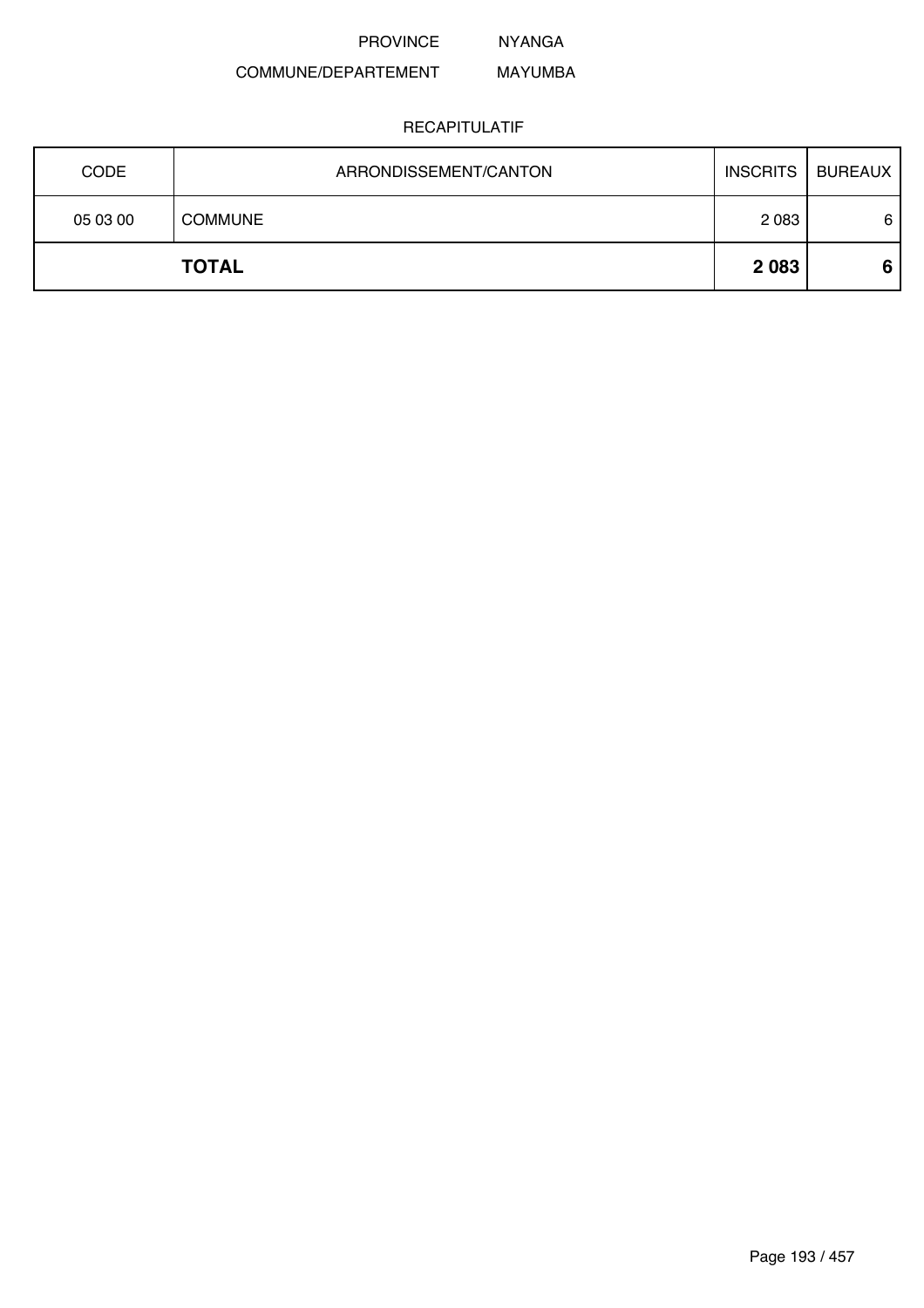NYANGA

#### COMMUNE/DEPARTEMENT MAYUMBA

|             | <b>TOTAL</b>          | 2 0 8 3         | 6              |
|-------------|-----------------------|-----------------|----------------|
| 05 03 00    | <b>COMMUNE</b>        | 2 0 8 3         | 6              |
| <b>CODE</b> | ARRONDISSEMENT/CANTON | <b>INSCRITS</b> | <b>BUREAUX</b> |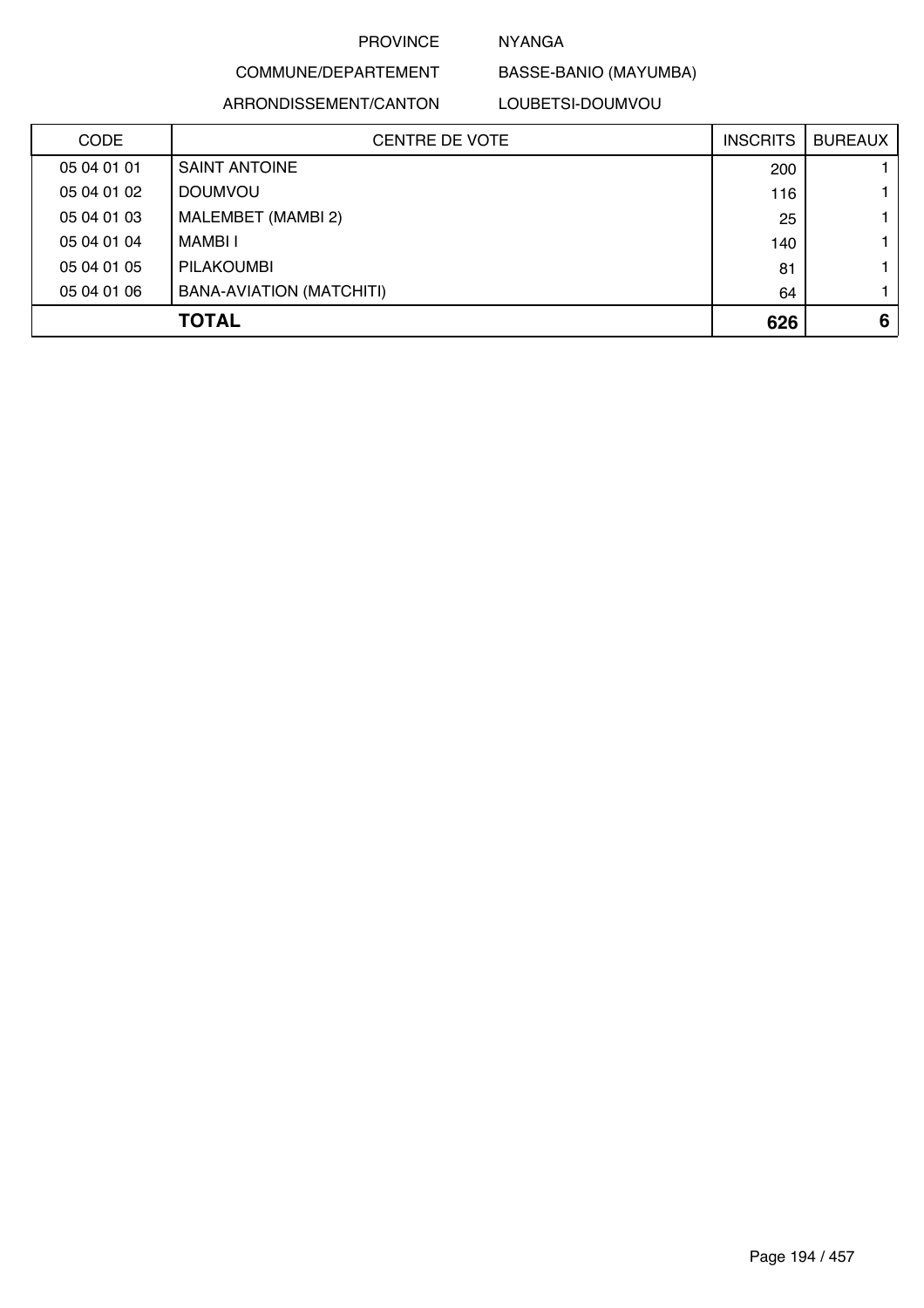# NYANGA

BASSE-BANIO (MAYUMBA)

#### ARRONDISSEMENT/CANTON

COMMUNE/DEPARTEMENT

LOUBETSI-DOUMVOU

| <b>CODE</b> | CENTRE DE VOTE           | <b>INSCRITS</b> | <b>BUREAUX</b> |
|-------------|--------------------------|-----------------|----------------|
| 05 04 01 01 | <b>SAINT ANTOINE</b>     | 200             |                |
| 05 04 01 02 | <b>DOUMVOU</b>           | 116             |                |
| 05 04 01 03 | MALEMBET (MAMBI 2)       | 25              |                |
| 05 04 01 04 | MAMBI I                  | 140             |                |
| 05 04 01 05 | <b>PILAKOUMBI</b>        | 81              |                |
| 05 04 01 06 | BANA-AVIATION (MATCHITI) | 64              |                |
|             | <b>TOTAL</b>             | 626             | 6              |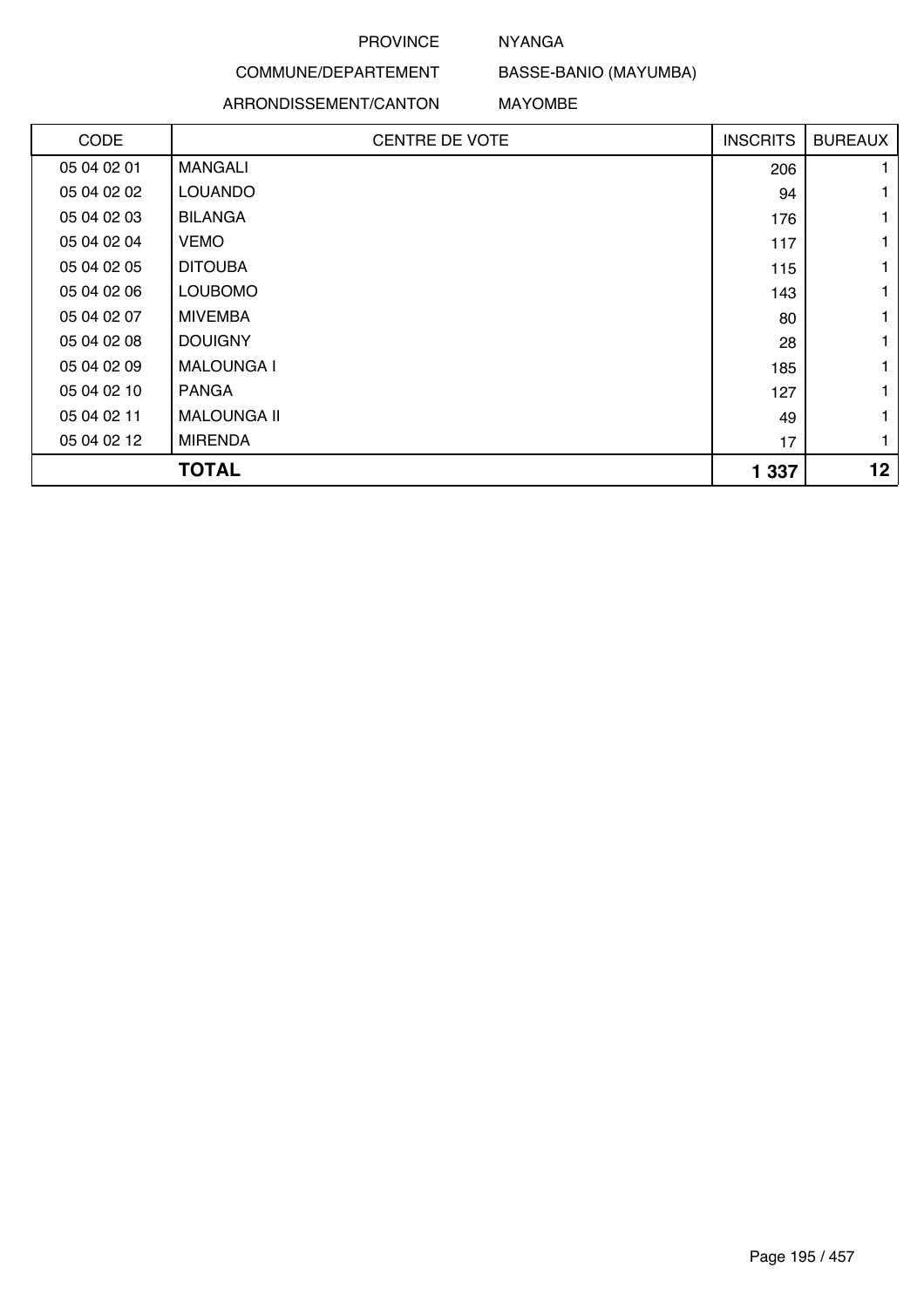## NYANGA

# COMMUNE/DEPARTEMENT

## ARRONDISSEMENT/CANTON

BASSE-BANIO (MAYUMBA)

#### MAYOMBE

| CODE        | <b>CENTRE DE VOTE</b> | <b>INSCRITS</b> | <b>BUREAUX</b>  |
|-------------|-----------------------|-----------------|-----------------|
| 05 04 02 01 | <b>MANGALI</b>        | 206             |                 |
| 05 04 02 02 | <b>LOUANDO</b>        | 94              |                 |
| 05 04 02 03 | <b>BILANGA</b>        | 176             |                 |
| 05 04 02 04 | <b>VEMO</b>           | 117             |                 |
| 05 04 02 05 | <b>DITOUBA</b>        | 115             |                 |
| 05 04 02 06 | <b>LOUBOMO</b>        | 143             |                 |
| 05 04 02 07 | <b>MIVEMBA</b>        | 80              |                 |
| 05 04 02 08 | <b>DOUIGNY</b>        | 28              |                 |
| 05 04 02 09 | <b>MALOUNGA I</b>     | 185             |                 |
| 05 04 02 10 | <b>PANGA</b>          | 127             |                 |
| 05 04 02 11 | <b>MALOUNGA II</b>    | 49              |                 |
| 05 04 02 12 | <b>MIRENDA</b>        | 17              | $\mathbf{1}$    |
|             | <b>TOTAL</b>          | 1 3 3 7         | 12 <sub>2</sub> |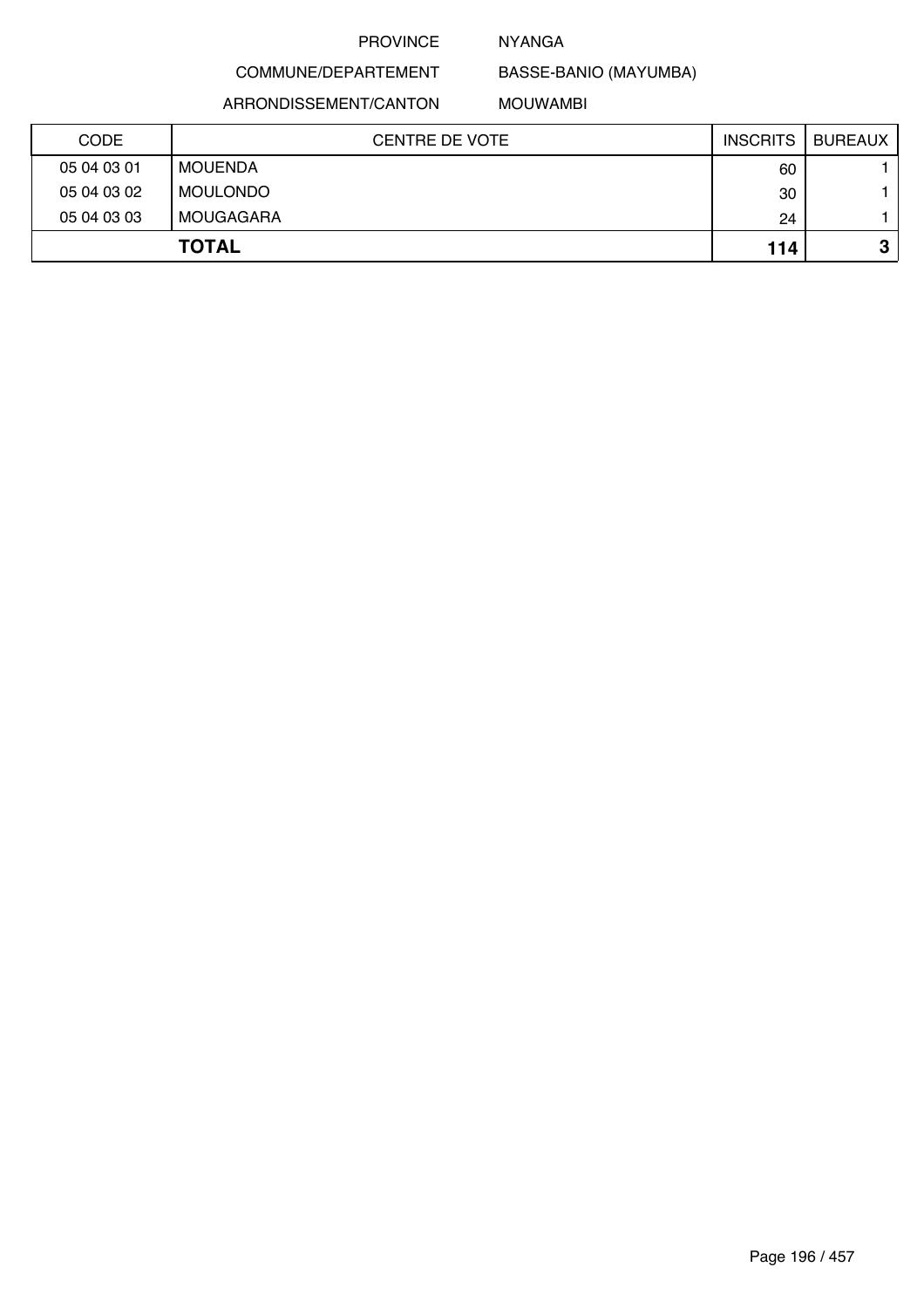### NYANGA

BASSE-BANIO (MAYUMBA)

ARRONDISSEMENT/CANTON

COMMUNE/DEPARTEMENT

MOUWAMBI

| <b>CODE</b> | CENTRE DE VOTE | <b>INSCRITS</b> | <b>BUREAUX</b> |
|-------------|----------------|-----------------|----------------|
| 05 04 03 01 | MOUENDA        | 60              |                |
| 05 04 03 02 | MOULONDO       | 30              |                |
| 05 04 03 03 | MOUGAGARA      | 24              |                |
|             | <b>TOTAL</b>   | 114             | ≏<br>P         |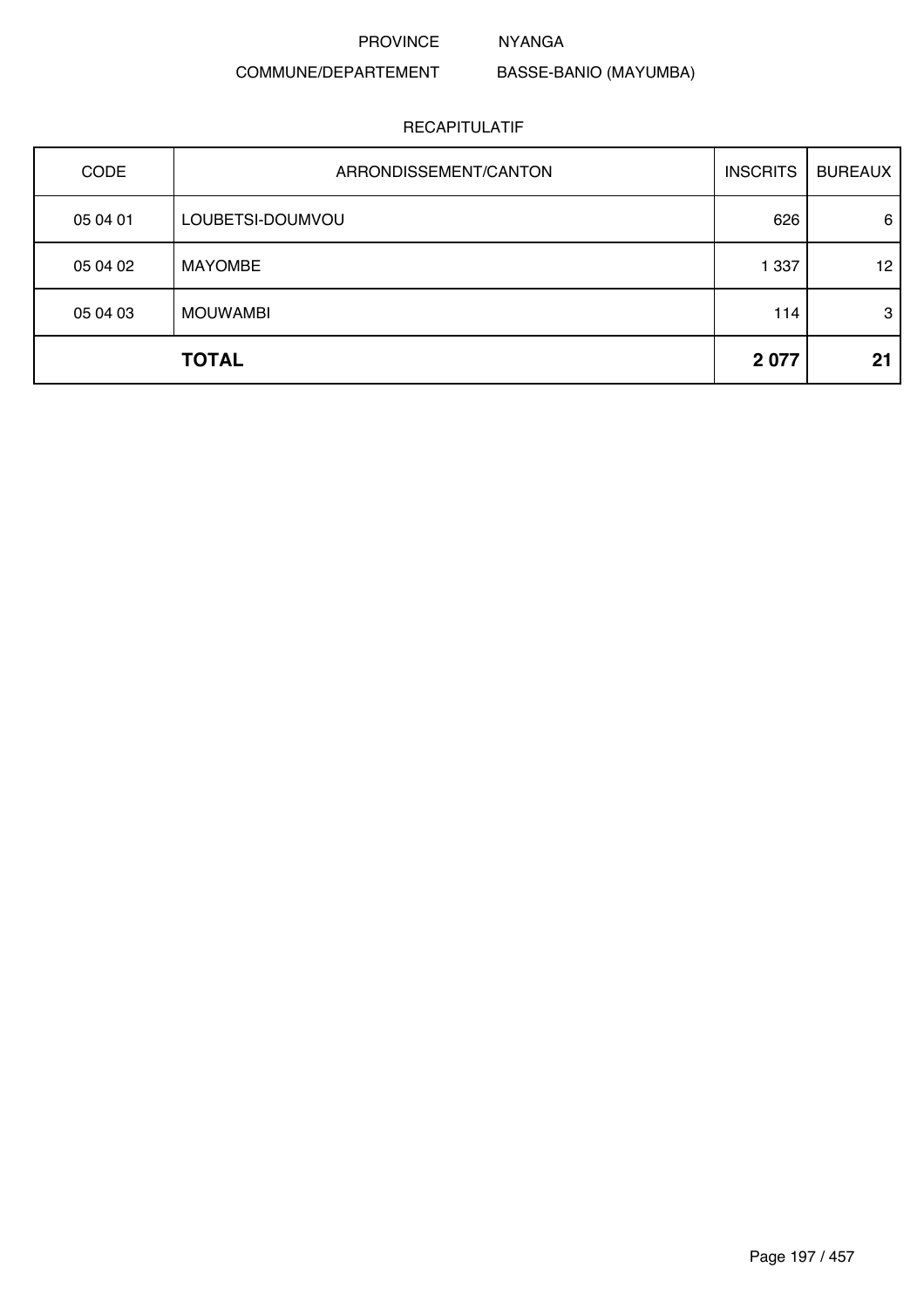# NYANGA

# COMMUNE/DEPARTEMENT

BASSE-BANIO (MAYUMBA)

# RECAPITULATIF

| <b>CODE</b> | ARRONDISSEMENT/CANTON | <b>INSCRITS</b> | <b>BUREAUX</b> |
|-------------|-----------------------|-----------------|----------------|
| 05 04 01    | LOUBETSI-DOUMVOU      | 626             | 6              |
| 05 04 02    | <b>MAYOMBE</b>        | 1 3 3 7         | 12             |
| 05 04 03    | <b>MOUWAMBI</b>       | 114             | 3              |
|             | <b>TOTAL</b>          | 2077            | 21             |

Page 197 / 457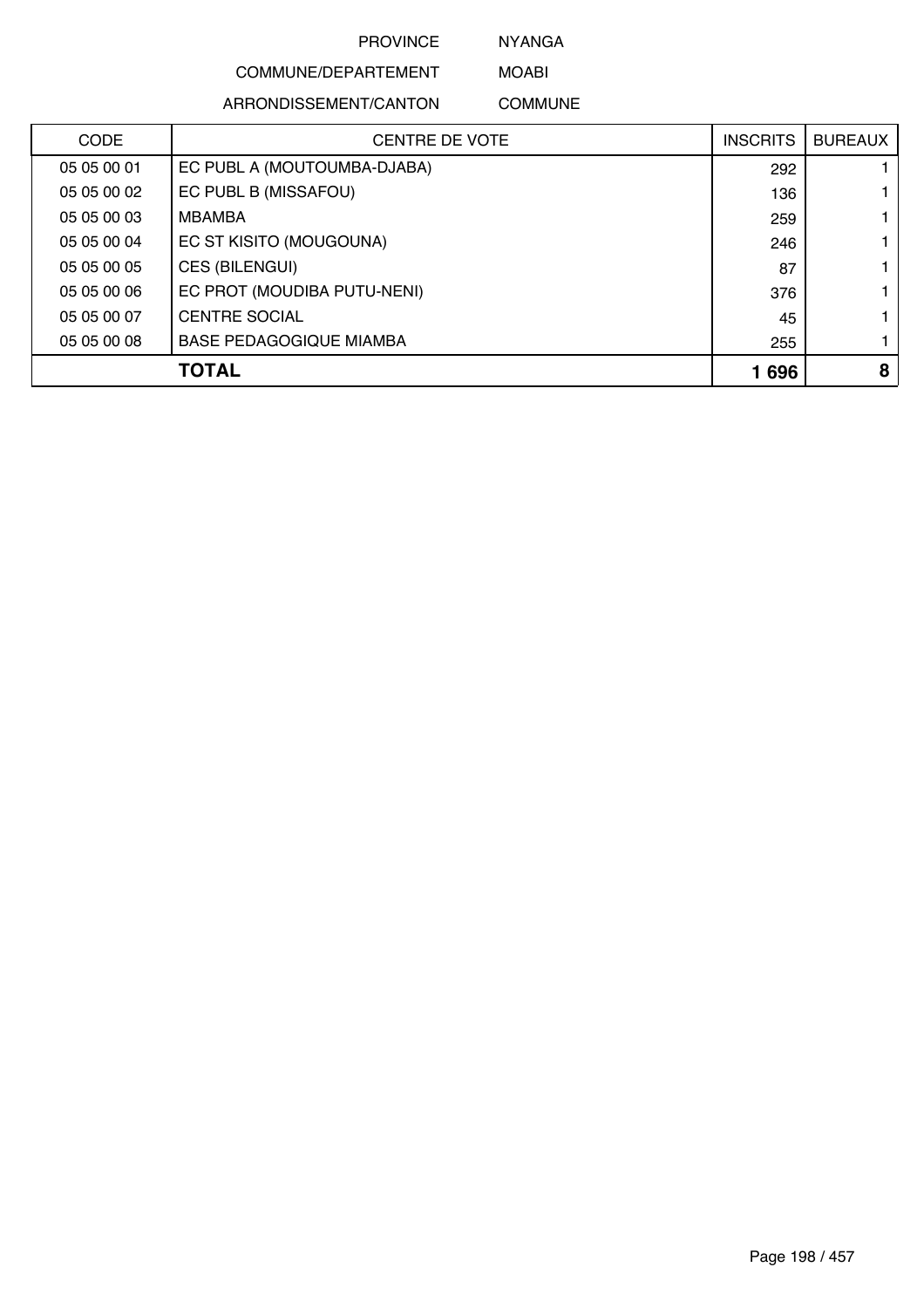NYANGA

# COMMUNE/DEPARTEMENT

ARRONDISSEMENT/CANTON

MOABI COMMUNE

| <b>CODE</b> | CENTRE DE VOTE                 | <b>INSCRITS</b> | <b>BUREAUX</b> |
|-------------|--------------------------------|-----------------|----------------|
| 05 05 00 01 | EC PUBL A (MOUTOUMBA-DJABA)    | 292             |                |
| 05 05 00 02 | EC PUBL B (MISSAFOU)           | 136             |                |
| 05 05 00 03 | MBAMBA                         | 259             |                |
| 05 05 00 04 | EC ST KISITO (MOUGOUNA)        | 246             |                |
| 05 05 00 05 | CES (BILENGUI)                 | 87              |                |
| 05 05 00 06 | EC PROT (MOUDIBA PUTU-NENI)    | 376             |                |
| 05 05 00 07 | <b>CENTRE SOCIAL</b>           | 45              |                |
| 05 05 00 08 | <b>BASE PEDAGOGIQUE MIAMBA</b> | 255             |                |
|             | <b>TOTAL</b>                   | 1696            | 8              |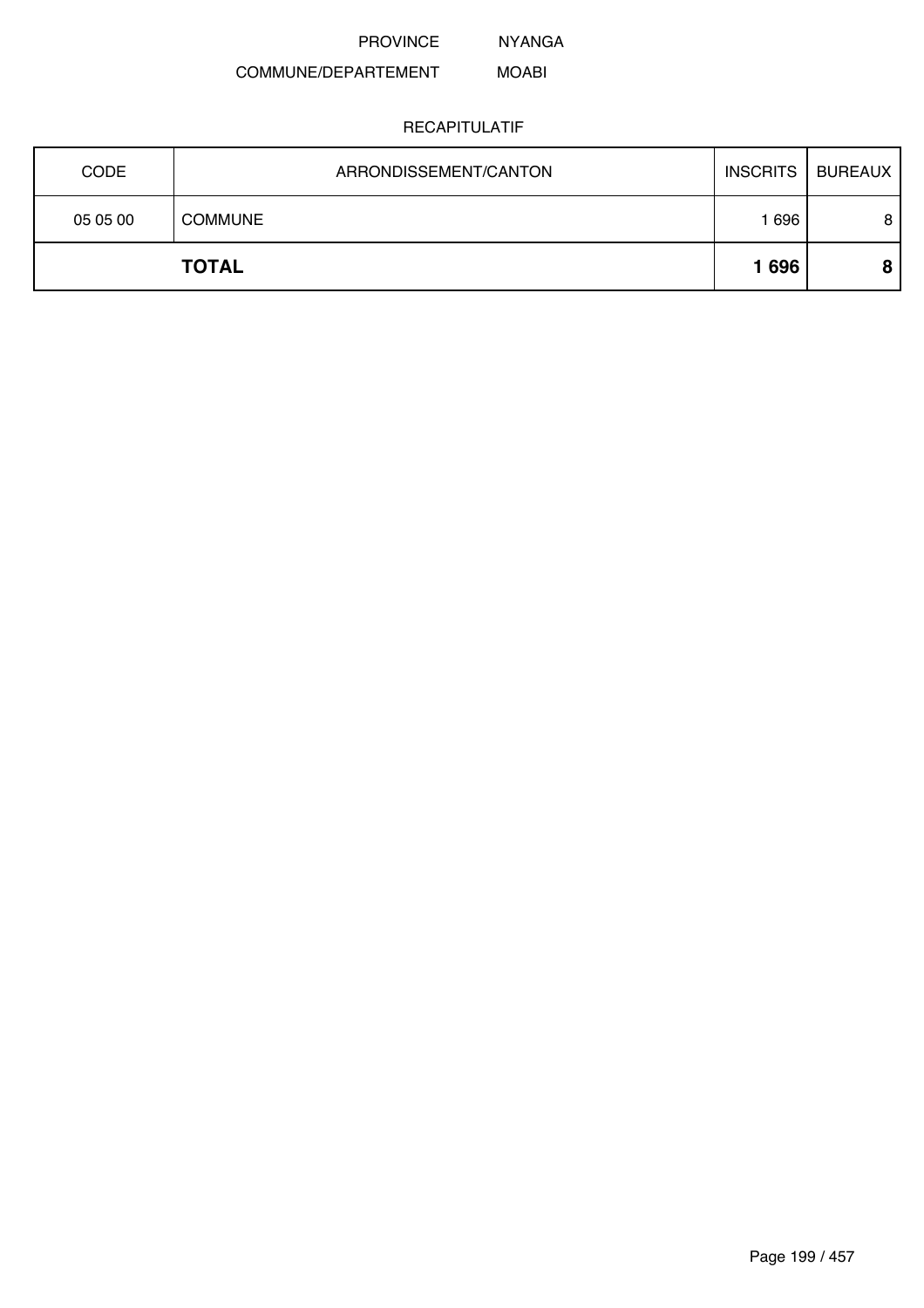NYANGA

#### COMMUNE/DEPARTEMENT MOABI

|             | <b>TOTAL</b>          | 1696            | 8              |
|-------------|-----------------------|-----------------|----------------|
| 05 05 00    | <b>COMMUNE</b>        | 696             | 8              |
| <b>CODE</b> | ARRONDISSEMENT/CANTON | <b>INSCRITS</b> | <b>BUREAUX</b> |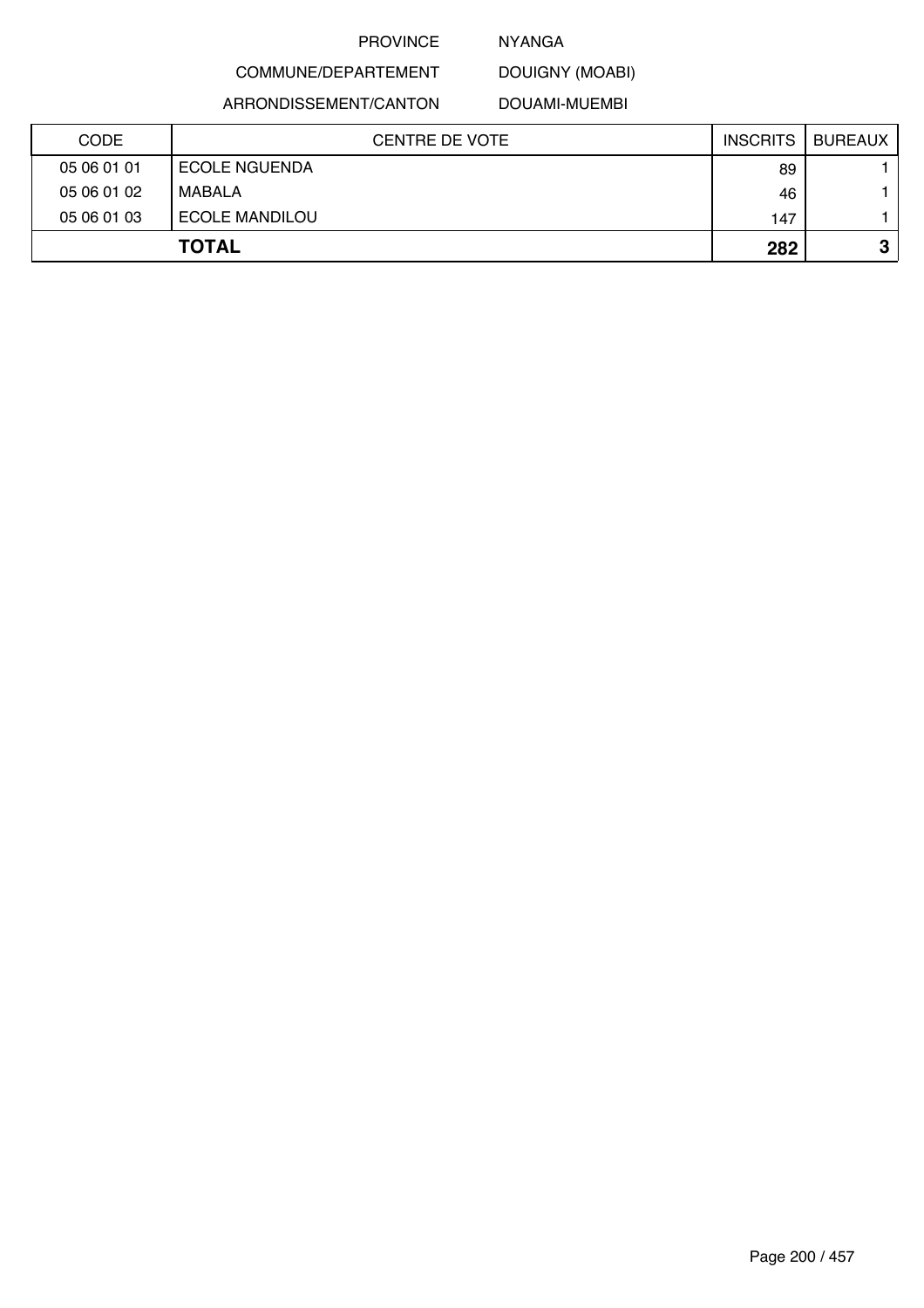## NYANGA

DOUIGNY (MOABI)

ARRONDISSEMENT/CANTON

COMMUNE/DEPARTEMENT

DOUAMI-MUEMBI

| <b>CODE</b> | <b>CENTRE DE VOTE</b> | <b>INSCRITS</b> | <b>BUREAUX</b> |
|-------------|-----------------------|-----------------|----------------|
| 05 06 01 01 | <b>ECOLE NGUENDA</b>  | 89              |                |
| 05 06 01 02 | MABALA                | 46              |                |
| 05 06 01 03 | <b>ECOLE MANDILOU</b> | 147             |                |
|             | <b>TOTAL</b>          | 282             | o<br>۰J.       |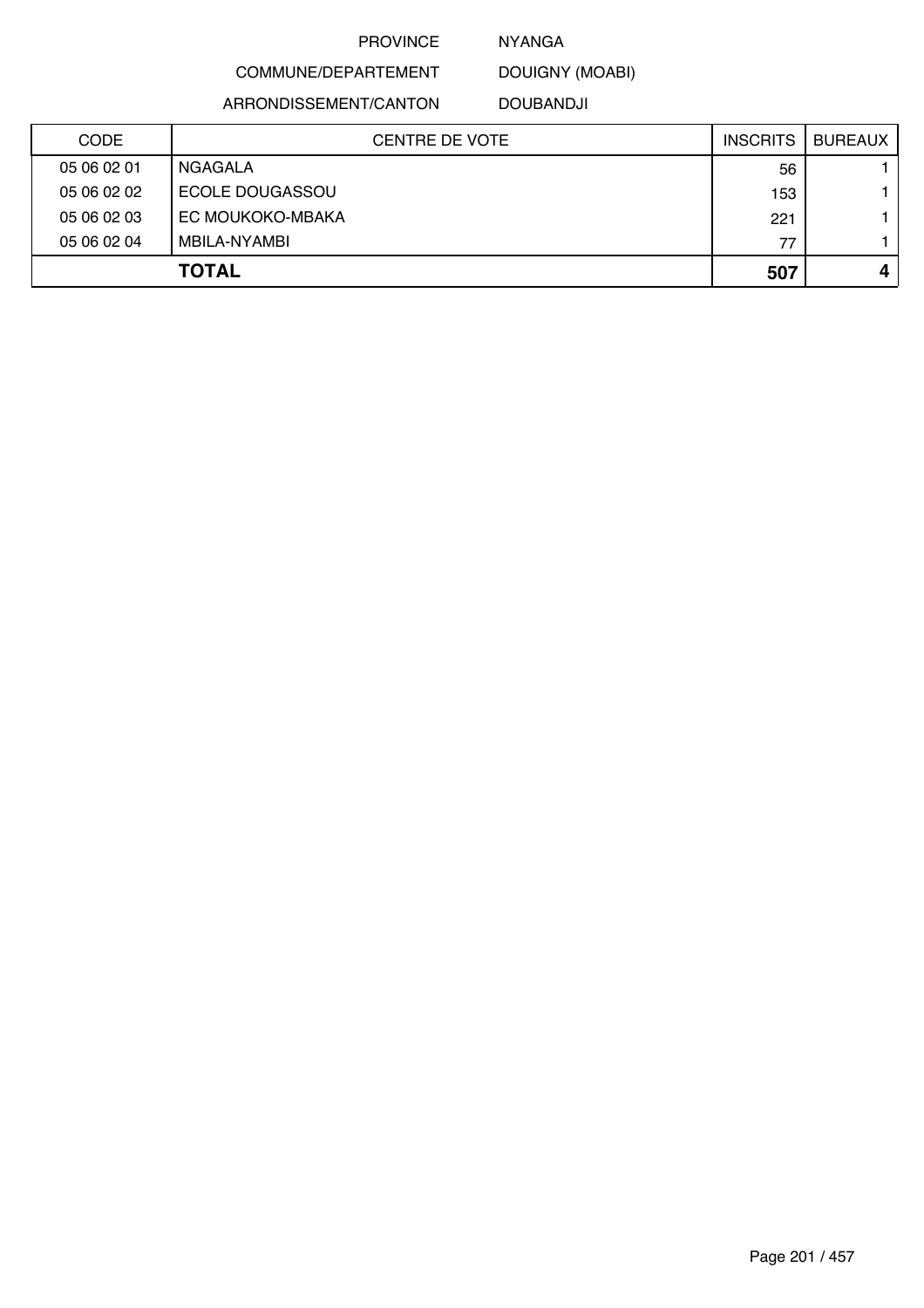### NYANGA

DOUIGNY (MOABI)

ARRONDISSEMENT/CANTON

COMMUNE/DEPARTEMENT

DOUBANDJI

| <b>CODE</b> | CENTRE DE VOTE   | <b>INSCRITS</b> | <b>BUREAUX</b> |
|-------------|------------------|-----------------|----------------|
| 05 06 02 01 | NGAGALA          | 56              |                |
| 05 06 02 02 | ECOLE DOUGASSOU  | 153             |                |
| 05 06 02 03 | EC MOUKOKO-MBAKA | 221             |                |
| 05 06 02 04 | MBILA-NYAMBI     | 77              |                |
|             | <b>TOTAL</b>     | 507             |                |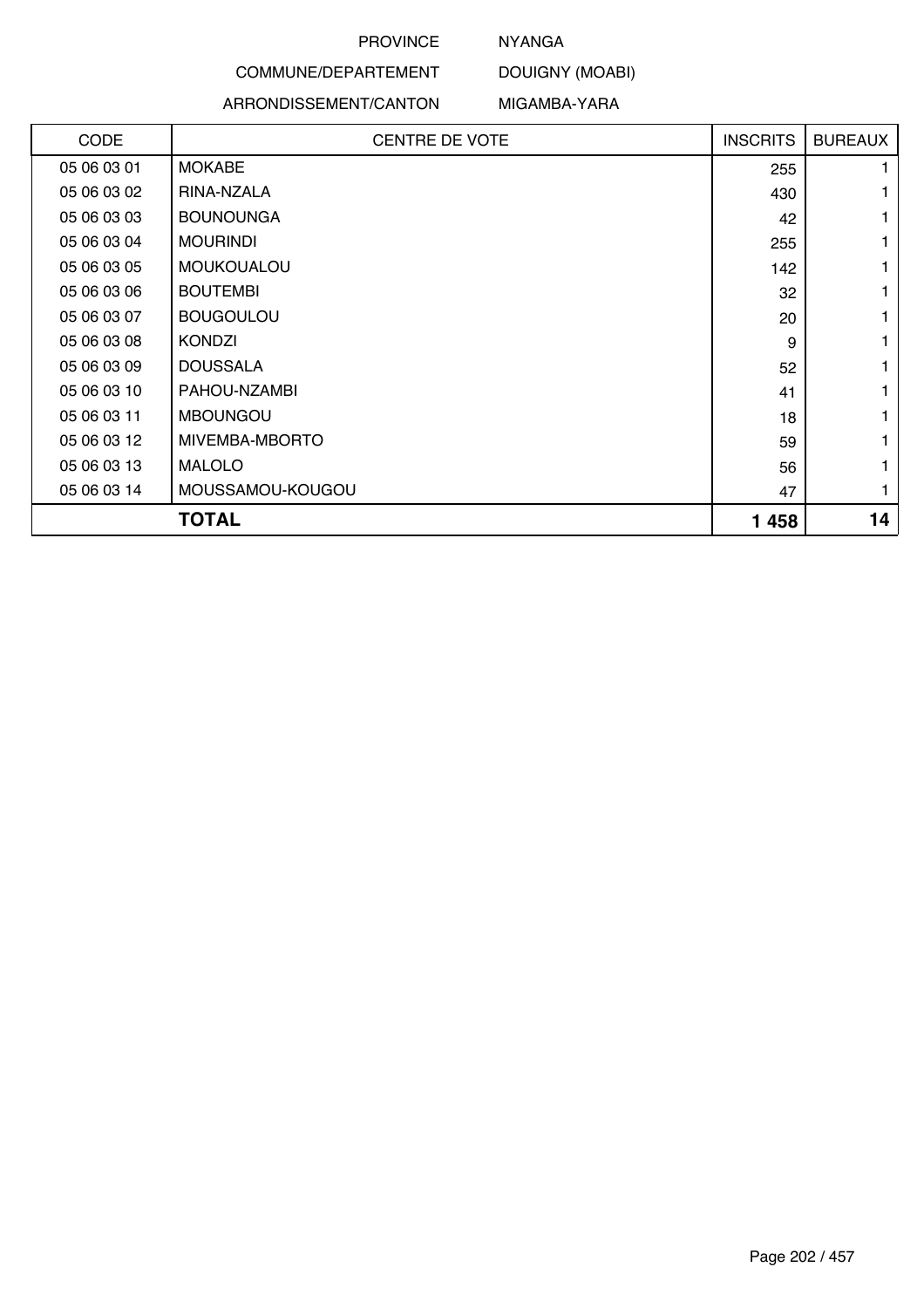# NYANGA

# COMMUNE/DEPARTEMENT

#### ARRONDISSEMENT/CANTON

MIGAMBA-YARA

DOUIGNY (MOABI)

| <b>CODE</b> | <b>CENTRE DE VOTE</b> | <b>INSCRITS</b> | <b>BUREAUX</b> |
|-------------|-----------------------|-----------------|----------------|
| 05 06 03 01 | <b>MOKABE</b>         | 255             |                |
| 05 06 03 02 | RINA-NZALA            | 430             |                |
| 05 06 03 03 | <b>BOUNOUNGA</b>      | 42              |                |
| 05 06 03 04 | <b>MOURINDI</b>       | 255             |                |
| 05 06 03 05 | MOUKOUALOU            | 142             |                |
| 05 06 03 06 | <b>BOUTEMBI</b>       | 32              | 1              |
| 05 06 03 07 | <b>BOUGOULOU</b>      | 20              |                |
| 05 06 03 08 | <b>KONDZI</b>         | 9               | 1              |
| 05 06 03 09 | <b>DOUSSALA</b>       | 52              |                |
| 05 06 03 10 | PAHOU-NZAMBI          | 41              |                |
| 05 06 03 11 | <b>MBOUNGOU</b>       | 18              |                |
| 05 06 03 12 | MIVEMBA-MBORTO        | 59              |                |
| 05 06 03 13 | <b>MALOLO</b>         | 56              |                |
| 05 06 03 14 | MOUSSAMOU-KOUGOU      | 47              |                |
|             | <b>TOTAL</b>          | 1458            | 14             |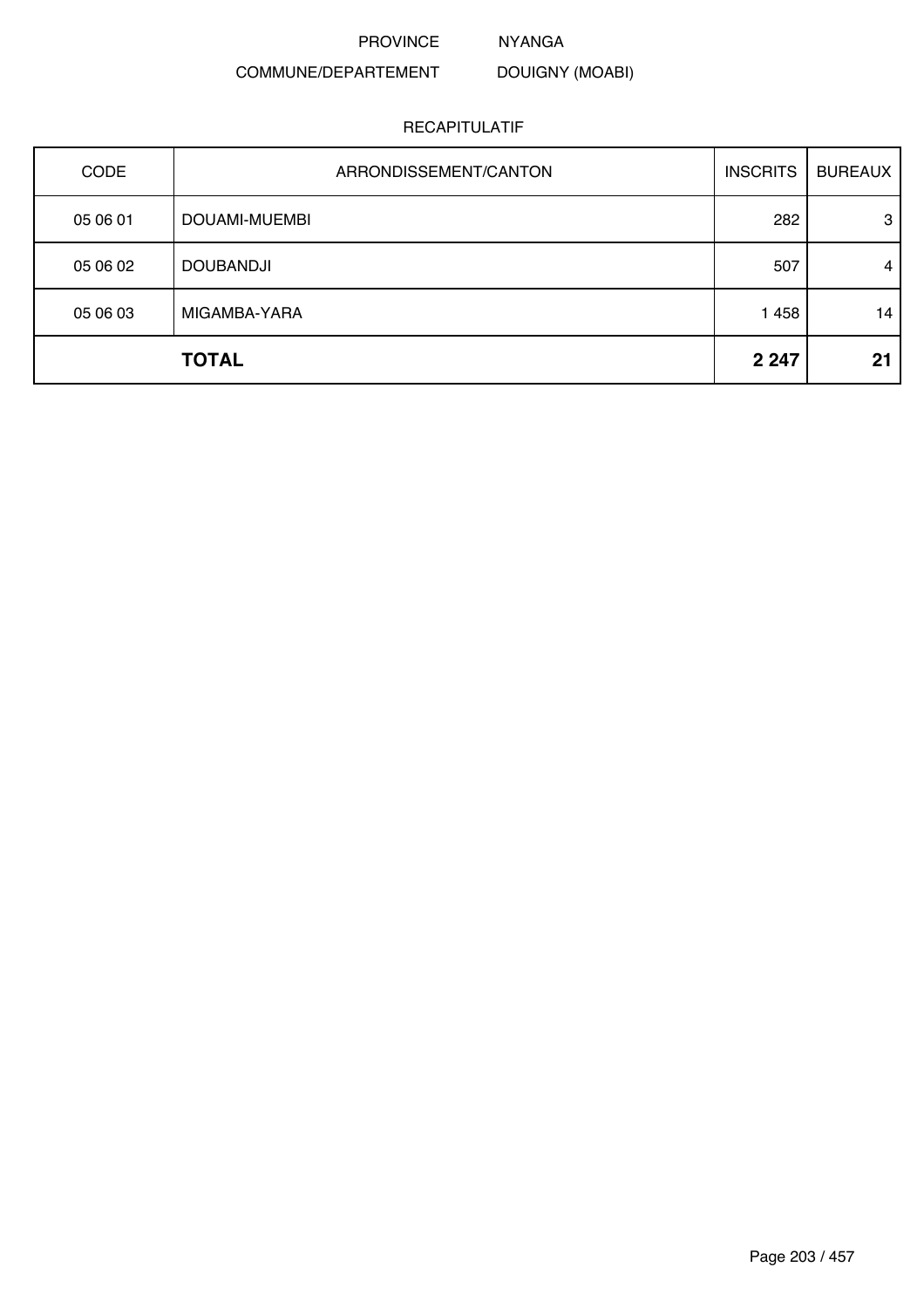NYANGA

DOUIGNY (MOABI)

# COMMUNE/DEPARTEMENT

| <b>CODE</b> | ARRONDISSEMENT/CANTON | <b>INSCRITS</b> | <b>BUREAUX</b> |
|-------------|-----------------------|-----------------|----------------|
| 05 06 01    | DOUAMI-MUEMBI         | 282             | 3              |
| 05 06 02    | <b>DOUBANDJI</b>      | 507             | 4              |
| 05 06 03    | MIGAMBA-YARA          | 1 4 5 8         | 14             |
|             | <b>TOTAL</b>          | 2 2 4 7         | 21             |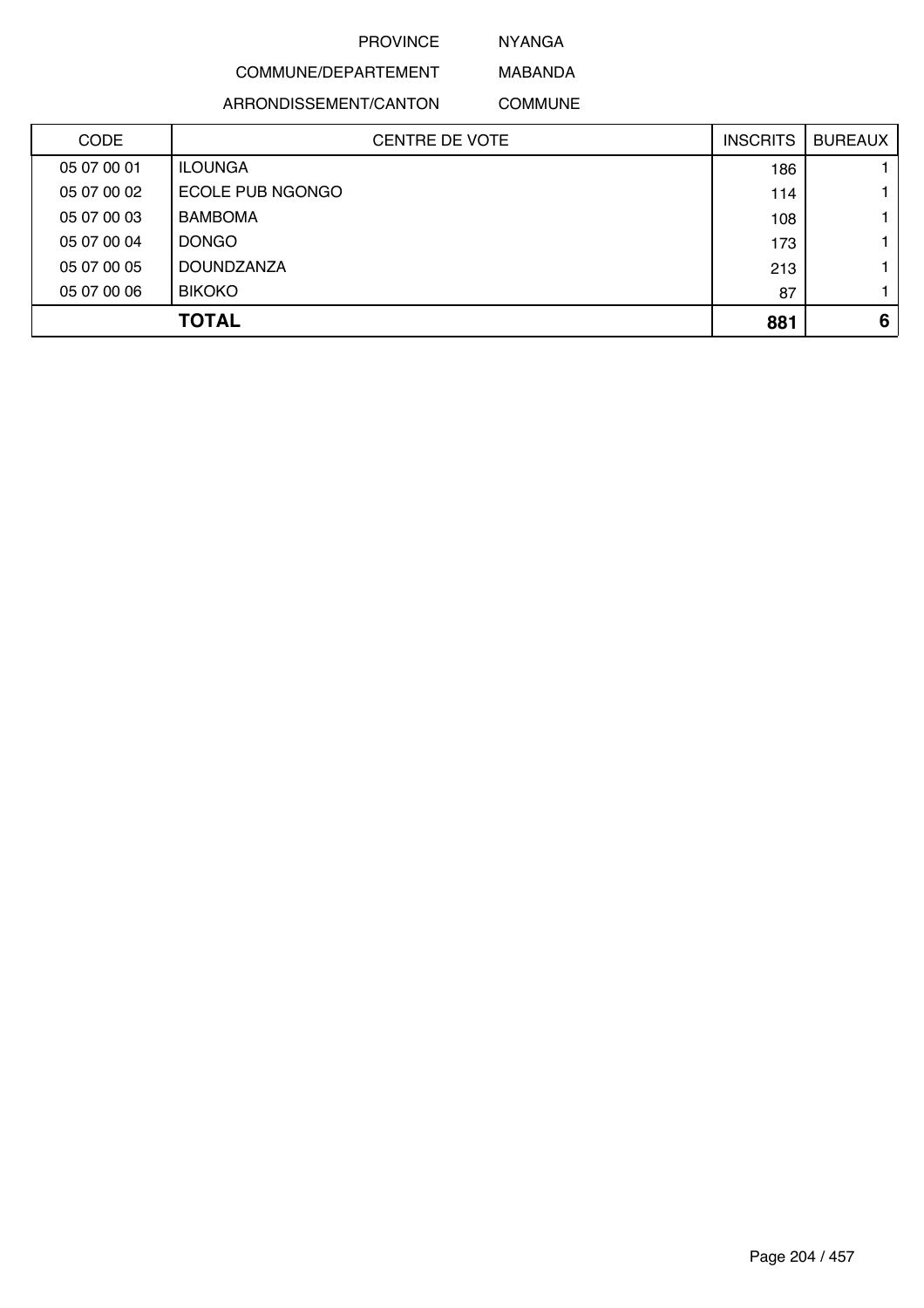NYANGA

# COMMUNE/DEPARTEMENT ARRONDISSEMENT/CANTON

MABANDA COMMUNE

| <b>CODE</b> | <b>CENTRE DE VOTE</b> | <b>INSCRITS</b> | <b>BUREAUX</b> |
|-------------|-----------------------|-----------------|----------------|
| 05 07 00 01 | <b>ILOUNGA</b>        | 186             |                |
| 05 07 00 02 | ECOLE PUB NGONGO      | 114             |                |
| 05 07 00 03 | <b>BAMBOMA</b>        | 108             |                |
| 05 07 00 04 | <b>DONGO</b>          | 173             |                |
| 05 07 00 05 | <b>DOUNDZANZA</b>     | 213             |                |
| 05 07 00 06 | <b>BIKOKO</b>         | 87              |                |
|             | <b>TOTAL</b>          | 881             | 6              |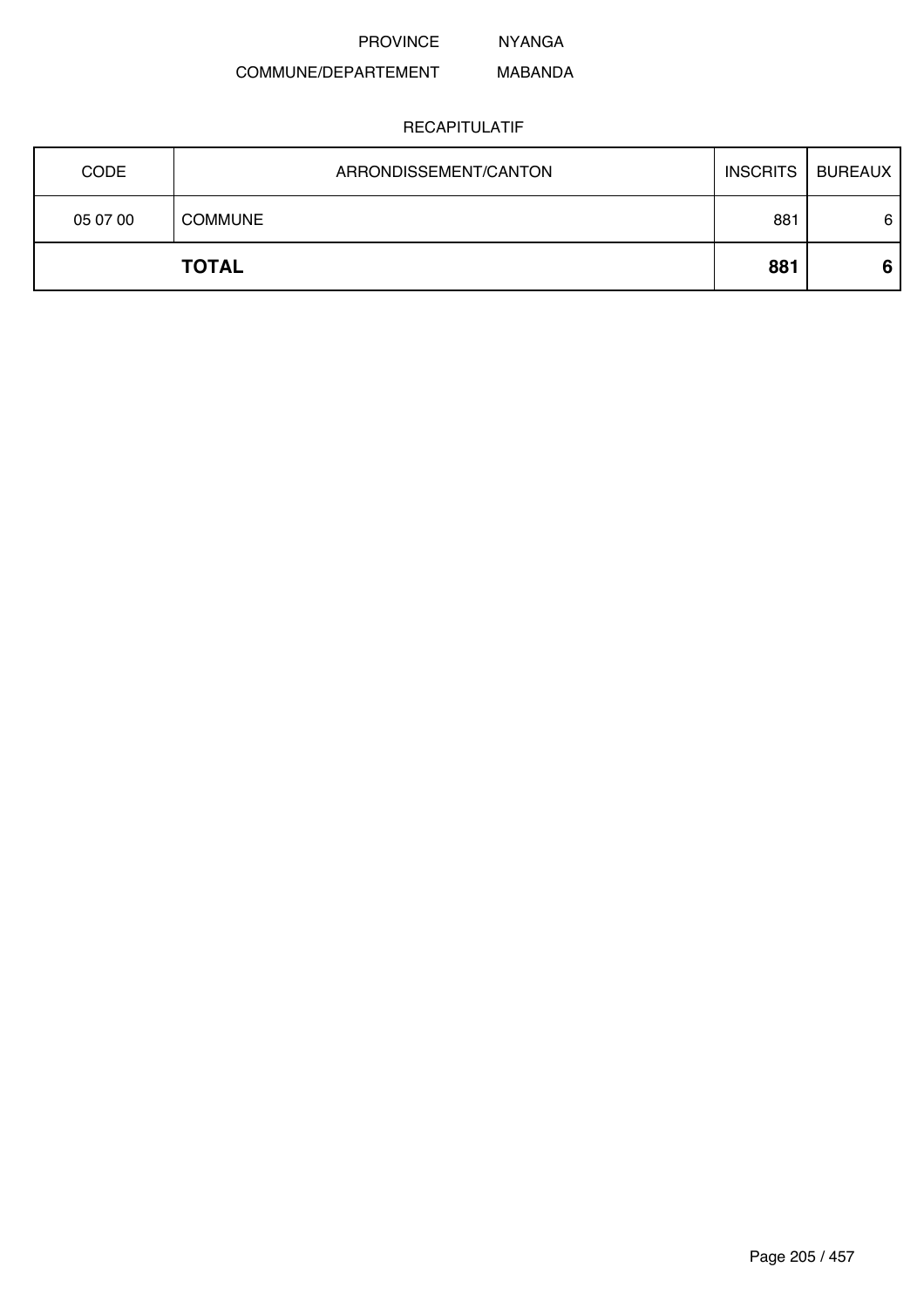NYANGA

#### COMMUNE/DEPARTEMENT MABANDA

|             | <b>TOTAL</b>          | 881             | 6              |
|-------------|-----------------------|-----------------|----------------|
| 05 07 00    | <b>COMMUNE</b>        | 881             | 6              |
| <b>CODE</b> | ARRONDISSEMENT/CANTON | <b>INSCRITS</b> | <b>BUREAUX</b> |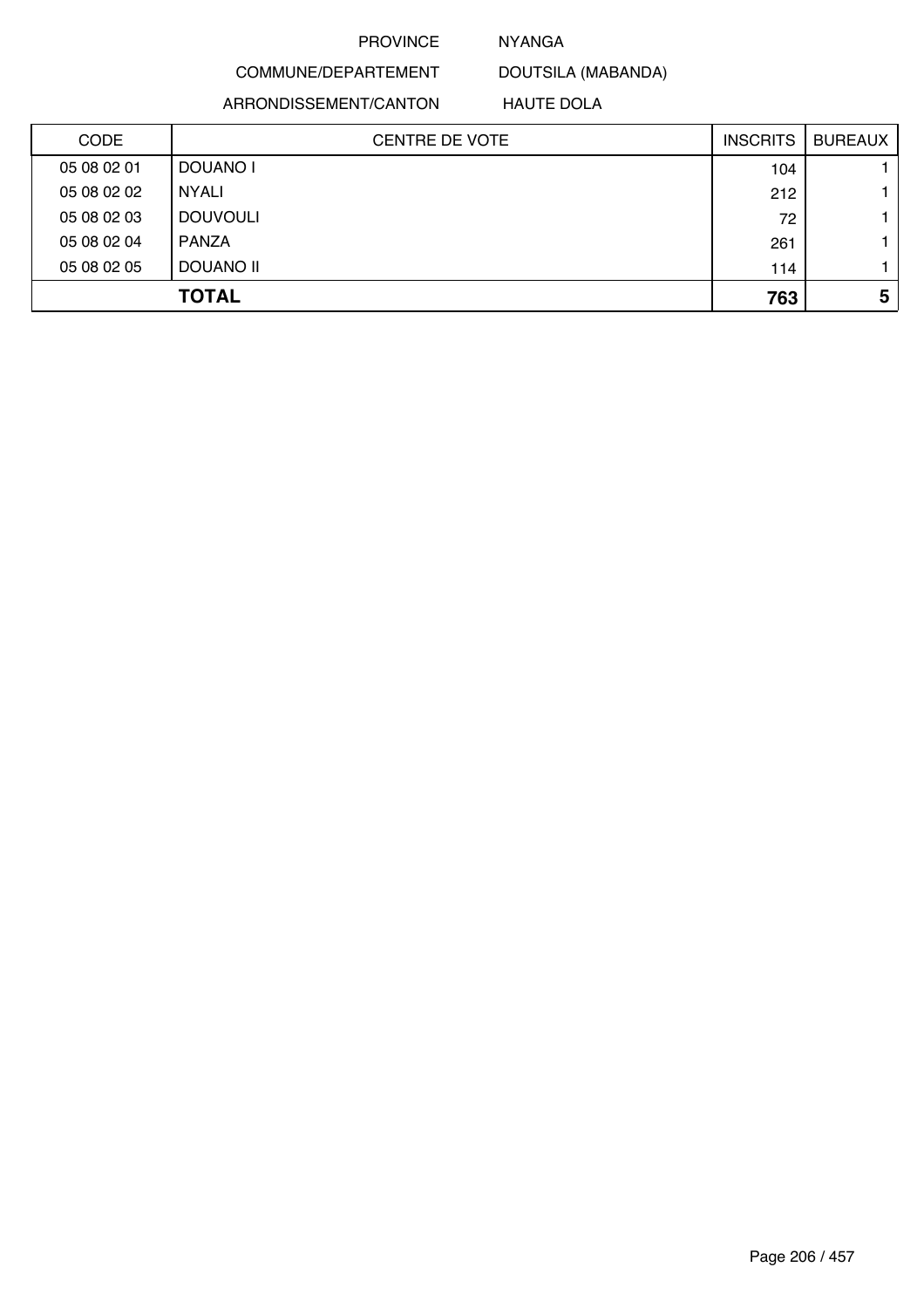#### NYANGA

DOUTSILA (MABANDA)

ARRONDISSEMENT/CANTON

COMMUNE/DEPARTEMENT

HAUTE DOLA

| <b>CODE</b> | <b>CENTRE DE VOTE</b> | <b>INSCRITS</b> | <b>BUREAUX</b> |
|-------------|-----------------------|-----------------|----------------|
| 05 08 02 01 | DOUANO I              | 104             |                |
| 05 08 02 02 | <b>NYALI</b>          | 212             |                |
| 05 08 02 03 | <b>DOUVOULI</b>       | 72              |                |
| 05 08 02 04 | <b>PANZA</b>          | 261             |                |
| 05 08 02 05 | DOUANO II             | 114             |                |
|             | <b>TOTAL</b>          | 763             | 5              |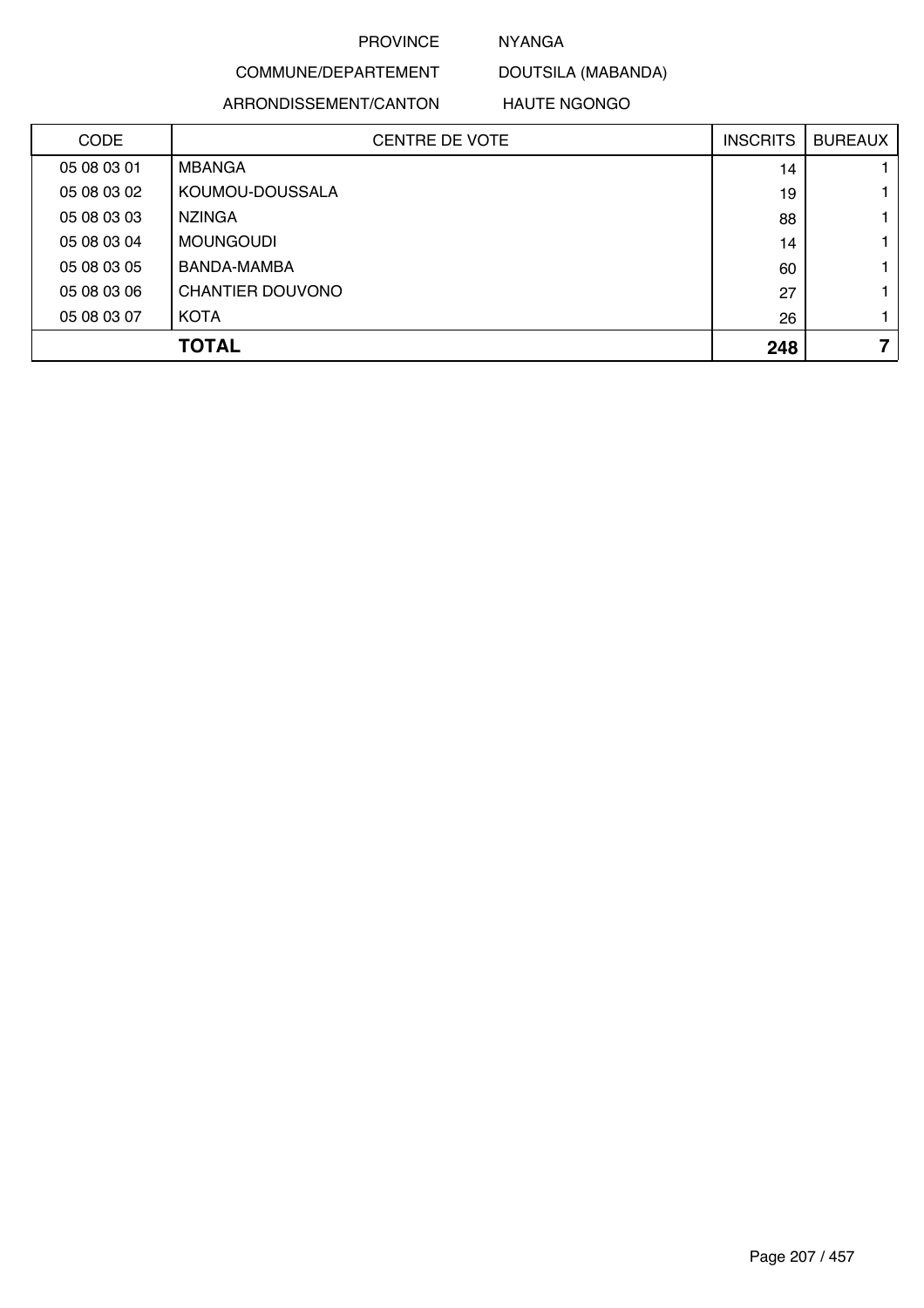# NYANGA

DOUTSILA (MABANDA)

### ARRONDISSEMENT/CANTON

COMMUNE/DEPARTEMENT

HAUTE NGONGO

| <b>CODE</b> | <b>CENTRE DE VOTE</b> | <b>INSCRITS</b> | <b>BUREAUX</b> |
|-------------|-----------------------|-----------------|----------------|
| 05 08 03 01 | <b>MBANGA</b>         | 14              |                |
| 05 08 03 02 | KOUMOU-DOUSSALA       | 19              |                |
| 05 08 03 03 | <b>NZINGA</b>         | 88              |                |
| 05 08 03 04 | <b>MOUNGOUDI</b>      | 14              |                |
| 05 08 03 05 | BANDA-MAMBA           | 60              |                |
| 05 08 03 06 | CHANTIER DOUVONO      | 27              |                |
| 05 08 03 07 | <b>KOTA</b>           | 26              |                |
|             | <b>TOTAL</b>          | 248             | 7              |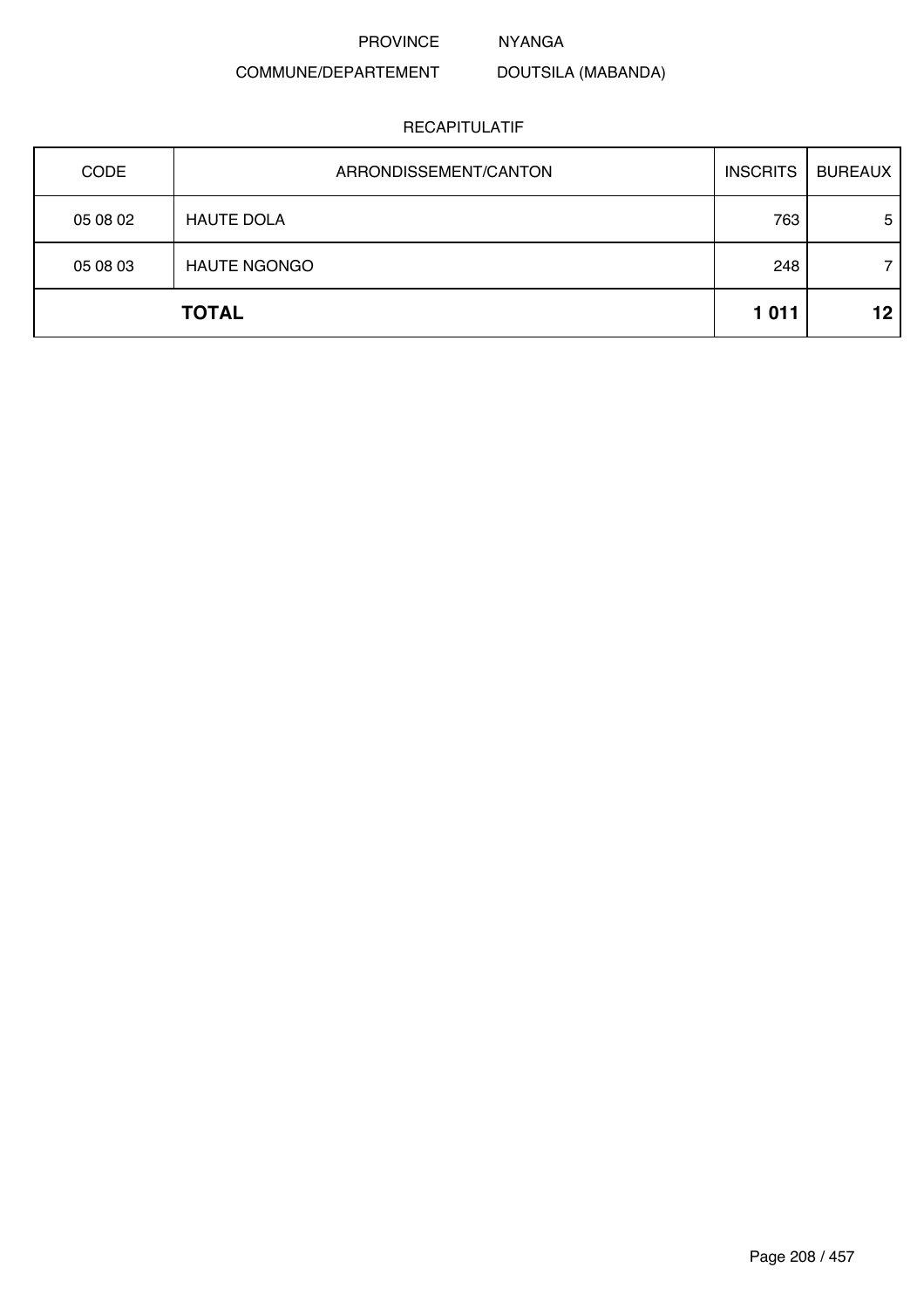NYANGA

DOUTSILA (MABANDA)

# COMMUNE/DEPARTEMENT

| CODE     | ARRONDISSEMENT/CANTON | <b>INSCRITS</b> | <b>BUREAUX</b> |
|----------|-----------------------|-----------------|----------------|
| 05 08 02 | <b>HAUTE DOLA</b>     | 763             | 5              |
| 05 08 03 | <b>HAUTE NGONGO</b>   | 248             | 7              |
|          | <b>TOTAL</b>          | 1011            | 12             |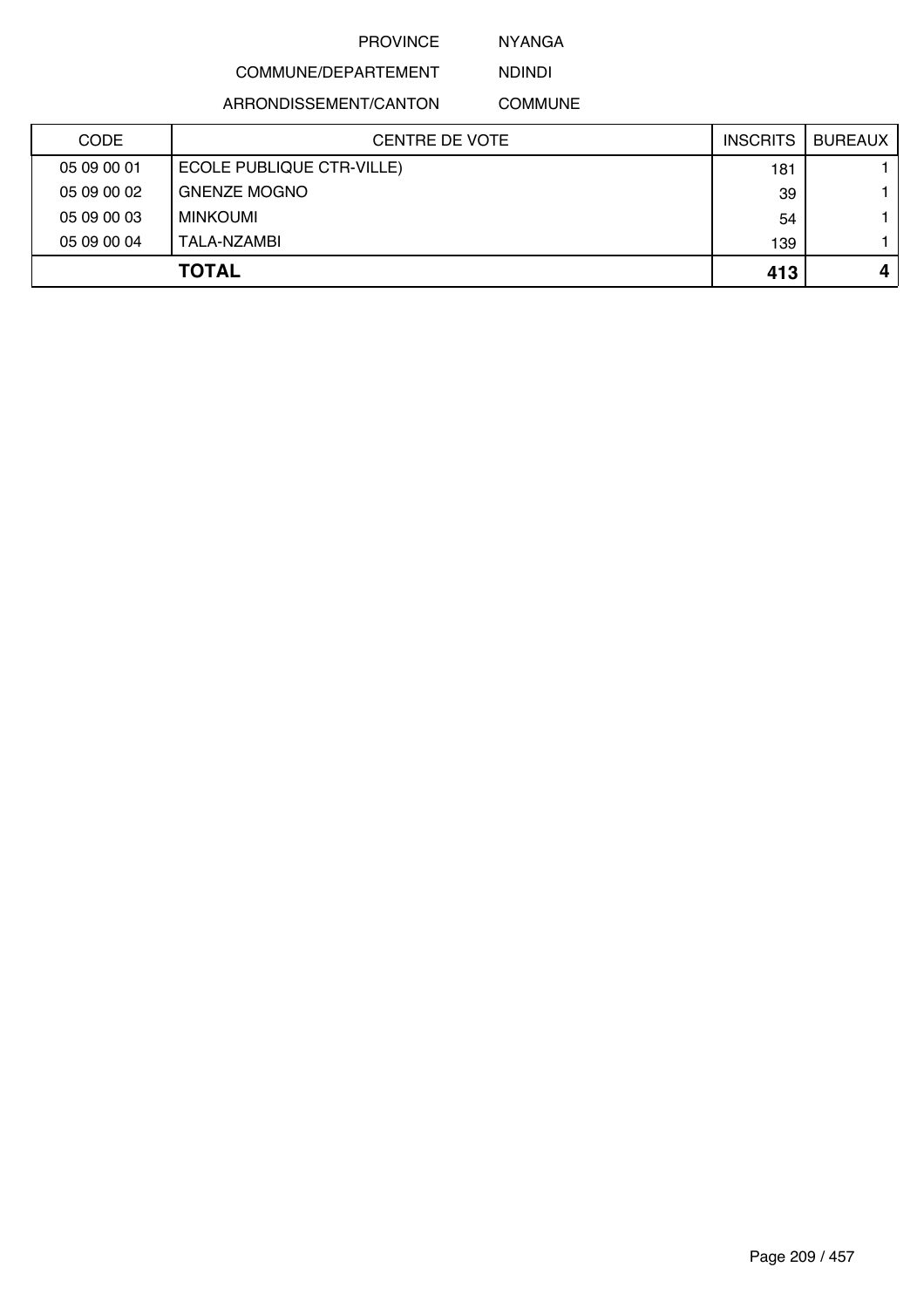NYANGA

NDINDI

# COMMUNE/DEPARTEMENT

ARRONDISSEMENT/CANTON

COMMUNE

| <b>CODE</b> | <b>CENTRE DE VOTE</b>     | <b>INSCRITS</b> | <b>BUREAUX</b> |
|-------------|---------------------------|-----------------|----------------|
| 05 09 00 01 | ECOLE PUBLIQUE CTR-VILLE) | 181             |                |
| 05 09 00 02 | <b>GNENZE MOGNO</b>       | 39              |                |
| 05 09 00 03 | MINKOUMI                  | 54              |                |
| 05 09 00 04 | TALA-NZAMBI               | 139             |                |
|             | <b>TOTAL</b>              | 413             |                |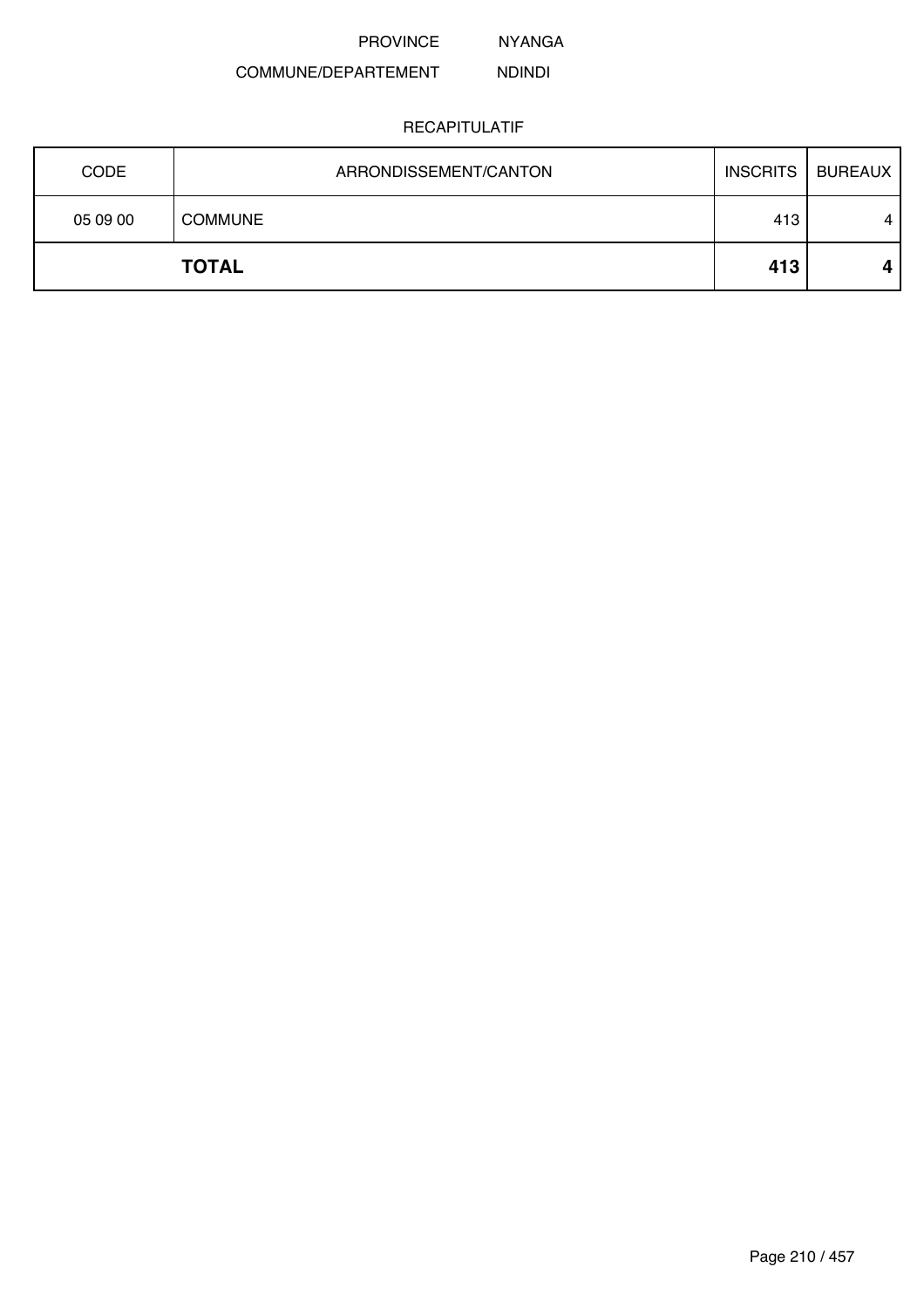NYANGA

#### COMMUNE/DEPARTEMENT NDINDI

| <b>CODE</b> | ARRONDISSEMENT/CANTON | <b>INSCRITS</b> | <b>BUREAUX</b> |
|-------------|-----------------------|-----------------|----------------|
| 05 09 00    | <b>COMMUNE</b>        | 413             | 4              |
|             | <b>TOTAL</b>          | 413             | 4              |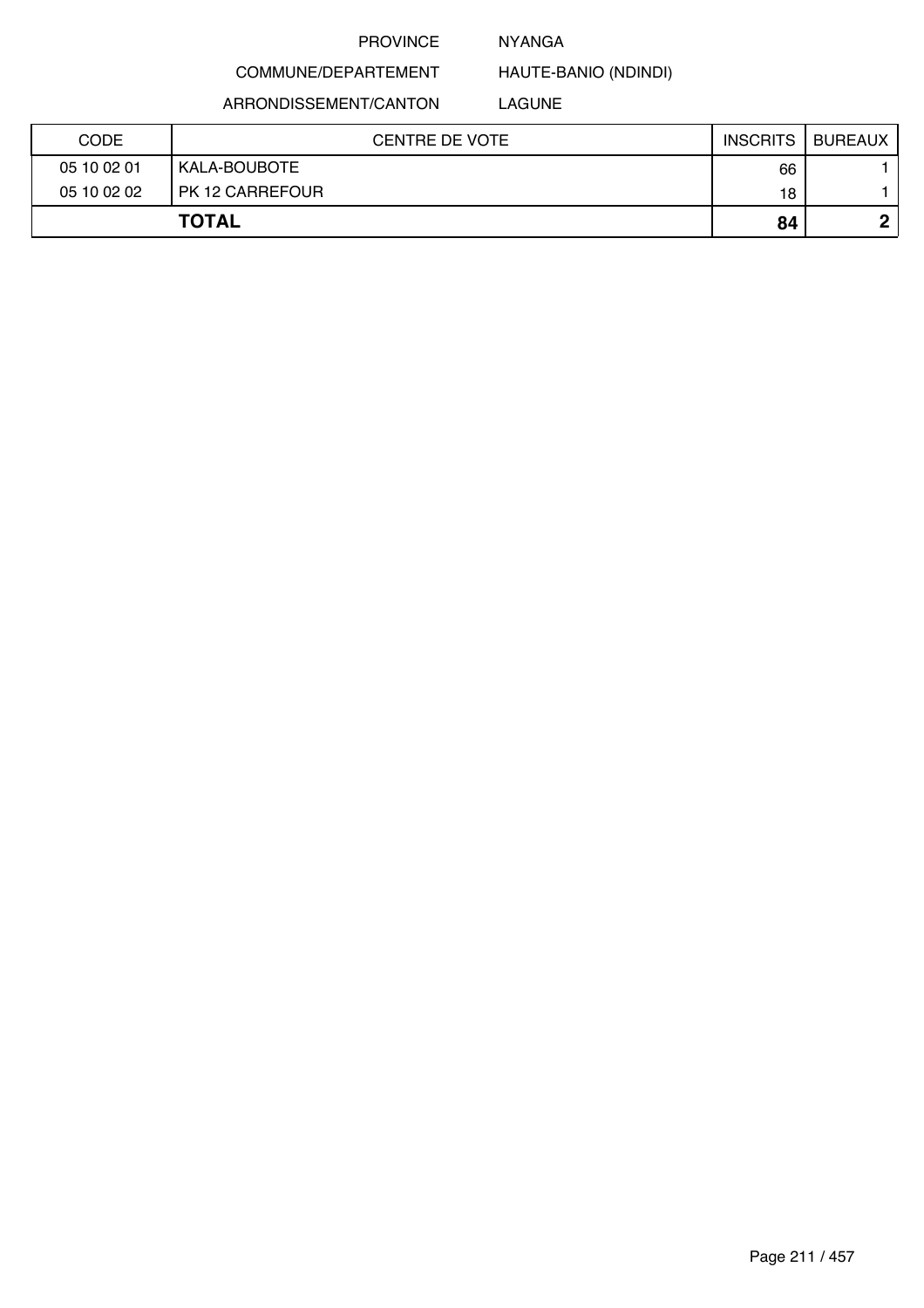#### NYANGA

HAUTE-BANIO (NDINDI)

ARRONDISSEMENT/CANTON

COMMUNE/DEPARTEMENT

LAGUNE

| <b>CODE</b> | <b>CENTRE DE VOTE</b> | <b>INSCRITS</b> | BUREAUX |
|-------------|-----------------------|-----------------|---------|
| 05 10 02 01 | KALA-BOUBOTE          | 66              |         |
| 05 10 02 02 | PK 12 CARREFOUR       | 18              |         |
|             | <b>TOTAL</b>          | 84              |         |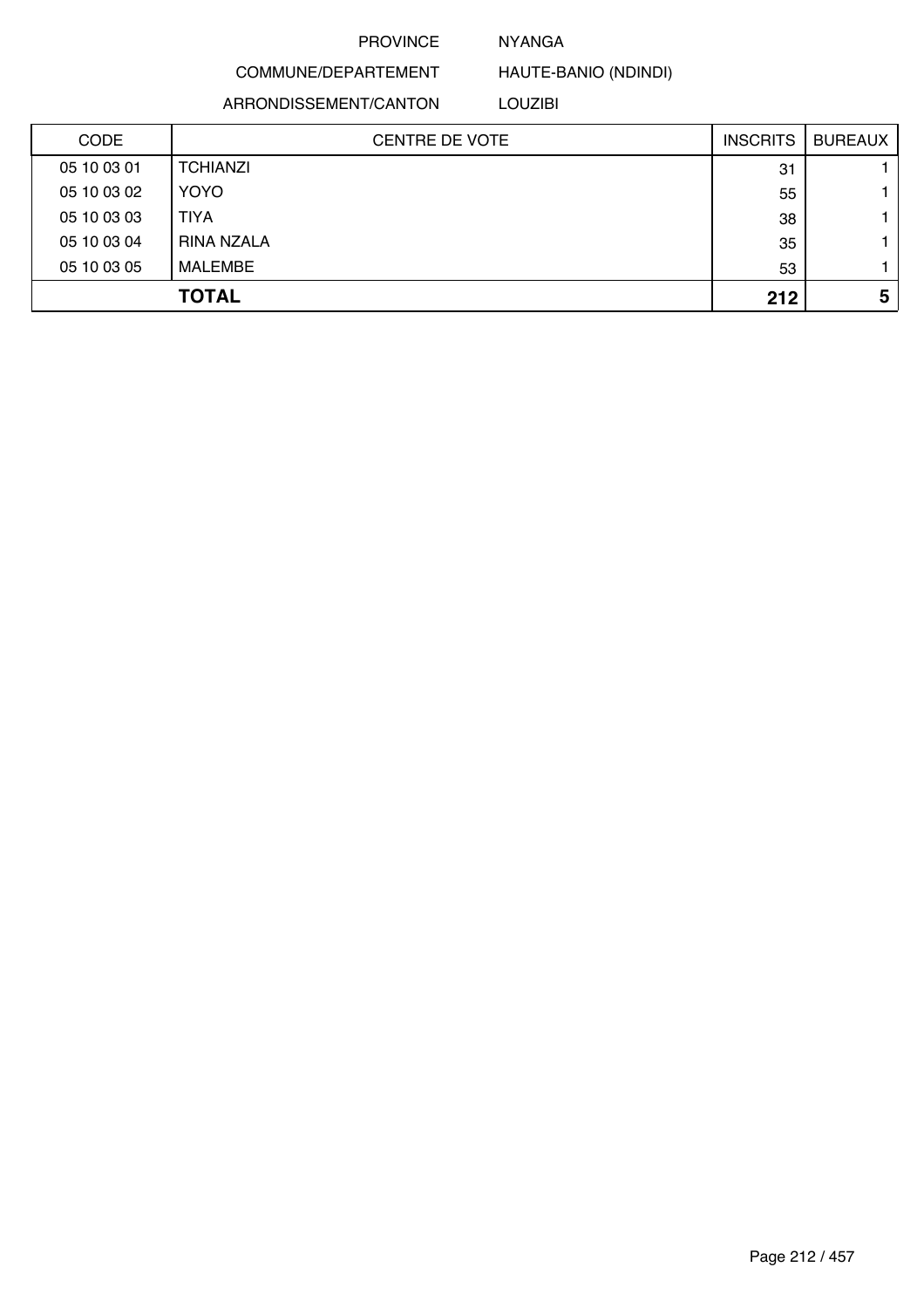#### NYANGA

COMMUNE/DEPARTEMENT HAUTE-BANIO (NDINDI)

ARRONDISSEMENT/CANTON

LOUZIBI

| <b>CODE</b> | <b>CENTRE DE VOTE</b> | <b>INSCRITS</b> | <b>BUREAUX</b> |
|-------------|-----------------------|-----------------|----------------|
| 05 10 03 01 | <b>TCHIANZI</b>       | 31              |                |
| 05 10 03 02 | <b>YOYO</b>           | 55              |                |
| 05 10 03 03 | <b>TIYA</b>           | 38              |                |
| 05 10 03 04 | RINA NZALA            | 35              |                |
| 05 10 03 05 | <b>MALEMBE</b>        | 53              |                |
|             | <b>TOTAL</b>          | 212             | 5              |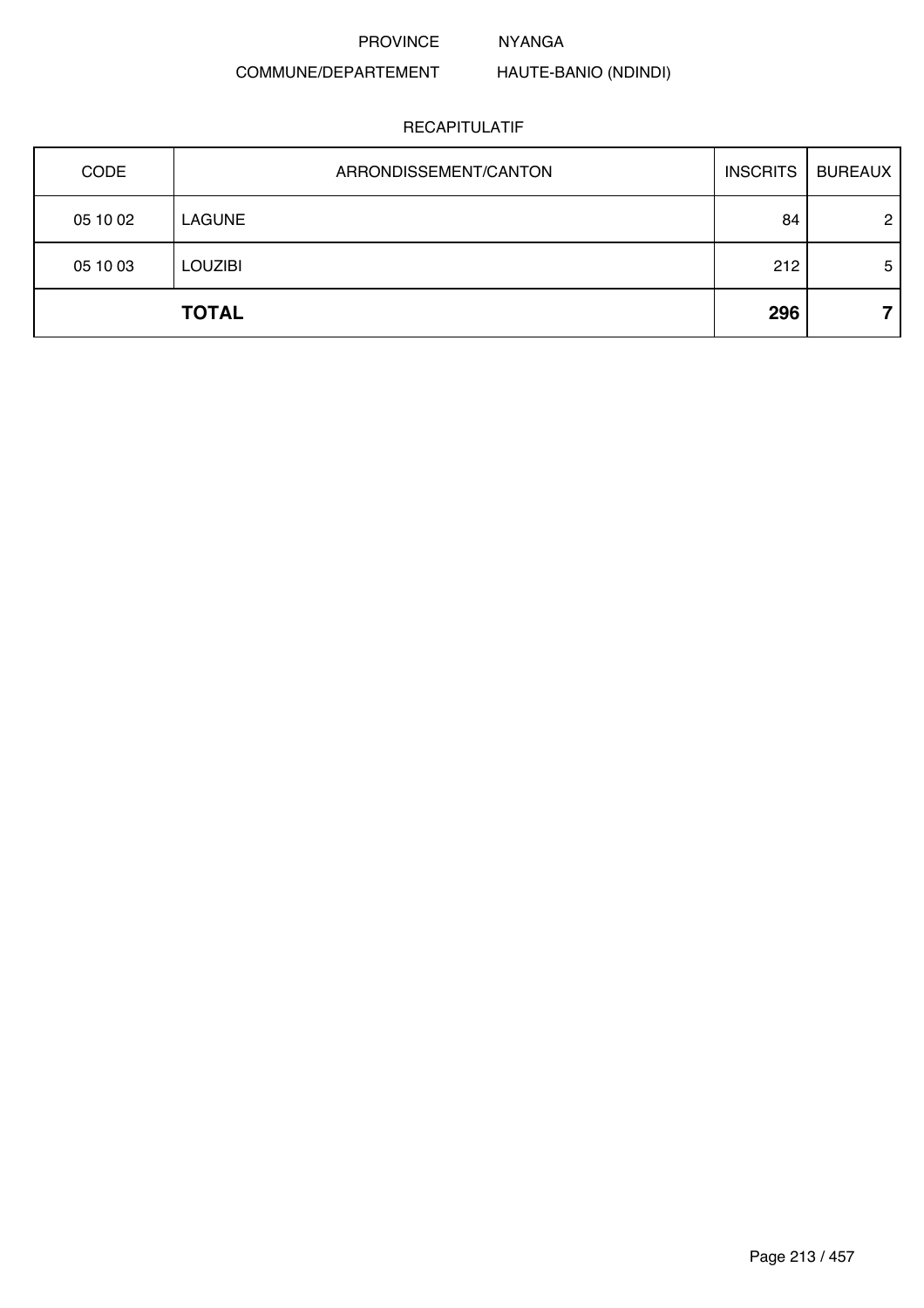NYANGA

# COMMUNE/DEPARTEMENT

# HAUTE-BANIO (NDINDI)

| CODE     | ARRONDISSEMENT/CANTON | <b>INSCRITS</b> | <b>BUREAUX</b> |
|----------|-----------------------|-----------------|----------------|
| 05 10 02 | <b>LAGUNE</b>         | 84              | $\overline{2}$ |
| 05 10 03 | <b>LOUZIBI</b>        | 212             | 5              |
|          | <b>TOTAL</b>          | 296             |                |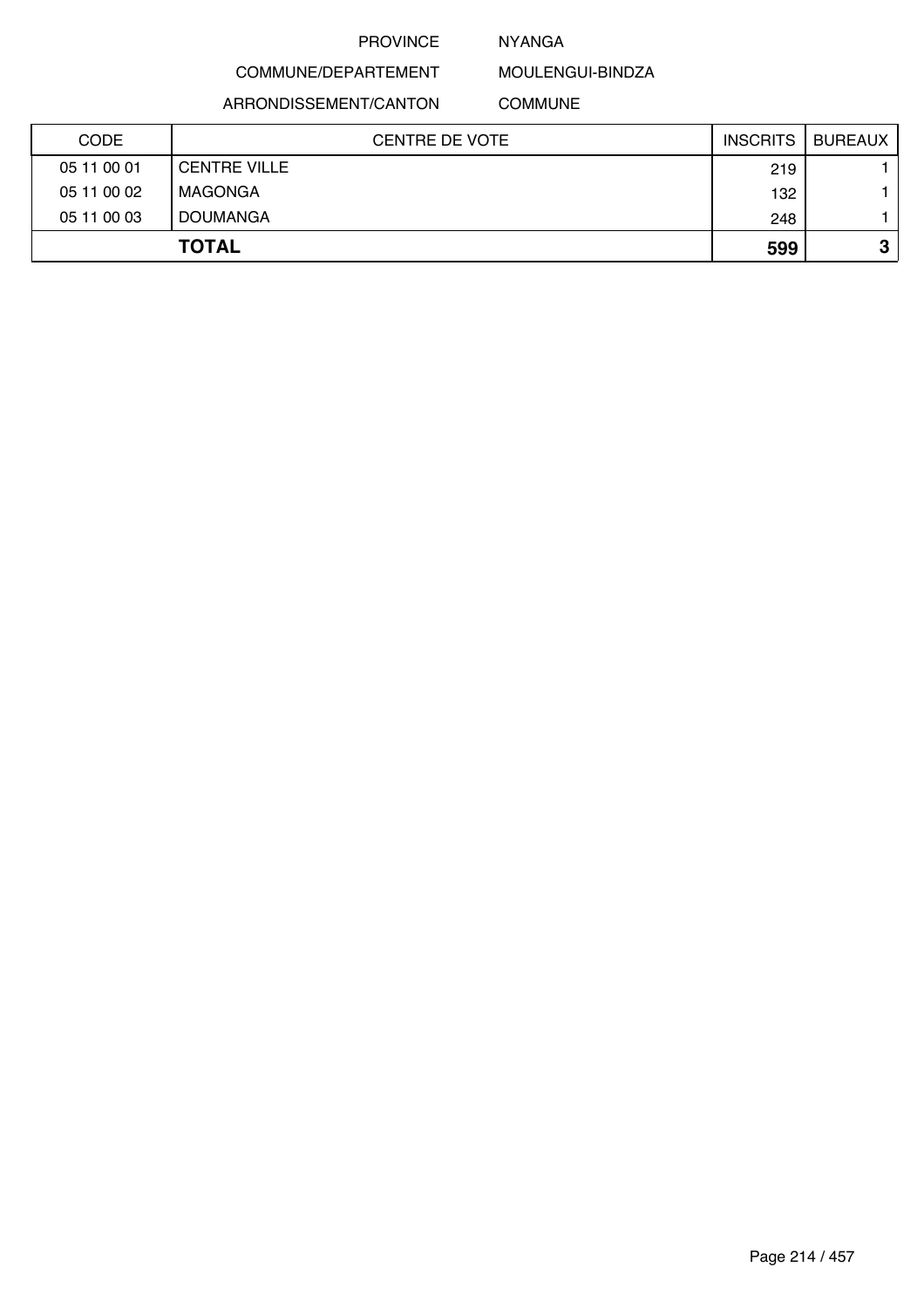### NYANGA

MOULENGUI-BINDZA

ARRONDISSEMENT/CANTON

COMMUNE/DEPARTEMENT

COMMUNE

| <b>CODE</b> | CENTRE DE VOTE      | <b>INSCRITS</b> | <b>BUREAUX</b> |
|-------------|---------------------|-----------------|----------------|
| 05 11 00 01 | <b>CENTRE VILLE</b> | 219             |                |
| 05 11 00 02 | MAGONGA             | 132             |                |
| 05 11 00 03 | <b>DOUMANGA</b>     | 248             |                |
|             | <b>TOTAL</b>        | 599             | ≏<br>J         |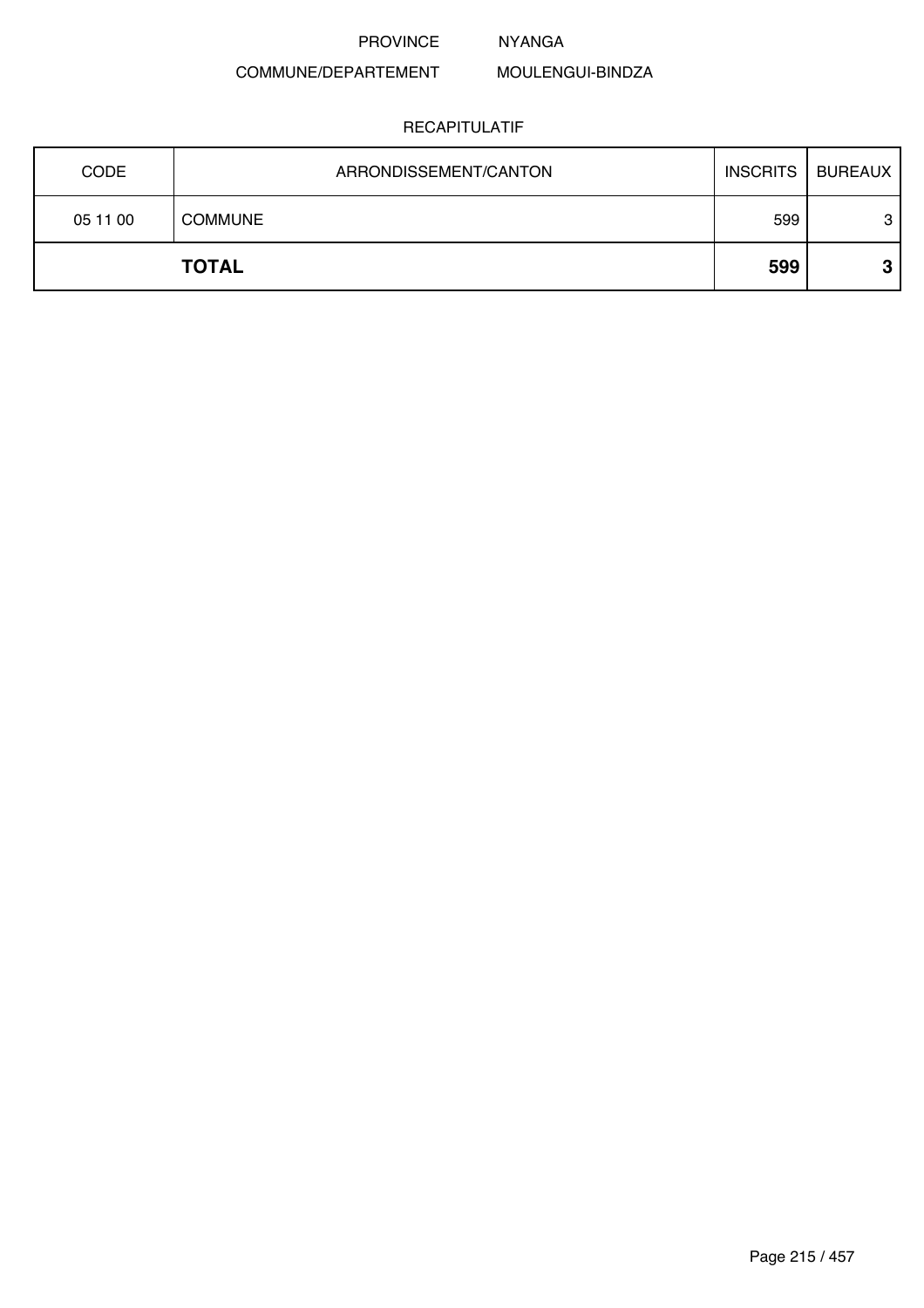#### NYANGA

MOULENGUI-BINDZA

# COMMUNE/DEPARTEMENT

| <b>CODE</b> | ARRONDISSEMENT/CANTON | <b>INSCRITS</b> | <b>BUREAUX</b> |
|-------------|-----------------------|-----------------|----------------|
| 05 11 00    | <b>COMMUNE</b>        | 599             | 3              |
|             | <b>TOTAL</b>          | 599             | ≏<br>v         |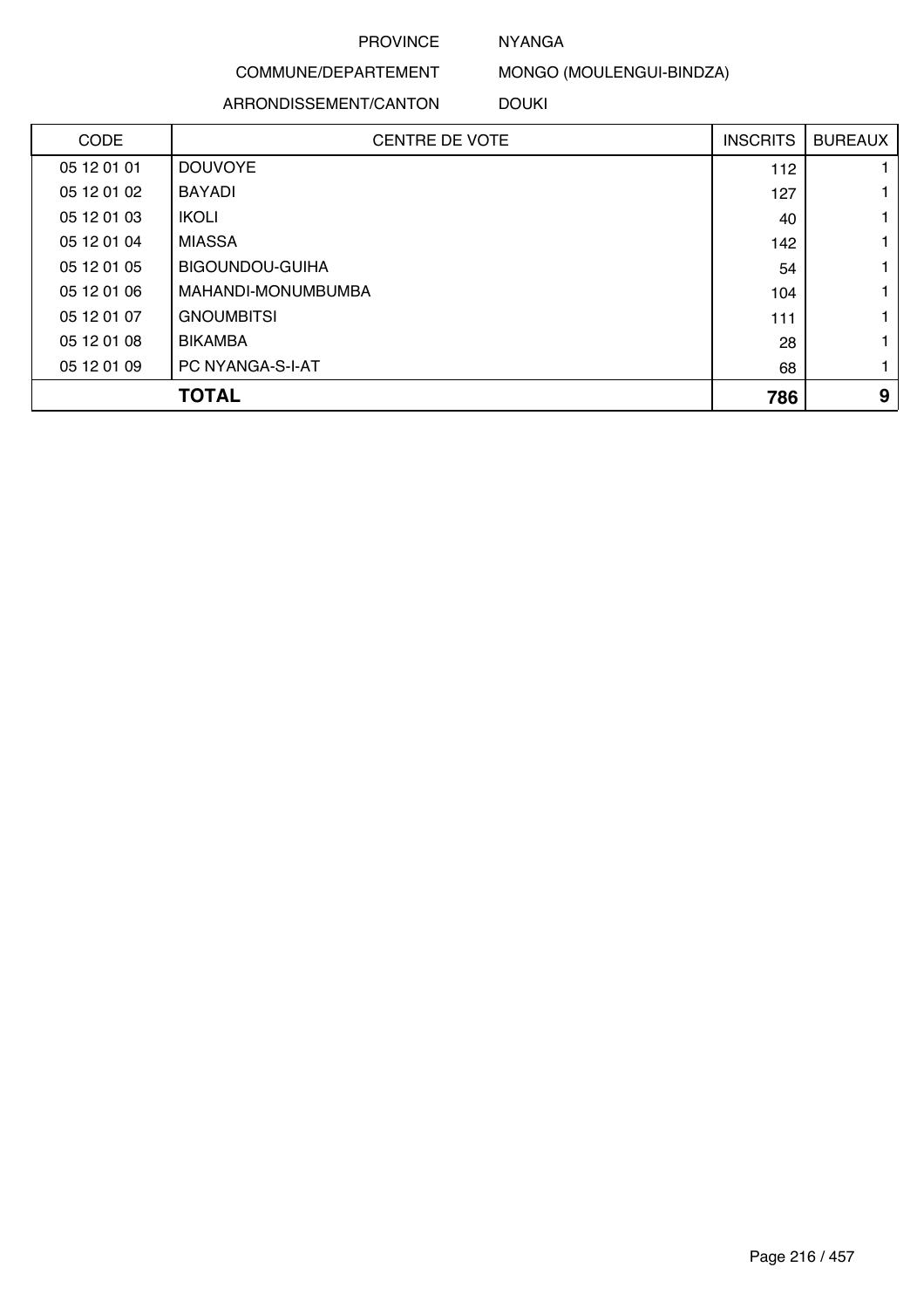### NYANGA

# COMMUNE/DEPARTEMENT

#### ARRONDISSEMENT/CANTON

MONGO (MOULENGUI-BINDZA)

#### DOUKI

| <b>CODE</b> | <b>CENTRE DE VOTE</b> | <b>INSCRITS</b> | <b>BUREAUX</b> |
|-------------|-----------------------|-----------------|----------------|
| 05 12 01 01 | <b>DOUVOYE</b>        | 112             |                |
| 05 12 01 02 | <b>BAYADI</b>         | 127             |                |
| 05 12 01 03 | <b>IKOLI</b>          | 40              | 1              |
| 05 12 01 04 | <b>MIASSA</b>         | 142             |                |
| 05 12 01 05 | BIGOUNDOU-GUIHA       | 54              | 1.             |
| 05 12 01 06 | MAHANDI-MONUMBUMBA    | 104             | 1              |
| 05 12 01 07 | <b>GNOUMBITSI</b>     | 111             | 1              |
| 05 12 01 08 | <b>BIKAMBA</b>        | 28              |                |
| 05 12 01 09 | PC NYANGA-S-I-AT      | 68              | 1              |
|             | <b>TOTAL</b>          | 786             | 9              |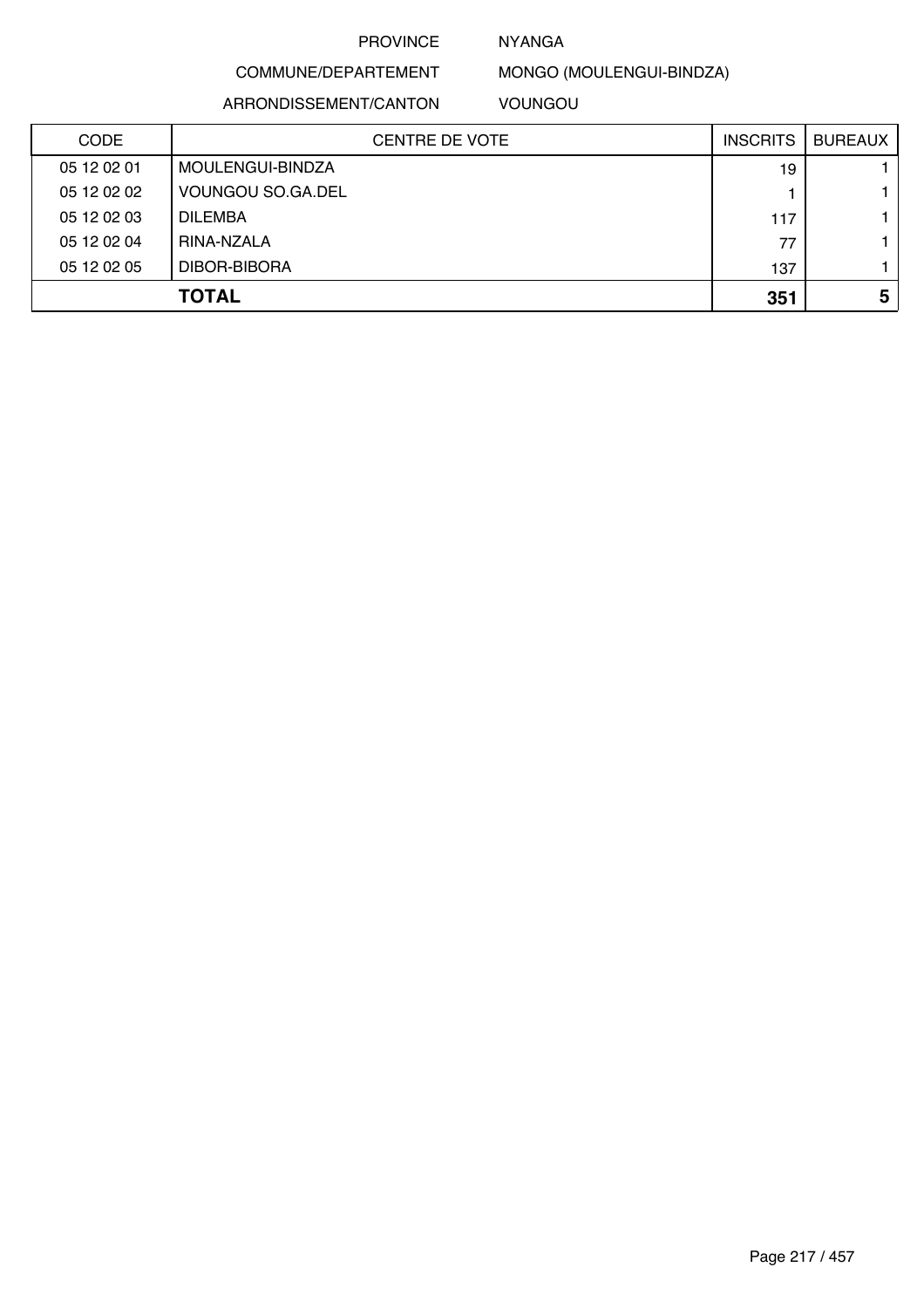# NYANGA

# COMMUNE/DEPARTEMENT

ARRONDISSEMENT/CANTON

MONGO (MOULENGUI-BINDZA)

VOUNGOU

| <b>CODE</b> | <b>CENTRE DE VOTE</b> | <b>INSCRITS</b> | <b>BUREAUX</b> |
|-------------|-----------------------|-----------------|----------------|
| 05 12 02 01 | MOULENGUI-BINDZA      | 19              |                |
| 05 12 02 02 | VOUNGOU SO.GA.DEL     |                 |                |
| 05 12 02 03 | <b>DILEMBA</b>        | 117             |                |
| 05 12 02 04 | RINA-NZALA            | 77              |                |
| 05 12 02 05 | DIBOR-BIBORA          | 137             |                |
|             | <b>TOTAL</b>          | 351             | 5              |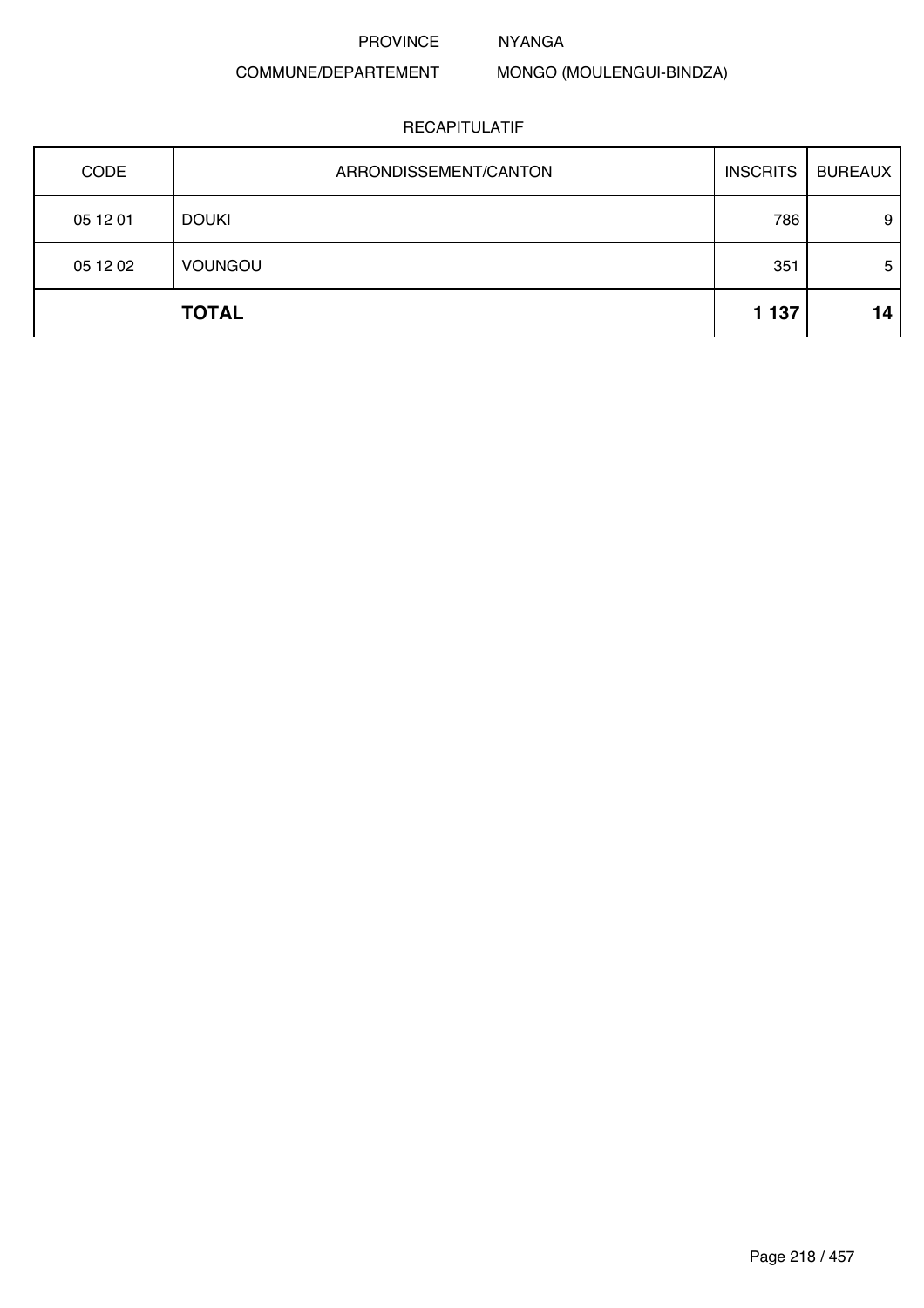NYANGA

# COMMUNE/DEPARTEMENT

MONGO (MOULENGUI-BINDZA)

| CODE     | ARRONDISSEMENT/CANTON | <b>INSCRITS</b> | <b>BUREAUX</b> |
|----------|-----------------------|-----------------|----------------|
| 05 12 01 | <b>DOUKI</b>          | 786             | 9              |
| 05 12 02 | <b>VOUNGOU</b>        | 351             | 5              |
|          | <b>TOTAL</b>          | 1 1 3 7         | 14             |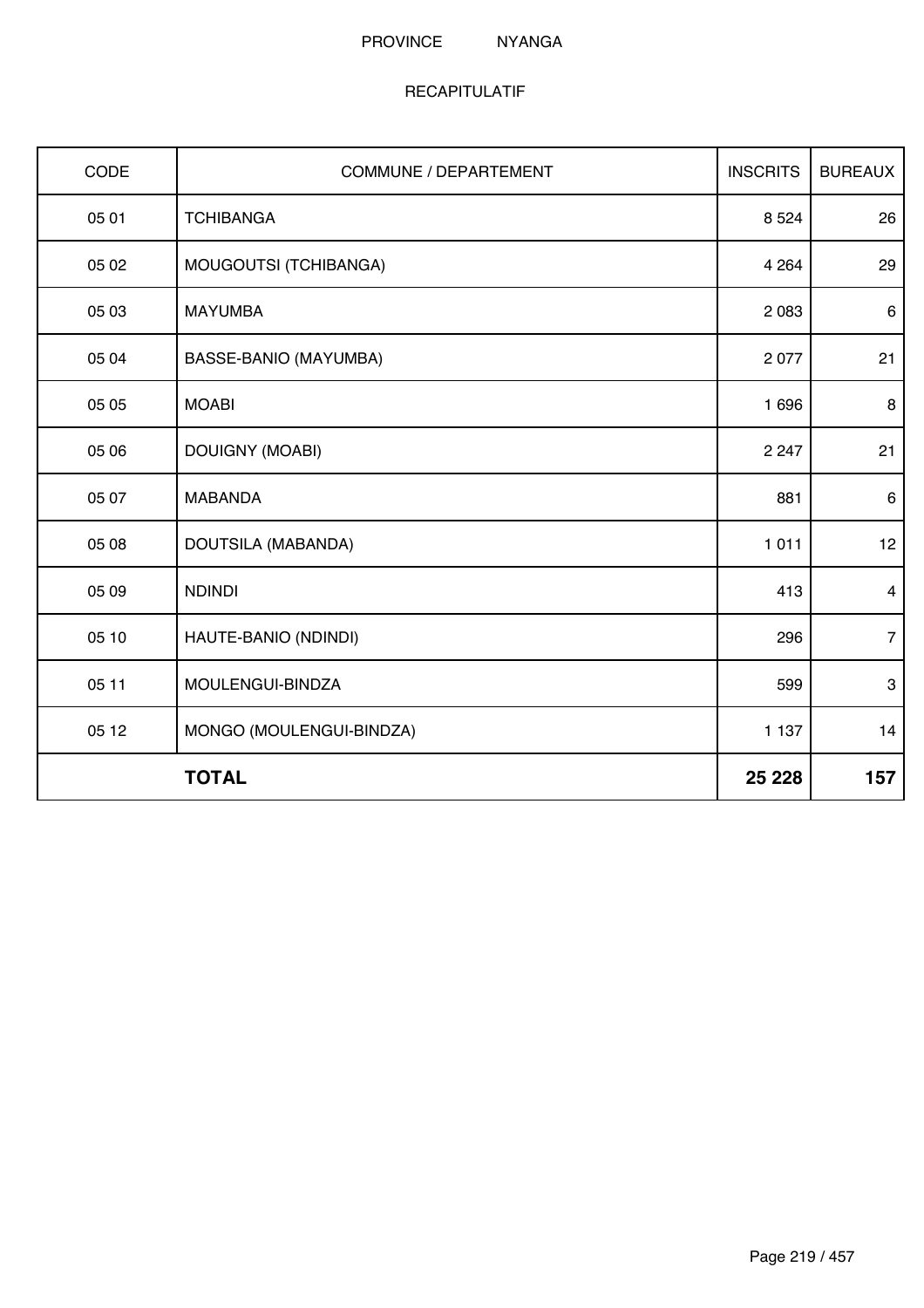#### PROVINCE NYANGA

| CODE  | <b>COMMUNE / DEPARTEMENT</b> | <b>INSCRITS</b> | <b>BUREAUX</b> |
|-------|------------------------------|-----------------|----------------|
| 05 01 | <b>TCHIBANGA</b>             | 8 5 24          | 26             |
| 05 02 | MOUGOUTSI (TCHIBANGA)        | 4 2 6 4         | 29             |
| 05 03 | <b>MAYUMBA</b>               | 2 0 8 3         | 6              |
| 05 04 | BASSE-BANIO (MAYUMBA)        | 2 0 7 7         | 21             |
| 05 05 | <b>MOABI</b>                 | 1696            | 8              |
| 05 06 | <b>DOUIGNY (MOABI)</b>       | 2 2 4 7         | 21             |
| 05 07 | <b>MABANDA</b>               | 881             | $\,6\,$        |
| 05 08 | DOUTSILA (MABANDA)           | 1011            | 12             |
| 05 09 | <b>NDINDI</b>                | 413             | $\overline{4}$ |
| 05 10 | HAUTE-BANIO (NDINDI)         | 296             | $\overline{7}$ |
| 05 11 | MOULENGUI-BINDZA             | 599             | $\mathbf{3}$   |
| 05 12 | MONGO (MOULENGUI-BINDZA)     | 1 1 3 7         | 14             |
|       | <b>TOTAL</b>                 | 25 2 28         | 157            |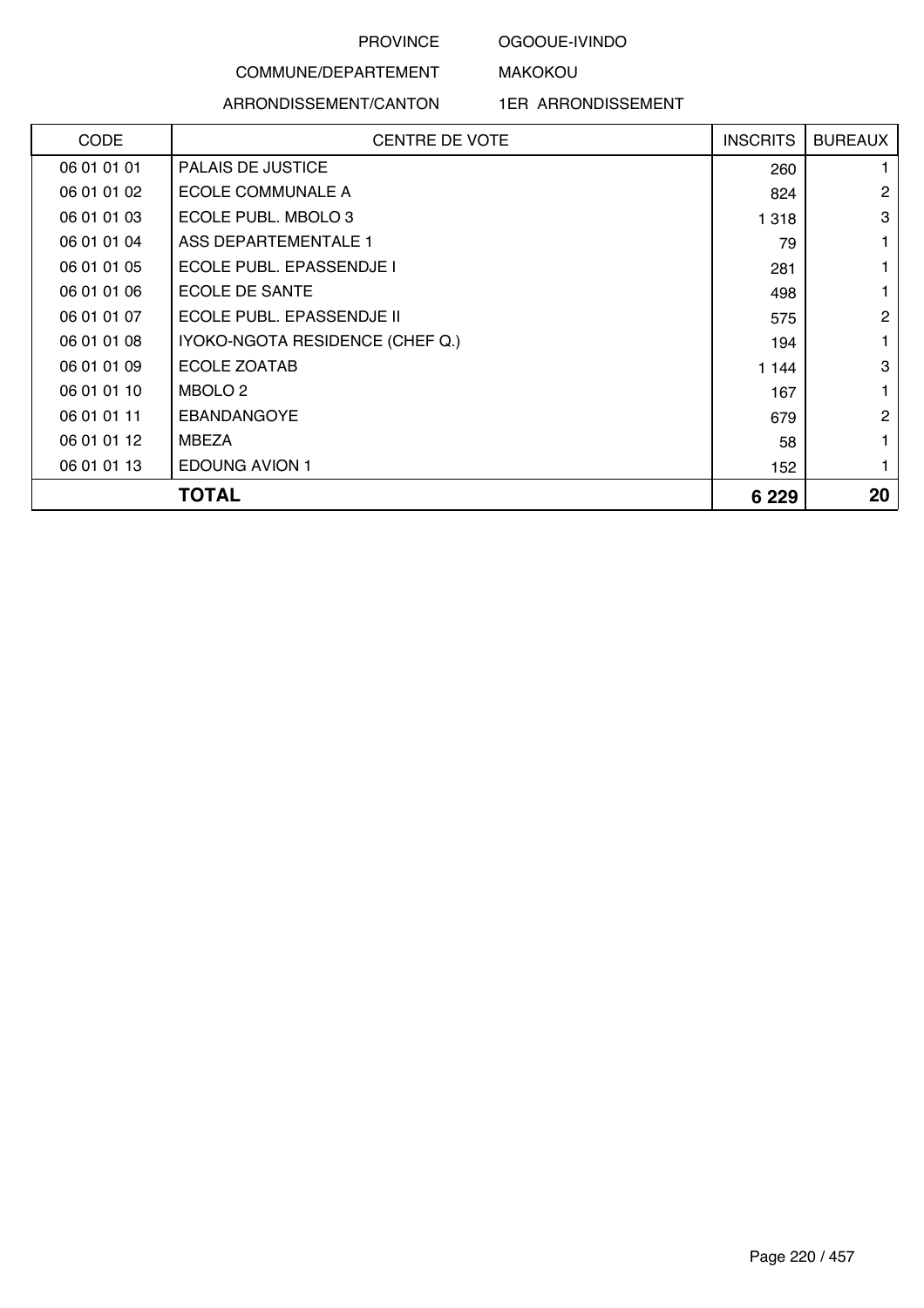### OGOOUE-IVINDO

MAKOKOU

# COMMUNE/DEPARTEMENT ARRONDISSEMENT/CANTON

### 1ER ARRONDISSEMENT

| <b>CODE</b> | <b>CENTRE DE VOTE</b>           | <b>INSCRITS</b> | <b>BUREAUX</b> |
|-------------|---------------------------------|-----------------|----------------|
| 06 01 01 01 | <b>PALAIS DE JUSTICE</b>        | 260             |                |
| 06 01 01 02 | ECOLE COMMUNALE A               | 824             | 2              |
| 06 01 01 03 | ECOLE PUBL. MBOLO 3             | 1 3 1 8         | 3              |
| 06 01 01 04 | ASS DEPARTEMENTALE 1            | 79              | 1              |
| 06 01 01 05 | <b>ECOLE PUBL. EPASSENDJE I</b> | 281             |                |
| 06 01 01 06 | ECOLE DE SANTE                  | 498             |                |
| 06 01 01 07 | ECOLE PUBL. EPASSENDJE II       | 575             | 2              |
| 06 01 01 08 | IYOKO-NGOTA RESIDENCE (CHEF Q.) | 194             | 1              |
| 06 01 01 09 | ECOLE ZOATAB                    | 1 144           | 3              |
| 06 01 01 10 | MBOLO 2                         | 167             | 1              |
| 06 01 01 11 | <b>EBANDANGOYE</b>              | 679             | $\overline{2}$ |
| 06 01 01 12 | <b>MBEZA</b>                    | 58              |                |
| 06 01 01 13 | <b>EDOUNG AVION 1</b>           | 152             |                |
|             | TOTAL                           | 6 2 2 9         | 20             |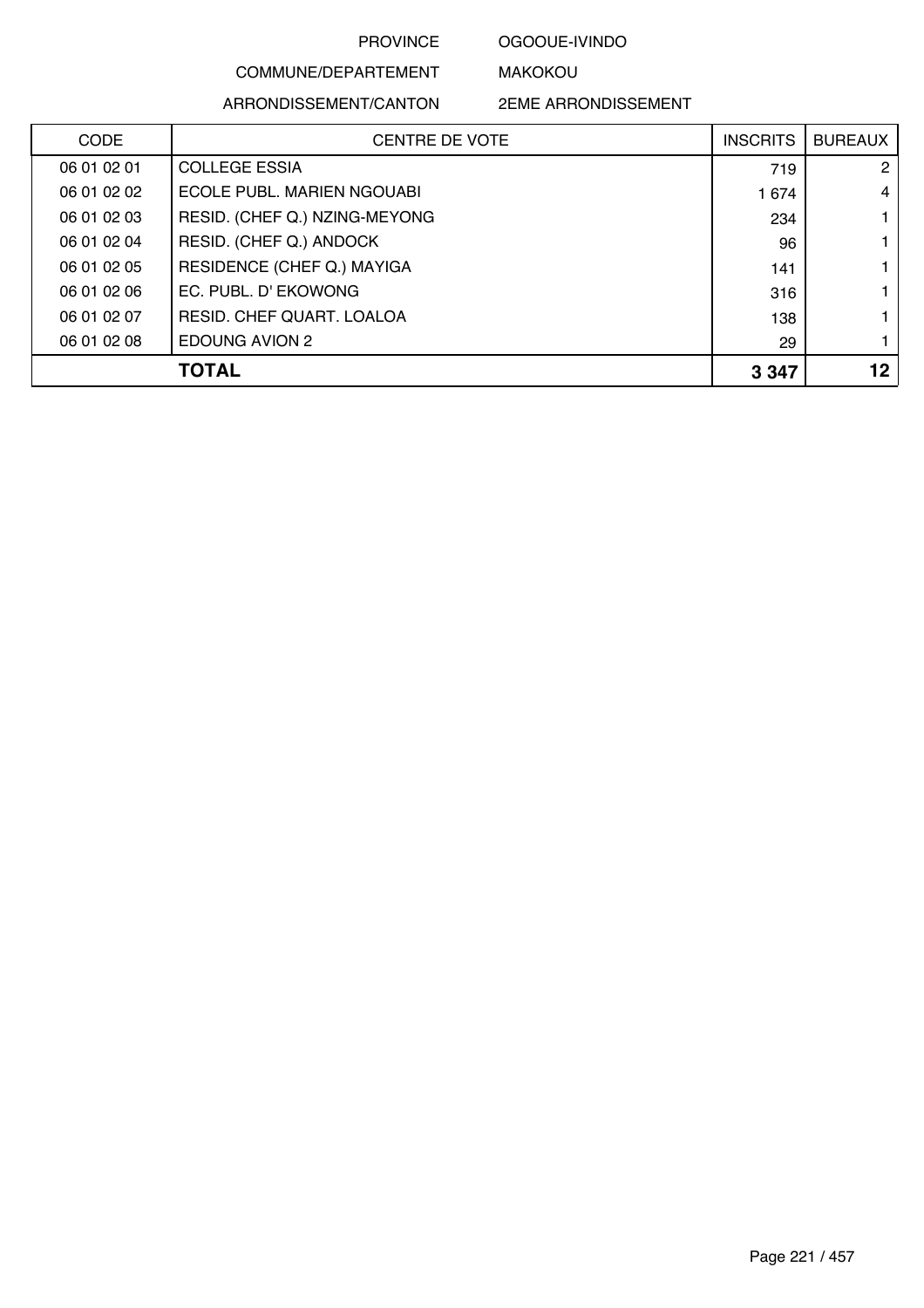### OGOOUE-IVINDO

MAKOKOU

# COMMUNE/DEPARTEMENT

ARRONDISSEMENT/CANTON

2EME ARRONDISSEMENT

| <b>CODE</b> | <b>CENTRE DE VOTE</b>         | <b>INSCRITS</b> | <b>BUREAUX</b> |
|-------------|-------------------------------|-----------------|----------------|
| 06 01 02 01 | <b>COLLEGE ESSIA</b>          | 719             | 2              |
| 06 01 02 02 | ECOLE PUBL. MARIEN NGOUABI    | 1 674           | $\overline{4}$ |
| 06 01 02 03 | RESID. (CHEF Q.) NZING-MEYONG | 234             |                |
| 06 01 02 04 | RESID. (CHEF Q.) ANDOCK       | 96              |                |
| 06 01 02 05 | RESIDENCE (CHEF Q.) MAYIGA    | 141             |                |
| 06 01 02 06 | EC. PUBL. D' EKOWONG          | 316             |                |
| 06 01 02 07 | RESID. CHEF QUART. LOALOA     | 138             |                |
| 06 01 02 08 | EDOUNG AVION 2                | 29              |                |
|             | TOTAL                         | 3 3 4 7         | 12             |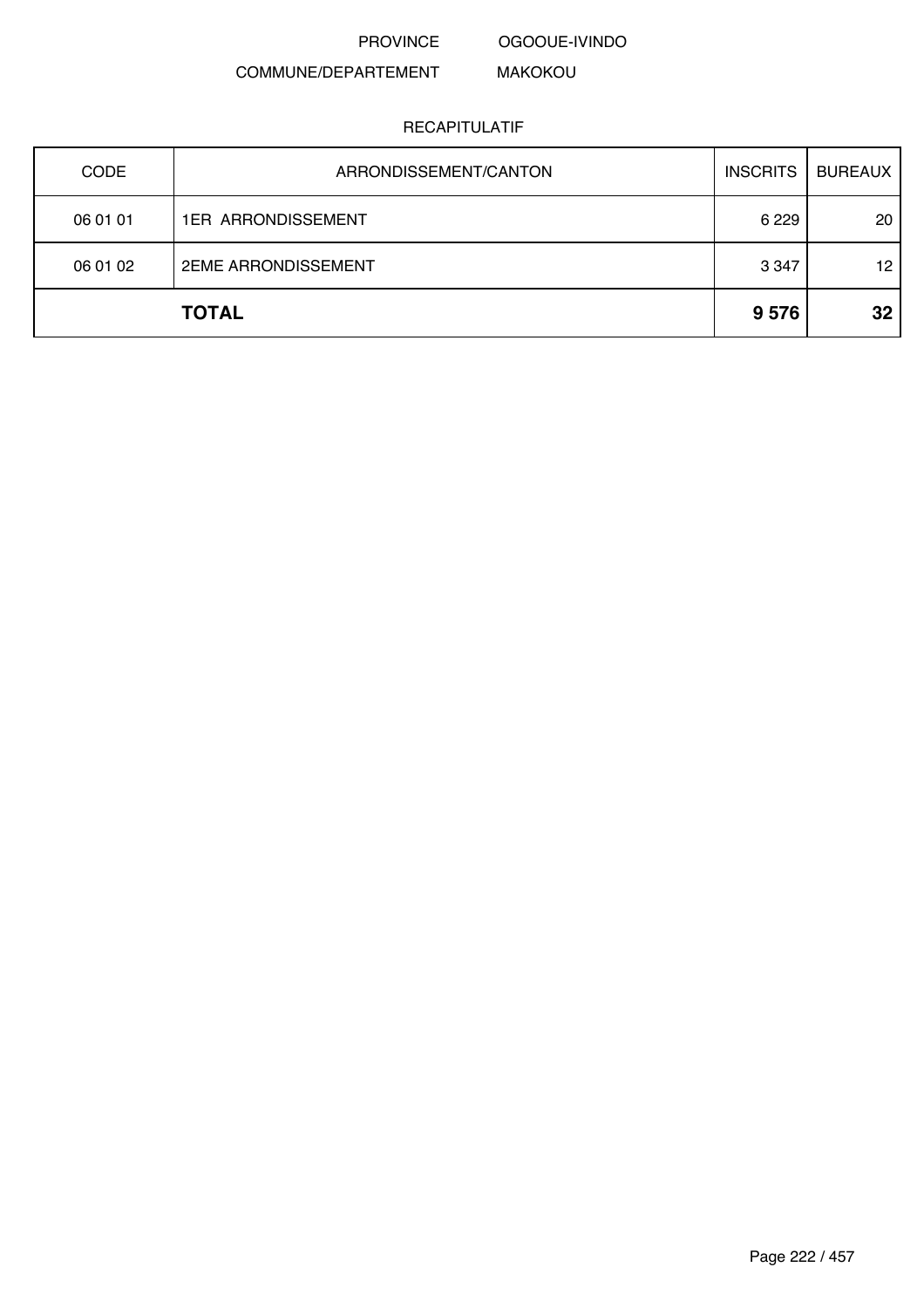OGOOUE-IVINDO

#### COMMUNE/DEPARTEMENT MAKOKOU

| <b>CODE</b> | ARRONDISSEMENT/CANTON      | <b>INSCRITS</b> | <b>BUREAUX</b> |
|-------------|----------------------------|-----------------|----------------|
| 06 01 01    | <b>1ER ARRONDISSEMENT</b>  | 6 2 2 9         | 20             |
| 06 01 02    | <b>2EME ARRONDISSEMENT</b> | 3 3 4 7         | 12             |
|             | <b>TOTAL</b>               | 9576            | 32             |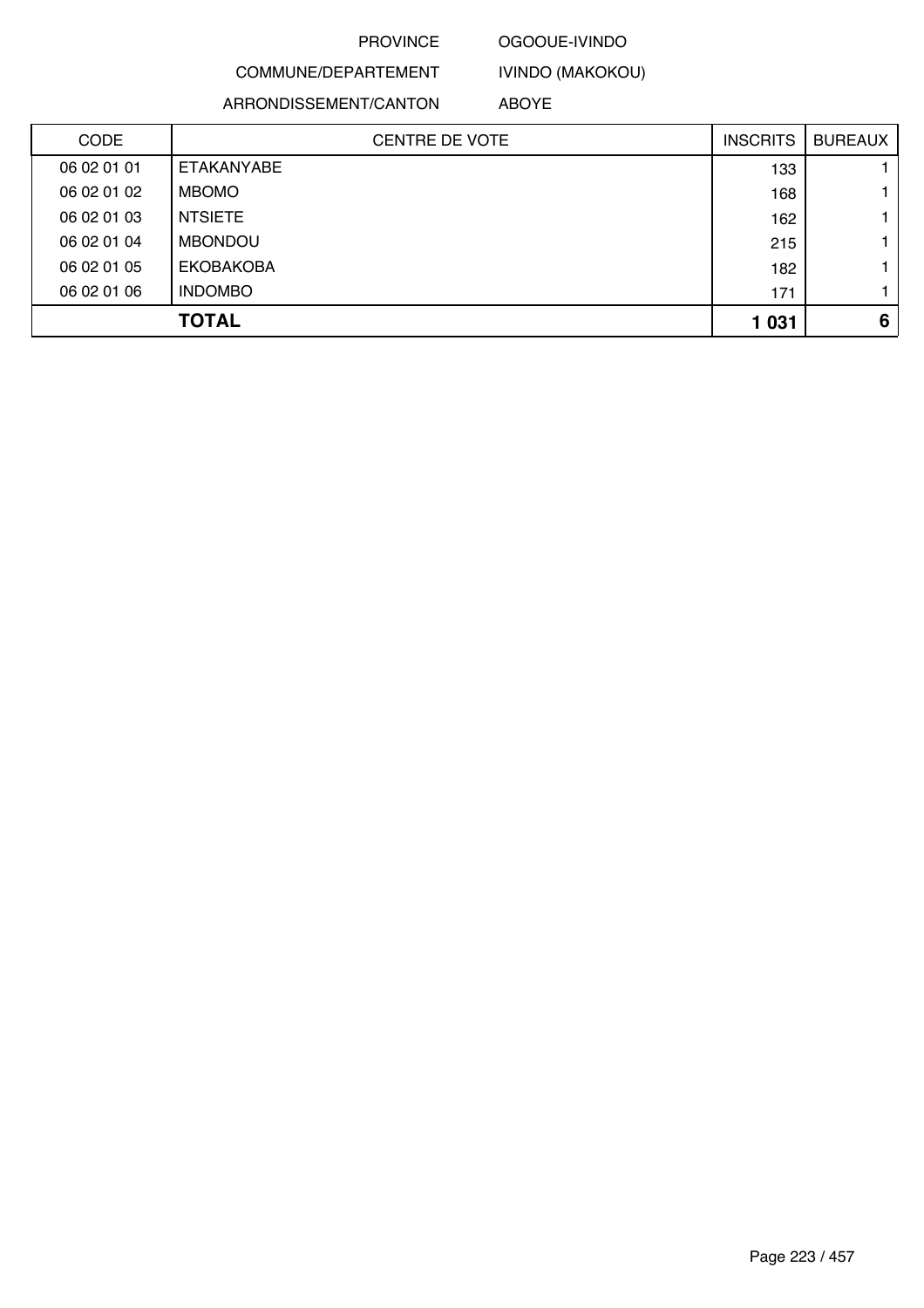### OGOOUE-IVINDO

IVINDO (MAKOKOU)

COMMUNE/DEPARTEMENT ARRONDISSEMENT/CANTON

ABOYE

| <b>CODE</b> | <b>CENTRE DE VOTE</b> | <b>INSCRITS</b> | <b>BUREAUX</b> |
|-------------|-----------------------|-----------------|----------------|
| 06 02 01 01 | ETAKANYABE            | 133             |                |
| 06 02 01 02 | <b>MBOMO</b>          | 168             |                |
| 06 02 01 03 | <b>NTSIETE</b>        | 162             |                |
| 06 02 01 04 | <b>MBONDOU</b>        | 215             |                |
| 06 02 01 05 | <b>EKOBAKOBA</b>      | 182             |                |
| 06 02 01 06 | <b>INDOMBO</b>        | 171             |                |
|             | <b>TOTAL</b>          | 1 0 3 1         | 6              |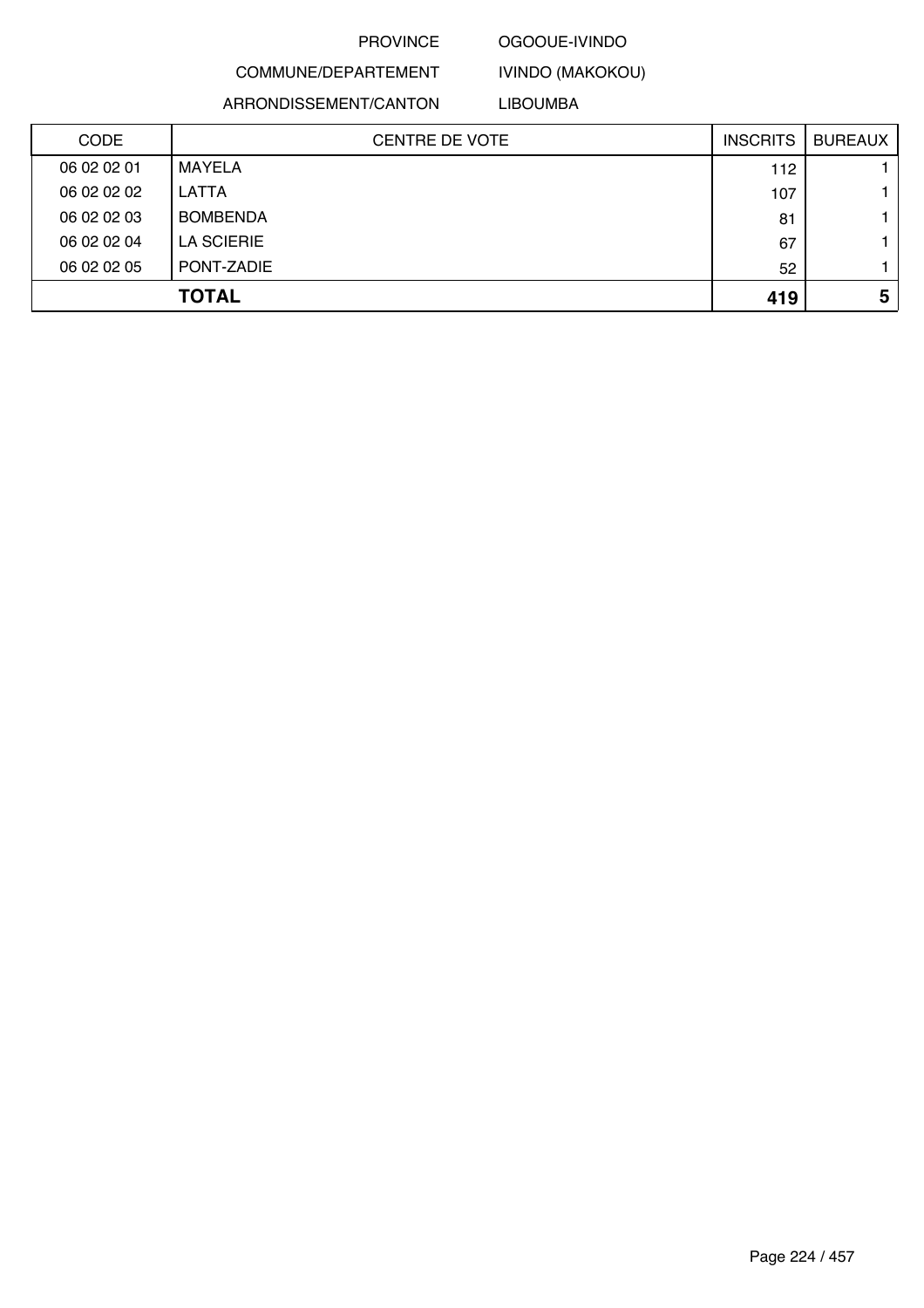#### OGOOUE-IVINDO

# COMMUNE/DEPARTEMENT

IVINDO (MAKOKOU) LIBOUMBA

ARRONDISSEMENT/CANTON

CENTRE DE VOTE INSCRITS BUREAUX CODE 06 02 02 01 MAYELA 112 1 06 02 02 02 LATTA 107 1 06 02 02 03 BOMBENDA 81 1 06 02 02 04 LA SCIERIE 67 1 06 02 02 05 PONT-ZADIE 52 1 **TOTAL 419 5**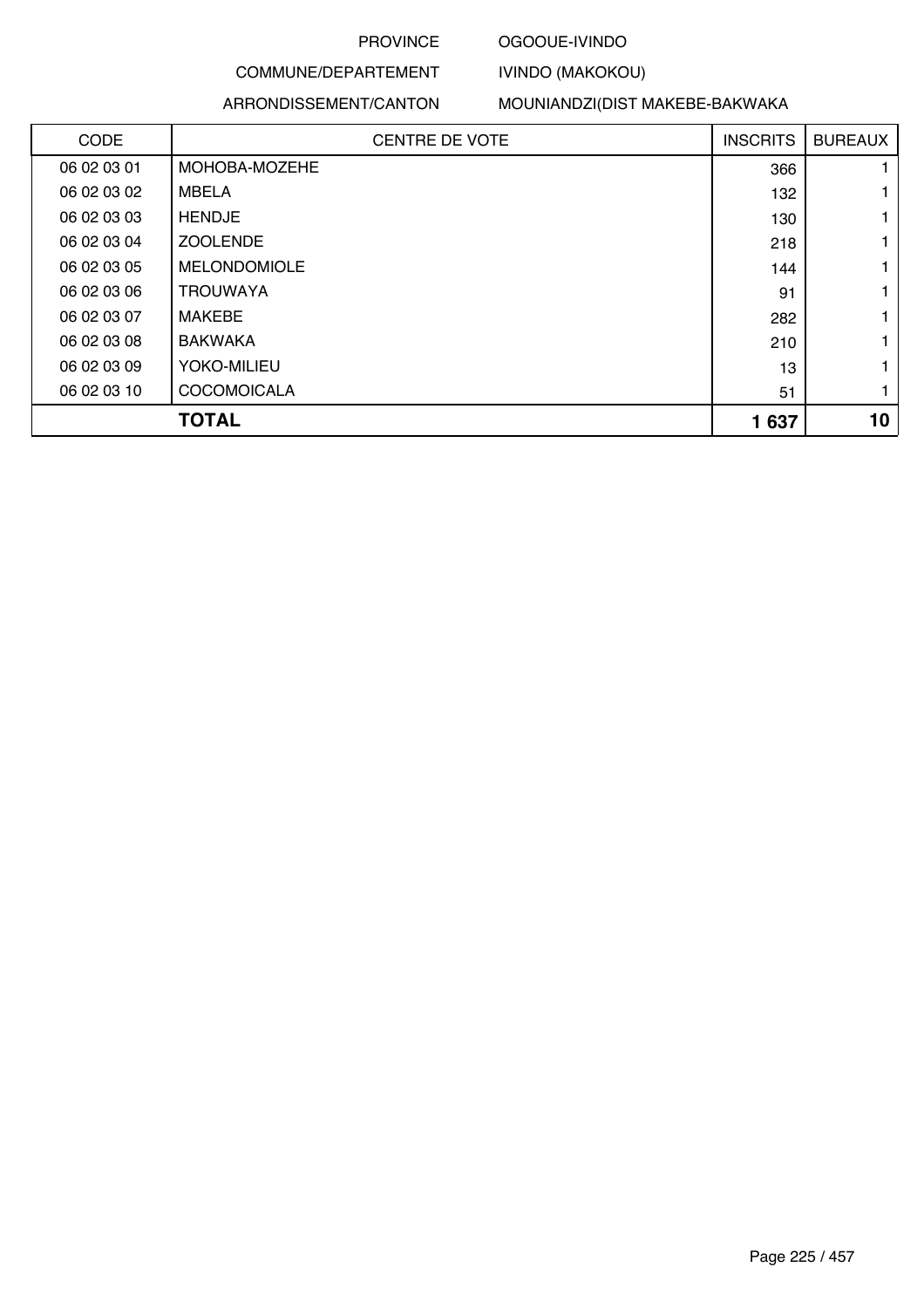### OGOOUE-IVINDO

IVINDO (MAKOKOU)

# COMMUNE/DEPARTEMENT

#### ARRONDISSEMENT/CANTON

MOUNIANDZI(DIST MAKEBE-BAKWAKA

| CODE        | <b>CENTRE DE VOTE</b> | <b>INSCRITS</b> | <b>BUREAUX</b> |
|-------------|-----------------------|-----------------|----------------|
| 06 02 03 01 | MOHOBA-MOZEHE         | 366             |                |
| 06 02 03 02 | <b>MBELA</b>          | 132             |                |
| 06 02 03 03 | <b>HENDJE</b>         | 130             |                |
| 06 02 03 04 | <b>ZOOLENDE</b>       | 218             | 1              |
| 06 02 03 05 | <b>MELONDOMIOLE</b>   | 144             | 1              |
| 06 02 03 06 | <b>TROUWAYA</b>       | 91              | 1              |
| 06 02 03 07 | <b>MAKEBE</b>         | 282             |                |
| 06 02 03 08 | <b>BAKWAKA</b>        | 210             |                |
| 06 02 03 09 | YOKO-MILIEU           | 13              | 1              |
| 06 02 03 10 | <b>COCOMOICALA</b>    | 51              | 1              |
|             | <b>TOTAL</b>          | 1637            | 10             |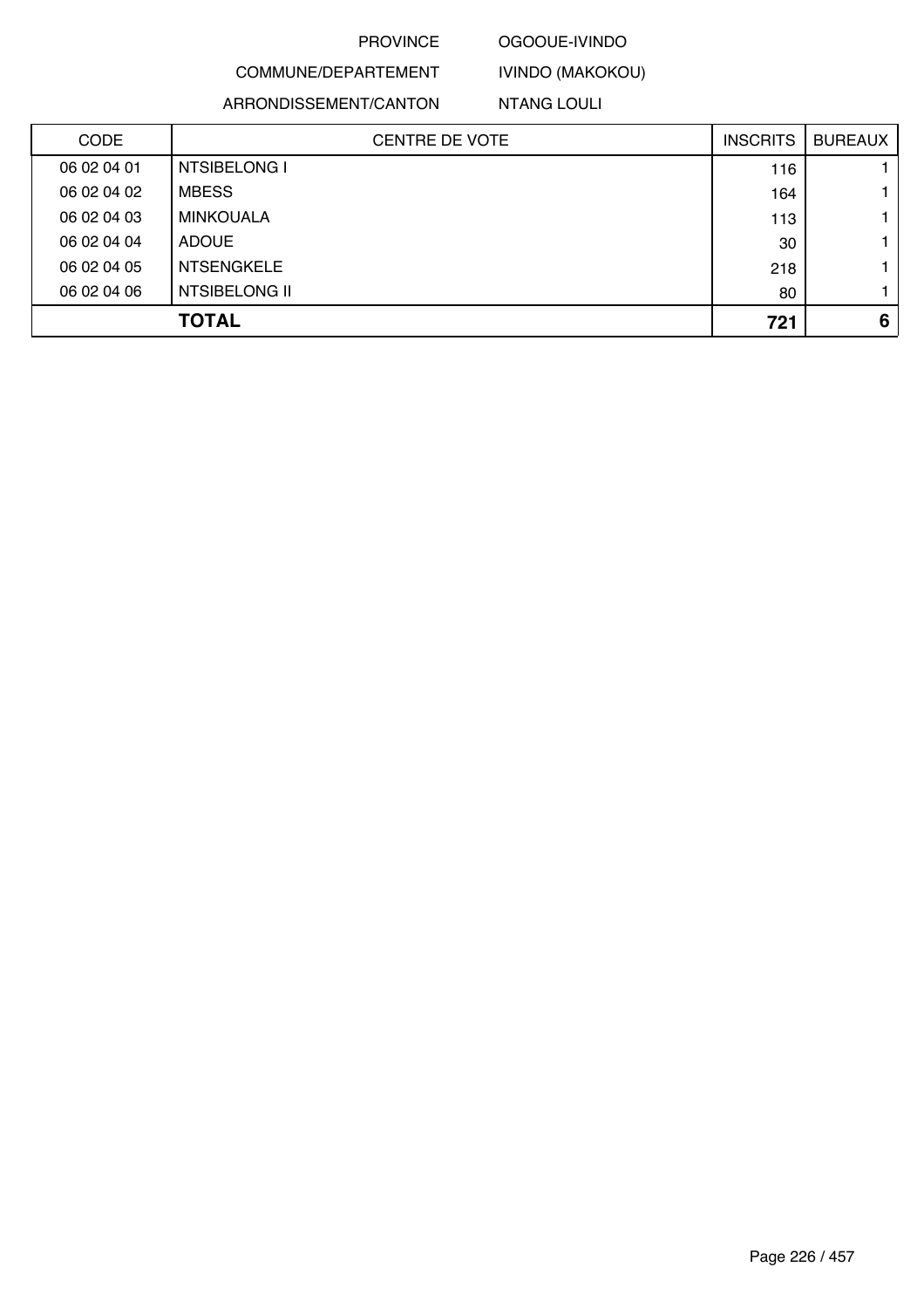# OGOOUE-IVINDO

IVINDO (MAKOKOU)

ARRONDISSEMENT/CANTON

COMMUNE/DEPARTEMENT

NTANG LOULI

| <b>CODE</b> | <b>CENTRE DE VOTE</b> | <b>INSCRITS</b> | <b>BUREAUX</b> |
|-------------|-----------------------|-----------------|----------------|
| 06 02 04 01 | NTSIBELONG I          | 116             |                |
| 06 02 04 02 | <b>MBESS</b>          | 164             |                |
| 06 02 04 03 | MINKOUALA             | 113             |                |
| 06 02 04 04 | <b>ADOUE</b>          | 30              |                |
| 06 02 04 05 | <b>NTSENGKELE</b>     | 218             |                |
| 06 02 04 06 | NTSIBELONG II         | 80              |                |
|             | <b>TOTAL</b>          | 721             | 6              |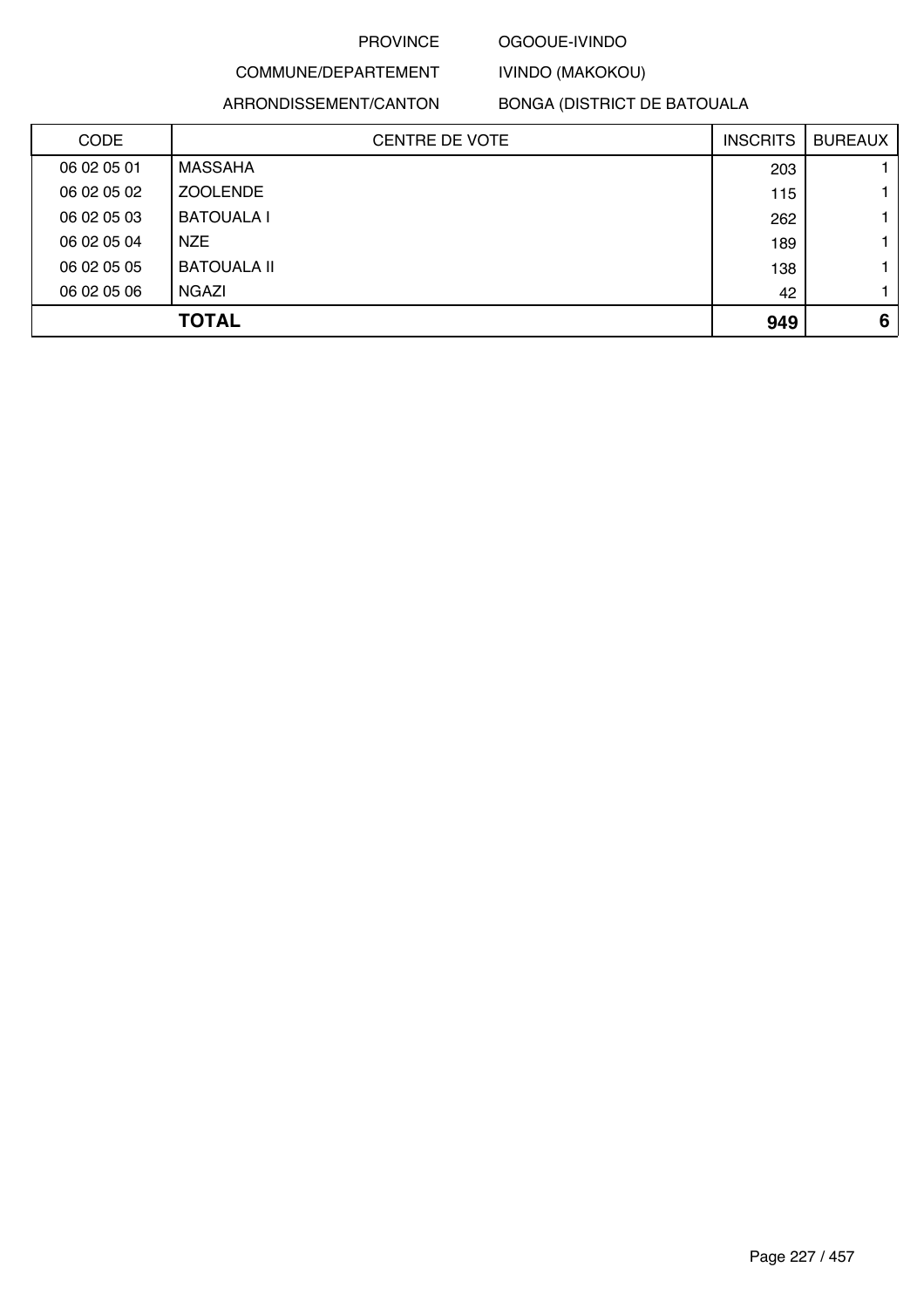### OGOOUE-IVINDO

IVINDO (MAKOKOU)

# COMMUNE/DEPARTEMENT ARRONDISSEMENT/CANTON

BONGA (DISTRICT DE BATOUALA

| <b>CODE</b> | <b>CENTRE DE VOTE</b> | <b>INSCRITS</b> | <b>BUREAUX</b> |
|-------------|-----------------------|-----------------|----------------|
| 06 02 05 01 | <b>MASSAHA</b>        | 203             |                |
| 06 02 05 02 | <b>ZOOLENDE</b>       | 115             |                |
| 06 02 05 03 | <b>BATOUALA I</b>     | 262             |                |
| 06 02 05 04 | <b>NZE</b>            | 189             |                |
| 06 02 05 05 | <b>BATOUALA II</b>    | 138             |                |
| 06 02 05 06 | <b>NGAZI</b>          | 42              |                |
|             | <b>TOTAL</b>          | 949             | 6              |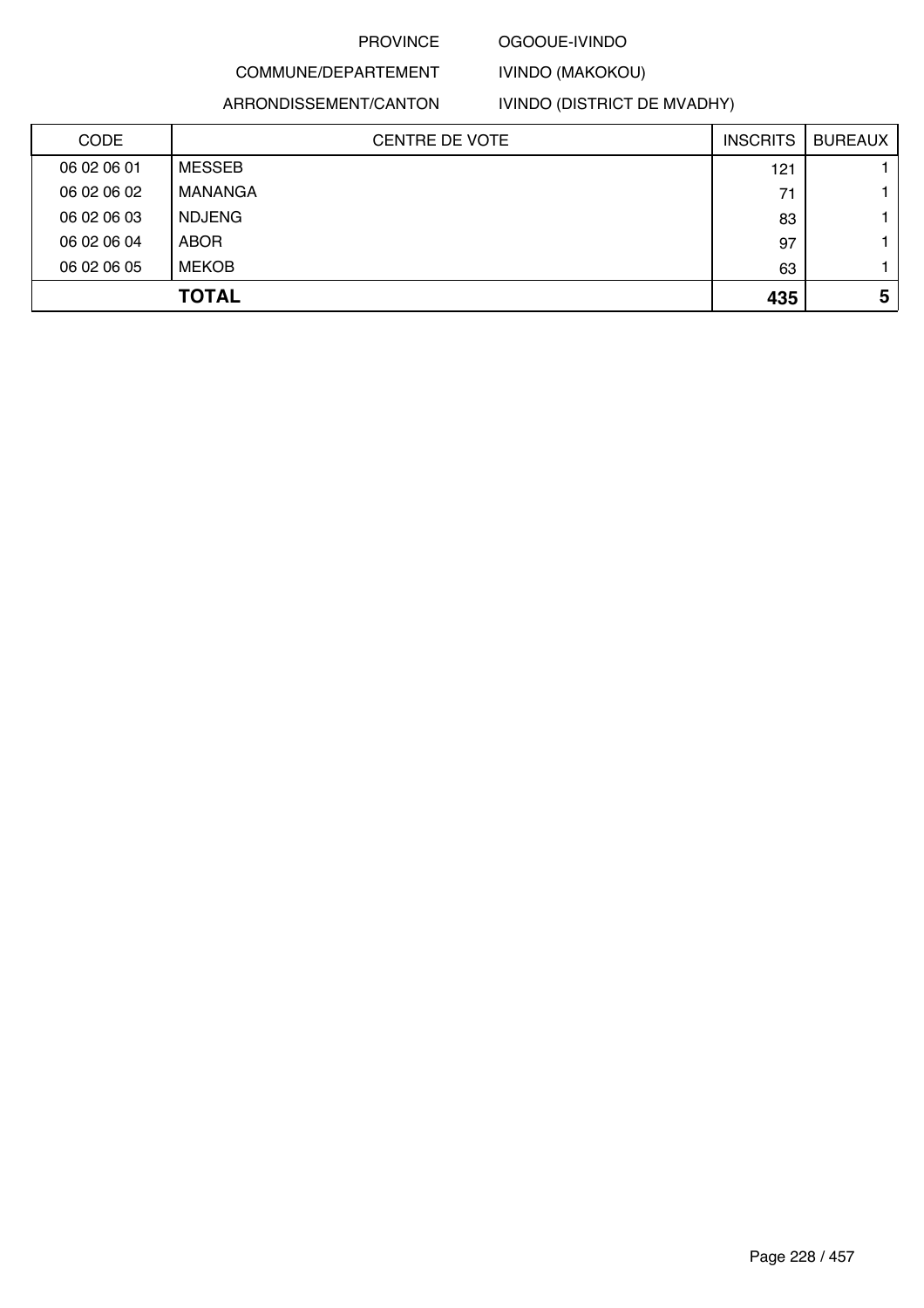### OGOOUE-IVINDO

IVINDO (MAKOKOU)

# COMMUNE/DEPARTEMENT ARRONDISSEMENT/CANTON

# IVINDO (DISTRICT DE MVADHY)

| <b>CODE</b> | CENTRE DE VOTE | <b>INSCRITS</b> | <b>BUREAUX</b> |
|-------------|----------------|-----------------|----------------|
| 06 02 06 01 | <b>MESSEB</b>  | 121             |                |
| 06 02 06 02 | MANANGA        | 71              |                |
| 06 02 06 03 | <b>NDJENG</b>  | 83              |                |
| 06 02 06 04 | <b>ABOR</b>    | 97              |                |
| 06 02 06 05 | <b>MEKOB</b>   | 63              |                |
|             | <b>TOTAL</b>   | 435             | 5              |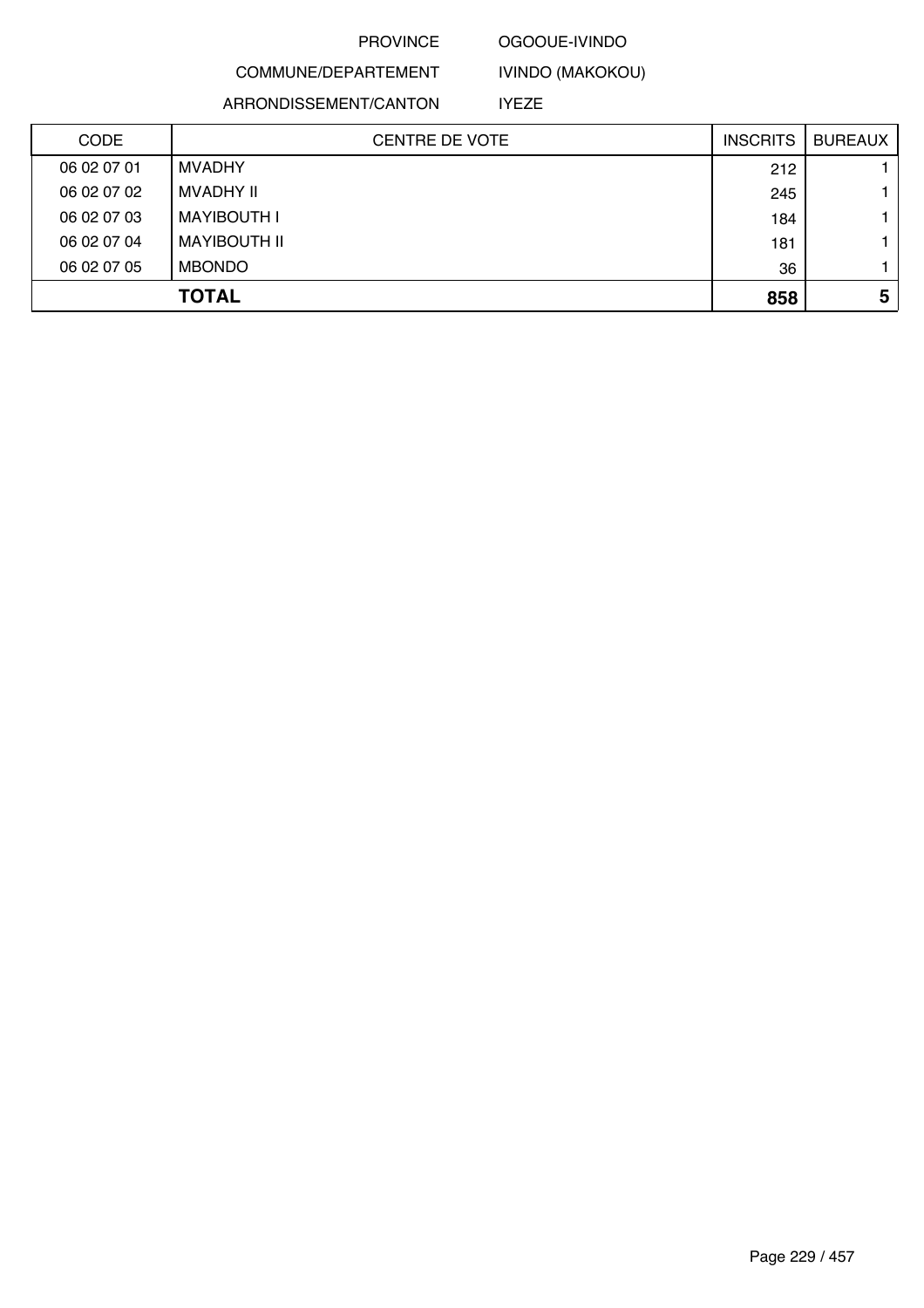### OGOOUE-IVINDO

IVINDO (MAKOKOU)

COMMUNE/DEPARTEMENT ARRONDISSEMENT/CANTON

IYEZE

| <b>CODE</b> | <b>CENTRE DE VOTE</b> | <b>INSCRITS</b> | <b>BUREAUX</b> |
|-------------|-----------------------|-----------------|----------------|
| 06 02 07 01 | <b>MVADHY</b>         | 212             |                |
| 06 02 07 02 | MVADHY II             | 245             |                |
| 06 02 07 03 | <b>MAYIBOUTH I</b>    | 184             |                |
| 06 02 07 04 | MAYIBOUTH II          | 181             |                |
| 06 02 07 05 | <b>MBONDO</b>         | 36              |                |
|             | <b>TOTAL</b>          | 858             | 5              |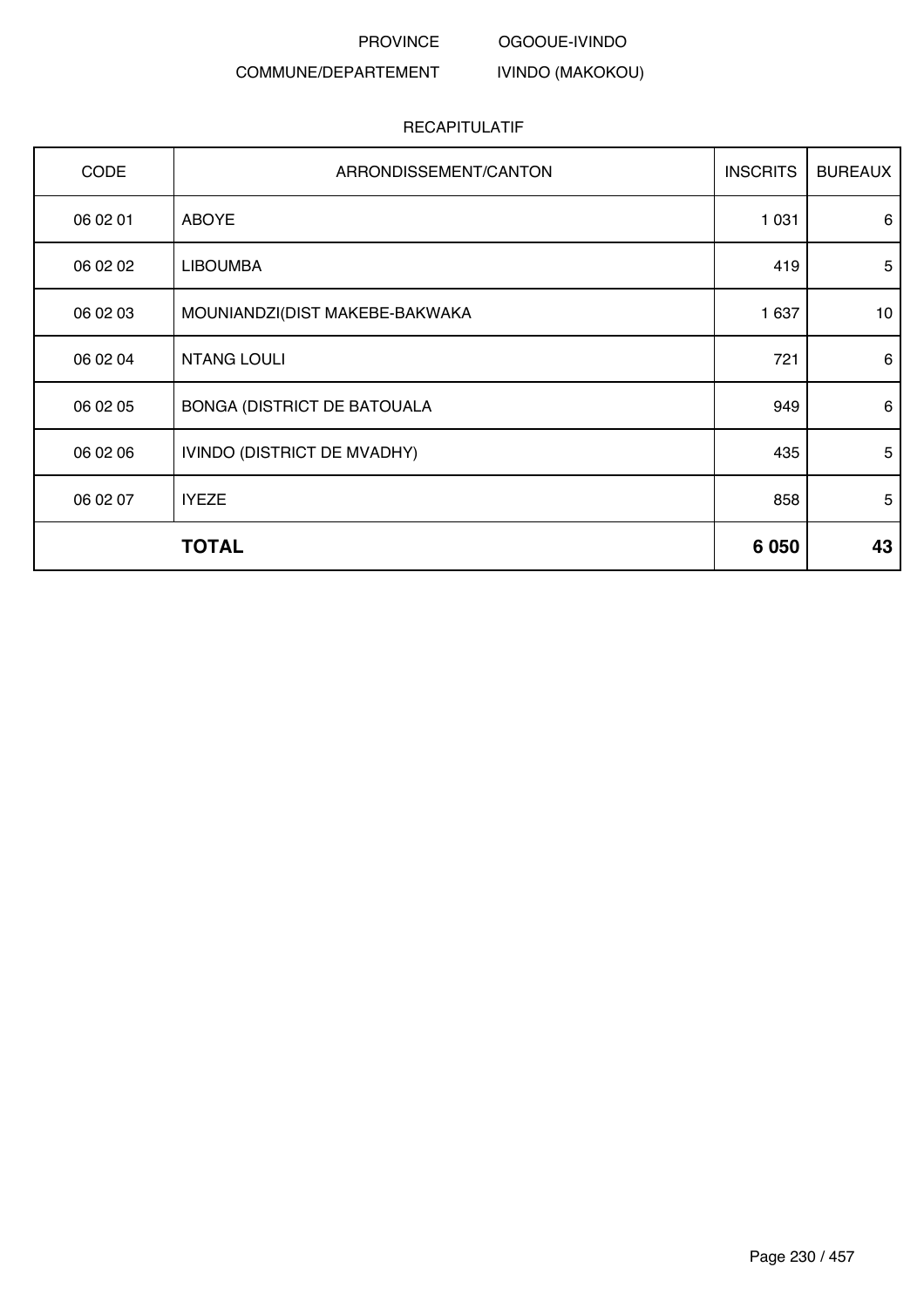OGOOUE-IVINDO

IVINDO (MAKOKOU)

# COMMUNE/DEPARTEMENT

| <b>CODE</b> | ARRONDISSEMENT/CANTON          | <b>INSCRITS</b> | <b>BUREAUX</b> |
|-------------|--------------------------------|-----------------|----------------|
| 06 02 01    | <b>ABOYE</b>                   | 1 0 3 1         | 6              |
| 06 02 02    | <b>LIBOUMBA</b>                | 419             | 5              |
| 06 02 03    | MOUNIANDZI(DIST MAKEBE-BAKWAKA | 1 637           | 10             |
| 06 02 04    | <b>NTANG LOULI</b>             | 721             | 6              |
| 06 02 05    | BONGA (DISTRICT DE BATOUALA    | 949             | 6              |
| 06 02 06    | IVINDO (DISTRICT DE MVADHY)    | 435             | 5              |
| 06 02 07    | <b>IYEZE</b>                   | 858             | 5              |
|             | <b>TOTAL</b>                   | 6 0 5 0         | 43             |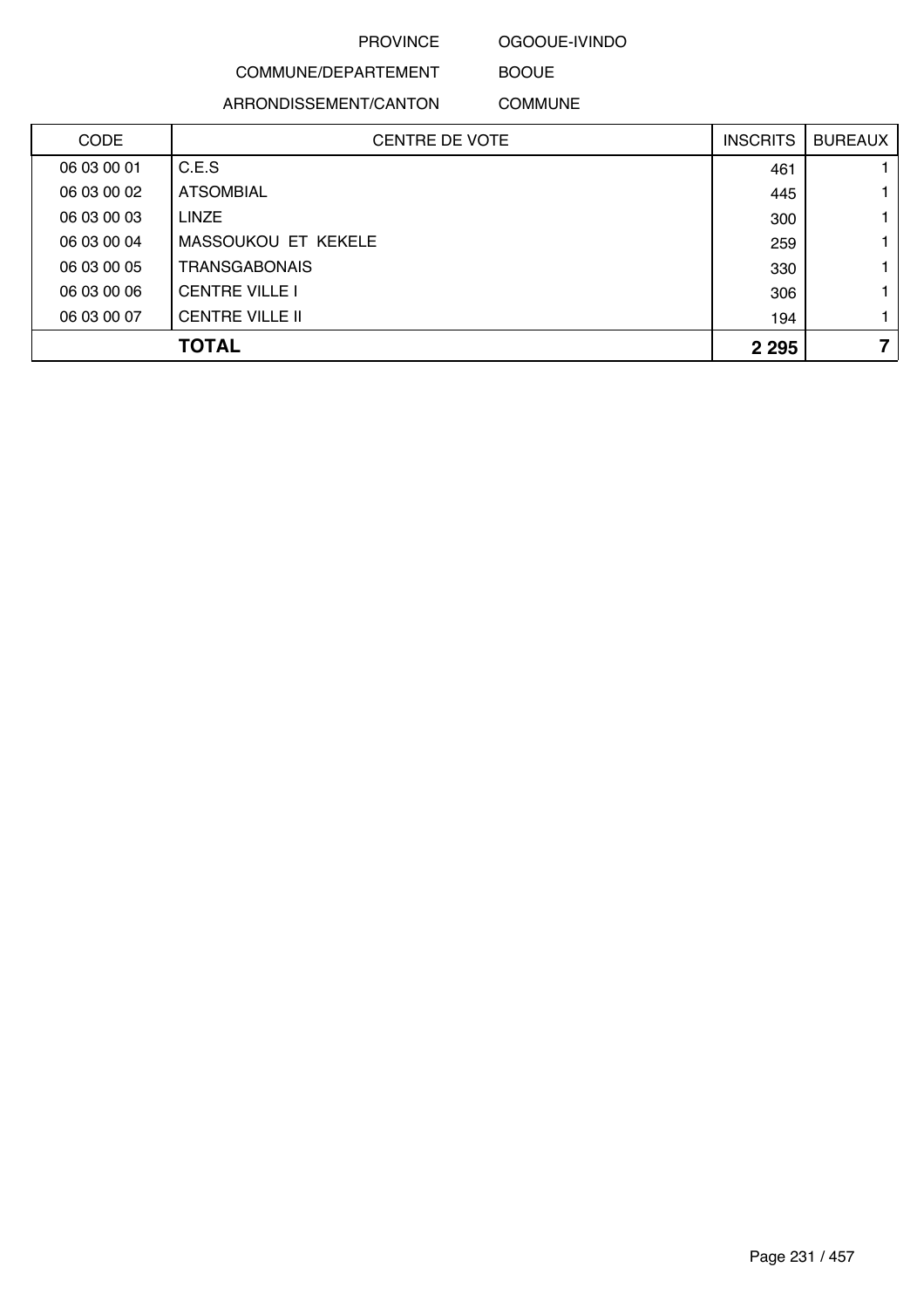OGOOUE-IVINDO

COMMUNE/DEPARTEMENT ARRONDISSEMENT/CANTON

BOOUE COMMUNE

| <b>CODE</b> | <b>CENTRE DE VOTE</b>  | <b>INSCRITS</b> | <b>BUREAUX</b> |
|-------------|------------------------|-----------------|----------------|
| 06 03 00 01 | C.E.S                  | 461             |                |
| 06 03 00 02 | <b>ATSOMBIAL</b>       | 445             |                |
| 06 03 00 03 | <b>LINZE</b>           | 300             |                |
| 06 03 00 04 | MASSOUKOU ET KEKELE    | 259             |                |
| 06 03 00 05 | TRANSGABONAIS          | 330             |                |
| 06 03 00 06 | <b>CENTRE VILLE I</b>  | 306             |                |
| 06 03 00 07 | <b>CENTRE VILLE II</b> | 194             |                |
|             | <b>TOTAL</b>           | 2 2 9 5         | 7              |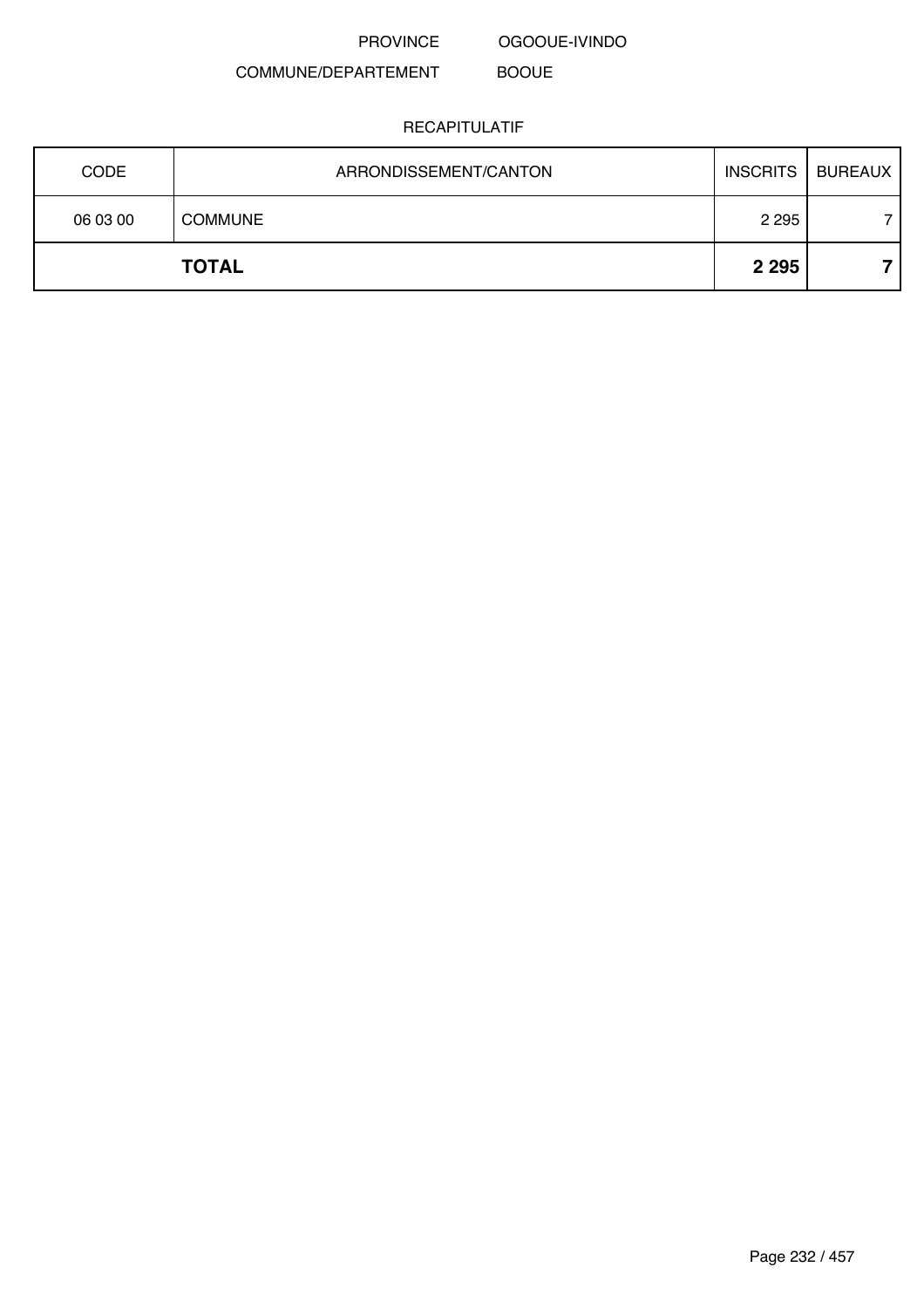OGOOUE-IVINDO

BOOUE

COMMUNE/DEPARTEMENT

| <b>CODE</b> | ARRONDISSEMENT/CANTON | <b>INSCRITS</b> | <b>BUREAUX</b> |
|-------------|-----------------------|-----------------|----------------|
| 06 03 00    | <b>COMMUNE</b>        | 2 2 9 5         |                |
|             | <b>TOTAL</b>          | 2 2 9 5         |                |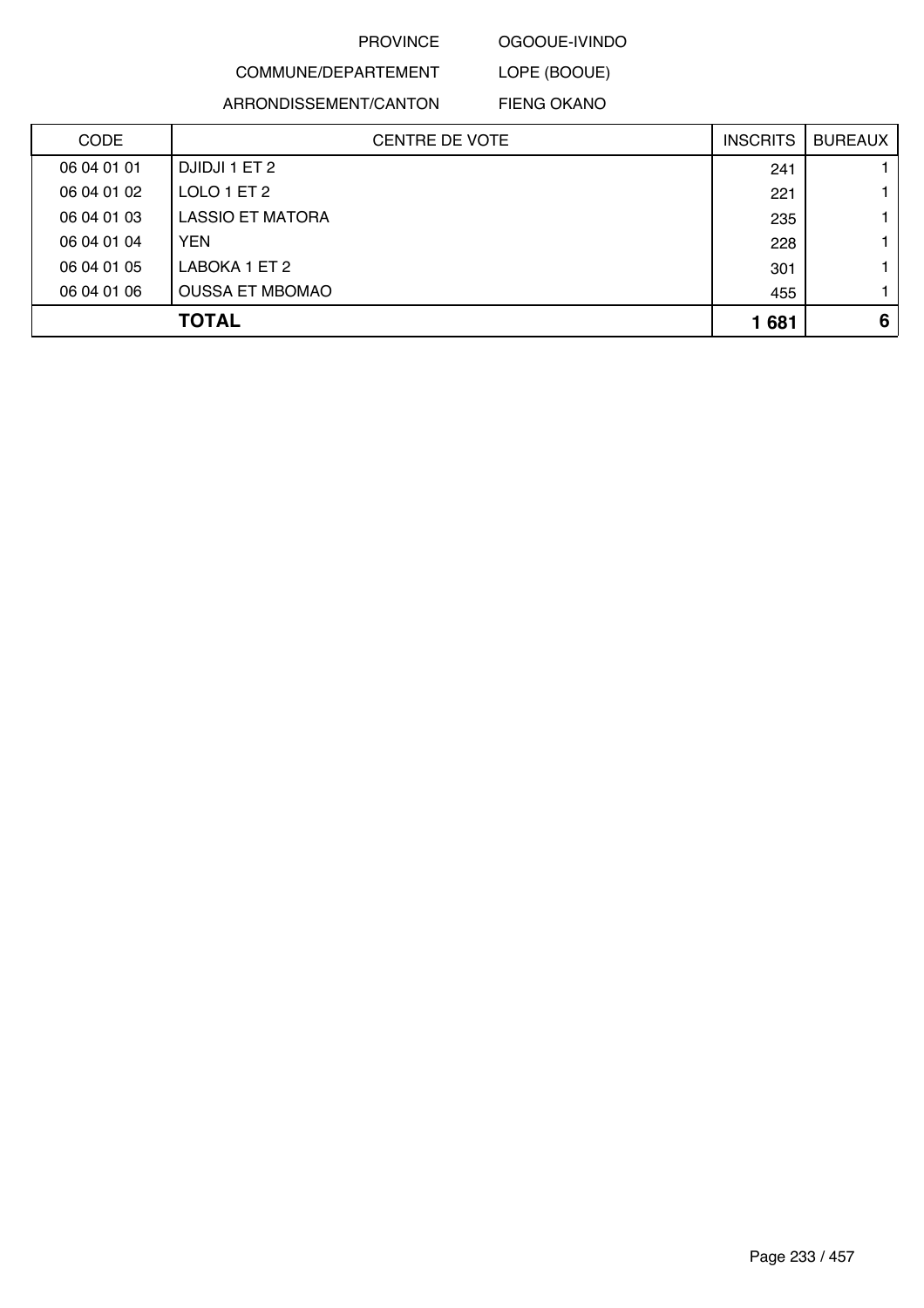OGOOUE-IVINDO

# COMMUNE/DEPARTEMENT ARRONDISSEMENT/CANTON

LOPE (BOOUE) FIENG OKANO

| <b>CODE</b> | <b>CENTRE DE VOTE</b>   | <b>INSCRITS</b> | <b>BUREAUX</b> |
|-------------|-------------------------|-----------------|----------------|
| 06 04 01 01 | DJIDJI 1 ET 2           | 241             |                |
| 06 04 01 02 | LOLO 1 ET 2             | 221             |                |
| 06 04 01 03 | <b>LASSIO ET MATORA</b> | 235             |                |
| 06 04 01 04 | <b>YEN</b>              | 228             |                |
| 06 04 01 05 | LABOKA 1 ET 2           | 301             |                |
| 06 04 01 06 | <b>OUSSA ET MBOMAO</b>  | 455             |                |
|             | <b>TOTAL</b>            | 1681            | 6              |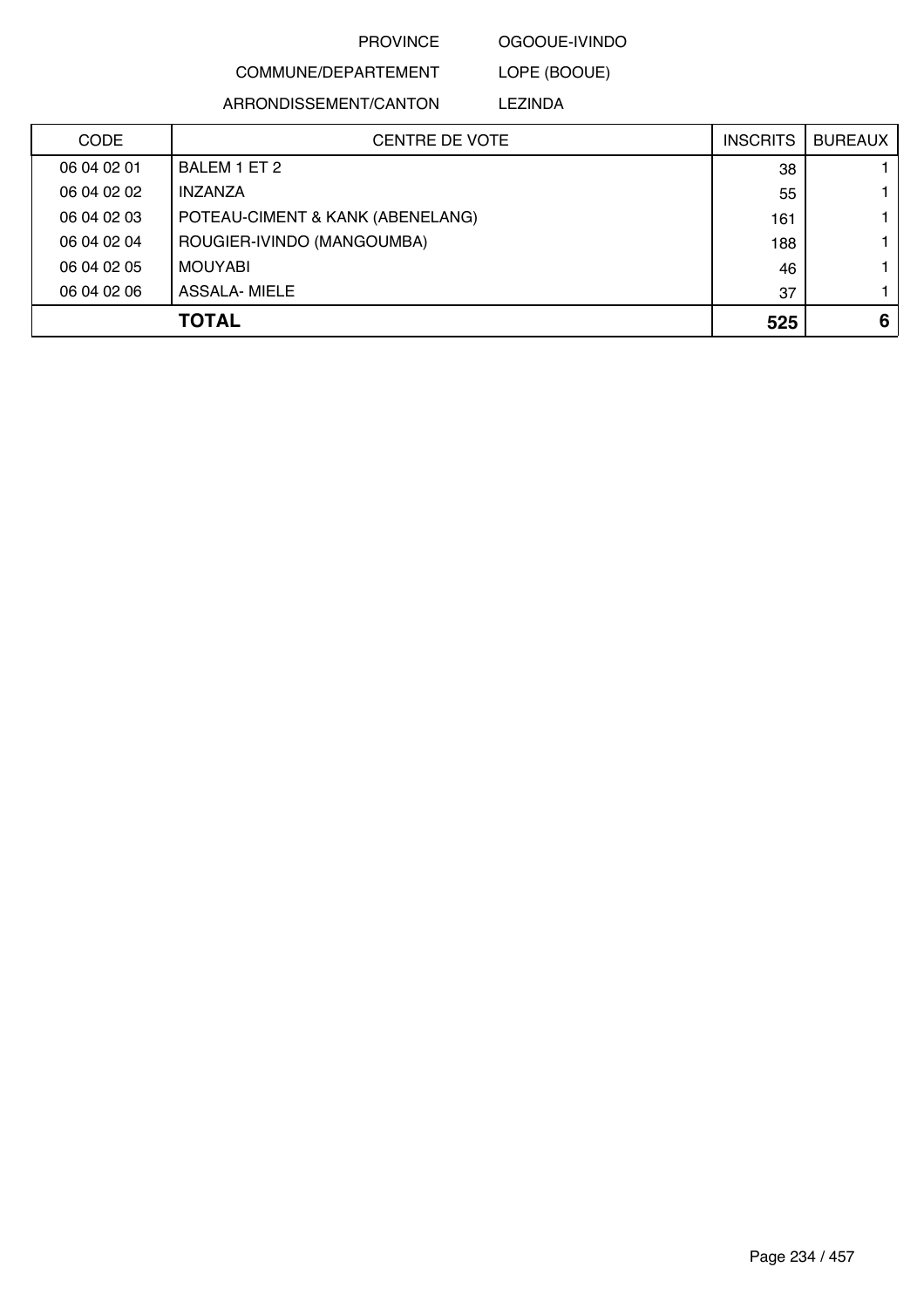OGOOUE-IVINDO

COMMUNE/DEPARTEMENT ARRONDISSEMENT/CANTON

LOPE (BOOUE) LEZINDA

| <b>CODE</b> | <b>CENTRE DE VOTE</b>            | <b>INSCRITS</b> | <b>BUREAUX</b> |
|-------------|----------------------------------|-----------------|----------------|
| 06 04 02 01 | BALEM 1 ET 2                     | 38              |                |
| 06 04 02 02 | <b>INZANZA</b>                   | 55              |                |
| 06 04 02 03 | POTEAU-CIMENT & KANK (ABENELANG) | 161             |                |
| 06 04 02 04 | ROUGIER-IVINDO (MANGOUMBA)       | 188             |                |
| 06 04 02 05 | <b>MOUYABI</b>                   | 46              |                |
| 06 04 02 06 | ASSALA- MIELE                    | 37              |                |
|             | <b>TOTAL</b>                     | 525             | 6              |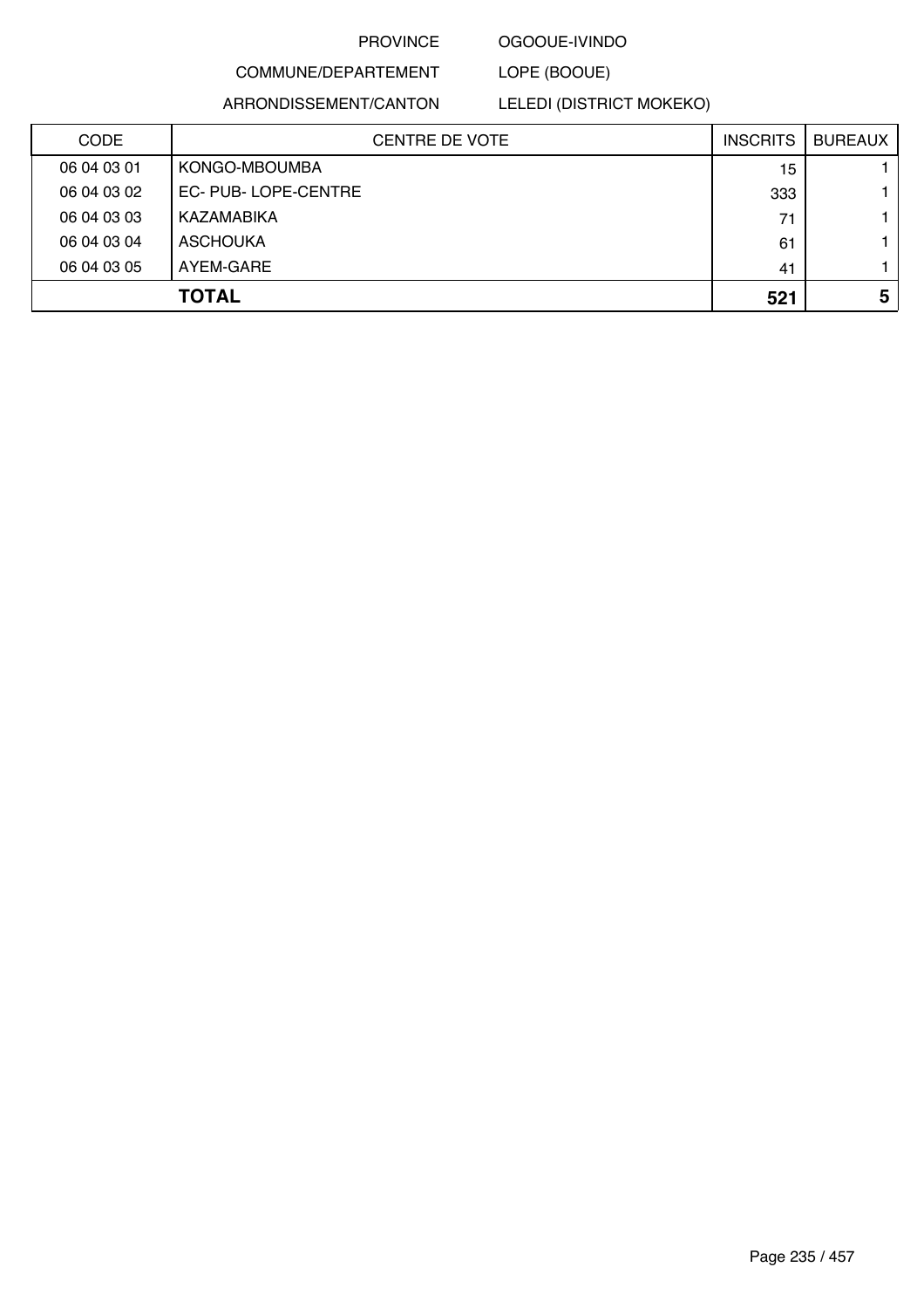# OGOOUE-IVINDO

LOPE (BOOUE)

ARRONDISSEMENT/CANTON

COMMUNE/DEPARTEMENT

LELEDI (DISTRICT MOKEKO)

| <b>CODE</b> | <b>CENTRE DE VOTE</b> | <b>INSCRITS</b> | <b>BUREAUX</b> |
|-------------|-----------------------|-----------------|----------------|
| 06 04 03 01 | KONGO-MBOUMBA         | 15              |                |
| 06 04 03 02 | EC-PUB-LOPE-CENTRE    | 333             |                |
| 06 04 03 03 | KAZAMABIKA            | 71              |                |
| 06 04 03 04 | <b>ASCHOUKA</b>       | 61              |                |
| 06 04 03 05 | AYEM-GARE             | 41              |                |
|             | <b>TOTAL</b>          | 521             | 5              |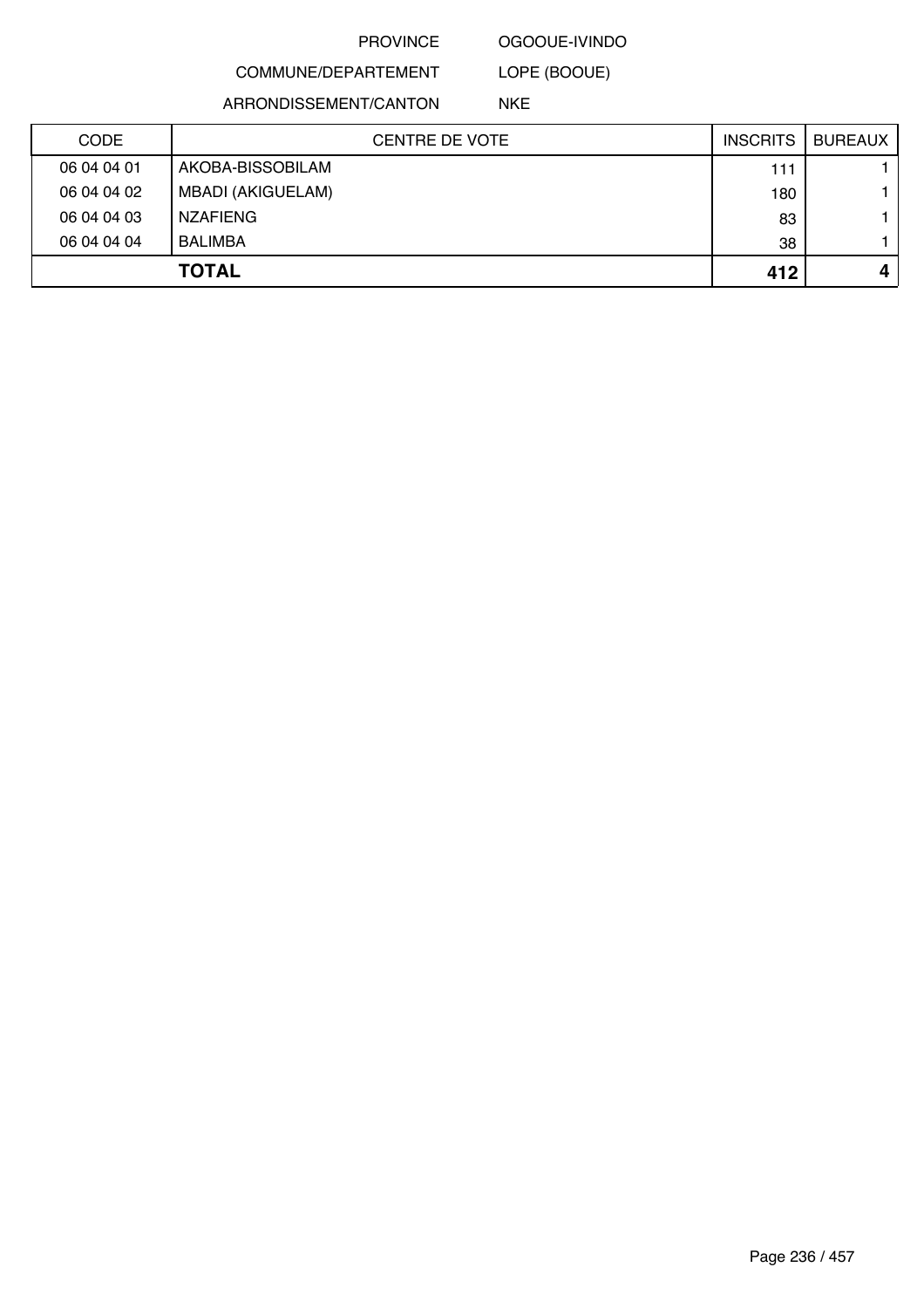# OGOOUE-IVINDO LOPE (BOOUE)

COMMUNE/DEPARTEMENT

ARRONDISSEMENT/CANTON

NKE

| <b>CODE</b> | CENTRE DE VOTE    | <b>INSCRITS</b> | <b>BUREAUX</b> |
|-------------|-------------------|-----------------|----------------|
| 06 04 04 01 | AKOBA-BISSOBILAM  | 111             |                |
| 06 04 04 02 | MBADI (AKIGUELAM) | 180             |                |
| 06 04 04 03 | <b>NZAFIENG</b>   | 83              |                |
| 06 04 04 04 | <b>BALIMBA</b>    | 38              |                |
|             | <b>TOTAL</b>      | 412             | 4              |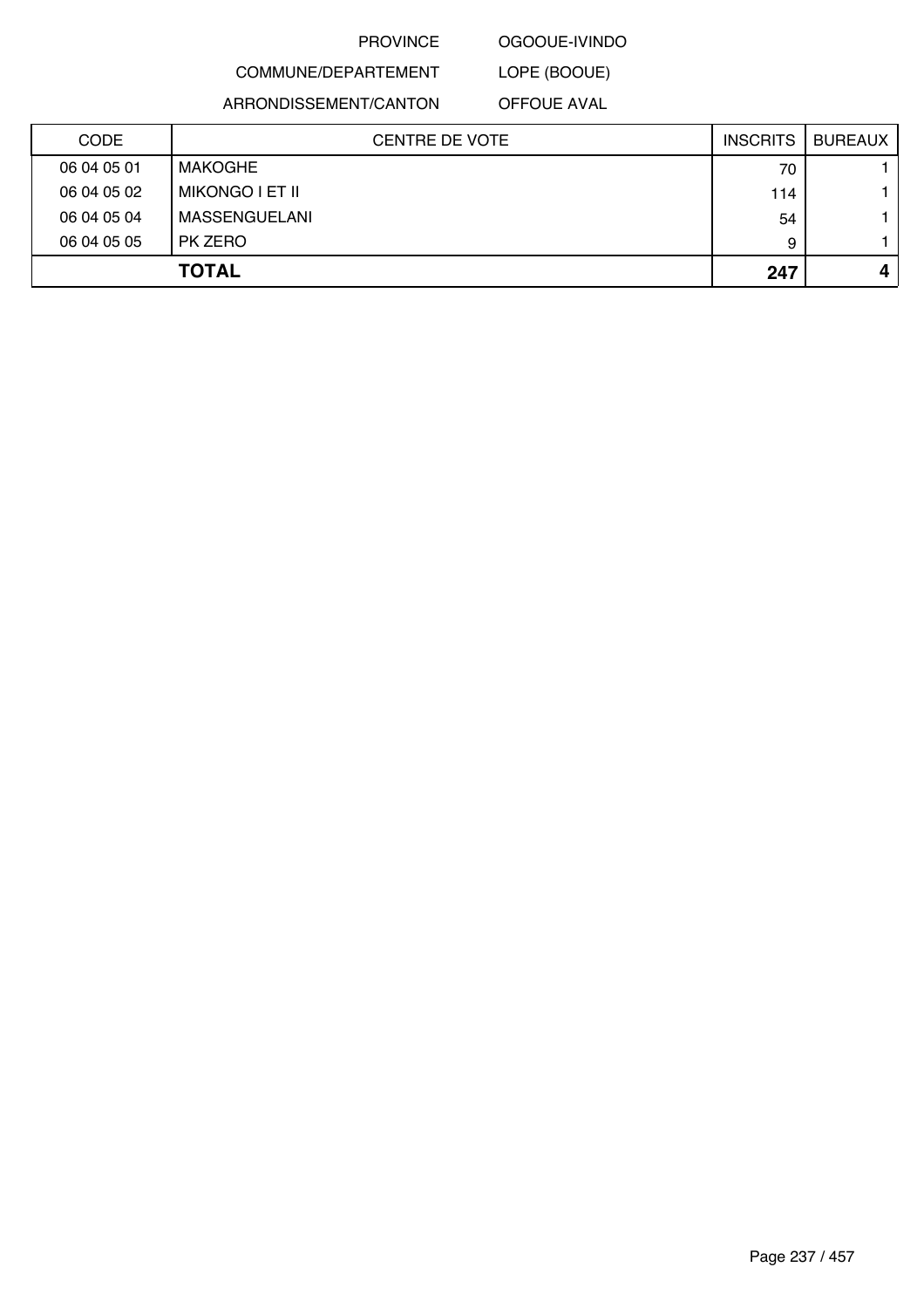### OGOOUE-IVINDO

# COMMUNE/DEPARTEMENT

LOPE (BOOUE)

ARRONDISSEMENT/CANTON

OFFOUE AVAL

| <b>CODE</b> | <b>CENTRE DE VOTE</b> | <b>INSCRITS</b> | <b>BUREAUX</b> |
|-------------|-----------------------|-----------------|----------------|
| 06 04 05 01 | MAKOGHE               | 70              |                |
| 06 04 05 02 | MIKONGO I ET II       | 114             |                |
| 06 04 05 04 | MASSENGUELANI         | 54              |                |
| 06 04 05 05 | PK ZERO               | 9               |                |
|             | <b>TOTAL</b>          | 247             |                |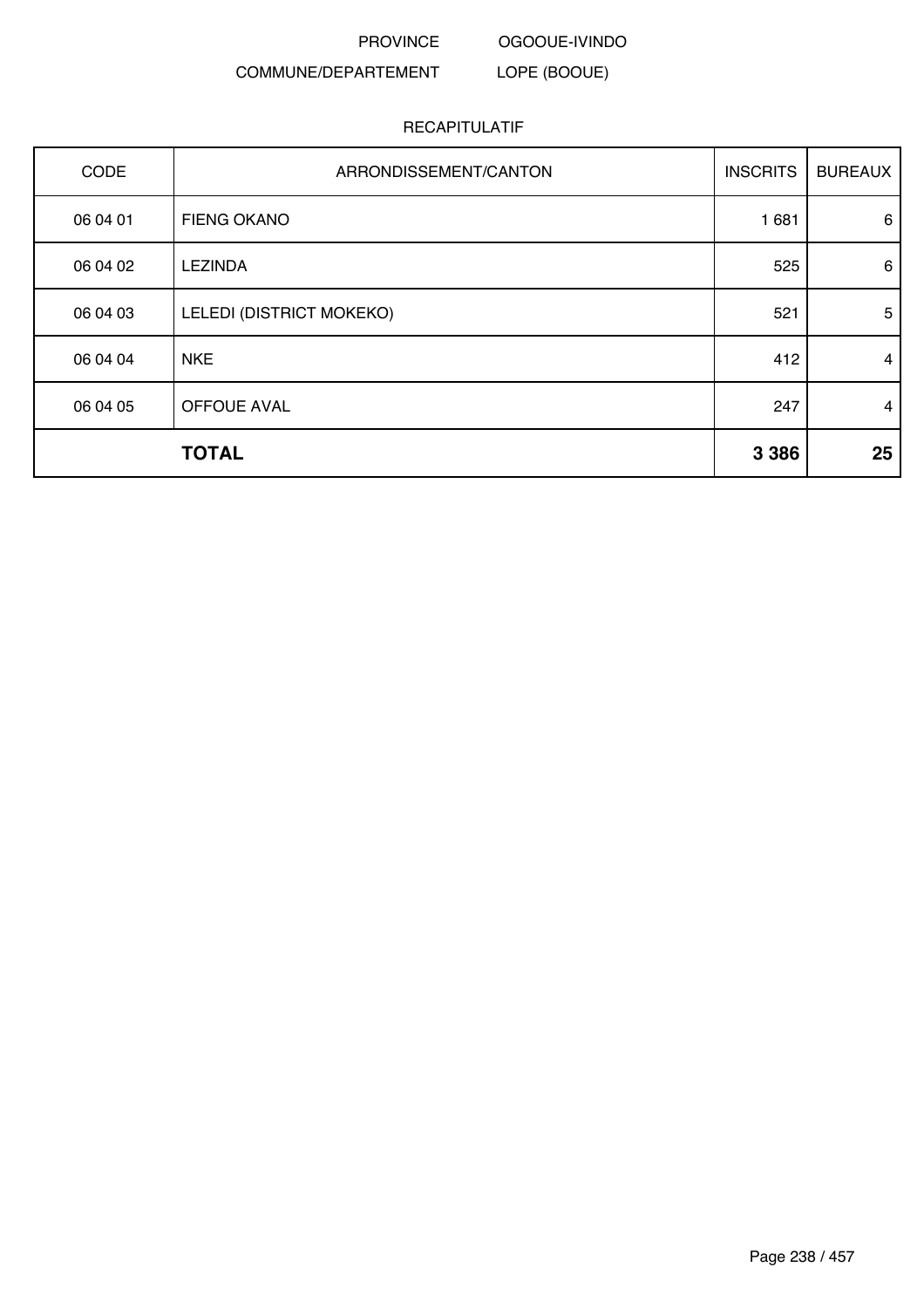OGOOUE-IVINDO LOPE (BOOUE)

# COMMUNE/DEPARTEMENT

| CODE     | ARRONDISSEMENT/CANTON    | <b>INSCRITS</b> | <b>BUREAUX</b> |
|----------|--------------------------|-----------------|----------------|
| 06 04 01 | FIENG OKANO              | 1 681           | 6              |
| 06 04 02 | <b>LEZINDA</b>           | 525             | 6              |
| 06 04 03 | LELEDI (DISTRICT MOKEKO) | 521             | 5              |
| 06 04 04 | <b>NKE</b>               | 412             | 4              |
| 06 04 05 | OFFOUE AVAL              | 247             | $\overline{4}$ |
|          | <b>TOTAL</b>             | 3 3 8 6         | 25             |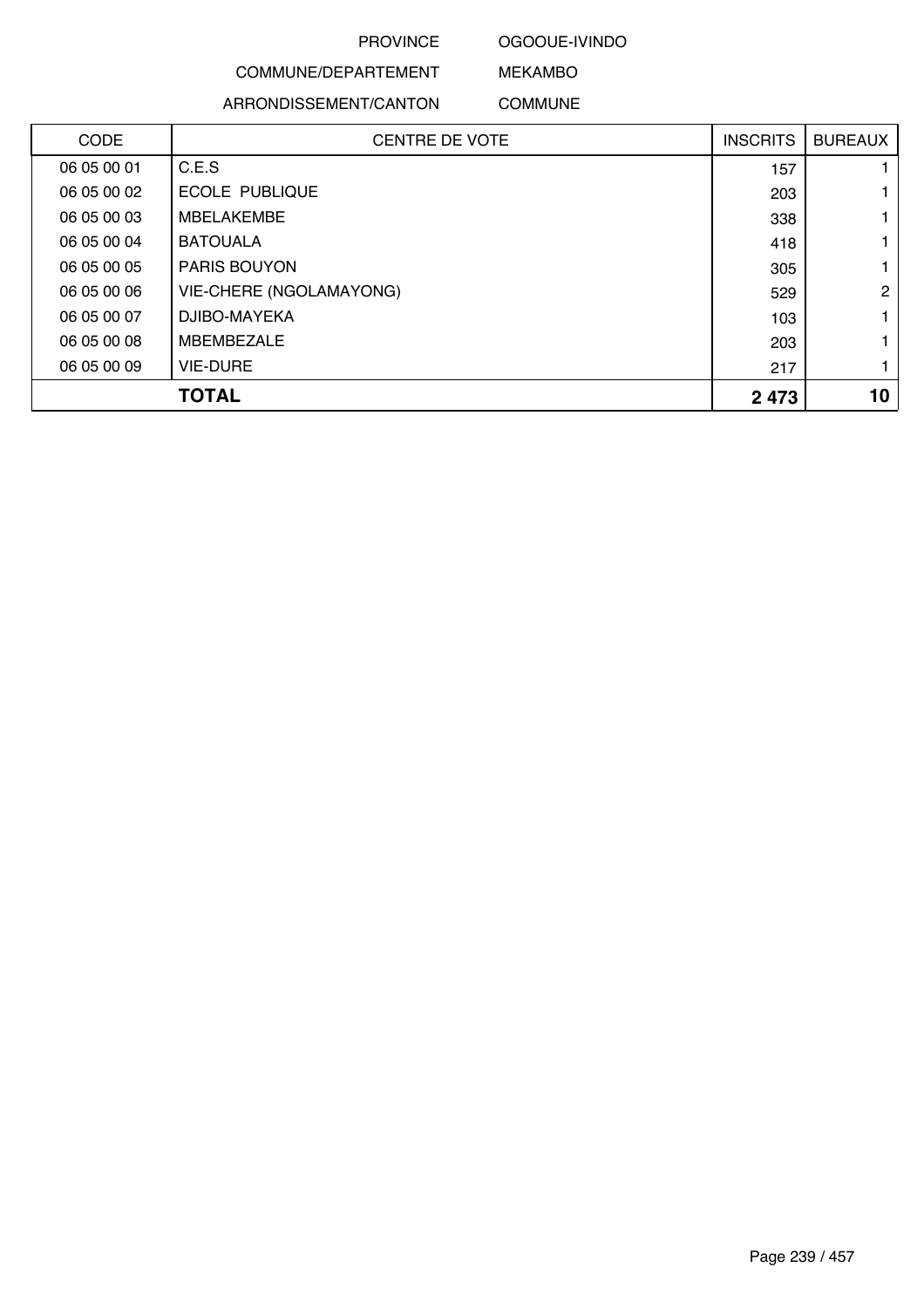### OGOOUE-IVINDO

MEKAMBO

# COMMUNE/DEPARTEMENT

ARRONDISSEMENT/CANTON

COMMUNE

| <b>CODE</b> | <b>CENTRE DE VOTE</b>          | <b>INSCRITS</b> | <b>BUREAUX</b> |
|-------------|--------------------------------|-----------------|----------------|
| 06 05 00 01 | C.E.S                          | 157             |                |
| 06 05 00 02 | <b>ECOLE PUBLIQUE</b>          | 203             |                |
| 06 05 00 03 | <b>MBELAKEMBE</b>              | 338             |                |
| 06 05 00 04 | <b>BATOUALA</b>                | 418             |                |
| 06 05 00 05 | <b>PARIS BOUYON</b>            | 305             |                |
| 06 05 00 06 | <b>VIE-CHERE (NGOLAMAYONG)</b> | 529             | $\mathcal{P}$  |
| 06 05 00 07 | DJIBO-MAYEKA                   | 103             |                |
| 06 05 00 08 | <b>MBEMBEZALE</b>              | 203             |                |
| 06 05 00 09 | <b>VIE-DURE</b>                | 217             |                |
|             | TOTAL                          | 2 4 7 3         | 10             |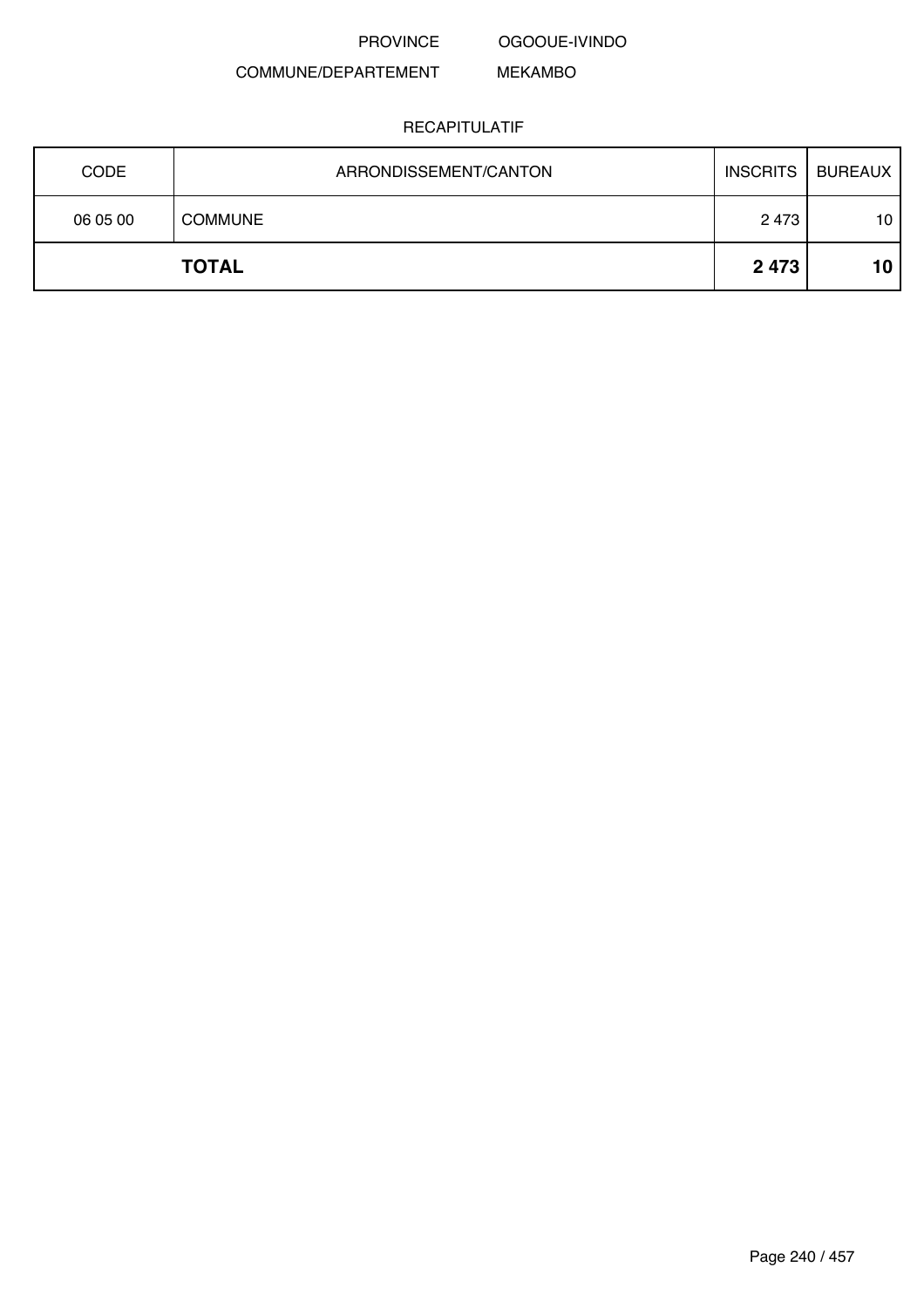OGOOUE-IVINDO

MEKAMBO

# COMMUNE/DEPARTEMENT

| <b>CODE</b> | ARRONDISSEMENT/CANTON | <b>INSCRITS</b> | <b>BUREAUX</b>  |
|-------------|-----------------------|-----------------|-----------------|
| 06 05 00    | <b>COMMUNE</b>        | 2 4 7 3         | 10 <sub>1</sub> |
|             | <b>TOTAL</b>          | 2 4 7 3         | 10              |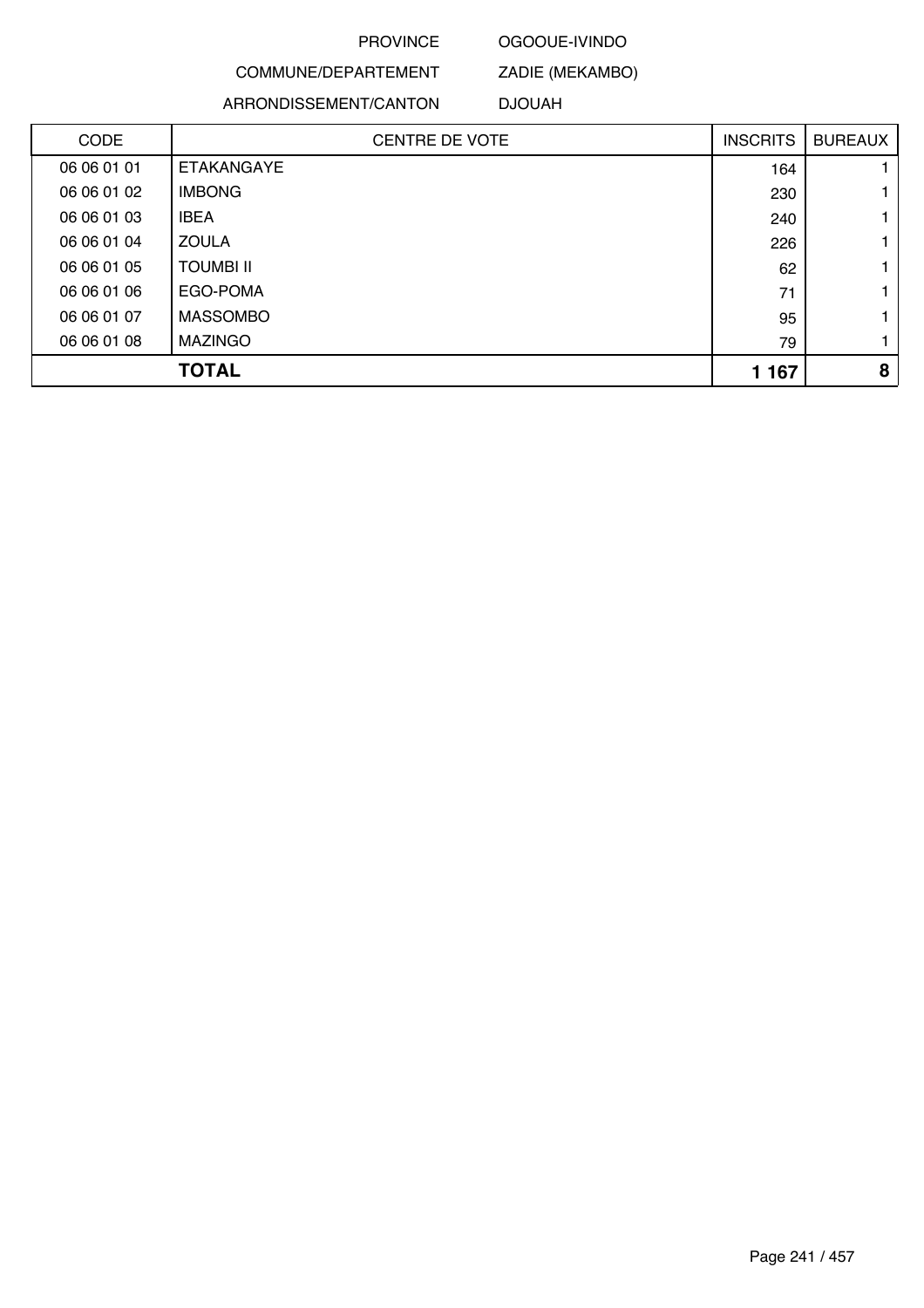### OGOOUE-IVINDO

ZADIE (MEKAMBO)

COMMUNE/DEPARTEMENT ARRONDISSEMENT/CANTON

DJOUAH

| <b>CODE</b> | <b>CENTRE DE VOTE</b> | <b>INSCRITS</b> | <b>BUREAUX</b> |
|-------------|-----------------------|-----------------|----------------|
| 06 06 01 01 | ETAKANGAYE            | 164             |                |
| 06 06 01 02 | <b>IMBONG</b>         | 230             |                |
| 06 06 01 03 | <b>IBEA</b>           | 240             |                |
| 06 06 01 04 | <b>ZOULA</b>          | 226             |                |
| 06 06 01 05 | <b>TOUMBI II</b>      | 62              |                |
| 06 06 01 06 | EGO-POMA              | 71              |                |
| 06 06 01 07 | <b>MASSOMBO</b>       | 95              |                |
| 06 06 01 08 | <b>MAZINGO</b>        | 79              |                |
|             | <b>TOTAL</b>          | 1 1 6 7         | 8              |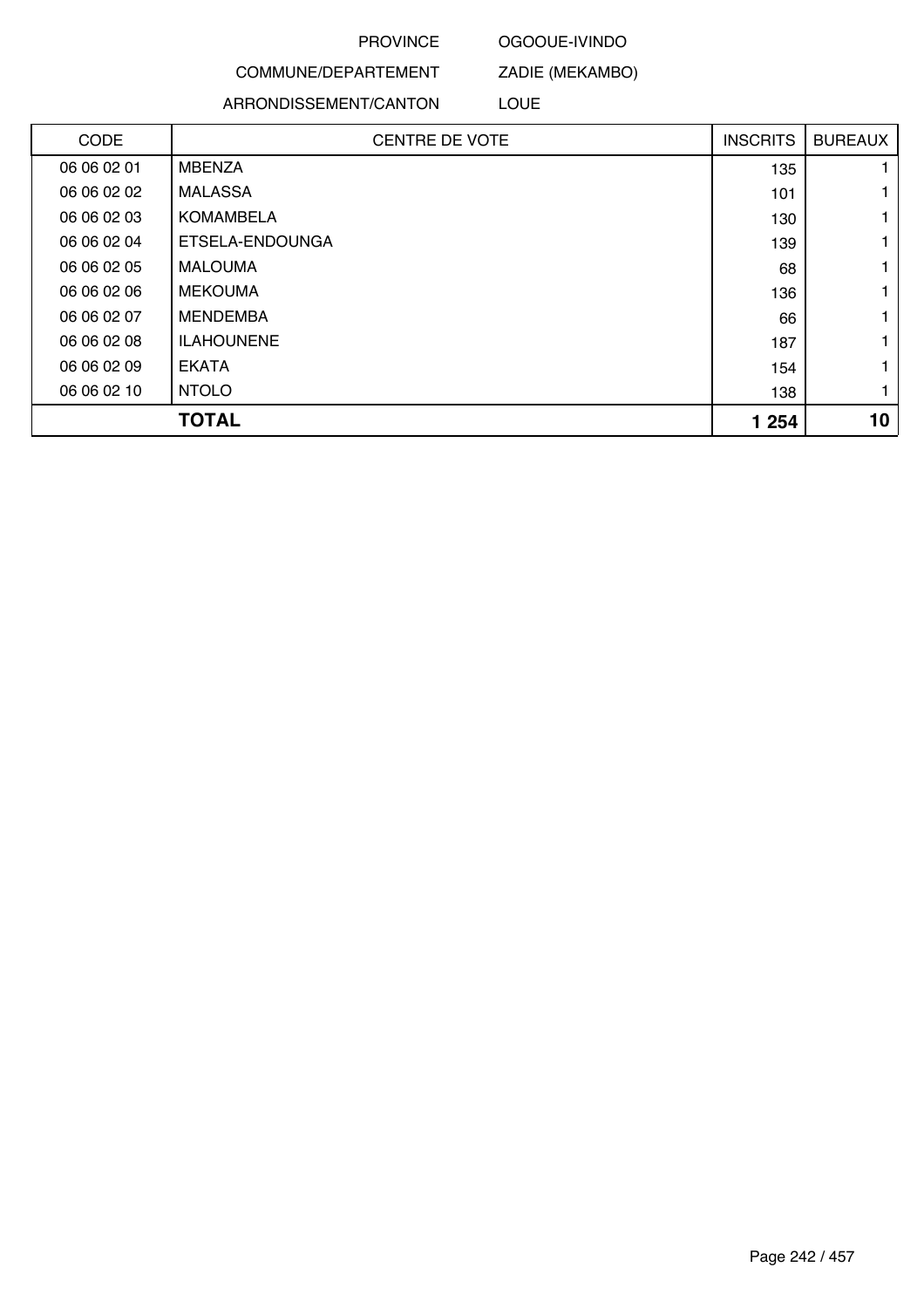### OGOOUE-IVINDO

ZADIE (MEKAMBO)

COMMUNE/DEPARTEMENT ARRONDISSEMENT/CANTON

LOUE

| CODE        | <b>CENTRE DE VOTE</b> | <b>INSCRITS</b> | <b>BUREAUX</b> |
|-------------|-----------------------|-----------------|----------------|
| 06 06 02 01 | <b>MBENZA</b>         | 135             |                |
| 06 06 02 02 | <b>MALASSA</b>        | 101             |                |
| 06 06 02 03 | <b>KOMAMBELA</b>      | 130             |                |
| 06 06 02 04 | ETSELA-ENDOUNGA       | 139             |                |
| 06 06 02 05 | <b>MALOUMA</b>        | 68              |                |
| 06 06 02 06 | <b>MEKOUMA</b>        | 136             |                |
| 06 06 02 07 | MENDEMBA              | 66              |                |
| 06 06 02 08 | <b>ILAHOUNENE</b>     | 187             |                |
| 06 06 02 09 | <b>EKATA</b>          | 154             |                |
| 06 06 02 10 | <b>NTOLO</b>          | 138             |                |
|             | <b>TOTAL</b>          | 1 254           | 10             |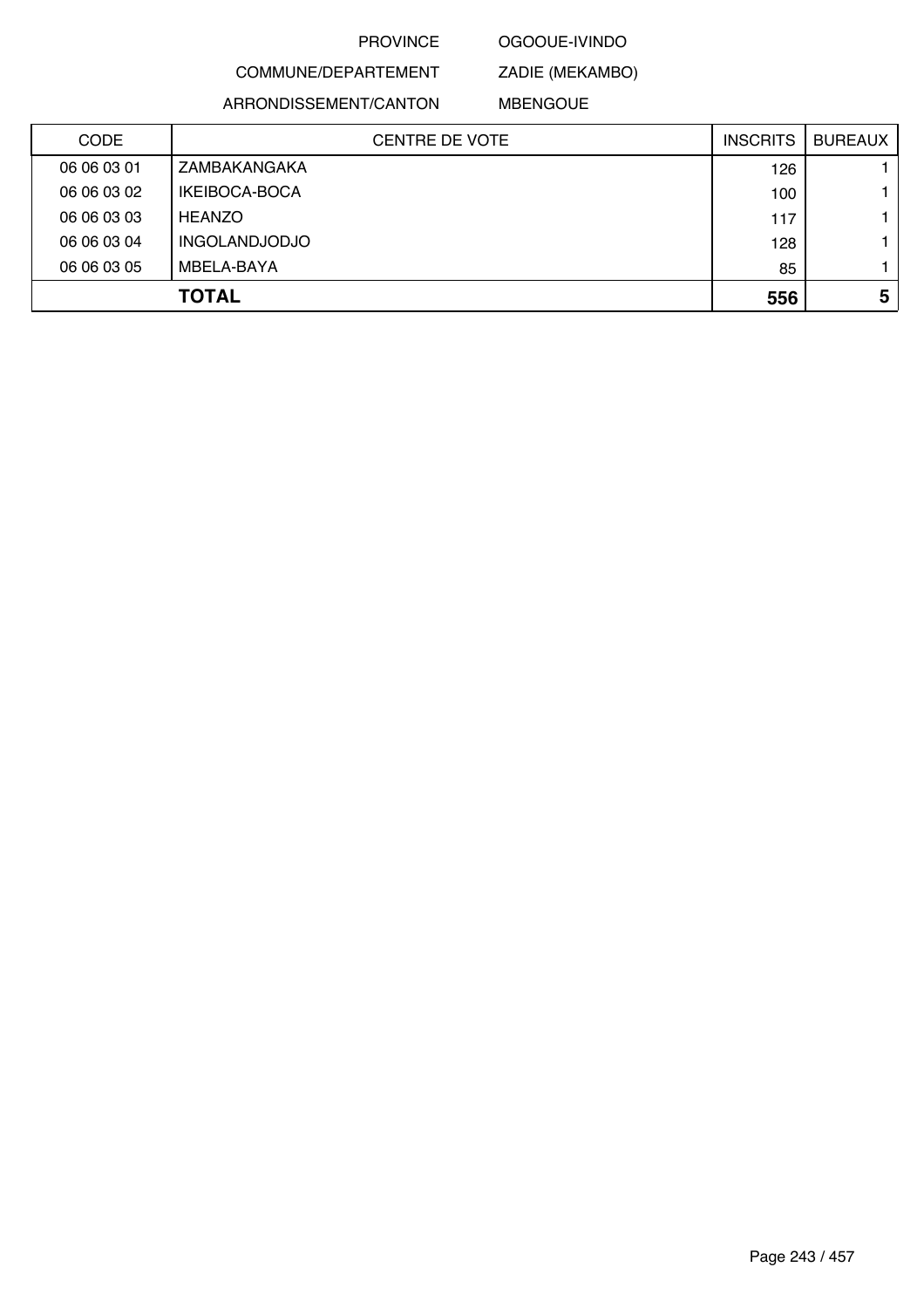### OGOOUE-IVINDO

# COMMUNE/DEPARTEMENT

ZADIE (MEKAMBO)

ARRONDISSEMENT/CANTON

MBENGOUE

| <b>CODE</b> | <b>CENTRE DE VOTE</b> | <b>INSCRITS</b> | <b>BUREAUX</b> |
|-------------|-----------------------|-----------------|----------------|
| 06 06 03 01 | ZAMBAKANGAKA          | 126             |                |
| 06 06 03 02 | IKEIBOCA-BOCA         | 100             |                |
| 06 06 03 03 | <b>HEANZO</b>         | 117             |                |
| 06 06 03 04 | <b>INGOLANDJODJO</b>  | 128             |                |
| 06 06 03 05 | MBELA-BAYA            | 85              |                |
|             | <b>TOTAL</b>          | 556             | 5              |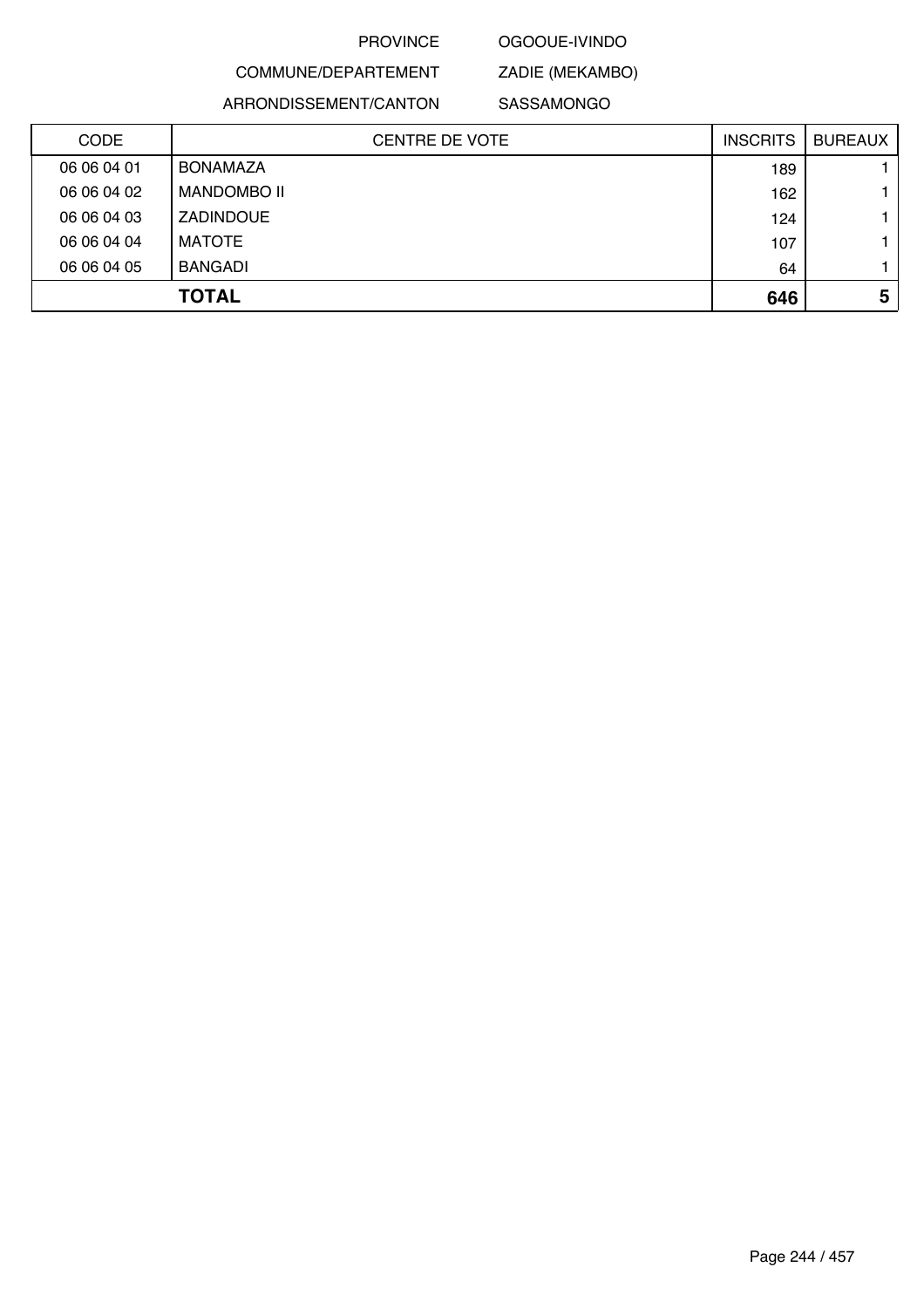### OGOOUE-IVINDO

# COMMUNE/DEPARTEMENT

ZADIE (MEKAMBO)

ARRONDISSEMENT/CANTON

SASSAMONGO

| <b>CODE</b> | <b>CENTRE DE VOTE</b> | <b>INSCRITS</b> | <b>BUREAUX</b> |
|-------------|-----------------------|-----------------|----------------|
| 06 06 04 01 | <b>BONAMAZA</b>       | 189             |                |
| 06 06 04 02 | <b>MANDOMBO II</b>    | 162             |                |
| 06 06 04 03 | <b>ZADINDOUE</b>      | 124             |                |
| 06 06 04 04 | <b>MATOTE</b>         | 107             |                |
| 06 06 04 05 | BANGADI               | 64              |                |
|             | <b>TOTAL</b>          | 646             | 5              |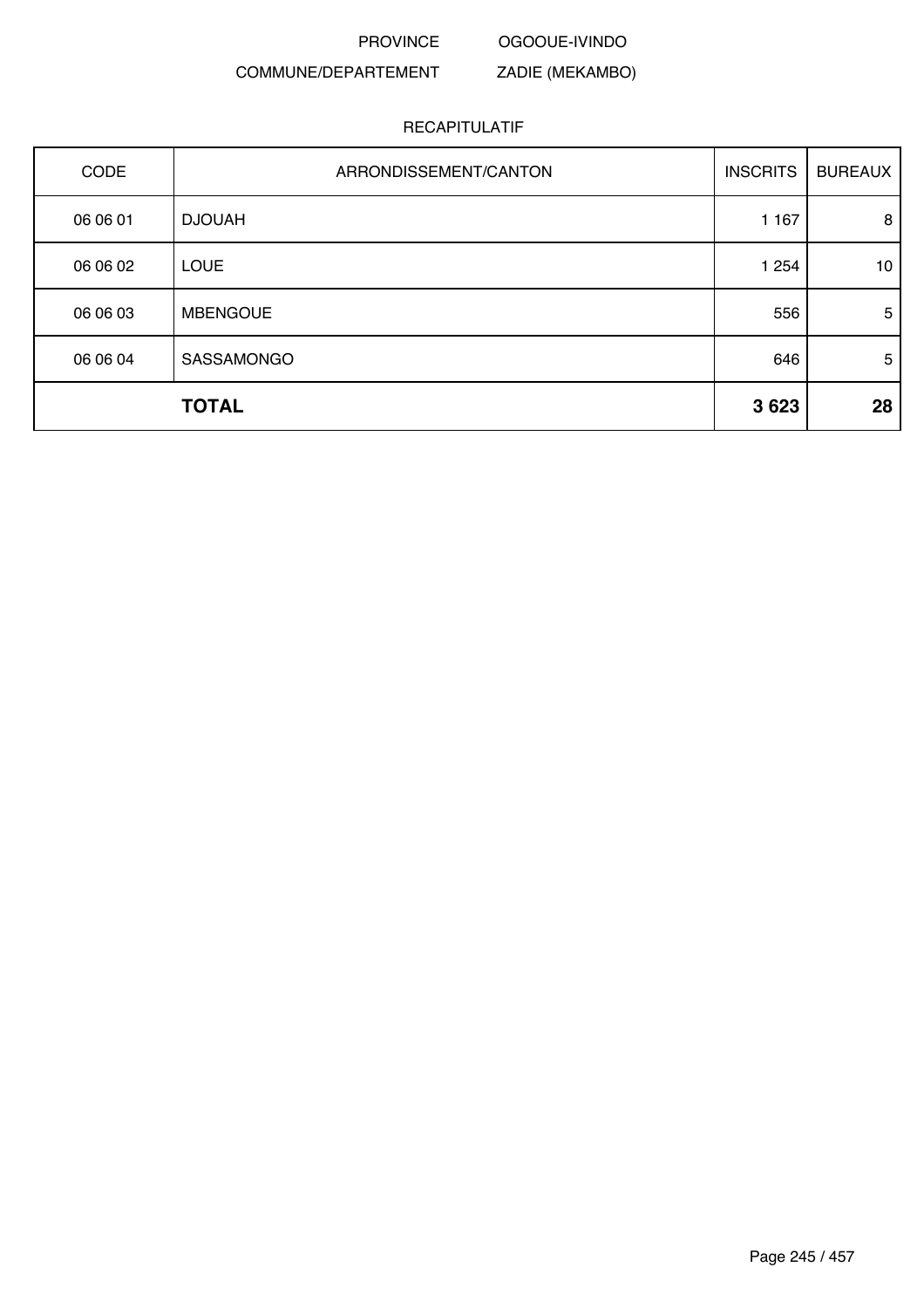OGOOUE-IVINDO

# COMMUNE/DEPARTEMENT

# ZADIE (MEKAMBO)

| CODE     | ARRONDISSEMENT/CANTON | <b>INSCRITS</b> | <b>BUREAUX</b> |
|----------|-----------------------|-----------------|----------------|
| 06 06 01 | <b>DJOUAH</b>         | 1 1 6 7         | 8              |
| 06 06 02 | <b>LOUE</b>           | 1 2 5 4         | 10             |
| 06 06 03 | <b>MBENGOUE</b>       | 556             | 5              |
| 06 06 04 | SASSAMONGO            | 646             | 5              |
|          | <b>TOTAL</b>          | 3623            | 28             |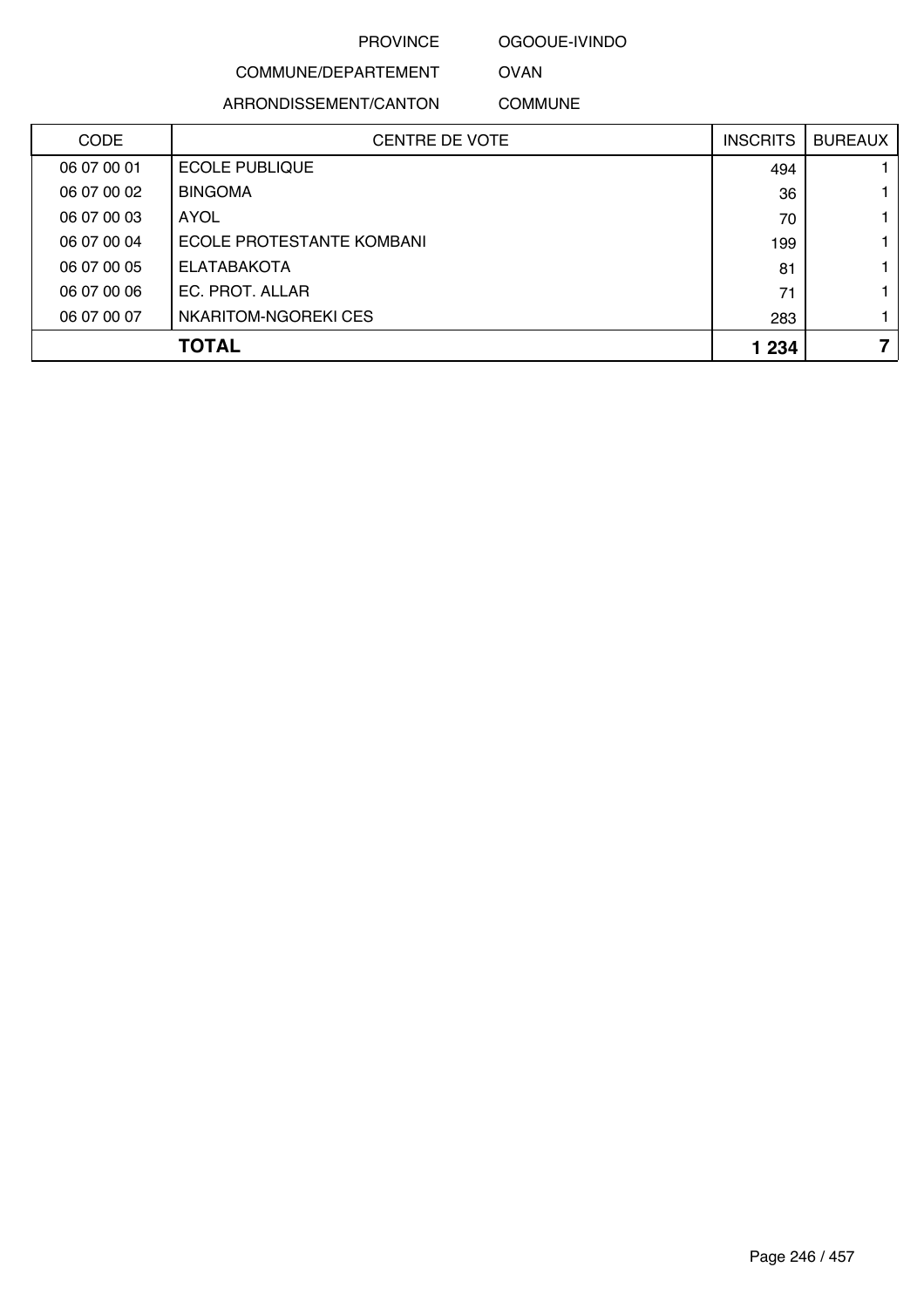#### OGOOUE-IVINDO

# COMMUNE/DEPARTEMENT

ARRONDISSEMENT/CANTON

COMMUNE

OVAN

| <b>CODE</b> | <b>CENTRE DE VOTE</b>     | <b>INSCRITS</b> | <b>BUREAUX</b> |
|-------------|---------------------------|-----------------|----------------|
| 06 07 00 01 | <b>ECOLE PUBLIQUE</b>     | 494             |                |
| 06 07 00 02 | <b>BINGOMA</b>            | 36              |                |
| 06 07 00 03 | AYOL                      | 70              |                |
| 06 07 00 04 | ECOLE PROTESTANTE KOMBANI | 199             |                |
| 06 07 00 05 | <b>ELATABAKOTA</b>        | 81              |                |
| 06 07 00 06 | EC. PROT. ALLAR           | 71              |                |
| 06 07 00 07 | NKARITOM-NGOREKI CES      | 283             |                |
|             | <b>TOTAL</b>              | 1 2 3 4         | 7              |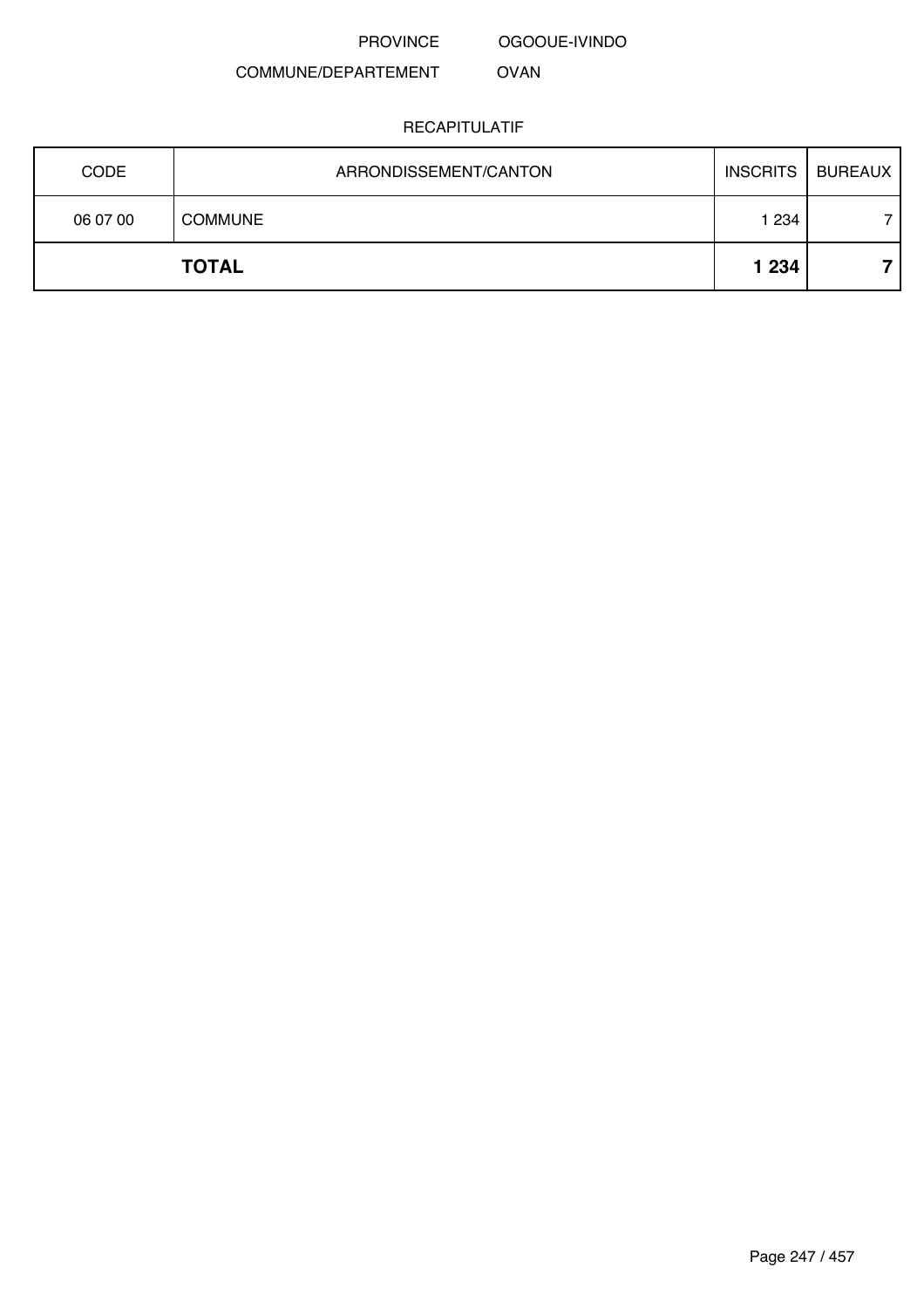OGOOUE-IVINDO

COMMUNE/DEPARTEMENT OVAN

| <b>CODE</b> | ARRONDISSEMENT/CANTON | <b>INSCRITS</b> | <b>BUREAUX</b> |
|-------------|-----------------------|-----------------|----------------|
| 06 07 00    | <b>COMMUNE</b>        | 1 234           |                |
|             | <b>TOTAL</b>          | 1 2 3 4         |                |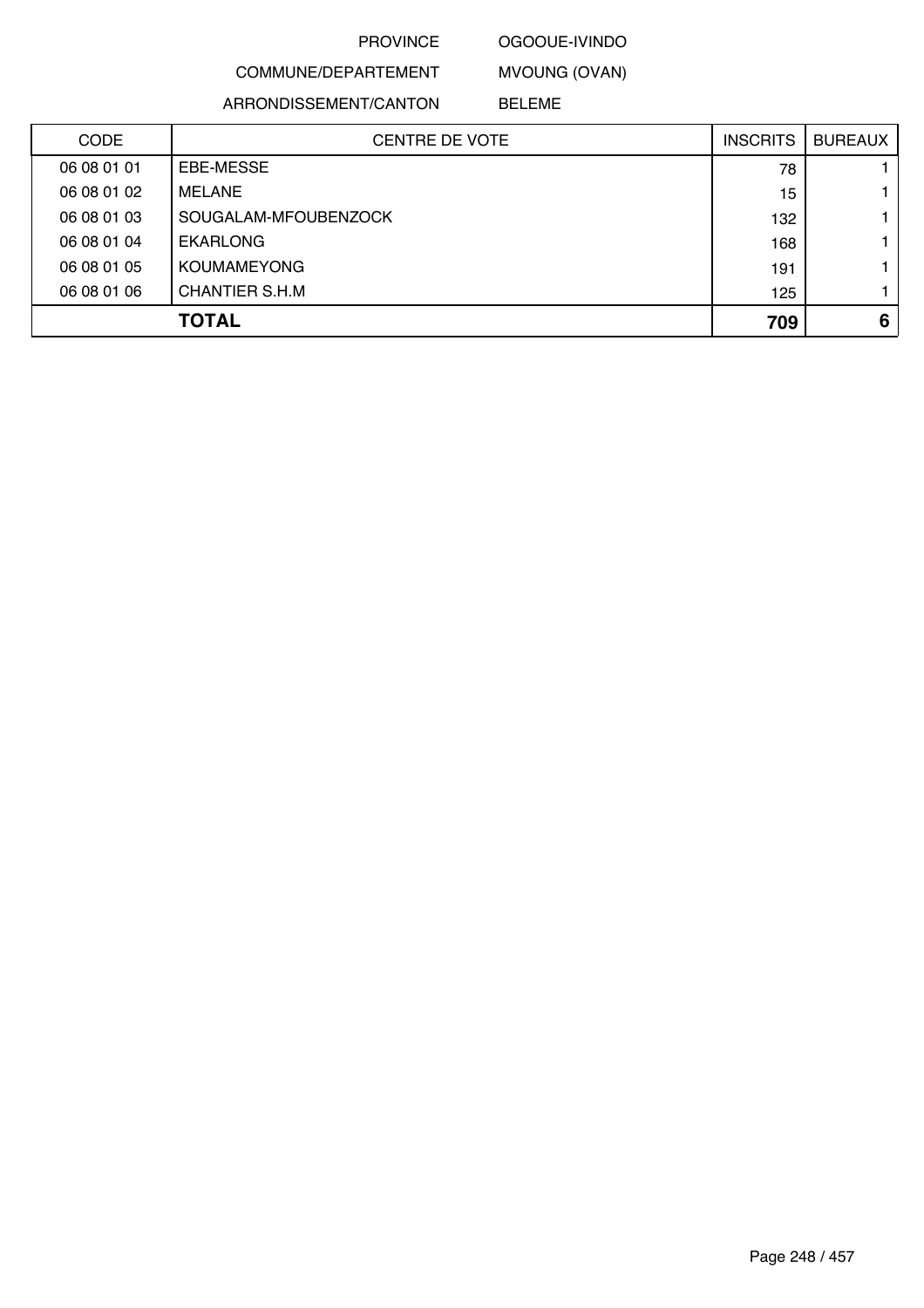# OGOOUE-IVINDO

MVOUNG (OVAN)

ARRONDISSEMENT/CANTON

COMMUNE/DEPARTEMENT

BELEME

| <b>CODE</b> | <b>CENTRE DE VOTE</b> | <b>INSCRITS</b> | <b>BUREAUX</b> |
|-------------|-----------------------|-----------------|----------------|
| 06 08 01 01 | EBE-MESSE             | 78              |                |
| 06 08 01 02 | <b>MELANE</b>         | 15              |                |
| 06 08 01 03 | SOUGALAM-MFOUBENZOCK  | 132             |                |
| 06 08 01 04 | <b>EKARLONG</b>       | 168             |                |
| 06 08 01 05 | <b>KOUMAMEYONG</b>    | 191             |                |
| 06 08 01 06 | CHANTIER S.H.M        | 125             |                |
|             | <b>TOTAL</b>          | 709             | 6              |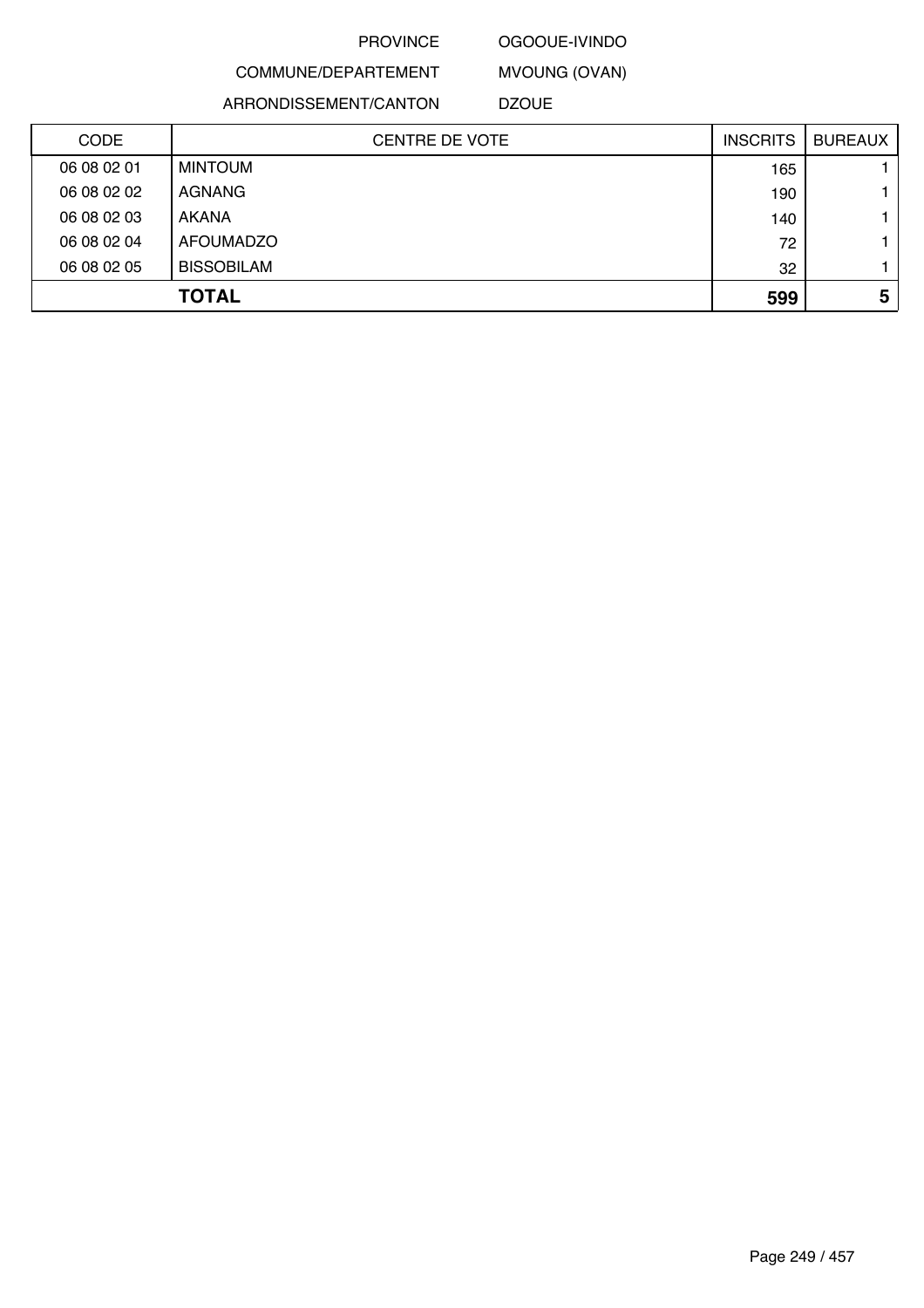# OGOOUE-IVINDO

MVOUNG (OVAN)

COMMUNE/DEPARTEMENT ARRONDISSEMENT/CANTON

DZOUE

| <b>CODE</b> | <b>CENTRE DE VOTE</b> | <b>INSCRITS</b> | <b>BUREAUX</b> |
|-------------|-----------------------|-----------------|----------------|
| 06 08 02 01 | <b>MINTOUM</b>        | 165             |                |
| 06 08 02 02 | AGNANG                | 190             |                |
| 06 08 02 03 | AKANA                 | 140             |                |
| 06 08 02 04 | <b>AFOUMADZO</b>      | 72              |                |
| 06 08 02 05 | <b>BISSOBILAM</b>     | 32              |                |
|             | <b>TOTAL</b>          | 599             | 5              |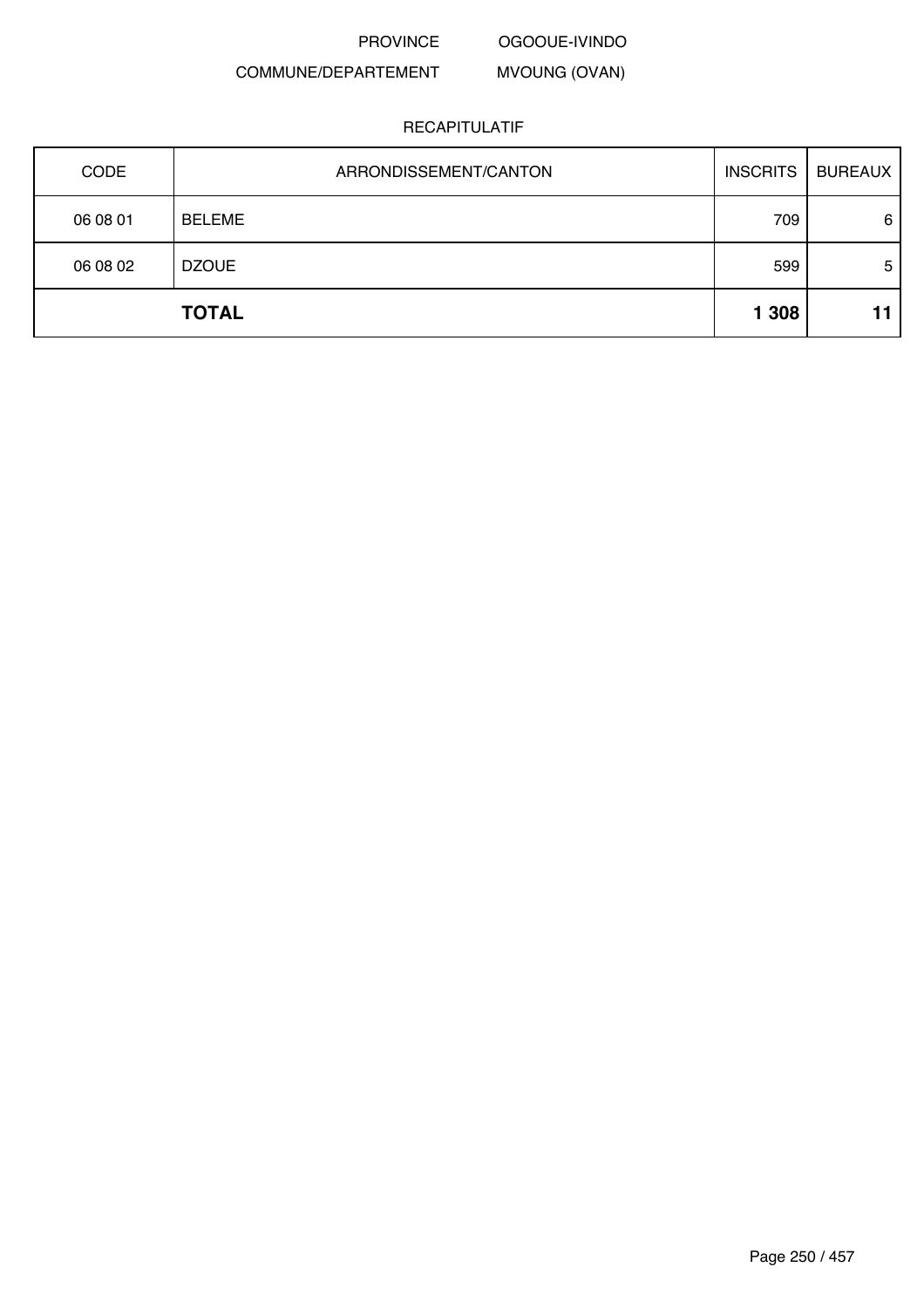PROVINCE OGOOUE-IVINDO

#### COMMUNE/DEPARTEMENT MVOUNG (OVAN)

| CODE     | ARRONDISSEMENT/CANTON | <b>INSCRITS</b> | <b>BUREAUX</b> |
|----------|-----------------------|-----------------|----------------|
| 06 08 01 | <b>BELEME</b>         | 709             | 6              |
| 06 08 02 | <b>DZOUE</b>          | 599             | 5              |
|          | <b>TOTAL</b>          | 1 3 0 8         | 11             |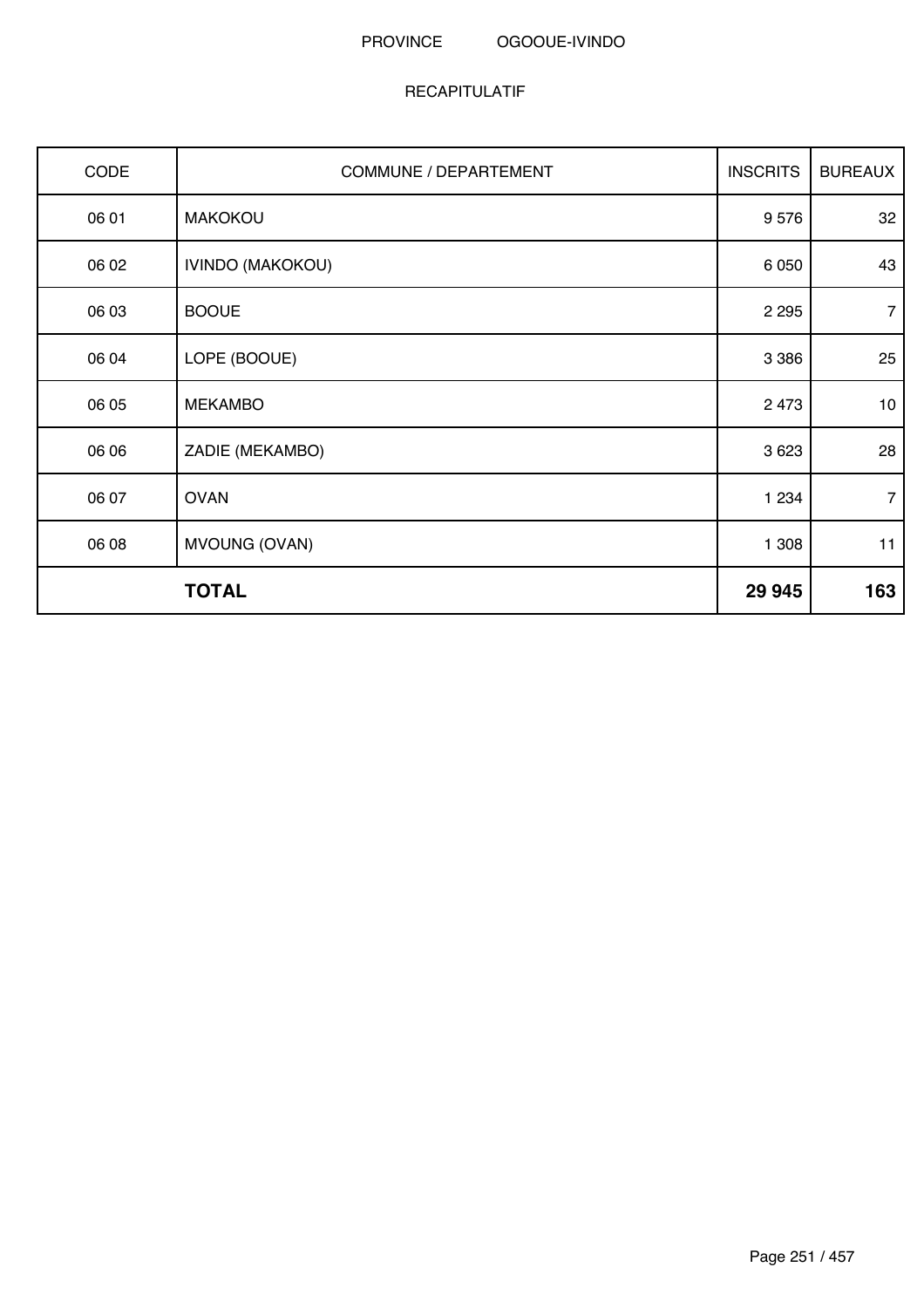| CODE  | COMMUNE / DEPARTEMENT   | <b>INSCRITS</b> | <b>BUREAUX</b> |
|-------|-------------------------|-----------------|----------------|
| 06 01 | <b>MAKOKOU</b>          | 9576            | 32             |
| 06 02 | <b>IVINDO (MAKOKOU)</b> | 6 0 5 0         | 43             |
| 06 03 | <b>BOOUE</b>            | 2 2 9 5         | $\overline{7}$ |
| 06 04 | LOPE (BOOUE)            | 3 3 8 6         | 25             |
| 06 05 | <b>MEKAMBO</b>          | 2 4 7 3         | 10             |
| 06 06 | ZADIE (MEKAMBO)         | 3 6 2 3         | 28             |
| 06 07 | <b>OVAN</b>             | 1 2 3 4         | $\overline{7}$ |
| 06 08 | MVOUNG (OVAN)           | 1 308           | 11             |
|       | <b>TOTAL</b>            | 29 945          | 163            |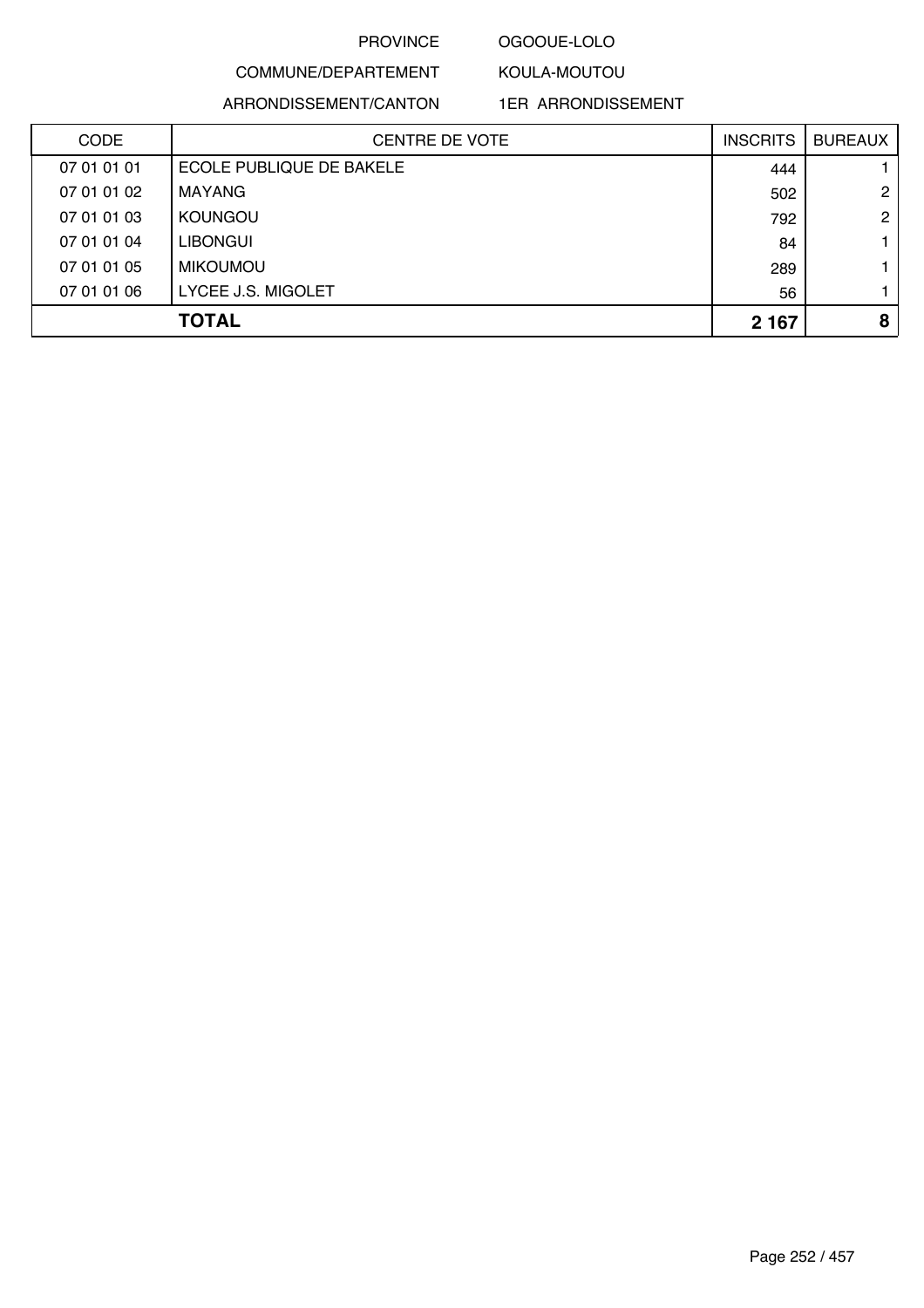# OGOOUE-LOLO

KOULA-MOUTOU

# COMMUNE/DEPARTEMENT ARRONDISSEMENT/CANTON

1ER ARRONDISSEMENT

| <b>CODE</b> | CENTRE DE VOTE           | <b>INSCRITS</b> | <b>BUREAUX</b> |
|-------------|--------------------------|-----------------|----------------|
| 07 01 01 01 | ECOLE PUBLIQUE DE BAKELE | 444             |                |
| 07 01 01 02 | MAYANG                   | 502             | $\overline{2}$ |
| 07 01 01 03 | <b>KOUNGOU</b>           | 792             | $\mathbf{2}$   |
| 07 01 01 04 | <b>LIBONGUI</b>          | 84              |                |
| 07 01 01 05 | <b>MIKOUMOU</b>          | 289             |                |
| 07 01 01 06 | LYCEE J.S. MIGOLET       | 56              |                |
|             | <b>TOTAL</b>             | 2 1 6 7         | 8              |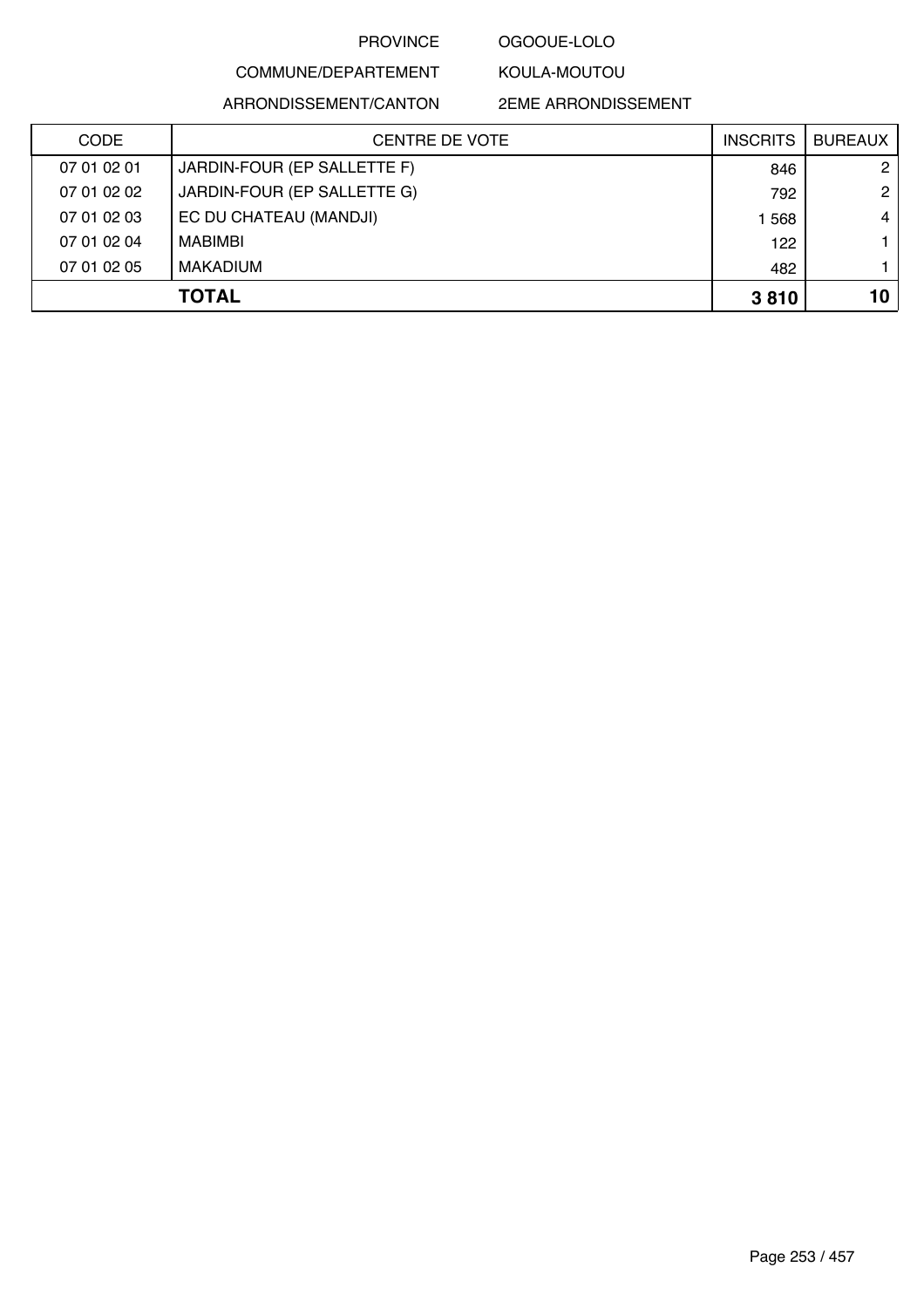### OGOOUE-LOLO

KOULA-MOUTOU

# COMMUNE/DEPARTEMENT

ARRONDISSEMENT/CANTON

| CODE        | <b>CENTRE DE VOTE</b>       | <b>INSCRITS</b> | <b>BUREAUX</b>       |
|-------------|-----------------------------|-----------------|----------------------|
| 07 01 02 01 | JARDIN-FOUR (EP SALLETTE F) | 846             | $\mathbf{2}^{\circ}$ |
| 07 01 02 02 | JARDIN-FOUR (EP SALLETTE G) | 792             | $\mathbf{2}^{\circ}$ |
| 07 01 02 03 | EC DU CHATEAU (MANDJI)      | 1568            | $\overline{4}$       |
| 07 01 02 04 | MABIMBI                     | 122             |                      |
| 07 01 02 05 | MAKADIUM                    | 482             |                      |
|             | <b>TOTAL</b>                | 3810            | 10                   |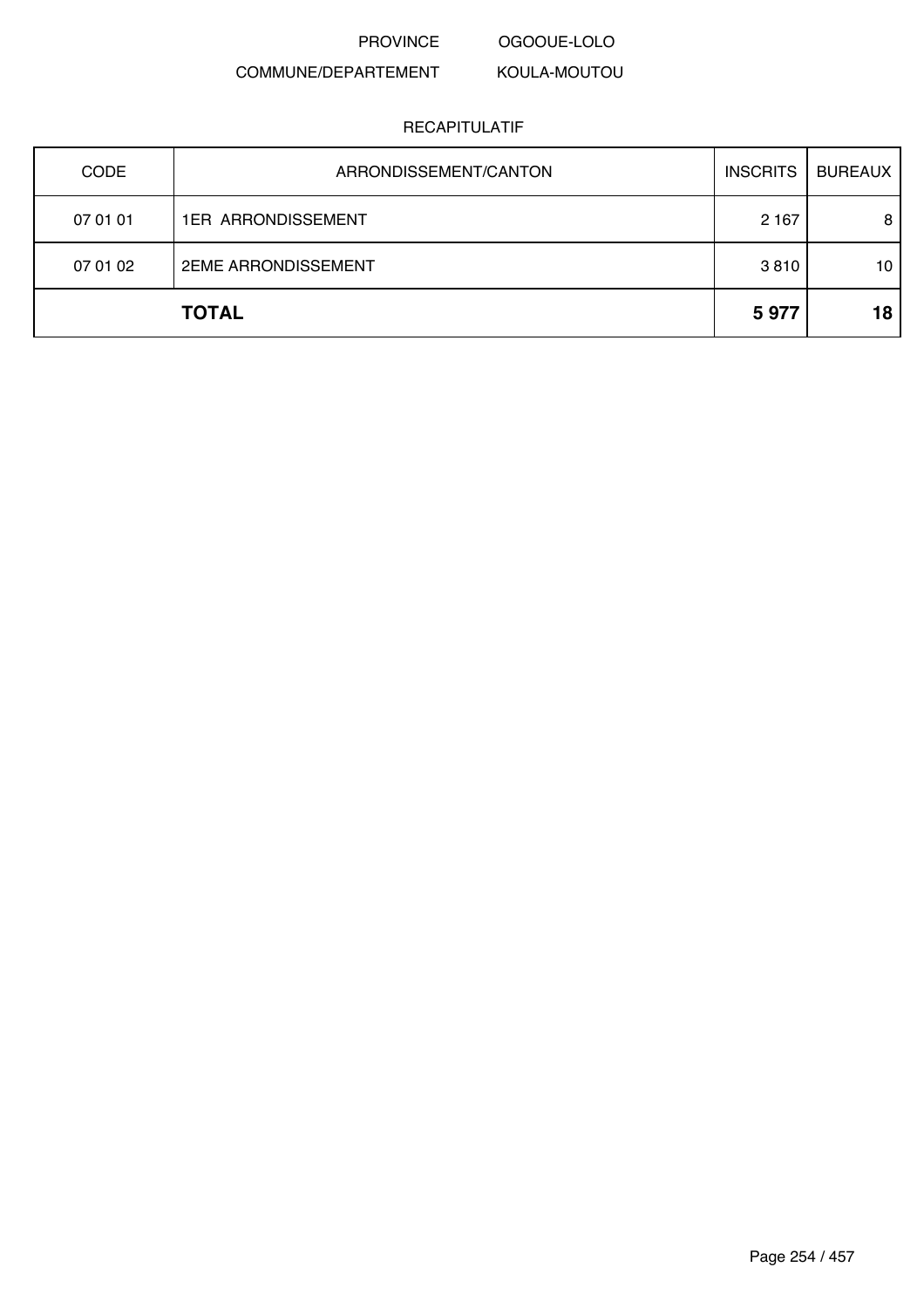PROVINCE OGOOUE-LOLO

#### COMMUNE/DEPARTEMENT KOULA-MOUTOU

| <b>CODE</b> | ARRONDISSEMENT/CANTON      | <b>INSCRITS</b> | <b>BUREAUX</b> |
|-------------|----------------------------|-----------------|----------------|
| 07 01 01    | <b>1ER ARRONDISSEMENT</b>  | 2 1 6 7         | 8              |
| 07 01 02    | <b>2EME ARRONDISSEMENT</b> | 3810            | 10             |
|             | <b>TOTAL</b>               | 5977            | 18             |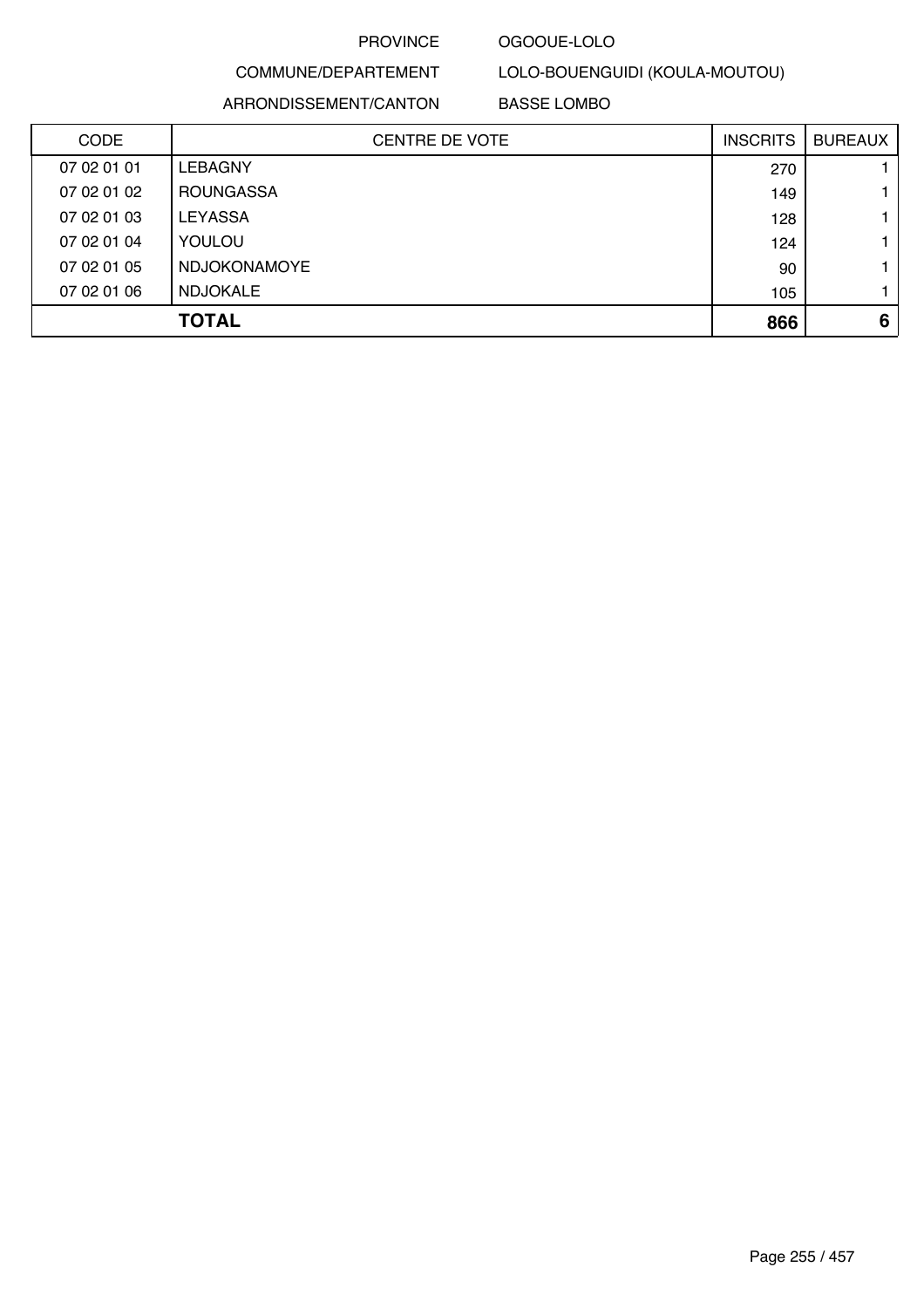### OGOOUE-LOLO

# COMMUNE/DEPARTEMENT

LOLO-BOUENGUIDI (KOULA-MOUTOU)

ARRONDISSEMENT/CANTON

BASSE LOMBO

| <b>CODE</b> | <b>CENTRE DE VOTE</b> | <b>INSCRITS</b> | <b>BUREAUX</b> |
|-------------|-----------------------|-----------------|----------------|
| 07 02 01 01 | <b>LEBAGNY</b>        | 270             |                |
| 07 02 01 02 | <b>ROUNGASSA</b>      | 149             |                |
| 07 02 01 03 | <b>LEYASSA</b>        | 128             |                |
| 07 02 01 04 | YOULOU                | 124             |                |
| 07 02 01 05 | <b>NDJOKONAMOYE</b>   | 90              |                |
| 07 02 01 06 | <b>NDJOKALE</b>       | 105             |                |
|             | <b>TOTAL</b>          | 866             | 6              |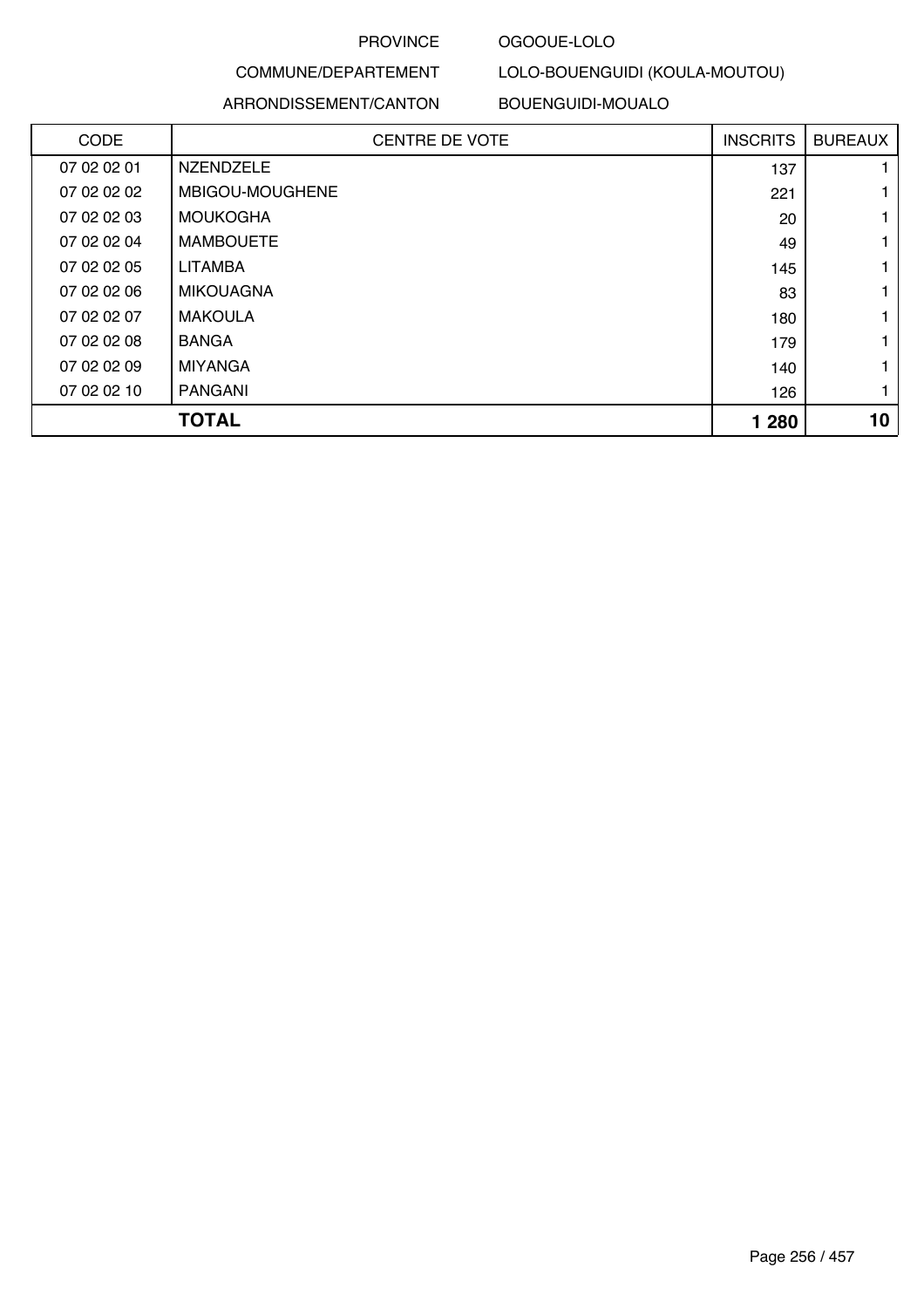### OGOOUE-LOLO

# COMMUNE/DEPARTEMENT

LOLO-BOUENGUIDI (KOULA-MOUTOU)

ARRONDISSEMENT/CANTON

BOUENGUIDI-MOUALO

| <b>CODE</b> | <b>CENTRE DE VOTE</b> | <b>INSCRITS</b> | <b>BUREAUX</b> |
|-------------|-----------------------|-----------------|----------------|
| 07 02 02 01 | <b>NZENDZELE</b>      | 137             |                |
| 07 02 02 02 | MBIGOU-MOUGHENE       | 221             |                |
| 07 02 02 03 | <b>MOUKOGHA</b>       | 20              |                |
| 07 02 02 04 | <b>MAMBOUETE</b>      | 49              |                |
| 07 02 02 05 | LITAMBA               | 145             |                |
| 07 02 02 06 | <b>MIKOUAGNA</b>      | 83              |                |
| 07 02 02 07 | <b>MAKOULA</b>        | 180             |                |
| 07 02 02 08 | <b>BANGA</b>          | 179             |                |
| 07 02 02 09 | <b>MIYANGA</b>        | 140             |                |
| 07 02 02 10 | PANGANI               | 126             |                |
|             | <b>TOTAL</b>          | 1 2 8 0         | 10             |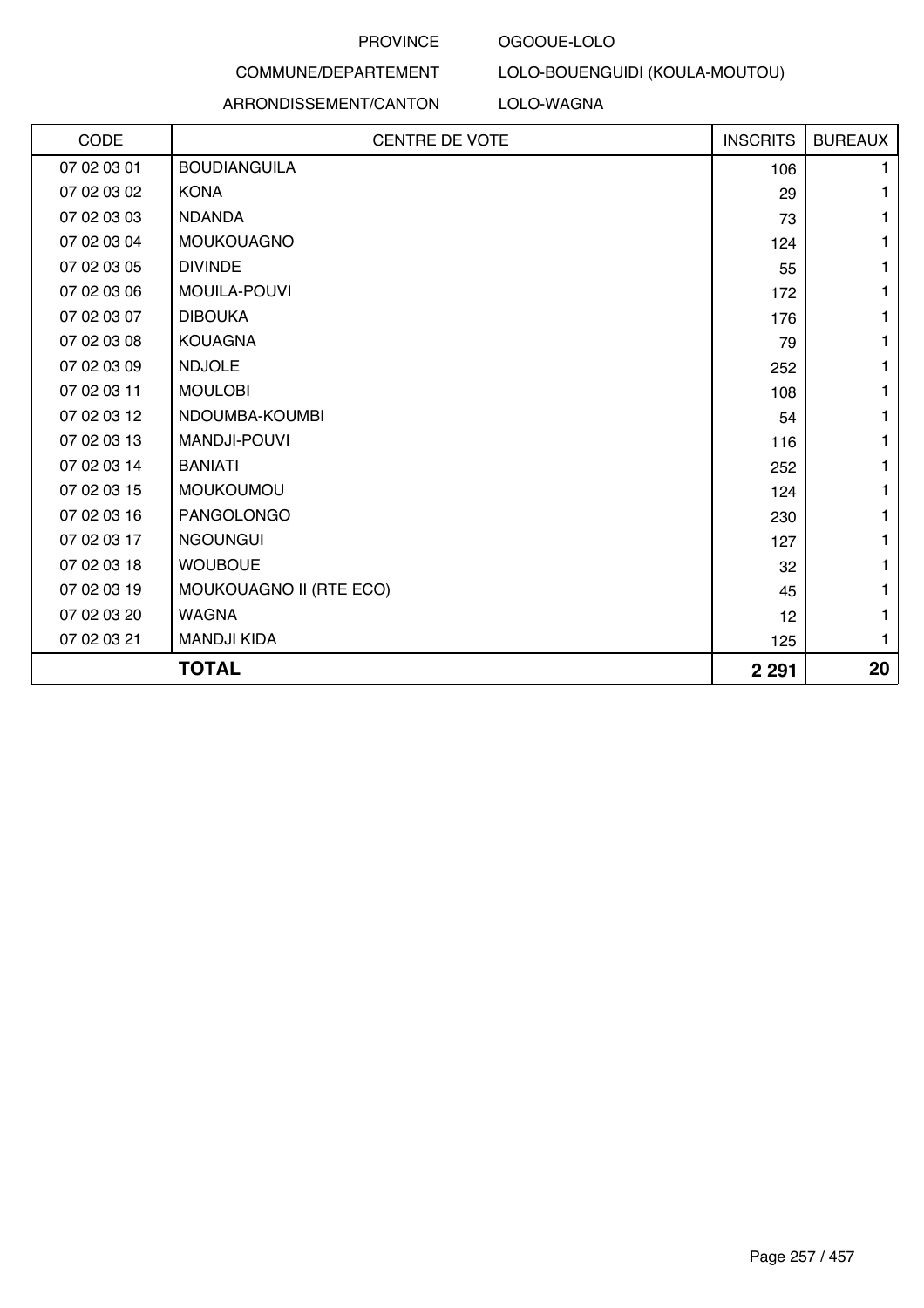#### OGOOUE-LOLO

### COMMUNE/DEPARTEMENT ARRONDISSEMENT/CANTON

### LOLO-WAGNA

LOLO-BOUENGUIDI (KOULA-MOUTOU)

| CODE        | <b>CENTRE DE VOTE</b>   | <b>INSCRITS</b> | <b>BUREAUX</b> |
|-------------|-------------------------|-----------------|----------------|
| 07 02 03 01 | <b>BOUDIANGUILA</b>     | 106             |                |
| 07 02 03 02 | <b>KONA</b>             | 29              | 1.             |
| 07 02 03 03 | <b>NDANDA</b>           | 73              | 1              |
| 07 02 03 04 | <b>MOUKOUAGNO</b>       | 124             | 1              |
| 07 02 03 05 | <b>DIVINDE</b>          | 55              | 1.             |
| 07 02 03 06 | <b>MOUILA-POUVI</b>     | 172             | 1              |
| 07 02 03 07 | <b>DIBOUKA</b>          | 176             | 1              |
| 07 02 03 08 | <b>KOUAGNA</b>          | 79              | 1              |
| 07 02 03 09 | <b>NDJOLE</b>           | 252             | 1              |
| 07 02 03 11 | <b>MOULOBI</b>          | 108             | 1              |
| 07 02 03 12 | NDOUMBA-KOUMBI          | 54              | 1              |
| 07 02 03 13 | MANDJI-POUVI            | 116             | 1              |
| 07 02 03 14 | <b>BANIATI</b>          | 252             | 1              |
| 07 02 03 15 | <b>MOUKOUMOU</b>        | 124             | 1              |
| 07 02 03 16 | PANGOLONGO              | 230             | 1              |
| 07 02 03 17 | <b>NGOUNGUI</b>         | 127             | 1              |
| 07 02 03 18 | <b>WOUBOUE</b>          | 32              | 1              |
| 07 02 03 19 | MOUKOUAGNO II (RTE ECO) | 45              | 1              |
| 07 02 03 20 | <b>WAGNA</b>            | 12              | 1              |
| 07 02 03 21 | <b>MANDJI KIDA</b>      | 125             | 1              |
|             | <b>TOTAL</b>            | 2 2 9 1         | 20             |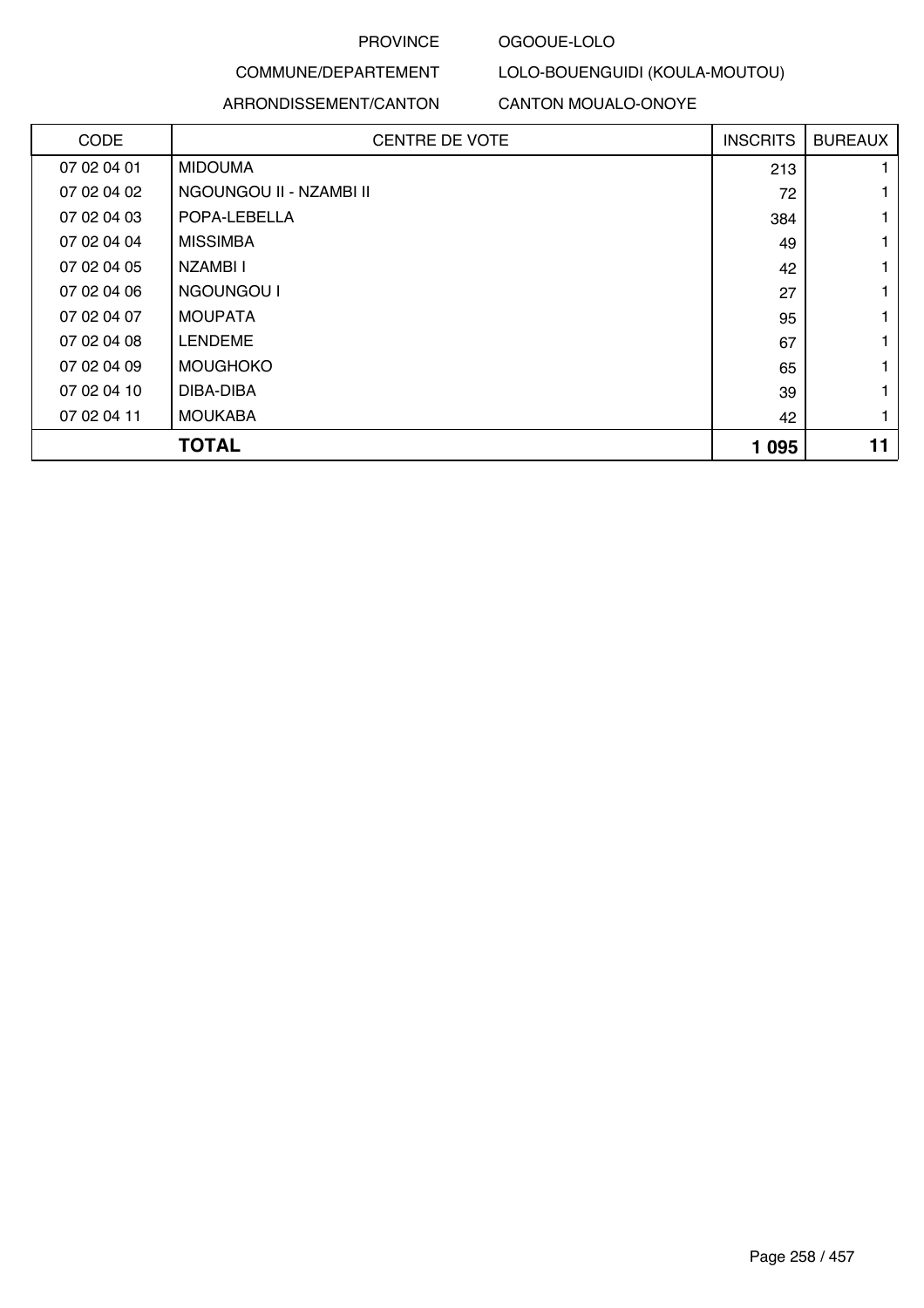### OGOOUE-LOLO

LOLO-BOUENGUIDI (KOULA-MOUTOU)

### COMMUNE/DEPARTEMENT

|             | ARRONDISSEMENT/CANTON   | <b>CANTON MOUALO-ONOYE</b> |                 |                |
|-------------|-------------------------|----------------------------|-----------------|----------------|
| <b>CODE</b> | <b>CENTRE DE VOTE</b>   |                            | <b>INSCRITS</b> | <b>BUREAUX</b> |
| 07 02 04 01 | <b>MIDOUMA</b>          |                            | 213             |                |
| 07 02 04 02 | NGOUNGOU II - NZAMBI II |                            | 72              |                |
| 07 02 04 03 | POPA-LEBELLA            |                            | 384             |                |
| 07 02 04 04 | <b>MISSIMBA</b>         |                            | 49              | 1              |
| 07 02 04 05 | NZAMBI I                |                            | 42              | 1              |
| 07 02 04 06 | NGOUNGOU I              |                            | 27              |                |
| 07 02 04 07 | <b>MOUPATA</b>          |                            | 95              |                |
| 07 02 04 08 | <b>LENDEME</b>          |                            | 67              |                |
| 07 02 04 09 | <b>MOUGHOKO</b>         |                            | 65              | 1              |
| 07 02 04 10 | DIBA-DIBA               |                            | 39              |                |
| 07 02 04 11 | <b>MOUKABA</b>          |                            | 42              |                |

| <b>TOTAL</b> | 095 | 44 |
|--------------|-----|----|
|              |     |    |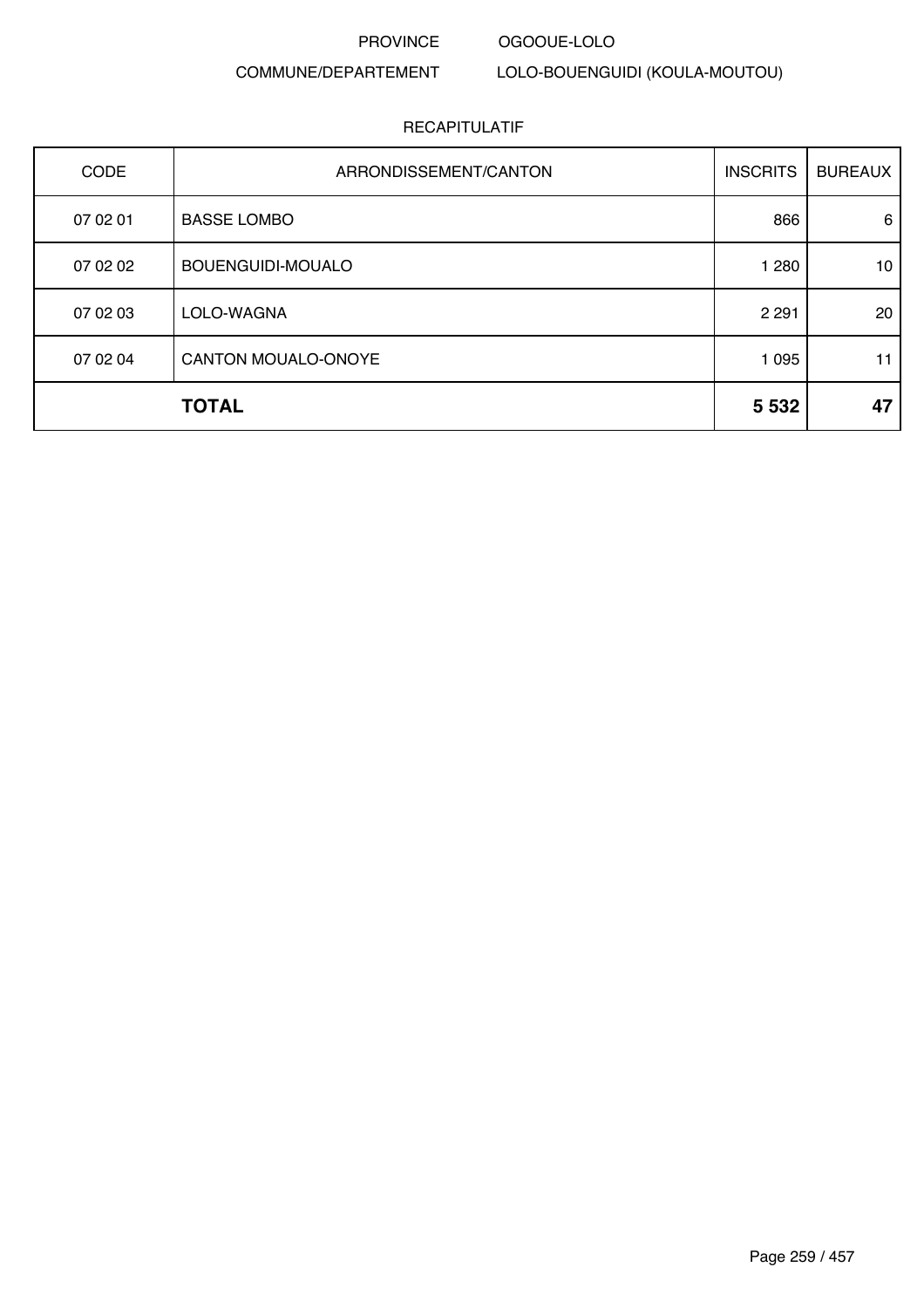#### OGOOUE-LOLO

### COMMUNE/DEPARTEMENT

LOLO-BOUENGUIDI (KOULA-MOUTOU)

| <b>CODE</b> | ARRONDISSEMENT/CANTON | <b>INSCRITS</b> | <b>BUREAUX</b> |
|-------------|-----------------------|-----------------|----------------|
| 07 02 01    | <b>BASSE LOMBO</b>    | 866             | 6              |
| 07 02 02    | BOUENGUIDI-MOUALO     | 1 2 8 0         | 10             |
| 07 02 03    | LOLO-WAGNA            | 2 2 9 1         | 20             |
| 07 02 04    | CANTON MOUALO-ONOYE   | 1 0 9 5         | 11             |
|             | <b>TOTAL</b>          | 5 5 3 2         | 47             |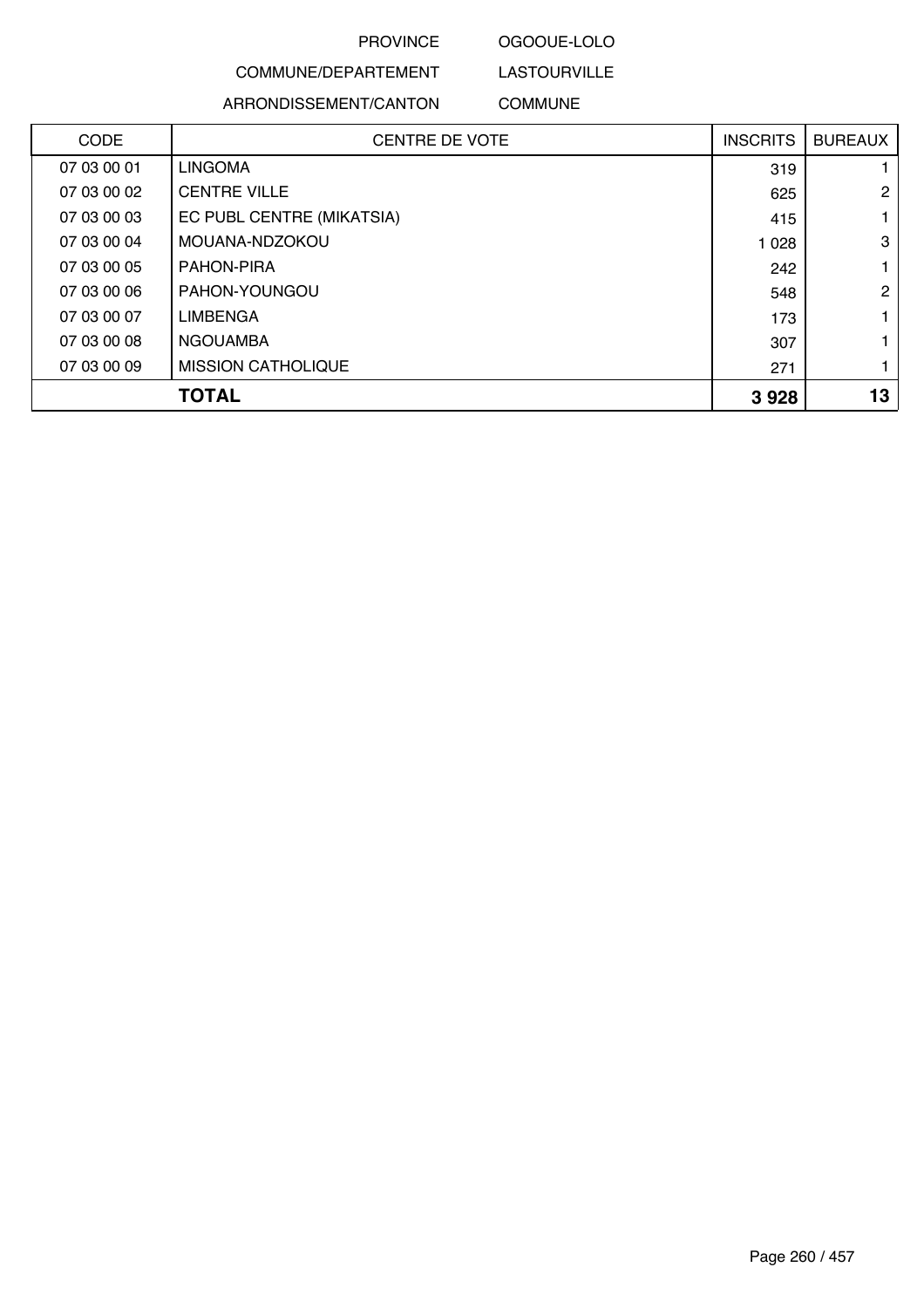### OGOOUE-LOLO

LASTOURVILLE

### COMMUNE/DEPARTEMENT

ARRONDISSEMENT/CANTON COMMUNE

| <b>CODE</b> | <b>CENTRE DE VOTE</b>     | <b>INSCRITS</b> | <b>BUREAUX</b> |
|-------------|---------------------------|-----------------|----------------|
| 07 03 00 01 | <b>LINGOMA</b>            | 319             |                |
| 07 03 00 02 | <b>CENTRE VILLE</b>       | 625             | $\overline{2}$ |
| 07 03 00 03 | EC PUBL CENTRE (MIKATSIA) | 415             |                |
| 07 03 00 04 | MOUANA-NDZOKOU            | 1 0 28          | 3              |
| 07 03 00 05 | PAHON-PIRA                | 242             |                |
| 07 03 00 06 | PAHON-YOUNGOU             | 548             | $\overline{2}$ |
| 07 03 00 07 | <b>LIMBENGA</b>           | 173             |                |
| 07 03 00 08 | <b>NGOUAMBA</b>           | 307             |                |
| 07 03 00 09 | <b>MISSION CATHOLIQUE</b> | 271             |                |
|             | <b>TOTAL</b>              | 3928            | 13             |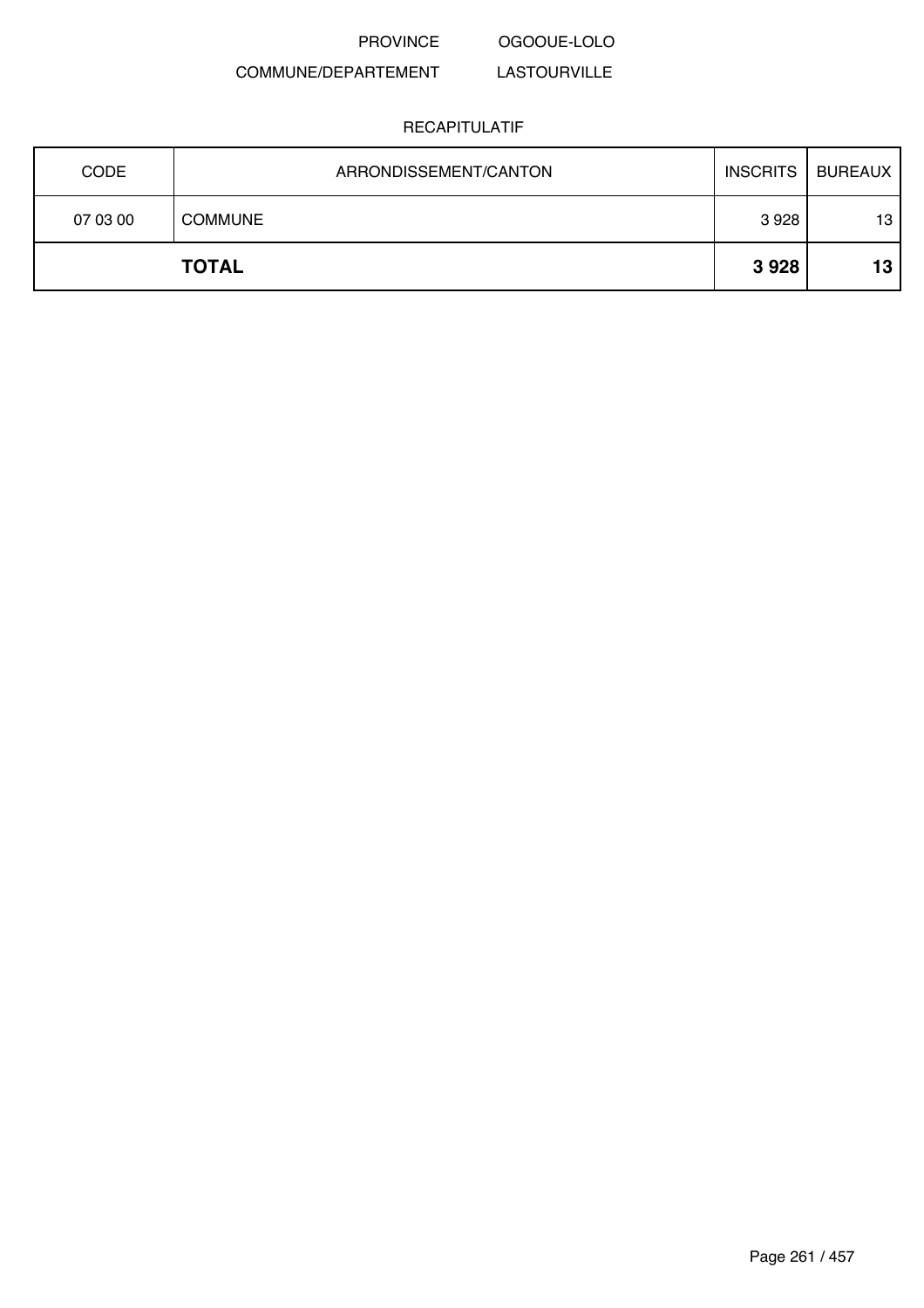PROVINCE OGOOUE-LOLO

#### COMMUNE/DEPARTEMENT LASTOURVILLE

| <b>CODE</b> | ARRONDISSEMENT/CANTON | <b>INSCRITS</b> | <b>BUREAUX</b> |
|-------------|-----------------------|-----------------|----------------|
| 07 03 00    | <b>COMMUNE</b>        | 3928            | 13             |
|             | <b>TOTAL</b>          | 3928            | 13             |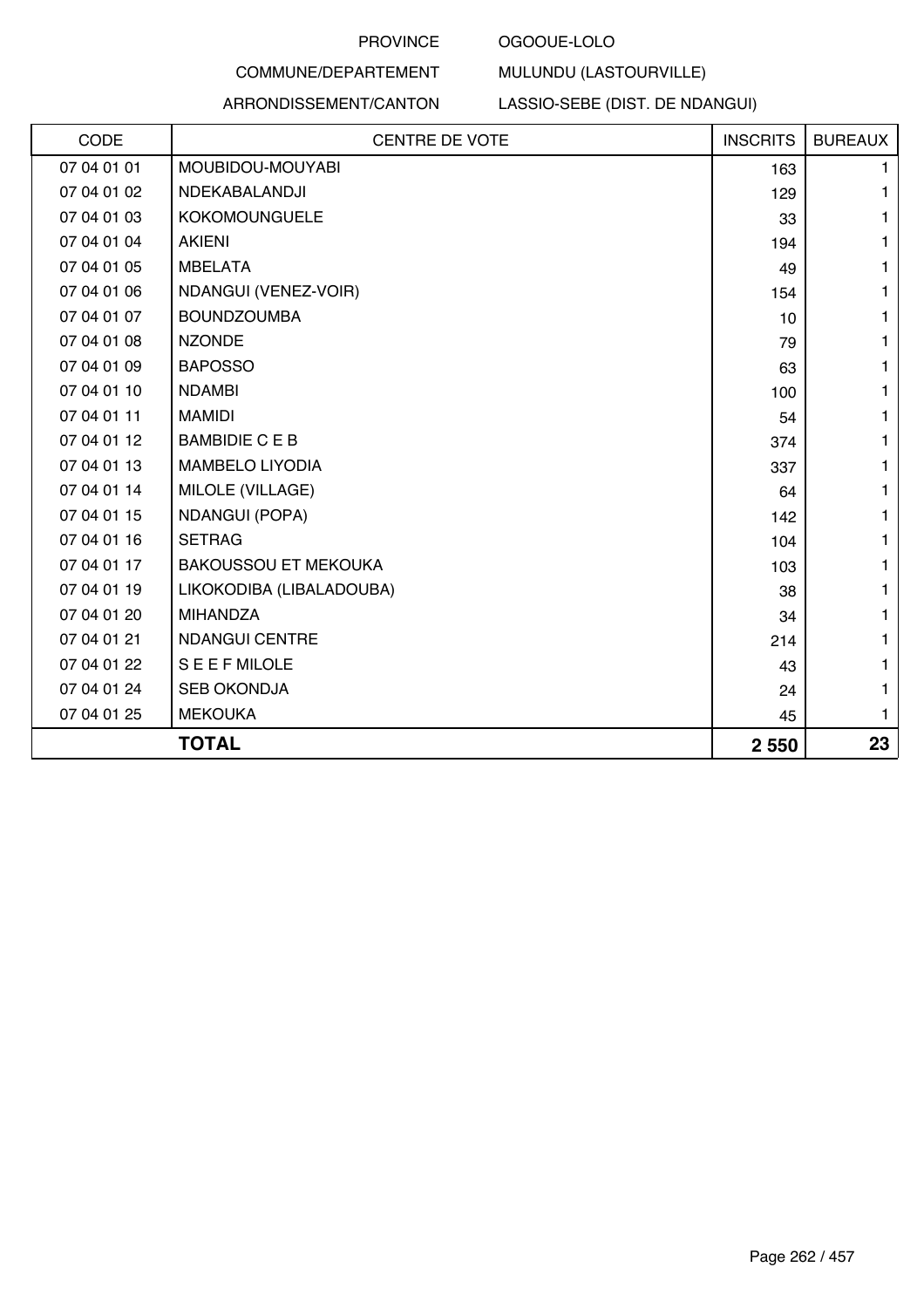### OGOOUE-LOLO

### COMMUNE/DEPARTEMENT

### ARRONDISSEMENT/CANTON

LASSIO-SEBE (DIST. DE NDANGUI)

MULUNDU (LASTOURVILLE)

| CODE        | <b>CENTRE DE VOTE</b>       | <b>INSCRITS</b> | <b>BUREAUX</b> |
|-------------|-----------------------------|-----------------|----------------|
| 07 04 01 01 | MOUBIDOU-MOUYABI            | 163             | 1              |
| 07 04 01 02 | NDEKABALANDJI               | 129             | 1              |
| 07 04 01 03 | <b>KOKOMOUNGUELE</b>        | 33              | 1              |
| 07 04 01 04 | <b>AKIENI</b>               | 194             | 1              |
| 07 04 01 05 | <b>MBELATA</b>              | 49              | 1              |
| 07 04 01 06 | NDANGUI (VENEZ-VOIR)        | 154             | 1              |
| 07 04 01 07 | <b>BOUNDZOUMBA</b>          | 10              | 1              |
| 07 04 01 08 | <b>NZONDE</b>               | 79              | 1              |
| 07 04 01 09 | <b>BAPOSSO</b>              | 63              | 1              |
| 07 04 01 10 | <b>NDAMBI</b>               | 100             | 1              |
| 07 04 01 11 | <b>MAMIDI</b>               | 54              | $\mathbf{1}$   |
| 07 04 01 12 | <b>BAMBIDIE CEB</b>         | 374             | 1              |
| 07 04 01 13 | <b>MAMBELO LIYODIA</b>      | 337             | 1              |
| 07 04 01 14 | MILOLE (VILLAGE)            | 64              | 1              |
| 07 04 01 15 | <b>NDANGUI (POPA)</b>       | 142             | 1              |
| 07 04 01 16 | <b>SETRAG</b>               | 104             | 1.             |
| 07 04 01 17 | <b>BAKOUSSOU ET MEKOUKA</b> | 103             | 1              |
| 07 04 01 19 | LIKOKODIBA (LIBALADOUBA)    | 38              | 1              |
| 07 04 01 20 | <b>MIHANDZA</b>             | 34              | 1              |
| 07 04 01 21 | <b>NDANGUI CENTRE</b>       | 214             | 1              |
| 07 04 01 22 | <b>SEEFMILOLE</b>           | 43              | 1              |
| 07 04 01 24 | <b>SEB OKONDJA</b>          | 24              | 1              |
| 07 04 01 25 | <b>MEKOUKA</b>              | 45              | 1              |
|             | <b>TOTAL</b>                | 2 5 5 0         | 23             |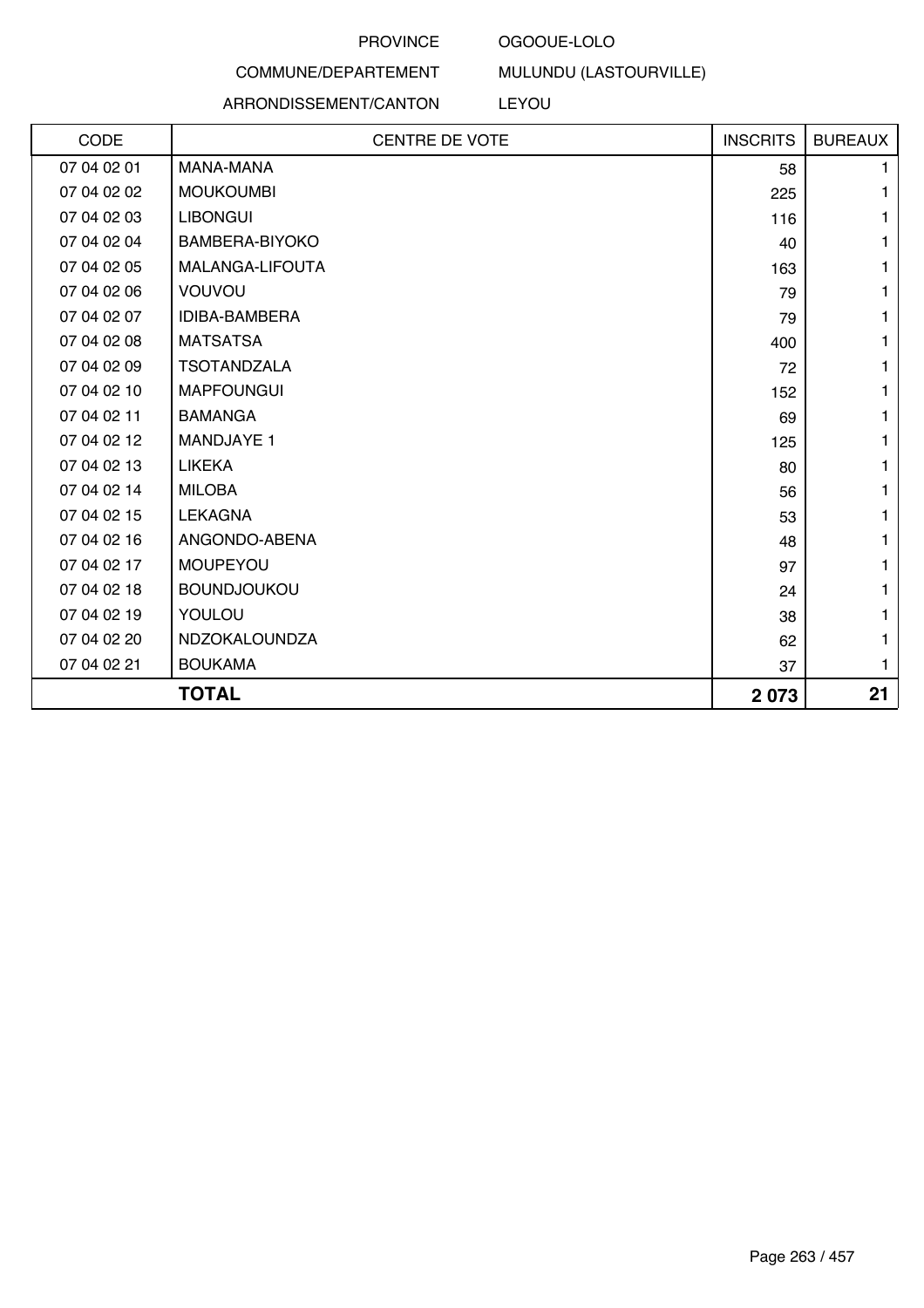### OGOOUE-LOLO

### COMMUNE/DEPARTEMENT

### ARRONDISSEMENT/CANTON

MULUNDU (LASTOURVILLE)

LEYOU

| CODE        | <b>CENTRE DE VOTE</b> | <b>INSCRITS</b> | <b>BUREAUX</b> |
|-------------|-----------------------|-----------------|----------------|
| 07 04 02 01 | <b>MANA-MANA</b>      | 58              | 1.             |
| 07 04 02 02 | <b>MOUKOUMBI</b>      | 225             | 1              |
| 07 04 02 03 | <b>LIBONGUI</b>       | 116             | 1              |
| 07 04 02 04 | BAMBERA-BIYOKO        | 40              |                |
| 07 04 02 05 | MALANGA-LIFOUTA       | 163             |                |
| 07 04 02 06 | VOUVOU                | 79              | 1              |
| 07 04 02 07 | <b>IDIBA-BAMBERA</b>  | 79              | 1              |
| 07 04 02 08 | <b>MATSATSA</b>       | 400             | 1              |
| 07 04 02 09 | <b>TSOTANDZALA</b>    | 72              |                |
| 07 04 02 10 | <b>MAPFOUNGUI</b>     | 152             |                |
| 07 04 02 11 | <b>BAMANGA</b>        | 69              | 1              |
| 07 04 02 12 | <b>MANDJAYE 1</b>     | 125             | 1              |
| 07 04 02 13 | <b>LIKEKA</b>         | 80              | 1              |
| 07 04 02 14 | <b>MILOBA</b>         | 56              | 1              |
| 07 04 02 15 | <b>LEKAGNA</b>        | 53              |                |
| 07 04 02 16 | ANGONDO-ABENA         | 48              |                |
| 07 04 02 17 | <b>MOUPEYOU</b>       | 97              | 1              |
| 07 04 02 18 | <b>BOUNDJOUKOU</b>    | 24              | 1              |
| 07 04 02 19 | YOULOU                | 38              | 1              |
| 07 04 02 20 | NDZOKALOUNDZA         | 62              | 1              |
| 07 04 02 21 | <b>BOUKAMA</b>        | 37              | 1              |
|             | <b>TOTAL</b>          | 2073            | 21             |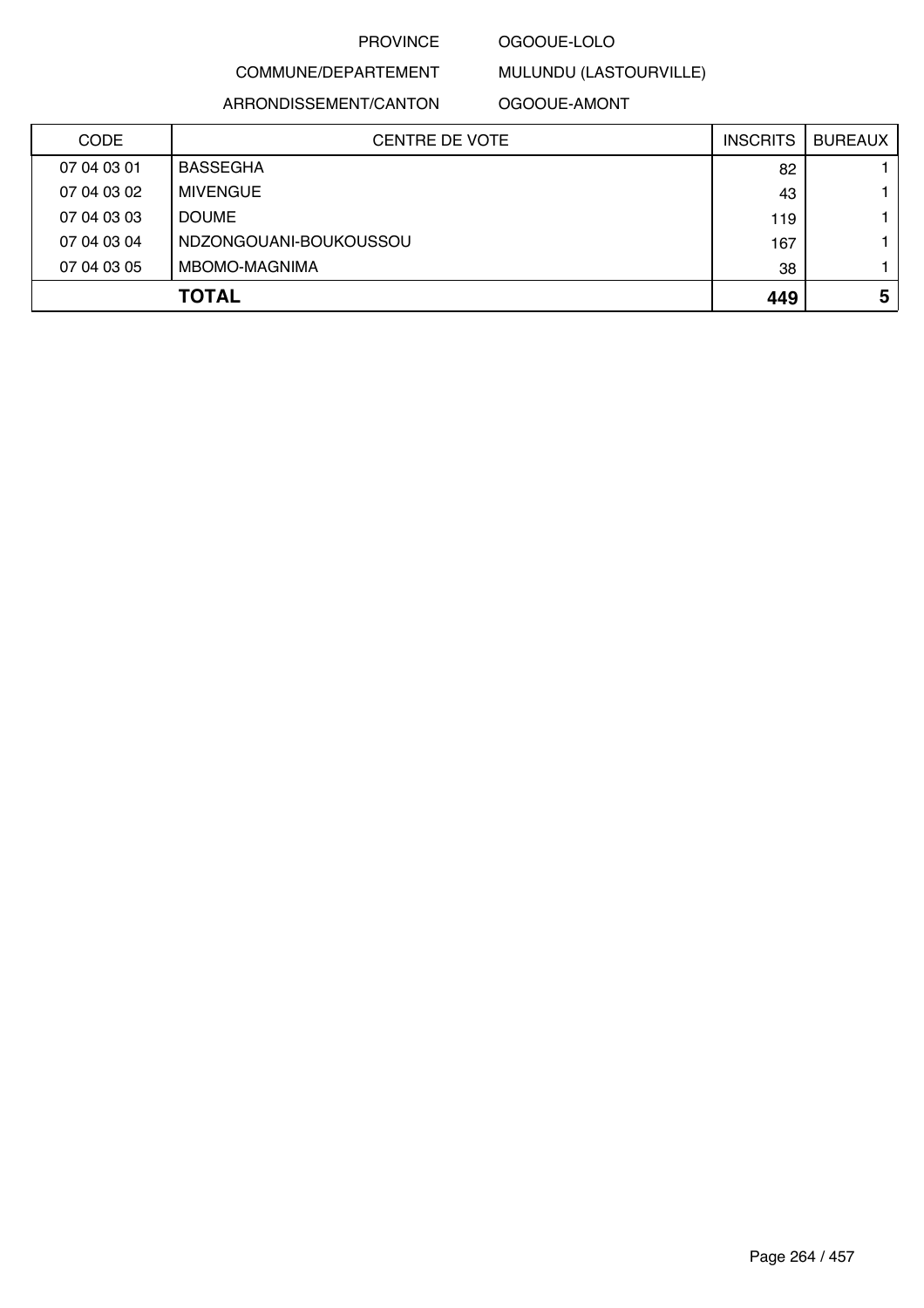### OGOOUE-LOLO

### COMMUNE/DEPARTEMENT

ARRONDISSEMENT/CANTON

### OGOOUE-AMONT

MULUNDU (LASTOURVILLE)

| <b>CODE</b> | <b>CENTRE DE VOTE</b>  | <b>INSCRITS</b> | <b>BUREAUX</b> |
|-------------|------------------------|-----------------|----------------|
| 07 04 03 01 | <b>BASSEGHA</b>        | 82              |                |
| 07 04 03 02 | <b>MIVENGUE</b>        | 43              |                |
| 07 04 03 03 | <b>DOUME</b>           | 119             |                |
| 07 04 03 04 | NDZONGOUANI-BOUKOUSSOU | 167             |                |
| 07 04 03 05 | MBOMO-MAGNIMA          | 38              |                |
|             | <b>TOTAL</b>           | 449             | 5              |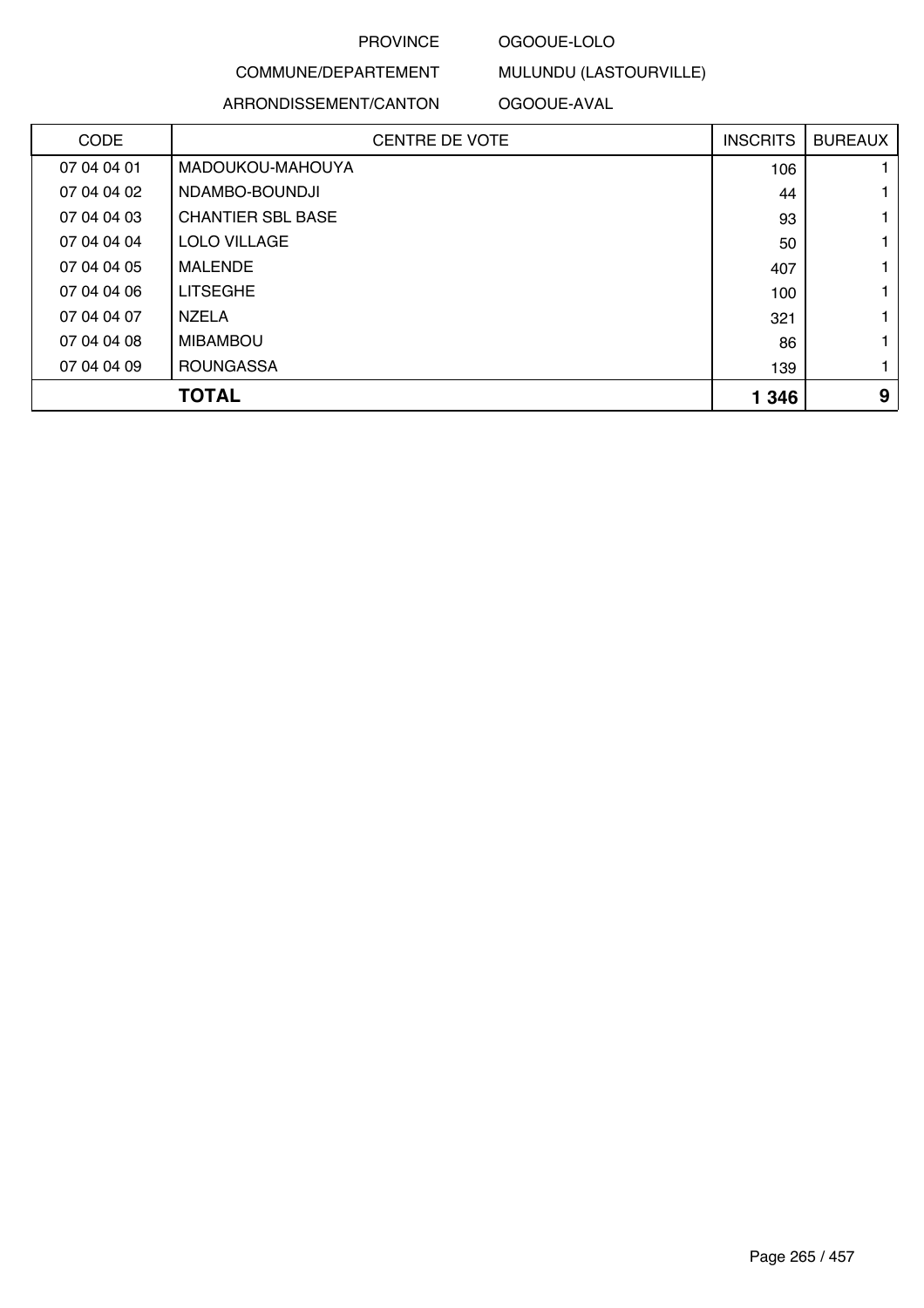### OGOOUE-LOLO

MULUNDU (LASTOURVILLE)

### COMMUNE/DEPARTEMENT ARRONDISSEMENT/CANTON

### OGOOUE-AVAL

| <b>CODE</b> | <b>CENTRE DE VOTE</b>    | <b>INSCRITS</b> | <b>BUREAUX</b> |
|-------------|--------------------------|-----------------|----------------|
| 07 04 04 01 | MADOUKOU-MAHOUYA         | 106             |                |
| 07 04 04 02 | NDAMBO-BOUNDJI           | 44              |                |
| 07 04 04 03 | <b>CHANTIER SBL BASE</b> | 93              |                |
| 07 04 04 04 | LOLO VILLAGE             | 50              |                |
| 07 04 04 05 | MALENDE                  | 407             |                |
| 07 04 04 06 | <b>LITSEGHE</b>          | 100             |                |
| 07 04 04 07 | <b>NZELA</b>             | 321             |                |
| 07 04 04 08 | <b>MIBAMBOU</b>          | 86              |                |
| 07 04 04 09 | <b>ROUNGASSA</b>         | 139             |                |
|             | <b>TOTAL</b>             | 1 3 4 6         | 9              |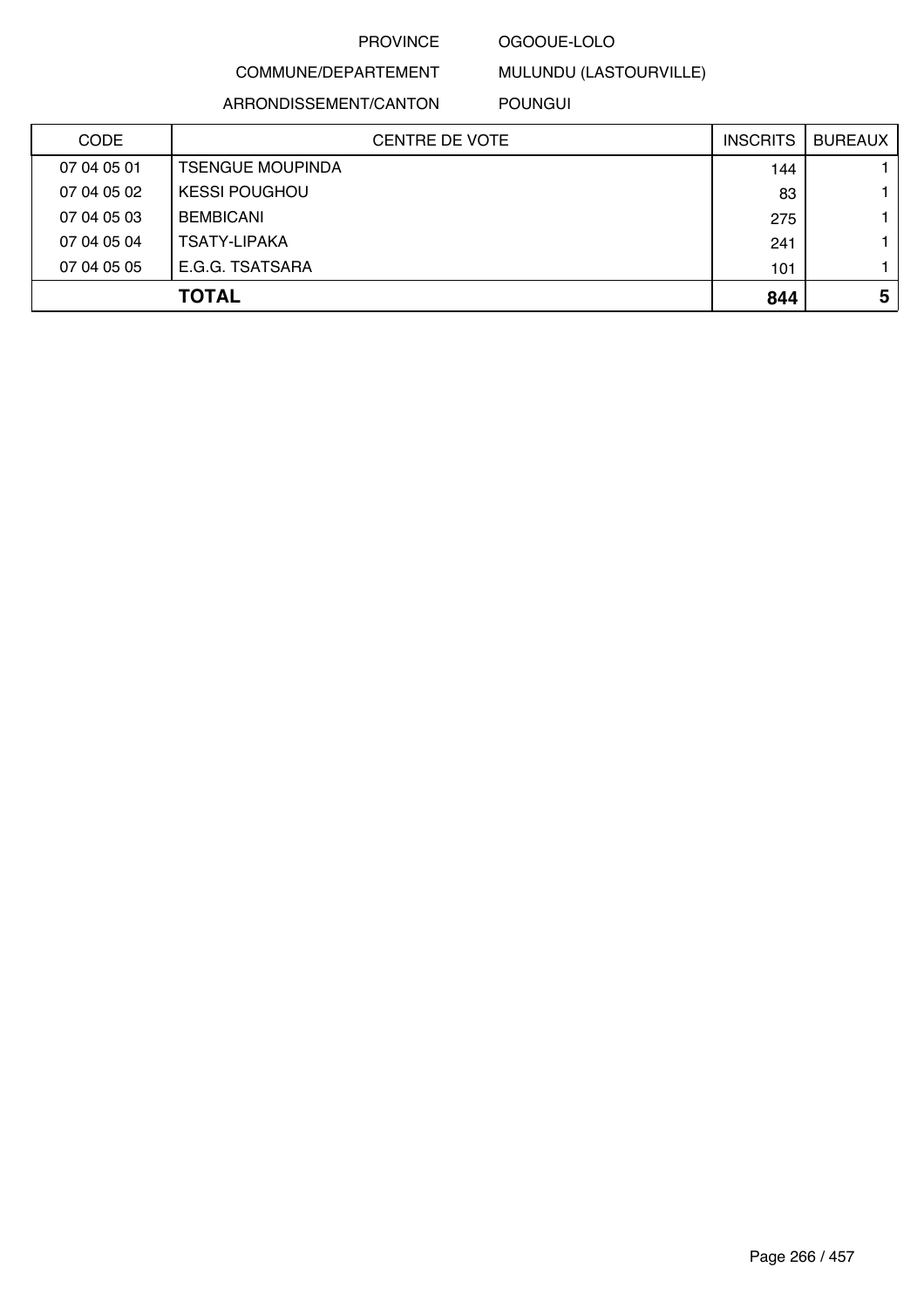### OGOOUE-LOLO

MULUNDU (LASTOURVILLE)

### COMMUNE/DEPARTEMENT ARRONDISSEMENT/CANTON

### POUNGUI

| <b>CODE</b> | <b>CENTRE DE VOTE</b>   | <b>INSCRITS</b> | <b>BUREAUX</b> |
|-------------|-------------------------|-----------------|----------------|
| 07 04 05 01 | <b>TSENGUE MOUPINDA</b> | 144             |                |
| 07 04 05 02 | <b>KESSI POUGHOU</b>    | 83              |                |
| 07 04 05 03 | <b>BEMBICANI</b>        | 275             |                |
| 07 04 05 04 | <b>TSATY-LIPAKA</b>     | 241             |                |
| 07 04 05 05 | E.G.G. TSATSARA         | 101             |                |
|             | <b>TOTAL</b>            | 844             | 5              |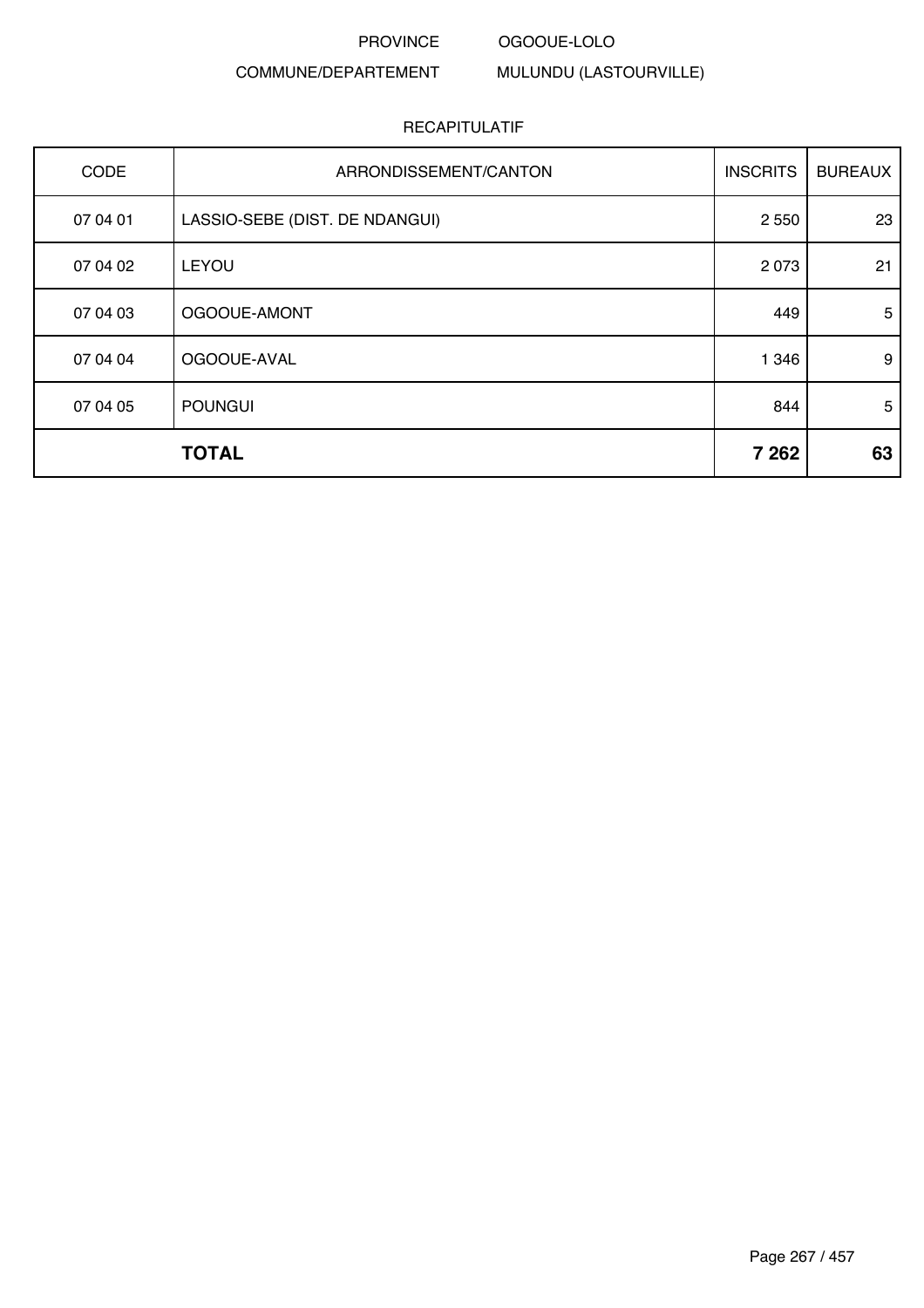#### PROVINCE OGOOUE-LOLO

### COMMUNE/DEPARTEMENT

MULUNDU (LASTOURVILLE)

| <b>CODE</b> | ARRONDISSEMENT/CANTON          | <b>INSCRITS</b> | <b>BUREAUX</b> |
|-------------|--------------------------------|-----------------|----------------|
| 07 04 01    | LASSIO-SEBE (DIST. DE NDANGUI) | 2 5 5 0         | 23             |
| 07 04 02    | <b>LEYOU</b>                   | 2073            | 21             |
| 07 04 03    | OGOOUE-AMONT                   | 449             | 5              |
| 07 04 04    | OGOOUE-AVAL                    | 1 3 4 6         | 9              |
| 07 04 05    | <b>POUNGUI</b>                 | 844             | 5              |
|             | <b>TOTAL</b>                   | 7 2 6 2         | 63             |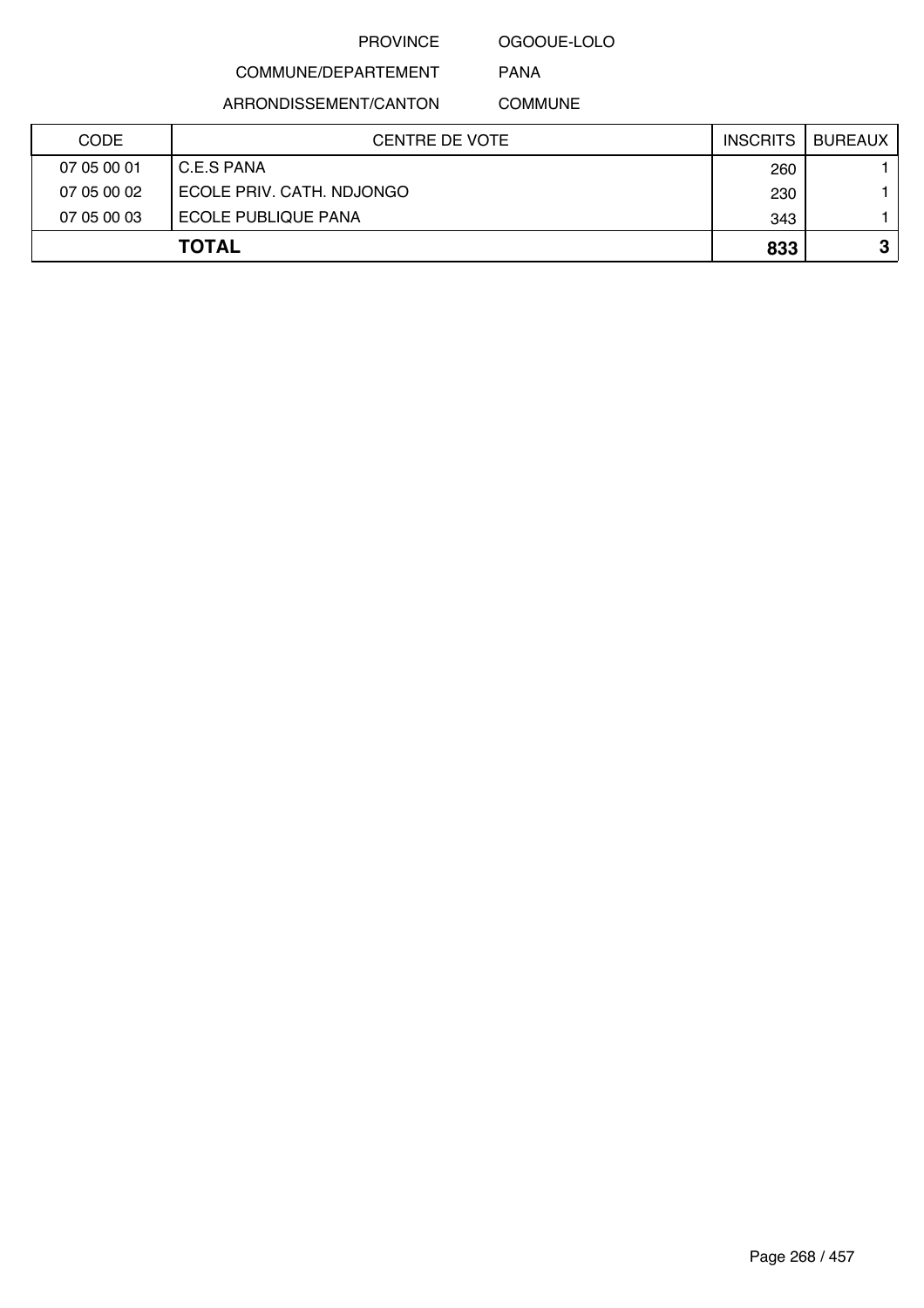OGOOUE-LOLO

COMMUNE/DEPARTEMENT

ARRONDISSEMENT/CANTON

COMMUNE

PANA

| <b>CODE</b> | <b>CENTRE DE VOTE</b>     | <b>INSCRITS</b> | <b>BUREAUX</b> |
|-------------|---------------------------|-----------------|----------------|
| 07 05 00 01 | C.E.S PANA                | 260             |                |
| 07 05 00 02 | ECOLE PRIV. CATH. NDJONGO | 230             |                |
| 07 05 00 03 | ECOLE PUBLIQUE PANA       | 343             |                |
|             | <b>TOTAL</b>              | 833             | ≏<br>J         |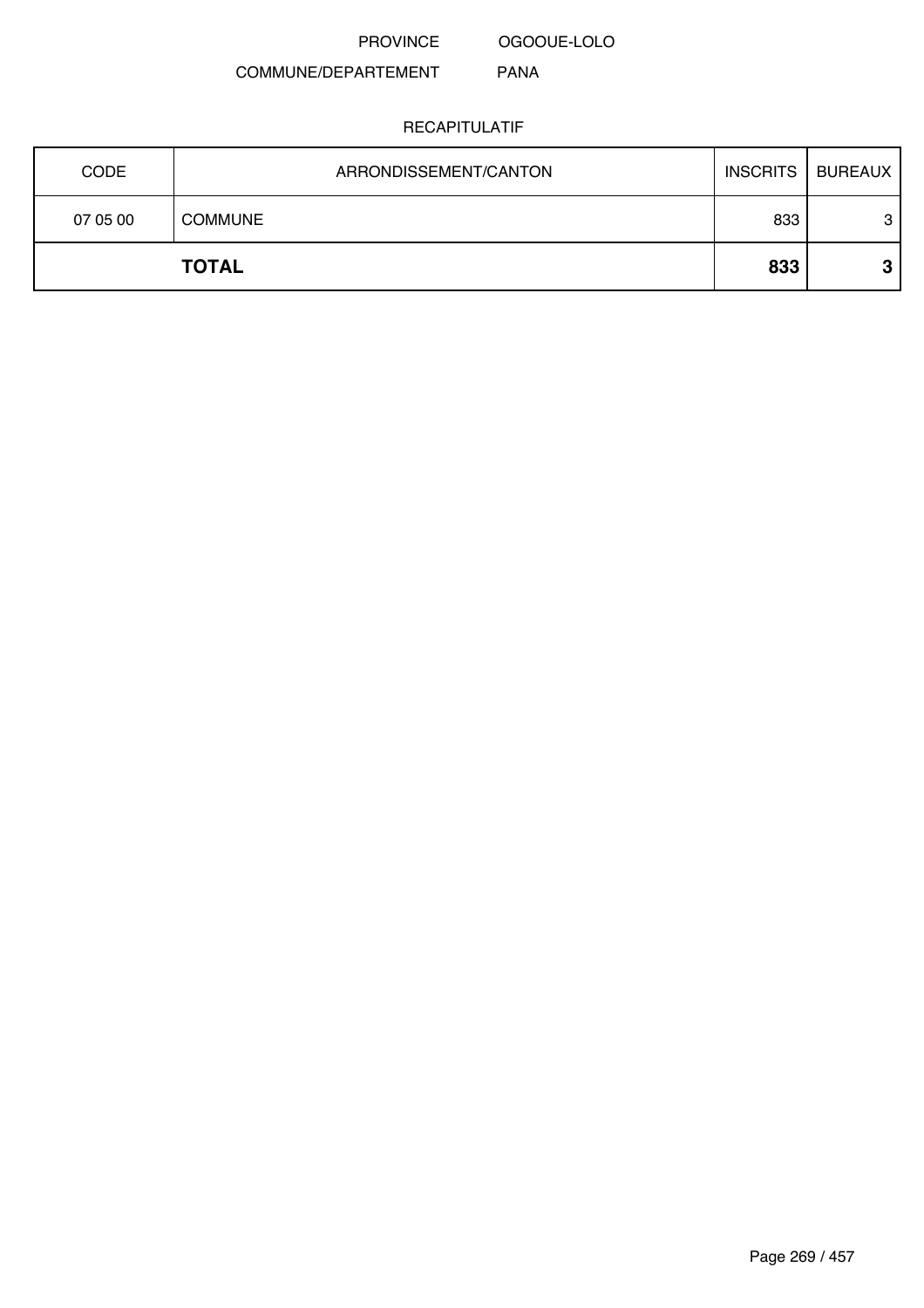OGOOUE-LOLO

#### COMMUNE/DEPARTEMENT PANA

| <b>CODE</b> | ARRONDISSEMENT/CANTON | <b>INSCRITS</b> | <b>BUREAUX</b> |
|-------------|-----------------------|-----------------|----------------|
| 07 05 00    | <b>COMMUNE</b>        | 833             | 3              |
|             | <b>TOTAL</b>          | 833             | ≏<br>P         |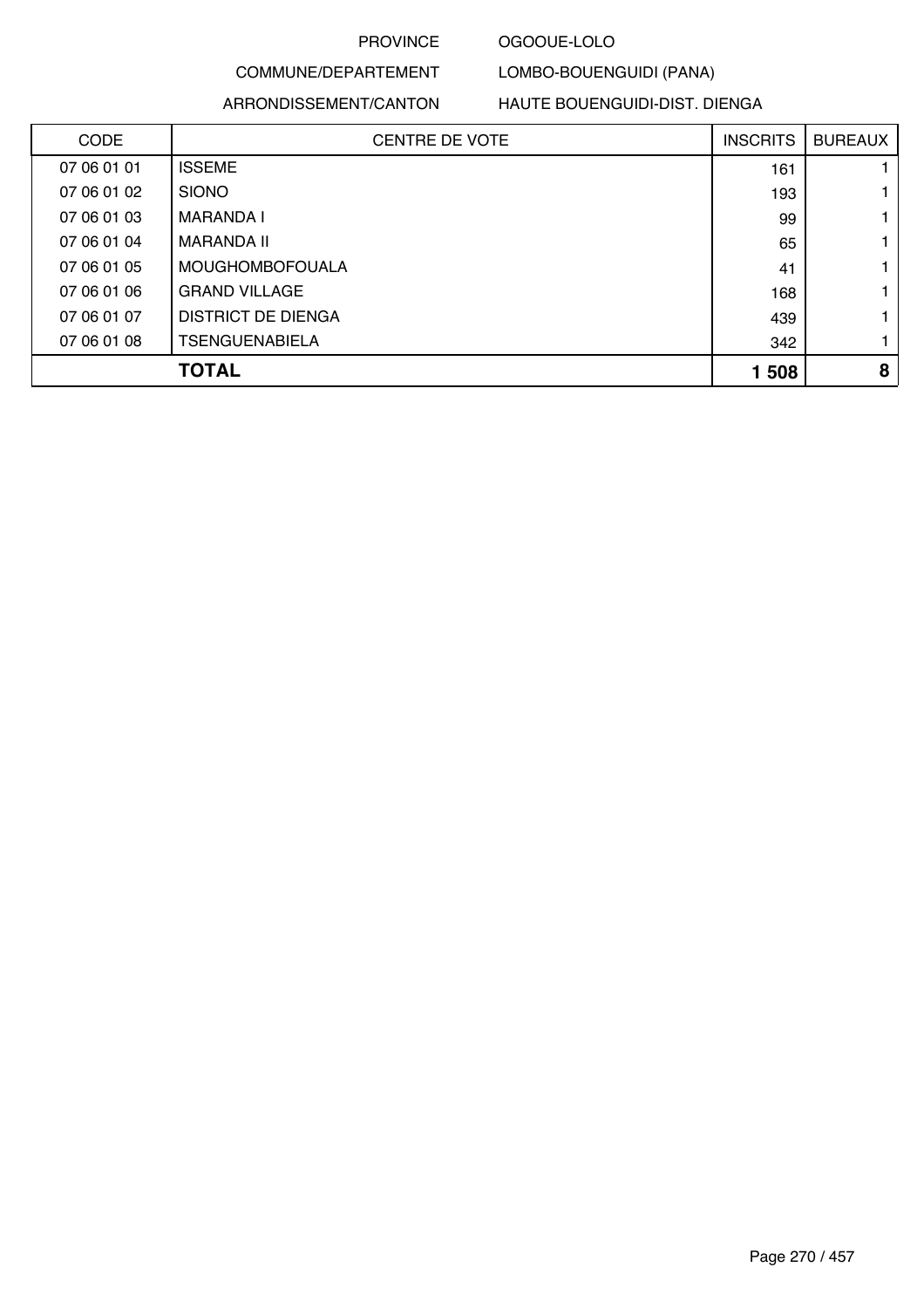#### OGOOUE-LOLO

### COMMUNE/DEPARTEMENT ARRONDISSEMENT/CANTON

### HAUTE BOUENGUIDI-DIST. DIENGA

LOMBO-BOUENGUIDI (PANA)

| <b>CODE</b> | <b>CENTRE DE VOTE</b>  | <b>INSCRITS</b> | <b>BUREAUX</b> |
|-------------|------------------------|-----------------|----------------|
| 07 06 01 01 | <b>ISSEME</b>          | 161             |                |
| 07 06 01 02 | <b>SIONO</b>           | 193             |                |
| 07 06 01 03 | MARANDA I              | 99              |                |
| 07 06 01 04 | MARANDA II             | 65              |                |
| 07 06 01 05 | <b>MOUGHOMBOFOUALA</b> | 41              |                |
| 07 06 01 06 | <b>GRAND VILLAGE</b>   | 168             |                |
| 07 06 01 07 | DISTRICT DE DIENGA     | 439             |                |
| 07 06 01 08 | <b>TSENGUENABIELA</b>  | 342             |                |
|             | TOTAL                  | 1 508           | 8              |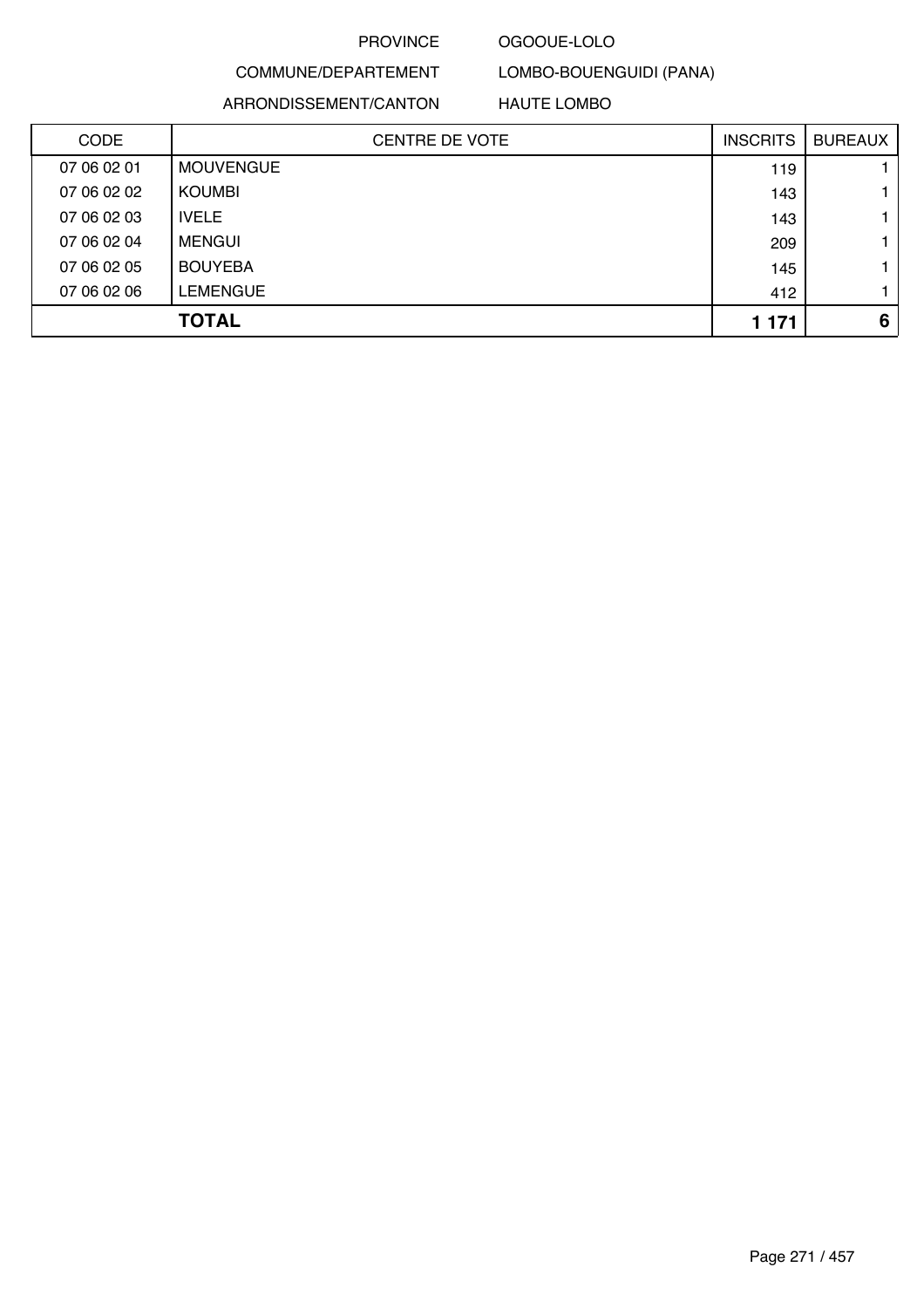### OGOOUE-LOLO

### COMMUNE/DEPARTEMENT ARRONDISSEMENT/CANTON

HAUTE LOMBO

LOMBO-BOUENGUIDI (PANA)

| <b>CODE</b> | <b>CENTRE DE VOTE</b> | <b>INSCRITS</b> | <b>BUREAUX</b> |
|-------------|-----------------------|-----------------|----------------|
| 07 06 02 01 | <b>MOUVENGUE</b>      | 119             |                |
| 07 06 02 02 | <b>KOUMBI</b>         | 143             |                |
| 07 06 02 03 | <b>IVELE</b>          | 143             |                |
| 07 06 02 04 | <b>MENGUI</b>         | 209             |                |
| 07 06 02 05 | <b>BOUYEBA</b>        | 145             |                |
| 07 06 02 06 | <b>LEMENGUE</b>       | 412             |                |
|             | <b>TOTAL</b>          | 1 1 7 1         | 6              |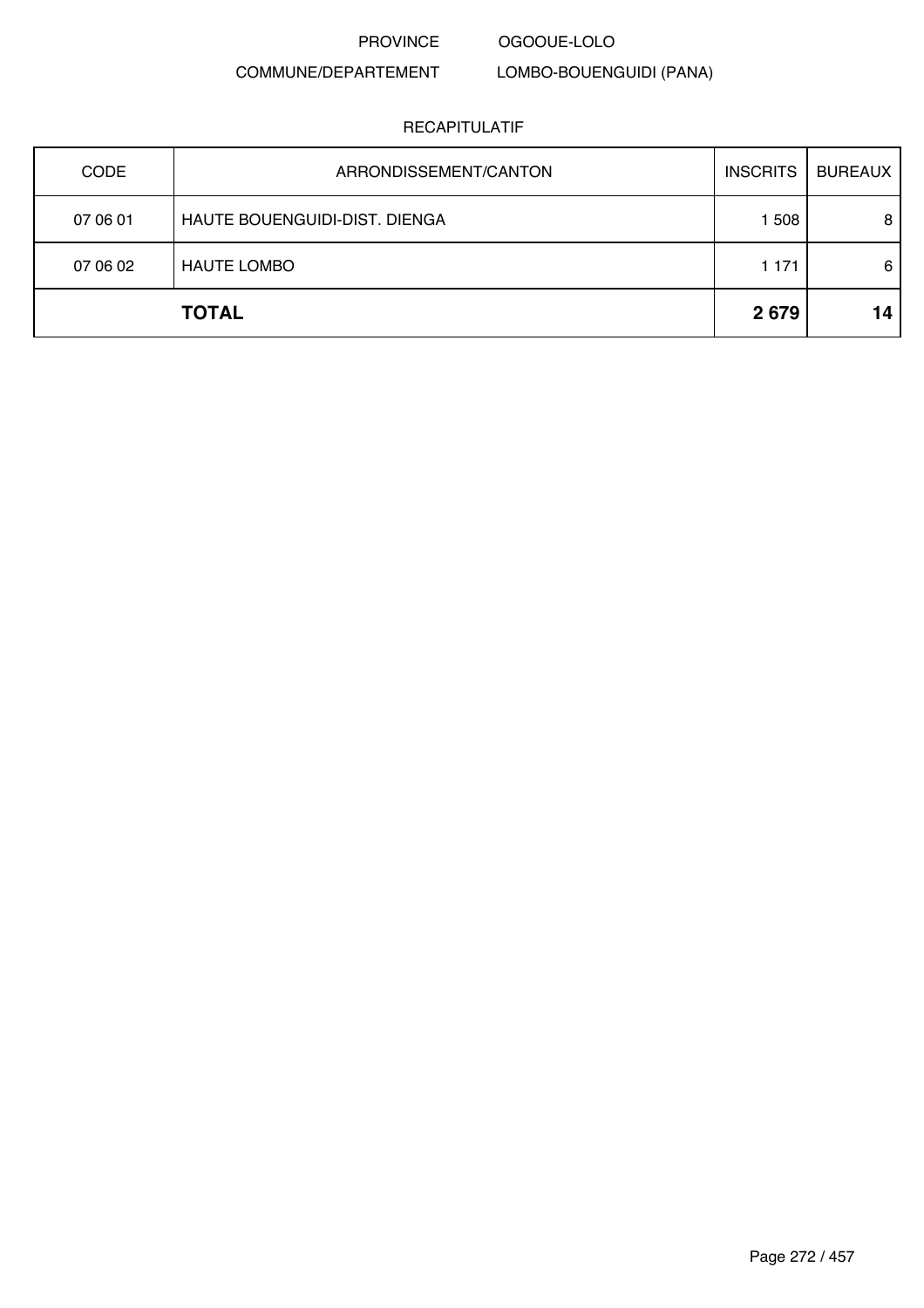OGOOUE-LOLO

### COMMUNE/DEPARTEMENT

LOMBO-BOUENGUIDI (PANA)

| <b>CODE</b> | ARRONDISSEMENT/CANTON         | <b>INSCRITS</b> | <b>BUREAUX</b> |
|-------------|-------------------------------|-----------------|----------------|
| 07 06 01    | HAUTE BOUENGUIDI-DIST. DIENGA | 1508            | 8              |
| 07 06 02    | <b>HAUTE LOMBO</b>            | 1 1 7 1         | 6              |
|             | <b>TOTAL</b>                  | 2679            | 14             |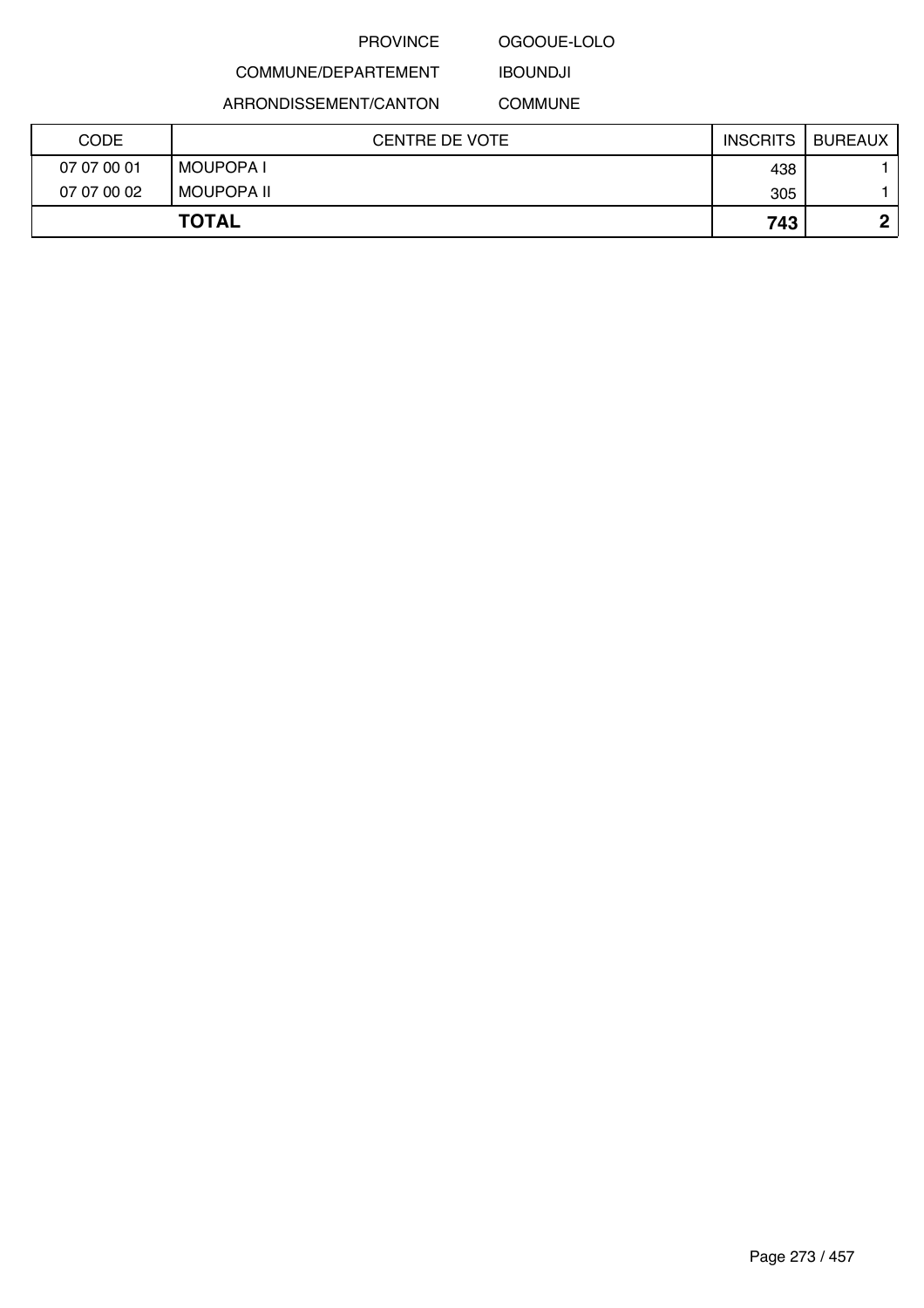#### OGOOUE-LOLO

### COMMUNE/DEPARTEMENT ARRONDISSEMENT/CANTON

IBOUNDJI COMMUNE

| <b>CODE</b> | CENTRE DE VOTE  | <b>INSCRITS</b> | <b>BUREAUX</b> |
|-------------|-----------------|-----------------|----------------|
| 07 07 00 01 | <b>MOUPOPAI</b> | 438             |                |
| 07 07 00 02 | MOUPOPA II      | 305             |                |
|             | <b>TOTAL</b>    | 743             | n              |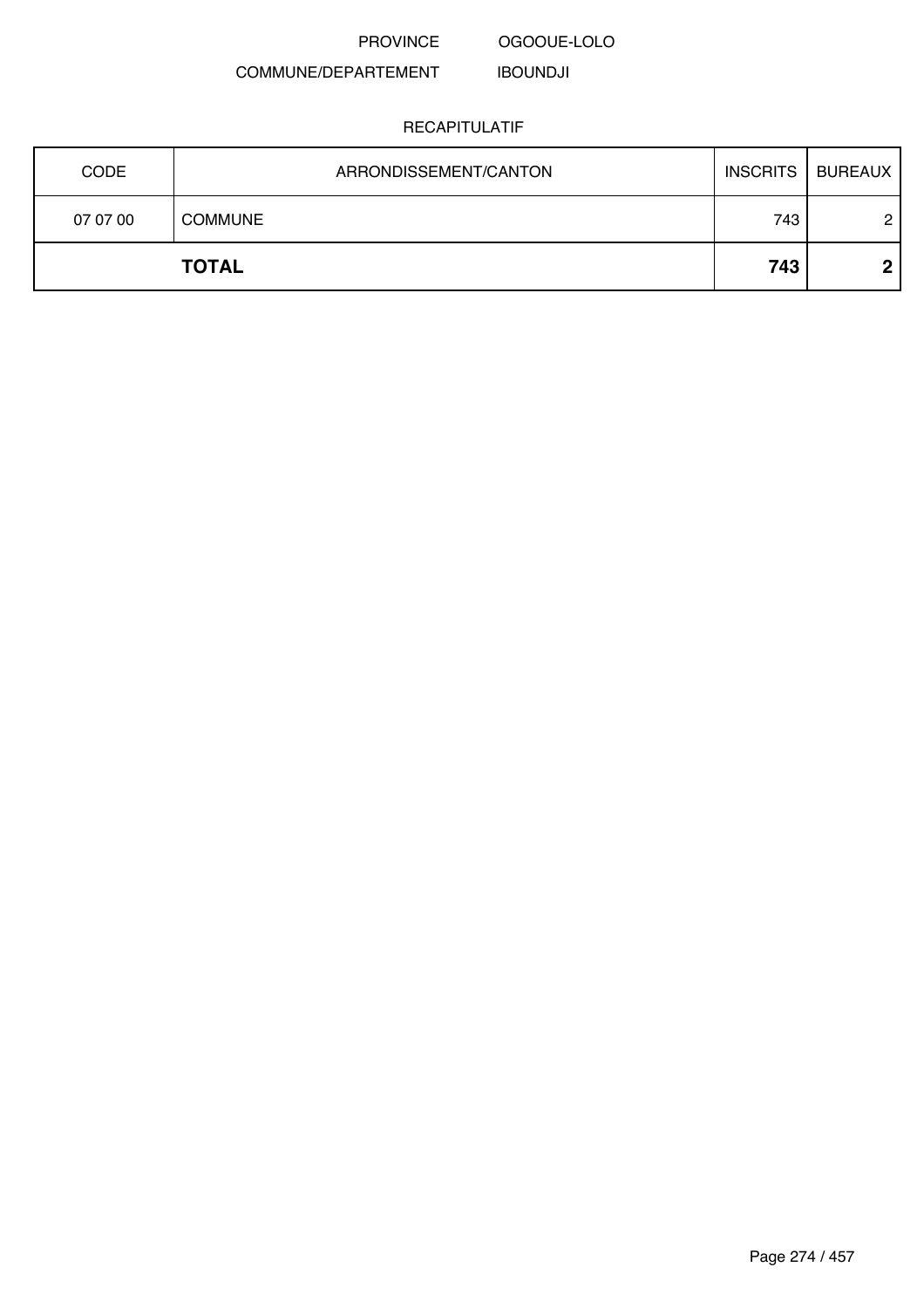PROVINCE OGOOUE-LOLO

#### COMMUNE/DEPARTEMENT IBOUNDJI

| <b>CODE</b> | ARRONDISSEMENT/CANTON | <b>INSCRITS</b> | BUREAUX |
|-------------|-----------------------|-----------------|---------|
| 07 07 00    | <b>COMMUNE</b>        | 743             | 2       |
|             | <b>TOTAL</b>          | 743             | റ       |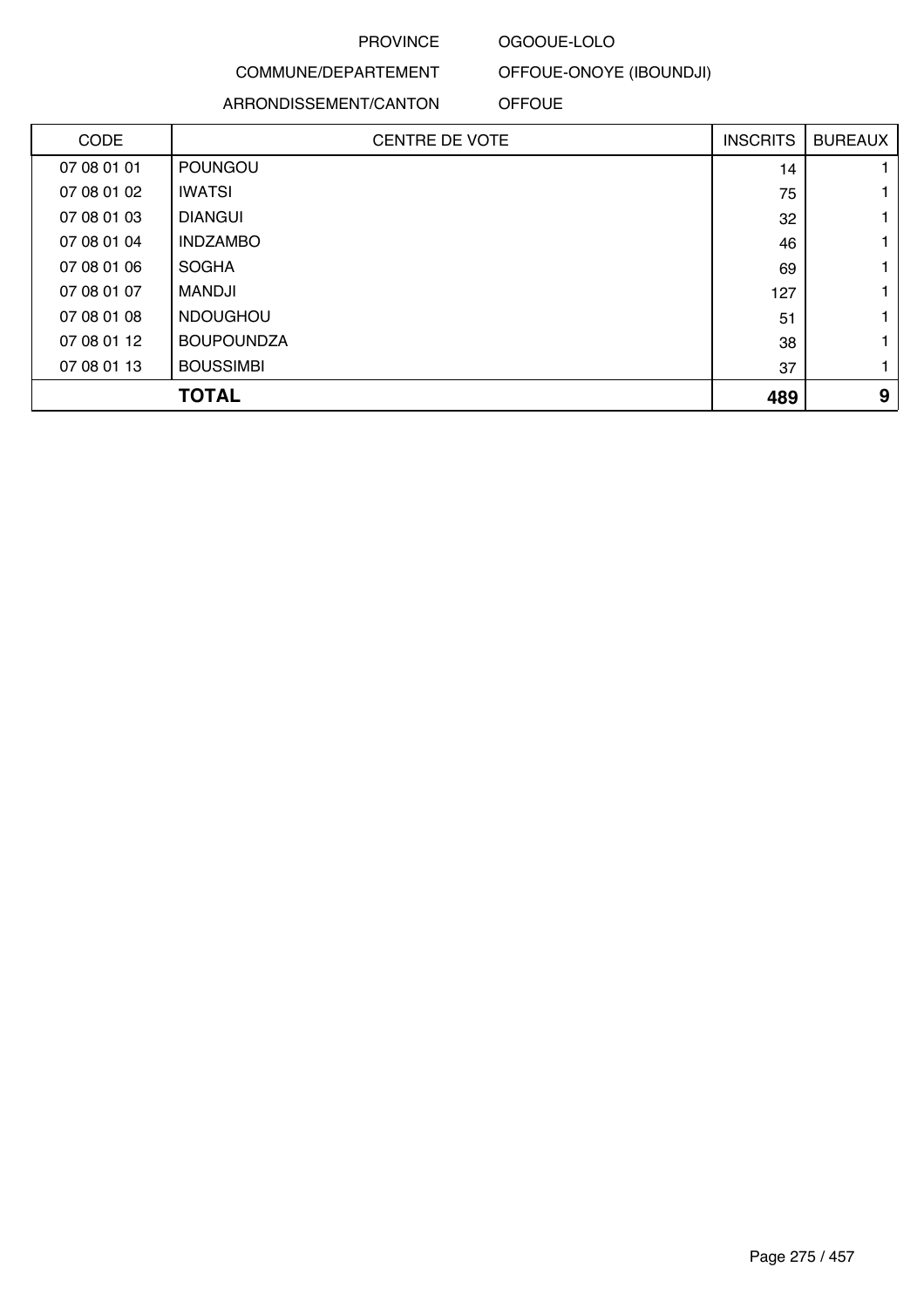#### OGOOUE-LOLO

### COMMUNE/DEPARTEMENT

### ARRONDISSEMENT/CANTON

OFFOUE-ONOYE (IBOUNDJI)

OFFOUE

| <b>CODE</b> | <b>CENTRE DE VOTE</b> | <b>INSCRITS</b> | <b>BUREAUX</b> |
|-------------|-----------------------|-----------------|----------------|
| 07 08 01 01 | POUNGOU               | 14              |                |
| 07 08 01 02 | <b>IWATSI</b>         | 75              |                |
| 07 08 01 03 | <b>DIANGUI</b>        | 32              |                |
| 07 08 01 04 | <b>INDZAMBO</b>       | 46              |                |
| 07 08 01 06 | <b>SOGHA</b>          | 69              |                |
| 07 08 01 07 | MANDJI                | 127             |                |
| 07 08 01 08 | <b>NDOUGHOU</b>       | 51              |                |
| 07 08 01 12 | <b>BOUPOUNDZA</b>     | 38              |                |
| 07 08 01 13 | <b>BOUSSIMBI</b>      | 37              |                |
|             | <b>TOTAL</b>          | 489             | 9              |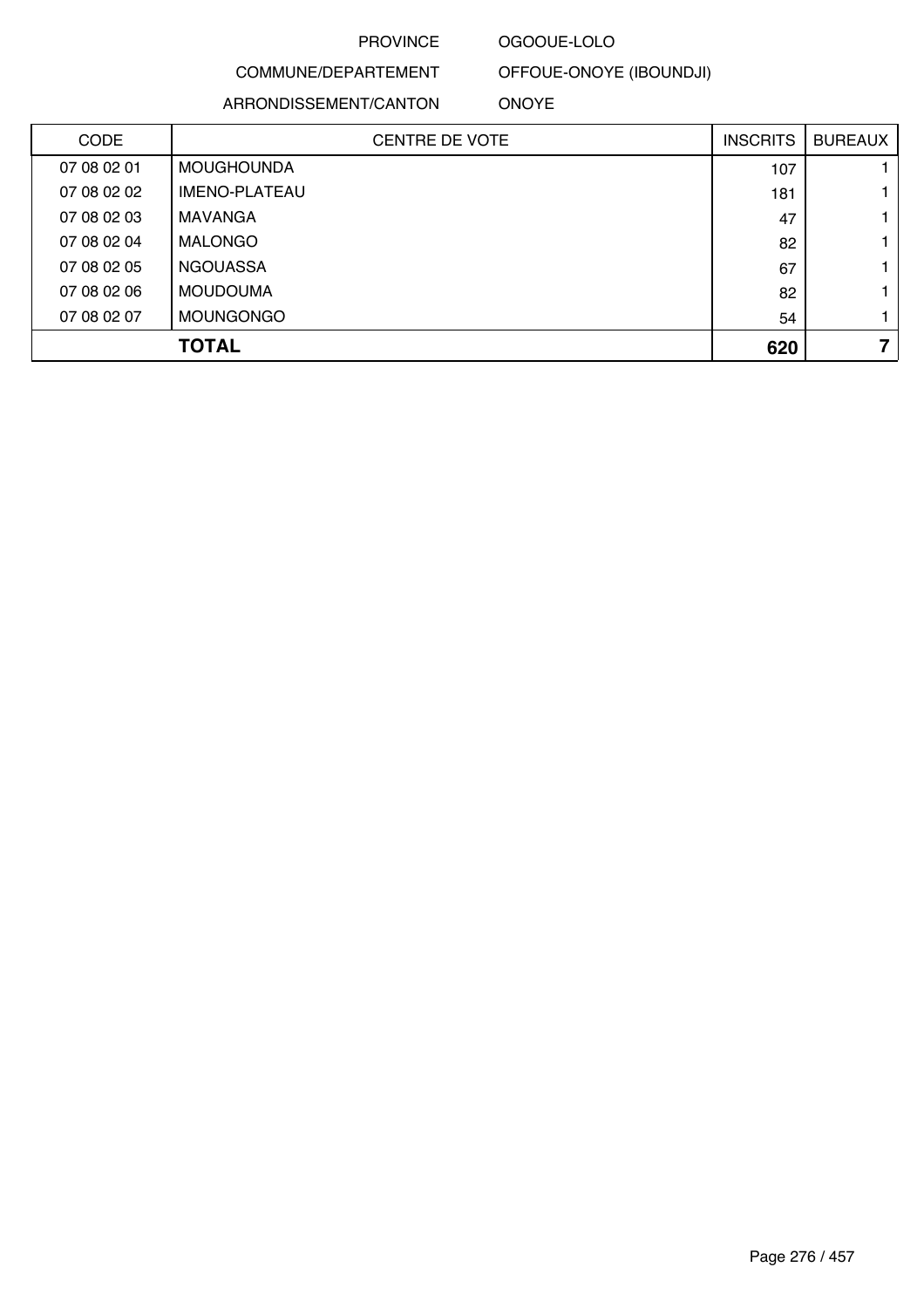### OGOOUE-LOLO

## COMMUNE/DEPARTEMENT

ARRONDISSEMENT/CANTON

OFFOUE-ONOYE (IBOUNDJI)

ONOYE

| <b>CODE</b> | <b>CENTRE DE VOTE</b> | <b>INSCRITS</b> | <b>BUREAUX</b> |
|-------------|-----------------------|-----------------|----------------|
| 07 08 02 01 | <b>MOUGHOUNDA</b>     | 107             |                |
| 07 08 02 02 | <b>IMENO-PLATEAU</b>  | 181             |                |
| 07 08 02 03 | <b>MAVANGA</b>        | 47              |                |
| 07 08 02 04 | <b>MALONGO</b>        | 82              |                |
| 07 08 02 05 | <b>NGOUASSA</b>       | 67              |                |
| 07 08 02 06 | <b>MOUDOUMA</b>       | 82              |                |
| 07 08 02 07 | <b>MOUNGONGO</b>      | 54              |                |
|             | <b>TOTAL</b>          | 620             | 7              |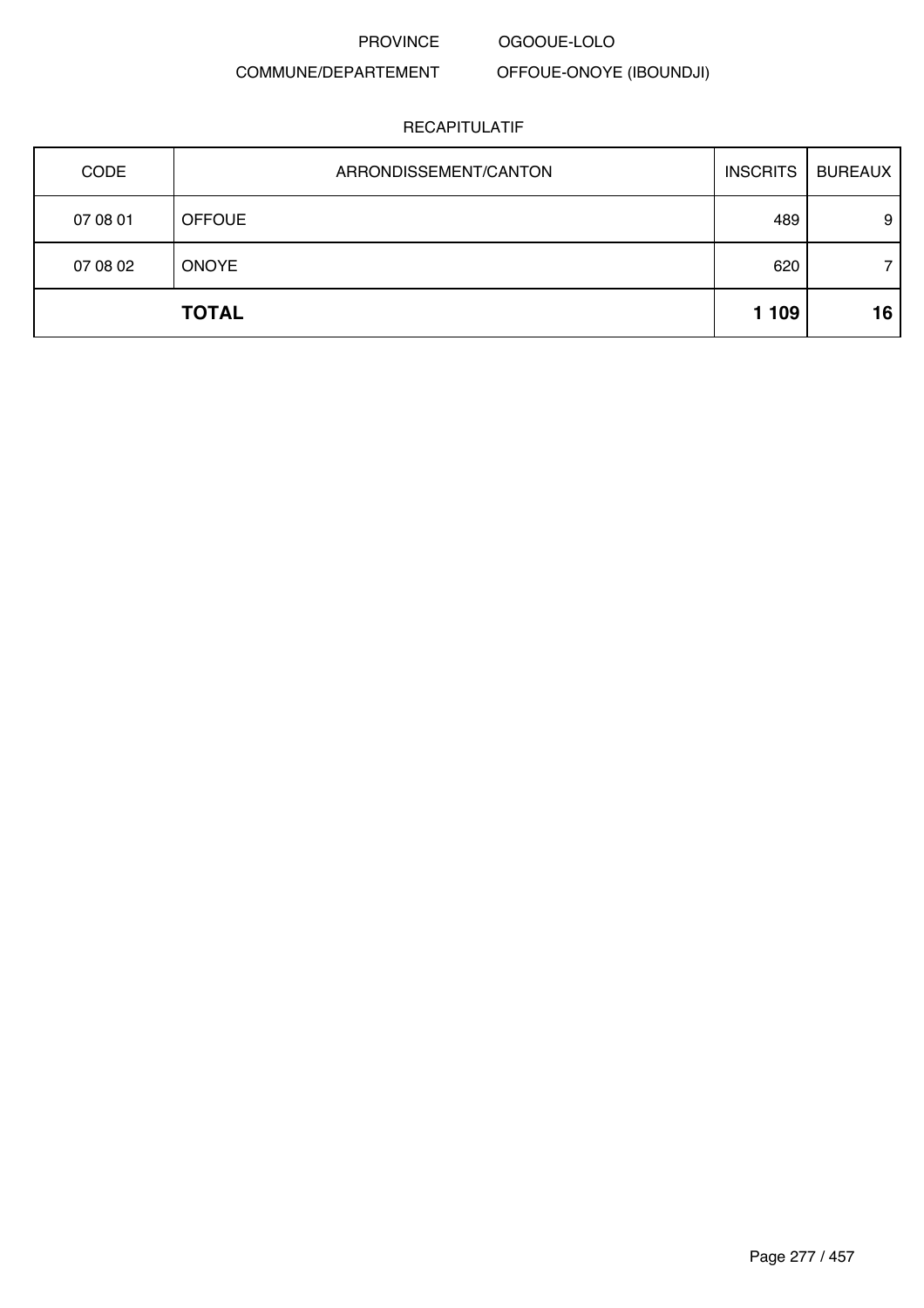PROVINCE OGOOUE-LOLO

COMMUNE/DEPARTEMENT OFFOUE-ONOYE (IBOUNDJI)

| CODE     | ARRONDISSEMENT/CANTON | <b>INSCRITS</b> | <b>BUREAUX</b> |
|----------|-----------------------|-----------------|----------------|
| 07 08 01 | <b>OFFOUE</b>         | 489             | 9              |
| 07 08 02 | <b>ONOYE</b>          | 620             |                |
|          | <b>TOTAL</b>          | 1 1 0 9         | 16             |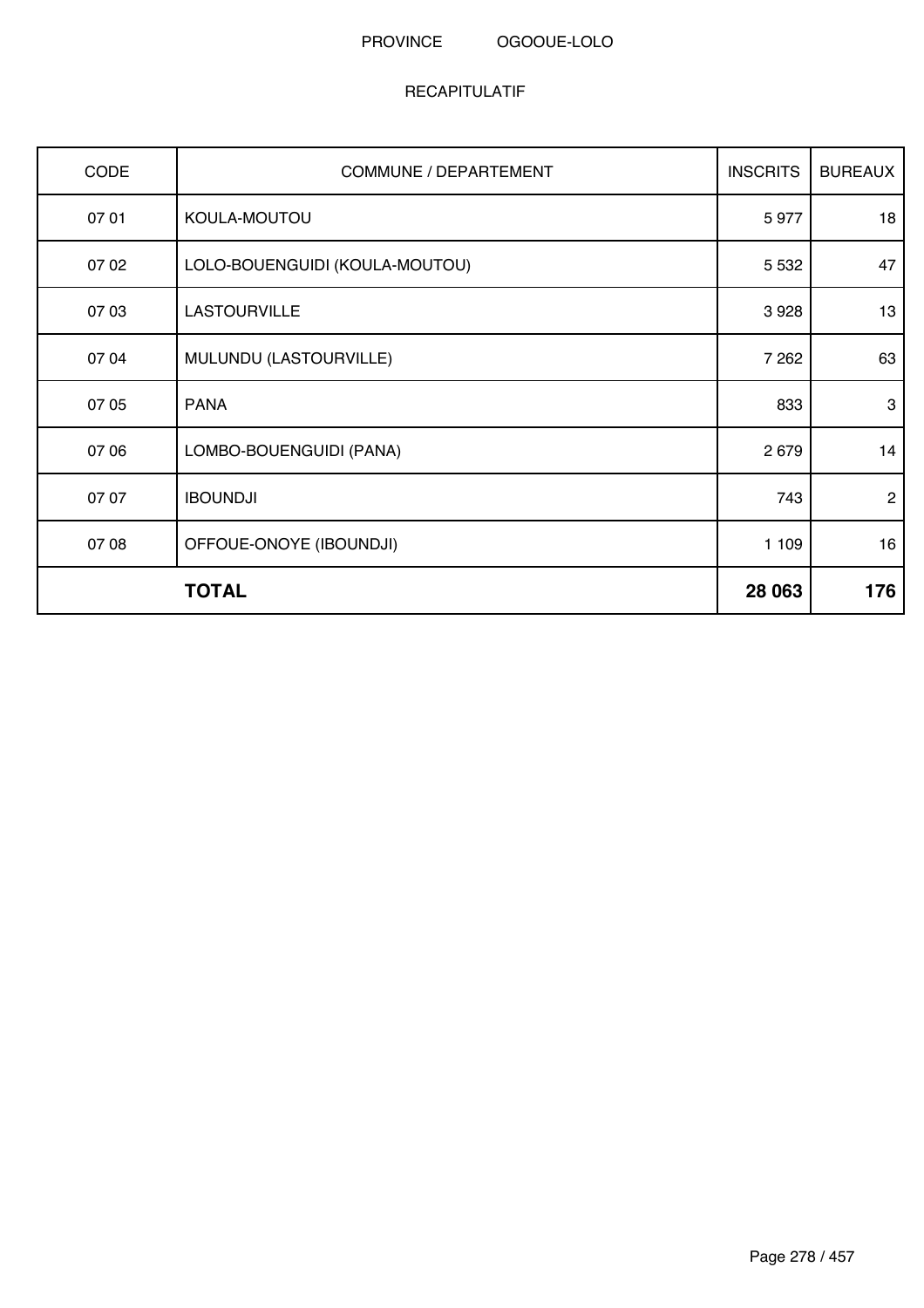| CODE  | COMMUNE / DEPARTEMENT          | <b>INSCRITS</b> | <b>BUREAUX</b> |
|-------|--------------------------------|-----------------|----------------|
| 07 01 | KOULA-MOUTOU                   | 5977            | 18             |
| 07 02 | LOLO-BOUENGUIDI (KOULA-MOUTOU) | 5 5 3 2         | 47             |
| 07 03 | <b>LASTOURVILLE</b>            | 3928            | 13             |
| 07 04 | MULUNDU (LASTOURVILLE)         | 7 2 6 2         | 63             |
| 07 05 | <b>PANA</b>                    | 833             | 3              |
| 07 06 | LOMBO-BOUENGUIDI (PANA)        | 2 6 7 9         | 14             |
| 07 07 | <b>IBOUNDJI</b>                | 743             | $\overline{2}$ |
| 07 08 | OFFOUE-ONOYE (IBOUNDJI)        | 1 109           | 16             |
|       | <b>TOTAL</b>                   | 28 063          | 176            |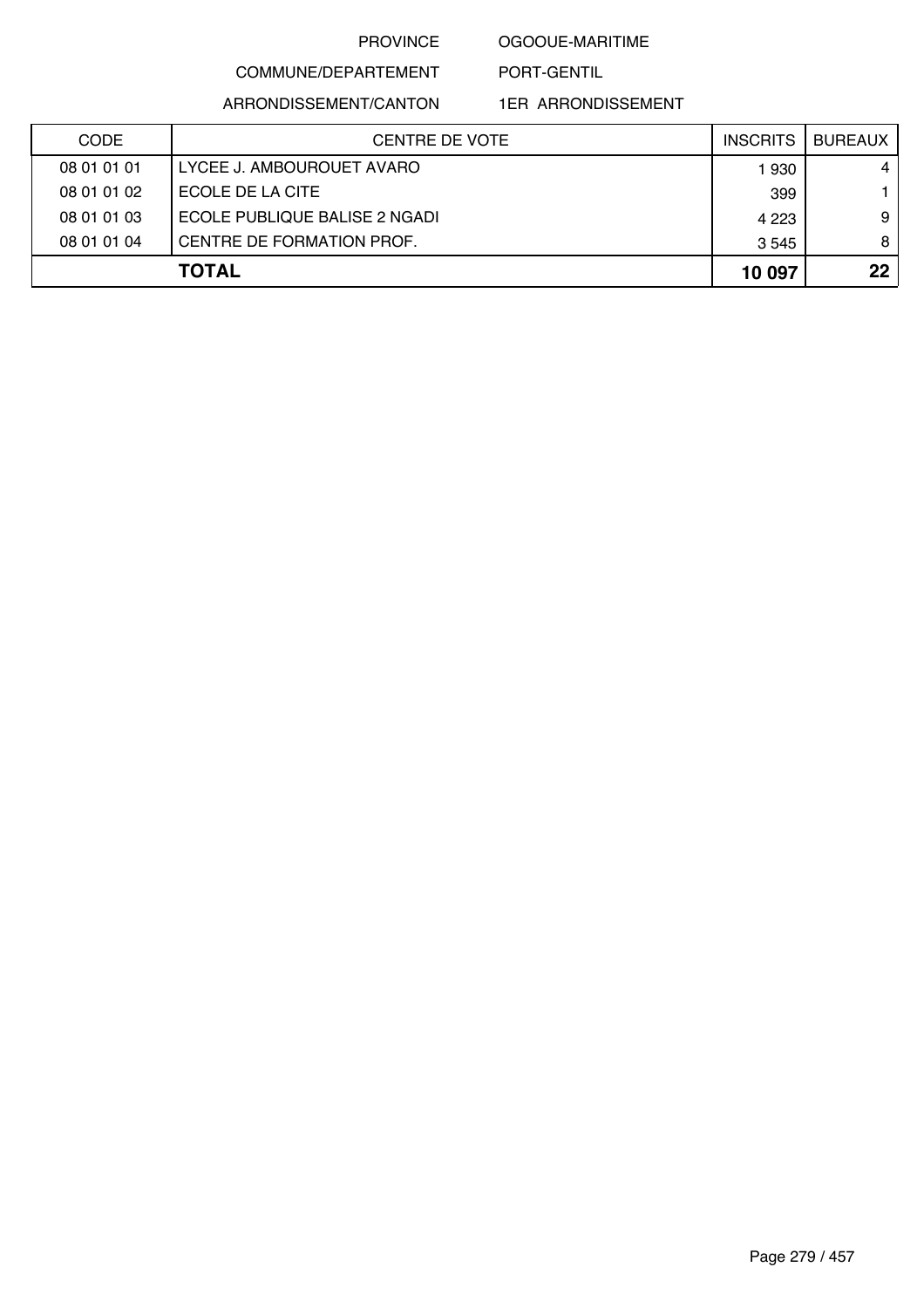#### OGOOUE-MARITIME

PORT-GENTIL

COMMUNE/DEPARTEMENT

ARRONDISSEMENT/CANTON

| <b>CODE</b> | CENTRE DE VOTE                | <b>INSCRITS</b> | <b>BUREAUX</b> |
|-------------|-------------------------------|-----------------|----------------|
| 08 01 01 01 | LYCEE J. AMBOUROUET AVARO     | 1930            | 4              |
| 08 01 01 02 | ECOLE DE LA CITE              | 399             |                |
| 08 01 01 03 | ECOLE PUBLIQUE BALISE 2 NGADI | 4 2 2 3         | 9              |
| 08 01 01 04 | CENTRE DE FORMATION PROF.     | 3 5 4 5         | 8              |
|             | <b>TOTAL</b>                  | 10 097          | 22             |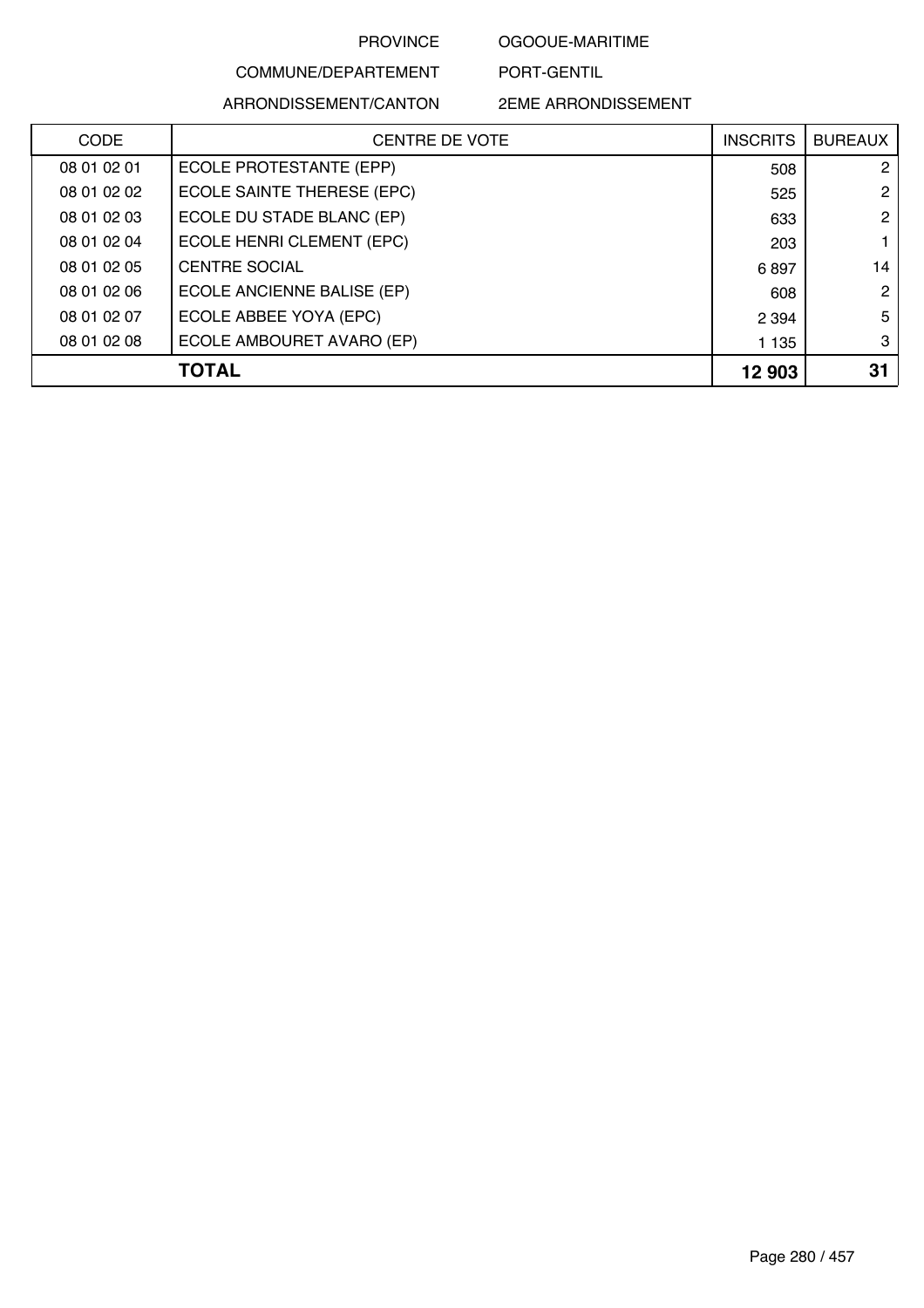OGOOUE-MARITIME

PORT-GENTIL

### COMMUNE/DEPARTEMENT ARRONDISSEMENT/CANTON

| <b>CODE</b> | <b>CENTRE DE VOTE</b>      | <b>INSCRITS</b> | <b>BUREAUX</b> |
|-------------|----------------------------|-----------------|----------------|
| 08 01 02 01 | ECOLE PROTESTANTE (EPP)    | 508             | 2              |
| 08 01 02 02 | ECOLE SAINTE THERESE (EPC) | 525             | 2              |
| 08 01 02 03 | ECOLE DU STADE BLANC (EP)  | 633             | 2              |
| 08 01 02 04 | ECOLE HENRI CLEMENT (EPC)  | 203             |                |
| 08 01 02 05 | <b>CENTRE SOCIAL</b>       | 6897            | 14             |
| 08 01 02 06 | ECOLE ANCIENNE BALISE (EP) | 608             | $\overline{2}$ |
| 08 01 02 07 | ECOLE ABBEE YOYA (EPC)     | 2 3 9 4         | 5              |
| 08 01 02 08 | ECOLE AMBOURET AVARO (EP)  | 1 1 3 5         | 3              |
|             | TOTAL                      | 12 903          | 31             |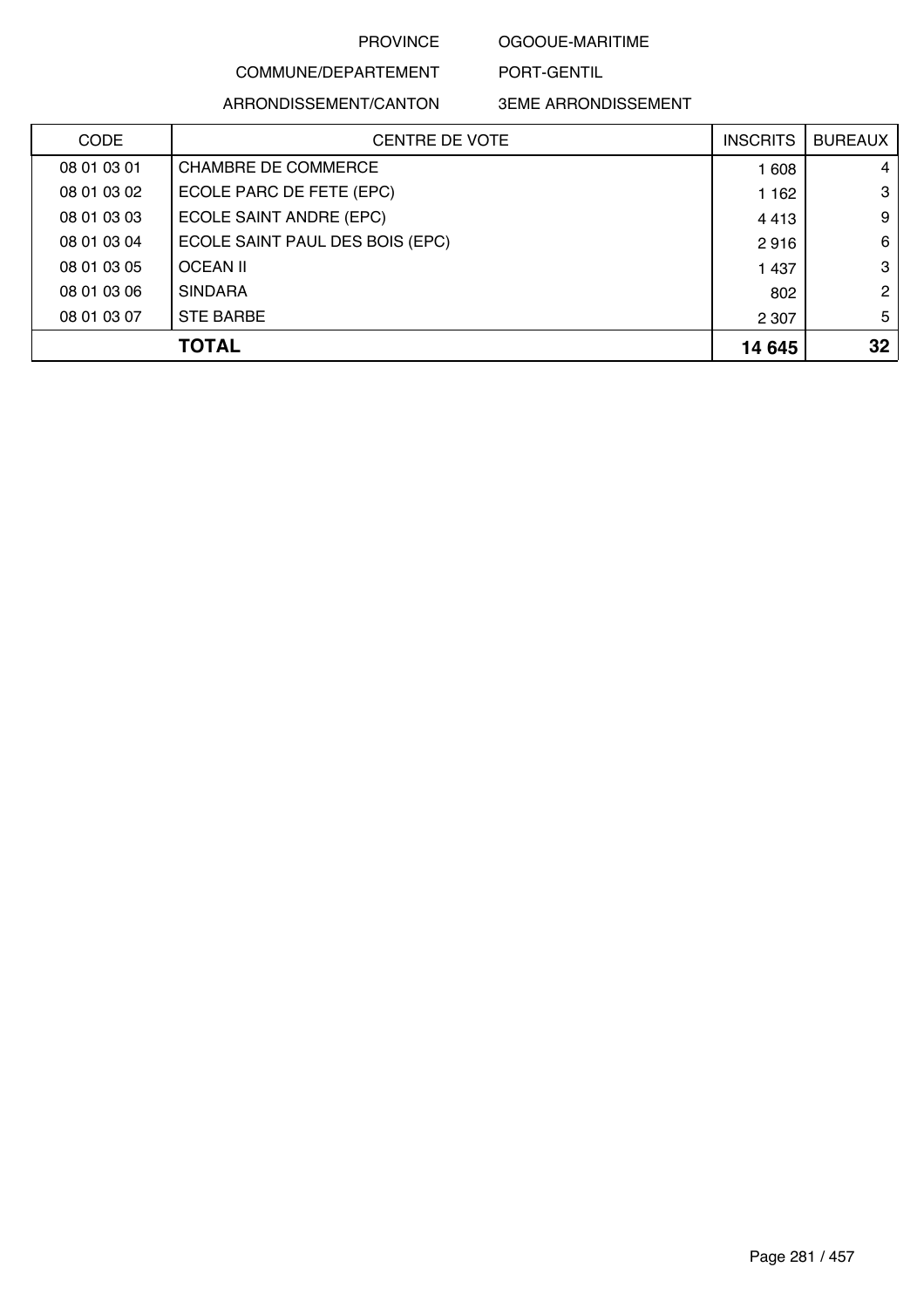OGOOUE-MARITIME

PORT-GENTIL

### COMMUNE/DEPARTEMENT ARRONDISSEMENT/CANTON

| <b>CODE</b> | <b>CENTRE DE VOTE</b>           | <b>INSCRITS</b> | <b>BUREAUX</b>       |
|-------------|---------------------------------|-----------------|----------------------|
| 08 01 03 01 | <b>CHAMBRE DE COMMERCE</b>      | 1 608           | 4                    |
| 08 01 03 02 | ECOLE PARC DE FETE (EPC)        | 1 1 6 2         | 3                    |
| 08 01 03 03 | ECOLE SAINT ANDRE (EPC)         | 4413            | 9                    |
| 08 01 03 04 | ECOLE SAINT PAUL DES BOIS (EPC) | 2916            | 6                    |
| 08 01 03 05 | <b>OCEAN II</b>                 | 1 4 3 7         | 3                    |
| 08 01 03 06 | <b>SINDARA</b>                  | 802             | $\mathbf{2}^{\circ}$ |
| 08 01 03 07 | <b>STE BARBE</b>                | 2 3 0 7         | 5                    |
|             | <b>TOTAL</b>                    | 14 645          | 32                   |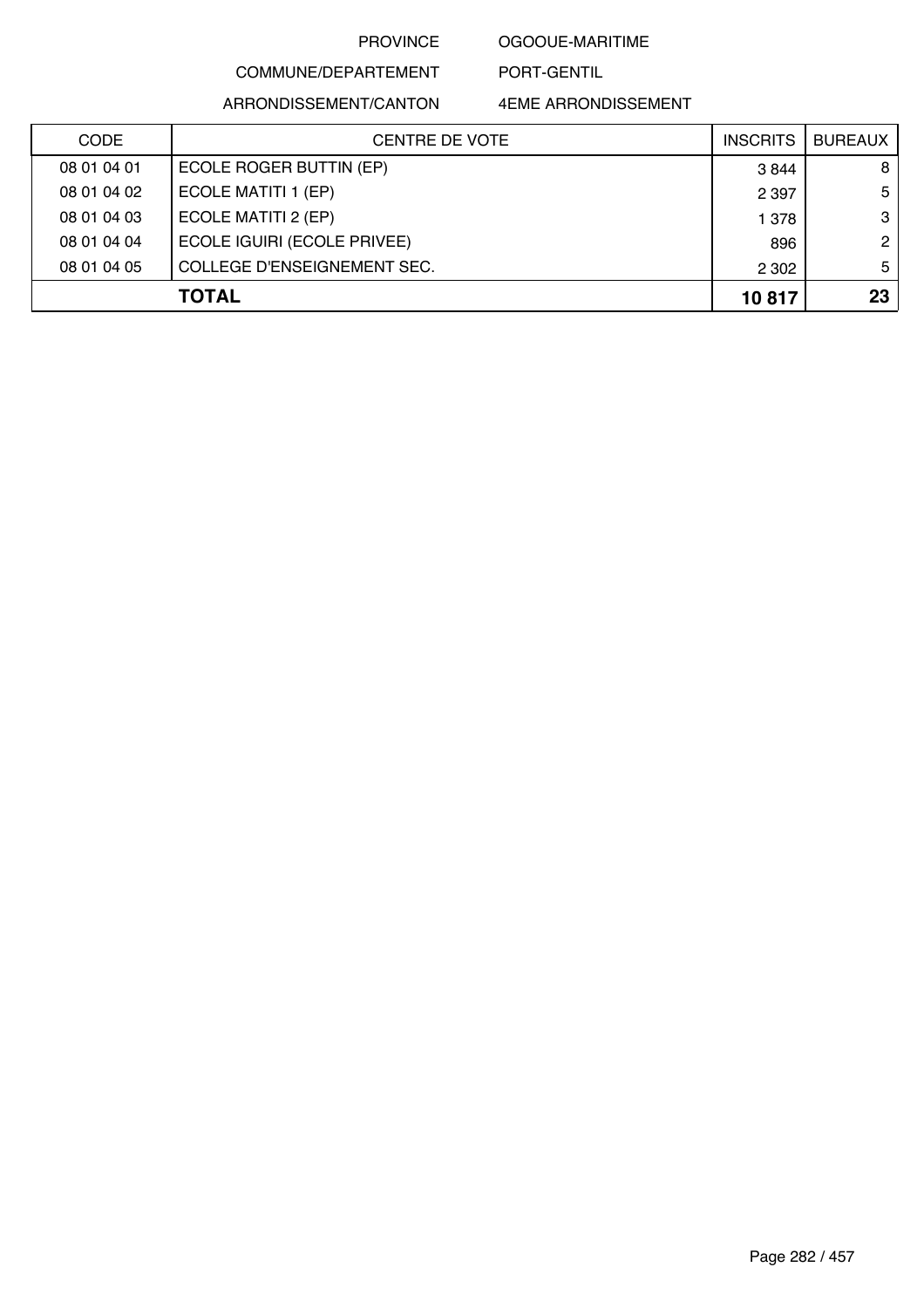### OGOOUE-MARITIME

PORT-GENTIL

### COMMUNE/DEPARTEMENT ARRONDISSEMENT/CANTON

| <b>CODE</b> | CENTRE DE VOTE              | <b>INSCRITS</b> | <b>BUREAUX</b> |
|-------------|-----------------------------|-----------------|----------------|
| 08 01 04 01 | ECOLE ROGER BUTTIN (EP)     | 3844            | 8              |
| 08 01 04 02 | ECOLE MATITI 1 (EP)         | 2 3 9 7         | 5              |
| 08 01 04 03 | ECOLE MATITI 2 (EP)         | 1 378           | 3              |
| 08 01 04 04 | ECOLE IGUIRI (ECOLE PRIVEE) | 896             | $\mathbf{2}$   |
| 08 01 04 05 | COLLEGE D'ENSEIGNEMENT SEC. | 2 3 0 2         | 5 <sub>1</sub> |
|             | <b>TOTAL</b>                | 10817           | 23             |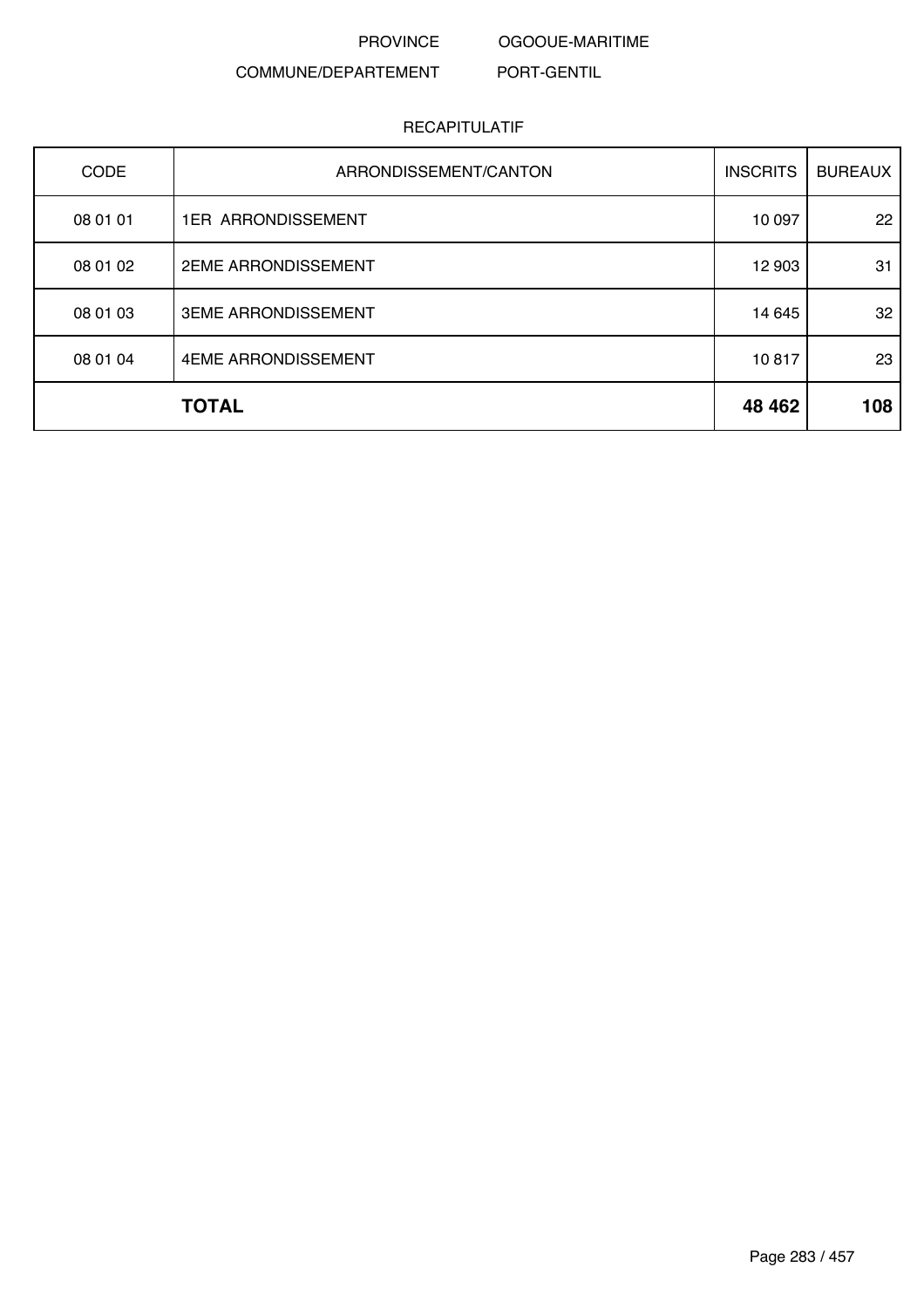OGOOUE-MARITIME

PORT-GENTIL

### COMMUNE/DEPARTEMENT

| CODE     | ARRONDISSEMENT/CANTON      | <b>INSCRITS</b> | <b>BUREAUX</b> |
|----------|----------------------------|-----------------|----------------|
| 08 01 01 | <b>1ER ARRONDISSEMENT</b>  | 10 097          | 22             |
| 08 01 02 | <b>2EME ARRONDISSEMENT</b> | 12 903          | 31             |
| 08 01 03 | <b>3EME ARRONDISSEMENT</b> | 14 645          | 32             |
| 08 01 04 | 4EME ARRONDISSEMENT        | 10817           | 23             |
|          | <b>TOTAL</b>               | 48 4 62         | 108            |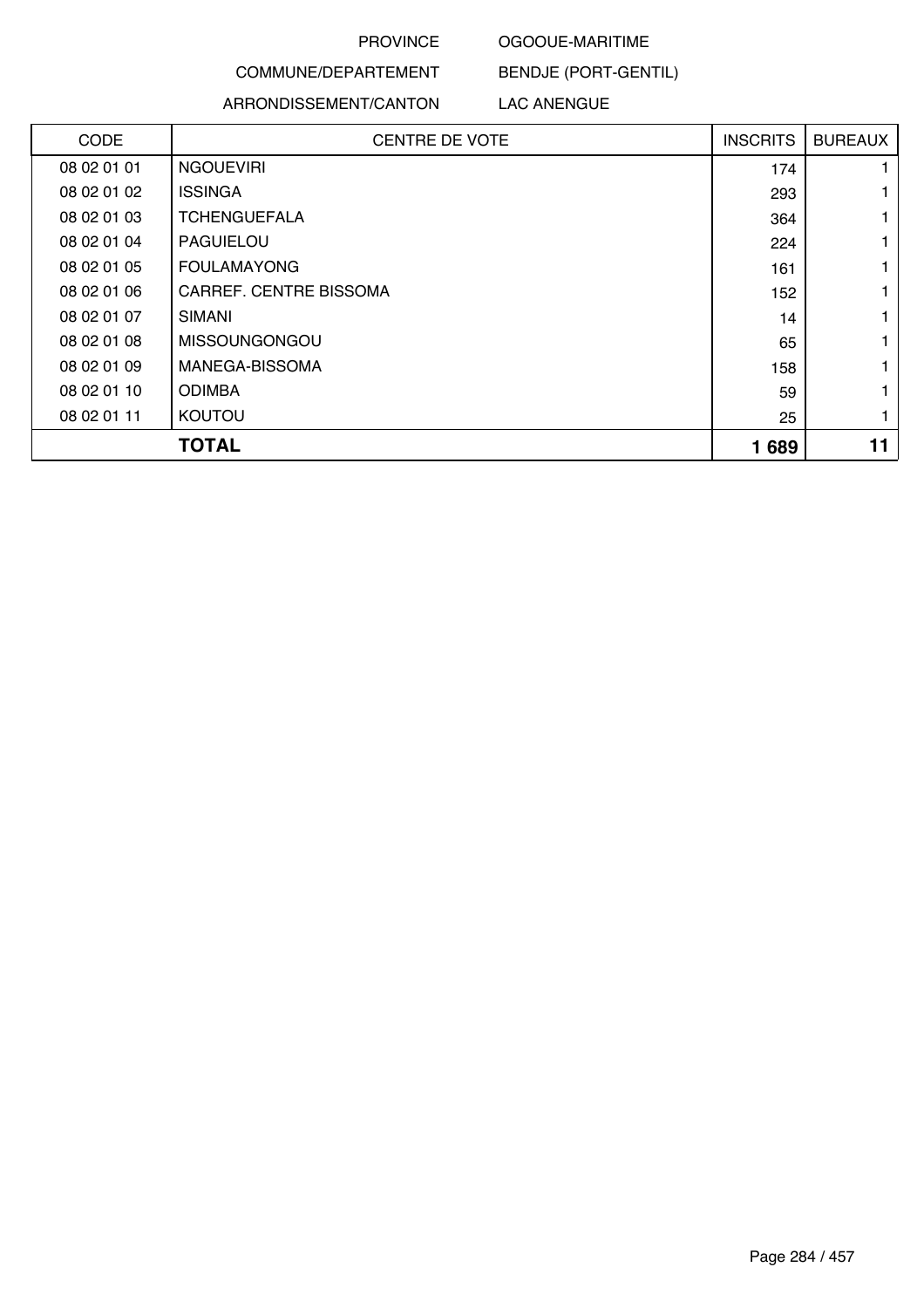#### OGOOUE-MARITIME

BENDJE (PORT-GENTIL)

COMMUNE/DEPARTEMENT

### ARRONDISSEMENT/CANTON

LAC ANENGUE

| <b>CODE</b> | <b>CENTRE DE VOTE</b>  | <b>INSCRITS</b> | <b>BUREAUX</b> |
|-------------|------------------------|-----------------|----------------|
| 08 02 01 01 | <b>NGOUEVIRI</b>       | 174             |                |
| 08 02 01 02 | <b>ISSINGA</b>         | 293             |                |
| 08 02 01 03 | <b>TCHENGUEFALA</b>    | 364             |                |
| 08 02 01 04 | PAGUIELOU              | 224             |                |
| 08 02 01 05 | <b>FOULAMAYONG</b>     | 161             |                |
| 08 02 01 06 | CARREF. CENTRE BISSOMA | 152             |                |
| 08 02 01 07 | <b>SIMANI</b>          | 14              |                |
| 08 02 01 08 | <b>MISSOUNGONGOU</b>   | 65              |                |
| 08 02 01 09 | MANEGA-BISSOMA         | 158             |                |
| 08 02 01 10 | <b>ODIMBA</b>          | 59              |                |
| 08 02 01 11 | KOUTOU                 | 25              |                |
|             | <b>TOTAL</b>           | 1689            | 11             |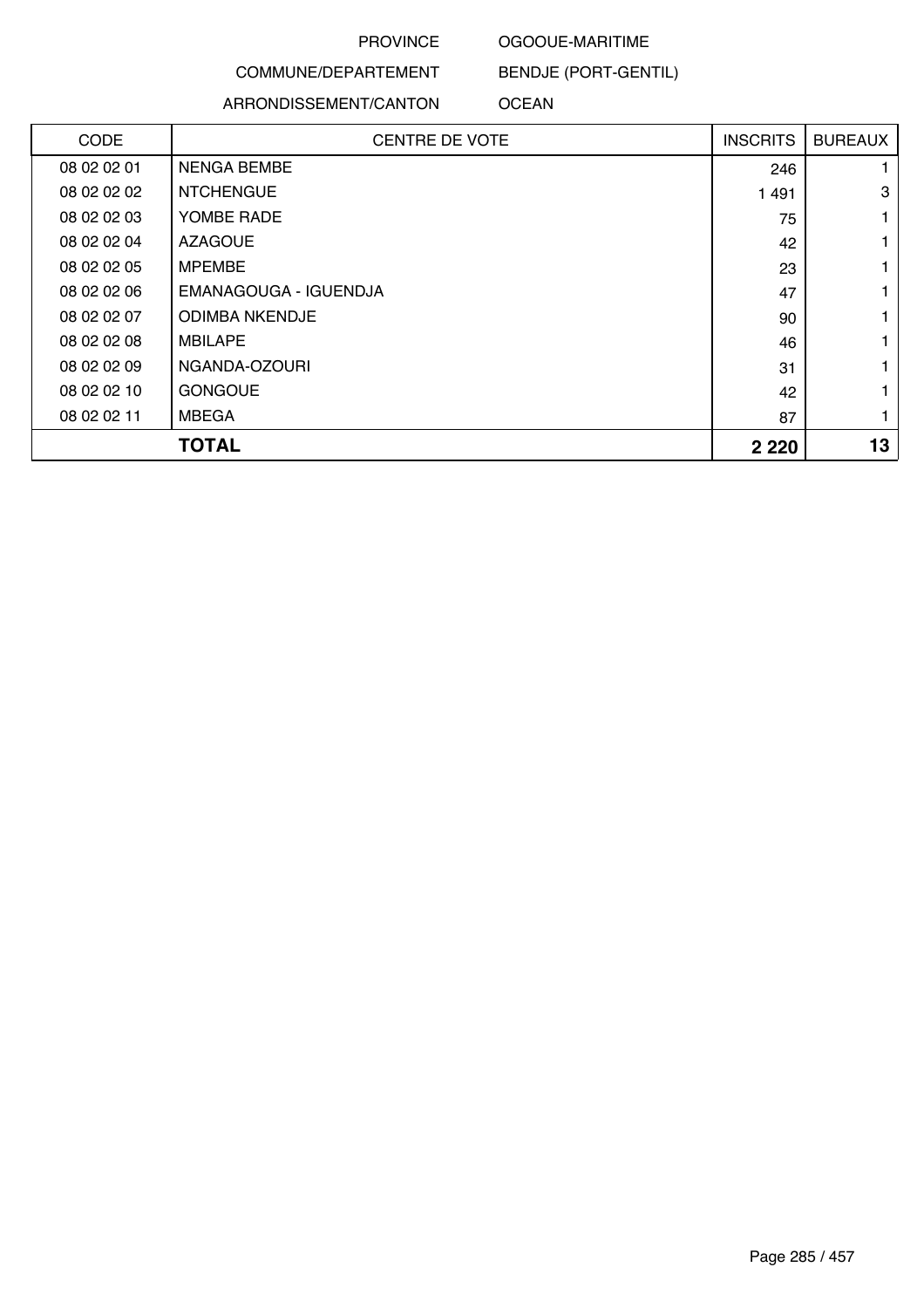#### OGOOUE-MARITIME

BENDJE (PORT-GENTIL)

COMMUNE/DEPARTEMENT

ARRONDISSEMENT/CANTON

### OCEAN

| <b>CODE</b> | <b>CENTRE DE VOTE</b> | <b>INSCRITS</b> | <b>BUREAUX</b> |
|-------------|-----------------------|-----------------|----------------|
| 08 02 02 01 | <b>NENGA BEMBE</b>    | 246             |                |
| 08 02 02 02 | <b>NTCHENGUE</b>      | 1491            | 3              |
| 08 02 02 03 | YOMBE RADE            | 75              |                |
| 08 02 02 04 | <b>AZAGOUE</b>        | 42              |                |
| 08 02 02 05 | <b>MPEMBE</b>         | 23              |                |
| 08 02 02 06 | EMANAGOUGA - IGUENDJA | 47              |                |
| 08 02 02 07 | <b>ODIMBA NKENDJE</b> | 90              |                |
| 08 02 02 08 | <b>MBILAPE</b>        | 46              |                |
| 08 02 02 09 | NGANDA-OZOURI         | 31              |                |
| 08 02 02 10 | <b>GONGOUE</b>        | 42              |                |
| 08 02 02 11 | <b>MBEGA</b>          | 87              |                |
|             | <b>TOTAL</b>          | 2 2 2 0         | 13             |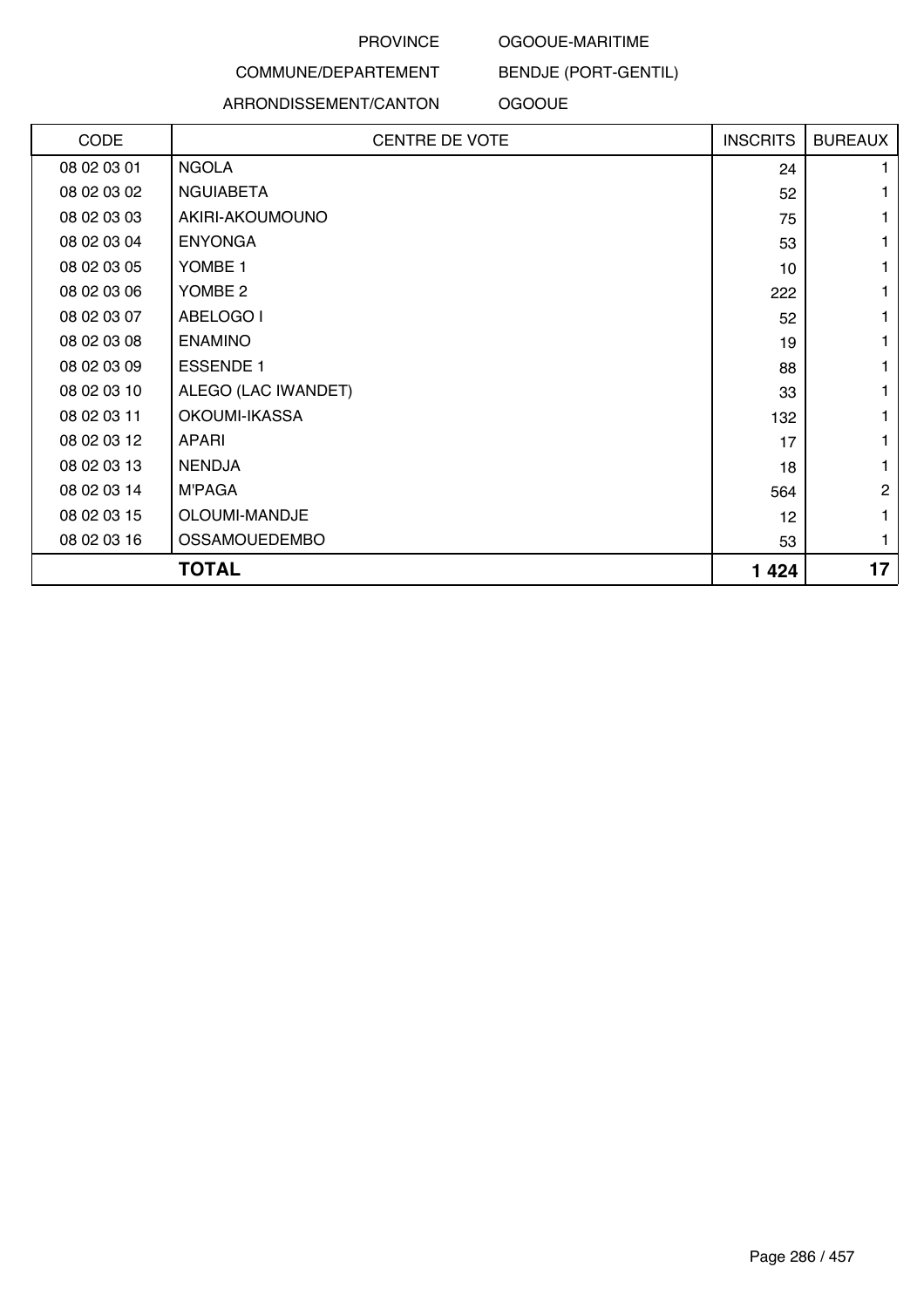#### OGOOUE-MARITIME

### COMMUNE/DEPARTEMENT

### ARRONDISSEMENT/CANTON

BENDJE (PORT-GENTIL)

**OGOOUE** 

| CODE        | <b>CENTRE DE VOTE</b> | <b>INSCRITS</b> | <b>BUREAUX</b> |
|-------------|-----------------------|-----------------|----------------|
| 08 02 03 01 | <b>NGOLA</b>          | 24              | 1.             |
| 08 02 03 02 | <b>NGUIABETA</b>      | 52              | 1              |
| 08 02 03 03 | AKIRI-AKOUMOUNO       | 75              | 1              |
| 08 02 03 04 | <b>ENYONGA</b>        | 53              | 1              |
| 08 02 03 05 | YOMBE 1               | 10 <sup>°</sup> | 1              |
| 08 02 03 06 | YOMBE 2               | 222             | 1              |
| 08 02 03 07 | ABELOGO I             | 52              | 1              |
| 08 02 03 08 | <b>ENAMINO</b>        | 19              | 1              |
| 08 02 03 09 | <b>ESSENDE 1</b>      | 88              | 1              |
| 08 02 03 10 | ALEGO (LAC IWANDET)   | 33              | 1              |
| 08 02 03 11 | OKOUMI-IKASSA         | 132             | 1              |
| 08 02 03 12 | <b>APARI</b>          | 17              | 1              |
| 08 02 03 13 | <b>NENDJA</b>         | 18              | 1              |
| 08 02 03 14 | <b>M'PAGA</b>         | 564             | $\overline{c}$ |
| 08 02 03 15 | OLOUMI-MANDJE         | 12              | 1              |
| 08 02 03 16 | <b>OSSAMOUEDEMBO</b>  | 53              | 1              |
|             | <b>TOTAL</b>          | 1424            | 17             |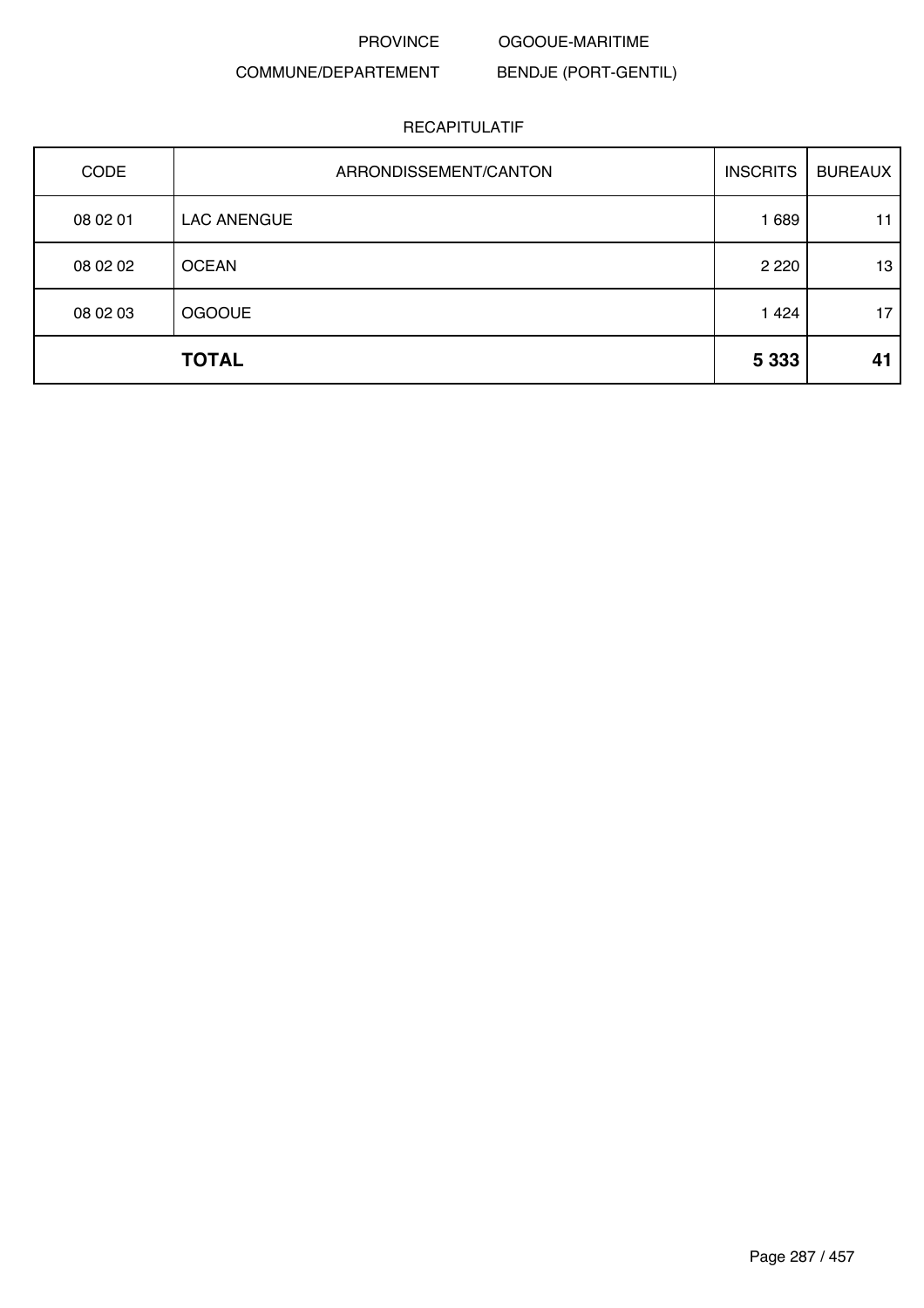PROVINCE OGOOUE-MARITIME

### COMMUNE/DEPARTEMENT

BENDJE (PORT-GENTIL)

| <b>CODE</b>  | ARRONDISSEMENT/CANTON | <b>INSCRITS</b> | <b>BUREAUX</b> |
|--------------|-----------------------|-----------------|----------------|
| 08 02 01     | <b>LAC ANENGUE</b>    | 1 6 8 9         | 11             |
| 08 02 02     | <b>OCEAN</b>          | 2 2 2 0         | 13             |
| 08 02 03     | <b>OGOOUE</b>         | 1424            | 17             |
| <b>TOTAL</b> |                       | 5 3 3 3         | 41             |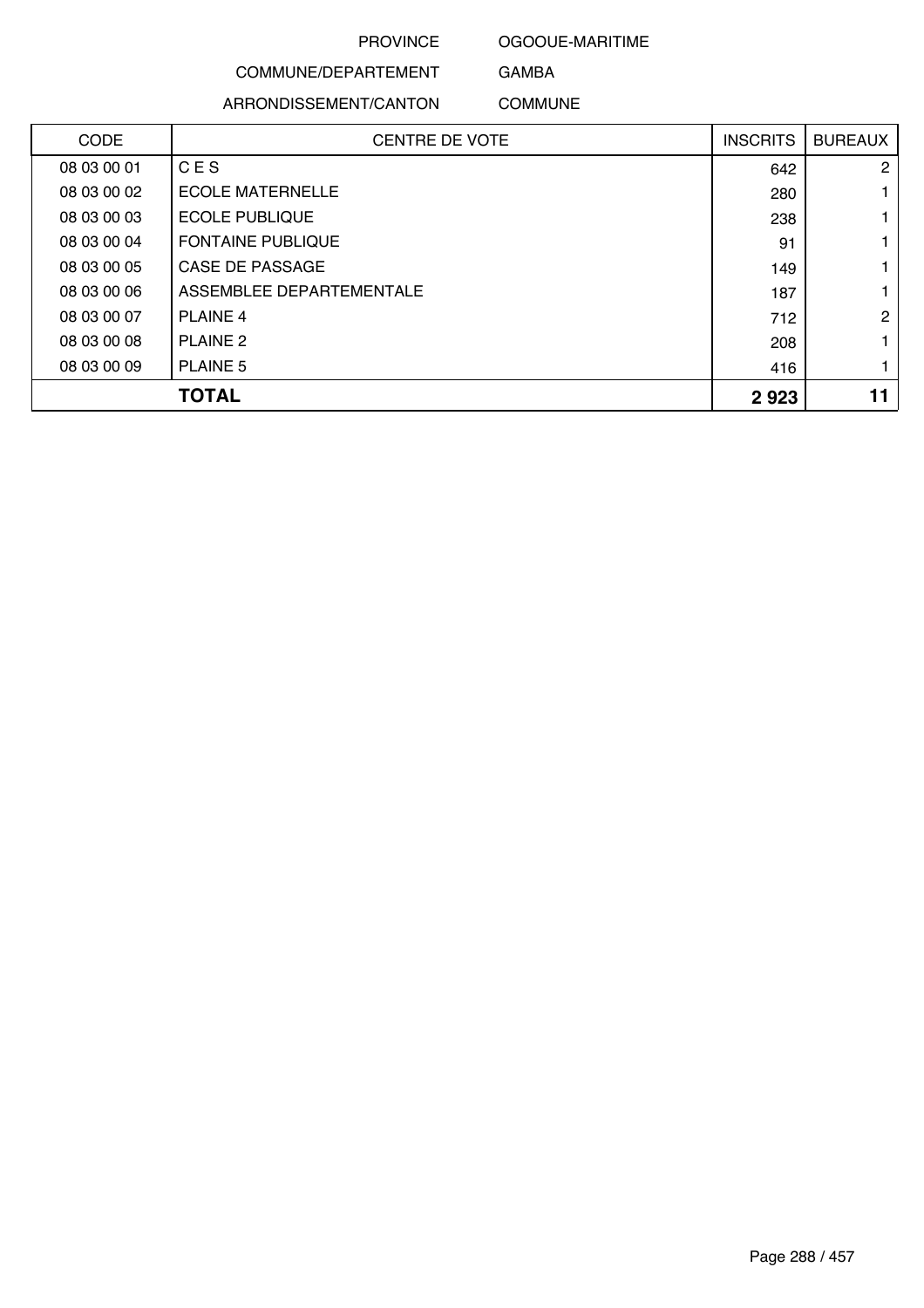OGOOUE-MARITIME

### COMMUNE/DEPARTEMENT ARRONDISSEMENT/CANTON

GAMBA COMMUNE

| <b>CODE</b> | <b>CENTRE DE VOTE</b>    | <b>INSCRITS</b> | <b>BUREAUX</b> |
|-------------|--------------------------|-----------------|----------------|
| 08 03 00 01 | CES                      | 642             | $\mathbf{2}$   |
| 08 03 00 02 | <b>ECOLE MATERNELLE</b>  | 280             |                |
| 08 03 00 03 | <b>ECOLE PUBLIQUE</b>    | 238             |                |
| 08 03 00 04 | <b>FONTAINE PUBLIQUE</b> | 91              |                |
| 08 03 00 05 | CASE DE PASSAGE          | 149             |                |
| 08 03 00 06 | ASSEMBLEE DEPARTEMENTALE | 187             |                |
| 08 03 00 07 | <b>PLAINE 4</b>          | 712             | $\overline{2}$ |
| 08 03 00 08 | <b>PLAINE 2</b>          | 208             |                |
| 08 03 00 09 | <b>PLAINE 5</b>          | 416             |                |
| TOTAL       |                          | 2923            |                |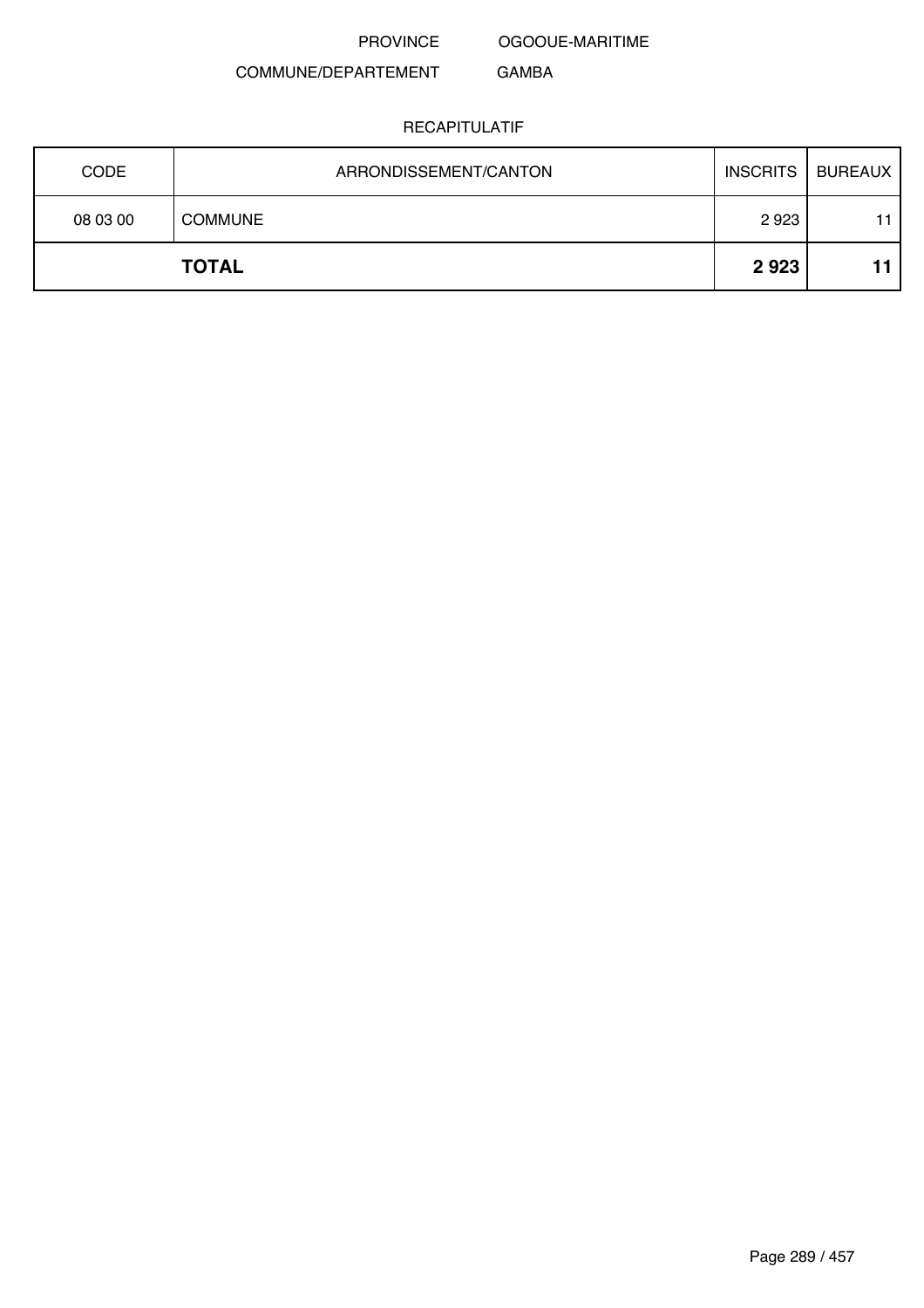OGOOUE-MARITIME

GAMBA

# COMMUNE/DEPARTEMENT

| <b>CODE</b> | ARRONDISSEMENT/CANTON | <b>INSCRITS</b> | BUREAUX |
|-------------|-----------------------|-----------------|---------|
| 08 03 00    | <b>COMMUNE</b>        | 2923            | 11      |
|             | <b>TOTAL</b>          | 2923            | 11      |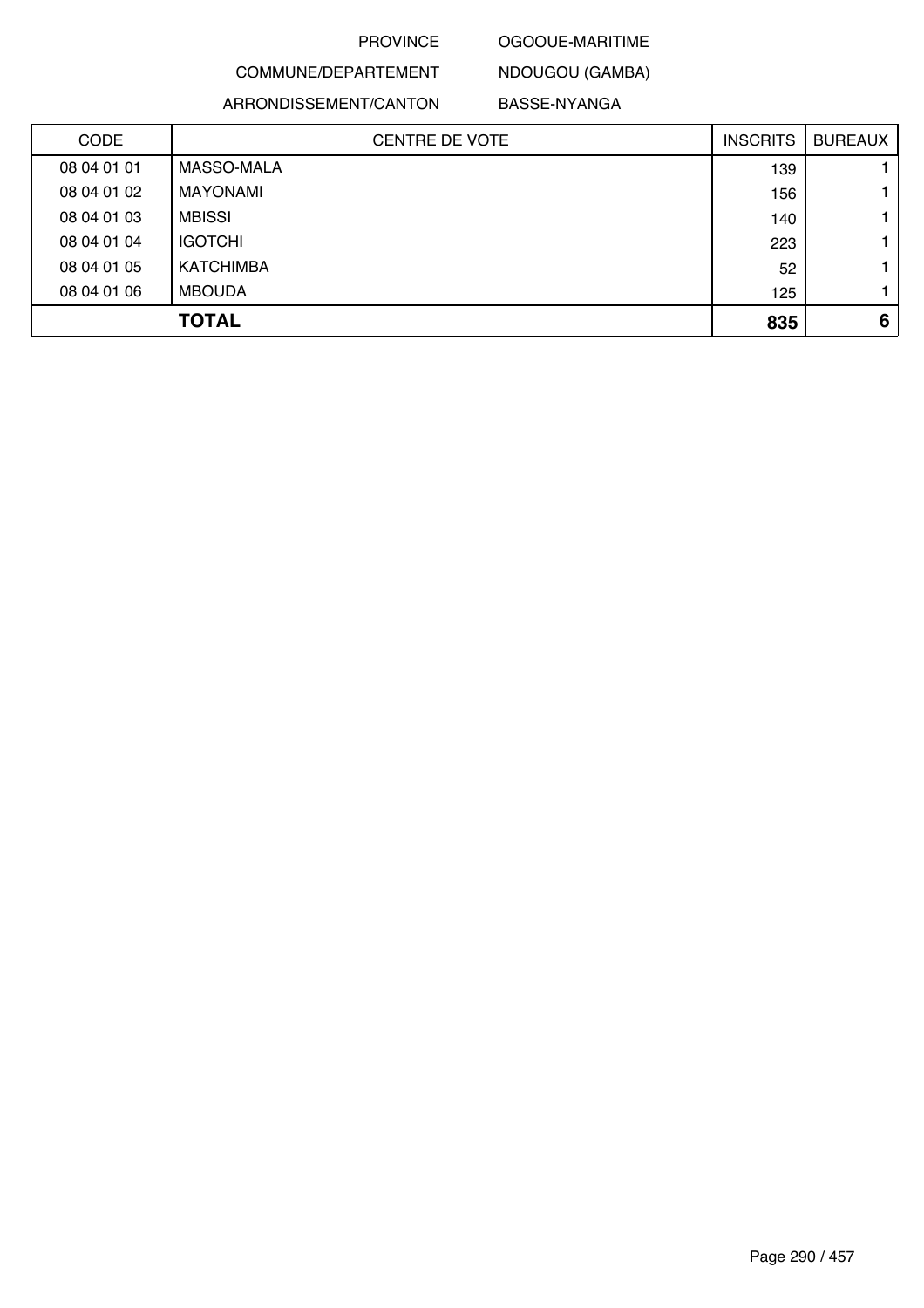## OGOOUE-MARITIME

COMMUNE/DEPARTEMENT NDOUGOU (GAMBA)

ARRONDISSEMENT/CANTON BASSE-NYANGA

| <b>CODE</b> | <b>CENTRE DE VOTE</b> | <b>INSCRITS</b> | <b>BUREAUX</b> |
|-------------|-----------------------|-----------------|----------------|
| 08 04 01 01 | MASSO-MALA            | 139             |                |
| 08 04 01 02 | MAYONAMI              | 156             |                |
| 08 04 01 03 | <b>MBISSI</b>         | 140             |                |
| 08 04 01 04 | <b>IGOTCHI</b>        | 223             |                |
| 08 04 01 05 | KATCHIMBA             | 52              |                |
| 08 04 01 06 | <b>MBOUDA</b>         | 125             |                |
|             | <b>TOTAL</b>          | 835             | 6              |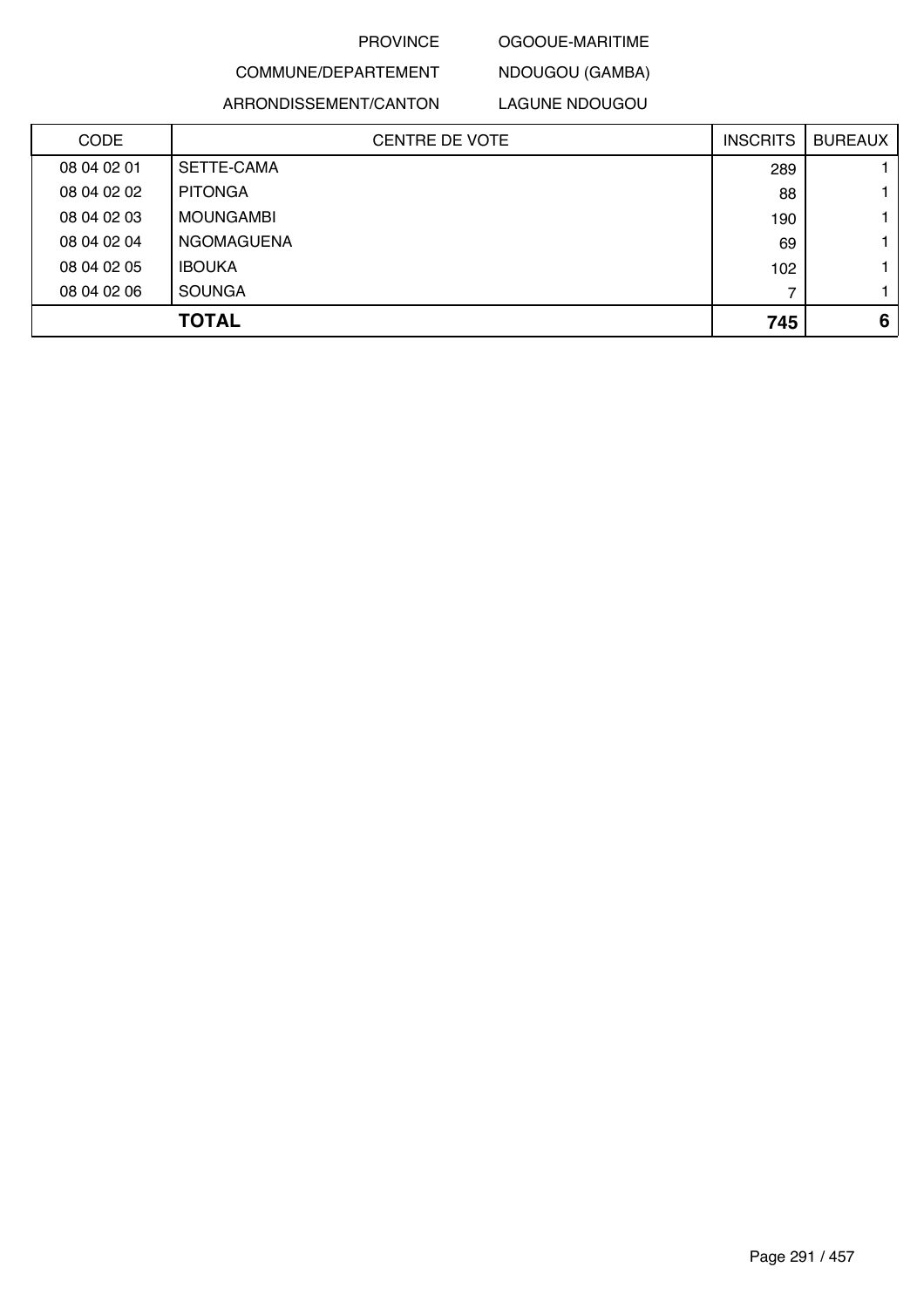## OGOOUE-MARITIME

# COMMUNE/DEPARTEMENT ARRONDISSEMENT/CANTON

LAGUNE NDOUGOU

NDOUGOU (GAMBA)

| <b>CODE</b> | <b>CENTRE DE VOTE</b> | <b>INSCRITS</b> | <b>BUREAUX</b> |
|-------------|-----------------------|-----------------|----------------|
| 08 04 02 01 | SETTE-CAMA            | 289             |                |
| 08 04 02 02 | <b>PITONGA</b>        | 88              |                |
| 08 04 02 03 | MOUNGAMBI             | 190             |                |
| 08 04 02 04 | NGOMAGUENA            | 69              |                |
| 08 04 02 05 | <b>IBOUKA</b>         | 102             |                |
| 08 04 02 06 | <b>SOUNGA</b>         |                 |                |
|             | <b>TOTAL</b>          | 745             | 6              |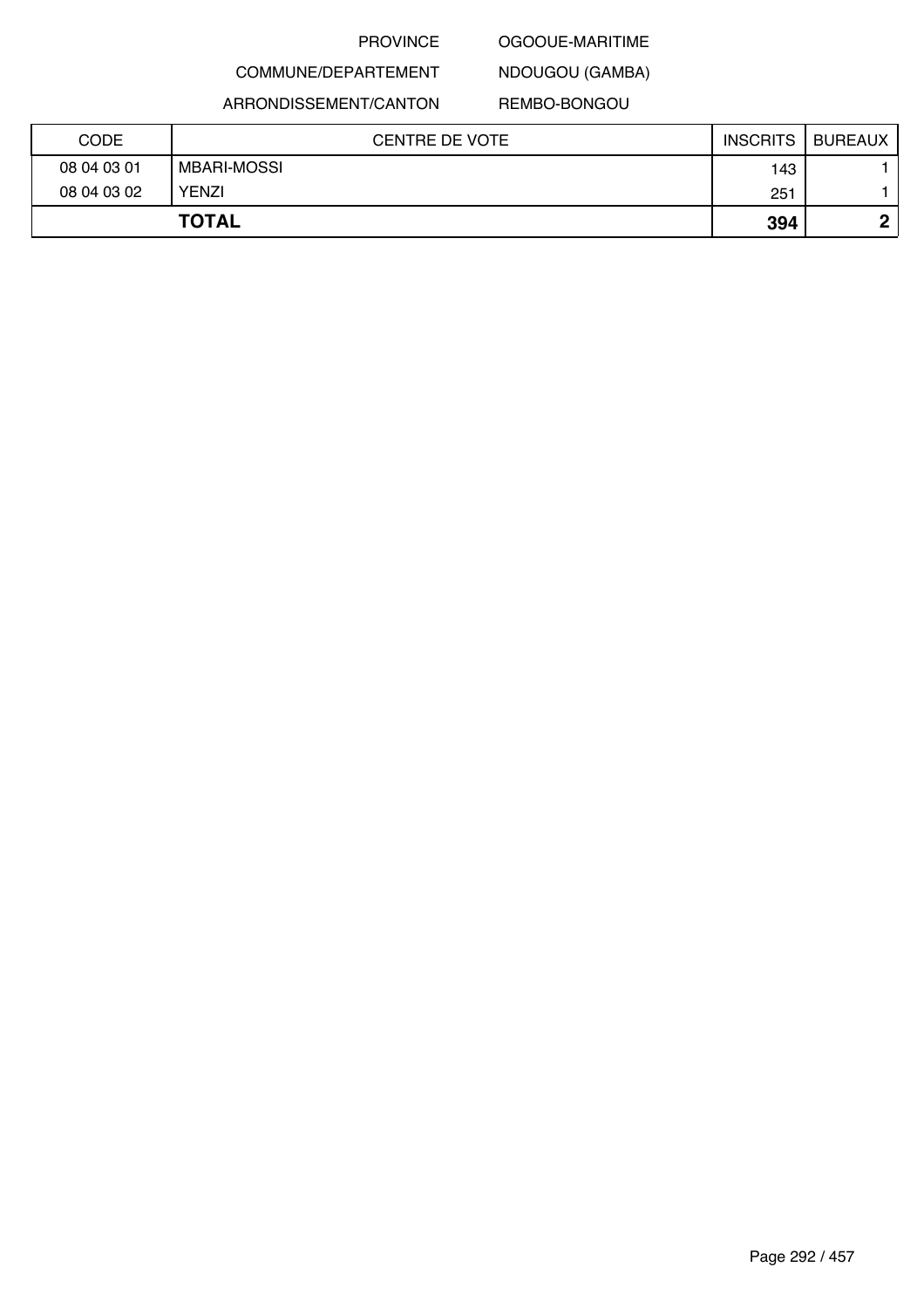## OGOOUE-MARITIME

NDOUGOU (GAMBA)

ARRONDISSEMENT/CANTON

COMMUNE/DEPARTEMENT

## REMBO-BONGOU

| CODE        | <b>CENTRE DE VOTE</b> | <b>INSCRITS</b> | <b>BUREAUX</b> |
|-------------|-----------------------|-----------------|----------------|
| 08 04 03 01 | <b>MBARI-MOSSI</b>    | 143             |                |
| 08 04 03 02 | <b>YENZI</b>          | 251             |                |
|             | <b>TOTAL</b>          | 394             | Λ              |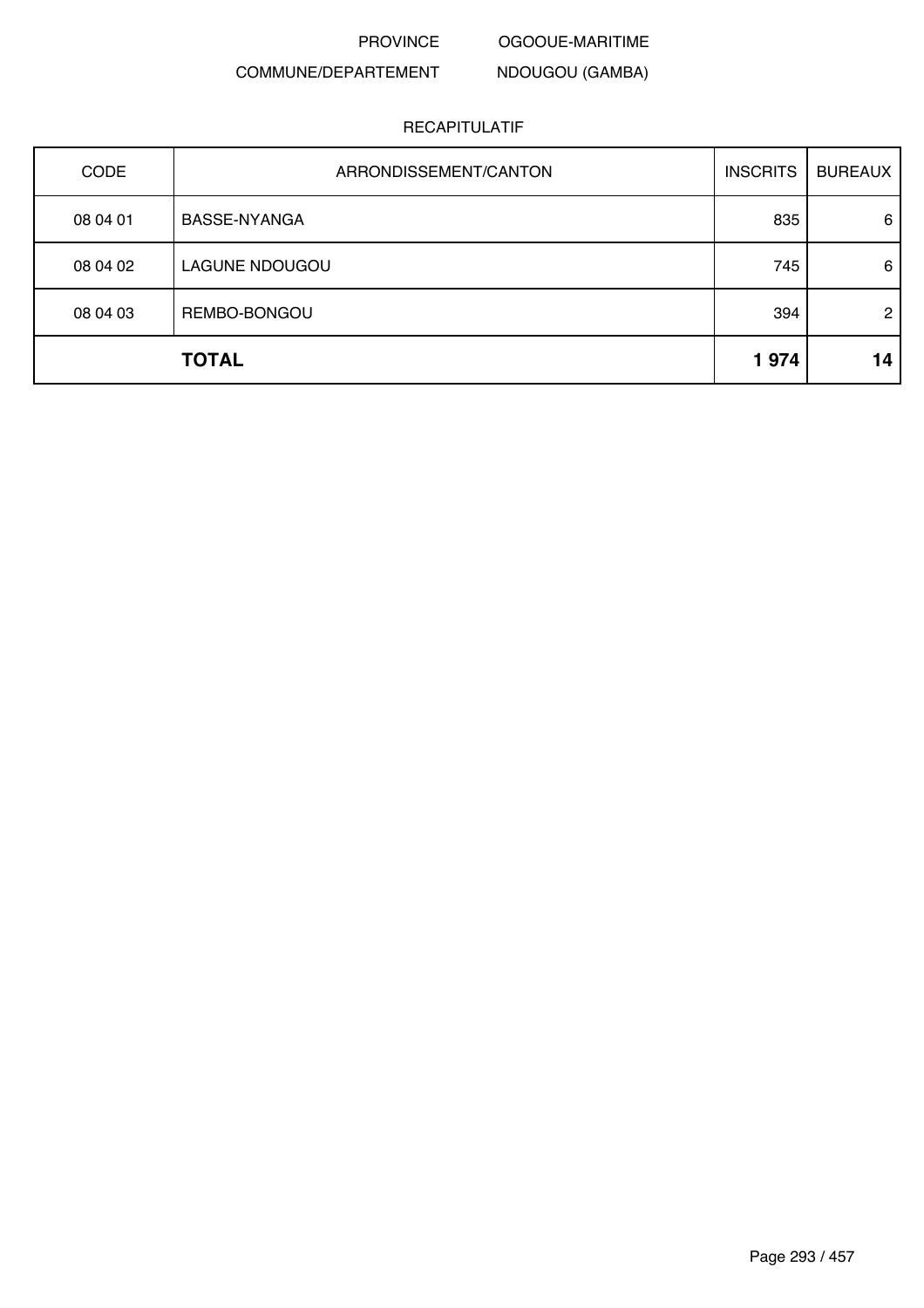OGOOUE-MARITIME

NDOUGOU (GAMBA)

# COMMUNE/DEPARTEMENT

| CODE         | ARRONDISSEMENT/CANTON | <b>INSCRITS</b> | <b>BUREAUX</b> |
|--------------|-----------------------|-----------------|----------------|
| 08 04 01     | <b>BASSE-NYANGA</b>   | 835             | 6              |
| 08 04 02     | LAGUNE NDOUGOU        | 745             | 6              |
| 08 04 03     | REMBO-BONGOU          | 394             | $\overline{2}$ |
| <b>TOTAL</b> |                       | 1974            | 14             |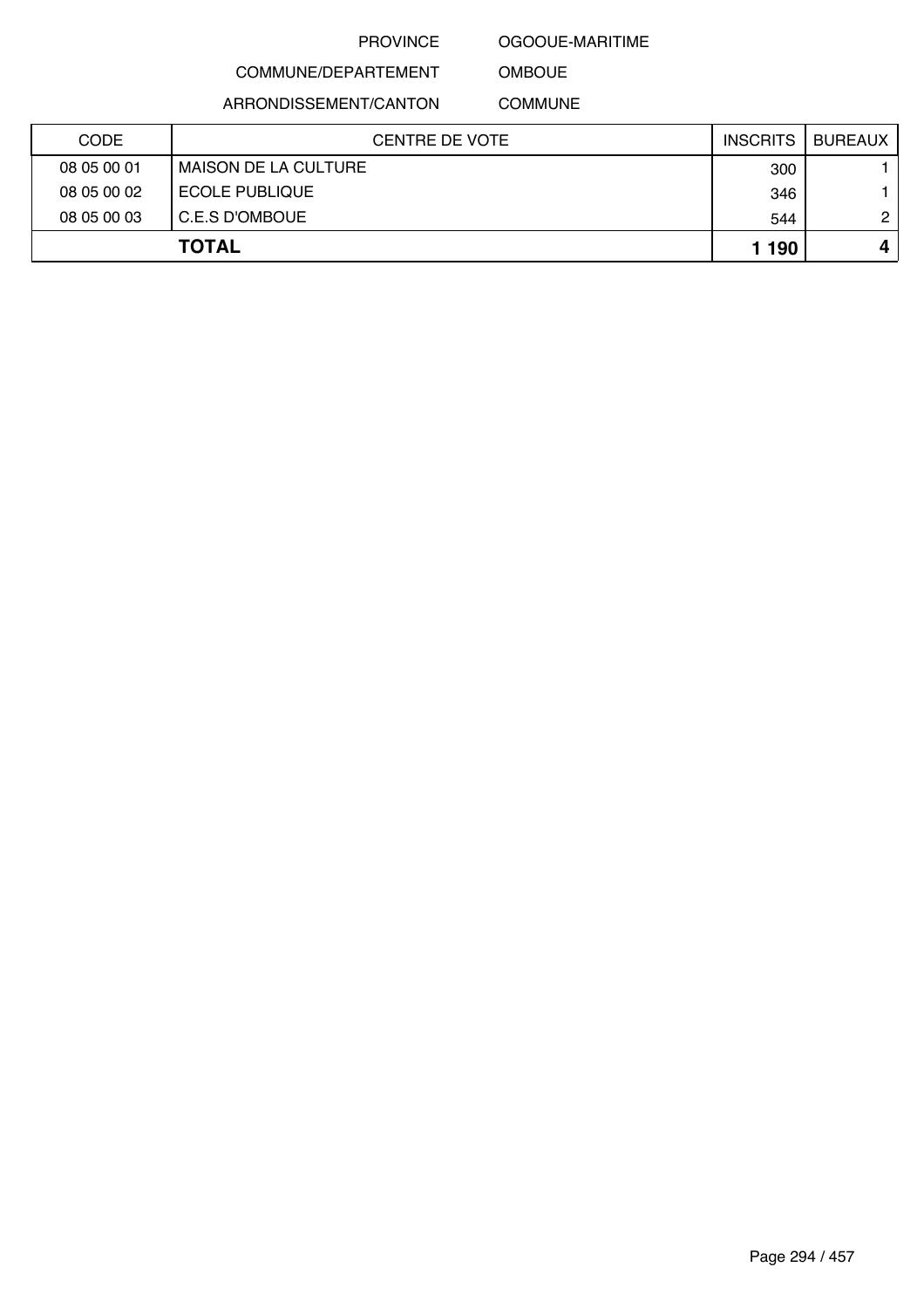#### OGOOUE-MARITIME

COMMUNE/DEPARTEMENT

ARRONDISSEMENT/CANTON

COMMUNE

OMBOUE

| <b>CODE</b>  | CENTRE DE VOTE              | <b>INSCRITS</b> | BUREAUX      |
|--------------|-----------------------------|-----------------|--------------|
| 08 05 00 01  | <b>MAISON DE LA CULTURE</b> | 300             |              |
| 08 05 00 02  | <b>ECOLE PUBLIQUE</b>       | 346             |              |
| 08 05 00 03  | C.E.S D'OMBOUE              | 544             | $\mathbf{2}$ |
| <b>TOTAL</b> |                             | 1 190           |              |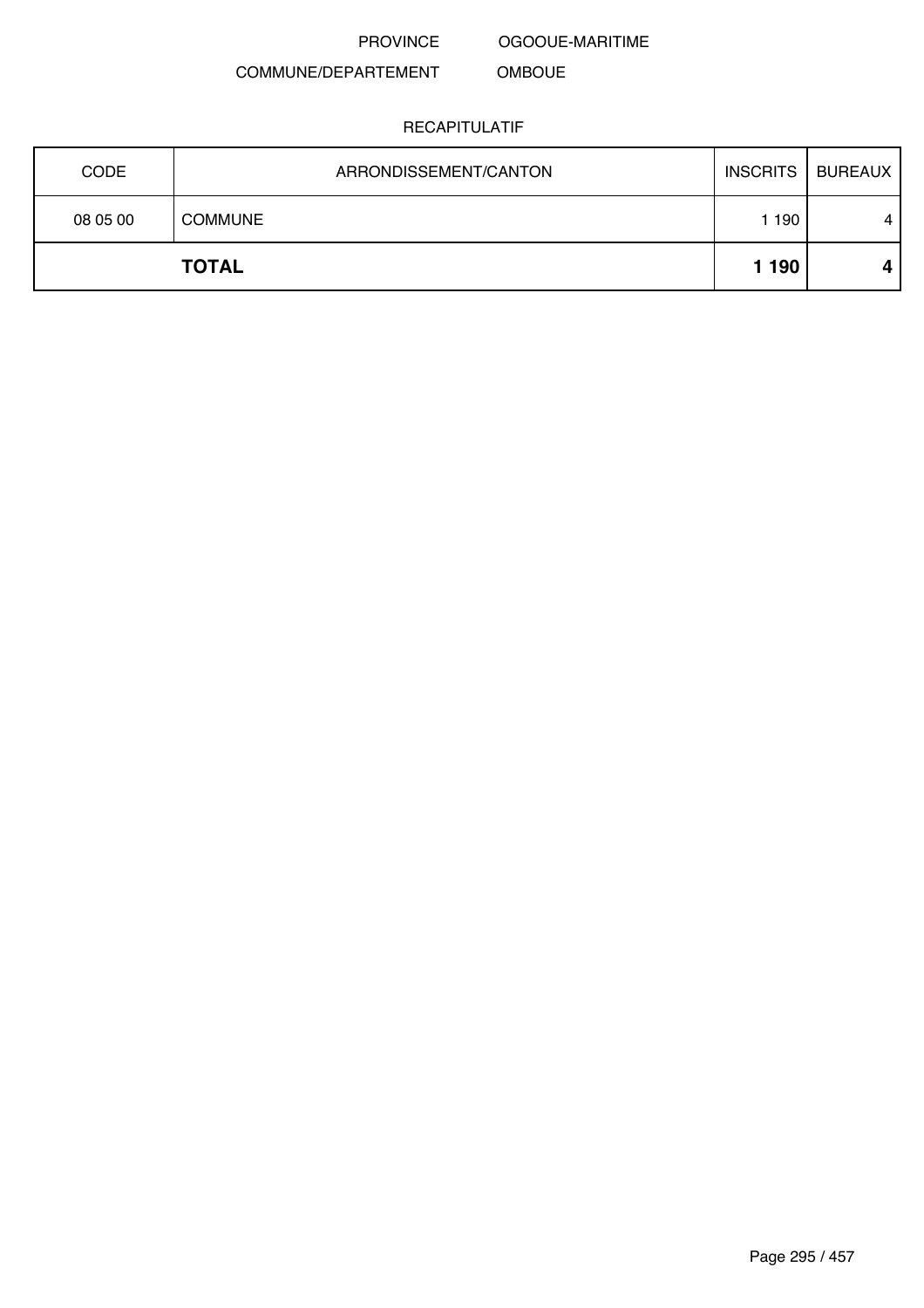OGOOUE-MARITIME

OMBOUE

# COMMUNE/DEPARTEMENT

| <b>CODE</b> | ARRONDISSEMENT/CANTON | <b>INSCRITS</b> | BUREAUX |
|-------------|-----------------------|-----------------|---------|
| 08 05 00    | <b>COMMUNE</b>        | 190             | 4       |
|             | <b>TOTAL</b>          | 1 1 9 0         |         |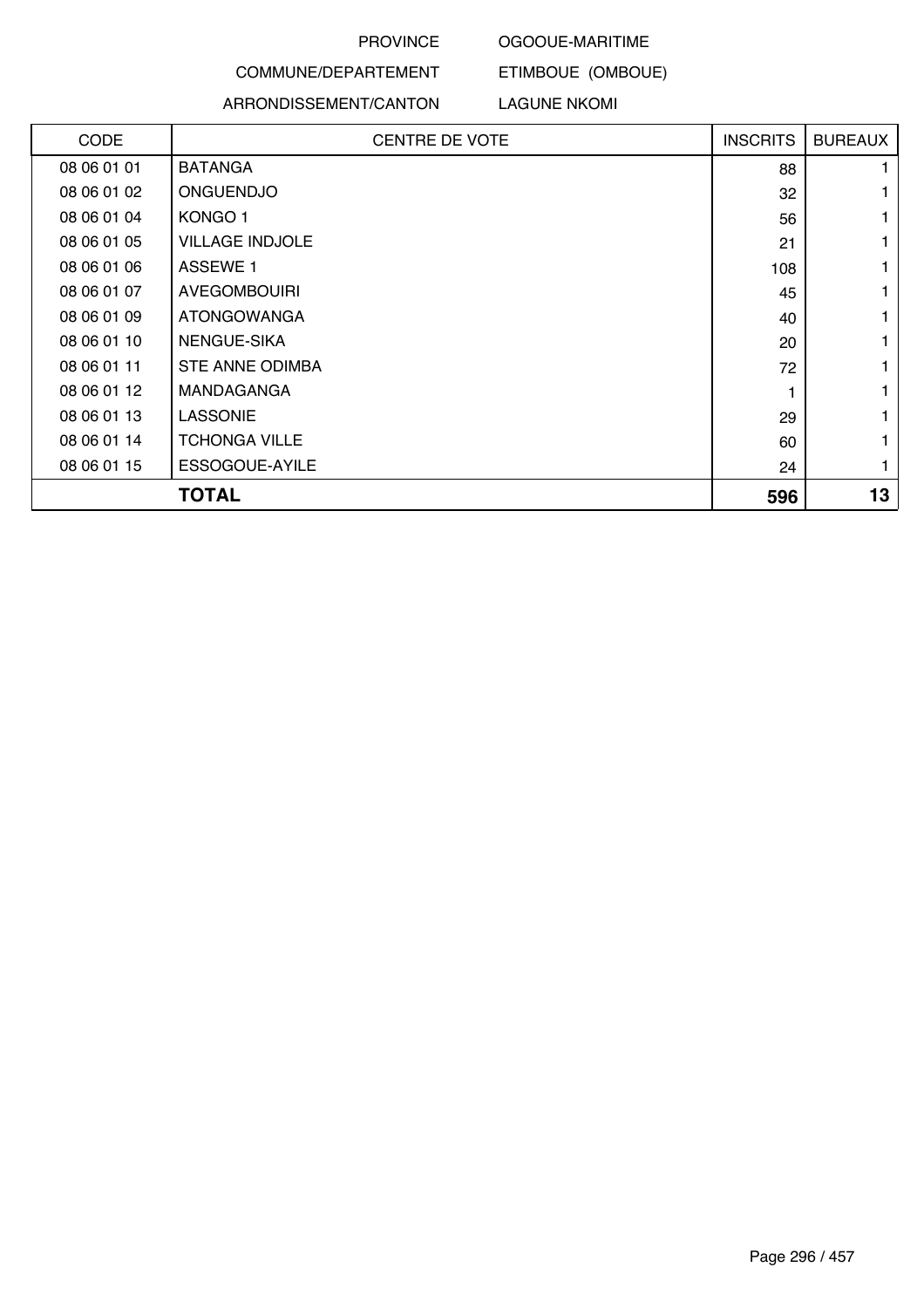#### OGOOUE-MARITIME

ETIMBOUE (OMBOUE)

# COMMUNE/DEPARTEMENT ARRONDISSEMENT/CANTON

### LAGUNE NKOMI

| CODE        | <b>CENTRE DE VOTE</b>  | <b>INSCRITS</b> | <b>BUREAUX</b> |
|-------------|------------------------|-----------------|----------------|
| 08 06 01 01 | <b>BATANGA</b>         | 88              |                |
| 08 06 01 02 | <b>ONGUENDJO</b>       | 32              |                |
| 08 06 01 04 | KONGO 1                | 56              |                |
| 08 06 01 05 | <b>VILLAGE INDJOLE</b> | 21              |                |
| 08 06 01 06 | <b>ASSEWE 1</b>        | 108             |                |
| 08 06 01 07 | <b>AVEGOMBOUIRI</b>    | 45              |                |
| 08 06 01 09 | <b>ATONGOWANGA</b>     | 40              |                |
| 08 06 01 10 | NENGUE-SIKA            | 20              |                |
| 08 06 01 11 | STE ANNE ODIMBA        | 72              |                |
| 08 06 01 12 | <b>MANDAGANGA</b>      |                 |                |
| 08 06 01 13 | <b>LASSONIE</b>        | 29              |                |
| 08 06 01 14 | <b>TCHONGA VILLE</b>   | 60              |                |
| 08 06 01 15 | ESSOGOUE-AYILE         | 24              |                |
|             | <b>TOTAL</b>           | 596             | 13             |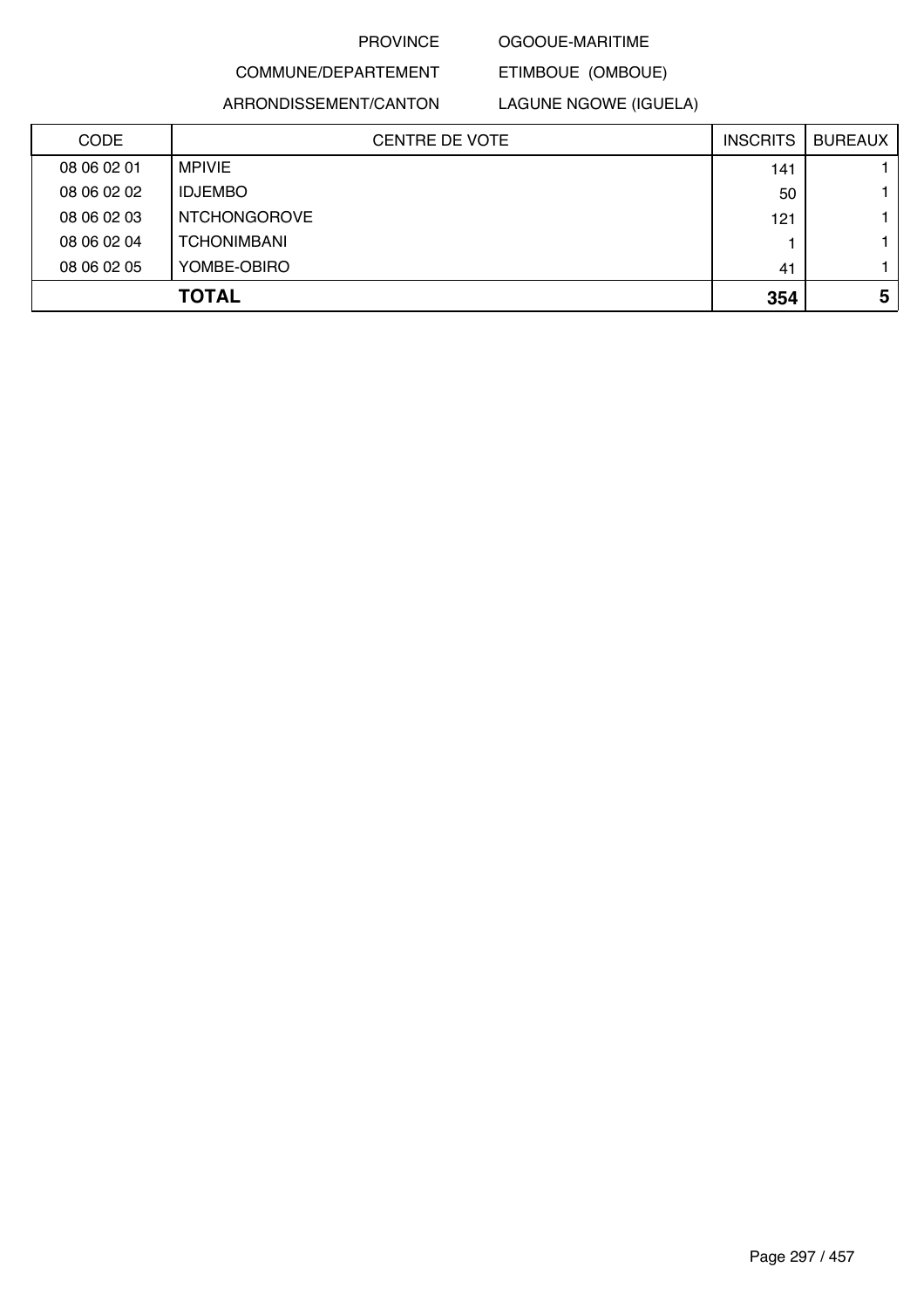#### OGOOUE-MARITIME

ETIMBOUE (OMBOUE)

# COMMUNE/DEPARTEMENT ARRONDISSEMENT/CANTON

LAGUNE NGOWE (IGUELA)

| <b>CODE</b> | <b>CENTRE DE VOTE</b> | <b>INSCRITS</b> | <b>BUREAUX</b> |
|-------------|-----------------------|-----------------|----------------|
| 08 06 02 01 | MPIVIE                | 141             |                |
| 08 06 02 02 | <b>IDJEMBO</b>        | 50              | 1.             |
| 08 06 02 03 | <b>NTCHONGOROVE</b>   | 121             | 1.             |
| 08 06 02 04 | <b>TCHONIMBANI</b>    |                 | 1.             |
| 08 06 02 05 | YOMBE-OBIRO           | 41              | 1.             |
|             | <b>TOTAL</b>          | 354             | 5              |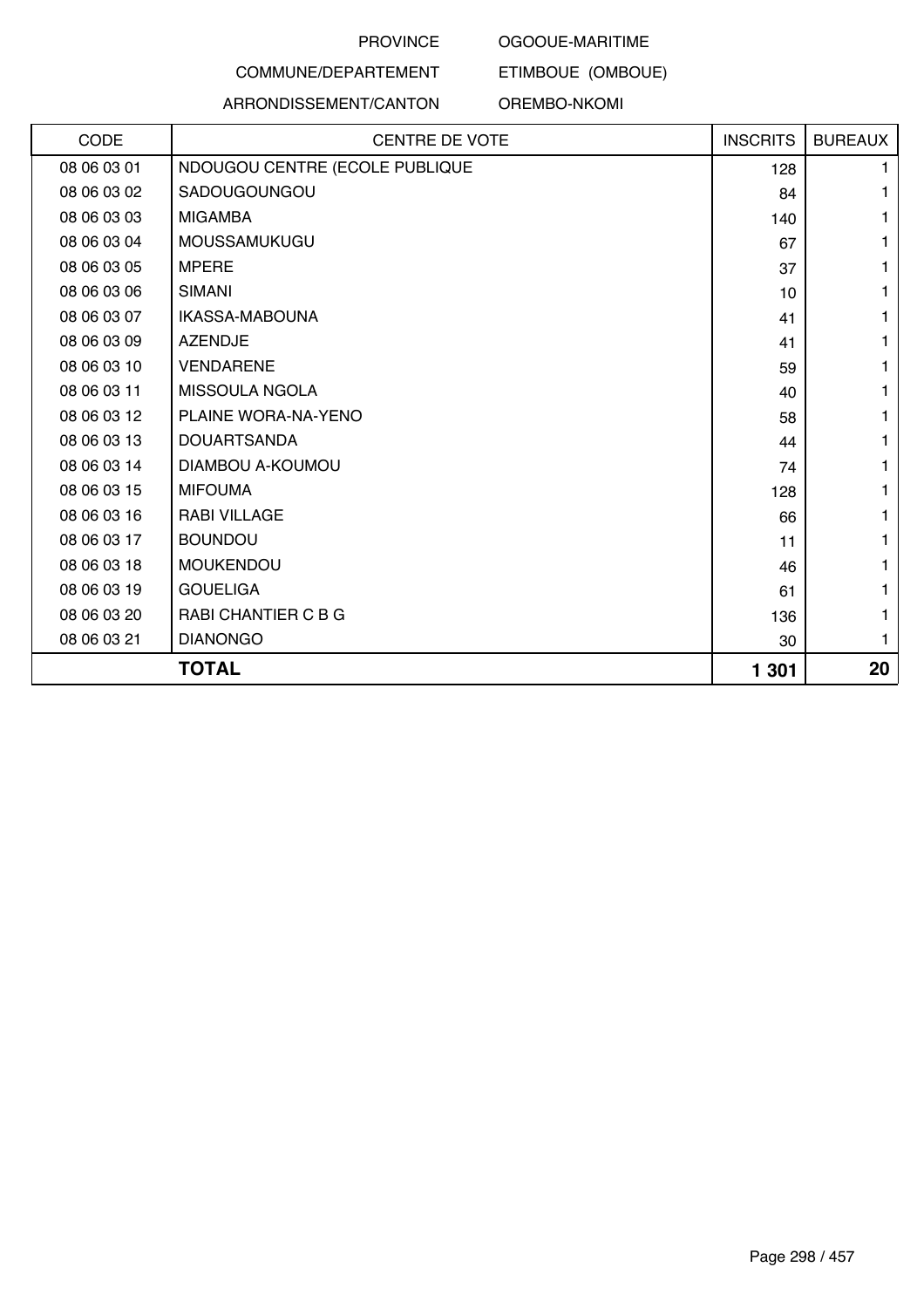#### OGOOUE-MARITIME

ETIMBOUE (OMBOUE)

# COMMUNE/DEPARTEMENT

# ARRONDISSEMENT/CANTON

OREMBO-NKOMI

| CODE<br><b>CENTRE DE VOTE</b>                 | <b>INSCRITS</b> | <b>BUREAUX</b> |
|-----------------------------------------------|-----------------|----------------|
| 08 06 03 01<br>NDOUGOU CENTRE (ECOLE PUBLIQUE | 128             |                |
| SADOUGOUNGOU<br>08 06 03 02                   | 84              |                |
| 08 06 03 03<br><b>MIGAMBA</b>                 | 140             |                |
| 08 06 03 04<br>MOUSSAMUKUGU                   | 67              |                |
| 08 06 03 05<br><b>MPERE</b>                   | 37              |                |
| 08 06 03 06<br><b>SIMANI</b>                  | 10              |                |
| 08 06 03 07<br>IKASSA-MABOUNA                 | 41              |                |
| <b>AZENDJE</b><br>08 06 03 09                 | 41              |                |
| <b>VENDARENE</b><br>08 06 03 10               | 59              |                |
| MISSOULA NGOLA<br>08 06 03 11                 | 40              |                |
| 08 06 03 12<br>PLAINE WORA-NA-YENO            | 58              |                |
| 08 06 03 13<br><b>DOUARTSANDA</b>             | 44              |                |
| 08 06 03 14<br>DIAMBOU A-KOUMOU               | 74              |                |
| 08 06 03 15<br><b>MIFOUMA</b>                 | 128             |                |
| <b>RABI VILLAGE</b><br>08 06 03 16            | 66              |                |
| <b>BOUNDOU</b><br>08 06 03 17                 | 11              |                |
| 08 06 03 18<br><b>MOUKENDOU</b>               | 46              |                |
| 08 06 03 19<br><b>GOUELIGA</b>                | 61              |                |
| RABI CHANTIER C B G<br>08 06 03 20            | 136             | 1              |
| <b>DIANONGO</b><br>08 06 03 21                | 30              | 1              |
| <b>TOTAL</b>                                  | 1 301           | 20             |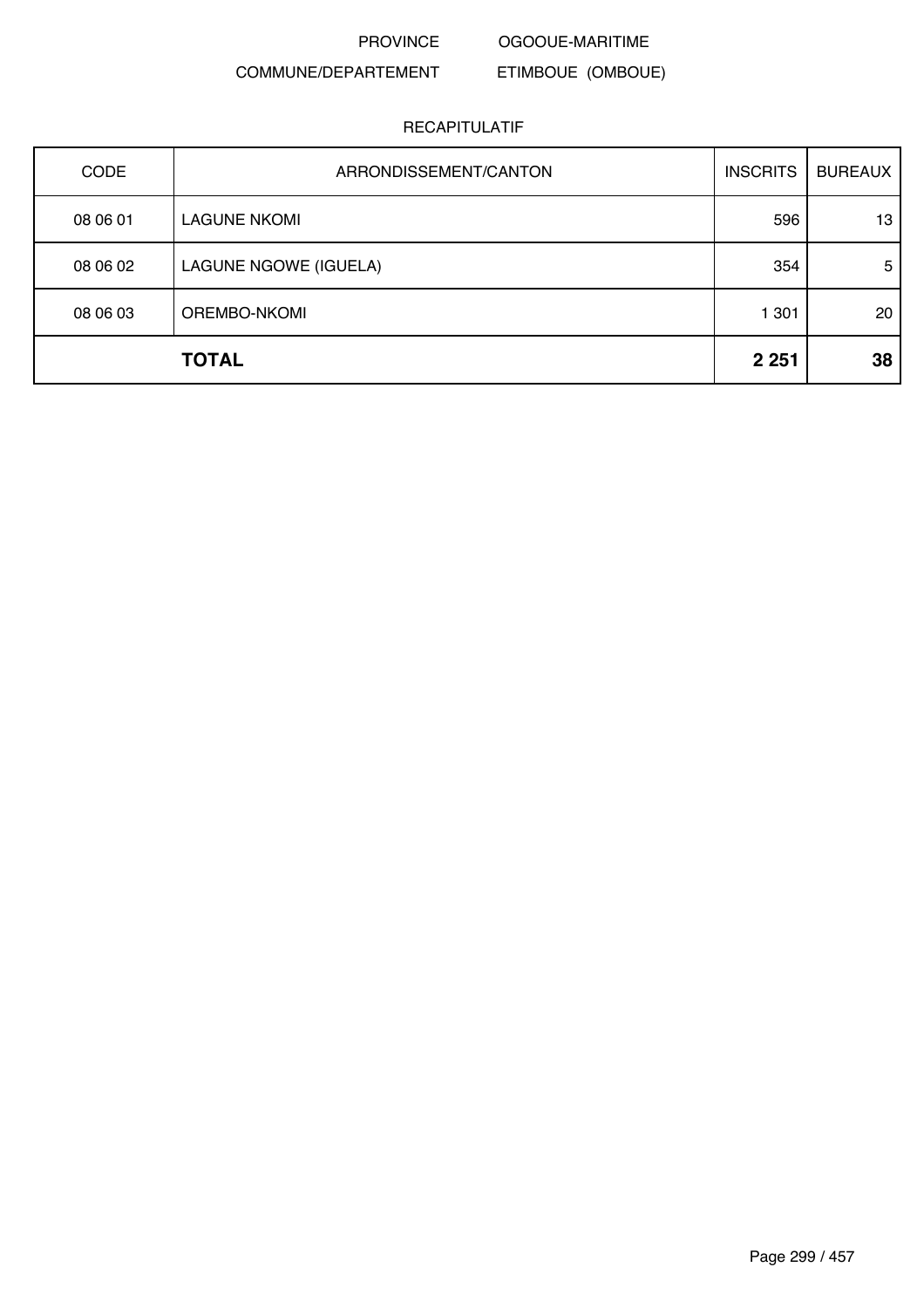PROVINCE OGOOUE-MARITIME

# COMMUNE/DEPARTEMENT

# ETIMBOUE (OMBOUE)

| <b>CODE</b>  | ARRONDISSEMENT/CANTON | <b>INSCRITS</b> | <b>BUREAUX</b> |
|--------------|-----------------------|-----------------|----------------|
| 08 06 01     | <b>LAGUNE NKOMI</b>   | 596             | 13             |
| 08 06 02     | LAGUNE NGOWE (IGUELA) | 354             | 5              |
| 08 06 03     | OREMBO-NKOMI          | 1 301           | 20             |
| <b>TOTAL</b> |                       | 2 2 5 1         | 38             |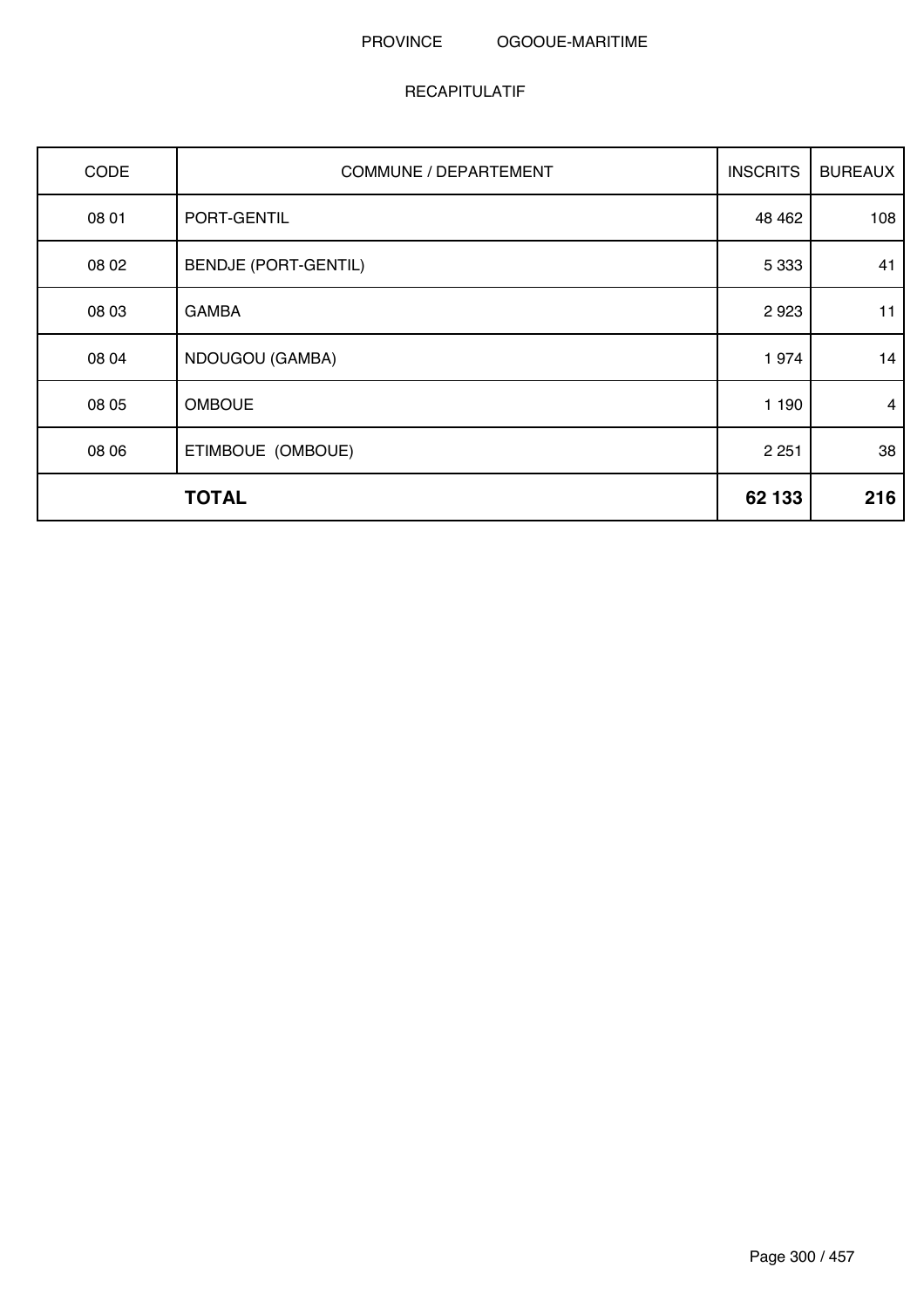| CODE  | <b>COMMUNE / DEPARTEMENT</b> | <b>INSCRITS</b> | <b>BUREAUX</b> |
|-------|------------------------------|-----------------|----------------|
| 08 01 | PORT-GENTIL                  | 48 4 62         | 108            |
| 08 02 | <b>BENDJE (PORT-GENTIL)</b>  | 5 3 3 3         | 41             |
| 08 03 | <b>GAMBA</b>                 | 2923            | 11             |
| 08 04 | NDOUGOU (GAMBA)              | 1974            | 14             |
| 08 05 | <b>OMBOUE</b>                | 1 190           | 4              |
| 08 06 | ETIMBOUE (OMBOUE)            | 2 2 5 1         | 38             |
|       | <b>TOTAL</b>                 | 62 133          | 216            |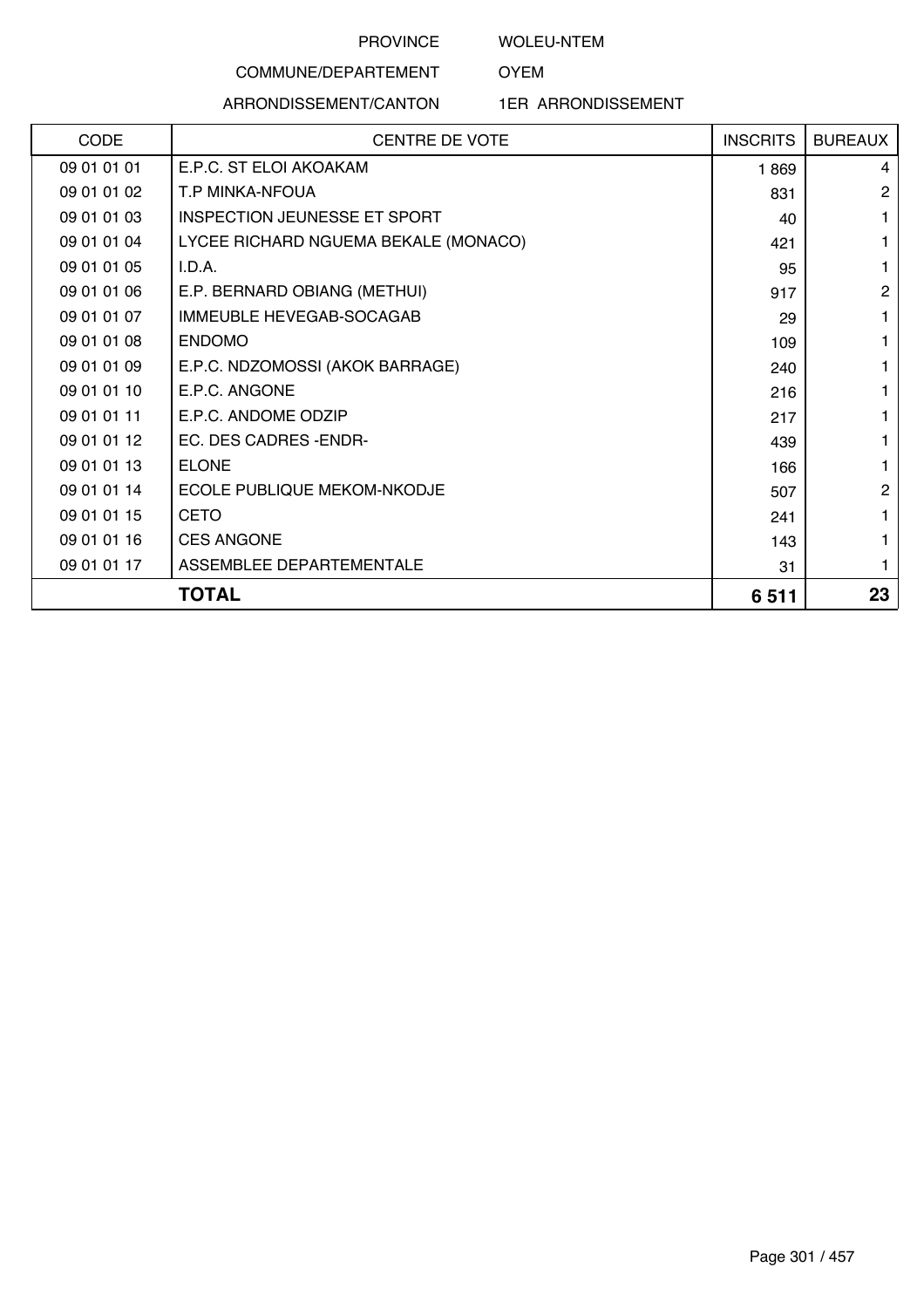WOLEU-NTEM

OYEM

# COMMUNE/DEPARTEMENT ARRONDISSEMENT/CANTON

1ER ARRONDISSEMENT

|             | <b>TOTAL</b>                         | 6511            | 23             |
|-------------|--------------------------------------|-----------------|----------------|
| 09 01 01 17 | ASSEMBLEE DEPARTEMENTALE             | 31              | 1              |
| 09 01 01 16 | <b>CES ANGONE</b>                    | 143             |                |
| 09 01 01 15 | <b>CETO</b>                          | 241             |                |
| 09 01 01 14 | ECOLE PUBLIQUE MEKOM-NKODJE          | 507             | $\overline{2}$ |
| 09 01 01 13 | <b>ELONE</b>                         | 166             |                |
| 09 01 01 12 | EC. DES CADRES - ENDR-               | 439             |                |
| 09 01 01 11 | E.P.C. ANDOME ODZIP                  | 217             |                |
| 09 01 01 10 | E.P.C. ANGONE                        | 216             |                |
| 09 01 01 09 | E.P.C. NDZOMOSSI (AKOK BARRAGE)      | 240             |                |
| 09 01 01 08 | <b>ENDOMO</b>                        | 109             |                |
| 09 01 01 07 | IMMEUBLE HEVEGAB-SOCAGAB             | 29              |                |
| 09 01 01 06 | E.P. BERNARD OBIANG (METHUI)         | 917             | $\overline{2}$ |
| 09 01 01 05 | I.D.A.                               | 95              |                |
| 09 01 01 04 | LYCEE RICHARD NGUEMA BEKALE (MONACO) | 421             |                |
| 09 01 01 03 | <b>INSPECTION JEUNESSE ET SPORT</b>  | 40              |                |
| 09 01 01 02 | T.P MINKA-NFOUA                      | 831             | $\overline{2}$ |
| 09 01 01 01 | E.P.C. ST ELOI AKOAKAM               | 1869            | 4              |
| CODE        | <b>CENTRE DE VOTE</b>                | <b>INSCRITS</b> | <b>BUREAUX</b> |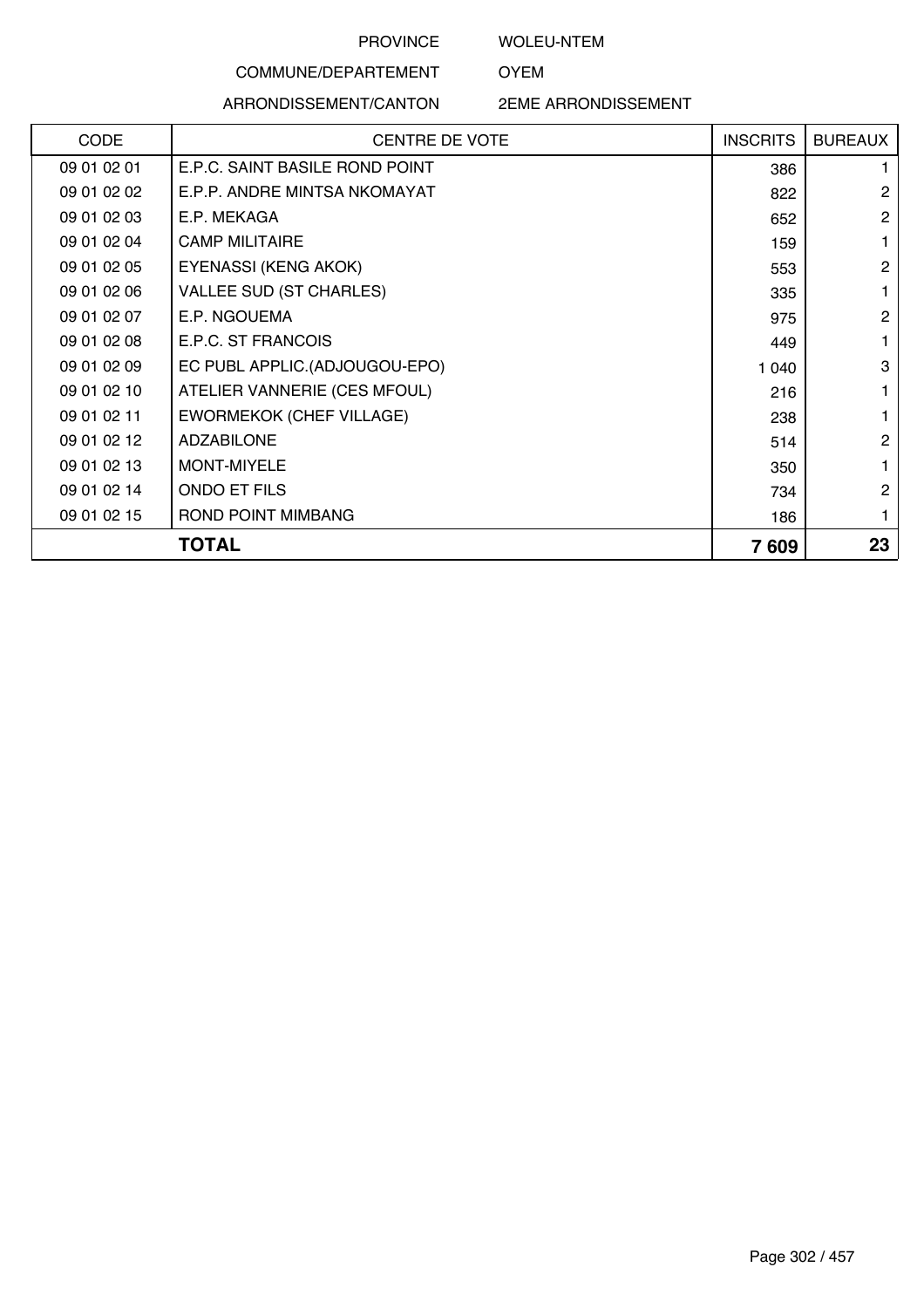WOLEU-NTEM

OYEM

#### ARRONDISSEMENT/CANTON

COMMUNE/DEPARTEMENT

2EME ARRONDISSEMENT

| <b>CODE</b> | <b>CENTRE DE VOTE</b>           | <b>INSCRITS</b> | <b>BUREAUX</b> |
|-------------|---------------------------------|-----------------|----------------|
| 09 01 02 01 | E.P.C. SAINT BASILE ROND POINT  | 386             |                |
| 09 01 02 02 | E.P.P. ANDRE MINTSA NKOMAYAT    | 822             | $\overline{2}$ |
| 09 01 02 03 | E.P. MEKAGA                     | 652             | $\overline{2}$ |
| 09 01 02 04 | <b>CAMP MILITAIRE</b>           | 159             |                |
| 09 01 02 05 | EYENASSI (KENG AKOK)            | 553             | $\overline{2}$ |
| 09 01 02 06 | <b>VALLEE SUD (ST CHARLES)</b>  | 335             |                |
| 09 01 02 07 | E.P. NGOUEMA                    | 975             | 2              |
| 09 01 02 08 | E.P.C. ST FRANCOIS              | 449             |                |
| 09 01 02 09 | EC PUBL APPLIC.(ADJOUGOU-EPO)   | 1 040           | 3              |
| 09 01 02 10 | ATELIER VANNERIE (CES MFOUL)    | 216             |                |
| 09 01 02 11 | <b>EWORMEKOK (CHEF VILLAGE)</b> | 238             |                |
| 09 01 02 12 | <b>ADZABILONE</b>               | 514             | $\overline{2}$ |
| 09 01 02 13 | MONT-MIYELE                     | 350             |                |
| 09 01 02 14 | ONDO ET FILS                    | 734             | 2              |
| 09 01 02 15 | ROND POINT MIMBANG              | 186             |                |
|             | <b>TOTAL</b>                    | 7609            | 23             |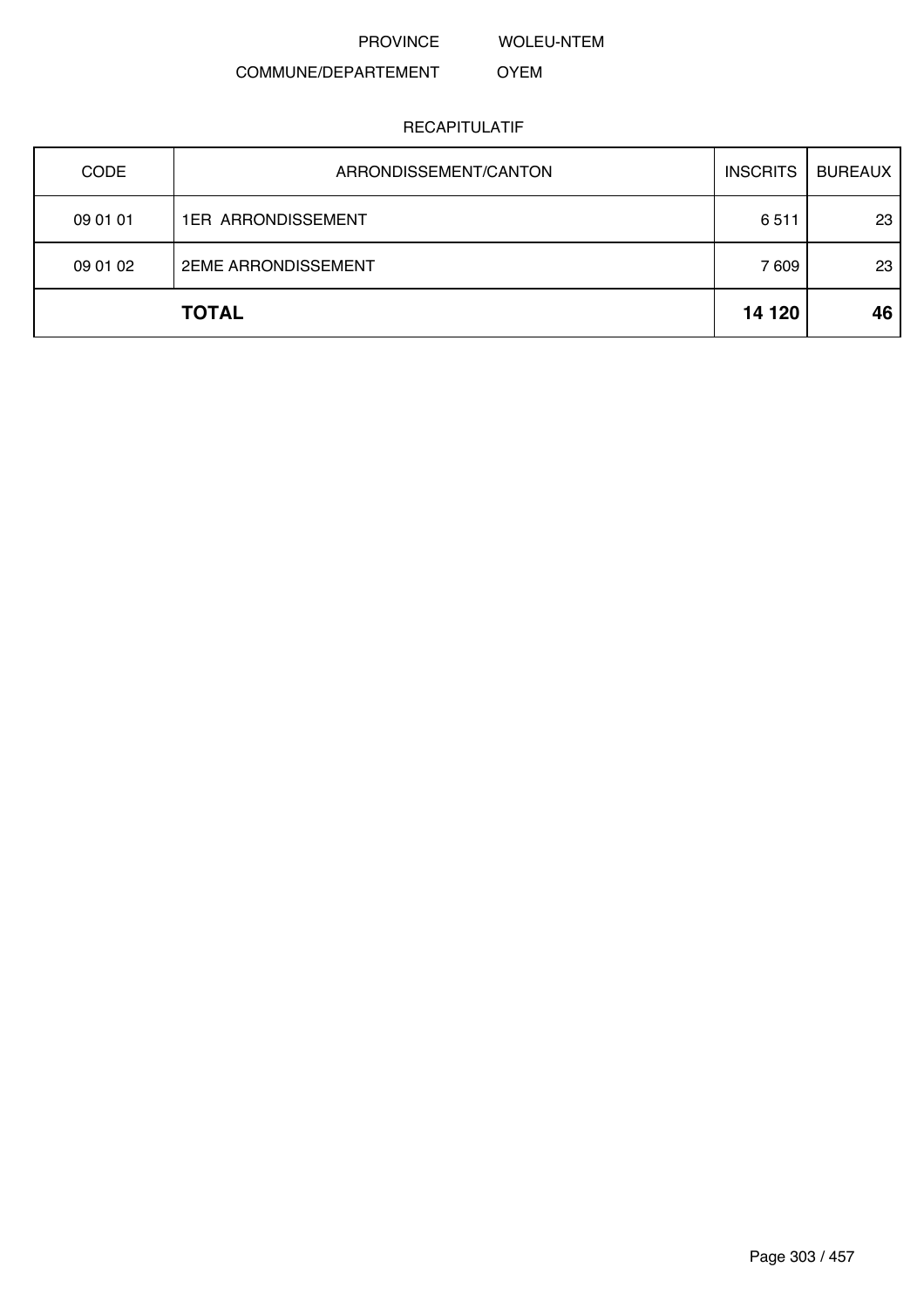PROVINCE WOLEU-NTEM

#### COMMUNE/DEPARTEMENT OYEM

| <b>CODE</b> | ARRONDISSEMENT/CANTON      | <b>INSCRITS</b> | <b>BUREAUX</b> |
|-------------|----------------------------|-----------------|----------------|
| 09 01 01    | <b>1ER ARRONDISSEMENT</b>  | 6511            | 23             |
| 09 01 02    | <b>2EME ARRONDISSEMENT</b> | 7 609           | 23             |
|             | <b>TOTAL</b>               | 14 120          | 46             |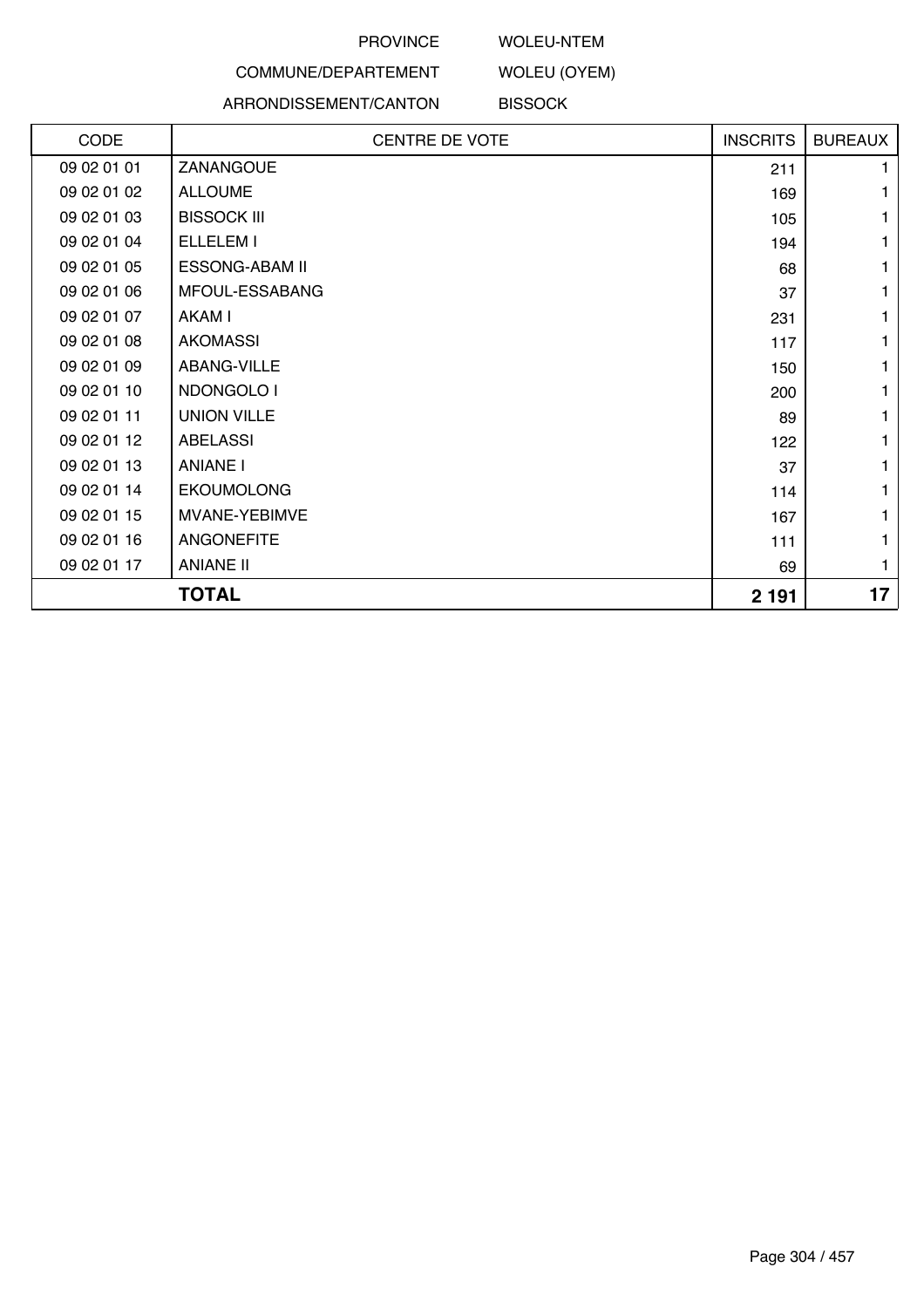#### WOLEU-NTEM

WOLEU (OYEM)

# COMMUNE/DEPARTEMENT

#### ARRONDISSEMENT/CANTON **BISSOCK**

| CODE        | <b>CENTRE DE VOTE</b> | <b>INSCRITS</b> | <b>BUREAUX</b> |
|-------------|-----------------------|-----------------|----------------|
| 09 02 01 01 | ZANANGOUE             | 211             |                |
| 09 02 01 02 | <b>ALLOUME</b>        | 169             |                |
| 09 02 01 03 | <b>BISSOCK III</b>    | 105             |                |
| 09 02 01 04 | ELLELEM I             | 194             | 1              |
| 09 02 01 05 | <b>ESSONG-ABAM II</b> | 68              |                |
| 09 02 01 06 | MFOUL-ESSABANG        | 37              |                |
| 09 02 01 07 | AKAM I                | 231             |                |
| 09 02 01 08 | <b>AKOMASSI</b>       | 117             |                |
| 09 02 01 09 | ABANG-VILLE           | 150             | 1              |
| 09 02 01 10 | NDONGOLO I            | 200             |                |
| 09 02 01 11 | <b>UNION VILLE</b>    | 89              |                |
| 09 02 01 12 | <b>ABELASSI</b>       | 122             |                |
| 09 02 01 13 | <b>ANIANE I</b>       | 37              |                |
| 09 02 01 14 | <b>EKOUMOLONG</b>     | 114             | 1              |
| 09 02 01 15 | MVANE-YEBIMVE         | 167             |                |
| 09 02 01 16 | <b>ANGONEFITE</b>     | 111             |                |
| 09 02 01 17 | <b>ANIANE II</b>      | 69              | 1              |
|             | <b>TOTAL</b>          | 2 1 9 1         | 17             |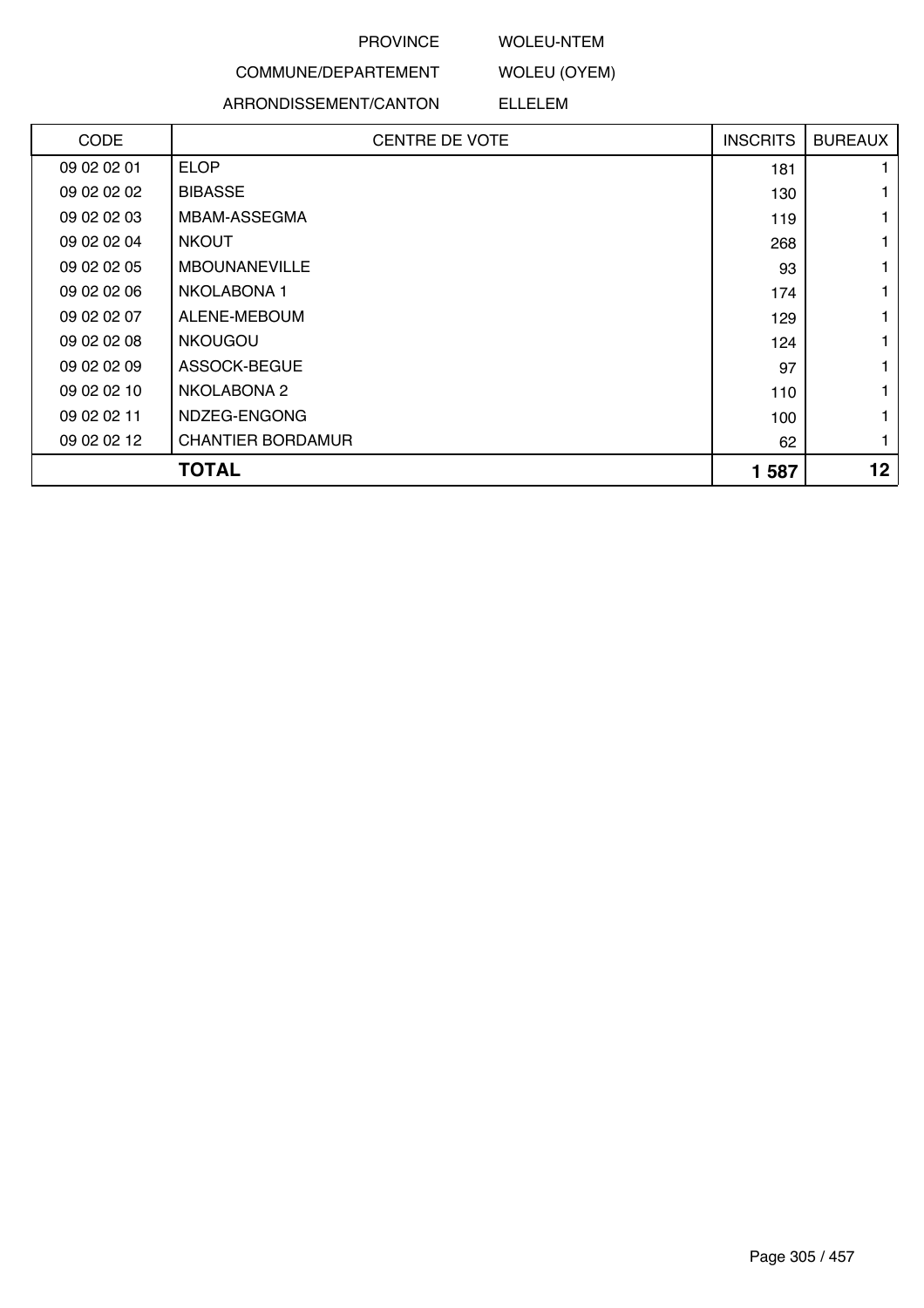#### WOLEU-NTEM

WOLEU (OYEM)

# COMMUNE/DEPARTEMENT

#### ARRONDISSEMENT/CANTON ELLELEM

| <b>CODE</b> | <b>CENTRE DE VOTE</b>    | <b>INSCRITS</b> | <b>BUREAUX</b> |
|-------------|--------------------------|-----------------|----------------|
| 09 02 02 01 | <b>ELOP</b>              | 181             |                |
| 09 02 02 02 | <b>BIBASSE</b>           | 130             |                |
| 09 02 02 03 | MBAM-ASSEGMA             | 119             |                |
| 09 02 02 04 | <b>NKOUT</b>             | 268             |                |
| 09 02 02 05 | <b>MBOUNANEVILLE</b>     | 93              | 1              |
| 09 02 02 06 | NKOLABONA 1              | 174             |                |
| 09 02 02 07 | ALENE-MEBOUM             | 129             | 1              |
| 09 02 02 08 | <b>NKOUGOU</b>           | 124             | 1              |
| 09 02 02 09 | ASSOCK-BEGUE             | 97              |                |
| 09 02 02 10 | NKOLABONA 2              | 110             | 1              |
| 09 02 02 11 | NDZEG-ENGONG             | 100             |                |
| 09 02 02 12 | <b>CHANTIER BORDAMUR</b> | 62              | 1              |
|             | <b>TOTAL</b>             | 1587            | 12             |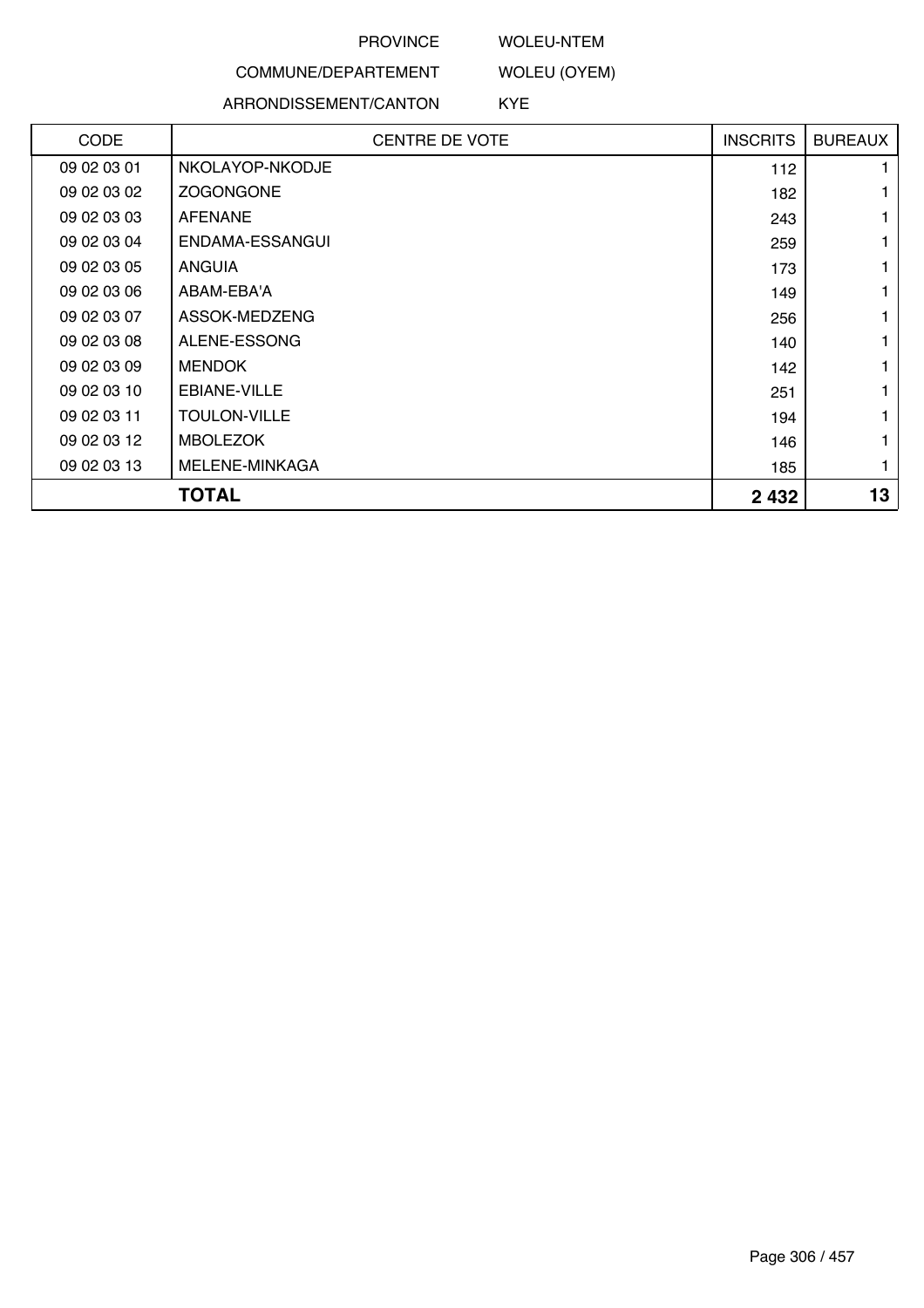### WOLEU-NTEM

# COMMUNE/DEPARTEMENT

## ARRONDISSEMENT/CANTON

WOLEU (OYEM) KYE

| <b>CODE</b> | <b>CENTRE DE VOTE</b> | <b>INSCRITS</b> | <b>BUREAUX</b> |
|-------------|-----------------------|-----------------|----------------|
| 09 02 03 01 | NKOLAYOP-NKODJE       | 112             |                |
| 09 02 03 02 | <b>ZOGONGONE</b>      | 182             |                |
| 09 02 03 03 | AFENANE               | 243             |                |
| 09 02 03 04 | ENDAMA-ESSANGUI       | 259             |                |
| 09 02 03 05 | <b>ANGUIA</b>         | 173             |                |
| 09 02 03 06 | ABAM-EBA'A            | 149             |                |
| 09 02 03 07 | ASSOK-MEDZENG         | 256             |                |
| 09 02 03 08 | ALENE-ESSONG          | 140             |                |
| 09 02 03 09 | <b>MENDOK</b>         | 142             |                |
| 09 02 03 10 | EBIANE-VILLE          | 251             |                |
| 09 02 03 11 | <b>TOULON-VILLE</b>   | 194             |                |
| 09 02 03 12 | <b>MBOLEZOK</b>       | 146             |                |
| 09 02 03 13 | MELENE-MINKAGA        | 185             |                |
|             | <b>TOTAL</b>          | 2 4 3 2         | 13             |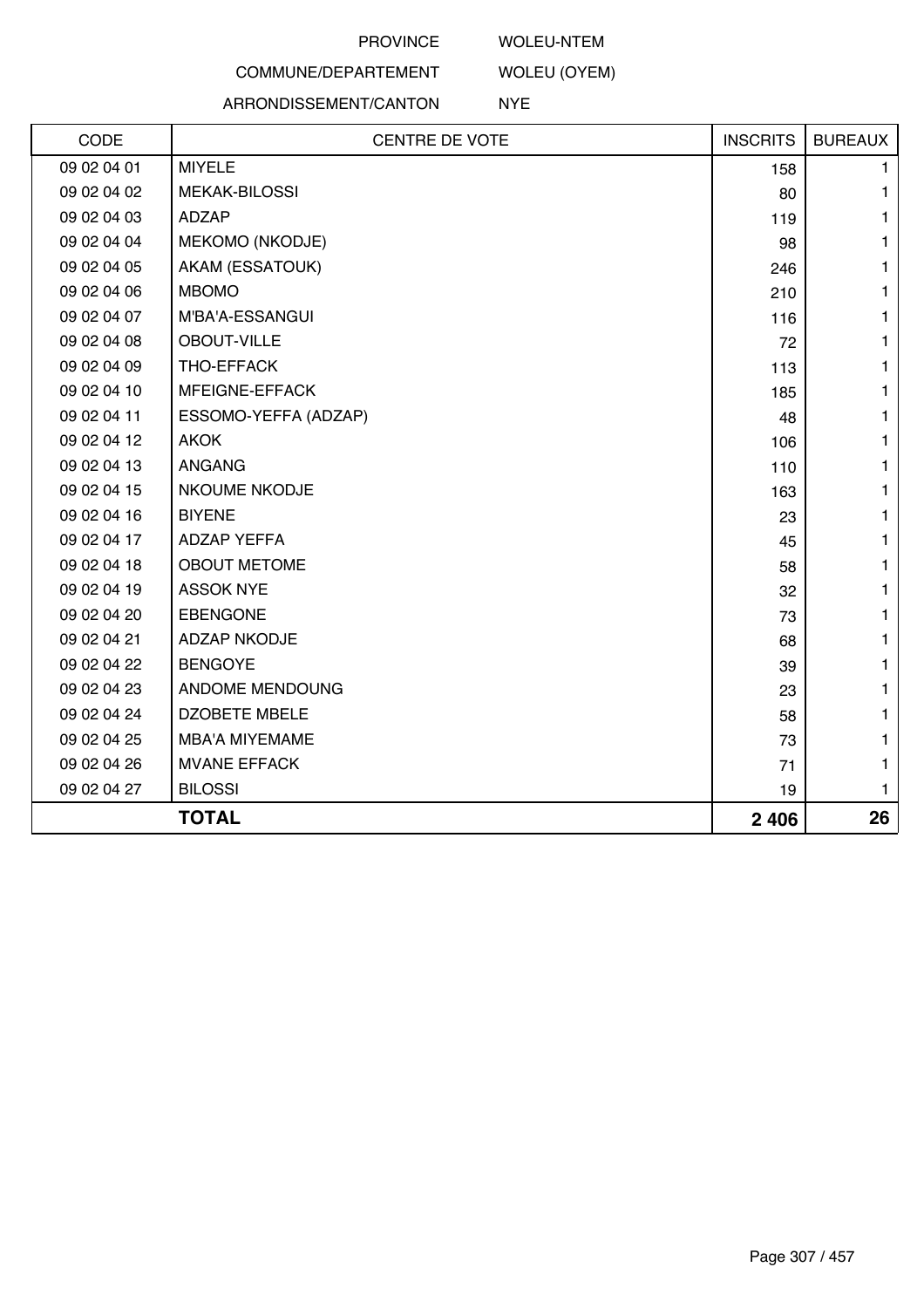## WOLEU-NTEM

WOLEU (OYEM)

# COMMUNE/DEPARTEMENT

## ARRONDISSEMENT/CANTON

NYE

| CODE        | <b>CENTRE DE VOTE</b>  | <b>INSCRITS</b> | <b>BUREAUX</b> |
|-------------|------------------------|-----------------|----------------|
| 09 02 04 01 | <b>MIYELE</b>          | 158             | 1.             |
| 09 02 04 02 | <b>MEKAK-BILOSSI</b>   | 80              | $\mathbf{1}$   |
| 09 02 04 03 | <b>ADZAP</b>           | 119             | 1              |
| 09 02 04 04 | <b>MEKOMO (NKODJE)</b> | 98              | 1              |
| 09 02 04 05 | AKAM (ESSATOUK)        | 246             | 1              |
| 09 02 04 06 | <b>MBOMO</b>           | 210             | 1              |
| 09 02 04 07 | M'BA'A-ESSANGUI        | 116             | 1              |
| 09 02 04 08 | <b>OBOUT-VILLE</b>     | 72              | 1              |
| 09 02 04 09 | THO-EFFACK             | 113             | 1              |
| 09 02 04 10 | MFEIGNE-EFFACK         | 185             | $\mathbf{1}$   |
| 09 02 04 11 | ESSOMO-YEFFA (ADZAP)   | 48              | $\mathbf{1}$   |
| 09 02 04 12 | <b>AKOK</b>            | 106             | 1              |
| 09 02 04 13 | <b>ANGANG</b>          | 110             | 1              |
| 09 02 04 15 | <b>NKOUME NKODJE</b>   | 163             | 1              |
| 09 02 04 16 | <b>BIYENE</b>          | 23              | 1              |
| 09 02 04 17 | <b>ADZAP YEFFA</b>     | 45              | 1              |
| 09 02 04 18 | <b>OBOUT METOME</b>    | 58              | 1              |
| 09 02 04 19 | <b>ASSOK NYE</b>       | 32              | 1              |
| 09 02 04 20 | <b>EBENGONE</b>        | 73              | 1              |
| 09 02 04 21 | <b>ADZAP NKODJE</b>    | 68              | $\mathbf{1}$   |
| 09 02 04 22 | <b>BENGOYE</b>         | 39              | 1              |
| 09 02 04 23 | ANDOME MENDOUNG        | 23              | 1              |
| 09 02 04 24 | <b>DZOBETE MBELE</b>   | 58              | 1              |
| 09 02 04 25 | <b>MBA'A MIYEMAME</b>  | 73              | 1              |
| 09 02 04 26 | <b>MVANE EFFACK</b>    | 71              | $\mathbf{1}$   |
| 09 02 04 27 | <b>BILOSSI</b>         | 19              | $\mathbf{1}$   |
|             | <b>TOTAL</b>           | 2 4 0 6         | 26             |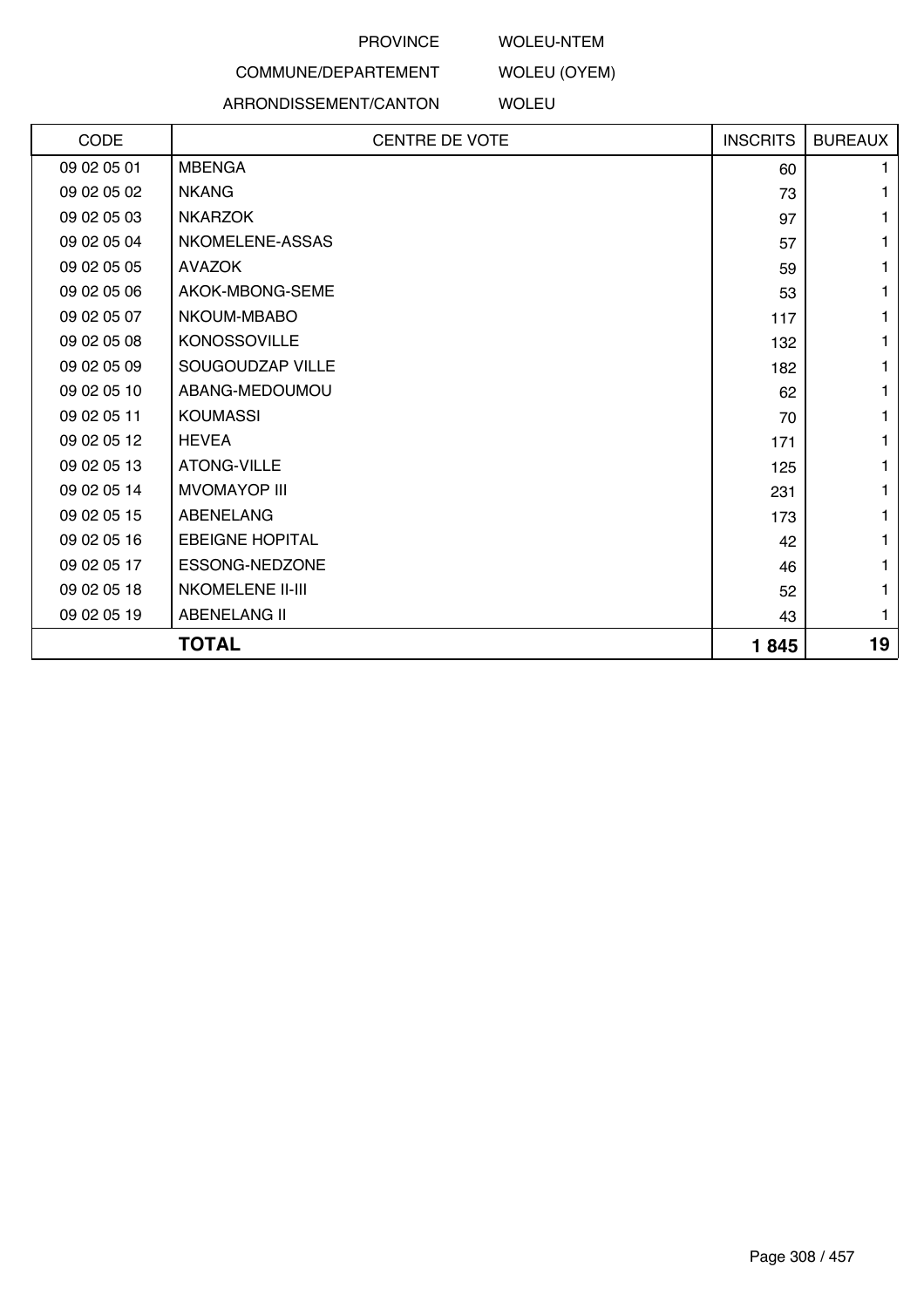### WOLEU-NTEM

WOLEU (OYEM)

# COMMUNE/DEPARTEMENT

#### ARRONDISSEMENT/CANTON

WOLEU

| CODE        | <b>CENTRE DE VOTE</b>   | <b>INSCRITS</b> | <b>BUREAUX</b> |
|-------------|-------------------------|-----------------|----------------|
| 09 02 05 01 | <b>MBENGA</b>           | 60              |                |
| 09 02 05 02 | <b>NKANG</b>            | 73              |                |
| 09 02 05 03 | <b>NKARZOK</b>          | 97              |                |
| 09 02 05 04 | NKOMELENE-ASSAS         | 57              |                |
| 09 02 05 05 | <b>AVAZOK</b>           | 59              |                |
| 09 02 05 06 | AKOK-MBONG-SEME         | 53              |                |
| 09 02 05 07 | NKOUM-MBABO             | 117             |                |
| 09 02 05 08 | <b>KONOSSOVILLE</b>     | 132             |                |
| 09 02 05 09 | SOUGOUDZAP VILLE        | 182             |                |
| 09 02 05 10 | ABANG-MEDOUMOU          | 62              |                |
| 09 02 05 11 | <b>KOUMASSI</b>         | 70              |                |
| 09 02 05 12 | <b>HEVEA</b>            | 171             |                |
| 09 02 05 13 | ATONG-VILLE             | 125             |                |
| 09 02 05 14 | <b>MVOMAYOP III</b>     | 231             |                |
| 09 02 05 15 | ABENELANG               | 173             |                |
| 09 02 05 16 | <b>EBEIGNE HOPITAL</b>  | 42              |                |
| 09 02 05 17 | ESSONG-NEDZONE          | 46              |                |
| 09 02 05 18 | <b>NKOMELENE II-III</b> | 52              |                |
| 09 02 05 19 | <b>ABENELANG II</b>     | 43              | 1              |
|             | <b>TOTAL</b>            | 1845            | 19             |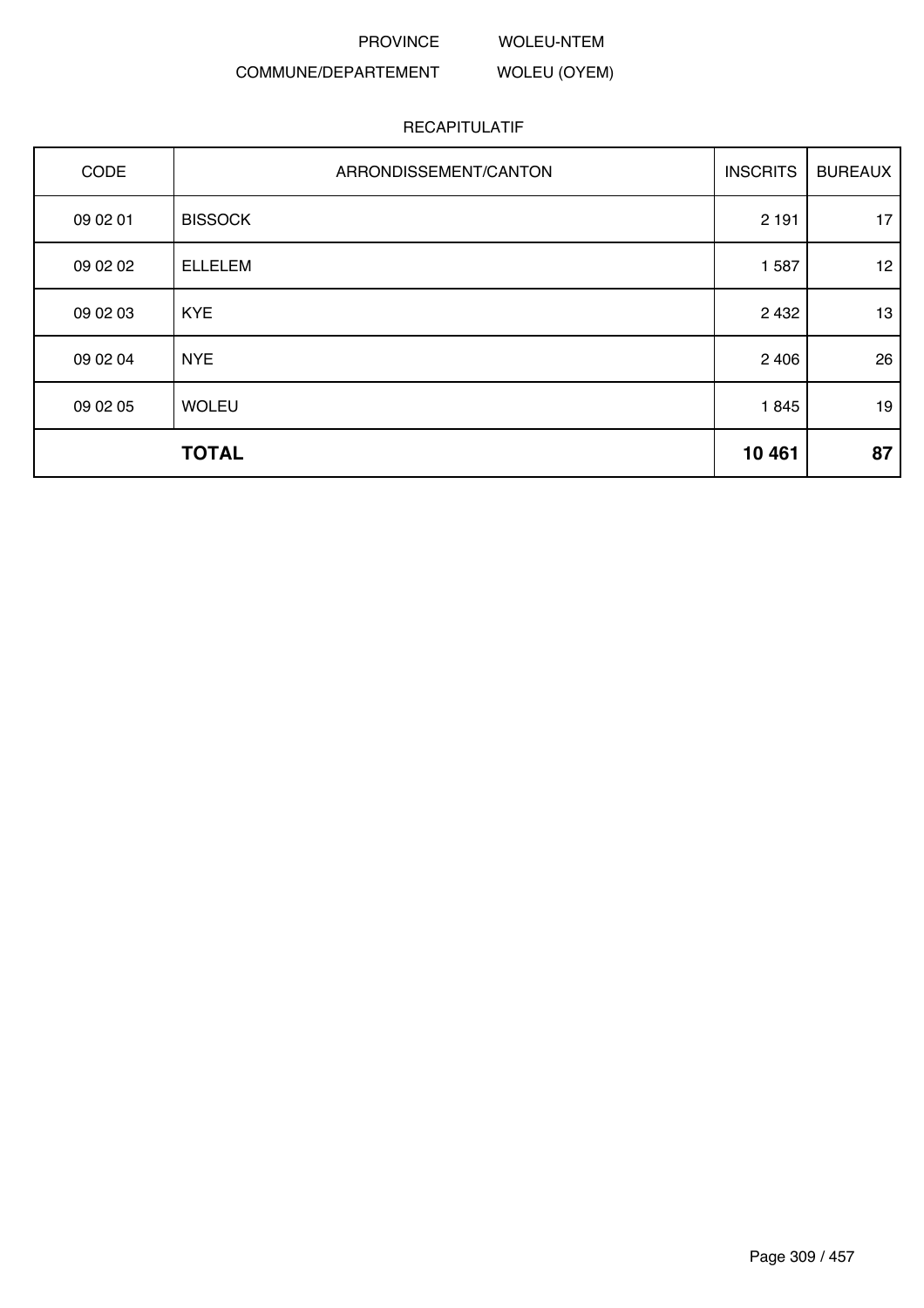PROVINCE WOLEU-NTEM

WOLEU (OYEM)

# COMMUNE/DEPARTEMENT

| CODE     | ARRONDISSEMENT/CANTON | <b>INSCRITS</b> | <b>BUREAUX</b>   |
|----------|-----------------------|-----------------|------------------|
| 09 02 01 | <b>BISSOCK</b>        | 2 1 9 1         | 17               |
| 09 02 02 | <b>ELLELEM</b>        | 1 5 8 7         | 12 <sup>12</sup> |
| 09 02 03 | <b>KYE</b>            | 2 4 3 2         | 13               |
| 09 02 04 | <b>NYE</b>            | 2 4 0 6         | 26               |
| 09 02 05 | <b>WOLEU</b>          | 1845            | 19               |
|          | <b>TOTAL</b>          | 10 4 61         | 87               |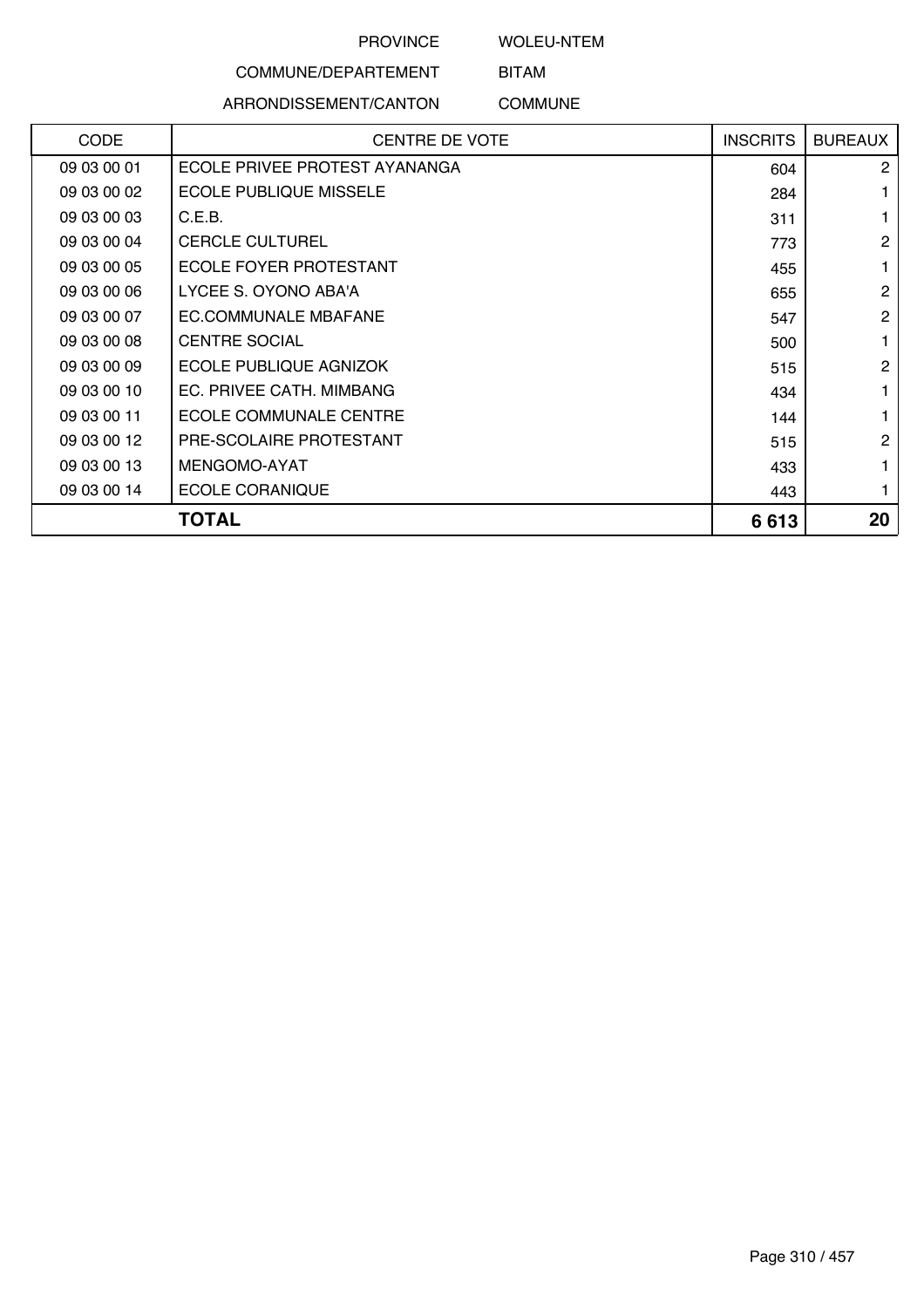WOLEU-NTEM

# COMMUNE/DEPARTEMENT

# ARRONDISSEMENT/CANTON

BITAM COMMUNE

| <b>CODE</b> | <b>CENTRE DE VOTE</b>         | <b>INSCRITS</b> | <b>BUREAUX</b> |
|-------------|-------------------------------|-----------------|----------------|
| 09 03 00 01 | ECOLE PRIVEE PROTEST AYANANGA | 604             | $\overline{2}$ |
| 09 03 00 02 | <b>ECOLE PUBLIQUE MISSELE</b> | 284             |                |
| 09 03 00 03 | C.E.B.                        | 311             |                |
| 09 03 00 04 | <b>CERCLE CULTUREL</b>        | 773             | $\overline{c}$ |
| 09 03 00 05 | ECOLE FOYER PROTESTANT        | 455             | 1              |
| 09 03 00 06 | LYCEE S. OYONO ABA'A          | 655             | $\overline{2}$ |
| 09 03 00 07 | EC.COMMUNALE MBAFANE          | 547             | $\overline{2}$ |
| 09 03 00 08 | <b>CENTRE SOCIAL</b>          | 500             |                |
| 09 03 00 09 | ECOLE PUBLIQUE AGNIZOK        | 515             | $\overline{2}$ |
| 09 03 00 10 | EC. PRIVEE CATH. MIMBANG      | 434             |                |
| 09 03 00 11 | ECOLE COMMUNALE CENTRE        | 144             |                |
| 09 03 00 12 | PRE-SCOLAIRE PROTESTANT       | 515             | $\overline{2}$ |
| 09 03 00 13 | MENGOMO-AYAT                  | 433             |                |
| 09 03 00 14 | <b>ECOLE CORANIQUE</b>        | 443             |                |
|             | TOTAL                         | 6613            | 20             |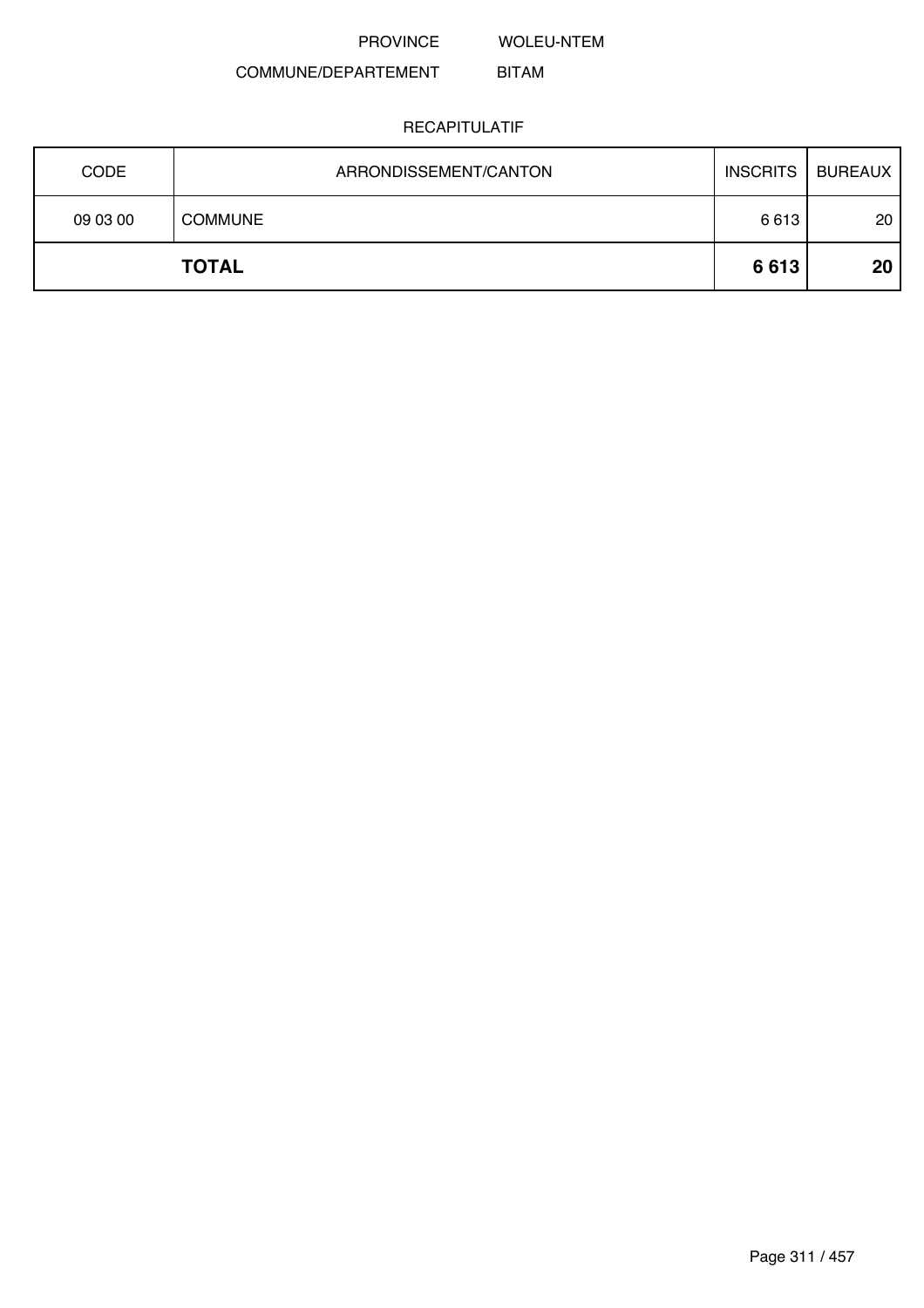WOLEU-NTEM

#### COMMUNE/DEPARTEMENT BITAM

| <b>CODE</b> | ARRONDISSEMENT/CANTON | <b>INSCRITS</b> | <b>BUREAUX</b> |
|-------------|-----------------------|-----------------|----------------|
| 09 03 00    | <b>COMMUNE</b>        | 6613            | 20             |
|             | <b>TOTAL</b>          | 6613            | 20             |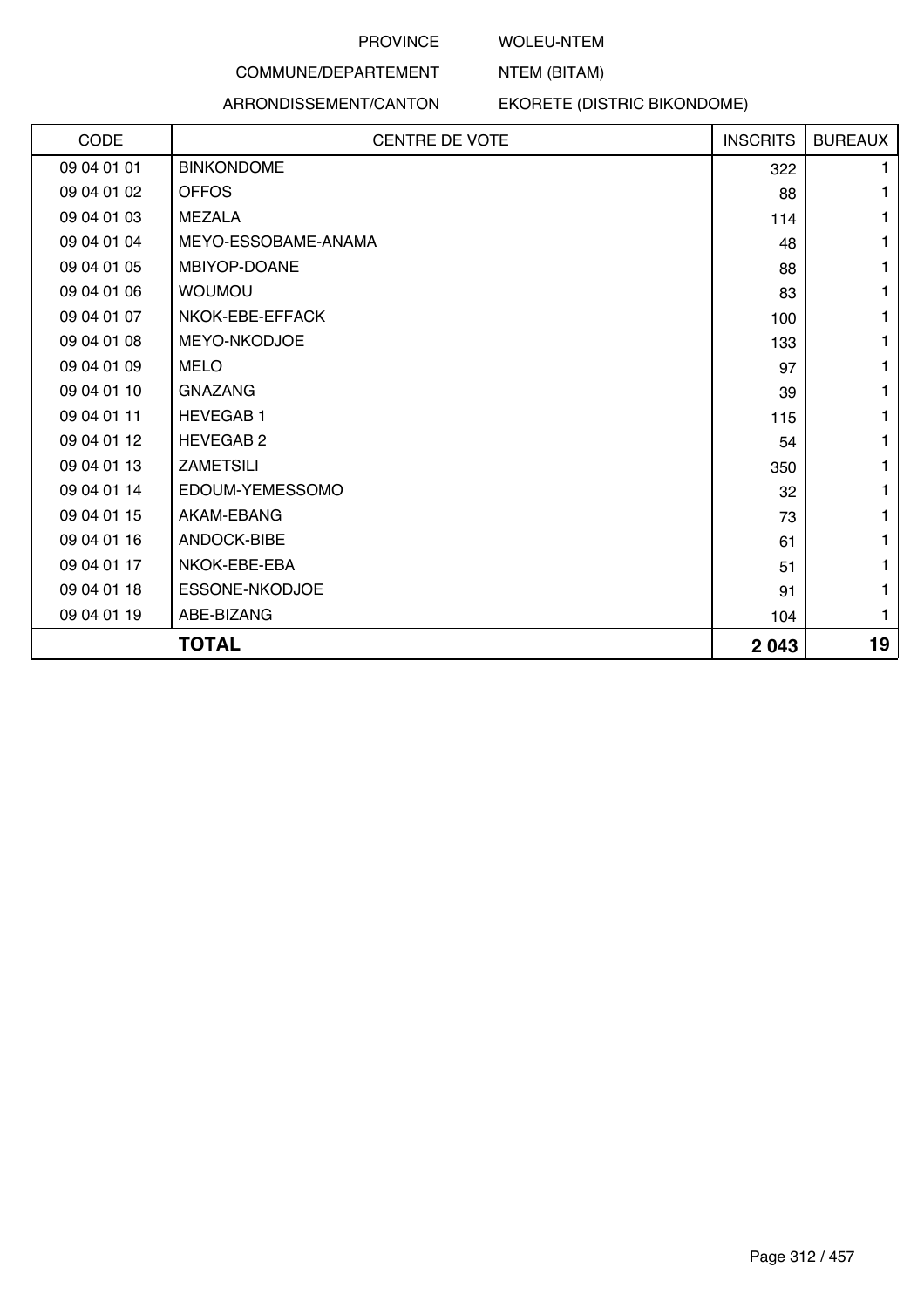#### WOLEU-NTEM

NTEM (BITAM)

# COMMUNE/DEPARTEMENT ARRONDISSEMENT/CANTON

# EKORETE (DISTRIC BIKONDOME)

| CODE        | <b>CENTRE DE VOTE</b> | <b>INSCRITS</b> | <b>BUREAUX</b> |
|-------------|-----------------------|-----------------|----------------|
| 09 04 01 01 | <b>BINKONDOME</b>     | 322             | 1.             |
| 09 04 01 02 | <b>OFFOS</b>          | 88              | 1              |
| 09 04 01 03 | <b>MEZALA</b>         | 114             | 1              |
| 09 04 01 04 | MEYO-ESSOBAME-ANAMA   | 48              | 1              |
| 09 04 01 05 | MBIYOP-DOANE          | 88              | 1              |
| 09 04 01 06 | <b>WOUMOU</b>         | 83              | 1              |
| 09 04 01 07 | NKOK-EBE-EFFACK       | 100             | 1              |
| 09 04 01 08 | MEYO-NKODJOE          | 133             | 1              |
| 09 04 01 09 | <b>MELO</b>           | 97              | 1              |
| 09 04 01 10 | <b>GNAZANG</b>        | 39              | 1              |
| 09 04 01 11 | <b>HEVEGAB1</b>       | 115             | 1              |
| 09 04 01 12 | <b>HEVEGAB 2</b>      | 54              | 1              |
| 09 04 01 13 | <b>ZAMETSILI</b>      | 350             | 1              |
| 09 04 01 14 | EDOUM-YEMESSOMO       | 32              | 1              |
| 09 04 01 15 | AKAM-EBANG            | 73              | 1              |
| 09 04 01 16 | ANDOCK-BIBE           | 61              | 1              |
| 09 04 01 17 | NKOK-EBE-EBA          | 51              | 1              |
| 09 04 01 18 | ESSONE-NKODJOE        | 91              | 1              |
| 09 04 01 19 | ABE-BIZANG            | 104             | 1              |
|             | <b>TOTAL</b>          | 2043            | 19             |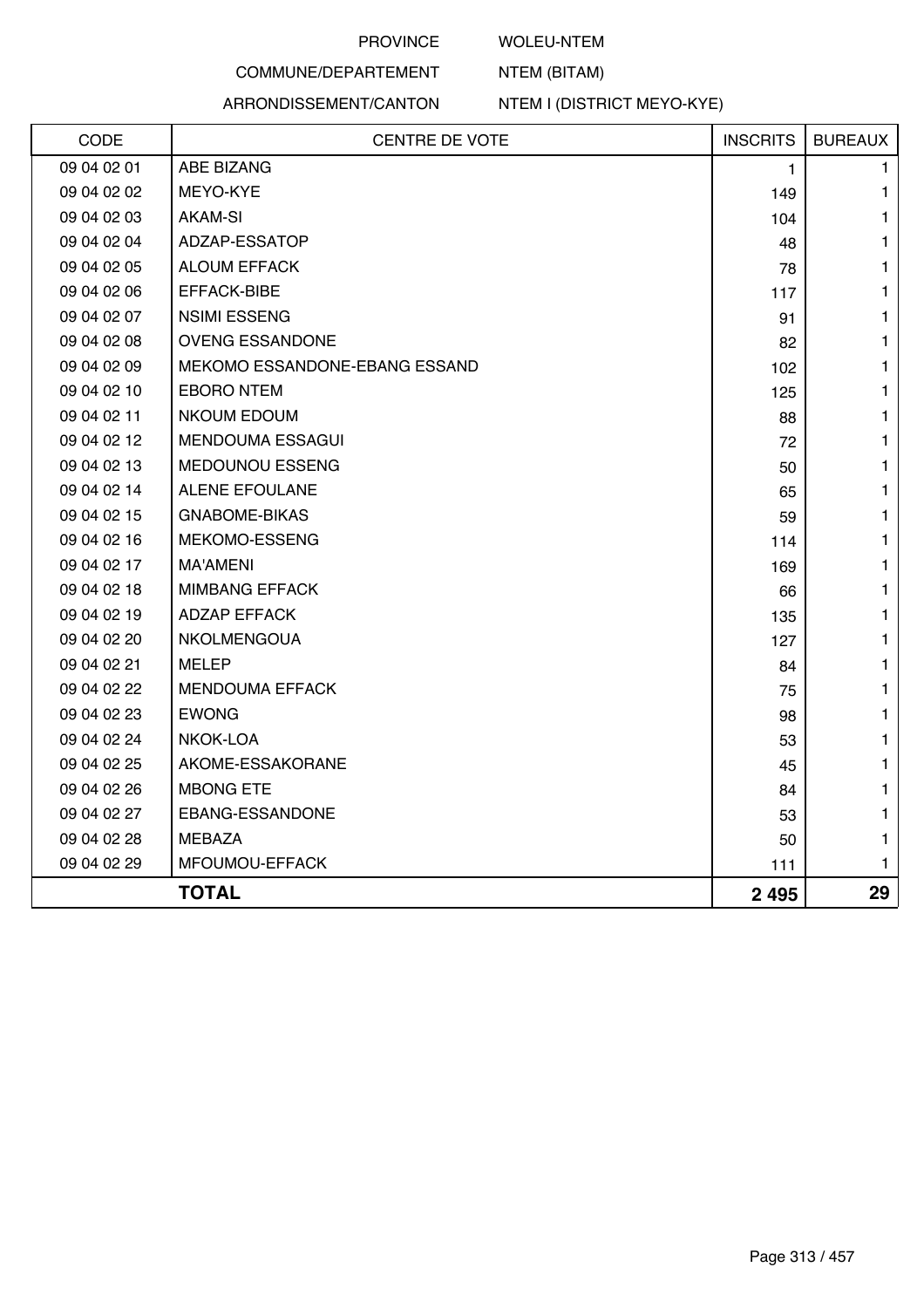#### WOLEU-NTEM

NTEM (BITAM)

# COMMUNE/DEPARTEMENT

#### ARRONDISSEMENT/CANTON

NTEM I (DISTRICT MEYO-KYE)

| CODE        | <b>CENTRE DE VOTE</b>         | <b>INSCRITS</b> | <b>BUREAUX</b> |
|-------------|-------------------------------|-----------------|----------------|
| 09 04 02 01 | ABE BIZANG                    | 1               | 1              |
| 09 04 02 02 | MEYO-KYE                      | 149             | 1              |
| 09 04 02 03 | <b>AKAM-SI</b>                | 104             | 1              |
| 09 04 02 04 | ADZAP-ESSATOP                 | 48              | 1              |
| 09 04 02 05 | <b>ALOUM EFFACK</b>           | 78              | 1              |
| 09 04 02 06 | EFFACK-BIBE                   | 117             | 1              |
| 09 04 02 07 | <b>NSIMI ESSENG</b>           | 91              | 1              |
| 09 04 02 08 | <b>OVENG ESSANDONE</b>        | 82              | 1              |
| 09 04 02 09 | MEKOMO ESSANDONE-EBANG ESSAND | 102             | 1              |
| 09 04 02 10 | <b>EBORO NTEM</b>             | 125             | 1              |
| 09 04 02 11 | <b>NKOUM EDOUM</b>            | 88              | 1              |
| 09 04 02 12 | <b>MENDOUMA ESSAGUI</b>       | 72              | 1              |
| 09 04 02 13 | MEDOUNOU ESSENG               | 50              | 1              |
| 09 04 02 14 | <b>ALENE EFOULANE</b>         | 65              | 1              |
| 09 04 02 15 | <b>GNABOME-BIKAS</b>          | 59              | 1              |
| 09 04 02 16 | MEKOMO-ESSENG                 | 114             | 1              |
| 09 04 02 17 | <b>MA'AMENI</b>               | 169             | 1              |
| 09 04 02 18 | <b>MIMBANG EFFACK</b>         | 66              | 1              |
| 09 04 02 19 | <b>ADZAP EFFACK</b>           | 135             | 1              |
| 09 04 02 20 | NKOLMENGOUA                   | 127             | 1              |
| 09 04 02 21 | <b>MELEP</b>                  | 84              | 1              |
| 09 04 02 22 | <b>MENDOUMA EFFACK</b>        | 75              | 1              |
| 09 04 02 23 | <b>EWONG</b>                  | 98              | 1              |
| 09 04 02 24 | NKOK-LOA                      | 53              | 1              |
| 09 04 02 25 | AKOME-ESSAKORANE              | 45              | 1              |
| 09 04 02 26 | <b>MBONG ETE</b>              | 84              | 1              |
| 09 04 02 27 | EBANG-ESSANDONE               | 53              | 1              |
| 09 04 02 28 | MEBAZA                        | 50              | 1              |
| 09 04 02 29 | MFOUMOU-EFFACK                | 111             | 1              |
|             | <b>TOTAL</b>                  | 2 4 9 5         | 29             |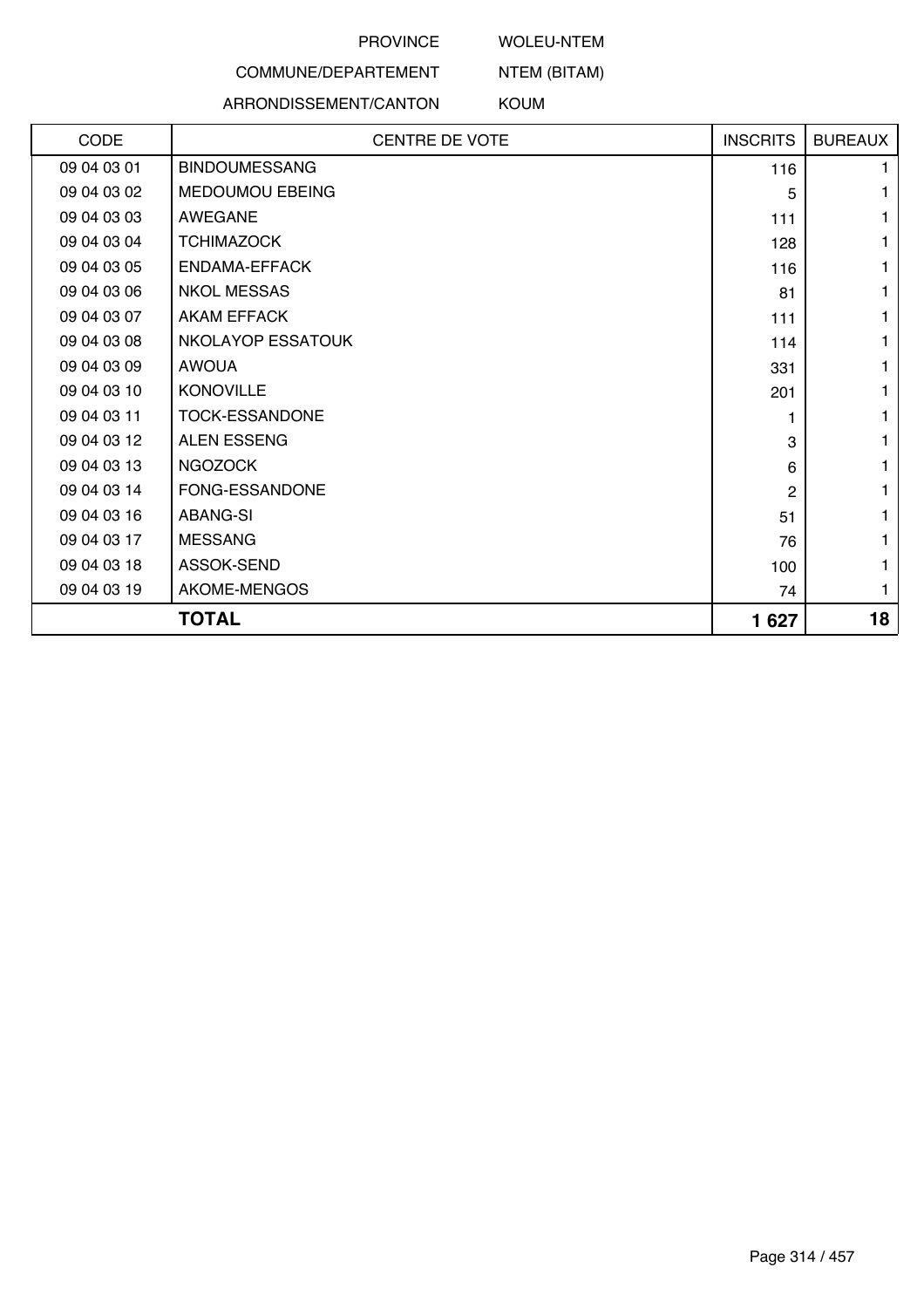# WOLEU-NTEM

NTEM (BITAM)

# COMMUNE/DEPARTEMENT

## ARRONDISSEMENT/CANTON

KOUM

| CODE        | <b>CENTRE DE VOTE</b> | <b>INSCRITS</b> | <b>BUREAUX</b> |
|-------------|-----------------------|-----------------|----------------|
| 09 04 03 01 | <b>BINDOUMESSANG</b>  | 116             | 1.             |
| 09 04 03 02 | MEDOUMOU EBEING       | 5               |                |
| 09 04 03 03 | AWEGANE               | 111             |                |
| 09 04 03 04 | <b>TCHIMAZOCK</b>     | 128             | 1              |
| 09 04 03 05 | ENDAMA-EFFACK         | 116             | 1              |
| 09 04 03 06 | <b>NKOL MESSAS</b>    | 81              | 1              |
| 09 04 03 07 | <b>AKAM EFFACK</b>    | 111             | 1              |
| 09 04 03 08 | NKOLAYOP ESSATOUK     | 114             | 1              |
| 09 04 03 09 | <b>AWOUA</b>          | 331             | 1              |
| 09 04 03 10 | <b>KONOVILLE</b>      | 201             | 1              |
| 09 04 03 11 | <b>TOCK-ESSANDONE</b> |                 | 1              |
| 09 04 03 12 | <b>ALEN ESSENG</b>    | 3               | 1              |
| 09 04 03 13 | <b>NGOZOCK</b>        | 6               | 1              |
| 09 04 03 14 | FONG-ESSANDONE        | $\mathbf{2}$    | 1              |
| 09 04 03 16 | <b>ABANG-SI</b>       | 51              | 1              |
| 09 04 03 17 | <b>MESSANG</b>        | 76              |                |
| 09 04 03 18 | ASSOK-SEND            | 100             | 1              |
| 09 04 03 19 | AKOME-MENGOS          | 74              | 1              |
|             | <b>TOTAL</b>          | 1627            | 18             |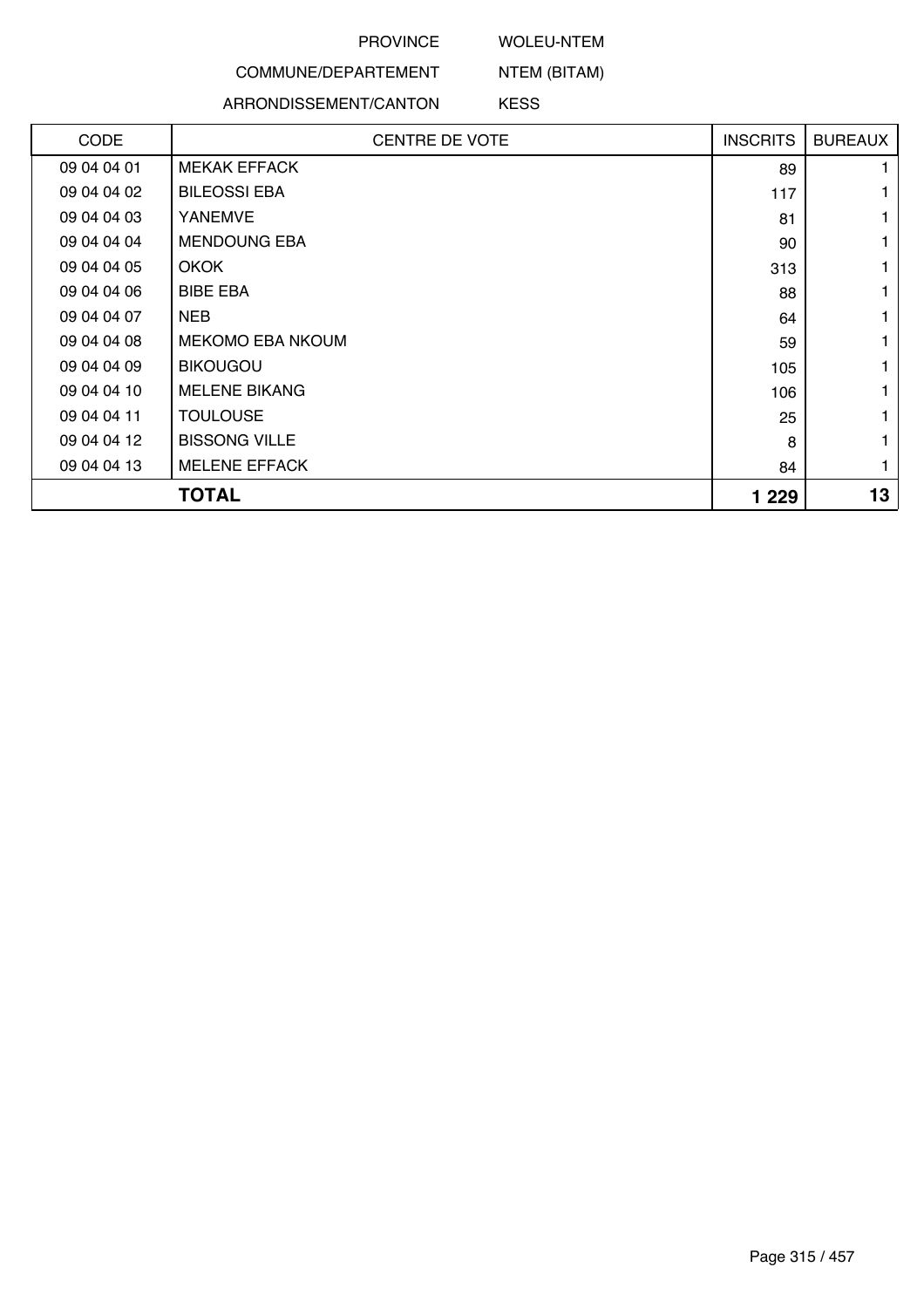### WOLEU-NTEM

NTEM (BITAM)

# COMMUNE/DEPARTEMENT

#### ARRONDISSEMENT/CANTON

KESS

| <b>CODE</b> | <b>CENTRE DE VOTE</b>   | <b>INSCRITS</b> | <b>BUREAUX</b> |
|-------------|-------------------------|-----------------|----------------|
| 09 04 04 01 | <b>MEKAK EFFACK</b>     | 89              |                |
| 09 04 04 02 | <b>BILEOSSI EBA</b>     | 117             |                |
| 09 04 04 03 | <b>YANEMVE</b>          | 81              |                |
| 09 04 04 04 | <b>MENDOUNG EBA</b>     | 90              |                |
| 09 04 04 05 | <b>OKOK</b>             | 313             |                |
| 09 04 04 06 | <b>BIBE EBA</b>         | 88              |                |
| 09 04 04 07 | <b>NEB</b>              | 64              |                |
| 09 04 04 08 | <b>MEKOMO EBA NKOUM</b> | 59              |                |
| 09 04 04 09 | <b>BIKOUGOU</b>         | 105             |                |
| 09 04 04 10 | <b>MELENE BIKANG</b>    | 106             |                |
| 09 04 04 11 | <b>TOULOUSE</b>         | 25              |                |
| 09 04 04 12 | <b>BISSONG VILLE</b>    | 8               |                |
| 09 04 04 13 | <b>MELENE EFFACK</b>    | 84              |                |
|             | <b>TOTAL</b>            | 1 2 2 9         | 13             |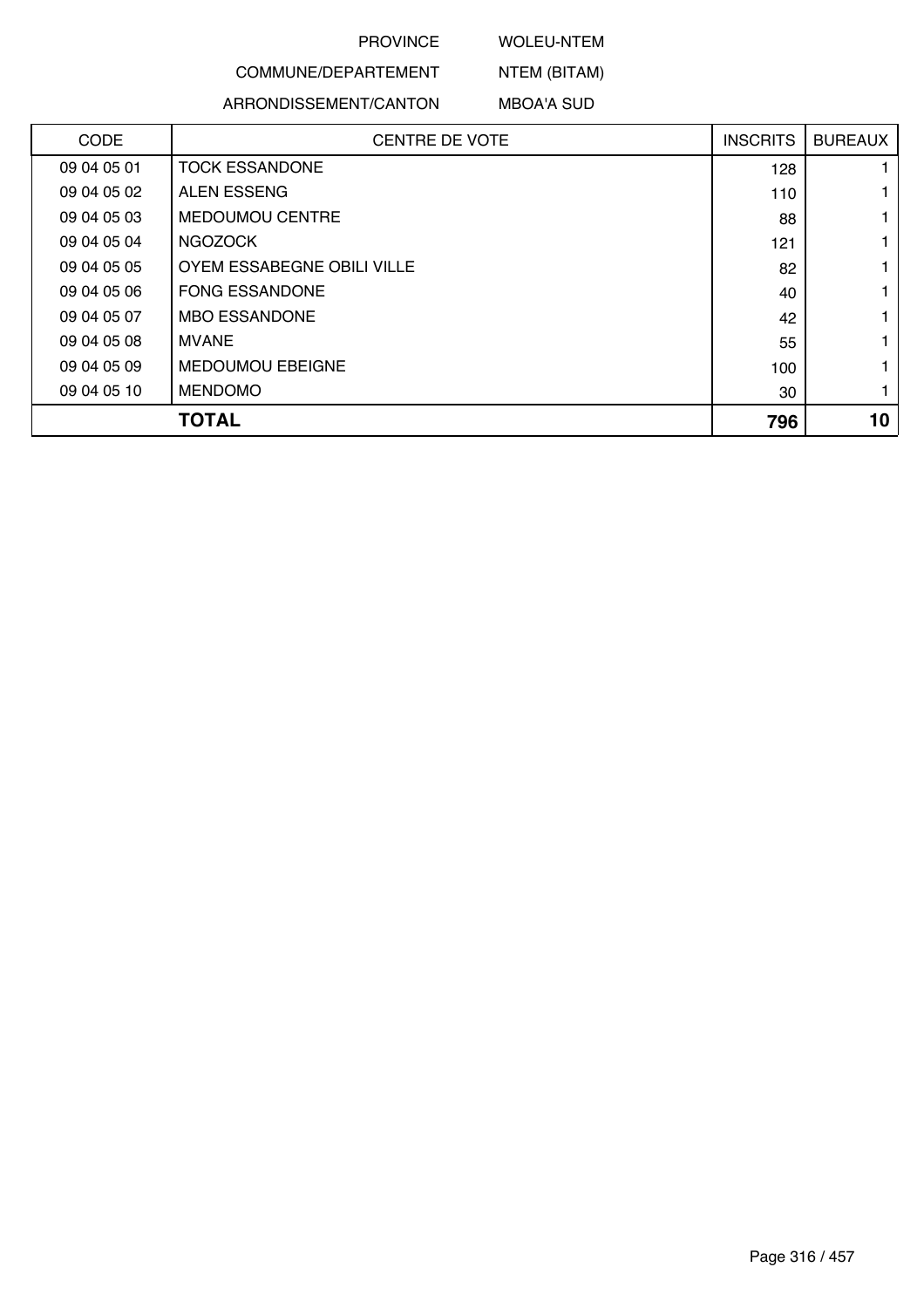### WOLEU-NTEM

# COMMUNE/DEPARTEMENT

## ARRONDISSEMENT/CANTON

NTEM (BITAM) MBOA'A SUD

| <b>CODE</b> | <b>CENTRE DE VOTE</b>      | <b>INSCRITS</b> | <b>BUREAUX</b> |
|-------------|----------------------------|-----------------|----------------|
| 09 04 05 01 | <b>TOCK ESSANDONE</b>      | 128             |                |
| 09 04 05 02 | <b>ALEN ESSENG</b>         | 110             |                |
| 09 04 05 03 | <b>MEDOUMOU CENTRE</b>     | 88              |                |
| 09 04 05 04 | <b>NGOZOCK</b>             | 121             |                |
| 09 04 05 05 | OYEM ESSABEGNE OBILI VILLE | 82              |                |
| 09 04 05 06 | <b>FONG ESSANDONE</b>      | 40              |                |
| 09 04 05 07 | <b>MBO ESSANDONE</b>       | 42              |                |
| 09 04 05 08 | MVANE                      | 55              |                |
| 09 04 05 09 | <b>MEDOUMOU EBEIGNE</b>    | 100             |                |
| 09 04 05 10 | <b>MENDOMO</b>             | 30              |                |
|             | <b>TOTAL</b>               | 796             | 10             |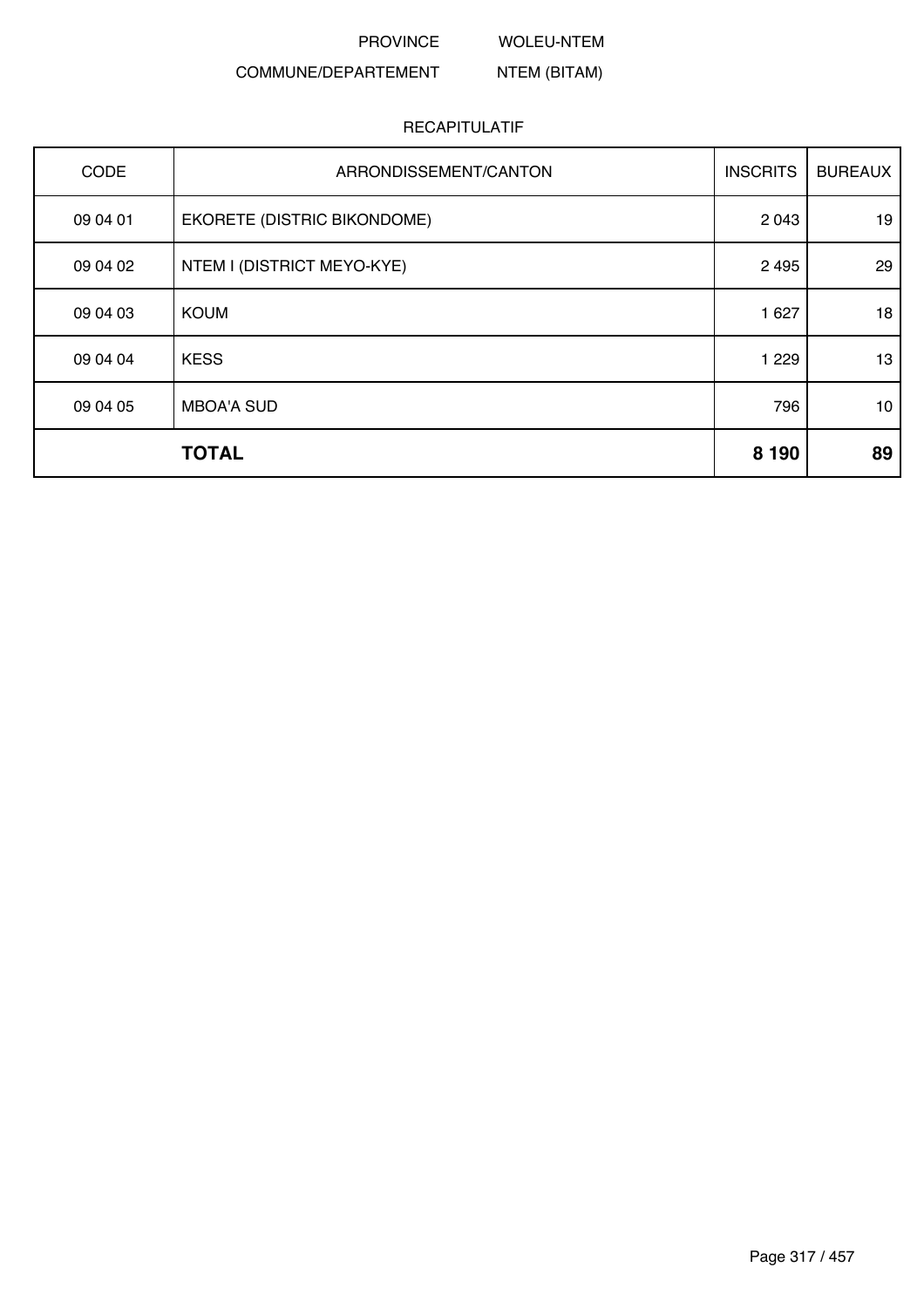WOLEU-NTEM

#### COMMUNE/DEPARTEMENT NTEM (BITAM)

| CODE     | ARRONDISSEMENT/CANTON       | <b>INSCRITS</b> | <b>BUREAUX</b>  |
|----------|-----------------------------|-----------------|-----------------|
| 09 04 01 | EKORETE (DISTRIC BIKONDOME) | 2 0 4 3         | 19              |
| 09 04 02 | NTEM I (DISTRICT MEYO-KYE)  | 2 4 9 5         | 29              |
| 09 04 03 | <b>KOUM</b>                 | 1 6 2 7         | 18              |
| 09 04 04 | <b>KESS</b>                 | 1 2 2 9         | 13              |
| 09 04 05 | <b>MBOA'A SUD</b>           | 796             | 10 <sup>1</sup> |
|          | <b>TOTAL</b>                | 8 1 9 0         | 89              |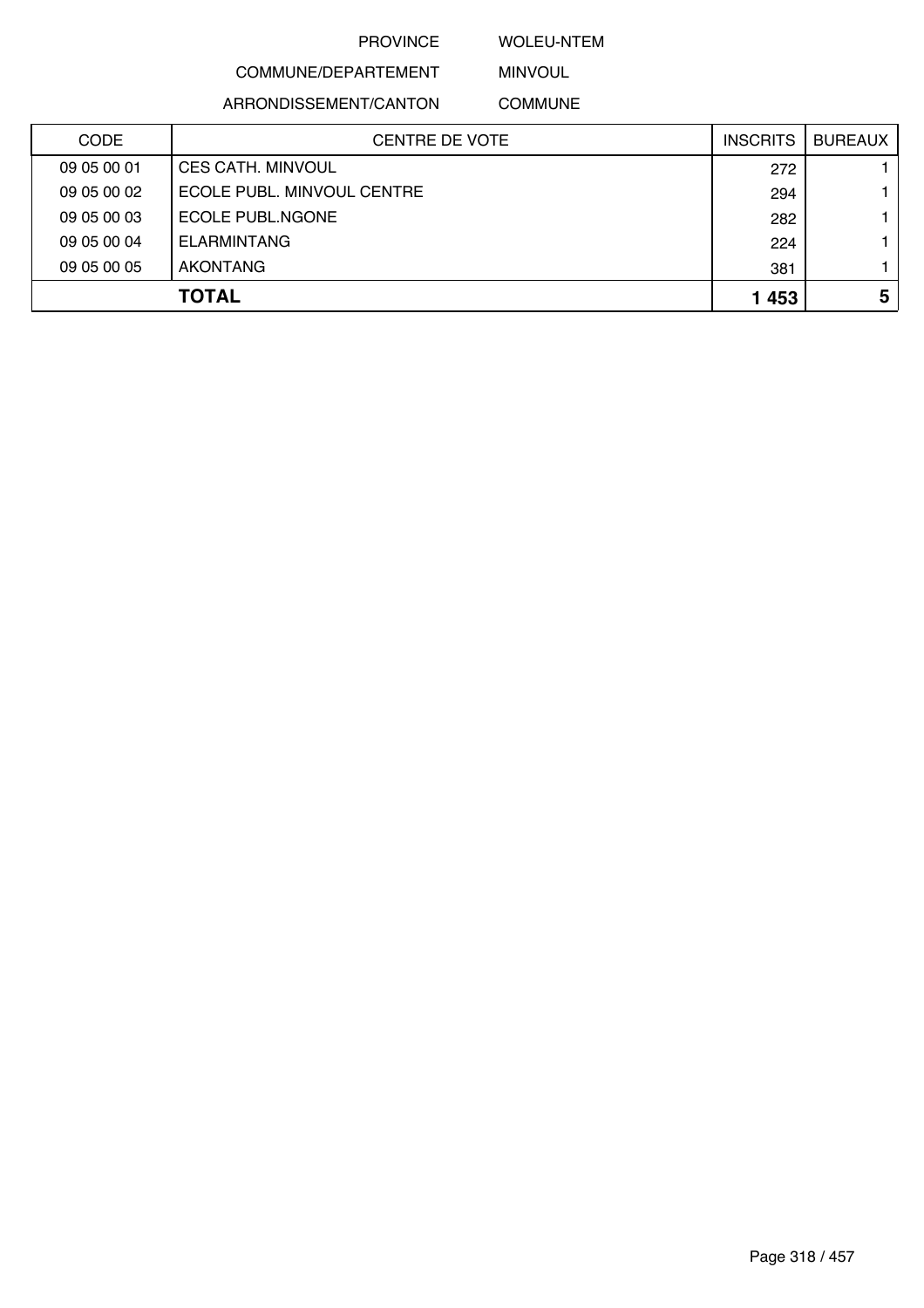### WOLEU-NTEM

# COMMUNE/DEPARTEMENT

ARRONDISSEMENT/CANTON

MINVOUL COMMUNE

| <b>CODE</b> | <b>CENTRE DE VOTE</b>      | <b>INSCRITS</b> | <b>BUREAUX</b> |
|-------------|----------------------------|-----------------|----------------|
| 09 05 00 01 | <b>CES CATH. MINVOUL</b>   | 272             |                |
| 09 05 00 02 | ECOLE PUBL. MINVOUL CENTRE | 294             |                |
| 09 05 00 03 | ECOLE PUBL NGONE           | 282             |                |
| 09 05 00 04 | <b>ELARMINTANG</b>         | 224             |                |
| 09 05 00 05 | AKONTANG                   | 381             |                |
|             | <b>TOTAL</b>               | 1453            | 5              |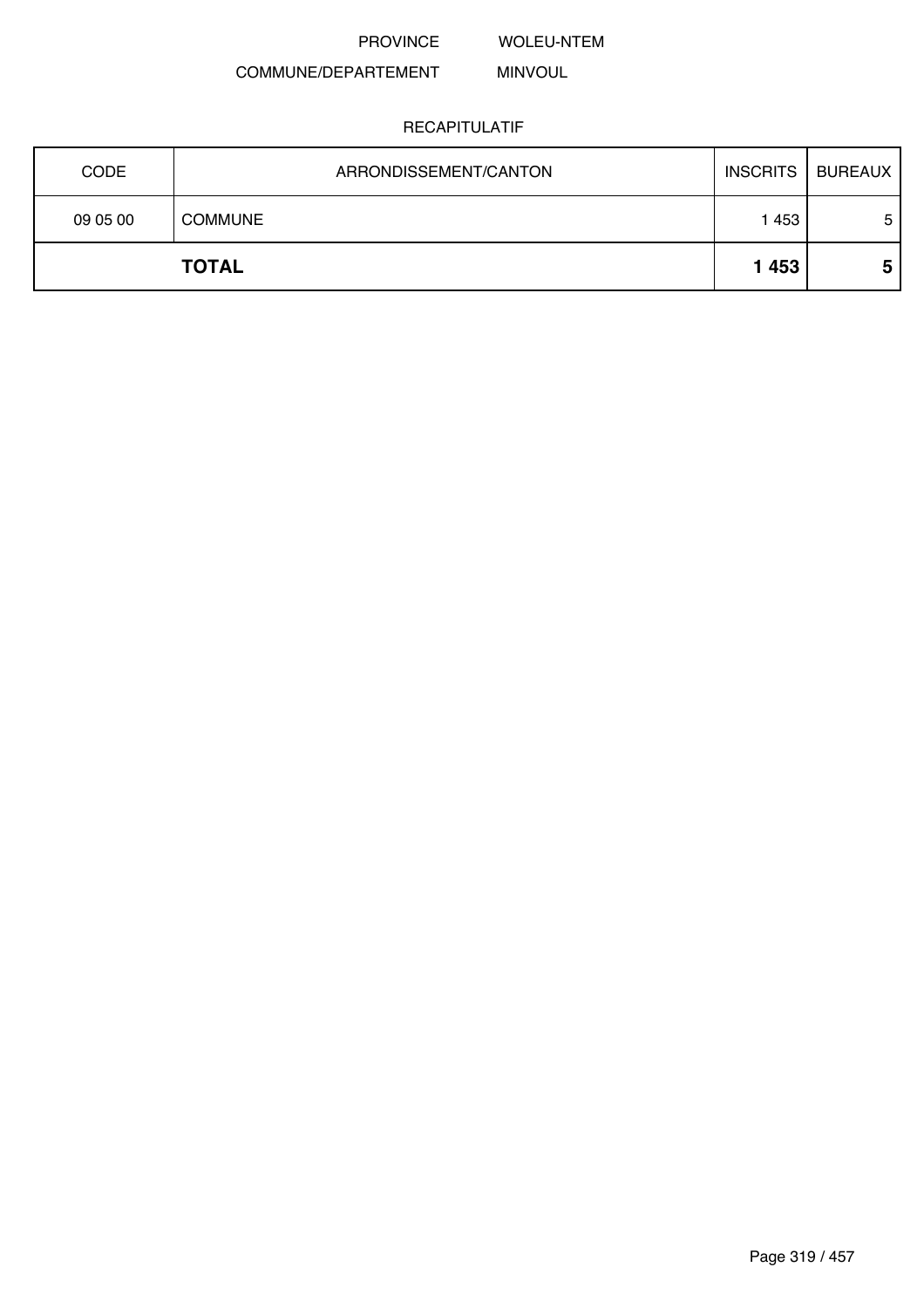WOLEU-NTEM

#### COMMUNE/DEPARTEMENT MINVOUL

| 09 05 00 | <b>COMMUNE</b> | 1 4 5 3 | 5 |
|----------|----------------|---------|---|
|          | <b>TOTAL</b>   | 1453    | 5 |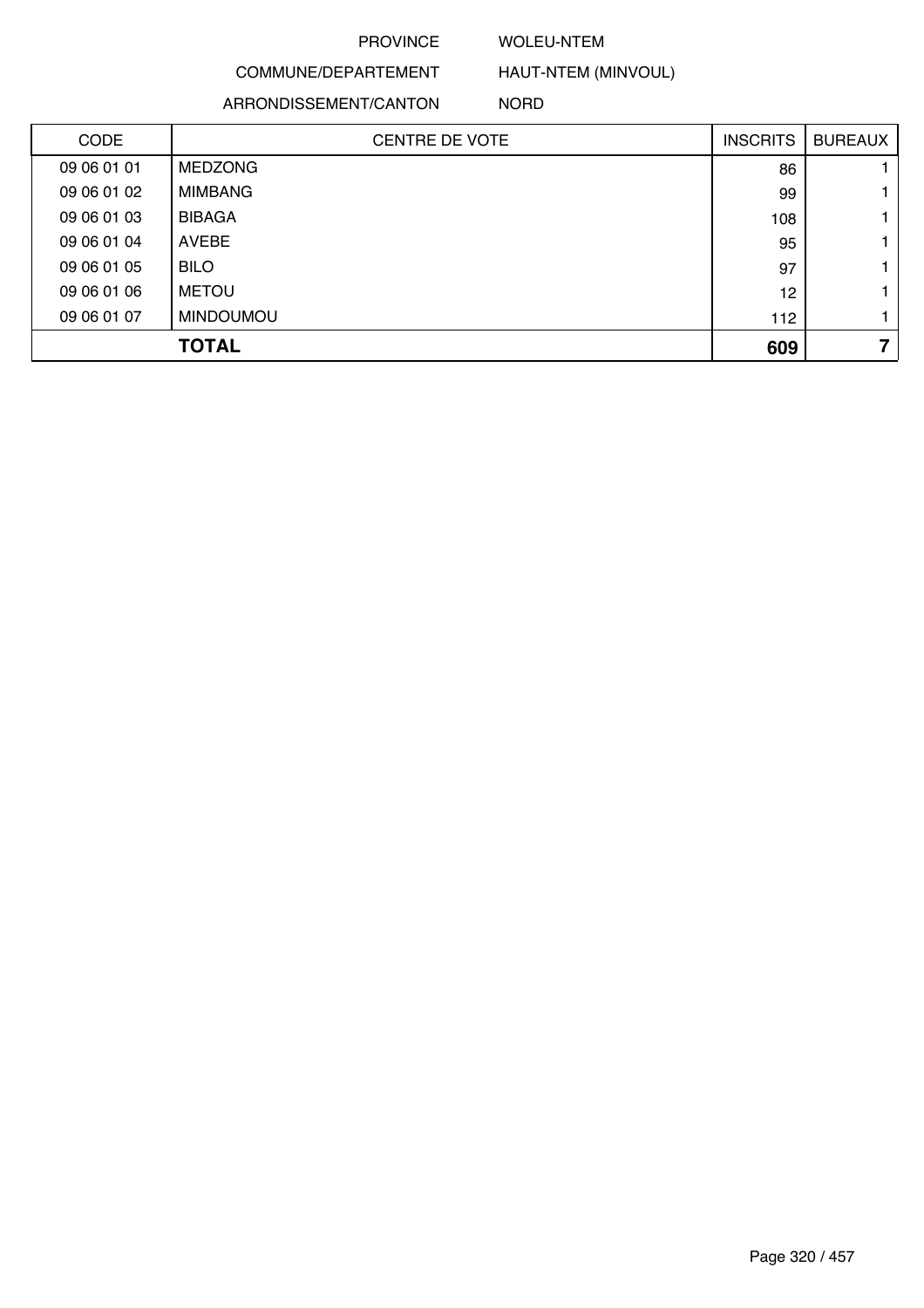#### WOLEU-NTEM

COMMUNE/DEPARTEMENT ARRONDISSEMENT/CANTON

HAUT-NTEM (MINVOUL) NORD

| <b>CODE</b> | <b>CENTRE DE VOTE</b> | <b>INSCRITS</b> | <b>BUREAUX</b> |
|-------------|-----------------------|-----------------|----------------|
| 09 06 01 01 | <b>MEDZONG</b>        | 86              |                |
| 09 06 01 02 | <b>MIMBANG</b>        | 99              |                |
| 09 06 01 03 | <b>BIBAGA</b>         | 108             |                |
| 09 06 01 04 | <b>AVEBE</b>          | 95              |                |
| 09 06 01 05 | <b>BILO</b>           | 97              |                |
| 09 06 01 06 | <b>METOU</b>          | 12              |                |
| 09 06 01 07 | <b>MINDOUMOU</b>      | 112             |                |
|             | <b>TOTAL</b>          | 609             | 7              |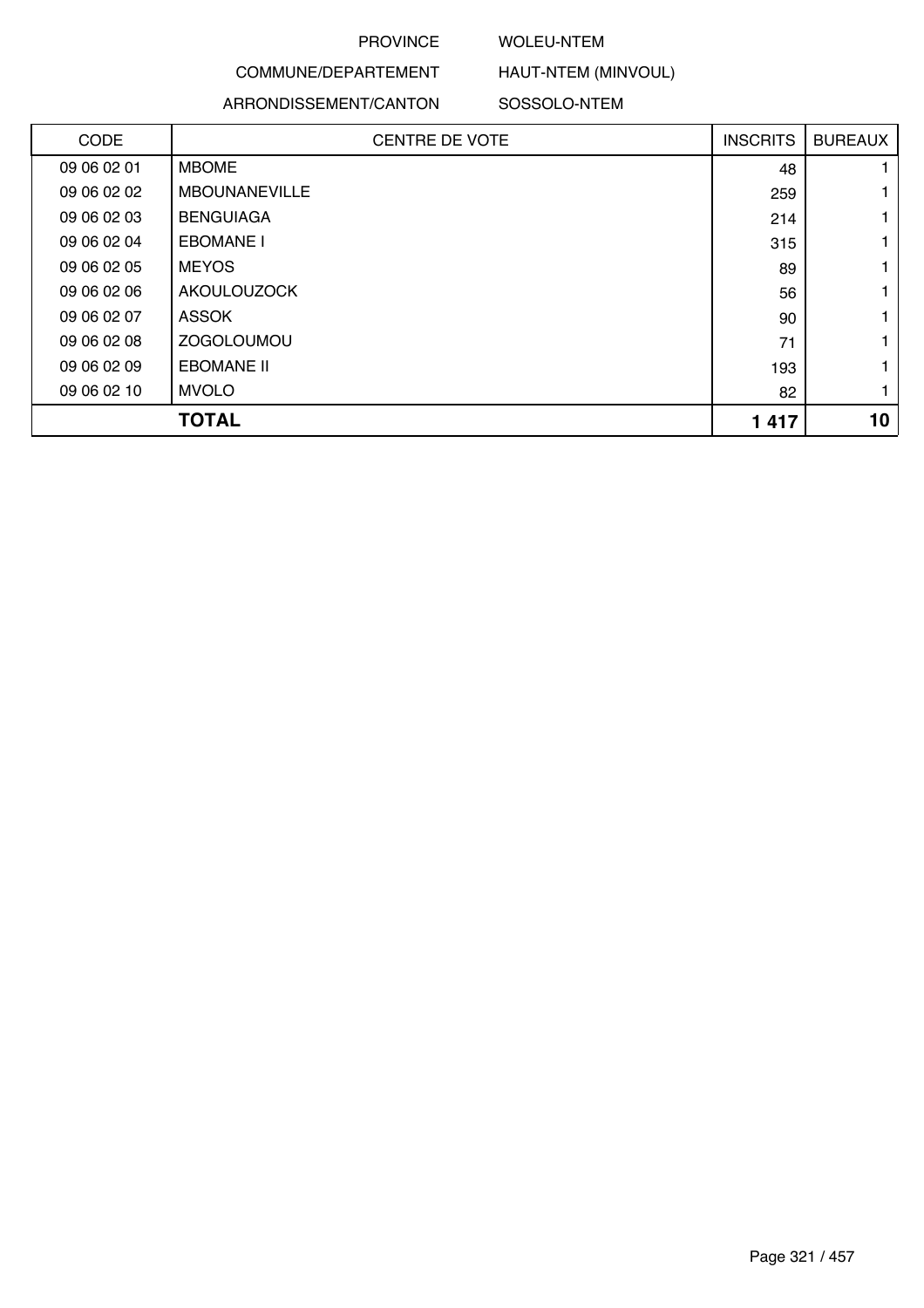#### WOLEU-NTEM

# COMMUNE/DEPARTEMENT

ARRONDISSEMENT/CANTON

#### SOSSOLO-NTEM

HAUT-NTEM (MINVOUL)

| CODE        | <b>CENTRE DE VOTE</b> | <b>INSCRITS</b> | <b>BUREAUX</b> |
|-------------|-----------------------|-----------------|----------------|
| 09 06 02 01 | <b>MBOME</b>          | 48              |                |
| 09 06 02 02 | <b>MBOUNANEVILLE</b>  | 259             |                |
| 09 06 02 03 | <b>BENGUIAGA</b>      | 214             |                |
| 09 06 02 04 | <b>EBOMANE I</b>      | 315             |                |
| 09 06 02 05 | <b>MEYOS</b>          | 89              |                |
| 09 06 02 06 | <b>AKOULOUZOCK</b>    | 56              |                |
| 09 06 02 07 | <b>ASSOK</b>          | 90              |                |
| 09 06 02 08 | <b>ZOGOLOUMOU</b>     | 71              |                |
| 09 06 02 09 | <b>EBOMANE II</b>     | 193             |                |
| 09 06 02 10 | <b>MVOLO</b>          | 82              |                |
|             | <b>TOTAL</b>          | 1417            | 10             |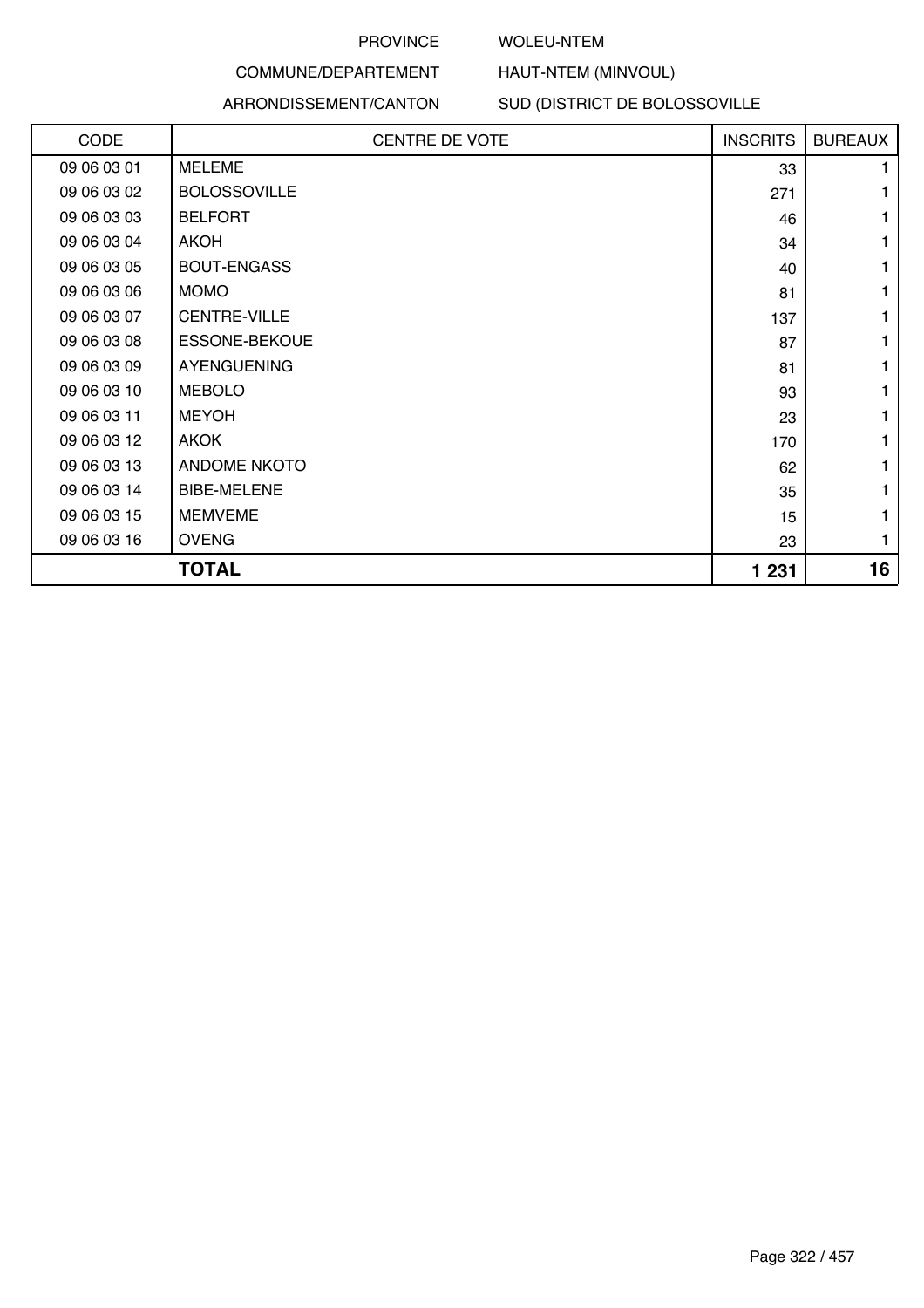#### WOLEU-NTEM

# COMMUNE/DEPARTEMENT

#### ARRONDISSEMENT/CANTON

SUD (DISTRICT DE BOLOSSOVILLE

HAUT-NTEM (MINVOUL)

| CODE        | CENTRE DE VOTE       | <b>INSCRITS</b> | <b>BUREAUX</b> |
|-------------|----------------------|-----------------|----------------|
| 09 06 03 01 | <b>MELEME</b>        | 33              |                |
| 09 06 03 02 | <b>BOLOSSOVILLE</b>  | 271             |                |
| 09 06 03 03 | <b>BELFORT</b>       | 46              |                |
| 09 06 03 04 | <b>AKOH</b>          | 34              |                |
| 09 06 03 05 | <b>BOUT-ENGASS</b>   | 40              | 1              |
| 09 06 03 06 | <b>MOMO</b>          | 81              |                |
| 09 06 03 07 | <b>CENTRE-VILLE</b>  | 137             |                |
| 09 06 03 08 | <b>ESSONE-BEKOUE</b> | 87              | 1              |
| 09 06 03 09 | <b>AYENGUENING</b>   | 81              |                |
| 09 06 03 10 | <b>MEBOLO</b>        | 93              |                |
| 09 06 03 11 | <b>MEYOH</b>         | 23              |                |
| 09 06 03 12 | <b>AKOK</b>          | 170             |                |
| 09 06 03 13 | <b>ANDOME NKOTO</b>  | 62              |                |
| 09 06 03 14 | <b>BIBE-MELENE</b>   | 35              |                |
| 09 06 03 15 | <b>MEMVEME</b>       | 15              |                |
| 09 06 03 16 | <b>OVENG</b>         | 23              | 1              |
|             | <b>TOTAL</b>         | 1 231           | 16             |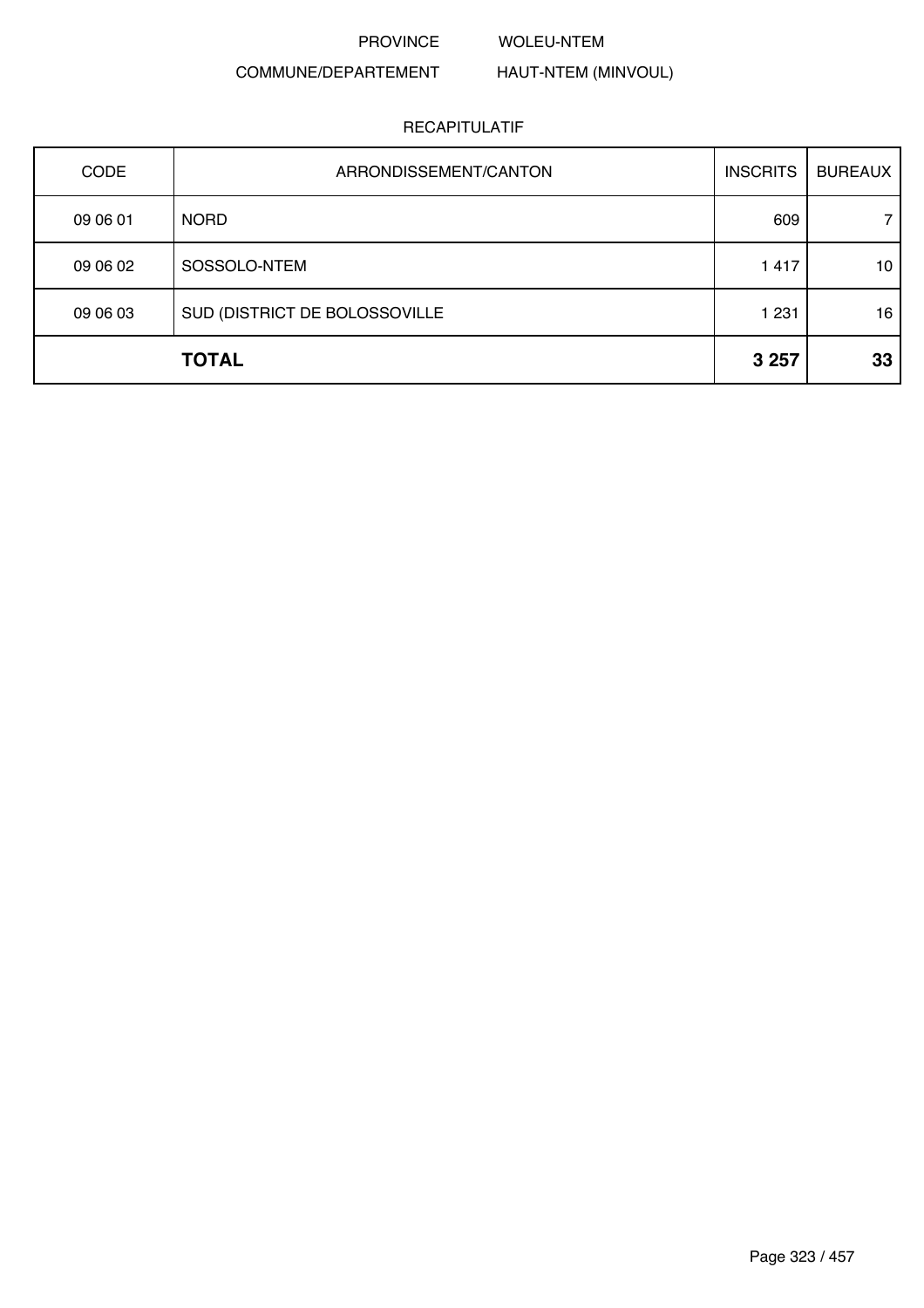#### WOLEU-NTEM

# COMMUNE/DEPARTEMENT

# HAUT-NTEM (MINVOUL)

| <b>CODE</b> | ARRONDISSEMENT/CANTON         | <b>INSCRITS</b> | <b>BUREAUX</b> |
|-------------|-------------------------------|-----------------|----------------|
| 09 06 01    | <b>NORD</b>                   | 609             | 7              |
| 09 06 02    | SOSSOLO-NTEM                  | 1 4 1 7         | 10             |
| 09 06 03    | SUD (DISTRICT DE BOLOSSOVILLE | 1 2 3 1         | 16             |
|             | <b>TOTAL</b>                  | 3 2 5 7         | 33             |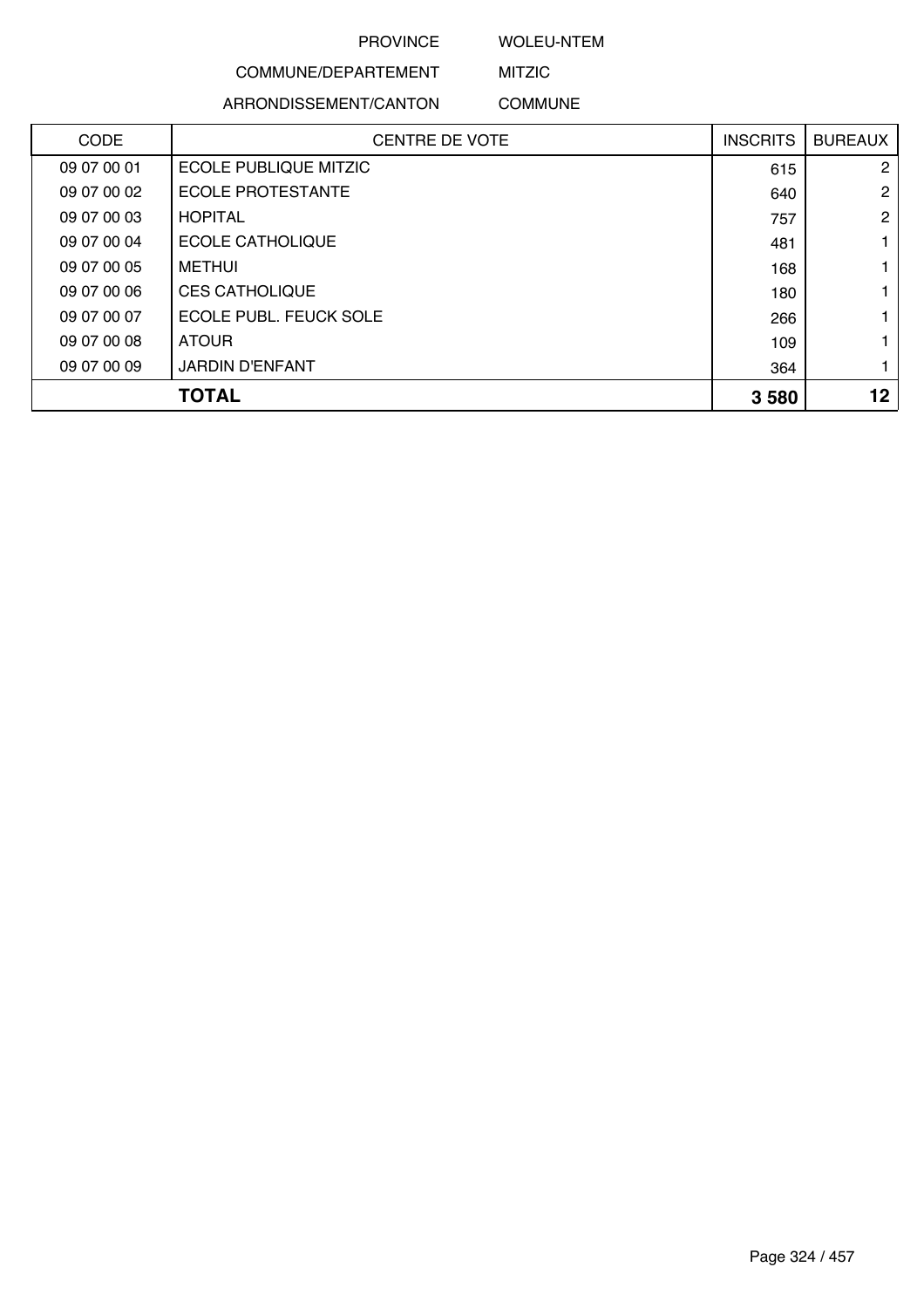### WOLEU-NTEM

# COMMUNE/DEPARTEMENT

ARRONDISSEMENT/CANTON

# MITZIC COMMUNE

| CODE        | <b>CENTRE DE VOTE</b>        | <b>INSCRITS</b> | <b>BUREAUX</b>  |
|-------------|------------------------------|-----------------|-----------------|
| 09 07 00 01 | <b>ECOLE PUBLIQUE MITZIC</b> | 615             | 2               |
| 09 07 00 02 | ECOLE PROTESTANTE            | 640             | 2               |
| 09 07 00 03 | <b>HOPITAL</b>               | 757             | $\overline{2}$  |
| 09 07 00 04 | ECOLE CATHOLIQUE             | 481             |                 |
| 09 07 00 05 | <b>METHUI</b>                | 168             |                 |
| 09 07 00 06 | <b>CES CATHOLIQUE</b>        | 180             |                 |
| 09 07 00 07 | ECOLE PUBL. FEUCK SOLE       | 266             |                 |
| 09 07 00 08 | <b>ATOUR</b>                 | 109             |                 |
| 09 07 00 09 | <b>JARDIN D'ENFANT</b>       | 364             |                 |
|             | <b>TOTAL</b>                 | 3580            | 12 <sub>2</sub> |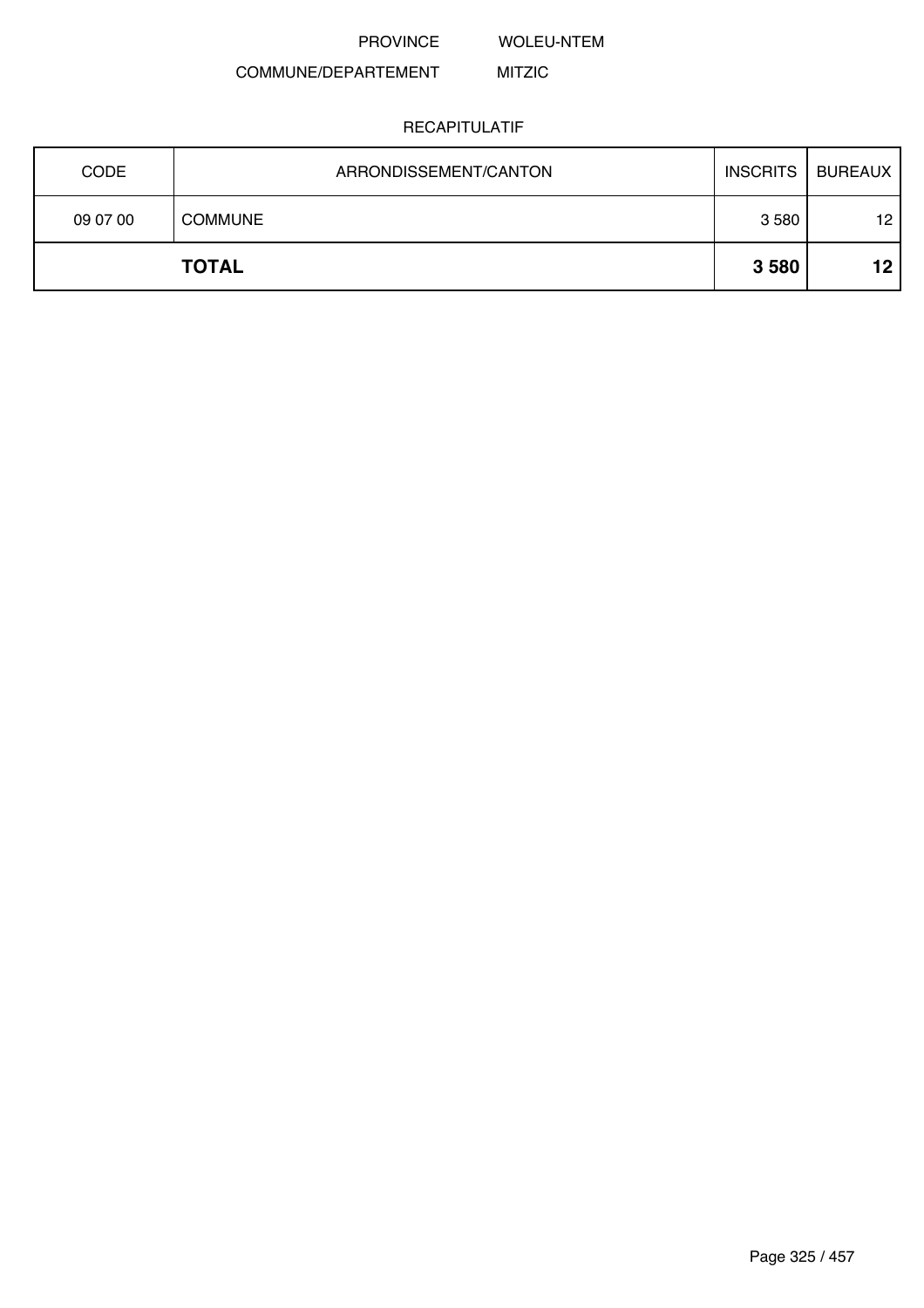WOLEU-NTEM

#### COMMUNE/DEPARTEMENT MITZIC

| <b>CODE</b> | ARRONDISSEMENT/CANTON | <b>INSCRITS</b> | <b>BUREAUX</b> |
|-------------|-----------------------|-----------------|----------------|
| 09 07 00    | <b>COMMUNE</b>        | 3580            | 12             |
|             | <b>TOTAL</b>          | 3580            | 12             |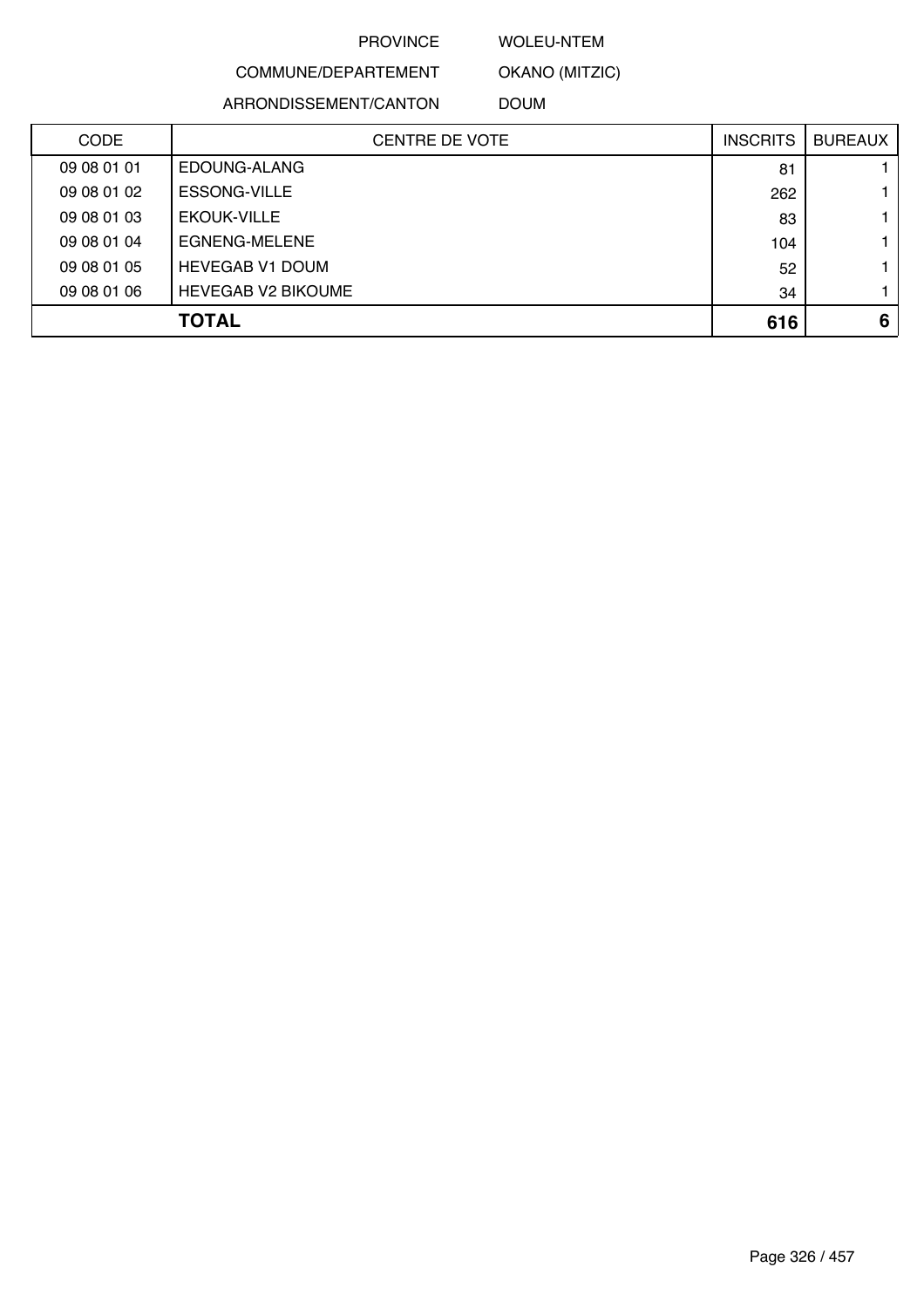### WOLEU-NTEM

OKANO (MITZIC)

COMMUNE/DEPARTEMENT

ARRONDISSEMENT/CANTON

DOUM

| <b>CODE</b> | <b>CENTRE DE VOTE</b>     | <b>INSCRITS</b> | <b>BUREAUX</b> |
|-------------|---------------------------|-----------------|----------------|
| 09 08 01 01 | EDOUNG-ALANG              | 81              |                |
| 09 08 01 02 | <b>ESSONG-VILLE</b>       | 262             |                |
| 09 08 01 03 | <b>EKOUK-VILLE</b>        | 83              |                |
| 09 08 01 04 | EGNENG-MELENE             | 104             |                |
| 09 08 01 05 | <b>HEVEGAB V1 DOUM</b>    | 52              |                |
| 09 08 01 06 | <b>HEVEGAB V2 BIKOUME</b> | 34              |                |
|             | <b>TOTAL</b>              | 616             | 6              |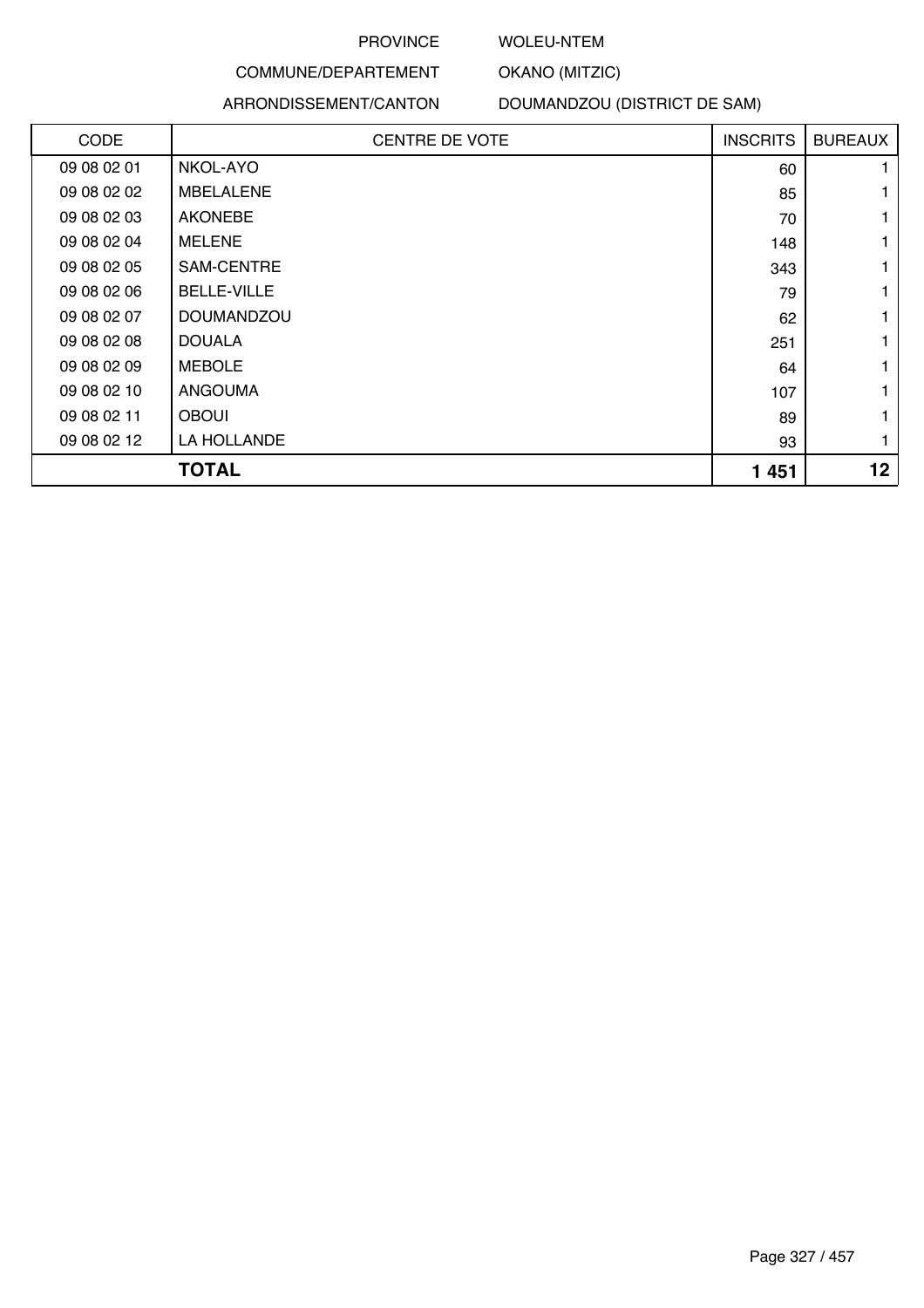### WOLEU-NTEM

OKANO (MITZIC)

## COMMUNE/DEPARTEMENT ARRONDISSEMENT/CANTON

## DOUMANDZOU (DISTRICT DE SAM)

| CODE        | <b>CENTRE DE VOTE</b> | <b>INSCRITS</b> | <b>BUREAUX</b>  |
|-------------|-----------------------|-----------------|-----------------|
| 09 08 02 01 | NKOL-AYO              | 60              |                 |
| 09 08 02 02 | <b>MBELALENE</b>      | 85              |                 |
| 09 08 02 03 | <b>AKONEBE</b>        | 70              |                 |
| 09 08 02 04 | <b>MELENE</b>         | 148             |                 |
| 09 08 02 05 | SAM-CENTRE            | 343             |                 |
| 09 08 02 06 | <b>BELLE-VILLE</b>    | 79              |                 |
| 09 08 02 07 | <b>DOUMANDZOU</b>     | 62              |                 |
| 09 08 02 08 | <b>DOUALA</b>         | 251             |                 |
| 09 08 02 09 | <b>MEBOLE</b>         | 64              |                 |
| 09 08 02 10 | <b>ANGOUMA</b>        | 107             |                 |
| 09 08 02 11 | <b>OBOUI</b>          | 89              |                 |
| 09 08 02 12 | LA HOLLANDE           | 93              | 1               |
|             | <b>TOTAL</b>          | 1 4 5 1         | 12 <sub>2</sub> |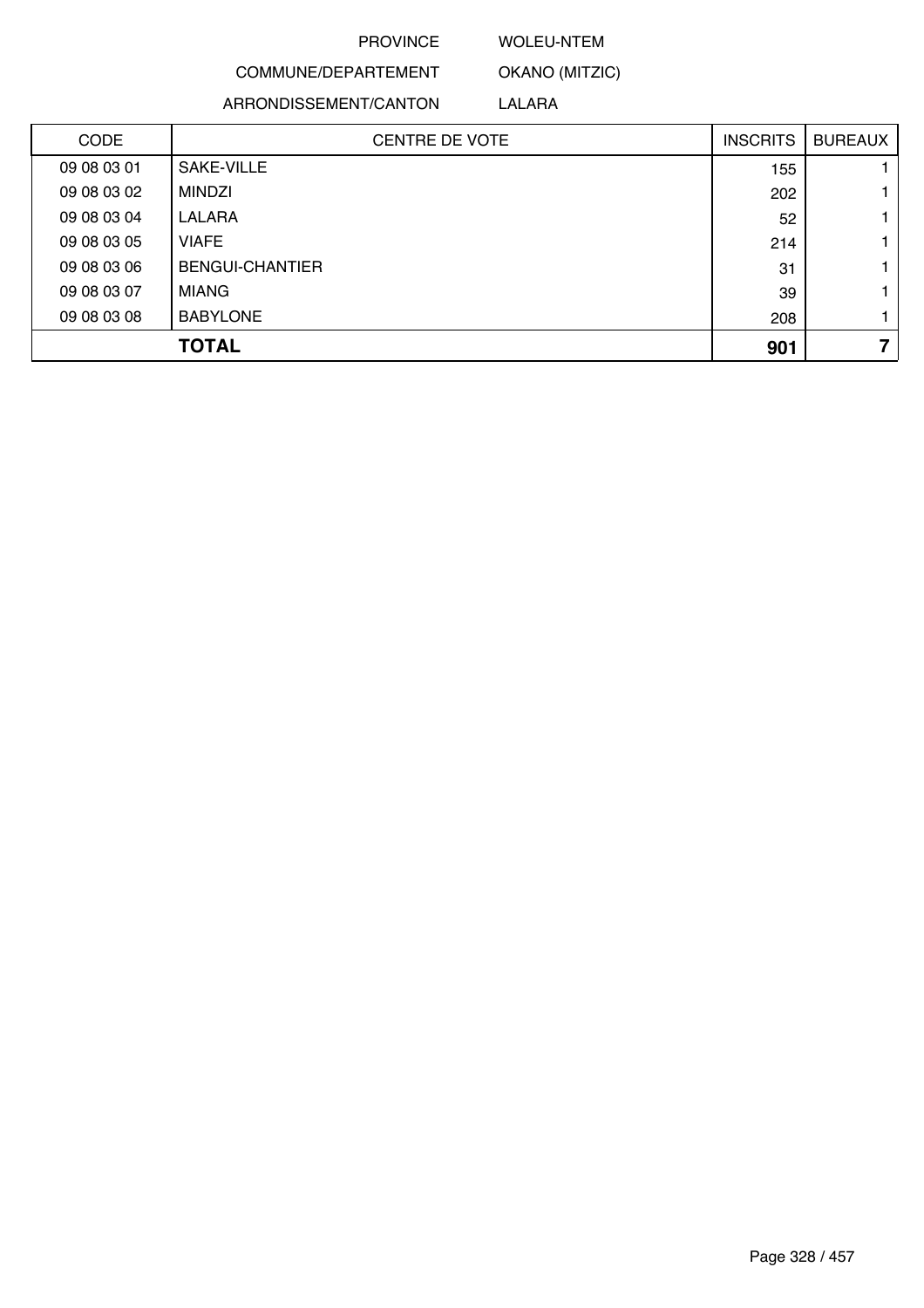### WOLEU-NTEM

OKANO (MITZIC)

COMMUNE/DEPARTEMENT ARRONDISSEMENT/CANTON

LALARA

| <b>CODE</b> | <b>CENTRE DE VOTE</b>  | <b>INSCRITS</b> | <b>BUREAUX</b> |
|-------------|------------------------|-----------------|----------------|
| 09 08 03 01 | SAKE-VILLE             | 155             |                |
| 09 08 03 02 | <b>MINDZI</b>          | 202             |                |
| 09 08 03 04 | LALARA                 | 52              |                |
| 09 08 03 05 | <b>VIAFE</b>           | 214             |                |
| 09 08 03 06 | <b>BENGUI-CHANTIER</b> | 31              |                |
| 09 08 03 07 | <b>MIANG</b>           | 39              |                |
| 09 08 03 08 | <b>BABYLONE</b>        | 208             |                |
|             | <b>TOTAL</b>           | 901             |                |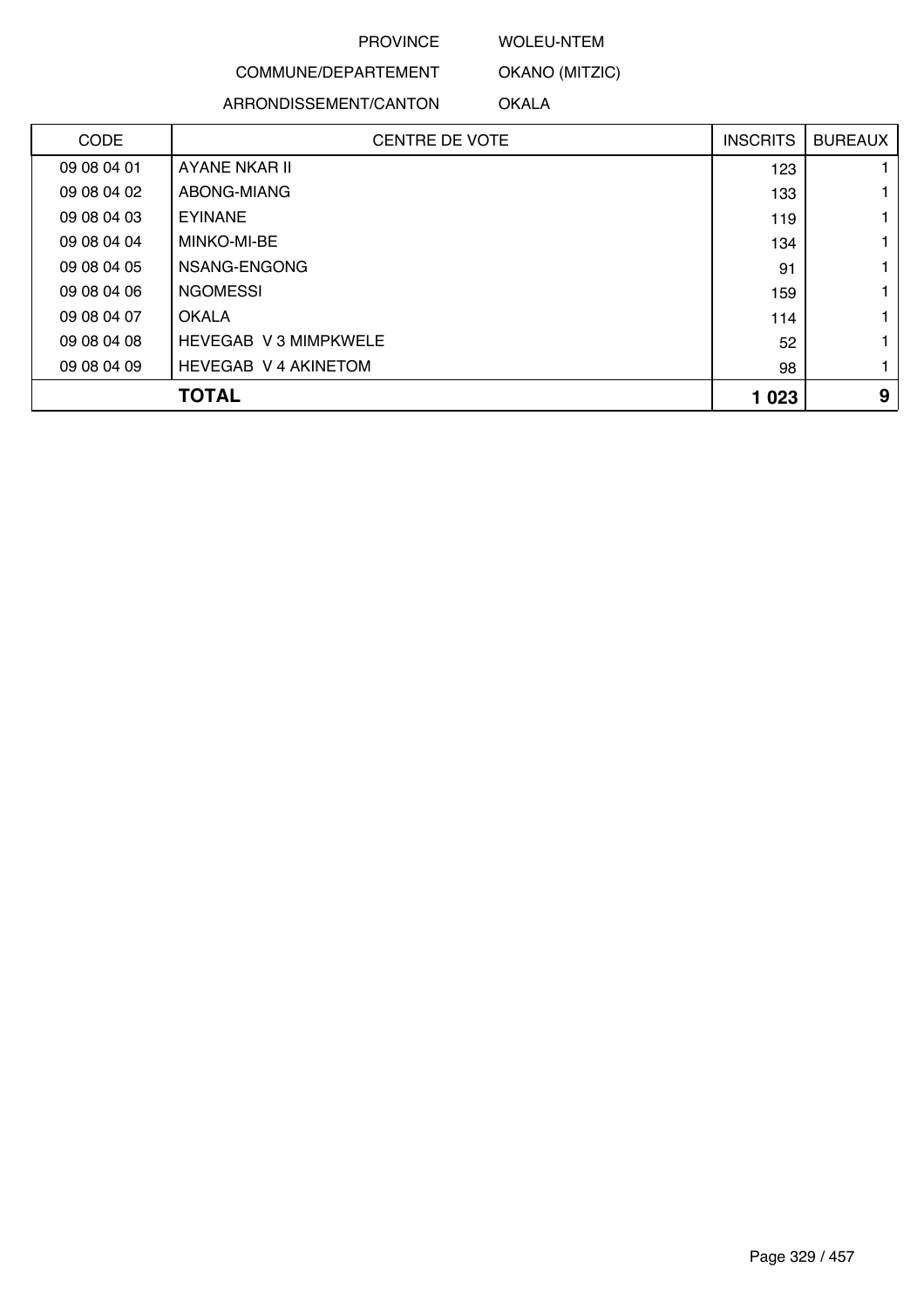### WOLEU-NTEM

OKANO (MITZIC)

COMMUNE/DEPARTEMENT

ARRONDISSEMENT/CANTON

OKALA

| <b>CODE</b> | <b>CENTRE DE VOTE</b>        | <b>INSCRITS</b> | <b>BUREAUX</b> |
|-------------|------------------------------|-----------------|----------------|
| 09 08 04 01 | AYANE NKAR II                | 123             |                |
| 09 08 04 02 | ABONG-MIANG                  | 133             |                |
| 09 08 04 03 | <b>EYINANE</b>               | 119             |                |
| 09 08 04 04 | MINKO-MI-BE                  | 134             |                |
| 09 08 04 05 | NSANG-ENGONG                 | 91              |                |
| 09 08 04 06 | <b>NGOMESSI</b>              | 159             |                |
| 09 08 04 07 | OKALA                        | 114             |                |
| 09 08 04 08 | <b>HEVEGAB V 3 MIMPKWELE</b> | 52              |                |
| 09 08 04 09 | <b>HEVEGAB V 4 AKINETOM</b>  | 98              |                |
|             | <b>TOTAL</b>                 | 1 0 2 3         | 9              |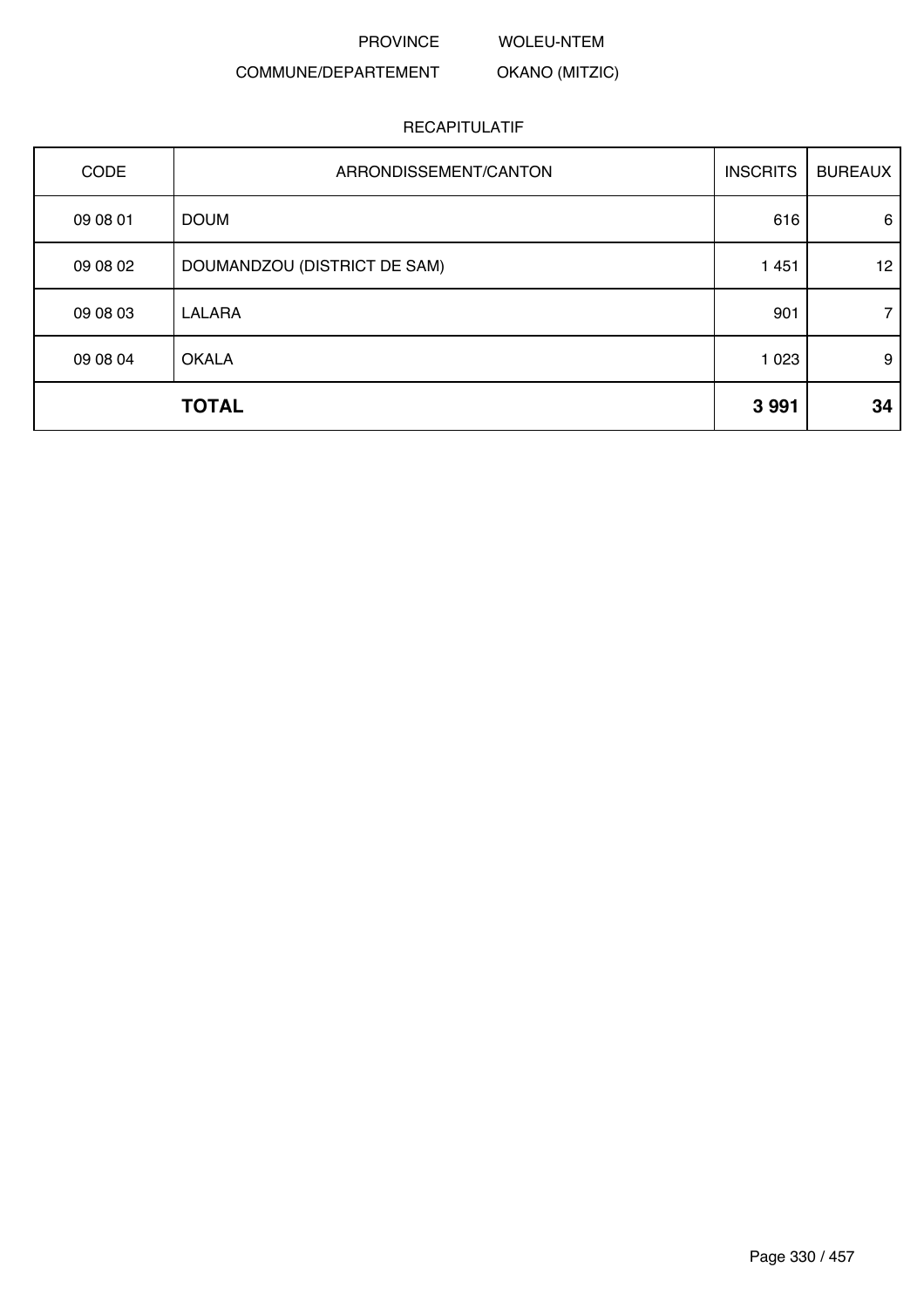PROVINCE WOLEU-NTEM

### COMMUNE/DEPARTEMENT OKANO (MITZIC)

| CODE     | ARRONDISSEMENT/CANTON        | <b>INSCRITS</b> | <b>BUREAUX</b> |
|----------|------------------------------|-----------------|----------------|
| 09 08 01 | <b>DOUM</b>                  | 616             | 6              |
| 09 08 02 | DOUMANDZOU (DISTRICT DE SAM) | 1 4 5 1         | 12             |
| 09 08 03 | LALARA                       | 901             | $7^{\circ}$    |
| 09 08 04 | <b>OKALA</b>                 | 1 0 2 3         | 9              |
|          | <b>TOTAL</b>                 | 3991            | 34             |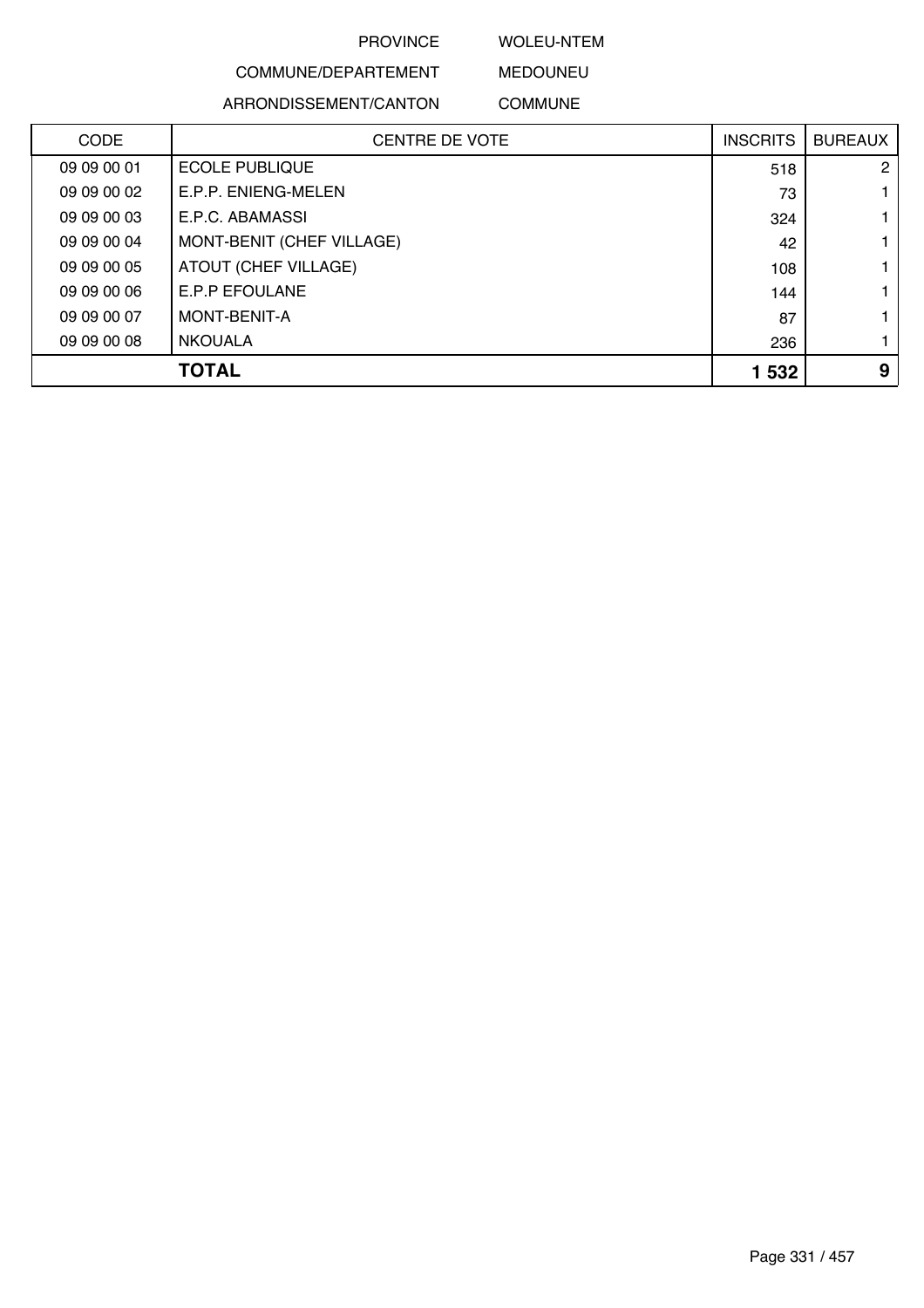### WOLEU-NTEM

## COMMUNE/DEPARTEMENT ARRONDISSEMENT/CANTON

MEDOUNEU COMMUNE

| <b>CODE</b> | <b>CENTRE DE VOTE</b>     | <b>INSCRITS</b> | <b>BUREAUX</b> |
|-------------|---------------------------|-----------------|----------------|
| 09 09 00 01 | <b>ECOLE PUBLIQUE</b>     | 518             | $\mathbf{2}$   |
| 09 09 00 02 | E.P.P. ENIENG-MELEN       | 73              |                |
| 09 09 00 03 | E.P.C. ABAMASSI           | 324             |                |
| 09 09 00 04 | MONT-BENIT (CHEF VILLAGE) | 42              |                |
| 09 09 00 05 | ATOUT (CHEF VILLAGE)      | 108             |                |
| 09 09 00 06 | <b>E.P.P EFOULANE</b>     | 144             |                |
| 09 09 00 07 | MONT-BENIT-A              | 87              |                |
| 09 09 00 08 | <b>NKOUALA</b>            | 236             |                |
|             | TOTAL                     | 1 532           | 9              |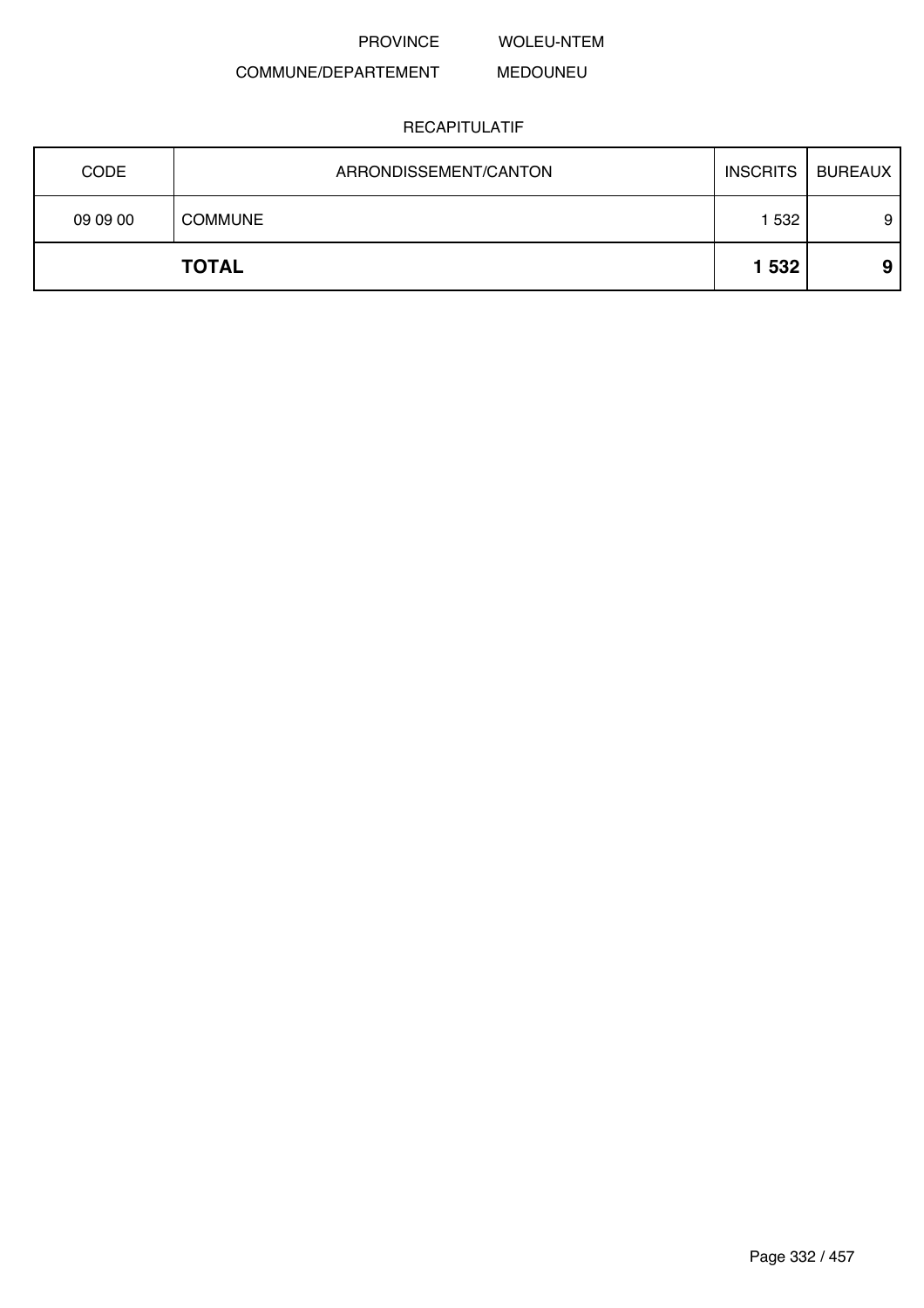WOLEU-NTEM

### COMMUNE/DEPARTEMENT MEDOUNEU

| <b>CODE</b> | ARRONDISSEMENT/CANTON | <b>INSCRITS</b> | <b>BUREAUX</b> |
|-------------|-----------------------|-----------------|----------------|
| 09 09 00    | <b>COMMUNE</b>        | 1 532           | 9              |
|             | <b>TOTAL</b>          | 1 532           | 9              |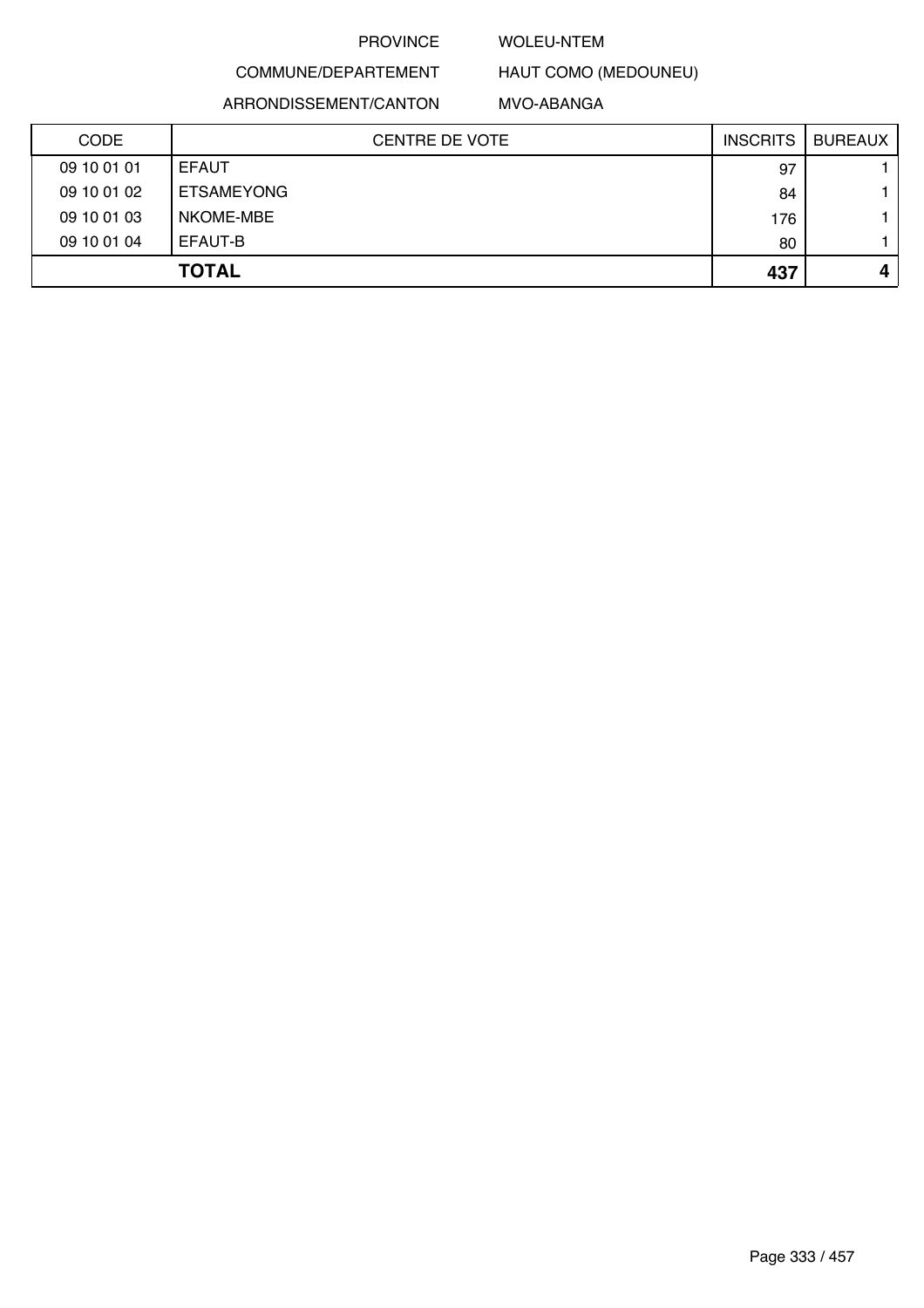### WOLEU-NTEM

## COMMUNE/DEPARTEMENT ARRONDISSEMENT/CANTON

MVO-ABANGA

HAUT COMO (MEDOUNEU)

| <b>CODE</b> | <b>CENTRE DE VOTE</b> | <b>INSCRITS</b> | <b>BUREAUX</b> |
|-------------|-----------------------|-----------------|----------------|
| 09 10 01 01 | <b>EFAUT</b>          | 97              |                |
| 09 10 01 02 | <b>ETSAMEYONG</b>     | 84              |                |
| 09 10 01 03 | NKOME-MBE             | 176             |                |
| 09 10 01 04 | EFAUT-B               | 80              |                |
|             | <b>TOTAL</b>          | 437             | 4              |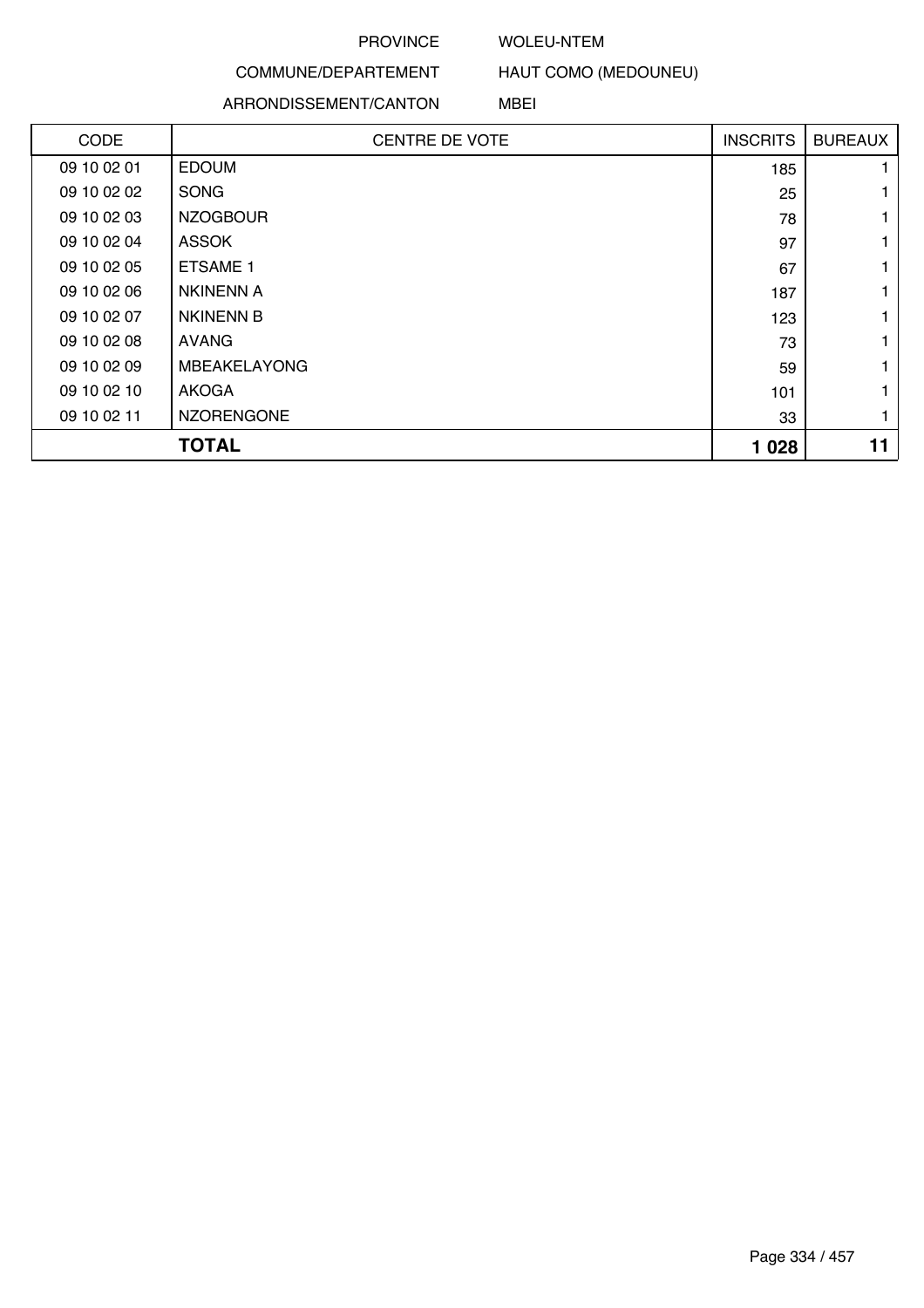### WOLEU-NTEM

## COMMUNE/DEPARTEMENT

### ARRONDISSEMENT/CANTON

HAUT COMO (MEDOUNEU)

### MBEI

| <b>CODE</b> | <b>CENTRE DE VOTE</b> | <b>INSCRITS</b> | <b>BUREAUX</b> |
|-------------|-----------------------|-----------------|----------------|
| 09 10 02 01 | <b>EDOUM</b>          | 185             |                |
| 09 10 02 02 | <b>SONG</b>           | 25              |                |
| 09 10 02 03 | <b>NZOGBOUR</b>       | 78              |                |
| 09 10 02 04 | <b>ASSOK</b>          | 97              |                |
| 09 10 02 05 | <b>ETSAME 1</b>       | 67              |                |
| 09 10 02 06 | <b>NKINENN A</b>      | 187             |                |
| 09 10 02 07 | <b>NKINENN B</b>      | 123             |                |
| 09 10 02 08 | <b>AVANG</b>          | 73              |                |
| 09 10 02 09 | <b>MBEAKELAYONG</b>   | 59              |                |
| 09 10 02 10 | AKOGA                 | 101             |                |
| 09 10 02 11 | <b>NZORENGONE</b>     | 33              |                |
|             | <b>TOTAL</b>          | 1 0 28          | 11             |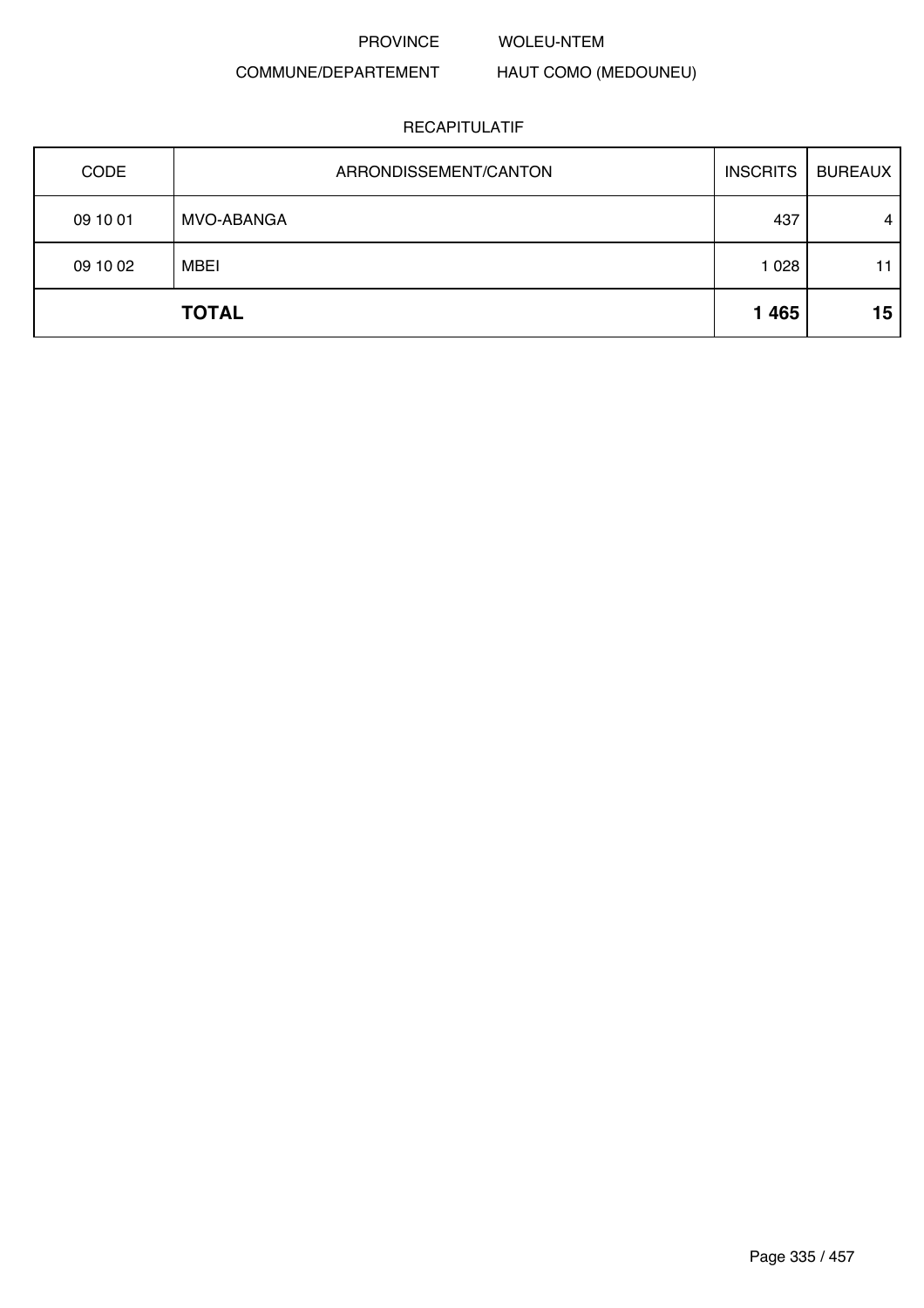### WOLEU-NTEM

## COMMUNE/DEPARTEMENT

## HAUT COMO (MEDOUNEU)

| <b>CODE</b> | ARRONDISSEMENT/CANTON | <b>INSCRITS</b> | <b>BUREAUX</b> |
|-------------|-----------------------|-----------------|----------------|
| 09 10 01    | MVO-ABANGA            | 437             | $\overline{4}$ |
| 09 10 02    | <b>MBEI</b>           | 1 0 28          | 11             |
|             | <b>TOTAL</b>          | 1 4 6 5         | 15             |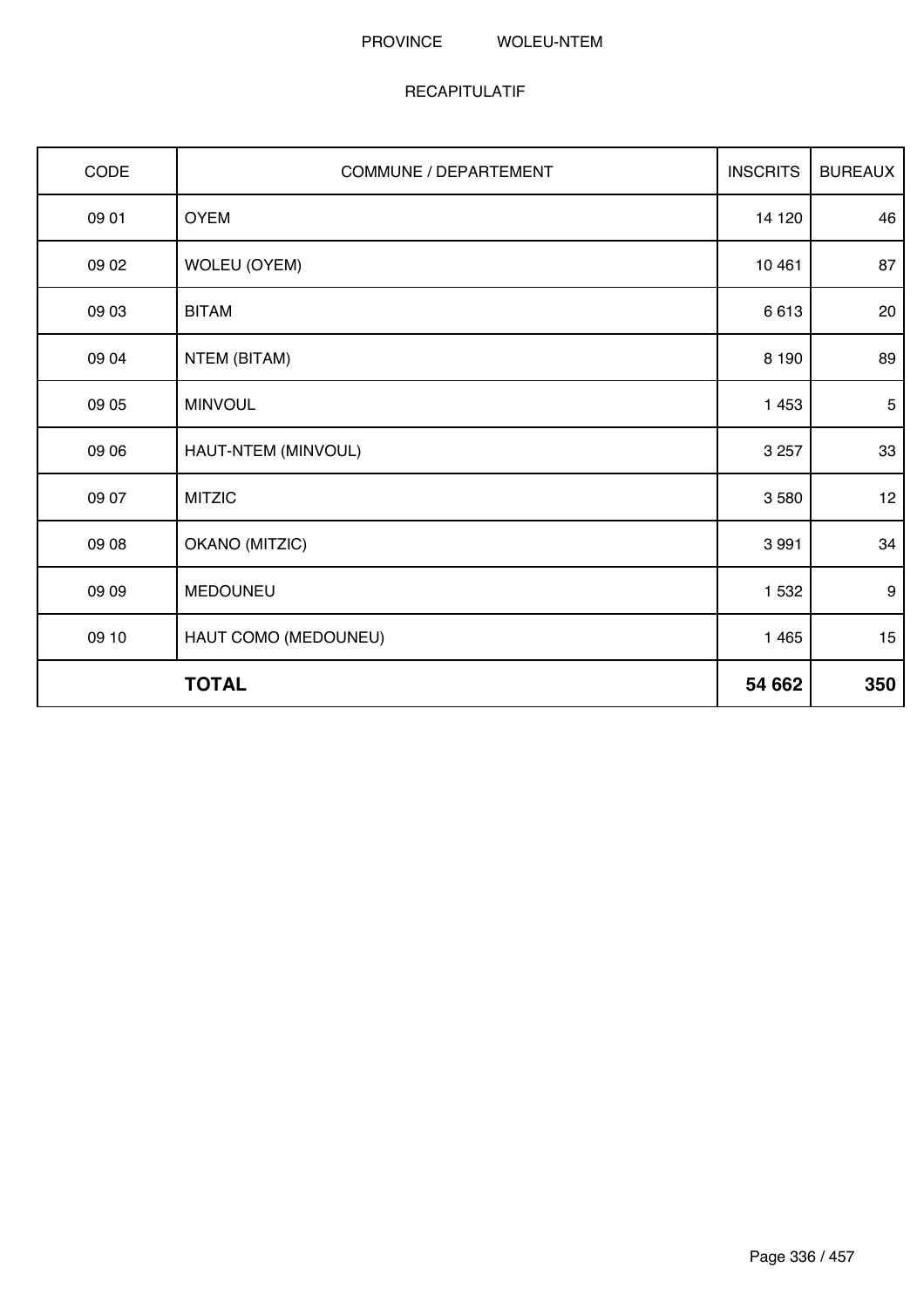### PROVINCE WOLEU-NTEM

| CODE  | COMMUNE / DEPARTEMENT | <b>INSCRITS</b> | <b>BUREAUX</b>   |
|-------|-----------------------|-----------------|------------------|
| 09 01 | <b>OYEM</b>           | 14 120          | 46               |
| 09 02 | <b>WOLEU (OYEM)</b>   | 10 4 61         | 87               |
| 09 03 | <b>BITAM</b>          | 6613            | 20               |
| 09 04 | NTEM (BITAM)          | 8 1 9 0         | 89               |
| 09 05 | <b>MINVOUL</b>        | 1 4 5 3         | $5\phantom{.0}$  |
| 09 06 | HAUT-NTEM (MINVOUL)   | 3 2 5 7         | 33               |
| 09 07 | <b>MITZIC</b>         | 3580            | 12               |
| 09 08 | OKANO (MITZIC)        | 3 9 9 1         | 34               |
| 09 09 | MEDOUNEU              | 1 5 3 2         | $\boldsymbol{9}$ |
| 09 10 | HAUT COMO (MEDOUNEU)  | 1 4 6 5         | 15               |
|       | <b>TOTAL</b>          | 54 662          | 350              |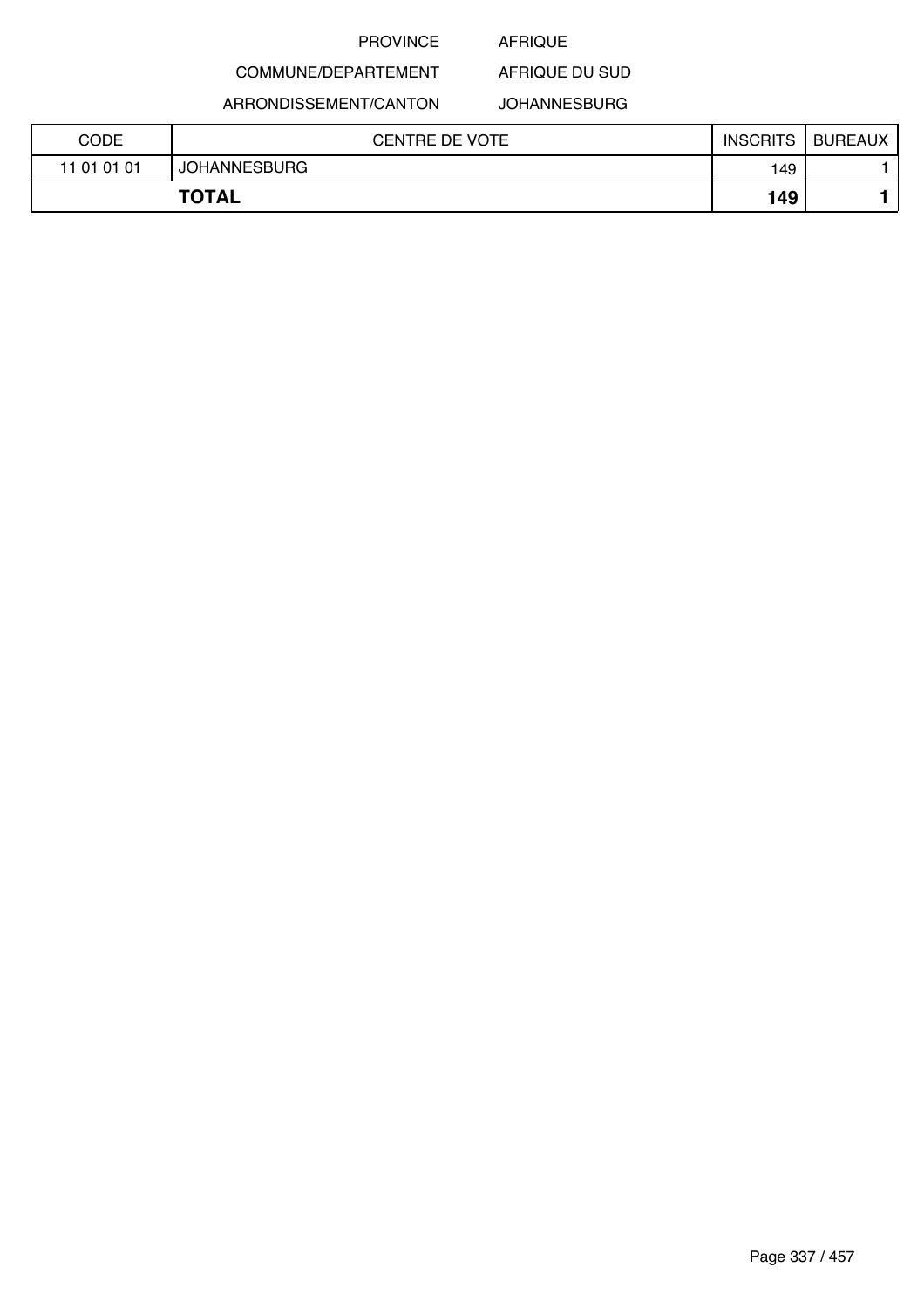### AFRIQUE

AFRIQUE DU SUD

## COMMUNE/DEPARTEMENT

ARRONDISSEMENT/CANTON JOHANNESBURG

| <b>CODE</b> | <b>CENTRE DE VOTE</b> | <b>INSCRITS</b> | <b>BUREAUX</b> |
|-------------|-----------------------|-----------------|----------------|
| 11 01 01 01 | <b>JOHANNESBURG</b>   | 149             |                |
|             | <b>TOTAL</b>          | 149             |                |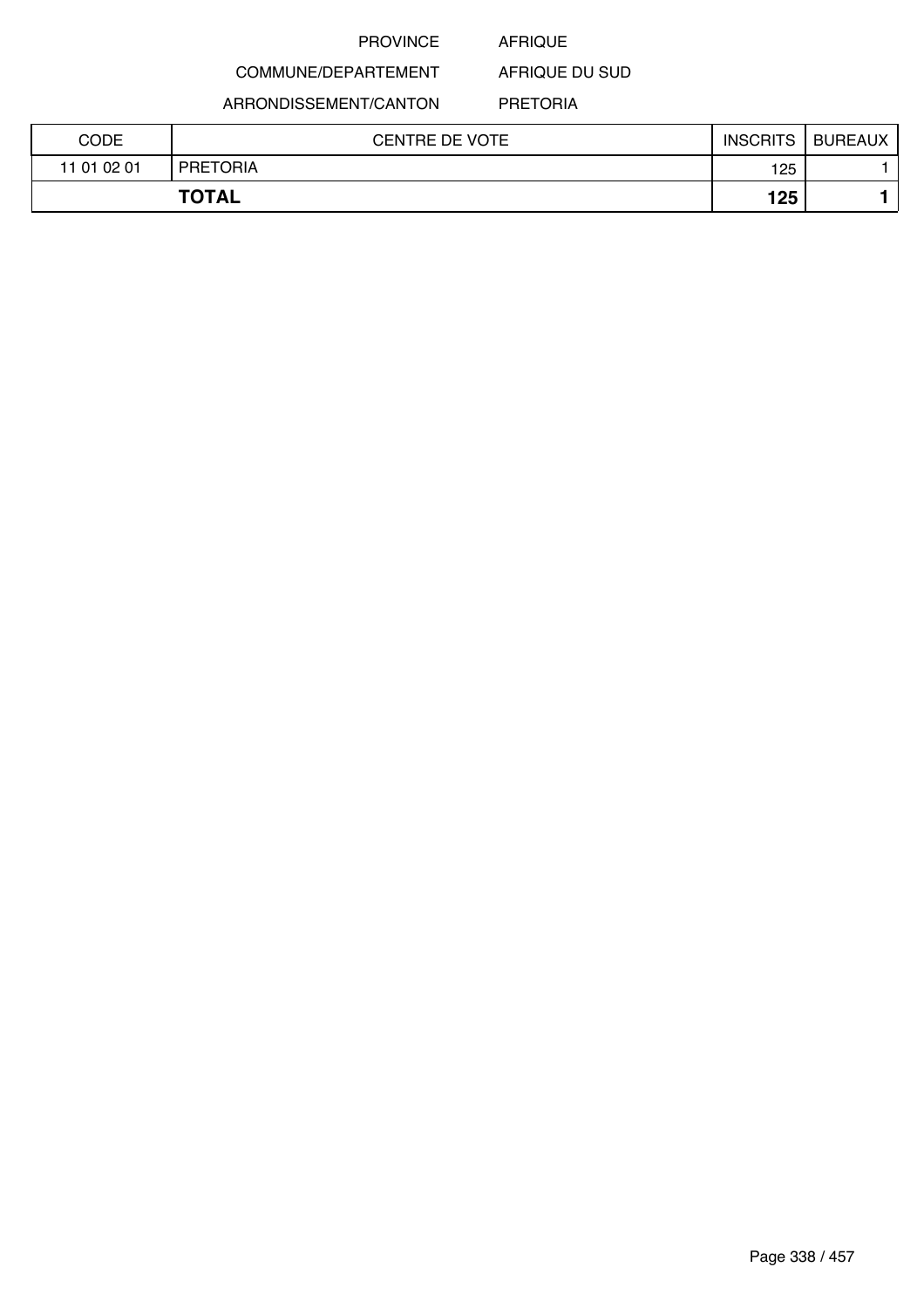### AFRIQUE

AFRIQUE DU SUD

ARRONDISSEMENT/CANTON

COMMUNE/DEPARTEMENT

PRETORIA

| <b>CODE</b> | <b>CENTRE DE VOTE</b> | <b>INSCRITS</b> | <b>BUREAUX</b> |
|-------------|-----------------------|-----------------|----------------|
| 11 01 02 01 | <b>PRETORIA</b>       | 125             |                |
|             | <b>TOTAL</b>          | 125             |                |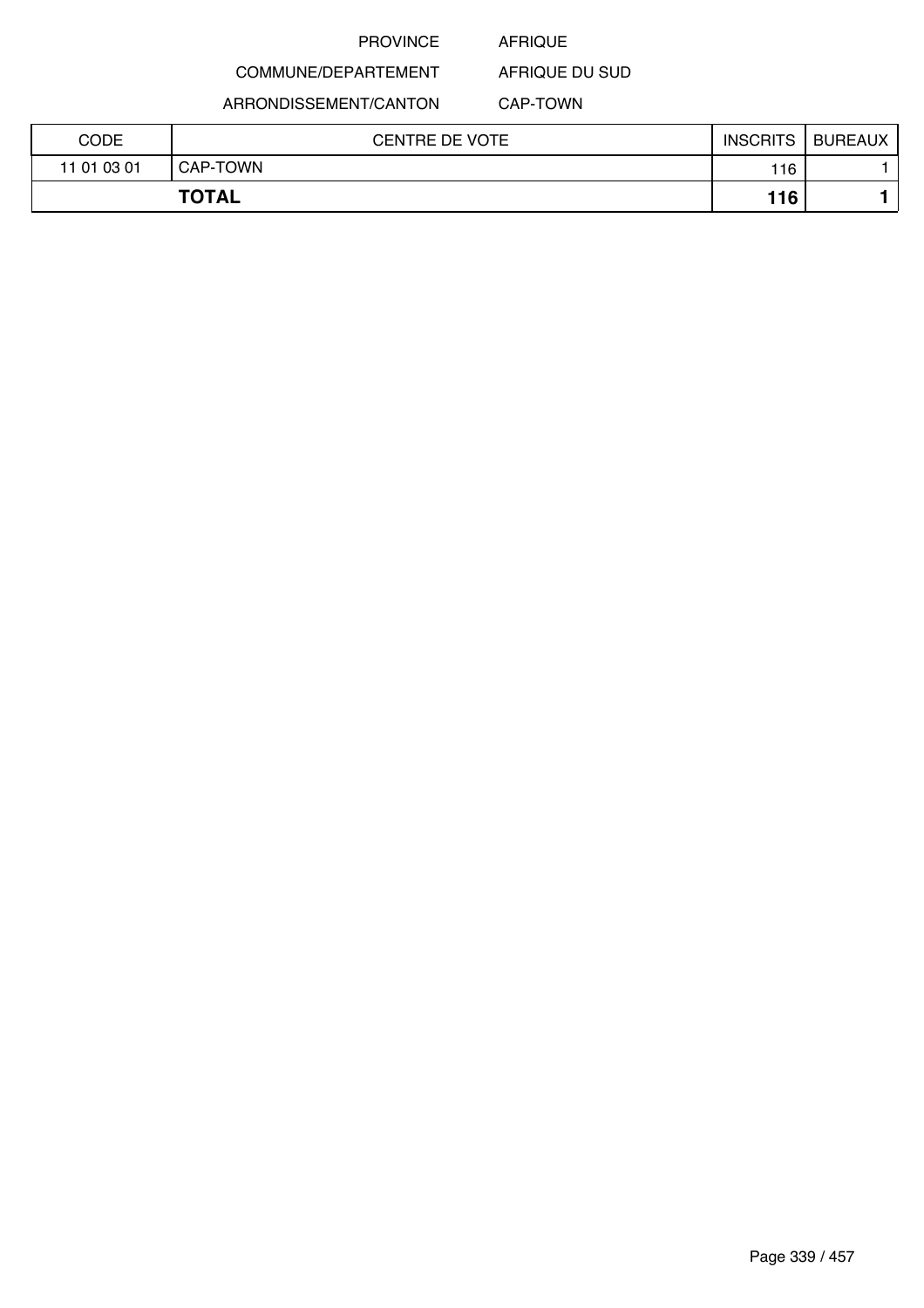### AFRIQUE

COMMUNE/DEPARTEMENT AFRIQUE DU SUD

ARRONDISSEMENT/CANTON

CAP-TOWN

| CODE        | <b>CENTRE DE VOTE</b> | <b>INSCRITS</b> | <b>BUREAUX</b> |
|-------------|-----------------------|-----------------|----------------|
| 11 01 03 01 | CAP-TOWN              | 116             |                |
|             | <b>TOTAL</b>          | 116             |                |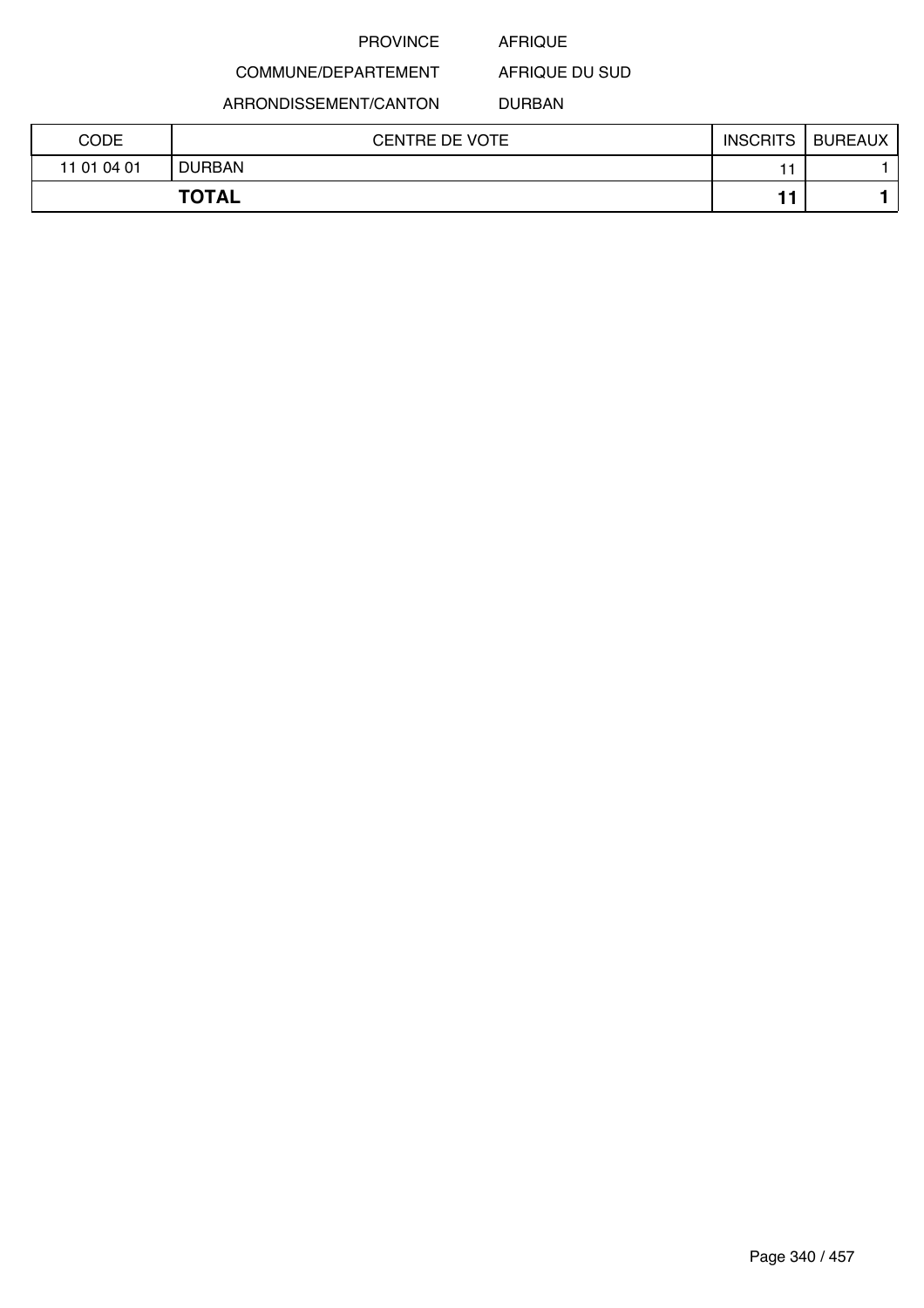### AFRIQUE

COMMUNE/DEPARTEMENT

ARRONDISSEMENT/CANTON

DURBAN

AFRIQUE DU SUD

| CODE        | <b>CENTRE DE VOTE</b> | <b>INSCRITS</b> | <b>BUREAUX</b> |
|-------------|-----------------------|-----------------|----------------|
| 11 01 04 01 | <b>DURBAN</b>         |                 |                |
|             | <b>TOTAL</b>          |                 |                |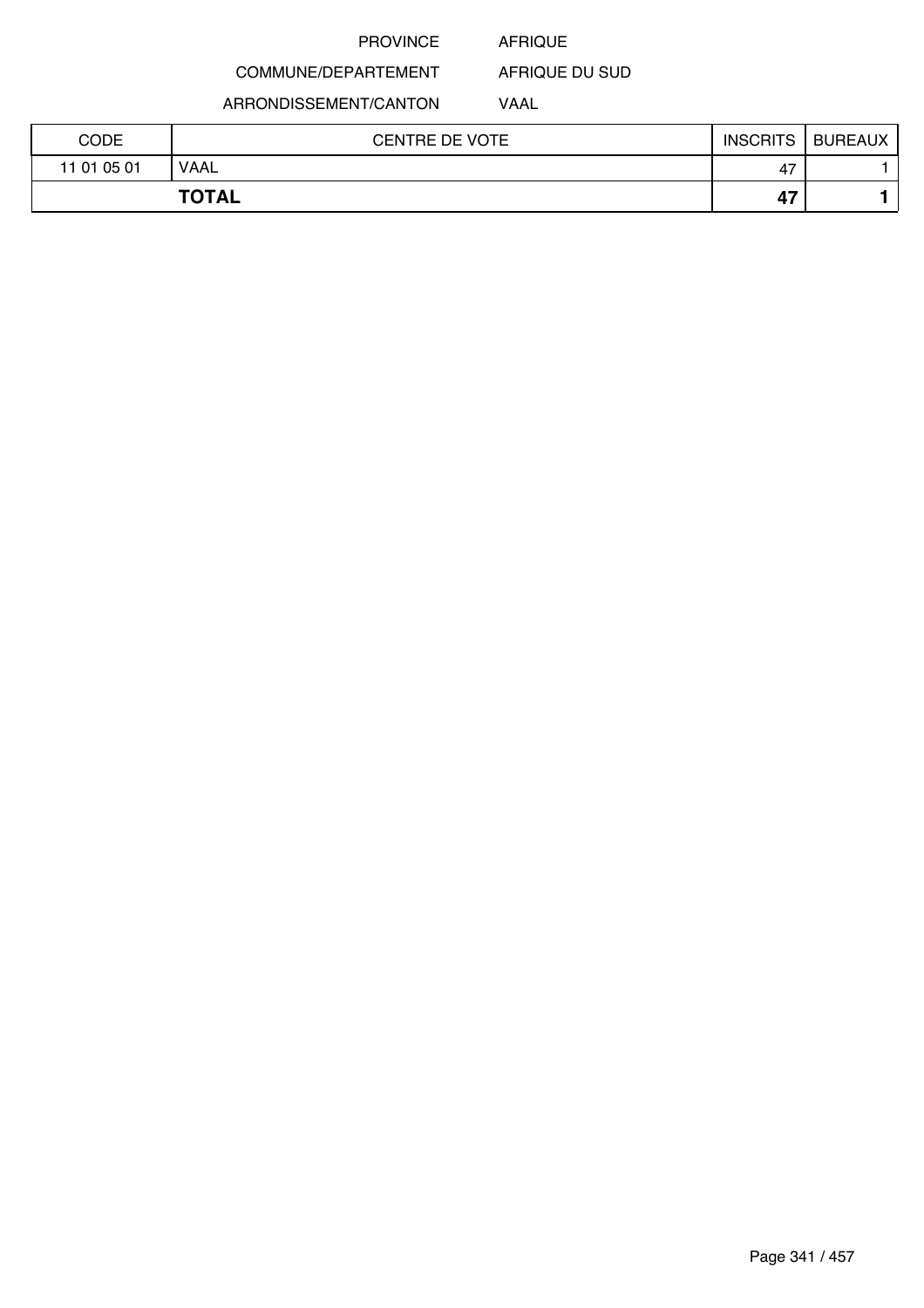### AFRIQUE

AFRIQUE DU SUD

ARRONDISSEMENT/CANTON

COMMUNE/DEPARTEMENT

VAAL

| CODE        | CENTRE DE VOTE | <b>INSCRITS</b> | <b>BUREAUX</b> |
|-------------|----------------|-----------------|----------------|
| 11 01 05 01 | <b>VAAL</b>    | 47              |                |
|             | <b>TOTAL</b>   | 47              |                |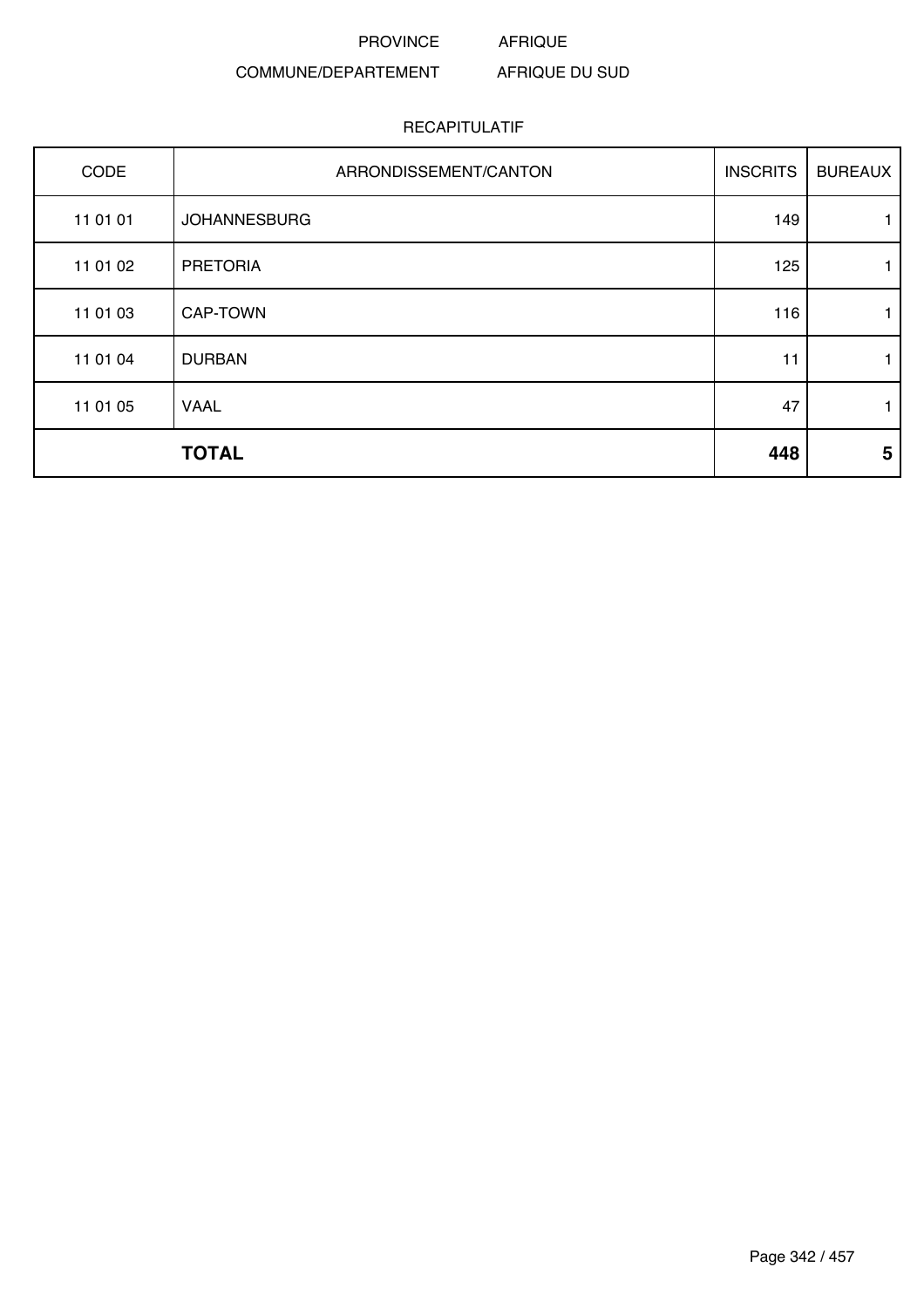PROVINCE AFRIQUE

### COMMUNE/DEPARTEMENT AFRIQUE DU SUD

| CODE     | ARRONDISSEMENT/CANTON | <b>INSCRITS</b> | <b>BUREAUX</b> |
|----------|-----------------------|-----------------|----------------|
| 11 01 01 | <b>JOHANNESBURG</b>   | 149             |                |
| 11 01 02 | <b>PRETORIA</b>       | 125             | 1              |
| 11 01 03 | <b>CAP-TOWN</b>       | 116             | 1              |
| 11 01 04 | <b>DURBAN</b>         | 11              |                |
| 11 01 05 | <b>VAAL</b>           | 47              | 1              |
|          | <b>TOTAL</b>          | 448             | 5              |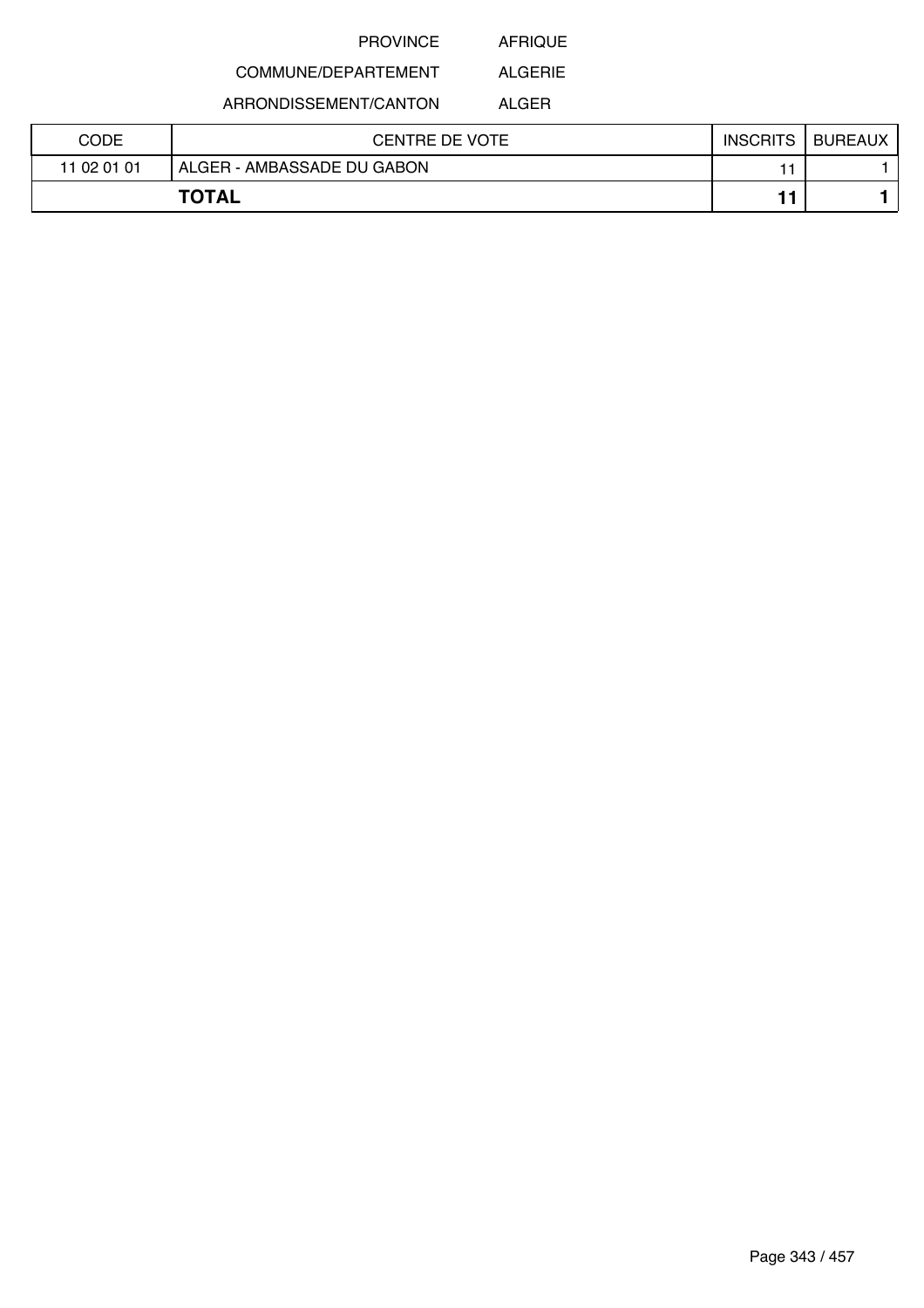AFRIQUE

#### COMMUNE/DEPARTEMENT ALGERIE

ARRONDISSEMENT/CANTON

ALGER

| CODE        | CENTRE DE VOTE             | <b>INSCRITS</b> | <b>BUREAUX</b> |
|-------------|----------------------------|-----------------|----------------|
| 11 02 01 01 | ALGER - AMBASSADE DU GABON |                 |                |
|             | <b>TOTAL</b>               |                 |                |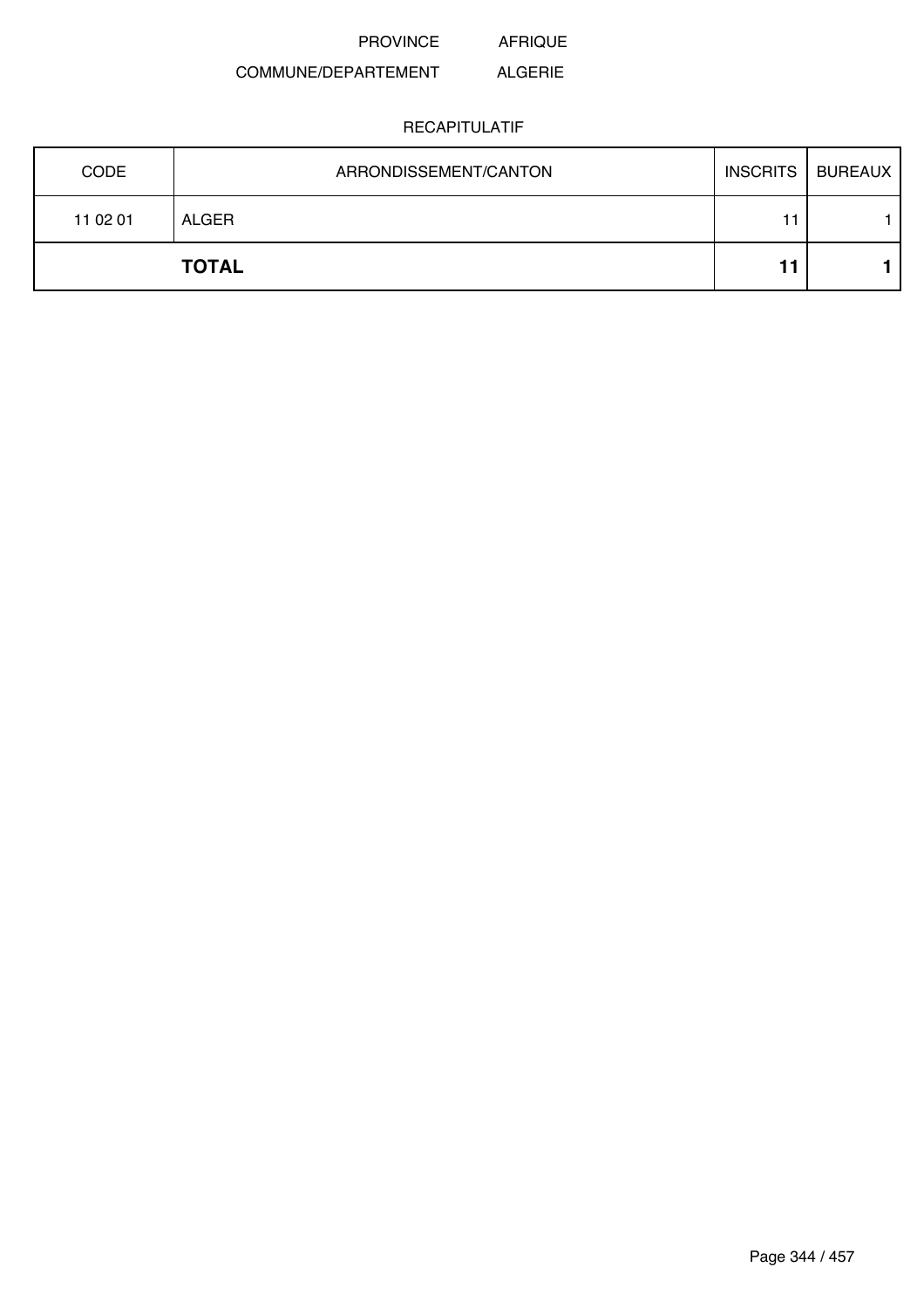PROVINCE AFRIQUE

### COMMUNE/DEPARTEMENT ALGERIE

| <b>CODE</b> | ARRONDISSEMENT/CANTON | <b>INSCRITS</b> | <b>BUREAUX</b> |
|-------------|-----------------------|-----------------|----------------|
| 11 02 01    | ALGER                 | 11              |                |
|             | <b>TOTAL</b>          |                 |                |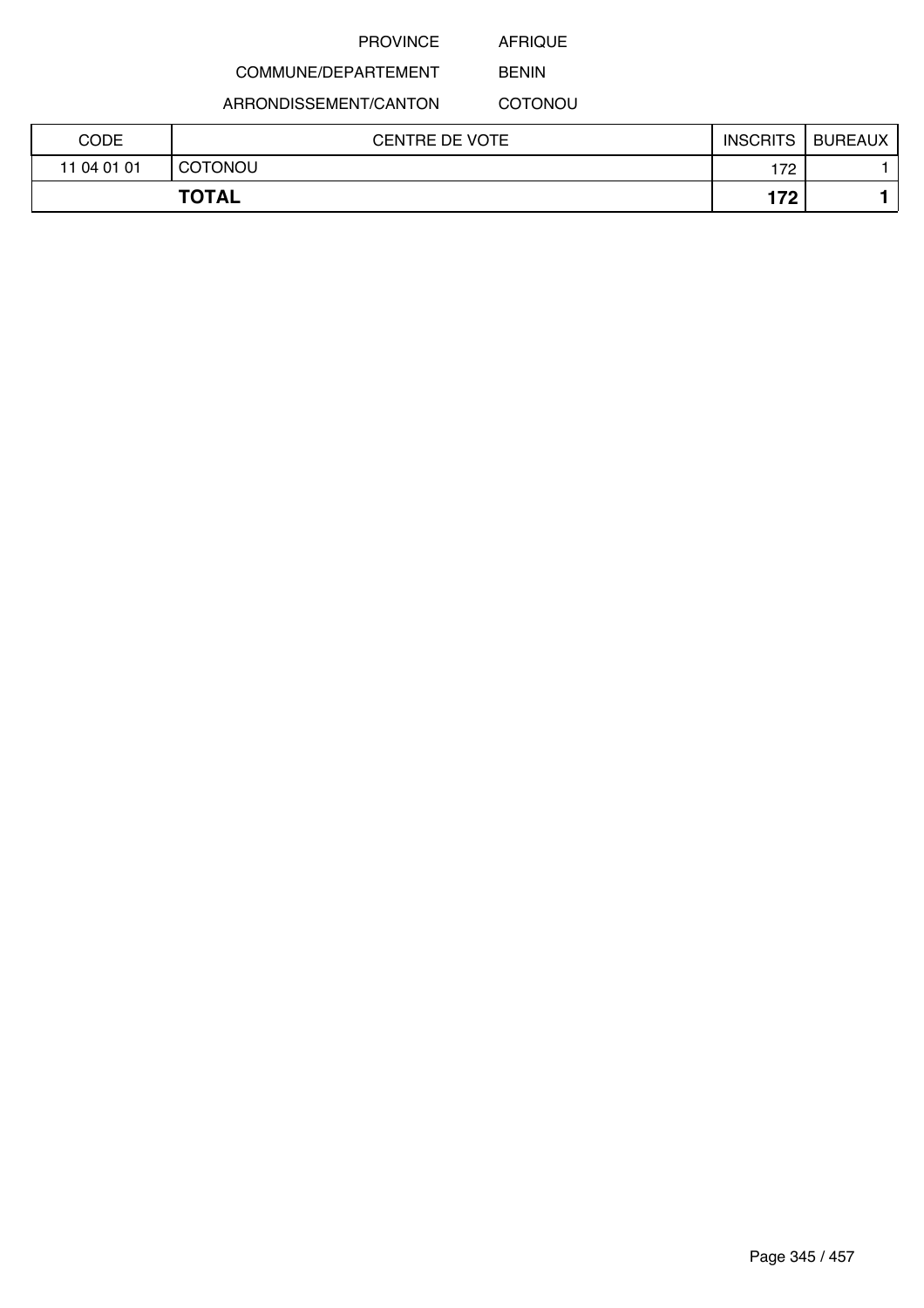AFRIQUE BENIN

# COMMUNE/DEPARTEMENT

ARRONDISSEMENT/CANTON

**COTONOU** 

| CODE        | <b>CENTRE DE VOTE</b> | <b>INSCRITS</b> | <b>BUREAUX</b> |
|-------------|-----------------------|-----------------|----------------|
| 11 04 01 01 | <b>COTONOU</b>        | 172             |                |
|             | <b>TOTAL</b>          | 179             |                |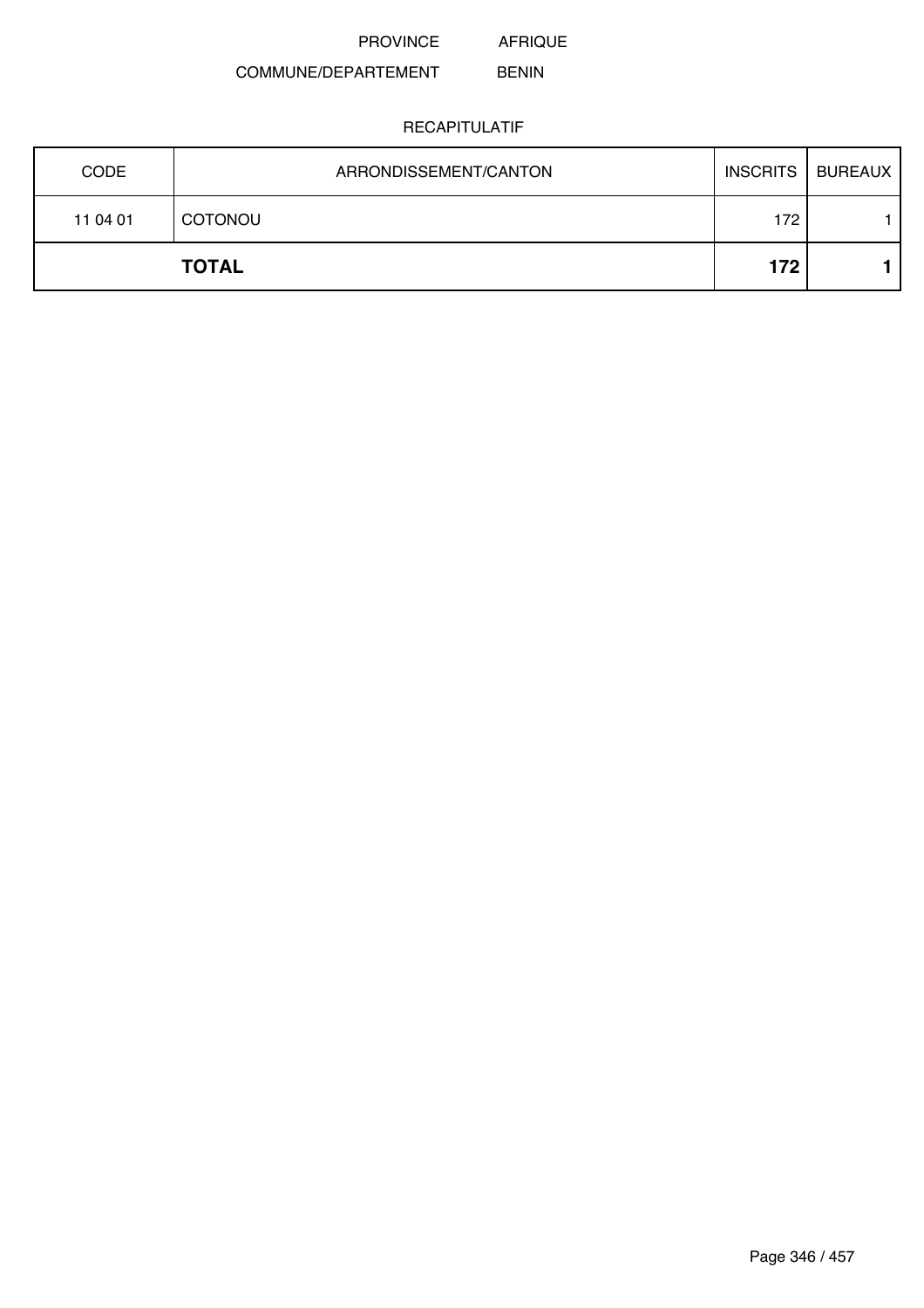AFRIQUE

### COMMUNE/DEPARTEMENT BENIN

| <b>CODE</b> | ARRONDISSEMENT/CANTON | <b>INSCRITS</b> | <b>BUREAUX</b> |
|-------------|-----------------------|-----------------|----------------|
| 11 04 01    | <b>COTONOU</b>        | 172             |                |
|             | <b>TOTAL</b>          | 172             |                |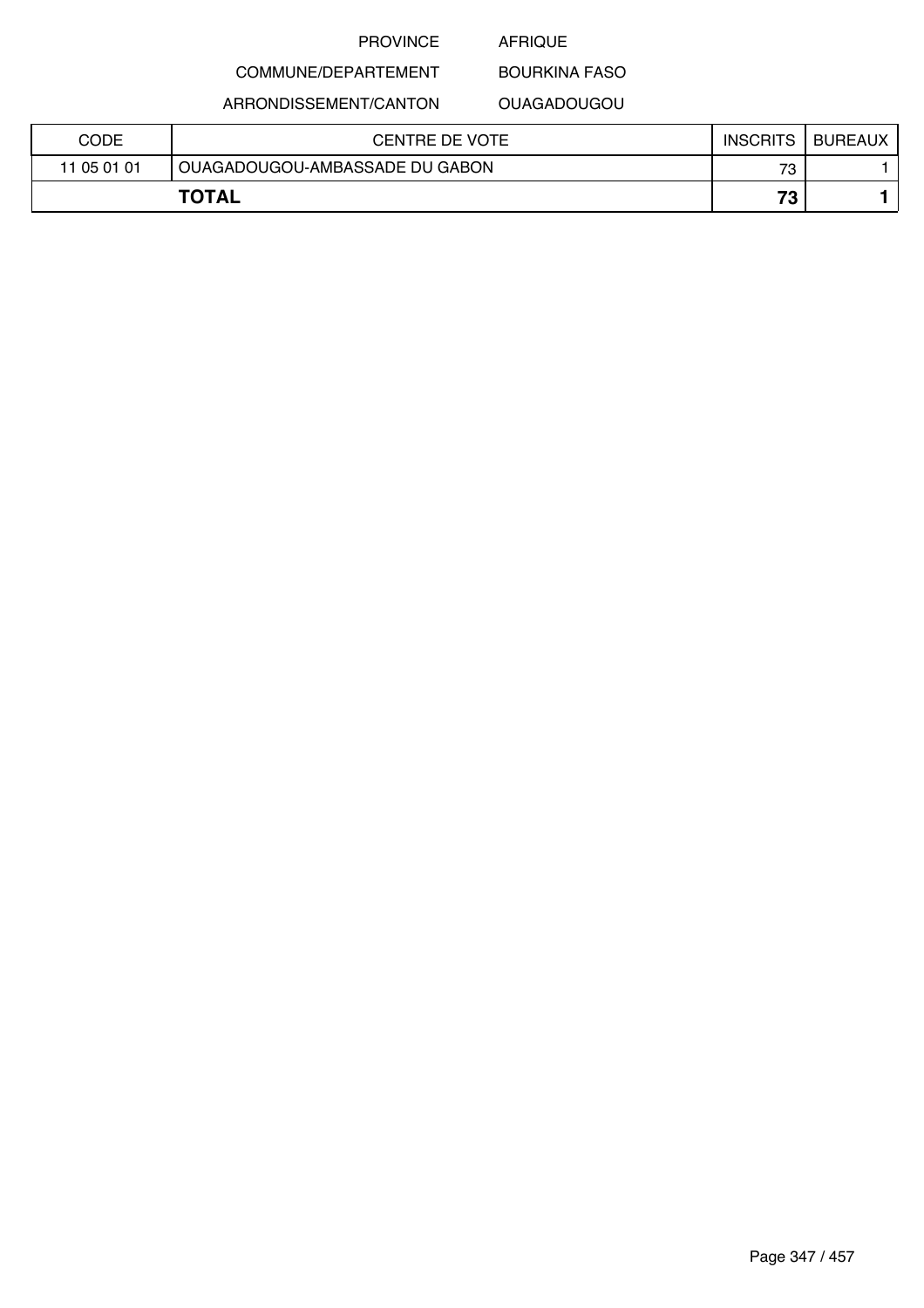### AFRIQUE

## COMMUNE/DEPARTEMENT ARRONDISSEMENT/CANTON

## BOURKINA FASO OUAGADOUGOU

| CODE         | CENTRE DE VOTE                 | <b>INSCRITS</b> | <b>BUREAUX</b> |
|--------------|--------------------------------|-----------------|----------------|
| 11 05 01 01  | OUAGADOUGOU-AMBASSADE DU GABON | 73              |                |
| <b>TOTAL</b> |                                | 73 <sub>1</sub> |                |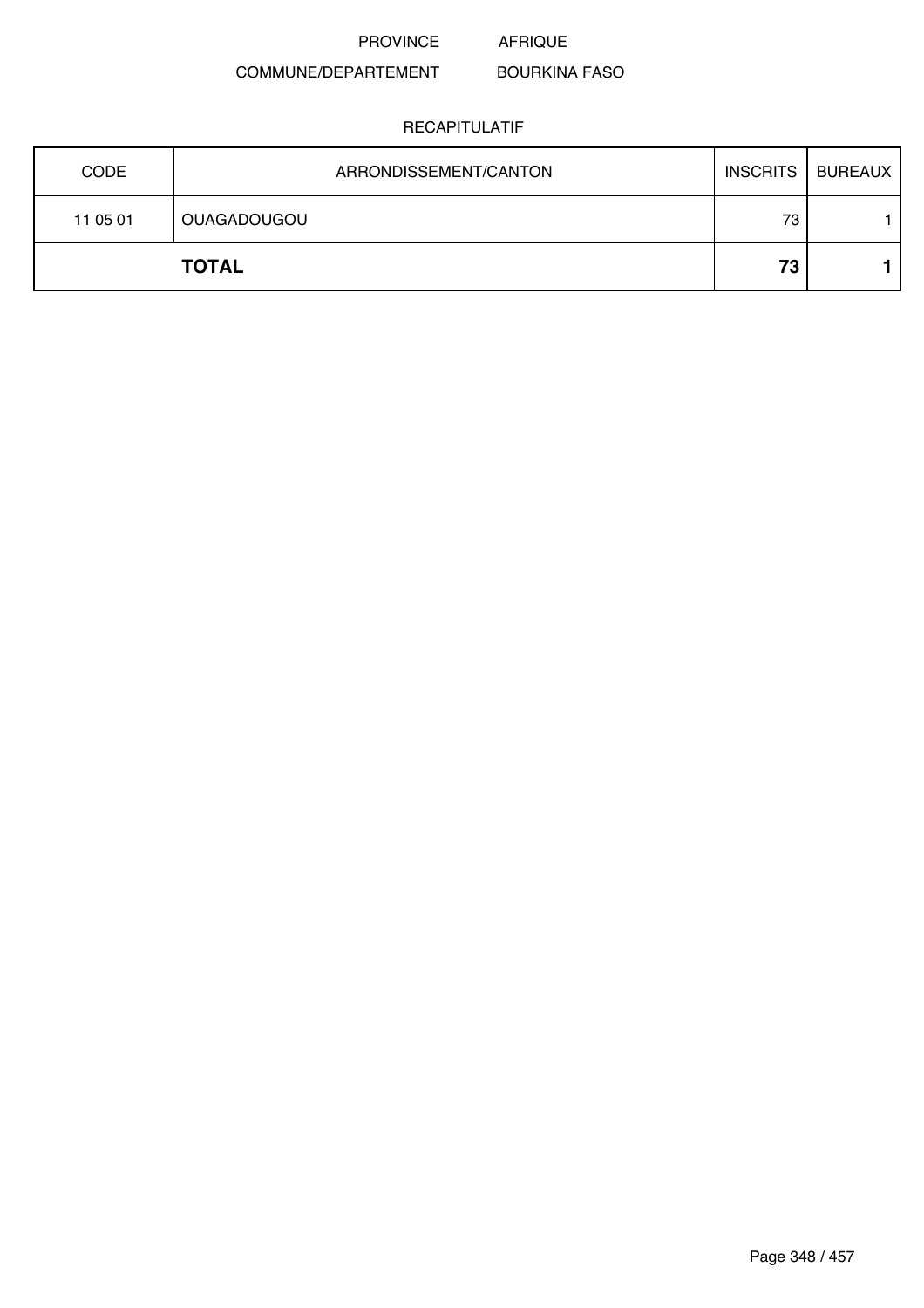PROVINCE AFRIQUE

### COMMUNE/DEPARTEMENT BOURKINA FASO

| <b>CODE</b> | ARRONDISSEMENT/CANTON | <b>INSCRITS</b> | BUREAUX |
|-------------|-----------------------|-----------------|---------|
| 11 05 01    | <b>OUAGADOUGOU</b>    | 73              |         |
|             | <b>TOTAL</b>          | 73              |         |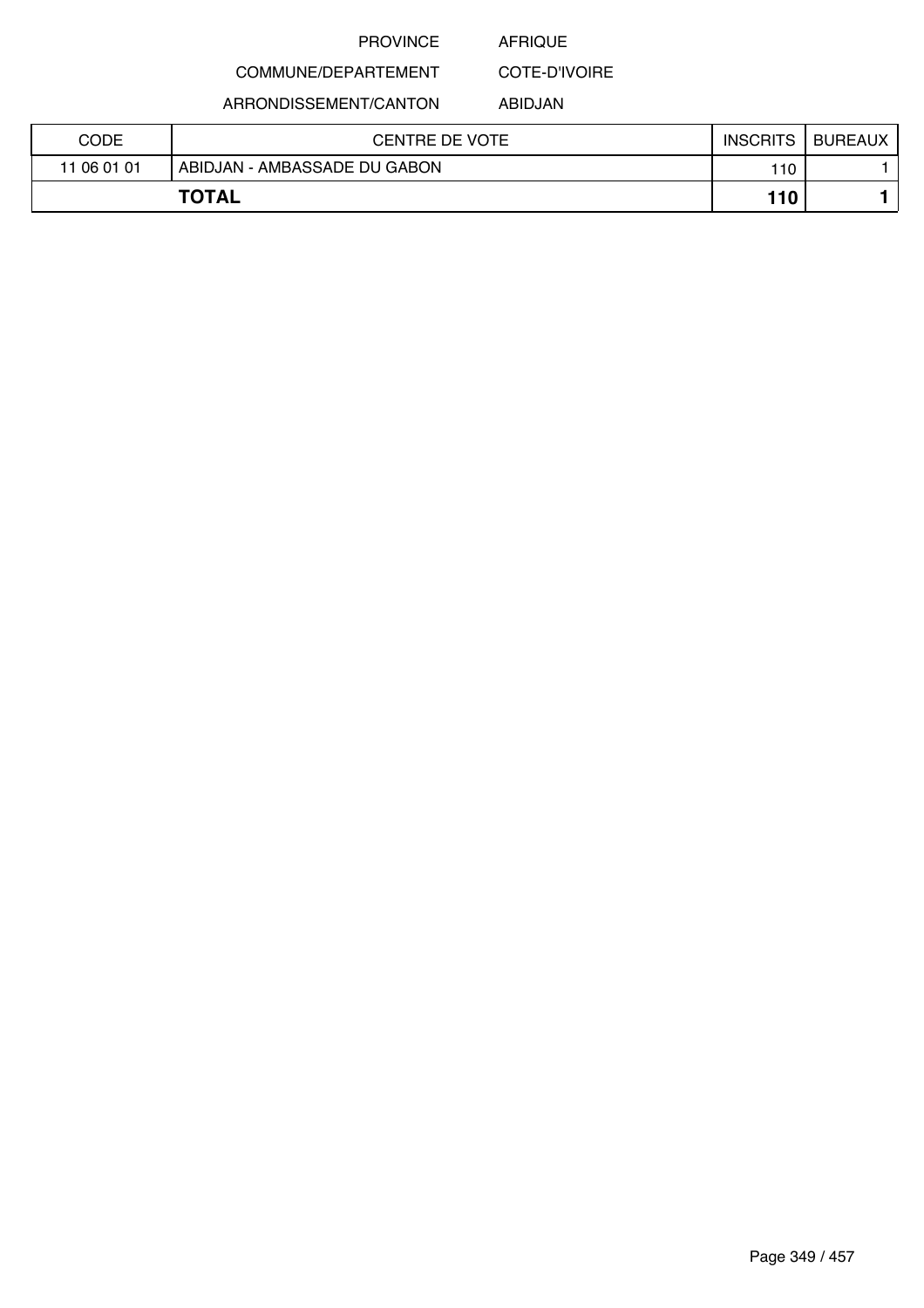### AFRIQUE

COMMUNE/DEPARTEMENT COTE-D'IVOIRE

ARRONDISSEMENT/CANTON

ABIDJAN

| CODE        | <b>CENTRE DE VOTE</b>        | <b>INSCRITS</b> | <b>BUREAUX</b> |
|-------------|------------------------------|-----------------|----------------|
| 11 06 01 01 | ABIDJAN - AMBASSADE DU GABON | 110             |                |
|             | <b>TOTAL</b>                 | 110             |                |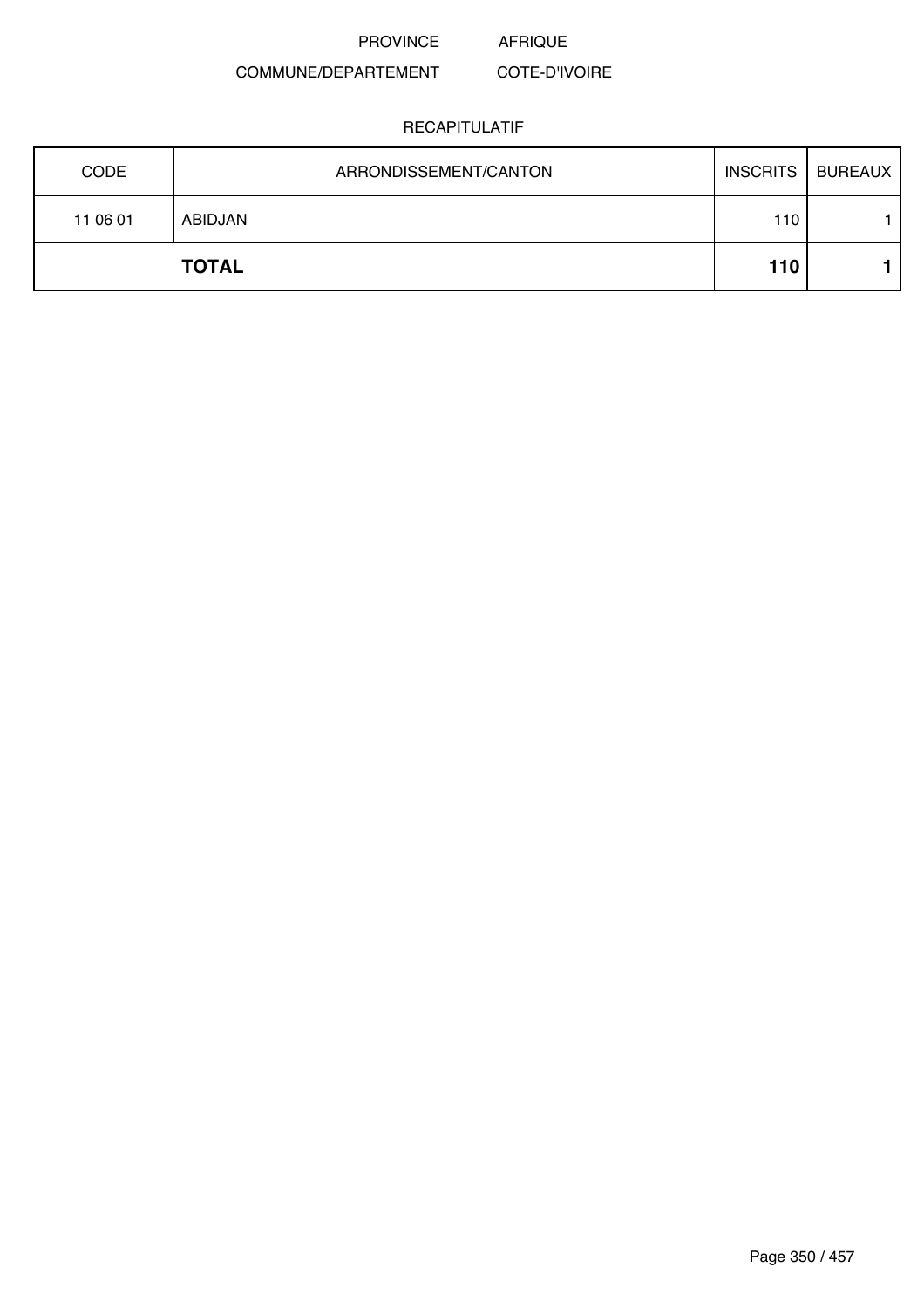PROVINCE AFRIQUE

### COMMUNE/DEPARTEMENT COTE-D'IVOIRE

| <b>CODE</b> | ARRONDISSEMENT/CANTON | <b>INSCRITS</b> | <b>BUREAUX</b> |
|-------------|-----------------------|-----------------|----------------|
| 11 06 01    | ABIDJAN               | 110             |                |
|             | <b>TOTAL</b>          | 110             |                |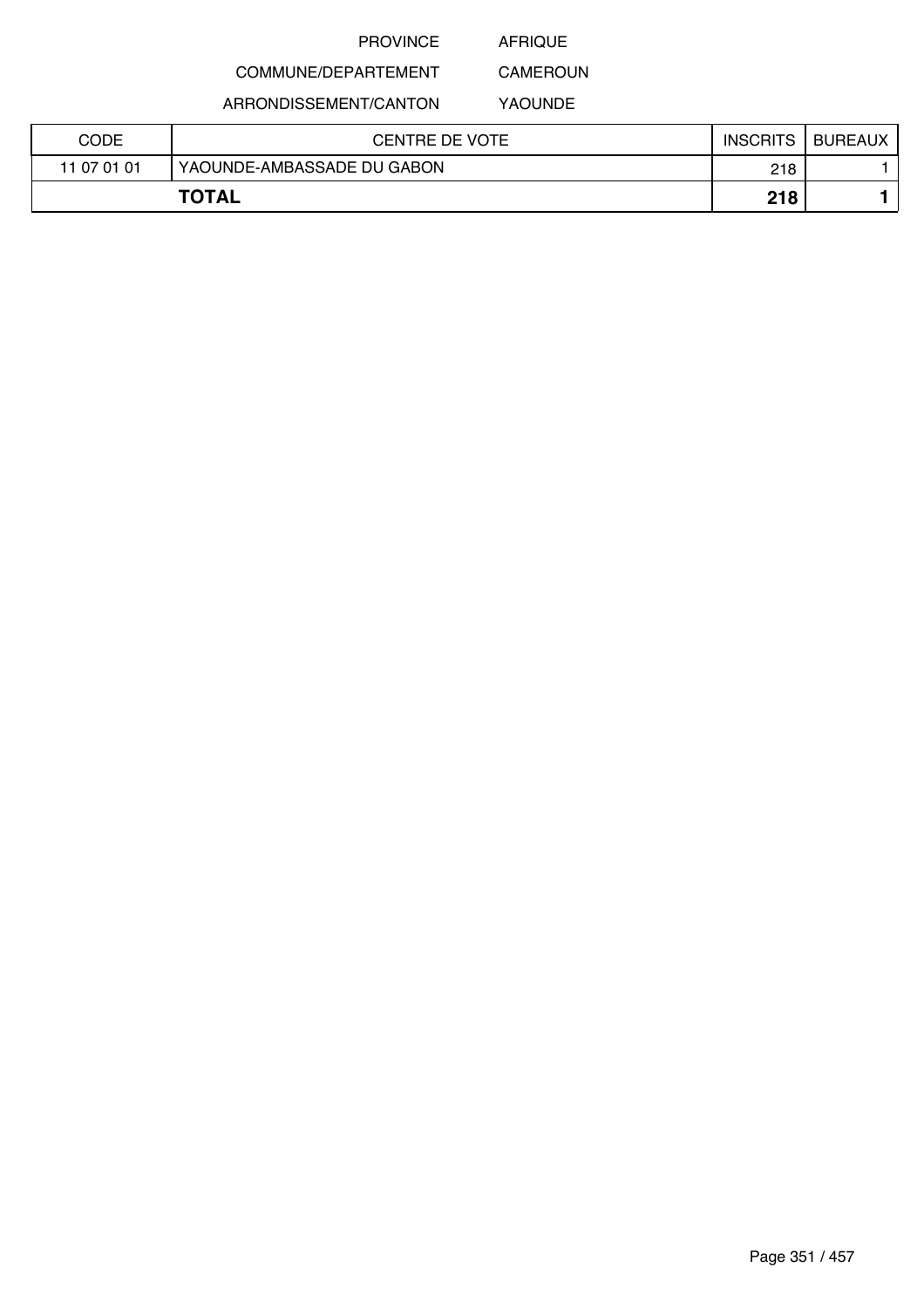AFRIQUE

## COMMUNE/DEPARTEMENT

ARRONDISSEMENT/CANTON

YAOUNDE

CAMEROUN

| CODE         | CENTRE DE VOTE             | <b>INSCRITS</b> | <b>BUREAUX</b> |
|--------------|----------------------------|-----------------|----------------|
| 11 07 01 01  | YAOUNDE-AMBASSADE DU GABON | 218             |                |
| <b>TOTAL</b> |                            | 218             |                |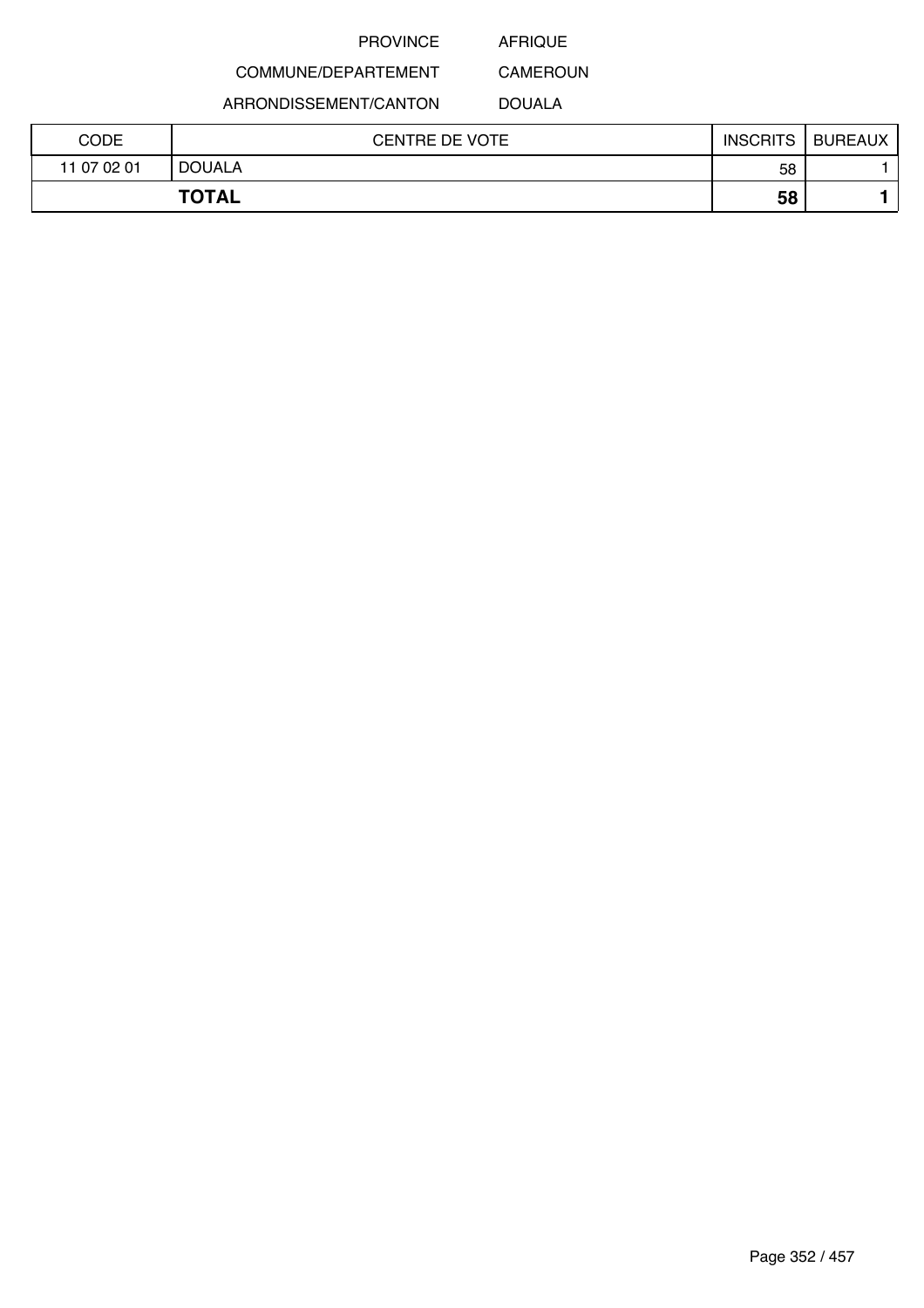AFRIQUE

COMMUNE/DEPARTEMENT ARRONDISSEMENT/CANTON

CAMEROUN DOUALA

| CODE        | <b>CENTRE DE VOTE</b> | <b>INSCRITS</b> | <b>BUREAUX</b> |
|-------------|-----------------------|-----------------|----------------|
| 11 07 02 01 | <b>DOUALA</b>         | 58              |                |
|             | <b>TOTAL</b>          | 58              |                |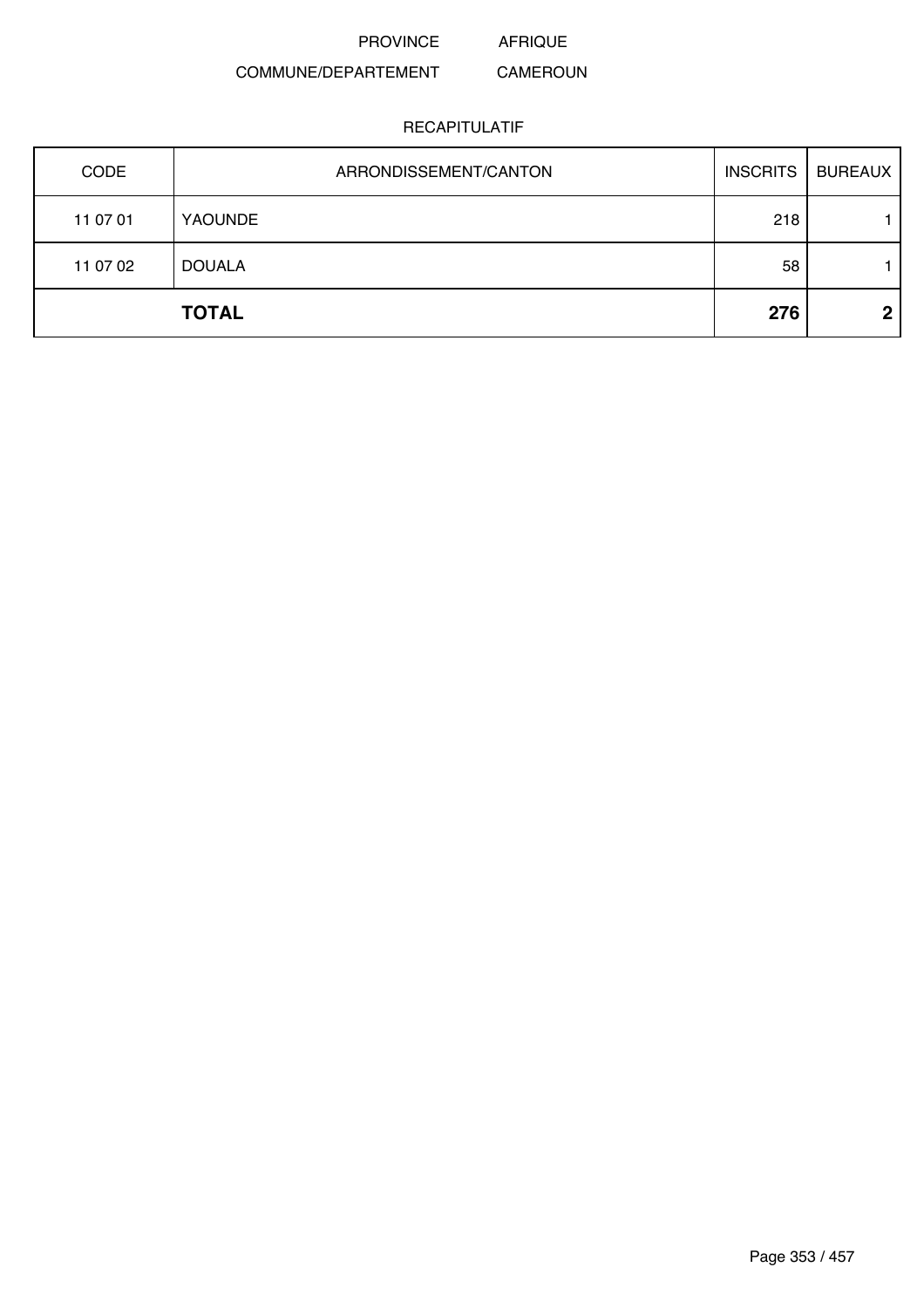PROVINCE AFRIQUE

### COMMUNE/DEPARTEMENT CAMEROUN

| CODE     | ARRONDISSEMENT/CANTON | <b>INSCRITS</b> | <b>BUREAUX</b> |
|----------|-----------------------|-----------------|----------------|
| 11 07 01 | <b>YAOUNDE</b>        | 218             |                |
| 11 07 02 | <b>DOUALA</b>         | 58              |                |
|          | <b>TOTAL</b>          | 276             | $\mathbf 2$    |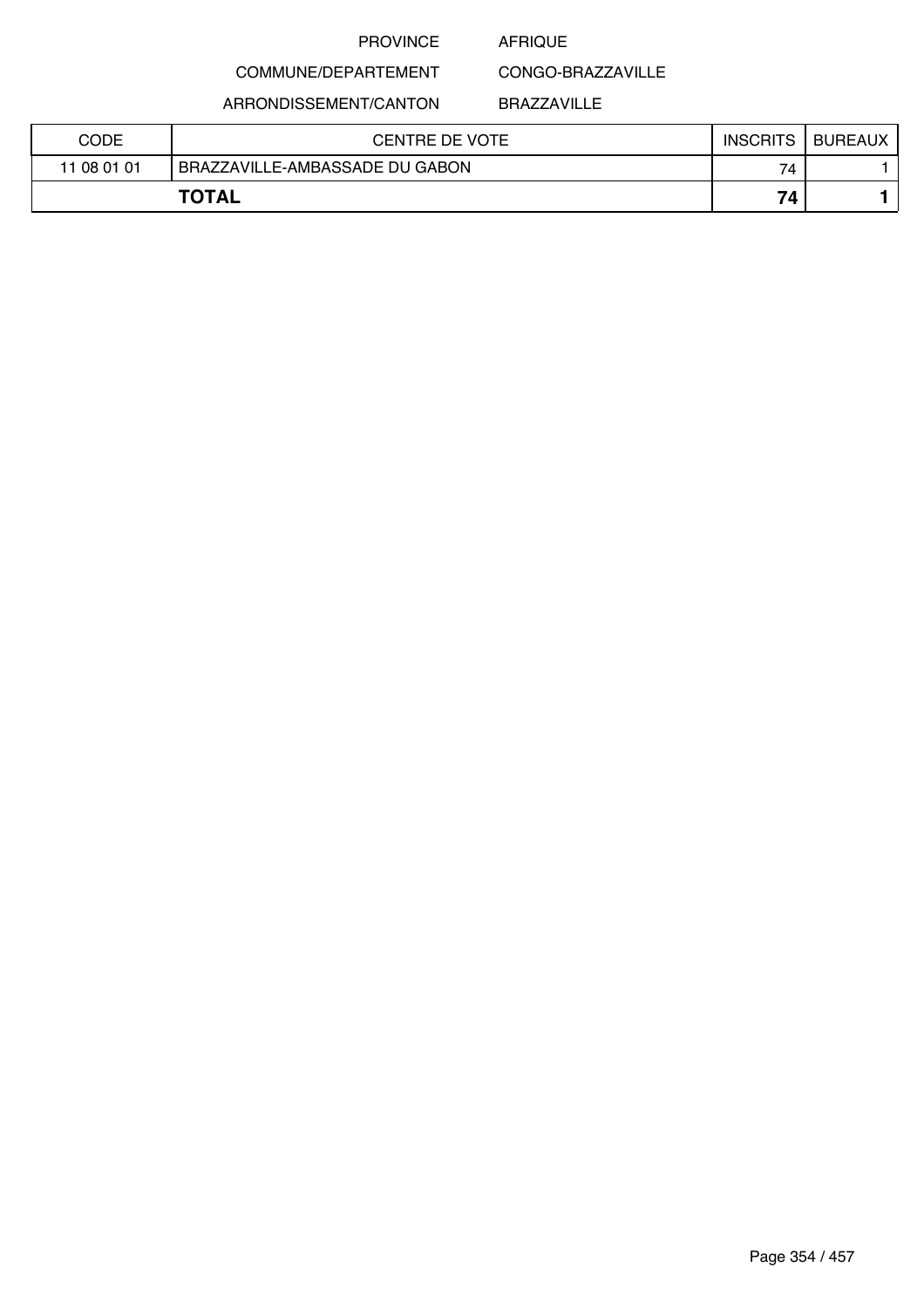### AFRIQUE

CONGO-BRAZZAVILLE

ARRONDISSEMENT/CANTON

COMMUNE/DEPARTEMENT

BRAZZAVILLE

| CODE        | CENTRE DE VOTE                 | <b>INSCRITS</b> | <b>BUREAUX</b> |
|-------------|--------------------------------|-----------------|----------------|
| 11 08 01 01 | BRAZZAVILLE-AMBASSADE DU GABON | 74              |                |
|             | <b>TOTAL</b>                   | 74              |                |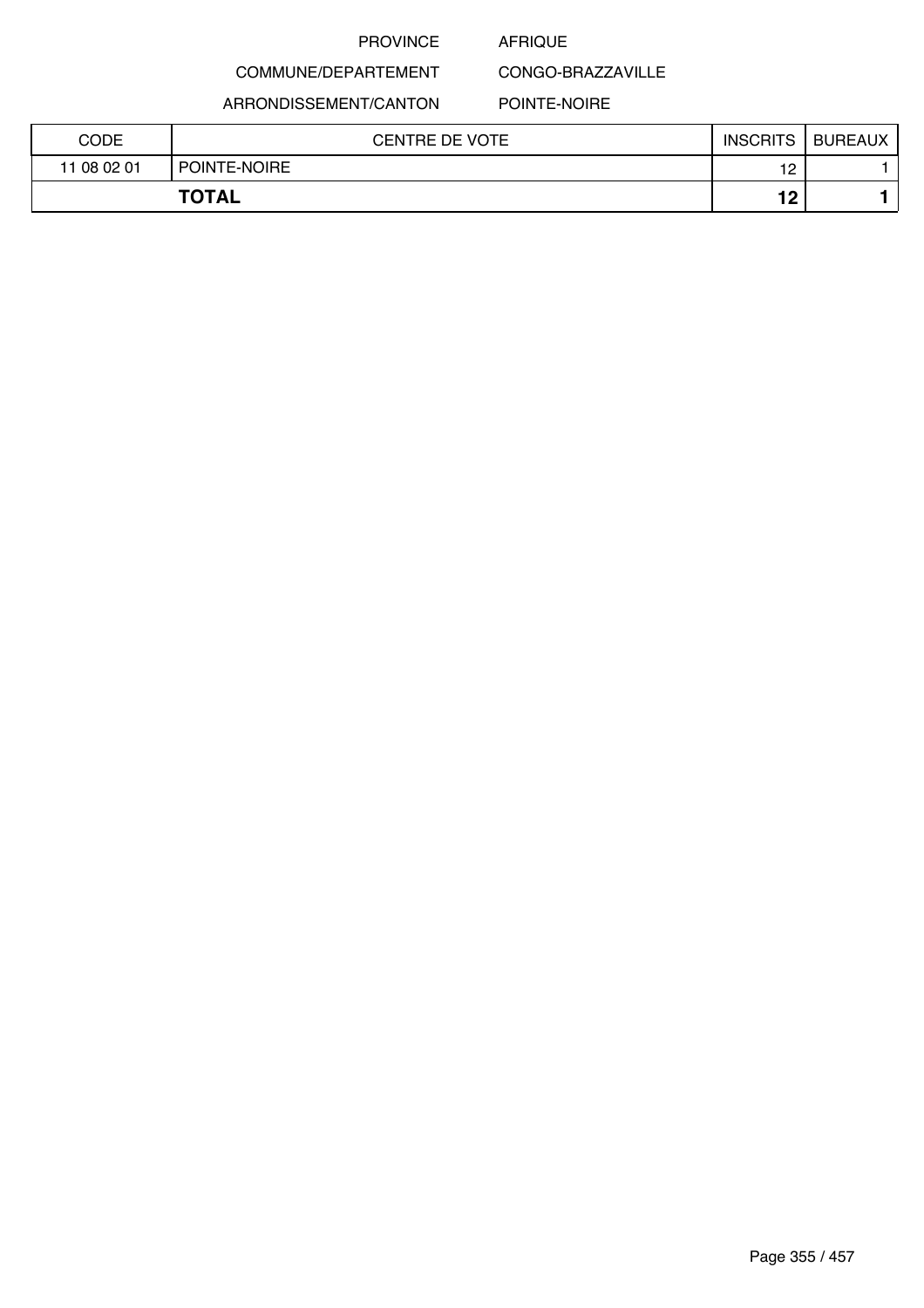### AFRIQUE

CONGO-BRAZZAVILLE

ARRONDISSEMENT/CANTON

COMMUNE/DEPARTEMENT

### POINTE-NOIRE

| CODE        | <b>CENTRE DE VOTE</b> | <b>INSCRITS</b>  | <b>BUREAUX</b> |
|-------------|-----------------------|------------------|----------------|
| 11 08 02 01 | POINTE-NOIRE          | 19<br>$\epsilon$ |                |
|             | <b>TOTAL</b>          | 10<br>. .        |                |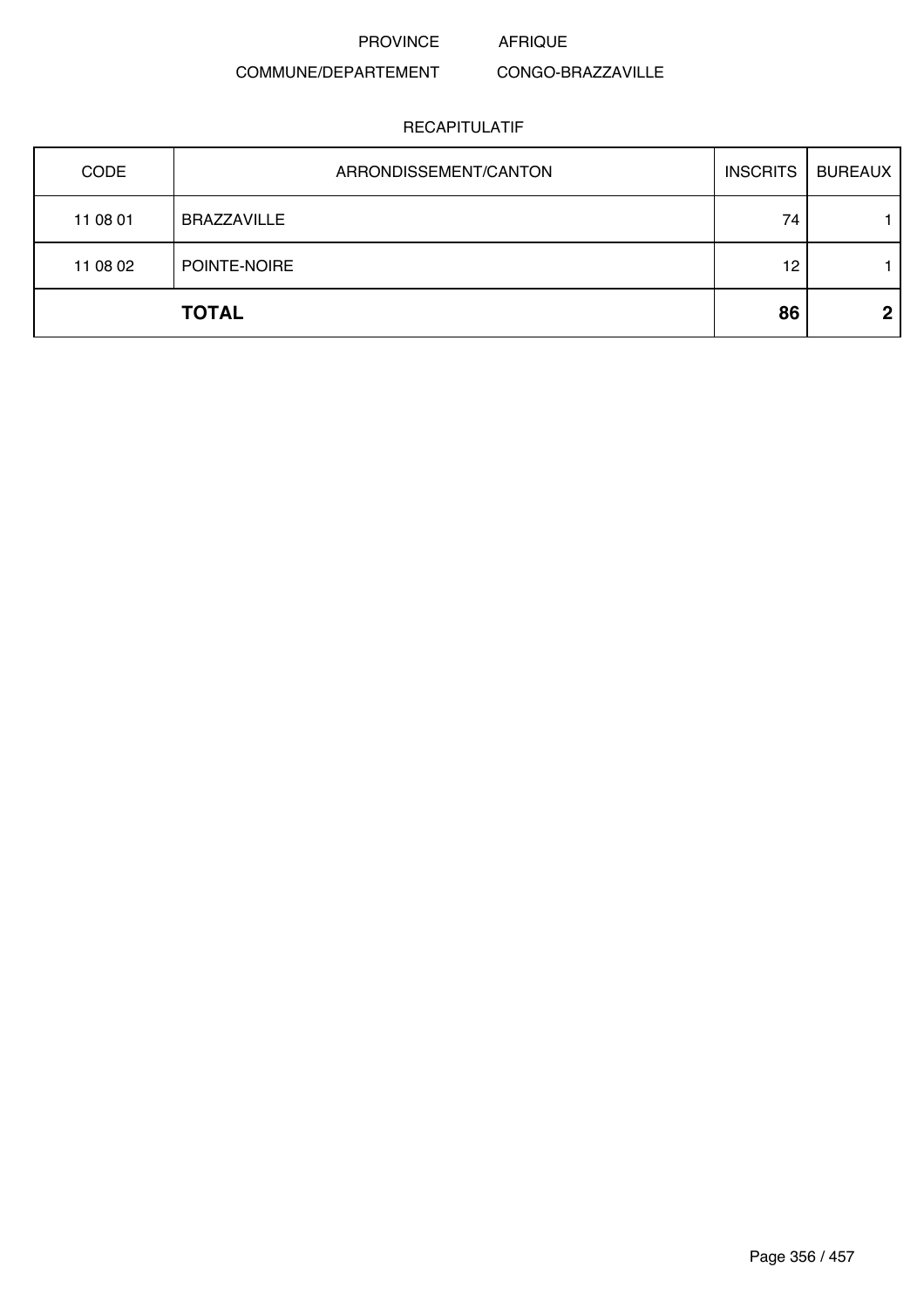PROVINCE AFRIQUE

### COMMUNE/DEPARTEMENT CONGO-BRAZZAVILLE

| CODE     | ARRONDISSEMENT/CANTON | <b>INSCRITS</b> | <b>BUREAUX</b> |
|----------|-----------------------|-----------------|----------------|
| 11 08 01 | <b>BRAZZAVILLE</b>    | 74              |                |
| 11 08 02 | POINTE-NOIRE          | 12              |                |
|          | <b>TOTAL</b>          | 86              | $\overline{2}$ |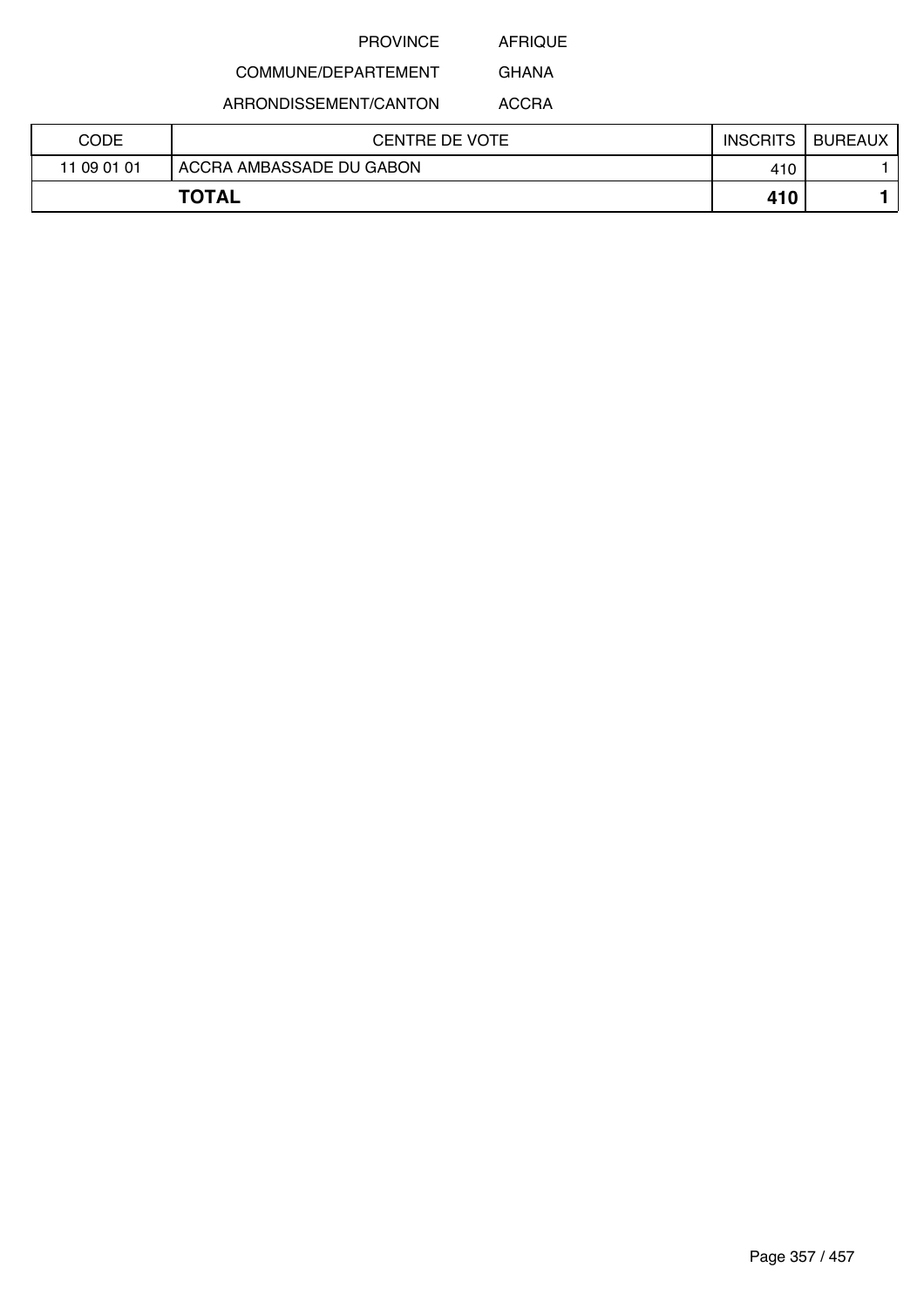AFRIQUE

## COMMUNE/DEPARTEMENT

ARRONDISSEMENT/CANTON

ACCRA

GHANA

| CODE        | <b>CENTRE DE VOTE</b>    | <b>INSCRITS</b> | <b>BUREAUX</b> |
|-------------|--------------------------|-----------------|----------------|
| 11 09 01 01 | ACCRA AMBASSADE DU GABON | 410             |                |
|             | <b>TOTAL</b>             | 410             |                |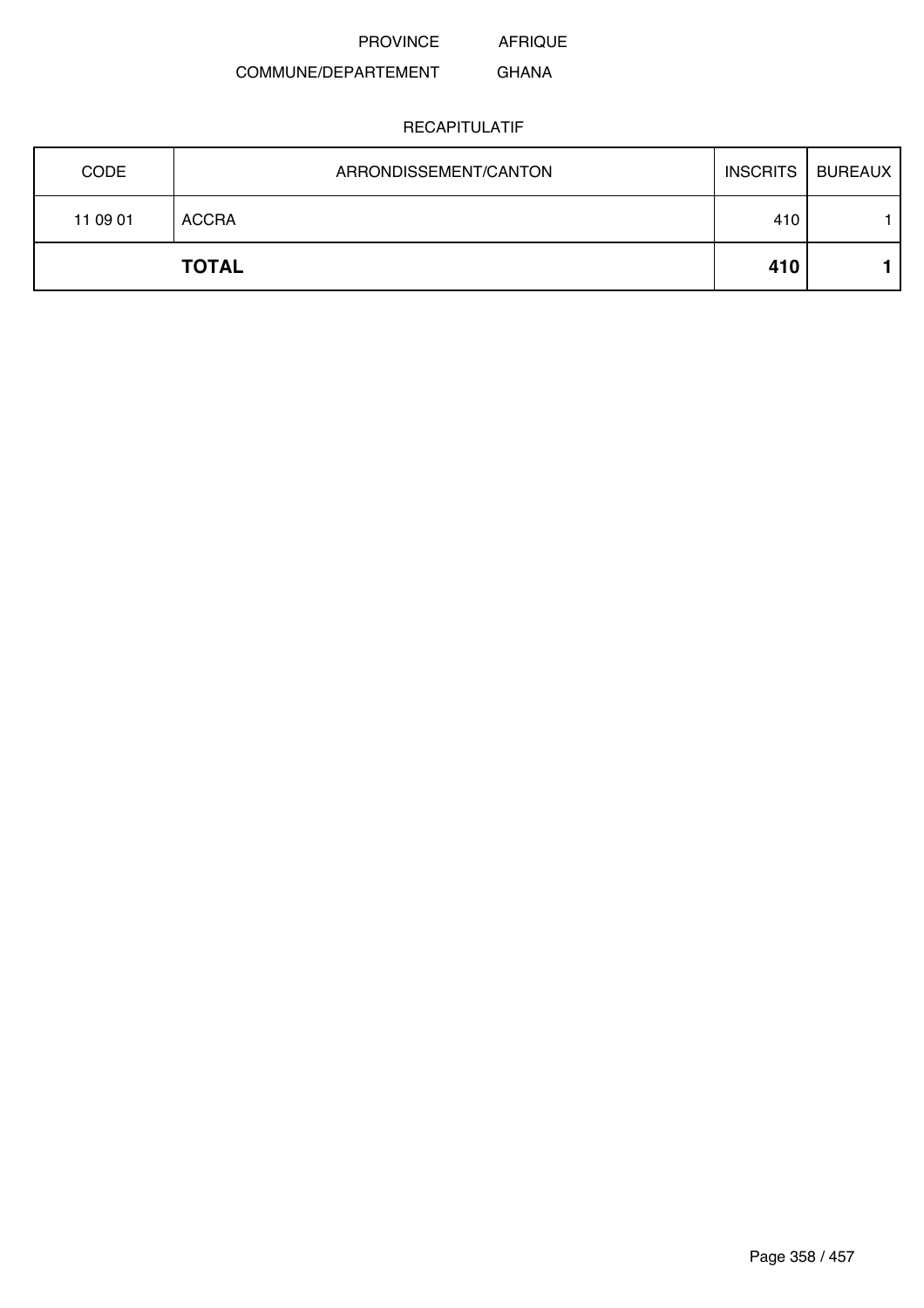AFRIQUE

### COMMUNE/DEPARTEMENT GHANA

| <b>CODE</b> | ARRONDISSEMENT/CANTON | INSCRITS   BUREAUX |  |
|-------------|-----------------------|--------------------|--|
| 11 09 01    | <b>ACCRA</b>          | 410                |  |
|             | <b>TOTAL</b>          | 410                |  |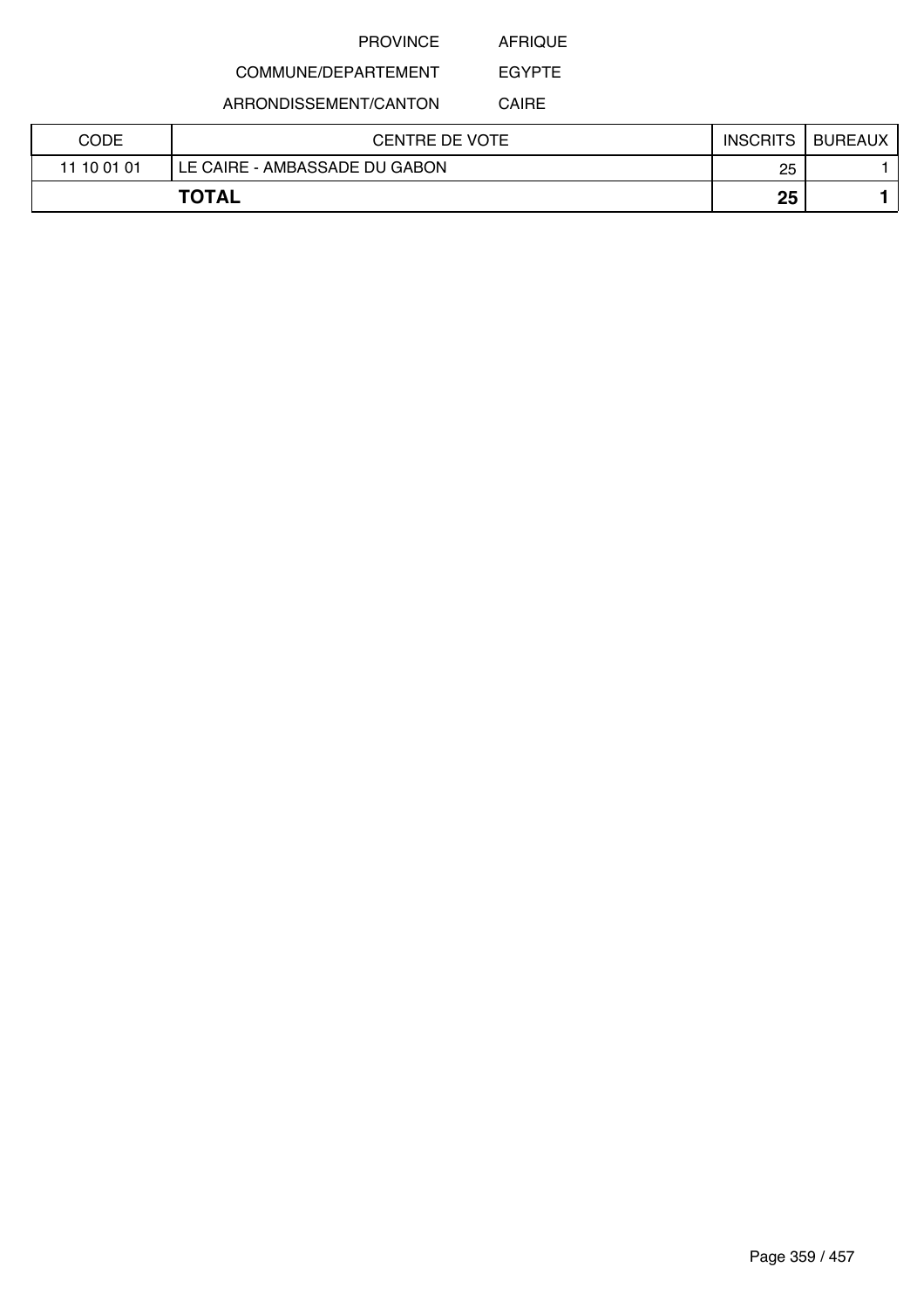AFRIQUE

EGYPTE

## COMMUNE/DEPARTEMENT

ARRONDISSEMENT/CANTON

CAIRE

| CODE        | CENTRE DE VOTE                | <b>INSCRITS</b> | <b>BUREAUX</b> |
|-------------|-------------------------------|-----------------|----------------|
| 11 10 01 01 | LE CAIRE - AMBASSADE DU GABON | 25              |                |
|             | <b>TOTAL</b>                  | 25              |                |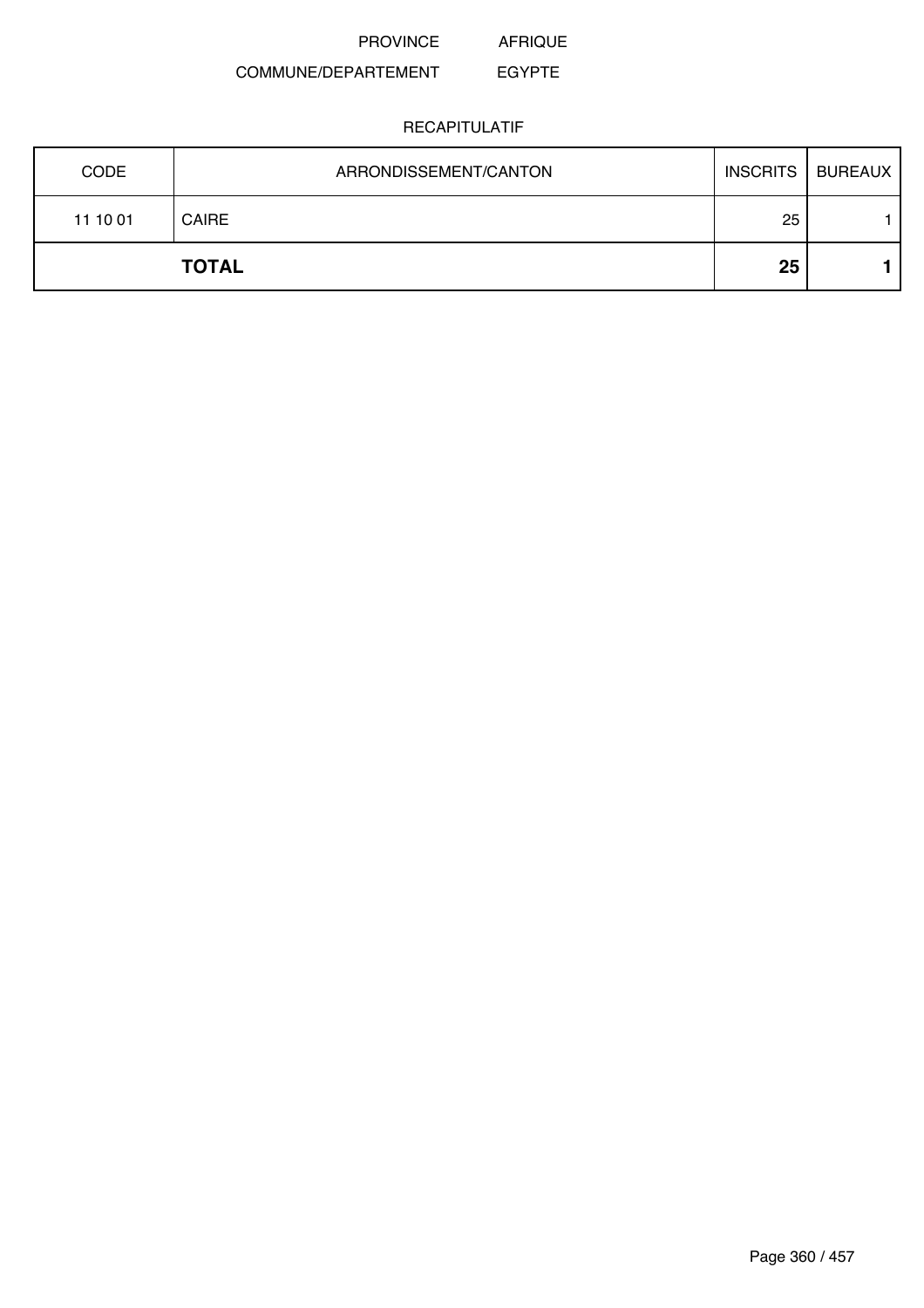PROVINCE AFRIQUE

### COMMUNE/DEPARTEMENT EGYPTE

| <b>CODE</b> | ARRONDISSEMENT/CANTON | <b>INSCRITS</b> | <b>BUREAUX</b> |
|-------------|-----------------------|-----------------|----------------|
| 11 10 01    | <b>CAIRE</b>          | 25              |                |
|             | <b>TOTAL</b>          | 25              |                |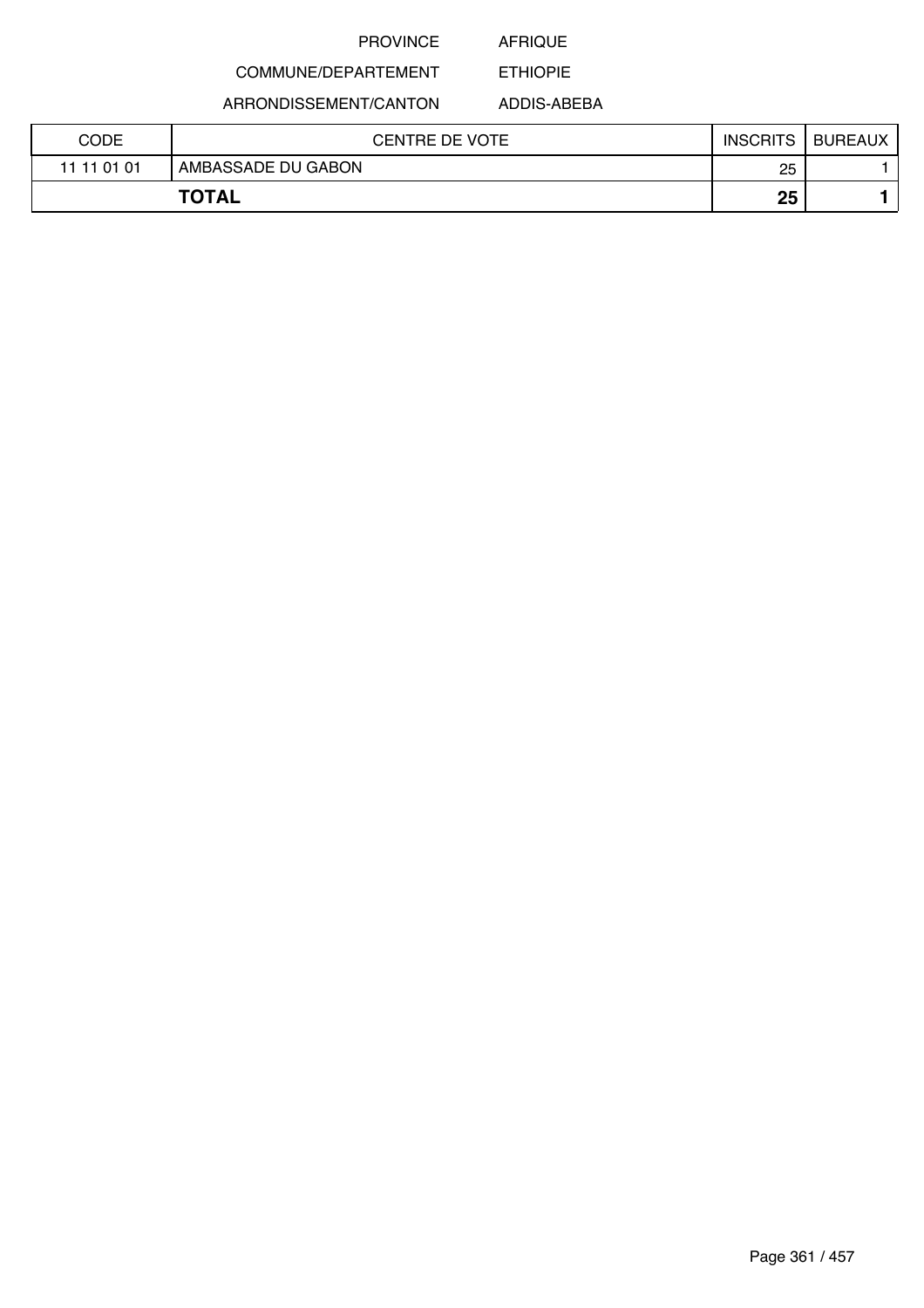## AFRIQUE

ETHIOPIE

# COMMUNE/DEPARTEMENT

ARRONDISSEMENT/CANTON

ADDIS-ABEBA

|             | <b>TOTAL</b>          | 25              |                |
|-------------|-----------------------|-----------------|----------------|
| 11 11 01 01 | AMBASSADE DU GABON    | 25              |                |
| <b>CODE</b> | <b>CENTRE DE VOTE</b> | <b>INSCRITS</b> | <b>BUREAUX</b> |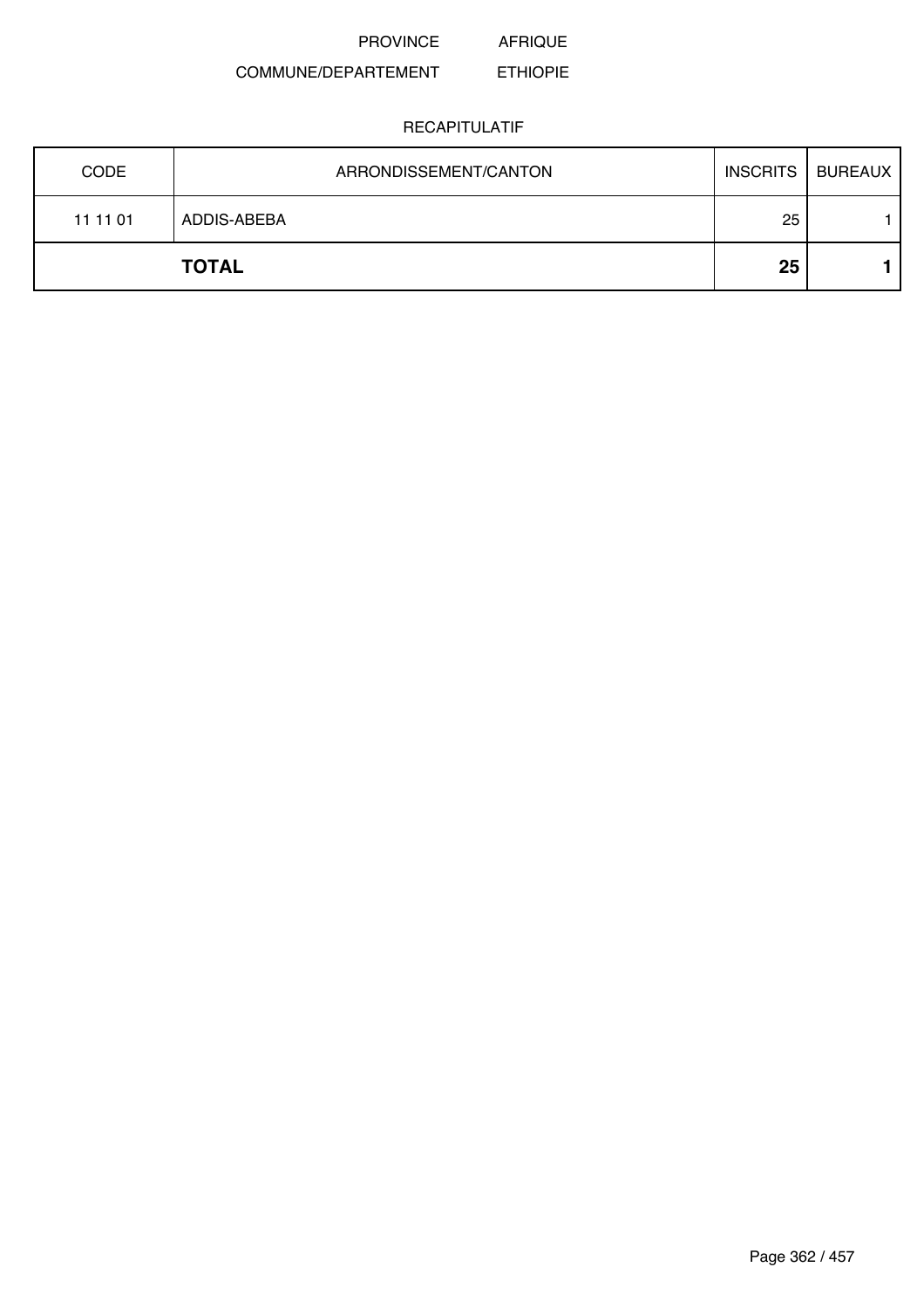#### COMMUNE/DEPARTEMENT ETHIOPIE

| <b>CODE</b> | ARRONDISSEMENT/CANTON | <b>INSCRITS</b> | <b>BUREAUX</b> |
|-------------|-----------------------|-----------------|----------------|
| 11 11 01    | ADDIS-ABEBA           | 25              |                |
|             | <b>TOTAL</b>          | 25              |                |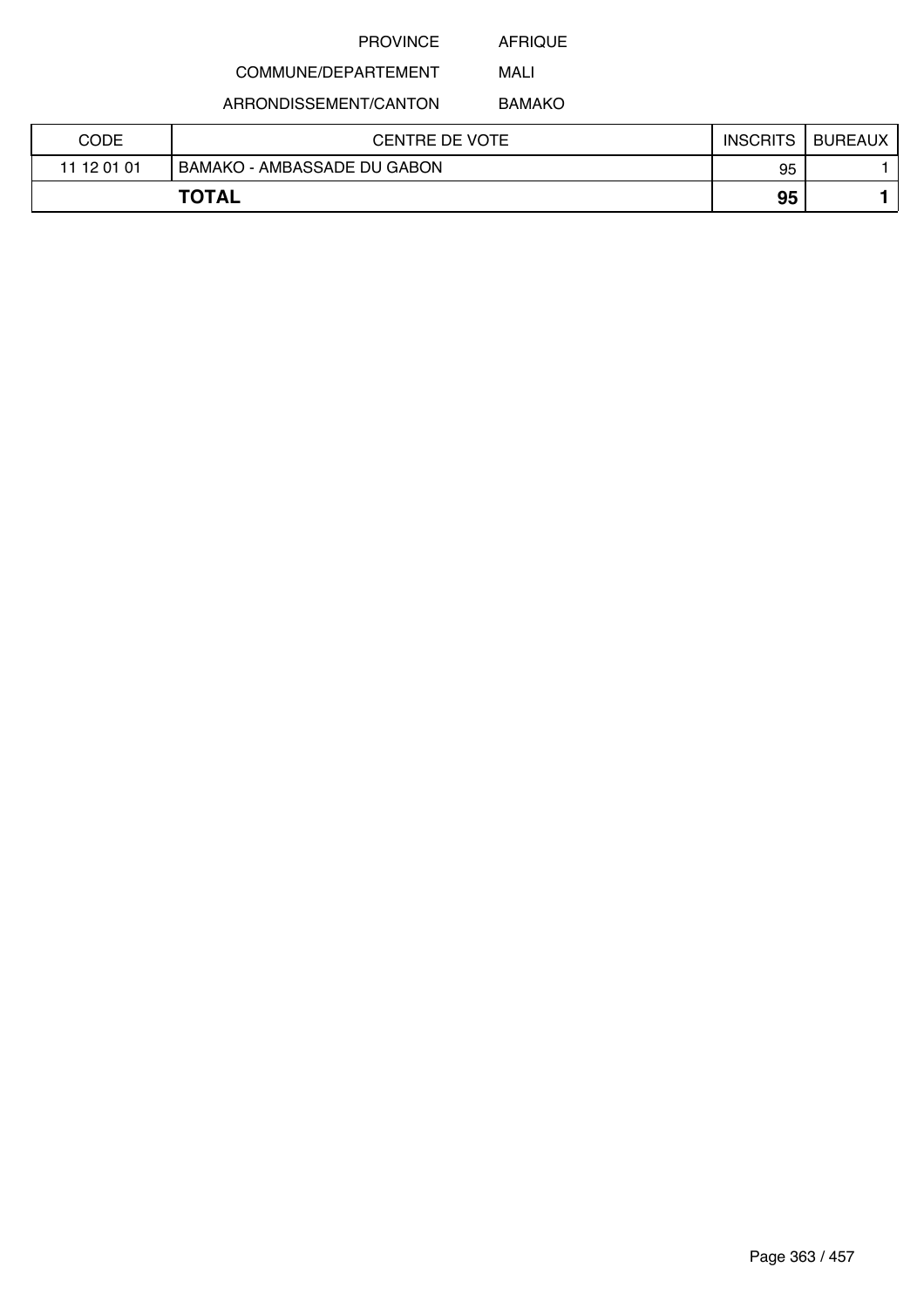AFRIQUE MALI

# COMMUNE/DEPARTEMENT

ARRONDISSEMENT/CANTON

BAMAKO

| CODE        | CENTRE DE VOTE                     | <b>INSCRITS</b> | <b>BUREAUX</b> |
|-------------|------------------------------------|-----------------|----------------|
| 11 12 01 01 | <b>BAMAKO - AMBASSADE DU GABON</b> | 95              |                |
|             | <b>TOTAL</b>                       | 95              |                |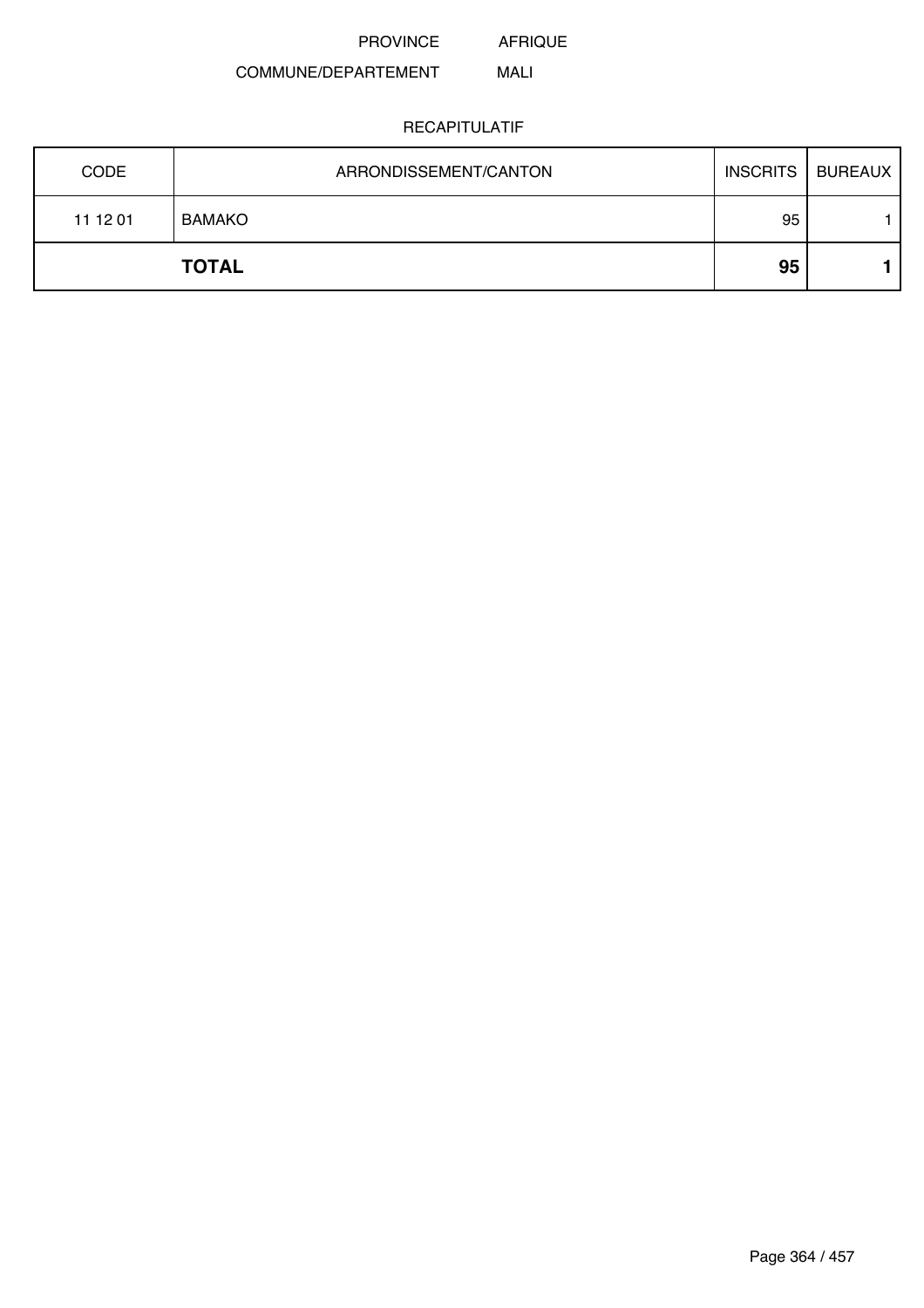AFRIQUE

#### COMMUNE/DEPARTEMENT MALI

| <b>CODE</b> | ARRONDISSEMENT/CANTON | <b>INSCRITS</b> | <b>BUREAUX</b> |
|-------------|-----------------------|-----------------|----------------|
| 11 12 01    | <b>BAMAKO</b>         | 95              |                |
|             | <b>TOTAL</b>          | 95              |                |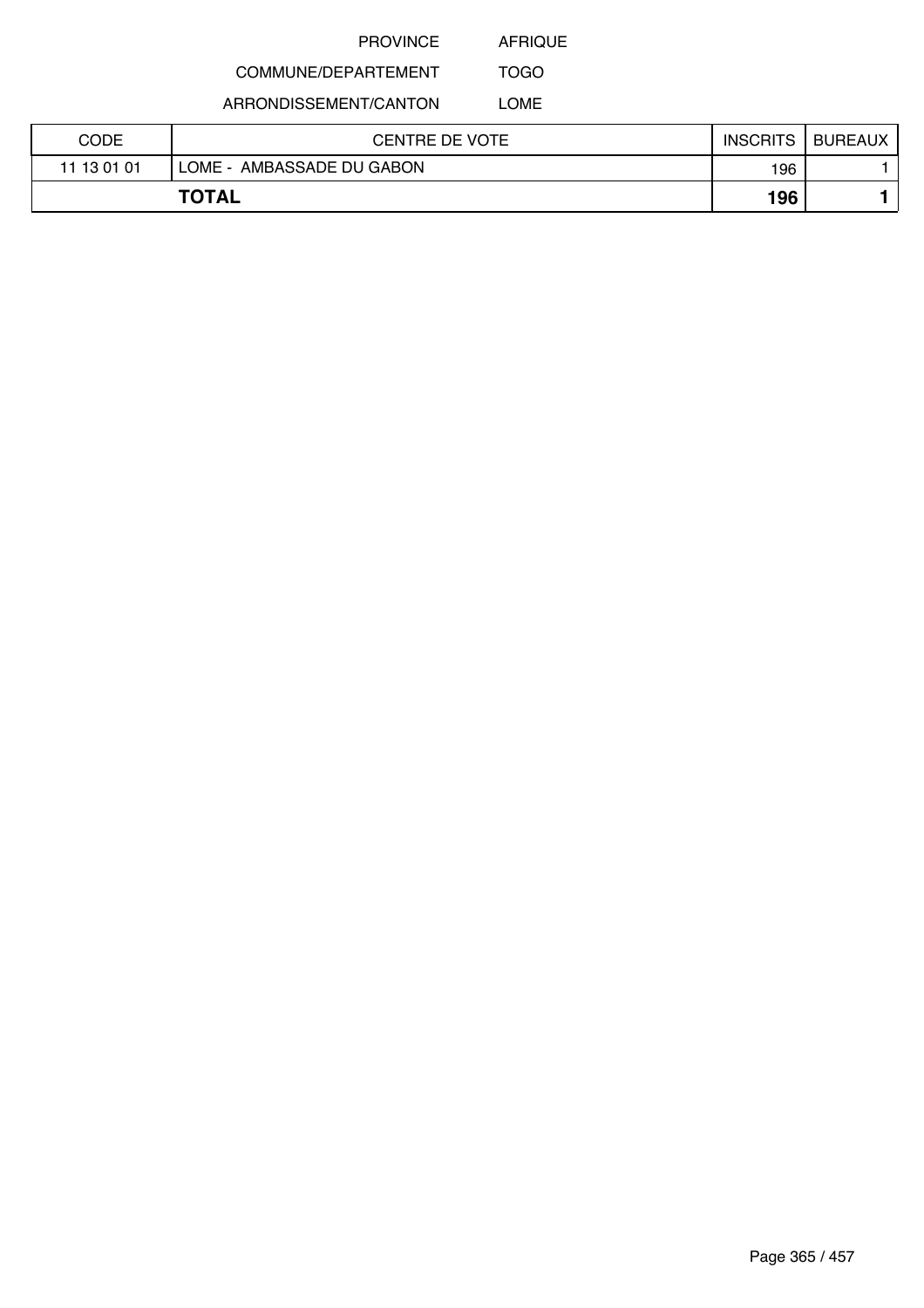AFRIQUE

#### COMMUNE/DEPARTEMENT TOGO

ARRONDISSEMENT/CANTON

LOME

| CODE        | CENTRE DE VOTE               | <b>INSCRITS</b> | <b>BUREAUX</b> |
|-------------|------------------------------|-----------------|----------------|
| 11 13 01 01 | AMBASSADE DU GABON<br>LOME - | 196             |                |
|             | <b>TOTAL</b>                 | 196             |                |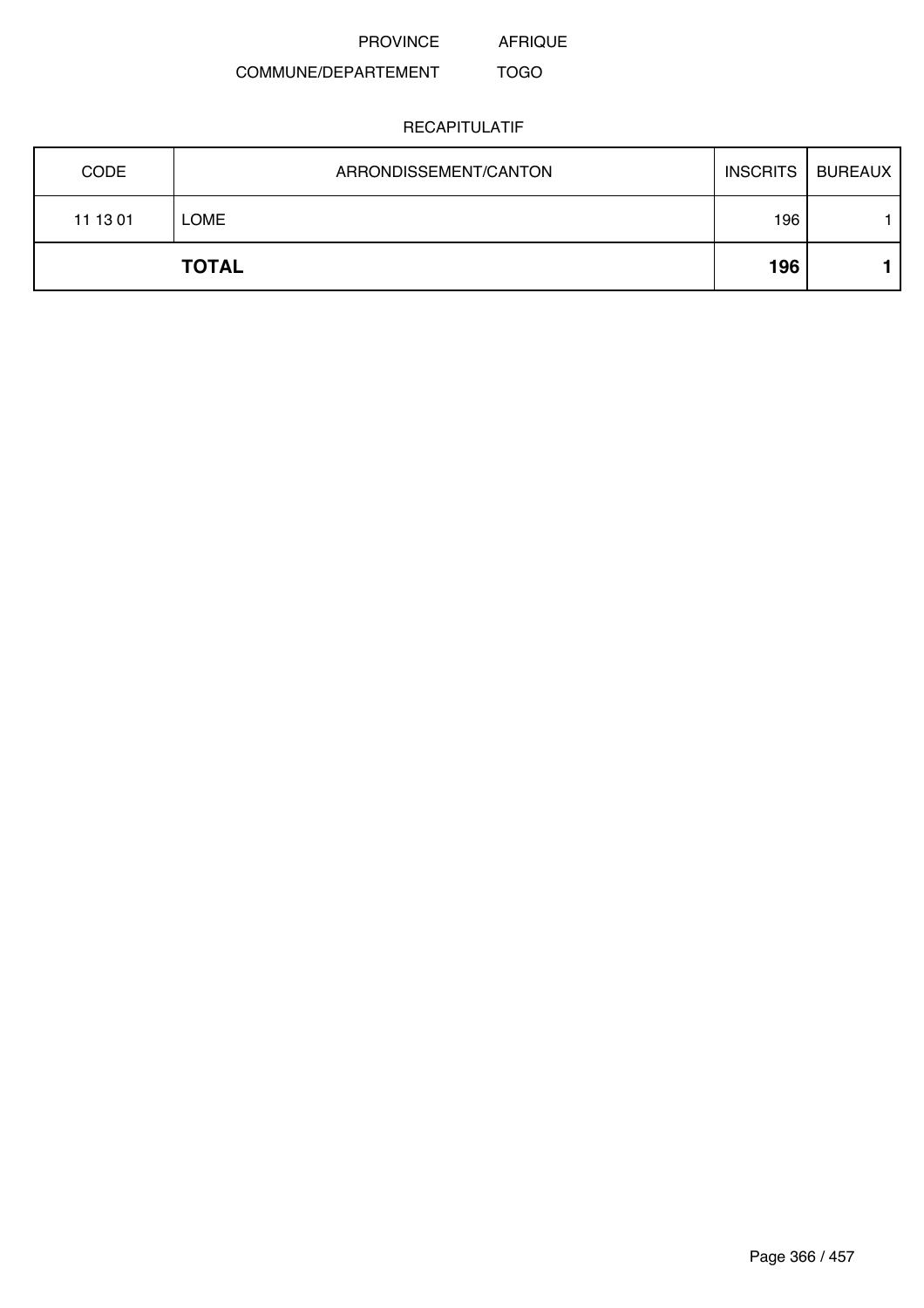AFRIQUE

#### COMMUNE/DEPARTEMENT TOGO

| <b>CODE</b> | ARRONDISSEMENT/CANTON |     | INSCRITS   BUREAUX |
|-------------|-----------------------|-----|--------------------|
| 11 13 01    | LOME                  | 196 |                    |
|             | <b>TOTAL</b>          | 196 |                    |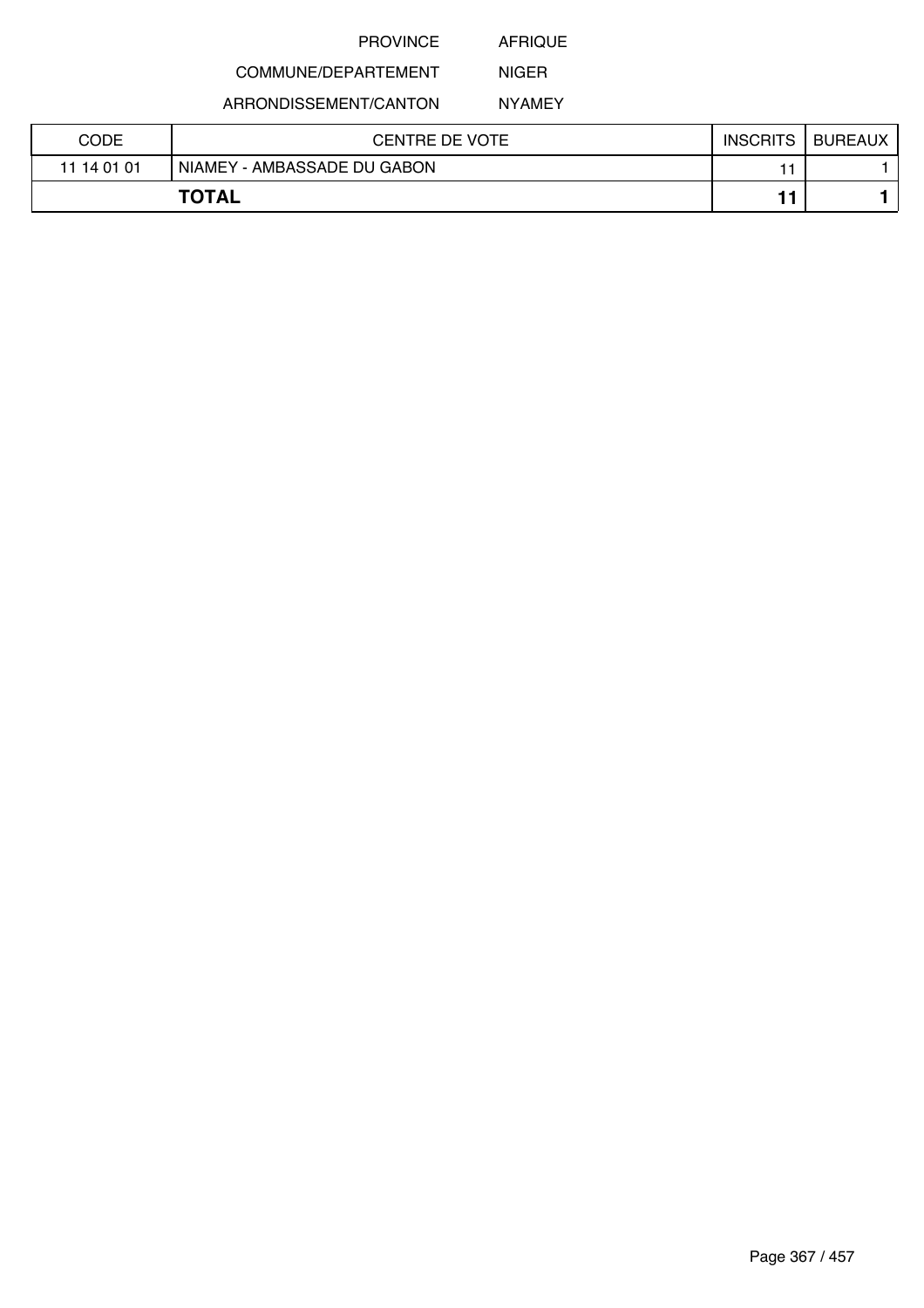AFRIQUE

# COMMUNE/DEPARTEMENT

ARRONDISSEMENT/CANTON

NIGER NYAMEY

| CODE        | CENTRE DE VOTE              | <b>INSCRITS</b> | <b>BUREAUX</b> |
|-------------|-----------------------------|-----------------|----------------|
| 11 14 01 01 | NIAMEY - AMBASSADE DU GABON |                 |                |
|             | <b>TOTAL</b>                |                 |                |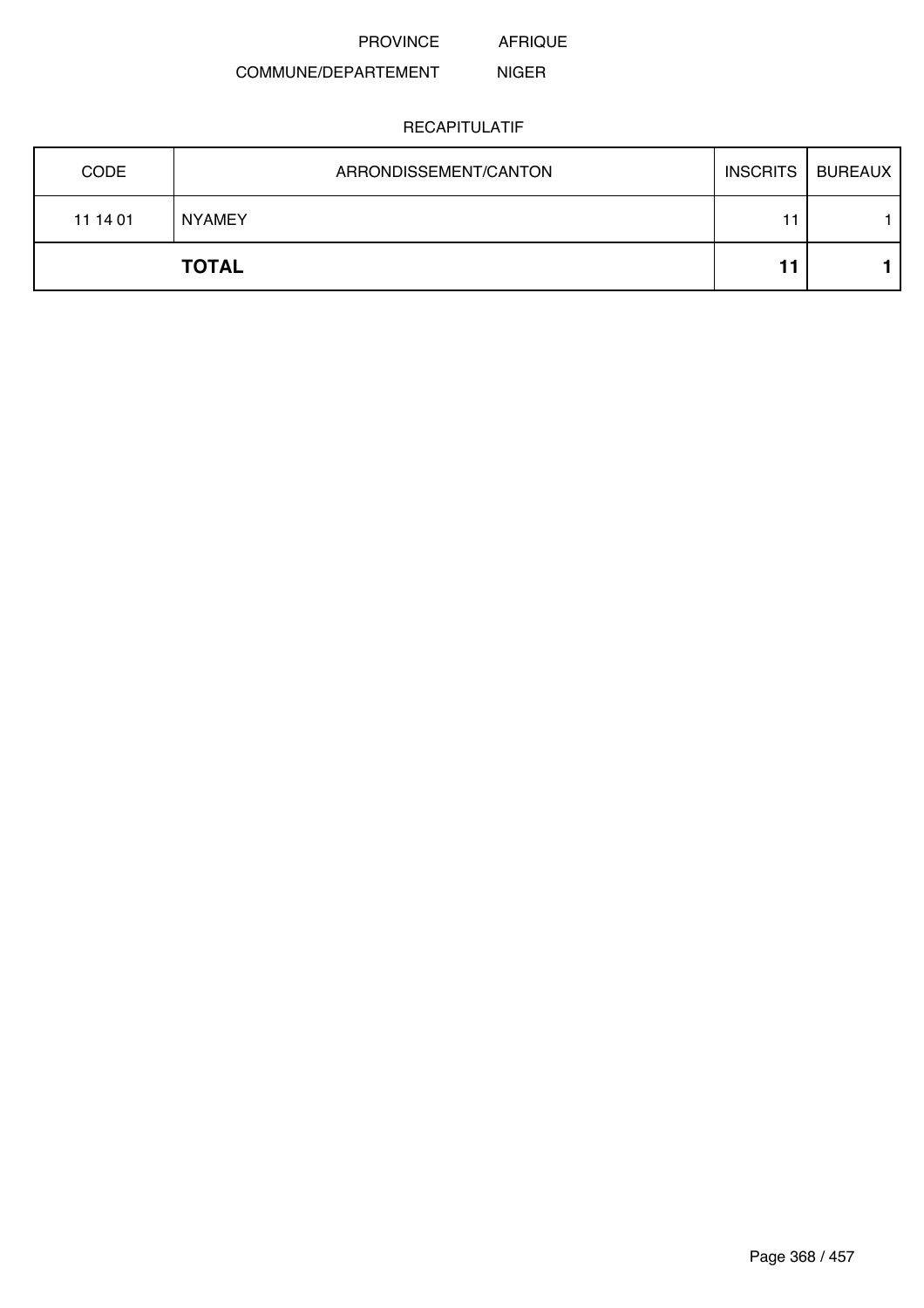AFRIQUE

#### COMMUNE/DEPARTEMENT NIGER

| <b>CODE</b> | ARRONDISSEMENT/CANTON | <b>INSCRITS</b> | <b>BUREAUX</b> |
|-------------|-----------------------|-----------------|----------------|
| 11 14 01    | <b>NYAMEY</b>         | 11              |                |
|             | <b>TOTAL</b>          | ا ا             |                |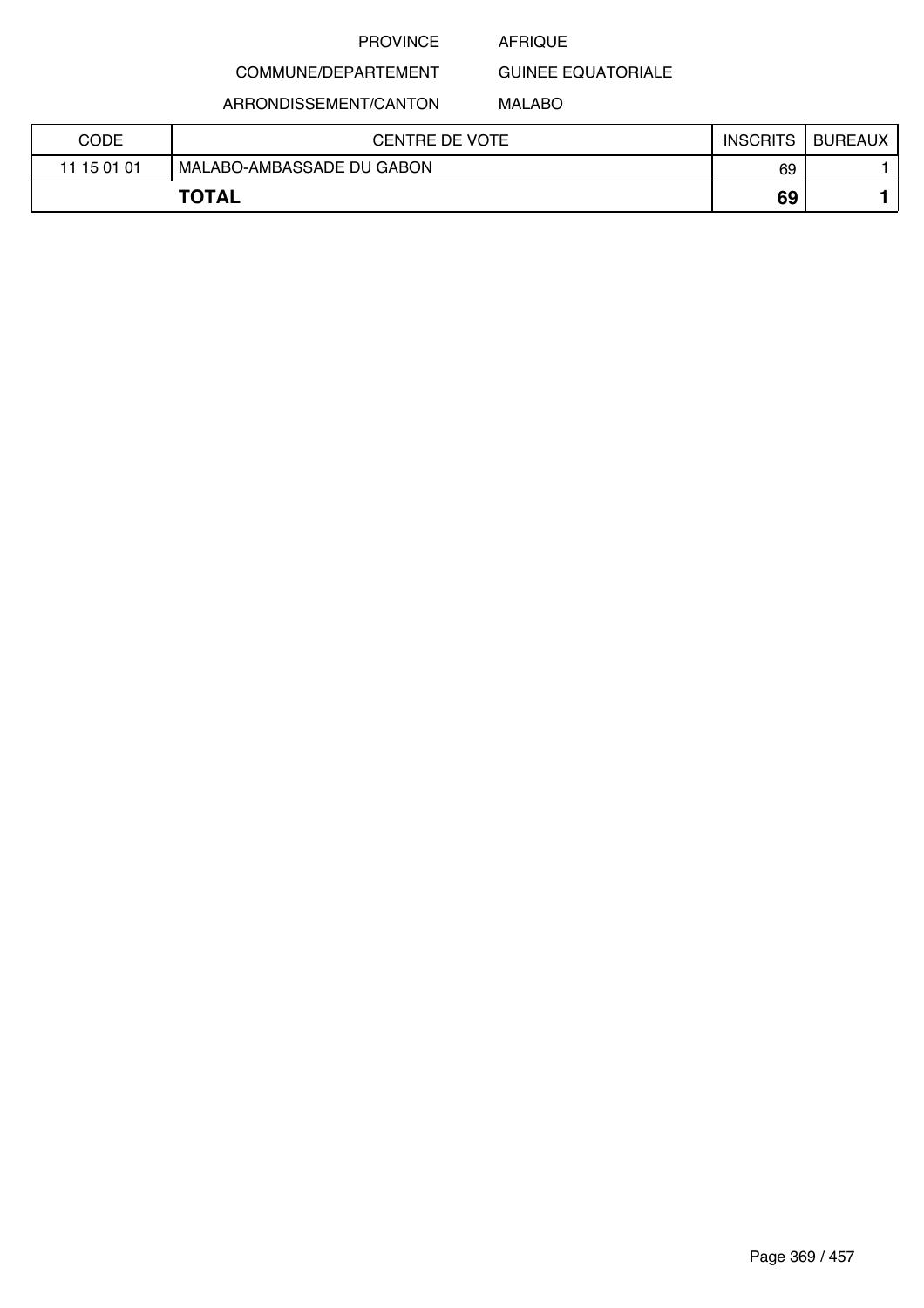### AFRIQUE

GUINEE EQUATORIALE

ARRONDISSEMENT/CANTON

COMMUNE/DEPARTEMENT

### MALABO

| CODE        | <b>CENTRE DE VOTE</b>     | <b>INSCRITS</b> | <b>BUREAUX</b> |
|-------------|---------------------------|-----------------|----------------|
| 11 15 01 01 | MALABO-AMBASSADE DU GABON | 69              |                |
|             | <b>TOTAL</b>              | 69              |                |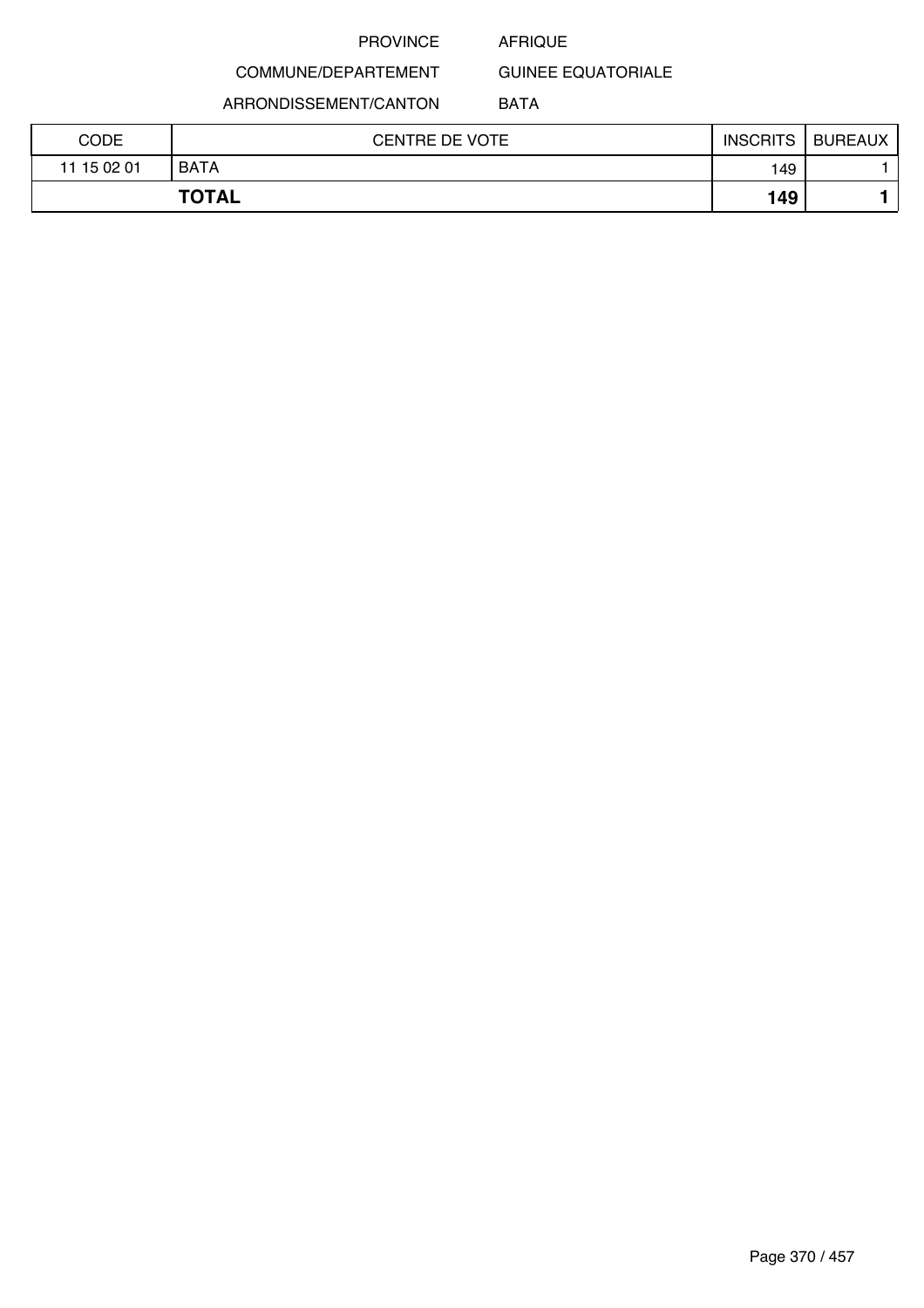#### AFRIQUE

GUINEE EQUATORIALE

ARRONDISSEMENT/CANTON

COMMUNE/DEPARTEMENT

### BATA

| CODE        | <b>CENTRE DE VOTE</b> | <b>INSCRITS</b> | <b>BUREAUX</b> |
|-------------|-----------------------|-----------------|----------------|
| 11 15 02 01 | <b>BATA</b>           | 149             |                |
|             | <b>TOTAL</b>          | 149             |                |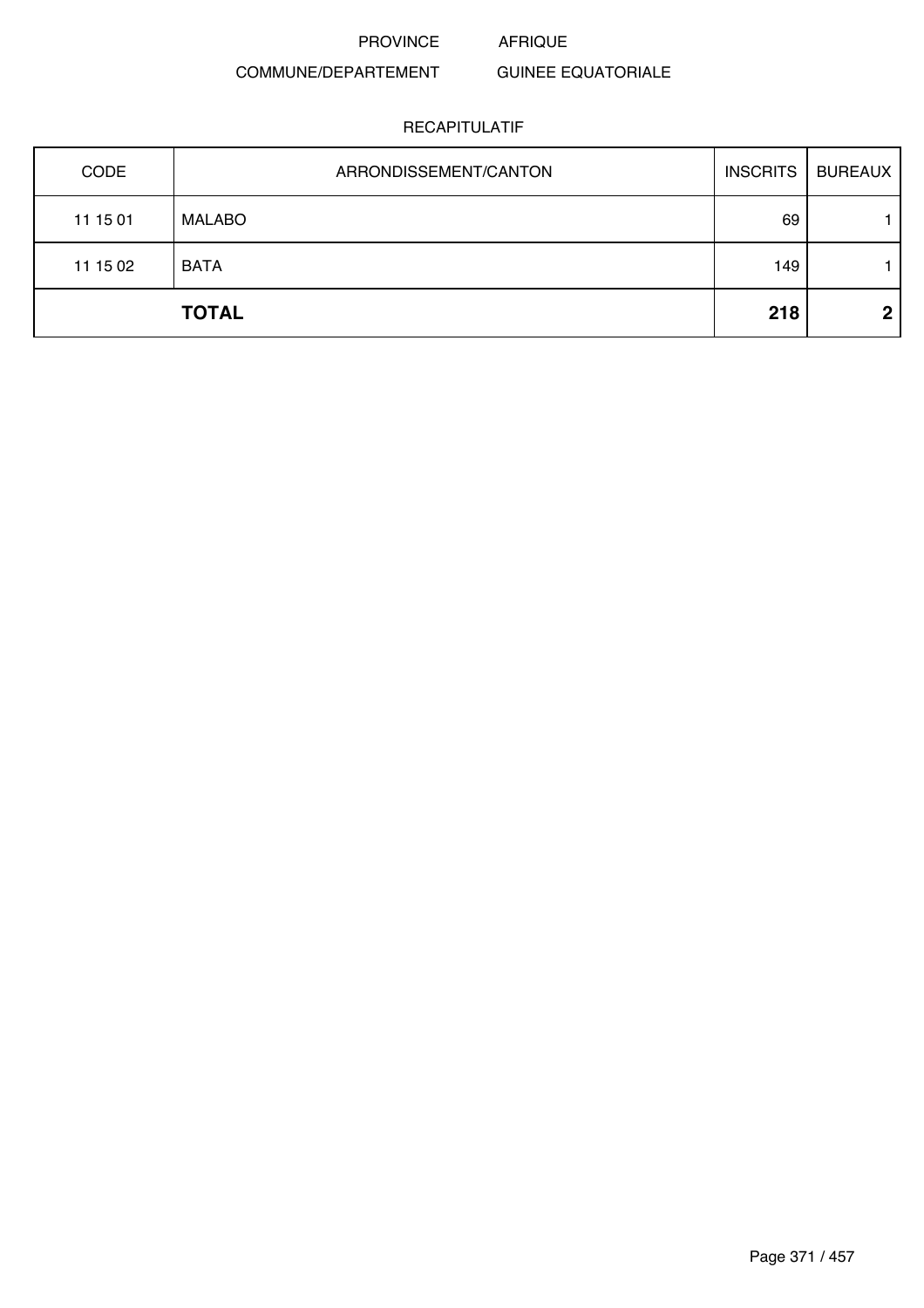## COMMUNE/DEPARTEMENT

### GUINEE EQUATORIALE

| CODE     | ARRONDISSEMENT/CANTON | <b>INSCRITS</b> | <b>BUREAUX</b> |
|----------|-----------------------|-----------------|----------------|
| 11 15 01 | <b>MALABO</b>         | 69              |                |
| 11 15 02 | <b>BATA</b>           | 149             |                |
|          | <b>TOTAL</b>          | 218             | $\mathbf 2$    |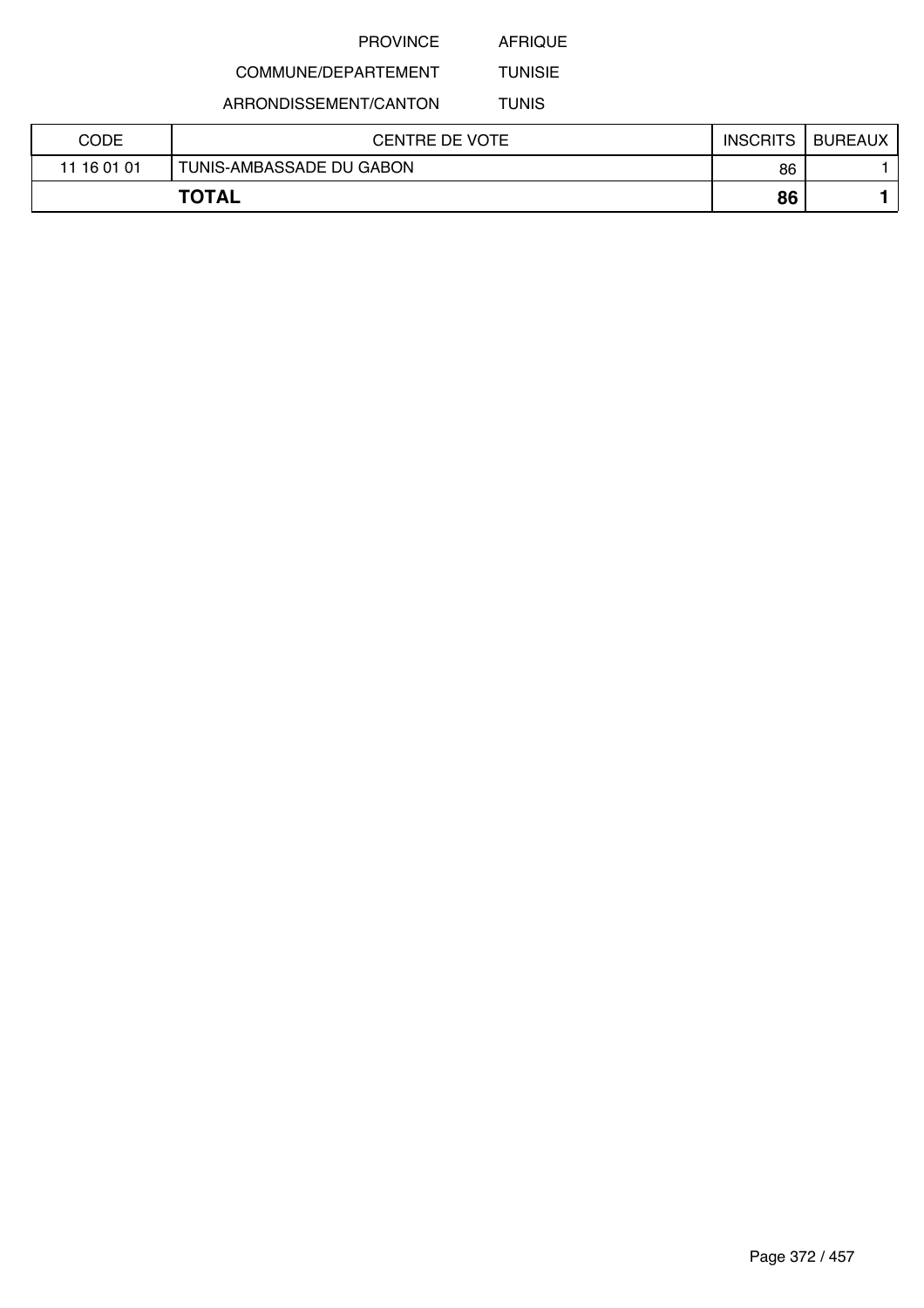AFRIQUE

#### COMMUNE/DEPARTEMENT TUNISIE

ARRONDISSEMENT/CANTON

TUNIS

| CODE        | <b>CENTRE DE VOTE</b>    | <b>INSCRITS</b> | <b>BUREAUX</b> |
|-------------|--------------------------|-----------------|----------------|
| 11 16 01 01 | TUNIS-AMBASSADE DU GABON | 86              |                |
|             | <b>TOTAL</b>             | 86              |                |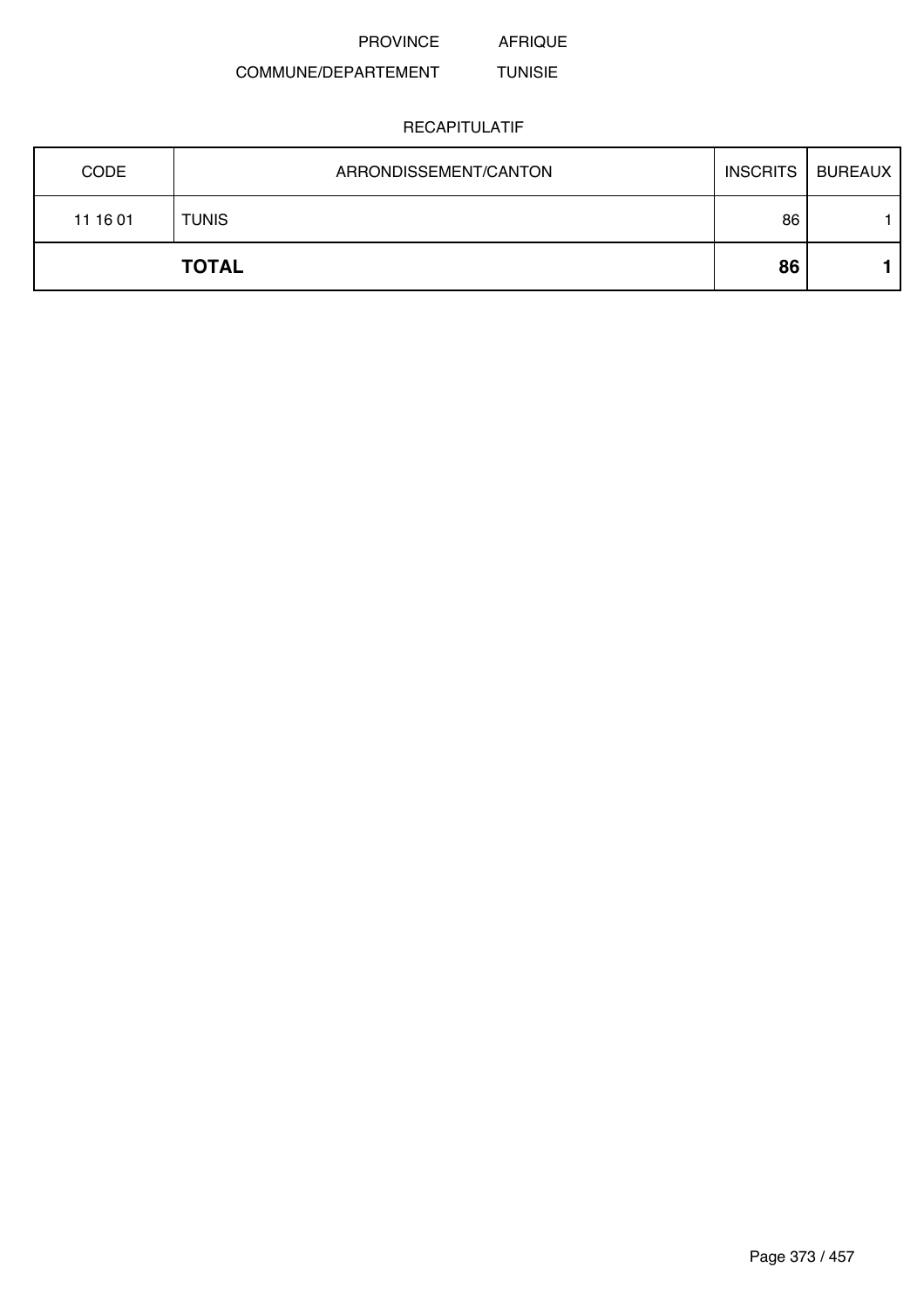AFRIQUE

#### COMMUNE/DEPARTEMENT TUNISIE

| <b>CODE</b> | ARRONDISSEMENT/CANTON | <b>INSCRITS</b> | <b>BUREAUX</b> |
|-------------|-----------------------|-----------------|----------------|
| 11 16 01    | <b>TUNIS</b>          | 86              |                |
|             | <b>TOTAL</b>          | 86              |                |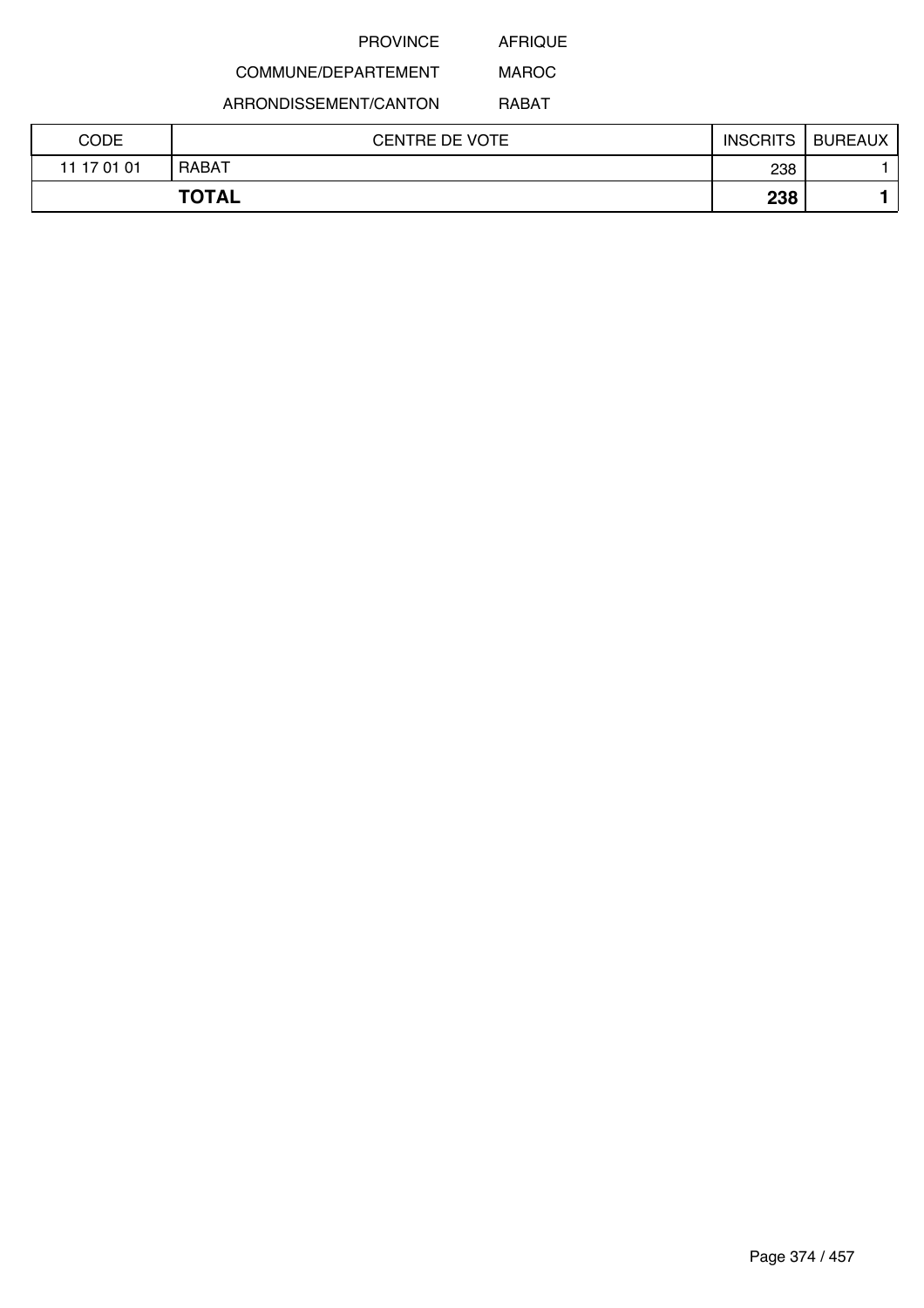AFRIQUE

# COMMUNE/DEPARTEMENT

ARRONDISSEMENT/CANTON

RABAT

MAROC

| CODE        | <b>CENTRE DE VOTE</b> | <b>INSCRITS</b> | <b>BUREAUX</b> |
|-------------|-----------------------|-----------------|----------------|
| 11 17 01 01 | RABAT                 | 238             |                |
|             | <b>TOTAL</b>          | 238             |                |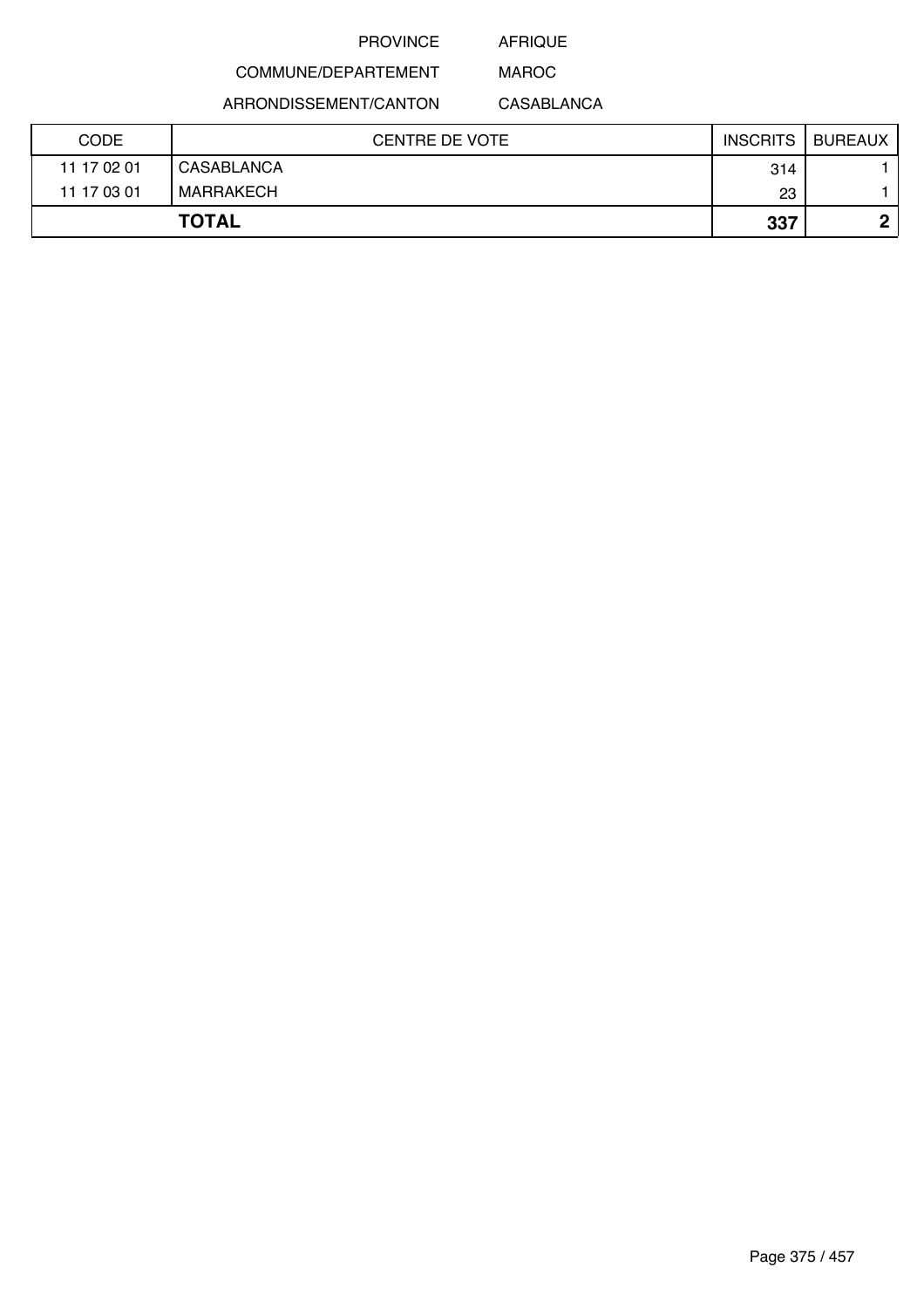AFRIQUE MAROC

COMMUNE/DEPARTEMENT

ARRONDISSEMENT/CANTON

CASABLANCA

| <b>CODE</b> | <b>CENTRE DE VOTE</b> | <b>INSCRITS</b> | <b>BUREAUX</b> |
|-------------|-----------------------|-----------------|----------------|
| 11 17 02 01 | CASABLANCA            | 314             |                |
| 11 17 03 01 | MARRAKECH             | 23              |                |
|             | <b>TOTAL</b>          | 337             | n              |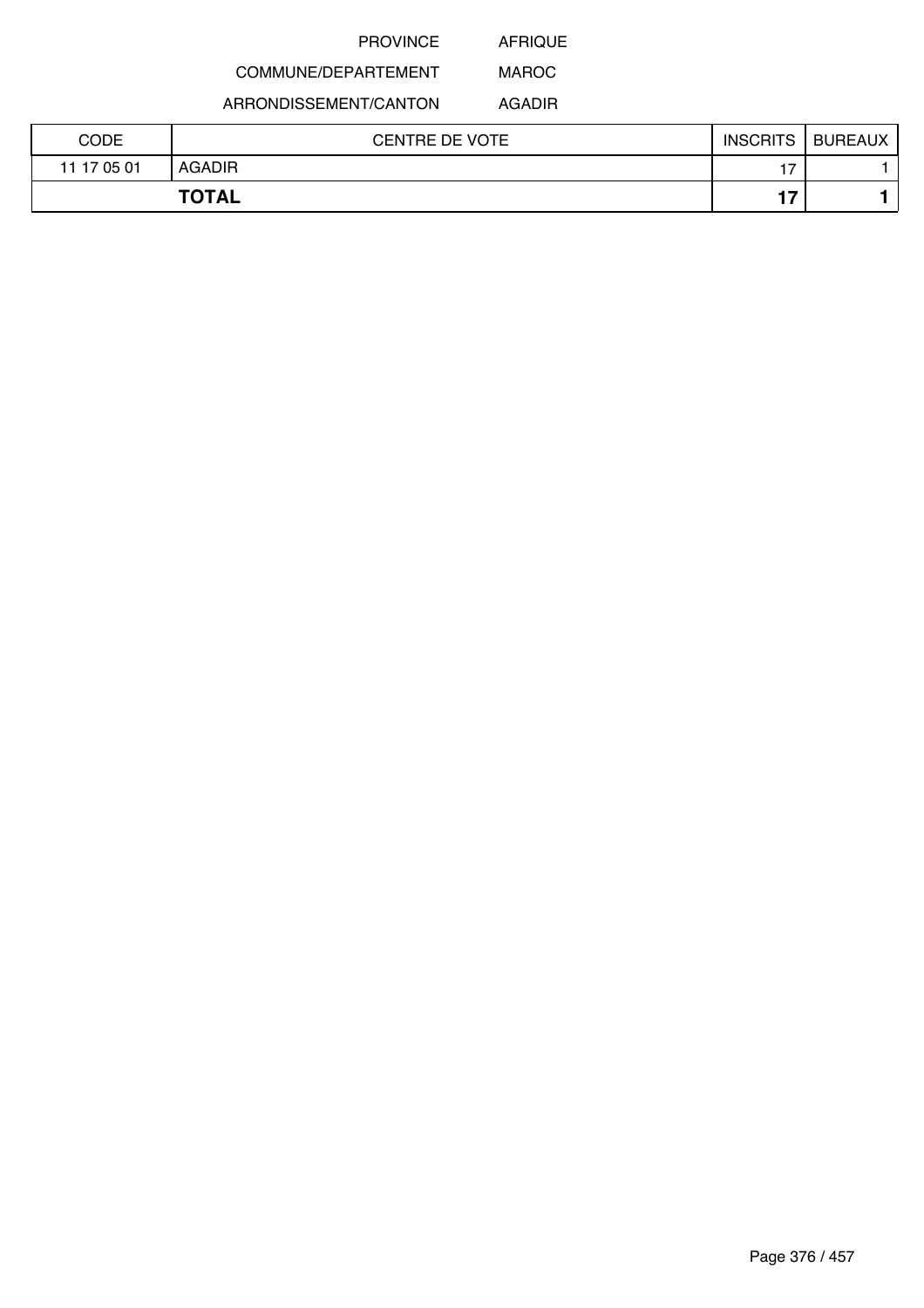AFRIQUE

# COMMUNE/DEPARTEMENT

ARRONDISSEMENT/CANTON

AGADIR

MAROC

| CODE        | <b>CENTRE DE VOTE</b> | <b>INSCRITS</b> | <b>BUREAUX</b> |
|-------------|-----------------------|-----------------|----------------|
| 11 17 05 01 | <b>AGADIR</b>         | 17              |                |
|             | <b>TOTAL</b>          | 17              |                |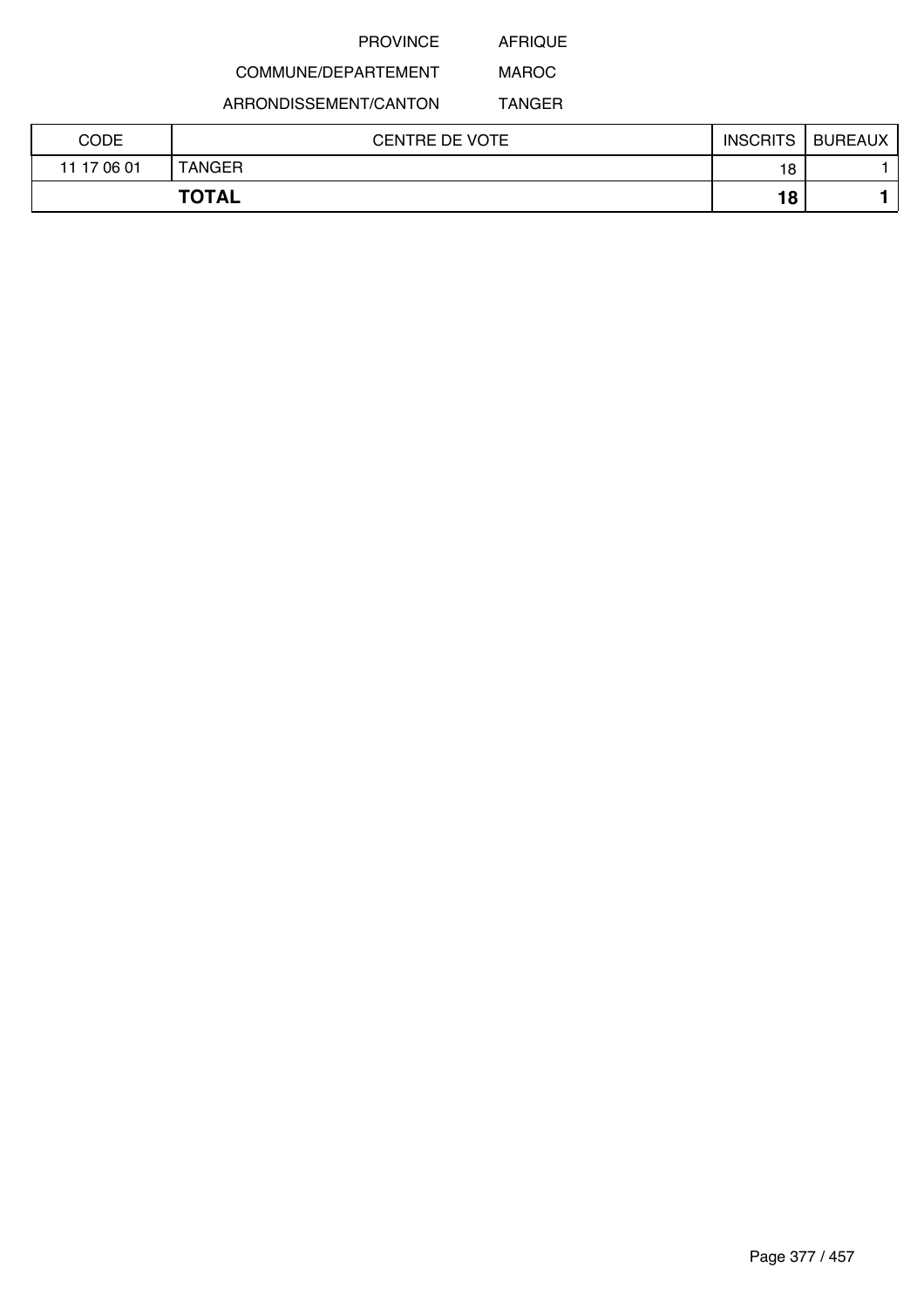AFRIQUE

# COMMUNE/DEPARTEMENT

ARRONDISSEMENT/CANTON

MAROC TANGER

| CODE        | <b>CENTRE DE VOTE</b> | <b>INSCRITS</b> | <b>BUREAUX</b> |
|-------------|-----------------------|-----------------|----------------|
| 11 17 06 01 | TANGER                | 18              |                |
|             | <b>TOTAL</b>          | 18              |                |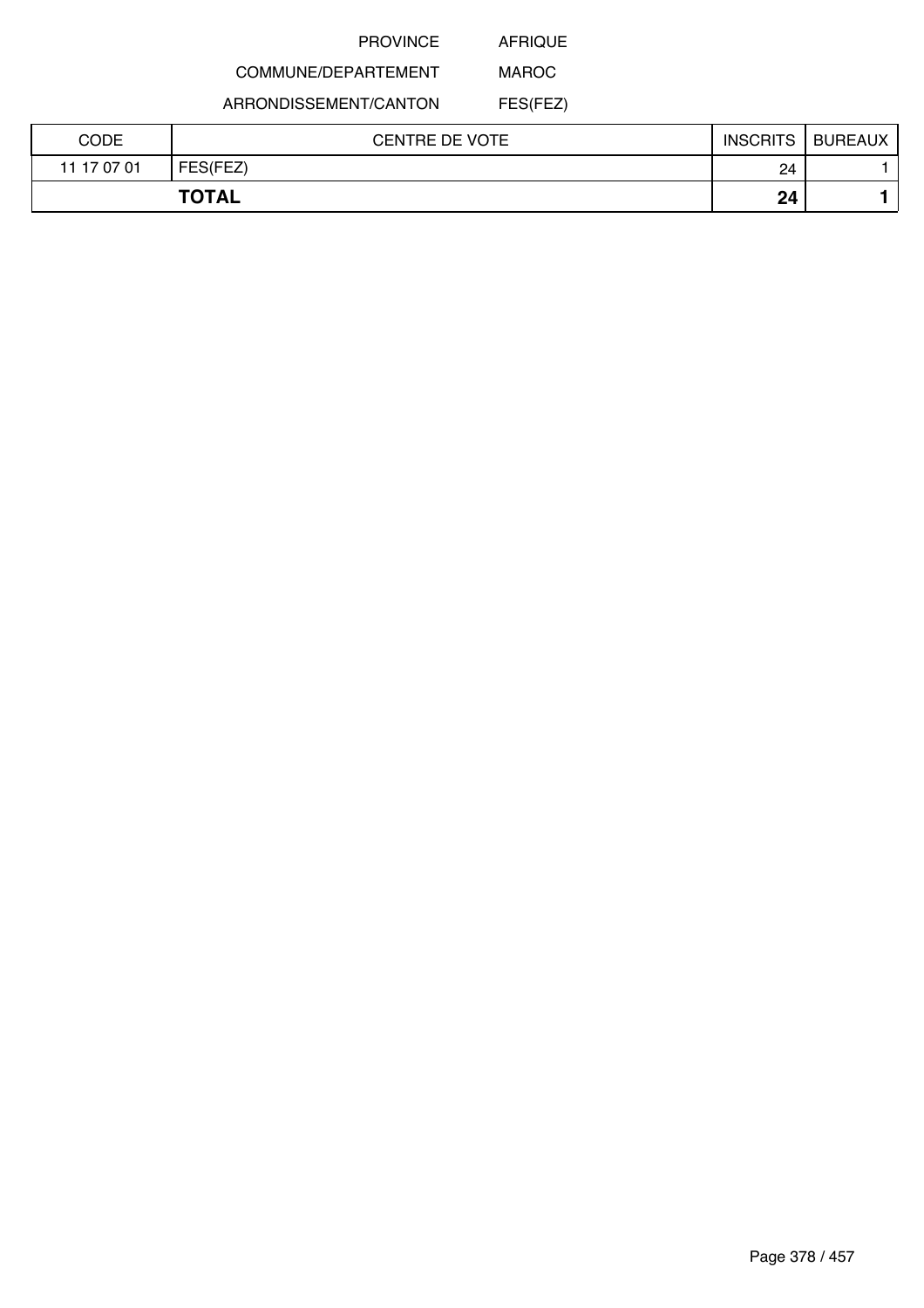AFRIQUE

# COMMUNE/DEPARTEMENT

ARRONDISSEMENT/CANTON

MAROC FES(FEZ)

| CODE        | <b>CENTRE DE VOTE</b> | <b>INSCRITS</b> | <b>BUREAUX</b> |
|-------------|-----------------------|-----------------|----------------|
| 11 17 07 01 | FES(FEZ)              | 24              |                |
|             | <b>TOTAL</b>          | 24              |                |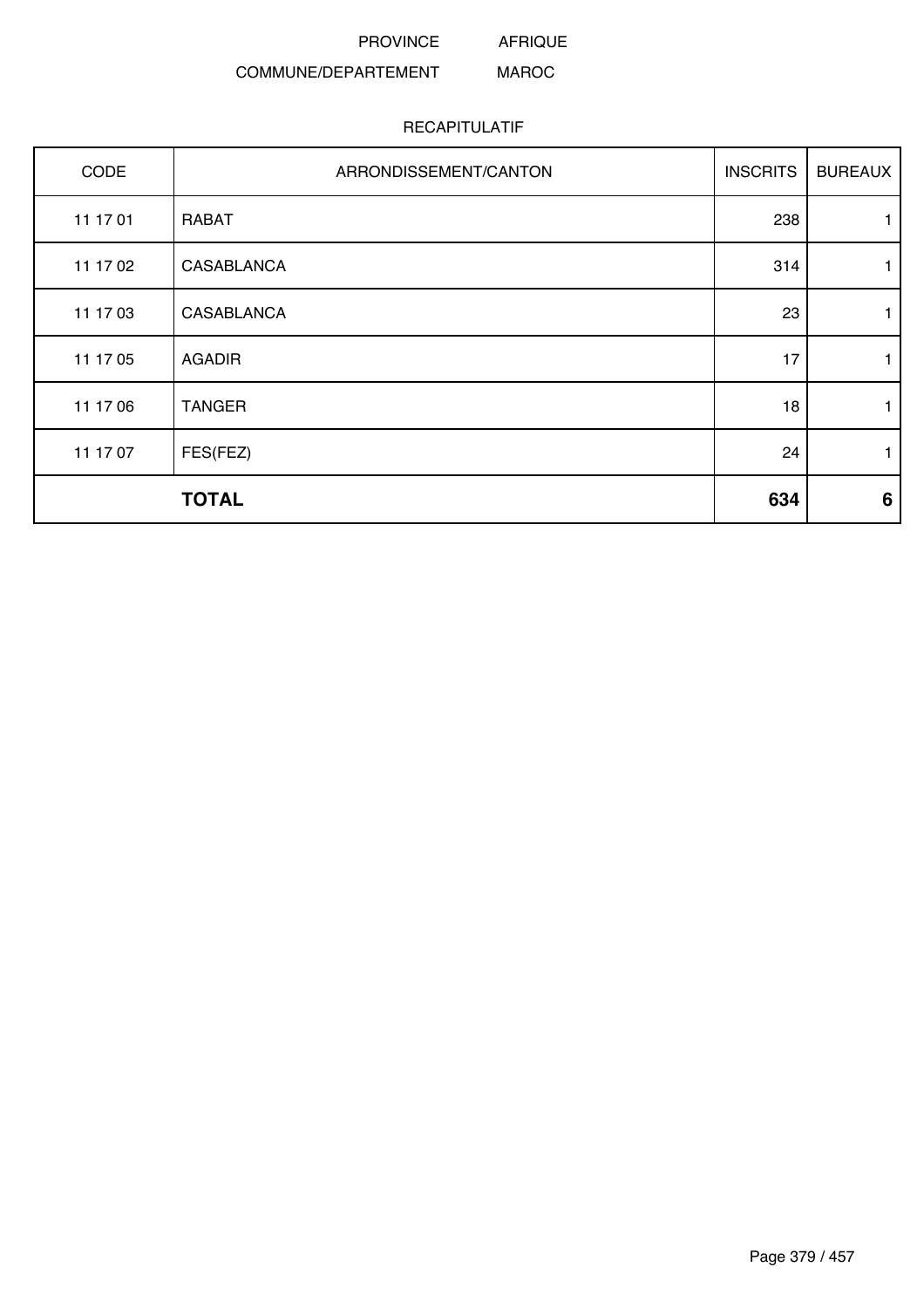AFRIQUE

#### COMMUNE/DEPARTEMENT MAROC

| CODE     | ARRONDISSEMENT/CANTON | <b>INSCRITS</b> | <b>BUREAUX</b>  |
|----------|-----------------------|-----------------|-----------------|
| 11 17 01 | <b>RABAT</b>          | 238             | 1               |
| 11 17 02 | <b>CASABLANCA</b>     | 314             | 1               |
| 11 17 03 | <b>CASABLANCA</b>     | 23              | 1               |
| 11 17 05 | <b>AGADIR</b>         | 17              | 1               |
| 11 17 06 | <b>TANGER</b>         | 18              | 1               |
| 11 17 07 | FES(FEZ)              | 24              | 1               |
|          | <b>TOTAL</b>          | 634             | $6\phantom{1}6$ |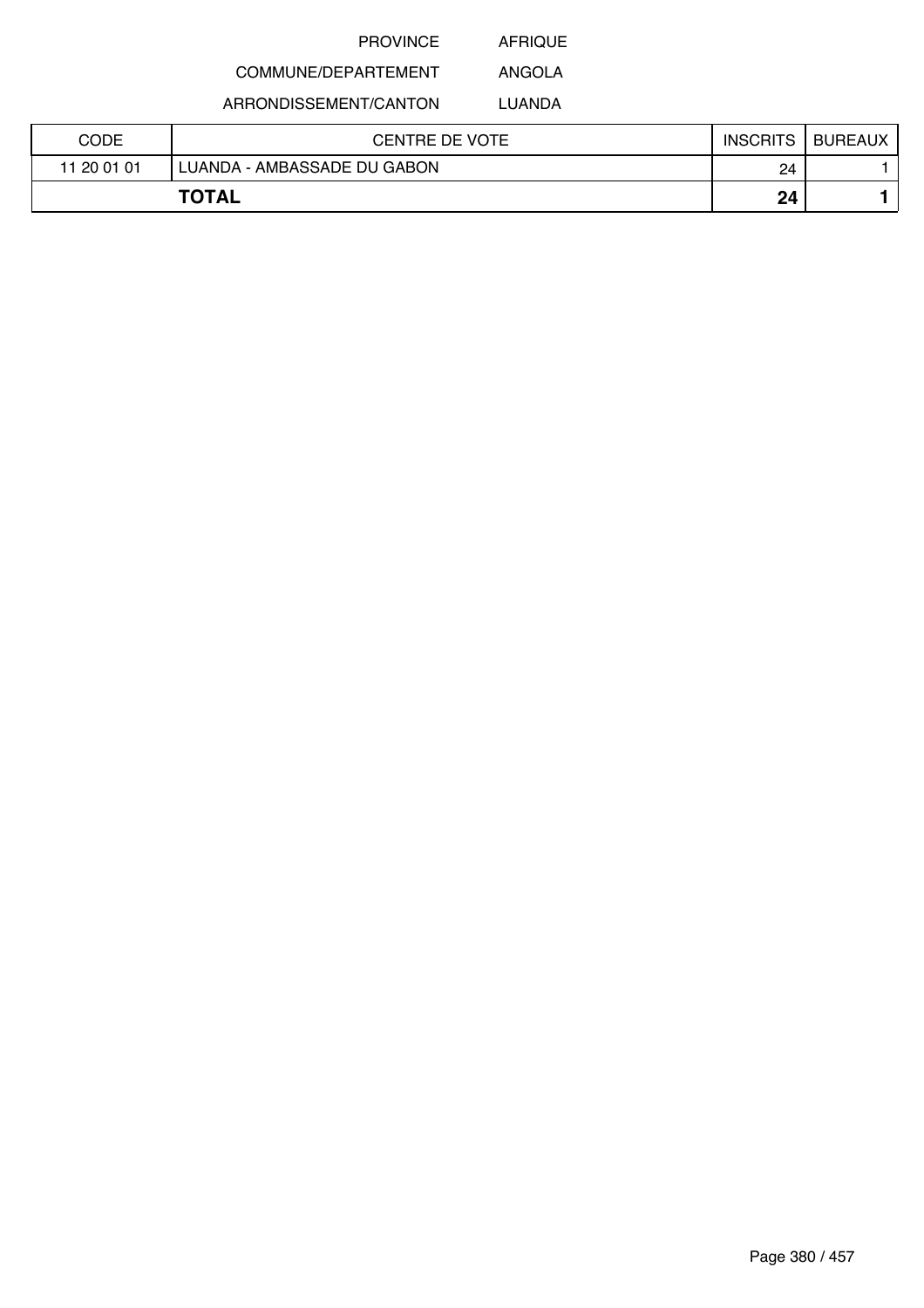AFRIQUE

#### COMMUNE/DEPARTEMENT ANGOLA

ARRONDISSEMENT/CANTON

LUANDA

| CODE        | <b>CENTRE DE VOTE</b>       | <b>INSCRITS</b> | <b>BUREAUX</b> |
|-------------|-----------------------------|-----------------|----------------|
| 11 20 01 01 | LUANDA - AMBASSADE DU GABON | 24              |                |
|             | <b>TOTAL</b>                | 24              |                |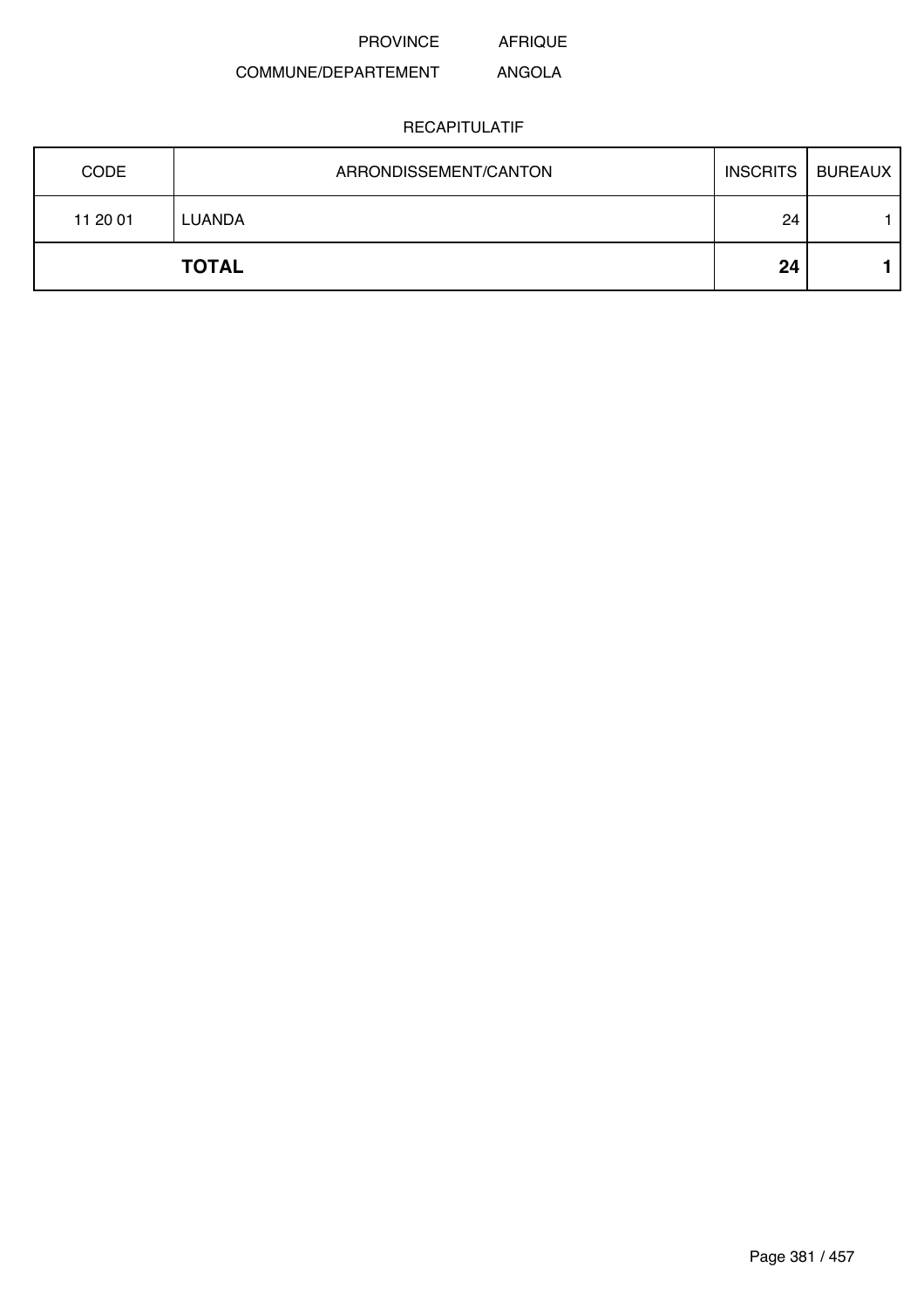#### COMMUNE/DEPARTEMENT ANGOLA

| <b>CODE</b> | ARRONDISSEMENT/CANTON | <b>INSCRITS</b> | <b>BUREAUX</b> |
|-------------|-----------------------|-----------------|----------------|
| 11 20 01    | LUANDA                | 24              |                |
|             | <b>TOTAL</b>          | 24              |                |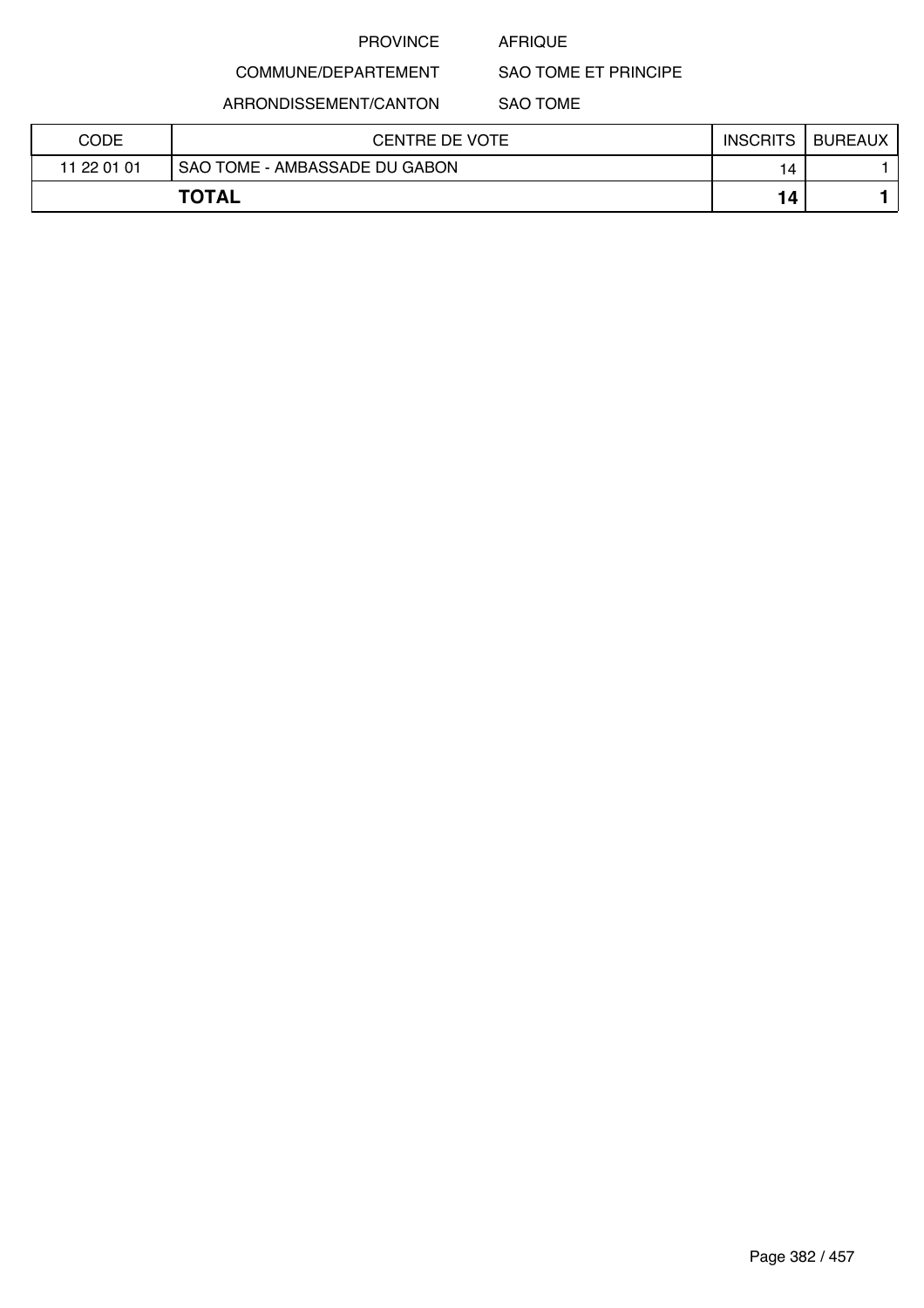### AFRIQUE

SAO TOME ET PRINCIPE

ARRONDISSEMENT/CANTON

COMMUNE/DEPARTEMENT

SAO TOME

| <b>CODE</b> | CENTRE DE VOTE                | <b>INSCRITS</b> | <b>BUREAUX</b> |
|-------------|-------------------------------|-----------------|----------------|
| 11 22 01 01 | SAO TOME - AMBASSADE DU GABON | 14              |                |
|             | <b>TOTAL</b>                  | 14              |                |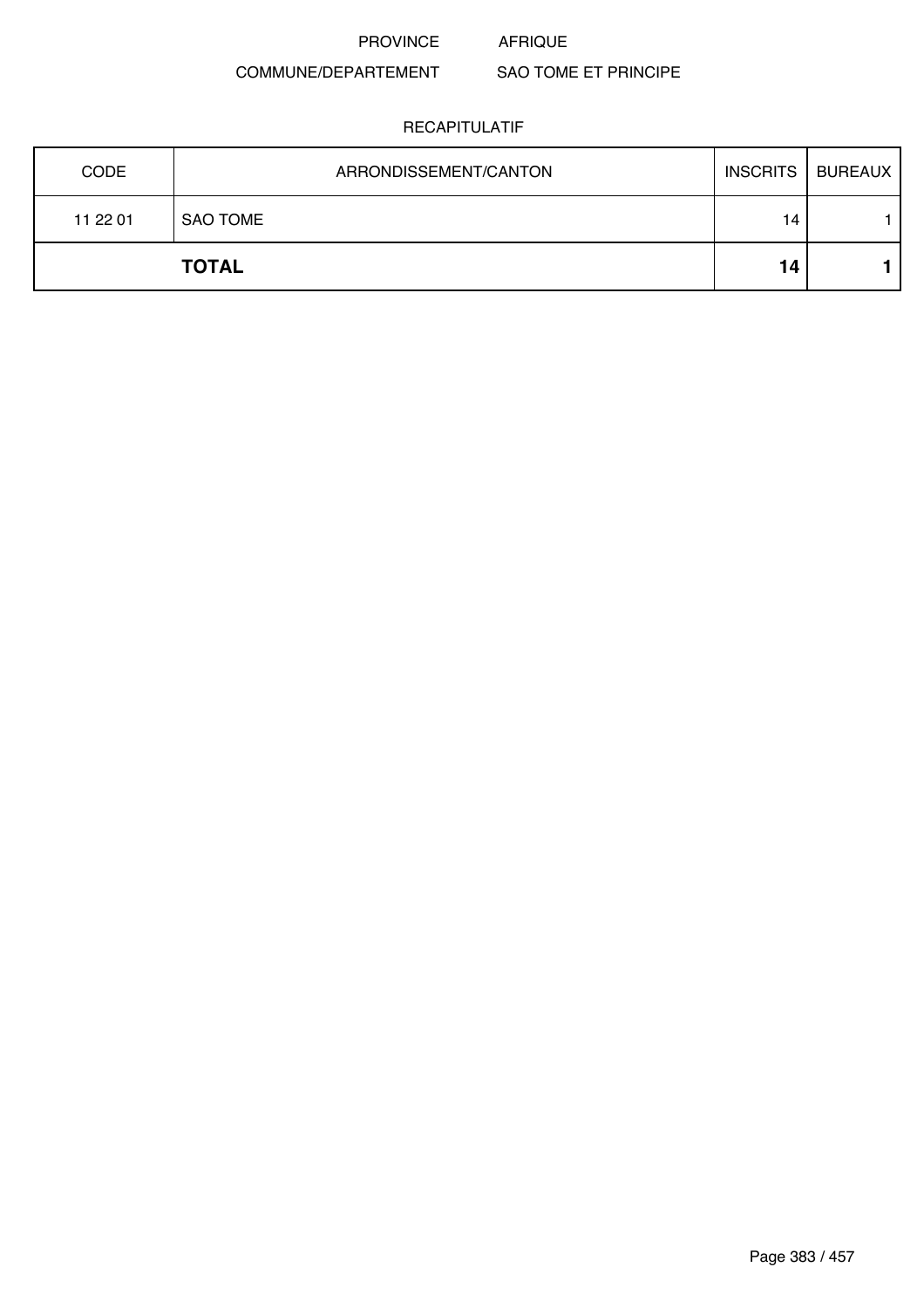#### COMMUNE/DEPARTEMENT SAO TOME ET PRINCIPE

| <b>CODE</b> | ARRONDISSEMENT/CANTON | <b>INSCRITS</b> | <b>BUREAUX</b> |
|-------------|-----------------------|-----------------|----------------|
| 11 22 01    | <b>SAO TOME</b>       | 14              |                |
|             | <b>TOTAL</b>          | 14              |                |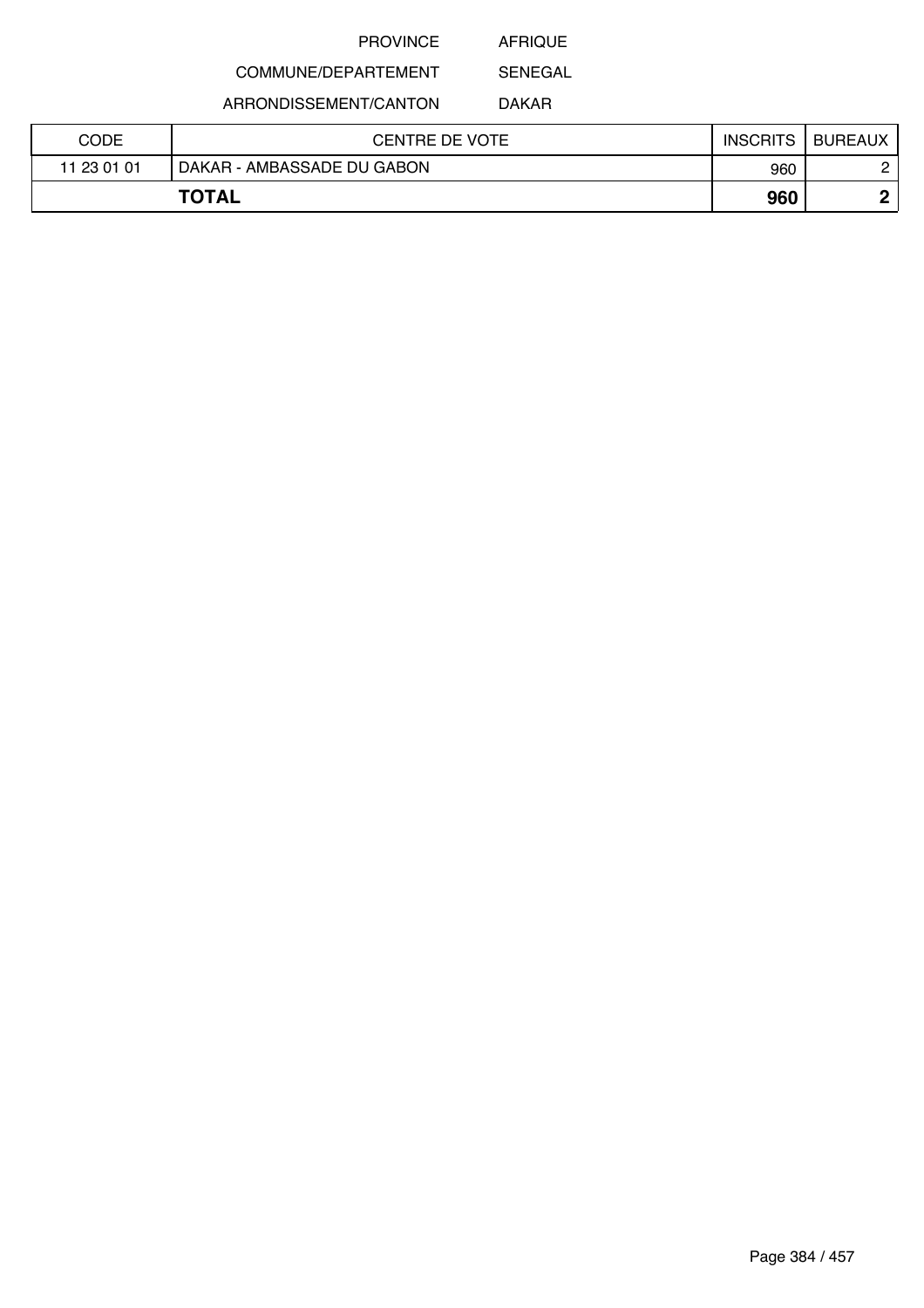AFRIQUE

COMMUNE/DEPARTEMENT

ARRONDISSEMENT/CANTON

DAKAR

SENEGAL

| CODE        | <b>CENTRE DE VOTE</b>      | <b>INSCRITS</b> | <b>BUREAUX</b> |
|-------------|----------------------------|-----------------|----------------|
| 11 23 01 01 | DAKAR - AMBASSADE DU GABON | 960             |                |
|             | <b>TOTAL</b>               | 960             | n              |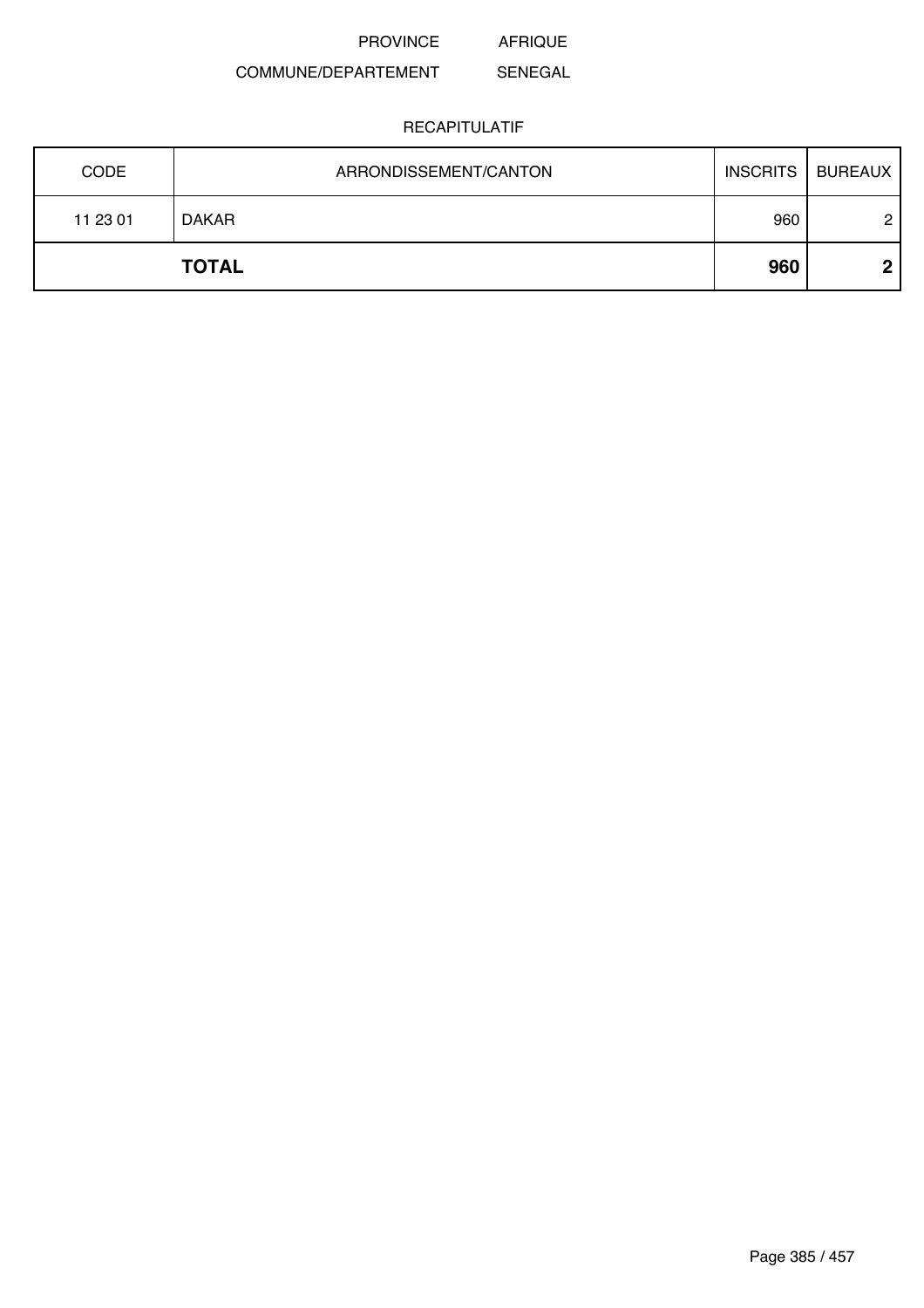#### COMMUNE/DEPARTEMENT SENEGAL

| <b>CODE</b> | ARRONDISSEMENT/CANTON | <b>INSCRITS</b> | BUREAUX |
|-------------|-----------------------|-----------------|---------|
| 11 23 01    | <b>DAKAR</b>          | 960             | 2       |
|             | <b>TOTAL</b>          | 960             | ◠       |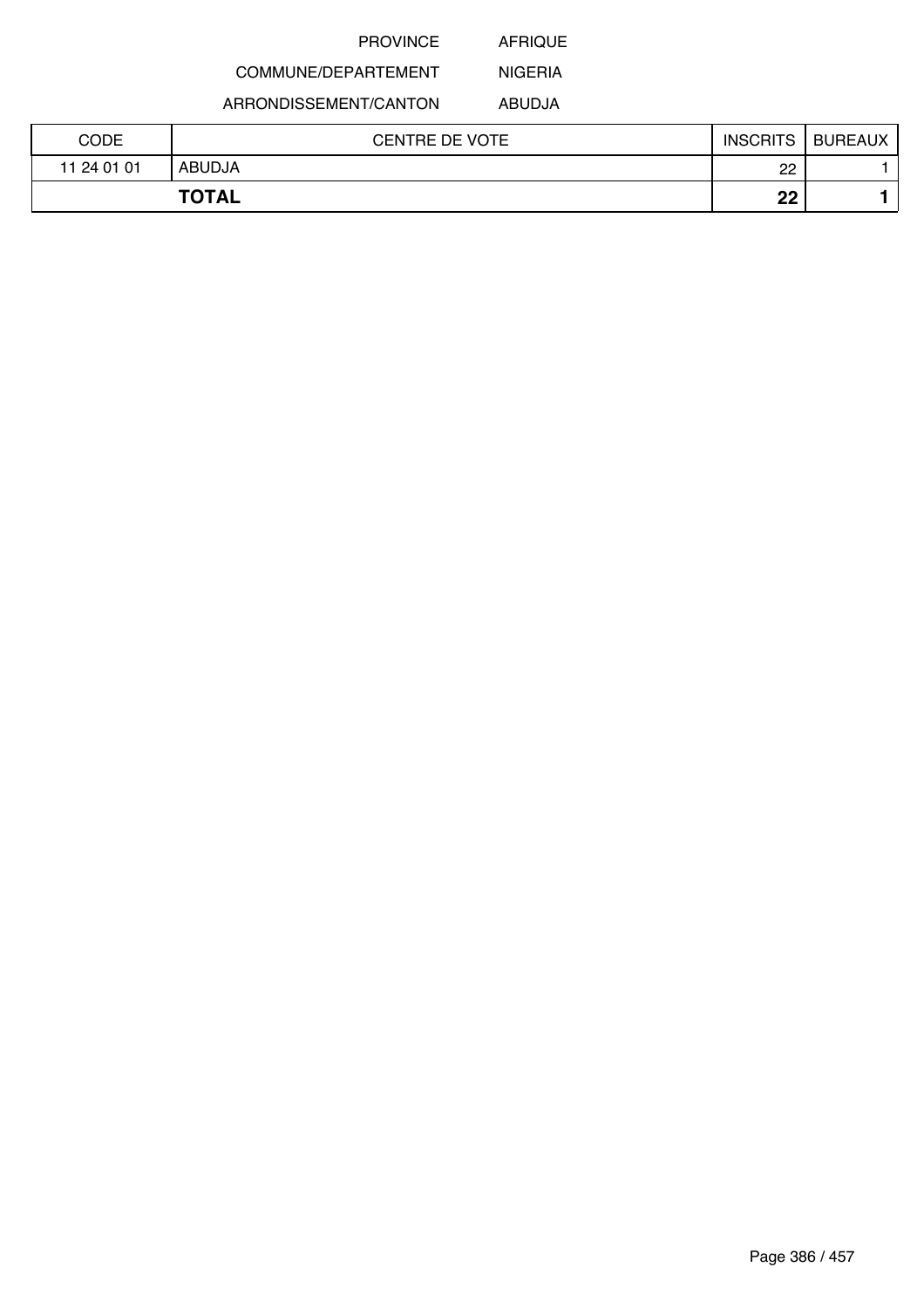AFRIQUE

# COMMUNE/DEPARTEMENT

ARRONDISSEMENT/CANTON

ABUDJA

NIGERIA

| CODE        | <b>CENTRE DE VOTE</b> | <b>INSCRITS</b> | <b>BUREAUX</b> |
|-------------|-----------------------|-----------------|----------------|
| 11 24 01 01 | <b>ABUDJA</b>         | 22              |                |
|             | <b>TOTAL</b>          | ωn<br>LL        |                |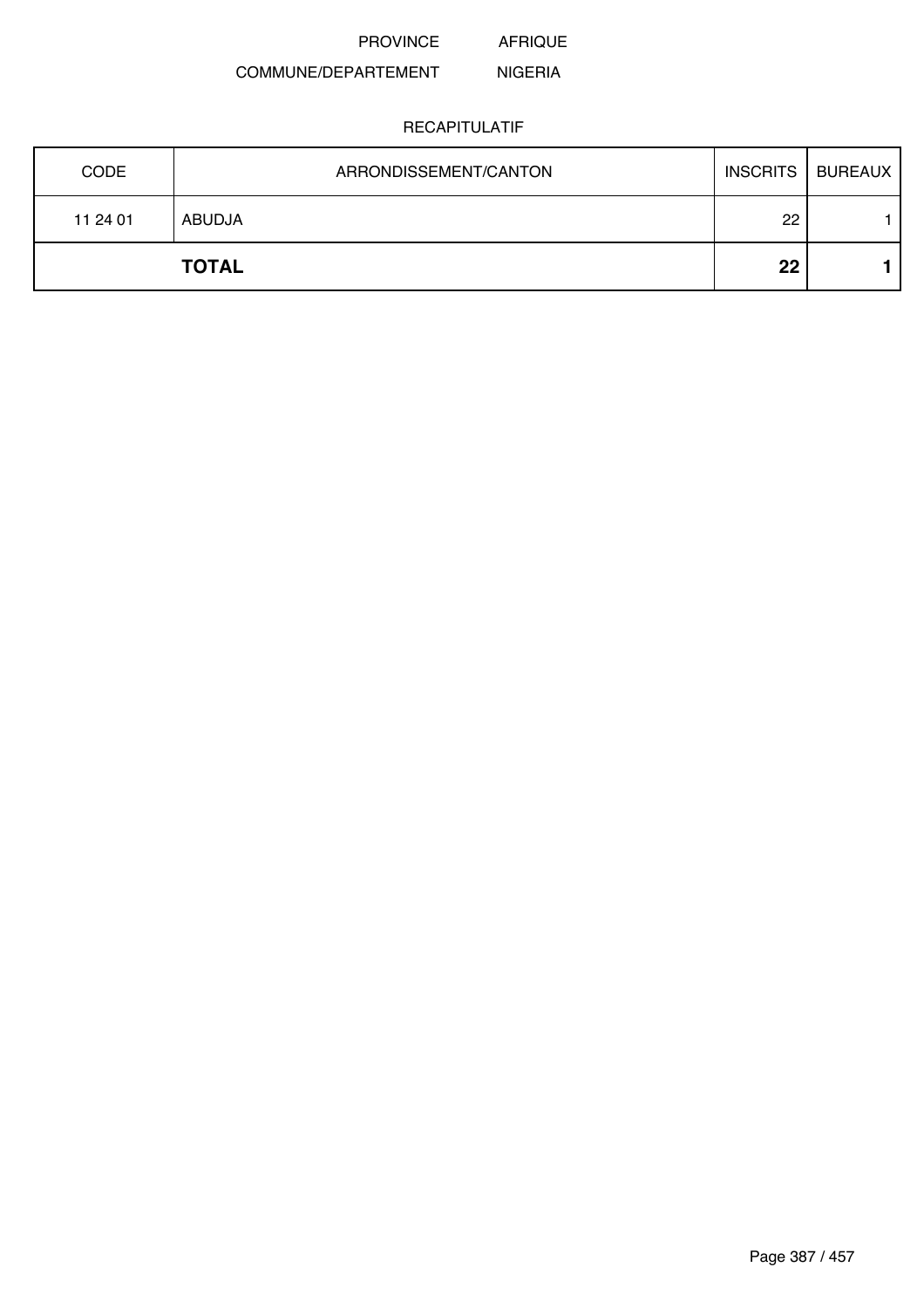AFRIQUE

#### COMMUNE/DEPARTEMENT NIGERIA

| <b>CODE</b> | ARRONDISSEMENT/CANTON | <b>INSCRITS</b> | <b>BUREAUX</b> |
|-------------|-----------------------|-----------------|----------------|
| 11 24 01    | ABUDJA                | 22              |                |
|             | <b>TOTAL</b>          | 22              |                |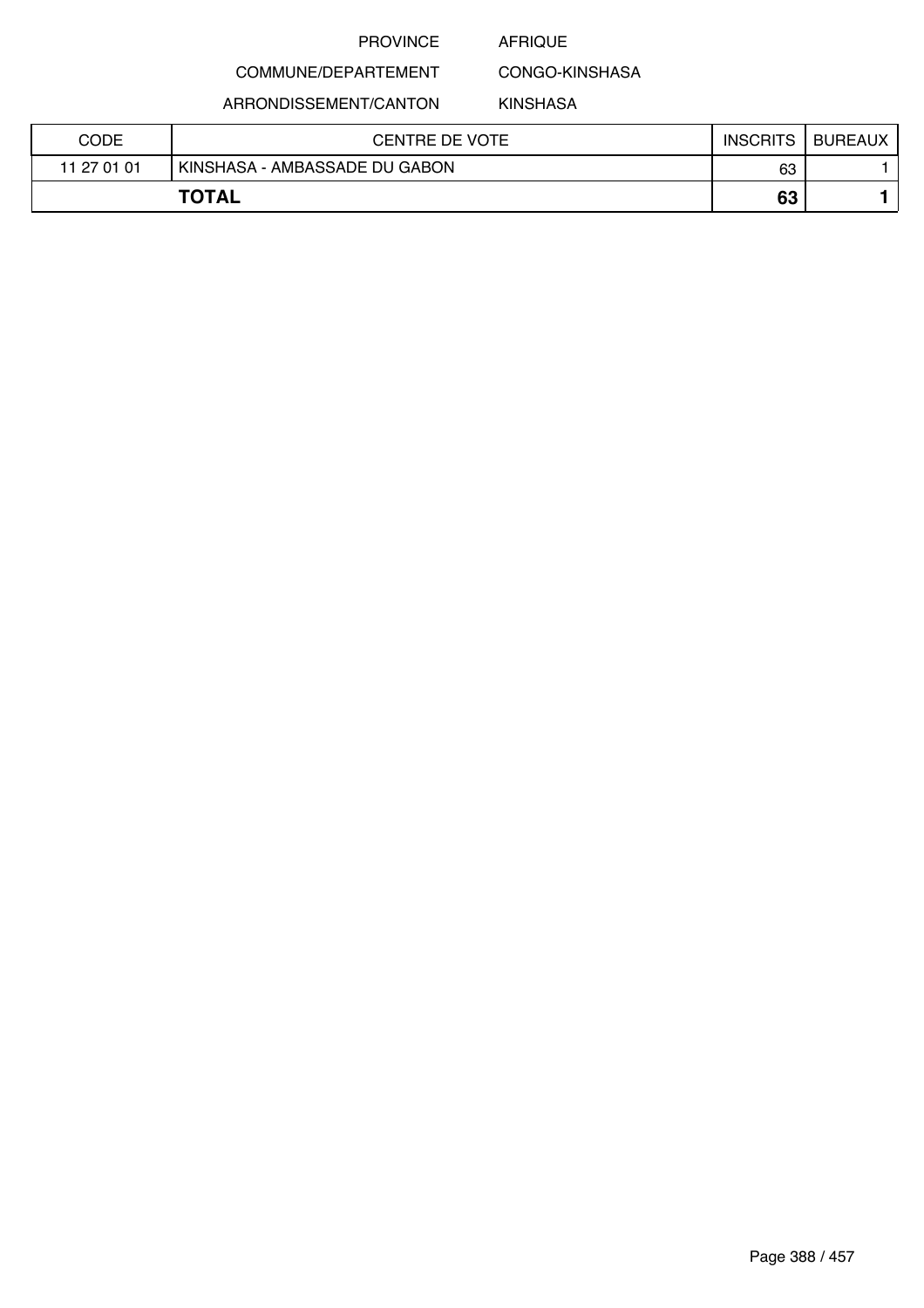### AFRIQUE

CONGO-KINSHASA

ARRONDISSEMENT/CANTON

COMMUNE/DEPARTEMENT

KINSHASA

| CODE        | <b>CENTRE DE VOTE</b>         | <b>INSCRITS</b> | <b>BUREAUX</b> |
|-------------|-------------------------------|-----------------|----------------|
| 11 27 01 01 | KINSHASA - AMBASSADE DU GABON | 63              |                |
|             | <b>TOTAL</b>                  | 63              |                |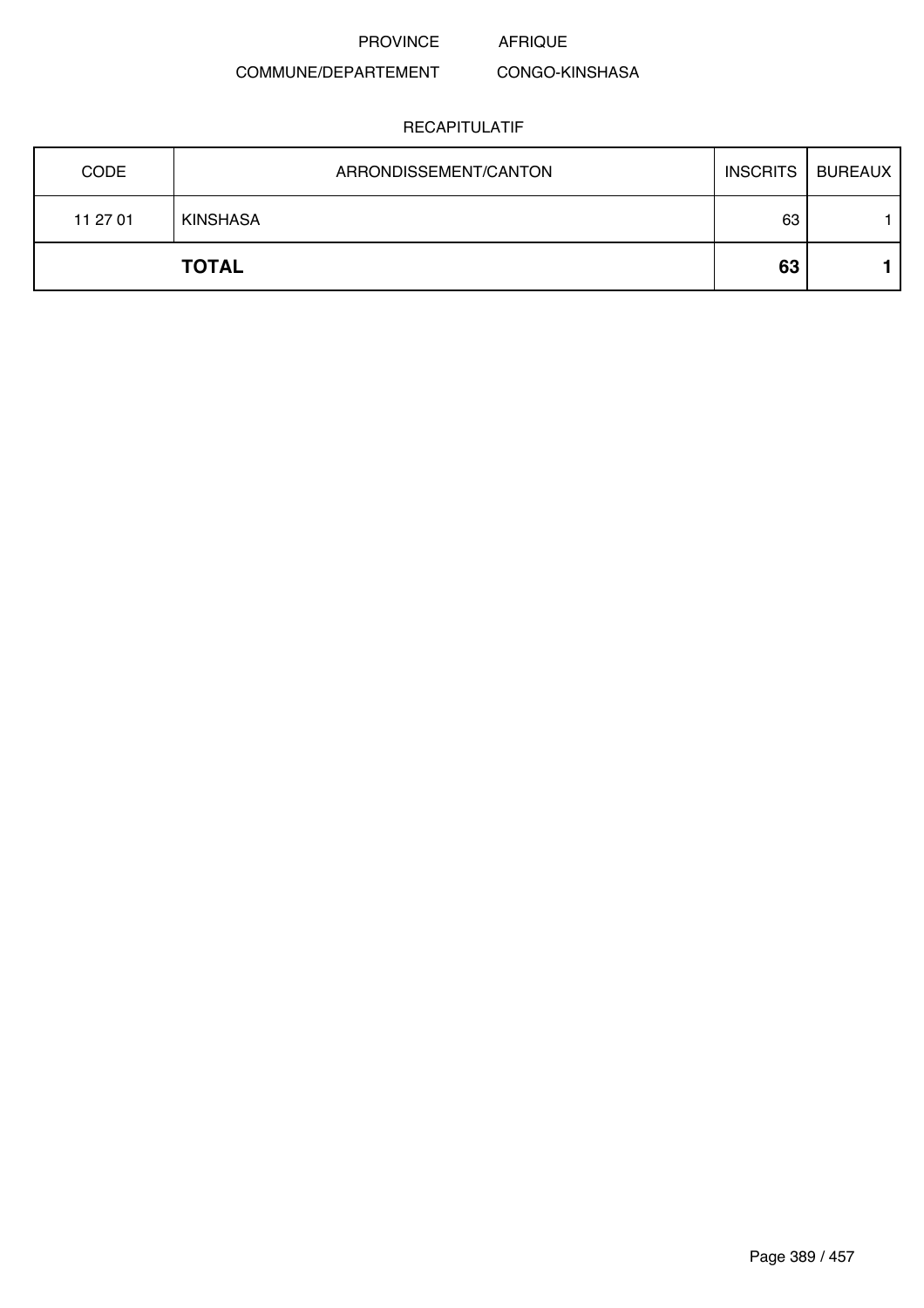#### COMMUNE/DEPARTEMENT CONGO-KINSHASA

| <b>CODE</b> | ARRONDISSEMENT/CANTON | <b>INSCRITS</b> | <b>BUREAUX</b> |
|-------------|-----------------------|-----------------|----------------|
| 11 27 01    | <b>KINSHASA</b>       | 63              |                |
|             | <b>TOTAL</b>          | 63              |                |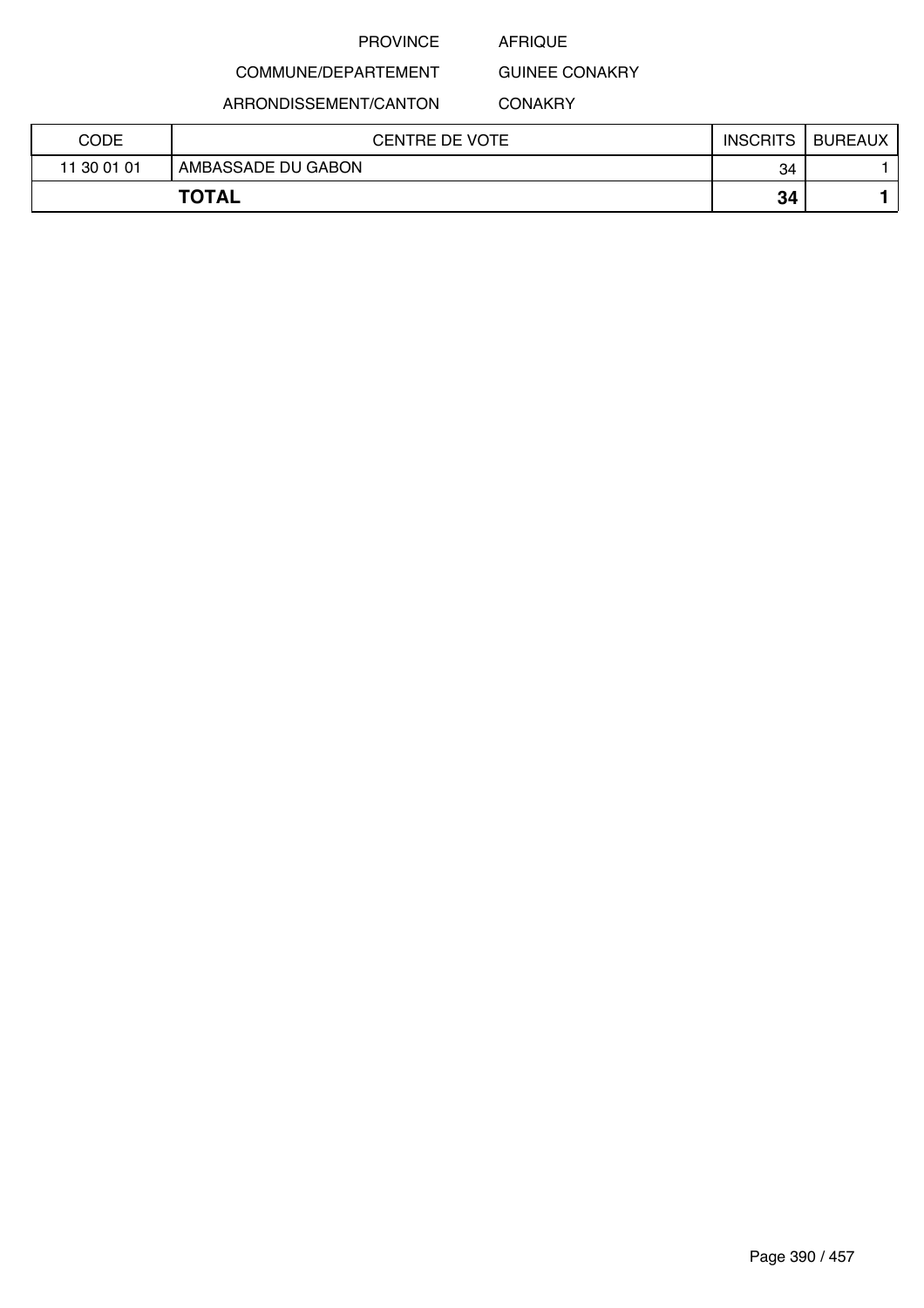### AFRIQUE

GUINEE CONAKRY

COMMUNE/DEPARTEMENT

ARRONDISSEMENT/CANTON

# **CONAKRY**

| CODE        | <b>CENTRE DE VOTE</b> | <b>INSCRITS</b> | <b>BUREAUX</b> |
|-------------|-----------------------|-----------------|----------------|
| 11 30 01 01 | AMBASSADE DU GABON    | 34              |                |
|             | <b>TOTAL</b>          | 34              |                |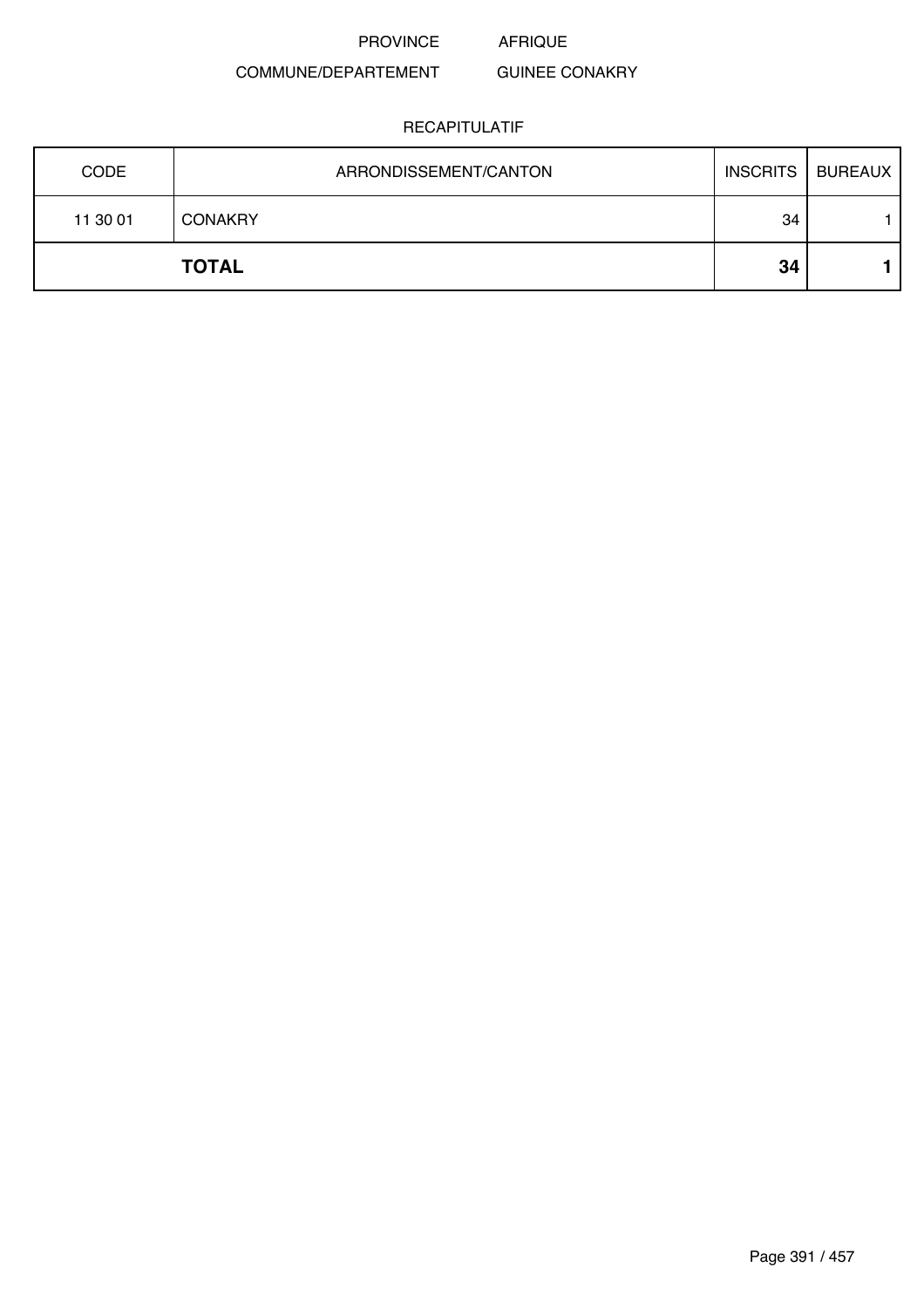#### COMMUNE/DEPARTEMENT GUINEE CONAKRY

| <b>CODE</b> | ARRONDISSEMENT/CANTON | INSCRITS | BUREAUX |
|-------------|-----------------------|----------|---------|
| 11 30 01    | <b>CONAKRY</b>        | 34       |         |
|             | <b>TOTAL</b>          | 34       |         |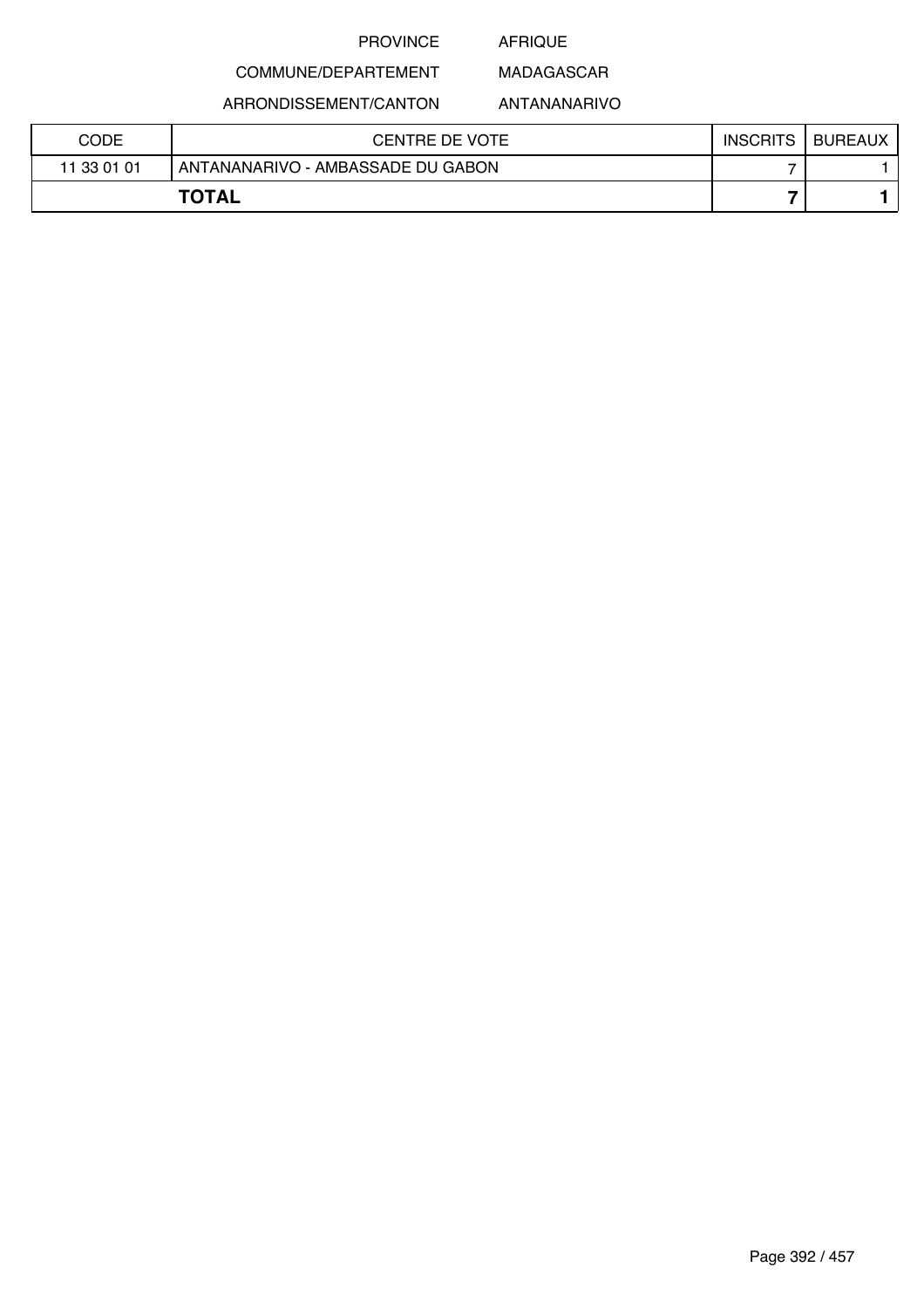## AFRIQUE

# COMMUNE/DEPARTEMENT ARRONDISSEMENT/CANTON

ANTANANARIVO

MADAGASCAR

| <b>CODE</b> | CENTRE DE VOTE                    | <b>INSCRITS</b> | BUREAUX |
|-------------|-----------------------------------|-----------------|---------|
| 11 33 01 01 | ANTANANARIVO - AMBASSADE DU GABON |                 |         |
|             | <b>TOTAL</b>                      |                 |         |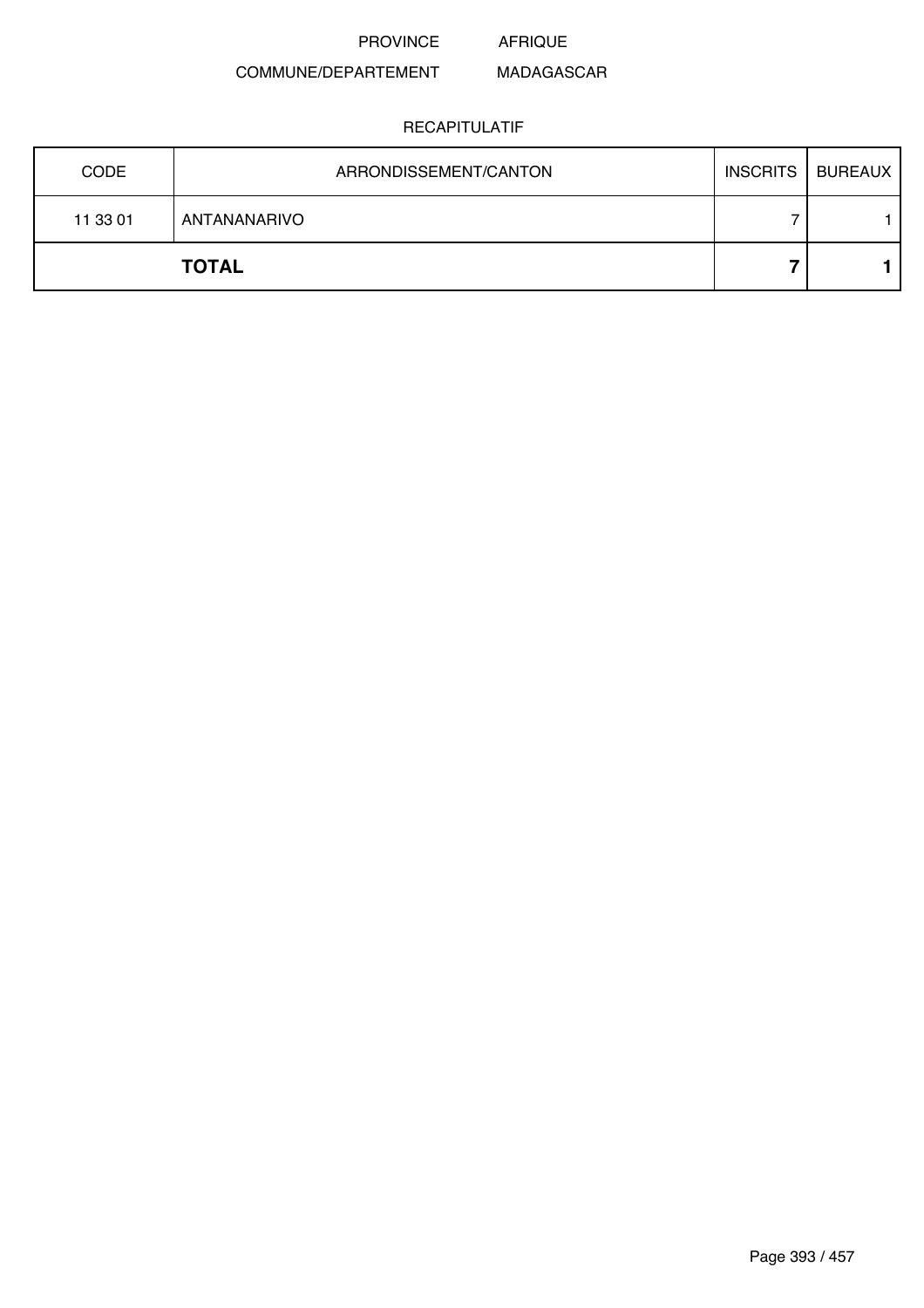#### COMMUNE/DEPARTEMENT MADAGASCAR

| <b>CODE</b> | ARRONDISSEMENT/CANTON | INSCRITS   BUREAUX |
|-------------|-----------------------|--------------------|
| 11 33 01    | ANTANANARIVO          |                    |
|             | <b>TOTAL</b>          |                    |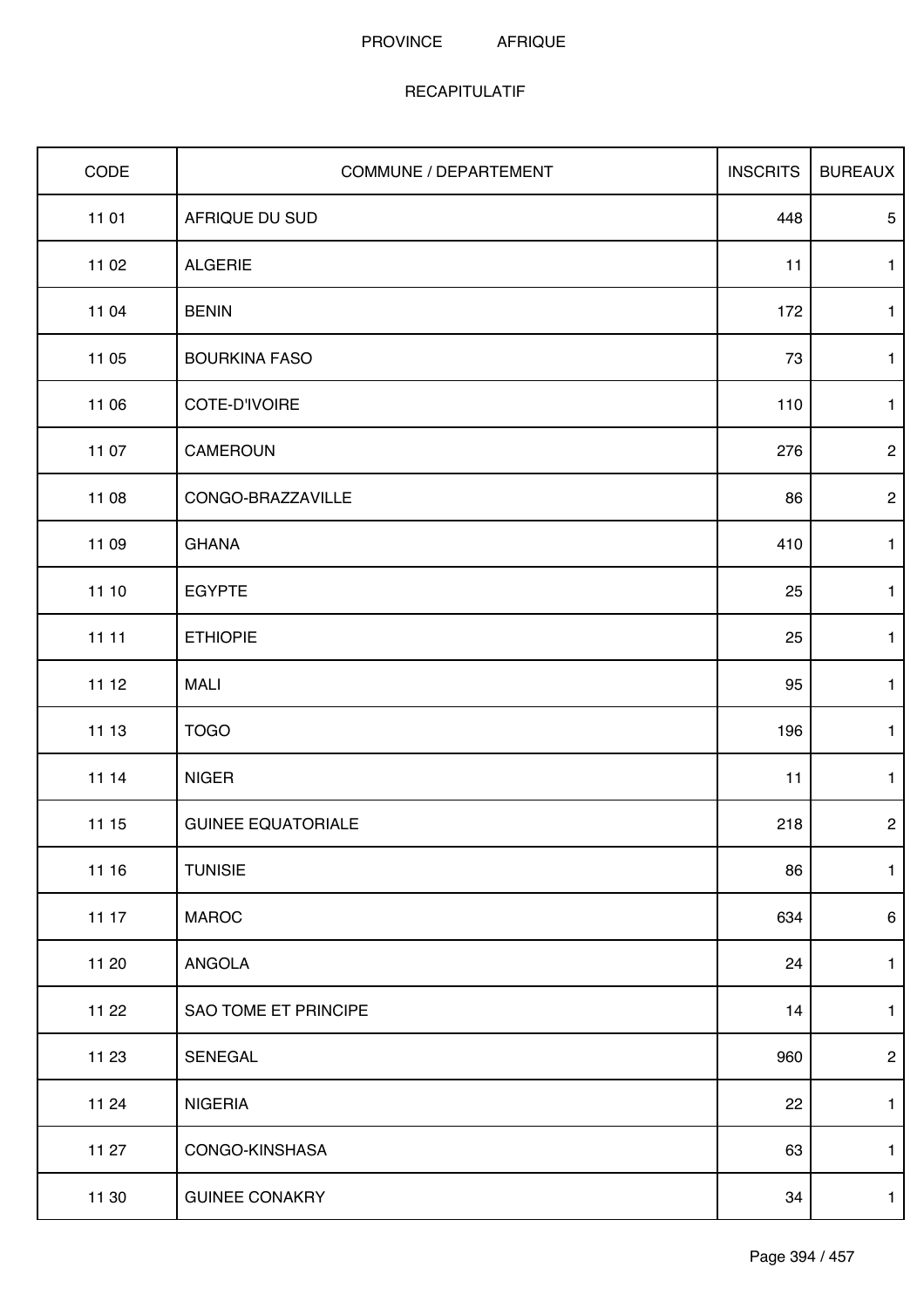| CODE  | COMMUNE / DEPARTEMENT     | <b>INSCRITS</b> | <b>BUREAUX</b>  |
|-------|---------------------------|-----------------|-----------------|
| 11 01 | AFRIQUE DU SUD            | 448             | $\overline{5}$  |
| 11 02 | <b>ALGERIE</b>            | 11              | $\mathbf{1}$    |
| 11 04 | <b>BENIN</b>              | 172             | $\mathbf{1}$    |
| 11 05 | <b>BOURKINA FASO</b>      | 73              | $\mathbf{1}$    |
| 11 06 | COTE-D'IVOIRE             | 110             | $\mathbf{1}$    |
| 11 07 | CAMEROUN                  | 276             | $\mathbf{2}$    |
| 11 08 | CONGO-BRAZZAVILLE         | 86              | $\mathbf{2}$    |
| 11 09 | <b>GHANA</b>              | 410             | $\mathbf{1}$    |
| 11 10 | <b>EGYPTE</b>             | 25              | $\mathbf{1}$    |
| 11 11 | <b>ETHIOPIE</b>           | 25              | $\mathbf{1}$    |
| 11 12 | <b>MALI</b>               | 95              | $\mathbf{1}$    |
| 11 13 | <b>TOGO</b>               | 196             | $\mathbf{1}$    |
| 11 14 | <b>NIGER</b>              | 11              | $\mathbf{1}$    |
| 11 15 | <b>GUINEE EQUATORIALE</b> | 218             | $\mathbf{2}$    |
| 11 16 | <b>TUNISIE</b>            | 86              | $\mathbf{1}$    |
| 11 17 | <b>MAROC</b>              | 634             | $6\phantom{.}6$ |
| 11 20 | ANGOLA                    | 24              | $\mathbf{1}$    |
| 11 22 | SAO TOME ET PRINCIPE      | 14              | $\mathbf{1}$    |
| 11 23 | SENEGAL                   | 960             | $\overline{c}$  |
| 11 24 | <b>NIGERIA</b>            | 22              | $\mathbf{1}$    |
| 11 27 | CONGO-KINSHASA            | 63              | $\mathbf{1}$    |
| 11 30 | <b>GUINEE CONAKRY</b>     | 34              | $\mathbf{1}$    |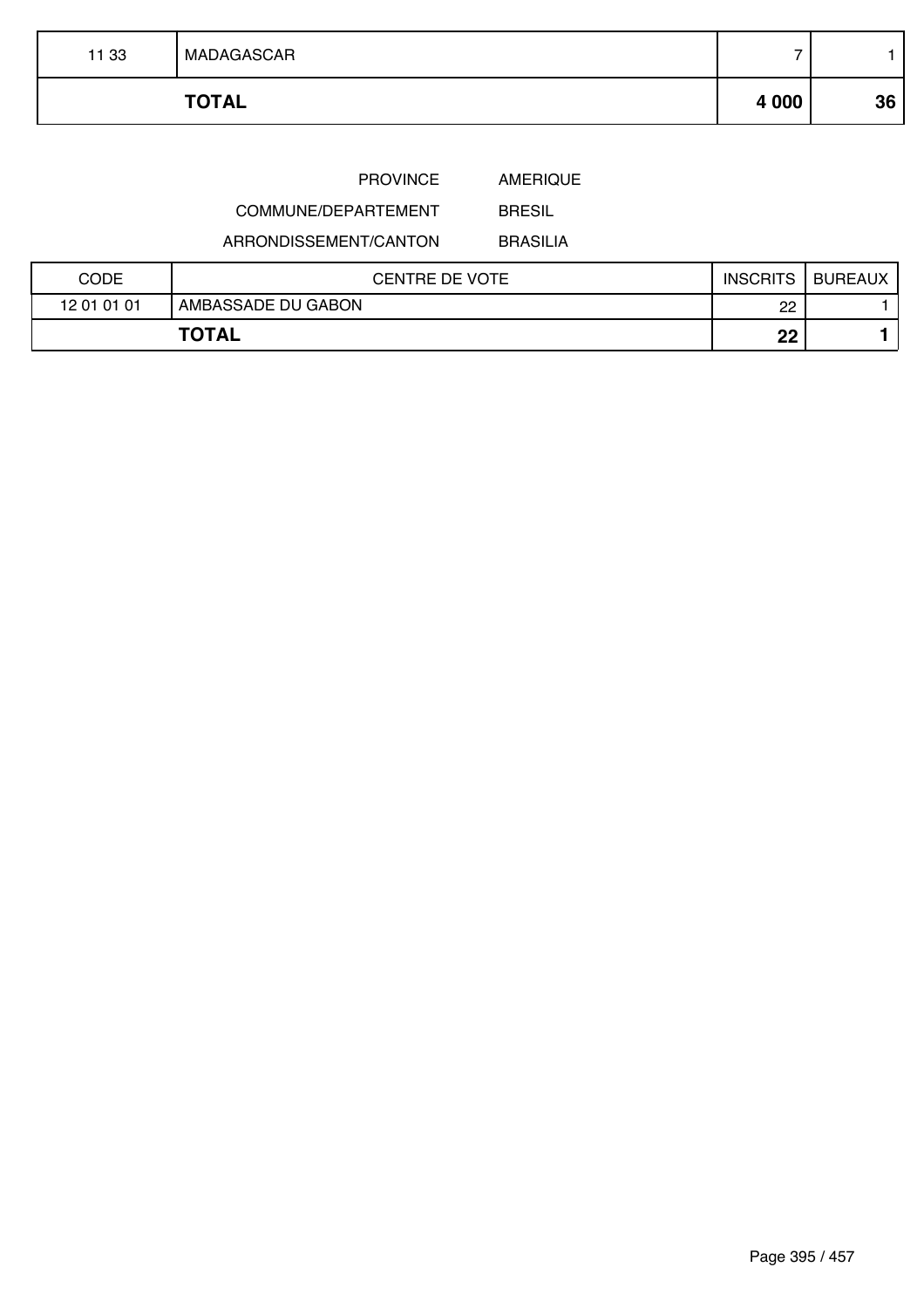| 11 33 | MADAGASCAR   |         |    |
|-------|--------------|---------|----|
|       | <b>TOTAL</b> | 4 0 0 0 | 36 |
|       |              |         |    |

COMMUNE/DEPARTEMENT

ARRONDISSEMENT/CANTON

BRASILIA

BRESIL

| CODE        | <b>CENTRE DE VOTE</b> | <b>INSCRITS</b> | <b>BUREAUX</b> |
|-------------|-----------------------|-----------------|----------------|
| 12 01 01 01 | AMBASSADE DU GABON    | ററ<br>∸         |                |
|             | <b>TOTAL</b>          | nn<br>LL        |                |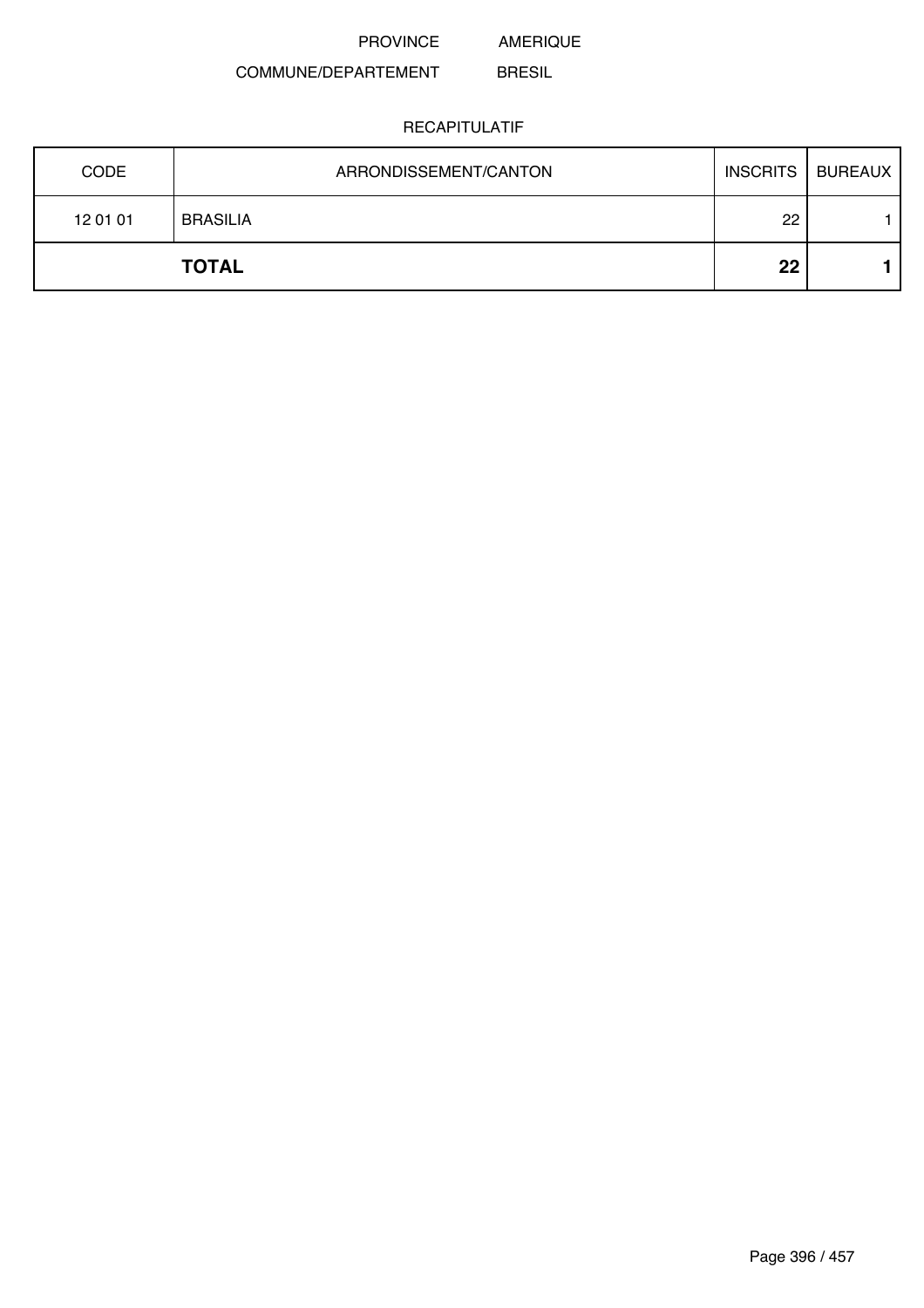#### COMMUNE/DEPARTEMENT BRESIL

| <b>CODE</b> | ARRONDISSEMENT/CANTON | <b>INSCRITS</b> I | BUREAUX |
|-------------|-----------------------|-------------------|---------|
| 12 01 01    | <b>BRASILIA</b>       | 22                |         |
|             | <b>TOTAL</b>          | 22                |         |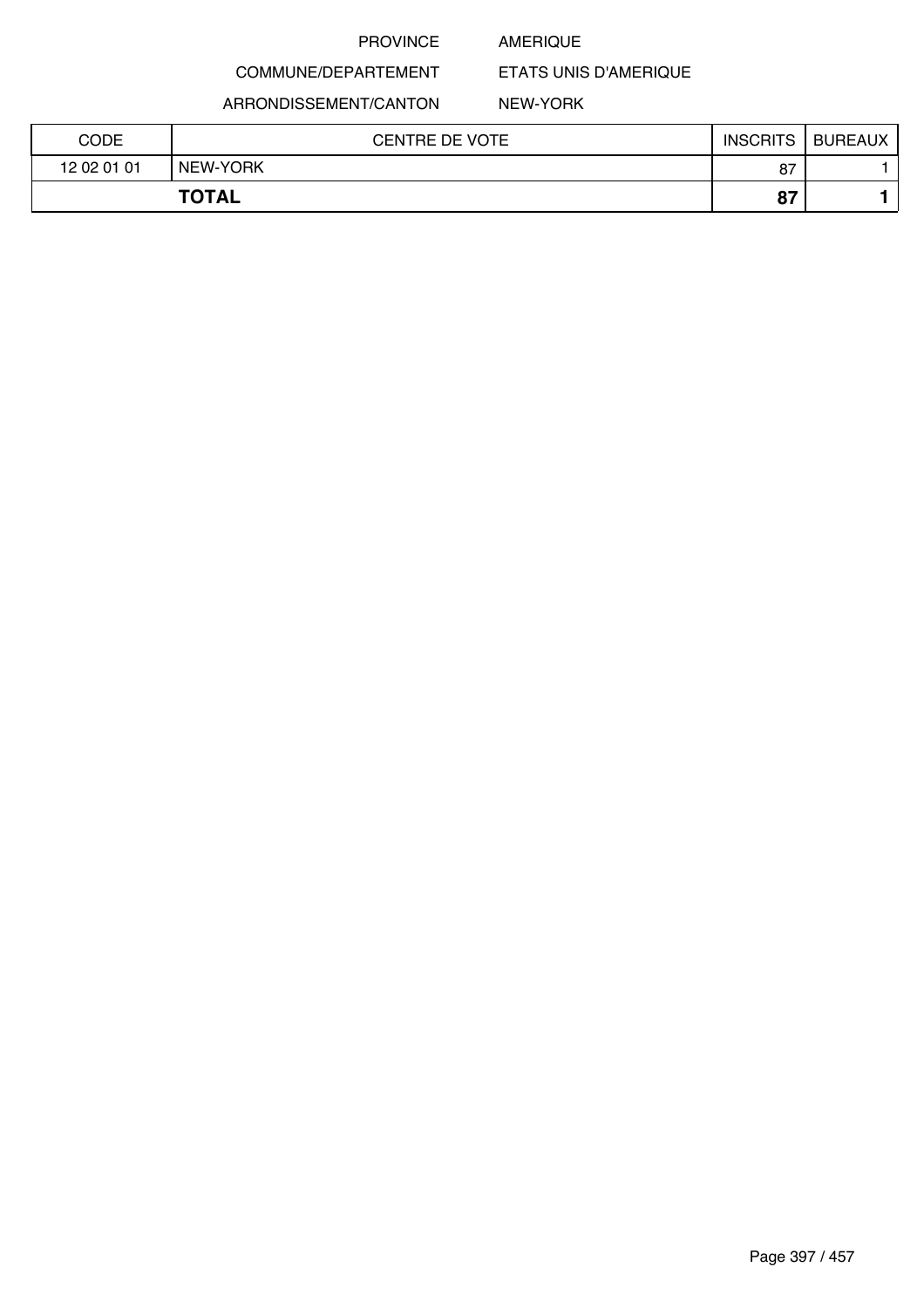### AMERIQUE

COMMUNE/DEPARTEMENT

ARRONDISSEMENT/CANTON

### NEW-YORK

ETATS UNIS D'AMERIQUE

| CODE        | <b>CENTRE DE VOTE</b> | <b>INSCRITS</b> | BUREAUX |
|-------------|-----------------------|-----------------|---------|
| 12 02 01 01 | NEW-YORK              | 87              |         |
|             | <b>TOTAL</b>          | ດສ<br>O I       |         |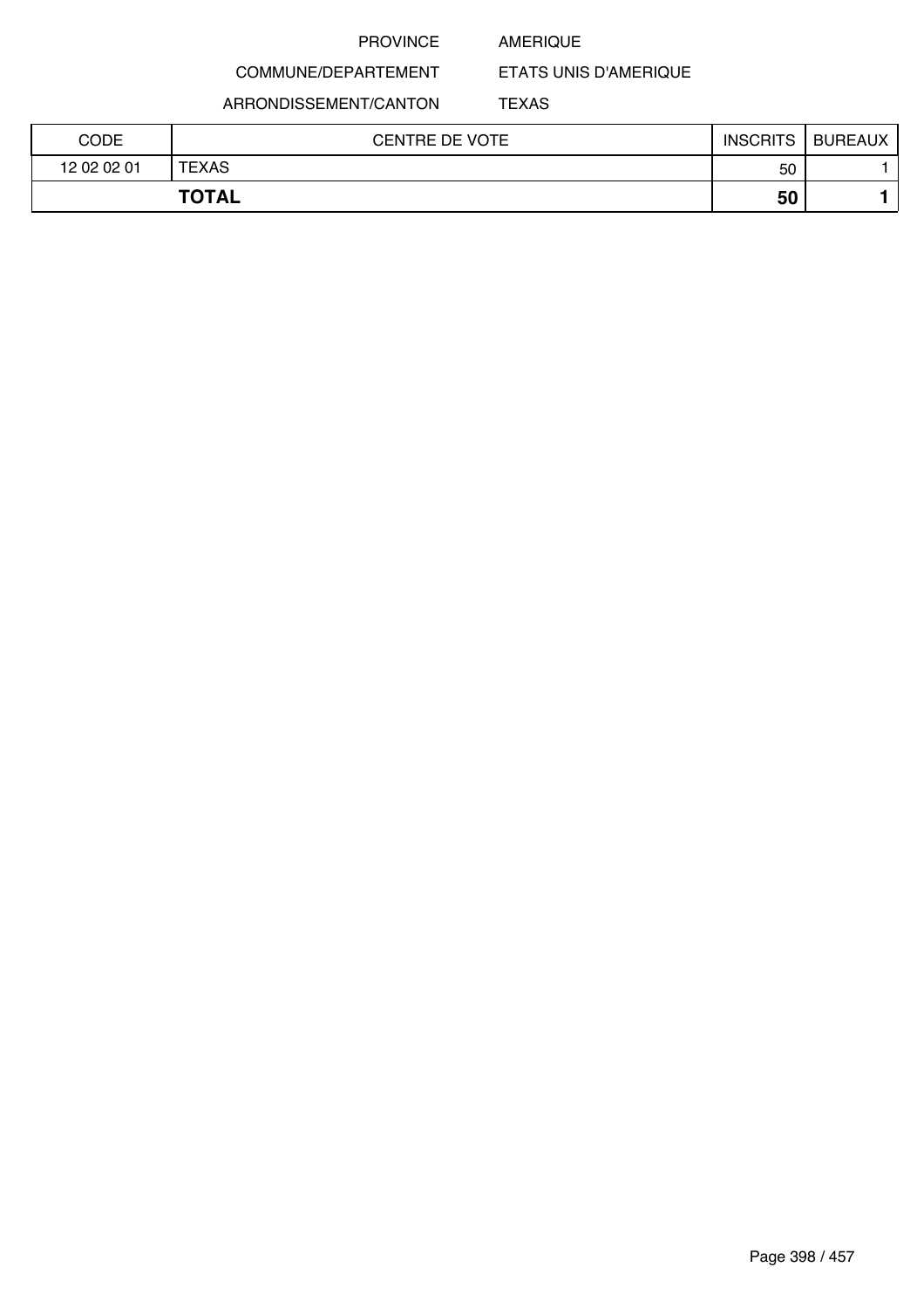### AMERIQUE

COMMUNE/DEPARTEMENT

ARRONDISSEMENT/CANTON

ETATS UNIS D'AMERIQUE TEXAS

| CODE        | <b>CENTRE DE VOTE</b> | <b>INSCRITS</b> | <b>BUREAUX</b> |
|-------------|-----------------------|-----------------|----------------|
| 12 02 02 01 | <b>TEXAS</b>          | 50              |                |
|             | <b>TOTAL</b>          | 50              |                |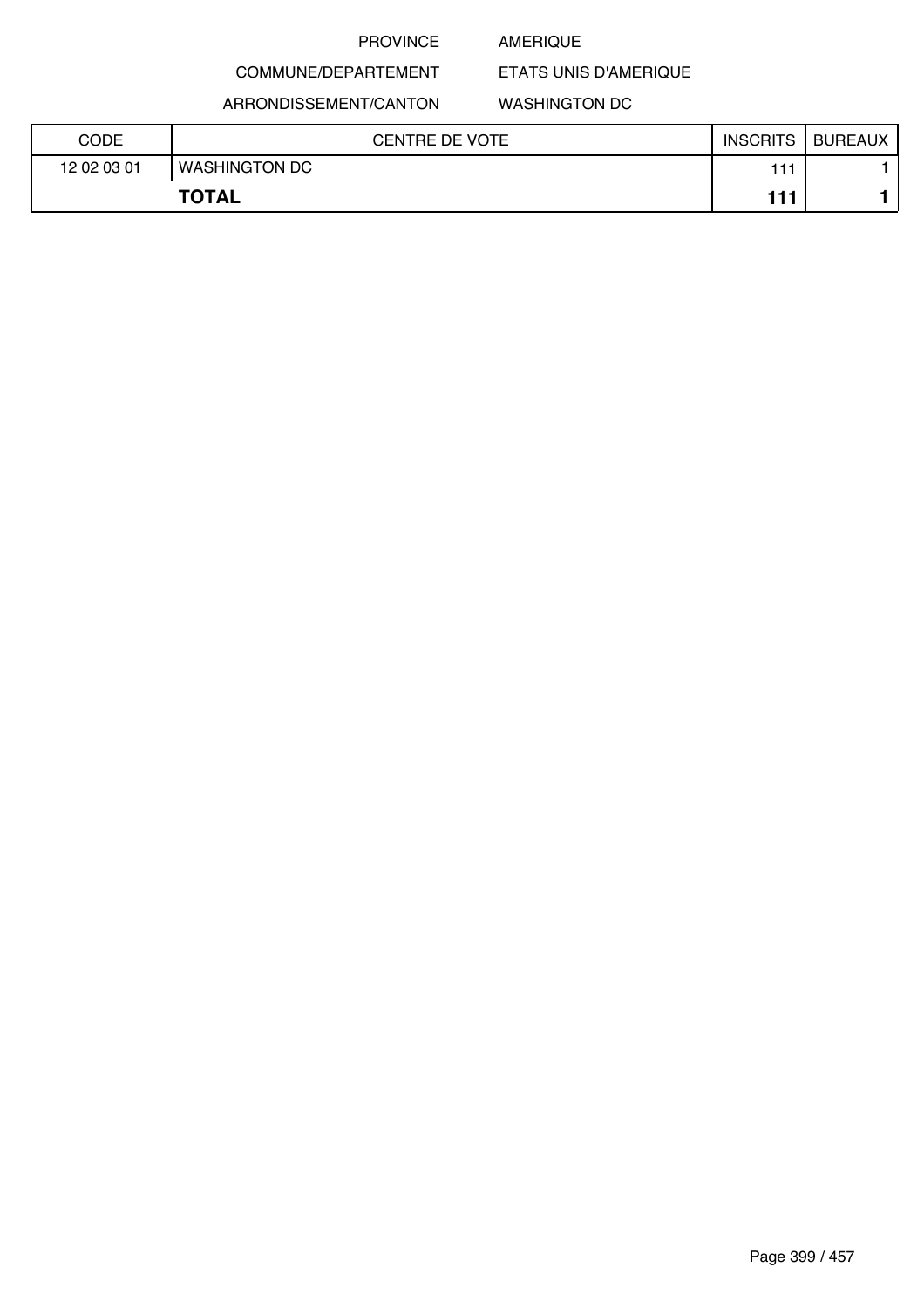### AMERIQUE

COMMUNE/DEPARTEMENT

ARRONDISSEMENT/CANTON

### WASHINGTON DC

ETATS UNIS D'AMERIQUE

| <b>CODE</b> | <b>CENTRE DE VOTE</b> | <b>INSCRITS</b> | <b>BUREAUX</b> |
|-------------|-----------------------|-----------------|----------------|
| 12 02 03 01 | <b>WASHINGTON DC</b>  | 111             |                |
|             | <b>TOTAL</b>          | 444             |                |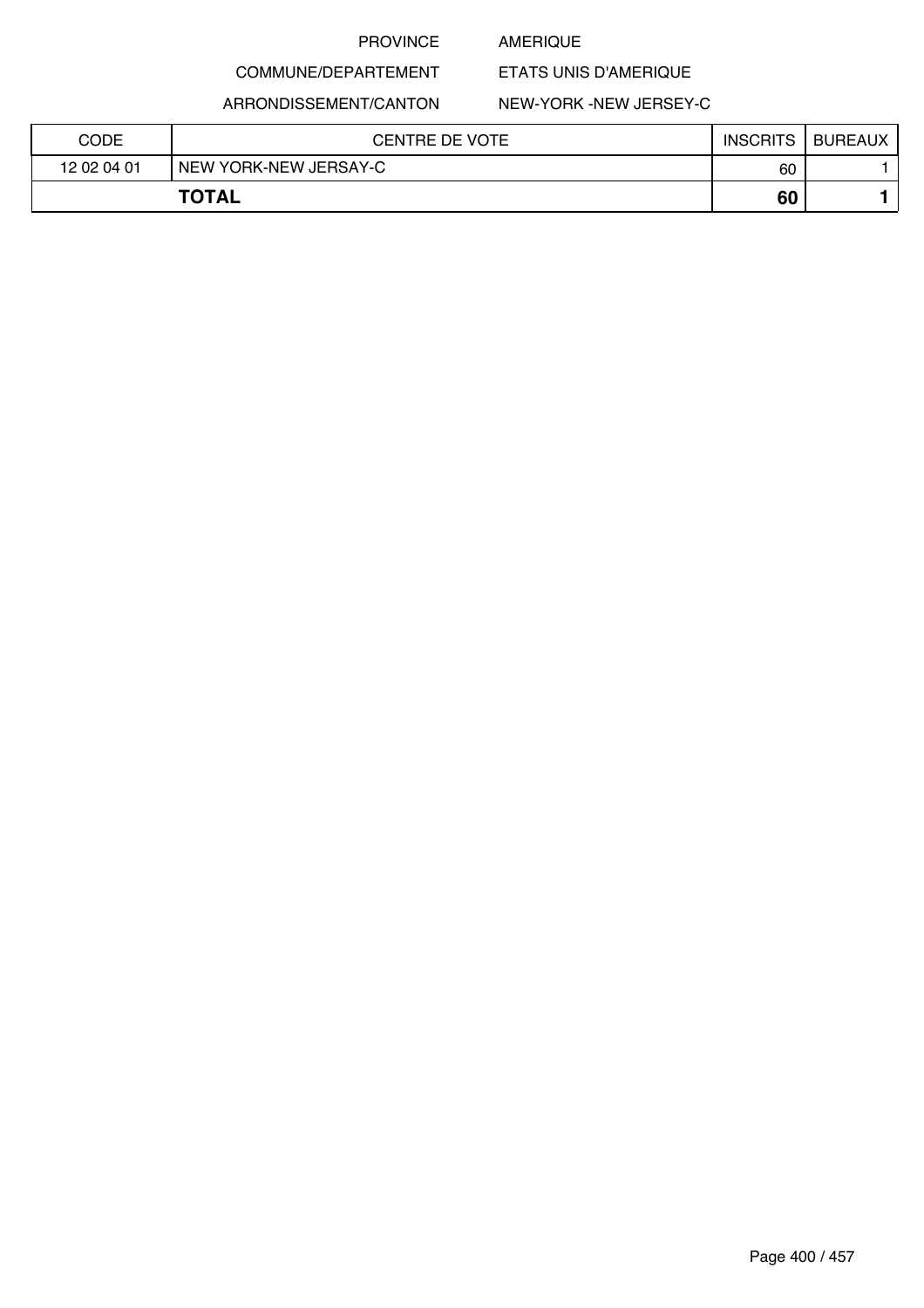### AMERIQUE

ETATS UNIS D'AMERIQUE

ARRONDISSEMENT/CANTON

COMMUNE/DEPARTEMENT

### NEW-YORK -NEW JERSEY-C

| CODE         | <b>CENTRE DE VOTE</b> | <b>INSCRITS</b> | <b>BUREAUX</b> |
|--------------|-----------------------|-----------------|----------------|
| 12 02 04 01  | NEW YORK-NEW JERSAY-C | 60              |                |
| <b>TOTAL</b> |                       | 60              |                |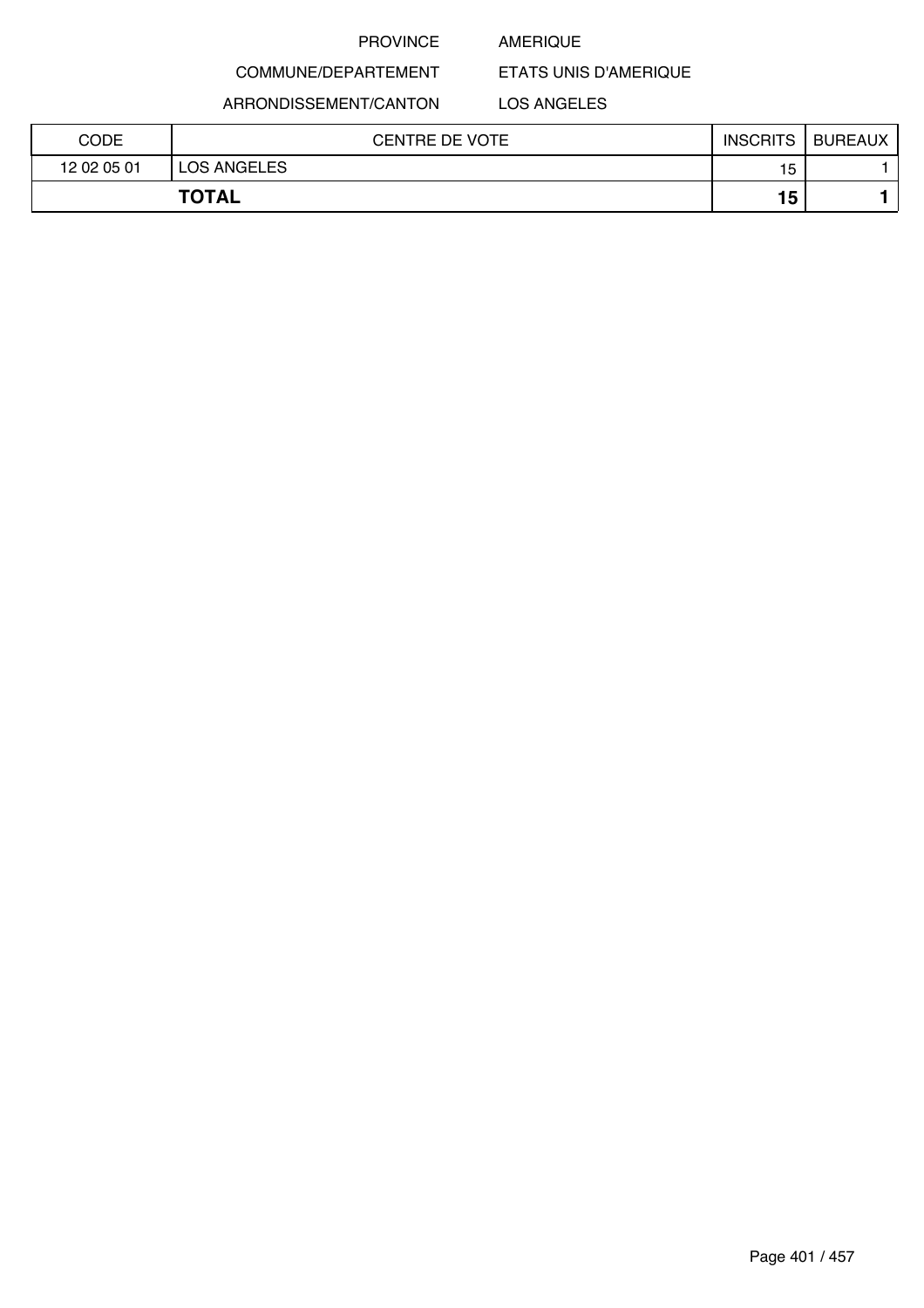### AMERIQUE

COMMUNE/DEPARTEMENT

ARRONDISSEMENT/CANTON

LOS ANGELES

ETATS UNIS D'AMERIQUE

| CODE        | CENTRE DE VOTE     | <b>INSCRITS</b> | <b>BUREAUX</b> |
|-------------|--------------------|-----------------|----------------|
| 12 02 05 01 | <b>LOS ANGELES</b> | 15              |                |
|             | <b>TOTAL</b>       | 15              |                |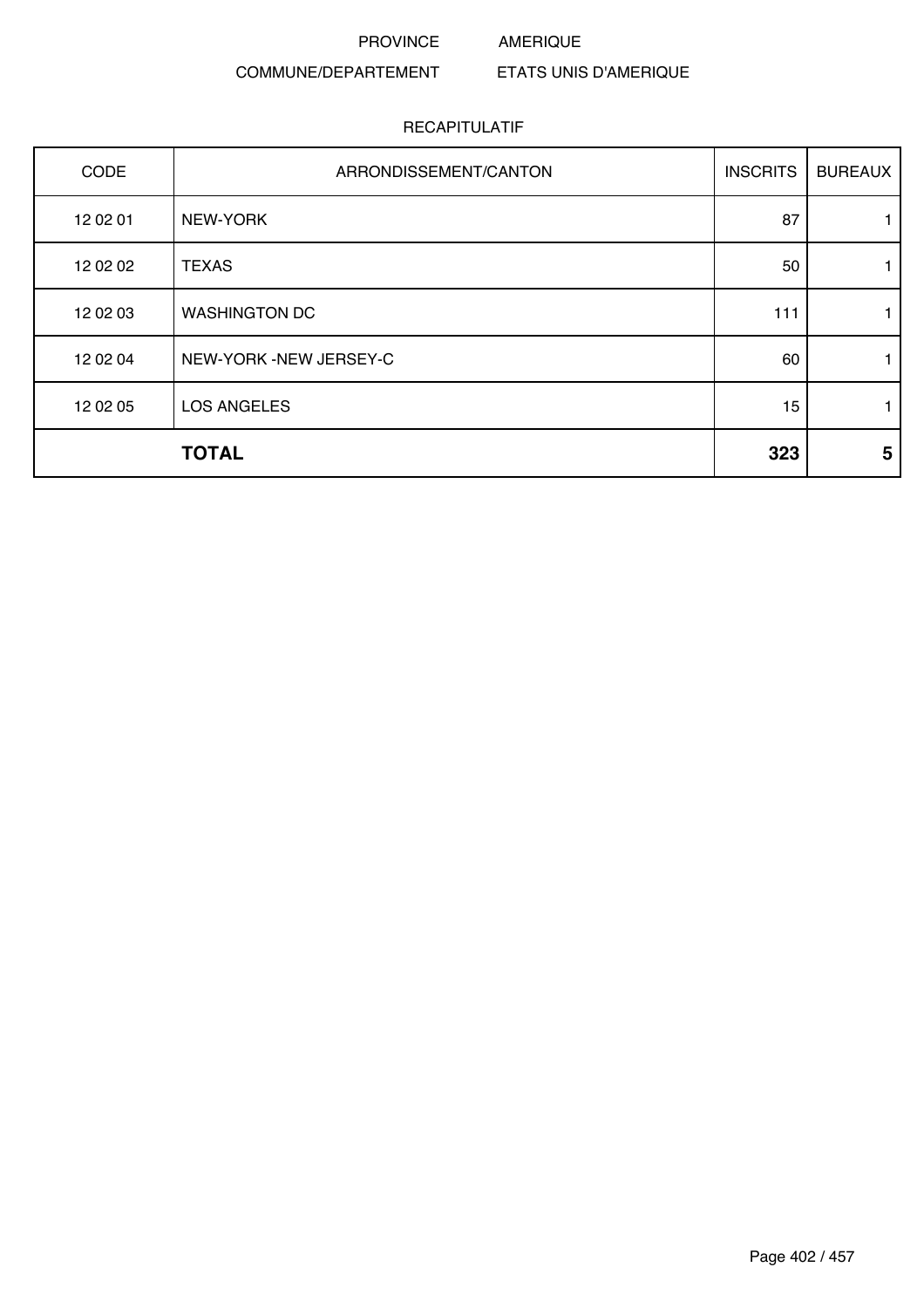PROVINCE AMERIQUE

### COMMUNE/DEPARTEMENT ETATS UNIS D'AMERIQUE

| CODE     | ARRONDISSEMENT/CANTON  | <b>INSCRITS</b> | <b>BUREAUX</b> |
|----------|------------------------|-----------------|----------------|
| 12 02 01 | NEW-YORK               | 87              |                |
| 12 02 02 | <b>TEXAS</b>           | 50              | 1.             |
| 12 02 03 | <b>WASHINGTON DC</b>   | 111             |                |
| 12 02 04 | NEW-YORK -NEW JERSEY-C | 60              |                |
| 12 02 05 | <b>LOS ANGELES</b>     | 15              | 1.             |
|          | <b>TOTAL</b>           | 323             | 5              |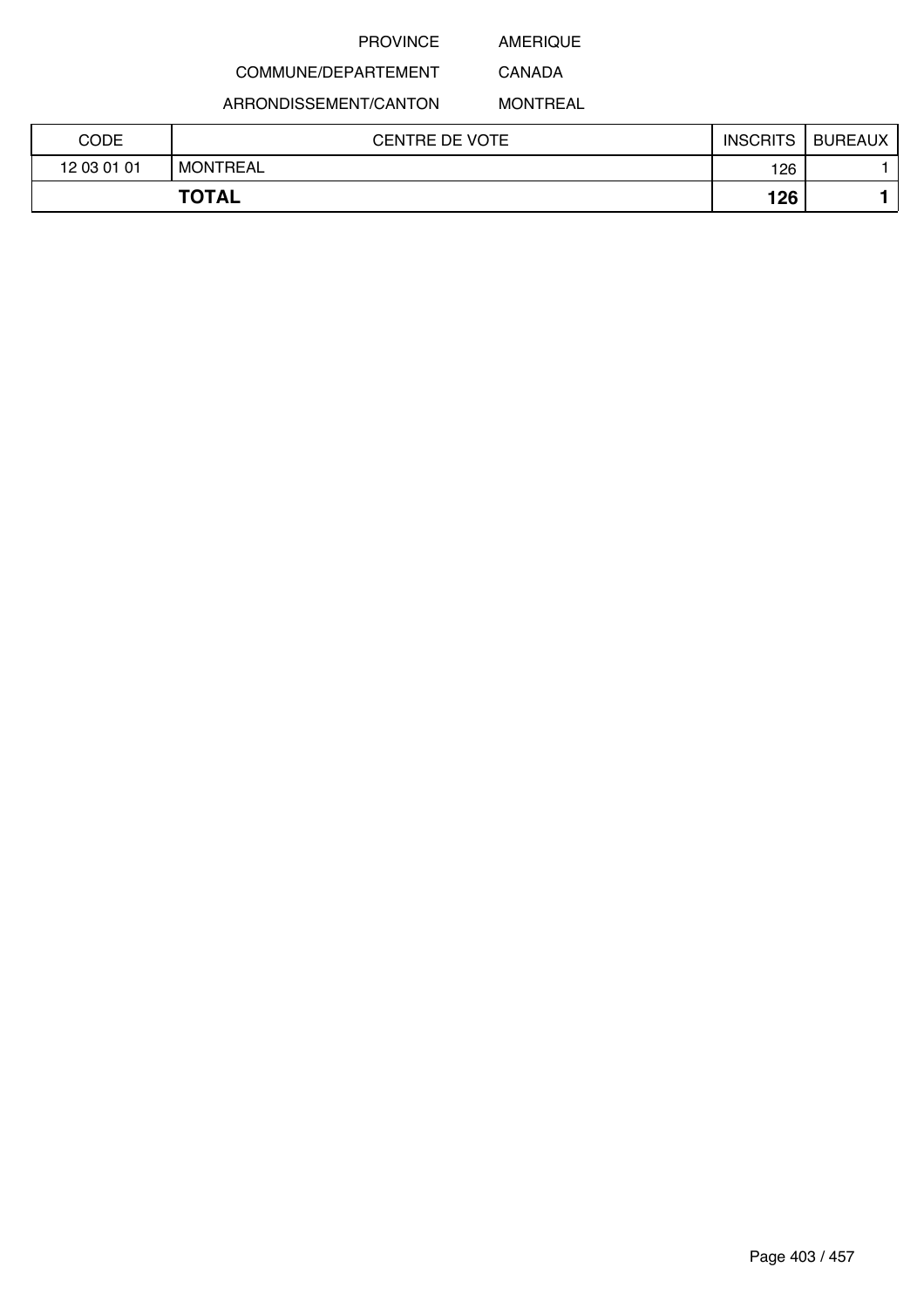## AMERIQUE CANADA

## COMMUNE/DEPARTEMENT

ARRONDISSEMENT/CANTON

MONTREAL

| CODE        | <b>CENTRE DE VOTE</b> | <b>INSCRITS</b> | <b>BUREAUX</b> |
|-------------|-----------------------|-----------------|----------------|
| 12 03 01 01 | <b>MONTREAL</b>       | 126             |                |
|             | <b>TOTAL</b>          | 126             |                |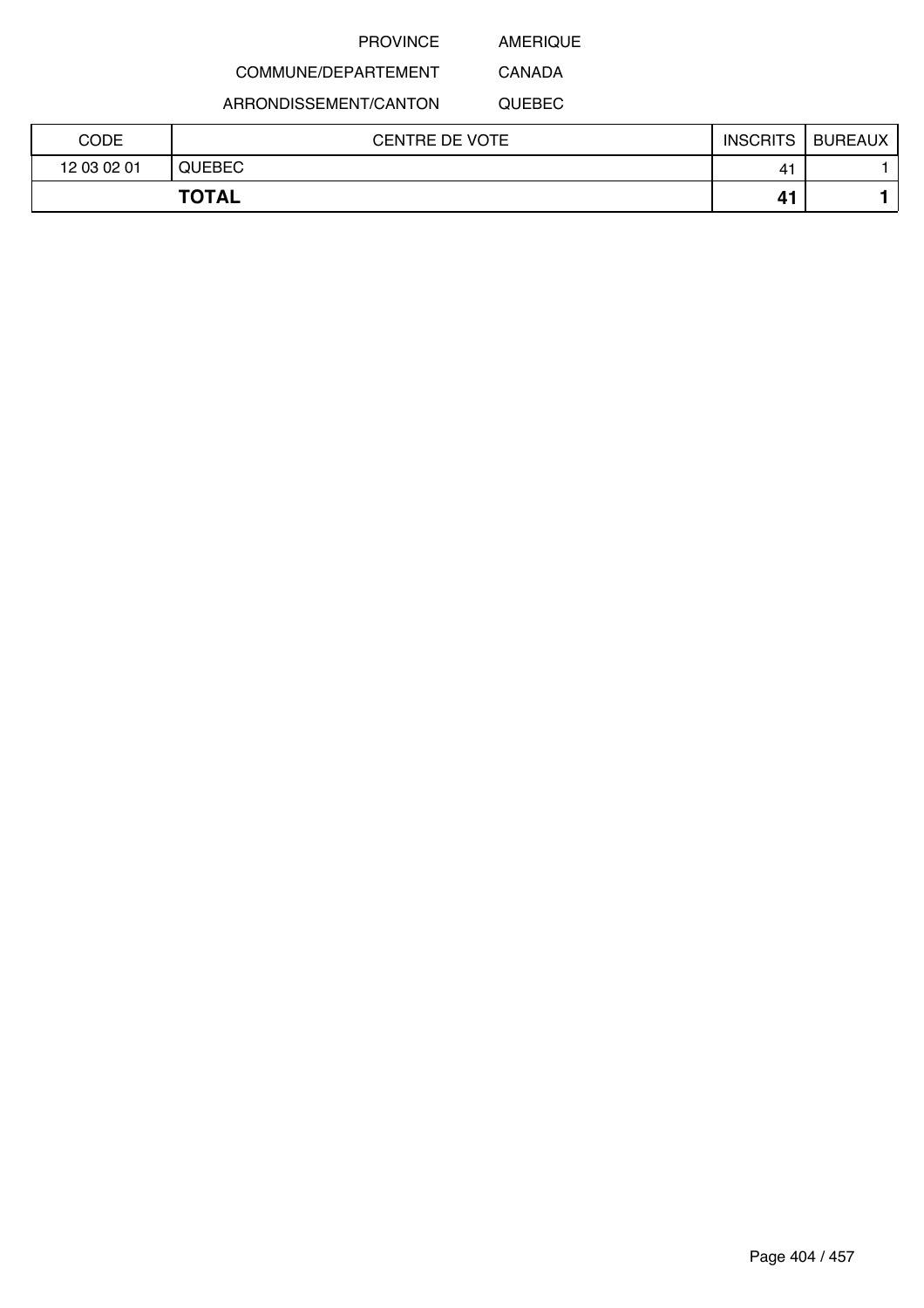AMERIQUE CANADA

## COMMUNE/DEPARTEMENT

ARRONDISSEMENT/CANTON

QUEBEC

| CODE        | <b>CENTRE DE VOTE</b> | <b>INSCRITS</b> | <b>BUREAUX</b> |
|-------------|-----------------------|-----------------|----------------|
| 12 03 02 01 | <b>QUEBEC</b>         | 4'              |                |
|             | <b>TOTAL</b>          | 41              |                |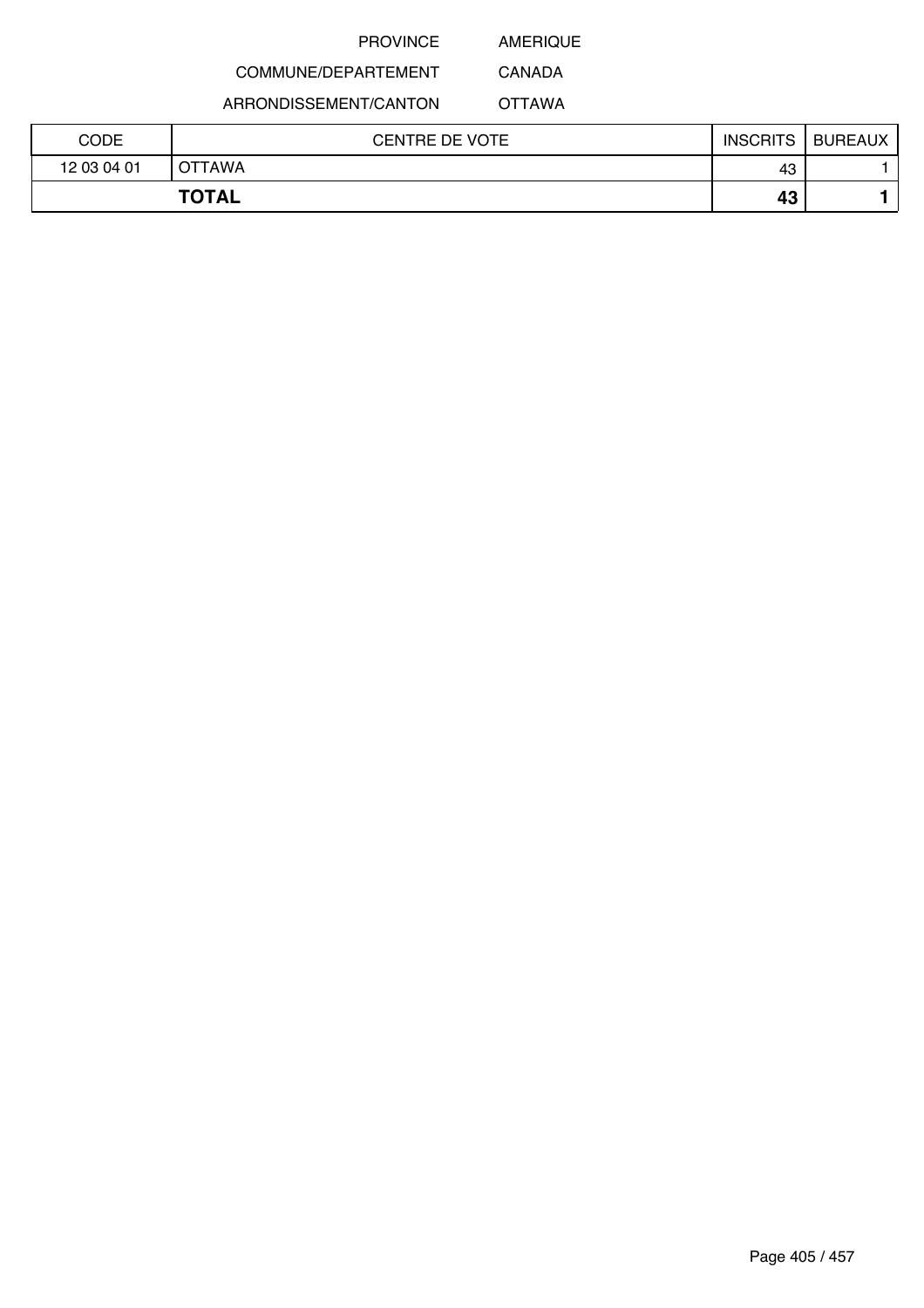AMERIQUE CANADA

## COMMUNE/DEPARTEMENT

ARRONDISSEMENT/CANTON

OTTAWA

| CODE        | <b>CENTRE DE VOTE</b> | <b>INSCRITS</b> | <b>BUREAUX</b> |
|-------------|-----------------------|-----------------|----------------|
| 12 03 04 01 | OTTAWA                | 43              |                |
|             | <b>TOTAL</b>          | 43              |                |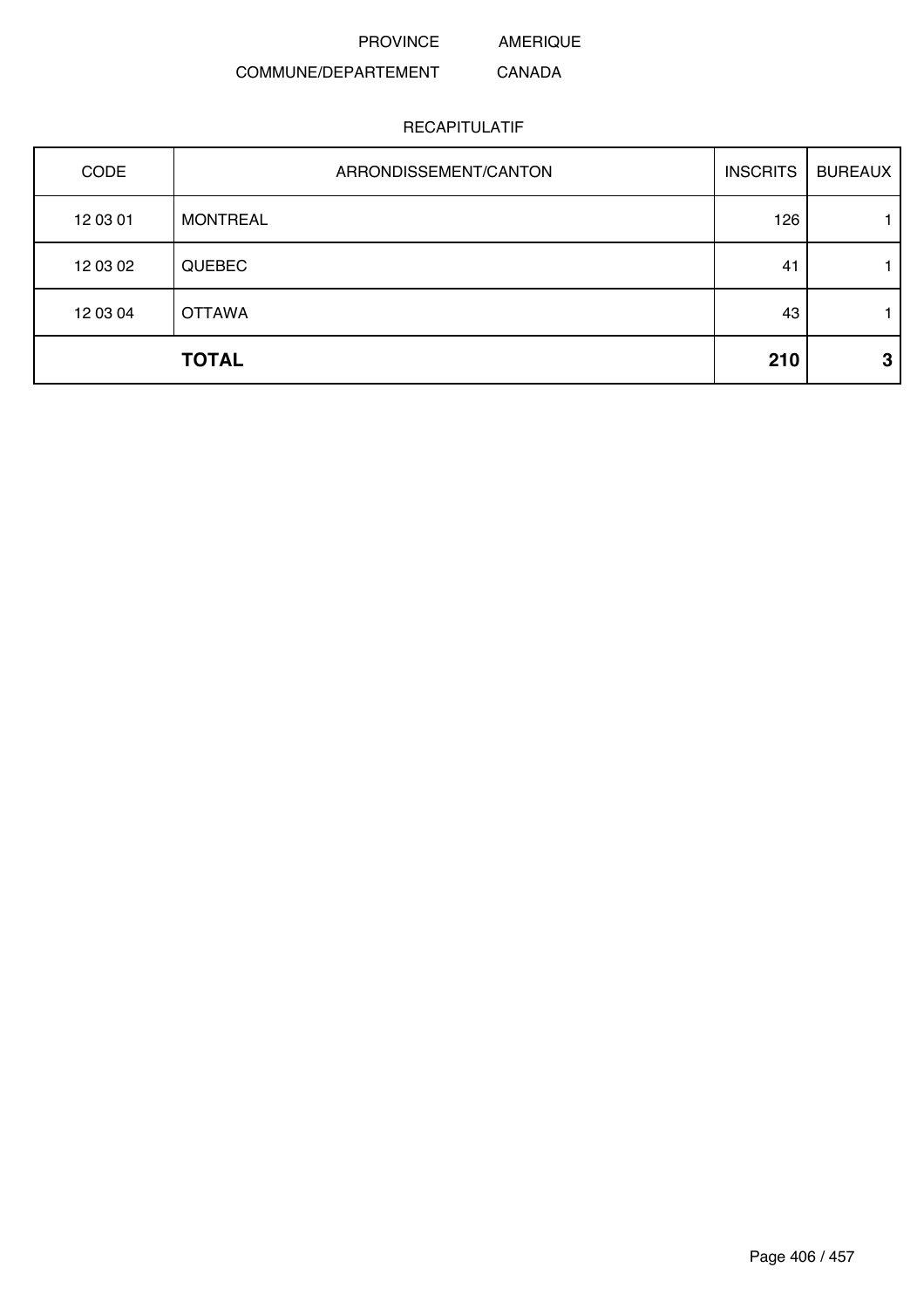PROVINCE AMERIQUE

#### COMMUNE/DEPARTEMENT CANADA

### RECAPITULATIF

| CODE     | ARRONDISSEMENT/CANTON | <b>INSCRITS</b> | <b>BUREAUX</b> |
|----------|-----------------------|-----------------|----------------|
| 12 03 01 | <b>MONTREAL</b>       | 126             |                |
| 12 03 02 | <b>QUEBEC</b>         | 41              |                |
| 12 03 04 | <b>OTTAWA</b>         | 43              |                |
|          | <b>TOTAL</b>          | 210             | 3              |

Page 406 / 457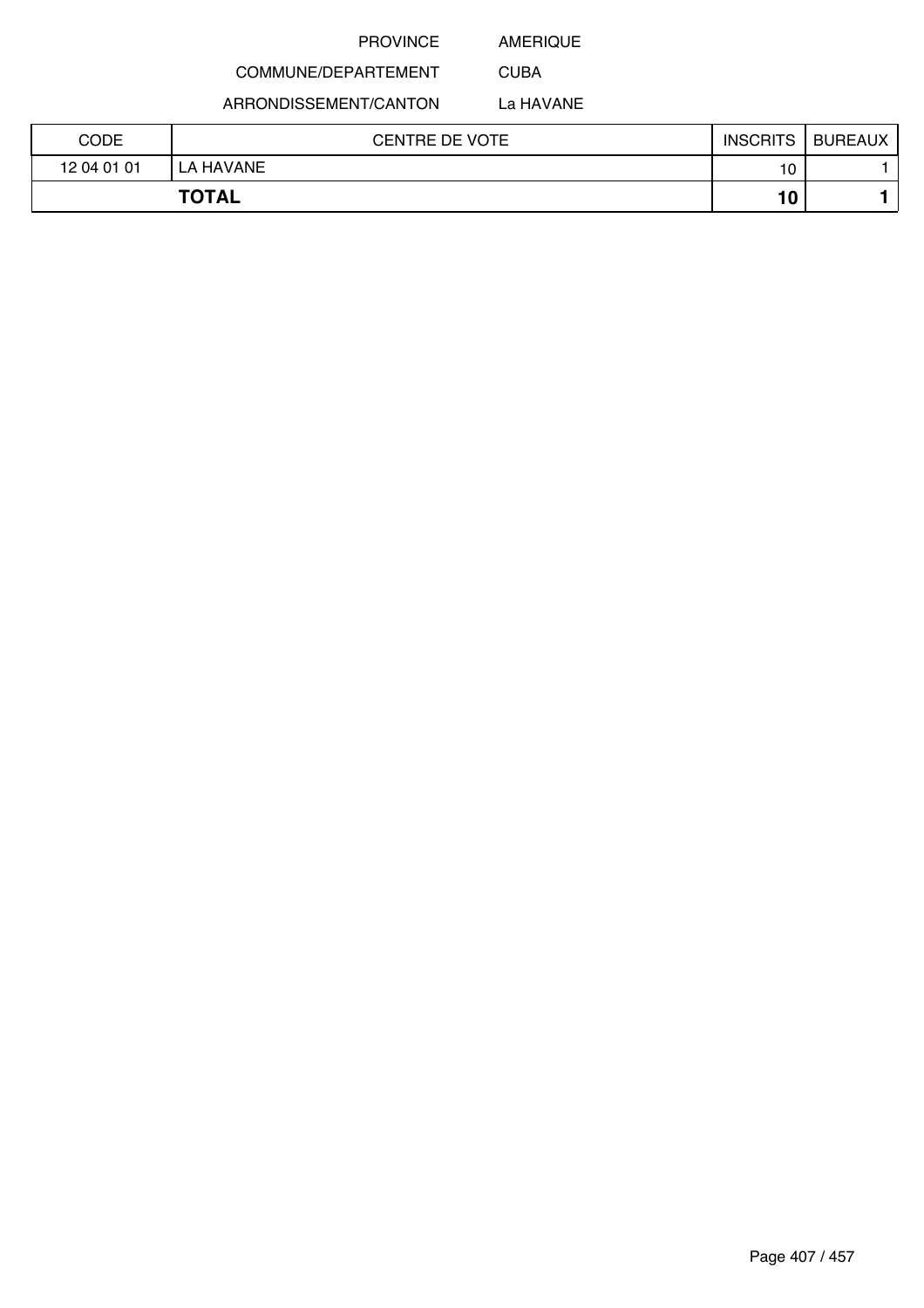AMERIQUE

CUBA

## COMMUNE/DEPARTEMENT

ARRONDISSEMENT/CANTON

La HAVANE

| CODE        | <b>CENTRE DE VOTE</b> | <b>INSCRITS</b> | <b>BUREAUX</b> |
|-------------|-----------------------|-----------------|----------------|
| 12 04 01 01 | LA HAVANE             | 10              |                |
|             | <b>TOTAL</b>          | 10              |                |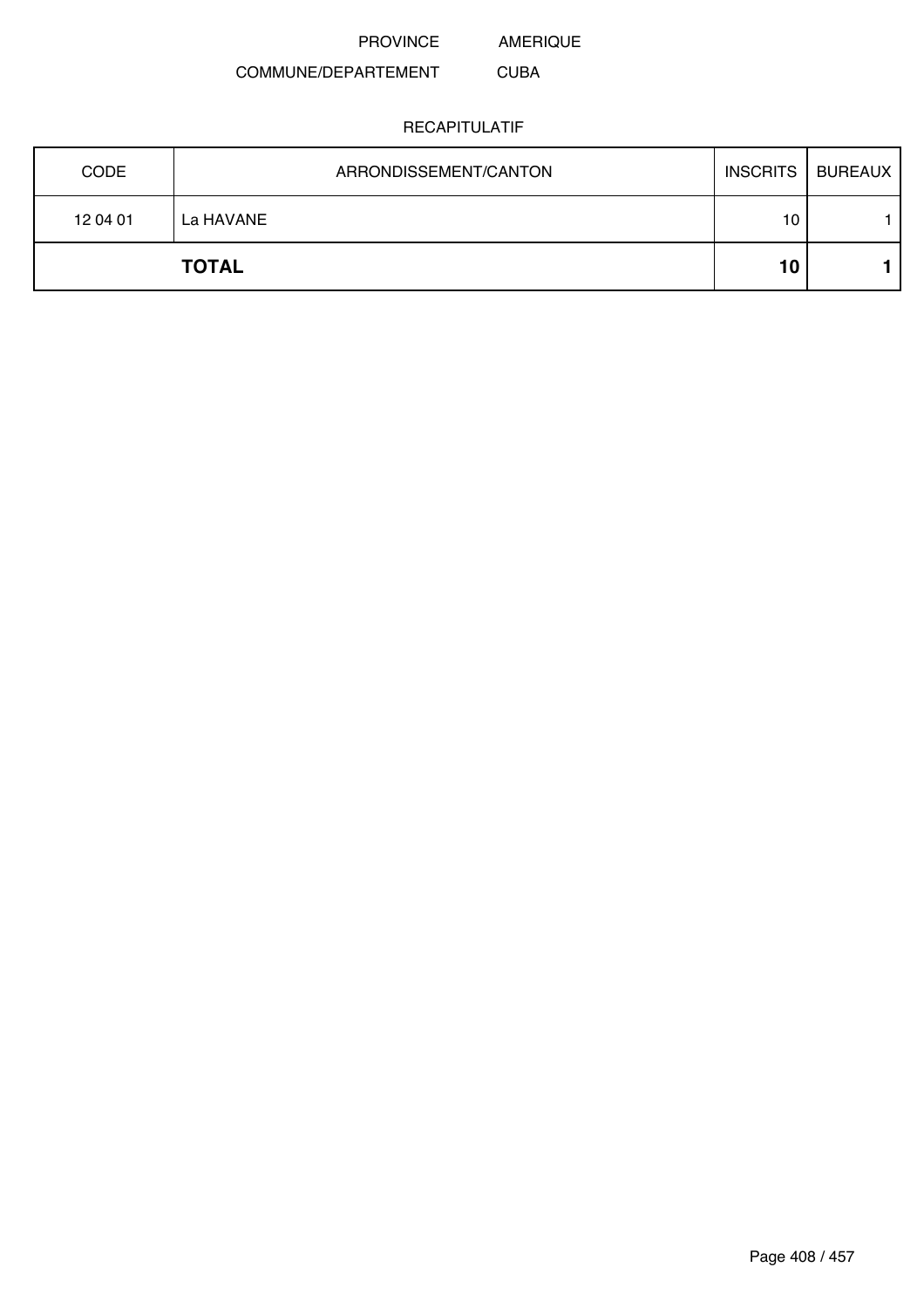AMERIQUE

#### COMMUNE/DEPARTEMENT CUBA

| <b>CODE</b> | ARRONDISSEMENT/CANTON | <b>INSCRITS</b> | <b>BUREAUX</b> |
|-------------|-----------------------|-----------------|----------------|
| 12 04 01    | La HAVANE             | 10              |                |
|             | <b>TOTAL</b>          | 10              |                |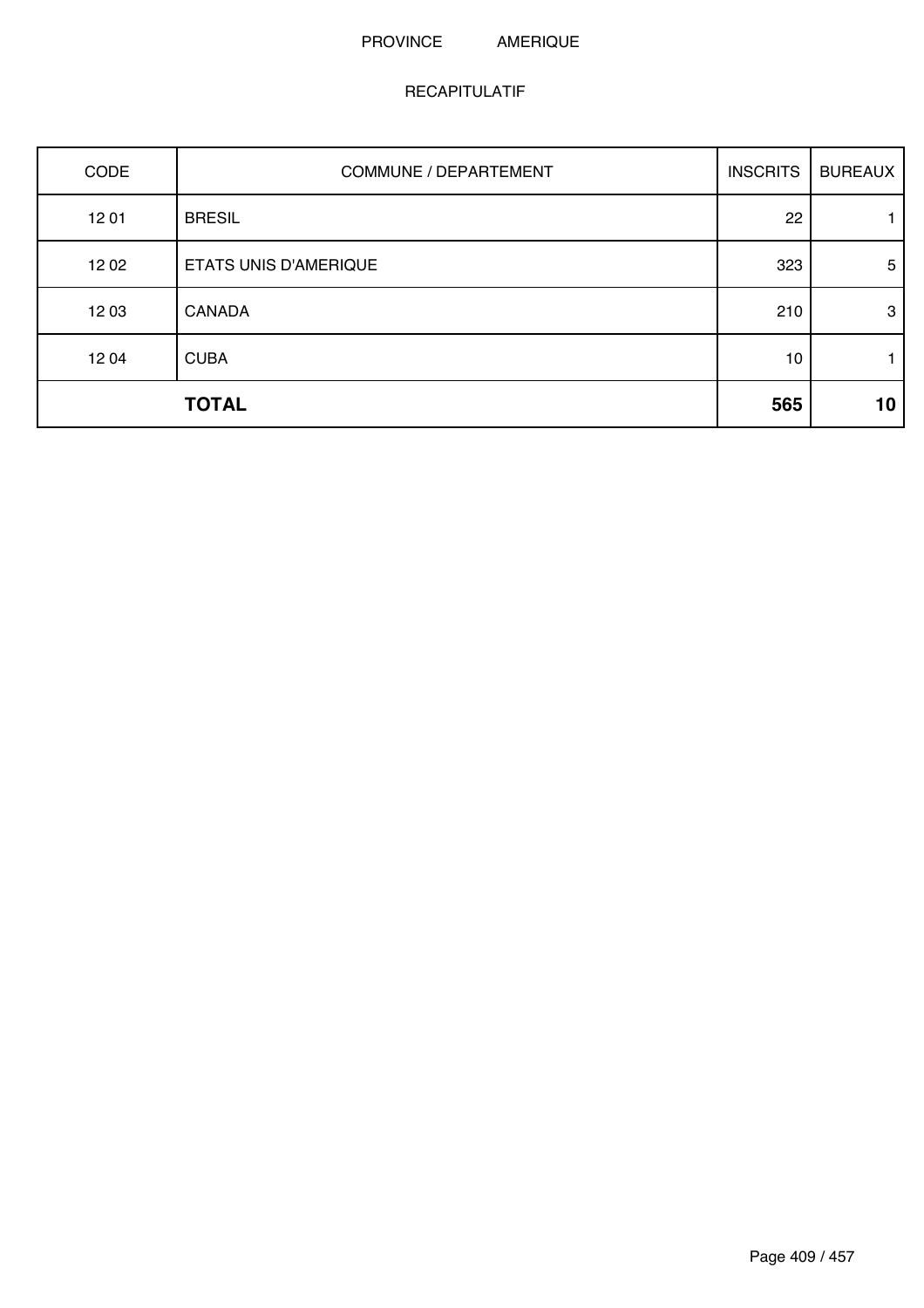### PROVINCE AMERIQUE

| CODE  | COMMUNE / DEPARTEMENT        | <b>INSCRITS</b> | <b>BUREAUX</b> |
|-------|------------------------------|-----------------|----------------|
| 1201  | <b>BRESIL</b>                | 22              |                |
| 12 02 | <b>ETATS UNIS D'AMERIQUE</b> | 323             | 5              |
| 12 03 | <b>CANADA</b>                | 210             | 3              |
| 1204  | <b>CUBA</b>                  | 10              |                |
|       | <b>TOTAL</b>                 | 565             | 10             |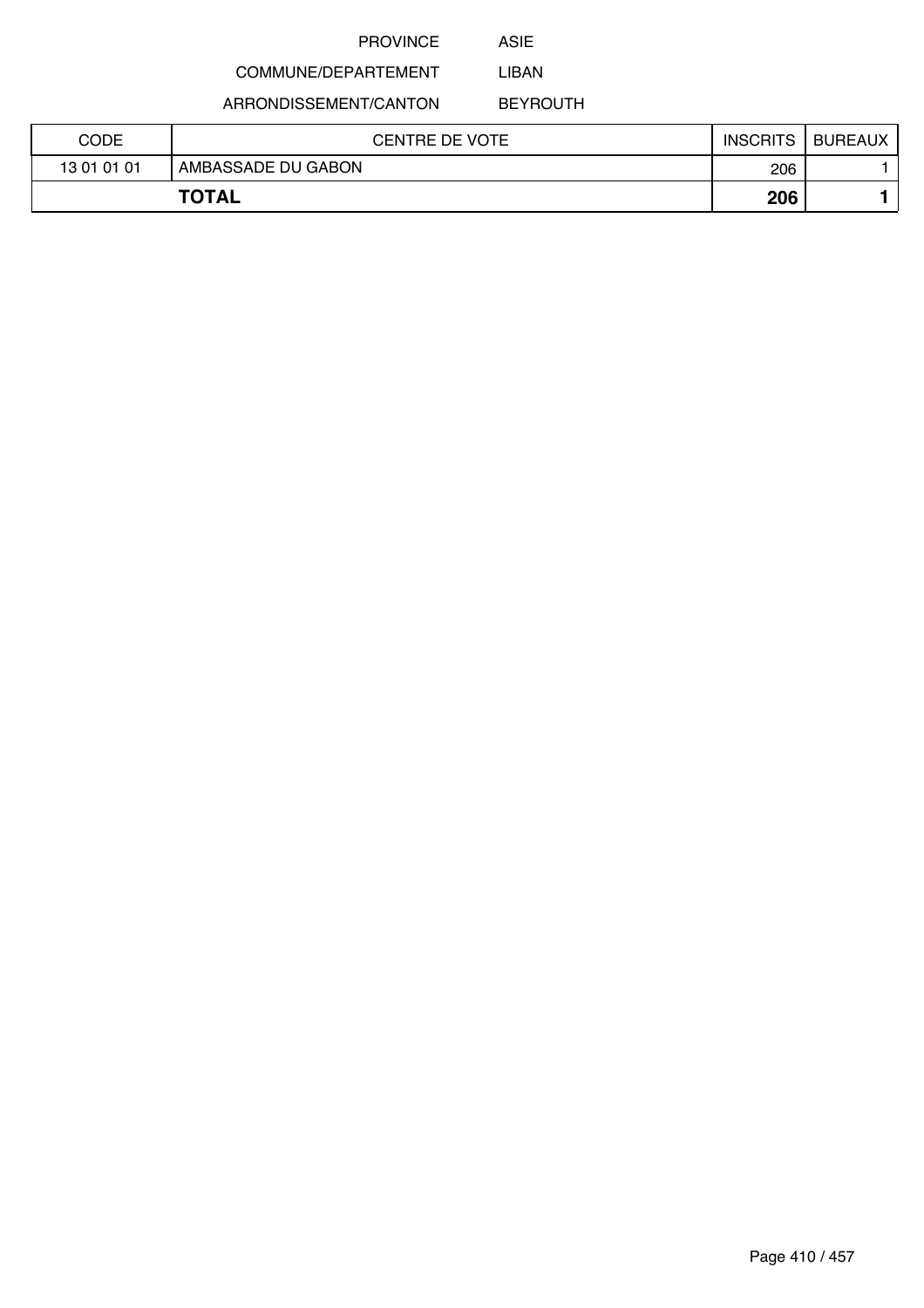ASIE

#### COMMUNE/DEPARTEMENT LIBAN

ARRONDISSEMENT/CANTON

BEYROUTH

| CODE        | CENTRE DE VOTE     | <b>INSCRITS</b> | <b>BUREAUX</b> |
|-------------|--------------------|-----------------|----------------|
| 13 01 01 01 | AMBASSADE DU GABON | 206             |                |
|             | <b>TOTAL</b>       | 206             |                |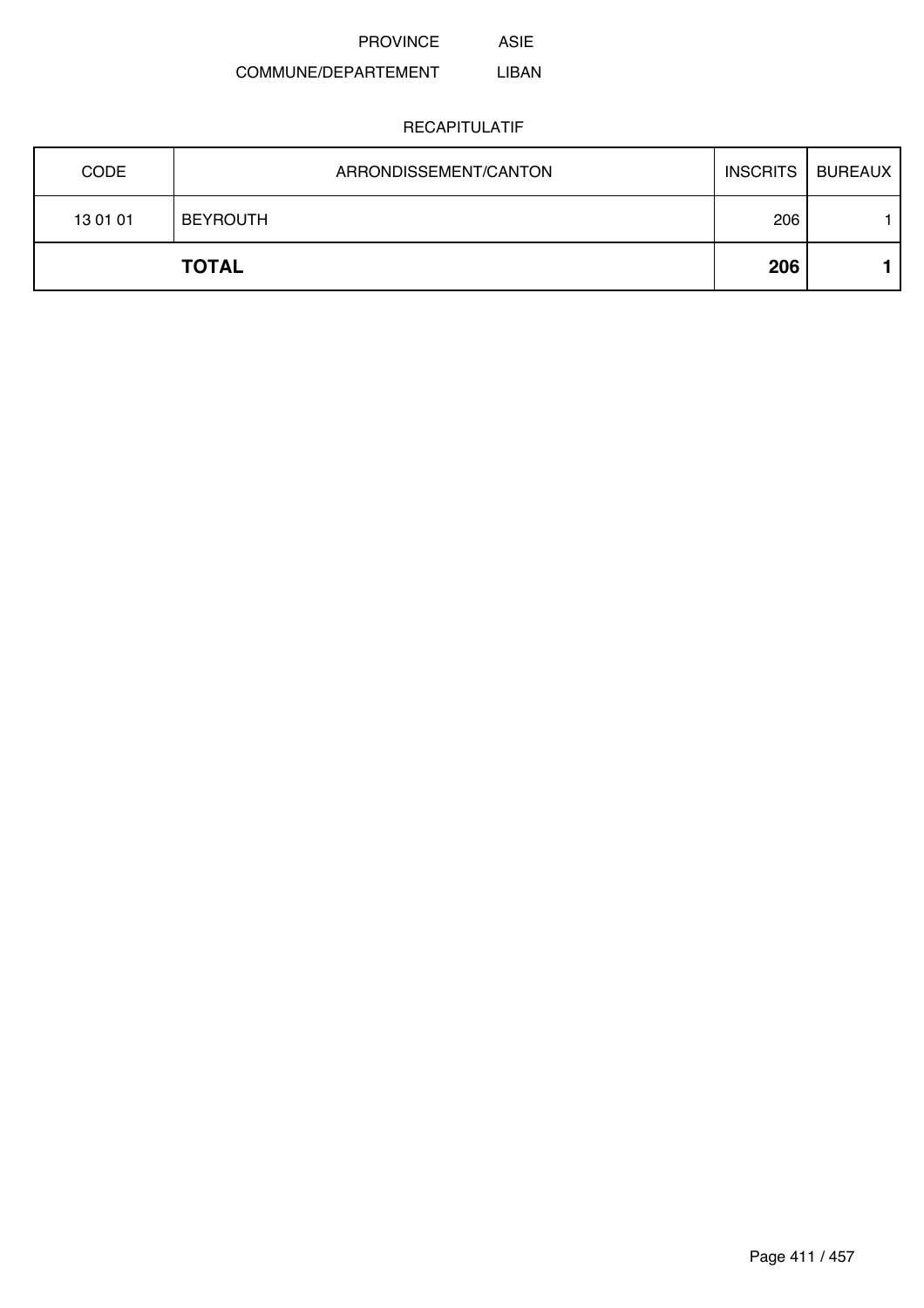PROVINCE ASIE

#### COMMUNE/DEPARTEMENT LIBAN

| 13 01 01    | <b>BEYROUTH</b><br><b>TOTAL</b> | 206<br>206 |                           |
|-------------|---------------------------------|------------|---------------------------|
| <b>CODE</b> | ARRONDISSEMENT/CANTON           |            | <b>INSCRITS   BUREAUX</b> |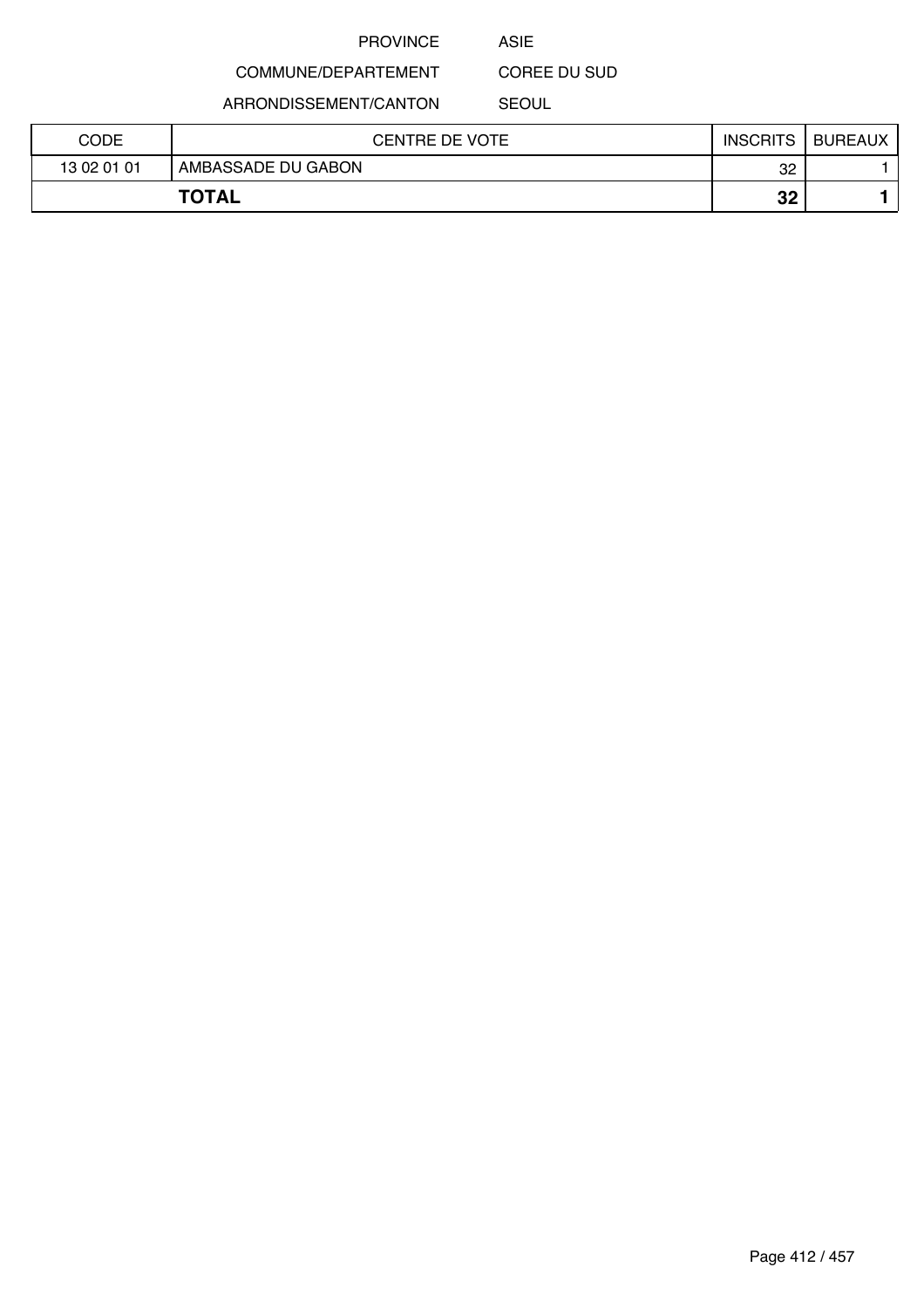ASIE

COREE DU SUD

ARRONDISSEMENT/CANTON

COMMUNE/DEPARTEMENT

SEOUL

| CODE         | CENTRE DE VOTE     | <b>INSCRITS</b> | <b>BUREAUX</b> |
|--------------|--------------------|-----------------|----------------|
| 13 02 01 01  | AMBASSADE DU GABON | 32              |                |
| <b>TOTAL</b> |                    | ດດ<br>JZ        |                |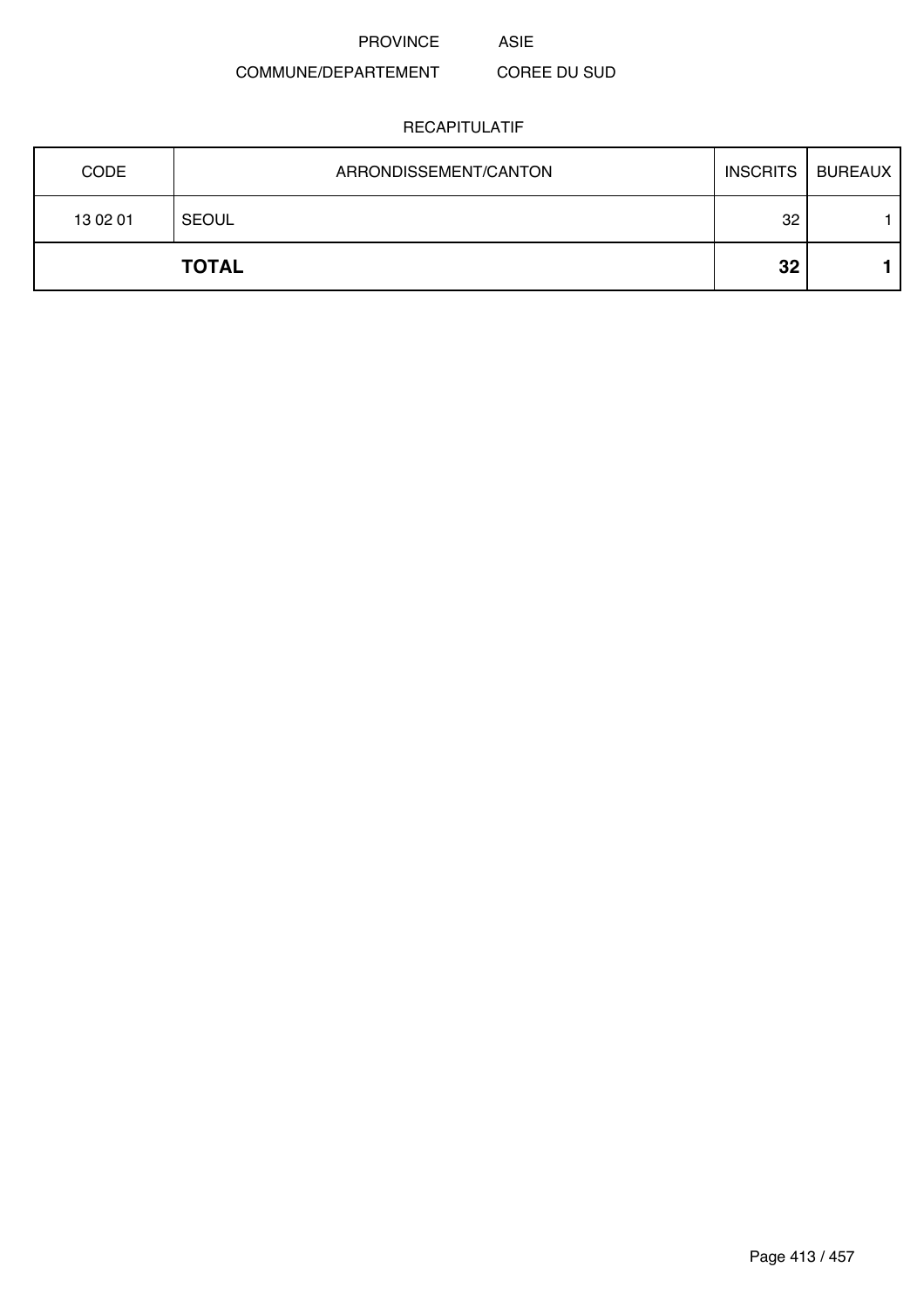PROVINCE ASIE

### COMMUNE/DEPARTEMENT COREE DU SUD

| <b>CODE</b> | ARRONDISSEMENT/CANTON | <b>INSCRITS</b> | <b>BUREAUX</b> |
|-------------|-----------------------|-----------------|----------------|
| 13 02 01    | <b>SEOUL</b>          | 32              |                |
|             | <b>TOTAL</b>          | 32              |                |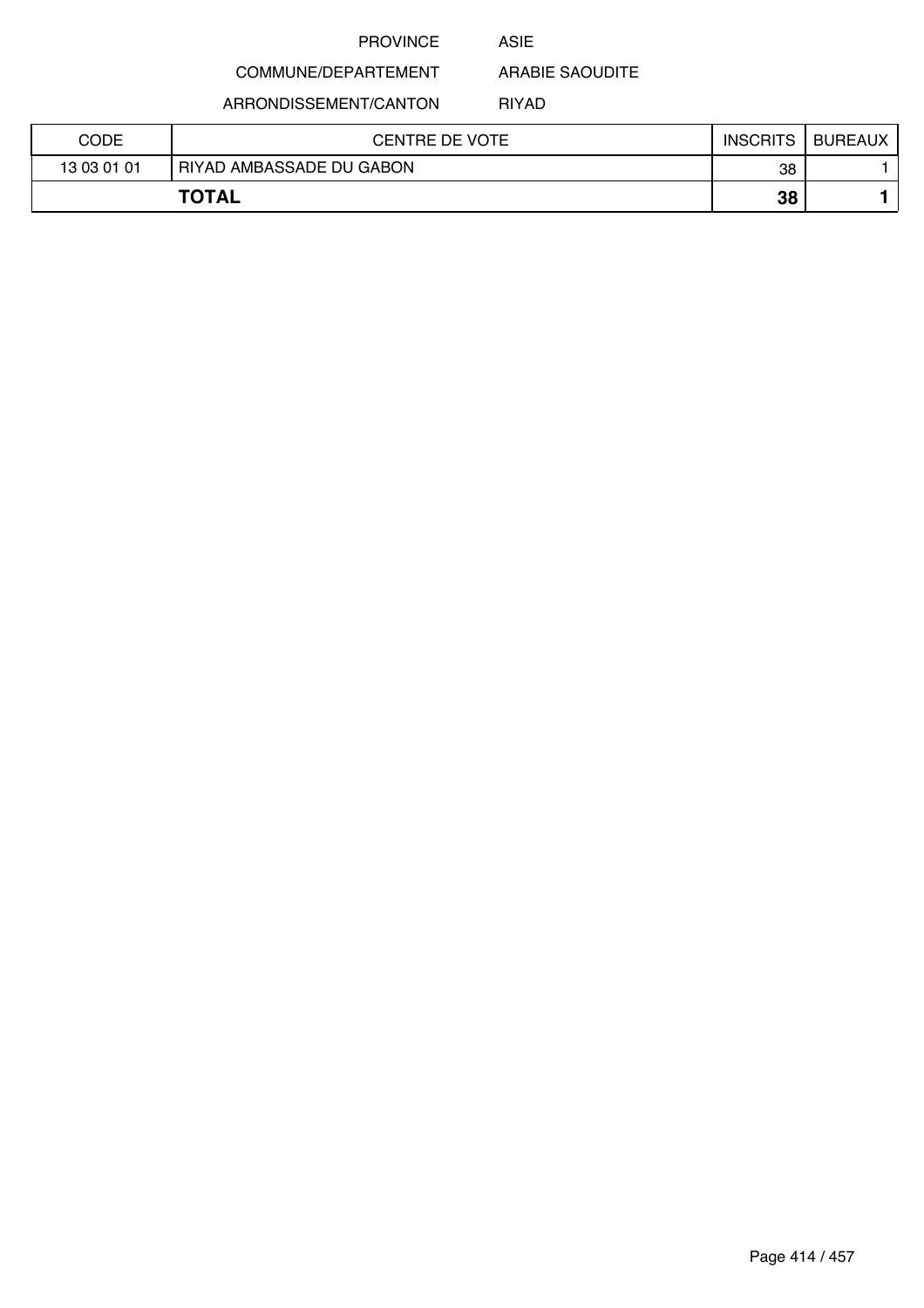ASIE

ARABIE SAOUDITE

ARRONDISSEMENT/CANTON

COMMUNE/DEPARTEMENT

RIYAD

| CODE        | CENTRE DE VOTE           | <b>INSCRITS</b> | <b>BUREAUX</b> |
|-------------|--------------------------|-----------------|----------------|
| 13 03 01 01 | RIYAD AMBASSADE DU GABON | 38              |                |
|             | <b>TOTAL</b>             | 38              |                |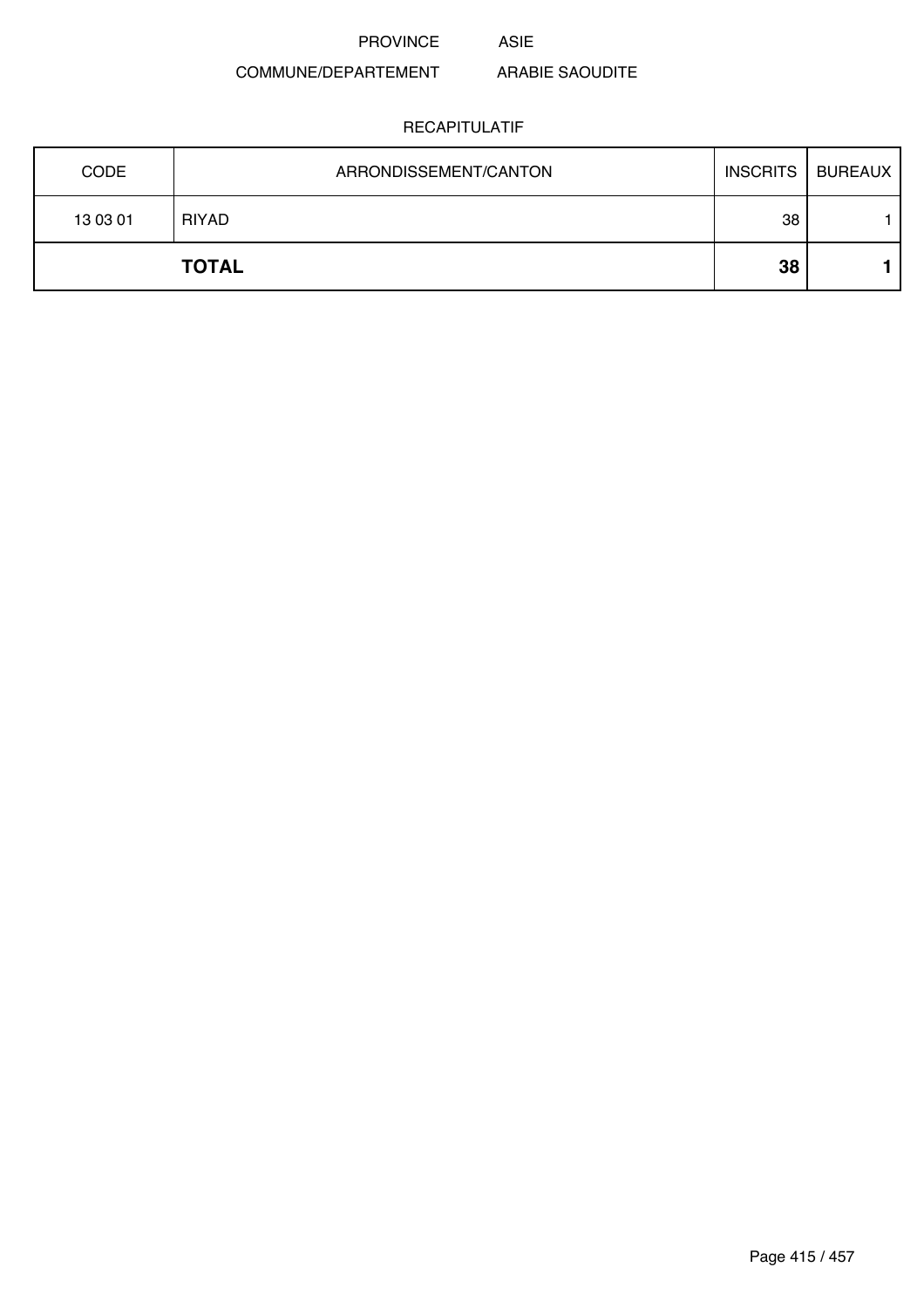PROVINCE ASIE

### COMMUNE/DEPARTEMENT ARABIE SAOUDITE

| <b>CODE</b> | ARRONDISSEMENT/CANTON | <b>INSCRITS</b> | BUREAUX |
|-------------|-----------------------|-----------------|---------|
| 13 03 01    | <b>RIYAD</b>          | 38              |         |
|             | <b>TOTAL</b>          | 38              |         |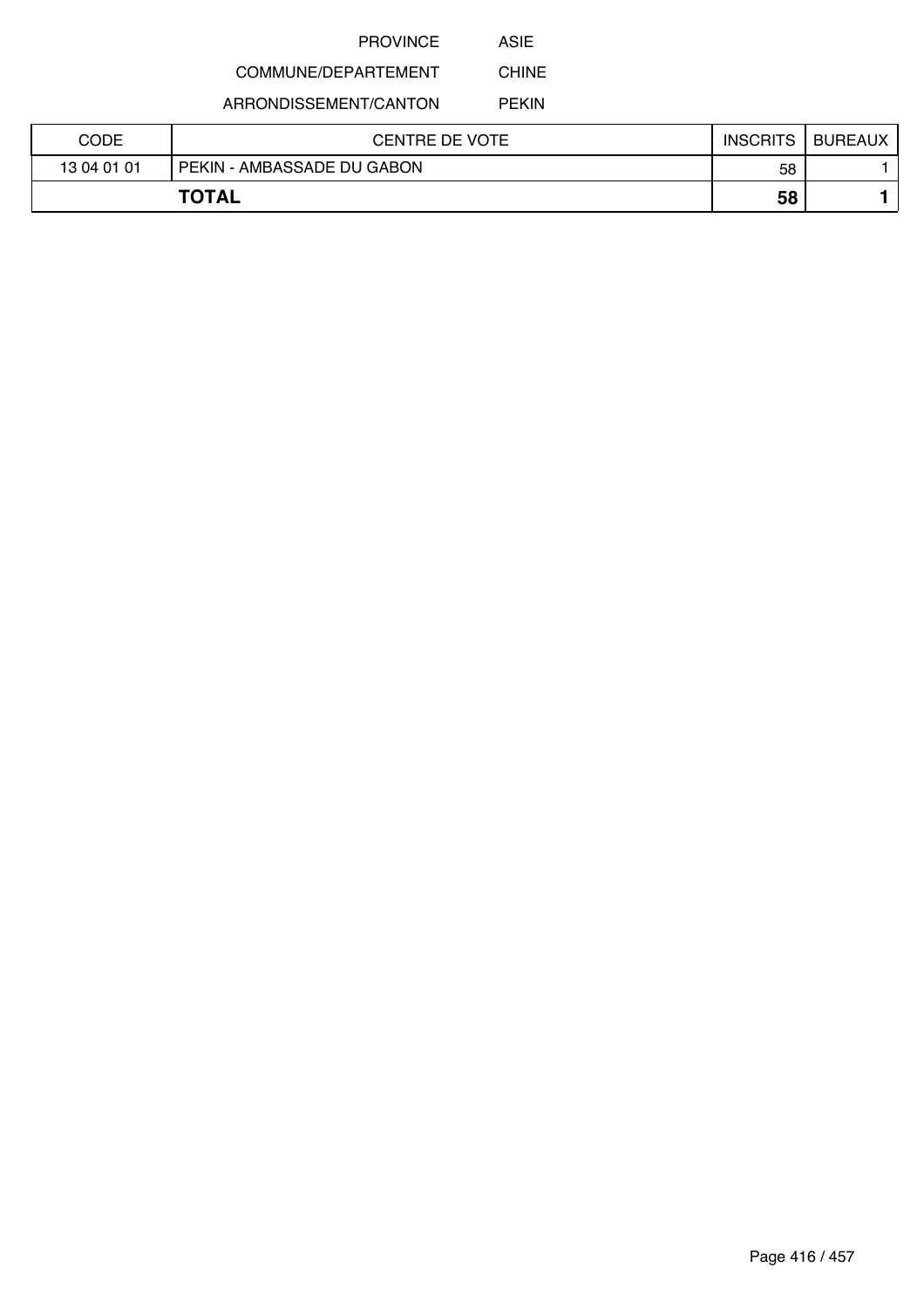ASIE

#### COMMUNE/DEPARTEMENT CHINE

ARRONDISSEMENT/CANTON

PEKIN

| CODE        | <b>CENTRE DE VOTE</b>      | <b>INSCRITS</b> | <b>BUREAUX</b> |
|-------------|----------------------------|-----------------|----------------|
| 13 04 01 01 | PEKIN - AMBASSADE DU GABON | 58              |                |
|             | <b>TOTAL</b>               | 58              |                |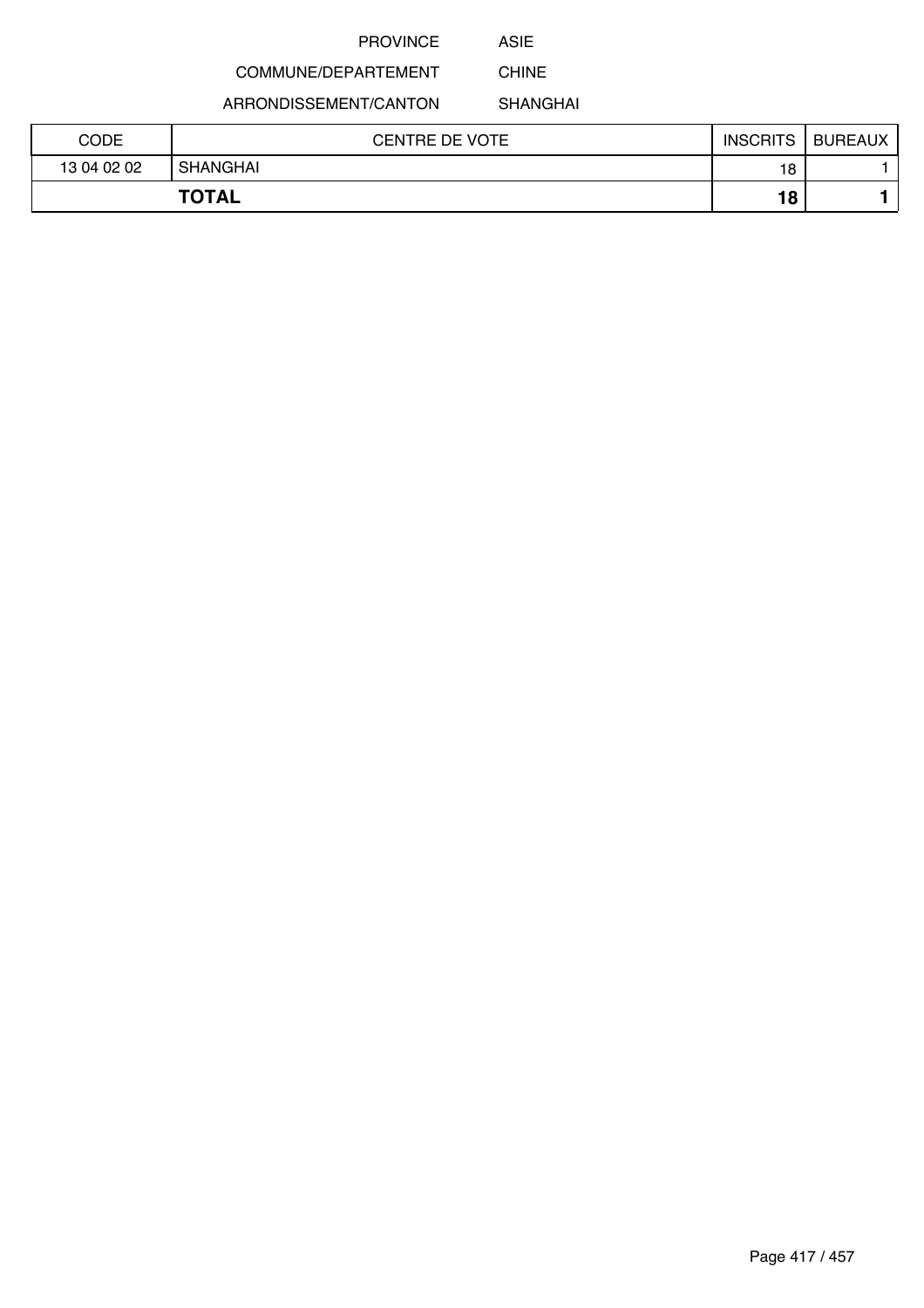ASIE

## COMMUNE/DEPARTEMENT

ARRONDISSEMENT/CANTON

SHANGHAI

CHINE

| CODE        | <b>CENTRE DE VOTE</b> | <b>INSCRITS</b> | <b>BUREAUX</b> |
|-------------|-----------------------|-----------------|----------------|
| 13 04 02 02 | SHANGHAI              | 18              |                |
|             | <b>TOTAL</b>          | 18              |                |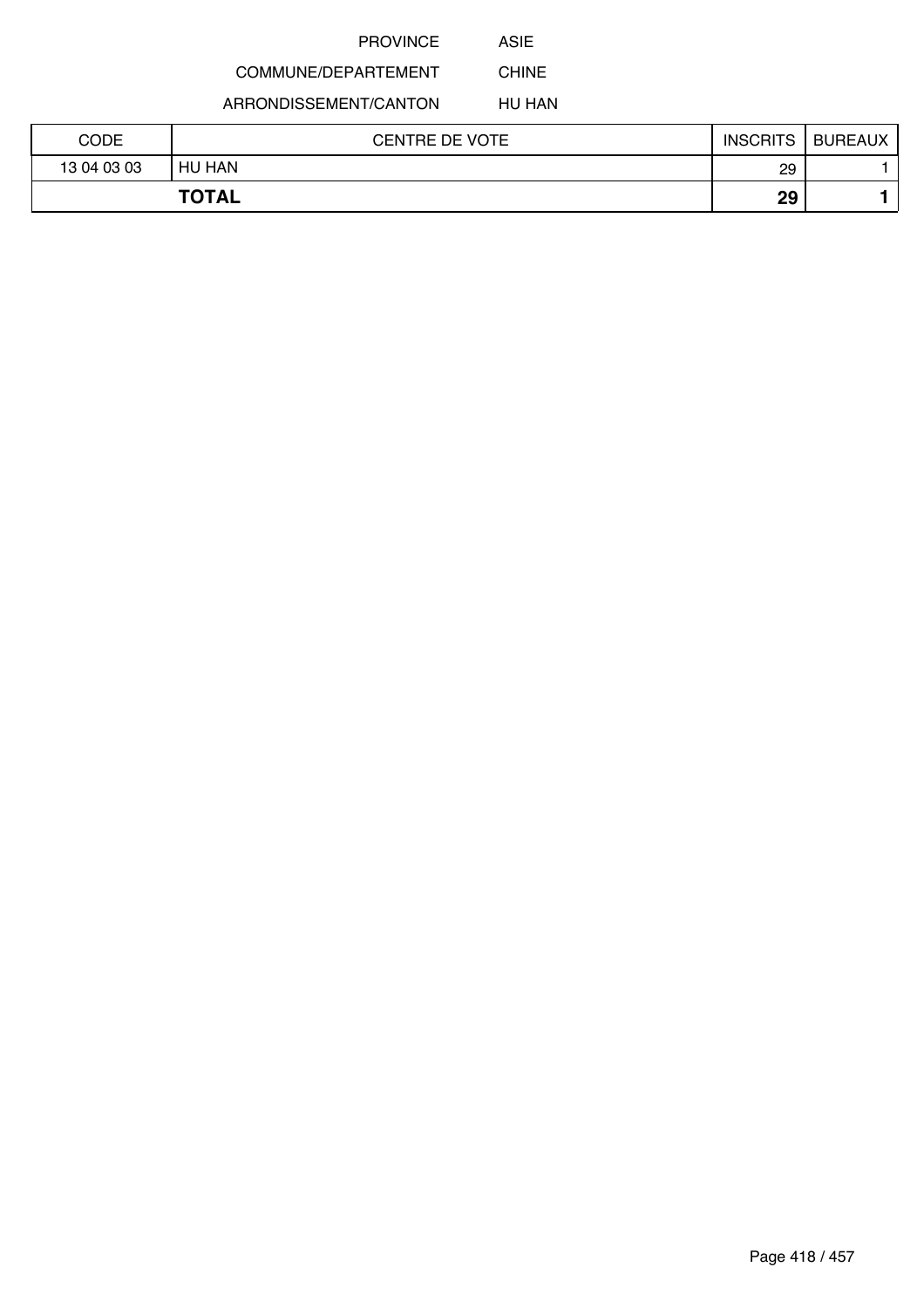ASIE

# COMMUNE/DEPARTEMENT

ARRONDISSEMENT/CANTON

HU HAN

CHINE

| CODE        | <b>CENTRE DE VOTE</b> | <b>INSCRITS</b> | <b>BUREAUX</b> |
|-------------|-----------------------|-----------------|----------------|
| 13 04 03 03 | HU HAN                | 29              |                |
|             | <b>TOTAL</b>          | 29              |                |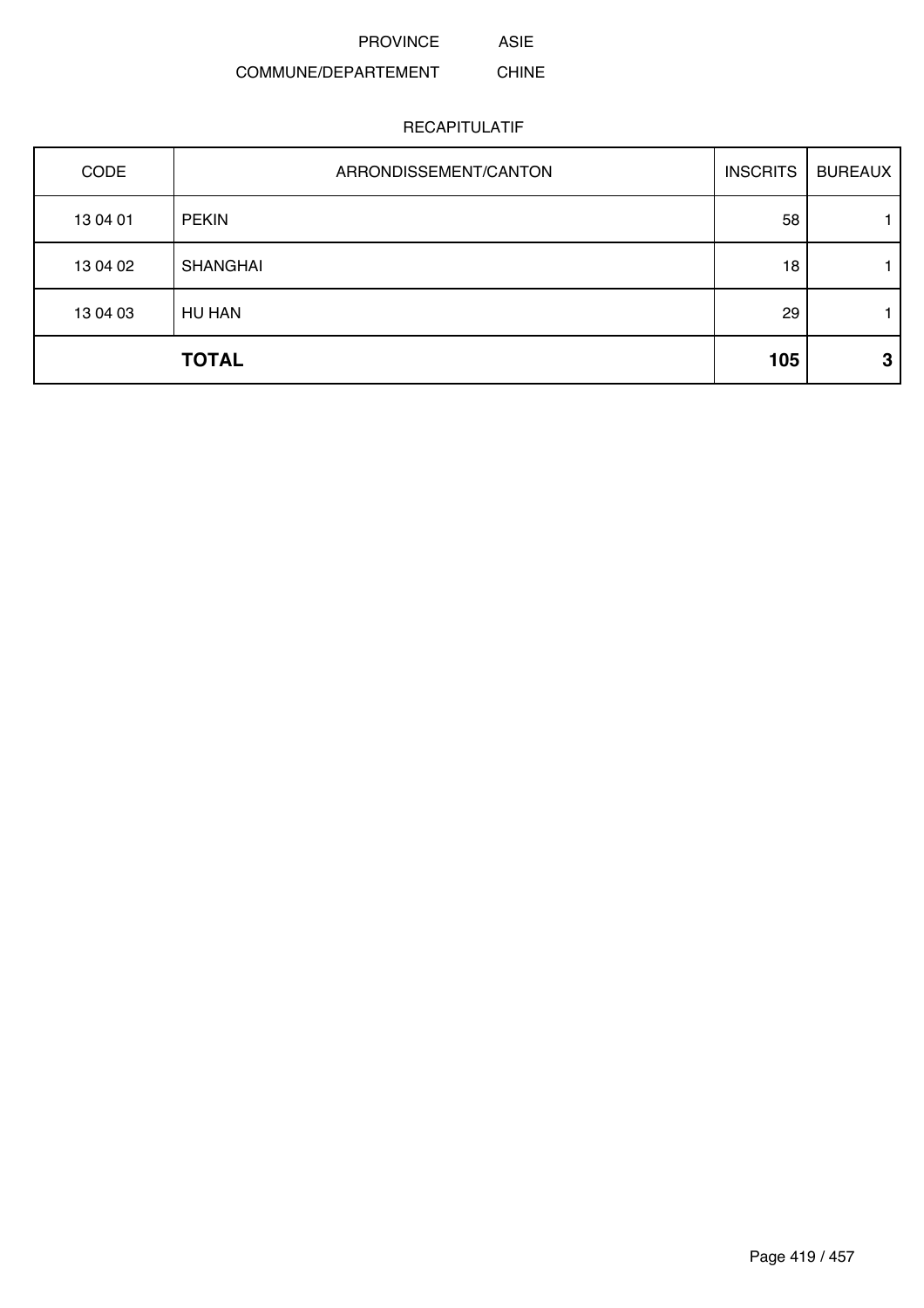#### COMMUNE/DEPARTEMENT CHINE

### RECAPITULATIF

ASIE

| CODE     | ARRONDISSEMENT/CANTON | <b>INSCRITS</b> | <b>BUREAUX</b> |
|----------|-----------------------|-----------------|----------------|
| 13 04 01 | <b>PEKIN</b>          | 58              |                |
| 13 04 02 | <b>SHANGHAI</b>       | 18              |                |
| 13 04 03 | <b>HU HAN</b>         | 29              |                |
|          | <b>TOTAL</b>          | 105             | З              |

Page 419 / 457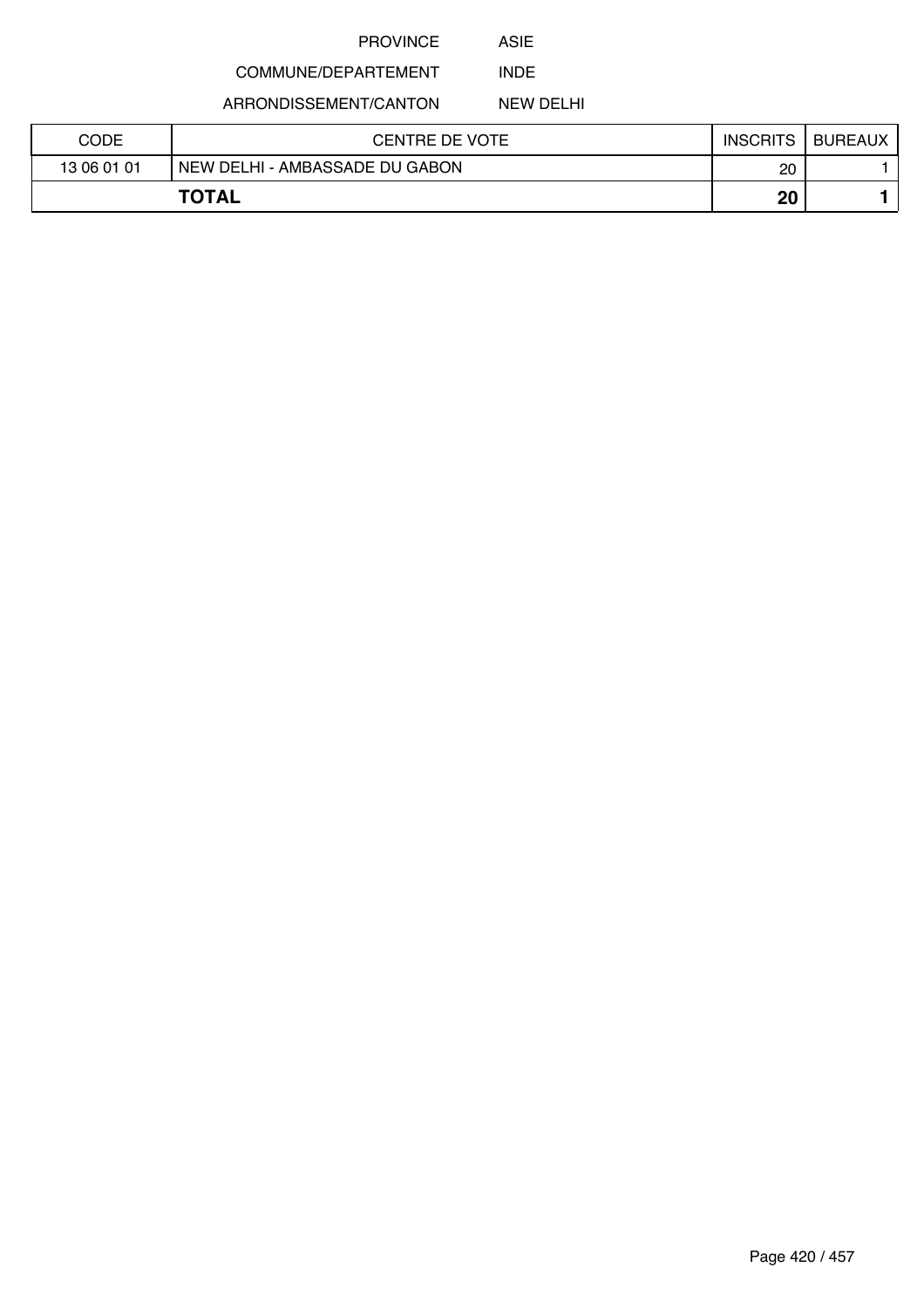ASIE

#### COMMUNE/DEPARTEMENT INDE

ARRONDISSEMENT/CANTON

NEW DELHI

| CODE        | CENTRE DE VOTE                 | <b>INSCRITS</b> | <b>BUREAUX</b> |
|-------------|--------------------------------|-----------------|----------------|
| 13 06 01 01 | NEW DELHI - AMBASSADE DU GABON | 20              |                |
|             | <b>TOTAL</b>                   | 20              |                |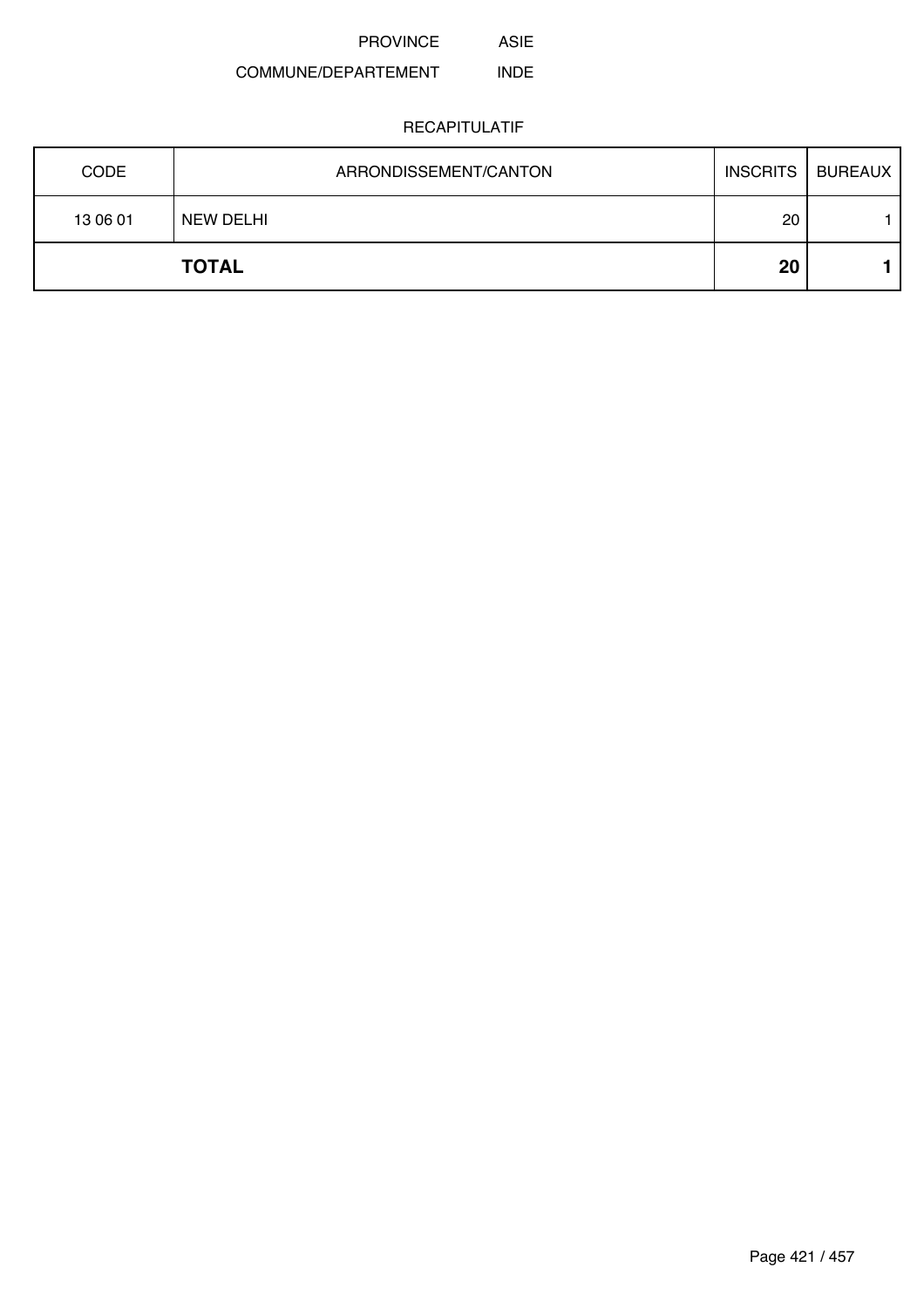PROVINCE ASIE

#### COMMUNE/DEPARTEMENT INDE

| <b>CODE</b> | ARRONDISSEMENT/CANTON |    | INSCRITS   BUREAUX |
|-------------|-----------------------|----|--------------------|
| 13 06 01    | NEW DELHI             | 20 |                    |
|             | <b>TOTAL</b>          | 20 |                    |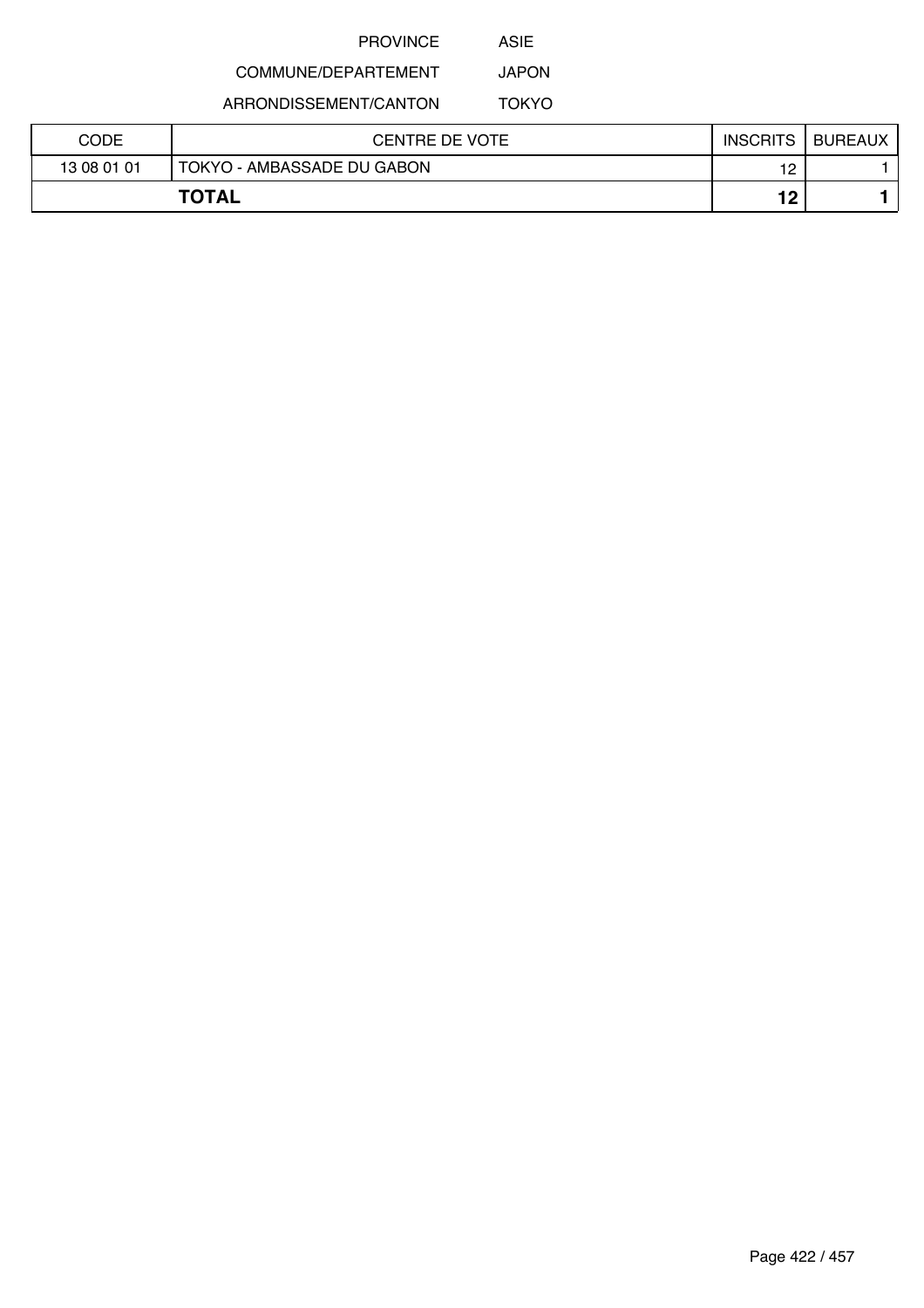ASIE

### COMMUNE/DEPARTEMENT JAPON

ARRONDISSEMENT/CANTON

TOKYO

| CODE        | CENTRE DE VOTE             | <b>INSCRITS</b> | <b>BUREAUX</b> |
|-------------|----------------------------|-----------------|----------------|
| 13 08 01 01 | TOKYO - AMBASSADE DU GABON | 12              |                |
|             | <b>TOTAL</b>               | 19              |                |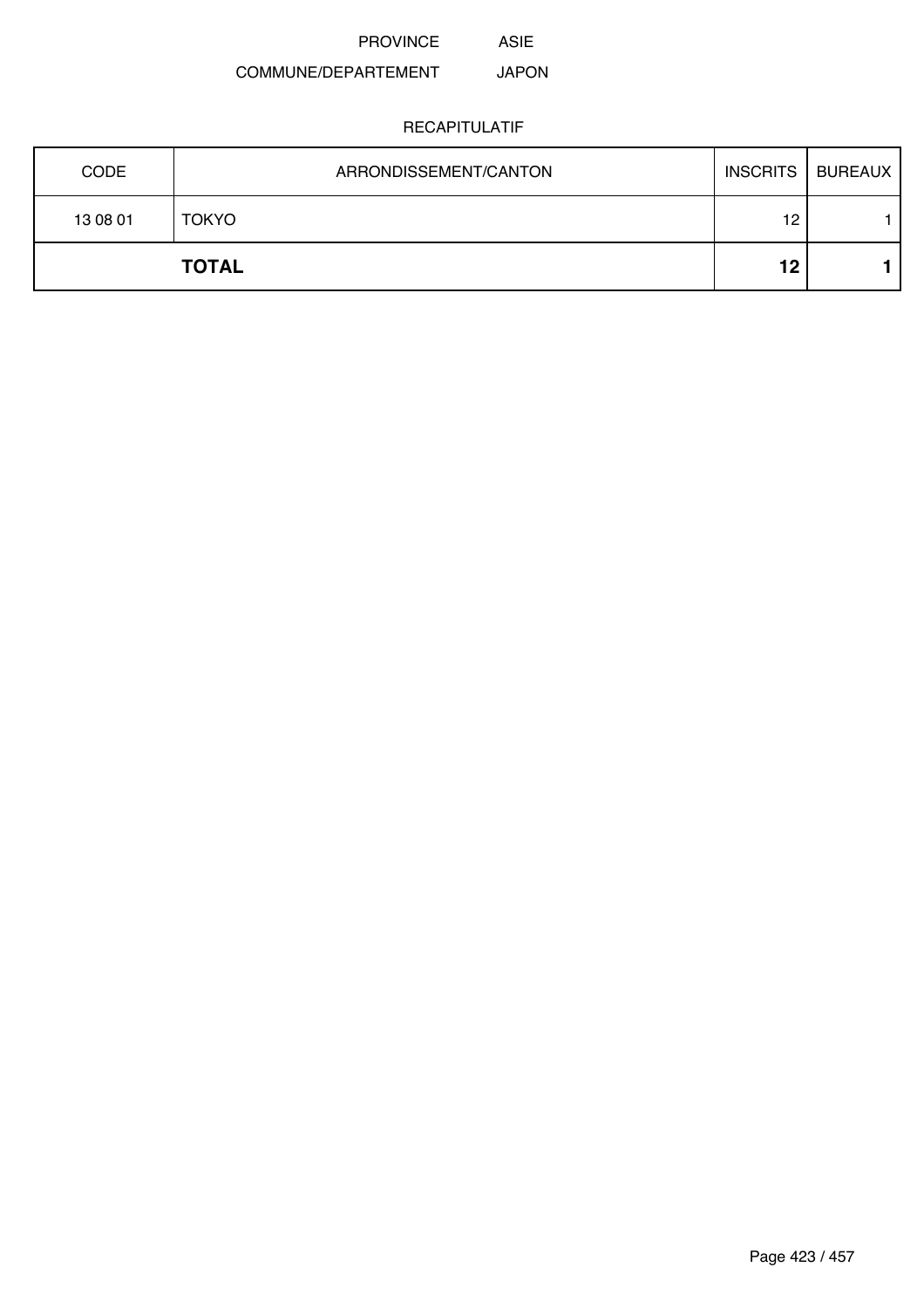# ASIE

### COMMUNE/DEPARTEMENT JAPON

| <b>CODE</b>  | ARRONDISSEMENT/CANTON | <b>INSCRITS</b> | <b>BUREAUX</b> |
|--------------|-----------------------|-----------------|----------------|
| 13 08 01     | <b>TOKYO</b>          | 12              |                |
| <b>TOTAL</b> |                       | 12              |                |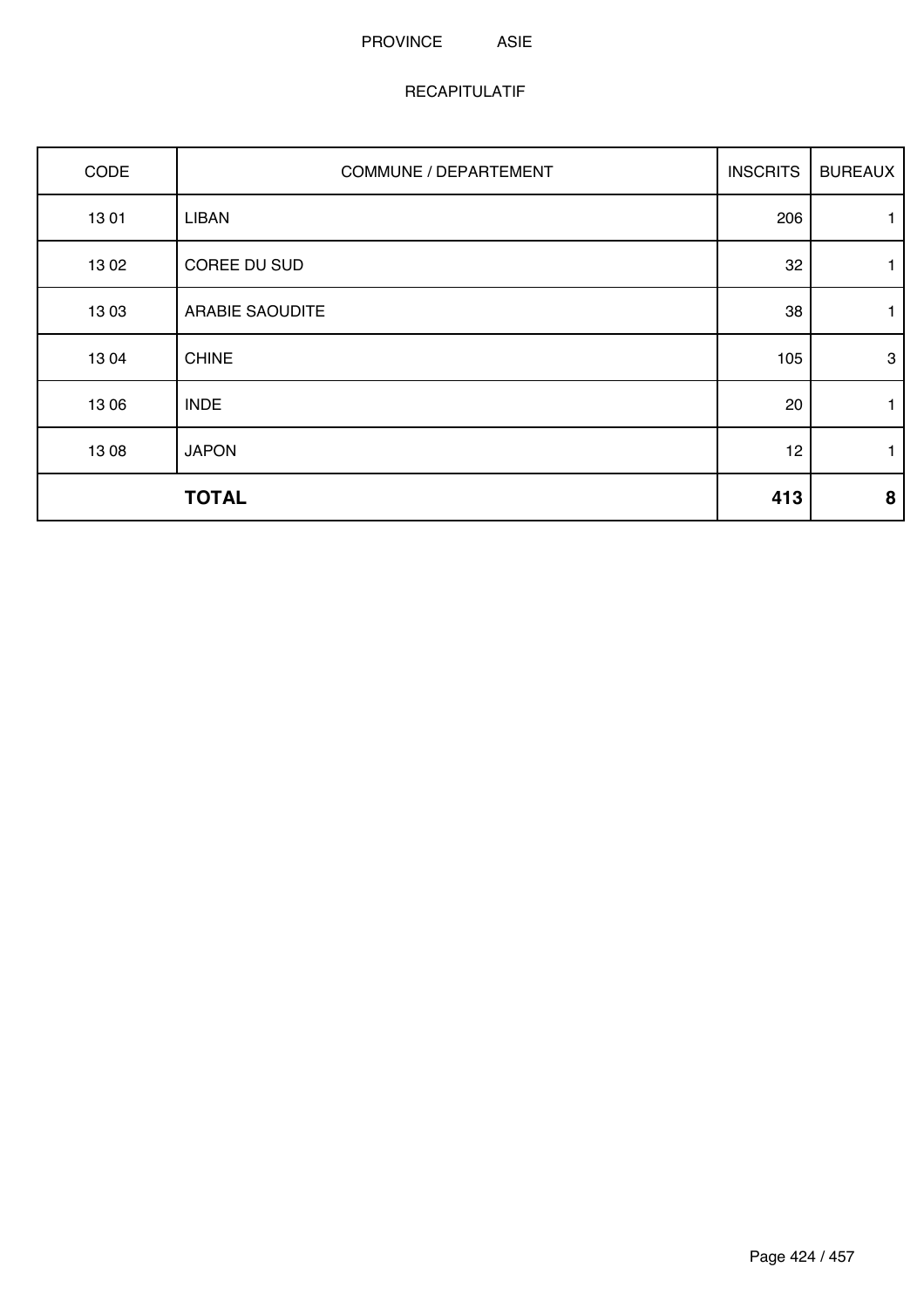### PROVINCE ASIE

| CODE  | <b>COMMUNE / DEPARTEMENT</b> | <b>INSCRITS</b> | <b>BUREAUX</b> |
|-------|------------------------------|-----------------|----------------|
| 1301  | <b>LIBAN</b>                 | 206             | 1              |
| 1302  | COREE DU SUD                 | 32              | 1              |
| 1303  | <b>ARABIE SAOUDITE</b>       | 38              | 1              |
| 1304  | <b>CHINE</b>                 | 105             | $\mathbf{3}$   |
| 13 06 | <b>INDE</b>                  | 20              | $\mathbf{1}$   |
| 13 08 | <b>JAPON</b>                 | 12              | $\mathbf{1}$   |
|       | <b>TOTAL</b>                 | 413             | 8              |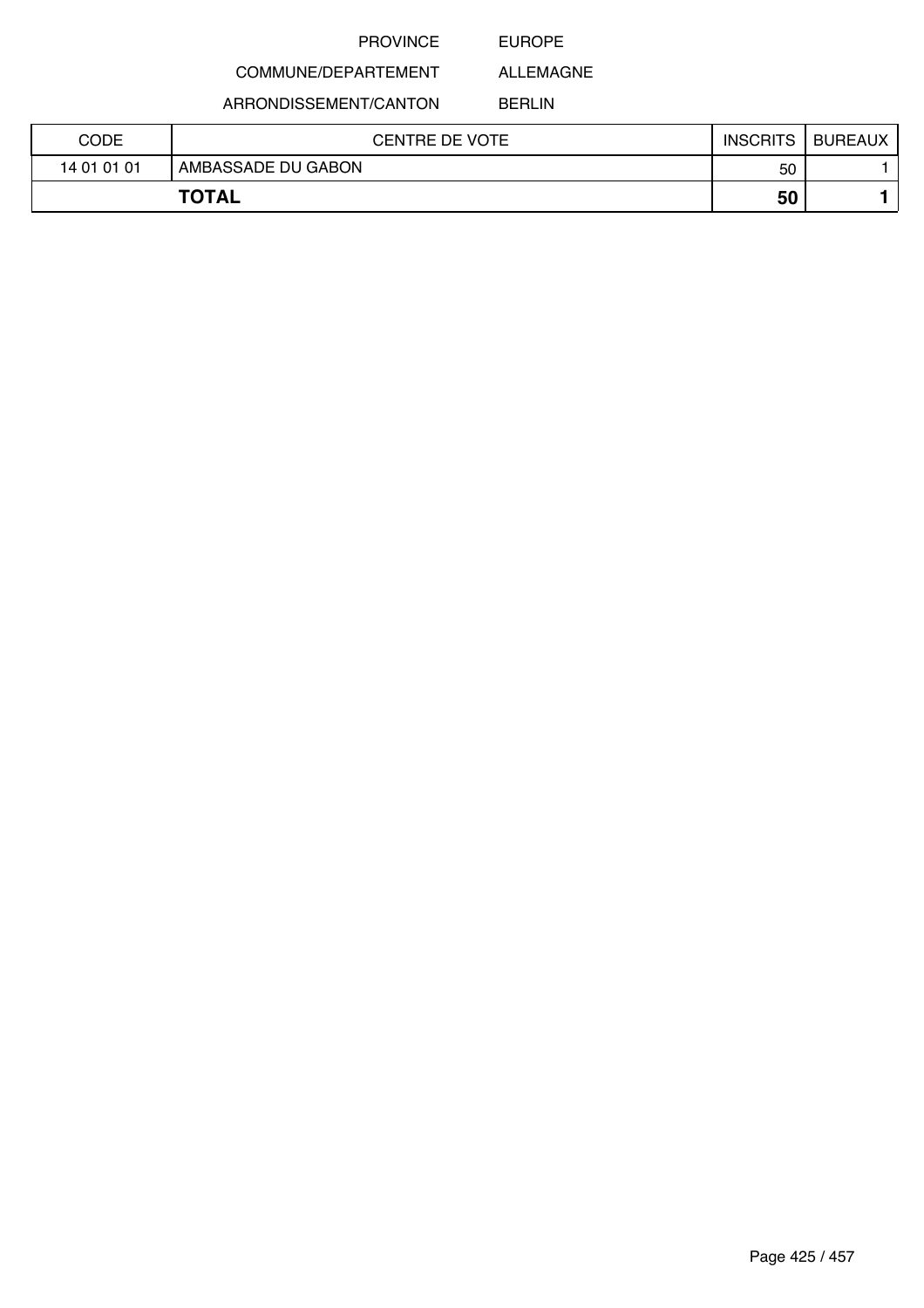### EUROPE

ALLEMAGNE

### COMMUNE/DEPARTEMENT

ARRONDISSEMENT/CANTON

BERLIN

| CODE         | <b>CENTRE DE VOTE</b> | <b>INSCRITS</b> | <b>BUREAUX</b> |
|--------------|-----------------------|-----------------|----------------|
| 14 01 01 01  | AMBASSADE DU GABON    | 50              |                |
| <b>TOTAL</b> |                       | 50              |                |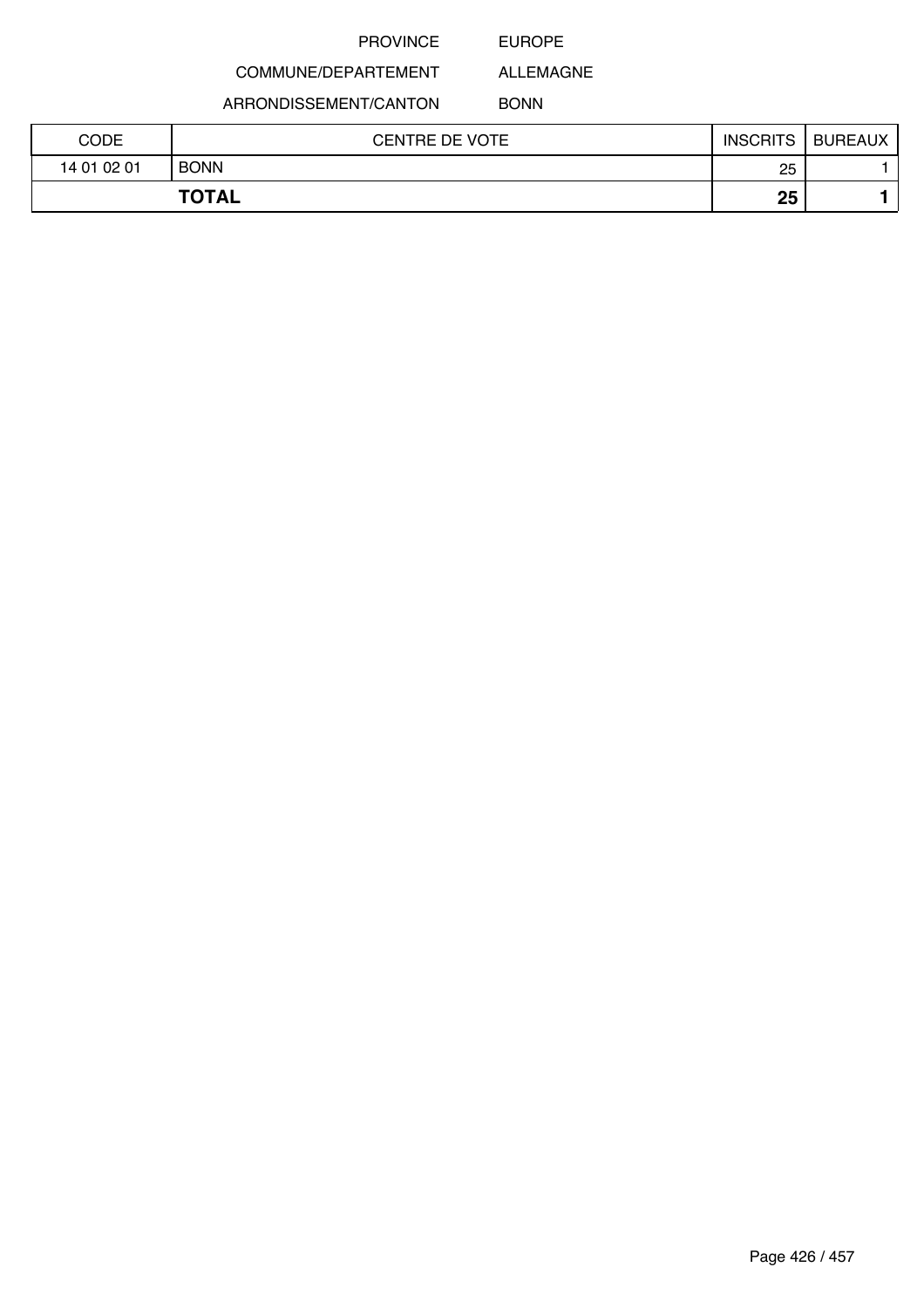EUROPE

ALLEMAGNE

COMMUNE/DEPARTEMENT ARRONDISSEMENT/CANTON

BONN

| CODE        | <b>CENTRE DE VOTE</b> | <b>INSCRITS</b> | <b>BUREAUX</b> |
|-------------|-----------------------|-----------------|----------------|
| 14 01 02 01 | <b>BONN</b>           | 25              |                |
|             | <b>TOTAL</b>          | 25              |                |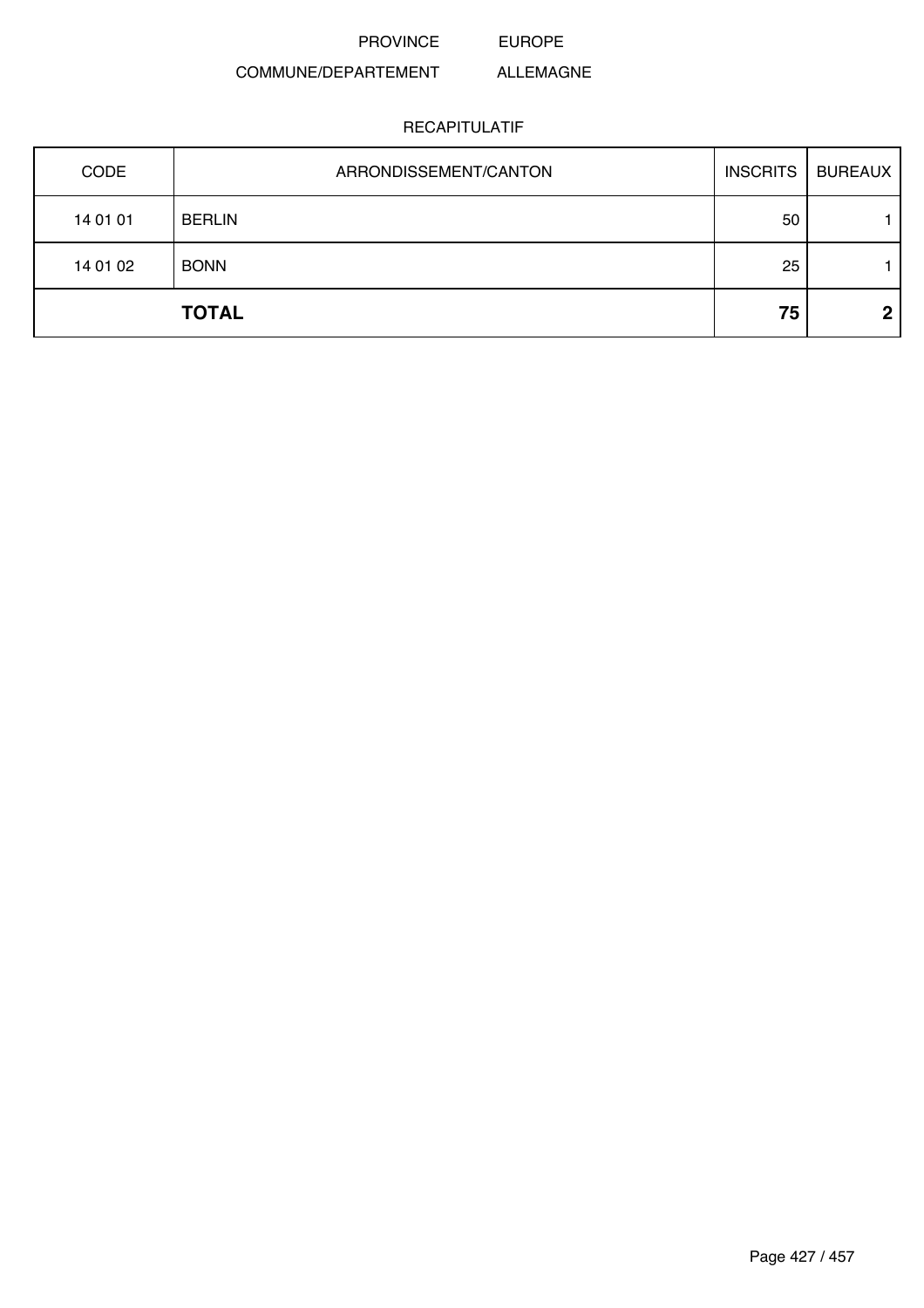PROVINCE EUROPE

### COMMUNE/DEPARTEMENT ALLEMAGNE

| CODE     | ARRONDISSEMENT/CANTON | <b>INSCRITS</b> | <b>BUREAUX</b> |
|----------|-----------------------|-----------------|----------------|
| 14 01 01 | <b>BERLIN</b>         | 50              |                |
| 14 01 02 | <b>BONN</b>           | 25              |                |
|          | <b>TOTAL</b>          | 75              | 2              |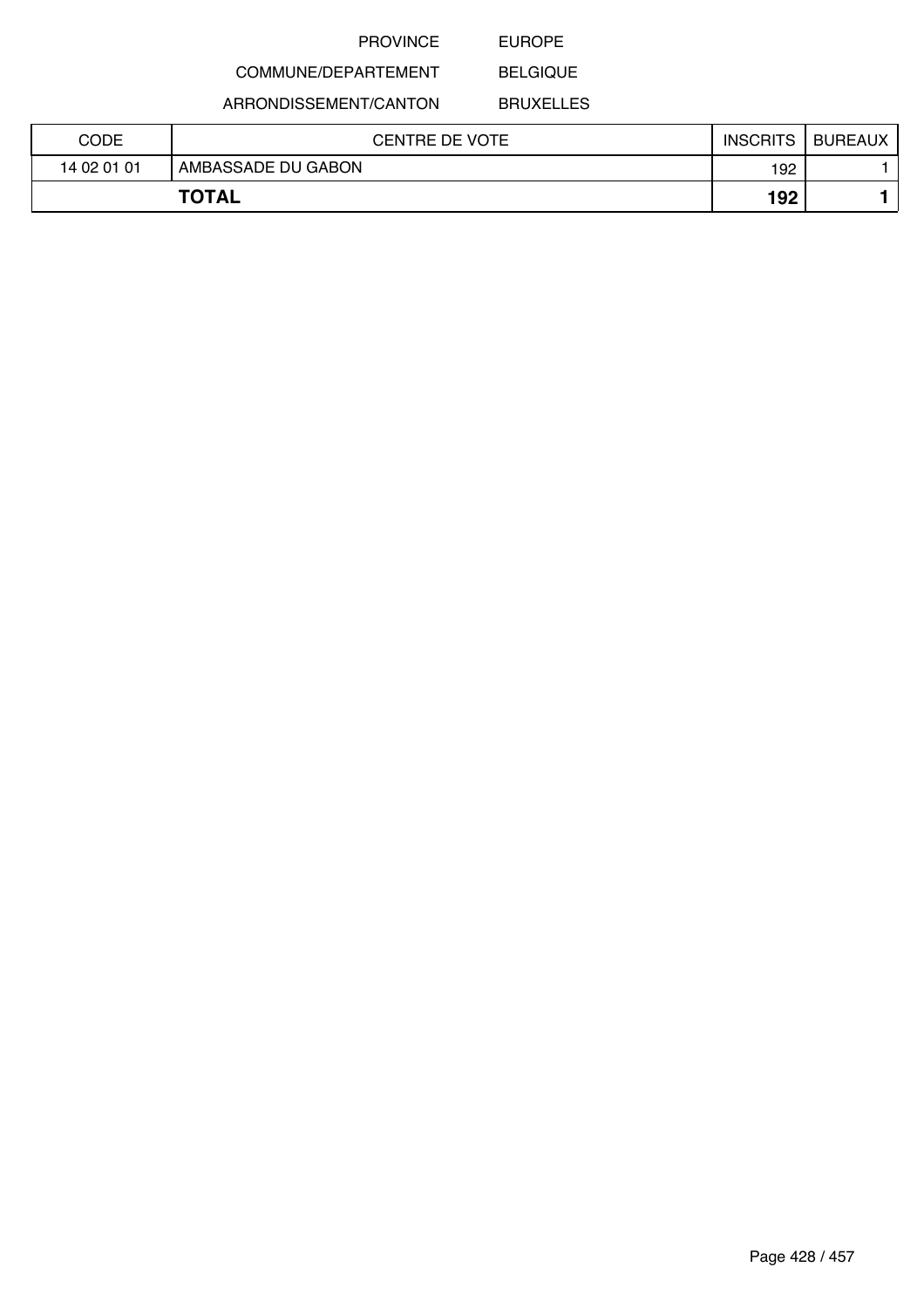### EUROPE

## COMMUNE/DEPARTEMENT

ARRONDISSEMENT/CANTON

BELGIQUE BRUXELLES

| CODE        | <b>CENTRE DE VOTE</b> | <b>INSCRITS</b> | <b>BUREAUX</b> |
|-------------|-----------------------|-----------------|----------------|
| 14 02 01 01 | AMBASSADE DU GABON    | 192             |                |
|             | <b>TOTAL</b>          | 192             |                |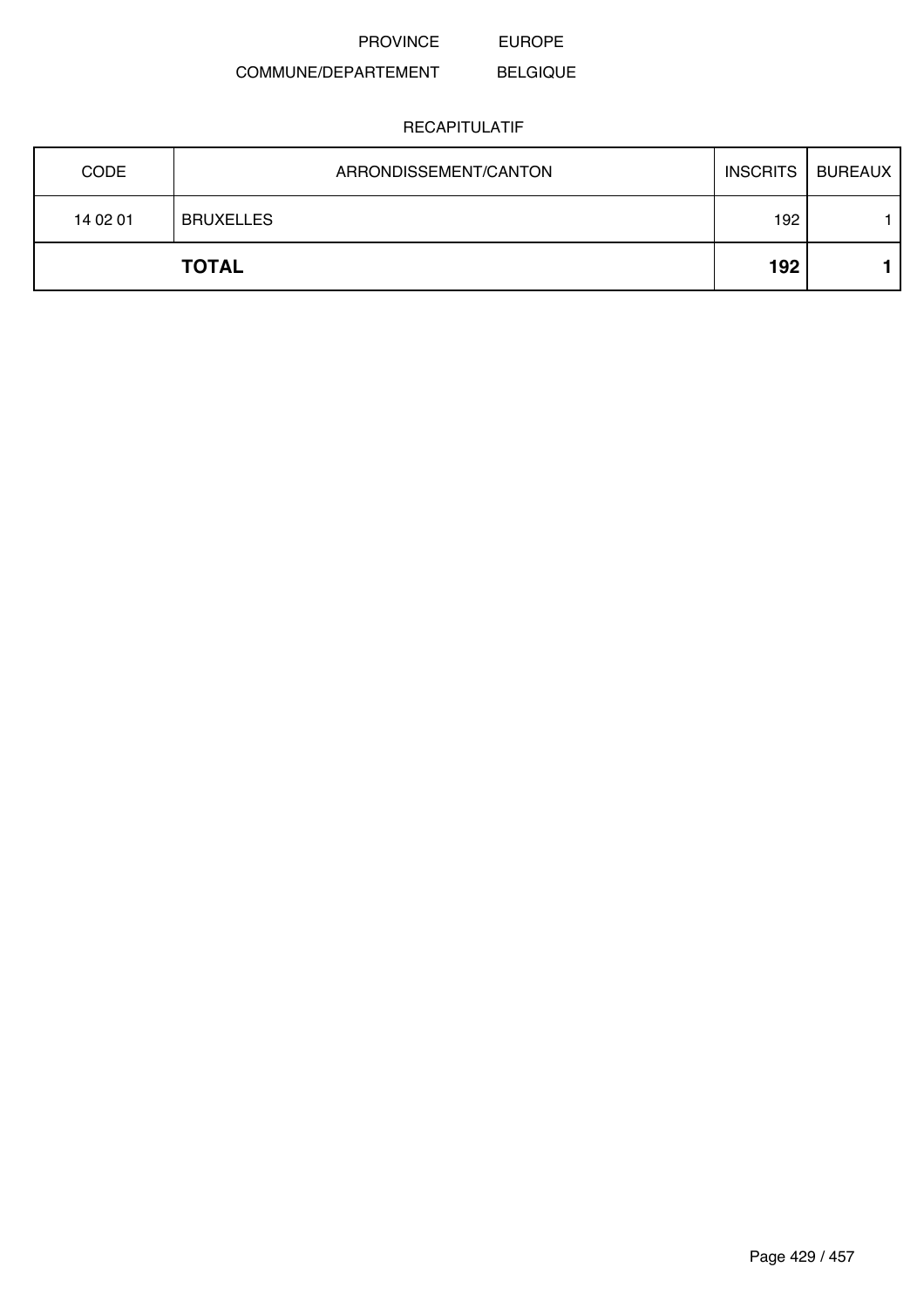PROVINCE EUROPE

### COMMUNE/DEPARTEMENT BELGIQUE

| <b>CODE</b> | ARRONDISSEMENT/CANTON | <b>INSCRITS</b> | <b>BUREAUX</b> |
|-------------|-----------------------|-----------------|----------------|
| 14 02 01    | <b>BRUXELLES</b>      | 192             |                |
|             | <b>TOTAL</b>          | 192             |                |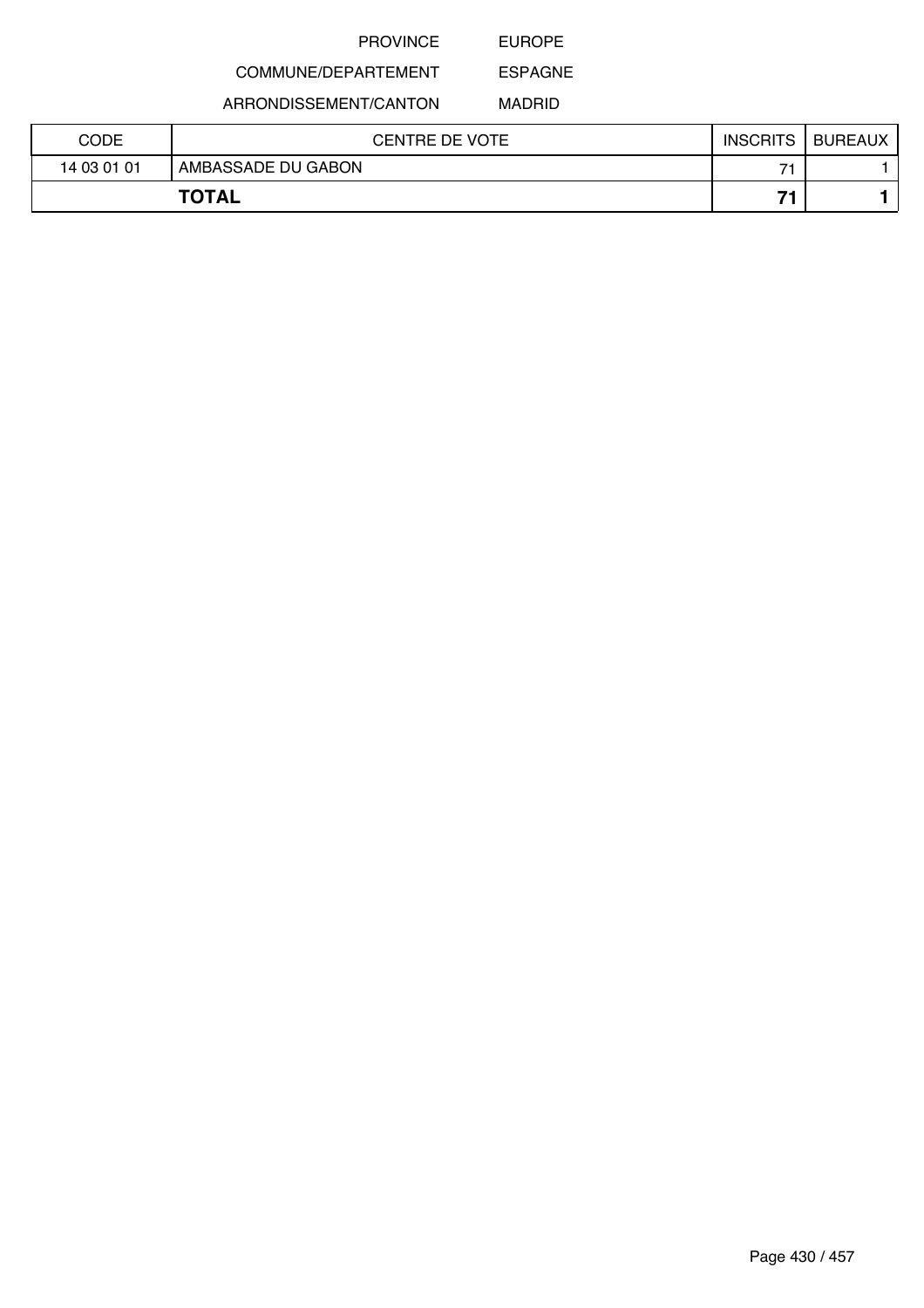EUROPE

## COMMUNE/DEPARTEMENT

ARRONDISSEMENT/CANTON

MADRID

ESPAGNE

| CODE        | <b>CENTRE DE VOTE</b> | <b>INSCRITS</b> | <b>BUREAUX</b> |
|-------------|-----------------------|-----------------|----------------|
| 14 03 01 01 | AMBASSADE DU GABON    | -               |                |
|             | <b>TOTAL</b>          | →.              |                |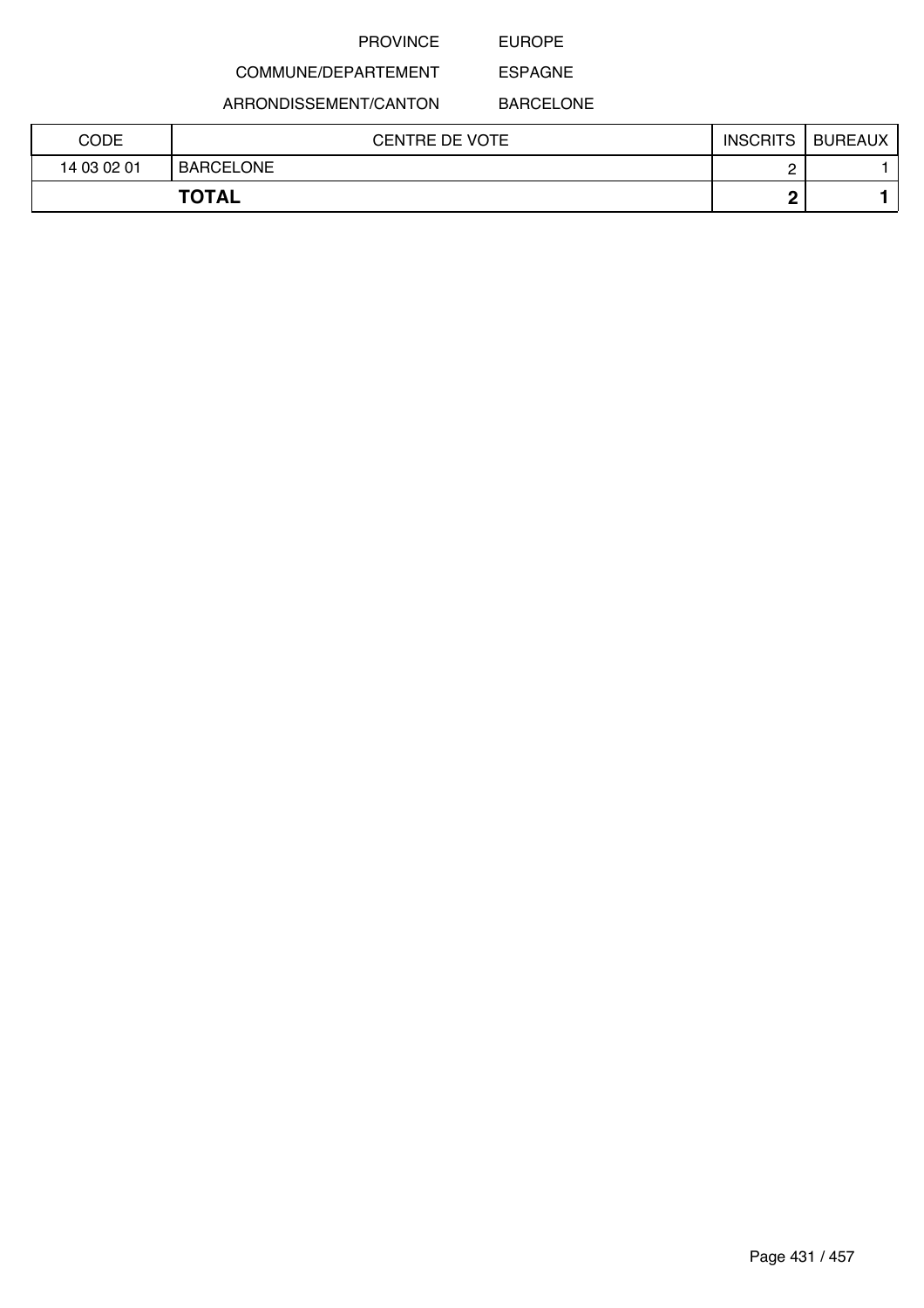EUROPE

COMMUNE/DEPARTEMENT

ARRONDISSEMENT/CANTON

ESPAGNE BARCELONE

| <b>CODE</b> | <b>CENTRE DE VOTE</b> | <b>INSCRITS</b> | BUREAUX |
|-------------|-----------------------|-----------------|---------|
| 14 03 02 01 | BARCELONE             |                 |         |
|             | <b>TOTAL</b>          |                 |         |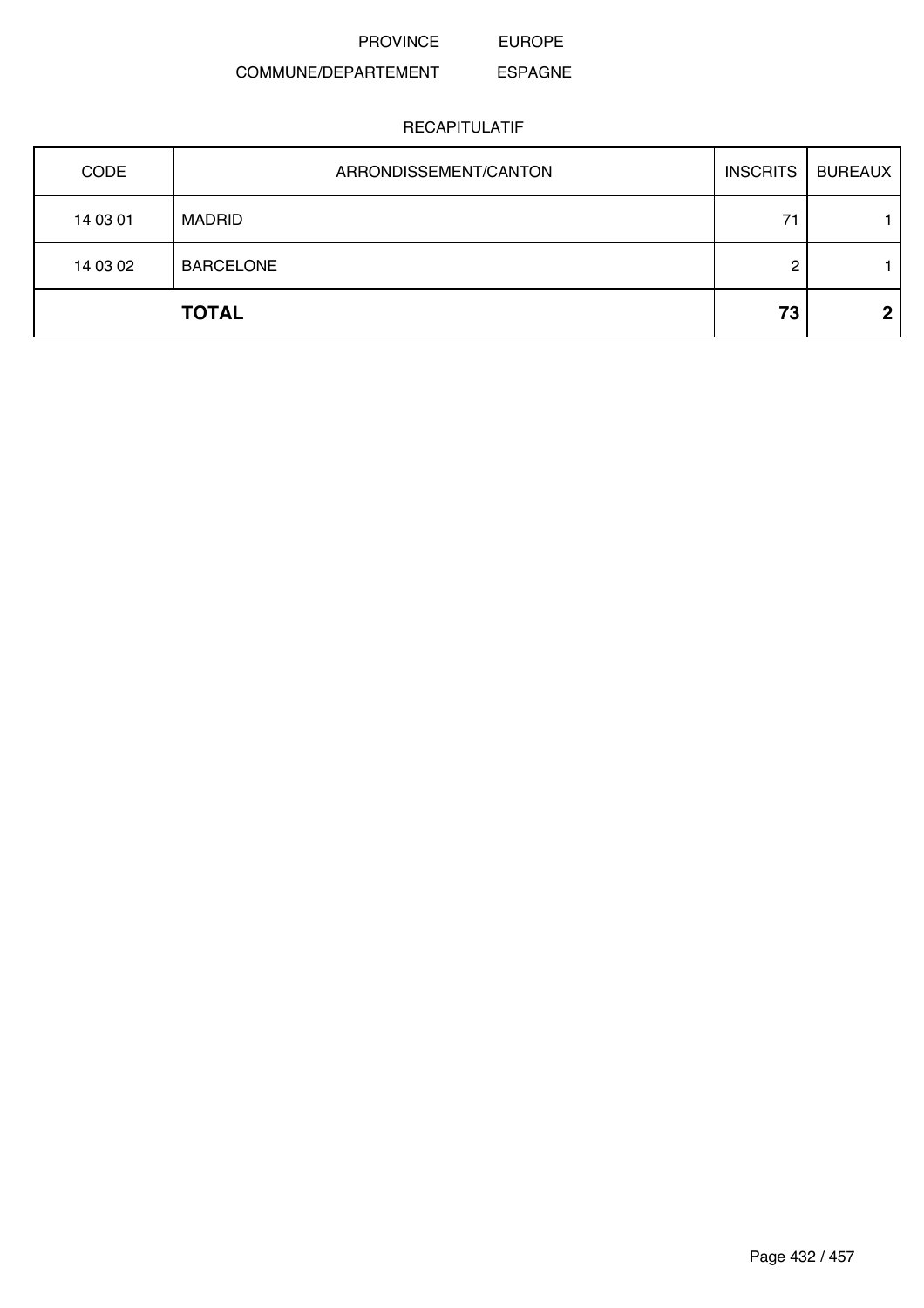PROVINCE EUROPE

### COMMUNE/DEPARTEMENT ESPAGNE

| CODE     | ARRONDISSEMENT/CANTON | <b>INSCRITS</b> | <b>BUREAUX</b> |
|----------|-----------------------|-----------------|----------------|
| 14 03 01 | <b>MADRID</b>         | 71              |                |
| 14 03 02 | <b>BARCELONE</b>      | റ               |                |
|          | <b>TOTAL</b>          | 73              | 2              |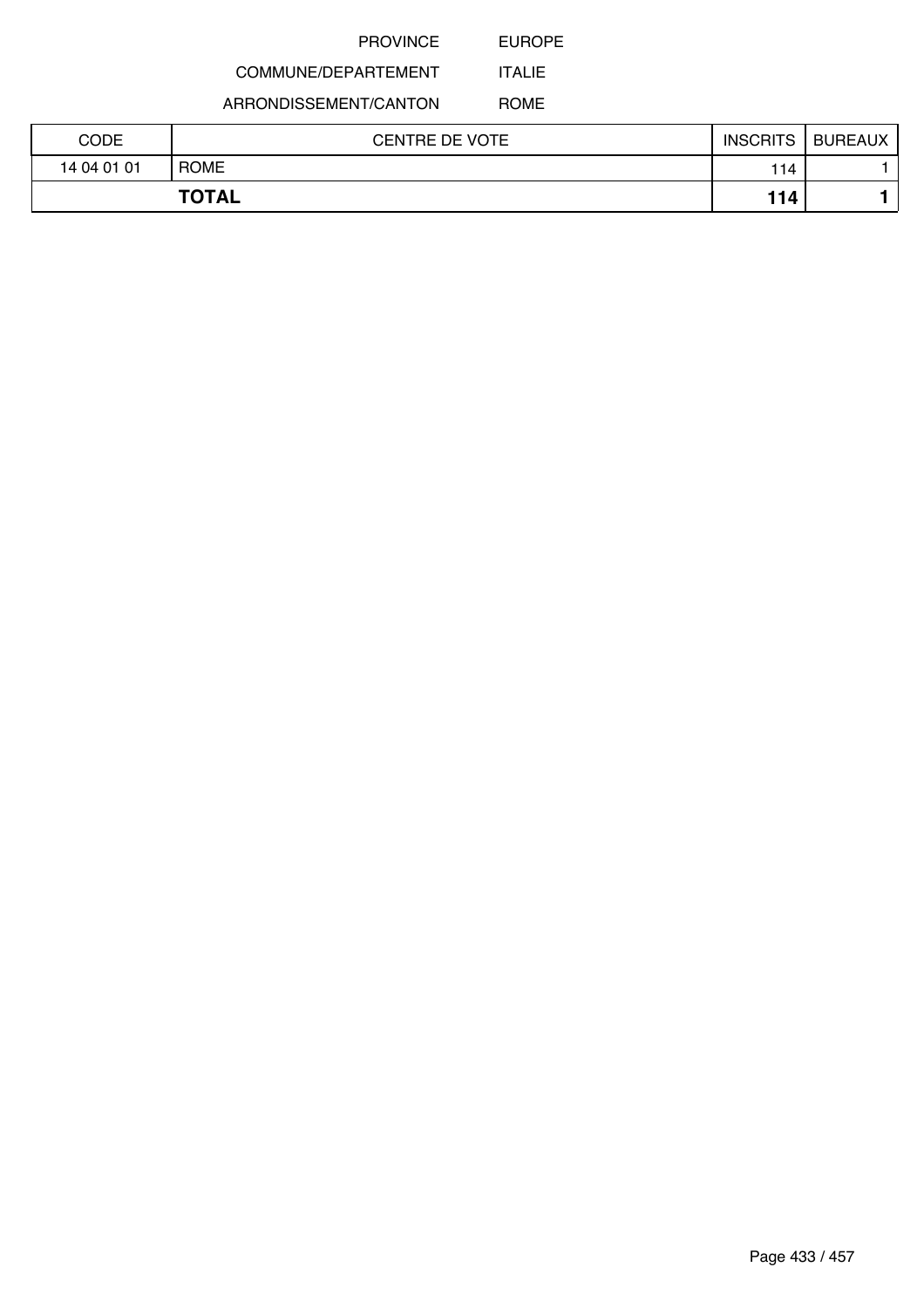EUROPE

# COMMUNE/DEPARTEMENT

ARRONDISSEMENT/CANTON

ROME

ITALIE

| CODE         | <b>CENTRE DE VOTE</b> | <b>INSCRITS</b> | <b>BUREAUX</b> |
|--------------|-----------------------|-----------------|----------------|
| 14 04 01 01  | <b>ROME</b>           | 114             |                |
| <b>TOTAL</b> |                       | 114             |                |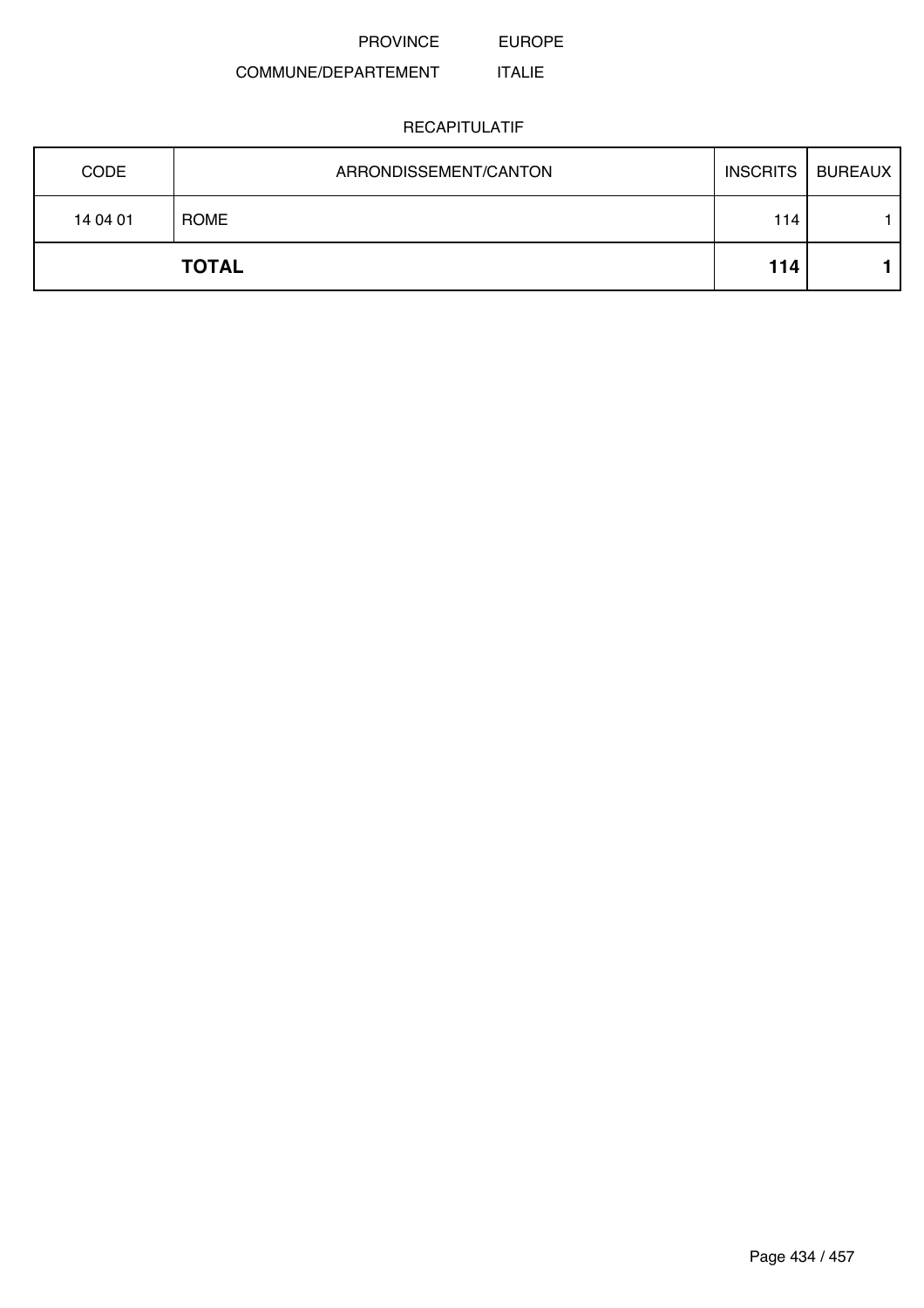#### COMMUNE/DEPARTEMENT ITALIE

| <b>CODE</b> | ARRONDISSEMENT/CANTON | <b>INSCRITS</b> | <b>BUREAUX</b> |
|-------------|-----------------------|-----------------|----------------|
| 14 04 01    | ROME                  | 114             |                |
|             | <b>TOTAL</b>          | 114             |                |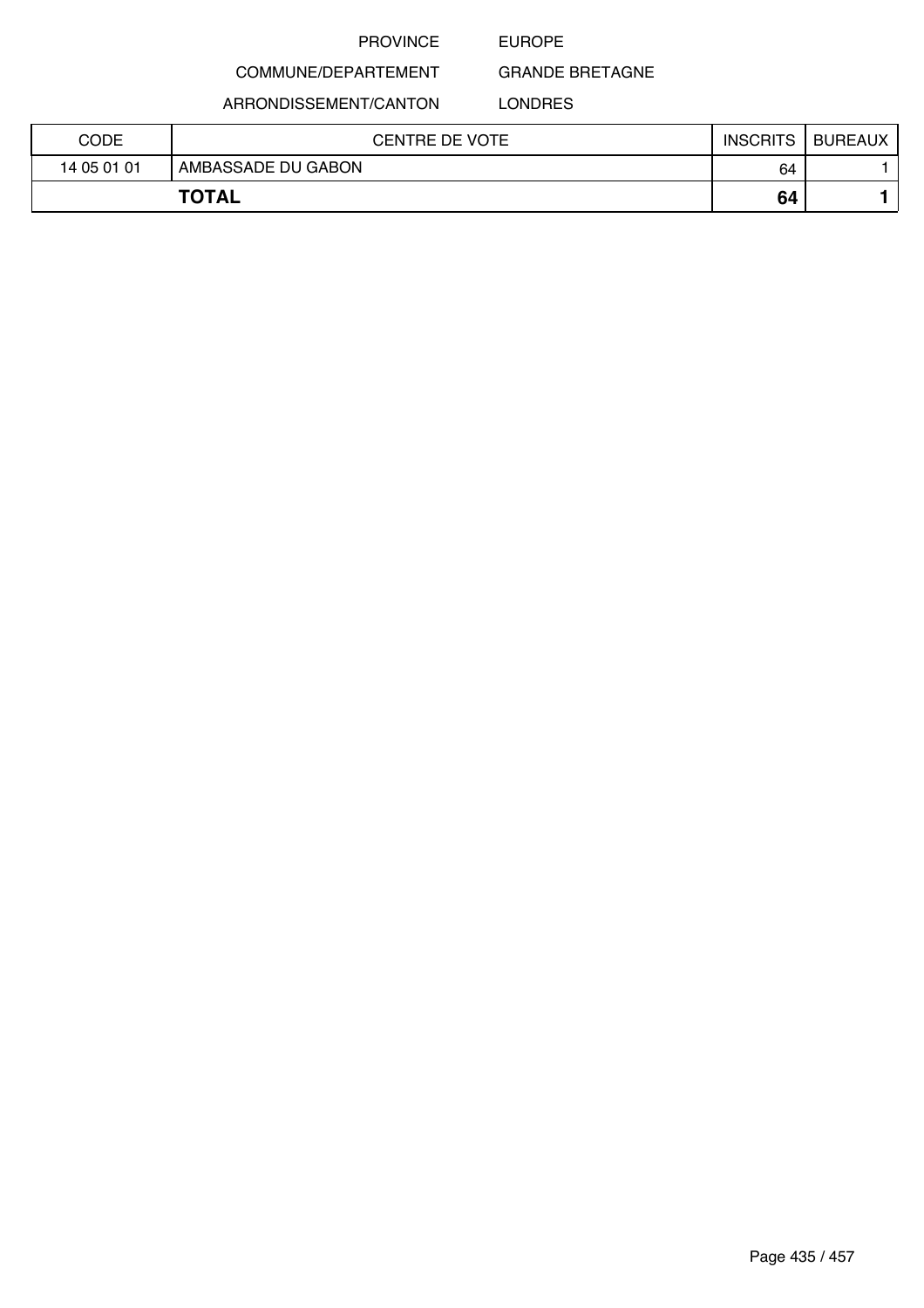## EUROPE

GRANDE BRETAGNE

ARRONDISSEMENT/CANTON

COMMUNE/DEPARTEMENT

LONDRES

| CODE        | <b>CENTRE DE VOTE</b> | <b>INSCRITS</b> | <b>BUREAUX</b> |
|-------------|-----------------------|-----------------|----------------|
| 14 05 01 01 | AMBASSADE DU GABON    | 64              |                |
|             | <b>TOTAL</b>          | 64              |                |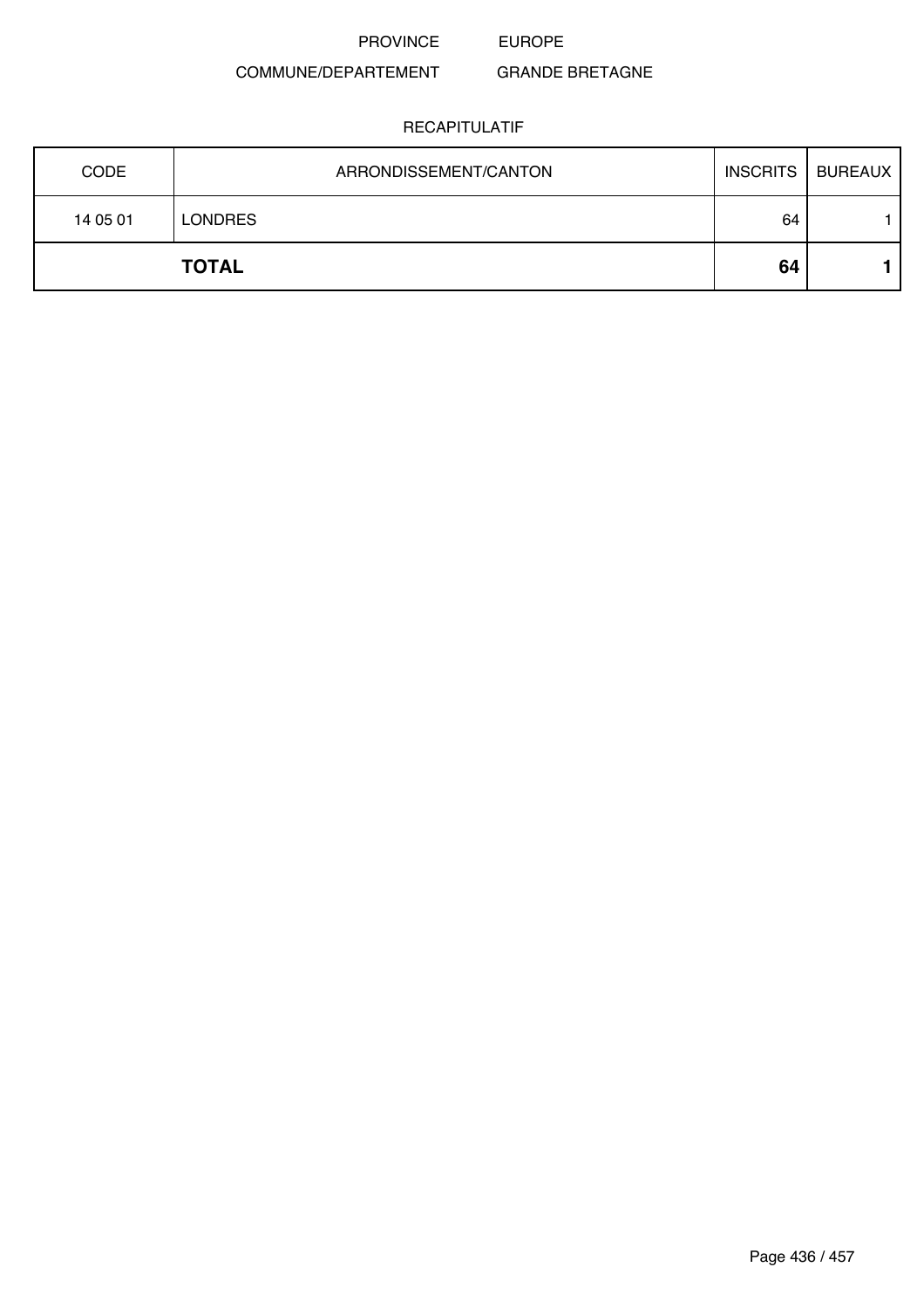#### COMMUNE/DEPARTEMENT GRANDE BRETAGNE

| <b>CODE</b> | ARRONDISSEMENT/CANTON |    | INSCRITS   BUREAUX |
|-------------|-----------------------|----|--------------------|
| 14 05 01    | <b>LONDRES</b>        | 64 |                    |
|             | <b>TOTAL</b>          | 64 |                    |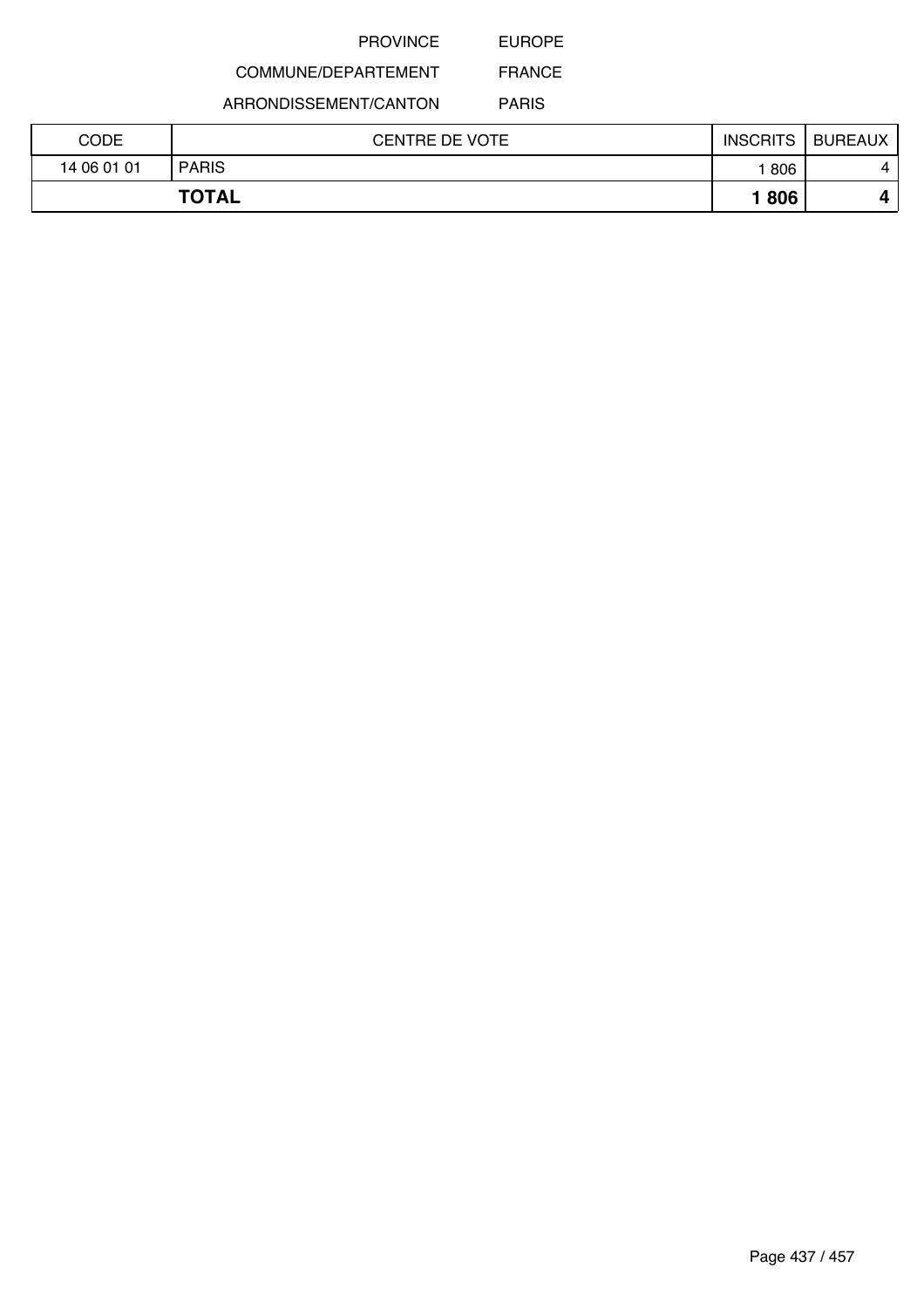EUROPE

# COMMUNE/DEPARTEMENT

ARRONDISSEMENT/CANTON

PARIS

| CODE        | <b>CENTRE DE VOTE</b> | <b>INSCRITS</b> | <b>BUREAUX</b> |
|-------------|-----------------------|-----------------|----------------|
| 14 06 01 01 | <b>PARIS</b>          | 806             | 4              |
|             | <b>TOTAL</b>          | 806             |                |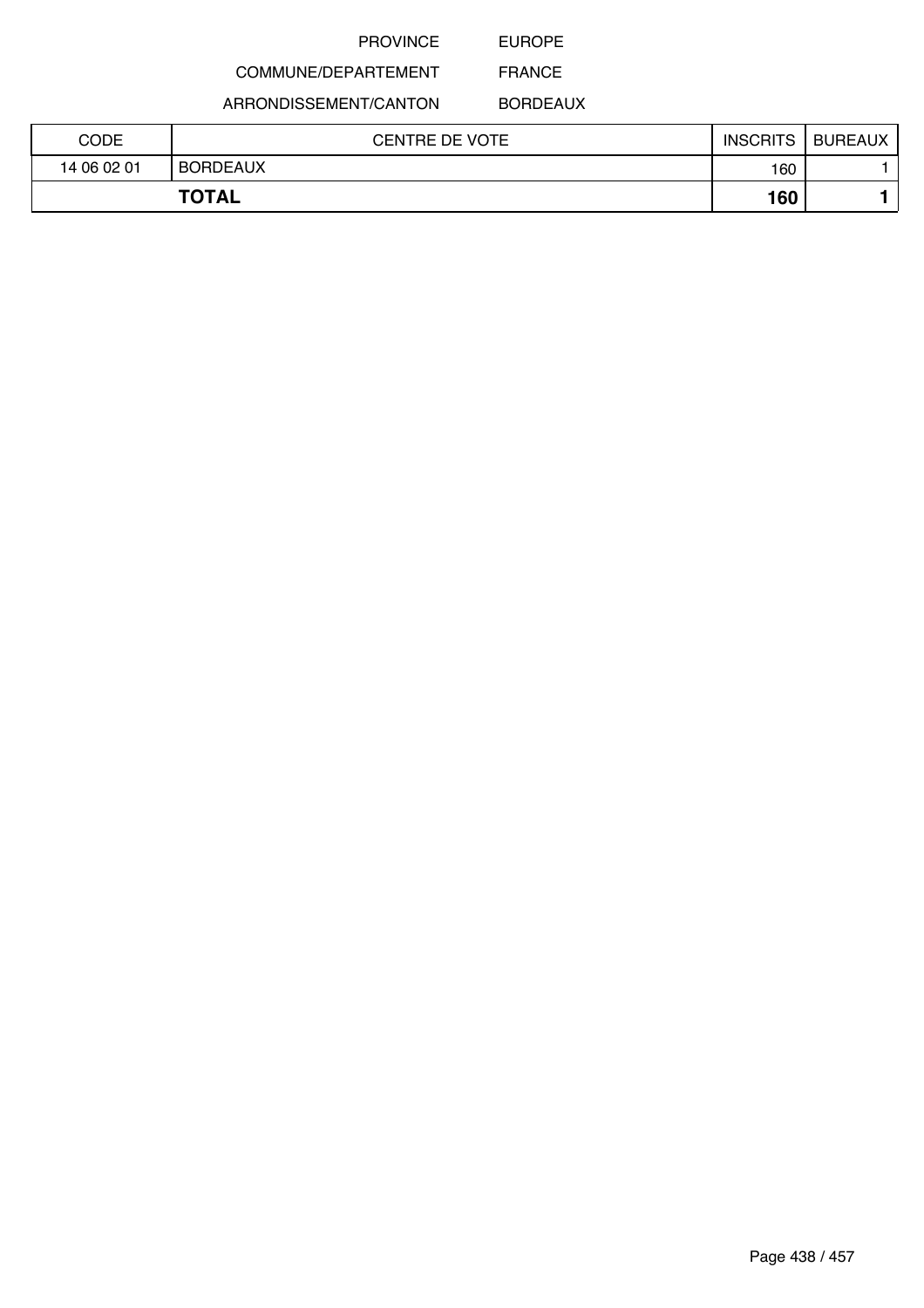## EUROPE

# COMMUNE/DEPARTEMENT

ARRONDISSEMENT/CANTON

BORDEAUX

| CODE        | <b>CENTRE DE VOTE</b> | <b>INSCRITS</b> | <b>BUREAUX</b> |
|-------------|-----------------------|-----------------|----------------|
| 14 06 02 01 | <b>BORDEAUX</b>       | 160             |                |
|             | <b>TOTAL</b>          | 160             |                |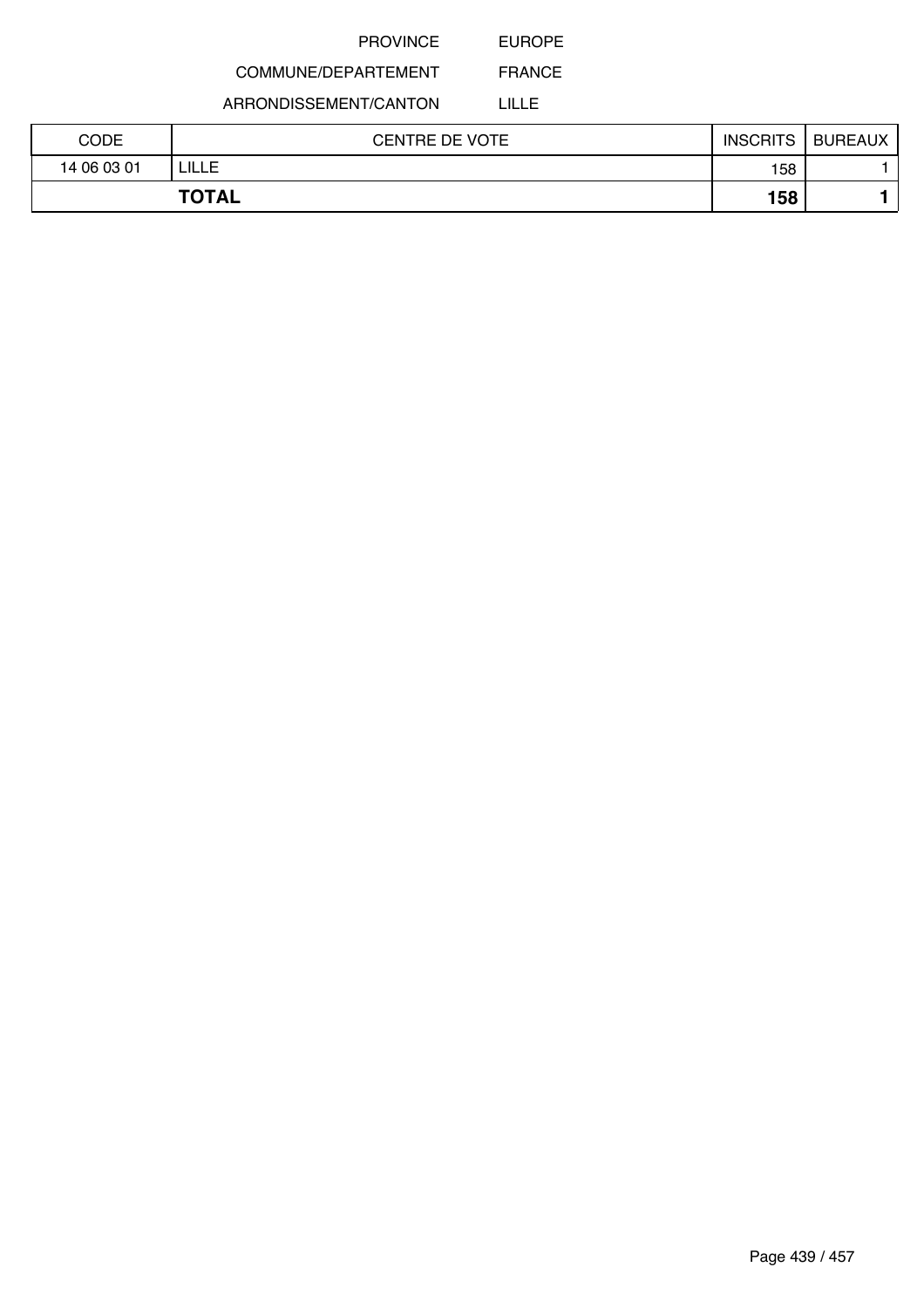EUROPE

# COMMUNE/DEPARTEMENT

ARRONDISSEMENT/CANTON

LILLE

| CODE        | <b>CENTRE DE VOTE</b> | <b>INSCRITS</b> | <b>BUREAUX</b> |
|-------------|-----------------------|-----------------|----------------|
| 14 06 03 01 | LILLE                 | 158             |                |
|             | <b>TOTAL</b>          | 158             |                |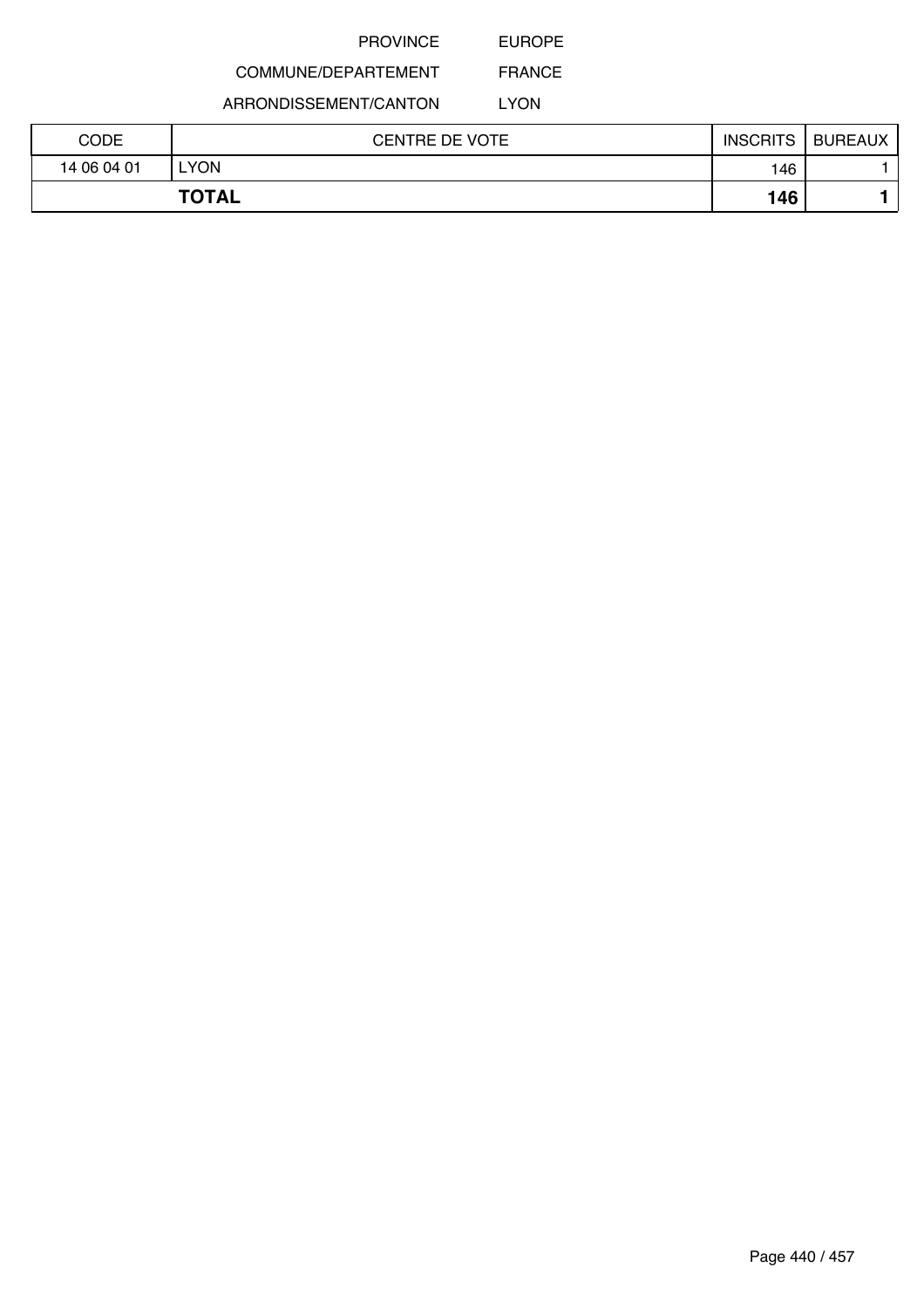EUROPE

# COMMUNE/DEPARTEMENT

ARRONDISSEMENT/CANTON

LYON

| CODE        | <b>CENTRE DE VOTE</b> | <b>INSCRITS</b> | <b>BUREAUX</b> |
|-------------|-----------------------|-----------------|----------------|
| 14 06 04 01 | YON.                  | 146             |                |
|             | <b>TOTAL</b>          | 146             |                |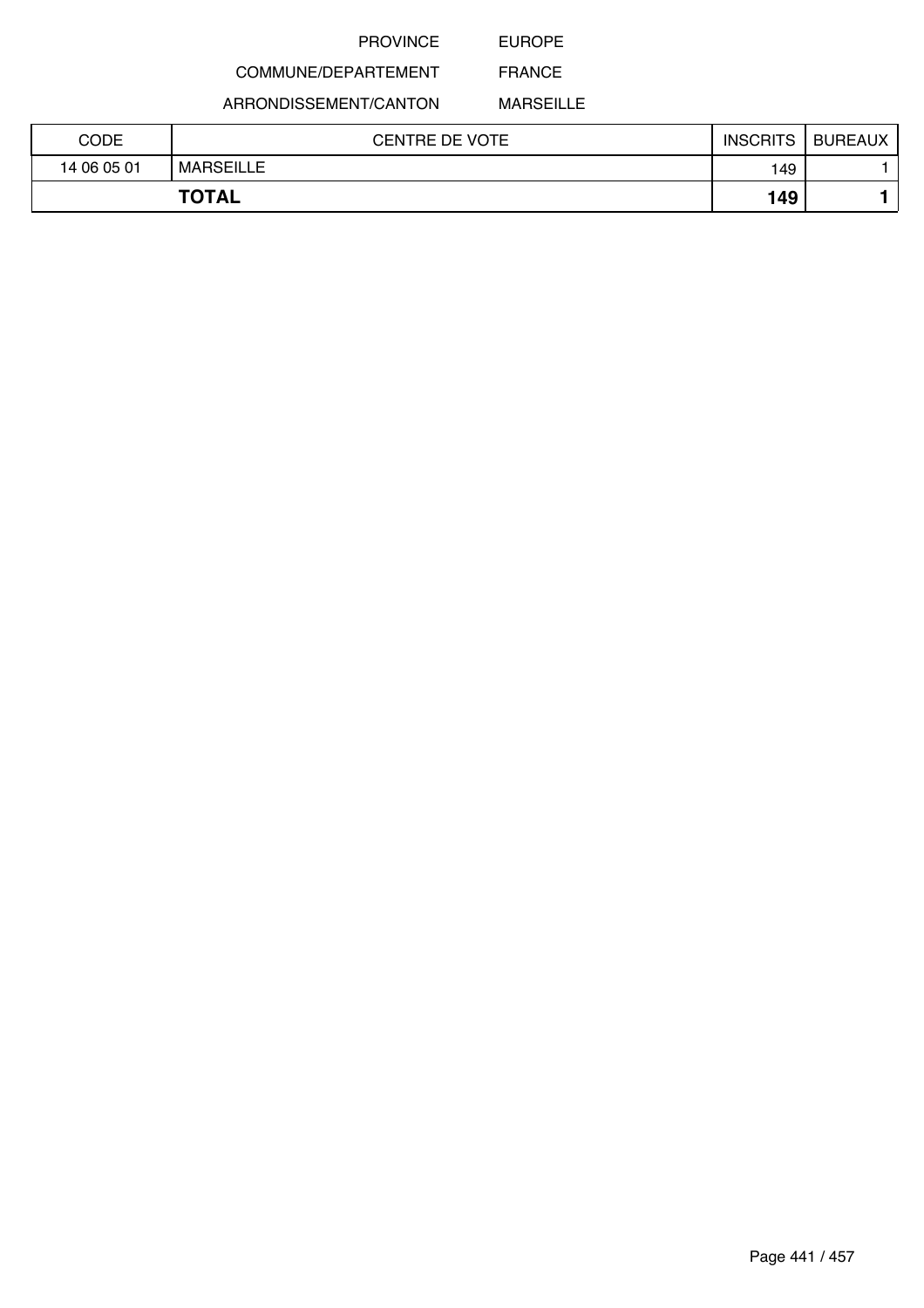## EUROPE

# COMMUNE/DEPARTEMENT

ARRONDISSEMENT/CANTON

MARSEILLE

| CODE        | <b>CENTRE DE VOTE</b> | <b>INSCRITS</b> | <b>BUREAUX</b> |
|-------------|-----------------------|-----------------|----------------|
| 14 06 05 01 | <b>MARSEILLE</b>      | 149             |                |
|             | <b>TOTAL</b>          | 149             |                |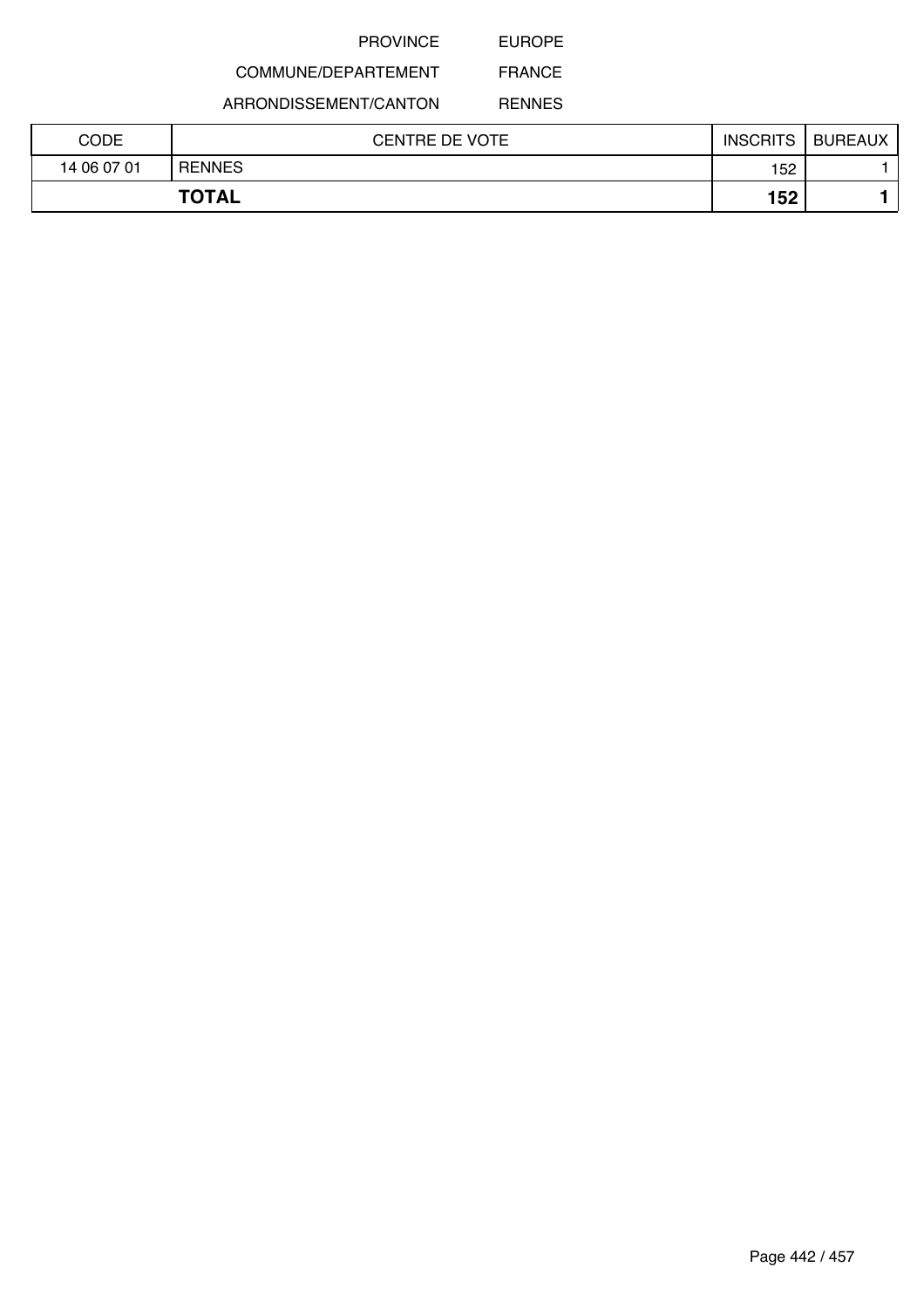EUROPE

# COMMUNE/DEPARTEMENT

ARRONDISSEMENT/CANTON

RENNES

| CODE        | <b>CENTRE DE VOTE</b> | <b>INSCRITS</b> | <b>BUREAUX</b> |
|-------------|-----------------------|-----------------|----------------|
| 14 06 07 01 | <b>RENNES</b>         | 152             |                |
|             | <b>TOTAL</b>          | 152             |                |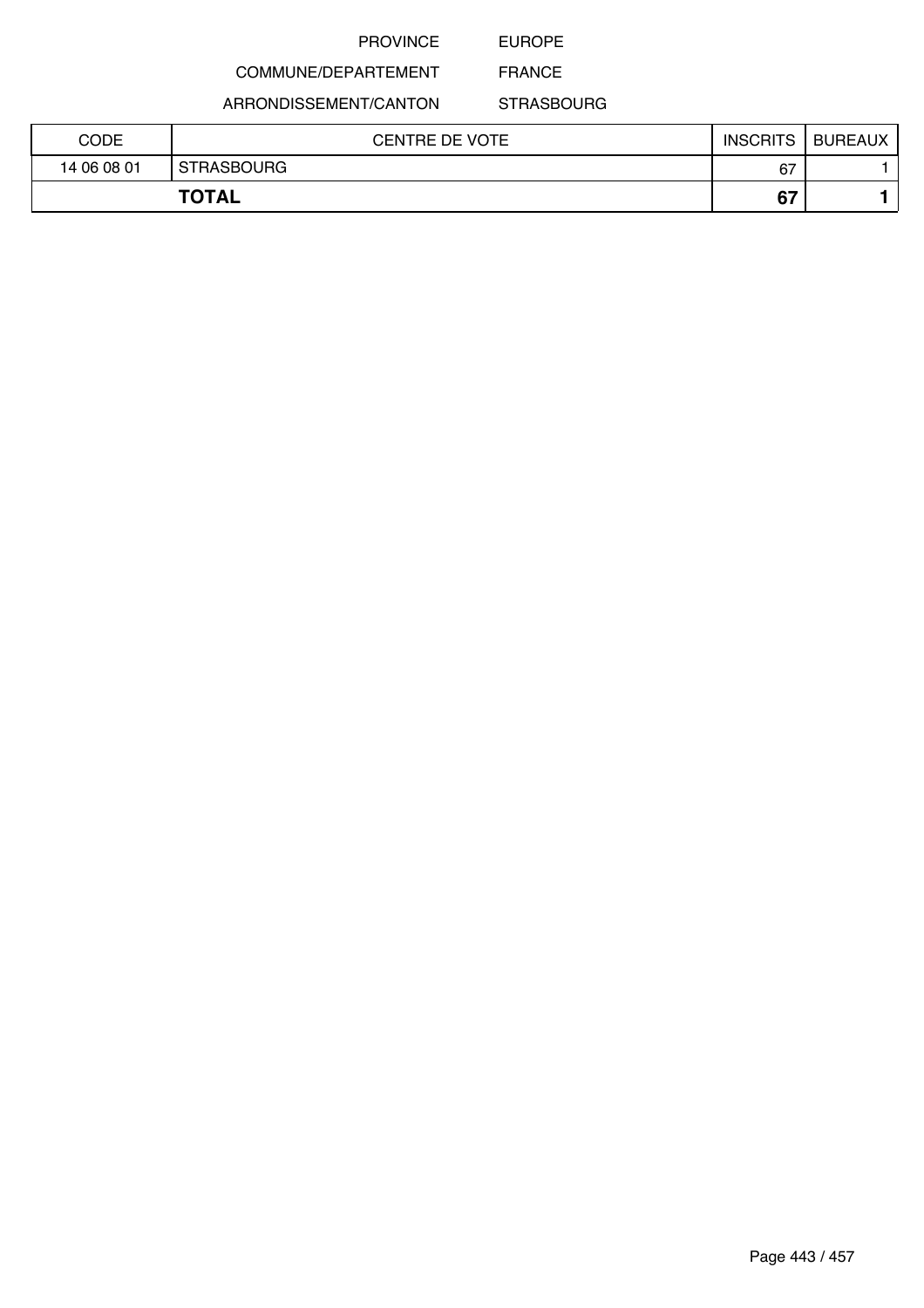## EUROPE

# COMMUNE/DEPARTEMENT

ARRONDISSEMENT/CANTON

FRANCE **STRASBOURG** 

| CODE        | CENTRE DE VOTE    | <b>INSCRITS</b> | <b>BUREAUX</b> |
|-------------|-------------------|-----------------|----------------|
| 14 06 08 01 | <b>STRASBOURG</b> | 67              |                |
|             | <b>TOTAL</b>      | 67              |                |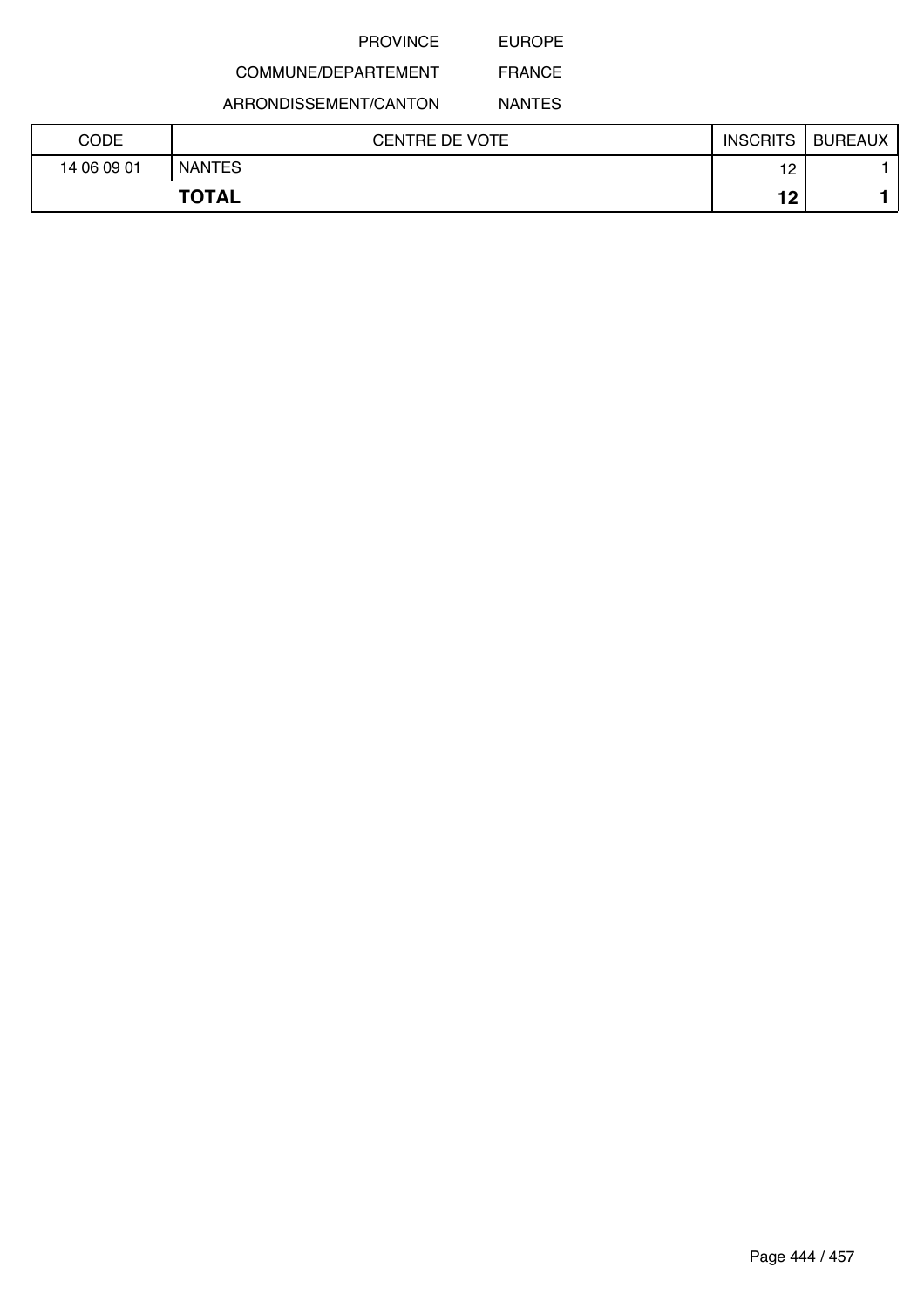EUROPE

# COMMUNE/DEPARTEMENT

ARRONDISSEMENT/CANTON

NANTES

| CODE        | <b>CENTRE DE VOTE</b> | <b>INSCRITS</b> | <b>BUREAUX</b> |
|-------------|-----------------------|-----------------|----------------|
| 14 06 09 01 | <b>NANTES</b>         | 12              |                |
|             | <b>TOTAL</b>          | 12              |                |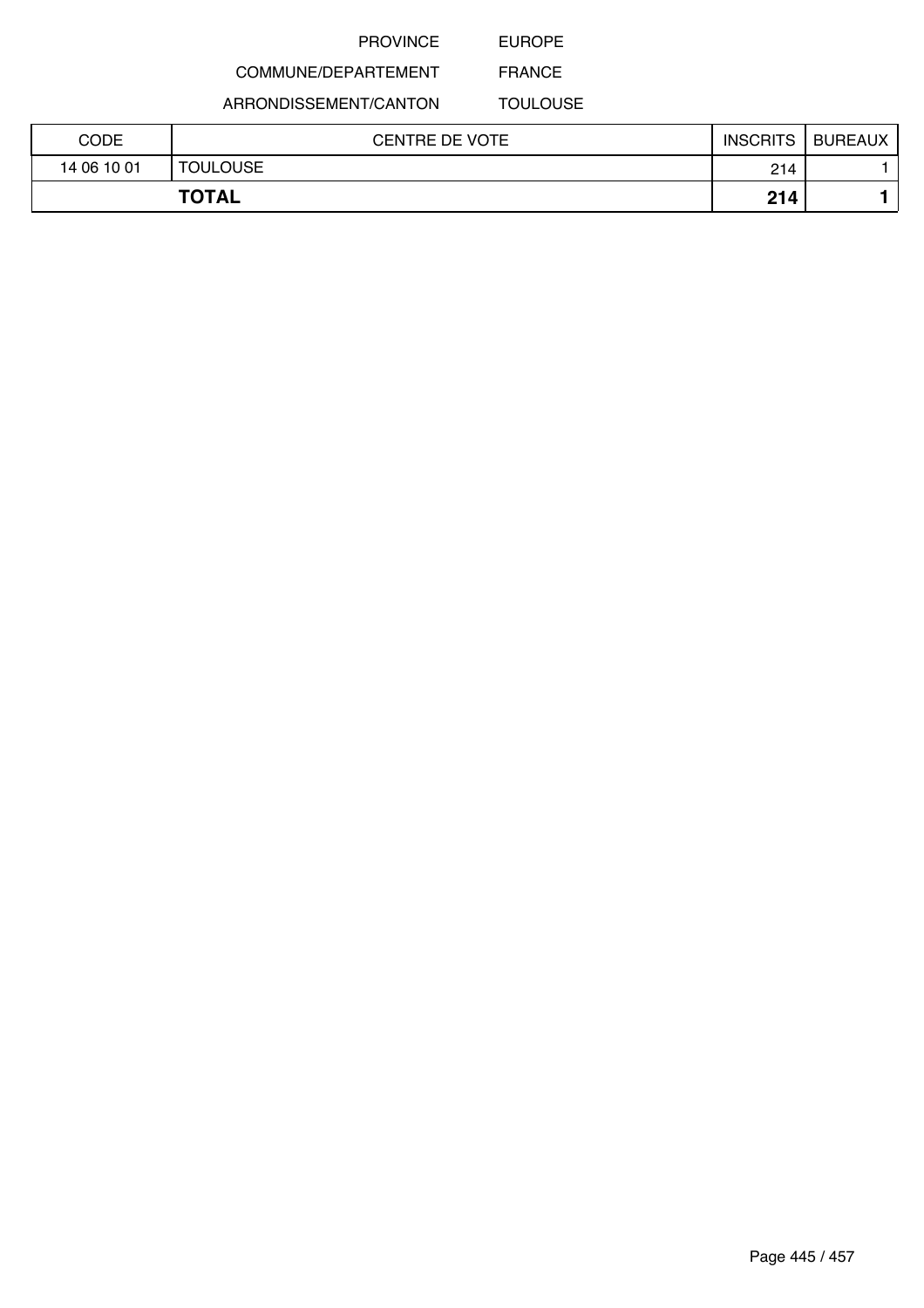EUROPE

# COMMUNE/DEPARTEMENT

ARRONDISSEMENT/CANTON

TOULOUSE

| CODE        | <b>CENTRE DE VOTE</b> | <b>INSCRITS</b> | <b>BUREAUX</b> |
|-------------|-----------------------|-----------------|----------------|
| 14 06 10 01 | <b>TOULOUSE</b>       | 214             |                |
|             | <b>TOTAL</b>          | 214             |                |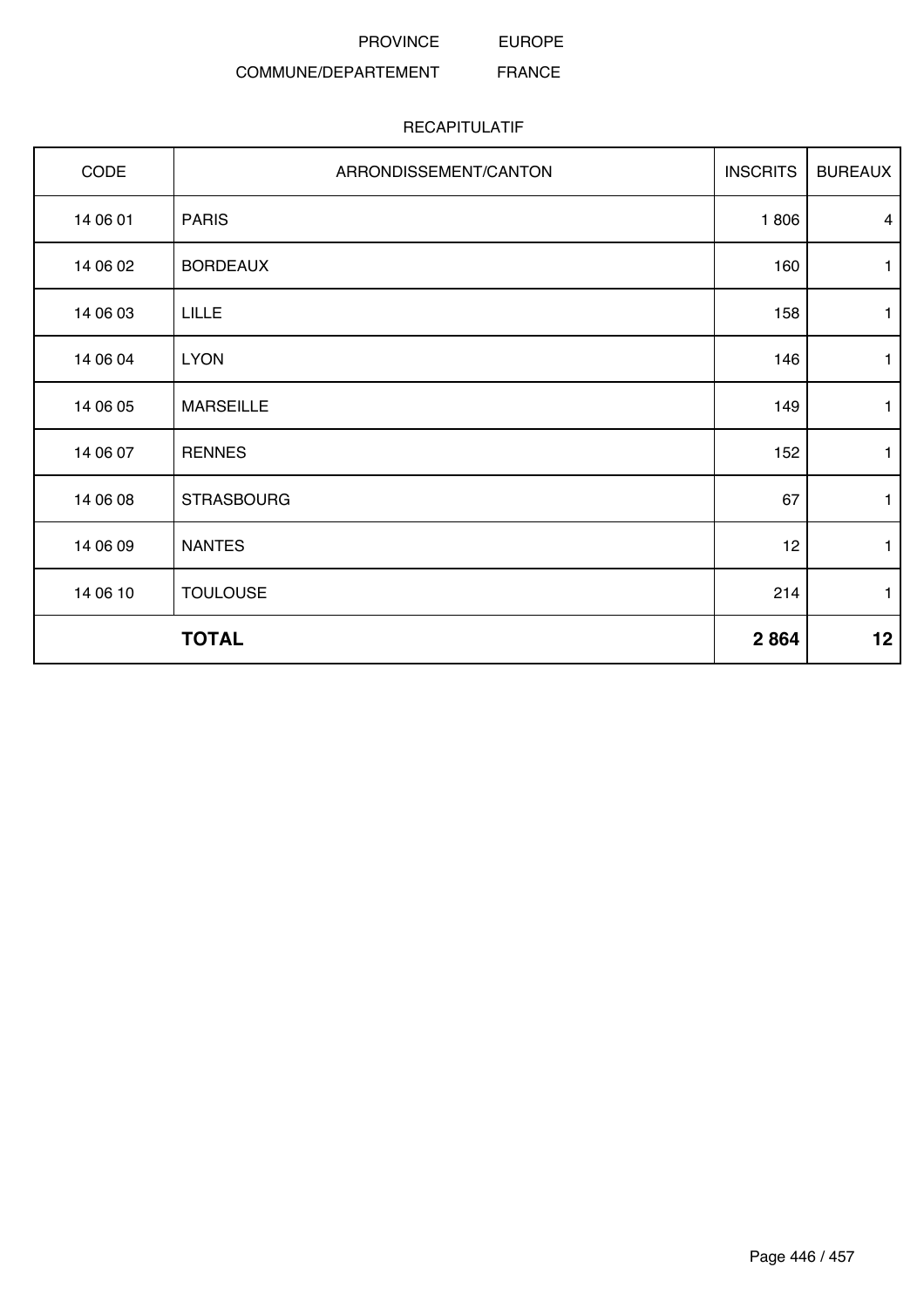EUROPE

#### COMMUNE/DEPARTEMENT FRANCE

| CODE     | ARRONDISSEMENT/CANTON | <b>INSCRITS</b> | <b>BUREAUX</b> |
|----------|-----------------------|-----------------|----------------|
| 14 06 01 | <b>PARIS</b>          | 1806            | $\overline{4}$ |
| 14 06 02 | <b>BORDEAUX</b>       | 160             | 1              |
| 14 06 03 | <b>LILLE</b>          | 158             | $\mathbf{1}$   |
| 14 06 04 | <b>LYON</b>           | 146             | 1              |
| 14 06 05 | <b>MARSEILLE</b>      | 149             | $\mathbf{1}$   |
| 14 06 07 | <b>RENNES</b>         | 152             | $\mathbf{1}$   |
| 14 06 08 | <b>STRASBOURG</b>     | 67              | 1              |
| 14 06 09 | <b>NANTES</b>         | 12              | $\mathbf{1}$   |
| 14 06 10 | <b>TOULOUSE</b>       | 214             | 1              |
|          | <b>TOTAL</b>          | 2864            | 12             |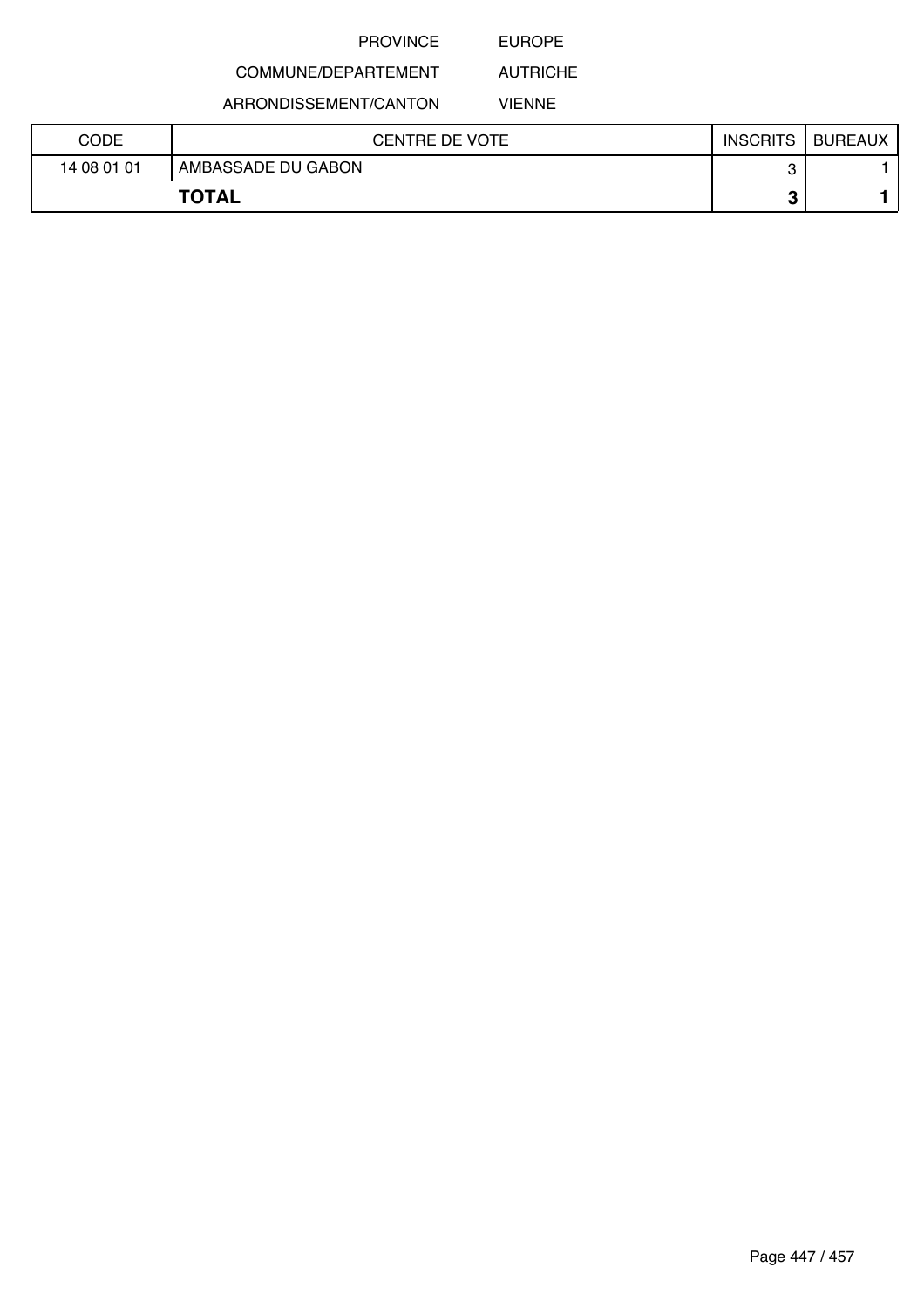## EUROPE

# COMMUNE/DEPARTEMENT

ARRONDISSEMENT/CANTON

VIENNE

AUTRICHE

| CODE         | CENTRE DE VOTE     | <b>INSCRITS</b> | <b>BUREAUX</b> |
|--------------|--------------------|-----------------|----------------|
| 14 08 01 01  | AMBASSADE DU GABON |                 |                |
| <b>TOTAL</b> |                    | o<br>ω          |                |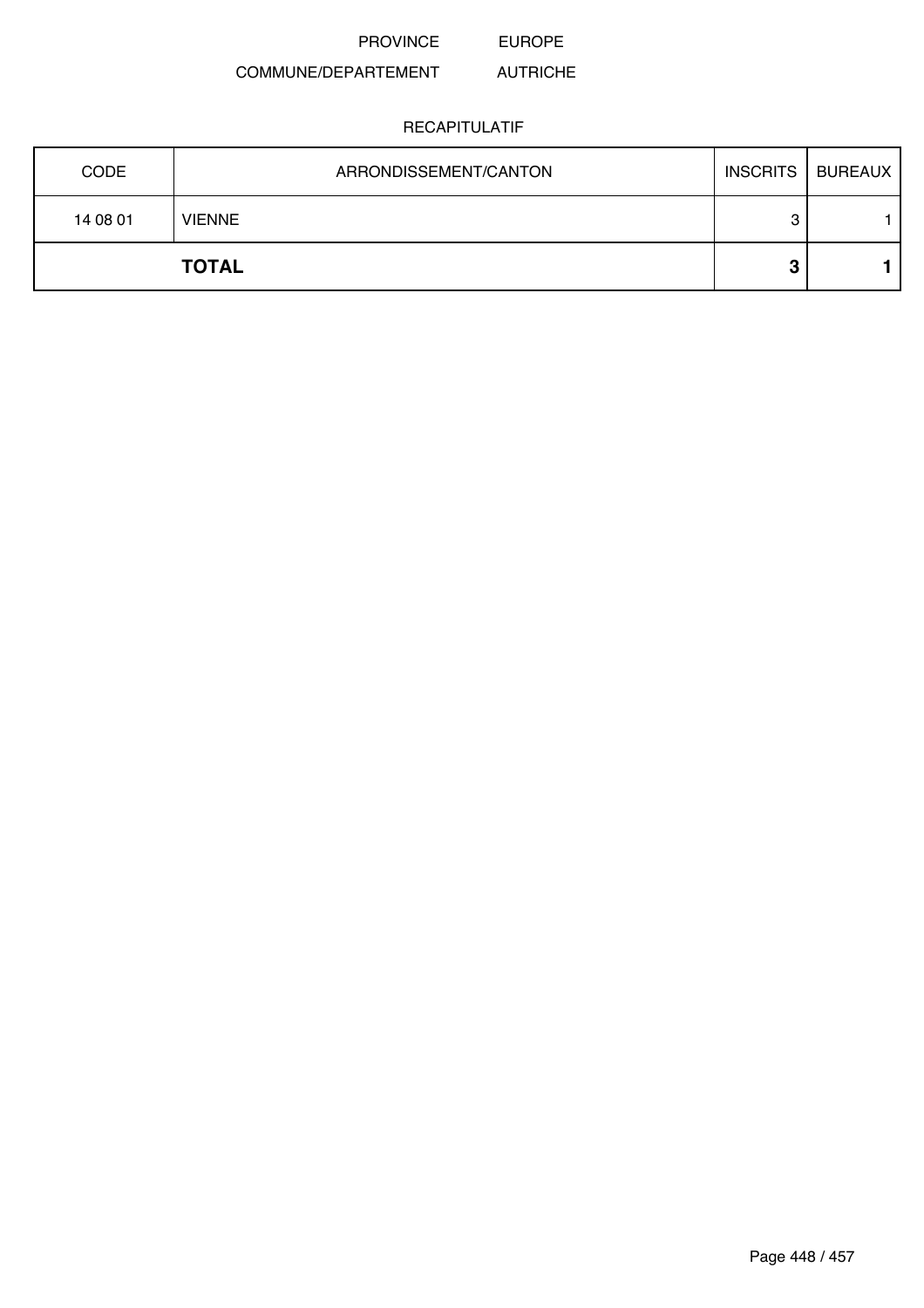#### COMMUNE/DEPARTEMENT AUTRICHE

| <b>CODE</b> | ARRONDISSEMENT/CANTON | <b>INSCRITS</b> | <b>BUREAUX</b> |
|-------------|-----------------------|-----------------|----------------|
| 14 08 01    | <b>VIENNE</b>         | 3               |                |
|             | <b>TOTAL</b>          | o<br>u          |                |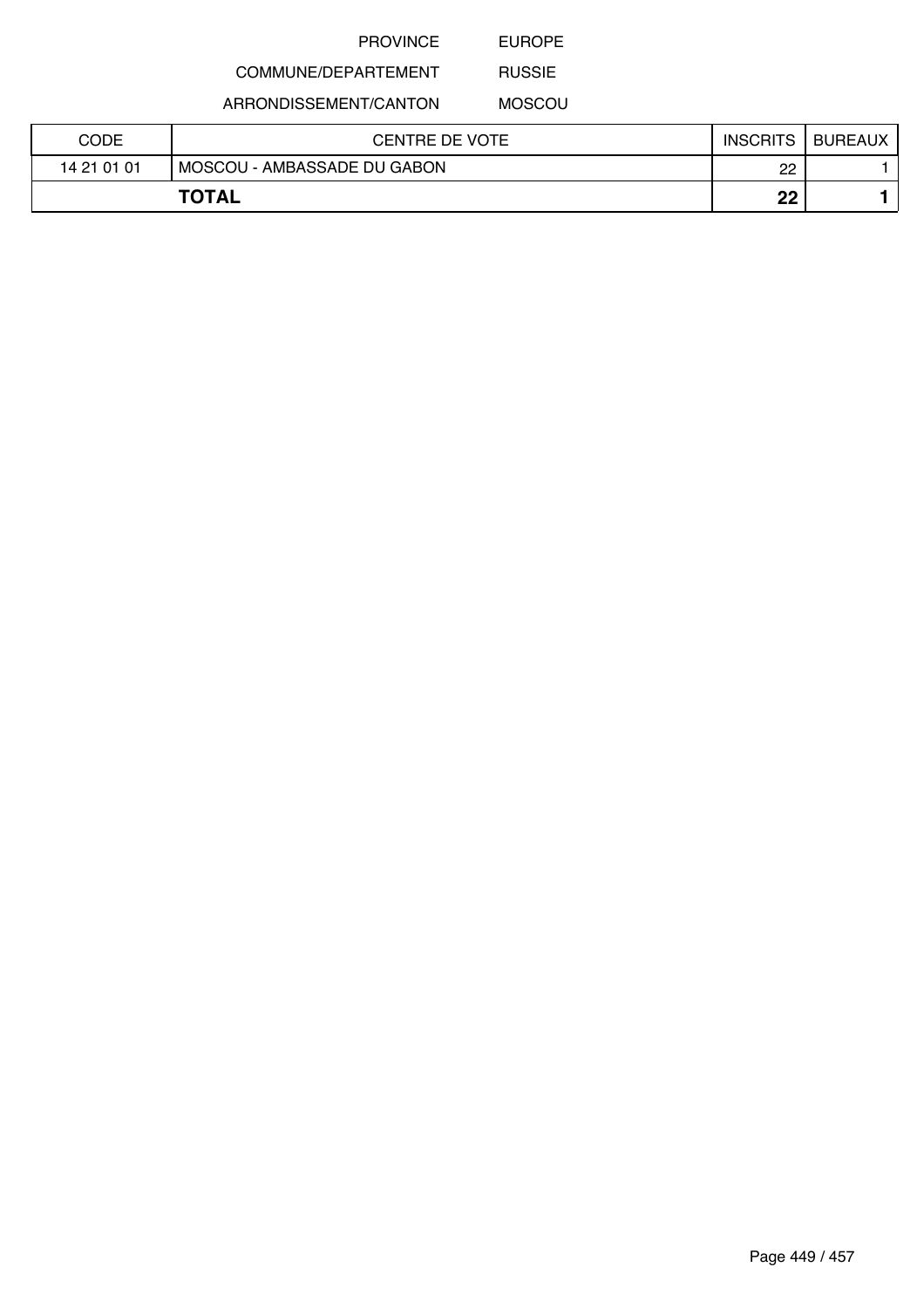EUROPE

## COMMUNE/DEPARTEMENT

ARRONDISSEMENT/CANTON

RUSSIE MOSCOU

| CODE        | <b>CENTRE DE VOTE</b>       | <b>INSCRITS</b> | <b>BUREAUX</b> |
|-------------|-----------------------------|-----------------|----------------|
| 14 21 01 01 | MOSCOU - AMBASSADE DU GABON | 22              |                |
|             | <b>TOTAL</b>                | ഹ<br>LL         |                |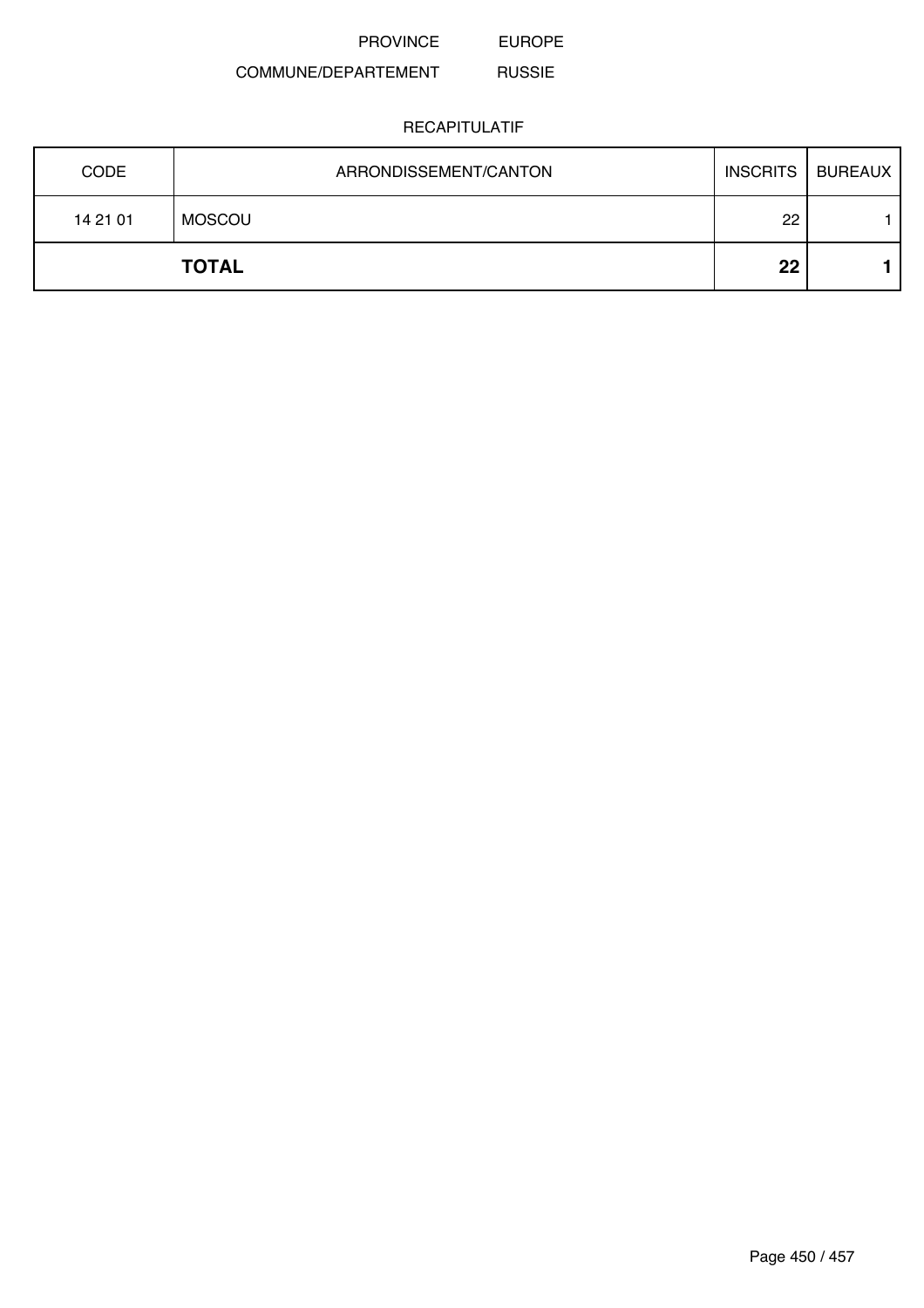#### COMMUNE/DEPARTEMENT RUSSIE

| <b>CODE</b> | ARRONDISSEMENT/CANTON | <b>INSCRITS</b> | <b>BUREAUX</b> |
|-------------|-----------------------|-----------------|----------------|
| 14 21 01    | MOSCOU                | 22              |                |
|             | <b>TOTAL</b>          | 22              |                |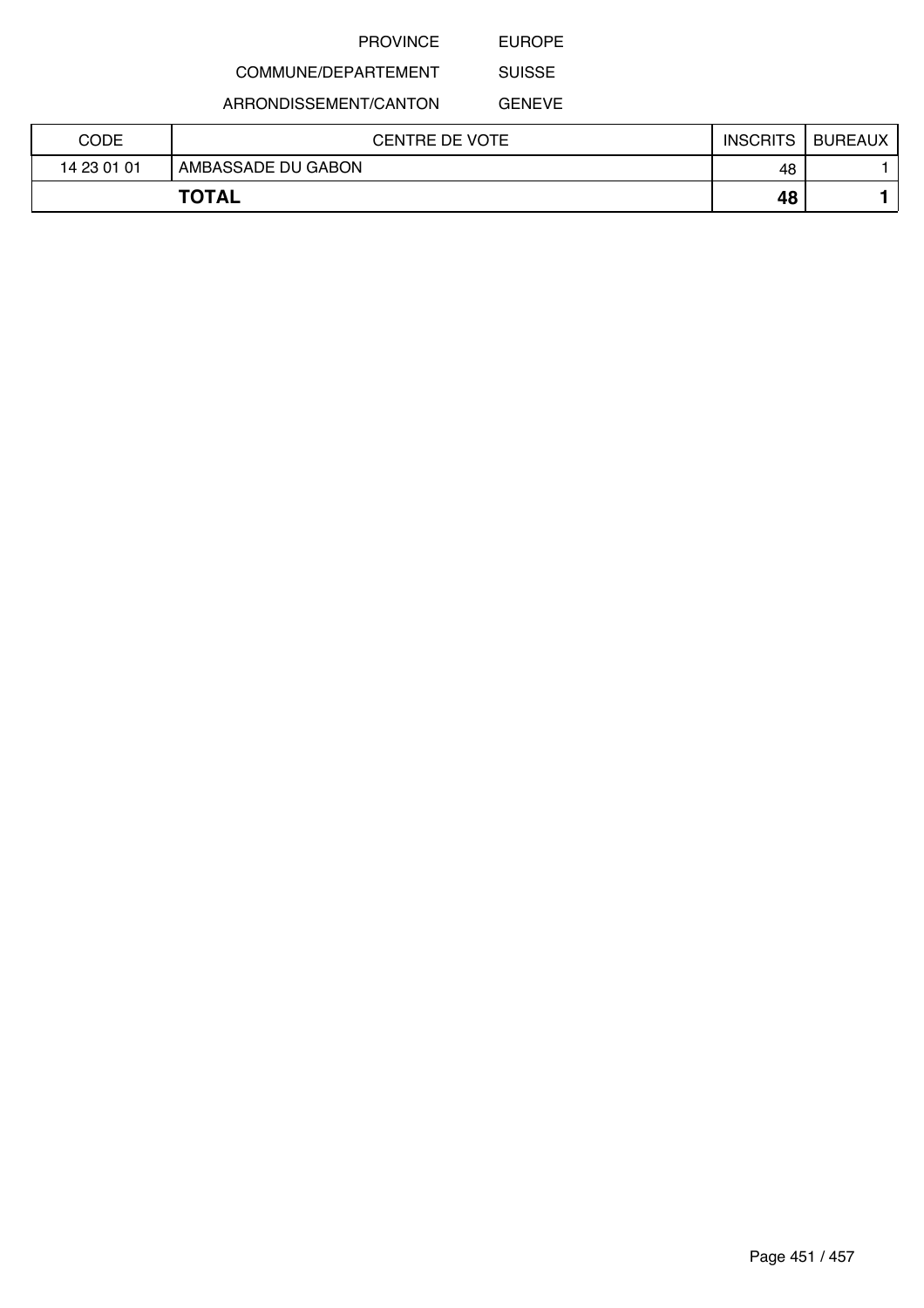EUROPE

# COMMUNE/DEPARTEMENT

ARRONDISSEMENT/CANTON

GENEVE

SUISSE

| CODE        | CENTRE DE VOTE     | <b>INSCRITS</b> | <b>BUREAUX</b> |
|-------------|--------------------|-----------------|----------------|
| 14 23 01 01 | AMBASSADE DU GABON | 48              |                |
|             | <b>TOTAL</b>       | 48              |                |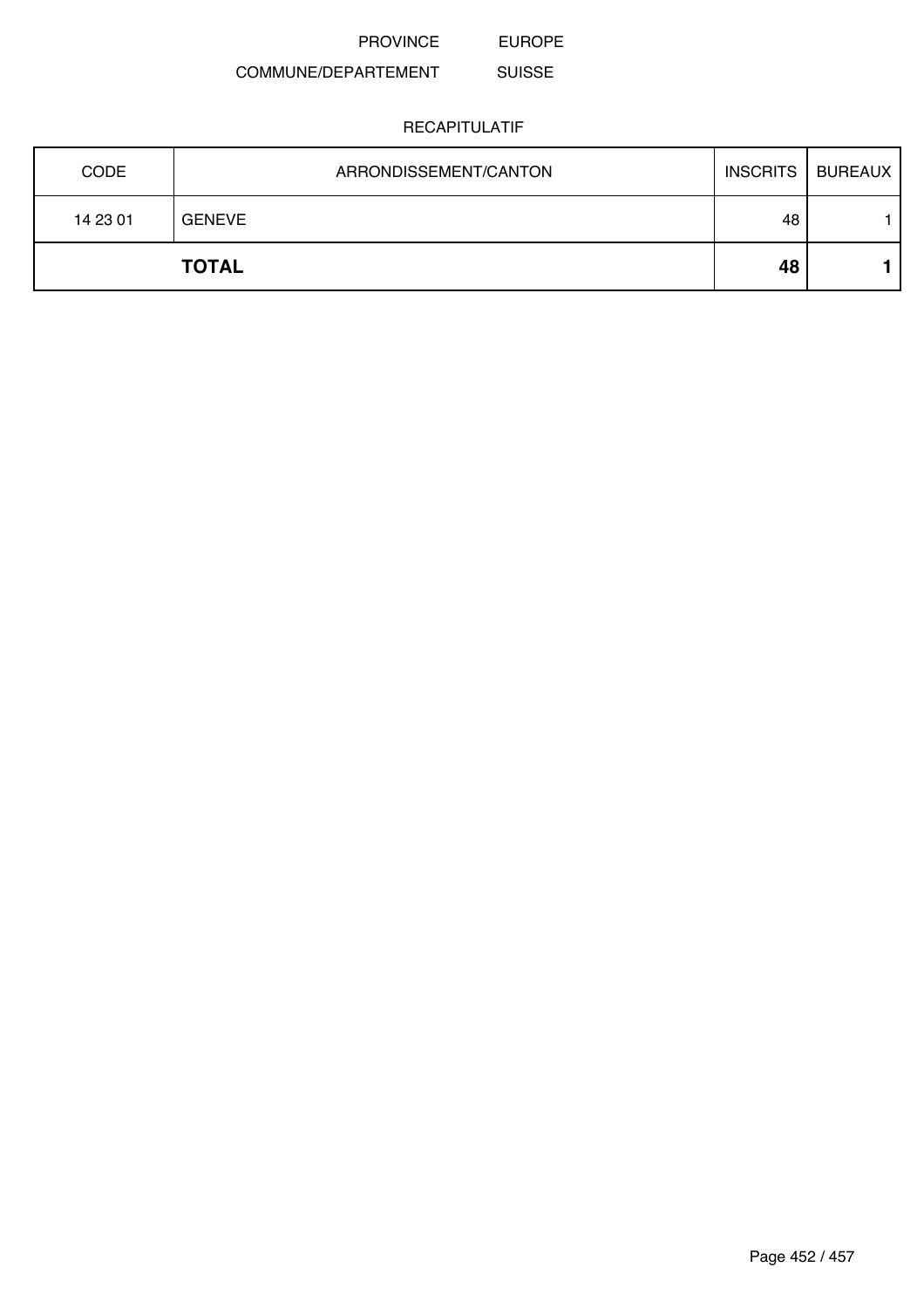#### COMMUNE/DEPARTEMENT SUISSE

| <b>CODE</b> | ARRONDISSEMENT/CANTON |    | <b>INSCRITS   BUREAUX</b> |
|-------------|-----------------------|----|---------------------------|
| 14 23 01    | <b>GENEVE</b>         | 48 |                           |
|             | <b>TOTAL</b>          | 48 |                           |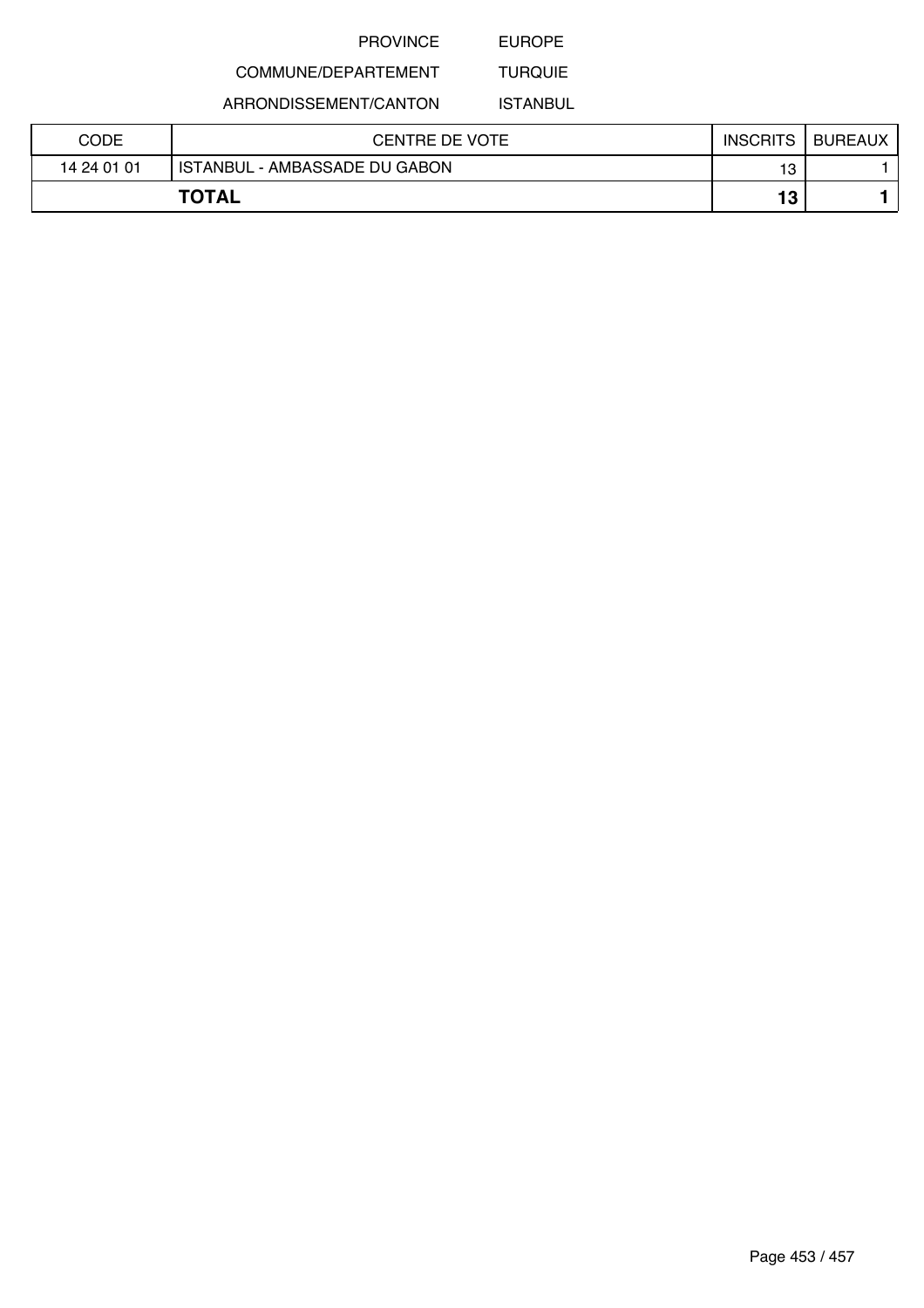EUROPE

# COMMUNE/DEPARTEMENT

ARRONDISSEMENT/CANTON

TURQUIE ISTANBUL

| CODE        | CENTRE DE VOTE                | <b>INSCRITS</b> | <b>BUREAUX</b> |
|-------------|-------------------------------|-----------------|----------------|
| 14 24 01 01 | ISTANBUL - AMBASSADE DU GABON | 13              |                |
|             | <b>TOTAL</b>                  | 13              |                |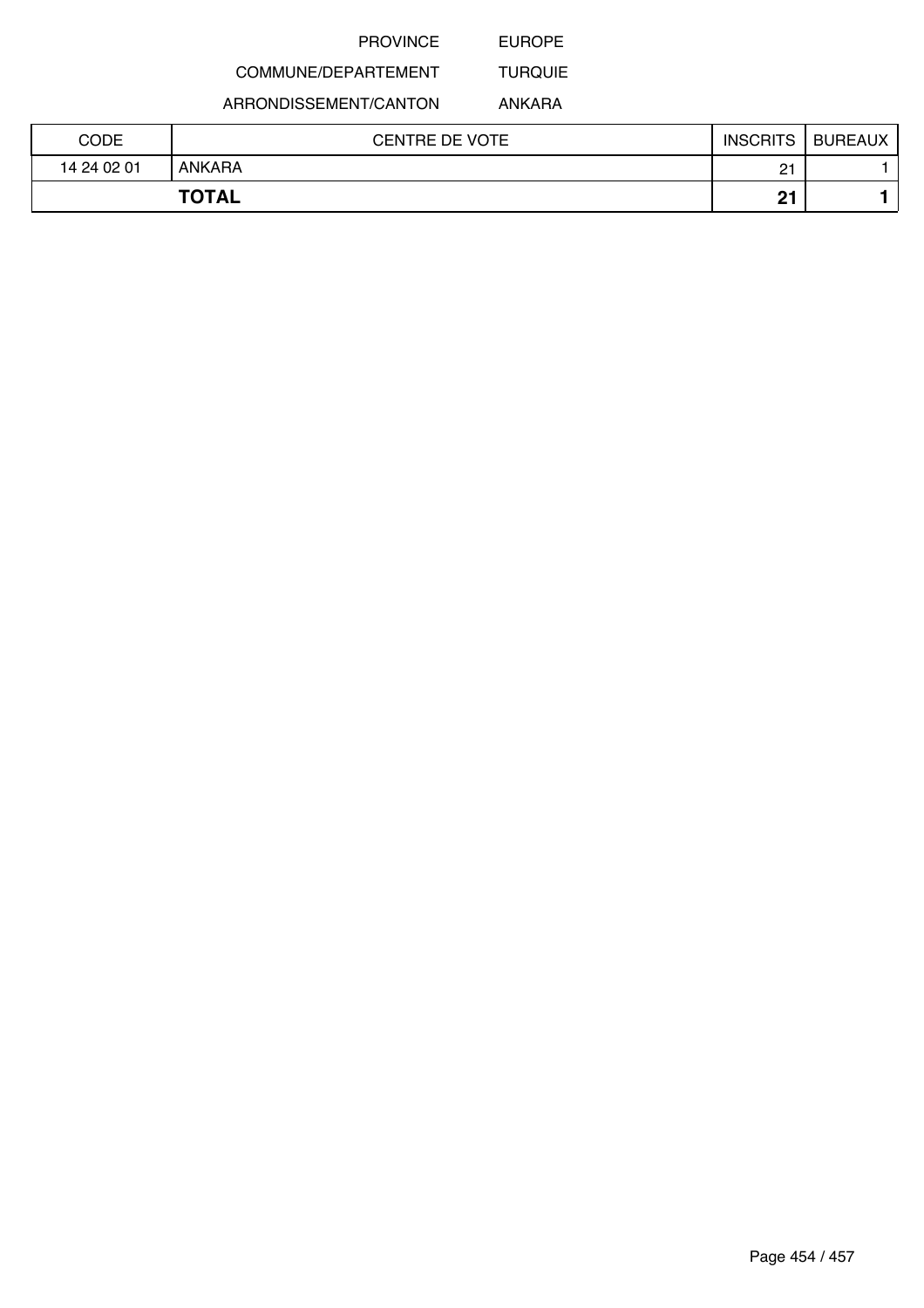EUROPE

# COMMUNE/DEPARTEMENT

ARRONDISSEMENT/CANTON

ANKARA

TURQUIE

| CODE        | <b>CENTRE DE VOTE</b> | <b>INSCRITS</b> | <b>BUREAUX</b> |
|-------------|-----------------------|-----------------|----------------|
| 14 24 02 01 | <b>ANKARA</b>         | n+<br><u>.</u>  |                |
|             | <b>TOTAL</b>          | n-              |                |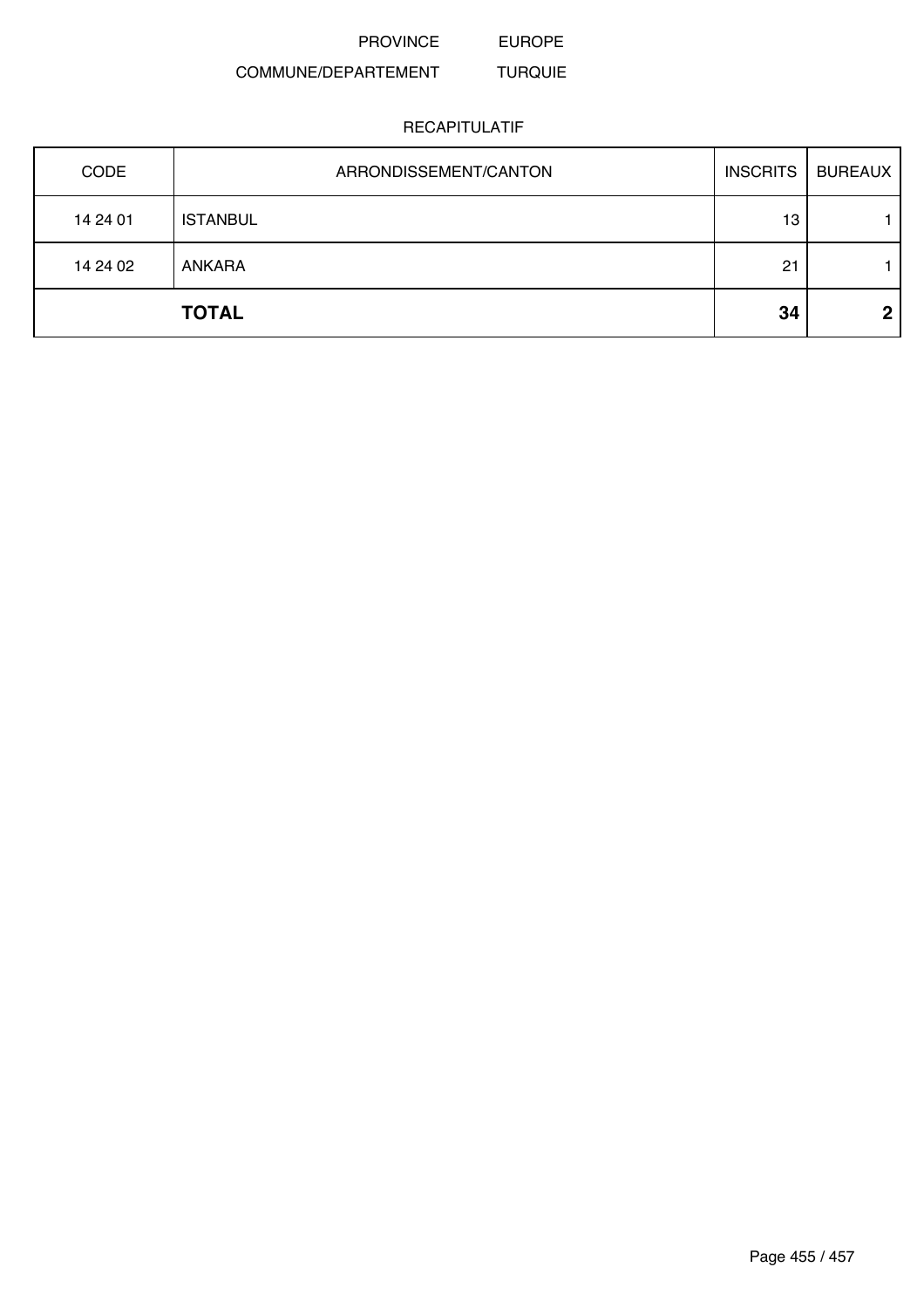#### COMMUNE/DEPARTEMENT TURQUIE

| CODE     | ARRONDISSEMENT/CANTON | <b>INSCRITS</b> | <b>BUREAUX</b> |
|----------|-----------------------|-----------------|----------------|
| 14 24 01 | <b>ISTANBUL</b>       | 13              |                |
| 14 24 02 | <b>ANKARA</b>         | 21              |                |
|          | <b>TOTAL</b>          | 34              | ŋ              |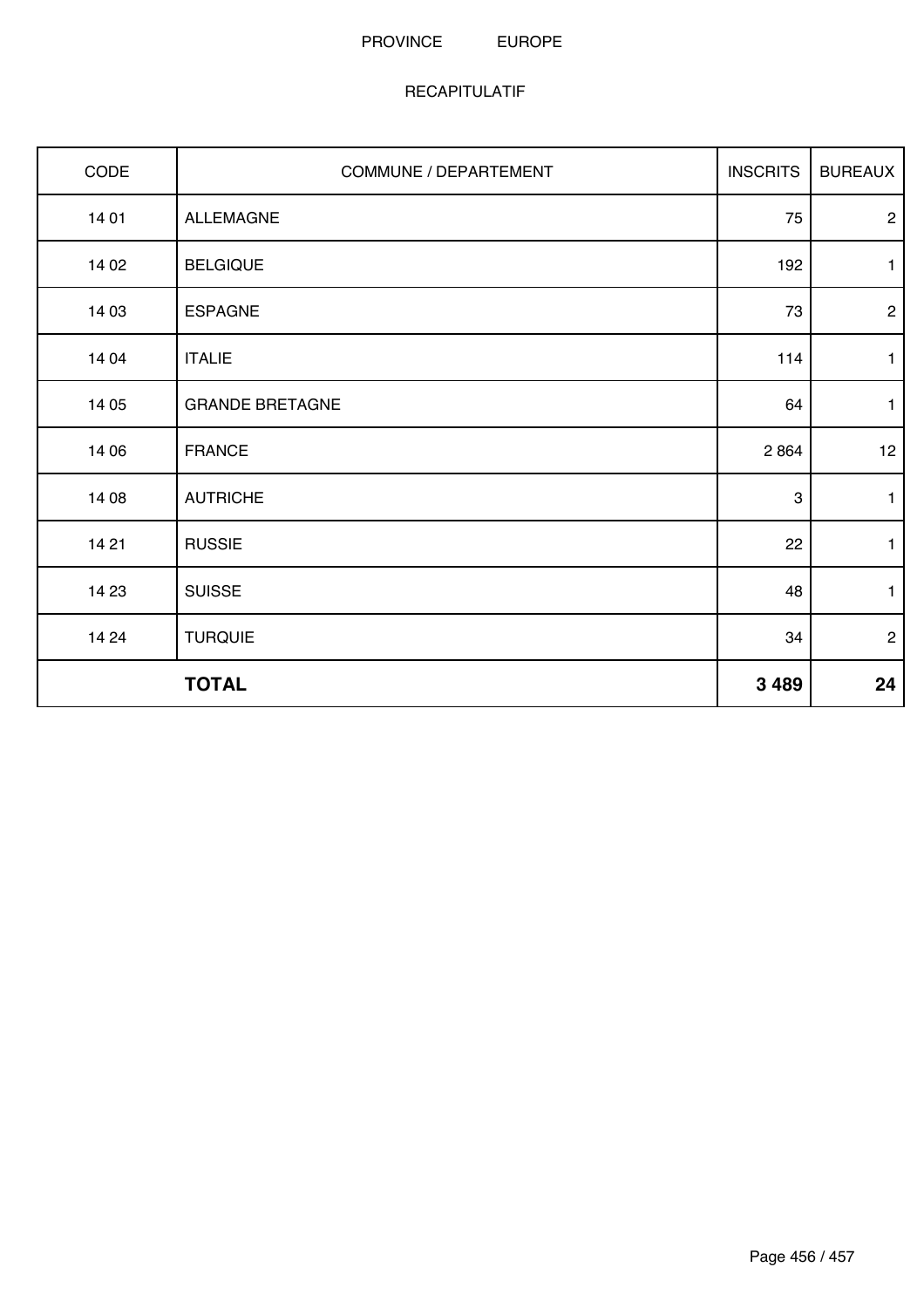| CODE  | COMMUNE / DEPARTEMENT  | <b>INSCRITS</b> | <b>BUREAUX</b>  |
|-------|------------------------|-----------------|-----------------|
| 14 01 | <b>ALLEMAGNE</b>       | 75              | $\overline{2}$  |
| 14 02 | <b>BELGIQUE</b>        | 192             | $\mathbf{1}$    |
| 14 03 | <b>ESPAGNE</b>         | 73              | $\mathbf{2}$    |
| 14 04 | <b>ITALIE</b>          | 114             | $\mathbf{1}$    |
| 14 05 | <b>GRANDE BRETAGNE</b> | 64              | $\mathbf{1}$    |
| 14 06 | <b>FRANCE</b>          | 2864            | 12 <sub>2</sub> |
| 14 08 | <b>AUTRICHE</b>        | $\sqrt{3}$      | $\mathbf{1}$    |
| 14 21 | <b>RUSSIE</b>          | 22              | $\mathbf{1}$    |
| 14 23 | <b>SUISSE</b>          | 48              | $\mathbf{1}$    |
| 14 24 | <b>TURQUIE</b>         | 34              | $\overline{2}$  |
|       | <b>TOTAL</b>           | 3 4 8 9         | 24              |